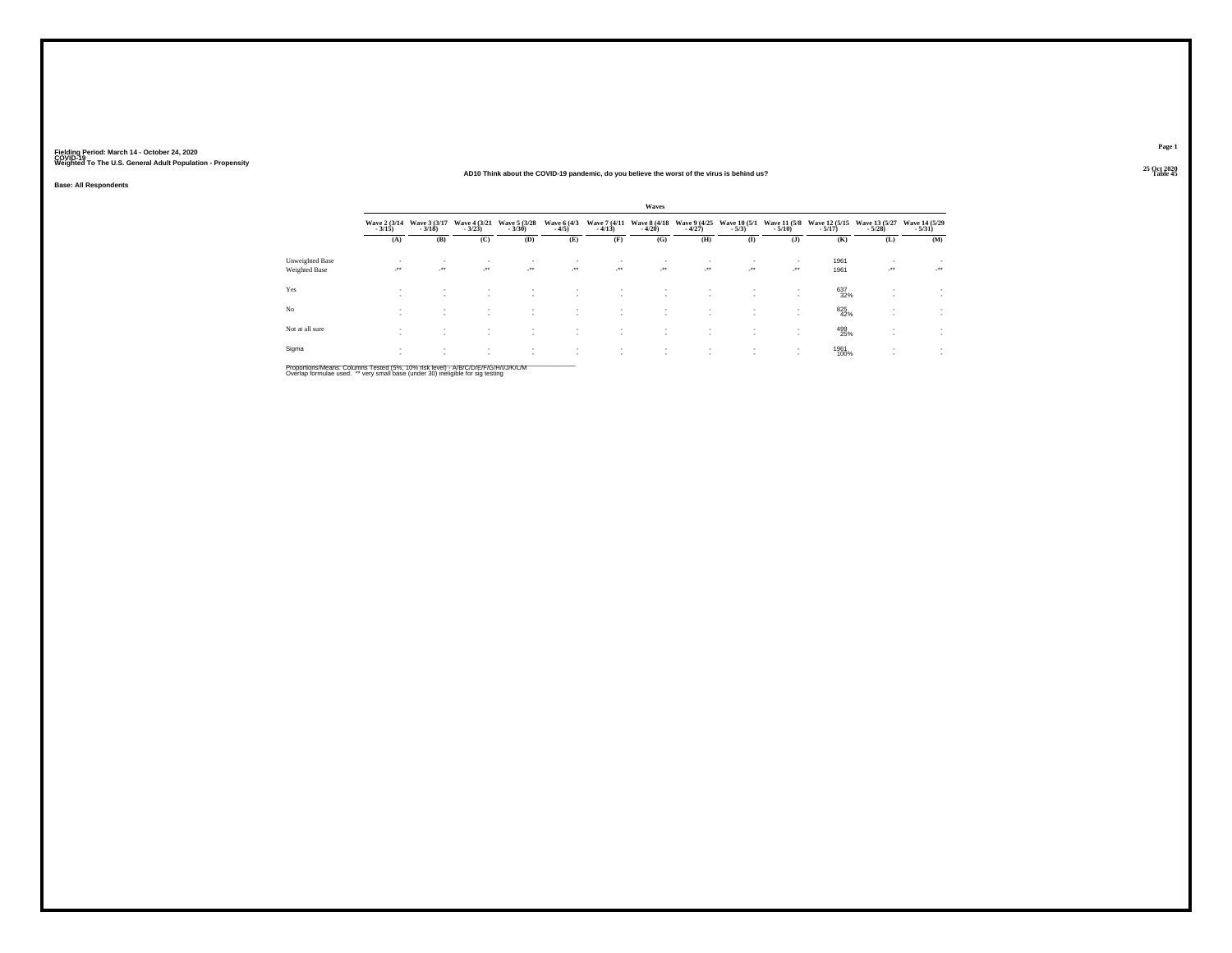#### **25 Oct 2020AD10 Think about the COVID-19 pandemic, do you believe the worst of the virus is behind us?Table 45 Table 45**

**Base: All Respondents**

|                 |                            |                              |                                          |                               |                                    |                        | Waves                                                           |                            |                                                      |                              |                                                        |                  |                          |
|-----------------|----------------------------|------------------------------|------------------------------------------|-------------------------------|------------------------------------|------------------------|-----------------------------------------------------------------|----------------------------|------------------------------------------------------|------------------------------|--------------------------------------------------------|------------------|--------------------------|
|                 | Wave 2 (3/14)<br>$-3/15$ ) | Wave 3 (3/17)<br>$-3/18$     | Wave 4 (3/21)<br>$-3/23$                 | Wave 5 (3/28)<br>$-3/30$      | Wave 6 (4/3)<br>$-4/5$             | $-4/13$                | Wave 7 (4/11 Wave 8 (4/18 Wave 9 (4/25 Wave 10 (5/1)<br>$-4/20$ | $-4/27$                    | $-5/3)$                                              | $-5/10$                      | Wave 11 (5/8 Wave 12 (5/15 Wave 13 (5/27)<br>$-5/17$ ) | $-5/28$          | Wave 14 (5/29)           |
|                 | (A)                        | (B)                          | (C)                                      | (D)                           | (E)                                | (F)                    | (G)                                                             | (H)                        | $($ I                                                | (J)                          | (K)                                                    | (L)              | (M)                      |
| Unweighted Base |                            | $\sim$                       | ٠                                        | $\sim$                        |                                    | $\sim$                 |                                                                 |                            | $\sim$                                               | $\overline{\phantom{a}}$     | 1961                                                   | ٠                | $\overline{\phantom{a}}$ |
| Weighted Base   | $\mathcal{L}^{\text{max}}$ | $\cdot$                      | $\mathcal{F}^{\bullet}$                  | $\sim$                        | $\mathcal{L}^{\text{max}}$         | $\cdot$                | $\cdot$                                                         | $\mathcal{L}^{\text{max}}$ | -22                                                  | $\cdot$                      | 1961                                                   | $\cdot$          | $\cdot$                  |
| Yes             | <b>A</b>                   | $\sim$<br>$\mathbf{r}$       | ٠<br>$\overline{\phantom{a}}$            | ٠<br>$\overline{\phantom{a}}$ | $\sim$                             | $\mathbf{r}$           | <b>A</b>                                                        | $\sim$                     | $\overline{\phantom{a}}$                             | $\mathbf{r}$<br>$\mathbf{r}$ | 637<br>32%                                             | $\sim$<br>٠      | $\sim$                   |
| N <sub>o</sub>  | $\sim$                     | $\mathbf{r}$<br>$\mathbf{r}$ | ٠<br>$\mathbf{r}$                        | ٠<br>$\sim$                   | $\mathbf{r}$                       | $\mathbf{r}$           | <b>A</b>                                                        | ٠                          | ٠<br>$\overline{\phantom{a}}$                        | $\sim$<br>$\sim$             | 825<br>42%                                             | $\sim$<br>$\sim$ | $\mathbf{r}$<br>$\sim$   |
| Not at all sure | $\sim$                     | $\sim$<br>$\mathbf{r}$       | $\mathbf{r}$<br>$\overline{\phantom{a}}$ | ٠<br>$\overline{\phantom{a}}$ | $\sim$<br>$\overline{\phantom{a}}$ | $\sim$<br>$\mathbf{r}$ | <b>A</b>                                                        | $\sim$                     | $\overline{\phantom{a}}$<br>$\overline{\phantom{a}}$ | $\sim$<br>$\sim$             | 499<br>25%                                             | $\sim$<br>٠      | $\sim$<br>$\sim$         |
| Sigma           | $\sim$<br>$\sim$           | $\sim$<br>$\mathbf{r}$       | ٠<br>$\sim$                              | ٠<br>$\overline{\phantom{a}}$ | $\sim$                             | $\sim$<br>$\sim$       |                                                                 |                            | $\overline{\phantom{a}}$                             | $\sim$<br>$\sim$             | 1961<br>100%                                           | $\sim$           | $\mathbf{r}$<br>$\sim$   |

Proportions/Means: Columns Tested (5%, 10% risk level) - A/B/C/D/E/F/G/H/I/J/K/L/M<br>Overlap formulae used. \*\* very small base (under 30) ineligible for sig testing

**Page 1**25 Oct 2020<br>Table 45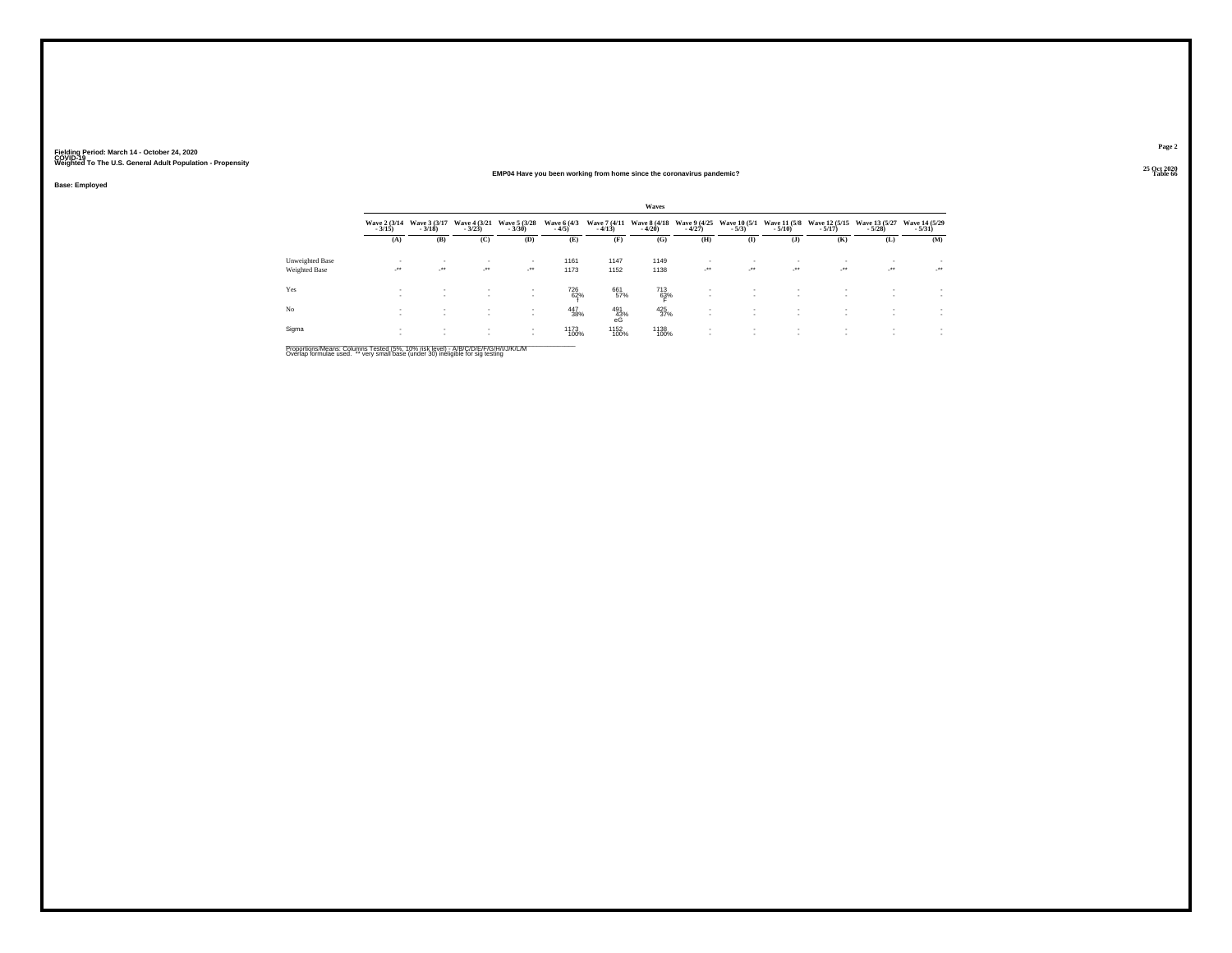#### **25 Oct 2020EMP04 Have you been working from home since the coronavirus pandemic?**

**Base: Employed**

|                 |                          |                                |                            |                                |                        |                          | Waves              |                                |                                |                                 |                                                      |                           |                           |
|-----------------|--------------------------|--------------------------------|----------------------------|--------------------------------|------------------------|--------------------------|--------------------|--------------------------------|--------------------------------|---------------------------------|------------------------------------------------------|---------------------------|---------------------------|
|                 | Wave 2 (3/14)<br>$-3/15$ | Wave 3 (3/17)<br>$-3/18$       | Wave 4 (3/21)<br>$-3/23$   | Wave 5 (3/28)<br>$-3/30$       | Wave 6 (4/3)<br>$-4/5$ | Wave 7 (4/11)<br>$-4/13$ | Wave 8 (4/18)      | Wave 9 (4/25)<br>$-4/27$       | <b>Wave 10 (5/1)</b><br>$-5/3$ | <b>Wave 11 (5/8)</b><br>$-5/10$ | Wave 12 (5/15)<br>$-5/17$                            | Wave 13 (5/27)<br>$-5/28$ | Wave 14 (5/29)<br>$-5/31$ |
|                 | (A)                      | (B)                            | (C)                        | (D)                            | (E)                    | (F)                      | (G)                | (H)                            | $($ I                          | $($ J $)$                       | (K)                                                  | (L)                       | (M)                       |
| Unweighted Base | $\sim$                   | $\overline{\phantom{a}}$       | $\sim$                     |                                | 1161                   | 1147                     | 1149               |                                | $\sim$                         | $\overline{\phantom{a}}$        |                                                      |                           |                           |
| Weighted Base   | $\cdot$                  | $\mathcal{L}^{\bullet\bullet}$ | $\mathcal{L}^{\text{max}}$ | $\mathcal{L}^{\bullet\bullet}$ | 1173                   | 1152                     | 1138               | $\mathcal{L}^{\bullet\bullet}$ | - 28 -                         | $\mathcal{L}^{\bullet\bullet}$  | $\mathcal{L}^{\bullet\bullet}$                       | $\cdot$                   | $\cdot$                   |
| Yes             | $\sim$                   | $\sim$                         | $\sim$                     | $\sim$                         | 726<br>62%             | 661<br>57%               | 713<br>63%         |                                | $\mathbf{r}$<br>$\sim$         | $\mathbf{r}$<br>$\mathbf{r}$    | $\overline{\phantom{a}}$<br>$\overline{\phantom{a}}$ |                           |                           |
| N <sub>o</sub>  |                          | $\sim$<br>$\sim$               |                            | $\sim$                         | 447<br>38%             | 491<br>43%<br>eG         | $\frac{425}{37\%}$ |                                | $\sim$<br>$\mathbf{r}$         | $\mathbf{r}$<br>$\mathbf{r}$    | $\overline{\phantom{a}}$                             |                           |                           |
| Sigma           |                          | $\sim$<br>$\sim$               | $\sim$                     | $\sim$<br>$\sim$               | 1173<br>100%           | 1152<br>100%             | 1138<br>100%       |                                | $\mathbf{r}$<br>$\sim$         | $\mathbf{r}$<br>$\mathbf{r}$    | ٠<br>٠                                               |                           | $\sim$                    |

Proportions/Means: Columns Tested (5%, 10% risk level) - A/B/C/D/E/F/G/H/I/J/K/L/M<br>Overlap formulae used. \*\* very small base (under 30) ineligible for sig testing

**Page 225 Oct 2020<br>Table 66** 

**Table 66 Table 66 Table 66 Table 66 Table 66 Table 66 Table 66 Table 66 Table 66 Table 66**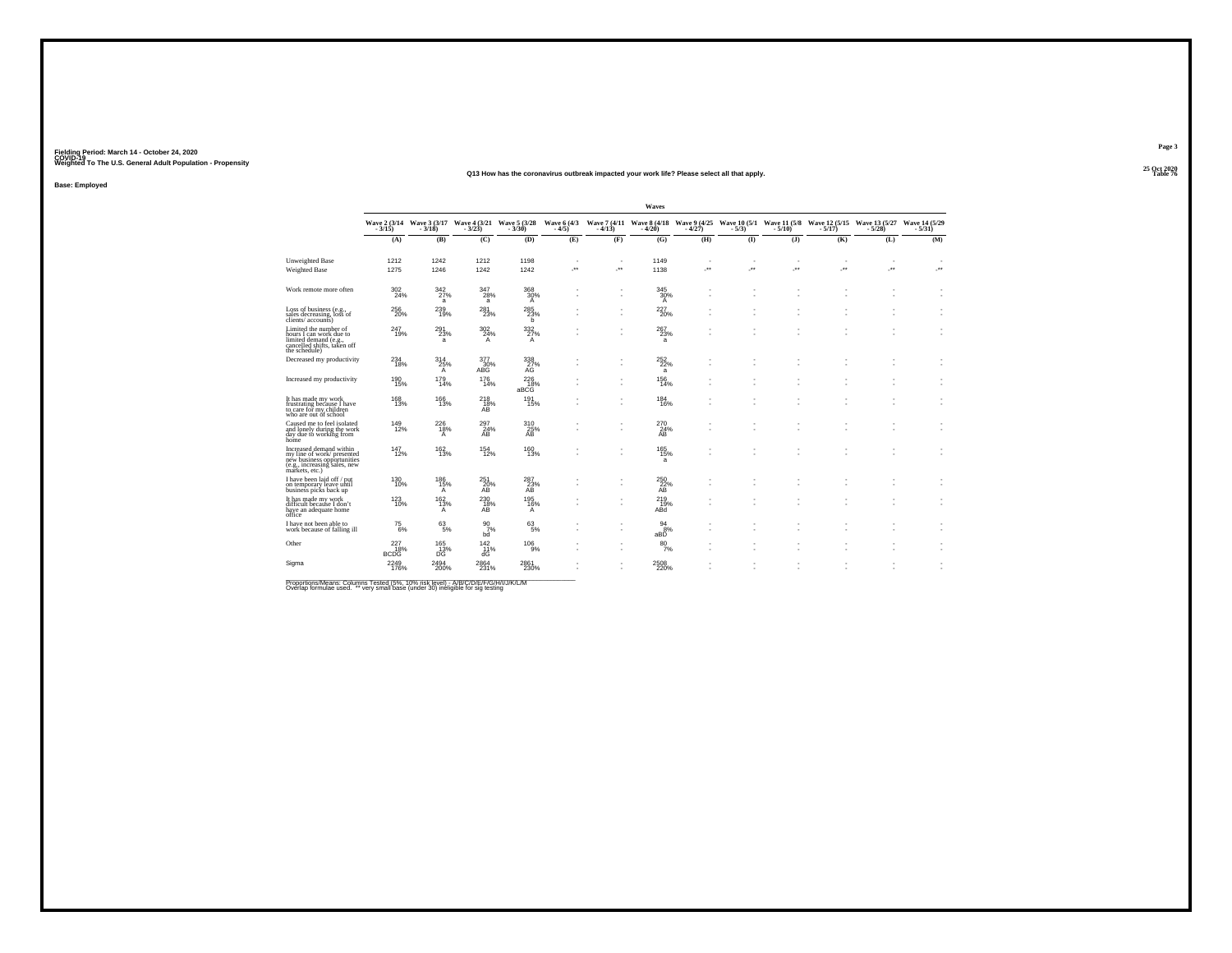#### **25 Oct 2020Q13 How has the coronavirus outbreak impacted your work life? Please select all that apply.Table 76 Table 76 Table 76 Table 76 Table 76 Table 76 Table 76 Table 76**

**Base: Employed**

|                                                                                                                                      |                           |                                    |                               |                                                                             |     |                                                      | Waves                              |     |          |         |                          |                                                                                                                                                                                                                      |                          |
|--------------------------------------------------------------------------------------------------------------------------------------|---------------------------|------------------------------------|-------------------------------|-----------------------------------------------------------------------------|-----|------------------------------------------------------|------------------------------------|-----|----------|---------|--------------------------|----------------------------------------------------------------------------------------------------------------------------------------------------------------------------------------------------------------------|--------------------------|
|                                                                                                                                      |                           |                                    |                               | Wave 2 (3/14 Wave 3 (3/17 Wave 4 (3/21 Wave 5 (3/28<br>3/15) - 3/18) - 3/18 |     |                                                      |                                    |     |          |         |                          | Wave 6 (4/3 Wave 7 (4/11 Wave 8 (4/18 Wave 9 (4/25 Wave 10 (5/1 Wave 11 (5/8 Wave 12 (5/15 Wave 13 (5/27 Wave 14 (5/29 - 4/5)<br>-4/20 -4/20 -5/31 -5/31 -5/10 -5/10 -5/11 -5/12 -5/12 -5/13 -5/13 -5/13 -5/13 -5/14 |                          |
|                                                                                                                                      | (A)                       | (B)                                | (C)                           | (D)                                                                         | (E) | (F)                                                  | (G)                                | (H) | $\bf{D}$ | $($ $)$ | (K)                      | (L)                                                                                                                                                                                                                  | (M)                      |
| Unweighted Base                                                                                                                      | 1212                      | 1242                               | 1212                          | 1198                                                                        | ٠   | ٠                                                    | 1149                               | ٠   | ٠        | ٠       | $\overline{\phantom{a}}$ | ٠                                                                                                                                                                                                                    | $\overline{\phantom{a}}$ |
| <b>Weighted Base</b>                                                                                                                 | 1275                      | 1246                               | 1242                          | 1242                                                                        | 59  | J.                                                   | 1138                               | ÷.  | ÷.       | ÷.      | $\cdot$                  | ÷.                                                                                                                                                                                                                   | J.                       |
| Work remote more often                                                                                                               | 302<br>24%                | 342<br>27%<br>a                    | 347<br>28%<br>a               | 368<br>30%<br>$\overline{A}$                                                |     | $\overline{\phantom{a}}$                             | 345<br>30%<br>$\overline{A}$       |     |          |         |                          |                                                                                                                                                                                                                      | ٠                        |
| Loss of business (e.g., sales decreasing, loss of<br>clients/accounts)                                                               | 256<br>20%                | 239<br>19%                         | 281<br>23%                    | 285<br>23%<br>b                                                             |     | $\overline{\phantom{a}}$<br>۰.                       | $^{227}_{20\%}$                    |     |          |         |                          |                                                                                                                                                                                                                      |                          |
| Limited the number of<br>hours I can work due to<br>limited demand (e.g.,<br>cancelled shifts, taken off<br>the schedule)            | 247<br>19%                | 291<br>23%<br>a                    | 302<br>24%<br>$\mathsf{A}$    | 332%<br>$\mathsf{A}$                                                        | ٠   | ٠<br>٠                                               | 267<br>23%<br>a                    |     |          |         |                          | ٠                                                                                                                                                                                                                    |                          |
| Decreased my productivity                                                                                                            | 234<br>18%                | 314<br>25%<br>$\mathsf{A}$         | 377<br>30%<br>ABG             | 338<br>27%<br>AG                                                            |     | $\overline{\phantom{a}}$<br>$\overline{\phantom{a}}$ | <sup>252</sup> <sub>22%</sub><br>a |     |          |         |                          |                                                                                                                                                                                                                      |                          |
| Increased my productivity                                                                                                            | 190<br>15%                | 179<br>14%                         | 176<br>14%                    | 226<br>aBCG <sup>48</sup>                                                   |     | ٠<br>٠                                               | 156<br>14%                         |     |          |         |                          |                                                                                                                                                                                                                      |                          |
| It has made my work<br>frustrating because I have<br>to care for my children<br>who are out of school                                | 168<br>13%                | 166<br>13%                         | 218<br>18%<br>AB <sup>1</sup> | 191<br>15%                                                                  |     | ٠<br>$\overline{\phantom{a}}$                        | 184<br>16%                         |     |          |         |                          |                                                                                                                                                                                                                      | ×.                       |
| Caused me to feel isolated<br>and lonely during the work<br>day due to working from<br>home                                          | 149<br>12%                | 226<br>18%<br>$\mathsf{A}$         | 297<br>24%<br>AB              | 310<br>25%<br>ĀB                                                            |     | $\overline{\phantom{a}}$                             | 270<br>24%<br>AB                   |     |          |         |                          |                                                                                                                                                                                                                      | ٠                        |
| Increased demand within<br>my line of work/presented<br>new business opportunities<br>(e.g., increasing sales, new<br>markets, etc.) | 147<br>12%                | 162%                               | <sup>154</sup> <sub>12%</sub> | 160<br>13%                                                                  |     | $\overline{\phantom{a}}$<br>۰.                       | 165<br>15%<br>a                    |     |          |         |                          |                                                                                                                                                                                                                      |                          |
| I have been laid off / put<br>on temporary leave until<br>business picks back up                                                     | 130<br>10%                | 186<br>15%<br>A                    | 251<br>20%<br>AB              | 287<br>23%<br>AB                                                            |     | ٠                                                    | 250<br>$^{22\%}_{\rm AB}$          |     |          |         |                          |                                                                                                                                                                                                                      |                          |
| It has made my work<br>difficult because I don't<br>have an adequate home<br>office                                                  | 123<br>10%                | $\frac{162}{13\%}$<br>$\mathsf{A}$ | 230<br>18%<br>AB              | 195<br>16%<br>A                                                             |     | $\overline{\phantom{a}}$                             | 219%<br>ABd                        |     |          |         |                          |                                                                                                                                                                                                                      |                          |
| I have not been able to<br>work because of falling ill                                                                               | $^{75}_{\ 6\%}$           | $^{63}_{\ 5\%}$                    | $^{90}_{7\%}$<br>bd           | $^{63}_{\ 5\%}$                                                             |     | $\overline{\phantom{a}}$<br>$\overline{\phantom{a}}$ | 94<br>8%<br>aBD                    |     |          |         |                          |                                                                                                                                                                                                                      | ٠                        |
| Other                                                                                                                                | 227<br>18%<br><b>BCDG</b> | 165<br>$^{13\%}_{DG}$              | 142<br>11%<br>dĠ              | 106<br>9%                                                                   |     | ٠<br>$\overline{\phantom{a}}$                        | 80<br>7%                           |     |          |         |                          |                                                                                                                                                                                                                      |                          |
| Sigma                                                                                                                                | 2249<br>176%              | 2494<br>200%                       | 2864<br>231%                  | 2861<br>230%                                                                |     | $\overline{\phantom{a}}$<br>۰.                       | 2508<br>220%                       |     |          |         |                          |                                                                                                                                                                                                                      | ٠<br>٠                   |

Proportions/Means: Columns Tested (5%, 10% risk level) - A/B/C/D/E/F/G/H/I/J/K/L/M<br>Overlap formulae used. \*\* very small base (under 30) ineligible for sig testing

**Page 3**25 Oct 2020<br>Table 76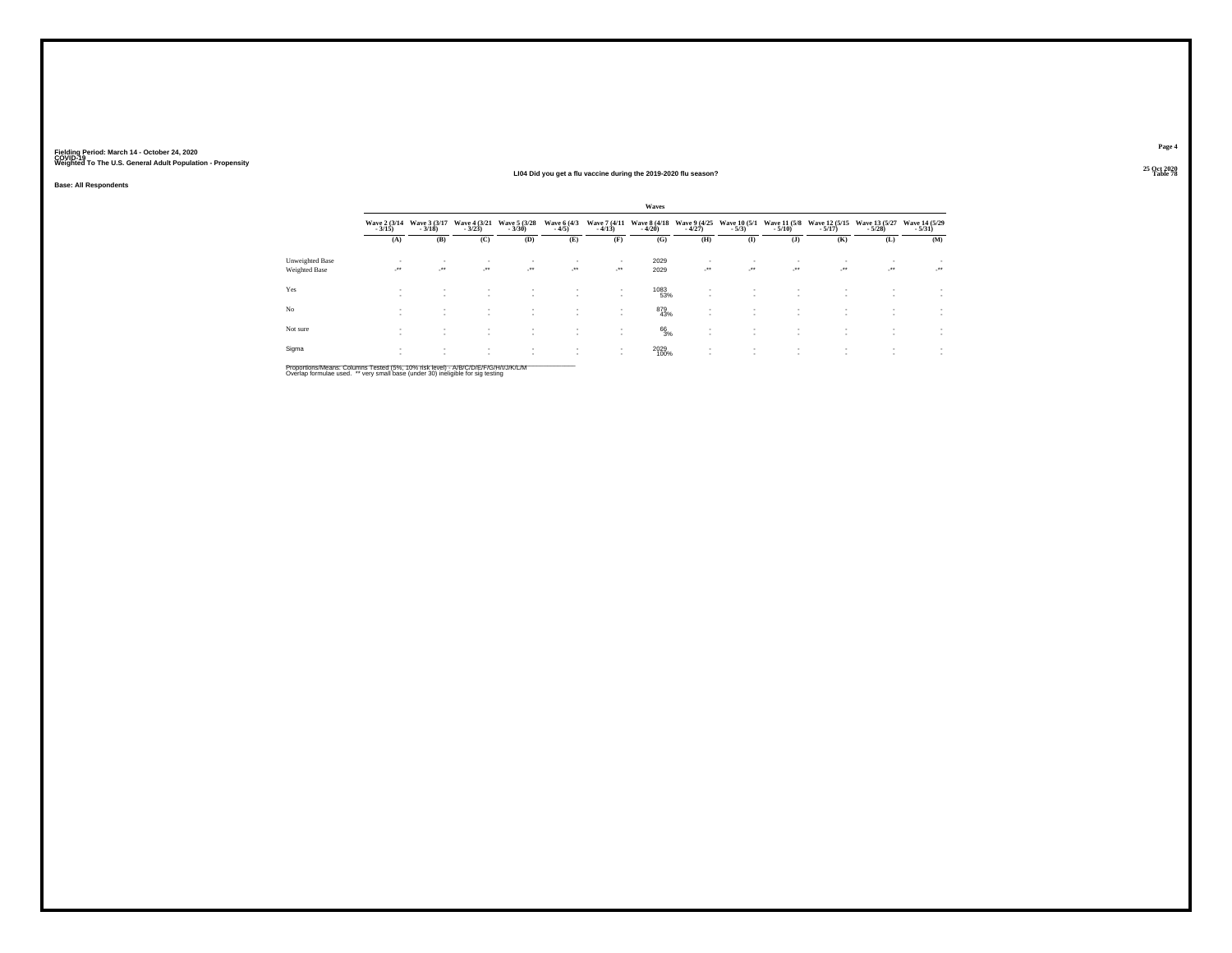**Base: All Respondents**

#### **25 Oct 2020LI04 Did you get a flu vaccine during the 2019-2020 flu season?Table 78 Table 78**

|                                  |                            |                                          |                              |                              |                                          |                   | Waves                                 |                          |                            |                                        |                                          |                            |                  |
|----------------------------------|----------------------------|------------------------------------------|------------------------------|------------------------------|------------------------------------------|-------------------|---------------------------------------|--------------------------|----------------------------|----------------------------------------|------------------------------------------|----------------------------|------------------|
|                                  | Wave 2 (3/14)<br>$-3/15$ ) | Wave 3 (3/17)<br>$-3/18$                 | Wave 4 (3/21)<br>$-3/23$     | Wave 5 (3/28)<br>$-3/30$     | Wave 6 (4/3)<br>$-4/5$                   | $-4/13$           | Wave 7 (4/11 Wave 8 (4/18)<br>$-4/20$ | Wave 9 (4/25)<br>$-4/27$ | $-5/3$ )                   | Wave 10 (5/1 Wave 11 (5/8<br>$-5/10$ ) | Wave 12 (5/15)<br>$-5/17$                | Wave 13 (5/27)<br>$-5/28$  | Wave 14 (5/29)   |
|                                  | (A)                        | (B)                                      | (C)                          | (D)                          | (E)                                      | (F)               | (G)                                   | (H)                      | $($ I                      | $($ J $)$                              | (K)                                      | (L)                        | (M)              |
| Unweighted Base<br>Weighted Base | ٠<br><b>A</b>              | ٠<br>$\cdot$                             | $\sim$<br>$\cdot$            | $\cdot$                      | $\cdot$                                  | ٠<br>$\cdot$      | 2029<br>2029                          | $\cdot$                  | $\mathcal{L}^{\text{max}}$ | - * *                                  | $\overline{\phantom{a}}$<br>$\cdot$      | $\mathcal{L}^{\text{max}}$ | - * *            |
| Yes                              | ٠<br>х.                    | $\mathbf{r}$<br>$\overline{\phantom{a}}$ | $\mathbf{r}$<br>$\mathbf{r}$ |                              | $\overline{\phantom{a}}$<br>$\mathbf{r}$ | ٠<br>$\mathbf{r}$ | 1083<br>53%                           |                          | $\sim$                     | ٠                                      | $\mathbf{r}$                             |                            | $\sim$           |
| No                               | ٠<br>٠                     | $\overline{\phantom{a}}$                 | $\mathbf{r}$<br>$\mathbf{r}$ | $\mathbf{r}$                 | $\overline{\phantom{a}}$                 | ٠<br>٠            | 879<br>43%                            |                          | $\mathbf{r}$               | ٠                                      |                                          |                            | $\sim$           |
| Not sure                         | $\sim$                     | $\sim$<br>$\overline{\phantom{a}}$       | $\sim$<br>$\mathbf{r}$       | $\mathbf{r}$<br>$\mathbf{r}$ |                                          | ٠<br>$\sim$       | 66<br>3%                              |                          | $\sim$<br>$\sim$           | ٠<br>$\overline{\phantom{a}}$          | $\sim$                                   | $\sim$                     | $\sim$<br>$\sim$ |
| Sigma                            | ٠                          | $\overline{\phantom{a}}$                 | $\sim$<br>$\mathbf{r}$       |                              | $\overline{\phantom{a}}$                 | $\sim$            | 2029<br>100%                          |                          | ٠<br>٠                     | ٠                                      | $\overline{\phantom{a}}$<br>$\mathbf{r}$ | ٠<br>٠                     | $\sim$           |

Proportions/Means: Columns Tested (5%, 10% risk level) - A/B/C/D/E/F/G/H/I/J/K/L/M<br>Overlap formulae used. \*\* very small base (under 30) ineligible for sig testing

**Page 4**25 Oct 2020<br>Table 78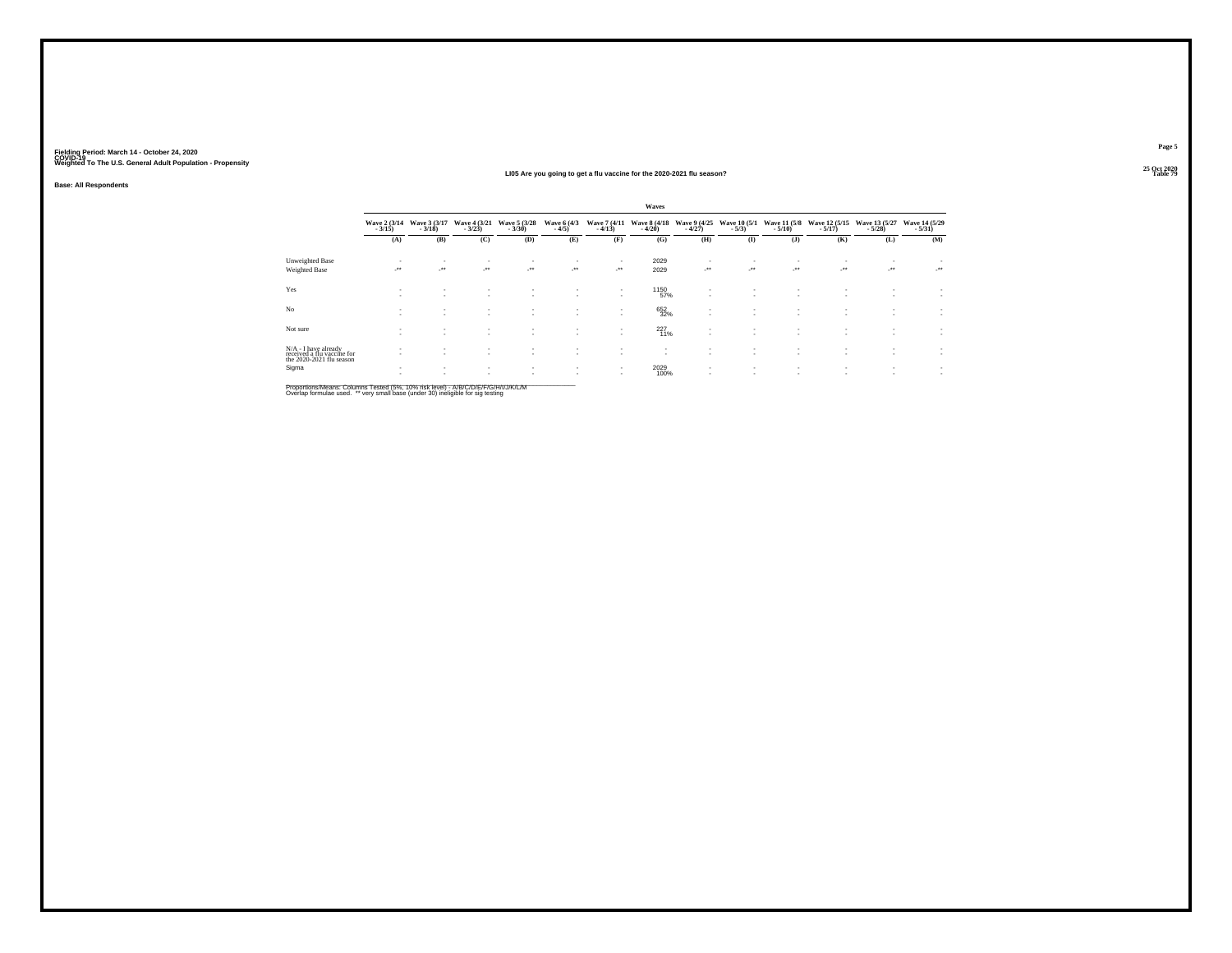#### **25 Oct 2020LI05 Are you going to get a flu vaccine for the 2020-2021 flu season?**

**Base: All Respondents**

|                                                                                |        |                                            |                              |               |                                                      |                                    | <b>Waves</b>                                 |                         |                   |           |                                                      |                                             |                  |
|--------------------------------------------------------------------------------|--------|--------------------------------------------|------------------------------|---------------|------------------------------------------------------|------------------------------------|----------------------------------------------|-------------------------|-------------------|-----------|------------------------------------------------------|---------------------------------------------|------------------|
|                                                                                |        | Wave 2 (3/14 Wave 3 (3/17<br>3/15) - 3/18) | Wave 4 (3/21)                | Wave 5 (3/28) | Wave 6 (4/3)<br>$-4/5)$                              | Wave 7 (4/11)<br>$-4/13$           | Wave 8 (4/18 Wave 9 (4/25<br>- 4/20) - 4/27) |                         | $-5/3$ )          | $-5/10$ ) | Wave 10 (5/1 Wave 11 (5/8 Wave 12 (5/15<br>$-5/17$ ) | Wave 13 (5/27 Wave 14 (5/29<br>5/28) - 5/28 |                  |
|                                                                                | (A)    | (B)                                        | (C)                          | (D)           | (E)                                                  | (F)                                | (G)                                          | (H)                     | $($ $\Gamma$      | $($ $)$   | (K)                                                  | (L)                                         | (M)              |
| Unweighted Base                                                                |        | $\mathbf{r}$                               | $\sim$                       | ٠             |                                                      |                                    | 2029                                         | ٠                       |                   |           |                                                      |                                             | $\sim$           |
| Weighted Base                                                                  | ur.    | ur.                                        | $\cdot$                      | $\cdot$       | $\mathcal{L}^{\bullet\bullet}$                       | $\cdot$                            | 2029                                         | $\mathcal{L}^{\bullet}$ | $\cdot$           | $\cdot$   | $\mathcal{L}^{\bullet\bullet}$                       | ur.                                         | $\cdot$          |
| Yes                                                                            |        | $\sim$                                     | $\mathbf{r}$                 | $\sim$        | $\mathbf{r}$                                         | $\sim$<br>$\sim$                   | 1150<br>57%                                  |                         | $\mathbf{r}$      | ٠         | $\overline{\phantom{a}}$                             | ٠                                           |                  |
| No                                                                             | $\sim$ | $\mathbf{r}$<br>$\mathbf{r}$               | $\mathbf{r}$                 | $\sim$        | $\overline{\phantom{a}}$                             | $\mathbf{r}$<br>$\sim$             | 652<br>32%                                   | ٠<br>$\sim$             | $\sim$            | $\sim$    | $\overline{\phantom{a}}$                             | ٠                                           | $\sim$           |
| Not sure                                                                       | $\sim$ | $\mathbf{r}$                               | $\sim$<br>$\sim$             |               |                                                      | $\mathbf{r}$                       | $^{227}_{11\%}$                              | ٠                       |                   |           |                                                      |                                             | $\sim$           |
| N/A - I have already<br>received a flu vaccine for<br>the 2020-2021 flu season |        |                                            | $\mathbf{r}$<br>$\mathbf{r}$ | $\mathbf{r}$  | $\overline{\phantom{a}}$<br>$\overline{\phantom{a}}$ | $\overline{\phantom{a}}$           | ٠<br>٠                                       | ٠                       | ٠                 | ٠         |                                                      |                                             | $\sim$<br>$\sim$ |
| Sigma                                                                          |        | $\sim$                                     | $\mathbf{r}$                 | $\mathbf{r}$  | $\sim$<br>$\overline{\phantom{a}}$                   | $\overline{\phantom{a}}$<br>$\sim$ | 2029<br>100%                                 |                         | $\mathbf{r}$<br>۰ | ٠<br>۰    | $\overline{\phantom{a}}$                             | $\sim$                                      | $\sim$           |

Proportions/Means: Columns Tested (5%, 10% risk level) - A/B/C/D/E/F/G/H/I/J/K/L/M<br>Overlap formulae used. \*\* very small base (under 30) ineligible for sig testing

**Page 5**25 Oct 2020<br>Table 79

**Table 79 Table 79 Table 79 Table 79 Table 79 Table 79 Table 79 Table 79**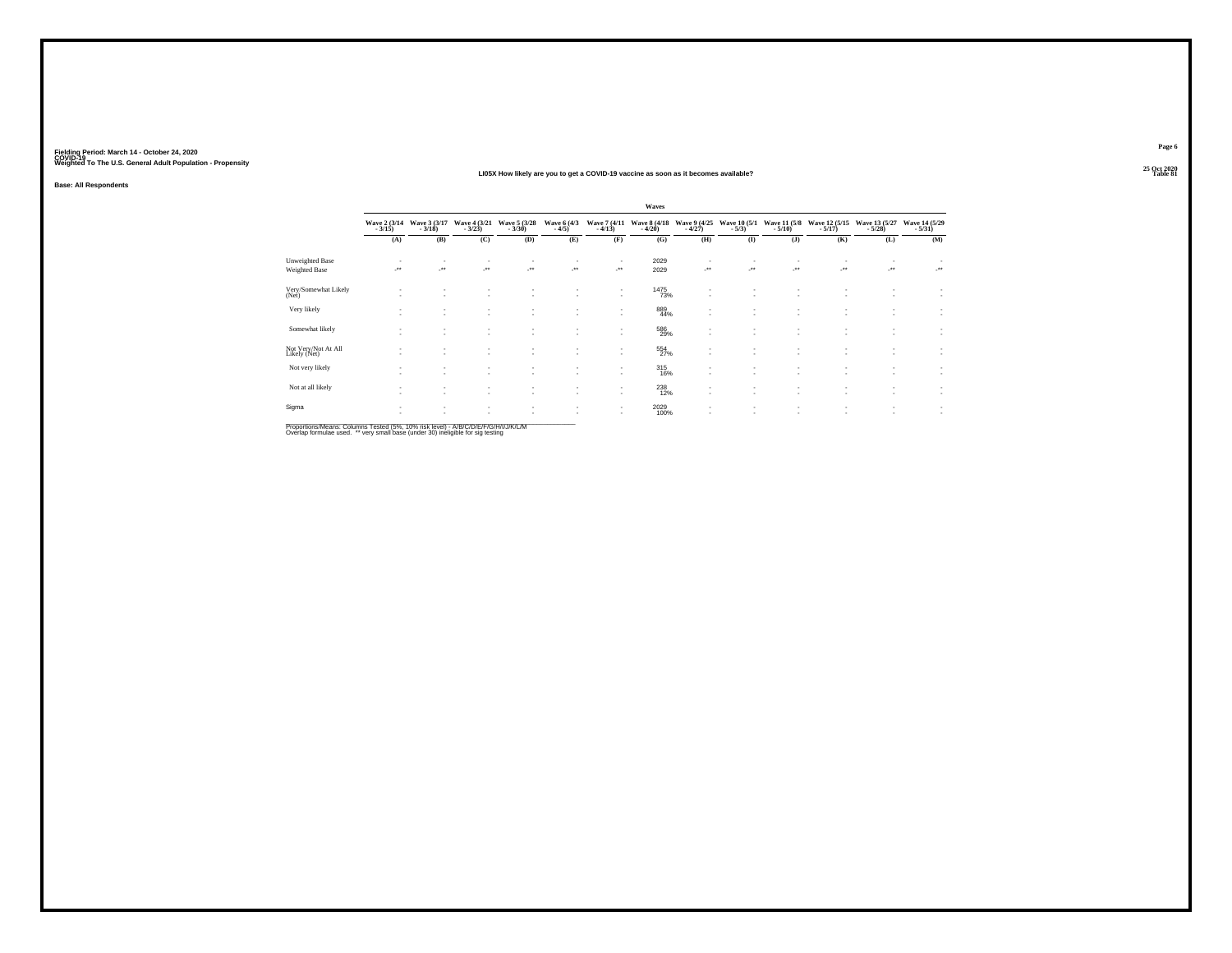#### **25 Oct 2020LI05X How likely are you to get a COVID-19 vaccine as soon as it becomes available?Table 81 Table 81**

**Base: All Respondents**

**Page 6**25 Oct 2020<br>Table 81

**Waves**Wave 2 (3/14 Wave 3 (3/17 Wave 4 (3/21 Wave 6 (3/28 Wave 6 (4/3 Wave 7 (4/11 Wave 11 (5/18 Wave 11 (5/18 Wave 11 (5/29 Wave 11 (5/29 Wave 11 (5/29 Wave 11 (5/29 Wave 11 (5/29 Wave 11 (5/29 Wave 11 (5/29 Wave 11) = 3/15) **(M) (A) (B) (C) (D) (E) (F) (G) (H) (I) (J) (K) (L)**Unweighted Base<br>Weighted Base - - - - - - <sup>2029</sup> - - - - - - -\*\* -\*\* -\*\* -\*\* -\*\* -\*\* <sup>2029</sup> -\*\* -\*\* -\*\* -\*\* -\*\* -\*\* - - - - - - 1475 - - - - - - $\ddot{\phantom{a}}$ - - - - - - 73% - - - - - - Very/Somewhat Likely (Net)- - - - - - 889 - - - - - - $\ddot{\cdot}$ - - - - - - 44% - - - - - - Very likely - - - - - - 586 - - - - - - $\bar{z}$ - - - - - - 29% - - - - - - Somewhat likely -- - - - - - - - - - - - - - -  $\sim$  -  $554$  , and the set of the set of the set of the set of the set of the set of the set of the set of the set of the set of the set of the set of the set of the set of the set of the set  $\mathbb{C}$ Not Very/Not At All Like Hotels (Net At All Like At All Like At All Like At All Like At All Like At All Like A<br>Likely (Net) - - - - - - 315 - - - - - - $\ddot{\mathbb{C}}$ Not very likely the second control to the control of the second control to the control of the control of the control of the control of the control of the control of the control of the control of the control of the control - - - - - - 238 - - - - - - $\pm$ - - - - - - 12% - - - - - - Not at all likely -- - - - - - - -  $2029$  , and the set of the set of the set of the set of the set of the set of the set of the set of the set of the set of the set of the set of the set of the set of the set of the set of the set of the s  $\cdot$ - - - - - - 100% - - - - - - Sigma

Proportions/Means: Columns Tested (5%, 10% risk level) - A/B/C/D/E/F/G/H/I/J/K/L/M<br>Overlap formulae used. \*\* very small base (under 30) ineligible for sig testing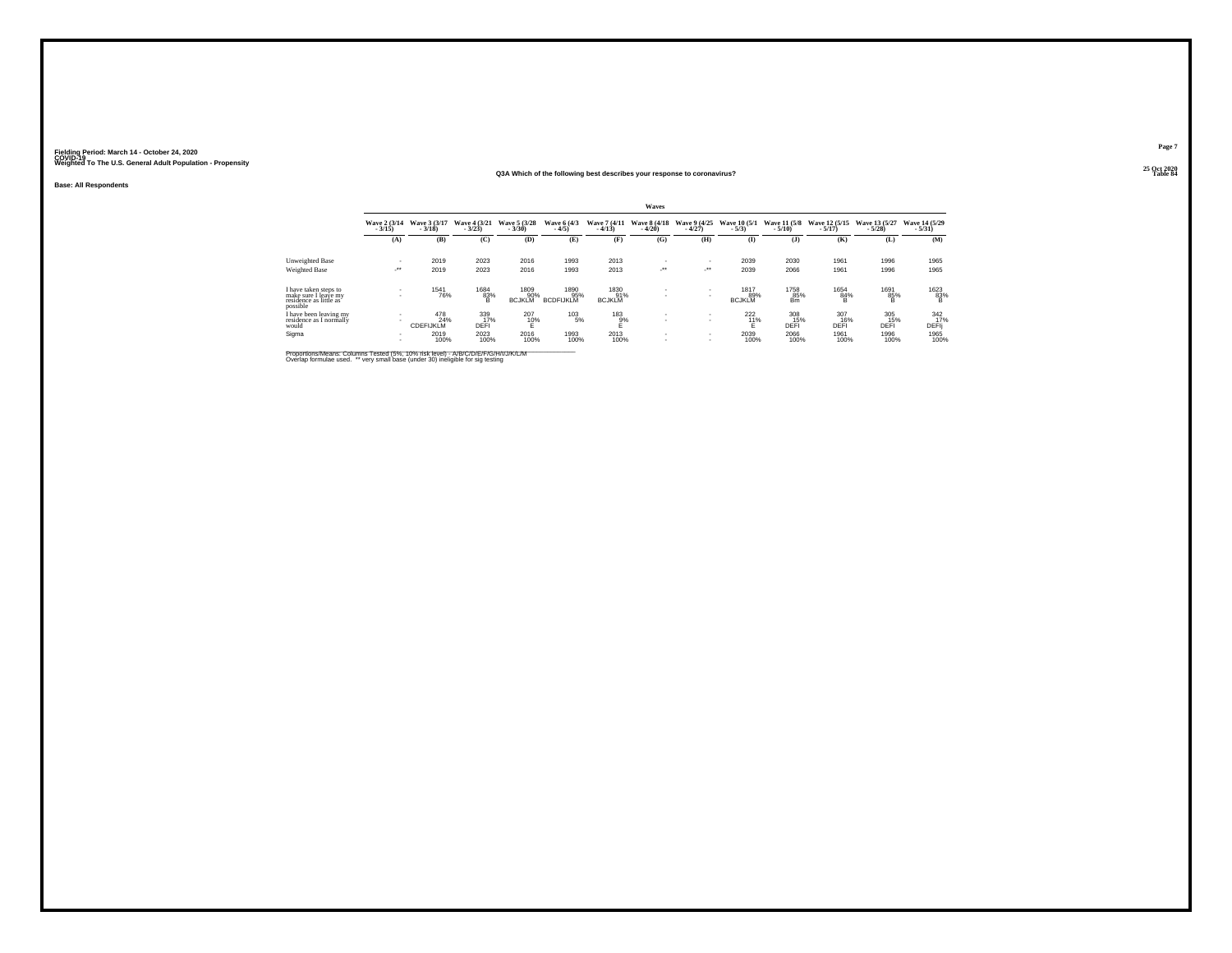#### **25 Oct 2020Q3A Which of the following best describes your response to coronavirus?Table 84 Table 84**

**Base: All Respondents**

|                                                                                      |                            |                                                |                                    |                              |                                 |                                    | Waves                    |                            |                              |                                    |                                    |                                    |                                     |
|--------------------------------------------------------------------------------------|----------------------------|------------------------------------------------|------------------------------------|------------------------------|---------------------------------|------------------------------------|--------------------------|----------------------------|------------------------------|------------------------------------|------------------------------------|------------------------------------|-------------------------------------|
|                                                                                      | Wave 2 (3/14)<br>$-3/15$   | Wave 3 (3/17)<br>$-3/18$                       | Wave 4 (3/21)<br>$-3/23$           | Wave 5 (3/28)<br>$-3/30$     | Wave 6 (4/3)<br>$-4/5$          | Wave 7 (4/11)<br>$-4/13$           | Wave 8 (4/18)<br>$-4/20$ | Wave 9 (4/25)<br>$-4/27$   | Wave 10 (5/1)<br>$-5/3$      | <b>Wave 11 (5/8)</b><br>$-5/10$    | Wave 12 (5/15)<br>$-5/17$          | Wave 13 (5/27)<br>$-5/28$          | Wave 14 (5/29)<br>$-5/31$           |
|                                                                                      | (A)                        | (B)                                            | (C)                                | (D)                          | (E)                             | (F)                                | (G)                      | (H)                        | $($ I                        | (3)                                | (K)                                | (L)                                | (M)                                 |
| Unweighted Base                                                                      |                            | 2019                                           | 2023                               | 2016                         | 1993                            | 2013                               |                          |                            | 2039                         | 2030                               | 1961                               | 1996                               | 1965                                |
| Weighted Base                                                                        | $\cdot$                    | 2019                                           | 2023                               | 2016                         | 1993                            | 2013                               | $\cdot$                  | $\mathcal{L}^{\text{max}}$ | 2039                         | 2066                               | 1961                               | 1996                               | 1965                                |
| I have taken steps to<br>make sure I leave my<br>residence as little as'<br>possible | $\sim$                     | 1541<br>76%                                    | 1684<br>83%                        | 1809<br>90%<br><b>BCJKLM</b> | 1890<br>95%<br><b>BCDFIJKLM</b> | 1830<br>91%<br><b>BCJKLM</b>       | . .                      |                            | 1817<br>89%<br><b>BCJKLM</b> | 1758<br>85%<br><b>Bm</b>           | 1654<br>84%                        | 1691<br>85%                        | 1623<br>$\frac{83}{8}$              |
| I have been leaving my<br>residence as I normally<br>would<br>Sigma                  | $\sim$<br>$\sim$<br>$\sim$ | 478<br>24%<br><b>CDEFIJKLM</b><br>2019<br>100% | 339<br>17%<br>DEFI<br>2023<br>100% | 207<br>10%<br>2016<br>100%   | 103<br>5%<br>1993<br>100%       | 183<br>$_{E}^{9%}$<br>2013<br>100% | . .<br>. .               | $\sim$<br>$\sim$           | 222<br>11%<br>2039<br>100%   | 308<br>15%<br>DEFI<br>2066<br>100% | 307<br>16%<br>DEFI<br>1961<br>100% | 305<br>15%<br>DEFI<br>1996<br>100% | 342<br>17%<br>DEFIj<br>1965<br>100% |

Proportions/Means: Columns Tested (5%, 10% risk level) - A/B/C/D/E/F/G/H/I/J/K/L/M<br>Overlap formulae used. \*\* very small base (under 30) ineligible for sig testing

**Page 7**25 Oct 2020<br>Table 84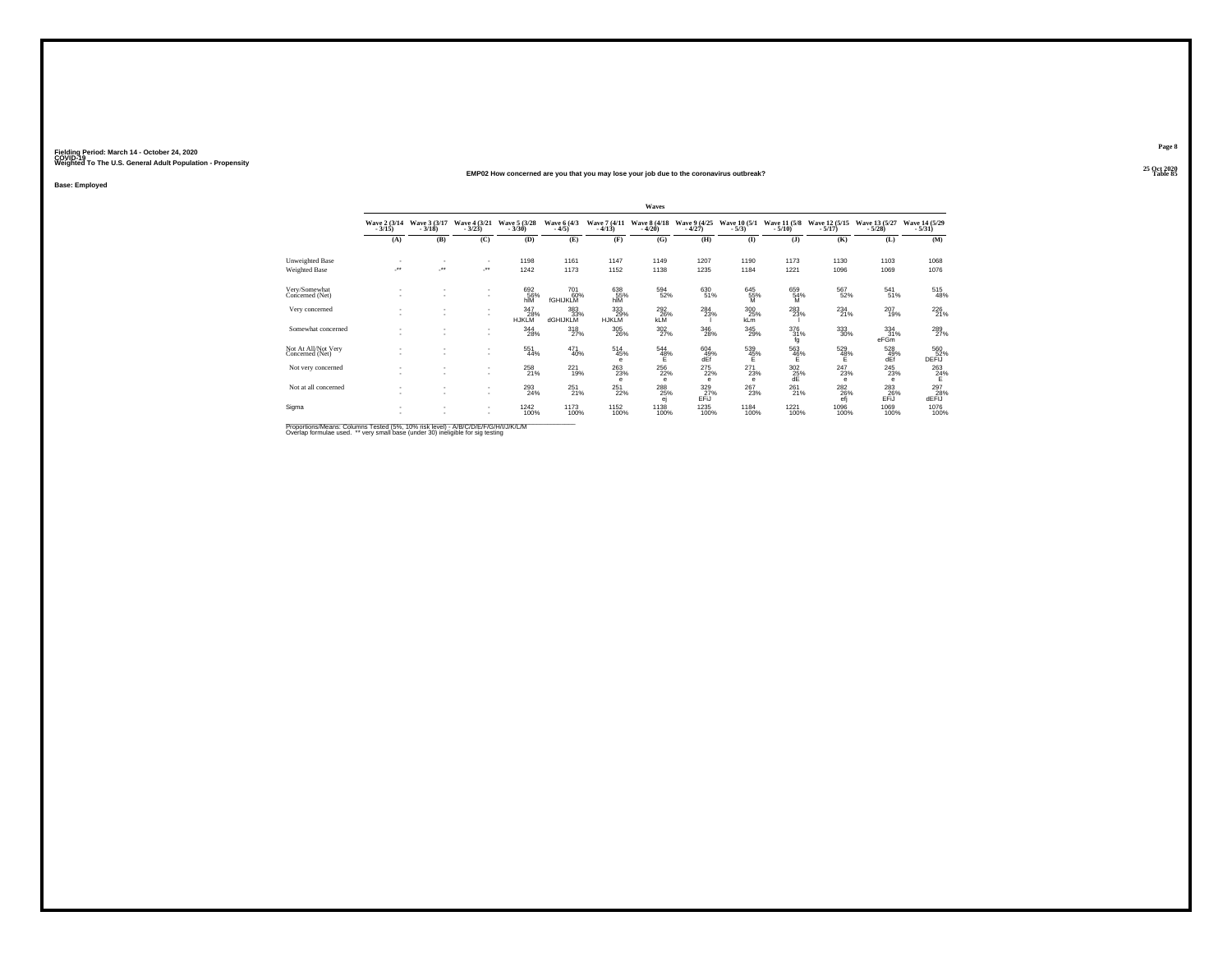#### **25 Oct 2020EMP02 How concerned are you that you may lose your job due to the coronavirus outbreak?Table 85 Table 85**

**Base: Employed**

|                                        |                          |                          |                                                      |                            |                        |                                                                        | Waves                                       |                          |                                   |                          |                           |                            |                           |
|----------------------------------------|--------------------------|--------------------------|------------------------------------------------------|----------------------------|------------------------|------------------------------------------------------------------------|---------------------------------------------|--------------------------|-----------------------------------|--------------------------|---------------------------|----------------------------|---------------------------|
|                                        | Wave 2 (3/14)<br>$-3/15$ | Wave 3 (3/17)<br>$-3/18$ | Wave 4 (3/21)<br>$-3/23$                             | Wave 5 (3/28)<br>$-3/30$   | Wave 6 (4/3)<br>$-4/5$ | Wave 7 (4/11)<br>$-4/13$                                               | Wave 8 (4/18)<br>$-4/20$                    | Wave 9 (4/25)<br>$-4/27$ | Wave 10 (5/1)<br>$-5/3$           | Wave 11 (5/8)<br>$-5/10$ | Wave 12 (5/15)<br>$-5/17$ | Wave 13 (5/27)<br>$-5/28$  | Wave 14 (5/29)<br>$-5/31$ |
|                                        | (A)                      | (B)                      | (C)                                                  | (D)                        | (E)                    | (F)                                                                    | (G)                                         | (H)                      | $($ I                             | $($ $)$                  | (K)                       | (L)                        | (M)                       |
| Unweighted Base                        | ٠                        |                          | $\sim$                                               | 1198                       | 1161                   | 1147                                                                   | 1149                                        | 1207                     | 1190                              | 1173                     | 1130                      | 1103                       | 1068                      |
| Weighted Base                          | ÷.                       | $\overline{\phantom{a}}$ | $\cdot$                                              | 1242                       | 1173                   | 1152                                                                   | 1138                                        | 1235                     | 1184                              | 1221                     | 1096                      | 1069                       | 1076                      |
| Very/Somewhat<br>Concerned (Net)       | ٠<br>٠                   | $\overline{\phantom{a}}$ | $\overline{\phantom{a}}$<br>$\mathbf{r}$             | 692<br>56%<br>hĨÑ          | 701<br>60%<br>fGHIJKLM | 638<br>55%<br>hIM                                                      | 594<br>52%                                  | 630<br>51%               | 645<br>$\frac{55}{M}$             | 659<br>54%<br>M          | 567<br>52%                | 541<br>51%                 | 515<br>48%                |
| Very concerned                         | ٠<br>٠                   |                          | $\overline{\phantom{a}}$<br>$\overline{\phantom{a}}$ | 347<br>28%<br><b>HJKLM</b> | 383<br>33%<br>dGHIJKLM | 333<br>29%<br><b>HJKLM</b>                                             | <sup>292</sup> <sub>26%</sub><br><b>KLM</b> | $^{284}_{23\%}$          | $\frac{300}{25\%}$<br>kLm         | 283%                     | $^{234}_{21\%}$           | $^{207}_{19\%}$            | 226<br>21%                |
| Somewhat concerned                     | ٠                        |                          | $\overline{\phantom{a}}$<br>$\overline{\phantom{a}}$ | 344<br>28%                 | $\frac{318}{27\%}$     | $^{305}_{\phantom{1}\phantom{1}\phantom{1}\phantom{1}\phantom{1}26\%}$ | $\frac{302}{27\%}$                          | $^{346}_{28\%}$          | 345<br>29%                        | 376<br>31%<br>fg         | $^{333}_{\ 30\%}$         | $\frac{334}{31\%}$<br>eFGm | 289<br>27%                |
| Not At All/Not Very<br>Concerned (Net) | ٠                        |                          | $\overline{\phantom{a}}$<br>$\overline{\phantom{a}}$ | 551<br>44%                 | 471<br>40%             | 514<br>45%<br>$\epsilon$                                               | 544<br>48%                                  | 604<br>49%<br>dFf        | 539<br>45%                        | 563<br>46%               | 529<br>$\frac{48}{5}$     | 528<br>$49%$<br>dEf        | 560<br>DEFIJ              |
| Not very concerned                     | ٠<br>٠                   | $\overline{\phantom{a}}$ | $\sim$<br>$\overline{\phantom{a}}$                   | $^{258}_{21\%}$            | $^{221}_{19\%}$        | $^{263}_{23\%}$<br>e                                                   | 256<br>22%<br>$\theta$                      | $^{275}_{22\%}$<br>e     | 271<br>23%<br>$\ddot{\textbf{e}}$ | $\frac{302}{25}\%$<br>dE | 247<br>23%<br>e           | $^{245}_{23\%}$<br>е       | $^{263}_{24\%}$<br>Е      |
| Not at all concerned                   | ٠                        |                          | $\sim$<br>$\overline{\phantom{a}}$                   | $^{293}_{24\%}$            | $^{251}_{21\%}$        | $^{251}_{22\%}$                                                        | 288<br>ej                                   | 329 27%<br>EFÜ           | 267<br>23%                        | $^{261}_{21\%}$          | 2826%<br>efi              | 283<br>26%<br>EFIJ         | 297<br>28%<br>dEFIJ       |
| Sigma                                  | ٠<br>٠                   | $\overline{\phantom{a}}$ | $\overline{\phantom{a}}$<br>$\overline{\phantom{a}}$ | 1242<br>100%               | 1173<br>100%           | <sup>1152</sup> 100%                                                   | 1138<br>100%                                | 1235<br>100%             | 1184<br>100%                      | 1221<br>100%             | 1096<br>100%              | 1069<br>100%               | 1076<br>100%              |

Proportions/Means: Columns Tested (5%, 10% risk level) - A/B/C/D/E/F/G/H/I/J/K/L/M<br>Overlap formulae used. \*\* very small base (under 30) ineligible for sig testing

**Page 8**25 Oct 2020<br>Table 85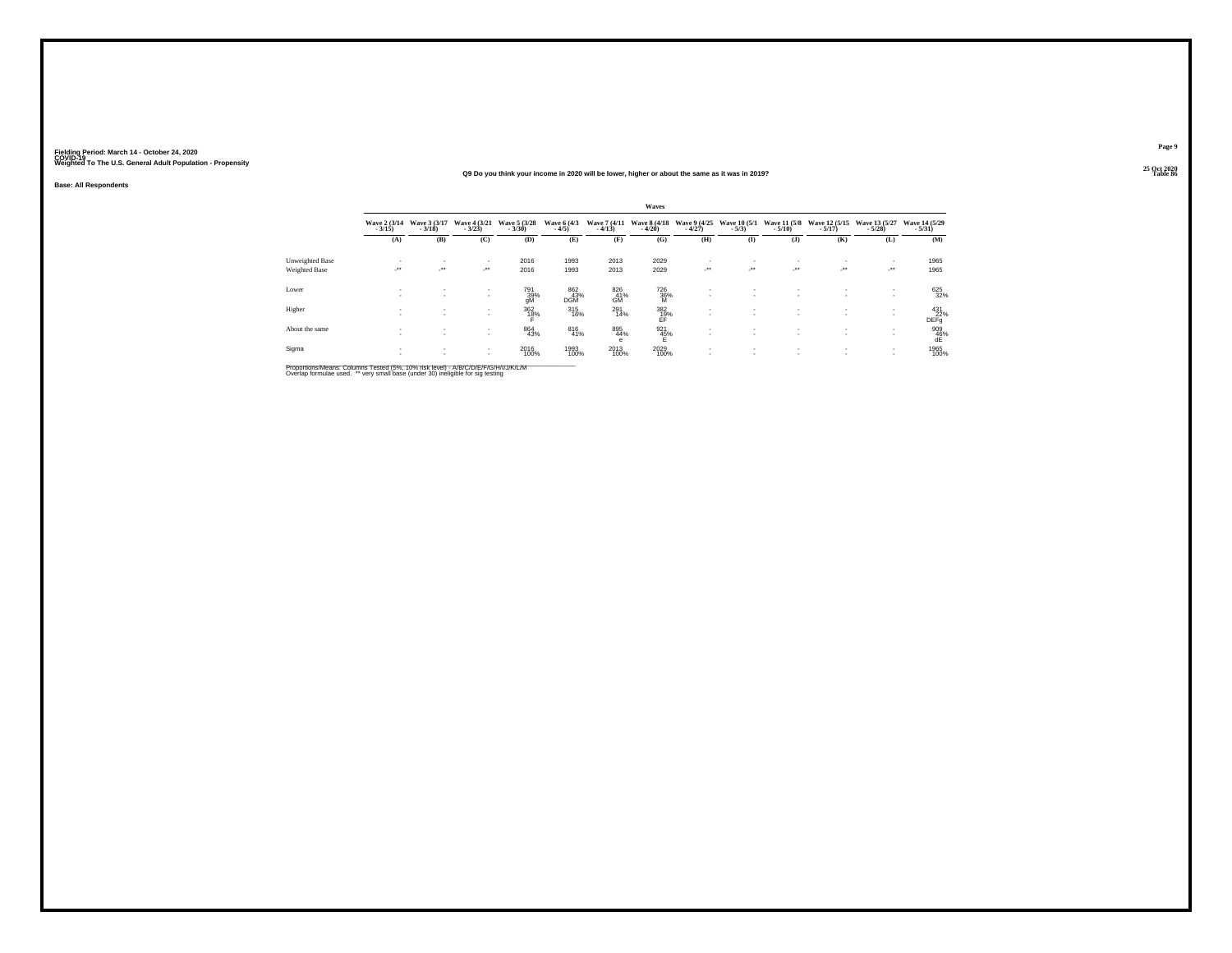#### **25 Oct 2020Q9 Do you think your income in 2020 will be lower, higher or about the same as it was in 2019?Table 86 Table 86 Table 86**

**Base: All Respondents**

|                                  |                            |                          |                                      |                          |                         |                          | Waves                            |                                     |                                          |                            |                                    |                           |                                  |
|----------------------------------|----------------------------|--------------------------|--------------------------------------|--------------------------|-------------------------|--------------------------|----------------------------------|-------------------------------------|------------------------------------------|----------------------------|------------------------------------|---------------------------|----------------------------------|
|                                  | Wave 2 (3/14)<br>$-3/15$ ) | Wave 3 (3/17)<br>$-3/18$ | Wave 4 (3/21)<br>$-3/23$             | Wave 5 (3/28)<br>$-3/30$ | Wave 6 (4/3)<br>$-4/5$  | Wave 7 (4/11)<br>$-4/13$ | <b>Wave 8 (4/18)</b><br>$-4/20$  | Wave 9 (4/25)<br>$-4/27$            | Wave 10 (5/1)<br>$-5/3$ )                | Wave 11 (5/8)<br>$-5/10$ ) | Wave 12 (5/15)<br>$-5/17$ )        | Wave 13 (5/27)<br>$-5/28$ | Wave 14 (5/29)<br>$-5/31$        |
|                                  | (A)                        | (B)                      | (C)                                  | (D)                      | (E)                     | (F)                      | (G)                              | (H)                                 | $($ I                                    | $($ $)$                    | (K)                                | (L)                       | (M)                              |
| Unweighted Base<br>Weighted Base | <br>$\cdot$                | $\sim$<br>ur.            | $\sim$<br>$\mathcal{L}^{\text{max}}$ | 2016<br>2016             | 1993<br>1993            | 2013<br>2013             | 2029<br>2029                     | ٠<br>$\mathcal{L}^{\bullet\bullet}$ | $\overline{\phantom{a}}$<br>$\cdot$      | $\cdot$                    | ٠<br>$\cdot$                       | $\mathcal{F}^{\bullet}$   | 1965<br>1965                     |
| Lower                            | $\sim$<br>                 | $\sim$<br>$\mathbf{r}$   | $\mathbf{r}$<br>$\mathbf{r}$         | 791<br>39%<br>gM         | 862<br>$\frac{43}{100}$ | 826<br>G <sup>41%</sup>  | 726<br>$\frac{36}{9}$            | ٠                                   | $\sim$                                   |                            | ٠<br>$\sim$                        |                           | 625<br>32%                       |
| Higher                           |                            | $\sim$<br>$\sim$         | $\sim$<br>$\sim$                     | $\frac{362}{18\%}$       | $^{315}_{16\%}$         | 291<br>14%               | $\underset{\mathsf{EF}}{^{382}}$ |                                     | $\overline{\phantom{a}}$                 |                            | $\overline{\phantom{a}}$<br>$\sim$ |                           | 431<br>22%<br><b>DEFg</b>        |
| About the same                   |                            | $\sim$<br>$\mathbf{r}$   | $\mathbf{r}$<br>$\mathbf{r}$         | 864<br>43%               | 816<br>41%              | 895<br>44%<br>e          | 921<br>45%                       | $\sim$<br>٠                         | $\mathbf{r}$<br>$\mathbf{r}$             | $\mathbf{r}$               | ٠<br>$\overline{\phantom{a}}$      | <b>A</b>                  | $\underset{\mathsf{dE}}{^{909}}$ |
| Sigma                            | $\sim$<br>$\sim$           | $\sim$<br>$\mathbf{r}$   | $\sim$<br>$\mathbf{r}$               | 2016<br>100%             | 1993<br>100%            | 2013<br>100%             | 2029<br>100%                     | ٠<br>٠                              | $\mathbf{r}$<br>$\overline{\phantom{a}}$ | $\sim$                     | $\overline{\phantom{a}}$<br>٠      | . .                       | 1965<br>100%                     |

Proportions/Means: Columns Tested (5%, 10% risk level) - A/B/C/D/E/F/G/H/I/J/K/L/M<br>Overlap formulae used. \*\* very small base (under 30) ineligible for sig testing

**Page 9**25 Oct 2020<br>Table 86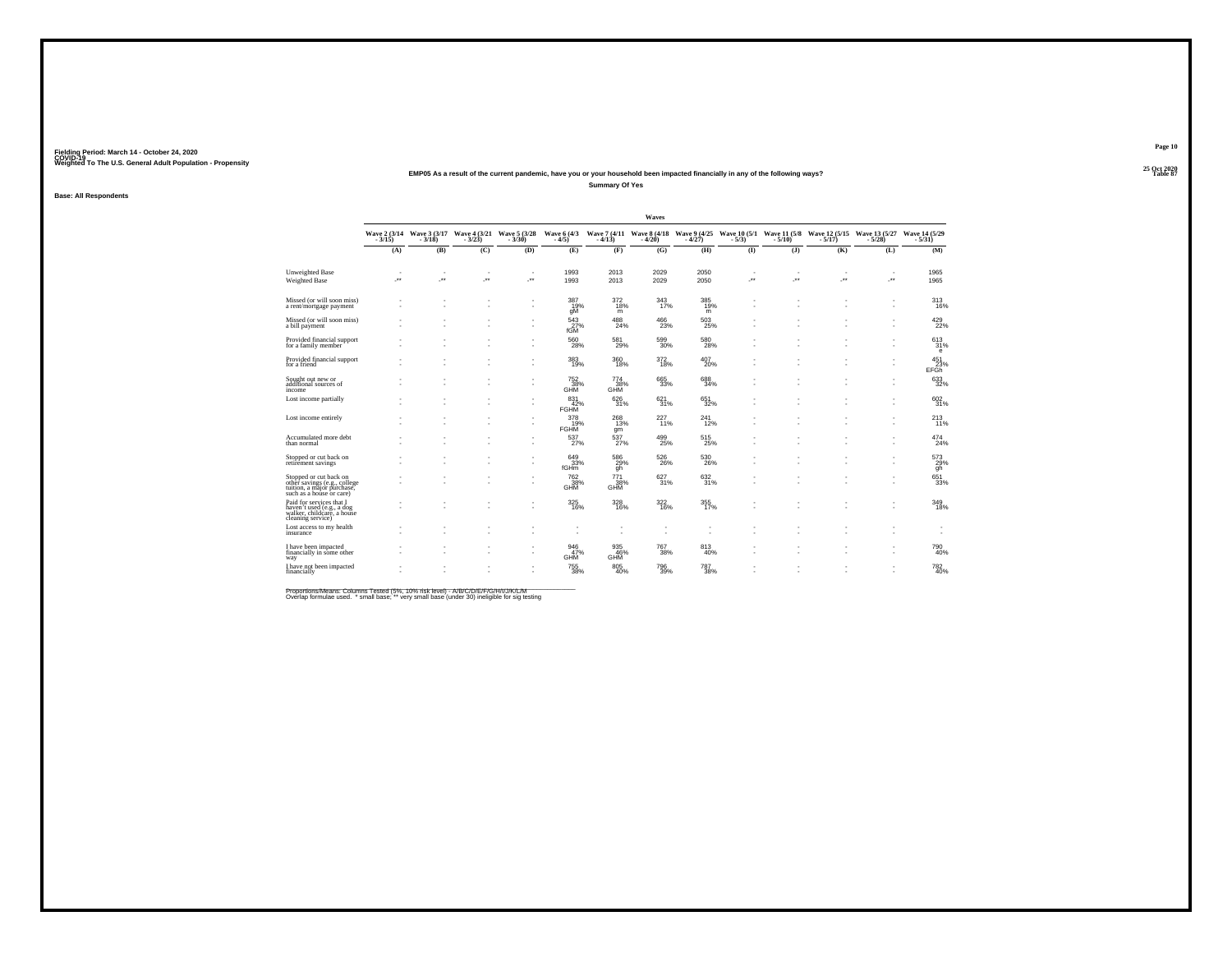## **25 Oct 2020EMP05 As a result of the current pandemic, have you or your household been impacted financially in any of the following ways?Summary Of Yes**

**Base: All Respondents**

|                                                                                                                  |         |                          |                          |                                                                             |                            |                         | Waves                         |                 |          |         |                                                                                                                       |         |                           |
|------------------------------------------------------------------------------------------------------------------|---------|--------------------------|--------------------------|-----------------------------------------------------------------------------|----------------------------|-------------------------|-------------------------------|-----------------|----------|---------|-----------------------------------------------------------------------------------------------------------------------|---------|---------------------------|
|                                                                                                                  | $-3/15$ | $-3/18$                  | $-3/23$                  | Wave 2 (3/14 Wave 3 (3/17 Wave 4 (3/21 Wave 5 (3/28 Wave 6 (4/3)<br>$-3/30$ | $-4/5$                     | $-4/13$                 | $-4/20$                       | $-4/27$         | $-5/3$ ) | $-5/10$ | Wave 7 (4/11 Wave 8 (4/18 Wave 9 (4/25 Wave 10 (5/1 Wave 11 (5/8 Wave 12 (5/15 Wave 13 (5/27 Wave 14 (5/29<br>$-5/17$ | $-5/28$ | $-5/31$                   |
|                                                                                                                  | (A)     | (B)                      | (C)                      | (D)                                                                         | (E)                        | (F)                     | (G)                           | (H)             | (I)      | $($ $)$ | (K)                                                                                                                   | (L)     | (M)                       |
| Unweighted Base                                                                                                  |         |                          |                          | $\overline{\phantom{a}}$                                                    | 1993                       | 2013                    | 2029                          | 2050            |          |         |                                                                                                                       |         | 1965                      |
| Weighted Base                                                                                                    | z.      | $\overline{\phantom{a}}$ | ×                        | ÷                                                                           | 1993                       | 2013                    | 2029                          | 2050            |          | J.      | J.                                                                                                                    | ÷.      | 1965                      |
| Missed (or will soon miss)<br>a rent/mortgage payment                                                            |         |                          | $\overline{\phantom{a}}$ | ٠                                                                           | 387<br>19%<br>gM           | $\frac{372}{18\%}$<br>m | 343<br>17%                    | 385<br>19%<br>m |          |         |                                                                                                                       | ٠       | 313<br>16%                |
| Missed (or will soon miss)<br>a bill payment                                                                     |         |                          |                          | ٠<br>٠                                                                      | $\frac{543}{27\%}$<br>fGM  | 488<br>24%              | 466<br>23%                    | 503<br>25%      |          |         |                                                                                                                       | ٠<br>٠  | 429<br>22%                |
| Provided financial support<br>for a family member                                                                |         |                          |                          | $\overline{\phantom{a}}$                                                    | 560<br>28%                 | 581<br>29%              | 599<br>30%                    | 580<br>28%      |          |         |                                                                                                                       |         | 613<br>31%<br>e           |
| Provided financial support<br>for a friend                                                                       |         |                          |                          | ٠<br>٠                                                                      | 383<br>19%                 | 360<br>18%              | 372<br>18%                    | 407<br>20%      |          |         |                                                                                                                       | ٠<br>٠  | 451<br>23%<br><b>EFGh</b> |
| Sought out new or<br>additional sources of<br>income                                                             |         |                          |                          | ٠                                                                           | $752$<br>$38\%$<br>GHM     | $^{774}_{38\%}$<br>GHM  | 665<br>33%                    | 688<br>34%      |          |         |                                                                                                                       | ٠       | $\substack{633 \\ 32\%}$  |
| Lost income partially                                                                                            |         |                          |                          |                                                                             | 831<br>42%<br><b>FGHM</b>  | 626<br>31%              | 621<br>31%                    | 651<br>32%      |          |         |                                                                                                                       | ٠<br>٠  | $\substack{602\\31\%}$    |
| Lost income entirely                                                                                             |         |                          |                          | $\overline{\phantom{a}}$                                                    | 378<br>19%<br><b>FGHM</b>  | 268<br>13%<br>qm        | 227 <sub>11%</sub>            | 241<br>12%      |          |         |                                                                                                                       | ٠<br>٠  | $^{213}_{11\%}$           |
| Accumulated more debt<br>than normal                                                                             |         |                          |                          |                                                                             | 537<br>27%                 | 537<br>27%              | 499<br>25%                    | 515<br>25%      |          |         |                                                                                                                       |         | $^{474}_{24\%}$           |
| Stopped or cut back on<br>retirément savings                                                                     |         |                          |                          |                                                                             | 649<br>33%<br>fGHm         | 586<br>29%<br>gh        | 526<br>26%                    | 530<br>26%      |          |         |                                                                                                                       | ٠<br>٠  | 573<br>29%<br>gh          |
| Stopped or cut back on<br>other savings (e.g., college<br>tuition, a major purchase,<br>such as a house or care) |         |                          |                          |                                                                             | 762<br>38%<br>GHM          | 771<br>38%<br>GHM       | 627%                          | 632 %           |          |         |                                                                                                                       | ٠       | 651/33%                   |
| Paid for services that I<br>haven't used (e.g., a dog<br>walker, childcare, a house<br>cleaning service)         |         |                          |                          |                                                                             | $^{325}_{\phantom{1}16\%}$ | 328<br>16%              | 322<br>16%                    | 355<br>17%      |          |         |                                                                                                                       |         | 349<br>18%                |
| Lost access to my health<br>insurance                                                                            |         |                          |                          |                                                                             | ٠                          | ٠<br>٠                  | ٠                             |                 |          |         |                                                                                                                       |         |                           |
| have been impacted<br>financially in some other<br>way                                                           |         |                          |                          |                                                                             | 946<br>47%<br>GHM          | 935<br>46%<br>GHM       | <sup>767</sup> <sub>38%</sub> | 813<br>40%      |          |         |                                                                                                                       | ٠       | 790<br>40%                |
| have not been impacted<br>financially                                                                            |         |                          |                          |                                                                             | $^{755}_{38\%}$            | $^{805}_{40\%}$         | 796<br>39%                    | 787<br>38%      |          |         |                                                                                                                       |         | $^{782}_{40\%}$           |

Proportions/Means: Columns Tested (5%, 10% risk level) - A/B/C/D/E/F/G/H/I/J/K/L/M<br>Overlap formulae used. \*small base; \* very small base (under 30) ineligible for sig testing

**Page 1025 Oct 2020<br>Table 87** 

**Particularly 2 Table 87 Table 87**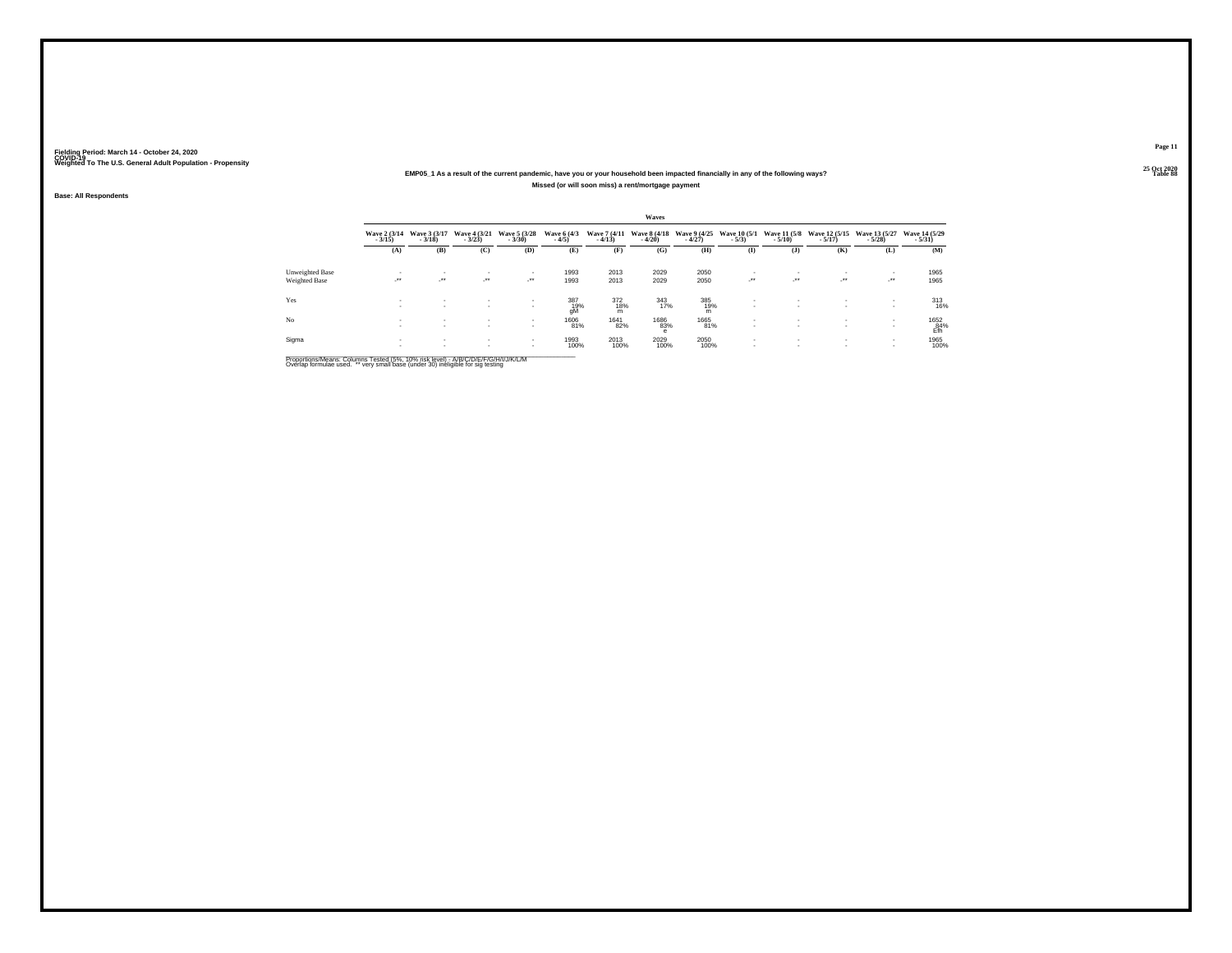## **25 Oct 2020EMP05\_1 As a result of the current pandemic, have you or your household been impacted financially in any of the following ways?Missed (or will soon miss) a rent/mortgage payment**

**Base: All Respondents**

|                 |                          |                            |                                          |                            |                        |                          | Waves                    |                          |                                    |                                    |                             |                            |                                                 |
|-----------------|--------------------------|----------------------------|------------------------------------------|----------------------------|------------------------|--------------------------|--------------------------|--------------------------|------------------------------------|------------------------------------|-----------------------------|----------------------------|-------------------------------------------------|
|                 | Wave 2 (3/14)<br>$-3/15$ | Wave 3 (3/17)<br>$-3/18$   | Wave 4 (3/21)<br>$-3/23$                 | Wave 5 (3/28)<br>$-3/30$   | Wave 6 (4/3)<br>$-4/5$ | Wave 7 (4/11)<br>$-4/13$ | Wave 8 (4/18)<br>$-4/20$ | Wave 9 (4/25)<br>$-4/27$ | Wave 10 (5/1)<br>$-5/3$            | Wave 11 (5/8)<br>$-5/10$           | Wave 12 (5/15)<br>$-5/17$ ) | Wave 13 (5/27)<br>$-5/28$  | Wave 14 (5/29)<br>$-5/31)$                      |
|                 | (A)                      | (B)                        | (C)                                      | (D)                        | (E)                    | (F)                      | (G)                      | (H)                      | $\mathbf{I}$                       | $($ $)$                            | (K)                         | (L)                        | (M)                                             |
| Unweighted Base |                          |                            | $\overline{\phantom{a}}$                 | ٠                          | 1993                   | 2013                     | 2029                     | 2050                     |                                    |                                    |                             | $\sim$                     | 1965                                            |
| Weighted Base   | $\overline{\phantom{a}}$ | $\mathcal{L}^{\text{max}}$ | $\cdot$                                  | $\mathcal{L}^{\text{max}}$ | 1993                   | 2013                     | 2029                     | 2050                     | $\cdot$                            | $\sim$                             | $\rightarrow$               | $\mathcal{L}^{\text{max}}$ | 1965                                            |
| Yes             | $\sim$                   | $\sim$                     | $\mathbf{r}$<br>$\overline{\phantom{a}}$ | $\mathbf{r}$<br>٠          | 387<br>19%<br>gM       | 372<br>18%<br>m          | 343<br>17%               | 385<br>19%<br>m          | $\sim$                             | $\mathbf{r}$                       | $\overline{\phantom{a}}$    | <b>A</b><br><b>A</b>       | $313 \over 16\%$                                |
| No              |                          | $\sim$                     | $\sim$<br>$\sim$                         | $\sim$<br>$\sim$           | 1606<br>81%            | 1641<br>82%              | 1686<br>83%<br>e         | 1665<br>81%              | $\overline{\phantom{a}}$<br>$\sim$ | $\overline{\phantom{a}}$<br>$\sim$ | $\sim$                      |                            | $\overset{1652}{\underset{\mathsf{Efh}}{84\%}}$ |
| Sigma           |                          |                            | $\sim$<br>$\sim$                         | $\sim$                     | 1993<br>100%           | 2013<br>100%             | 2029<br>100%             | 2050<br>100%             |                                    | $\overline{\phantom{a}}$           |                             | <b>A</b><br><b>A</b>       | 1965<br>100%                                    |

Proportions/Means: Columns Tested (5%, 10% risk level) - A/B/C/D/E/F/G/H/I/J/K/L/M<br>Overlap formulae used. \*\* very small base (under 30) ineligible for sig testing

**Page 1125 Oct 2020<br>Table 88** 

**Table 88 Table 88**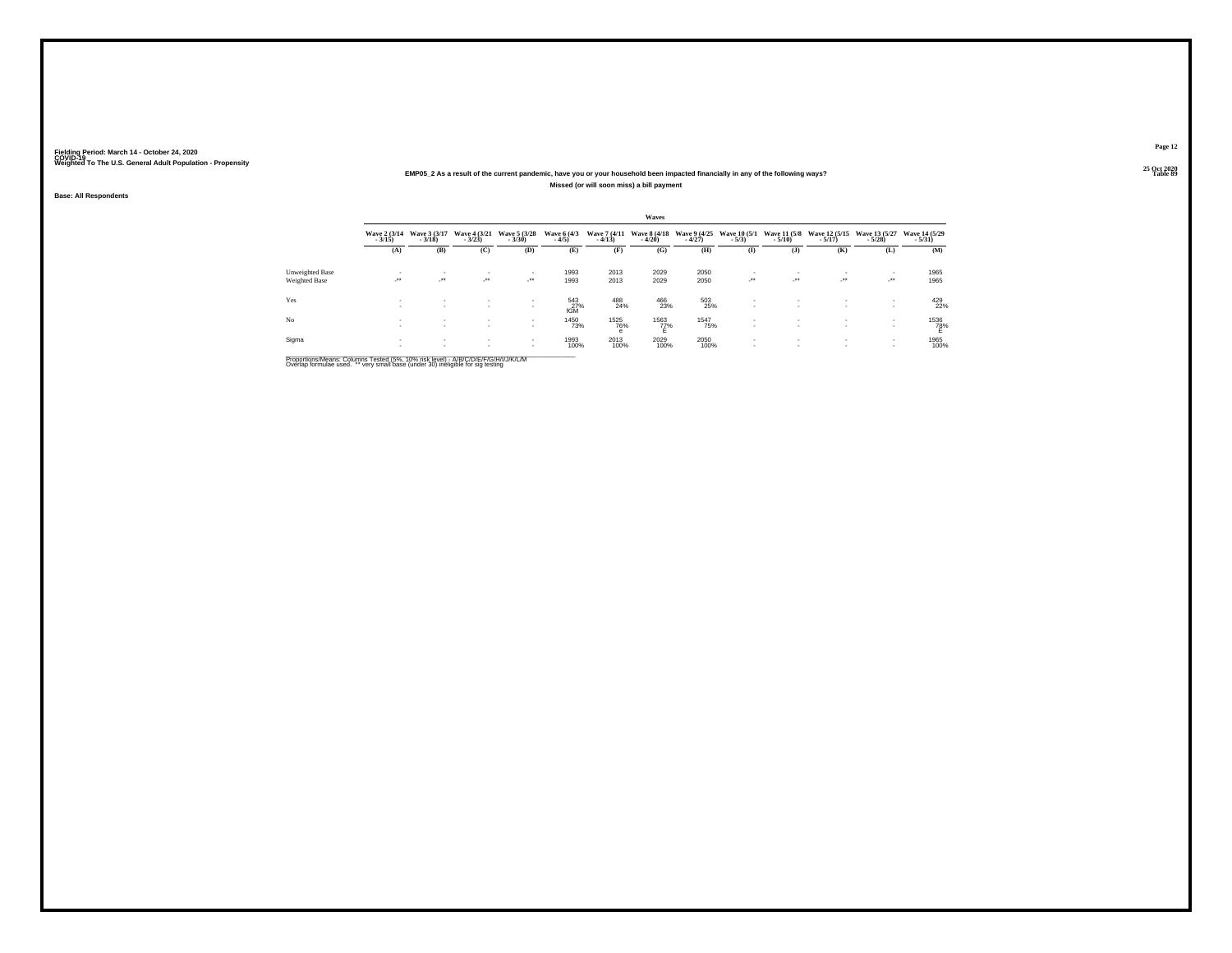## **25 Oct 2020EMP05\_2 As a result of the current pandemic, have you or your household been impacted financially in any of the following ways?Missed (or will soon miss) a bill payment**

**Base: All Respondents**

|                 |                          |                            |                              |                            |                        |                          | Waves                    |                          |                         |                            |                                |                            |                            |
|-----------------|--------------------------|----------------------------|------------------------------|----------------------------|------------------------|--------------------------|--------------------------|--------------------------|-------------------------|----------------------------|--------------------------------|----------------------------|----------------------------|
|                 | Wave 2 (3/14)<br>$-3/15$ | Wave 3 (3/17)<br>$-3/18$   | Wave 4 (3/21)<br>$-3/23$     | Wave 5 (3/28)<br>$-3/30$   | Wave 6 (4/3)<br>$-4/5$ | Wave 7 (4/11)<br>$-4/13$ | Wave 8 (4/18)<br>$-4/20$ | Wave 9 (4/25)<br>$-4/27$ | Wave 10 (5/1)<br>$-5/3$ | Wave 11 (5/8)<br>$-5/10$   | Wave 12 (5/15)<br>$-5/17$ )    | Wave 13 (5/27)<br>$-5/28$  | Wave 14 (5/29)<br>$-5/31)$ |
|                 | (A)                      | (B)                        | (C)                          | (D)                        | (E)                    | (F)                      | (G)                      | (H)                      | $\mathbf{I}$            | $($ $)$                    | (K)                            | (L)                        | (M)                        |
| Unweighted Base |                          | $\mathbf{r}$               | $\overline{\phantom{a}}$     | ٠                          | 1993                   | 2013                     | 2029                     | 2050                     |                         |                            |                                | $\sim$                     | 1965                       |
| Weighted Base   | $\overline{\phantom{a}}$ | $\mathcal{L}^{\text{max}}$ | $\rightarrow$                | $\mathcal{L}^{\text{max}}$ | 1993                   | 2013                     | 2029                     | 2050                     | $\cdot$                 | $\mathcal{L}^{\text{max}}$ | $\mathcal{L}^{\bullet\bullet}$ | $\mathcal{L}^{\text{max}}$ | 1965                       |
| Yes             | х.                       | $\mathbf{r}$               | $\mathbf{r}$<br>$\mathbf{r}$ | $\sim$<br>٠                | 543<br>27%<br>fGM      | 488<br>24%               | 466<br>23%               | 503<br>25%               | $\sim$                  | $\mathbf{r}$               | $\overline{\phantom{a}}$       | <b>A</b>                   | 429<br>22%                 |
| No              |                          | $\sim$                     | $\sim$<br>$\sim$             | $\sim$                     | 1450<br>73%            | 1525<br>76%<br>е         | 1563<br>77%<br>E         | 1547<br>75%              | $\sim$                  | $\overline{\phantom{a}}$   | $\sim$                         |                            | $^{1536}_{78\%}$           |
| Sigma           |                          |                            | $\sim$<br>$\sim$             | $\sim$                     | 1993<br>100%           | 2013<br>100%             | 2029<br>100%             | 2050<br>100%             | $\sim$                  | $\overline{\phantom{a}}$   | $\sim$                         | <b>A</b><br><b>A</b>       | 1965<br>100%               |

Proportions/Means: Columns Tested (5%, 10% risk level) - A/B/C/D/E/F/G/H/I/J/K/L/M<br>Overlap formulae used. \*\* very small base (under 30) ineligible for sig testing

**Page 12**25 Oct 2020<br>Table 89

**Table 89 Table 89**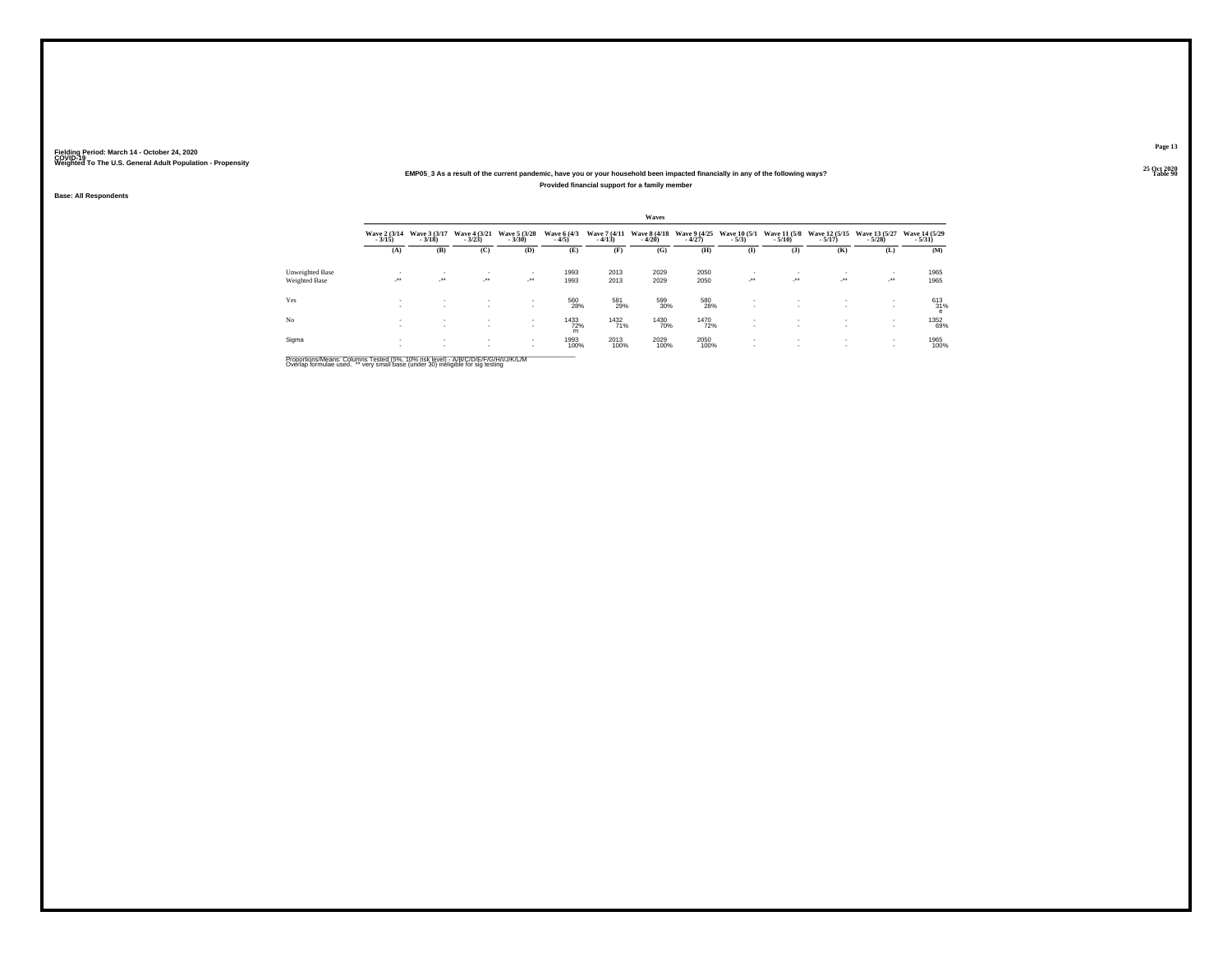### **25 Oct 2020EMP05\_3 As a result of the current pandemic, have you or your household been impacted financially in any of the following ways?Provided financial support for a family member**

**Base: All Respondents**

|                        |                            |                          |                              |                          |                        |                          | Waves                    |                          |                         |                          |                                |                            |                            |
|------------------------|----------------------------|--------------------------|------------------------------|--------------------------|------------------------|--------------------------|--------------------------|--------------------------|-------------------------|--------------------------|--------------------------------|----------------------------|----------------------------|
|                        | Wave 2 (3/14)<br>$-3/15$   | Wave 3 (3/17)<br>$-3/18$ | Wave 4 (3/21)<br>$-3/23$     | Wave 5 (3/28)<br>$-3/30$ | Wave 6 (4/3)<br>$-4/5$ | Wave 7 (4/11)<br>$-4/13$ | Wave 8 (4/18)<br>$-4/20$ | Wave 9 (4/25)<br>$-4/27$ | Wave 10 (5/1)<br>$-5/3$ | Wave 11 (5/8)<br>$-5/10$ | Wave 12 (5/15)<br>$-5/17$      | Wave 13 (5/27)<br>$-5/28$  | Wave 14 (5/29)<br>$-5/31)$ |
|                        | (A)                        | (B)                      | (C)                          | (D)                      | (E)                    | (F)                      | (G)                      | (H)                      | $\bf(I)$                | (1)                      | (K)                            | (L)                        | (M)                        |
| <b>Unweighted Base</b> |                            | $\overline{\phantom{a}}$ | $\mathbf{r}$                 |                          | 1993                   | 2013                     | 2029                     | 2050                     |                         |                          |                                | $\sim$                     | 1965                       |
| Weighted Base          | $\mathcal{L}^{\text{max}}$ | $\overline{\phantom{a}}$ | $\mathcal{L}^{\text{max}}$   | $\cdot$                  | 1993                   | 2013                     | 2029                     | 2050                     | $\cdot$                 | - 11                     | $\mathcal{L}^{\bullet\bullet}$ | $\mathcal{L}^{\text{max}}$ | 1965                       |
| Yes                    | <b>A</b><br><b>1979</b>    | $\sim$<br>$\mathbf{r}$   | $\mathbf{r}$<br>$\mathbf{r}$ | ٠<br>$\sim$              | 560<br>28%             | 581<br>29%               | 599<br>30%               | 580<br>28%               | $\sim$                  | $\mathbf{r}$             | $\overline{\phantom{a}}$       | <b>A</b><br><b>A</b>       | 613<br>31%<br>e            |
| No                     |                            | $\sim$<br>$\sim$         | $\sim$<br>$\sim$             | $\sim$<br>$\sim$         | 1433<br>72%<br>m       | 1432<br>71%              | 1430<br>70%              | 1470<br>72%              | $\mathbf{r}$            | $\sim$<br>$\sim$         | $\mathbf{r}$                   |                            | 1352<br>69%                |
| Sigma                  |                            | $\sim$<br>$\sim$         | $\sim$<br>$\sim$             | $\sim$<br>$\sim$         | 1993<br>100%           | 2013<br>100%             | 2029<br>100%             | 2050<br>100%             |                         | $\sim$                   | $\sim$                         | <b>A</b>                   | 1965<br>100%               |

Proportions/Means: Columns Tested (5%, 10% risk level) - A/B/C/D/E/F/G/H/I/J/K/L/M<br>Overlap formulae used. \*\* very small base (under 30) ineligible for sig testing

**Page 13**25 Oct 2020<br>Table 90

**Table 90 Table 90 Table 90 Table 90**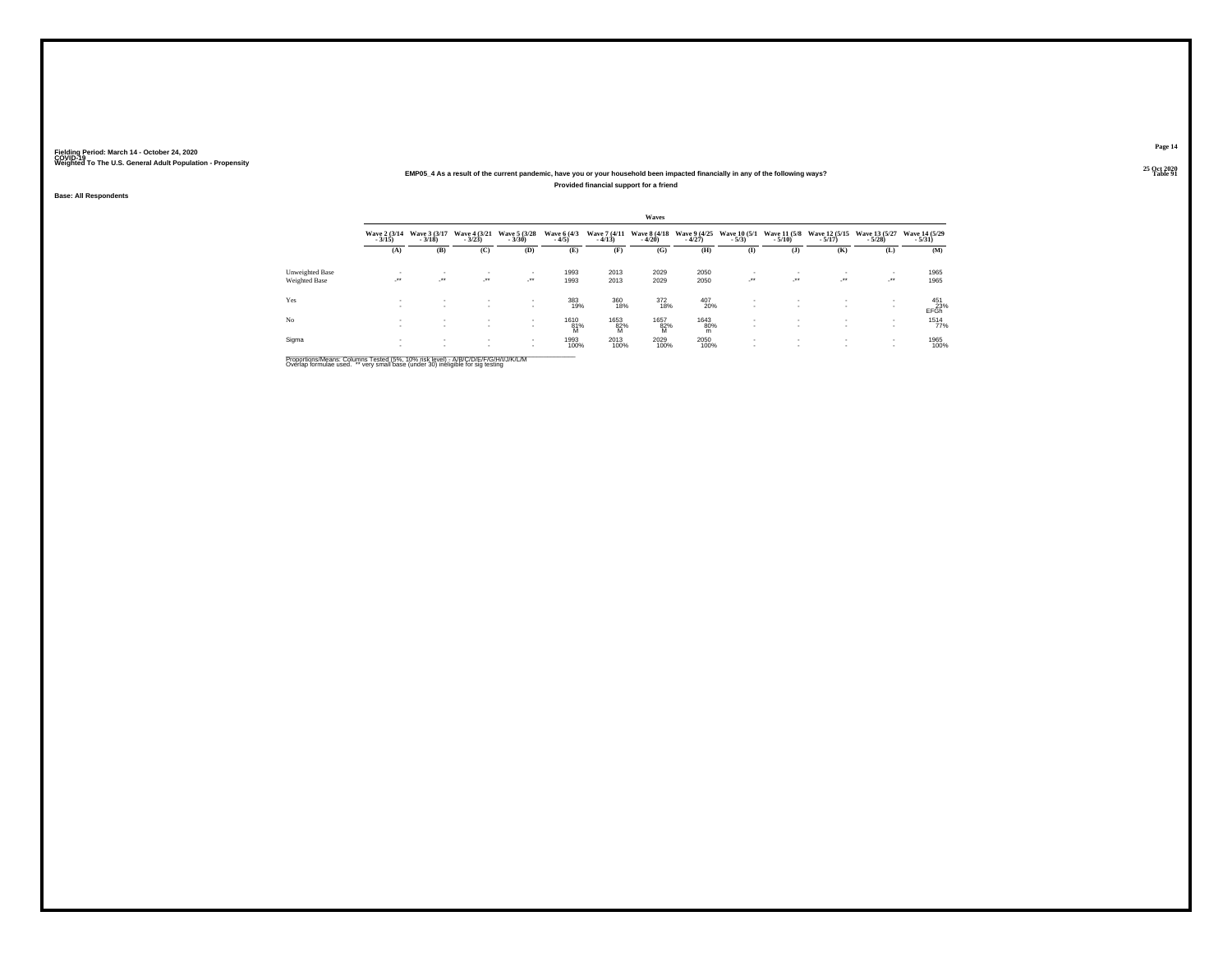### **25 Oct 2020EMP05\_4 As a result of the current pandemic, have you or your household been impacted financially in any of the following ways?Provided financial support for a friend**

**Base: All Respondents**

|                        |                            |                          |                              |                            |                        |                          | Waves                    |                          |                                |                                 |                             |                           |                            |
|------------------------|----------------------------|--------------------------|------------------------------|----------------------------|------------------------|--------------------------|--------------------------|--------------------------|--------------------------------|---------------------------------|-----------------------------|---------------------------|----------------------------|
|                        | Wave 2 (3/14)<br>$-3/15$   | Wave 3 (3/17)<br>$-3/18$ | Wave 4 (3/21)<br>$-3/23$     | Wave 5 (3/28)<br>$-3/30$   | Wave 6 (4/3)<br>$-4/5$ | Wave 7 (4/11)<br>$-4/13$ | Wave 8 (4/18)<br>$-4/20$ | Wave 9 (4/25)<br>$-4/27$ | <b>Wave 10 (5/1)</b><br>$-5/3$ | <b>Wave 11 (5/8)</b><br>$-5/10$ | Wave 12 (5/15)<br>$-5/17$ ) | Wave 13 (5/27)<br>$-5/28$ | Wave 14 (5/29)<br>$-5/31)$ |
|                        | (A)                        | (B)                      | (C)                          | (D)                        | (E)                    | (F)                      | (G)                      | (H)                      | $($ I                          | $($ $)$                         | (K)                         | (L)                       | (M)                        |
| <b>Unweighted Base</b> |                            | $\mathbf{r}$             | $\mathbf{r}$                 | $\mathbf{r}$               | 1993                   | 2013                     | 2029                     | 2050                     | ٠                              | $\mathbf{r}$                    | $\sim$                      | $\sim$                    | 1965                       |
| Weighted Base          | $\mathcal{L}^{\text{max}}$ | ur.                      | $\cdot$                      | $\mathcal{L}^{\text{max}}$ | 1993                   | 2013                     | 2029                     | 2050                     | 59                             | $\cdot$                         | $\cdot$                     | $\cdot$                   | 1965                       |
| Yes                    | <b>A</b><br><b>A</b>       | $\sim$<br>$\mathbf{r}$   | $\mathbf{r}$<br>$\mathbf{r}$ | $\mathbf{r}$               | 383<br>19%             | 360<br>18%               | 372<br>18%               | 407<br>20%               | $\mathbf{r}$<br>۰              | $\mathbf{r}$                    | $\mathbf{r}$                | <b>A</b>                  | 451<br>23%<br>EFGh         |
| No                     | . .                        | $\sim$<br>$\sim$         | $\sim$<br>$\sim$             | $\sim$<br>$\sim$           | $^{1610}_{81\%}$       | 1653<br>82%<br>M         | 1657<br>82%<br>M         | 1643<br>80%<br>m         | ٠<br>$\mathbf{r}$              | $\mathbf{r}$                    | $\sim$<br>$\sim$            |                           | 1514<br>77%                |
| Sigma                  |                            | $\sim$<br>$\sim$         | $\sim$                       | $\sim$<br>$\sim$           | 1993<br>100%           | 2013<br>100%             | 2029<br>100%             | 2050<br>100%             | ٠<br>$\mathbf{r}$              | $\sim$                          | $\sim$<br>$\sim$            | . .                       | 1965<br>100%               |

Proportions/Means: Columns Tested (5%, 10% risk level) - A/B/C/D/E/F/G/H/I/J/K/L/M<br>Overlap formulae used. \*\* very small base (under 30) ineligible for sig testing

**Page 1425 Oct 2020<br>Table 91** 

**Table 91 Table 91**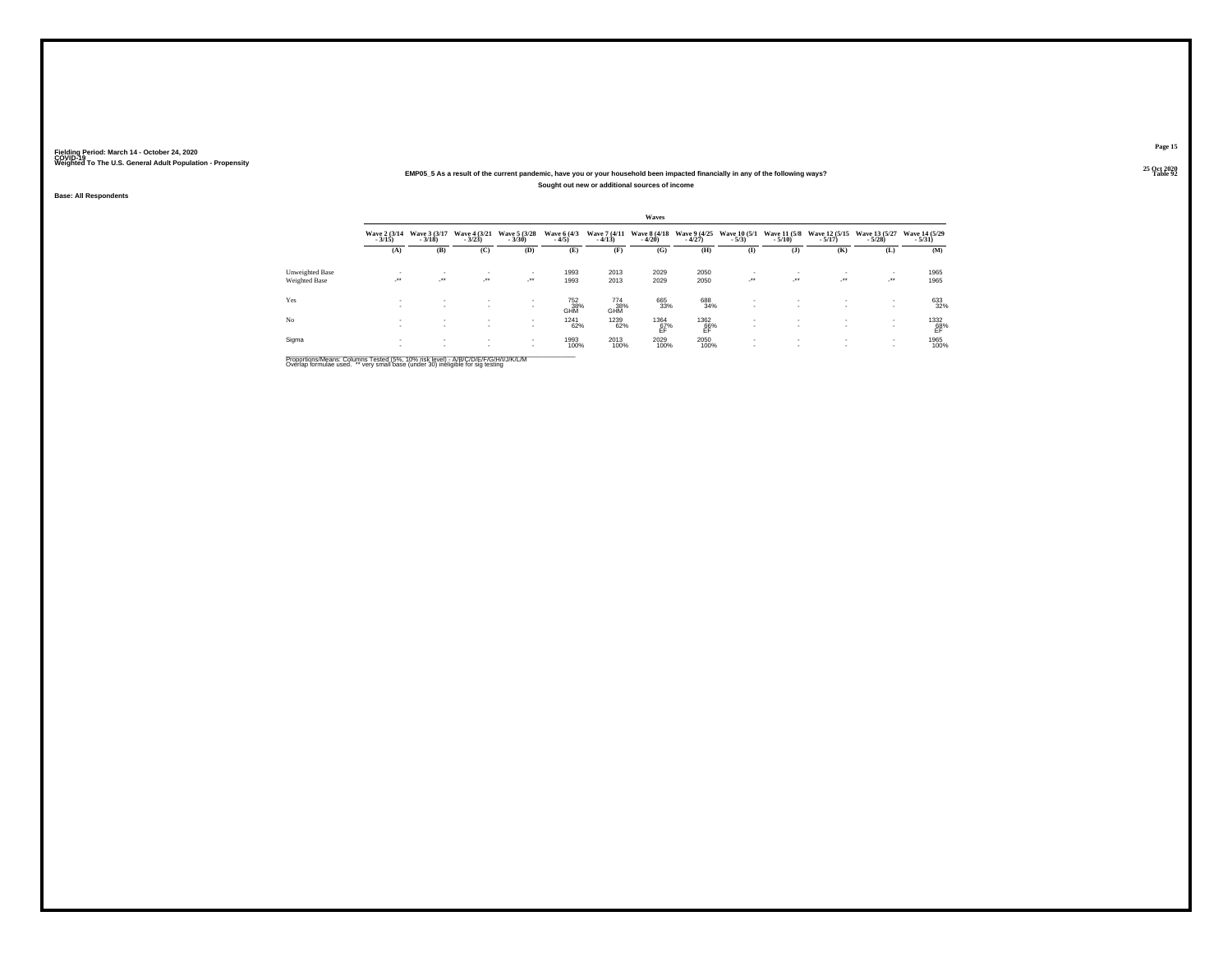### **25 Oct 2020EMP05\_5 As a result of the current pandemic, have you or your household been impacted financially in any of the following ways?Sought out new or additional sources of income**

**Base: All Respondents**

|                 |                          |                            |                                          |                              |                                      |                          | Waves                    |                                                                                           |                         |                            |                           |                            |                            |
|-----------------|--------------------------|----------------------------|------------------------------------------|------------------------------|--------------------------------------|--------------------------|--------------------------|-------------------------------------------------------------------------------------------|-------------------------|----------------------------|---------------------------|----------------------------|----------------------------|
|                 | Wave 2 (3/14)<br>$-3/15$ | Wave 3 (3/17)<br>$-3/18$   | Wave 4 (3/21)<br>$-3/23$                 | Wave 5 (3/28)<br>$-3/30$     | Wave 6 (4/3)<br>$-4/5$               | Wave 7 (4/11)<br>$-4/13$ | Wave 8 (4/18)<br>$-4/20$ | Wave 9 (4/25)<br>$-4/27$                                                                  | Wave 10 (5/1)<br>$-5/3$ | Wave 11 (5/8)<br>$-5/10$   | Wave 12 (5/15)<br>$-5/17$ | Wave 13 (5/27)<br>$-5/28$  | Wave 14 (5/29)<br>$-5/31)$ |
|                 | (A)                      | (B)                        | (C)                                      | (D)                          | (E)                                  | (F)                      | (G)                      | (H)                                                                                       | $\mathbf{I}$            | $($ $)$                    | (K)                       | (L)                        | (M)                        |
| Unweighted Base |                          |                            | $\overline{\phantom{a}}$                 | ٠                            | 1993                                 | 2013                     | 2029                     | 2050                                                                                      |                         |                            |                           | $\sim$                     | 1965                       |
| Weighted Base   | $\overline{\phantom{a}}$ | $\mathcal{L}^{\text{max}}$ | $\cdot$                                  | $\mathcal{L}^{\text{max}}$   | 1993                                 | 2013                     | 2029                     | 2050                                                                                      | $\cdot$                 | $\mathcal{L}^{\text{max}}$ | $\cdot$                   | $\mathcal{L}^{\text{max}}$ | 1965                       |
| Yes             | х.                       | $\mathbf{r}$               | $\mathbf{r}$<br>$\overline{\phantom{a}}$ | $\mathbf{r}$<br>$\mathbf{r}$ | <sup>752</sup> <sub>38%</sub><br>GHM | 774<br>38%<br>GHM        | 665<br>33%               | 688<br>34%                                                                                | $\sim$                  | $\mathbf{r}$               | $\overline{\phantom{a}}$  | <b>A</b><br><b>A</b>       | 633<br>32%                 |
| No              |                          | $\sim$                     | $\sim$<br>$\sim$                         | $\sim$<br>$\sim$             | <sup>1241</sup> 62%                  | 1239<br>62%              | $^{1364}_{67\%}$         | $\underset{\substack{\mathsf{EBN}}{\mathsf{EP}}} {\overset{\mathsf{1362}}{\mathsf{EFT}}}$ |                         | $\sim$<br>$\sim$           | $\sim$                    |                            | $^{1332}_{68\%}$           |
| Sigma           |                          |                            | $\sim$<br>$\sim$                         | $\sim$                       | 1993<br>100%                         | 2013<br>100%             | 2029<br>100%             | 2050<br>100%                                                                              | $\sim$                  | $\sim$                     |                           | <b>A</b><br><b>A</b>       | 1965<br>100%               |

Proportions/Means: Columns Tested (5%, 10% risk level) - A/B/C/D/E/F/G/H/I/J/K/L/M<br>Overlap formulae used. \*\* very small base (under 30) ineligible for sig testing

**Page 1525 Oct 2020<br>Table 92** 

**Table 92 Table 92**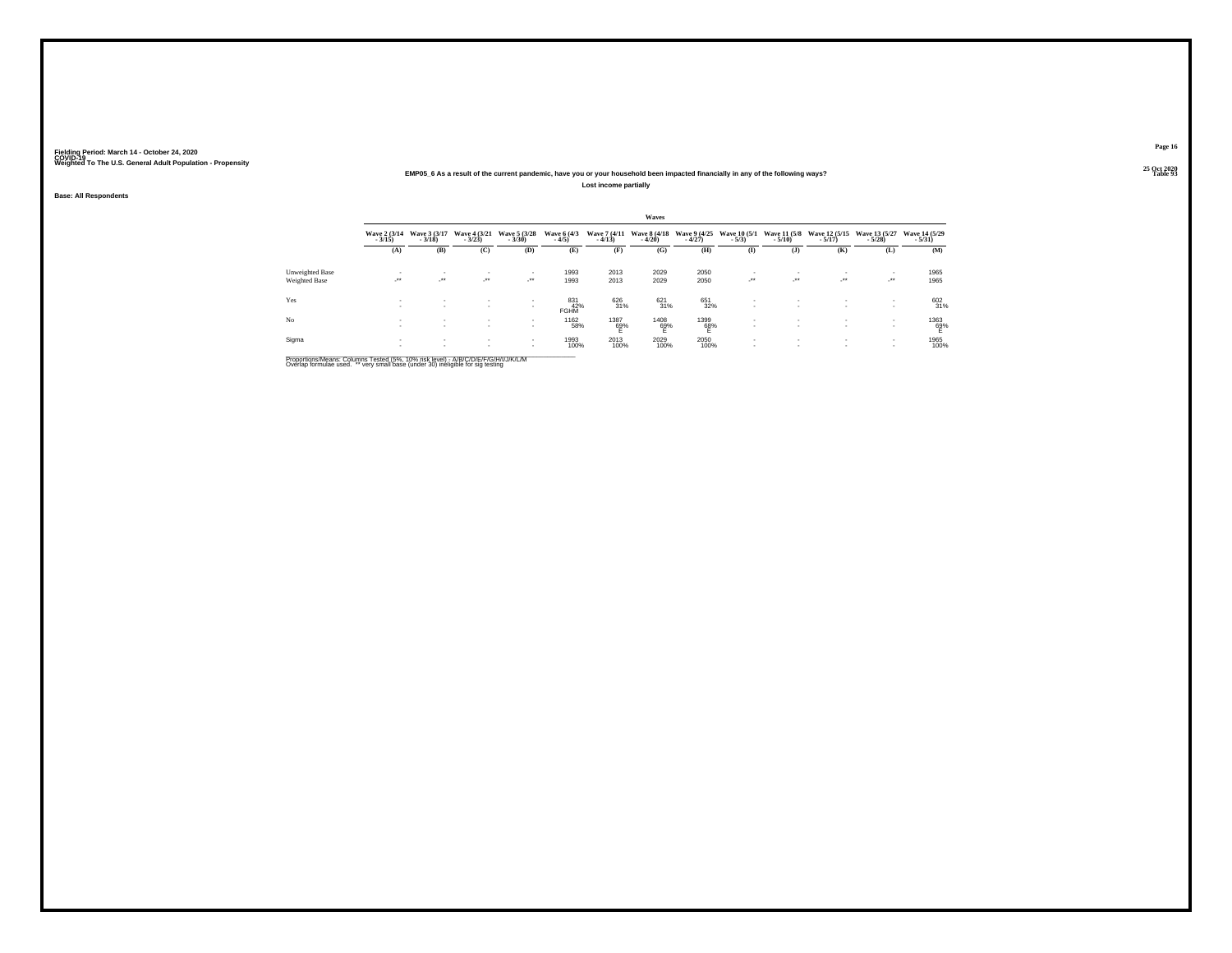#### **25 Oct 2020EMP05\_6 As a result of the current pandemic, have you or your household been impacted financially in any of the following ways?Lost income partially**

**Base: All Respondents**

|                 |                          |                          |                                |                                          |                           |                          | Waves                    |                          |                                                      |                              |                                                      |                            |                            |
|-----------------|--------------------------|--------------------------|--------------------------------|------------------------------------------|---------------------------|--------------------------|--------------------------|--------------------------|------------------------------------------------------|------------------------------|------------------------------------------------------|----------------------------|----------------------------|
|                 | Wave 2 (3/14)<br>$-3/15$ | Wave 3 (3/17)<br>$-3/18$ | Wave 4 (3/21)<br>$-3/23$       | Wave 5 (3/28)<br>$-3/30$                 | Wave 6 (4/3)<br>$-4/5$    | Wave 7 (4/11)<br>$-4/13$ | Wave 8 (4/18)<br>$-4/20$ | Wave 9 (4/25)<br>$-4/27$ | Wave 10 (5/1)<br>$-5/3$                              | Wave 11 (5/8)<br>$-5/10$     | Wave 12 (5/15)<br>$-5/17$                            | Wave 13 (5/27)<br>$-5/28$  | Wave 14 (5/29)<br>$-5/31)$ |
|                 | (A)                      | (B)                      | (C)                            | (D)                                      | (E)                       | (F)                      | (G)                      | (H)                      | $\bf(I)$                                             | $($ $)$                      | (K)                                                  | (L)                        | (M)                        |
| Unweighted Base | . .                      |                          | $\sim$                         | ٠                                        | 1993                      | 2013                     | 2029                     | 2050                     | $\sim$                                               | $\sim$                       |                                                      |                            | 1965                       |
| Weighted Base   | $\cdot$                  | ur.                      | $\mathcal{L}^{\bullet\bullet}$ | <b>Section</b>                           | 1993                      | 2013                     | 2029                     | 2050                     | $\cdot$                                              | $\rightarrow$                | $\mathcal{L}^{\bullet\bullet}$                       | $\mathcal{L}^{\text{max}}$ | 1965                       |
| Yes             | . .<br><b>A</b>          | $\sim$<br>$\mathbf{r}$   | $\sim$<br>$\sim$               | $\sim$<br>$\mathbf{r}$                   | 831<br>42%<br><b>FGHM</b> | 626<br>31%               | $^{621}_{31\%}$          | 651<br>32%               | $\sim$<br>$\overline{\phantom{a}}$                   | $\sim$<br>$\mathbf{r}$       | $\overline{\phantom{a}}$<br>$\overline{\phantom{a}}$ |                            | 602<br>31%                 |
| N <sub>o</sub>  | <b>A</b>                 | $\sim$<br>$\sim$         | $\sim$<br>$\sim$               | $\overline{\phantom{a}}$<br>$\mathbf{r}$ | 1162<br>58%               | $^{1387}_{62\%}$         | $^{1408}_{69\%}$         | $^{1399}_{68\%}$         | $\overline{\phantom{a}}$<br>$\overline{\phantom{a}}$ | $\mathbf{r}$<br>$\mathbf{r}$ | $\overline{\phantom{a}}$<br>$\overline{\phantom{a}}$ |                            | 1363<br>69%                |
| Sigma           | <b>A</b>                 | $\sim$                   | $\sim$                         | $\sim$<br>$\sim$                         | 1993<br>100%              | 2013<br>100%             | 2029<br>100%             | 2050<br>100%             | $\overline{\phantom{a}}$<br>$\mathbf{r}$             | $\sim$<br>$\sim$             | $\overline{\phantom{a}}$                             |                            | 1965<br>100%               |

Proportions/Means: Columns Tested (5%, 10% risk level) - A/B/C/D/E/F/G/H/I/J/K/L/M<br>Overlap formulae used. \*\* very small base (under 30) ineligible for sig testing

**Page 1625 Oct 2020<br>Table 93** 

**Table 93 Table 93**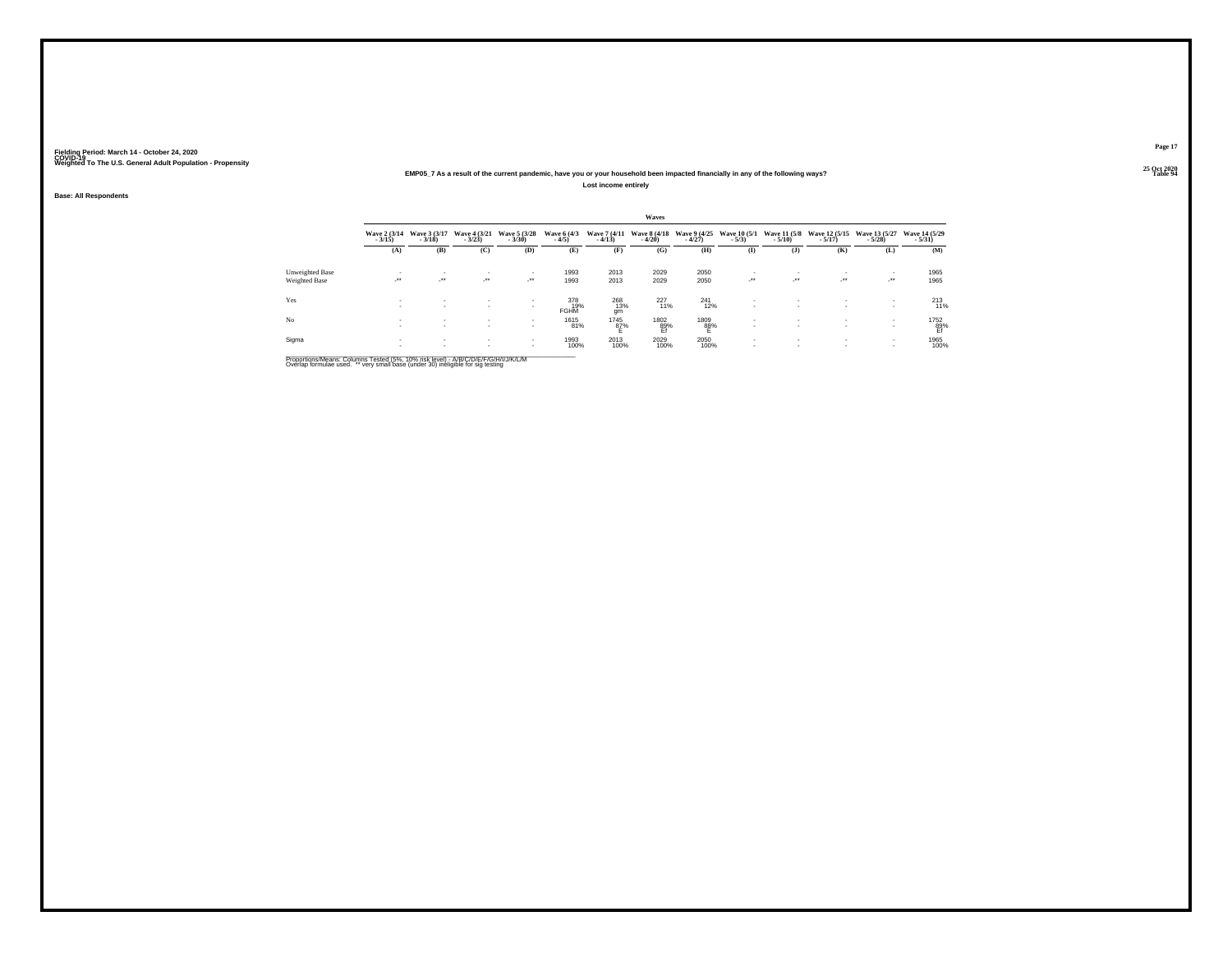#### **25 Oct 2020EMP05\_7 As a result of the current pandemic, have you or your household been impacted financially in any of the following ways?Lost income entirely**

**Base: All Respondents**

|                 |                                 |                                    |                            |                            |                           |                          | Waves                    |                          |                          |                              |                                |                            |                           |
|-----------------|---------------------------------|------------------------------------|----------------------------|----------------------------|---------------------------|--------------------------|--------------------------|--------------------------|--------------------------|------------------------------|--------------------------------|----------------------------|---------------------------|
|                 | <b>Wave 2 (3/14)</b><br>$-3/15$ | Wave 3 (3/17)<br>$-3/18$           | Wave 4 (3/21)<br>$-3/23$   | Wave 5 (3/28)<br>$-3/30$   | Wave 6 (4/3)<br>$-4/5$    | Wave 7 (4/11)<br>$-4/13$ | Wave 8 (4/18)<br>$-4/20$ | Wave 9 (4/25)<br>$-4/27$ | Wave 10 (5/1)<br>$-5/3$  | Wave 11 (5/8)<br>$-5/10$     | Wave 12 (5/15)<br>$-5/17$      | Wave 13 (5/27)<br>$-5/28$  | Wave 14 (5/29)<br>$-5/31$ |
|                 | (A)                             | (B)                                | (C)                        | (D)                        | (E)                       | (F)                      | (G)                      | (H)                      | (1)                      | $($ $)$                      | (K)                            | (L)                        | (M)                       |
| Unweighted Base |                                 |                                    | $\sim$                     | $\overline{\phantom{a}}$   | 1993                      | 2013                     | 2029                     | 2050                     | $\overline{\phantom{a}}$ | $\sim$                       |                                | ۰.                         | 1965                      |
| Weighted Base   | ÷.                              | $\mathcal{L}^{\bullet\bullet}$     | $\mathcal{L}^{\text{max}}$ | $\mathcal{L}^{\text{max}}$ | 1993                      | 2013                     | 2029                     | 2050                     | $\cdot$                  | $\sim$                       | $\mathcal{L}^{\bullet\bullet}$ | $\mathcal{L}^{\text{max}}$ | 1965                      |
| Yes             | <b>A</b>                        | $\overline{\phantom{a}}$<br>$\sim$ | $\sim$<br>$\sim$           | $\mathbf{r}$               | 378<br>19%<br><b>FGHM</b> | 268<br>13%<br>qm         | $^{227}_{11\%}$          | $^{241}_{12\%}$          | ٠<br>$\sim$              | $\sim$<br>$\mathbf{r}$       | ۰.                             |                            | $^{213}_{11\%}$           |
| N <sub>o</sub>  | $\sim$<br>$\sim$                | $\sim$<br>$\sim$                   | $\sim$                     | $\sim$<br>$\mathbf{r}$     | 1615<br>81%               | $^{1745}_{87\%}$         | 1802<br>89%<br>Ef        | $^{1809}_{88\%}$         | $\sim$<br>$\sim$         | $\mathbf{r}$<br>$\mathbf{r}$ | . .<br>۰.                      |                            | 1752<br>89%<br>Ef         |
| Sigma           | $\sim$                          | $\sim$                             | $\sim$                     | $\sim$<br>$\sim$           | 1993<br>100%              | 2013<br>100%             | 2029<br>100%             | 2050<br>100%             | ٠<br>$\mathbf{r}$        | $\sim$<br>$\sim$             | ۰.                             |                            | 1965<br>100%              |

Proportions/Means: Columns Tested (5%, 10% risk level) - A/B/C/D/E/F/G/H/I/J/K/L/M<br>Overlap formulae used. \*\* very small base (under 30) ineligible for sig testing

**Page 17**

25 Oct 2020<br>Table 94 **Table 94 Table 94**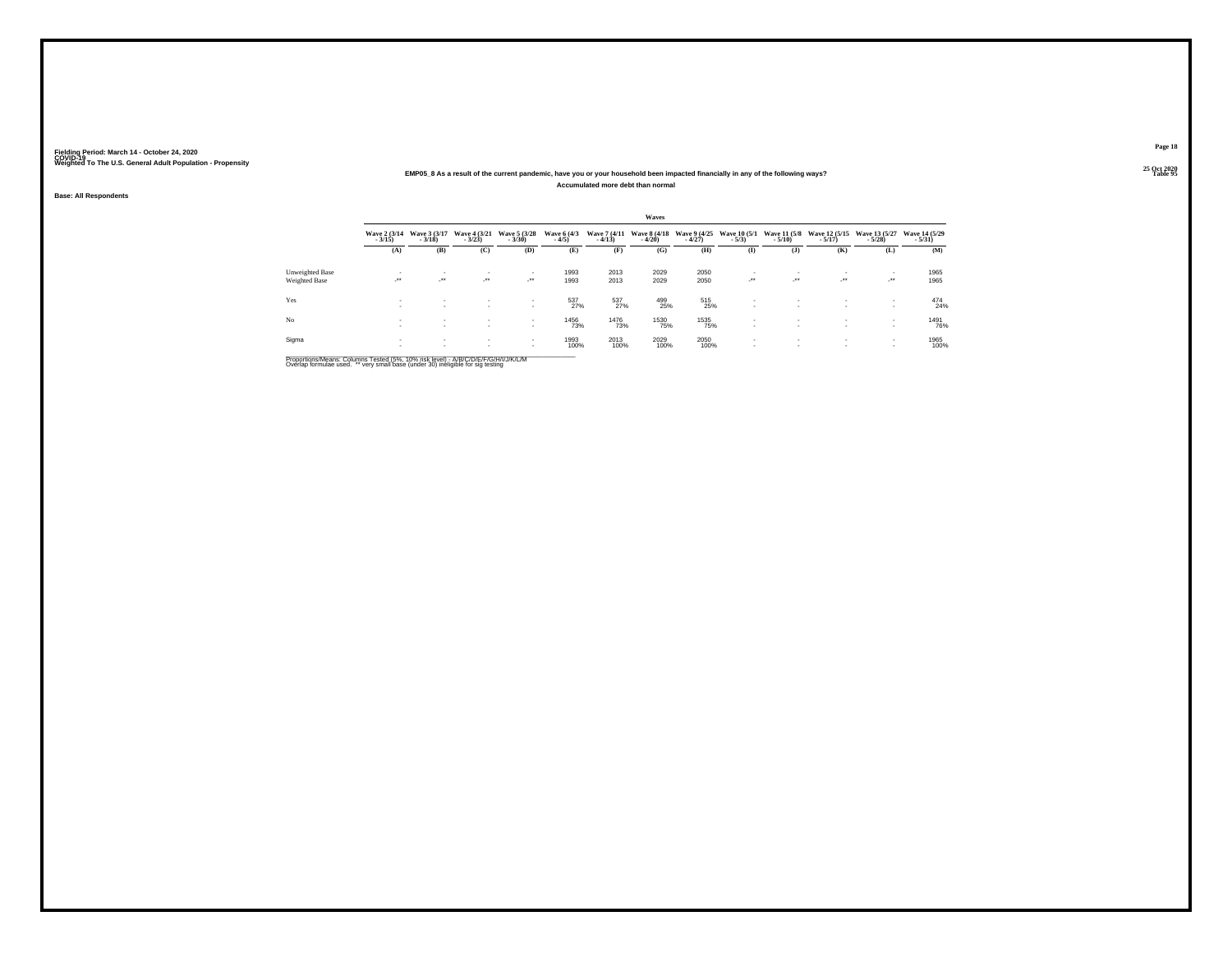#### **25 Oct 2020EMP05\_8 As a result of the current pandemic, have you or your household been impacted financially in any of the following ways?Accumulated more debt than normal**

**Base: All Respondents**

|                      |                          |                          |                              |                          |                        |                          | Waves                    |                          |                                |                               |                                        |                            |                           |
|----------------------|--------------------------|--------------------------|------------------------------|--------------------------|------------------------|--------------------------|--------------------------|--------------------------|--------------------------------|-------------------------------|----------------------------------------|----------------------------|---------------------------|
|                      | Wave 2 (3/14)<br>$-3/15$ | Wave 3 (3/17)<br>$-3/18$ | Wave 4 (3/21)<br>$-3/23$     | Wave 5 (3/28)<br>$-3/30$ | Wave 6 (4/3)<br>$-4/5$ | Wave 7 (4/11)<br>$-4/13$ | Wave 8 (4/18)<br>$-4/20$ | Wave 9 (4/25)<br>$-4/27$ | <b>Wave 10 (5/1)</b><br>$-5/3$ | $-5/10$                       | Wave 11 (5/8 Wave 12 (5/15)<br>$-5/17$ | Wave 13 (5/27)<br>$-5/28$  | Wave 14 (5/29)<br>$-5/31$ |
|                      | (A)                      | (B)                      | (C)                          | (D)                      | (E)                    | (F)                      | (G)                      | (H)                      | (1)                            | $($ J $)$                     | (K)                                    | (L)                        | (M)                       |
| Unweighted Base      | $\sim$                   | $\overline{\phantom{a}}$ | $\mathbf{r}$                 |                          | 1993                   | 2013                     | 2029                     | 2050                     | $\mathbf{r}$                   | ٠                             | $\overline{\phantom{a}}$               | $\sim$                     | 1965                      |
| <b>Weighted Base</b> | $\cdot$                  | $\cdot$                  | $\cdot$                      |                          | 1993                   | 2013                     | 2029                     | 2050                     | $\cdot$                        | $\cdot$                       | $\cdot$                                | $\mathcal{L}^{\text{max}}$ | 1965                      |
| Yes                  | <b>A</b><br><b>1999</b>  | $\sim$<br>$\mathbf{r}$   | $\mathbf{r}$<br>$\mathbf{r}$ | $\sim$                   | 537<br>27%             | 537<br>27%               | 499<br>25%               | 515<br>25%               | $\sim$<br>$\sim$               | ٠<br>۰                        | $\mathbf{r}$<br>$\mathbf{r}$           | <b>COL</b>                 | 474<br>24%                |
| No                   | <b>A</b><br><b>A</b>     | $\sim$<br>$\sim$         | $\mathbf{r}$<br>$\sim$       | $\sim$<br>$\sim$         | 1456<br>73%            | 1476<br>73%              | 1530<br>75%              | 1535<br>75%              | $\mathbf{r}$                   | ٠<br>$\mathbf{r}$             | $\sim$<br>$\sim$                       | . .                        | 1491<br>76%               |
| Sigma                | $\sim$<br>. .            | $\sim$<br>$\sim$         | $\sim$                       | $\sim$<br>$\sim$         | 1993<br>100%           | 2013<br>100%             | 2029<br>100%             | 2050<br>100%             | $\mathbf{r}$                   | ٠<br>$\overline{\phantom{a}}$ | $\sim$<br>$\sim$                       | . .<br><b>COL</b>          | 1965<br>100%              |

Proportions/Means: Columns Tested (5%, 10% risk level) - A/B/C/D/E/F/G/H/I/J/K/L/M<br>Overlap formulae used. \*\* very small base (under 30) ineligible for sig testing

**Page 18**25 Oct 2020<br>Table 95

**Table 95 Table 95**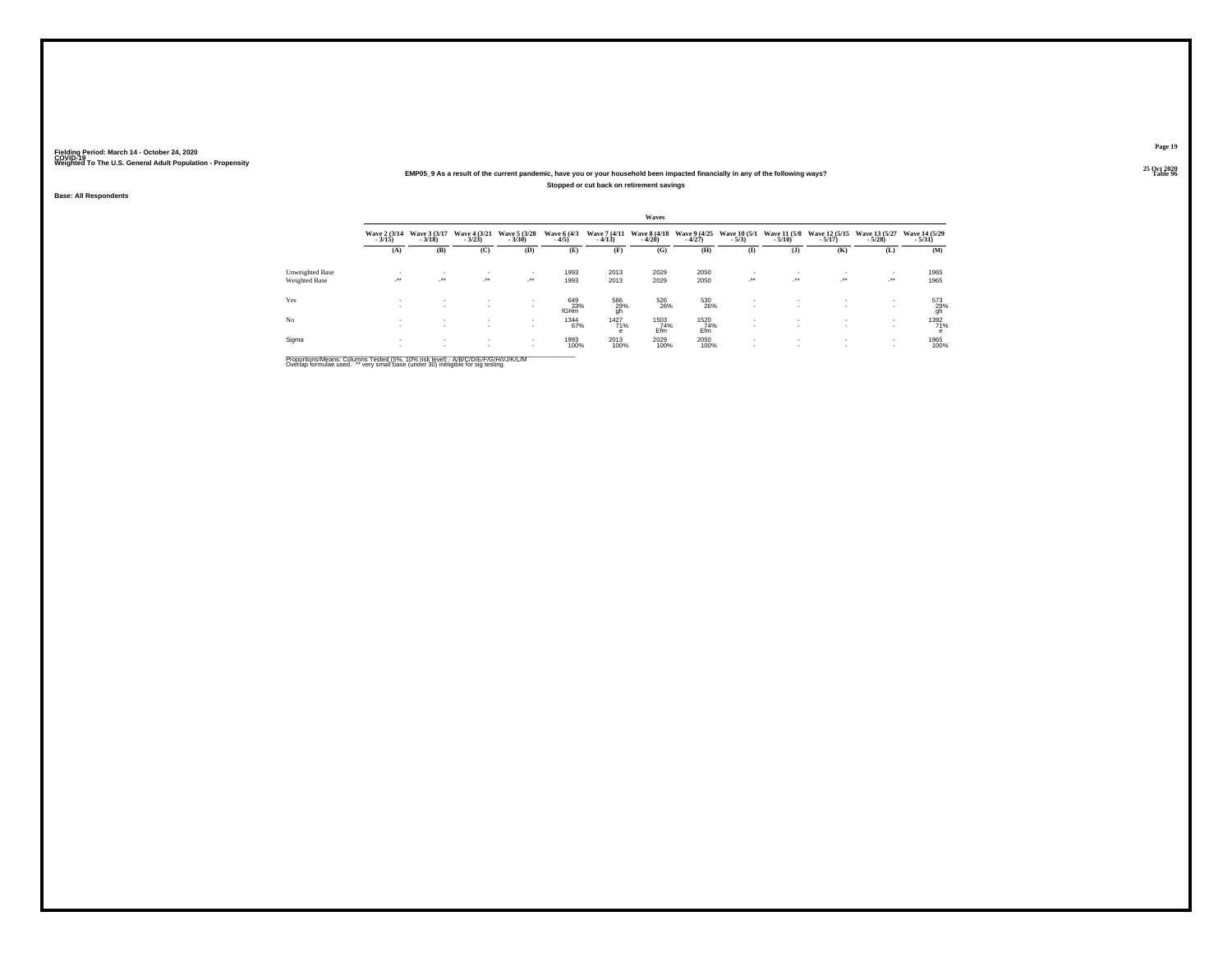## **25 Oct 2020EMP05\_9 As a result of the current pandemic, have you or your household been impacted financially in any of the following ways?Stopped or cut back on retirement savings**

**Base: All Respondents**

|                 |                            |                            |                          |                          |                        |                          | Waves                    |                          |                                |                          |                                    |                            |                           |
|-----------------|----------------------------|----------------------------|--------------------------|--------------------------|------------------------|--------------------------|--------------------------|--------------------------|--------------------------------|--------------------------|------------------------------------|----------------------------|---------------------------|
|                 | Wave 2 (3/14)<br>$-3/15$   | Wave 3 (3/17)<br>$-3/18$   | Wave 4 (3/21)<br>$-3/23$ | Wave 5 (3/28)<br>$-3/30$ | Wave 6 (4/3)<br>$-4/5$ | Wave 7 (4/11)<br>$-4/13$ | Wave 8 (4/18)<br>$-4/20$ | Wave 9 (4/25)<br>$-4/27$ | <b>Wave 10 (5/1)</b><br>$-5/3$ | Wave 11 (5/8)<br>$-5/10$ | Wave 12 (5/15)<br>$-5/17$ )        | Wave 13 (5/27)<br>$-5/28$  | Wave 14 (5/29)<br>$-5/31$ |
|                 | (A)                        | (B)                        | (C)                      | (D)                      | (E)                    | (F)                      | (G)                      | (H)                      | $($ I                          | $($ $)$                  | (K)                                | (L)                        | (M)                       |
| Unweighted Base |                            |                            | $\sim$                   | $\mathbf{r}$             | 1993                   | 2013                     | 2029                     | 2050                     | $\overline{\phantom{a}}$       |                          | $\overline{\phantom{a}}$           |                            | 1965                      |
| Weighted Base   | $\mathcal{L}^{\text{max}}$ | $\mathcal{L}^{\text{max}}$ | ur.                      | - * *                    | 1993                   | 2013                     | 2029                     | 2050                     | $\mathbb{R}^{n \times n}$      | $\sim$                   | $\cdot$                            | $\mathcal{L}^{\text{max}}$ | 1965                      |
| Yes             | $\sim$<br><b>1999</b>      | $\sim$<br>$\mathbf{r}$     | $\mathbf{r}$<br>$\sim$   | $\mathbf{r}$             | 649<br>33%<br>fGHm     | 586<br>29%<br>gh         | 526<br>26%               | 530<br>26%               | $\mathbf{r}$                   |                          | $\mathbf{r}$                       | <b>A</b>                   | 573<br>29%<br>gh          |
| No              | $\sim$<br>$\sim$           | $\sim$<br>$\sim$           | $\sim$<br>$\mathbf{r}$   | $\sim$<br>$\mathbf{r}$   | 1344<br>67%            | 1427<br>71%<br>е         | 1503<br>74%<br>Efm       | 1520<br>74%<br>Efm       | $\mathbf{r}$<br>$\mathbf{r}$   |                          | $\sim$<br>$\overline{\phantom{a}}$ | <b>COL</b><br><b>A</b>     | 1392<br>71%<br>e          |
| Sigma           | $\sim$                     | $\sim$<br>$\sim$           | $\sim$<br>$\sim$         | $\sim$<br>$\sim$         | 1993<br>100%           | 2013<br>100%             | 2029<br>100%             | 2050<br>100%             | $\mathbf{r}$<br>$\mathbf{r}$   | $\overline{\phantom{a}}$ | $\overline{\phantom{a}}$           | . .                        | 1965<br>100%              |

Proportions/Means: Columns Tested (5%, 10% risk level) - A/B/C/D/E/F/G/H/I/J/K/L/M<br>Overlap formulae used. \*\* very small base (under 30) ineligible for sig testing

**Page 19**

25 Oct 2020<br>Table 96 **Table 96 Table 96 Table 96 Table 96 Table 96 Table 96**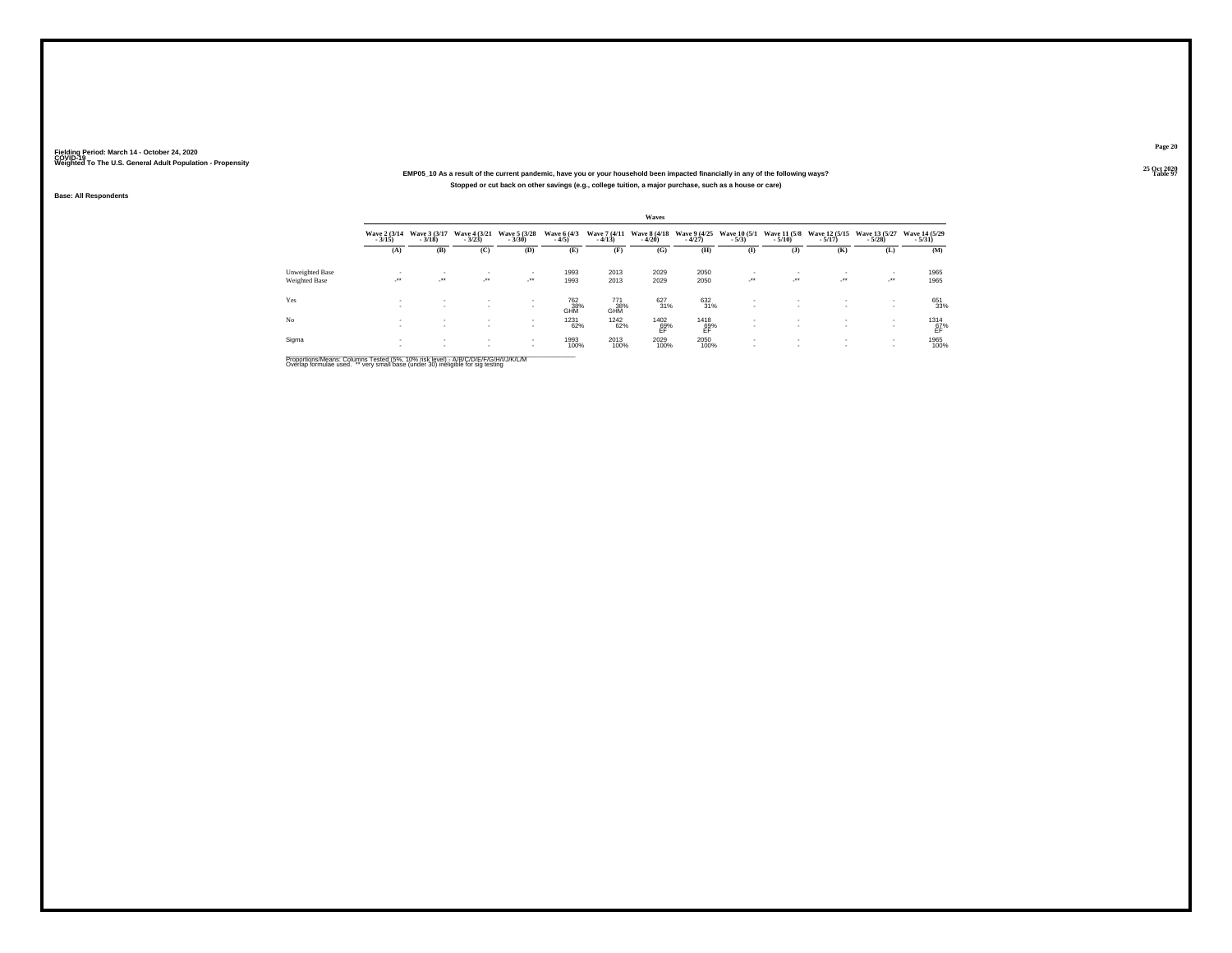## **25 Oct 2020EMP05\_10 As a result of the current pandemic, have you or your household been impacted financially in any of the following ways?Stopped or cut back on other savings (e.g., college tuition, a major purchase, such as a house or care)**

**Base: All Respondents**

|                 |                          |                            |                          |                          |                                      |                          | Waves            |                                                    |                              |                              |                                        |                           |                            |
|-----------------|--------------------------|----------------------------|--------------------------|--------------------------|--------------------------------------|--------------------------|------------------|----------------------------------------------------|------------------------------|------------------------------|----------------------------------------|---------------------------|----------------------------|
|                 | Wave 2 (3/14)<br>$-3/15$ | Wave 3 (3/17)<br>$-3/18$   | Wave 4 (3/21)<br>$-3/23$ | Wave 5 (3/28)<br>$-3/30$ | Wave 6 (4/3)<br>$-4/5$               | Wave 7 (4/11)<br>$-4/13$ | $-4/20$          | Wave 8 (4/18 Wave 9 (4/25 Wave 10 (5/1)<br>$-4/27$ | $-5/3$                       | $-5/10$                      | Wave 11 (5/8 Wave 12 (5/15)<br>$-5/17$ | Wave 13 (5/27)<br>$-5/28$ | Wave 14 (5/29)<br>$-5/31)$ |
|                 | (A)                      | (B)                        | (C)                      | (D)                      | (E)                                  | (F)                      | (G)              | (H)                                                | $\mathbf{I}$                 | $($ $)$                      | (K)                                    | (L)                       | (M)                        |
| Unweighted Base |                          | $\mathbf{r}$               | $\sim$                   |                          | 1993                                 | 2013                     | 2029             | 2050                                               | ٠                            | ٠                            |                                        |                           | 1965                       |
| Weighted Base   | ur.                      | $\mathcal{L}^{\text{max}}$ | ur.                      | $\sim$                   | 1993                                 | 2013                     | 2029             | 2050                                               | $\cdot$                      | $\mathcal{L}^{\text{max}}$   | $\cdot$                                | $\sim$                    | 1965                       |
| Yes             |                          | $\mathbf{r}$               | $\sim$<br>$\mathbf{r}$   | $\sim$                   | <sup>762</sup> <sub>38%</sub><br>GHM | 771<br>38%<br>GHM        | 627<br>31%       | 632<br>31%                                         | $\mathbf{r}$<br>$\sim$       | $\sim$                       | $\sim$<br>$\mathbf{r}$                 | $\sim$                    | 651<br>33%                 |
| No              | ×.                       |                            | $\sim$<br>$\mathbf{r}$   | $\sim$<br>$\sim$         | 1231<br>62%                          | <sup>1242</sup> 62%      | $^{1402}_{69\%}$ | $^{1418}_{69\%}$                                   | $\mathbf{r}$<br>$\mathbf{r}$ | $\mathbf{r}$<br>$\mathbf{r}$ | $\mathbf{r}$<br>$\sim$                 | <b>A</b>                  | $^{1314}_{67\%}$           |
| Sigma           |                          |                            | $\sim$                   | $\sim$<br>$\sim$         | 1993<br>100%                         | 2013<br>100%             | 2029<br>100%     | 2050<br>100%                                       | $\mathbf{r}$<br>$\mathbf{r}$ | $\mathbf{r}$<br>$\mathbf{r}$ | $\sim$                                 | <b>A</b>                  | 1965<br>100%               |

Proportions/Means: Columns Tested (5%, 10% risk level) - A/B/C/D/E/F/G/H/I/J/K/L/M<br>Overlap formulae used. \*\* very small base (under 30) ineligible for sig testing

**Page 20**25 Oct 2020<br>Table 97

**Table 97 Table 97**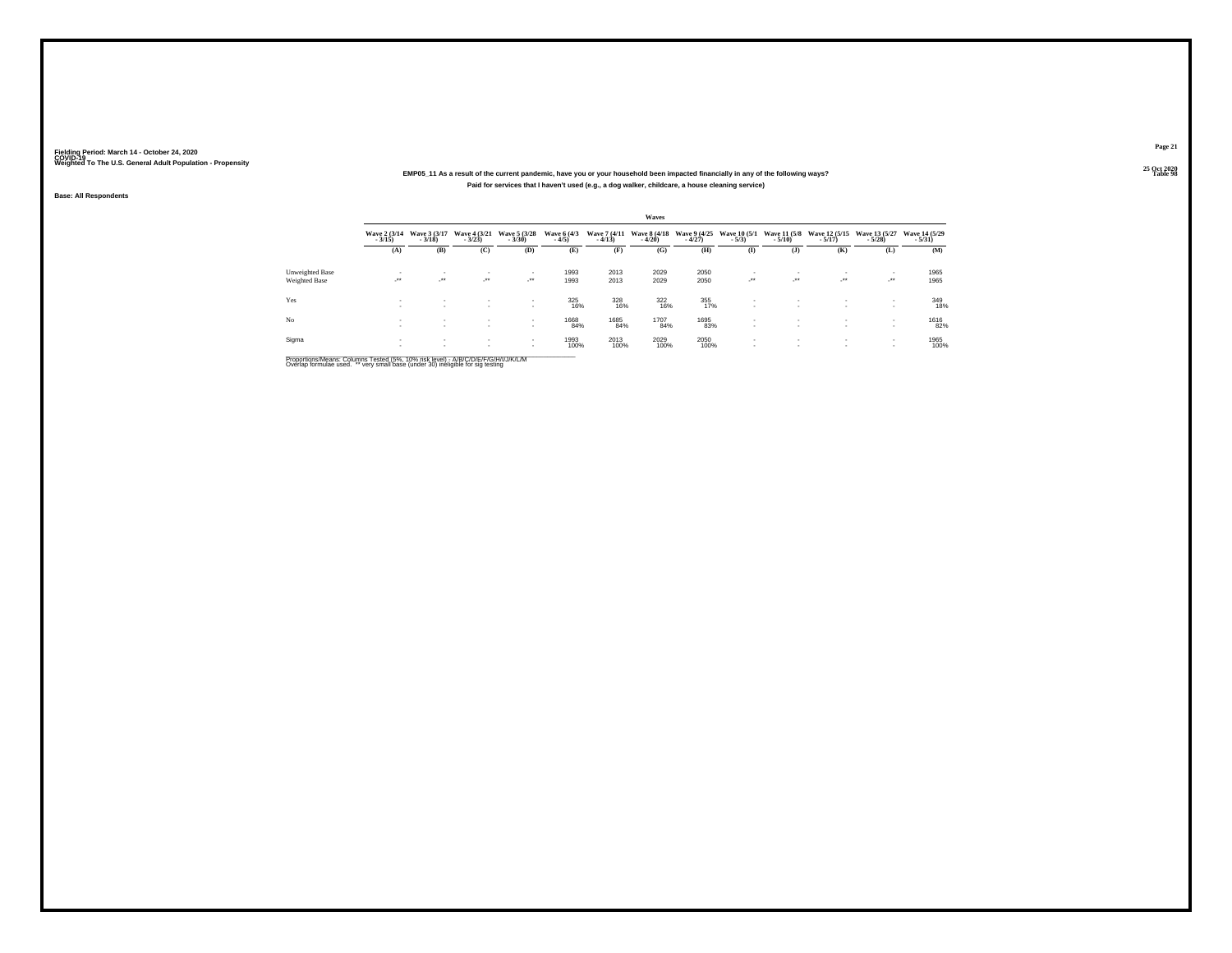## **25 Oct 2020EMP05\_11 As a result of the current pandemic, have you or your household been impacted financially in any of the following ways?Paid for services that I haven't used (e.g., a dog walker, childcare, a house cleaning service)**

#### **Base: All Respondents**

|                                  |                          |                                 |                                     |                                   |                        |                          | Waves                    |                          |                         |                                          |                                    |                                   |                           |
|----------------------------------|--------------------------|---------------------------------|-------------------------------------|-----------------------------------|------------------------|--------------------------|--------------------------|--------------------------|-------------------------|------------------------------------------|------------------------------------|-----------------------------------|---------------------------|
|                                  | Wave 2 (3/14)<br>$-3/15$ | Wave 3 (3/17)<br>$-3/18$        | Wave 4 (3/21)<br>$-3/23$            | Wave 5 (3/28)<br>$-3/30$          | Wave 6 (4/3)<br>$-4/5$ | Wave 7 (4/11)<br>$-4/13$ | Wave 8 (4/18)<br>$-4/20$ | Wave 9 (4/25)<br>$-4/27$ | Wave 10 (5/1)<br>$-5/3$ | Wave 11 (5/8)<br>$-5/10$                 | Wave 12 (5/15)<br>$-5/17$          | Wave 13 (5/27)<br>$-5/28$         | Wave 14 (5/29)<br>$-5/31$ |
|                                  | (A)                      | (B)                             | (C)                                 | (D)                               | (E)                    | (F)                      | (G)                      | (H)                      | $($ I                   | $($ $)$                                  | (K)                                | (L)                               | (M)                       |
| Unweighted Base<br>Weighted Base | $\rightarrow$            | $\overline{\phantom{a}}$<br>ur. | $\overline{\phantom{a}}$<br>$\cdot$ | $\overline{\phantom{a}}$<br>- * * | 1993<br>1993           | 2013<br>2013             | 2029<br>2029             | 2050<br>2050             | $\sim$<br>$\cdot$       | $\mathbf{r}$<br>                         | $\mathcal{L}^{\bullet\bullet}$     | . .<br>$\mathcal{L}^{\text{max}}$ | 1965<br>1965              |
| Yes                              | <b>A</b><br><b>A</b>     | $\sim$<br>$\sim$                | $\sim$                              | $\sim$                            | 325<br>16%             | 328<br>16%               | 322<br>16%               | 355<br>17%               | ٠<br>٠                  | ٠<br>$\mathbf{r}$                        | $\overline{\phantom{a}}$<br>$\sim$ | $\sim$                            | 349<br>18%                |
| N <sub>o</sub>                   | <b>A</b><br><b>A</b>     | $\sim$<br>$\sim$                | $\sim$<br>$\mathbf{r}$              | $\sim$<br>$\mathbf{r}$            | 1668<br>84%            | 1685<br>84%              | 1707<br>84%              | 1695<br>83%              | ٠<br>$\mathbf{r}$       | $\overline{\phantom{a}}$<br>$\mathbf{r}$ | $\sim$<br>$\sim$                   | <b>A</b><br>$\sim$                | <sup>1616</sup> 82%       |
| Sigma                            |                          | $\sim$                          | $\mathbf{r}$                        | $\sim$<br>$\sim$                  | 1993<br>100%           | 2013<br>100%             | 2029<br>100%             | 2050<br>100%             | $\mathbf{r}$<br>$\sim$  | $\mathbf{r}$<br>$\mathbf{r}$             | $\sim$                             | $\sim$                            | 1965<br>100%              |

Proportions/Means: Columns Tested (5%, 10% risk level) - A/B/C/D/E/F/G/H/I/J/K/L/M<br>Overlap formulae used. \*\* very small base (under 30) ineligible for sig testing

**Page 21**

25 Oct 2020<br>Table 98 **Table 98 Table 98**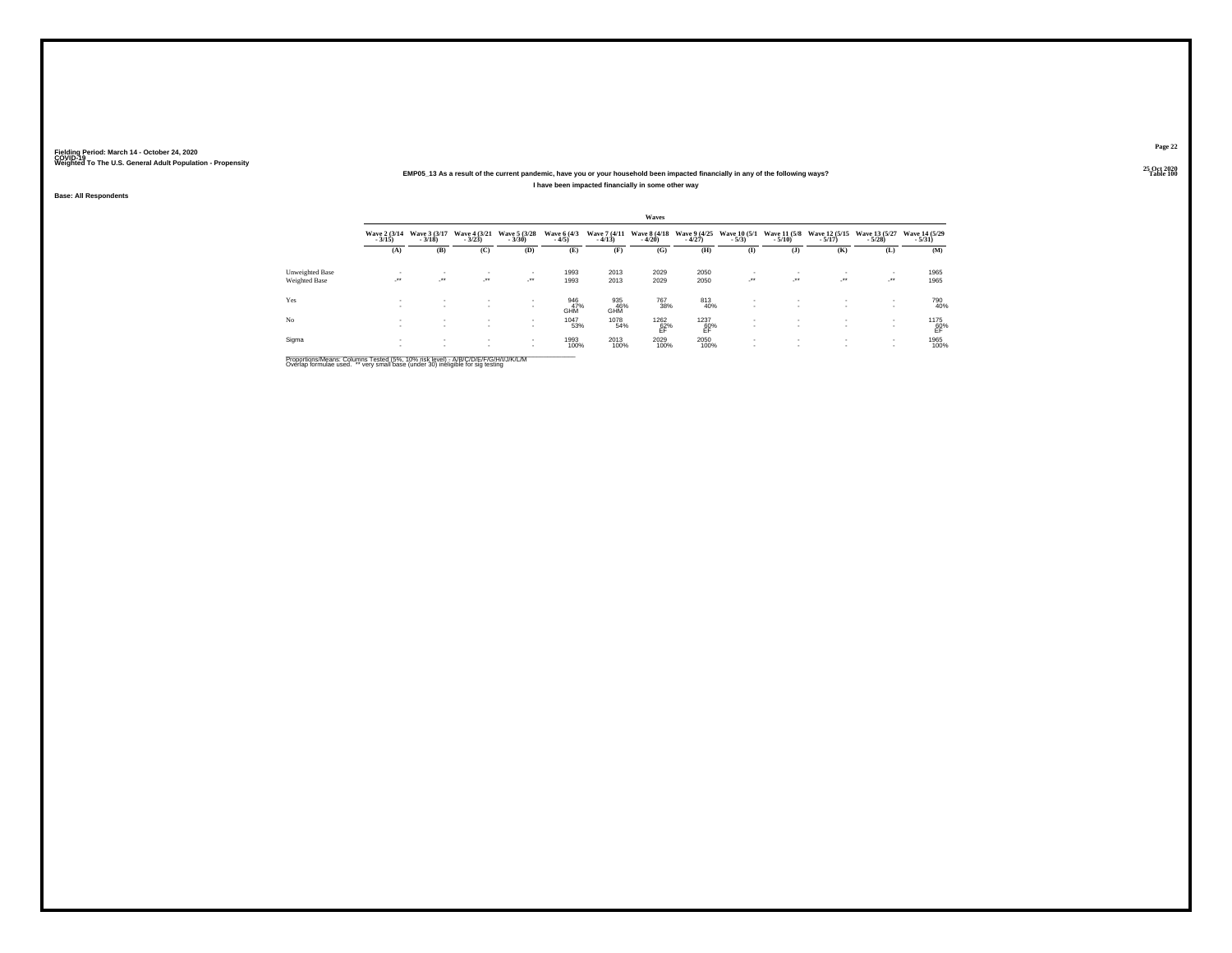### **25 Oct 2020EMP05\_13 As a result of the current pandemic, have you or your household been impacted financially in any of the following ways?I have been impacted financially in some other way**

**Base: All Respondents**

|                        |                            |                            |                                  |                          |                        |                          | Waves                    |                          |                                          |                          |                           |                            |                            |
|------------------------|----------------------------|----------------------------|----------------------------------|--------------------------|------------------------|--------------------------|--------------------------|--------------------------|------------------------------------------|--------------------------|---------------------------|----------------------------|----------------------------|
|                        | Wave 2 (3/14)<br>$-3/15$   | Wave 3 (3/17)<br>$-3/18$   | Wave 4 (3/21)<br>$-3/23$         | Wave 5 (3/28)<br>$-3/30$ | Wave 6 (4/3)<br>$-4/5$ | Wave 7 (4/11)<br>$-4/13$ | Wave 8 (4/18)<br>$-4/20$ | Wave 9 (4/25)<br>$-4/27$ | <b>Wave 10 (5/1)</b><br>$-5/3$           | Wave 11 (5/8)<br>$-5/10$ | Wave 12 (5/15)<br>$-5/17$ | Wave 13 (5/27)<br>$-5/28$  | Wave 14 (5/29)<br>$-5/31)$ |
|                        | (A)                        | (B)                        | (C)                              | (D)                      | (E)                    | (F)                      | (G)                      | (H)                      | $($ I                                    | $($ $)$                  | (K)                       | (L)                        | (M)                        |
| <b>Unweighted Base</b> |                            | $\mathbf{r}$               | $\sim$                           | $\mathbf{r}$             | 1993                   | 2013                     | 2029                     | 2050                     |                                          |                          |                           |                            | 1965                       |
| Weighted Base          | $\mathcal{L}^{\text{max}}$ | $\mathcal{L}^{\text{max}}$ | $\mathcal{L}^{\bullet\bullet}$ . | - * *                    | 1993                   | 2013                     | 2029                     | 2050                     | $\rightarrow$                            | $\cdot$                  | $\overline{\phantom{a}}$  | $\mathcal{L}^{\text{max}}$ | 1965                       |
| Yes                    | <b>A</b><br><b>A</b>       | $\sim$<br>$\mathbf{r}$     | $\sim$<br>$\mathbf{r}$           | $\mathbf{r}$             | 946<br>47%<br>GHM      | 935<br>46%<br>GHM        | 767<br>38%               | 813<br>40%               | $\mathbf{r}$<br>$\overline{\phantom{a}}$ | $\sim$                   | $\,$<br>$\mathbf{r}$      | <b>A</b>                   | 790<br>40%                 |
| No                     | <b>A</b><br><b>A</b>       | $\sim$<br>$\sim$           | $\mathbf{r}$<br>$\mathbf{r}$     | $\sim$<br>$\mathbf{r}$   | 1047<br>53%            | 1078<br>54%              | $^{1262}_{62\%}$         | $^{1237}_{60\%}$         | $\mathbf{r}$<br>$\mathbf{r}$             | $\sim$<br>$\sim$         | $\mathbf{r}$<br>$\sim$    | $\sim$                     | $^{1175}_{60\%}$           |
| Sigma                  |                            | $\sim$<br>$\mathbf{r}$     | $\sim$                           | $\sim$<br>$\sim$         | 1993<br>100%           | 2013<br>100%             | 2029<br>100%             | 2050<br>100%             | $\mathbf{r}$<br>$\mathbf{r}$             | $\sim$<br>$\mathbf{r}$   | $\sim$                    |                            | 1965<br>100%               |

Proportions/Means: Columns Tested (5%, 10% risk level) - A/B/C/D/E/F/G/H/I/J/K/L/M<br>Overlap formulae used. \*\* very small base (under 30) ineligible for sig testing

**Page 2225 Oct 2020<br>Table 100** 

**Table 100 Table 100**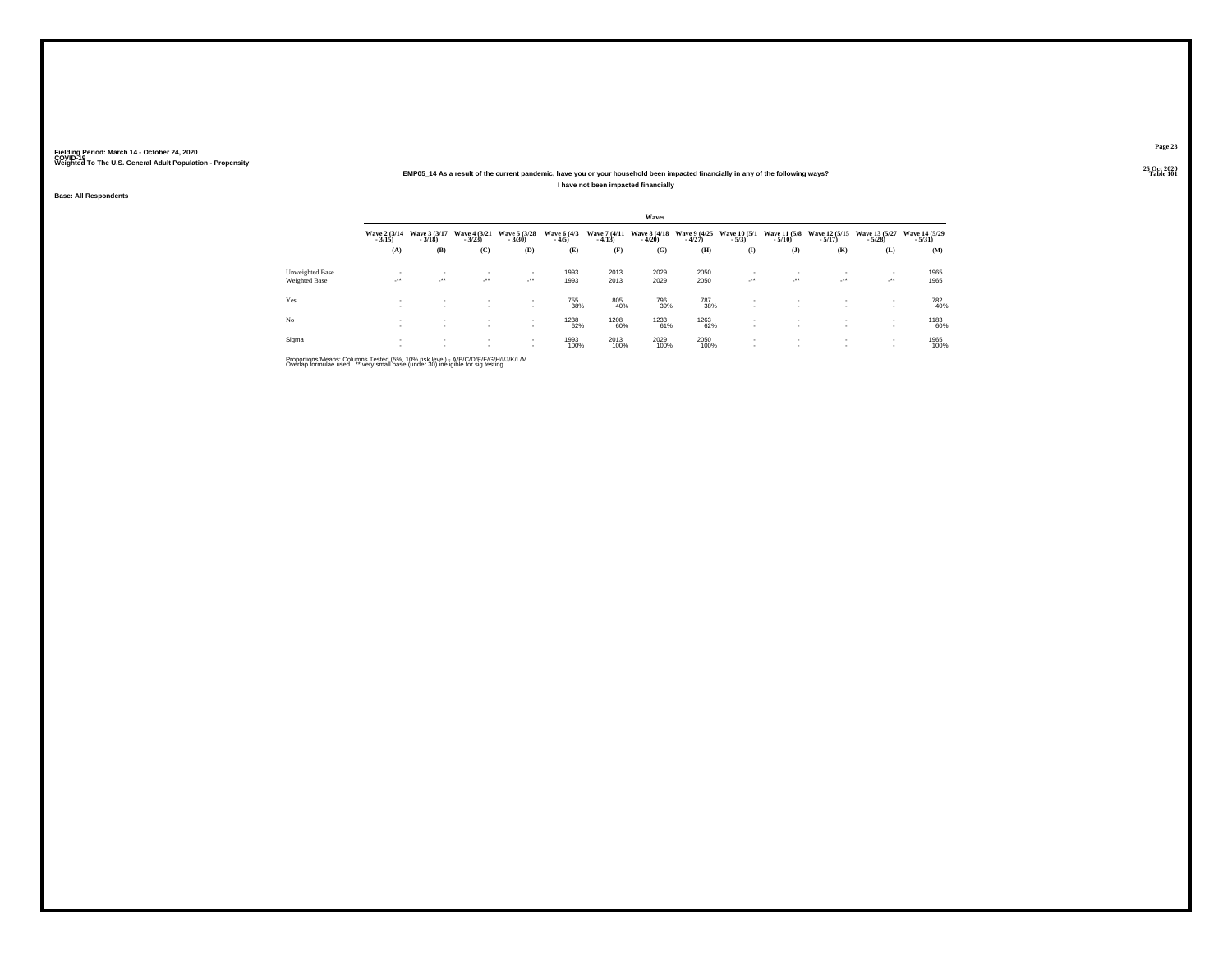### **25 Oct 2020EMP05\_14 As a result of the current pandemic, have you or your household been impacted financially in any of the following ways?I have not been impacted financially**

**Base: All Respondents**

|                                         |                          |                              |                                      |                            |                        |                          | Waves                    |                          |                                     |                                 |                              |                            |                            |
|-----------------------------------------|--------------------------|------------------------------|--------------------------------------|----------------------------|------------------------|--------------------------|--------------------------|--------------------------|-------------------------------------|---------------------------------|------------------------------|----------------------------|----------------------------|
|                                         | Wave 2 (3/14)<br>$-3/15$ | Wave 3 (3/17)<br>$-3/18$     | Wave 4 (3/21)<br>$-3/23$             | Wave 5 (3/28)<br>$-3/30$   | Wave 6 (4/3)<br>$-4/5$ | Wave 7 (4/11)<br>$-4/13$ | Wave 8 (4/18)<br>$-4/20$ | Wave 9 (4/25)<br>$-4/27$ | <b>Wave 10 (5/1)</b><br>$-5/3$      | <b>Wave 11 (5/8)</b><br>$-5/10$ | Wave 12 (5/15)<br>$-5/17$    | Wave 13 (5/27)<br>$-5/28$  | Wave 14 (5/29)<br>$-5/31)$ |
|                                         | (A)                      | (B)                          | (C)                                  | (D)                        | (E)                    | (F)                      | (G)                      | (H)                      | $($ I                               | $($ J $)$                       | (K)                          | (L)                        | (M)                        |
| Unweighted Base<br><b>Weighted Base</b> | . .<br>$\rightarrow$     | $\cdot$                      | $\sim$<br>$\mathcal{L}^{\text{max}}$ | $\mathcal{L}^{\text{max}}$ | 1993<br>1993           | 2013<br>2013             | 2029<br>2029             | 2050<br>2050             | $\overline{\phantom{a}}$<br>$\cdot$ | -<br>$\cdot$                    | $\cdot$                      | $\mathcal{L}^{\text{max}}$ | 1965<br>1965               |
| Yes                                     | <b>A</b><br><b>A</b>     | $\sim$<br>$\sim$             | $\sim$<br>$\mathbf{r}$               | $\sim$                     | 755<br>38%             | 805<br>40%               | 796<br>39%               | 787<br>38%               | $\mathbf{r}$<br>$\mathbf{r}$        | ٠<br>$\overline{\phantom{a}}$   | ٠<br>$\mathbf{r}$            | <b>COL</b>                 | 782<br>40%                 |
| No                                      | <b>A</b><br>$\sim$       | $\mathbf{r}$<br>$\mathbf{r}$ | $\mathbf{r}$<br>$\mathbf{r}$         | $\sim$<br>$\sim$           | 1238<br>62%            | 1208<br>60%              | 1233<br>61%              | 1263<br>62%              | $\sim$<br>$\mathbf{r}$              | ٠<br>$\mathbf{r}$               | $\mathbf{r}$<br>$\mathbf{r}$ | $\sim$<br><b>A</b>         | 1183<br>60%                |
| Sigma                                   | <b>A</b><br>$\sim$       | $\sim$<br>$\sim$             | $\sim$<br>$\sim$                     | $\sim$<br>$\sim$           | 1993<br>100%           | 2013<br>100%             | 2029<br>100%             | 2050<br>100%             | $\mathbf{r}$                        | ٠<br>$\overline{\phantom{a}}$   | $\sim$<br>$\sim$             |                            | 1965<br>100%               |

Proportions/Means: Columns Tested (5%, 10% risk level) - A/B/C/D/E/F/G/H/I/J/K/L/M<br>Overlap formulae used. \*\* very small base (under 30) ineligible for sig testing

**Page 23**25 Oct 2020<br>Table 101

**Table 101 Table 101**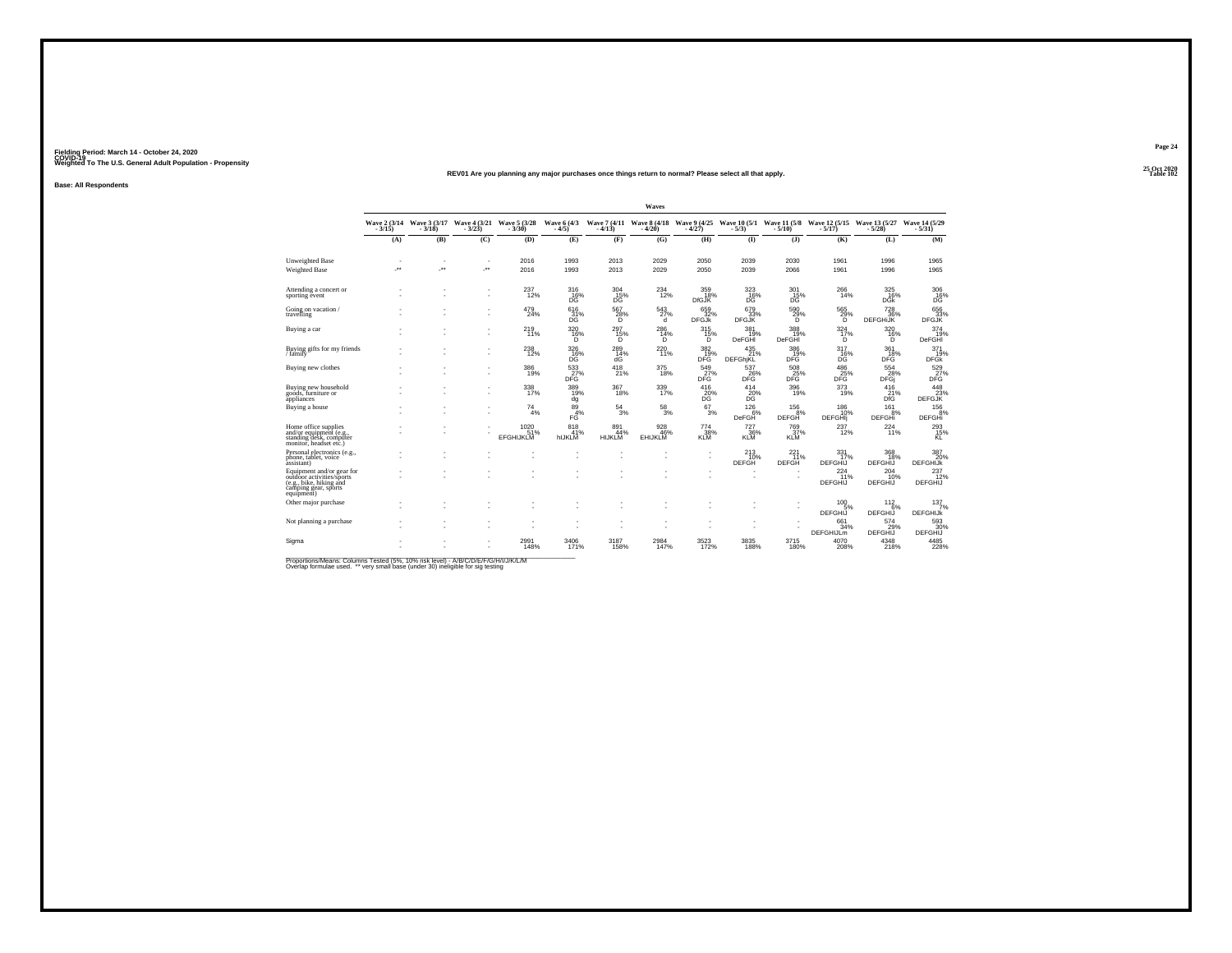#### **25 Oct 2020REV01 Are you planning any major purchases once things return to normal? Please select all that apply.Table 102**

**Base: All Respondents**

|                                                                                                                         |                          |                          |                       |                                 |                                  |                             | Waves                        |                            |                             |                                |                                                                                           |                                  |                                  |
|-------------------------------------------------------------------------------------------------------------------------|--------------------------|--------------------------|-----------------------|---------------------------------|----------------------------------|-----------------------------|------------------------------|----------------------------|-----------------------------|--------------------------------|-------------------------------------------------------------------------------------------|----------------------------------|----------------------------------|
|                                                                                                                         | Wave 2 (3/14)<br>$-3/15$ | Wave 3 (3/17)<br>$-3/18$ | Wave 4 (3/21)<br>3/23 | Wave 5 (3/28)<br>$-3/30$        | Wave 6 (4/3)<br>$-4/5$           | $-4/13$                     | $-4/20$                      | $-4/27$                    | $-5/3$                      | $-5/10$ )                      | Wave 7 (4/11 Wave 8 (4/18 Wave 9 (4/25 Wave 10 (5/1 Wave 11 (5/8 Wave 12 (5/15<br>$-5/17$ | Wave 13 (5/27)<br>5/28           | Wave 14 (5/29)<br>$-5/31$        |
|                                                                                                                         | (A)                      | (B)                      | (C)                   | (D)                             | (E)                              | (F)                         | (G)                          | (H)                        | (I)                         | $($ $)$                        | (K)                                                                                       | (L)                              | (M)                              |
| Unweighted Base<br><b>Weighted Base</b>                                                                                 | $\overline{\phantom{a}}$ | $\sim$<br>J.             | $\sim$<br>J.          | 2016<br>2016                    | 1993<br>1993                     | 2013<br>2013                | 2029<br>2029                 | 2050<br>2050               | 2039<br>2039                | 2030<br>2066                   | 1961<br>1961                                                                              | 1996<br>1996                     | 1965<br>1965                     |
| Attending a concert or<br>sporting event                                                                                |                          |                          | ٠<br>٠                | 237<br>12%                      | 316<br>16%<br>DG.                | 304<br>15%<br>DG            | 234<br>12%                   | 359<br>18%<br><b>DfGJK</b> | 323<br>16%<br>DG            | 301<br>15%<br>DG <sup>1</sup>  | 266<br>14%                                                                                | 325<br>16%<br><b>DGK</b>         | 306<br>$16\%$                    |
| Going on vacation/<br>travelling                                                                                        |                          |                          | ٠                     | 479<br>24%                      | 616<br>31%<br><b>DG</b>          | 567<br>28%<br>D             | 543<br>27%<br>d              | 659<br>32%<br><b>DFGJk</b> | 679<br>33%<br><b>DFGJK</b>  | 590<br>29%<br>D                | 565<br>29%<br>D                                                                           | 728<br>36%<br><b>DEFGHIJK</b>    | 656<br>33%<br><b>DFGJK</b>       |
| Buying a car                                                                                                            |                          |                          | ٠<br>٠                | 219<br>11%                      | 320<br>16%<br>õ                  | 297<br>15%<br>ïñ.           | 286<br>14%<br>D              | 315<br>15%<br>õ            | 381<br>19%<br><b>DeFGHI</b> | 388<br>19%<br>DeFGHI           | 324<br>17%<br>D                                                                           | 320<br>16%<br>Õ                  | 374<br>19%<br><b>DeFGHI</b>      |
| Buying gifts for my friends<br>/ family                                                                                 |                          |                          | ٠<br>×.               | 238<br>12%                      | 326<br>16%<br>DG                 | 289<br>14%<br>ďĠ            | 220<br>11%                   | 382<br>19%<br>DFG          | 435<br>21%<br>DEFGhiKL      | 386<br>19%<br>DFĞ <sup>'</sup> | 317<br>16%<br>DĞ                                                                          | 361<br>18%<br>DFĞ                | 371<br>19%<br><b>DFGK</b>        |
| Buying new clothes                                                                                                      |                          |                          | ٠<br>٠                | 386<br>19%                      | $\frac{533}{27}\%$<br><b>DFG</b> | 418<br>21%                  | 375<br>18%                   | 549<br>27%<br><b>DFG</b>   | 537<br>26%<br><b>DFG</b>    | 508<br>25%<br><b>DFG</b>       | $\frac{486}{25\%}$<br>DFG                                                                 | 554<br>28%<br><b>DFGi</b>        | $\frac{529}{27\%}$<br>DFG        |
| Buying new household<br>goods, furniture or<br>appliances                                                               |                          |                          | ٠<br>٠                | 338<br>17%                      | 389<br>19%<br>dg                 | 367<br>18%                  | 339<br>17%                   | 416<br>$^{20}_{DG}$        | 414<br>$^{20\%}_{DG}$       | 396<br>19%                     | 373<br>19%                                                                                | 416<br>$_{\rm DfG}^{2\bar{1}\%}$ | 448<br>DEFGJK                    |
| Buying a house                                                                                                          |                          |                          | ٠<br>٠                | 74<br>4%                        | 89<br>4%<br>FG                   | 54<br>3%                    | $^{58}_{\ 3\%}$              | 67<br>3%                   | 126<br>6%<br>DeFGH          | 156<br>8%<br>DEFGH             | 186<br>10%<br><b>DEFGHI</b>                                                               | 161<br>8%<br><b>DEFGHi</b>       | $^{156}_{-8\%}$<br><b>DEFGHi</b> |
| Home office supplies<br>and/or equipment (e.g.<br>standing desk, computer<br>monitor, headset etc.)                     |                          |                          | ٠                     | 1020<br>51%<br><b>EFGHIJKLM</b> | 818<br>41%<br>hIJKLM             | 891<br>44%<br><b>HIJKLM</b> | 928<br>46%<br><b>EHIJKLI</b> | 774<br>$\frac{38}{10}$     | 727<br>KLM                  | 769<br>37%<br>KLM              | 237<br>12%                                                                                | 224<br>11%                       | $^{293}_{15\%}$ KL               |
| Personal electronics (e.g.,<br>phone, tablet, voice<br>assistant)                                                       |                          |                          |                       |                                 |                                  |                             |                              | ٠<br>٠.                    | 213<br>10%<br><b>DEFGH</b>  | 221<br>11%<br><b>DEFGH</b>     | 331<br>17%<br><b>DEFGHIJ</b>                                                              | 368<br>18%<br>DEFGHIJ            | 387<br>20%<br><b>DEFGHIJK</b>    |
| Equipment and/or gear for<br>outdoor activities/sports<br>(e.g., bike, hiking and<br>camping gear, sports<br>equipment) |                          |                          |                       |                                 |                                  |                             |                              |                            | ٠<br>٠                      |                                | 224<br>11%<br><b>DEFGHIJ</b>                                                              | 204<br>10%<br>DEFGHIJ            | 237<br>12%<br>DEFGHIJ            |
| Other major purchase                                                                                                    |                          |                          |                       |                                 |                                  |                             |                              |                            |                             | ٠<br>٠                         | 100<br>5%<br>DEFGHIJ                                                                      | 112<br>6%<br>DEFGHIJ             | 137<br>7%<br><b>DEFGHIJK</b>     |
| Not planning a purchase                                                                                                 |                          |                          | ٠                     |                                 |                                  |                             |                              |                            | ٠<br>٠                      |                                | 661<br>34%<br><b>DEFGHIJLM</b>                                                            | 574<br>29%<br><b>DEFGHIJ</b>     | 593<br>30%<br><b>DEFGHIJ</b>     |
| Sigma                                                                                                                   |                          |                          | ٠                     | 2991<br>148%                    | 3406<br>171%                     | 3187<br>158%                | 2984<br>147%                 | 3523<br>172%               | 3835<br>188%                | 3715<br>180%                   | 4070<br>208%                                                                              | 4348<br>218%                     | 4485<br>228%                     |

Proportions/Means: Columns Tested (5%, 10% risk level) - A/B/C/D/E/F/G/H/I/J/K/L/M<br>Overlap formulae used. \*\* very small base (under 30) ineligible for sig testing

**Page 24**25 Oct 2020<br>Table 102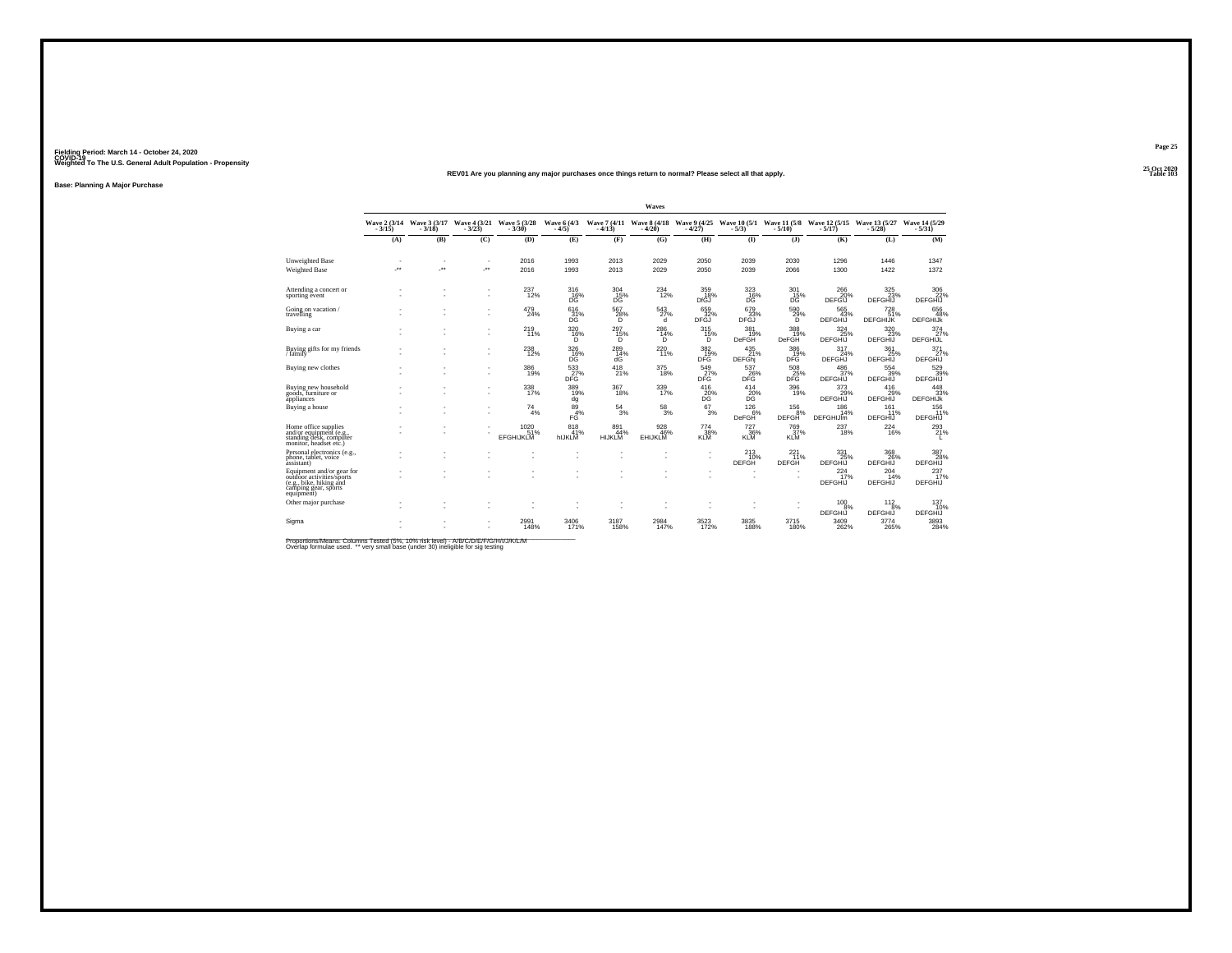#### **25 Oct 2020REV01 Are you planning any major purchases once things return to normal? Please select all that apply.Table 103**

**Base: Planning A Major Purchase**

|                                                                                                                         |              |                                       |                          |                                 |                        |                      | Waves                 |                                                    |                                      |                          |                                   |                                |                               |
|-------------------------------------------------------------------------------------------------------------------------|--------------|---------------------------------------|--------------------------|---------------------------------|------------------------|----------------------|-----------------------|----------------------------------------------------|--------------------------------------|--------------------------|-----------------------------------|--------------------------------|-------------------------------|
|                                                                                                                         | $-3/15$      | Wave 2 (3/14 Wave 3 (3/17)<br>$-3/18$ | Wave 4 (3/21)<br>$-3/23$ | Wave 5 (3/28)                   | Wave 6 (4/3)<br>$-4/5$ | $-4/13$              | $-4/20$               | Wave 7 (4/11 Wave 8 (4/18 Wave 9 (4/25)<br>$-4/27$ | Wave 10 (5/1 Wave 11 (5/8)<br>$-5/3$ | $-5/10$                  | Wave 12 (5/15)<br>$-5/17$         | Wave 13 (5/27)<br>$-5/28$      | Wave 14 (5/29)<br>$-5/31$     |
|                                                                                                                         | (A)          | (B)                                   | (C)                      | (D)                             | (E)                    | (F)                  | (G)                   | (H)                                                | $\bf{D}$                             | (3)                      | (K)                               | (L)                            | (M)                           |
| Unweighted Base<br>Weighted Base                                                                                        | $\sim$<br>÷. | ٠<br>÷.                               | $\sim$<br>×              | 2016<br>2016                    | 1993<br>1993           | 2013<br>2013         | 2029<br>2029          | 2050<br>2050                                       | 2039<br>2039                         | 2030<br>2066             | 1296<br>1300                      | 1446<br>1422                   | 1347<br>1372                  |
| Attending a concert or<br>sporting event                                                                                |              |                                       | ٠<br>$\sim$              | 237<br>12%                      | 316<br>$^{16\%}_{DG}$  | 304<br>15%<br>DĜ     | 234<br>12%            | 359<br>18%<br>DfGJ                                 | 323<br>16%<br>DĞ                     | 301<br>$\frac{15}{10}$   | 266<br>20%<br>DEFGIJ              | 325<br>23%<br>DEFGHIJ          | 306<br>22%<br>DEFGHIJ         |
| Going on vacation/<br>travelling                                                                                        |              |                                       | ٠<br>٠                   | 479<br>24%                      | 616<br>31%<br>DG       | 567<br>28%<br>D.     | 543<br>27%<br>d       | 659<br>32%<br><b>DFGJ</b>                          | 679<br>33%<br><b>DFGJ</b>            | 590 %<br>D               | 565<br>43%<br><b>DEFGHIJ</b>      | 728<br>51%<br><b>DEFGHIJK</b>  | 656<br>48%<br><b>DEFGHIJK</b> |
| Buying a car                                                                                                            |              | ٠                                     | ٠                        | 219<br>11%                      | 320<br>16%<br>D        | 297<br>15%<br>D      | 286<br>14%<br>D       | 315<br>15%<br>D                                    | 381<br>19%<br><b>DeFGH</b>           | 388<br>19%<br>DeFGH      | 324<br>25%<br>DEFGHIJ             | 320<br>23%<br>DEFGHIJ          | 374<br>27%<br><b>DEFGHIJL</b> |
| Buying gifts for my friends<br>/ family                                                                                 |              |                                       | ٠<br>٠                   | 238<br>12%                      | 326<br>$\frac{16}{16}$ | 289<br>14%<br>dG     | 220<br>11%            | 382<br>19%<br>DFG                                  | 435<br>21%<br><b>DEFGhi</b>          | 386<br>19%<br>DFG        | 317<br>24%<br>DEFGHJ              | 361<br>25%<br>DEFGHIJ          | 371<br>27%<br>DEFGHIJ         |
| Buying new clothes                                                                                                      |              |                                       | ٠<br>٠                   | 386<br>19%                      | 533<br><b>DFG</b>      | 418<br>21%           | 375<br>18%            | 549<br>27%<br>DFG.                                 | 537<br>26%<br>DFG.                   | 508<br>25%<br>DFG.       | $^{486}_{37\%}$<br><b>DEFGHIJ</b> | 554 39%<br><b>DEFGHIJ</b>      | 529<br><b>DEFGHIJ</b>         |
| Buying new household<br>goods, furniture or<br>appliances                                                               |              |                                       | ٠<br>×.                  | 338<br>17%                      | 389<br>19%<br>dg       | 367<br>18%           | 339<br>17%            | 416<br>20%<br>DG                                   | 414<br>20%<br>DG                     | 396<br>19%               | 373<br>29%<br><b>DEFGHIJ</b>      | 416<br>29%<br>DEFGHIJ          | 448<br>33%<br><b>DEFGHIJK</b> |
| Buying a house                                                                                                          |              | ٠                                     | $\sim$<br>٠              | 74<br>4%                        | 89<br>4%<br>FĠ         | 54<br>3%             | $\frac{58}{3%}$       | 67<br>3%                                           | 126<br>6%<br><b>DeFGH</b>            | 156<br>8%<br>DEFGH       | 186<br>14%<br><b>DEFGHIJIm</b>    | 161<br>11%<br><b>DEFGHIJ</b>   | 156<br>11%<br><b>DEFGHIJ</b>  |
| Home office supplies<br>and/or equipment (e.g.,<br>standing desk, computer<br>monitor, headset etc.)                    |              |                                       |                          | 1020<br>51%<br><b>EFGHIJKLM</b> | 818<br>41%<br>hIJKLM   | 891<br>44%<br>HIJKLM | 928<br>46%<br>EHIJKLM | 774<br>$\frac{38}{10}$                             | 727<br>36%<br><b>KLM</b>             | 769<br>37%<br>KLM        | 237<br>18%                        | $^{224}_{16\%}$                | 293<br>21%                    |
| Personal electronics (e.g.,<br>phone, tablet, voice<br>assistant)                                                       |              |                                       |                          | ٠                               | ٠                      |                      |                       | ٠                                                  | 213<br>10%<br>DEFGH                  | 221<br>11%<br>DEFGH      | 331<br>25%<br>DEFGHIJ             | 368<br>26%<br>DEFGHIJ          | 387<br>28%<br><b>DEFGHIJ</b>  |
| Equipment and/or gear for<br>outdoor activities/sports<br>(e.g., bike, hiking and<br>camping gear, sports<br>equipment) |              |                                       |                          | ٠                               | ٠                      |                      |                       |                                                    | $\sim$                               | $\overline{\phantom{a}}$ | 224<br>17%<br>DEFGHIJ             | 204<br>14%<br><b>DEFGHIJ</b>   | 237<br>17%<br><b>DEFGHIJ</b>  |
| Other major purchase                                                                                                    |              |                                       |                          |                                 | ٠                      |                      |                       |                                                    | $\sim$                               | $\overline{\phantom{a}}$ | $^{100}_{9\%}$                    | $\frac{112}{8\%}$              | 137<br>10%                    |
| Sigma                                                                                                                   |              |                                       |                          | 2991<br>148%                    | 3406<br>171%           | 3187<br>158%         | 2984<br>147%          | 3523                                               | 3835<br>188%                         | 3715<br>180%             | DEFGHIJ<br>3409<br>262%           | <b>DEFGHIJ</b><br>3774<br>265% | DEFGHIJ<br>3893<br>284%       |

Proportions/Means: Columns Tested (5%, 10% risk level) - A/B/C/D/E/F/G/H/I/J/K/L/M<br>Overlap formulae used. \*\* very small base (under 30) ineligible for sig testing

**Page 25**25 Oct 2020<br>Table 103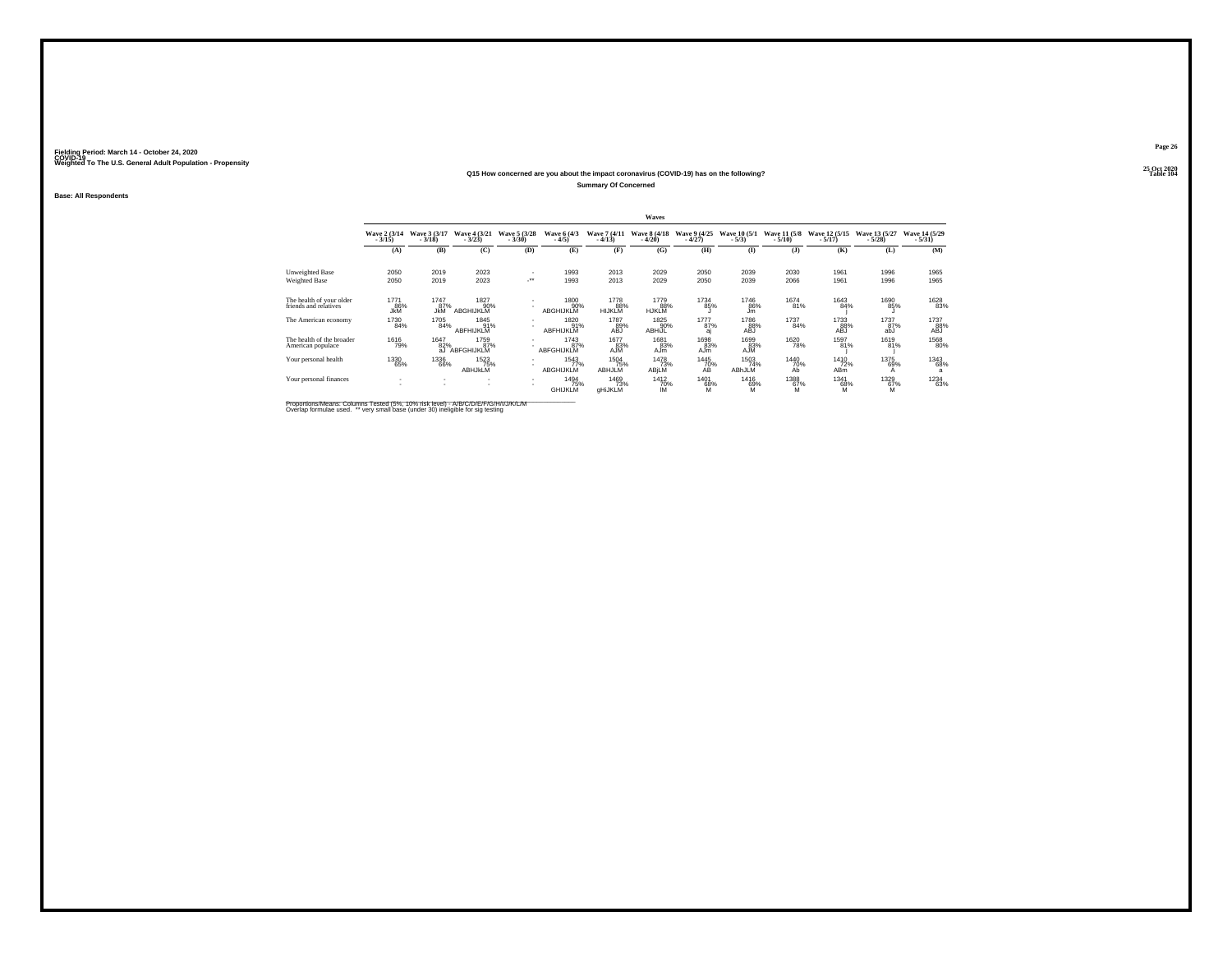#### **25 Oct 2020Q15 How concerned are you about the impact coronavirus (COVID-19) has on the following?Summary Of Concerned**

**Base: All Respondents**

|                                                   | Waves                      |                           |                                 |                          |                               |                               |                              |                          |                           |                          |                                |                             |                            |
|---------------------------------------------------|----------------------------|---------------------------|---------------------------------|--------------------------|-------------------------------|-------------------------------|------------------------------|--------------------------|---------------------------|--------------------------|--------------------------------|-----------------------------|----------------------------|
|                                                   | Wave 2 (3/14)<br>$-3/15$ ) | Wave 3 (3/17)<br>$-3/18$  | Wave 4 (3/21)<br>$-3/23$        | Wave 5 (3/28)<br>$-3/30$ | Wave 6 (4/3)<br>$-4/5)$       | Wave 7 (4/11<br>$-4/13$       | Wave 8 (4/18)<br>$-4/20$     | Wave 9 (4/25)<br>$-4/27$ | Wave 10 (5/1)<br>$-5/3)$  | Wave 11 (5/8)<br>$-5/10$ | Wave 12 (5/15)<br>$-5/17)$     | Wave 13 (5/27)<br>$-5/28$ ) | Wave 14 (5/29)<br>$-5/31)$ |
|                                                   | (A)                        | (B)                       | (C)                             | (D)                      | (E)                           | (F)                           | (G)                          | (H)                      | (I)                       | (1)                      | (K)                            | (L)                         | (M)                        |
| Unweighted Base                                   | 2050                       | 2019                      | 2023                            |                          | 1993                          | 2013                          | 2029                         | 2050                     | 2039                      | 2030                     | 1961                           | 1996                        | 1965                       |
| Weighted Base                                     | 2050                       | 2019                      | 2023                            | $\mathcal{C}^{\star}$    | 1993                          | 2013                          | 2029                         | 2050                     | 2039                      | 2066                     | 1961                           | 1996                        | 1965                       |
| The health of your older<br>friends and relatives | 1771<br>86%<br><b>JkM</b>  | 1747<br>87%<br><b>JkM</b> | 1827<br>90%<br><b>ABGHIJKLM</b> | ٠                        | 1800<br>90%<br>ABGHIJKLM      | 1778<br>88%<br><b>HIJKLM</b>  | 1779<br>88%<br><b>HJKLM</b>  | 1734<br>85%              | <sup>1746</sup> 86%<br>Jm | <sup>1674</sup> 81%      | 1643<br>84%                    | 1690<br>85%                 | 1628<br>83%                |
| The American economy                              | 1730<br>84%                | 1705<br>84%               | 1845<br>91%<br>ABFHIJKLM        | $\mathbf{r}$             | 1820<br>91%<br>ABFHIJKLM      | 1787<br>89%<br>ABJ            | 1825<br>90%<br><b>ABHIJL</b> | 1777<br>87%<br>aί        | 1786<br>88%<br>ABJ        | 1737<br>84%              | 1733<br>88%<br>ABJ             | 1737<br>87%<br>abJ          | 1737<br>88%<br>ABJ         |
| The health of the broader<br>American populace    | 1616<br>79%                | 1647<br>82%<br>aJ         | 1759<br>87%<br>ABFGHIJKLM       | $\sim$                   | 1743<br>87%<br>ABFGHIJKLM     | 1677<br>83%<br>AJM            | 1681<br>83%<br>AJm           | 1698<br>83%<br>AJm       | 1699<br>83%<br>AJM        | 1620<br>78%              | 1597<br>81%                    | 1619<br>81%                 | 1568<br>80%                |
| Your personal health                              | 1330<br>65%                | <sup>1336</sup> 66%       | 1523<br>75%<br>ABHJKLM          | $\overline{\phantom{a}}$ | 1543<br>77%<br>ABGHIJKLM      | <sup>1504</sup> 75%<br>ABHJLM | 1478<br>73%<br>ABjLM         | 1445<br>70%<br>AB        | 1503<br>74%<br>ABhJLM     | 1440<br>70%<br>Ab        | 1410<br>72%<br>AB <sub>m</sub> | 1375<br>69%<br>A            | 1343<br>68%<br>a           |
| Your personal finances                            | <b>1979</b>                | $\sim$                    | $\sim$                          | $\mathbf{r}$             | 1494<br>75%<br><b>GHIJKLM</b> | 1469<br>73%<br>aHiJKLM        | 1412<br>70%<br>ΙM            | 1401<br>68%<br>ΪЙ        | 1416<br>69%<br>ΪЙ         | 1388<br>67%<br>M         | 1341<br>68%<br>м               | 1329<br>67%<br>M            | <sup>1234</sup> 63%        |

Proportions/Means: Columns Tested (5%, 10% risk level) - A/B/C/D/E/F/G/H/I/J/K/L/M<br>Overlap formulae used. \*\* very small base (under 30) ineligible for sig testing

**Page 26**25 Oct 2020<br>Table 104

**Table 104 Table 104**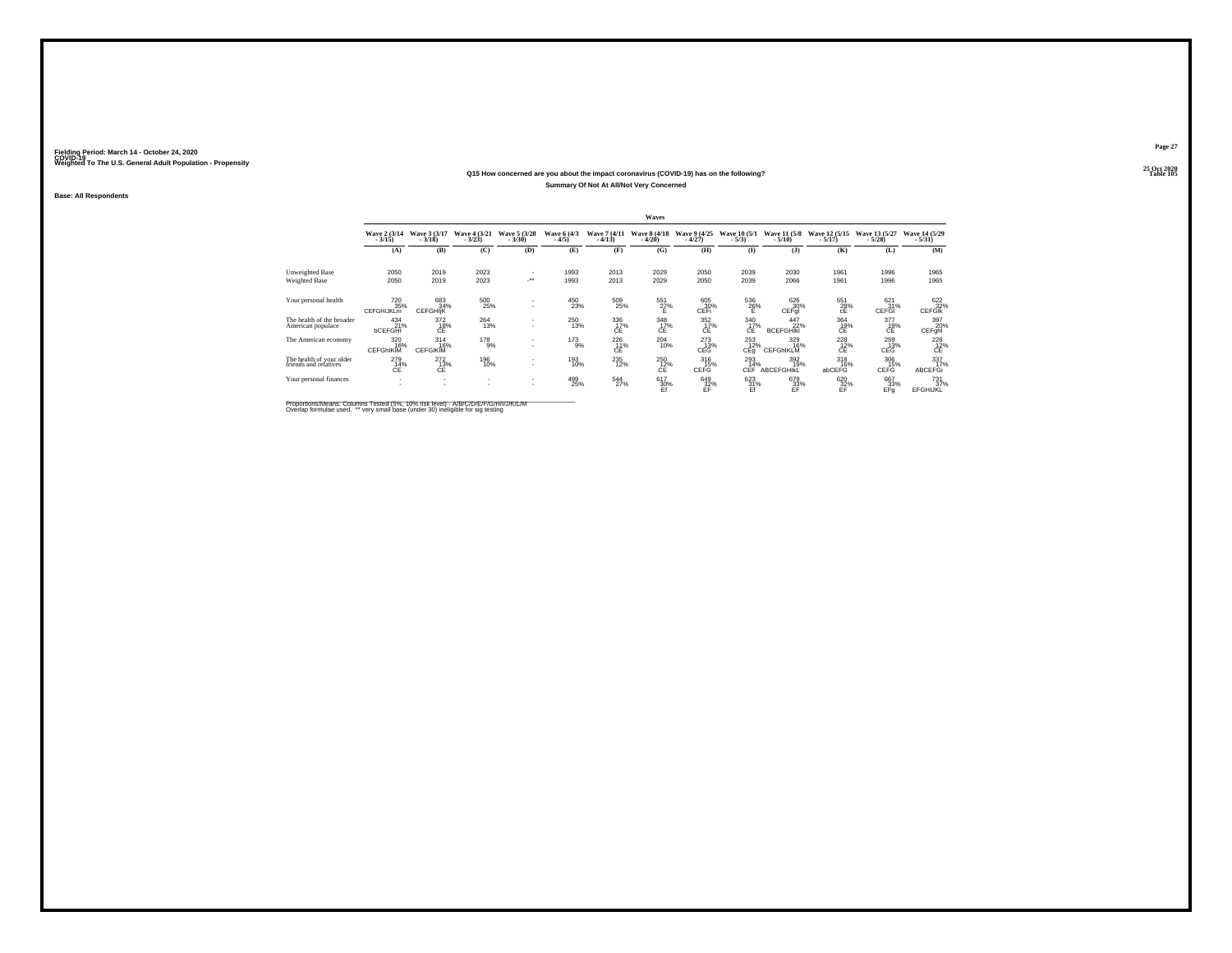#### **25 Oct 2020Q15 How concerned are you about the impact coronavirus (COVID-19) has on the following?Table 105 Table 105 Summary Of Not At All/Not Very Concerned**

**Base: All Respondents**

|                                                   | Waves                                       |                                          |                          |                          |                        |                          |                          |                                |                               |                                 |                                       |                           |                                     |
|---------------------------------------------------|---------------------------------------------|------------------------------------------|--------------------------|--------------------------|------------------------|--------------------------|--------------------------|--------------------------------|-------------------------------|---------------------------------|---------------------------------------|---------------------------|-------------------------------------|
|                                                   | Wave 2 (3/14)<br>$-3/15$ )                  | Wave 3 (3/17)<br>$-3/18$                 | Wave 4 (3/21)<br>$-3/23$ | Wave 5 (3/28)<br>$-3/30$ | Wave 6 (4/3)<br>$-4/5$ | Wave 7 (4/11)<br>$-4/13$ | Wave 8 (4/18)<br>$-4/20$ | Wave 9 (4/25)<br>$-4/27$       | Wave 10 (5/1)<br>$-5/3$       | Wave 11 (5/8)<br>$-5/10$        | Wave 12 (5/15)<br>$-5/17$             | Wave 13 (5/27)<br>$-5/28$ | Wave 14 (5/29)<br>$-5/31$           |
|                                                   | (A)                                         | (B)                                      | (C)                      | (D)                      | (E)                    | (F)                      | (G)                      | (H)                            | $($ I                         | (1)                             | (K)                                   | (L)                       | (M)                                 |
| Unweighted Base                                   | 2050                                        | 2019                                     | 2023                     |                          | 1993                   | 2013                     | 2029                     | 2050                           | 2039                          | 2030                            | 1961                                  | 1996                      | 1965                                |
| Weighted Base                                     | 2050                                        | 2019                                     | 2023                     | ٠.                       | 1993                   | 2013                     | 2029                     | 2050                           | 2039                          | 2066                            | 1961                                  | 1996                      | 1965                                |
| Your personal health                              | <sup>720</sup> <sub>35%</sub><br>CEFGHIJKLm | 683<br>34%<br><b>CEFGHIK</b>             | 500<br>25%               | $\sim$                   | 450<br>23%             | 509<br>25%               | 551<br>27%<br>Ë          | $\substack{605\\30\%}$<br>CEFI | $^{536}_{26\%}$               | 626<br>30%<br>CEFql             | 551<br>28%<br>cÉ                      | 621/31%<br>CEFGI          | 622%<br><b>CEFGIK</b>               |
| The health of the broader<br>American populace    | 434<br>21%<br><b>bCEFGHI</b>                | $^{372}_{-18\%}$                         | 264<br>13%               | $\sim$                   | 250<br>13%             | $\frac{336}{17}\%$<br>ĆĖ | $\frac{348}{17\%}$<br>ĆĖ | $\frac{352}{17}\%$<br>CÊ       | $\frac{340}{17\%}$<br>ĆĖ      | 447<br>22%<br><b>BCEFGHIKI</b>  | $^{364}_{\substack{19 \\ \text{CE}}}$ | 377<br>C <sup>19%</sup>   | 397<br>20%<br>CEFghl                |
| The American economy                              | 320<br>16%<br><b>CEFGHKIM</b>               | 314<br>16%<br><b>CEFGIKIM</b>            | 178<br>9%                | $\sim$                   | 173<br>9%              | 226<br>11%<br>ĆÉ         | 204<br>10%               | 273<br>13%<br>CEG <sup></sup>  | 253<br>12%<br>CE <sub>q</sub> | 329<br>16%<br><b>CEFGHIKLM</b>  | 228<br>C <sub>E</sub> <sup>12%</sup>  | 259<br>13%<br>CEĞ 1       | $^{228}_{\hbox{C}\bar{\mathrm{E}}}$ |
| The health of your older<br>friends and relatives | 279<br>14%<br>CE                            | $^{272}_{13\%}$<br>CF                    | 196<br>10%               |                          | 193<br>10%             | <sup>235</sup><br>12%    | 250<br>12%<br>CE         | $^{316}_{15\%}$<br>CEFG        | 293<br>14%<br>CFF.            | 392<br>19%<br><b>ABCEFGHIKL</b> | 318<br>16%<br>abCEFG                  | 306<br>15%<br>CEFG        | 337<br>17%<br>ABCEFGI               |
| Your personal finances                            | ٠<br>×.                                     | $\mathbf{r}$<br>$\overline{\phantom{a}}$ | ٠                        | $\sim$<br>$\sim$         | 499<br>25%             | 544<br>27%               | $^{617}_{30\%}$          | $^{649}_{32\%}$                | $\frac{623}{31\%}$            | 679<br>33%<br>EF                | $^{620}_{32\%}$                       | 667<br>33%<br>EFq         | $^{731}_{37\%}$<br>EFGHIJKL         |

Proportions/Means: Columns Tested (5%, 10% risk level) - A/B/C/D/E/F/G/H/I/J/K/L/M<br>Overlap formulae used. \*\* very small base (under 30) ineligible for sig testing

**Page 27**25 Oct 2020<br>Table 105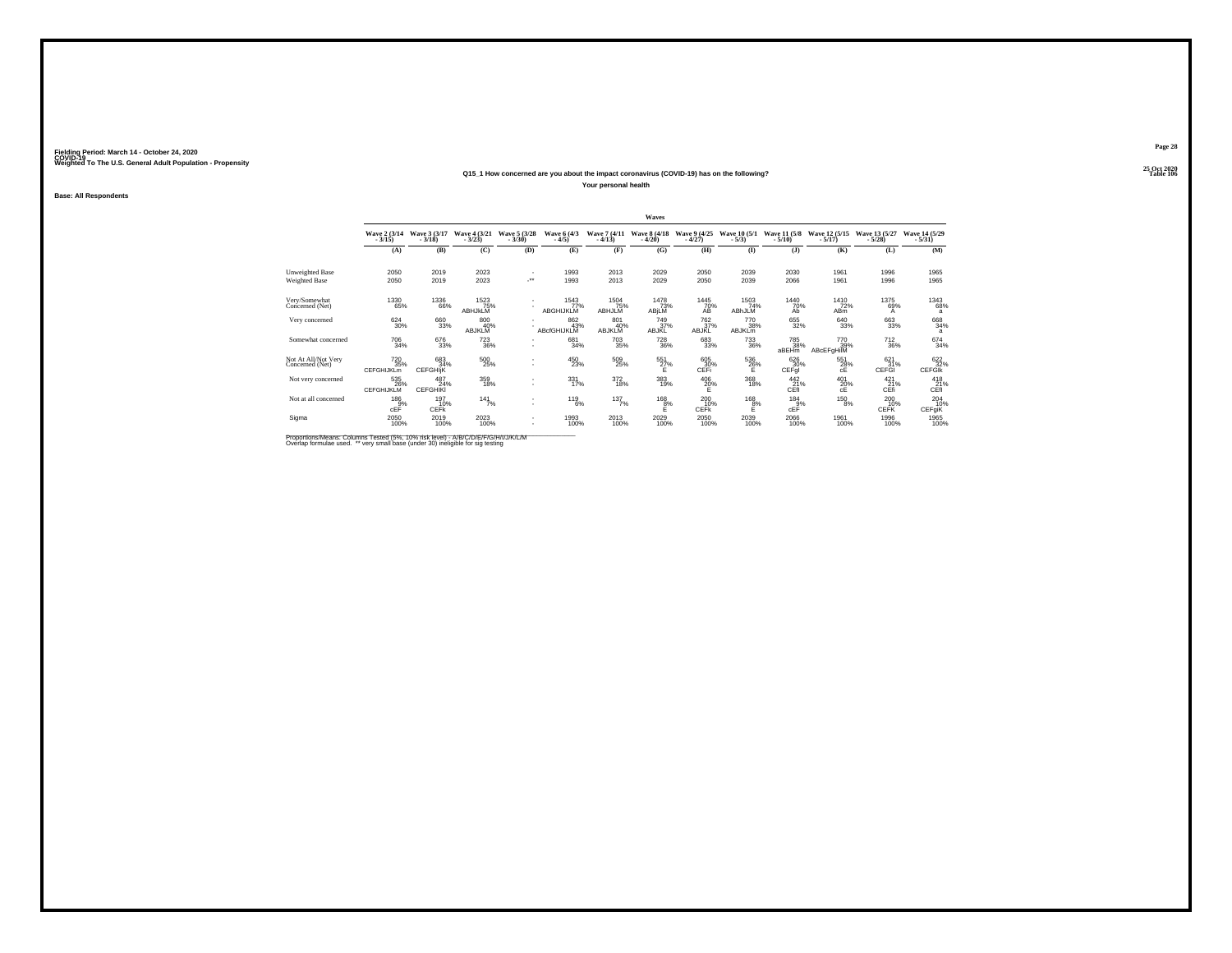## **25 Oct 2020Q15\_1 How concerned are you about the impact coronavirus (COVID-19) has on the following?**

**Your personal health**

**Base: All Respondents**

|                                        |                                                    |                               |                          |                                |                           |                             | Waves                           |                                |                             |                          |                                                                                                            |                             |                            |
|----------------------------------------|----------------------------------------------------|-------------------------------|--------------------------|--------------------------------|---------------------------|-----------------------------|---------------------------------|--------------------------------|-----------------------------|--------------------------|------------------------------------------------------------------------------------------------------------|-----------------------------|----------------------------|
|                                        | Wave 2 (3/14)<br>$-3/15$                           | Wave 3 (3/17)<br>$-3/18$      | Wave 4 (3/21)<br>$-3/23$ | Wave 5 (3/28)<br>$-3/30$       | Wave 6 (4/3)<br>$-4/5$    | Wave 7 (4/11)<br>$-4/13$    | <b>Wave 8 (4/18)</b><br>$-4/20$ | Wave 9 (4/25)<br>$-4/27$       | Wave 10 (5/1)<br>$-5/3$     | Wave 11 (5/8)<br>$-5/10$ | Wave 12 (5/15)<br>$-5/17$                                                                                  | Wave 13 (5/27)<br>$-5/28$   | Wave 14 (5/29)<br>$-5/31)$ |
|                                        | (A)                                                | (B)                           | (C)                      | (D)                            | (E)                       | (F)                         | (G)                             | (H)                            | $($ $\Gamma$                | (3)                      | (K)                                                                                                        | (L)                         | (M)                        |
| Unweighted Base                        | 2050                                               | 2019                          | 2023                     |                                | 1993                      | 2013                        | 2029                            | 2050                           | 2039                        | 2030                     | 1961                                                                                                       | 1996                        | 1965                       |
| Weighted Base                          | 2050                                               | 2019                          | 2023                     | $\mathcal{C}^{\bullet\bullet}$ | 1993                      | 2013                        | 2029                            | 2050                           | 2039                        | 2066                     | 1961                                                                                                       | 1996                        | 1965                       |
| Very/Somewhat<br>Concerned (Net)       | 1330<br>65%                                        | <sup>1336</sup> 66%           | 1523%<br>ABHJKLM         |                                | 1543<br>77%<br>ABGHIJKLM  | 1504<br>75%<br>ABHJLM       | <sup>1478</sup> 73%<br>ABjLM    | 1445<br>70%<br>AB              | 1503<br>74%<br>ABhJLM       | 1440<br>70%<br>Ah        | 1410<br>72%<br>AB <sub>m</sub>                                                                             | 1375<br>69%<br>A            | <sup>1343</sup> 68%<br>a   |
| Very concerned                         | $\substack{624 \\ 30\%}$                           | 660<br>33%                    | 800<br>40%<br>ABJKLM     |                                | 862<br>43%<br>ABcfGHIJKLM | 801<br>40%<br><b>ABJKLM</b> | 749<br>37%<br>ABJKL             | 762<br>37%<br>ABJKL            | 770<br>38%<br><b>ABJKLm</b> | 655<br>32%               | 640<br>33%                                                                                                 | 663<br>33%                  | $^{668}_{34\%}$<br>a       |
| Somewhat concerned                     | $\substack{706 \\ 34\%}$                           | 676<br>33%                    | 723<br>36%               |                                | 681<br>34%                | 703<br>35%                  | 728<br>36%                      | 683<br>33%                     | 733<br>36%                  | 785<br>38%<br>aBEHm      | 770<br>39%<br>ABcEFgHilM                                                                                   | 712<br>36%                  | $^{674}_{34\%}$            |
| Not At All/Not Very<br>Concerned (Net) | <sup>720</sup> <sub>35%</sub><br><b>CEFGHIJKLm</b> | 683<br>34%<br><b>CEFGHIK</b>  | $^{500}_{\,25\%}$        |                                | 450<br>23%                | 509<br>25%                  | 551<br>27%<br>E                 | $\substack{605\\30\%}$<br>CEFI | $^{536}_{26\%}$             | 626<br>30%<br>CEFql      | 551<br>28%<br>cE                                                                                           | $\frac{621}{31\%}$<br>CEFGI | 622%<br><b>CEFGIK</b>      |
| Not very concerned                     | 535<br>26%<br><b>CEFGHIJKLM</b>                    | 487<br>24%<br><b>CEFGHIKI</b> | 359<br>18%               |                                | 331<br>17%                | 372<br>18%                  | 383<br>19%                      | $^{406}_{\  \  \, 20\%}$       | 368<br>18%                  | $^{442}_{21\%}$<br>CĒf   | $^{401}_{\hphantom{1}\hphantom{1}20\%}_{\hphantom{1}\hphantom{1}\hphantom{1}\hphantom{1}c\hbox{\small E}}$ | 421<br>c <sup>21%</sup>     | $^{418}_{-21\%}$ CEfI      |
| Not at all concerned                   | 186<br>$CEF^{\frac{3}{2}\%}$                       | 197<br>10%<br><b>CEFK</b>     | 141<br>7%                |                                | 119<br>6%                 | 137<br>7%                   | 168<br>$E^{\frac{8}{6}}$        | 200<br>10%<br><b>CEFK</b>      | 168<br>$E^{\%}$             | 184<br>$CEF^9$           | 150<br>8%                                                                                                  | 200<br>10%<br><b>CEFK</b>   | 204<br>CEFgiK              |
| Sigma                                  | 2050<br>100%                                       | 2019<br>100%                  | 2023<br>100%             |                                | 1993<br>100%              | 2013<br>100%                | 2029<br>100%                    | 2050<br>100%                   | 2039<br>100%                | 2066<br>100%             | 1961<br>100%                                                                                               | 1996<br>100%                | 1965<br>100%               |

Proportions/Means: Columns Tested (5%, 10% risk level) - A/B/C/D/E/F/G/H/I/J/K/L/M<br>Overlap formulae used. \*\* very small base (under 30) ineligible for sig testing

**Page 2825 Oct 2020<br>Table 106** 

**Table 106 Table 106**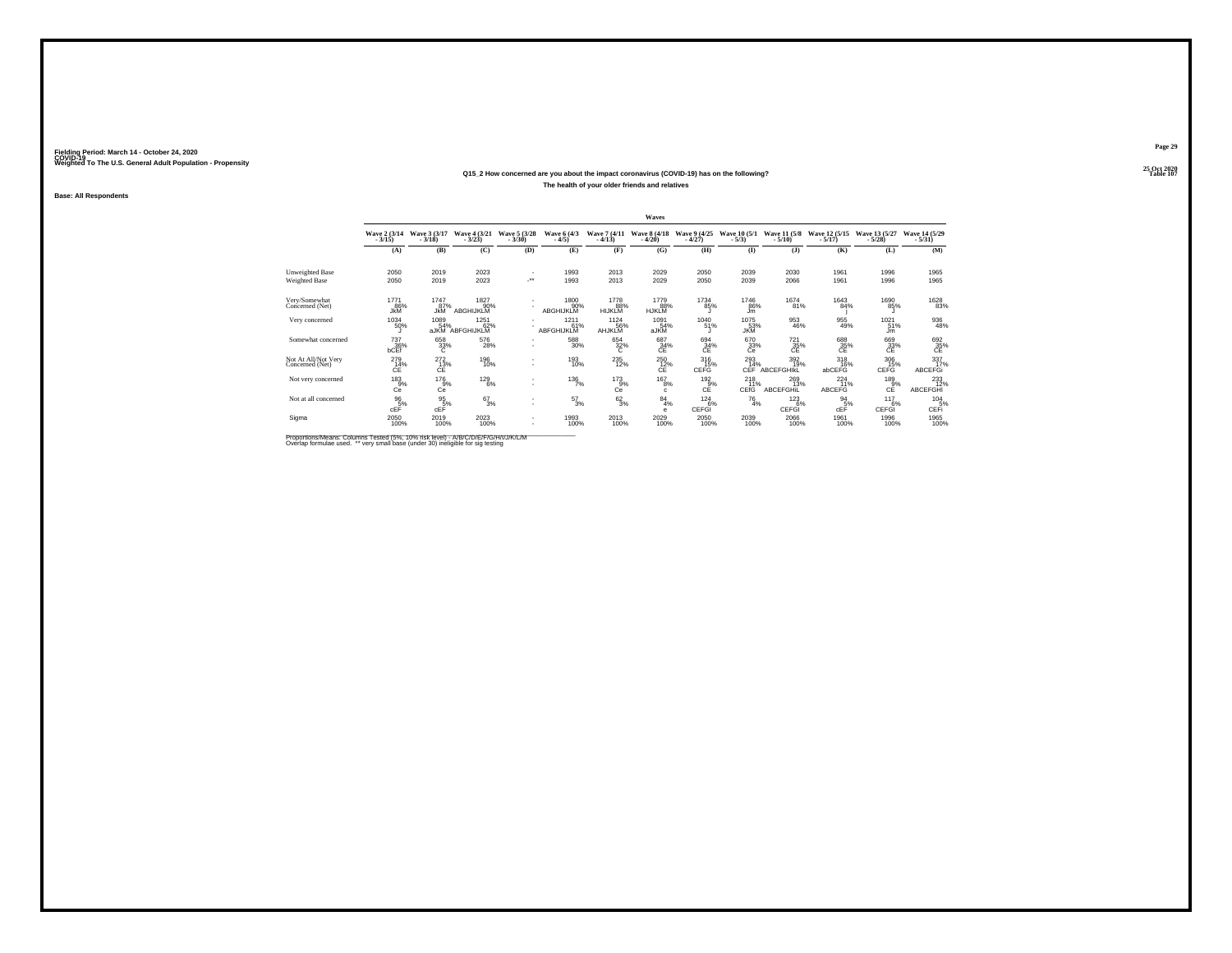#### **25 Oct 2020Q15\_2 How concerned are you about the impact coronavirus (COVID-19) has on the following?Particular Table 107 Table 107 Table 107 The health of your older friends and relatives**

**Base: All Respondents**

|                                        |                            |                          |                                 |                                |                           |                                      | Waves                           |                                          |                         |                                 |                             |                             |                              |
|----------------------------------------|----------------------------|--------------------------|---------------------------------|--------------------------------|---------------------------|--------------------------------------|---------------------------------|------------------------------------------|-------------------------|---------------------------------|-----------------------------|-----------------------------|------------------------------|
|                                        | Wave 2 (3/14)<br>$-3/15$ ) | Wave 3 (3/17)<br>$-3/18$ | Wave 4 (3/21)<br>$-3/23$ )      | Wave 5 (3/28)<br>$-3/30$       | Wave 6 (4/3)<br>$-4/5$    | Wave 7 (4/11)<br>$-4/13$             | <b>Wave 8 (4/18)</b><br>$-4/20$ | Wave 9 (4/25)<br>$-4/27$                 | Wave 10 (5/1)<br>$-5/3$ | Wave 11 (5/8)<br>$-5/10$ )      | Wave 12 (5/15)<br>$-5/17)$  | Wave 13 (5/27)<br>$-5/28$ ) | Wave 14 (5/29)<br>$-5/31)$   |
|                                        | (A)                        | (B)                      | (C)                             | (D)                            | (E)                       | (F)                                  | (G)                             | (H)                                      | $($ I                   | (1)                             | (K)                         | (L)                         | (M)                          |
| Unweighted Base                        | 2050                       | 2019                     | 2023                            |                                | 1993                      | 2013                                 | 2029                            | 2050                                     | 2039                    | 2030                            | 1961                        | 1996                        | 1965                         |
| <b>Weighted Base</b>                   | 2050                       | 2019                     | 2023                            | $\mathcal{C}^{\bullet\bullet}$ | 1993                      | 2013                                 | 2029                            | 2050                                     | 2039                    | 2066                            | 1961                        | 1996                        | 1965                         |
| Very/Somewhat<br>Concerned (Net)       | 1771<br>86%<br><b>JkM</b>  | 1747 87%<br><b>JkM</b>   | 1827<br>90%<br><b>ABGHIJKLM</b> |                                | 1800<br>90%<br>ABGHIJKLM  | <sup>1778</sup> 88%<br><b>HIJKLM</b> | 1779<br>88%<br><b>HJKLM</b>     | <sup>1734</sup> 85%                      | 1746<br>86%<br>Jm       | <sup>1674</sup> 81%             | 1643<br>84%                 | 1690<br>85%                 | 1628<br>83%                  |
| Very concerned                         | 1034<br>50%                | 1089<br>54%<br>aJKM      | 1251<br>62%<br>ABFGHIJKLM       |                                | 1211<br>61%<br>ABFGHIJKLM | 1124 56%<br>AHJKLM                   | 1091<br>54%<br>aJKM             | 1040 51%                                 | 1075<br>$3\%$           | 953<br>46%                      | 955<br>49%                  | 1021<br>51%<br>Jm           | 936<br>48%                   |
| Somewhat concerned                     | 737<br>36%<br>bCEf         | 658<br>33%               | 576<br>28%                      | ٠<br>٠                         | 588<br>30%                | 654<br>32%<br>Ō.                     | 687<br>34%                      | 694<br>$e^{34\%}$                        | 670<br>33%<br>Ce        | 721<br>$\bar{S}^{\frac{1}{2}}$  | 688<br>C <sup>35%</sup>     | 669<br>33%<br>CE            | 692<br>35%<br>CE             |
| Not At All/Not Very<br>Concerned (Net) | 279<br>14%<br>CE           | $^{272}_{13\%}$<br>CE    | 196<br>10%                      | ٠                              | 193<br>10%                | $^{235}_{12\%}$                      | 250<br>12%<br>CE                | 316<br>15%<br>CEFG                       | $^{293}_{14\%}$<br>CEF  | 392<br>19%<br><b>ABCEFGHIKL</b> | $^{318}_{16\%}$<br>abCEFG   | $\frac{306}{15%}$<br>CEFG   | 337<br>17%<br><b>ABCEFGi</b> |
| Not very concerned                     | $^{183}_{9%}$<br>Ce        | $^{176}_{-9\%}$<br>Cē    | $^{129}_{6\%}$                  | ٠                              | $^{136}_{7\%}$            | $^{173}_{-9\%}$<br>Ce                | $^{167}_{8\%}$<br>$\mathbf{C}$  | 192<br>$c_{\mathsf{E}}^{\overline{9}\%}$ | $^{218}_{11\%}$<br>CEfG | 269<br>13%<br><b>ABCEFGHIL</b>  | 224<br>11%<br><b>ABCEFG</b> | $^{189}_{\rm C}$ %          | 233<br><b>ABCEFGHI</b>       |
| Not at all concerned                   | 96<br>5%<br>cEF            | 95<br>$cE$ <sup>5%</sup> | $\frac{67}{3\%}$                | ٠<br>٠                         | 57<br>3%                  | $\frac{62}{3\%}$                     | 84<br>4%<br>e                   | 124<br>6%<br>CEFGI                       | 76<br>4%                | 123<br>6%<br>CEFGI              | 94<br>5%<br>cEF             | 117<br>6%<br>CEFGI          | 104<br>CEFi                  |
| Sigma                                  | 2050<br>100%               | 2019<br>100%             | 2023<br>100%                    | ٠<br>٠                         | 1993<br>100%              | 2013<br>100%                         | 2029<br>100%                    | 2050<br>100%                             | 2039<br>100%            | 2066<br>100%                    | 1961<br>100%                | 1996<br>100%                | 1965<br>100%                 |

Proportions/Means: Columns Tested (5%, 10% risk level) - A/B/C/D/E/F/G/H/I/J/K/L/M<br>Overlap formulae used. \*\* very small base (under 30) ineligible for sig testing

**Page 29**25 Oct 2020<br>Table 107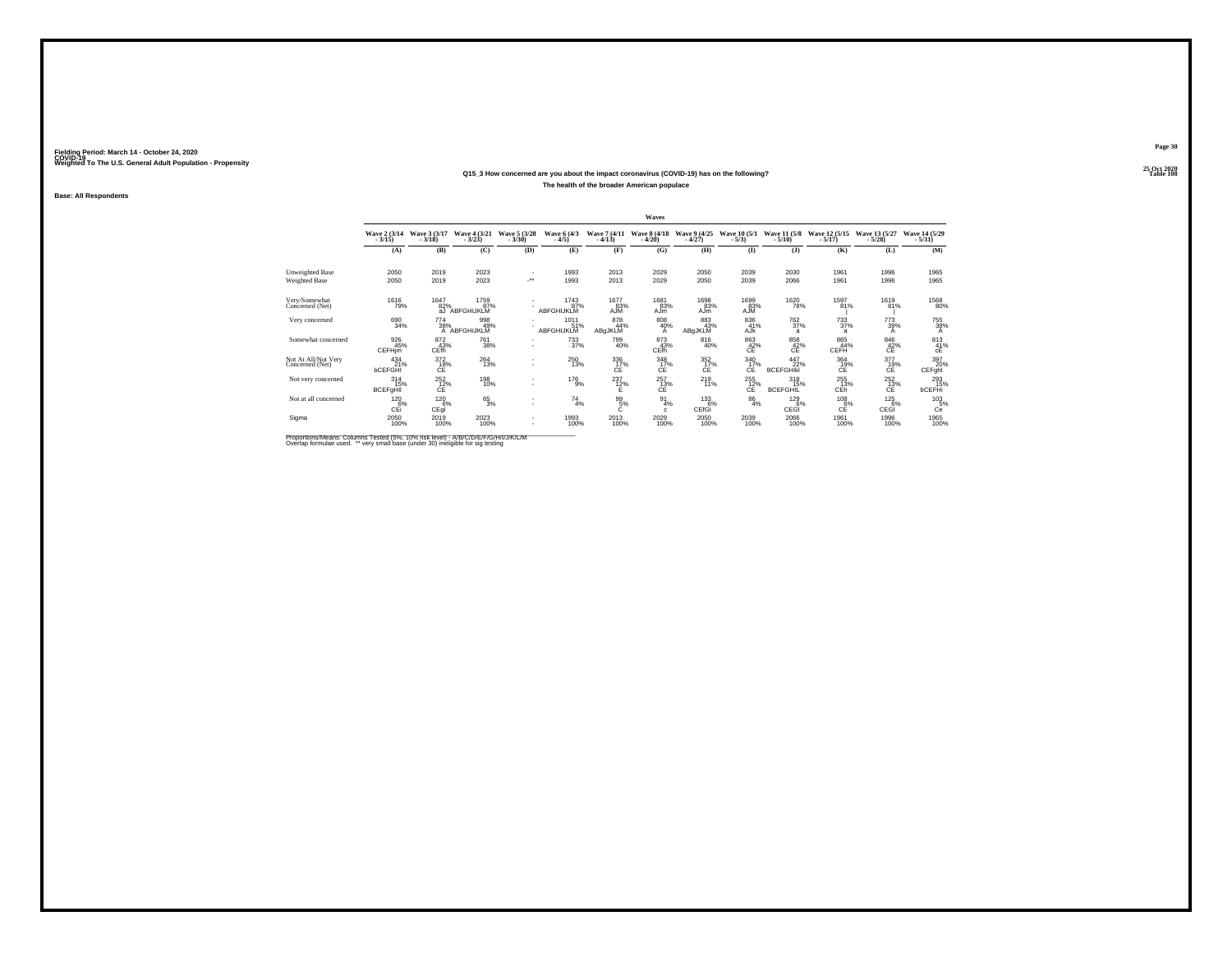## **25 Oct 2020Q15\_3 How concerned are you about the impact coronavirus (COVID-19) has on the following?The health of the broader American populace**

**Base: All Respondents**

|                                        |                                   |                                   |                            |                                |                           |                           | Waves                           |                                 |                                      |                                      |                                 |                             |                                            |
|----------------------------------------|-----------------------------------|-----------------------------------|----------------------------|--------------------------------|---------------------------|---------------------------|---------------------------------|---------------------------------|--------------------------------------|--------------------------------------|---------------------------------|-----------------------------|--------------------------------------------|
|                                        | Wave 2 (3/14)<br>$-3/15$ )        | Wave 3 (3/17)<br>$-3/18$          | Wave 4 (3/21)<br>$-3/23$ ) | Wave 5 (3/28)<br>$-3/30$       | Wave 6 (4/3)<br>$-4/5$    | Wave 7 (4/11)<br>$-4/13$  | <b>Wave 8 (4/18)</b><br>$-4/20$ | Wave 9 (4/25)<br>$-4/27$        | Wave 10 (5/1)<br>$-5/3$              | Wave 11 (5/8)<br>$-5/10$ )           | Wave 12 (5/15)<br>$-5/17)$      | Wave 13 (5/27)<br>$-5/28$ ) | Wave 14 (5/29)<br>$-5/31)$                 |
|                                        | (A)                               | (B)                               | (C)                        | (D)                            | (E)                       | (F)                       | (G)                             | (H)                             | $($ I                                | (1)                                  | (K)                             | (L)                         | (M)                                        |
| Unweighted Base                        | 2050                              | 2019                              | 2023                       |                                | 1993                      | 2013                      | 2029                            | 2050                            | 2039                                 | 2030                                 | 1961                            | 1996                        | 1965                                       |
| <b>Weighted Base</b>                   | 2050                              | 2019                              | 2023                       | $\mathcal{C}^{\bullet\bullet}$ | 1993                      | 2013                      | 2029                            | 2050                            | 2039                                 | 2066                                 | 1961                            | 1996                        | 1965                                       |
| Very/Somewhat<br>Concerned (Net)       | <sup>1616</sup> 79%               | 1647<br>82%<br>a.l                | 1759<br>87%<br>ABFGHIJKLM  |                                | 1743<br>87%<br>ABFGHIJKLM | 1677<br>83%<br><b>AJM</b> | 1681<br>83%<br>AJm              | 1698<br>83%<br>AJ <sub>m</sub>  | 1699<br>83%<br><b>AJM</b>            | <sup>1620</sup> 78%                  | 1597<br>81%                     | 1619<br>81%                 | <sup>1568</sup> 80%                        |
| Very concerned                         | 690 34%                           | 774 38%<br>$\mathsf{A}$           | 998<br>49%<br>ABFGHIJKLM   |                                | 1011<br>51%<br>ABFGHIJKLM | 878<br>44%<br>ABgJKLM     | 808<br>40%<br>A                 | 883<br>43%<br>ABgJKLM           | 836<br>41%<br>AJK                    | <sup>762</sup> <sub>37%</sub><br>a   | $^{733}_{37\%}$<br>$\mathbf{a}$ | 773<br>39%<br>А             | 755<br>38%                                 |
| Somewhat concerned                     | 926<br>45%<br><b>CEFHim</b>       | 872<br>43%<br>CEfh                | 761<br>38%                 | ٠<br>٠                         | 733<br>37%                | 799<br>40%                | 873<br>43%<br><b>CEfh</b>       | 816<br>40%                      | 863<br>42%<br>СĒ                     | 858<br>c <sub>E</sub> <sup>42%</sup> | 865<br>44%<br>CEFH              | 846<br>$c_E^{42\%}$         | 813<br>$_{\text{c}}^{41\%}$                |
| Not At All/Not Very<br>Concerned (Net) | $^{434}_{21\%}$<br><b>bCEFGHI</b> | 372<br>18%<br>CE                  | 264<br>13%                 | ٠                              | $^{250}_{13\%}$           | 336<br>17%<br>CE          | 348<br>17%<br>CE                | $\frac{352}{17\%}$<br><b>CE</b> | 340<br>17%<br>CE                     | 447<br>22%<br><b>BCEFGHIKI</b>       | 364<br>19%<br>CE                | 377<br>19%<br>CE            | 397<br>20%<br>CEFghl                       |
| Not very concerned                     | 314<br>15%<br><b>BCEFgHII</b>     | $^{252}_{\hbox{C}\bar{\hbox{E}}}$ | 198<br>10%                 | ٠                              | 176<br>9%                 | $^{237}_{12\%}$           | $^{257}_{13\%}$                 | $^{219}_{11\%}$                 | $^{255}_{\substack{12 \\\text{CE}}}$ | $^{318}_{15\%}$<br><b>BCEFGHIL</b>   | 255<br>13%<br>CÉĥ               | $^{252}_{13\%}$             | 293<br>15%<br><b>bCEFHi</b>                |
| Not at all concerned                   | 120<br>6%<br>СÉі                  | 120<br>6%<br>CEql                 | $^{65}_{3\%}$              | ٠<br>٠                         | 74<br>4%                  | 99<br>5%                  | 91<br>4%<br>c                   | 133<br>6%<br>CEfGI              | 86<br>4%                             | 129<br>6%<br>CEGI                    | 108<br>$c_{{\mathsf E}}^{6\%}$  | 125<br>6%<br><b>CEGI</b>    | $^{103}_{\phantom{1}05\%}_{\phantom{1}0e}$ |
| Sigma                                  | 2050<br>100%                      | 2019<br>100%                      | 2023<br>100%               | ٠<br>٠                         | 1993<br>100%              | 2013<br>100%              | 2029<br>100%                    | 2050<br>100%                    | 2039<br>100%                         | 2066<br>100%                         | 1961<br>100%                    | 1996<br>100%                | 1965<br>100%                               |

Proportions/Means: Columns Tested (5%, 10% risk level) - A/B/C/D/E/F/G/H/I/J/K/L/M<br>Overlap formulae used. \*\* very small base (under 30) ineligible for sig testing

**Page 3025 Oct 2020<br>Table 108** 

**Table 108 Table 108**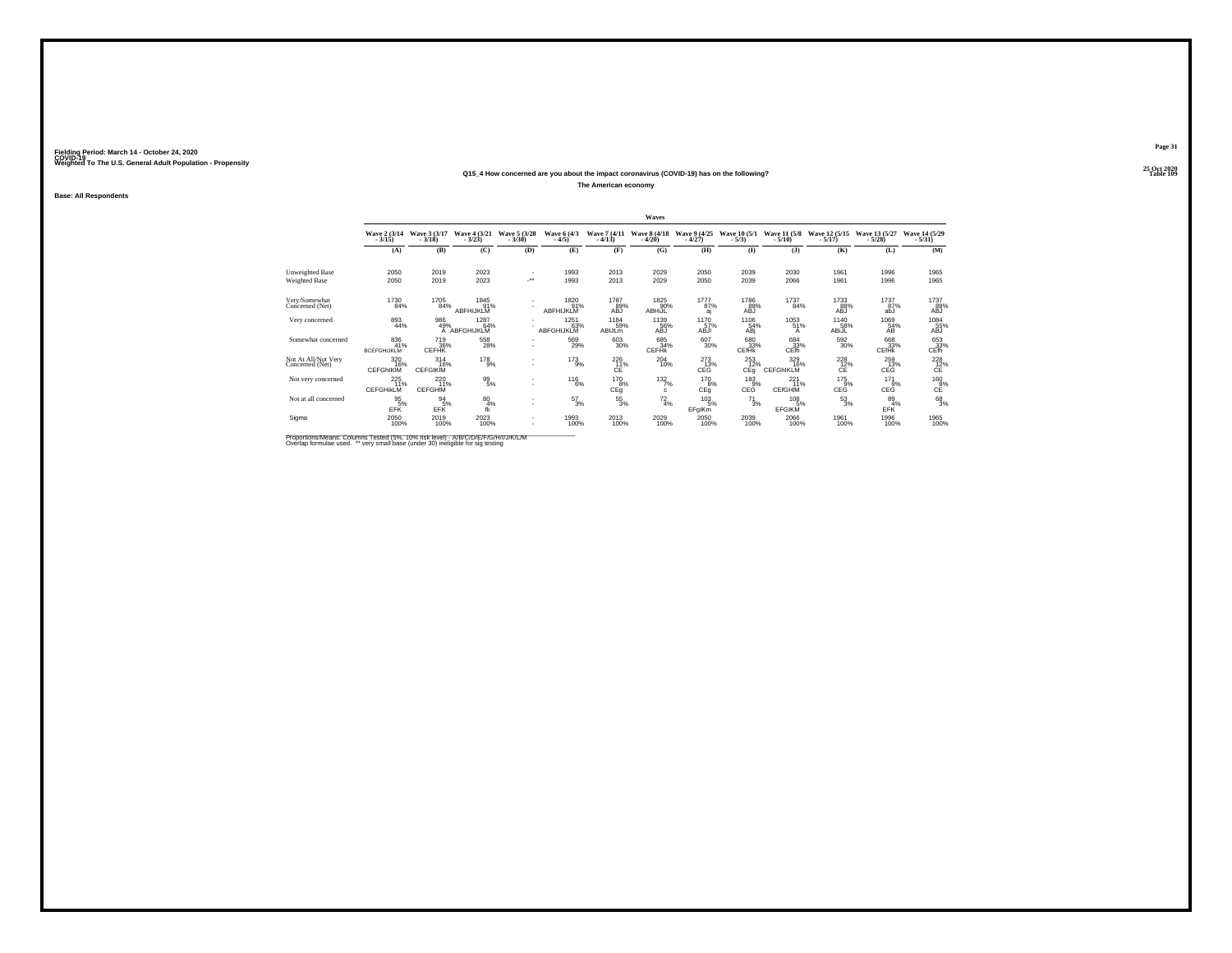## **25 Oct 2020Q15\_4 How concerned are you about the impact coronavirus (COVID-19) has on the following?**

**The American economy**

**Base: All Respondents**

|                                        |                                  |                               |                             |                          |                           |                              | Waves                           |                          |                            |                                |                               |                               |                                          |
|----------------------------------------|----------------------------------|-------------------------------|-----------------------------|--------------------------|---------------------------|------------------------------|---------------------------------|--------------------------|----------------------------|--------------------------------|-------------------------------|-------------------------------|------------------------------------------|
|                                        | Wave 2 (3/14)<br>$-3/15$         | Wave 3 (3/17)<br>$-3/18$      | Wave 4 (3/21)<br>$-3/23$    | Wave 5 (3/28)<br>$-3/30$ | Wave 6 (4/3)<br>$-4/5$    | Wave 7 (4/11)<br>$-4/13$     | <b>Wave 8 (4/18)</b><br>$-4/20$ | Wave 9 (4/25)<br>$-4/27$ | Wave 10 (5/1)<br>$-5/3$    | Wave 11 (5/8)<br>$-5/10$ )     | Wave 12 (5/15)<br>$-5/17$ )   | Wave 13 (5/27)<br>$-5/28$     | Wave 14 (5/29)<br>$-5/31$                |
|                                        | (A)                              | (B)                           | (C)                         | (D)                      | (E)                       | (F)                          | (G)                             | (H)                      | $($ I                      | $($ $)$                        | (K)                           | (L)                           | (M)                                      |
| Unweighted Base                        | 2050                             | 2019                          | 2023                        |                          | 1993                      | 2013                         | 2029                            | 2050                     | 2039                       | 2030                           | 1961                          | 1996                          | 1965                                     |
| <b>Weighted Base</b>                   | 2050                             | 2019                          | 2023                        | -**                      | 1993                      | 2013                         | 2029                            | 2050                     | 2039                       | 2066                           | 1961                          | 1996                          | 1965                                     |
| Very/Somewhat<br>Concerned (Net)       | 1730<br>84%                      | 1705<br>84%                   | 1845<br>91%<br>ABFHIJKLM    |                          | 1820<br>91%<br>ABFHIJKLM  | 1787<br>89%<br><b>ABJ</b>    | 1825<br>90%<br><b>ABHiJL</b>    | 1777<br>87%<br>aj        | 1786<br>88%<br>ABJ         | 1737<br>84%                    | 1733<br>88%<br><b>ABJ</b>     | 1737<br>87%<br>abJ            | 1737<br>88%<br>ABJ                       |
| Very concerned                         | 893<br>44%                       | 986<br>49%                    | 1287<br>64%<br>A ABFGHIJKLM |                          | 1251<br>63%<br>ABFGHIJKLM | 1184<br>59%<br><b>ABIJLM</b> | 1139<br>56%<br>ABJ              | 1170<br>57%<br>ABJI      | 1106<br>54%<br>ABj         | 1053<br>51%<br>А               | 1140<br>58%<br>ABiJL          | 1069<br>54%<br>AB             | $^{1084}_{\substack{55\%\\ \text{ABJ}}}$ |
| Somewhat concerned                     | 836<br>41%<br><b>BCEFGHIJKLM</b> | 719<br>36%<br><b>CEFHK</b>    | 558<br>28%                  |                          | 569<br>29%                | 603<br>30%                   | 685<br>34%<br><b>CEFHK</b>      | 607<br>30%               | 680<br>33%<br><b>CEfHk</b> | 684<br>33%<br>CEfh             | 592<br>30%                    | 668<br>33%<br><b>CEfHk</b>    | 653<br>$C1$ $\frac{33}{3}$ %             |
| Not At All/Not Very<br>Concerned (Net) | 320<br>16%<br><b>CEFGHIKIM</b>   | 314<br>16%<br><b>CEFGIKIM</b> | $^{178}_{9\%}$              | $\sim$                   | $^{173}_{9\%}$            | 226<br>CE                    | $^{204}_{10\%}$                 | 273 %<br>CEG             | $^{253}_{12\%}$<br>CEq     | 329<br>16%<br><b>CEFGHIKLM</b> | 228<br>12%<br><b>CE</b>       | 259<br>13%<br><b>CEG</b>      | $^{228}_{12\%}$<br>CE                    |
| Not very concerned                     | 225<br>11%<br><b>CEFGHIKLM</b>   | 220<br>11%<br><b>CEFGHIM</b>  | $^{99}_{5\%}$               |                          | $^{116}_{6\%}$            | 170<br>8%<br>CEq             | 132/7%<br>c                     | 170<br>8%<br>CEq         | $\frac{183}{9%}$<br>CEĞ    | 221<br>11%<br><b>CEfGHIM</b>   | 175<br>9%<br>CEĞ <sup>1</sup> | 171<br>9%<br>CEĞ <sup>"</sup> | $^{160}_{\rm{CE}}$                       |
| Not at all concerned                   | 95<br>5%<br>EFK                  | 94<br>5%<br>EFK               | 80<br>4%<br>fk              |                          | 57<br>3%                  | 55<br>3%                     | 72<br>4%                        | 103<br>5%<br>EFgIKm      | 71<br>3%                   | 108<br>5%<br><b>EFGIKM</b>     | 53<br>3%                      | 89<br>EFK                     | 68<br>3%                                 |
| Sigma                                  | 2050<br>100%                     | 2019<br>100%                  | 2023<br>100%                | ٠                        | 1993<br>100%              | 2013<br>100%                 | 2029<br>100%                    | $^{2050}_{100\%}$        | 2039<br>100%               | 2066<br>100%                   | 1961<br>100%                  | 1996<br>100%                  | 1965<br>100%                             |

Proportions/Means: Columns Tested (5%, 10% risk level) - A/B/C/D/E/F/G/H/I/J/K/L/M<br>Overlap formulae used. \*\* very small base (under 30) ineligible for sig testing

**Page 31**25 Oct 2020<br>Table 109

**Table 109 Table 109**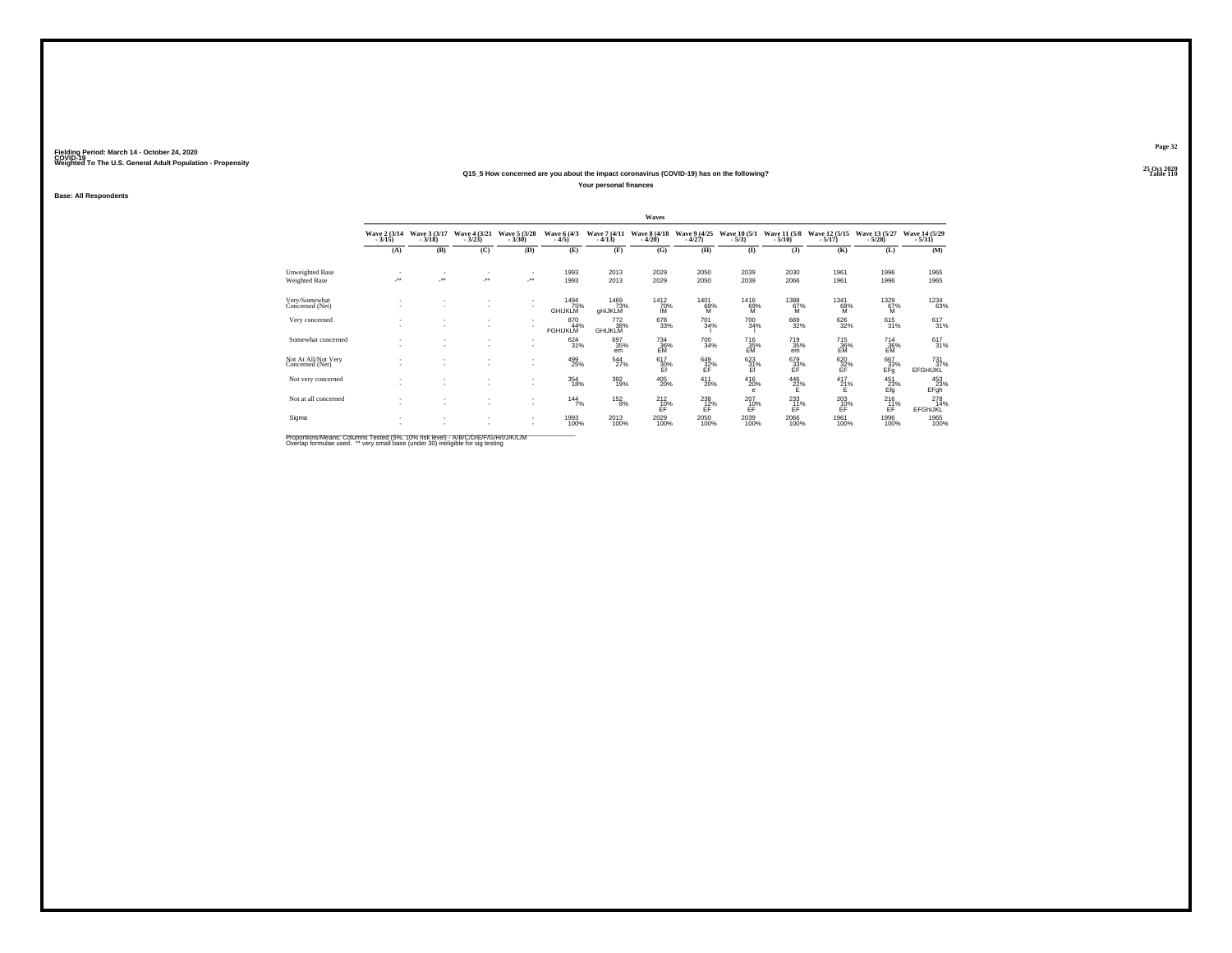## **25 Oct 2020Q15\_5 How concerned are you about the impact coronavirus (COVID-19) has on the following?**

**Your personal finances**

**Base: All Respondents**

|                                         |                                   |                                    |                                                      |                                                      |                               |                              | Waves                    |                           |                             |                          |                             |                             |                                    |
|-----------------------------------------|-----------------------------------|------------------------------------|------------------------------------------------------|------------------------------------------------------|-------------------------------|------------------------------|--------------------------|---------------------------|-----------------------------|--------------------------|-----------------------------|-----------------------------|------------------------------------|
|                                         | Wave 2 (3/14)<br>$-3/15$          | Wave 3 (3/17)<br>$-3/18$           | Wave 4 (3/21)<br>$-3/23$                             | Wave 5 (3/28)<br>$-3/30$                             | Wave 6 (4/3)<br>$-4/5)$       | Wave 7 (4/11)<br>$-4/13$     | Wave 8 (4/18)<br>$-4/20$ | Wave 9 (4/25)<br>$-4/27$  | Wave 10 (5/1)<br>$-5/3)$    | Wave 11 (5/8)<br>$-5/10$ | Wave 12 (5/15)<br>$-5/17$ ) | Wave 13 (5/27)<br>$-5/28$ ) | Wave 14 (5/29)<br>$-5/31)$         |
|                                         | (A)                               | (B)                                | (C)                                                  | (D)                                                  | (E)                           | (F)                          | (G)                      | (H)                       | (I)                         | $\mathbf{I}$             | (K)                         | (L)                         | (M)                                |
| Unweighted Base<br><b>Weighted Base</b> | $\sim$<br>$\mathcal{L}^{\bullet}$ | $\overline{\phantom{a}}$           | $\overline{\phantom{a}}$<br>$\overline{\phantom{a}}$ | $\overline{\phantom{a}}$<br>                         | 1993<br>1993                  | 2013<br>2013                 | 2029<br>2029             | 2050<br>2050              | 2039<br>2039                | 2030<br>2066             | 1961<br>1961                | 1996<br>1996                | 1965<br>1965                       |
| Very/Somewhat<br>Concerned (Net)        |                                   | $\sim$                             | $\sim$<br>$\sim$                                     | $\overline{\phantom{a}}$<br>$\overline{\phantom{a}}$ | 1494<br>75%<br><b>GHIJKLM</b> | 1469<br>73%<br>gHiJKLM       | 1412<br>70%<br>ΙM        | 1401<br>68%<br>M          | 1416<br>69%<br>M            | 1388<br>67%<br>M         | 1341<br>68%<br>м            | 1329<br>67%<br>M            | <sup>1234</sup> 63%                |
| Very concerned                          |                                   | $\sim$<br>$\overline{\phantom{a}}$ | $\overline{\phantom{a}}$<br>$\sim$                   | $\overline{\phantom{a}}$<br>$\sim$                   | 870<br>44%<br><b>FGHIJKLM</b> | 772<br>38%<br><b>GHIJKLM</b> | 678<br>33%               | 701<br>34%                | 700<br>34%                  | 669<br>32%               | 626<br>32%                  | 615/31%                     | $617 \choose 31\%$                 |
| Somewhat concerned                      |                                   | -                                  | $\overline{\phantom{a}}$<br>$\sim$                   | $\sim$<br>$\sim$                                     | 624<br>31%                    | 697<br>35%<br>em             | 734<br>36%<br>EM         | 700<br>34%                | 716<br>35%                  | 719<br>35%<br>em         | 715<br>36%<br>EM            | 714<br>36%<br>EM            | 617<br>31%                         |
| Not At All/Not Very<br>Concerned (Net)  |                                   | $\overline{\phantom{a}}$           | $\overline{\phantom{a}}$<br>$\sim$                   | $\sim$<br>$\overline{\phantom{a}}$                   | 499<br>25%                    | $\frac{544}{27\%}$           | 617<br>30%<br>Ff         | 649<br>32%<br>FF          | 623<br>31%<br>Ef            | 679<br>33%<br>FF         | 620<br>32%<br>EF            | 667<br>33%<br>EFq           | $^{731}_{37\%}$<br><b>EFGHIJKL</b> |
| Not very concerned                      | $\sim$                            | $\overline{\phantom{a}}$           | $\sim$<br>$\sim$                                     | $\overline{\phantom{a}}$<br>$\overline{\phantom{a}}$ | $^{354}_{18\%}$               | $\frac{392}{19\%}$           | 405<br>20%               | $^{411}_{20\%}$           | $^{416}_{20\%}$<br>$\theta$ | $^{446}_{22\%}$          | 417<br>21%<br>F.            | 451<br>23%<br>Efg           | 453<br>23%<br>EFgh                 |
| Not at all concerned                    |                                   | $\overline{\phantom{a}}$           | ٠<br>$\sim$                                          | $\overline{\phantom{a}}$                             | 144<br>7%                     | 152<br>8%                    | 212<br>10%<br>ÉĔ         | 238<br>$E$ <sup>12%</sup> | 207<br>$E_F^{10\%}$         | 233<br>11%<br>ÉĖ         | 203<br>10%<br>ĖĔ            | 216<br>11%<br>ÉÊ            | 278<br>14%<br>EFGhIJKL             |
| Sigma                                   | $\sim$                            | ٠<br>٠                             | $\overline{\phantom{a}}$<br>$\sim$                   | $\sim$<br>$\overline{\phantom{a}}$                   | 1993<br>100%                  | 2013<br>100%                 | 2029<br>100%             | 2050<br>100%              | 2039<br>100%                | 2066<br>100%             | 1961<br>100%                | 1996<br>100%                | 1965<br>100%                       |

Proportions/Means: Columns Tested (5%, 10% risk level) - A/B/C/D/E/F/G/H/I/J/K/L/M<br>Overlap formulae used. \*\* very small base (under 30) ineligible for sig testing

**Page 32**25 Oct 2020<br>Table 110

**Particular Table 110 Table 110 Table 110**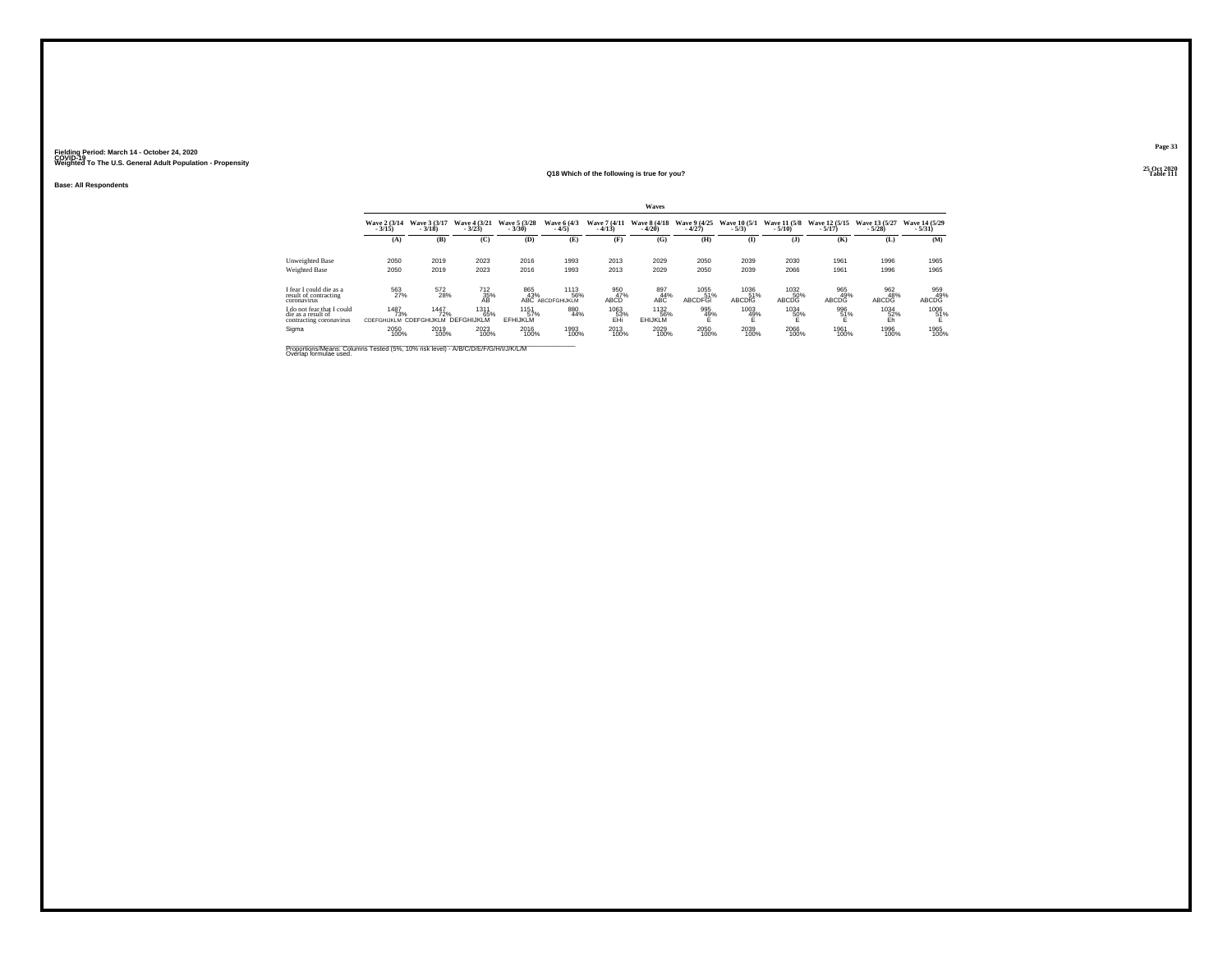**Base: All Respondents**

#### **25 Oct 2020Q18 Which of the following is true for you?Table 111**

|                                                                             | Waves                                             |                          |                          |                                |                                 |                          |                               |                          |                              |                          |                            |                            |                          |  |
|-----------------------------------------------------------------------------|---------------------------------------------------|--------------------------|--------------------------|--------------------------------|---------------------------------|--------------------------|-------------------------------|--------------------------|------------------------------|--------------------------|----------------------------|----------------------------|--------------------------|--|
|                                                                             | Wave 2 (3/14)<br>$-3/15$                          | Wave 3 (3/17)<br>$-3/18$ | Wave 4 (3/21)<br>$-3/23$ | Wave 5 (3/28)<br>$-3/30$       | Wave 6 (4/3)<br>$-4/5$          | Wave 7 (4/11)<br>$-4/13$ | Wave 8 (4/18)<br>$-4/20$      | Wave 9 (4/25)<br>$-4/27$ | Wave 10 (5/1)<br>$-5/3$      | Wave 11 (5/8)<br>$-5/10$ | Wave 12 (5/15)<br>$-5/17$  | Wave 13 (5/27)<br>$-5/28$  | Wave 14 (5/29<br>$-5/31$ |  |
|                                                                             | (A)                                               | (B)                      | (C)                      | (D)                            | (E)                             | (F)                      | (G)                           | (H)                      | (I)                          | (1)                      | (K)                        | (L)                        | (M)                      |  |
| Unweighted Base                                                             | 2050                                              | 2019                     | 2023                     | 2016                           | 1993                            | 2013                     | 2029                          | 2050                     | 2039                         | 2030                     | 1961                       | 1996                       | 1965                     |  |
| Weighted Base                                                               | 2050                                              | 2019                     | 2023                     | 2016                           | 1993                            | 2013                     | 2029                          | 2050                     | 2039                         | 2066                     | 1961                       | 1996                       | 1965                     |  |
| I fear I could die as a<br>result of contracting<br>coronavirus             | 563<br>27%                                        | 572<br>28%               | 712<br>35%<br>ĀŘ         | 865<br>43%                     | 1113<br>56%<br>ABC ABCDFGHIJKLM | 950<br>47%<br>ABCD       | 897<br>44%<br>ABC             | 1055<br>51%<br>ABCDFGI   | 1036<br>51%<br><b>ABCDIG</b> | 1032<br>50%<br>ABCDG     | 965<br>49%<br><b>ABCDG</b> | 962<br>48%<br><b>ABCDG</b> | 959<br>49%<br>ABCDG      |  |
| I do not fear that I could<br>die as a result of<br>contracting coronavirus | 1487<br>73%<br>CDEFGHIJKLM CDEFGHIJKLM DEFGHIJKLM | 1447<br>72%              | 1311<br>65%              | 1151<br>57%<br><b>EFHIJKLM</b> | 880<br>44%                      | 1063<br>53%<br>FHi       | 1132<br>56%<br><b>EHIJKLM</b> | 995<br>49%               | 1003<br>49%<br>F             | 1034<br>50%              | 996<br>51%                 | 1034<br>52%<br>Fh          | 1006<br>51%              |  |
| Sigma                                                                       | 2050<br>100%                                      | 2019<br>100%             | 2023<br>100%             | 2016<br>100%                   | 1993<br>100%                    | 2013<br>100%             | 2029<br>100%                  | 2050<br>100%             | 2039<br>100%                 | 2066<br>100%             | 1961<br>100%               | 1996<br>100%               | 1965<br>100%             |  |

**Page 33**25 Oct 2020<br>Table 111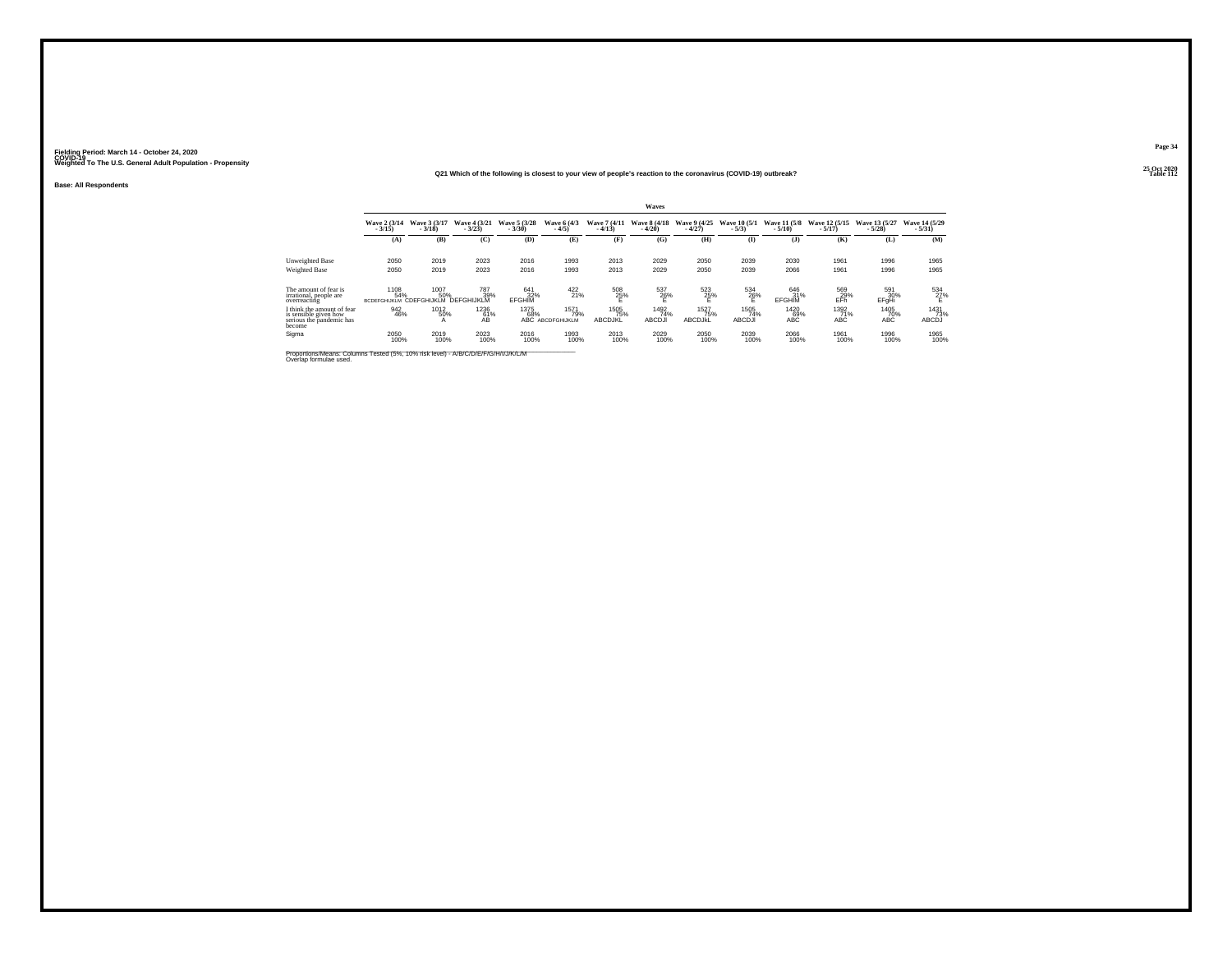#### **25 Oct 2020Q21 Which of the following is closest to your view of people's reaction to the coronavirus (COVID-19) outbreak?P Table 112**

**Base: All Respondents**

|                                                                                                              |                            | Waves                                                     |                               |                             |                                        |                          |                              |                          |                              |                                 |                            |                           |                           |  |  |
|--------------------------------------------------------------------------------------------------------------|----------------------------|-----------------------------------------------------------|-------------------------------|-----------------------------|----------------------------------------|--------------------------|------------------------------|--------------------------|------------------------------|---------------------------------|----------------------------|---------------------------|---------------------------|--|--|
|                                                                                                              | Wave 2 (3/14)<br>$-3/15$ ) | Wave 3 (3/17)<br>$-3/18$                                  | Wave 4 (3/21)<br>$-3/23$      | Wave 5 (3/28)<br>$-3/30$    | Wave 6 (4/3)<br>$-4/5)$                | Wave 7 (4/11)<br>$-4/13$ | Wave 8 (4/18)<br>$-4/20$     | Wave 9 (4/25)<br>$-4/27$ | Wave 10 (5/1)<br>$-5/3)$     | <b>Wave 11 (5/8)</b><br>$-5/10$ | Wave 12 (5/15)<br>$-5/17)$ | Wave 13 (5/27)<br>$-5/28$ | Wave 14 (5/29)<br>$-5/31$ |  |  |
|                                                                                                              | (A)                        | (B)                                                       | (C)                           | (D)                         | (E)                                    | (F)                      | (G)                          | (H)                      | $\bf(I)$                     | $\mathbf{J}$                    | (K)                        | (L)                       | (M)                       |  |  |
| Unweighted Base                                                                                              | 2050                       | 2019                                                      | 2023                          | 2016                        | 1993                                   | 2013                     | 2029                         | 2050                     | 2039                         | 2030                            | 1961                       | 1996                      | 1965                      |  |  |
| Weighted Base                                                                                                | 2050                       | 2019                                                      | 2023                          | 2016                        | 1993                                   | 2013                     | 2029                         | 2050                     | 2039                         | 2066                            | 1961                       | 1996                      | 1965                      |  |  |
| The amount of fear is<br>irrational, people are<br>overreacting                                              | 1108<br>54%                | 1007<br>50%<br><b>BCDEFGHIJKLM CDEFGHIJKLM DEFGHIJKLM</b> | 787<br>39%                    | 641<br>32%<br><b>EFGHIM</b> | $^{422}_{21\%}$                        | 508<br>25%               | 537<br>26%                   | 523<br>25%               | 534<br>$^{26\%}$             | 646<br>31%<br><b>EFGHIM</b>     | 569<br>29%<br>EFñ          | 591<br>30%<br>EFgHi       | 534<br>27%<br>Ë           |  |  |
| I think the amount of fear<br>is sensible given how<br>serious the pandemic has<br>become                    | 942<br>46%                 | 1012<br>50%<br>$\mathsf{A}$                               | 1236<br>61%<br>A <sub>B</sub> | 1375<br>68%                 | 1571<br>79%<br><b>ABC ABCDFGHIJKLM</b> | 1505<br>75%<br>ABCDJKL   | 1492<br>74%<br><b>ABCDJI</b> | 1527<br>75%<br>ABCDJKL   | 1505<br>74%<br><b>ABCDJI</b> | 1420<br>69%<br><b>ABC</b>       | 1392<br>71%<br><b>ABC</b>  | 1405<br>70%<br>ABC        | 1431<br>73%<br>ABCDJ      |  |  |
| Sigma                                                                                                        | 2050<br>100%               | 2019<br>100%                                              | 2023<br>100%                  | 2016<br>100%                | 1993<br>100%                           | 2013<br>100%             | 2029<br>100%                 | 2050<br>100%             | 2039<br>100%                 | 2066<br>100%                    | 1961<br>100%               | 1996<br>100%              | 1965<br>100%              |  |  |
| Proportions/Means: Columns Tested (5%, 10% risk level) - A/B/C/D/E/F/G/H/I/J/K/L/M<br>Overlap formulae used. |                            |                                                           |                               |                             |                                        |                          |                              |                          |                              |                                 |                            |                           |                           |  |  |

**Page 34**25 Oct 2020<br>Table 112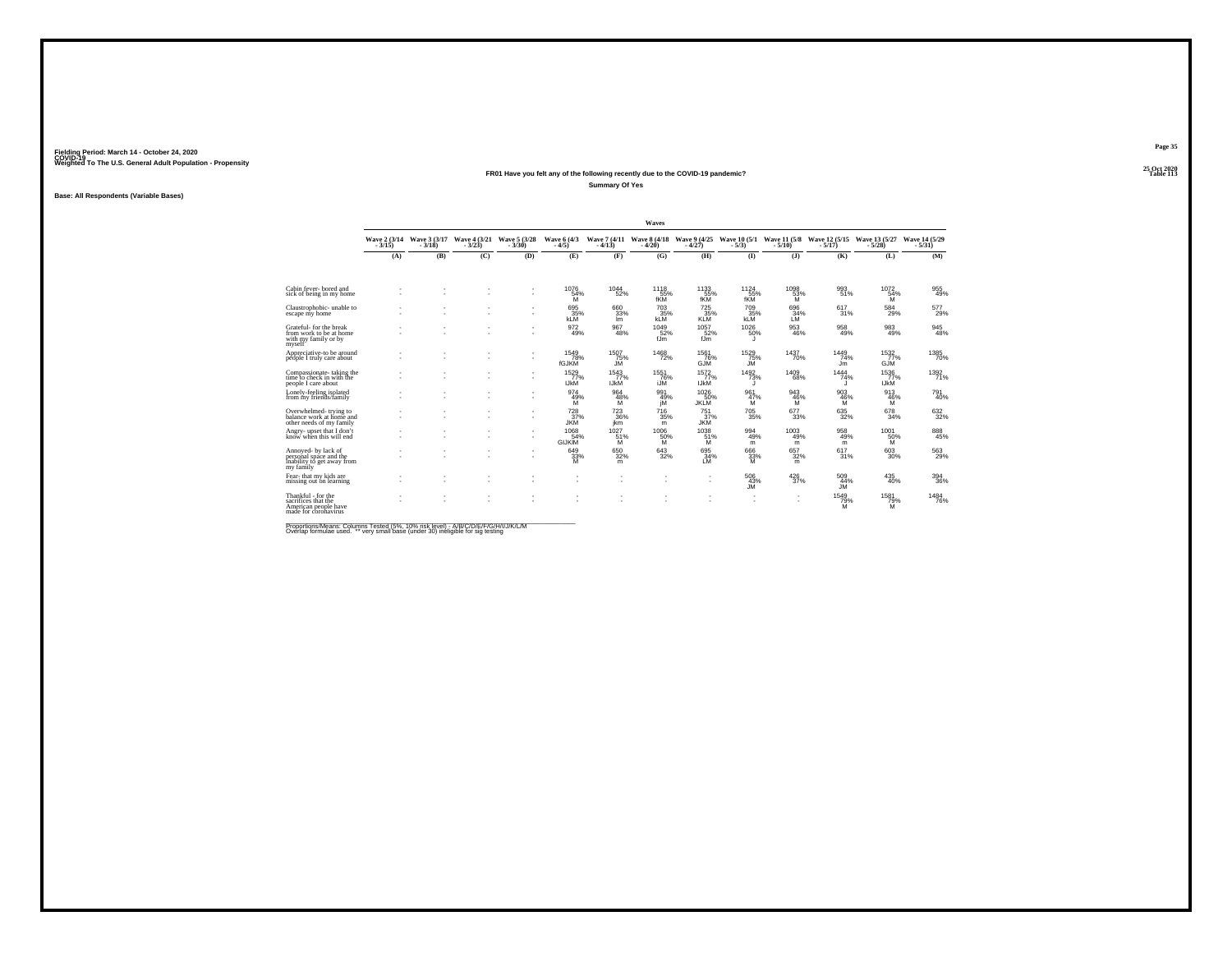### **25 Oct 2020FR01 Have you felt any of the following recently due to the COVID-19 pandemic?Summary Of Yes**

## **Base: All Respondents (Variable Bases)**

|                                                                                           |                          |                          |                          |                          |                               |                               | Waves                    |                               |                            |                          |                           |                            |                               |
|-------------------------------------------------------------------------------------------|--------------------------|--------------------------|--------------------------|--------------------------|-------------------------------|-------------------------------|--------------------------|-------------------------------|----------------------------|--------------------------|---------------------------|----------------------------|-------------------------------|
|                                                                                           | Wave 2 (3/14)<br>$-3/15$ | Wave 3 (3/17)<br>$-3/18$ | Wave 4 (3/21)<br>$-3/23$ | Wave 5 (3/28)<br>$-3/30$ | Wave 6 (4/3)<br>$-4/5$        | Wave 7 (4/11)<br>$-4/13$      | Wave 8 (4/18)<br>$-4/20$ | Wave 9 (4/25)<br>$-4/27$      | Wave 10 (5/1)<br>$-5/3$    | Wave 11 (5/8)<br>$-5/10$ | Wave 12 (5/15)<br>$-5/17$ | Wave 13 (5/27)<br>$-5/28$  | Wave 14 (5/29)<br>$-5/31$     |
|                                                                                           | (A)                      | (B)                      | (C)                      | (D)                      | (E)                           | (F)                           | (G)                      | (H)                           | $($ I                      | (3)                      | (K)                       | (L)                        | (M)                           |
|                                                                                           |                          |                          |                          |                          |                               |                               |                          |                               |                            |                          |                           |                            |                               |
| Cabin fever-bored and<br>sick of being in my home                                         |                          |                          |                          | $\sim$                   | 1076<br>$\frac{54}{9}$        | 1044<br>52%                   | 1118<br>55%<br>fKM       | 1133<br>55%<br>fKM            | 1124<br>55%<br>fKM         | 1098<br>53%<br>M         | 993<br>51%                | $^{1072}_{54\%}$<br>M      | 955<br>49%                    |
| Claustrophobic- unable to<br>escape my home                                               | ٠                        |                          |                          | ٠<br>$\sim$              | 695<br>35%<br><b>KLM</b>      | 660<br>33%<br>Im              | 703<br>35%<br><b>KLM</b> | 725<br>35%<br><b>KLM</b>      | 709<br>35%<br><b>KLM</b>   | 696<br>34%<br>ΙM         | 617<br>31%                | 584<br>29%                 | 577<br>29%                    |
| Grateful- for the break<br>from work to be at home<br>with my family or by<br>myself      |                          |                          |                          | ٠<br>$\sim$              | 972<br>49%                    | 967<br>48%                    | 1049<br>52%<br>fJm       | 1057<br>52%<br>fJm            | 1026<br>50%<br>ш           | 953<br>46%               | 958<br>49%                | $^{983}_{49\%}$            | $\substack{945 \\ 48\%}$      |
| Appreciative-to be around<br>péóple I truly care about                                    |                          |                          |                          | $\sim$                   | 1549<br>78%<br>fGJKM          | 1507<br>75%<br>JМ             | 1468<br>72%              | 1561<br>76%<br>GJM            | 1529<br>75%<br>JM          | 1437<br>70%              | 1449<br>74%<br>Jm         | 1532<br>77%<br><b>GJM</b>  | 1385<br>70%                   |
| Compassionate-taking the<br>time to check in with the<br>people I care about              |                          |                          |                          | ٠<br>$\sim$              | 1529<br>77%<br><b>IJKM</b>    | 1543<br>77%<br><b>IJkM</b>    | 1551<br>76%<br>iJM       | 1572<br>77%<br><b>IJKM</b>    | 1492<br>73%<br>л           | 1409<br>68%              | 1444<br>74%               | 1536<br>77%<br><b>IJKM</b> | 1392<br>71%                   |
| Lonely-feeling isolated<br>from my friends/family                                         |                          |                          |                          | ٠<br>$\sim$              | 974<br>49%<br>M               | 964<br>48%<br>м               | 991<br>49%<br>iМ         | 1026<br>50%<br><b>JKLM</b>    | 961<br>47%<br>м            | 943<br>46%<br>M          | 903<br>46%<br>м           | 913<br>46%<br>м            | <sup>791</sup> <sub>40%</sub> |
| Overwhelmed-trying to<br>balance work at home and<br>other needs of my family             |                          |                          |                          | ٠                        | $^{728}_{37\%}$<br><b>JKM</b> | $^{723}_{\  \, 36\%}$<br>ikm  | 716<br>35%<br>m          | $^{751}_{37\%}$<br><b>JKM</b> | $^{705}_{\phantom{1}35\%}$ | 677<br>33%               | $\substack{635 \\ 32\%}$  | $^{678}_{34\%}$            | $\substack{632 \\ 32\%}$      |
| Angry- upset that I don't<br>know when this will end                                      |                          |                          | $\sim$                   | ٠                        | 1068<br>54%<br><b>GIJKIM</b>  | 1027<br>51%<br>ΪŃ             | 1006<br>50%<br>M         | 1038<br>51%<br>M              | 994<br>49%<br>m            | 1003<br>49%<br>m         | 958<br>49%<br>m           | 1001<br>50%                | 888<br>45%                    |
| Annoved- by lack of<br>personal space and the<br>inability to get away from<br>my family  |                          |                          |                          | $\sim$                   | 649<br>$\frac{33}{M}$         | $\substack{650 \\ 32\%}$<br>m | 643<br>32%               | 695<br>34%<br>LM              | 666<br>$\frac{33}{M}$      | 657<br>32%<br>m          | 617<br>31%                | $^{603}_{30\%}$            | $^{563}_{29\%}$               |
| Fear-that my kids are<br>missing out on learning                                          | ×,                       |                          |                          |                          | ٠                             | ٠                             |                          |                               | $^{506}_{~43\%}$ JM        | 426<br>37%               | 509<br>44%<br><b>JM</b>   | $^{435}_{\  \  \, 40\%}$   | 394<br>36%                    |
| Thankful - for the<br>sacrifices that the<br>American people have<br>made for coronavirus | ٠                        | ٠                        |                          | $\sim$                   | ٠                             | ٠<br>٠                        |                          |                               | ٠<br>$\sim$                | $\sim$                   | 1549<br>79%<br>M          | 1581<br>79%                | 1484<br>76%                   |

\_\_\_\_\_\_\_\_\_\_\_\_\_\_\_\_\_\_\_\_\_\_\_\_\_\_\_\_\_\_\_\_\_\_\_\_\_\_\_\_\_\_\_\_\_\_\_\_\_\_\_\_\_\_\_\_\_\_\_\_\_\_\_\_\_\_\_\_\_\_\_\_\_\_\_\_\_\_\_\_\_\_ Proportions/Means: Columns Tested (5%, 10% risk level) - A/B/C/D/E/F/G/H/I/J/K/L/M Overlap formulae used. \*\* very small base (under 30) ineligible for sig testing

**Page 35 Fielding Period: March 14 - October 24, 2020 COVID-19 Weighted To The U.S. General Adult Population - Propensity**25 Oct 2020<br>Table 113

**Table 113**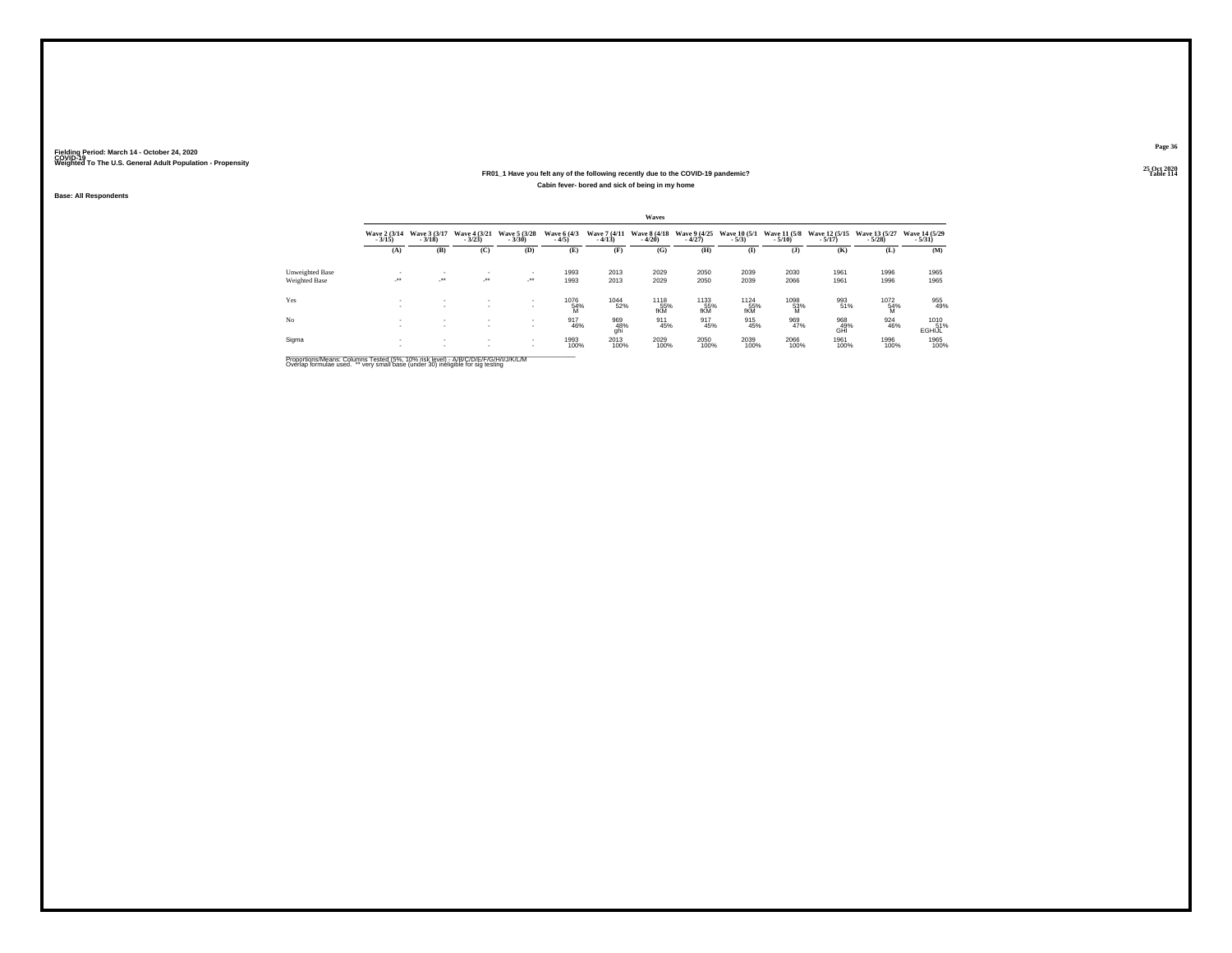#### **25 Oct 2020FR01\_1 Have you felt any of the following recently due to the COVID-19 pandemic?Table 114 Table 114 Cabin fever- bored and sick of being in my home**

**Base: All Respondents**

|                 | Waves                    |                                          |                          |                            |                        |                          |                          |                          |                         |                          |                             |                           |                           |  |
|-----------------|--------------------------|------------------------------------------|--------------------------|----------------------------|------------------------|--------------------------|--------------------------|--------------------------|-------------------------|--------------------------|-----------------------------|---------------------------|---------------------------|--|
|                 | Wave 2 (3/14)<br>$-3/15$ | Wave 3 (3/17)<br>$-3/18$                 | Wave 4 (3/21)<br>$-3/23$ | Wave 5 (3/28)<br>$-3/30$   | Wave 6 (4/3)<br>$-4/5$ | Wave 7 (4/11)<br>$-4/13$ | Wave 8 (4/18)<br>$-4/20$ | Wave 9 (4/25)<br>$-4/27$ | Wave 10 (5/1)<br>$-5/3$ | Wave 11 (5/8)<br>$-5/10$ | Wave 12 (5/15)<br>$-5/17$ ) | Wave 13 (5/27)<br>$-5/28$ | Wave 14 (5/29)<br>$-5/31$ |  |
|                 | (A)                      | (B)                                      | (C)                      | (D)                        | (E)                    | (F)                      | (G)                      | (H)                      | $\mathbf{I}$            | (1)                      | (K)                         | (L)                       | (M)                       |  |
| Unweighted Base | ٠                        | ٠                                        | $\mathbf{r}$             | ٠                          | 1993                   | 2013                     | 2029                     | 2050                     | 2039                    | 2030                     | 1961                        | 1996                      | 1965                      |  |
| Weighted Base   | $\cdot$                  | $\cdot$                                  | $\cdot$                  | $\mathcal{L}^{\text{max}}$ | 1993                   | 2013                     | 2029                     | 2050                     | 2039                    | 2066                     | 1961                        | 1996                      | 1965                      |  |
| Yes             | <b>A</b>                 | $\mathbf{r}$<br>٠                        | $\sim$<br>$\sim$         | $\sim$                     | 1076<br>54%<br>M       | $^{1044}_{52\%}$         | 1118<br>55%<br>fKM       | 1133<br>55%<br>fKM       | 1124<br>55%<br>fKM      | 1098<br>53%<br>M         | 993<br>51%                  | 1072<br>54%<br>M          | 955<br>49%                |  |
| No.             |                          | $\mathbf{r}$<br>$\overline{\phantom{a}}$ | $\sim$<br>$\sim$         | $\sim$                     | 917<br>46%             | 969<br>48%<br>ghi        | 911<br>45%               | 917<br>45%               | 915<br>45%              | 969<br>47%               | 968<br>49%<br>GHI           | 924<br>46%                | 1010<br>51%<br>EGHIJL     |  |
| Sigma           |                          | $\mathbf{r}$<br>$\mathbf{r}$             | $\sim$<br>$\mathbf{r}$   | $\sim$<br>$\sim$           | 1993<br>100%           | 2013<br>100%             | 2029<br>100%             | 2050<br>100%             | 2039<br>100%            | 2066<br>100%             | 1961<br>100%                | 1996<br>100%              | 1965<br>100%              |  |

Proportions/Means: Columns Tested (5%, 10% risk level) - A/B/C/D/E/F/G/H/I/J/K/L/M<br>Overlap formulae used. \*\* very small base (under 30) ineligible for sig testing

**Page 36**25 Oct 2020<br>Table 114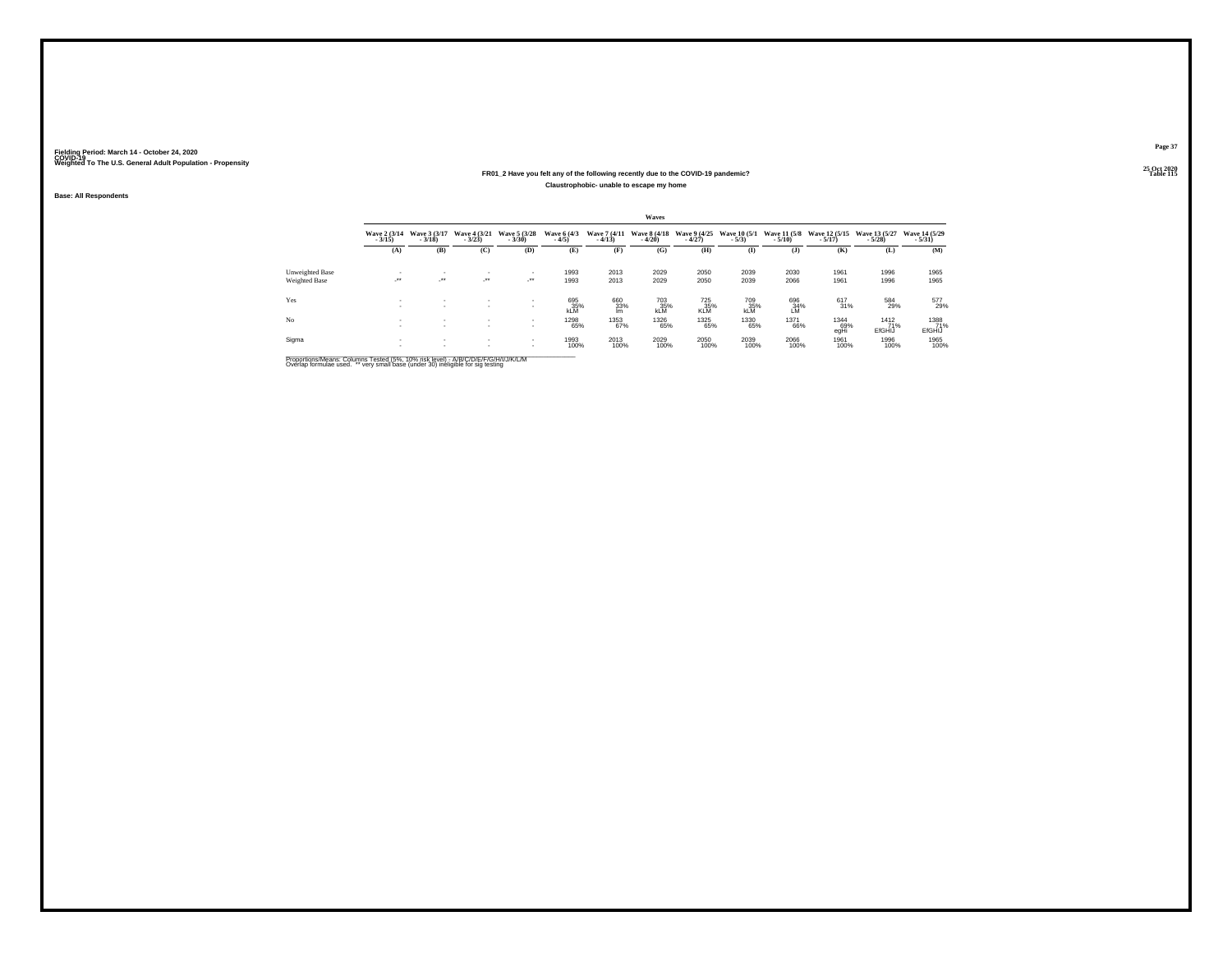#### **25 Oct 2020FR01\_2 Have you felt any of the following recently due to the COVID-19 pandemic?Particular Table 115 Table 115 Table 115 Claustrophobic- unable to escape my home**

**Base: All Respondents**

|                        |                            |                          |                          |                                |                          |                          | Waves                    |                          |                                |                          |                             |                              |                           |
|------------------------|----------------------------|--------------------------|--------------------------|--------------------------------|--------------------------|--------------------------|--------------------------|--------------------------|--------------------------------|--------------------------|-----------------------------|------------------------------|---------------------------|
|                        | Wave 2 (3/14)<br>$-3/15$   | Wave 3 (3/17)<br>$-3/18$ | Wave 4 (3/21)<br>$-3/23$ | Wave 5 (3/28)<br>$-3/30$       | Wave 6 (4/3)<br>$-4/5$   | Wave 7 (4/11)<br>$-4/13$ | Wave 8 (4/18)<br>$-4/20$ | Wave 9 (4/25)<br>$-4/27$ | <b>Wave 10 (5/1)</b><br>$-5/3$ | Wave 11 (5/8)<br>$-5/10$ | Wave 12 (5/15)<br>$-5/17$ ) | Wave 13 (5/27)<br>$-5/28$    | Wave 14 (5/29)<br>$-5/31$ |
|                        | (A)                        | (B)                      | (C)                      | (D)                            | (E)                      | (F)                      | (G)                      | (H)                      | $($ I                          | $($ $)$                  | (K)                         | (L)                          | (M)                       |
| <b>Unweighted Base</b> |                            | $\mathbf{r}$             | $\sim$                   | $\mathbf{r}$                   | 1993                     | 2013                     | 2029                     | 2050                     | 2039                           | 2030                     | 1961                        | 1996                         | 1965                      |
| Weighted Base          | $\mathcal{L}^{\text{max}}$ | $\overline{\phantom{a}}$ | $\cdot$                  | $\mathcal{L}^{\bullet\bullet}$ | 1993                     | 2013                     | 2029                     | 2050                     | 2039                           | 2066                     | 1961                        | 1996                         | 1965                      |
| Yes                    | <b>A</b><br><b>1979</b>    | $\mathbf{r}$<br>$\sim$   | $\mathbf{r}$<br>$\sim$   | $\mathbf{r}$                   | 695<br>35%<br><b>KLM</b> | 660<br>33%<br>Im         | 703<br>35%<br><b>kLM</b> | 725%<br><b>KLM</b>       | 709<br>35%<br><b>KLM</b>       | 696<br>34%<br>LM         | 617<br>31%                  | 584<br>29%                   | 577<br>29%                |
| No                     |                            | $\mathbf{r}$             | $\sim$<br>$\sim$         | $\sim$<br>$\sim$               | 1298<br>65%              | 1353<br>67%              | 1326<br>65%              | 1325<br>65%              | 1330<br>65%                    | <sup>1371</sup> 66%      | 1344<br>69%<br>egHi         | 1412<br>71%<br><b>EfGHIJ</b> | 1388<br>71%<br>EfGHIJ     |
| Sigma                  |                            |                          | $\sim$                   | $\sim$<br>$\sim$               | 1993<br>100%             | 2013<br>100%             | 2029<br>100%             | 2050<br>100%             | 2039<br>100%                   | 2066<br>100%             | 1961<br>100%                | 1996<br>100%                 | 1965<br>100%              |

Proportions/Means: Columns Tested (5%, 10% risk level) - A/B/C/D/E/F/G/H/I/J/K/L/M<br>Overlap formulae used. \*\* very small base (under 30) ineligible for sig testing

**Page 37**25 Oct 2020<br>Table 115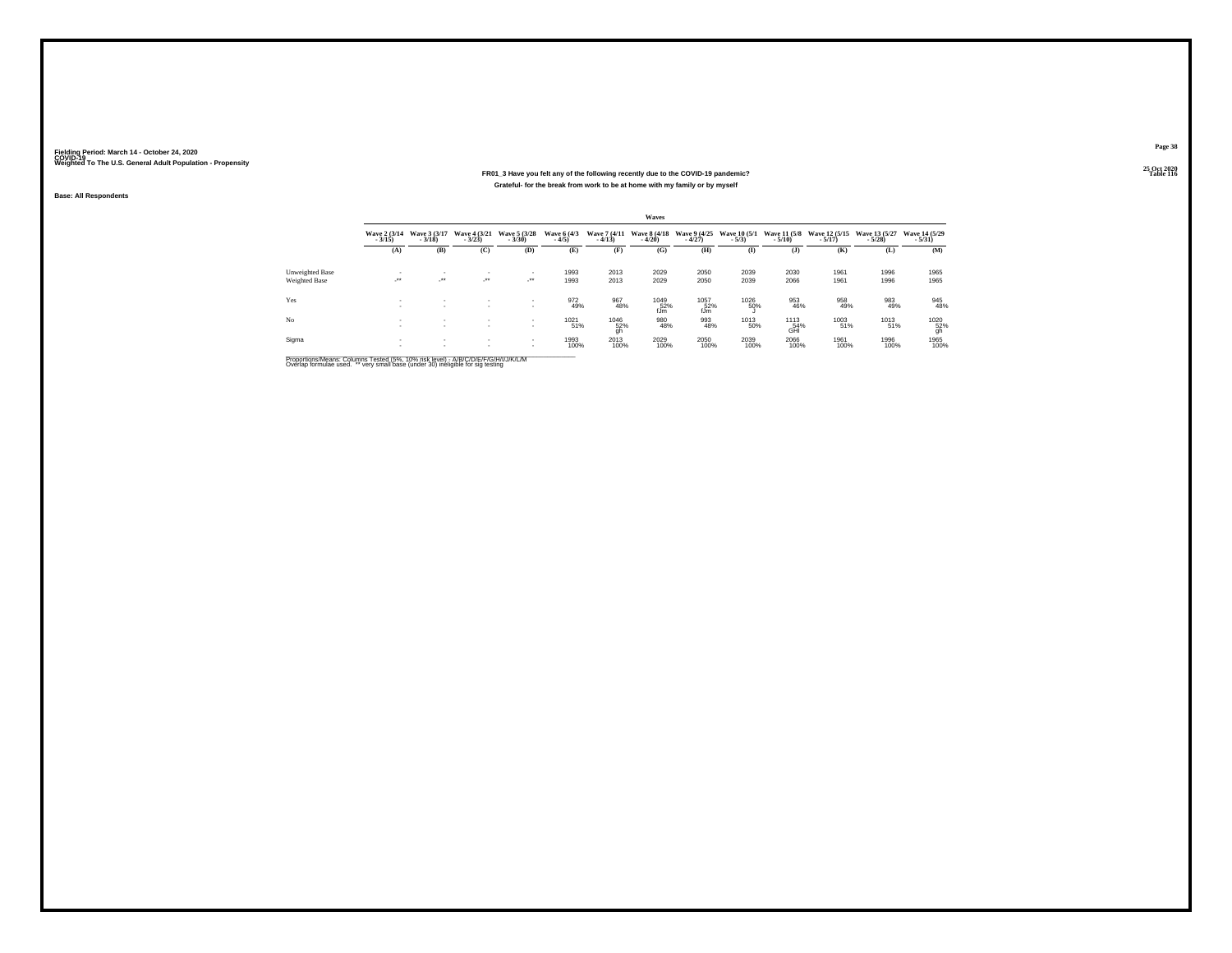#### **25 Oct 2020FR01\_3 Have you felt any of the following recently due to the COVID-19 pandemic?Particular Table 116 Table 116 Table 116 Table 116 Table 116 Grateful- for the break from work to be at home with my family or by myself**

**Base: All Respondents**

|                        |                          |                          |                              |                          |                        |                                                                | <b>Waves</b>             |                          |                         |                          |                             |                           |                                         |
|------------------------|--------------------------|--------------------------|------------------------------|--------------------------|------------------------|----------------------------------------------------------------|--------------------------|--------------------------|-------------------------|--------------------------|-----------------------------|---------------------------|-----------------------------------------|
|                        | Wave 2 (3/14)<br>$-3/15$ | Wave 3 (3/17)<br>$-3/18$ | Wave 4 (3/21)<br>$-3/23$     | Wave 5 (3/28)<br>$-3/30$ | Wave 6 (4/3)<br>$-4/5$ | Wave 7 (4/11)<br>$-4/13$                                       | Wave 8 (4/18)<br>$-4/20$ | Wave 9 (4/25)<br>$-4/27$ | Wave 10 (5/1)<br>$-5/3$ | Wave 11 (5/8)<br>$-5/10$ | Wave 12 (5/15)<br>$-5/17$ ) | Wave 13 (5/27)<br>$-5/28$ | Wave 14 (5/29)<br>$-5/31$               |
|                        | (A)                      | (B)                      | (C)                          | (D)                      | (E)                    | Œ                                                              | (G)                      | (H)                      | $\mathbf{I}$            | $($ $)$                  | (K)                         | (L)                       | (M)                                     |
| <b>Unweighted Base</b> |                          | ٠                        | $\sim$                       | $\sim$                   | 1993                   | 2013                                                           | 2029                     | 2050                     | 2039                    | 2030                     | 1961                        | 1996                      | 1965                                    |
| Weighted Base          | -27.                     | $\rightarrow$            | $\mathcal{L}^{\text{max}}$   | - 11                     | 1993                   | 2013                                                           | 2029                     | 2050                     | 2039                    | 2066                     | 1961                        | 1996                      | 1965                                    |
| Yes                    | $\sim$<br>$\sim$         | $\sim$<br>$\sim$         | $\mathbf{r}$<br>$\mathbf{r}$ | $\sim$<br>$\mathbf{r}$   | 972<br>49%             | 967<br>48%                                                     | 1049<br>52%<br>fJm       | 1057<br>52%<br>fJm       | 1026<br>50%             | 953<br>46%               | 958<br>49%                  | 983<br>49%                | 945<br>48%                              |
| No                     |                          | $\sim$<br>$\sim$         | $\sim$<br>$\sim$             | $\sim$<br>$\sim$         | 1021<br>51%            | $\underset{\substack{\text{52\%} \\ \text{gh}}}^{\text{1046}}$ | 980<br>48%               | 993<br>48%               | 1013<br>50%             | 1113<br>54%<br>GHI       | 1003<br>51%                 | 1013<br>51%               | $\underset{\substack{52\\9h}}{^{1020}}$ |
| Sigma                  |                          | $\sim$<br>$\sim$         | $\sim$<br>$\sim$             | $\sim$<br>$\sim$         | 1993<br>100%           | 2013<br>100%                                                   | 2029<br>100%             | 2050<br>100%             | 2039<br>100%            | 2066<br>100%             | 1961<br>100%                | 1996<br>100%              | 1965<br>100%                            |

Proportions/Means: Columns Tested (5%, 10% risk level) - A/B/C/D/E/F/G/H/I/J/K/L/M<br>Overlap formulae used. \*\* very small base (under 30) ineligible for sig testing

**Page 38**25 Oct 2020<br>Table 116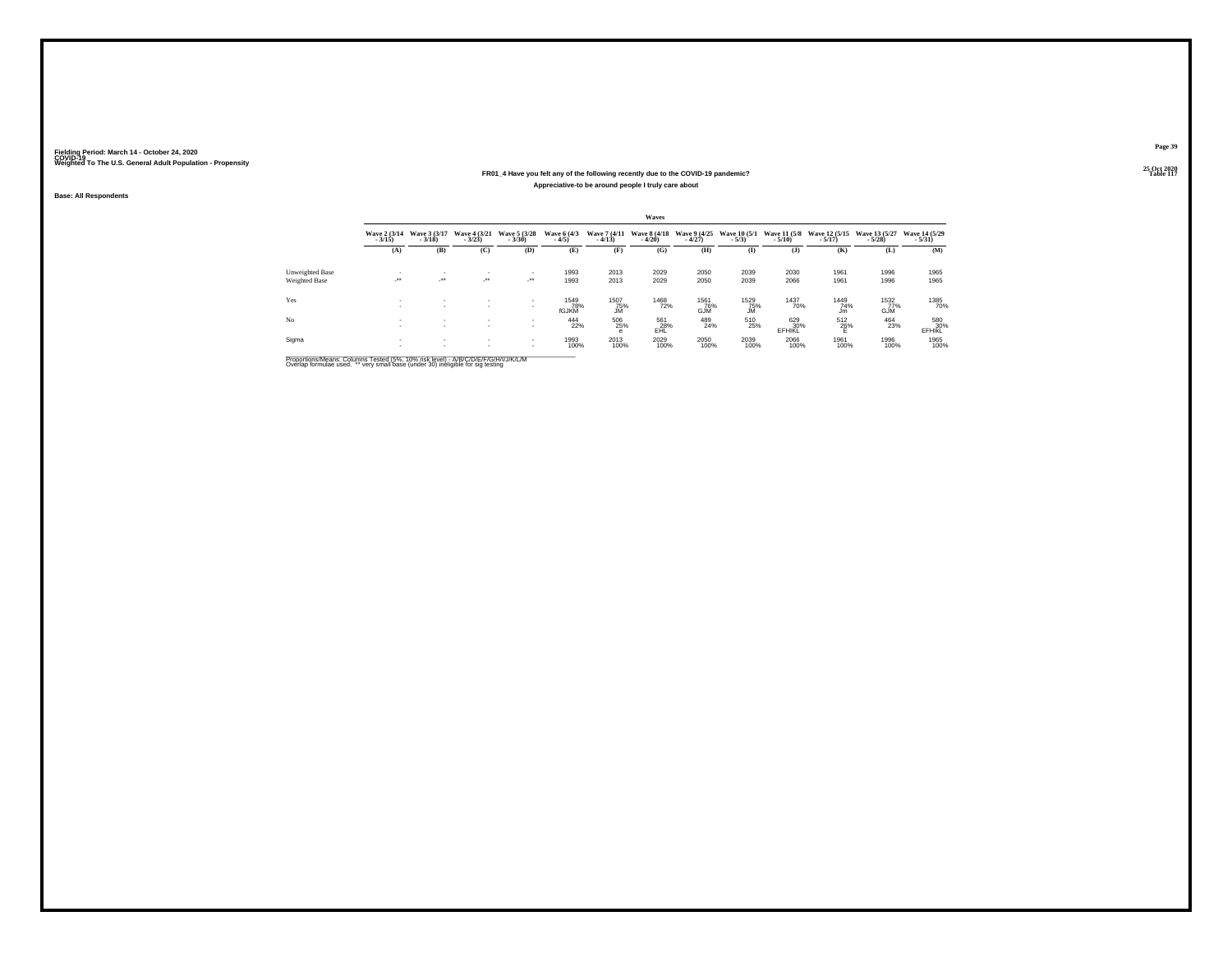#### **25 Oct 2020FR01\_4 Have you felt any of the following recently due to the COVID-19 pandemic?P** Table 117 **Appreciative-to be around people I truly care about**

**Base: All Respondents**

|                 |                          |                          |                          |                          |                        |                          | Waves                    |                                   |                                |                                 |                             |                           |                                                              |
|-----------------|--------------------------|--------------------------|--------------------------|--------------------------|------------------------|--------------------------|--------------------------|-----------------------------------|--------------------------------|---------------------------------|-----------------------------|---------------------------|--------------------------------------------------------------|
|                 | Wave 2 (3/14)<br>$-3/15$ | Wave 3 (3/17)<br>$-3/18$ | Wave 4 (3/21)<br>$-3/23$ | Wave 5 (3/28)<br>$-3/30$ | Wave 6 (4/3)<br>$-4/5$ | Wave 7 (4/11)<br>$-4/13$ | Wave 8 (4/18)<br>$-4/20$ | Wave 9 (4/25)<br>$-4/27$          | <b>Wave 10 (5/1)</b><br>$-5/3$ | <b>Wave 11 (5/8)</b><br>$-5/10$ | Wave 12 (5/15)<br>$-5/17$ ) | Wave 13 (5/27)<br>$-5/28$ | Wave 14 (5/29)<br>$-5/31$                                    |
|                 | (A)                      | (B)                      | (C)                      | (D)                      | (E)                    | (F)                      | (G)                      | (H)                               | $\bf{I}$                       | $($ $)$                         | (K)                         | (L)                       | (M)                                                          |
| Unweighted Base |                          | $\mathbf{r}$             | $\mathbf{r}$             | $\mathbf{r}$             | 1993                   | 2013                     | 2029                     | 2050                              | 2039                           | 2030                            | 1961                        | 1996                      | 1965                                                         |
| Weighted Base   | $\cdot$                  | $\overline{\phantom{a}}$ | $\cdot$                  | $\cdot$                  | 1993                   | 2013                     | 2029                     | 2050                              | 2039                           | 2066                            | 1961                        | 1996                      | 1965                                                         |
| Yes             | <b>A</b><br><b>1979</b>  | $\mathbf{r}$<br>$\sim$   | $\mathbf{r}$<br>٠        | $\sim$<br>$\sim$         | 1549<br>78%<br>fGJKM   | 1507<br>75%<br><b>JM</b> | 1468<br>72%              | <sup>1561</sup> 76%<br><b>GJM</b> | 1529<br>75%<br><b>JM</b>       | 1437<br>70%                     | 1449<br>74%<br>Jm           | 1532<br>77%<br><b>GJM</b> | 1385<br>70%                                                  |
| No              |                          | $\sim$<br>$\mathbf{r}$   | $\sim$<br>$\mathbf{r}$   | $\sim$<br>$\mathbf{r}$   | 444<br>22%             | 506<br>25%<br>е          | 561<br>28%<br>EAL        | 489<br>24%                        | 510<br>25%                     | 629<br>30%<br>EFHIKL            | 512<br>26%                  | 464<br>23%                | $580 \atop \scriptstyle \substack{\textbf{580} \textbf{99}}$ |
| Sigma           |                          | $\sim$                   | $\sim$<br>$\mathbf{r}$   | $\sim$<br>$\sim$         | 1993<br>100%           | 2013<br>100%             | 2029<br>100%             | 2050<br>100%                      | 2039<br>100%                   | 2066<br>100%                    | 1961<br>100%                | 1996<br>100%              | 1965<br>100%                                                 |

Proportions/Means: Columns Tested (5%, 10% risk level) - A/B/C/D/E/F/G/H/I/J/K/L/M<br>Overlap formulae used. \*\* very small base (under 30) ineligible for sig testing

**Page 39**25 Oct 2020<br>Table 117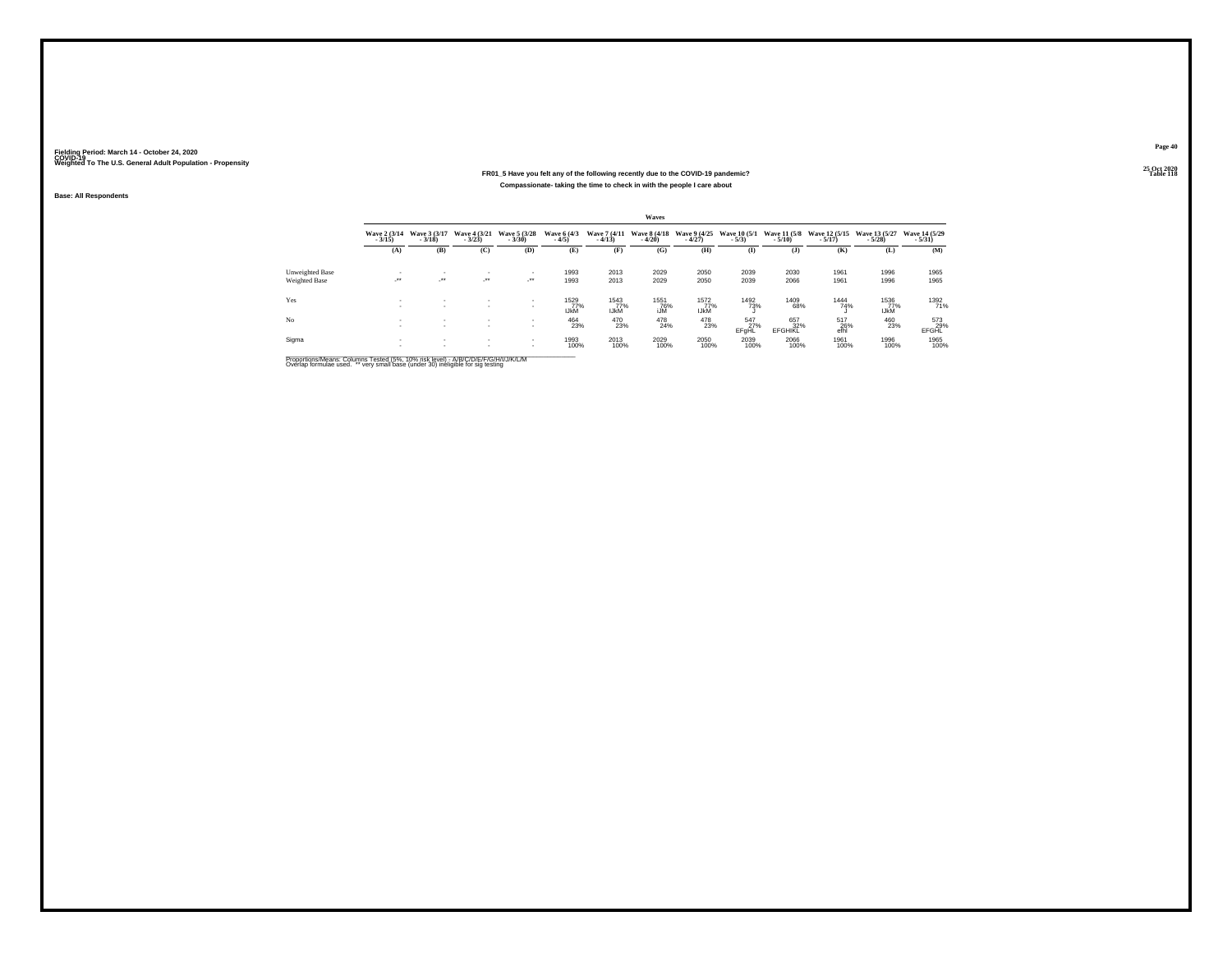#### **25 Oct 2020FR01\_5 Have you felt any of the following recently due to the COVID-19 pandemic? Table 118 Compassionate- taking the time to check in with the people I care about**

**Base: All Respondents**

|                 |                          |                              |                                  |                              |                            |                            | Waves                    |                            |                                  |                          |                                 |                             |                           |
|-----------------|--------------------------|------------------------------|----------------------------------|------------------------------|----------------------------|----------------------------|--------------------------|----------------------------|----------------------------------|--------------------------|---------------------------------|-----------------------------|---------------------------|
|                 | Wave 2 (3/14)<br>$-3/15$ | Wave 3 (3/17)<br>$-3/18$     | Wave 4 (3/21)<br>$-3/23$         | Wave 5 (3/28)<br>$-3/30$     | Wave 6 (4/3)<br>$-4/5$     | Wave 7 (4/11)<br>$-4/13$   | Wave 8 (4/18)<br>$-4/20$ | Wave 9 (4/25)<br>$-4/27$   | <b>Wave 10 (5/1)</b><br>$-5/3$ ) | Wave 11 (5/8)<br>$-5/10$ | Wave 12 (5/15)<br>$-5/17$ )     | Wave 13 (5/27)<br>$-5/28$ ) | Wave 14 (5/29)<br>$-5/31$ |
|                 | (A)                      | (B)                          | (C)                              | (D)                          | (E)                        | (F)                        | (G)                      | (H)                        | $($ I                            | (3)                      | (K)                             | (L)                         | (M)                       |
| Unweighted Base | . .                      | $\mathbf{r}$                 | $\mathbf{r}$                     | $\mathbf{r}$                 | 1993                       | 2013                       | 2029                     | 2050                       | 2039                             | 2030                     | 1961                            | 1996                        | 1965                      |
| Weighted Base   | $\overline{\phantom{a}}$ | $\cdot$                      | $\mathcal{L}^{\bullet\bullet}$ . | - * *                        | 1993                       | 2013                       | 2029                     | 2050                       | 2039                             | 2066                     | 1961                            | 1996                        | 1965                      |
| Yes             | <b>A</b>                 | $\mathbf{r}$                 | ٠                                | $\mathbf{r}$<br>٠            | 1529<br>77%<br><b>IJKM</b> | 1543<br>77%<br><b>IJKM</b> | 1551<br>76%<br>iJM       | 1572<br>77%<br><b>IJKM</b> | 1492<br>73%                      | 1409<br>68%              | 1444<br>74%                     | 1536<br>77%<br><b>IJKM</b>  | 1392<br>71%               |
| No              | <b>A</b>                 | $\mathbf{r}$<br>$\mathbf{r}$ | $\mathbf{r}$<br>$\sim$           | $\mathbf{r}$<br>$\mathbf{r}$ | 464<br>23%                 | 470<br>23%                 | 478<br>24%               | 478<br>23%                 | 547<br>27%<br>EFgHL              | 657<br>32%<br>EFGHIKL    | $^{517}_{\phantom{5}26\%}$ efhl | 460<br>23%                  | $^{573}_{29\%}$ EFGHL     |
| Sigma           |                          | $\sim$<br>$\mathbf{r}$       | $\sim$<br>$\mathbf{r}$           | $\sim$<br>$\sim$             | 1993<br>100%               | 2013<br>100%               | 2029<br>100%             | 2050<br>100%               | 2039<br>100%                     | 2066<br>100%             | 1961<br>100%                    | 1996<br>100%                | 1965<br>100%              |

Proportions/Means: Columns Tested (5%, 10% risk level) - A/B/C/D/E/F/G/H/I/J/K/L/M<br>Overlap formulae used. \*\* very small base (under 30) ineligible for sig testing

**Page 40**25 Oct 2020<br>Table 118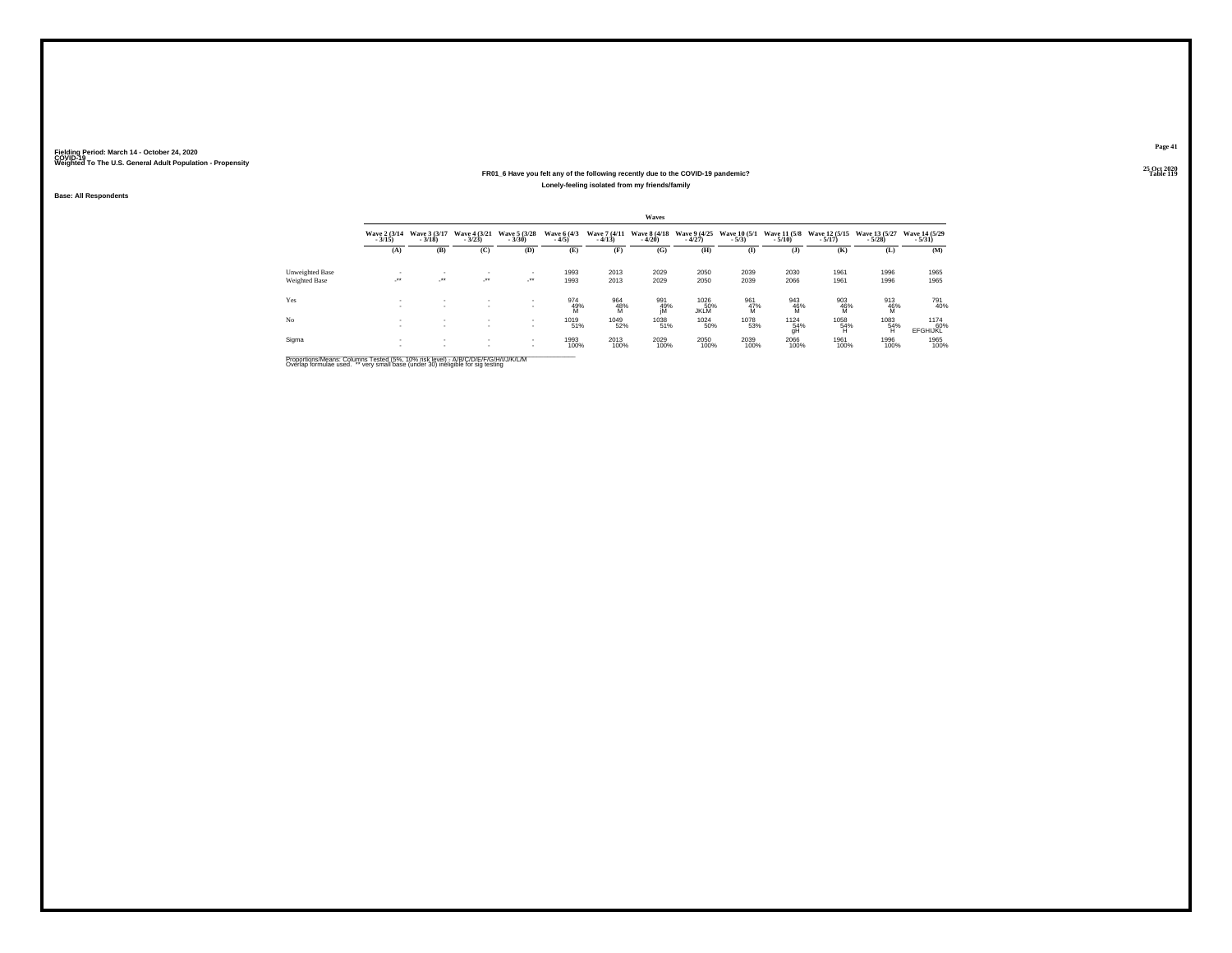#### **25 Oct 2020FR01\_6 Have you felt any of the following recently due to the COVID-19 pandemic?Particular Table 119 Table 119 Table 119 Table 119 Table 119 Lonely-feeling isolated from my friends/family**

**Base: All Respondents**

|                 |                          |                                          |                                  |                            |                        |                          | Waves                    |                            |                                |                                                  |                             |                           |                            |
|-----------------|--------------------------|------------------------------------------|----------------------------------|----------------------------|------------------------|--------------------------|--------------------------|----------------------------|--------------------------------|--------------------------------------------------|-----------------------------|---------------------------|----------------------------|
|                 | Wave 2 (3/14)<br>$-3/15$ | Wave 3 (3/17)<br>$-3/18$                 | Wave 4 (3/21)<br>$-3/23$         | Wave 5 (3/28)<br>$-3/30$   | Wave 6 (4/3)<br>$-4/5$ | Wave 7 (4/11)<br>$-4/13$ | Wave 8 (4/18)<br>$-4/20$ | Wave 9 (4/25)<br>$-4/27$   | <b>Wave 10 (5/1)</b><br>$-5/3$ | <b>Wave 11 (5/8)</b><br>$-5/10$                  | Wave 12 (5/15)<br>$-5/17$ ) | Wave 13 (5/27)<br>$-5/28$ | Wave 14 (5/29)<br>$-5/31)$ |
|                 | (A)                      | (B)                                      | (C)                              | (D)                        | (E)                    | (F)                      | (G)                      | (H)                        | $($ I                          | $($ $)$                                          | (K)                         | (L)                       | (M)                        |
| Unweighted Base |                          | ٠                                        | ٠                                | ٠                          | 1993                   | 2013                     | 2029                     | 2050                       | 2039                           | 2030                                             | 1961                        | 1996                      | 1965                       |
| Weighted Base   | $\cdot$                  | $\mathcal{L}^{\text{max}}$               | $\mathcal{L}^{\bullet\bullet}$ . | $\mathcal{L}^{\text{max}}$ | 1993                   | 2013                     | 2029                     | 2050                       | 2039                           | 2066                                             | 1961                        | 1996                      | 1965                       |
| Yes             | ٠                        | ٠<br>$\overline{\phantom{a}}$            | ٠<br>٠                           | $\mathbf{r}$<br>۰          | 974<br>49%<br>M        | 964<br>48%<br>M          | 991<br>49%<br>jM         | 1026<br>50%<br><b>JKLM</b> | 961<br>47%<br>M                | 943<br>46%<br>M                                  | 903<br>46%<br>M             | 913<br>46%<br>M           | 791<br>40%                 |
| No              |                          | $\sim$<br>٠                              | $\mathbf{r}$<br>$\mathbf{r}$     | $\sim$<br>$\mathbf{r}$     | 1019<br>51%            | 1049<br>52%              | 1038<br>51%              | 1024<br>50%                | 1078<br>53%                    | $\underset{\substack{54\\9}\mathrm{H}}{^{1124}}$ | 1058<br>54%<br>H            | 1083<br>54%<br>Ή          | 1174<br>60%<br>EFGHIJKL    |
| Sigma           | ٠<br>                    | $\mathbf{r}$<br>$\overline{\phantom{a}}$ | $\sim$<br>$\mathbf{r}$           |                            | 1993<br>100%           | 2013<br>100%             | 2029<br>100%             | 2050<br>100%               | 2039<br>100%                   | 2066<br>100%                                     | 1961<br>100%                | 1996<br>100%              | 1965<br>100%               |

Proportions/Means: Columns Tested (5%, 10% risk level) - A/B/C/D/E/F/G/H/I/J/K/L/M<br>Overlap formulae used. \*\* very small base (under 30) ineligible for sig testing

**Page 41**25 Oct 2020<br>Table 119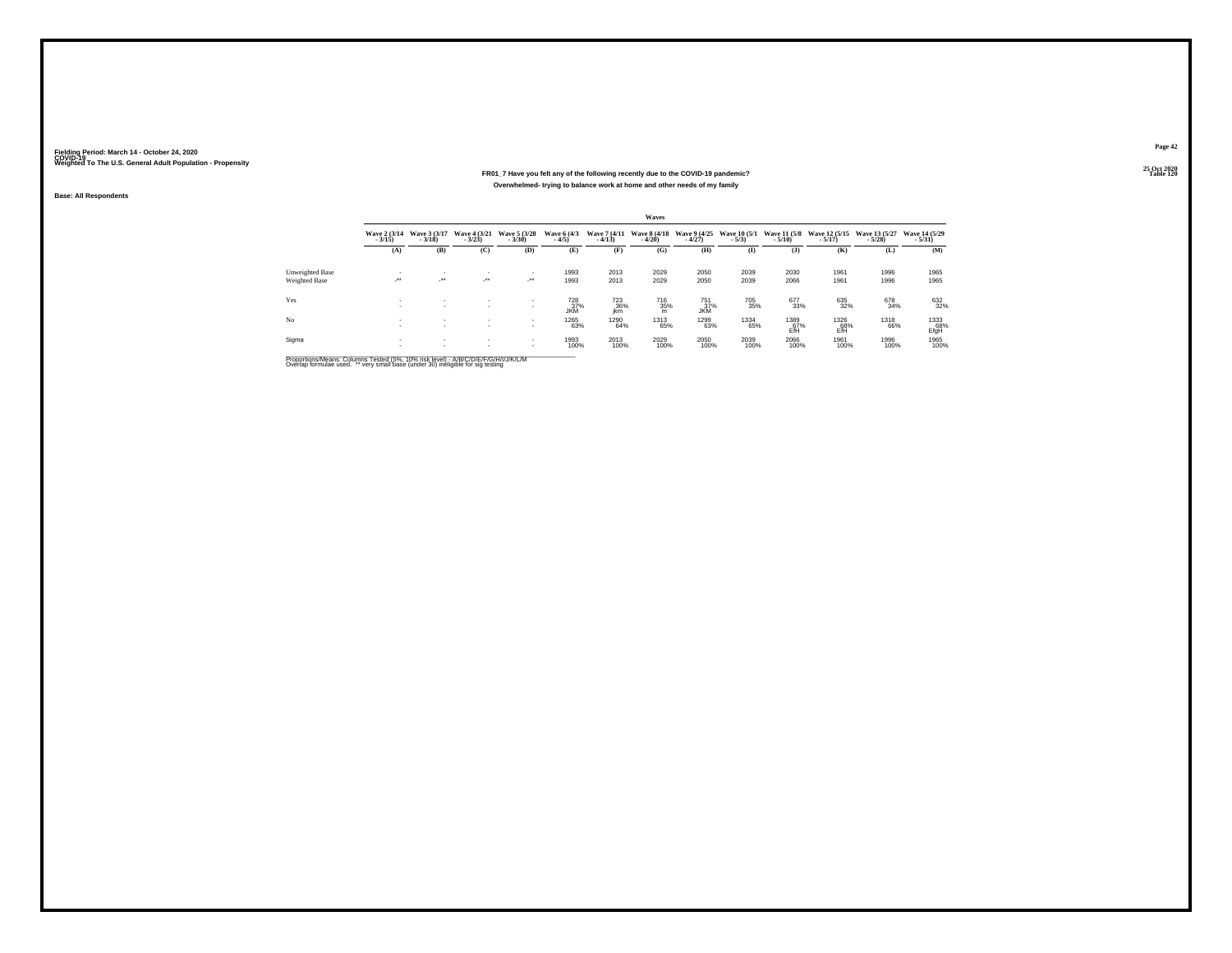#### **25 Oct 2020FR01\_7 Have you felt any of the following recently due to the COVID-19 pandemic? Table 120 Overwhelmed- trying to balance work at home and other needs of my family**

**Base: All Respondents**

|                 |                                 |                          |                          |                                          |                                             |                                      | <b>Waves</b>             |                               |                          |                                                          |                                                 |                           |                            |
|-----------------|---------------------------------|--------------------------|--------------------------|------------------------------------------|---------------------------------------------|--------------------------------------|--------------------------|-------------------------------|--------------------------|----------------------------------------------------------|-------------------------------------------------|---------------------------|----------------------------|
|                 | <b>Wave 2 (3/14)</b><br>$-3/15$ | Wave 3 (3/17)<br>$-3/18$ | Wave 4 (3/21)<br>$-3/23$ | Wave 5 (3/28)<br>$-3/30$                 | Wave 6 (4/3)<br>$-4/5$                      | Wave 7 (4/11)<br>$-4/13$             | Wave 8 (4/18)<br>$-4/20$ | Wave 9 (4/25)<br>$-4/27$      | Wave 10 (5/1)<br>$-5/3)$ | $-5/10$                                                  | Wave 11 (5/8 Wave 12 (5/15)<br>$-5/17$          | Wave 13 (5/27)<br>$-5/28$ | Wave 14 (5/29)<br>$-5/31)$ |
|                 | (A)                             | (B)                      | (C)                      | (D)                                      | (E)                                         | (F)                                  | (G)                      | (H)                           | $($ I                    | (3)                                                      | (K)                                             | (L)                       | (M)                        |
| Unweighted Base |                                 | ٠                        | ٠                        | $\mathbf{r}$                             | 1993                                        | 2013                                 | 2029                     | 2050                          | 2039                     | 2030                                                     | 1961                                            | 1996                      | 1965                       |
| Weighted Base   | $\cdot$                         | $\cdot$                  | $\cdot$                  | $\sim$                                   | 1993                                        | 2013                                 | 2029                     | 2050                          | 2039                     | 2066                                                     | 1961                                            | 1996                      | 1965                       |
| Yes             |                                 | ۰                        | ۰                        | $\mathbf{r}$<br>$\overline{\phantom{a}}$ | <sup>728</sup> <sub>37%</sub><br><b>JKM</b> | <sup>723</sup> <sub>36%</sub><br>ikm | <sup>716</sup> 35%<br>m  | $^{751}_{37\%}$<br><b>JKM</b> | 705<br>35%               | 677<br>33%                                               | 635<br>32%                                      | 678<br>34%                | 632%                       |
| No              | ٠                               | ٠<br>$\mathbf{r}$        | $\mathbf{r}$             | $\sim$                                   | 1265<br>63%                                 | 1290<br>64%                          | 1313<br>65%              | 1299<br>63%                   | 1334<br>65%              | $\overset{1389}{\underset{\mathsf{Eff}}{\mathsf{67\%}}}$ | $\underset{\substack{68\\ \text{EffH}}}^{1326}$ | 1318<br>66%               | 1333<br>EfgH               |
| Sigma           |                                 | $\mathbf{r}$<br>٠        | $\mathbf{r}$             | $\sim$<br>$\sim$                         | 1993<br>100%                                | 2013<br>100%                         | 2029<br>100%             | 2050<br>100%                  | 2039<br>100%             | 2066<br>100%                                             | 1961<br>100%                                    | 1996<br>100%              | 1965<br>100%               |

Proportions/Means: Columns Tested (5%, 10% risk level) - A/B/C/D/E/F/G/H/I/J/K/L/M<br>Overlap formulae used. \*\* very small base (under 30) ineligible for sig testing

**Page 4225 Oct 2020<br>Table 120**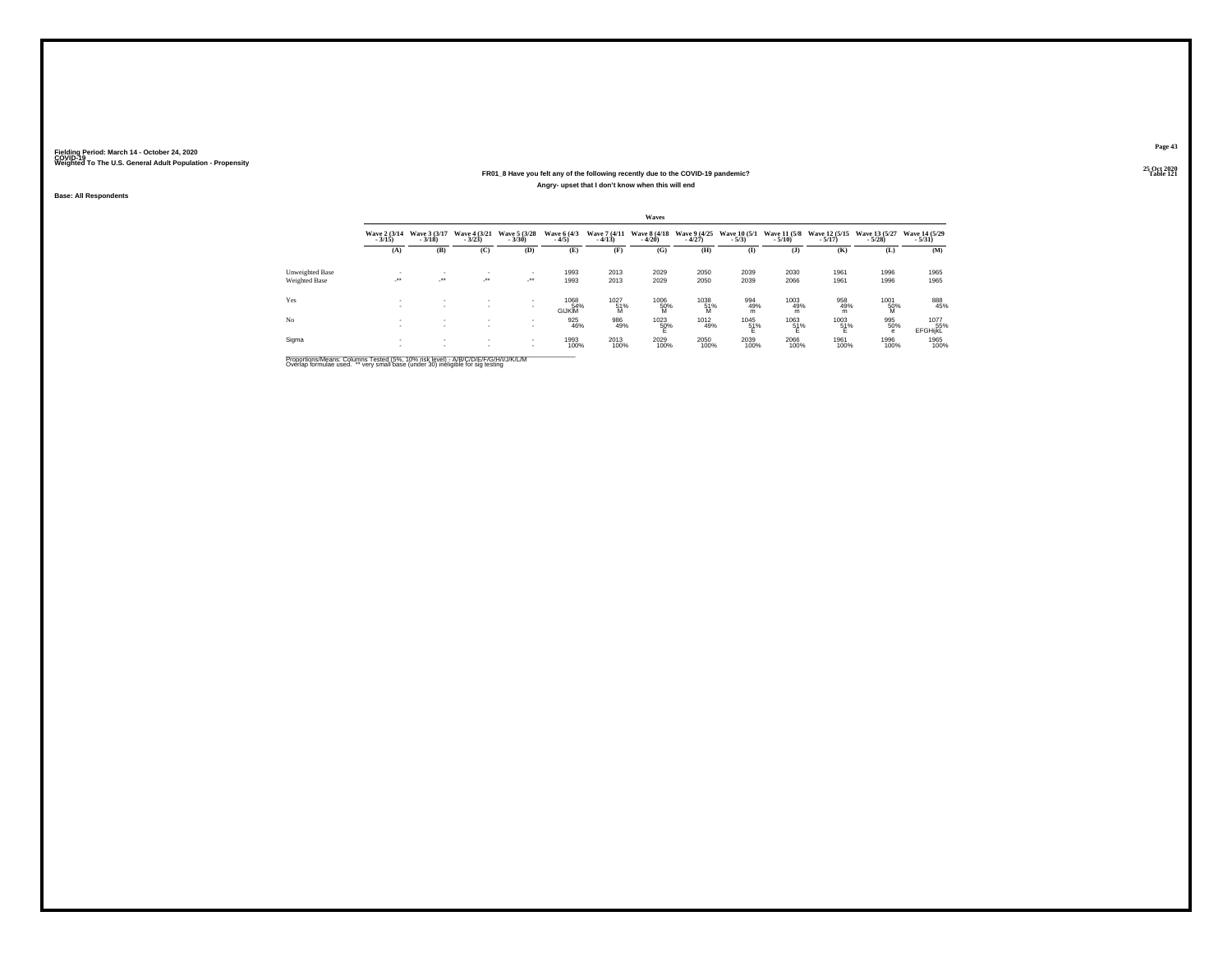#### **25 Oct 2020FR01\_8 Have you felt any of the following recently due to the COVID-19 pandemic?Table 121 Table 121 Angry- upset that I don't know when this will end**

**Base: All Respondents**

|                 |                          |                              |                                    |                          |                              |                          | Waves                    |                          |                         |                          |                             |                           |                           |
|-----------------|--------------------------|------------------------------|------------------------------------|--------------------------|------------------------------|--------------------------|--------------------------|--------------------------|-------------------------|--------------------------|-----------------------------|---------------------------|---------------------------|
|                 | Wave 2 (3/14)<br>$-3/15$ | Wave 3 (3/17)<br>$-3/18$     | Wave 4 (3/21)<br>$-3/23$           | Wave 5 (3/28)<br>$-3/30$ | Wave 6 (4/3)<br>$-4/5$       | Wave 7 (4/11)<br>$-4/13$ | Wave 8 (4/18)<br>$-4/20$ | Wave 9 (4/25)<br>$-4/27$ | Wave 10 (5/1)<br>$-5/3$ | Wave 11 (5/8)<br>$-5/10$ | Wave 12 (5/15)<br>$-5/17$ ) | Wave 13 (5/27)<br>$-5/28$ | Wave 14 (5/29)<br>$-5/31$ |
|                 | (A)                      | (B)                          | (C)                                | (D)                      | (E)                          | (F)                      | (G)                      | (H)                      | $\bf(I)$                | (1)                      | (K)                         | (L)                       | (M)                       |
| Unweighted Base |                          |                              | ٠                                  | ٠                        | 1993                         | 2013                     | 2029                     | 2050                     | 2039                    | 2030                     | 1961                        | 1996                      | 1965                      |
| Weighted Base   | <b>A</b>                 | $\cdot$                      | $\cdot$                            | $\cdot$                  | 1993                         | 2013                     | 2029                     | 2050                     | 2039                    | 2066                     | 1961                        | 1996                      | 1965                      |
| Yes             |                          | ٠<br>$\sim$                  | $\overline{\phantom{a}}$<br>$\sim$ |                          | 1068<br>54%<br><b>GIJKIM</b> | 1027<br>51%<br>M         | 1006<br>50%<br>M         | 1038<br>51%<br>M         | 994<br>49%<br>m         | 1003<br>49%<br>m         | 958<br>49%<br>m             | 1001<br>50%<br>M          | 888<br>45%                |
| No.             |                          | $\mathbf{r}$<br>$\mathbf{r}$ | $\mathbf{r}$<br>$\mathbf{r}$       |                          | 925<br>46%                   | 986<br>49%               | $^{1023}_{-50\%}$        | 1012<br>49%              | $^{1045}_{-51\%}$       | $^{1063}_{-51\%}$        | 1003<br>51%                 | 995<br>50%<br>е           | 1077<br>55%<br>EFGHijkL   |
| Sigma           |                          | $\mathbf{r}$<br>٠            | $\mathbf{r}$                       |                          | 1993<br>100%                 | 2013<br>100%             | 2029<br>100%             | 2050<br>100%             | 2039<br>100%            | 2066<br>100%             | 1961<br>100%                | 1996<br>100%              | 1965<br>100%              |

Proportions/Means: Columns Tested (5%, 10% risk level) - A/B/C/D/E/F/G/H/I/J/K/L/M<br>Overlap formulae used. \*\* very small base (under 30) ineligible for sig testing

**Page 43**25 Oct 2020<br>Table 121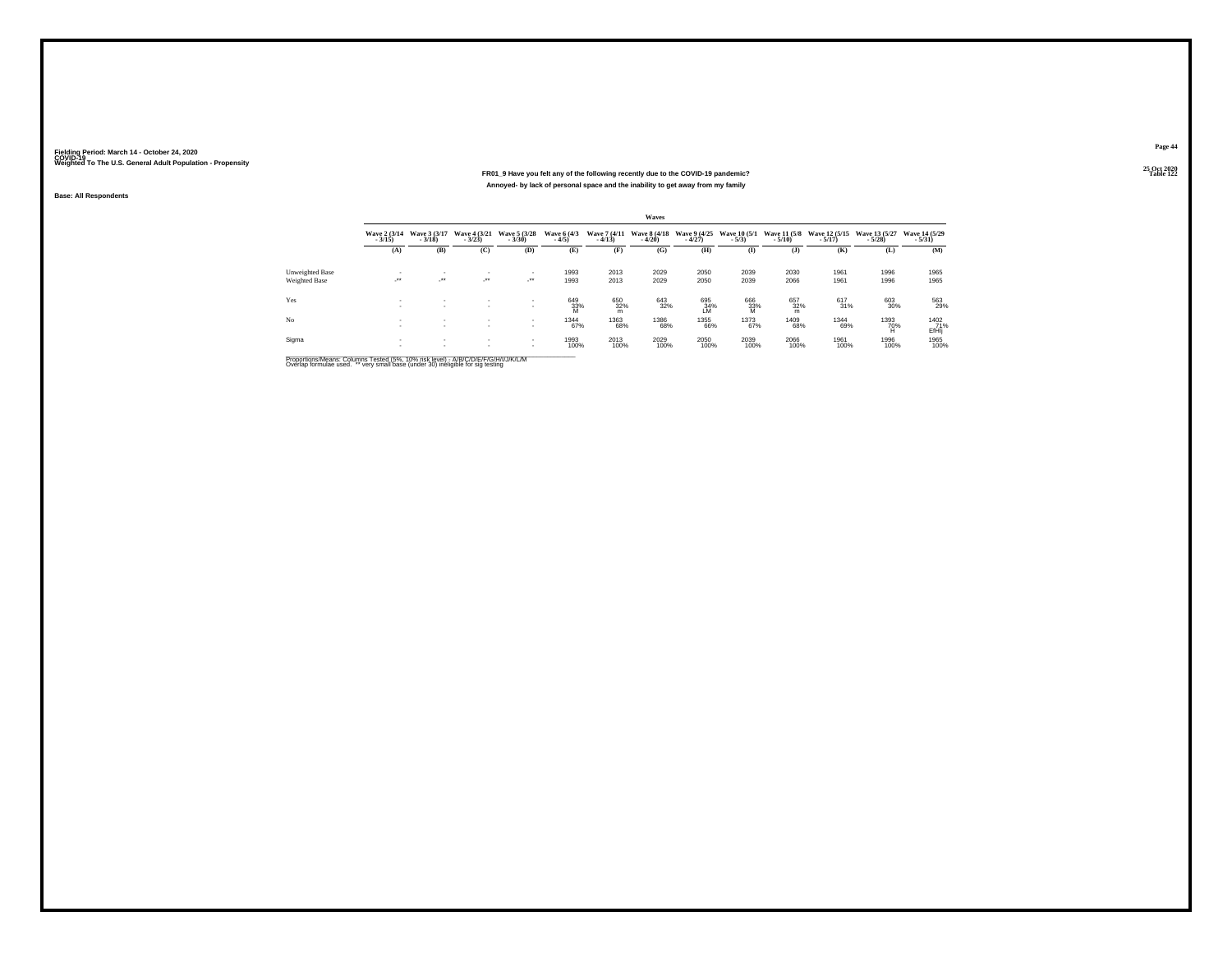#### **25 Oct 2020FR01\_9 Have you felt any of the following recently due to the COVID-19 pandemic? Table 122 Annoyed- by lack of personal space and the inability to get away from my family**

**Base: All Respondents**

|                 |                                 |                          |                          |                          |                        |                          | <b>Waves</b>             |                          |                          |                 |                                        |                           |                             |
|-----------------|---------------------------------|--------------------------|--------------------------|--------------------------|------------------------|--------------------------|--------------------------|--------------------------|--------------------------|-----------------|----------------------------------------|---------------------------|-----------------------------|
|                 | <b>Wave 2 (3/14)</b><br>$-3/15$ | Wave 3 (3/17)<br>$-3/18$ | Wave 4 (3/21)<br>$-3/23$ | Wave 5 (3/28)<br>$-3/30$ | Wave 6 (4/3)<br>$-4/5$ | Wave 7 (4/11)<br>$-4/13$ | Wave 8 (4/18)<br>$-4/20$ | Wave 9 (4/25)<br>$-4/27$ | Wave 10 (5/1)<br>$-5/3)$ | $-5/10$         | Wave 11 (5/8 Wave 12 (5/15)<br>$-5/17$ | Wave 13 (5/27)<br>$-5/28$ | Wave 14 (5/29)<br>$-5/31)$  |
|                 | (A)                             | (B)                      | (C)                      | (D)                      | (E)                    | (F)                      | (G)                      | (H)                      | $($ I                    | (3)             | (K)                                    | (L)                       | (M)                         |
| Unweighted Base |                                 | ٠                        | ٠                        | $\mathbf{r}$             | 1993                   | 2013                     | 2029                     | 2050                     | 2039                     | 2030            | 1961                                   | 1996                      | 1965                        |
| Weighted Base   | $\cdot$                         | $\cdot$                  | $\cdot$                  | $\sim$                   | 1993                   | 2013                     | 2029                     | 2050                     | 2039                     | 2066            | 1961                                   | 1996                      | 1965                        |
| Yes             |                                 | $\overline{\phantom{a}}$ | $\overline{\phantom{a}}$ | $\mathbf{r}$             | 649<br>33%<br>M        | 650<br>32%<br>m          | 643<br>32%               | 695<br>34%<br>1M         | 666<br>33%<br>M          | 657<br>32%<br>m | $\frac{617}{31\%}$                     | 603<br>30%                | 563<br>29%                  |
| No              | ٠                               | ٠<br>$\mathbf{r}$        | $\mathbf{r}$             | $\sim$                   | 1344<br>67%            | 1363<br>68%              | 1386<br>68%              | 1355<br>66%              | 1373<br>67%              | 1409<br>68%     | 1344<br>69%                            | $^{1393}_{70\%}$          | 1402<br>71%<br><b>EfHIj</b> |
| Sigma           |                                 | $\mathbf{r}$<br>٠        | $\mathbf{r}$             | $\sim$<br>$\sim$         | 1993<br>100%           | 2013<br>100%             | 2029<br>100%             | 2050<br>100%             | 2039<br>100%             | 2066<br>100%    | 1961<br>100%                           | 1996<br>100%              | 1965<br>100%                |

Proportions/Means: Columns Tested (5%, 10% risk level) - A/B/C/D/E/F/G/H/I/J/K/L/M<br>Overlap formulae used. \*\* very small base (under 30) ineligible for sig testing

**Page 44**25 Oct 2020<br>Table 122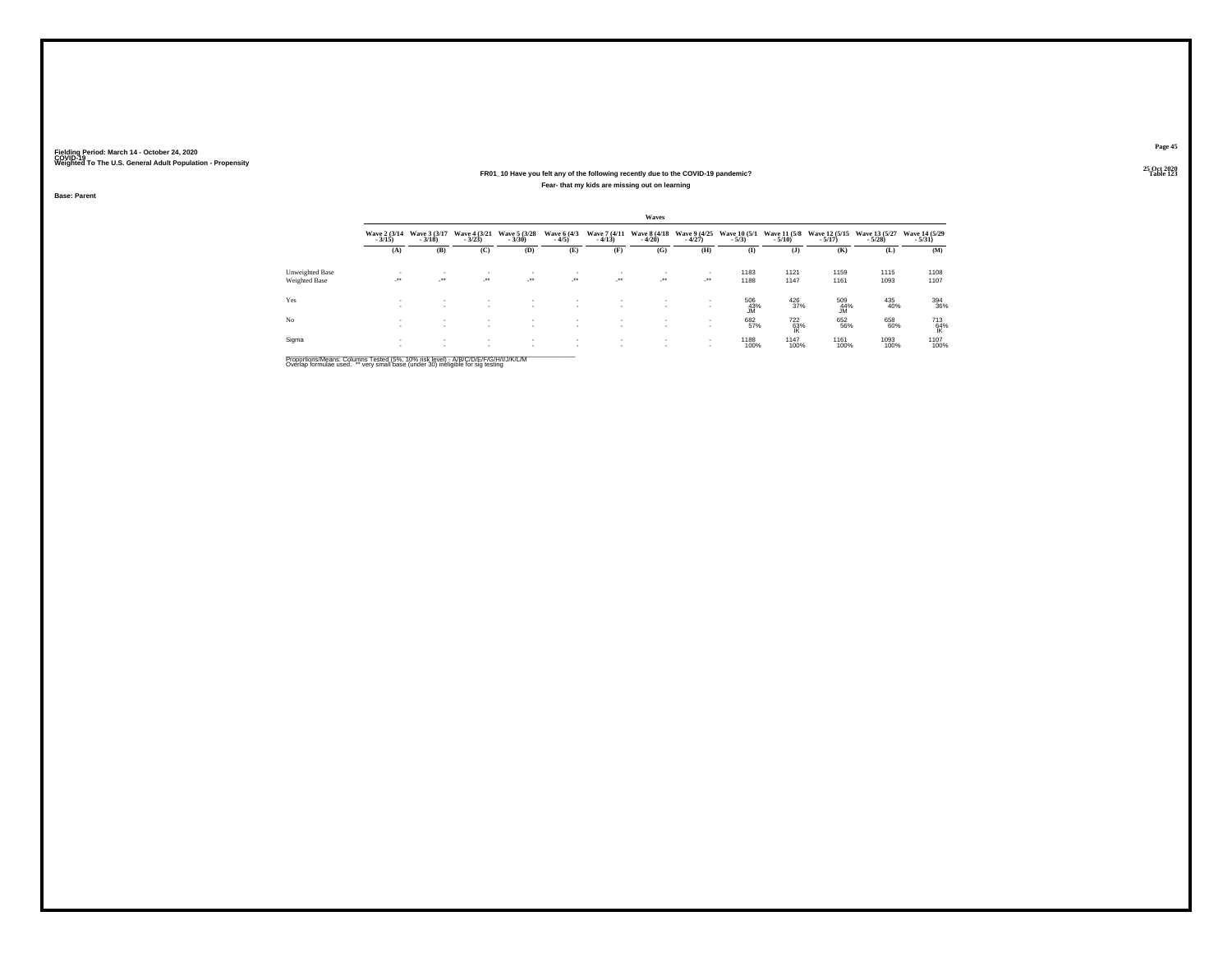#### **25 Oct 2020FR01\_10 Have you felt any of the following recently due to the COVID-19 pandemic? Table 123 Fear- that my kids are missing out on learning**

**Base: Parent**

|                 |                            |                          |                            |                          |                            |                          | Waves                                 |                          |                                 |                          |                             |                           |                           |
|-----------------|----------------------------|--------------------------|----------------------------|--------------------------|----------------------------|--------------------------|---------------------------------------|--------------------------|---------------------------------|--------------------------|-----------------------------|---------------------------|---------------------------|
|                 | Wave 2 (3/14)<br>$-3/15$ ) | Wave 3 (3/17)<br>$-3/18$ | Wave 4 (3/21)<br>$-3/23$   | Wave 5 (3/28)<br>$-3/30$ | Wave 6 (4/3)<br>$-4/5$     | $-4/13$                  | Wave 7 (4/11 Wave 8 (4/18)<br>$-4/20$ | Wave 9 (4/25)<br>$-4/27$ | <b>Wave 10 (5/1)</b><br>$-5/3)$ | Wave 11 (5/8)<br>$-5/10$ | Wave 12 (5/15)<br>$-5/17$ ) | Wave 13 (5/27)<br>$-5/28$ | Wave 14 (5/29)<br>$-5/31$ |
|                 | (A)                        | (B)                      | (C)                        | (D)                      | (E)                        | (F)                      | (G)                                   | (H)                      | (I)                             | $($ $)$                  | (K)                         | (L)                       | (M)                       |
| Unweighted Base |                            | ٠                        | $\sim$                     | $\sim$                   |                            |                          |                                       |                          | 1183                            | 1121                     | 1159                        | 1115                      | 1108                      |
| Weighted Base   | $\cdot$                    | $\cdot$                  | $\mathcal{L}^{\text{max}}$ | $\sim$                   | $\mathcal{L}^{\text{max}}$ | $\cdot$                  | $\sim$                                | ur.                      | 1188                            | 1147                     | 1161                        | 1093                      | 1107                      |
| Yes             | $\sim$                     | $\mathbf{r}$             | $\sim$                     |                          | $\mathbf{r}$               | $\mathbf{r}$             | х.                                    |                          | 506<br>43%<br><b>JM</b>         | $^{426}_{37\%}$          | 509<br>44%<br><b>JM</b>     | 435<br>40%                | 394<br>36%                |
| No              | х.<br>$\sim$               | $\sim$                   | $\sim$                     | $\sim$<br>$\sim$         | $\sim$<br>$\sim$           | $\sim$<br>$\sim$         |                                       |                          | 682<br>57%                      | $^{722}_{63\%}$          | 652<br>56%                  | 658<br>60%                | $\frac{713}{64\%}$        |
| Sigma           | $\sim$                     | $\sim$<br>$\mathbf{r}$   | $\sim$                     | $\sim$                   | $\sim$<br>$\sim$           | $\overline{\phantom{a}}$ | $\sim$                                | . .                      | 1188<br>100%                    | 1147<br>100%             | 1161<br>100%                | 1093<br>100%              | 1107<br>100%              |

Proportions/Means: Columns Tested (5%, 10% risk level) - A/B/C/D/E/F/G/H/I/J/K/L/M<br>Overlap formulae used. \*\* very small base (under 30) ineligible for sig testing

**Page 45**25 Oct 2020<br>Table 123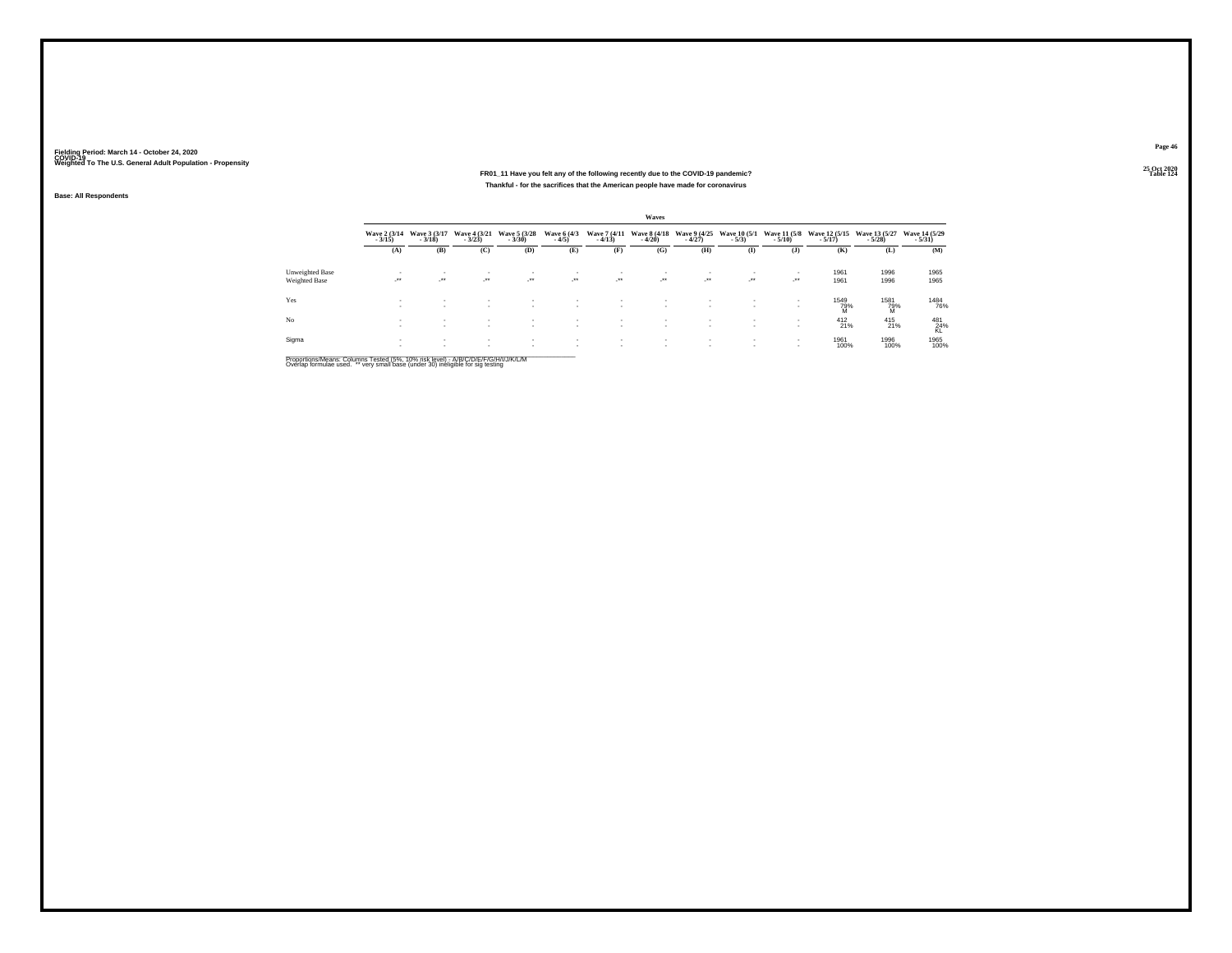#### **25 Oct 2020FR01\_11 Have you felt any of the following recently due to the COVID-19 pandemic? Table 124 Thankful - for the sacrifices that the American people have made for coronavirus**

**Base: All Respondents**

|                 |                          |                          |                              |                              |                                                      |                                | Waves                    |                                  |                                |                        |                                          |                           |                            |
|-----------------|--------------------------|--------------------------|------------------------------|------------------------------|------------------------------------------------------|--------------------------------|--------------------------|----------------------------------|--------------------------------|------------------------|------------------------------------------|---------------------------|----------------------------|
|                 | Wave 2 (3/14)<br>$-3/15$ | Wave 3 (3/17)<br>$-3/18$ | Wave 4 (3/21)<br>$-3/23$     | Wave 5 (3/28)<br>$-3/30$     | Wave 6 (4/3)<br>$-4/5$                               | Wave 7 (4/11)<br>$-4/13$       | Wave 8 (4/18)<br>$-4/20$ | Wave 9 (4/25)<br>$-4/27$         | <b>Wave 10 (5/1)</b><br>$-5/3$ | $-5/10$                | Wave 11 (5/8 Wave 12 (5/15)<br>$-5/17$ ) | Wave 13 (5/27)<br>$-5/28$ | Wave 14 (5/29)<br>$-5/31)$ |
|                 | (A)                      | (B)                      | (C)                          | (D)                          | (E)                                                  | (F)                            | (G)                      | (H)                              | $($ I                          | (J)                    | (K)                                      | (L)                       | (M)                        |
| Unweighted Base | ٠                        | ٠                        |                              | $\mathbf{r}$                 | . .                                                  |                                |                          |                                  | $\overline{\phantom{a}}$       | ٠                      | 1961                                     | 1996                      | 1965                       |
| Weighted Base   | -27.                     | $\cdot$                  | $\cdot$                      | $\sim$                       | $\rightarrow$                                        | $\mathcal{L}^{\bullet\bullet}$ | $\sim$                   | $\mathcal{L}^{\bullet\bullet}$ . | $\mathcal{L}^{\bullet\bullet}$ | 1999.                  | 1961                                     | 1996                      | 1965                       |
| Yes             | ٠<br>٠                   | $\mathbf{r}$             | ٠                            | ٠<br>$\sim$                  | $\overline{\phantom{a}}$<br>$\overline{\phantom{a}}$ | $\overline{\phantom{a}}$       | ×.<br>$\sim$             | $\sim$                           | $\sim$                         | ٠<br>٠                 | 1549<br>79%<br>M                         | 1581<br>79%<br>M          | 1484<br>76%                |
| No              | $\sim$                   | $\sim$<br>$\sim$         | $\mathbf{r}$<br>$\mathbf{r}$ | $\mathbf{r}$<br>$\sim$       | $\mathbf{r}$<br>$\mathbf{r}$                         | $\sim$                         | $\sim$                   |                                  | $\mathbf{r}$<br>$\sim$         | $\mathbf{r}$<br>$\sim$ | $^{412}_{21\%}$                          | $^{415}_{21\%}$           | 481<br>24%<br>KL           |
| Sigma           | ٠                        | $\mathbf{r}$             | $\sim$<br>$\mathbf{r}$       | $\mathbf{r}$<br>$\mathbf{r}$ | $\mathbf{r}$                                         | $\overline{\phantom{a}}$       |                          |                                  | $\mathbf{r}$<br>$\mathbf{r}$   | $\sim$<br>$\sim$       | 1961<br>100%                             | 1996<br>100%              | 1965<br>100%               |

Proportions/Means: Columns Tested (5%, 10% risk level) - A/B/C/D/E/F/G/H/I/J/K/L/M<br>Overlap formulae used. \*\* very small base (under 30) ineligible for sig testing

**Page 46**25 Oct 2020<br>Table 124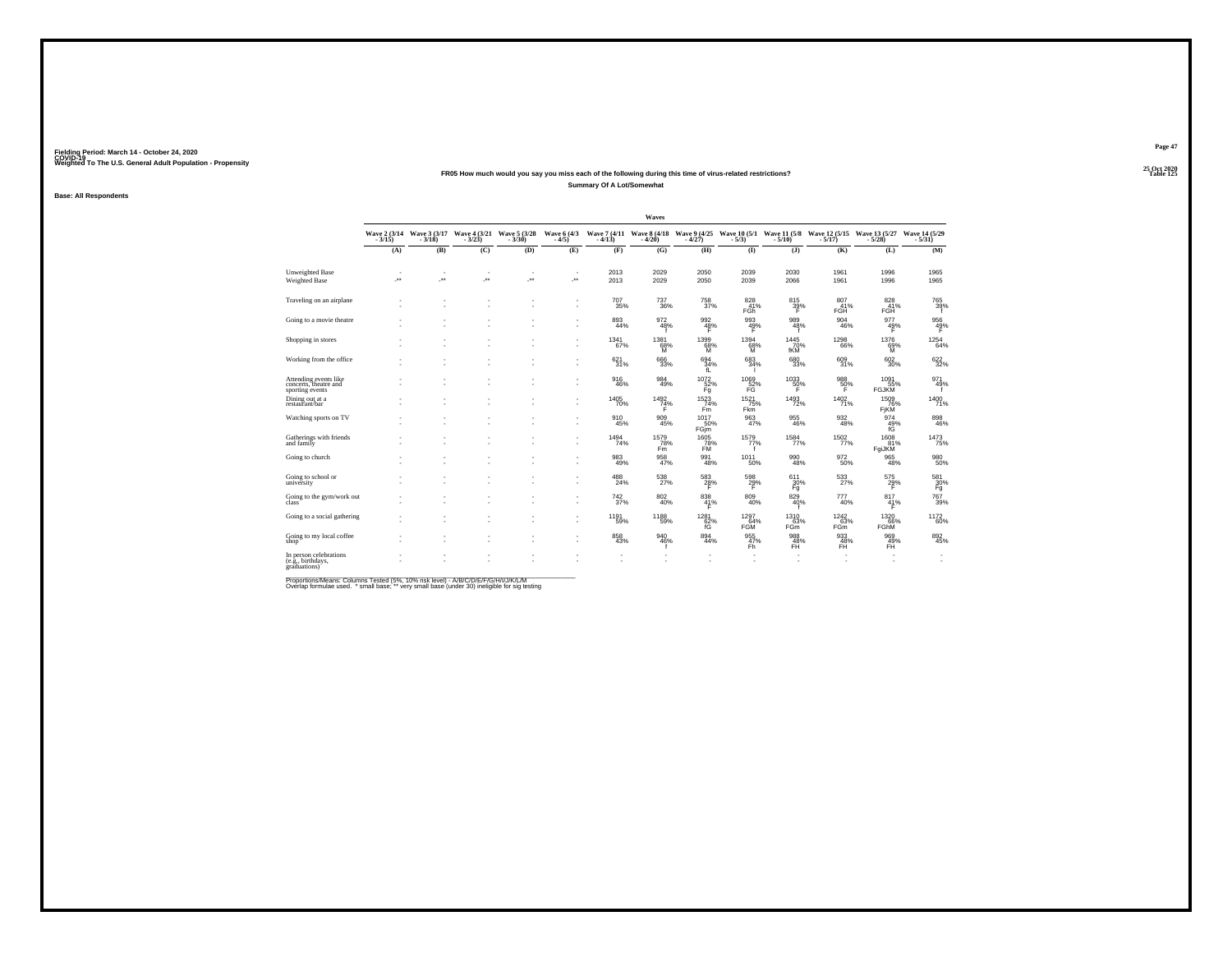#### **25 Oct 2020FR05 How much would you say you miss each of the following during this time of virus-related restrictions?Summary Of A Lot/Somewhat**

**Base: All Respondents**

|                                                                   |                      |                          |         |                                                                 |                          |             | Waves                                 |                                      |                                         |                           |                                                                   |                             |                            |
|-------------------------------------------------------------------|----------------------|--------------------------|---------|-----------------------------------------------------------------|--------------------------|-------------|---------------------------------------|--------------------------------------|-----------------------------------------|---------------------------|-------------------------------------------------------------------|-----------------------------|----------------------------|
|                                                                   | $-3/15$              | $-3/18$                  | $-3/23$ | Wave 2 (3/14 Wave 3 (3/17 Wave 4 (3/21 Wave 5 (3/28)<br>$-3/30$ | Wave 6 (4/3)<br>$-4/5)$  | $-4/13$     | Wave 7 (4/11 Wave 8 (4/18)<br>$-4/20$ | Wave 9 (4/25)<br>$-4/27$             | $-5/3)$                                 | $-5/10$ )                 | Wave 10 (5/1 Wave 11 (5/8 Wave 12 (5/15 Wave 13 (5/27<br>$-5/17)$ | $-5/28$ )                   | Wave 14 (5/29)<br>$-5/31)$ |
|                                                                   | (A)                  | (B)                      | (C)     | (D)                                                             | (E)                      | (F)         | (G)                                   | (H)                                  | $($ $\Gamma$                            | $($ $)$                   | (K)                                                               | (L)                         | (M)                        |
| Unweighted Base                                                   | $\sim$               | $\overline{\phantom{a}}$ | $\sim$  | ٠                                                               | $\overline{\phantom{a}}$ | 2013        | 2029                                  | 2050                                 | 2039                                    | 2030                      | 1961                                                              | 1996                        | 1965                       |
| Weighted Base                                                     | $\ddot{\phantom{1}}$ | $\overline{\phantom{a}}$ | J.      | ÷.                                                              | ÷.                       | 2013        | 2029                                  | 2050                                 | 2039                                    | 2066                      | 1961                                                              | 1996                        | 1965                       |
| Traveling on an airplane                                          |                      |                          |         |                                                                 | ٠                        | 707<br>35%  | $\substack{737 \\ 36\%}$              | 758<br>37%                           | 828<br>41%<br>FGh                       | 815<br>39%<br>F           | 807<br>41%<br>FGH                                                 | 828<br><b>FGH</b>           | 765<br>39%<br>f            |
| Going to a movie theatre                                          |                      |                          | ٠       | ٠                                                               | ٠                        | 893<br>44%  | 972<br>48%                            | 992<br>48%                           | 993<br>49%                              | 989<br>48%                | 904<br>46%                                                        | 977<br>49%                  | $\frac{956}{49\%}$         |
| Shopping in stores                                                |                      |                          |         |                                                                 | ٠<br>٠                   | 1341<br>67% | 1381<br>68%<br>ΪЙ                     | 1399<br>68%                          | 1394<br>68%<br>M.                       | 1445<br>70%<br><b>fKM</b> | 1298<br>66%                                                       | 1376<br>69%<br>M            | $^{1254}_{\  \  \, 64\%}$  |
| Working from the office                                           |                      |                          |         |                                                                 | ٠<br>٠                   | 621<br>31%  | 666<br>33%                            | $694 \atop 34\%$<br>fL               | 683<br>34%<br>п.                        | 680<br>33%                | 609<br>31%                                                        | $\substack{602\\30\%}$      | 622%                       |
| Attending events like<br>concerts, theatre and<br>sporting events |                      |                          |         |                                                                 | ٠<br>٠                   | 916<br>46%  | 984<br>49%                            | $^{1072}_{\frac{52}{6}^\circ}$<br>Fg | $^{1069}_{\substack{52\%\\ \text{FG}}}$ | $^{1033}_{-50\%}$<br>F    | $\frac{988}{50\%}$                                                | 1091<br>55%<br><b>FGJKM</b> | 971<br>49%                 |
| Dining out at a<br>restaurant/bar                                 |                      |                          |         |                                                                 | ٠                        | 1405<br>70% | 1492<br>74%                           | 1523<br>74%<br>Fm                    | 1521<br>75%<br>Fkm                      | 1493<br>72%               | 1402<br>71%                                                       | 1509<br>76%<br>FIKM         | $\frac{1400}{71\%}$        |
| Watching sports on TV                                             |                      |                          |         |                                                                 | ٠                        | 910<br>45%  | 909<br>45%                            | 1017<br>50%<br>FGim                  | 963                                     | 955<br>46%                | 932<br>48%                                                        | 974<br>49%                  | 898<br>46%                 |
| Gatherings with friends<br>and family                             |                      |                          |         |                                                                 | ٠                        | 1494<br>74% | 1579<br>78%<br>Fm                     | 1605<br>78%<br>FM                    | 1579<br>77%                             | 1584<br>77%               | 1502<br>77%                                                       | 1608<br>81%<br>FgiJKM       | 1473<br>75%                |
| Going to church                                                   |                      |                          |         |                                                                 | ٠                        | 983<br>49%  | 958<br>47%                            | 991<br>48%                           | $1011$<br>$50\%$                        | 990<br>48%                | 972<br>50%                                                        | $\underset{48\%}{^{965}}$   | 980<br>50%                 |
| Going to school or<br>university                                  |                      |                          |         |                                                                 | ٠<br>٠                   | 488<br>24%  | 538<br>27%                            | $^{583}_{\  \  \, 28\%}$             | $^{598}_{29\%}$                         | 611<br>30%<br>Fg          | 533                                                               | $^{575}_{29\%}$             | $\frac{581}{30\%}$         |
| Going to the gym/work out<br>class                                |                      |                          |         |                                                                 | ٠<br>٠                   | 742<br>37%  | 802<br>40%                            | 838<br>41%                           | 809<br>40%                              | 829<br>40%                | 777<br>40%                                                        | 817<br>41%<br>Ŧ.            | 767<br>39%                 |
| Going to a social gathering                                       |                      |                          |         |                                                                 | ٠<br>٠                   | 1191<br>59% | 1188<br>59%                           | 1281<br>$^{62}_{fG}$                 | 1297<br>64%<br><b>FGM</b>               | 1310<br>63%<br>FGm        | 1242<br>63%<br>FGm                                                | 1320<br>66%<br>FGhM         | 1172<br>60%                |
| Going to my local coffee<br>shop                                  |                      |                          |         |                                                                 | ٠                        | 858<br>43%  | 940<br>46%<br>f                       | 894<br>44%                           | 955<br>47%<br>Fh.                       | 988<br>48%<br>FH          | 933<br>48%<br>FH.                                                 | 969<br>49%<br>FH.           | $\underset{45\%}{^{892}}$  |
| In person celebrations<br>(e.g., birthdays,<br>graduations)       |                      |                          |         |                                                                 |                          |             |                                       |                                      | ٠<br>٠                                  |                           | ٠                                                                 |                             | ٠                          |

Proportions/Means: Columns Tested (5%, 10% risk level) - A/B/C/D/E/F/G/H/I/J/K/L/M<br>Overlap formulae used. \*small base; \* very small base (under 30) ineligible for sig testing

**Page 47**25 Oct 2020<br>Table 125

**Table 125 Table 125**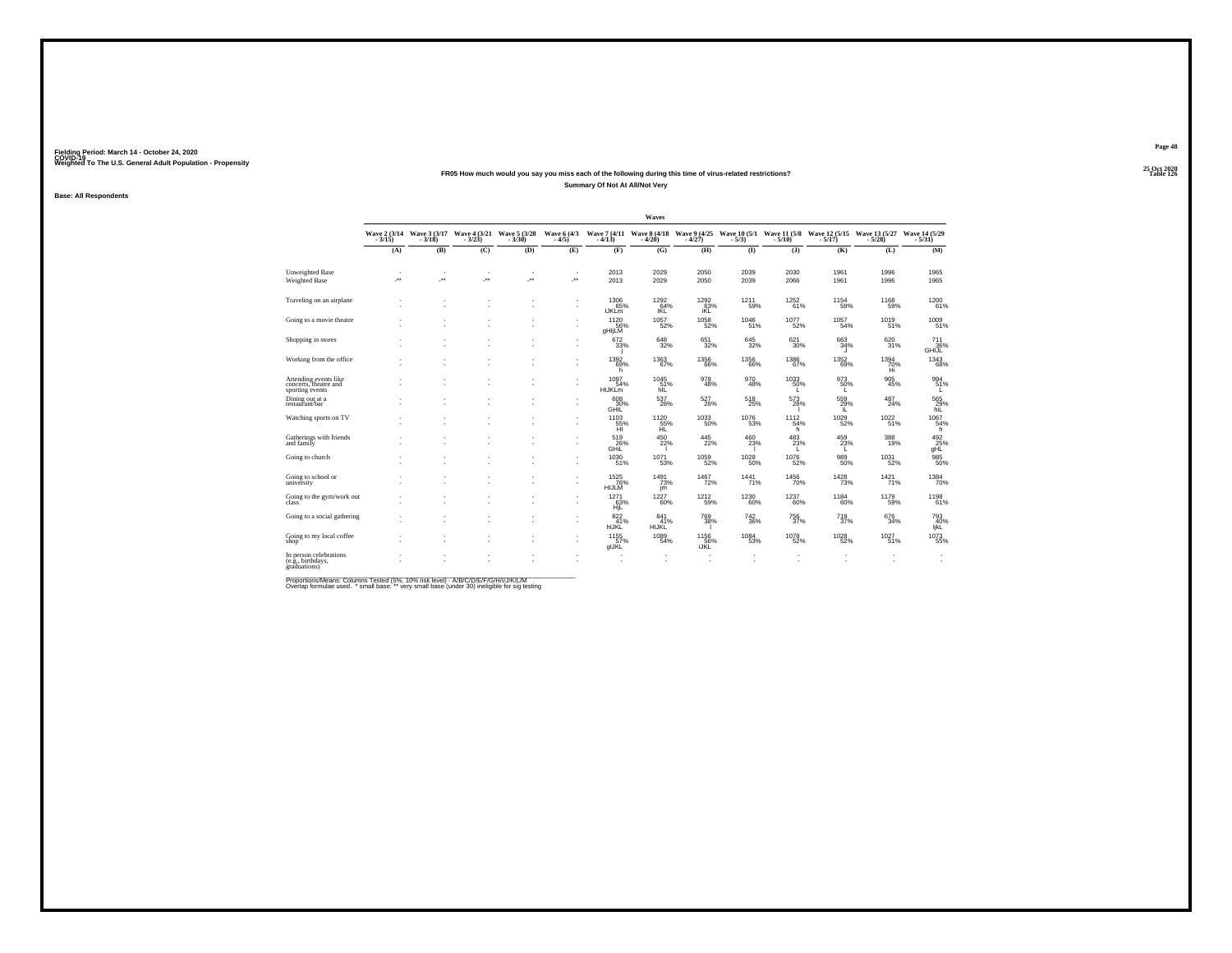#### **25 Oct 2020FR05 How much would you say you miss each of the following during this time of virus-related restrictions?Summary Of Not At All/Not Very**

**Base: All Respondents**

|                                                                   |                            |                          |                          |                                                    |                         |                                        | Waves                      |                                   |                           |                           |                                                                                                           |                        |                               |
|-------------------------------------------------------------------|----------------------------|--------------------------|--------------------------|----------------------------------------------------|-------------------------|----------------------------------------|----------------------------|-----------------------------------|---------------------------|---------------------------|-----------------------------------------------------------------------------------------------------------|------------------------|-------------------------------|
|                                                                   | Wave 2 (3/14)<br>$-3/15$ ) | $-3/18$                  | $-3/23$ )                | Wave 3 (3/17 Wave 4 (3/21 Wave 5 (3/28)<br>$-3/30$ | Wave 6 (4/3)<br>$-4/5)$ | $-4/13$                                | $-4/20$                    | - 4/27)                           | $-5/3)$                   | $-5/10$                   | Wave 7 (4/11 Wave 8 (4/18 Wave 9 (4/25 Wave 10 (5/1 Wave 11 (5/8 Wave 12 (5/15 Wave 13 (5/27<br>$-5/17$ ) | $-5/28$                | Wave 14 (5/29)<br>$-5/31$     |
|                                                                   | (A)                        | (B)                      | (C)                      | (D)                                                | (E)                     | (F)                                    | (G)                        | (H)                               | (1)                       | $($ $)$                   | (K)                                                                                                       | (L)                    | (M)                           |
| Unweighted Base                                                   | ٠                          | $\sim$                   | $\overline{\phantom{a}}$ | ٠                                                  | ٠                       | 2013                                   | 2029                       | 2050                              | 2039                      | 2030                      | 1961                                                                                                      | 1996                   | 1965                          |
| Weighted Base                                                     | ×                          | $\overline{\phantom{a}}$ | ×                        | J.                                                 | ÷                       | 2013                                   | 2029                       | 2050                              | 2039                      | 2066                      | 1961                                                                                                      | 1996                   | 1965                          |
| Traveling on an airplane                                          |                            |                          |                          |                                                    | ٠<br>٠                  | 1306<br>65%<br><b>IJKLm</b>            | 1292<br>64%<br><b>IKL</b>  | <sup>1292</sup> 63%<br><b>iKL</b> | 1211<br>59%               | $\substack{1252 \\ 61\%}$ | 1154<br>59%                                                                                               | 1168                   | 1200<br>61%                   |
| Going to a movie theatre                                          | ٠                          |                          |                          |                                                    | ٠                       | 1120<br>56%<br>gHIjLM                  | 1057<br>52%                | 1058<br>52%                       | 1046<br>51%               | 1077<br>52%               | 1057<br>54%                                                                                               | 1019<br>51%            | 1009<br>51%                   |
| Shopping in stores                                                | ×                          |                          |                          |                                                    | ٠<br>٠                  | 672<br>33%                             | 648<br>32%                 | 651<br>32%                        | 645<br>32%                | 621<br>30%                | 663<br>34%<br>л                                                                                           | 620<br>31%             | 711<br>36%<br>GHIJL           |
| Working from the office                                           |                            |                          |                          |                                                    | ٠<br>٠                  | 1392<br>69%<br>h                       | 1363<br>67%                | $^{1356}_{66\%}$                  | $^{1356}_{\  \  \, 66\%}$ | 1386<br>67%               | $\frac{1352}{69\%}$                                                                                       | $^{1394}_{70\%}$<br>Hi | 1343<br>68%                   |
| Attending events like<br>concerts, theatre and<br>sporting events |                            |                          |                          |                                                    | ٠<br>ä,                 | 1097<br>54%<br><b>HIJKLm</b>           | 1045<br>51%<br>hill        | 978<br>48%                        | $\substack{970 \\ 48\%}$  | 1033<br>50%<br>L.         | $^{973}_{50\%}$                                                                                           | 905<br>45%             | 994<br>51%<br>L               |
| Dining out at a<br>restaurant/bar                                 |                            |                          |                          |                                                    | ٠<br>ä                  | 608<br>30%<br>GHIL                     | 537<br>26%                 | 527<br>26%                        | 518<br>25%                | 573<br>28%                | 559<br>29%<br>iL.                                                                                         | 487<br>24%             | 565<br>29%<br>hiL             |
| Watching sports on TV                                             |                            |                          |                          |                                                    | ٠                       | $^{1103}_{\substack{55\%\\ \text{H}}}$ | 1120<br>55%<br>HL          | 1033<br>50%                       | 1076<br>53%               | 1112<br>54%<br>'n         | 1029<br>52%                                                                                               | 1022<br>51%            | 1067<br>54%<br>h              |
| Gatherings with friends<br>and family                             |                            |                          |                          |                                                    | ٠<br>٠                  | 519<br>GHIL                            | 450<br>22%                 | 445<br>22%                        | 460<br>23%                | 483<br>23%<br>L           | 459<br>23%<br>L.                                                                                          | 388<br>19%             | 492<br>25%<br>gHL             |
| Going to church                                                   |                            |                          |                          |                                                    | ٠<br>ä,                 | 1030<br>51%                            | $\frac{1071}{53\%}$        | 1059<br>52%                       | 1028<br>50%               | $\frac{1076}{52\%}$       | 989<br>50%                                                                                                | $^{1031}_{52\%}$       | 985<br>50%                    |
| Going to school or<br>university                                  |                            |                          |                          |                                                    | ٠<br>٠                  | 1525<br>76%<br>HIJLM                   | $1491$<br>$73\%$<br>jm     | 1467<br>72%                       | $\substack{1441 \\ 71\%}$ | 1456<br>70%               | <sup>1428</sup> 73%                                                                                       | $1421$ <sub>71%</sub>  | 1384<br>70%                   |
| Going to the gym/work out<br>class                                |                            |                          |                          |                                                    | ٠<br>٠                  | 1271<br>63%<br>HjĽ                     | 1227<br>60%                | 1212<br>59%                       | 1230<br>60%               | 1237<br>60%               | 1184<br>60%                                                                                               | 1179<br>59%            | 1198<br>61%                   |
| Going to a social gathering                                       |                            |                          |                          |                                                    | ٠<br>ä,                 | 822 <sub>41%</sub><br>hIJKL            | 841<br>41%<br><b>HIJKL</b> | 769<br>38%                        | $\substack{742 \\ 36\%}$  | $^{756}_{37\%}$           | $^{719}_{37\%}$                                                                                           | 676<br>34%             | 793<br>40%<br>IjkL            |
| Going to my local coffee<br>shop                                  |                            |                          |                          |                                                    | ٠<br>٠                  | 1155<br>57%<br>glJKL                   | 1089<br>54%                | 1156<br>56%<br>iJKL               | 1084<br>53%               | 1078<br>52%               | 1028<br>52%                                                                                               | 1027<br>51%            | 1073<br>55%                   |
| In person celebrations<br>(e.g., birthdays,<br>eraduations)       |                            |                          |                          |                                                    |                         |                                        |                            |                                   |                           |                           |                                                                                                           |                        | ٠<br>$\overline{\phantom{a}}$ |

Proportions/Means: Columns Tested (5%, 10% risk level) - A/B/C/D/E/F/G/H/I/J/K/L/M<br>Overlap formulae used. \*small base; \* very small base (under 30) ineligible for sig testing

**Page 48**25 Oct 2020<br>Table 126

**Table 126 Table 126**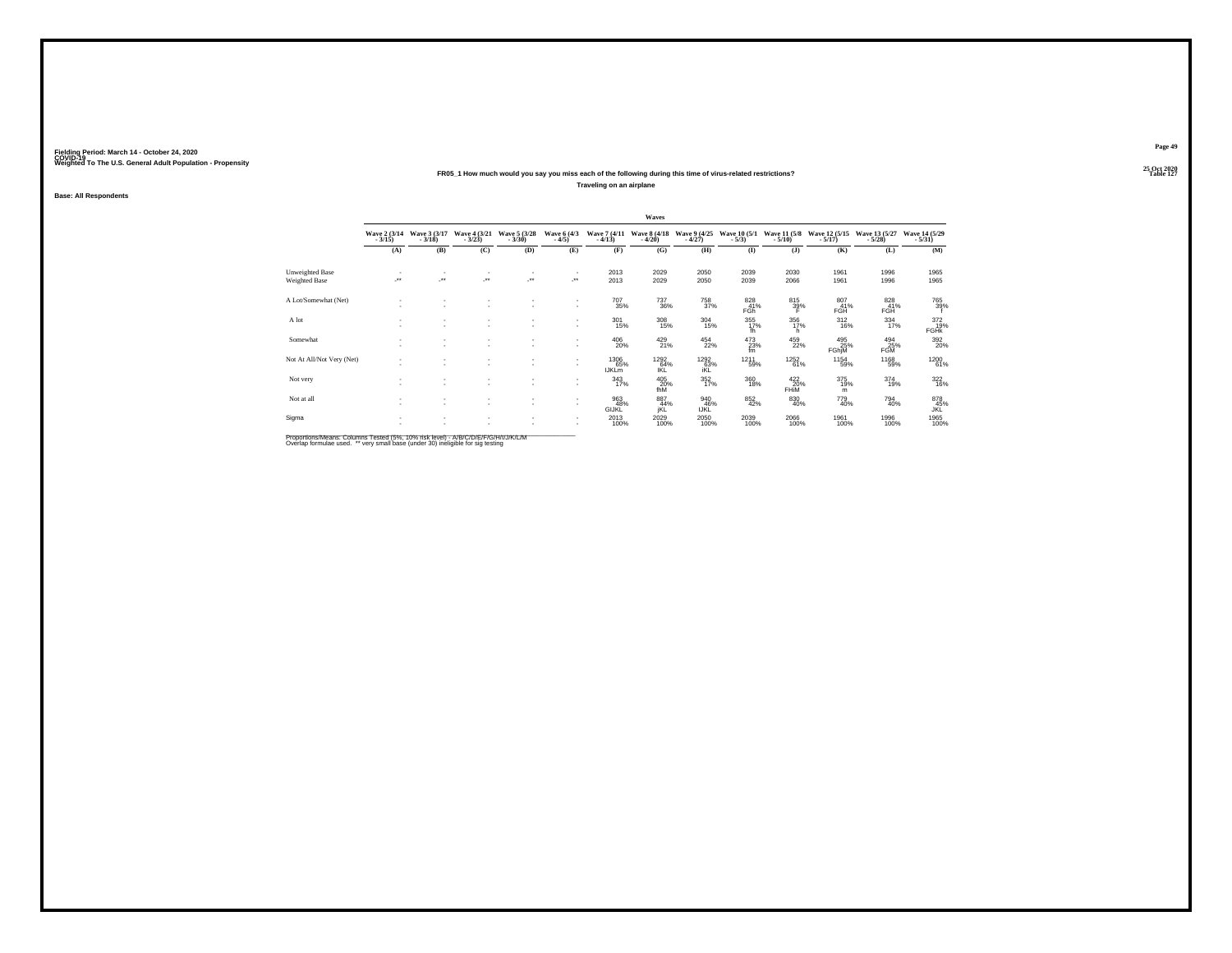#### **25 Oct 2020FR05\_1 How much would you say you miss each of the following during this time of virus-related restrictions?**

**Traveling on an airplane**

**Base: All Respondents**

|                           |                          |                          |                                    |                               |                              |                             | Waves                     |                               |                               |                          |                           |                           |                                   |
|---------------------------|--------------------------|--------------------------|------------------------------------|-------------------------------|------------------------------|-----------------------------|---------------------------|-------------------------------|-------------------------------|--------------------------|---------------------------|---------------------------|-----------------------------------|
|                           | Wave 2 (3/14)<br>$-3/15$ | Wave 3 (3/17)<br>$-3/18$ | Wave 4 (3/21)<br>$-3/23$           | Wave 5 (3/28)<br>$-3/30$      | Wave 6 (4/3)<br>$-4/5$       | Wave 7 (4/11)<br>$-4/13$    | Wave 8 (4/18)<br>$-4/20$  | Wave 9 (4/25)<br>$-4/27$      | Wave 10 (5/1)<br>$-5/3$       | Wave 11 (5/8)<br>$-5/10$ | Wave 12 (5/15)<br>$-5/17$ | Wave 13 (5/27)<br>$-5/28$ | Wave 14 (5/29)<br>$-5/31$         |
|                           | (A)                      | (B)                      | (C)                                | (D)                           | (E)                          | (F)                         | (G)                       | (H)                           | (I)                           | $($ $)$                  | (K)                       | (L)                       | (M)                               |
| Unweighted Base           | ٠                        |                          | ٠                                  |                               |                              | 2013                        | 2029                      | 2050                          | 2039                          | 2030                     | 1961                      | 1996                      | 1965                              |
| Weighted Base             | $\overline{\phantom{a}}$ | $\cdot$                  | ×                                  |                               | $\mathcal{L}^{\text{max}}$   | 2013                        | 2029                      | 2050                          | 2039                          | 2066                     | 1961                      | 1996                      | 1965                              |
| A Lot/Somewhat (Net)      | $\sim$                   |                          | $\sim$<br>$\sim$                   | $\sim$                        | $\mathbf{r}$<br>$\mathbf{r}$ | 707<br>35%                  | <sup>737</sup> 36%        | <sup>758</sup> <sub>37%</sub> | 828<br>41%<br>FGh             | 815<br>39%               | 807<br>41%<br>FGH         | 828<br>41%<br><b>FGH</b>  | 765<br>39%                        |
| A lot                     |                          |                          | $\sim$<br>$\overline{\phantom{a}}$ | ٠<br>$\overline{\phantom{a}}$ | $\sim$<br>$\mathbf{r}$       | $^{301}_{15\%}$             | 308<br>15%                | $\frac{304}{15\%}$            | $355$<br>$17\%$<br>fh         | 356<br>17%<br>h.         | $^{312}_{16\%}$           | $334 \atop 17\%$          | $\frac{372}{19\%}$<br><b>FGHK</b> |
| Somewhat                  | <br>$\sim$               | $\overline{\phantom{a}}$ | ٠<br>٠                             | $\sim$                        | $\mathbf{r}$                 | 406<br>20%                  | $^{429}_{21\%}$           | $\frac{454}{22\%}$            | 473<br>23%<br>fm <sup>1</sup> | 459<br>22%               | 495<br>FGhjM<br>FGhjM     | 494<br>FGM                | 392<br>20%                        |
| Not At All/Not Very (Net) |                          | $\overline{\phantom{a}}$ | $\overline{\phantom{a}}$           | $\sim$                        | $\sim$<br>$\mathbf{r}$       | 1306<br>65%<br><b>IJKLm</b> | 1292<br>64%<br><b>IKL</b> | 1292<br>63%<br>iKL            | 1211<br>59%                   | <sup>1252</sup> 61%      | 1154<br>59%               | 1168<br>59%               | 1200<br>61%                       |
| Not very                  |                          |                          | ٠<br>٠                             | $\sim$                        | $\mathbf{r}$                 | 343<br>17%                  | 405<br>20%<br>fhM         | 352 17%                       | $\frac{360}{18\%}$            | $^{422}_{20\%}$ FHiM     | 375<br>19%<br>m           | $^{374}_{19\%}$           | $\frac{322}{16\%}$                |
| Not at all                | $\sim$<br>$\sim$         | $\overline{\phantom{a}}$ | ٠<br>٠                             | $\sim$<br>$\sim$              | $\mathbf{r}$<br>$\mathbf{r}$ | 963<br>48%<br>GIJKL         | 887<br>44%<br>iKL         | 940<br>46%<br>IJKL            | $\underset{42\%}{^{852}}$     | 830<br>40%               | 779<br>40%                | 794<br>40%                | 878<br>45%<br>JKL                 |
| Sigma                     |                          |                          | $\sim$                             |                               |                              | 2013<br>100%                | 2029<br>100%              | $^{2050}_{100\%}$             | 2039<br>100%                  | 2066<br>100%             | 1961<br>100%              | 1996<br>100%              | 1965<br>100%                      |

Proportions/Means: Columns Tested (5%, 10% risk level) - A/B/C/D/E/F/G/H/I/J/K/L/M<br>Overlap formulae used. \*\* very small base (under 30) ineligible for sig testing

**Page 49**25 Oct 2020<br>Table 127

**Properties and the contract of the contract of the contract of the contract of the contract of the contract of the contract of the contract of the contract of the contract of the contract of the contract of the contract o**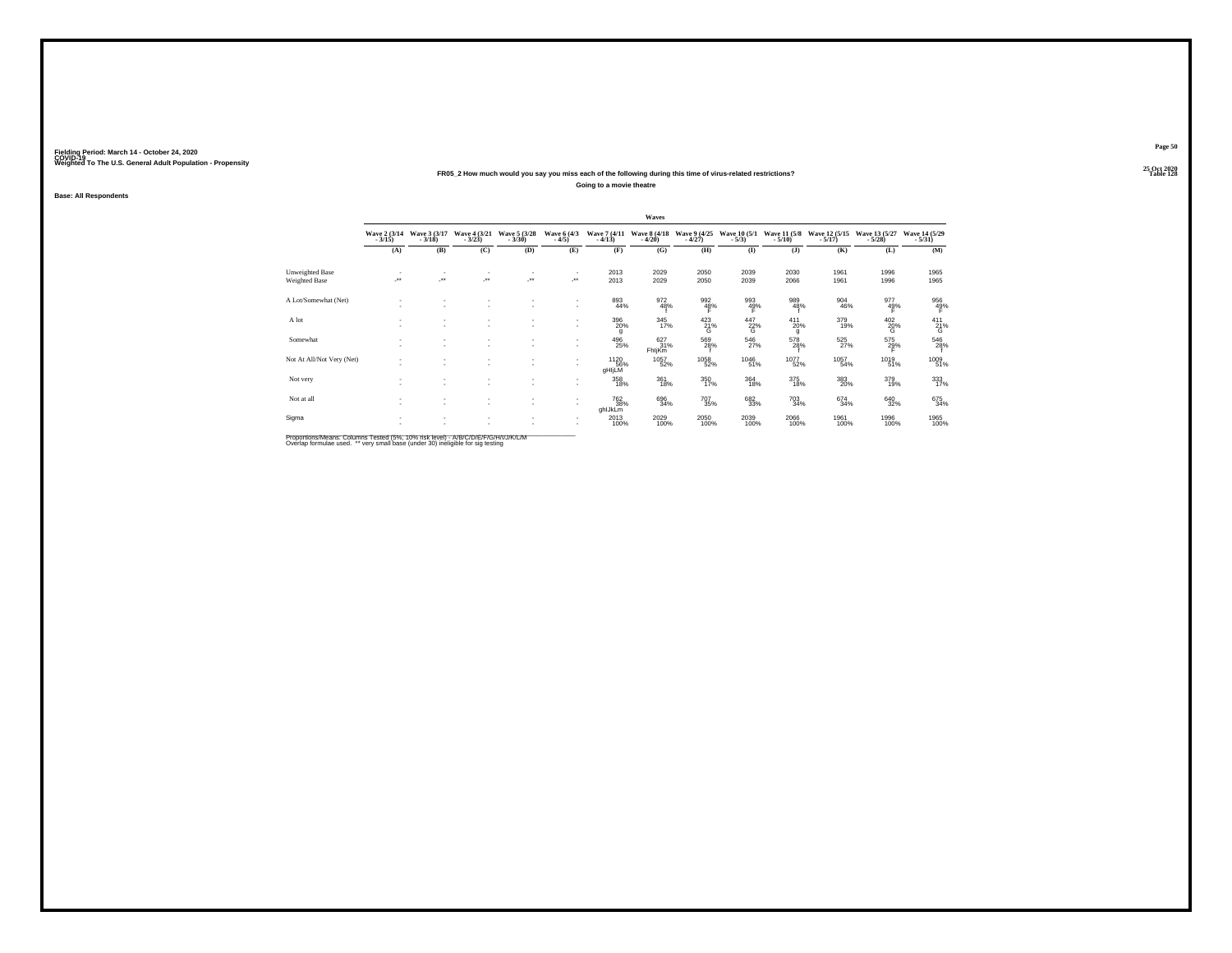#### **25 Oct 2020FR05\_2 How much would you say you miss each of the following during this time of virus-related restrictions?Going to a movie theatre**

**Base: All Respondents**

|                                  |                               |                          |                               |                          |                                          |                                  | Waves                    |                                |                         |                          |                           |                           |                           |
|----------------------------------|-------------------------------|--------------------------|-------------------------------|--------------------------|------------------------------------------|----------------------------------|--------------------------|--------------------------------|-------------------------|--------------------------|---------------------------|---------------------------|---------------------------|
|                                  | Wave 2 (3/14)<br>$-3/15$      | Wave 3 (3/17)<br>$-3/18$ | Wave 4 (3/21)<br>$-3/23$      | Wave 5 (3/28)<br>$-3/30$ | Wave 6 (4/3)<br>$-4/5)$                  | Wave 7 (4/11)<br>$-4/13$         | Wave 8 (4/18)<br>$-4/20$ | Wave 9 (4/25)<br>$-4/27$       | Wave 10 (5/1)<br>$-5/3$ | Wave 11 (5/8)<br>$-5/10$ | Wave 12 (5/15)<br>$-5/17$ | Wave 13 (5/27)<br>$-5/28$ | Wave 14 (5/29)<br>$-5/31$ |
|                                  | (A)                           | (B)                      | (C)                           | (D)                      | (E)                                      | (F)                              | (G)                      | (H)                            | (I)                     | $($ $)$                  | (K)                       | (L)                       | (M)                       |
| Unweighted Base<br>Weighted Base | ٠<br>$\overline{\phantom{a}}$ | $\cdot$                  | ٠<br>×                        |                          | $\mathcal{L}^{\text{max}}$               | 2013<br>2013                     | 2029<br>2029             | 2050<br>2050                   | 2039<br>2039            | 2030<br>2066             | 1961<br>1961              | 1996<br>1996              | 1965<br>1965              |
| A Lot/Somewhat (Net)             |                               |                          | $\sim$<br>$\sim$              | $\sim$                   | $\mathbf{r}$<br>$\mathbf{r}$             | 893<br>44%                       | 972<br>48%               | $\frac{992}{48\%}$             | $\frac{993}{49\%}$<br>F | 989<br>48%               | 904<br>46%                | $\frac{977}{49\%}$        | 956<br>49%                |
| A lot                            |                               |                          | ٠<br>$\overline{\phantom{a}}$ |                          | $\mathbf{r}$                             | 396<br>20%<br>g                  | 345<br>17%               | $^{423}_{21\%}$                | $\frac{447}{26}$ %      | $^{411}_{20\%}$<br>g     | 379<br>19%                | $^{402}_{20\%}$           | $^{411}_{21\%}$           |
| Somewhat                         | $\sim$                        | $\overline{\phantom{a}}$ | ٠<br>٠                        | $\sim$                   | $\overline{\phantom{a}}$<br>$\mathbf{r}$ | 496<br>25%                       | 627<br>31%<br>FhljKm     | 569<br>28%                     | 546<br>27%              | 578<br>28%               | 525<br>27%                | 575<br>29%                | 546<br>28%                |
| Not At All/Not Very (Net)        |                               | $\sim$                   | $\overline{\phantom{a}}$      | $\overline{\phantom{a}}$ | $\mathbf{r}$                             | <sup>1120</sup><br>56%<br>gHIjLM | 1057<br>52%              | <sup>1058</sup> <sub>52%</sub> | 1046<br>51%             | <sup>1077</sup> 52%      | 1057<br>54%               | 1019<br>51%               | 1009<br>51%               |
| Not very                         |                               |                          | ٠<br>$\overline{\phantom{a}}$ | $\sim$                   | $\mathbf{r}$                             | 358<br>18%                       | 361<br>18%               | 350<br>17%                     | 364<br>18%              | $\frac{375}{18\%}$       | 383<br>20%                | 379<br>19%                | 333<br>17%                |
| Not at all                       | $\sim$<br>$\sim$              | $\overline{\phantom{a}}$ | $\sim$<br>٠                   | $\sim$<br>$\sim$         | $\mathbf{r}$<br>$\mathbf{r}$             | 762<br>38%<br>ghlJkLm            | 696<br>34%               | $^{707}_{\phantom{1}35\%}$     | 682<br>33%              | $\substack{703 \\ 34\%}$ | 674<br>34%                | $\substack{640 \\ 32\%}$  | 675<br>34%                |
| Sigma                            |                               |                          | $\sim$                        |                          |                                          | 2013<br>100%                     | 2029<br>100%             | 2050<br>100%                   | 2039<br>100%            | 2066<br>100%             | 1961<br>100%              | 1996<br>100%              | 1965<br>100%              |

Proportions/Means: Columns Tested (5%, 10% risk level) - A/B/C/D/E/F/G/H/I/J/K/L/M<br>Overlap formulae used. \*\* very small base (under 30) ineligible for sig testing

**Page 50**25 Oct 2020<br>Table 128

**Table 128**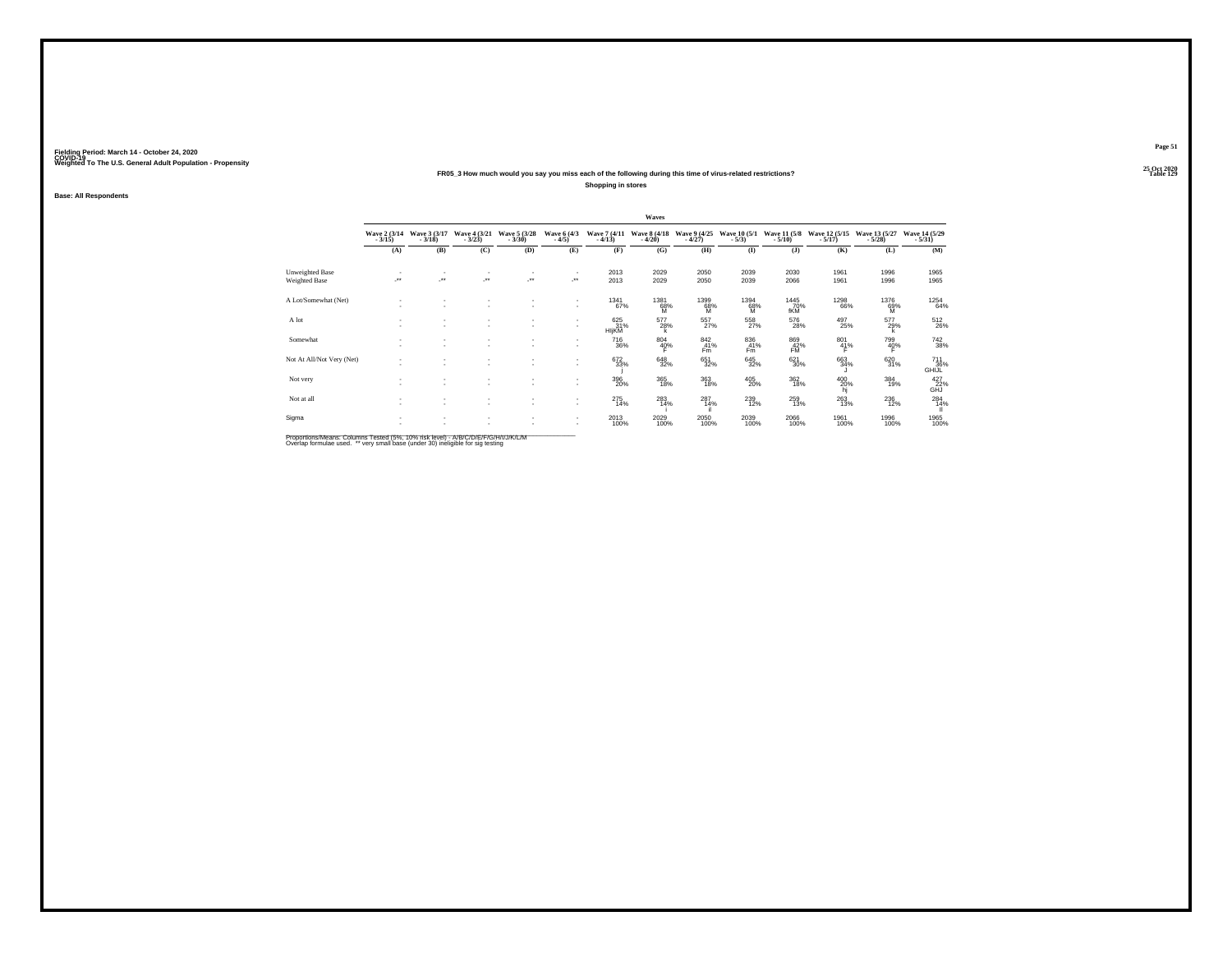#### **25 Oct 2020FR05\_3 How much would you say you miss each of the following during this time of virus-related restrictions?**

**Shopping in stores**

**Base: All Respondents**

|                           |                          |                          |                            |                                    |                         |                          | Waves                    |                          |                           |                              |                                |                             |                            |
|---------------------------|--------------------------|--------------------------|----------------------------|------------------------------------|-------------------------|--------------------------|--------------------------|--------------------------|---------------------------|------------------------------|--------------------------------|-----------------------------|----------------------------|
|                           | Wave 2 (3/14)<br>$-3/15$ | Wave 3 (3/17)<br>$-3/18$ | Wave 4 (3/21)<br>$-3/23$ ) | Wave 5 (3/28)<br>$-3/30$           | Wave 6 (4/3)<br>$-4/5)$ | Wave 7 (4/11)<br>$-4/13$ | Wave 8 (4/18)<br>$-4/20$ | Wave 9 (4/25)<br>$-4/27$ | Wave 10 (5/1)<br>$-5/3$ ) | Wave 11 (5/8)<br>$-5/10$     | Wave 12 (5/15)<br>$-5/17$ )    | Wave 13 (5/27)<br>$-5/28$ ) | Wave 14 (5/29)<br>$-5/31)$ |
|                           | (A)                      | (B)                      | (C)                        | (D)                                | (E)                     | (F)                      | (G)                      | (H)                      | $($ $\Gamma$              | $($ $)$                      | (K)                            | (L)                         | (M)                        |
| Unweighted Base           | ٠                        | $\sim$                   | $\overline{\phantom{a}}$   | ٠                                  | $\sim$                  | 2013                     | 2029                     | 2050                     | 2039                      | 2030                         | 1961                           | 1996                        | 1965                       |
| Weighted Base             | ×                        | ÷.                       | ×                          | J.                                 | $\cdot$                 | 2013                     | 2029                     | 2050                     | 2039                      | 2066                         | 1961                           | 1996                        | 1965                       |
| A Lot/Somewhat (Net)      | $\sim$<br>٠              | ٠<br>٠                   | ٠<br>×.                    | $\sim$                             | $\sim$<br>$\sim$        | $^{1341}_{67\%}$         | 1381<br>68%<br>м         | 1399<br>68%<br>м         | 1394<br>68%<br>м          | <sup>1445</sup> 70%<br>fKM   | <sup>1298</sup> 66%            | 1376<br>69%<br>м            | $^{1254}_{64\%}$           |
| A lot                     | $\sim$<br>٠              | $\sim$<br>$\sim$         | ٠<br>$\sim$                | $\sim$<br>$\overline{\phantom{a}}$ | $\sim$<br>$\sim$        | 625<br>31%<br>HIjKM      | 577<br>28%               | $^{557}_{27\%}$          | 558<br>27%                | 576<br>28%                   | 497<br>25%                     | 577<br>29%                  | 512<br>26%                 |
| Somewhat                  | ٠<br>٠                   | ٠<br>٠                   | ٠<br>٠                     | $\sim$                             | $\sim$<br>۰.            | 716<br>36%               | 804<br>40%               | 842<br>41%<br>Fm         | 836<br>41%<br>Fm          | 869<br>$F_{\text{M}}^{42\%}$ | 801<br>41%                     | 799<br>40%                  | 742<br>38%                 |
| Not At All/Not Very (Net) | $\sim$<br>٠              | ٠<br>٠                   | ٠<br>×.                    | $\sim$<br>$\overline{\phantom{a}}$ | $\sim$<br>$\sim$        | $\frac{672}{33\%}$       | 648<br>32%               | 651<br>32%               | $\substack{645 \\ 32\%}$  | $621 \over 30\%$             | 663<br>34%                     | 620 31%                     | 711<br>36%<br>GHIJL        |
| Not very                  | ٠<br>٠                   | ٠<br>٠                   | ٠<br>٠                     | ٠<br>$\sim$                        | ۰.                      | 396<br>20%               | 365<br>18%               | $^{363}_{18\%}$          | $^{405}_{20\%}$           | $^{362}_{18\%}$              | $^{400}_{\substack{20\%\\hj}}$ | $\frac{384}{19\%}$          | $^{427}_{6HJ}$ %           |
| Not at all                | ٠<br>٠                   | $\sim$<br>$\sim$         | ٠<br>٠                     | $\sim$<br>$\overline{\phantom{a}}$ | $\sim$<br>$\sim$        | 275<br>14%               | 283<br>14%               | 287<br>14%               | $^{239}_{12\%}$           | $\substack{259 \\ 13\%}$     | 263<br>13%                     | $\substack{236 \\ 12\%}$    | 284<br>$\frac{14}{11}$     |
| Sigma                     | ٠<br>×.                  | $\sim$<br>٠              | ٠<br>٠                     | ٠<br>٠                             | $\sim$<br>$\sim$        | 2013<br>100%             | 2029<br>100%             | $^{2050}_{100\%}$        | 2039<br>100%              | 2066<br>100%                 | 1961<br>100%                   | 1996<br>100%                | 1965<br>100%               |

Proportions/Means: Columns Tested (5%, 10% risk level) - A/B/C/D/E/F/G/H/I/J/K/L/M<br>Overlap formulae used. \*\* very small base (under 30) ineligible for sig testing

**Page 51**25 Oct 2020<br>Table 129

**Particular Table 129 Table 129**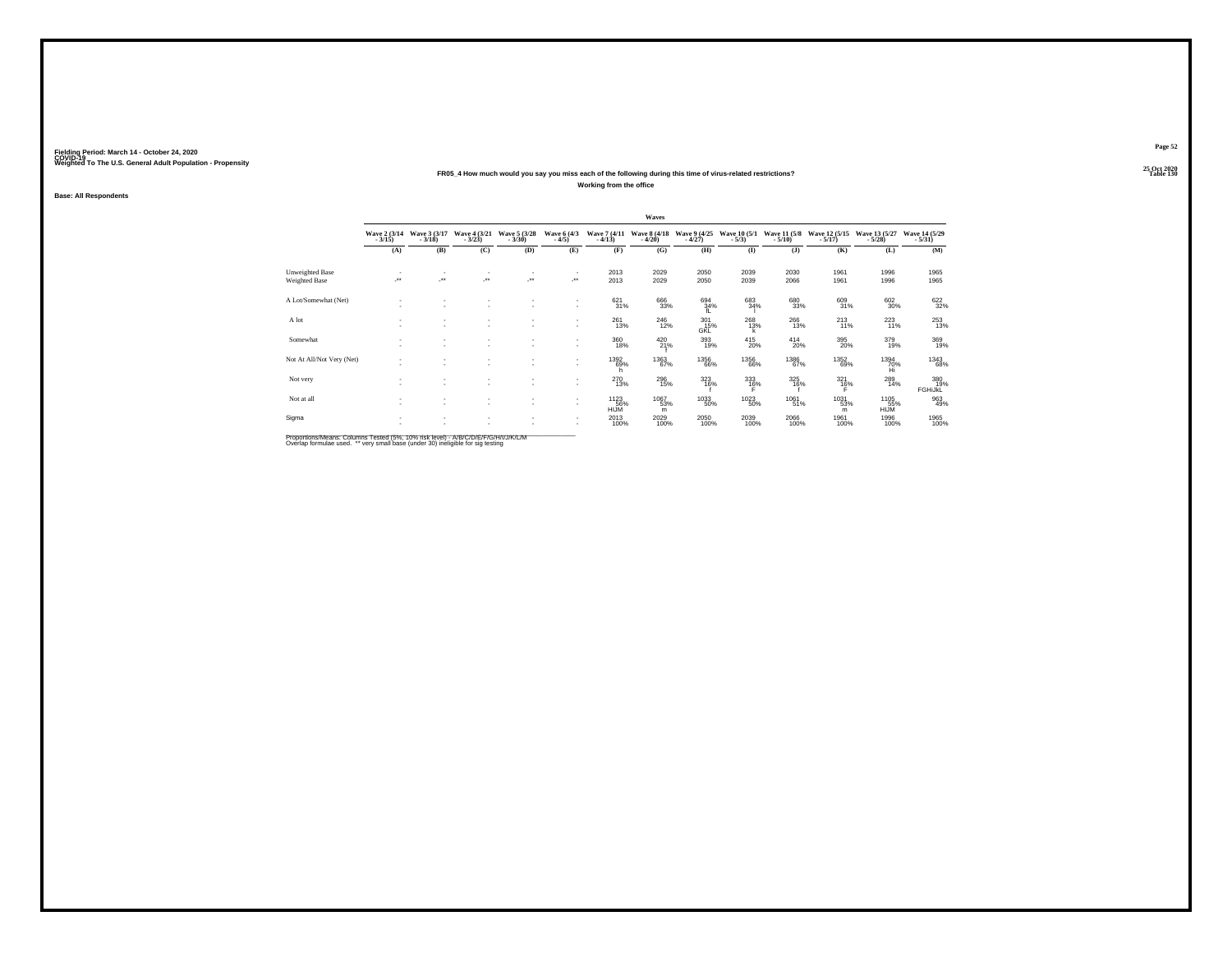#### **25 Oct 2020FR05\_4 How much would you say you miss each of the following during this time of virus-related restrictions?Working from the office**

**Base: All Respondents**

|                                  |                          |                          |                          |                          |                                 |                          | Waves                    |                          |                         |                            |                            |                             |                           |
|----------------------------------|--------------------------|--------------------------|--------------------------|--------------------------|---------------------------------|--------------------------|--------------------------|--------------------------|-------------------------|----------------------------|----------------------------|-----------------------------|---------------------------|
|                                  | Wave 2 (3/14)<br>$-3/15$ | Wave 3 (3/17)<br>$-3/18$ | Wave 4 (3/21)<br>$-3/23$ | Wave 5 (3/28)<br>$-3/30$ | Wave 6 (4/3)<br>$-4/5)$         | Wave 7 (4/11)<br>$-4/13$ | Wave 8 (4/18)<br>$-4/20$ | Wave 9 (4/25)<br>$-4/27$ | Wave 10 (5/1)<br>$-5/3$ | Wave 11 (5/8)<br>$-5/10$ ) | Wave 12 (5/15)<br>$-5/17)$ | Wave 13 (5/27)<br>$-5/28$ ) | Wave 14 (5/29)<br>$-5/31$ |
|                                  | (A)                      | (B)                      | (C)                      | (D)                      | (E)                             | (F)                      | (G)                      | (H)                      | $($ I                   | $($ $)$                    | (K)                        | (L)                         | (M)                       |
| Unweighted Base<br>Weighted Base | $\overline{\phantom{a}}$ | $\cdot$                  | $\mathbf{r}$<br>$\cdot$  | J.                       | $\overline{\phantom{a}}$<br>-** | 2013<br>2013             | 2029<br>2029             | 2050<br>2050             | 2039<br>2039            | 2030<br>2066               | 1961<br>1961               | 1996<br>1996                | 1965<br>1965              |
| A Lot/Somewhat (Net)             | ٠                        |                          | ٠<br>٠                   |                          | ٠<br>٠                          | $\frac{621}{31\%}$       | 666<br>33%               | 694 34%<br>fL            | 683<br>34%              | 680<br>33%                 | 609<br>31%                 | $\substack{602\\30\%}$      | 622%                      |
| A lot                            | ٠                        |                          | $\mathbf{r}$<br>$\sim$   |                          | ٠<br>$\overline{\phantom{a}}$   | 261<br>13%               | $^{246}_{12\%}$          | $^{301}_{15\%}$<br>GKL   | 268<br>13%<br>k         | 266<br>13%                 | $^{213}_{11\%}$            | $^{223}_{11\%}$             | $^{253}_{13\%}$           |
| Somewhat                         | ٠<br>٠                   | $\overline{\phantom{a}}$ | $\mathbf{r}$<br>٠        | ٠                        | ٠<br>$\mathbf{r}$               | 360<br>18%               | 420<br>21%               | 393<br>19%               | 415<br>20%              | $^{414}_{20\%}$            | 395<br>20%                 | 379<br>19%                  | 369<br>19%                |
| Not At All/Not Very (Net)        | ٠<br>٠                   | $\overline{\phantom{a}}$ | $\sim$                   | ٠                        | ٠<br>$\mathbf{r}$               | 1392<br>69%<br>n         | 1363<br>67%              | <sup>1356</sup> 66%      | <sup>1356</sup> 66%     | <sup>1386</sup> 67%        | 1352<br>69%                | 1394<br>70%<br>Hi           | <sup>1343</sup> 68%       |
| Not very                         | ٠<br>$\sim$              |                          | ۰                        | ٠                        | ٠<br>٠                          | 270<br>13%               | $^{296}_{15\%}$          | 323<br>16%               | 333<br>16%              | 325<br>16%                 | $^{321}_{16\%}$            | $^{289}_{14\%}$             | 380<br>19%<br>FGHiJKL     |
| Not at all                       | $\sim$<br>٠              | $\mathbf{r}$             | ۰<br>۰                   | ٠<br>٠                   | ٠<br>$\overline{\phantom{a}}$   | 1123<br>HIJM             | 1067<br>53%<br>m         | $^{1033}_{-50\%}$        | 1023<br>50%             | 1061<br>51%                | 1031<br>53%<br>m           | 1105<br>HIJM <sup>35%</sup> | 963<br>49%                |
| Sigma                            | ٠                        |                          | ۰                        |                          | $\overline{\phantom{a}}$<br>٠   | 2013<br>100%             | 2029<br>100%             | 2050<br>100%             | 2039<br>100%            | 2066<br>100%               | 1961<br>100%               | 1996<br>100%                | 1965<br>100%              |

Proportions/Means: Columns Tested (5%, 10% risk level) - A/B/C/D/E/F/G/H/I/J/K/L/M<br>Overlap formulae used. \*\* very small base (under 30) ineligible for sig testing

**Page 52**25 Oct 2020<br>Table 130

**Table 130**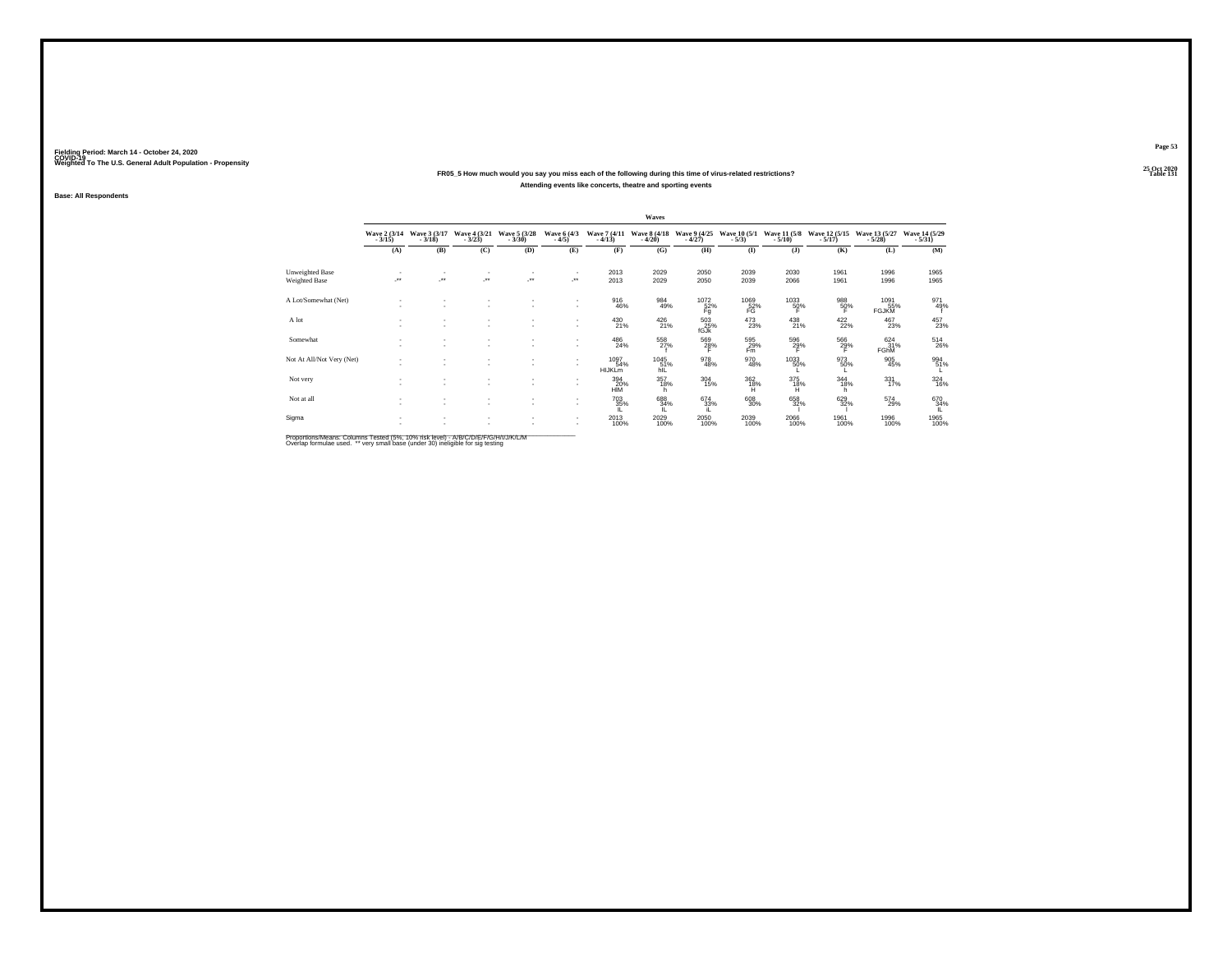#### **25 Oct 2020FR05\_5 How much would you say you miss each of the following during this time of virus-related restrictions?Attending events like concerts, theatre and sporting events**

**Base: All Respondents**

|                                  |                          |                               |                          |                                    |                                     |                              | Waves                    |                            |                         |                          |                           |                                 |                                       |
|----------------------------------|--------------------------|-------------------------------|--------------------------|------------------------------------|-------------------------------------|------------------------------|--------------------------|----------------------------|-------------------------|--------------------------|---------------------------|---------------------------------|---------------------------------------|
|                                  | Wave 2 (3/14)<br>$-3/15$ | Wave 3 (3/17)<br>$-3/18$      | Wave 4 (3/21)<br>$-3/23$ | Wave 5 (3/28)<br>$-3/30$           | Wave 6 (4/3)<br>$-4/5)$             | Wave 7 (4/11)<br>$-4/13$     | Wave 8 (4/18)<br>$-4/20$ | Wave 9 (4/25)<br>$-4/27$   | Wave 10 (5/1)<br>$-5/3$ | Wave 11 (5/8)<br>$-5/10$ | Wave 12 (5/15)<br>$-5/17$ | Wave 13 (5/27)<br>$-5/28$       | Wave 14 (5/29)<br>$-5/31$             |
|                                  | (A)                      | (B)                           | (C)                      | (D)                                | (E)                                 | (F)                          | (G)                      | (H)                        | $($ I                   | (1)                      | (K)                       | (L)                             | (M)                                   |
| Unweighted Base<br>Weighted Base | ×                        | ÷.                            | ٠<br>×                   | $\mathbf{r}$<br>$\cdot$            | $\overline{\phantom{a}}$<br>$\cdot$ | 2013<br>2013                 | 2029<br>2029             | 2050<br>2050               | 2039<br>2039            | 2030<br>2066             | 1961<br>1961              | 1996<br>1996                    | 1965<br>1965                          |
| A Lot/Somewhat (Net)             | $\sim$                   | $\sim$                        | ٠<br>٠                   |                                    | ٠<br>۰.                             | 916<br>46%                   | 984<br>49%               | 1072/52%                   | 1069<br>52%             | 1033<br>50%              | 988<br>50%                | 1091<br>55%                     | 971<br>49%                            |
| A lot                            |                          | ٠                             | ٠<br>٠                   |                                    | $\sim$                              | 430<br>21%                   | 426<br>21%               | Fg<br>$^{503}_{25\%}$ fGJk | FG<br>$^{473}_{23\%}$   | 438<br>21%               | Е<br>$422/22$ %           | <b>FGJKM</b><br>$^{467}_{23\%}$ | 457<br>23%                            |
| Somewhat                         | $\sim$                   | ٠<br>$\overline{\phantom{a}}$ | ٠<br>$\sim$              | $\sim$                             | ٠                                   | 486<br>24%                   | 558<br>27%               | 569<br>28%                 | 595<br>29%<br>Fm        | 596<br>29%               | 566<br>29%                | 624<br>31%<br><b>FGhM</b>       | $^{514}_{\phantom{1}\phantom{1}26\%}$ |
| Not At All/Not Very (Net)        | . .                      | $\overline{\phantom{a}}$      | ٠<br>٠                   | $\overline{\phantom{a}}$           | ٠<br>$\sim$                         | 1097<br>54%<br><b>HIJKLm</b> | 1045<br>51%<br>hil       | 978<br>48%                 | 970<br>48%              | 1033<br>50%              | 973<br>50%                | $\frac{905}{45\%}$              | 994<br>51%                            |
| Not very                         |                          | $\overline{\phantom{a}}$      | ٠<br>٠                   | $\sim$                             | ٠<br>۰.                             | 394<br>20%<br>HĪM            | 357<br>18%               | $\frac{304}{15\%}$         | $\frac{362}{18\%}$      | 375<br>18%<br>Ή.         | $344_{18\%}$              | $331$<br>$17%$                  | $\frac{324}{16\%}$                    |
| Not at all                       | $\sim$<br><b>A</b>       | $\sim$<br>$\sim$              | $\sim$<br>$\sim$         | $\sim$<br>$\overline{\phantom{a}}$ | ٠<br>$\sim$                         | 703<br>35%                   | 688<br>34%               | $^{674}_{33\%}$            | $^{608}_{30\%}$         | 658<br>32%               | 629<br>32%                | 574<br>29%                      | 670<br>34%                            |
| Sigma                            | $\sim$                   | $\sim$                        | ٠<br>٠                   |                                    | ٠<br>٠                              | 2013<br>100%                 | 2029<br>100%             | 2050<br>100%               | 2039<br>100%            | 2066<br>100%             | 1961<br>100%              | 1996<br>100%                    | 1965<br>100%                          |

Proportions/Means: Columns Tested (5%, 10% risk level) - A/B/C/D/E/F/G/H/I/J/K/L/M<br>Overlap formulae used. \*\* very small base (under 30) ineligible for sig testing

**Page 53**25 Oct 2020<br>Table 131

**Particular Table 131**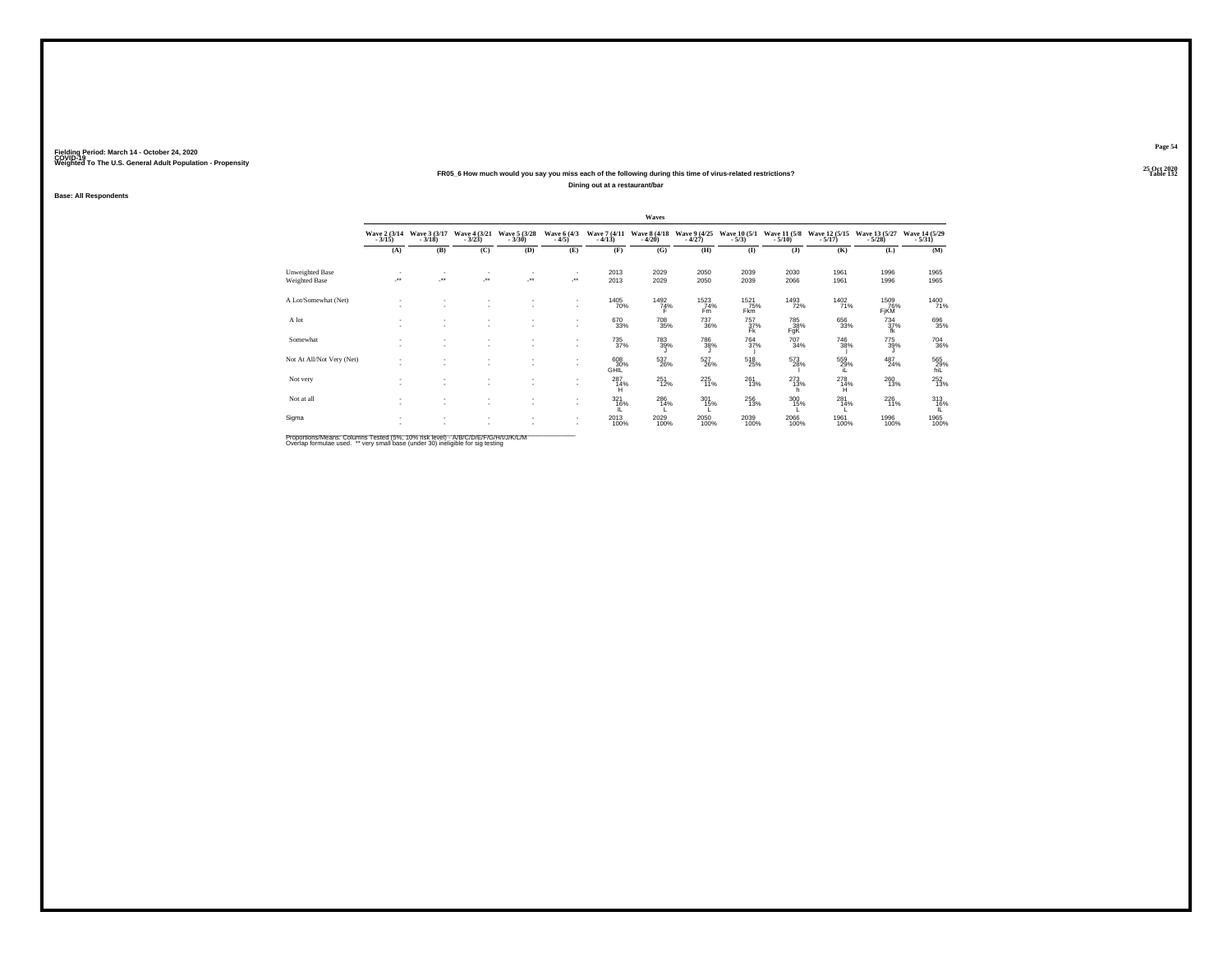#### **25 Oct 2020FR05\_6 How much would you say you miss each of the following during this time of virus-related restrictions?Dining out at a restaurant/bar**

**Base: All Respondents**

|                           |                          |                          |                               |                          |                              |                          | Waves                    |                           |                                   |                          |                           |                             |                            |
|---------------------------|--------------------------|--------------------------|-------------------------------|--------------------------|------------------------------|--------------------------|--------------------------|---------------------------|-----------------------------------|--------------------------|---------------------------|-----------------------------|----------------------------|
|                           | Wave 2 (3/14)<br>$-3/15$ | Wave 3 (3/17)<br>$-3/18$ | Wave 4 (3/21)<br>$-3/23$      | Wave 5 (3/28)<br>$-3/30$ | Wave 6 (4/3)<br>$-4/5$       | Wave 7 (4/11)<br>$-4/13$ | Wave 8 (4/18)<br>$-4/20$ | Wave 9 (4/25)<br>$-4/27$  | Wave 10 (5/1)<br>$-5/3$           | Wave 11 (5/8)<br>$-5/10$ | Wave 12 (5/15)<br>$-5/17$ | Wave 13 (5/27)<br>$-5/28$ ) | Wave 14 (5/29)<br>$-5/31$  |
|                           | (A)                      | (B)                      | (C)                           | (D)                      | (E)                          | (F)                      | (G)                      | (H)                       | (I)                               | $($ $)$                  | (K)                       | (L)                         | (M)                        |
| Unweighted Base           |                          |                          | ٠                             | $\overline{\phantom{a}}$ |                              | 2013                     | 2029                     | 2050                      | 2039                              | 2030                     | 1961                      | 1996                        | 1965                       |
| Weighted Base             | $\overline{\phantom{a}}$ | $\cdot$                  | ×                             |                          | $\mathcal{L}^{\text{max}}$   | 2013                     | 2029                     | 2050                      | 2039                              | 2066                     | 1961                      | 1996                        | 1965                       |
| A Lot/Somewhat (Net)      |                          |                          | $\sim$<br>$\sim$              | $\sim$                   | $\mathbf{r}$<br>$\mathbf{r}$ | <sup>1405</sup> 70%      | $\frac{1492}{74\%}$      | $\frac{1523}{74\%}$<br>Fm | <sup>1521</sup> 75%<br><b>Fkm</b> | <sup>1493</sup> 72%      | 1402<br>71%               | 1509<br>76%<br>FjKM         | 1400<br>71%                |
| A lot                     |                          |                          | ٠<br>$\overline{\phantom{a}}$ | $\overline{\phantom{a}}$ | $\mathbf{r}$                 | 670<br>33%               | <sup>708</sup> 35%       | $^{737}_{\ 36\%}$         | 757<br>37%<br>Fk                  | 785<br>-38%<br>FgK       | 656<br>33%                | $^{734}_{37\%}$<br>fk       | 696<br>35%                 |
| Somewhat                  | $\sim$                   | $\overline{\phantom{a}}$ | ٠<br>۰                        | $\sim$                   | $\mathbf{r}$                 | 735<br>37%               | 783<br>39%               | 786<br>38%                | 764<br>37%                        | 707<br>34%               | 746<br>38%                | 775<br>39%                  | $^{704}_{\phantom{1}36\%}$ |
| Not At All/Not Very (Net) |                          | $\overline{\phantom{a}}$ | ٠<br>$\overline{\phantom{a}}$ | $\sim$                   | $\mathbf{r}$                 | 608<br>30%<br>GHIL       | 537<br>26%               | $^{527}_{26\%}$           | $^{518}_{25\%}$                   | 573<br>28%               | 559%<br>iL                | $^{487}_{24\%}$             | 565<br>29%<br>hiL          |
| Not very                  |                          | $\overline{\phantom{a}}$ | ٠<br>۰                        | $\sim$                   | $\mathbf{r}$                 | $^{287}_{~14\%}$         | $^{251}_{12\%}$          | 225<br>11%                | $^{261}_{13\%}$                   | $^{273}_{13\%}$<br>'n    | $^{278}_{~14\%}$          | $^{260}_{13\%}$             | $^{252}_{13\%}$            |
| Not at all                | $\sim$<br>$\sim$         | $\overline{\phantom{a}}$ | ۰<br>۰                        | $\sim$<br>$\sim$         | $\mathbf{r}$<br>$\mathbf{r}$ | 321<br>16%               | 286<br>14%               | 301<br>15%                | 256<br>13%                        | 300<br>15%               | 281<br>14%                | 226<br>11%                  | $313$<br>$16\%$            |
| Sigma                     |                          |                          | $\sim$                        |                          |                              | 2013<br>100%             | 2029<br>100%             | 2050<br>100%              | 2039<br>100%                      | 2066<br>100%             | 1961<br>100%              | 1996<br>100%                | 1965<br>100%               |

Proportions/Means: Columns Tested (5%, 10% risk level) - A/B/C/D/E/F/G/H/I/J/K/L/M<br>Overlap formulae used. \*\* very small base (under 30) ineligible for sig testing

**Page 54**25 Oct 2020<br>Table 132

**Particular Table 132**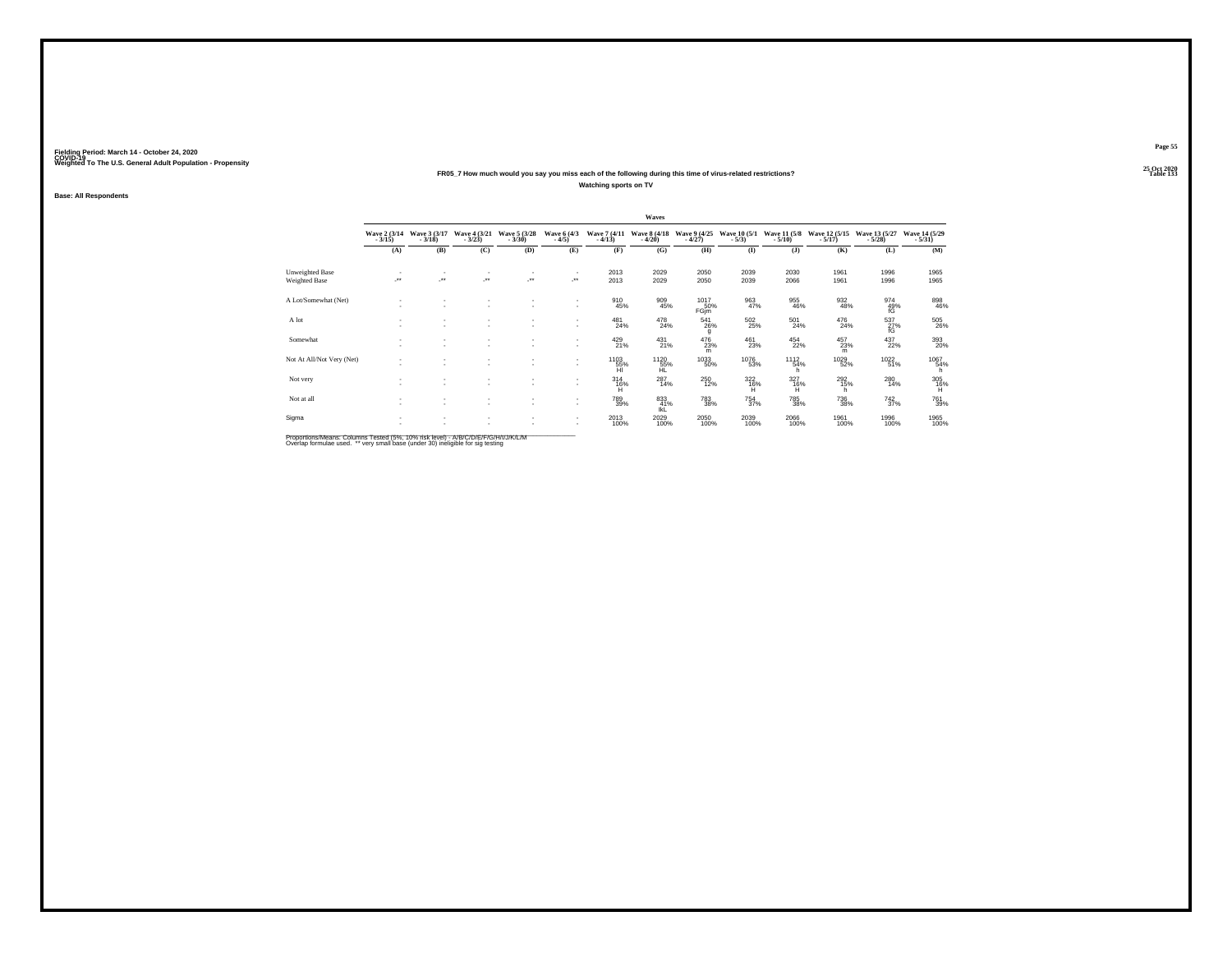#### **25 Oct 2020FR05\_7 How much would you say you miss each of the following during this time of virus-related restrictions?Watching sports on TV**

**Base: All Respondents**

|                           |                          |                          |                                                      |                          |                               |                          | Waves                    |                            |                          |                            |                            |                             |                           |
|---------------------------|--------------------------|--------------------------|------------------------------------------------------|--------------------------|-------------------------------|--------------------------|--------------------------|----------------------------|--------------------------|----------------------------|----------------------------|-----------------------------|---------------------------|
|                           | Wave 2 (3/14)<br>$-3/15$ | Wave 3 (3/17)<br>$-3/18$ | Wave 4 (3/21)<br>$-3/23$                             | Wave 5 (3/28)<br>$-3/30$ | Wave 6 (4/3)<br>$-4/5)$       | Wave 7 (4/11)<br>$-4/13$ | Wave 8 (4/18)<br>$-4/20$ | Wave 9 (4/25)<br>$-4/27$   | Wave 10 (5/1)<br>$-5/3$  | Wave 11 (5/8)<br>$-5/10$ ) | Wave 12 (5/15)<br>$-5/17)$ | Wave 13 (5/27)<br>$-5/28$ ) | Wave 14 (5/29)<br>$-5/31$ |
|                           | (A)                      | (B)                      | (C)                                                  | (D)                      | (E)                           | (F)                      | (G)                      | (H)                        | $($ I                    | $($ $)$                    | (K)                        | (L)                         | (M)                       |
| Unweighted Base           |                          |                          | $\mathbf{r}$                                         |                          | $\overline{\phantom{a}}$      | 2013                     | 2029                     | 2050                       | 2039                     | 2030                       | 1961                       | 1996                        | 1965                      |
| Weighted Base             | $\overline{\phantom{a}}$ | $\cdot$                  | $\cdot$                                              | J.                       | -**                           | 2013                     | 2029                     | 2050                       | 2039                     | 2066                       | 1961                       | 1996                        | 1965                      |
| A Lot/Somewhat (Net)      | ٠                        |                          | ۰<br>۰                                               |                          | ٠<br>٠                        | 910<br>45%               | 909<br>45%               | 1017<br>50%<br>FGjm        | 963<br>47%               | 955<br>46%                 | 932<br>48%                 | 974<br>49%<br>fG            | 898<br>46%                |
| A lot                     | ٠                        |                          | $\mathbf{r}$<br>$\sim$                               |                          | ٠<br>$\overline{\phantom{a}}$ | $^{481}_{24\%}$          | 478<br>24%               | $^{541}_{26\%}$<br>q       | $502_{25\%}$             | $^{501}_{24\%}$            | 476<br>24%                 | 537<br>27%<br>fG            | 505<br>26%                |
| Somewhat                  | ٠<br>٠                   | $\overline{\phantom{a}}$ | $\mathbf{r}$<br>$\overline{\phantom{a}}$             | ٠                        | ٠<br>$\overline{\phantom{a}}$ | 429<br>21%               | 431<br>21%               | 476<br>23%<br>m            | 461<br>23%               | 454<br>22%                 | 457<br>23%<br>m            | 437<br>22%                  | 393<br>20%                |
| Not At All/Not Very (Net) | ٠<br>٠                   | $\overline{\phantom{a}}$ | $\sim$                                               | ٠                        | ٠<br>$\overline{\phantom{a}}$ | 1103<br>55%<br>HI        | 1120<br>55%<br>HĹ        | <sup>1033</sup> 50%        | <sup>1076</sup> 53%      | $1112 \atop 54\%$<br>h.    | <sup>1029</sup> 52%        | 1022<br>51%                 | 1067<br>54%<br>h.         |
| Not very                  | ٠<br>$\sim$              | $\overline{\phantom{a}}$ | $\overline{\phantom{a}}$                             | ٠                        | ٠<br>$\overline{\phantom{a}}$ | $^{314}_{16\%}$          | $^{287}_{14\%}$          | 250<br>12%                 | $\frac{322}{16\%}$       | $\frac{327}{16\%}$         | $^{292}_{15\%}$            | $^{280}_{14\%}$             | $\frac{305}{16\%}$        |
| Not at all                | $\sim$<br>٠              | $\overline{\phantom{a}}$ | $\overline{\phantom{a}}$<br>$\overline{\phantom{a}}$ | ٠<br>٠                   | ٠<br>$\mathbf{r}$             | 789<br>39%               | 833<br>41%<br>IkL        | $^{783}_{\phantom{1}38\%}$ | $\substack{754 \\ 37\%}$ | 785<br>38%                 | 736<br>38%                 | $\frac{742}{37\%}$          | 761<br>39%                |
| Sigma                     | ٠                        |                          | $\overline{\phantom{a}}$                             | ٠                        | ٠<br>۰                        | 2013<br>100%             | 2029<br>100%             | 2050<br>100%               | 2039<br>100%             | 2066<br>100%               | 1961<br>100%               | 1996<br>100%                | 1965<br>100%              |

Proportions/Means: Columns Tested (5%, 10% risk level) - A/B/C/D/E/F/G/H/I/J/K/L/M<br>Overlap formulae used. \*\* very small base (under 30) ineligible for sig testing

**Page 55**25 Oct 2020<br>Table 133

**Table 133**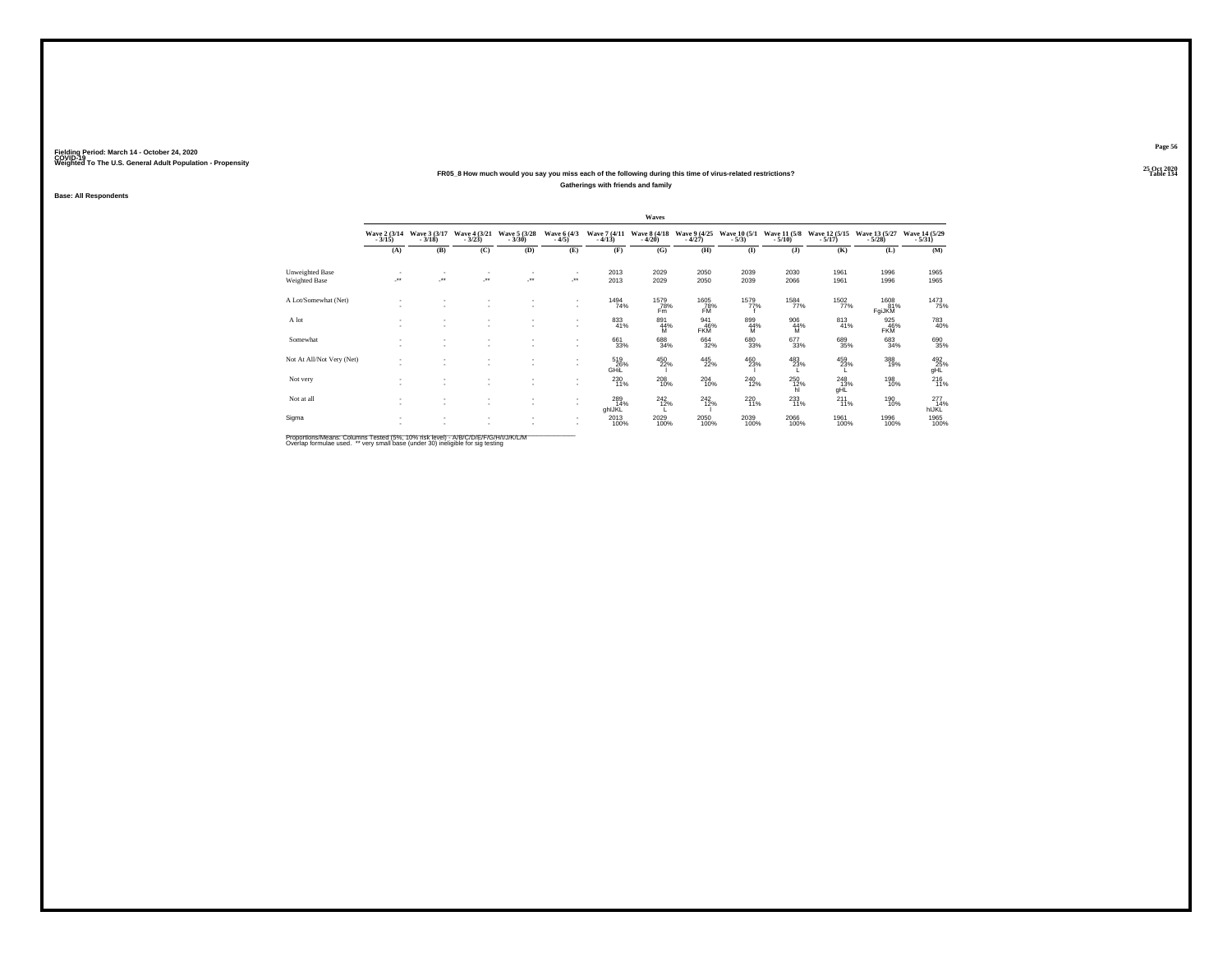#### **25 Oct 2020FR05\_8 How much would you say you miss each of the following during this time of virus-related restrictions?Gatherings with friends and family**

**Base: All Respondents**

|                           |                          |                                    |                          |                                    |                               |                          | Waves                    |                          |                               |                                             |                           |                           |                                 |
|---------------------------|--------------------------|------------------------------------|--------------------------|------------------------------------|-------------------------------|--------------------------|--------------------------|--------------------------|-------------------------------|---------------------------------------------|---------------------------|---------------------------|---------------------------------|
|                           | Wave 2 (3/14)<br>$-3/15$ | Wave 3 (3/17)<br>$-3/18$           | Wave 4 (3/21)<br>$-3/23$ | Wave 5 (3/28)<br>$-3/30$           | Wave 6 (4/3)<br>$-4/5)$       | Wave 7 (4/11)<br>$-4/13$ | Wave 8 (4/18)<br>$-4/20$ | Wave 9 (4/25)<br>$-4/27$ | Wave 10 (5/1)<br>$-5/3$       | Wave 11 (5/8)<br>$-5/10$                    | Wave 12 (5/15)<br>$-5/17$ | Wave 13 (5/27)<br>$-5/28$ | Wave 14 (5/29)<br>$-5/31$       |
|                           | (A)                      | (B)                                | (C)                      | (D)                                | (E)                           | (F)                      | (G)                      | (H)                      | $($ I                         | (1)                                         | (K)                       | (L)                       | (M)                             |
| Unweighted Base           | $\sim$                   |                                    | $\sim$                   | $\mathbf{r}$                       | $\overline{\phantom{a}}$      | 2013                     | 2029                     | 2050                     | 2039                          | 2030                                        | 1961                      | 1996                      | 1965                            |
| Weighted Base             | ×                        | ÷.                                 | ×                        | $\cdot$                            | $\cdot$                       | 2013                     | 2029                     | 2050                     | 2039                          | 2066                                        | 1961                      | 1996                      | 1965                            |
| A Lot/Somewhat (Net)      | ٠                        | $\sim$                             | ٠<br>٠                   |                                    | ٠<br>۰.                       | 1494<br>74%              | 1579<br>78%<br>Fm        | 1605<br>78%<br><b>FM</b> | 1579%                         | <sup>1584</sup> 77%                         | 1502                      | 1608<br>81%<br>FgiJKM     | 1473<br>75%                     |
| A lot                     | ٠                        | ٠                                  | ٠<br>٠                   |                                    | $\sim$                        | 833<br>41%               | 891<br>44%<br>M          | 941<br>46%<br><b>FKM</b> | 899<br>44%<br>M               | $^{906}_{\hphantom{1}44\%}_{\hphantom{1}M}$ | $\substack{813 \\ 41\%}$  | $^{925}_{46\%}$ FKM       | 783<br>40%                      |
| Somewhat                  | $\sim$                   | ٠<br>$\overline{\phantom{a}}$      | ٠<br>$\sim$              | $\sim$                             | ٠                             | 661<br>33%               | 688<br>34%               | 664<br>32%               | 680<br>33%                    | 677<br>33%                                  | 689<br>35%                | 683<br>34%                | 690<br>35%                      |
| Not At All/Not Very (Net) | . .                      | $\overline{\phantom{a}}$           | ٠<br>٠                   | $\sim$                             | ٠<br>۰.                       | 519<br>26%<br>GHIL       | 450<br>22%               | $\frac{445}{22\%}$       | $^{460}_{23\%}$               | 483<br>23%                                  | 459<br>23%                | 388<br>19%                | 492<br>25%<br>gHL               |
| Not very                  |                          | $\overline{\phantom{a}}$           | ٠<br>٠                   | $\sim$                             | ۰.                            | 230<br>11%               | $^{208}_{10\%}$          | $^{204}_{10\%}$          | <sup>240</sup> <sub>12%</sub> | $^{250}_{12\%}$ hl                          | 248<br>13%<br>gHL         | 198<br>10%                | $^{216}_{11\%}$                 |
| Not at all                | <b>1999</b><br><b>A</b>  | $\sim$<br>$\overline{\phantom{a}}$ | $\sim$<br>$\sim$         | $\sim$<br>$\overline{\phantom{a}}$ | ۰.<br>۰.                      | 289<br>14%<br>ghlJKL     | 242<br>12%               | 242<br>12%               | 220<br>11%                    | $^{233}_{11\%}$                             | 211<br>11%                | 190<br>10%                | $^{277}_{14\%}$<br><b>hIJKL</b> |
| Sigma                     | ٠                        | $\sim$                             | ٠                        |                                    | $\overline{\phantom{a}}$<br>٠ | 2013<br>100%             | 2029<br>100%             | 2050<br>100%             | 2039<br>100%                  | 2066<br>100%                                | 1961<br>100%              | 1996<br>100%              | 1965<br>100%                    |

Proportions/Means: Columns Tested (5%, 10% risk level) - A/B/C/D/E/F/G/H/I/J/K/L/M<br>Overlap formulae used. \*\* very small base (under 30) ineligible for sig testing

**Page 56**25 Oct 2020<br>Table 134

**Particular Table 134**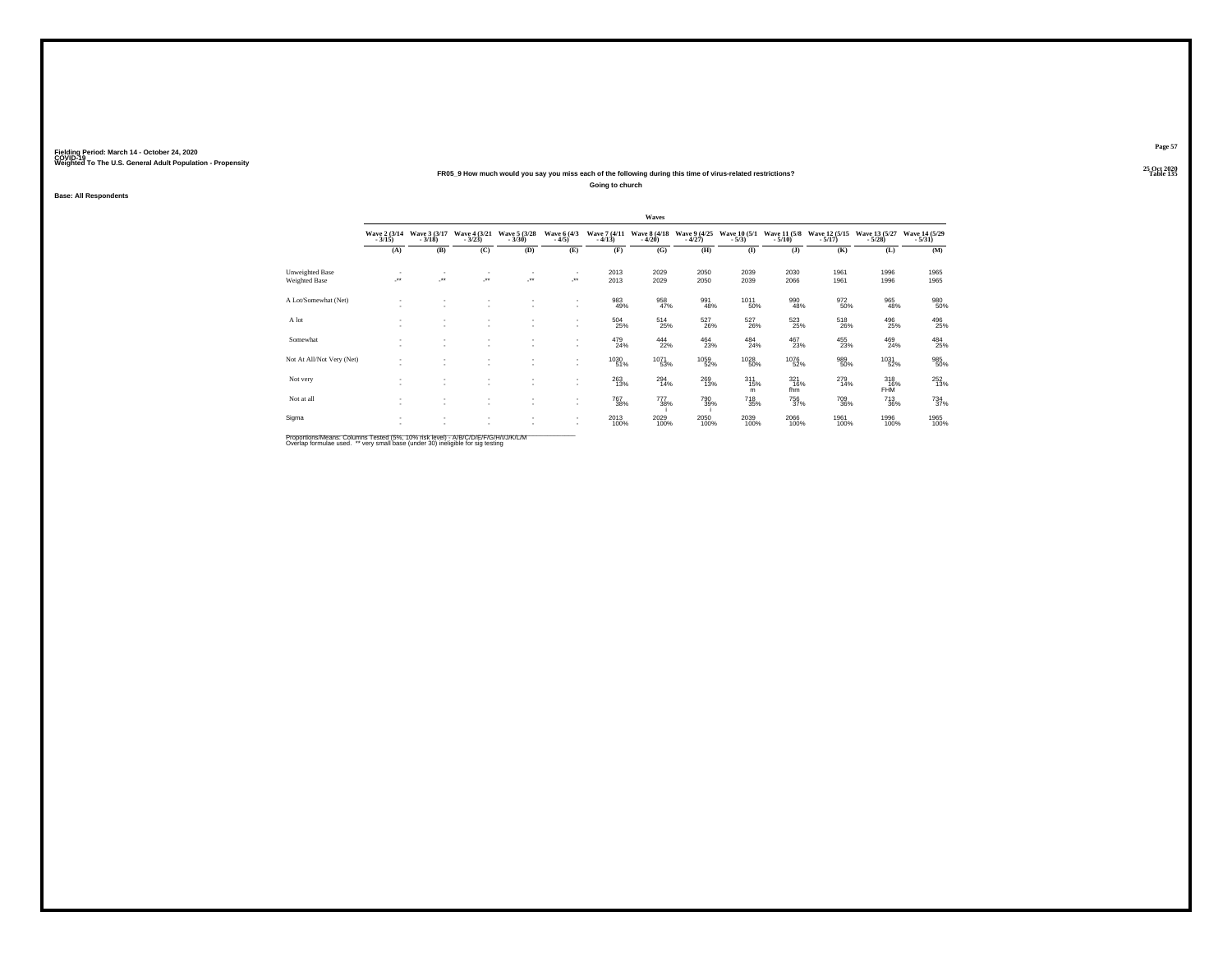#### **25 Oct 2020FR05\_9 How much would you say you miss each of the following during this time of virus-related restrictions?**

**Going to church**

**Base: All Respondents**

|                                  |                            |                          |                            |                          |                         |                                       | Waves                    |                          |                                |                            |                             |                               |                           |
|----------------------------------|----------------------------|--------------------------|----------------------------|--------------------------|-------------------------|---------------------------------------|--------------------------|--------------------------|--------------------------------|----------------------------|-----------------------------|-------------------------------|---------------------------|
|                                  | Wave 2 (3/14)<br>$-3/15$ ) | Wave 3 (3/17)<br>$-3/18$ | Wave 4 (3/21)<br>$-3/23$ ) | Wave 5 (3/28)<br>$-3/30$ | Wave 6 (4/3)<br>$-4/5)$ | Wave 7 (4/11)<br>$-4/13$              | Wave 8 (4/18)<br>$-4/20$ | Wave 9 (4/25)<br>$-4/27$ | <b>Wave 10 (5/1)</b><br>$-5/3$ | Wave 11 (5/8)<br>$-5/10$ ) | Wave 12 (5/15)<br>$-5/17$ ) | Wave 13 (5/27)<br>$-5/28$ )   | Wave 14 (5/29)<br>$-5/31$ |
|                                  | (A)                        | (B)                      | (C)                        | (D)                      | (E)                     | (F)                                   | (G)                      | (H)                      | $($ I                          | $($ $)$                    | (K)                         | (L)                           | (M)                       |
| Unweighted Base<br>Weighted Base | $\mathcal{F}^{\bullet}$    | ÷.                       | $\mathcal{F}^{\bullet}$    | J.                       | $\sim$<br>              | 2013<br>2013                          | 2029<br>2029             | 2050<br>2050             | 2039<br>2039                   | 2030<br>2066               | 1961<br>1961                | 1996<br>1996                  | 1965<br>1965              |
| A Lot/Somewhat (Net)             |                            |                          |                            |                          | $\sim$<br>$\sim$        | 983<br>49%                            | 958<br>47%               | 991<br>48%               | <sup>1011</sup> 50%            | 990<br>48%                 | 972<br>50%                  | 965<br>48%                    | 980<br>50%                |
| A lot                            |                            |                          |                            |                          | $\mathbf{r}$            | $^{504}_{\phantom{1}\phantom{1}25\%}$ | $^{514}_{25\%}$          | 527<br>26%               | 527<br>26%                     | 523<br>25%                 | 518<br>26%                  | 496<br>25%                    | 496<br>25%                |
| Somewhat                         |                            |                          |                            |                          | $\sim$                  | 479<br>24%                            | 444<br>22%               | $\frac{464}{23\%}$       | $^{484}_{24\%}$                | 467<br>23%                 | 455<br>23%                  | 469<br>24%                    | 484<br>25%                |
| Not At All/Not Very (Net)        |                            |                          |                            |                          | ۰.<br>$\sim$            | 1030<br>51%                           | 1071<br>53%              | 1059<br>52%              | <sup>1028</sup> 50%            | <sup>1076</sup> 52%        | 989<br>50%                  | 1031<br>52%                   | 985<br>50%                |
| Not very                         |                            |                          |                            |                          | $\sim$<br>$\mathbf{r}$  | 263<br>13%                            | $^{294}_{14\%}$          | 269<br>13%               | $^{311}_{15\%}$<br>m           | $\frac{321}{16\%}$<br>fhm  | 279<br>14%                  | $318$<br>$16\%$<br><b>FHM</b> | 252<br>13%                |
| Not at all                       |                            |                          |                            |                          | ۰.<br>$\sim$            | 767<br>38%                            | 777<br>38%               | 790<br>39%               | 718<br>35%                     | 756<br>37%                 | 709<br>36%                  | 713<br>36%                    | 734<br>37%                |
| Sigma                            |                            |                          |                            |                          | $\sim$<br>$\sim$        | 2013<br>100%                          | 2029<br>100%             | 2050<br>100%             | 2039<br>100%                   | 2066<br>100%               | 1961<br>100%                | 1996<br>100%                  | 1965<br>100%              |
|                                  |                            |                          |                            |                          |                         |                                       |                          |                          |                                |                            |                             |                               |                           |

Proportions/Means: Columns Tested (5%, 10% risk level) - A/B/C/D/E/F/G/H/I/J/K/L/M<br>Overlap formulae used. \*\* very small base (under 30) ineligible for sig testing

**Page 57**25 Oct 2020<br>Table 135

**Particular Table 135 Table 135**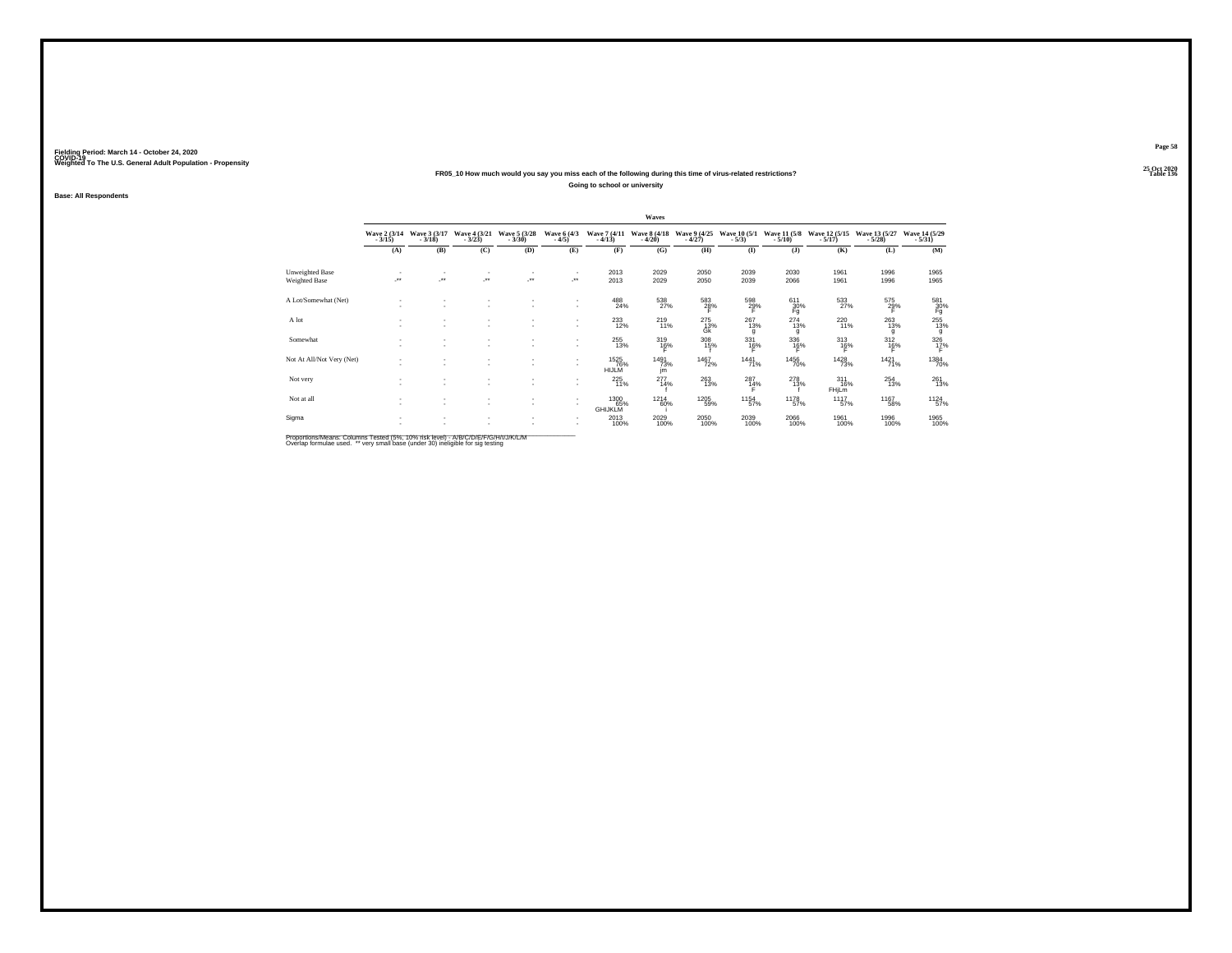#### **25 Oct 2020FR05\_10 How much would you say you miss each of the following during this time of virus-related restrictions?Going to school or university**

**Base: All Respondents**

|                           |                          |                          |                               |                              |                            |                             | Waves                    |                          |                         |                          |                                 |                           |                           |
|---------------------------|--------------------------|--------------------------|-------------------------------|------------------------------|----------------------------|-----------------------------|--------------------------|--------------------------|-------------------------|--------------------------|---------------------------------|---------------------------|---------------------------|
|                           | Wave 2 (3/14)<br>$-3/15$ | Wave 3 (3/17)<br>$-3/18$ | Wave 4 (3/21)<br>$-3/23$      | Wave 5 (3/28)<br>$-3/30$     | Wave 6 (4/3)<br>$-4/5)$    | Wave 7 (4/11)<br>$-4/13$    | Wave 8 (4/18)<br>$-4/20$ | Wave 9 (4/25)<br>$-4/27$ | Wave 10 (5/1)<br>$-5/3$ | Wave 11 (5/8)<br>$-5/10$ | Wave 12 (5/15)<br>$-5/17$       | Wave 13 (5/27)<br>$-5/28$ | Wave 14 (5/29)<br>$-5/31$ |
|                           | (A)                      | (B)                      | (C)                           | (D)                          | (E)                        | (F)                         | (G)                      | (H)                      | $\mathbf{I}$            | $($ $)$                  | (K)                             | (L)                       | (M)                       |
| Unweighted Base           | $\overline{\phantom{a}}$ | $\cdot$                  | ٠<br>×                        | $\overline{\phantom{a}}$<br> | $\mathcal{L}^{\text{max}}$ | 2013                        | 2029                     | 2050                     | 2039                    | 2030                     | 1961                            | 1996                      | 1965                      |
| Weighted Base             |                          |                          |                               |                              |                            | 2013                        | 2029                     | 2050                     | 2039                    | 2066                     | 1961                            | 1996                      | 1965                      |
| A Lot/Somewhat (Net)      |                          |                          | $\sim$<br>$\sim$              | $\sim$                       | $\sim$<br>$\mathbf{r}$     | 488<br>24%                  | 538<br>27%               | $\frac{583}{28}\%$       | $^{598}_{29\%}$<br>F    | $611 \over 30\%$<br>Fg   | 533                             | 575<br>29%                | $\frac{581}{30\%}$ Fg     |
| A lot                     |                          |                          | ٠<br>$\overline{\phantom{a}}$ | $\overline{\phantom{a}}$     | $\mathbf{r}$               | $^{233}_{12\%}$             | $^{219}_{11\%}$          | $^{275}_{13\%}$<br>Ġĸ    | $^{267}_{13\%}$<br>g    | $^{274}_{13\%}$<br>g     | 22018                           | $^{263}_{13\%}$<br>g      | 255<br>13%<br>g           |
| Somewhat                  | $\sim$                   | $\overline{\phantom{a}}$ | ٠<br>۰                        | $\sim$                       | $\mathbf{r}$               | 255<br>13%                  | 319<br>16%               | 308<br>15%               | 331<br>$^{16\%}$        | 336<br>16%               | 313<br>16%                      | 312<br>16%                | $\frac{326}{12}\%$        |
| Not At All/Not Very (Net) |                          | $\overline{\phantom{a}}$ | $\overline{\phantom{a}}$      | $\sim$                       | $\mathbf{r}$               | 1525<br>76%<br><b>HIJLM</b> | 1491<br>73%<br>jm        | 1467<br>72%              | 1441<br>71%             | <sup>1456</sup> 70%      | 1428<br>73%                     | $1421$ <sub>71%</sub>     | <sup>1384</sup> 70%       |
| Not very                  |                          |                          | ٠<br>$\sim$                   | $\sim$                       | $\mathbf{r}$               | 225<br>11%                  | $^{277}_{14\%}$          | $^{263}_{13\%}$          | $^{287}_{14\%}$         | $^{278}_{13\%}$          | $^{311}_{16\%}$<br><b>FHiLm</b> | $^{254}_{13\%}$           | $^{261}_{13\%}$           |
| Not at all                | $\sim$<br>$\sim$         | $\overline{\phantom{a}}$ | ۰<br>۰                        | $\sim$<br>$\sim$             | $\mathbf{r}$               | 1300<br>GHIJKLM             | 1214<br>60%              | 1205<br>59%              | 1154<br>57%             | 1178<br>57%              | 1117<br>57%                     | 1167<br>58%               | 1124<br>57%               |
| Sigma                     |                          |                          | $\sim$                        |                              |                            | 2013<br>100%                | 2029<br>100%             | 2050<br>100%             | 2039<br>100%            | 2066<br>100%             | 1961<br>100%                    | 1996<br>100%              | 1965<br>100%              |

Proportions/Means: Columns Tested (5%, 10% risk level) - A/B/C/D/E/F/G/H/I/J/K/L/M<br>Overlap formulae used. \*\* very small base (under 30) ineligible for sig testing

**Page 58**25 Oct 2020<br>Table 136

**Table 136 Table 136**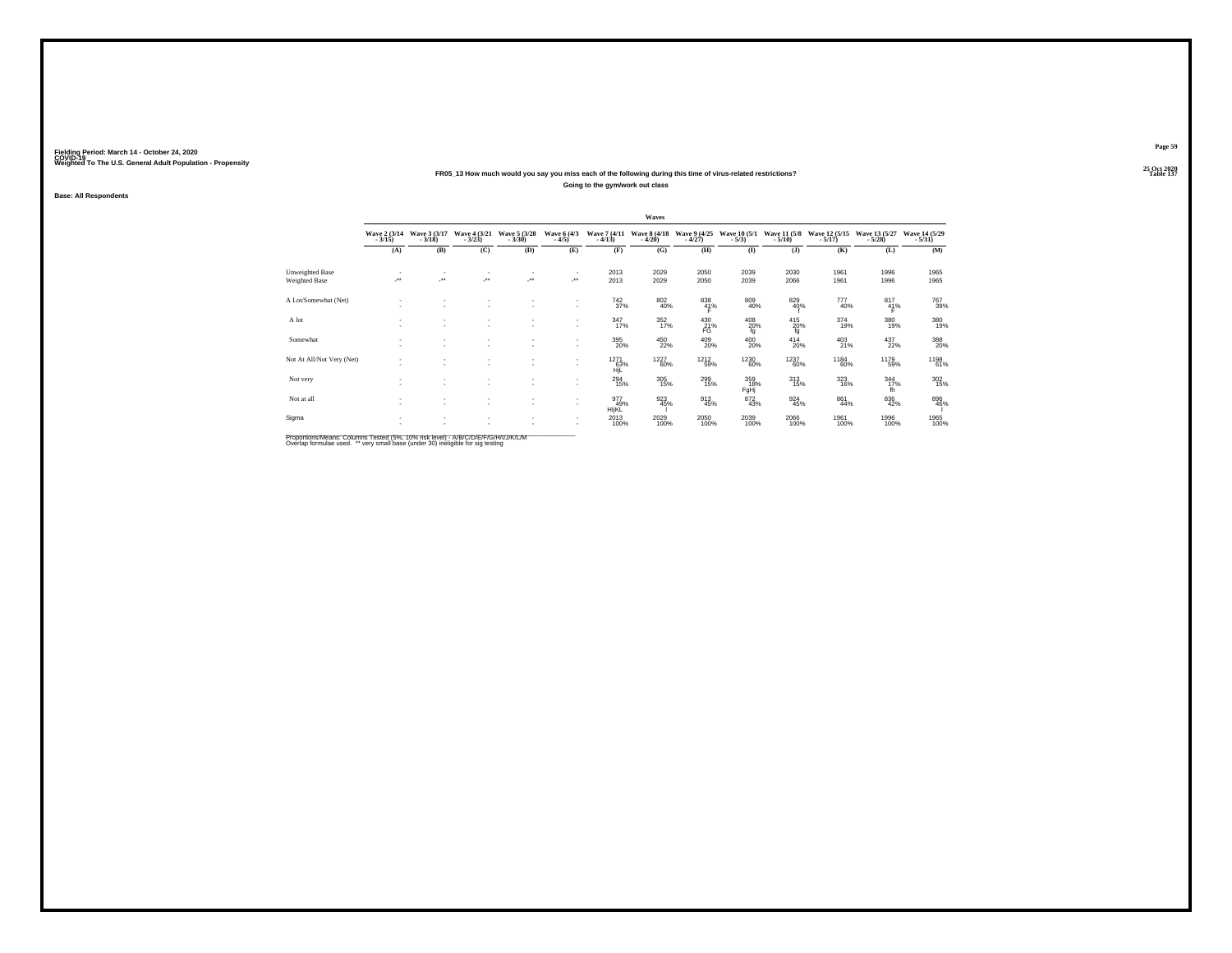#### **25 Oct 2020FR05\_13 How much would you say you miss each of the following during this time of virus-related restrictions?Going to the gym/work out class**

**Base: All Respondents**

|                                  |                          |                               |                                   |                          |                                     |                               | Waves                    |                          |                                  |                                  |                            |                           |                           |
|----------------------------------|--------------------------|-------------------------------|-----------------------------------|--------------------------|-------------------------------------|-------------------------------|--------------------------|--------------------------|----------------------------------|----------------------------------|----------------------------|---------------------------|---------------------------|
|                                  | Wave 2 (3/14)<br>$-3/15$ | Wave 3 (3/17)<br>$-3/18$      | Wave 4 (3/21)<br>$-3/23$          | Wave 5 (3/28)<br>$-3/30$ | Wave 6 (4/3)<br>$-4/5)$             | Wave 7 (4/11)<br>$-4/13$      | Wave 8 (4/18)<br>$-4/20$ | Wave 9 (4/25)<br>$-4/27$ | Wave 10 (5/1)<br>$-5/3$          | Wave 11 (5/8)<br>$-5/10$         | Wave 12 (5/15)<br>$-5/17)$ | Wave 13 (5/27)<br>$-5/28$ | Wave 14 (5/29)<br>$-5/31$ |
|                                  | (A)                      | (B)                           | (C)                               | (D)                      | (E)                                 | (F)                           | (G)                      | (H)                      | $($ I                            | (1)                              | (K)                        | (L)                       | (M)                       |
| Unweighted Base<br>Weighted Base | ×                        | ÷.                            | $\sim$<br>$\mathcal{F}^{\bullet}$ | $\mathbf{r}$<br>$\cdot$  | $\overline{\phantom{a}}$<br>$\cdot$ | 2013<br>2013                  | 2029<br>2029             | 2050<br>2050             | 2039<br>2039                     | 2030<br>2066                     | 1961<br>1961               | 1996<br>1996              | 1965<br>1965              |
| A Lot/Somewhat (Net)             | ٠                        | $\sim$                        | ٠<br>٠                            |                          | ٠<br>۰.                             | <sup>742</sup> <sub>37%</sub> | $\substack{802 \\ 40\%}$ | $\frac{838}{41\%}$       | 809<br>40%                       | 829<br>40%                       | 777<br>40%                 | $\frac{817}{41%}$         | 767<br>39%                |
| A lot                            | ٠                        | ٠                             | ٠<br>٠                            |                          | ٠<br>$\overline{\phantom{a}}$       | $\frac{347}{17\%}$            | 352<br>17%               | $^{430}_{21\%}$          | $^{408}_{\, \, 20\%}_{\, \, fg}$ | $^{415}_{\substack{20\% \ f g}}$ | 374<br>19%                 | 380<br>19%                | 380<br>19%                |
| Somewhat                         | <b>1979</b>              | ٠<br>$\overline{\phantom{a}}$ | ٠<br>$\sim$                       | $\sim$                   | ٠                                   | 395<br>20%                    | 450<br>22%               | $^{409}_{20\%}$          | 400<br>20%                       | 414<br>20%                       | $^{403}_{21\%}$            | 437<br>22%                | 388<br>20%                |
| Not At All/Not Very (Net)        | <b>1979</b>              | $\overline{\phantom{a}}$      | ٠<br>٠                            | $\sim$                   | ٠<br>$\mathbf{r}$                   | 1271<br>63%<br>HiL            | 1227<br>60%              | <sup>1212</sup> 59%      | <sup>1230</sup> 60%              | <sup>1237</sup> 60%              | <sup>1184</sup> 60%        | 1179<br>59%               | 1198<br>61%               |
| Not very                         |                          | $\overline{\phantom{a}}$      | ٠<br>$\sim$                       | $\sim$                   | $\mathbf{r}$                        | $^{294}_{15\%}$               | $\frac{305}{15\%}$       | 299<br>15%               | 359<br>18%<br>FgHj               | $^{313}_{15\%}$                  | 323<br>16%                 | $\frac{344}{17}\%$<br>fh  | $\frac{302}{15\%}$        |
| Not at all                       | <b>A</b><br><b>1979</b>  | ۰<br>$\overline{\phantom{a}}$ | $\sim$<br>$\sim$                  | $\sim$<br>$\sim$         | ٠<br>$\mathbf{r}$                   | 977<br>49%<br>HIJKL           | 923<br>45%               | $\frac{913}{45\%}$       | 872<br>43%                       | 924<br>45%                       | 861<br>44%                 | $\substack{836 \\ 42\%}$  | 896<br>46%                |
| Sigma                            | ٠                        | $\sim$                        | ٠                                 |                          | $\overline{\phantom{a}}$<br>٠       | 2013<br>100%                  | 2029<br>100%             | 2050<br>100%             | 2039<br>100%                     | 2066<br>100%                     | 1961<br>100%               | 1996<br>100%              | 1965<br>100%              |

Proportions/Means: Columns Tested (5%, 10% risk level) - A/B/C/D/E/F/G/H/I/J/K/L/M<br>Overlap formulae used. \*\* very small base (under 30) ineligible for sig testing

**Page 59**25 Oct 2020<br>Table 137

**Table 137 Table 137**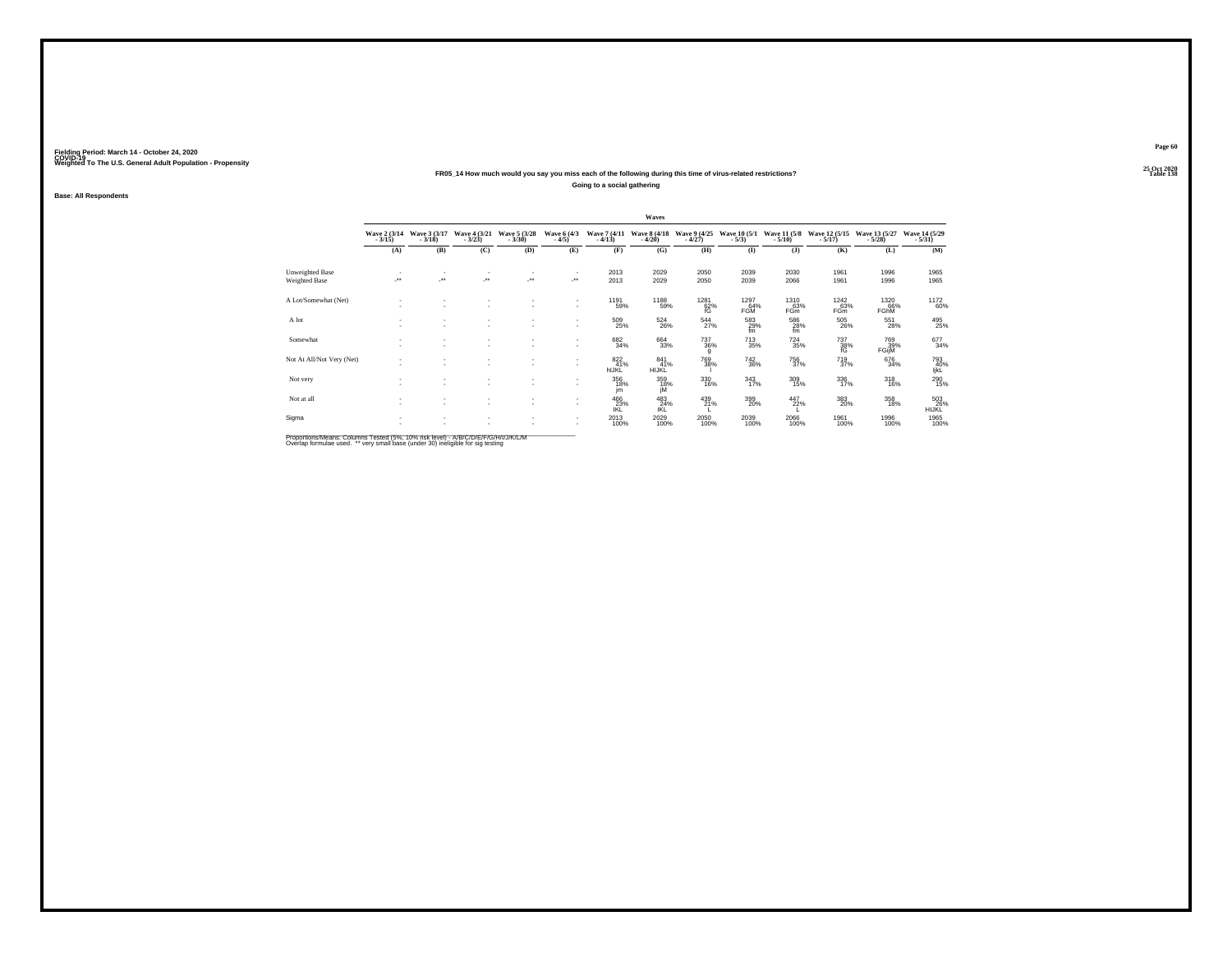#### **25 Oct 2020FR05\_14 How much would you say you miss each of the following during this time of virus-related restrictions?Going to a social gathering**

**Base: All Respondents**

|                           |                          |                              |                               |                          |                              |                                         | Waves                      |                           |                                           |                                        |                                |                           |                           |
|---------------------------|--------------------------|------------------------------|-------------------------------|--------------------------|------------------------------|-----------------------------------------|----------------------------|---------------------------|-------------------------------------------|----------------------------------------|--------------------------------|---------------------------|---------------------------|
|                           | Wave 2 (3/14)<br>$-3/15$ | Wave 3 (3/17)<br>$-3/18$     | Wave 4 (3/21)<br>$-3/23$      | Wave 5 (3/28)<br>$-3/30$ | Wave 6 (4/3)<br>$-4/5)$      | Wave 7 (4/11)<br>$-4/13$                | Wave 8 (4/18)<br>$-4/20$   | Wave 9 (4/25)<br>$-4/27$  | Wave 10 (5/1)<br>$-5/3)$                  | Wave 11 (5/8)<br>$-5/10$ )             | Wave 12 (5/15)<br>$-5/17$ )    | Wave 13 (5/27)<br>$-5/28$ | Wave 14 (5/29)<br>$-5/31$ |
|                           | (A)                      | (B)                          | (C)                           | (D)                      | (E)                          | (F)                                     | (G)                        | (H)                       | $($ I                                     | $($ $\bf{J}$                           | (K)                            | (L)                       | (M)                       |
| Unweighted Base           | ٠<br>×                   | $\sim$<br>J.                 | $\mathbf{r}$<br>J.            | ٠<br>J.                  | $\cdot$                      | 2013<br>2013                            | 2029                       | 2050                      | 2039                                      | 2030                                   | 1961                           | 1996                      | 1965                      |
| Weighted Base             |                          |                              |                               |                          |                              |                                         | 2029                       | 2050                      | 2039                                      | 2066                                   | 1961                           | 1996                      | 1965                      |
| A Lot/Somewhat (Net)      | $\sim$<br>٠              | ۰                            | $\sim$                        | ٠<br>٠                   | $\mathbf{r}$<br>$\mathbf{r}$ | 1191<br>59%                             | 1188<br>59%                | <sup>1281</sup> 62%<br>fG | 1297<br>64%<br><b>FGM</b>                 | 1310<br>63%<br>FG <sub>m</sub>         | 1242<br>63%<br>FG <sub>m</sub> | 1320<br>66%<br>FGhM       | <sup>1172</sup> 60%       |
| A lot                     | ٠                        | $\overline{\phantom{a}}$     | ۰<br>$\overline{\phantom{a}}$ | ٠<br>٠                   | $\sim$                       | 509<br>25%                              | $^{524}_{26\%}$            | $\frac{544}{27\%}$        | $^{583}_{\substack{29\%\\\mathfrak{fm}}}$ | $^{586}_{\substack{28\% \ \text{fm}}}$ | 505<br>26%                     | 551<br>28%                | 495<br>25%                |
| Somewhat                  | ٠<br>$\sim$              | $\overline{\phantom{a}}$     | ٠<br>$\sim$                   | ٠<br>$\sim$              | $\mathbf{r}$<br>$\mathbf{r}$ | 682<br>34%                              | 664<br>33%                 | 737<br>36%<br>g           | 713<br>35%                                | 724<br>35%                             | 737<br>38%                     | 769<br>39%<br>FGijM       | 677<br>34%                |
| Not At All/Not Very (Net) | $\sim$<br>$\sim$         | $\mathbf{r}$                 | $\sim$                        | $\overline{\phantom{a}}$ | $\sim$<br>$\mathbf{r}$       | $\frac{822}{41\%}$<br>hIJKL             | 841<br>41%<br><b>HIJKL</b> | <sup>769</sup> 38%        | $\substack{742\\36\%}$                    | <sup>756</sup> 37%                     | <sup>719</sup> <sub>37%</sub>  | 676<br>34%                | 793<br>40%<br>ljkL        |
| Not very                  | ٠<br>٠                   |                              | ٠<br>$\sim$                   | ٠                        | $\mathbf{r}$                 | 356<br>18%<br>jm                        | 359<br>18%<br>jÑ           | $\frac{330}{16\%}$        | $\frac{343}{17\%}$                        | $^{309}_{15\%}$                        | 336<br>17%                     | $^{318}_{16\%}$           | $^{290}_{15\%}$           |
| Not at all                | $\sim$<br>$\sim$         | $\mathbf{r}$<br>$\mathbf{r}$ | ۰<br>۰                        | ٠<br>$\sim$              | $\sim$<br>$\mathbf{r}$       | $^{466}_{\phantom{1}23\%}_{\text{IKL}}$ | 483<br>R <sup>24%</sup>    | 439<br>21%                | 399<br>20%                                | 447<br>22%                             | 383<br>20%                     | 358<br>18%                | 503<br>26%<br>HIJKL       |
| Sigma                     | $\sim$<br>٠              | $\mathbf{r}$                 | ۰                             | ٠<br>٠                   |                              | 2013<br>100%                            | 2029<br>100%               | 2050<br>100%              | 2039<br>100%                              | 2066<br>100%                           | 1961<br>100%                   | 1996<br>100%              | 1965<br>100%              |

Proportions/Means: Columns Tested (5%, 10% risk level) - A/B/C/D/E/F/G/H/I/J/K/L/M<br>Overlap formulae used. \*\* very small base (under 30) ineligible for sig testing

**Page 60**25 Oct 2020<br>Table 138

**Table 138 Table 138**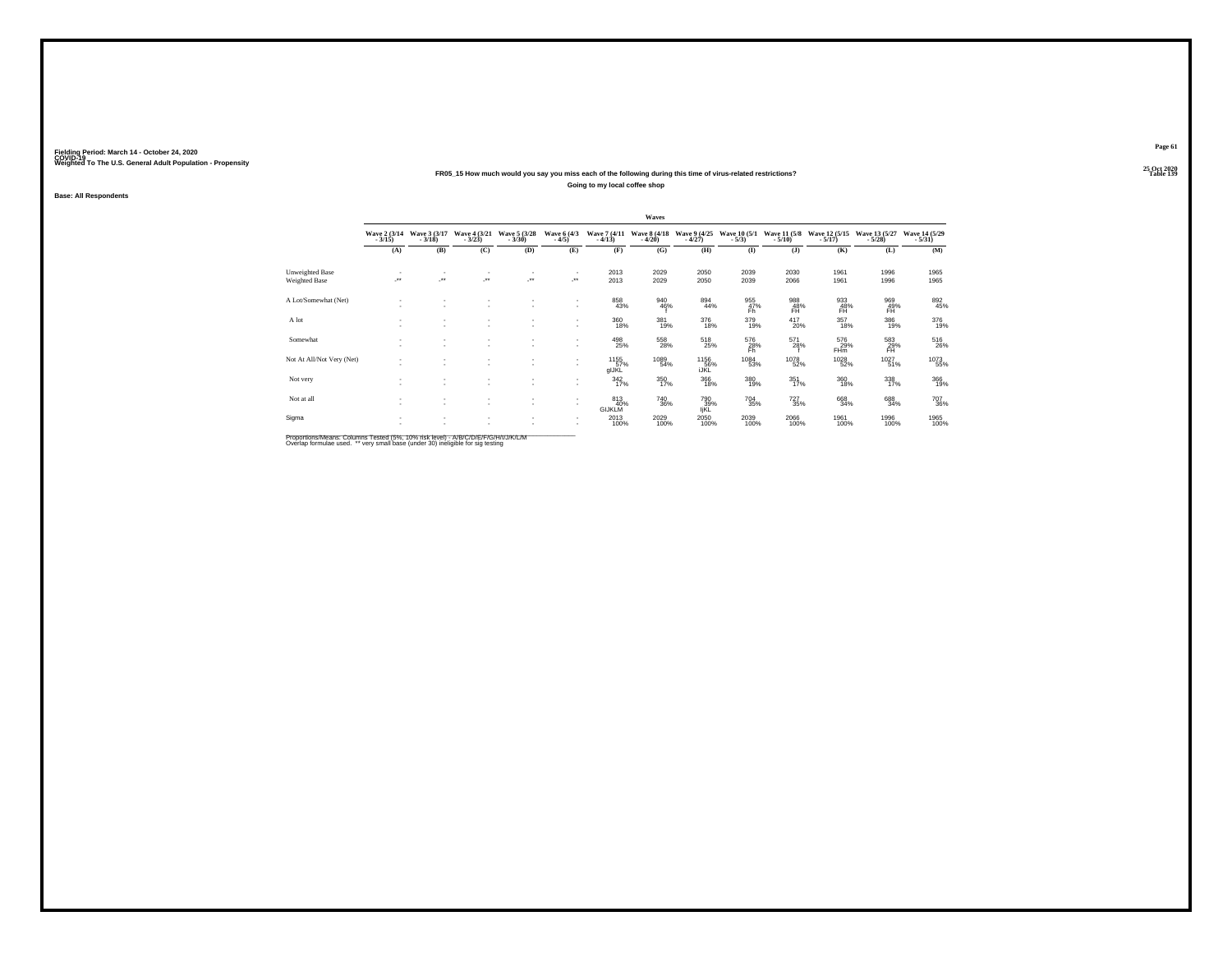#### **25 Oct 2020FR05\_15 How much would you say you miss each of the following during this time of virus-related restrictions?Going to my local coffee shop**

**Base: All Respondents**

|                                  |                          |                                |                               |                          |                              |                             | Waves                    |                          |                          |                              |                               |                           |                                       |
|----------------------------------|--------------------------|--------------------------------|-------------------------------|--------------------------|------------------------------|-----------------------------|--------------------------|--------------------------|--------------------------|------------------------------|-------------------------------|---------------------------|---------------------------------------|
|                                  | Wave 2 (3/14)<br>$-3/15$ | Wave 3 (3/17)<br>$-3/18$       | Wave 4 (3/21)<br>$-3/23$      | Wave 5 (3/28)<br>$-3/30$ | Wave 6 (4/3)<br>$-4/5)$      | Wave 7 (4/11)<br>$-4/13$    | Wave 8 (4/18)<br>$-4/20$ | Wave 9 (4/25)<br>$-4/27$ | Wave 10 (5/1)<br>$-5/3)$ | Wave 11 (5/8)<br>$-5/10$ )   | Wave 12 (5/15)<br>$-5/17$ )   | Wave 13 (5/27)<br>$-5/28$ | Wave 14 (5/29)<br>$-5/31$             |
|                                  | (A)                      | (B)                            | (C)                           | (D)                      | (E)                          | (F)                         | (G)                      | (H)                      | $($ I                    | $($ $\bf{J}$                 | (K)                           | (L)                       | (M)                                   |
| Unweighted Base<br>Weighted Base | ٠<br>×                   | $\overline{\phantom{a}}$<br>J. | $\mathbf{r}$<br>J.            | ٠<br>J.                  | $\cdot$                      | 2013<br>2013                | 2029<br>2029             | 2050<br>2050             | 2039<br>2039             | 2030<br>2066                 | 1961<br>1961                  | 1996<br>1996              | 1965<br>1965                          |
| A Lot/Somewhat (Net)             | $\sim$<br>٠              | ۰<br>$\sim$                    | $\sim$                        | ٠<br>٠                   | $\mathbf{r}$<br>$\sim$       | 858<br>43%                  | 940<br>46%               | $\substack{894 \\ 44\%}$ | 955<br>47%<br>Fh         | 988<br>48%<br>FH <sup></sup> | 933<br>48%<br><b>FH</b>       | 969%<br>FH.               | 892<br>45%                            |
| A lot                            | $\sim$                   | $\overline{\phantom{a}}$       | ۰<br>$\overline{\phantom{a}}$ | ٠<br>٠                   | $\sim$                       | 360<br>18%                  | 381<br>19%               | $\frac{376}{18\%}$       | 379<br>19%               | $^{417}_{20\%}$              | $357 \over 18\%$              | 386<br>19%                | 376<br>19%                            |
| Somewhat                         | ٠<br>$\sim$              | $\mathbf{r}$                   | ٠<br>$\sim$                   | ٠<br>$\sim$              | $\mathbf{r}$<br>$\mathbf{r}$ | 498<br>25%                  | 558<br>28%               | 518<br>25%               | 576<br>28%               | 571<br>28%                   | 576<br>29%<br>FH <sub>m</sub> | 583<br>29%                | $^{516}_{\phantom{1}\phantom{1}26\%}$ |
| Not At All/Not Very (Net)        | $\sim$<br>$\sim$         | $\mathbf{r}$                   | $\sim$                        | ٠                        | $\sim$<br>$\sim$             | 1155<br>57%<br>gIJKL        | 1089<br>54%              | 1156%<br><b>IJKL</b>     | 1084<br>53%              | <sup>1078</sup> 52%          | <sup>1028</sup> 52%           | $1027$ <sub>51%</sub>     | <sup>1073</sup> 55%                   |
| Not very                         | ٠<br>٠                   |                                | ٠<br>$\overline{\phantom{a}}$ | ٠                        | $\mathbf{r}$                 | $\frac{342}{17\%}$          | 350<br>17%               | $^{366}_{18\%}$          | 380<br>19%               | $351$<br>$17%$               | 360<br>18%                    | 338<br>17%                | 366<br>19%                            |
| Not at all                       | $\sim$<br>$\sim$         | $\mathbf{r}$<br>$\mathbf{r}$   | ۰<br>$\overline{\phantom{a}}$ | ٠<br>$\sim$              | $\mathbf{r}$<br>$\mathbf{r}$ | 813<br>40%<br><b>GIJKLM</b> | 740<br>36%               | 790<br>39%<br>IjKL       | $\substack{704 \\ 35\%}$ | $^{727}_{35\%}$              | 668<br>34%                    | 688<br>34%                | 707<br>36%                            |
| Sigma                            | $\sim$<br>٠              | $\mathbf{r}$                   | ۰                             | ٠                        |                              | 2013<br>100%                | 2029<br>100%             | 2050<br>100%             | 2039<br>100%             | 2066<br>100%                 | 1961<br>100%                  | 1996<br>100%              | 1965<br>100%                          |

Proportions/Means: Columns Tested (5%, 10% risk level) - A/B/C/D/E/F/G/H/I/J/K/L/M<br>Overlap formulae used. \*\* very small base (under 30) ineligible for sig testing

**Page 61**25 Oct 2020<br>Table 139

**Table 139**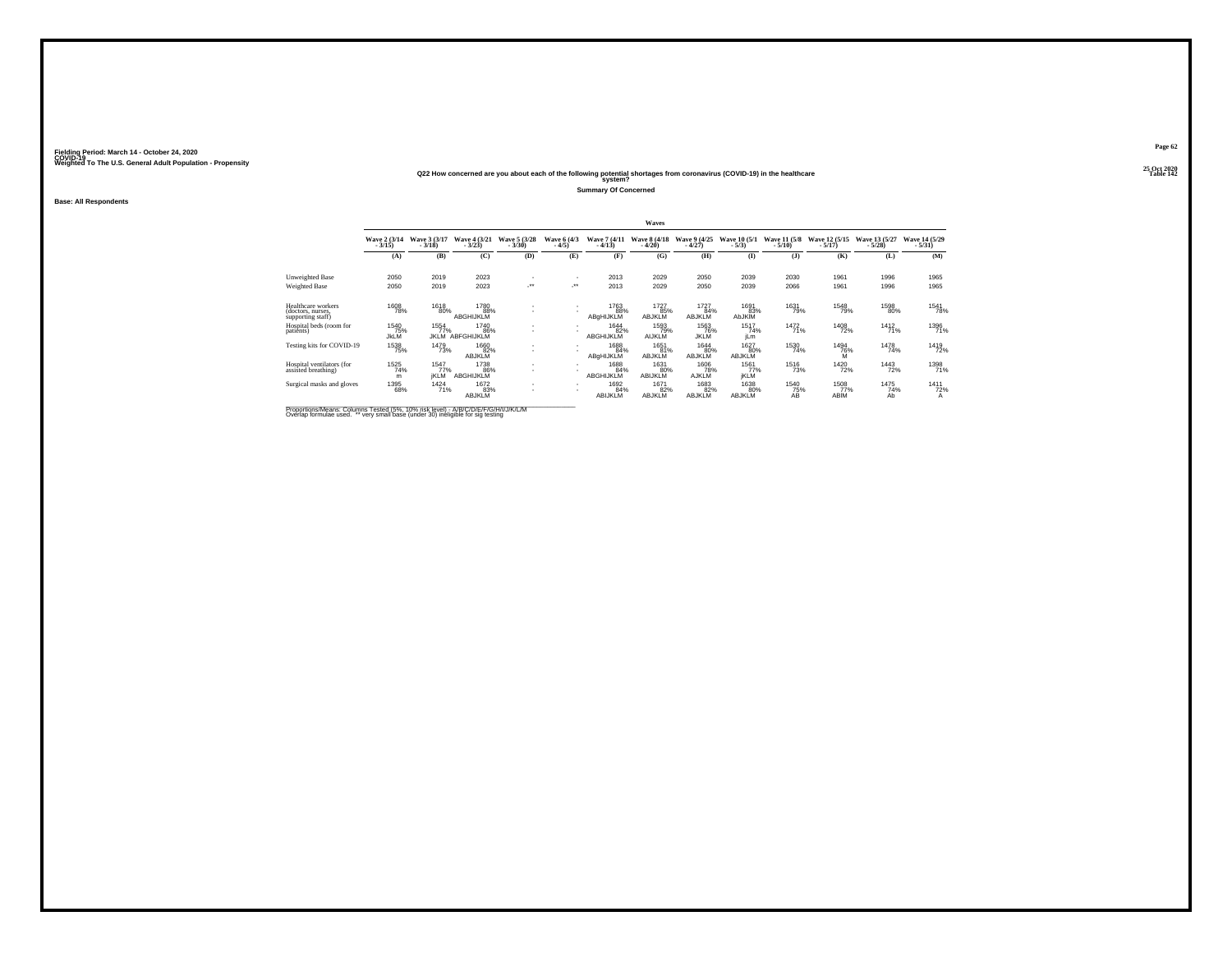### **25 Oct 2020Q22 How concerned are you about each of the following potential shortages from coronavirus (COVID-19) in the healthcare Table 142 system?**

**Summary Of Concerned**

**Base: All Respondents**

|                                                              |                            |                            |                              |                          |                        |                          | Waves                        |                              |                              |                          |                           |                           |                           |
|--------------------------------------------------------------|----------------------------|----------------------------|------------------------------|--------------------------|------------------------|--------------------------|------------------------------|------------------------------|------------------------------|--------------------------|---------------------------|---------------------------|---------------------------|
|                                                              | Wave 2 (3/14)<br>$-3/15$ ) | Wave 3 (3/17)<br>$-3/18$   | Wave 4 (3/21)<br>$-3/23$     | Wave 5 (3/28)<br>$-3/30$ | Wave 6 (4/3)<br>$-4/5$ | Wave 7 (4/11)<br>$-4/13$ | Wave 8 (4/18)<br>$-4/20$     | Wave 9 (4/25)<br>$-4/27$     | Wave 10 (5/1)<br>$-5/3)$     | Wave 11 (5/8)<br>$-5/10$ | Wave 12 (5/15)<br>$-5/17$ | Wave 13 (5/27)<br>$-5/28$ | Wave 14 (5/29)<br>$-5/31$ |
|                                                              | (A)                        | (B)                        | (C)                          | (D)                      | (E)                    | (F)                      | (G)                          | (H)                          | $($ I                        | $($ $\bf{J}$ )           | (K)                       | (L)                       | (M)                       |
| Unweighted Base                                              | 2050                       | 2019                       | 2023                         |                          |                        | 2013                     | 2029                         | 2050                         | 2039                         | 2030                     | 1961                      | 1996                      | 1965                      |
| Weighted Base                                                | 2050                       | 2019                       | 2023                         | $\cdot$                  | -**                    | 2013                     | 2029                         | 2050                         | 2039                         | 2066                     | 1961                      | 1996                      | 1965                      |
| Healthcare workers<br>(doctors, nurses,<br>supporting staff) | 1608<br>78%                | 1618<br>80%                | 1780<br>88%<br>ABGHIJKLM     |                          |                        | 1763<br>88%<br>ABgHIJKLM | 1727<br>85%<br>ABJKLM        | 1727<br>84%<br><b>ABJKLM</b> | 1691<br>83%<br><b>AbJKIM</b> | 1631<br>79%              | 1548<br>79%               | 1598<br>80%               | 1541<br>78%               |
| Hospital beds (room for<br>patients)                         | 1540<br>75%<br><b>JkLM</b> | 1554<br>77%<br><b>JKLM</b> | 1740<br>86%<br>ABFGHIJKLM    | ٠<br>÷.                  |                        | 1644<br>82%<br>ABGHIJKLM | 1593<br>79%<br><b>AIJKLM</b> | 1563<br>76%<br><b>JKLM</b>   | 1517<br>74%<br>jLm           | 1472<br>71%              | <sup>1408</sup> 72%       | 1412<br>71%               | 1396<br>71%               |
| Testing kits for COVID-19                                    | <sup>1538</sup> 75%        | 1479<br>73%                | 1660<br>82%<br><b>ABJKLM</b> | $\mathbf{r}$             |                        | 1688<br>84%<br>ABgHIJKLM | 1651<br>81%<br>ABJKLM        | 1644<br>80%<br><b>ABJKLM</b> | 1627<br>80%<br><b>ABJKLM</b> | 1530<br>74%              | 1494<br>76%<br>м          | 1478<br>74%               | <sup>1419</sup> 72%       |
| Hospital ventilators (for<br>assisted breathing)             | 1525<br>74%<br>m           | 1547<br>77%<br><b>IKLM</b> | 1738<br>86%<br>ABGHIJKLM     | $\mathbf{r}$             |                        | 1688<br>84%<br>ABGHIJKLM | 1631<br>80%<br>ABIJKLM       | 1606<br>78%<br>AJKLM         | 1561<br>77%<br><b>IKLM</b>   | 1516<br>73%              | 1420<br>72%               | 1443<br>72%               | 1398<br>71%               |
| Surgical masks and gloves                                    | 1395<br>68%                | 1424<br>71%                | 1672<br>83%<br><b>ABJKLM</b> | $\mathbf{r}$<br>$\sim$   |                        | 1692<br>84%<br>ABIJKLM   | 1671<br>82%<br>ABJKLM        | 1683<br>82%<br><b>ABJKLM</b> | 1638<br>80%<br>ABJKLM        | 1540<br>75%<br>AB        | 1508<br>77%<br>ABIM       | 1475<br>74%<br>Ab         | 1411<br>72%<br>Α          |

Proportions/Means: Columns Tested (5%, 10% risk level) - A/B/C/D/E/F/G/H/I/J/K/L/M<br>Overlap formulae used. \*\* very small base (under 30) ineligible for sig testing

**Page 62**25 Oct 2020<br>Table 142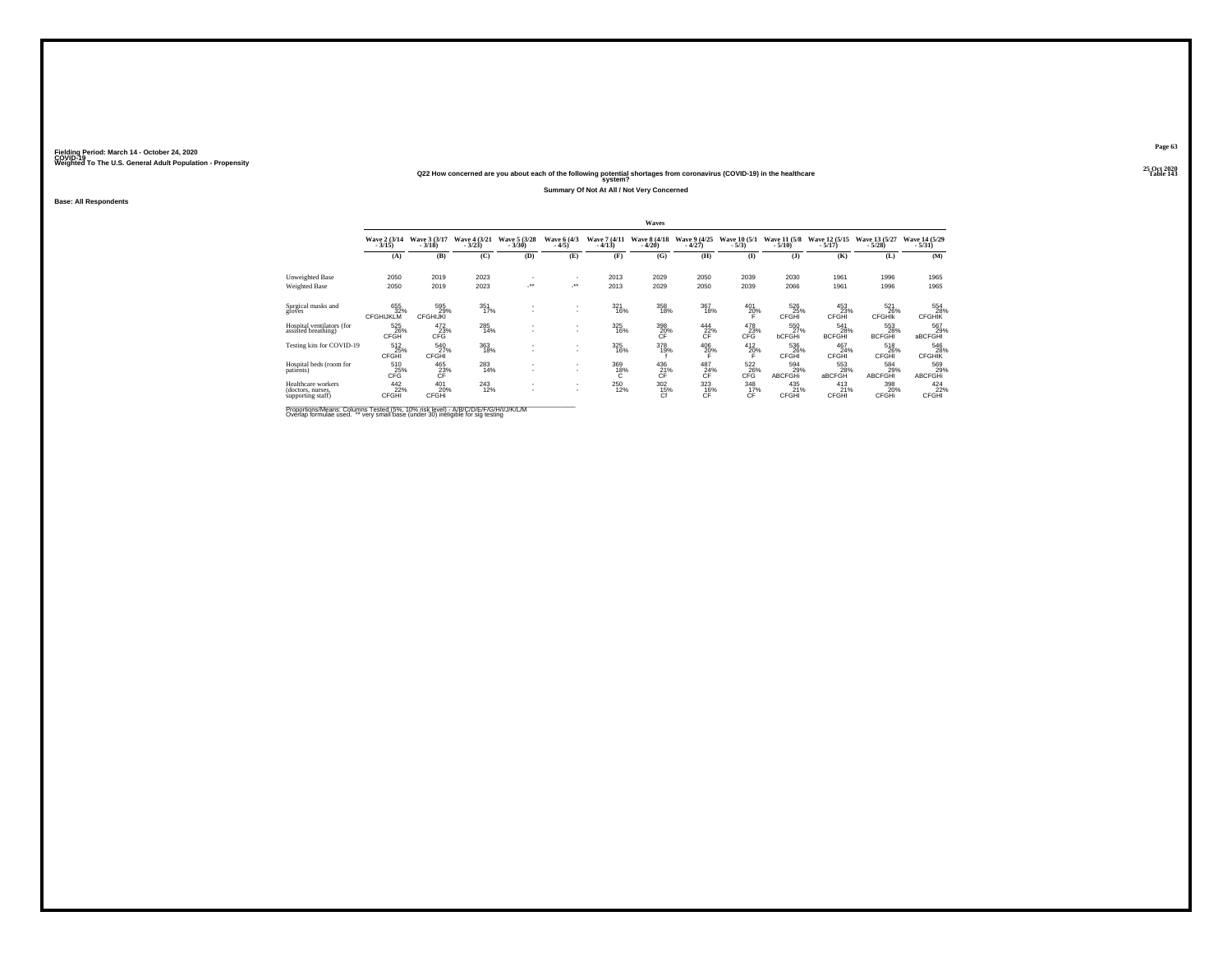### **25 Oct 2020Q22 How concerned are you about each of the following potential shortages from coronavirus (COVID-19) in the healthcare Table 143 system?**

**Summary Of Not At All / Not Very Concerned**

**Base: All Respondents**

|                                                              |                                |                               |                          |                          |                                                      |                          | Waves                              |                               |                         |                          |                             |                              |                              |
|--------------------------------------------------------------|--------------------------------|-------------------------------|--------------------------|--------------------------|------------------------------------------------------|--------------------------|------------------------------------|-------------------------------|-------------------------|--------------------------|-----------------------------|------------------------------|------------------------------|
|                                                              | Wave 2 (3/14)<br>$-3/15$       | Wave 3 (3/17)<br>$-3/18$      | Wave 4 (3/21)<br>$-3/23$ | Wave 5 (3/28)<br>$-3/30$ | Wave 6 (4/3)<br>$-4/5$                               | Wave 7 (4/11)<br>$-4/13$ | Wave 8 (4/18)<br>$-4/20$           | Wave 9 (4/25)<br>$-4/27$      | Wave 10 (5/1)<br>$-5/3$ | Wave 11 (5/8)<br>$-5/10$ | Wave 12 (5/15)<br>$-5/17$   | Wave 13 (5/27)<br>$-5/28$    | Wave 14 (5/29)<br>$-5/31$    |
|                                                              | (A)                            | (B)                           | (C)                      | (D)                      | (E)                                                  | (F)                      | (G)                                | (H)                           | $($ I                   | $($ $)$                  | (K)                         | (L)                          | (M)                          |
| Unweighted Base                                              | 2050                           | 2019                          | 2023                     | $\overline{\phantom{a}}$ | ٠                                                    | 2013                     | 2029                               | 2050                          | 2039                    | 2030                     | 1961                        | 1996                         | 1965                         |
| Weighted Base                                                | 2050                           | 2019                          | 2023                     | -**                      | -**                                                  | 2013                     | 2029                               | 2050                          | 2039                    | 2066                     | 1961                        | 1996                         | 1965                         |
| Surgical masks and<br>gloves                                 | 655<br>32%<br><b>CFGHIJKLM</b> | 595<br>29%<br><b>CFGHIJKI</b> | 351<br>17%               |                          | $\overline{\phantom{a}}$<br>$\overline{\phantom{a}}$ | 321<br>16%               | 358<br>18%                         | 367<br>18%                    | 401<br>$^{20\%}$        | 526<br>25%<br>CFGHI      | 453<br>23%<br>CFGHI         | 521<br>26%<br><b>CFGHIK</b>  | 554<br>28%<br><b>CFGHIK</b>  |
| Hospital ventilators (for<br>assisted breathing)             | 525<br>26%<br>CFGH             | $^{472}_{23\%}$<br>CFG        | 285<br>14%               |                          | $\overline{\phantom{a}}$<br>$\overline{\phantom{a}}$ | 325<br>16%               | 398<br>20%<br>CF                   | $^{444}_{22\%}$<br>CF         | 478<br>23%<br>CFG       | 550<br>27%<br>bCFGHi     | 541<br>28%<br><b>BCFGHI</b> | 553<br>28%<br><b>BCFGHI</b>  | 567<br>29%<br>aBCFGHI        |
| Testing kits for COVID-19                                    | 512<br>25%<br>CFGHI            | 540<br>27%<br>CFGHI           | 363<br>18%               |                          | $\overline{\phantom{a}}$<br>$\overline{\phantom{a}}$ | 325<br>16%               | 378<br>19%                         | $^{406}_{20\%}$               | $^{412}_{20\%}$         | 536<br>26%<br>CFGHI      | 467<br>24%<br>CFGHI         | 518<br>26%<br><b>CFGHI</b>   | 546<br>28%<br><b>CFGHIK</b>  |
| Hospital beds (room for<br>patients)                         | 510<br>25%<br>CFĞ              | 465<br>23%                    | 283<br>14%               |                          | $\overline{\phantom{a}}$<br>$\overline{\phantom{a}}$ | 369<br>$^{18\%}_{C}$     | 436<br>$\frac{21}{C}$ <sup>%</sup> | 487<br>$\frac{24}{\text{CF}}$ | 522<br>CFG              | 594<br>29%<br>ABCFGHi    | 553<br>28%<br>aBCFGH        | 584<br>29%<br><b>ABCFGHI</b> | 569<br>29%<br><b>ABCFGHi</b> |
| Healthcare workers<br>(doctors, nurses,<br>supporting staff) | $^{442}_{22\%}$<br>CFGHI       | 401<br>20%<br>CFGHi           | 243<br>12%               | $\overline{\phantom{a}}$ | $\overline{\phantom{a}}$<br>$\overline{\phantom{a}}$ | 250<br>12%               | $\frac{302}{15%}$<br>Cf            | $\frac{323}{16\%}$<br>CF      | 348<br>17%<br>CF        | 435<br>21%<br>CFGHI      | $^{413}_{21\%}$<br>CFGHI    | 398<br>20%<br>CFGHi          | $^{424}_{22\%}$<br>CFGHI     |

Proportions/Means: Columns Tested (5%, 10% risk level) - A/B/C/D/E/F/G/H/I/J/K/L/M<br>Overlap formulae used. \*\* very small base (under 30) ineligible for sig testing

**Page 63**25 Oct 2020<br>Table 143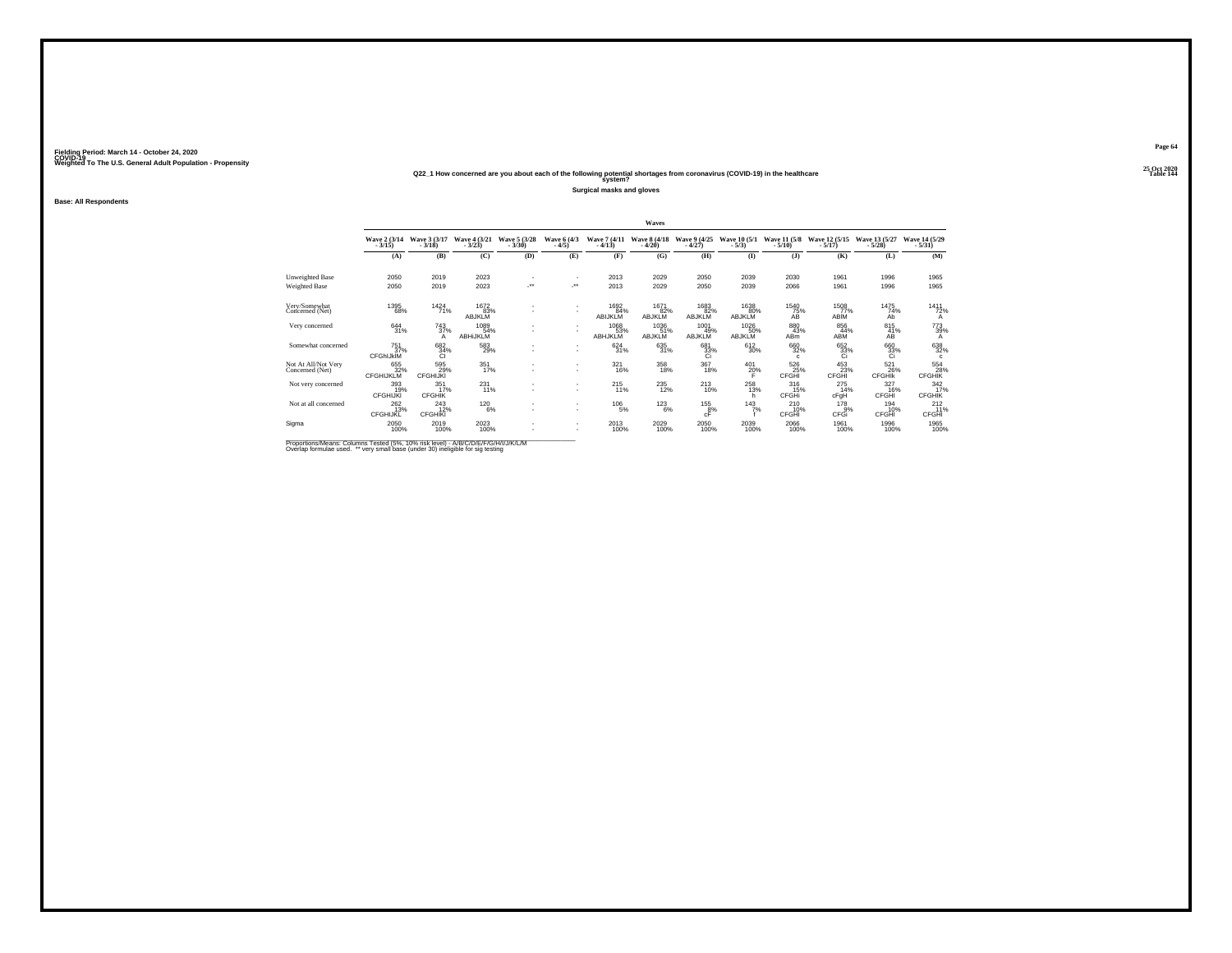### **25 Oct 2020Q22\_1 How concerned are you about each of the following potential shortages from coronavirus (COVID-19) in the healthcare Table 144 system?**

**Surgical masks and gloves**

**Base: All Respondents**

|                                        |                                |                                               |                                |                            |                                |                          | <b>Waves</b>                 |                              |                          |                               |                            |                             |                                 |
|----------------------------------------|--------------------------------|-----------------------------------------------|--------------------------------|----------------------------|--------------------------------|--------------------------|------------------------------|------------------------------|--------------------------|-------------------------------|----------------------------|-----------------------------|---------------------------------|
|                                        | Wave 2 (3/14)                  | Wave 3 (3/17)<br>$-3/18$                      | Wave 4 (3/21)<br>$-3/23$       | Wave 5 (3/28)<br>$-3/30$   | Wave 6 (4/3)<br>$-4/5)$        | Wave 7 (4/11)<br>$-4/13$ | Wave 8 (4/18)<br>$-4/20$     | Wave 9 (4/25)<br>$-4/27$     | Wave 10 (5/1)<br>$-5/3)$ | Wave 11 (5/8)<br>$-5/10$      | Wave 12 (5/15)<br>$-5/17$  | Wave 13 (5/27)<br>$-5/28$   | Wave 14 (5/29)<br>$-5/31$       |
|                                        | (A)                            | (B)                                           | (C)                            | (D)                        | (E)                            | (F)                      | (G)                          | (H)                          | $($ I                    | $($ $)$                       | (K)                        | (L)                         | (M)                             |
| Unweighted Base                        | 2050                           | 2019                                          | 2023                           |                            |                                | 2013                     | 2029                         | 2050                         | 2039                     | 2030                          | 1961                       | 1996                        | 1965                            |
| Weighted Base                          | 2050                           | 2019                                          | 2023                           | $\mathcal{L}^{\text{max}}$ | $\mathcal{L}^{\bullet\bullet}$ | 2013                     | 2029                         | 2050                         | 2039                     | 2066                          | 1961                       | 1996                        | 1965                            |
| Very/Somewhat<br>Concerned (Net)       | 1395<br>68%                    | 1424<br>71%                                   | 1672<br>83%<br><b>ABJKLM</b>   |                            |                                | 1692<br>84%<br>ABIJKLM   | 1671<br>82%<br><b>ABJKLM</b> | 1683<br>82%<br><b>ABJKLM</b> | 1638<br>80%<br>ABJKLM    | 1540<br>75%<br>ÁŘ             | 1508<br>77%<br>ABİM        | 1475<br>74%<br>Ab           | 1411<br>72%<br>A                |
| Very concerned                         | 644 31%                        | <sup>743</sup> <sub>37%</sub><br>$\mathsf{A}$ | 1089<br>54%<br><b>ABHIJKLM</b> |                            |                                | 1068<br>53%<br>ABHJKLM   | 1036<br>51%<br>ABJKLM        | 1001<br>49%<br>ABJKLM        | 1026<br>50%<br>ABJKLM    | 880<br>43%<br>AB <sub>m</sub> | 856<br>44%<br>ABM          | $\frac{815}{41\%}$<br>AB    | 773<br>39%<br>А                 |
| Somewhat concerned                     | 751<br>37%<br><b>CFGhIJkIM</b> | 682<br>34%<br>Cl                              | $^{583}_{29\%}$                |                            |                                | $624 \over 31\%$         | 635<br>31%                   | 681<br>$\frac{33}{10}$       | $^{612}_{30\%}$          | 660<br>32%                    | 652<br>33%<br>Ci           | 660<br>33%<br>Ci            | 638<br>32%<br>$\mathbf{c}$      |
| Not At All/Not Very<br>Concerned (Net) | 655<br>32%<br><b>CFGHIJKLM</b> | 595<br>29%<br><b>CFGHIJKI</b>                 | 351<br>17%                     |                            |                                | 321<br>16%               | 358<br>18%                   | 367<br>18%                   | 401<br>20%               | 526<br>25%<br>CFGHI           | 453<br>23%<br>CFGHI        | 521<br>26%<br><b>CFGHIK</b> | $^{554}_{28\%}$ CFGHIK          |
| Not very concerned                     | 393<br>19%<br><b>CFGHIJKI</b>  | $\frac{351}{17\%}$<br><b>CFGHIK</b>           | $^{231}_{11\%}$                |                            |                                | $^{215}_{11\%}$          | 235<br>12%                   | $^{213}_{10\%}$              | 258<br>13%<br>h          | 316<br>15%<br>CFGHi           | 275<br>14%<br>cFgH         | 327<br>16%<br>CFGHI         | 342/17%<br><b>CFGHIK</b>        |
| Not at all concerned                   | 262<br>13%<br>CFGHIJKL         | $^{243}_{12\%}$<br><b>CFGHIKI</b>             | <sup>120</sup> 6%              |                            | $\sim$                         | <sup>106</sup> 5%        | $^{123}_{6\%}$               | $^{155}_{\,\,\,6\%}$         | $143$ <sub>7%</sub>      | 210<br>10%<br>CFGHI           | 178<br>$\bar{9}$ %<br>CFGi | 194<br>10%<br>CFGHI         | $^{212}_{11\%}$<br><b>CFGHI</b> |
| Sigma                                  | 2050<br>100%                   | 2019<br>100%                                  | 2023<br>100%                   |                            |                                | 2013<br>100%             | 2029<br>100%                 | 2050<br>100%                 | 2039<br>100%             | 2066<br>100%                  | 1961<br>100%               | 1996<br>100%                | 1965<br>100%                    |

Proportions/Means: Columns Tested (5%, 10% risk level) - A/B/C/D/E/F/G/H/I/J/K/L/M<br>Overlap formulae used. \*\* very small base (under 30) ineligible for sig testing

**Page 64**25 Oct 2020<br>Table 144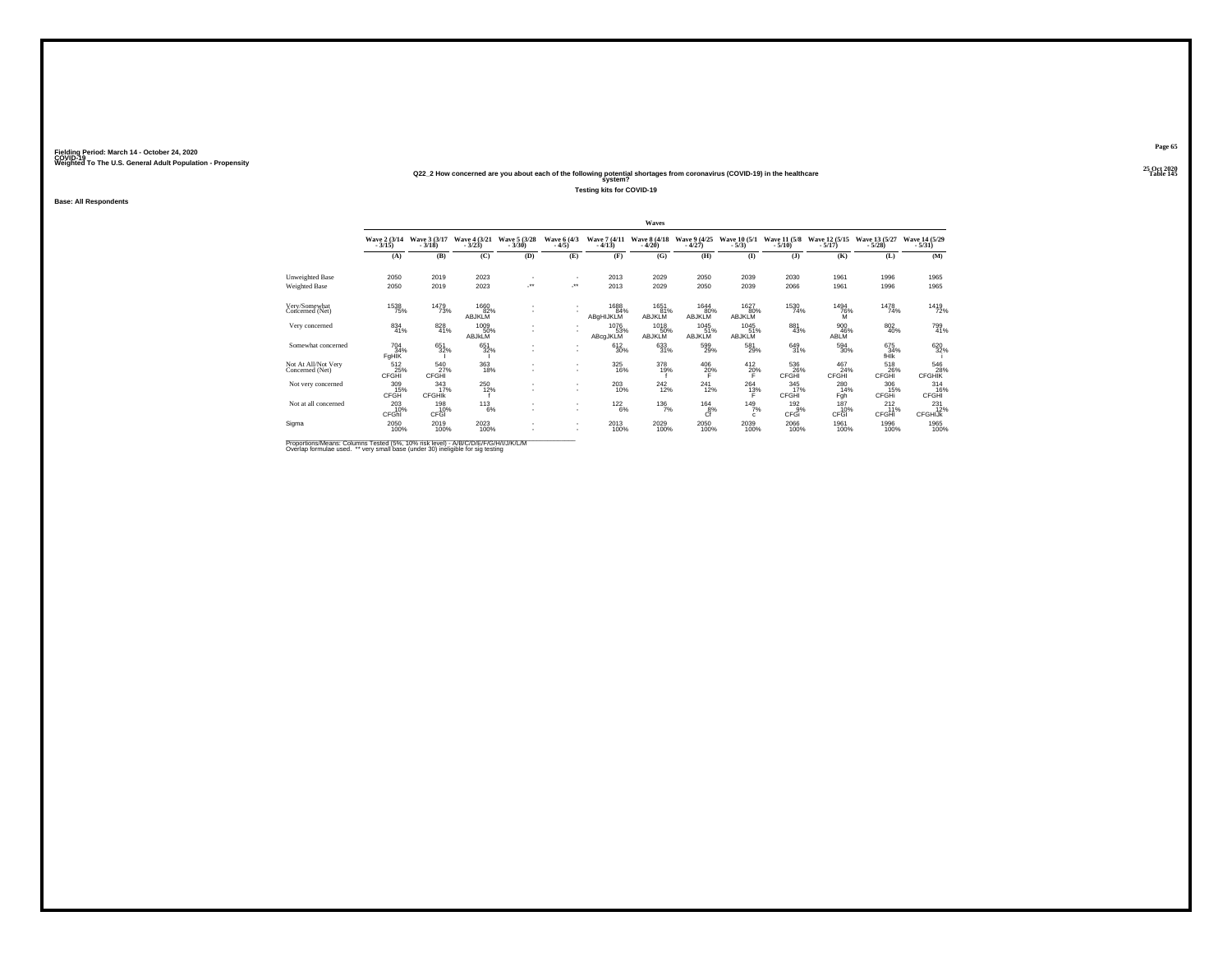### **25 Oct 2020Q22\_2 How concerned are you about each of the following potential shortages from coronavirus (COVID-19) in the healthcare Table 145 system?**

**Testing kits for COVID-19**

**Base: All Respondents**

|                                        |                            |                                     |                               |                          |                                |                          | Waves                    |                          |                          |                             |                            |                           |                                   |
|----------------------------------------|----------------------------|-------------------------------------|-------------------------------|--------------------------|--------------------------------|--------------------------|--------------------------|--------------------------|--------------------------|-----------------------------|----------------------------|---------------------------|-----------------------------------|
|                                        | Wave 2 (3/14)<br>$-3/15$ ) | Wave 3 (3/17)<br>$-3/18$            | Wave 4 (3/21)<br>$-3/23$      | Wave 5 (3/28)<br>$-3/30$ | Wave 6 (4/3)<br>$-4/5$         | Wave 7 (4/11)<br>$-4/13$ | Wave 8 (4/18)<br>$-4/20$ | Wave 9 (4/25)<br>$-4/27$ | Wave 10 (5/1)<br>$-5/3)$ | Wave 11 (5/8)<br>$-5/10$    | Wave 12 (5/15)<br>$-5/17)$ | Wave 13 (5/27)<br>$-5/28$ | Wave 14 (5/29)<br>$-5/31$         |
|                                        | (A)                        | (B)                                 | (C)                           | (D)                      | (E)                            | (F)                      | (G)                      | (H)                      | (I)                      | $($ $)$                     | (K)                        | (L)                       | (M)                               |
| Unweighted Base                        | 2050                       | 2019                                | 2023                          |                          | ٠                              | 2013                     | 2029                     | 2050                     | 2039                     | 2030                        | 1961                       | 1996                      | 1965                              |
| Weighted Base                          | 2050                       | 2019                                | 2023                          |                          | $\mathcal{L}^{\bullet\bullet}$ | 2013                     | 2029                     | 2050                     | 2039                     | 2066                        | 1961                       | 1996                      | 1965                              |
| Very/Somewhat<br>Concerned (Net)       | <sup>1538</sup> 75%        | 1479<br>73%                         | 1660<br>82%<br><b>ABJKLM</b>  |                          |                                | 1688<br>84%<br>ABgHIJKLM | 1651<br>81%<br>ABJKLM    | 1644<br>80%<br>ABJKLM    | 1627<br>80%<br>ABJKLM    | 1530<br>74%                 | 1494<br>76%                | 1478<br>74%               | 1419<br>72%                       |
| Very concerned                         | 834<br>41%                 | 828<br>41%                          | 1009<br>50%<br>ABJKLM         |                          |                                | 1076<br>53%<br>ABcgJKLM  | 1018<br>50%<br>ABJKLM    | 1045<br>51%<br>ABJKLM    | 1045<br>51%<br>ABJKLM    | 881<br>43%                  | 900<br>46%<br>ABLM         | $\substack{802 \\ 40\%}$  | 799<br>41%                        |
| Somewhat concerned                     | 704<br>34%<br>FgHIK        | 651<br>32%                          | 651<br>32%                    |                          | ٠<br>٠                         | 612<br>30%               | 633<br>31%               | 599<br>29%               | 581<br>29%               | 649<br>31%                  | 594<br>30%                 | 675<br>34%<br>fHIK        | 620 32%                           |
| Not At All/Not Very<br>Concerned (Net) | 512<br>25%<br>CFGHI        | 540<br>27%<br>CFGHI                 | 363<br>18%                    |                          | ٠<br>٠                         | 325<br>16%               | 378<br>19%               | 406<br>20%               | 412<br>20%               | 536<br>26%<br>CFGHI         | 467<br>24%<br>CFGHI        | 518<br>26%<br>CFGHI       | 546<br>28%<br>CFGHIK              |
| Not very concerned                     | 309<br>15%<br>CFGH         | $\frac{343}{17\%}$<br><b>CFGHIK</b> | <sup>250</sup> <sub>12%</sub> |                          | ٠<br>٠                         | $^{203}_{10\%}$          | $^{242}_{12\%}$          | $^{241}_{12\%}$          | $^{264}_{13\%}$          | $\frac{345}{17\%}$<br>CFGHI | 280<br>14%<br>Fgh          | 306<br>15%<br>CFGHi       | 314<br>16%<br><b>CFGHI</b>        |
| Not at all concerned                   | $^{203}_{10\%}$<br>CFGhi   | 198<br>10%<br>CFGI                  | $^{113}_{6\%}$                |                          | ٠<br>٠                         | $^{122}_{6\%}$           | $^{136}_{7\%}$           | 164<br>$8%$              | 149/7%<br>$\mathbf{c}$   | 192<br>$-9%$<br>CFGi        | 187<br>10%<br>CFGI         | 212<br>11%<br>CFGHI       | $^{231}_{12\%}$<br><b>CFGHIJK</b> |
| Sigma                                  | $^{2050}_{100\%}$          | 2019<br>100%                        | $^{2023}_{100\%}$             |                          | ٠<br>٠                         | 2013<br>100%             | 2029<br>100%             | 2050<br>100%             | $^{2039}_{100\%}$        | 2066<br>100%                | 1961<br>100%               | 1996<br>100%              | 1965<br>100%                      |

Proportions/Means: Columns Tested (5%, 10% risk level) - A/B/C/D/E/F/G/H/I/J/K/L/M<br>Overlap formulae used. \*\* very small base (under 30) ineligible for sig testing

**Page 65**25 Oct 2020<br>Table 145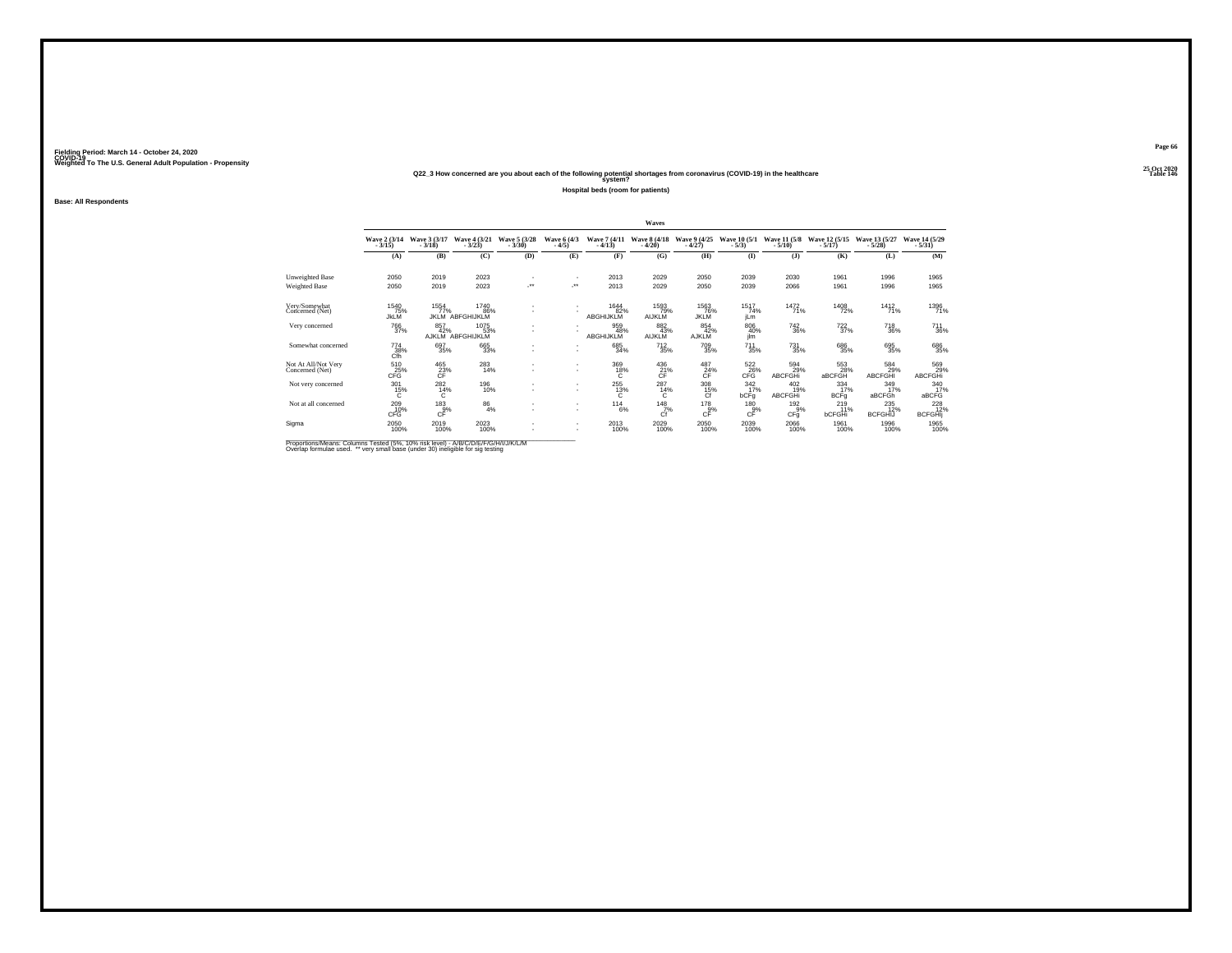### **25 Oct 2020Q22\_3 How concerned are you about each of the following potential shortages from coronavirus (COVID-19) in the healthcare Table 146 system?**

**Hospital beds (room for patients)**

**Base: All Respondents**

|                                        |                            |                                 |                                 |                          |                        |                          | Waves                        |                              |                                 |                                   |                                 |                               |                                  |
|----------------------------------------|----------------------------|---------------------------------|---------------------------------|--------------------------|------------------------|--------------------------|------------------------------|------------------------------|---------------------------------|-----------------------------------|---------------------------------|-------------------------------|----------------------------------|
|                                        | Wave 2 (3/14)<br>$-3/15$ ) | Wave 3 (3/17)<br>$-3/18$        | Wave 4 (3/21)<br>$-3/23$        | Wave 5 (3/28)<br>$-3/30$ | Wave 6 (4/3)<br>$-4/5$ | Wave 7 (4/11)<br>$-4/13$ | Wave 8 (4/18)<br>$-4/20$     | Wave 9 (4/25)<br>$-4/27$     | Wave 10 (5/1)<br>$-5/3)$        | Wave 11 (5/8)<br>$-5/10$          | Wave 12 (5/15)<br>$-5/17$       | Wave 13 (5/27)<br>$-5/28$     | Wave 14 (5/29)<br>$-5/31)$       |
|                                        | (A)                        | (B)                             | (C)                             | (D)                      | (E)                    | (F)                      | (G)                          | (H)                          | $($ I                           | (3)                               | (K)                             | (L)                           | (M)                              |
| Unweighted Base                        | 2050                       | 2019                            | 2023                            |                          | ٠                      | 2013                     | 2029                         | 2050                         | 2039                            | 2030                              | 1961                            | 1996                          | 1965                             |
| Weighted Base                          | 2050                       | 2019                            | 2023                            | J.                       | 59                     | 2013                     | 2029                         | 2050                         | 2039                            | 2066                              | 1961                            | 1996                          | 1965                             |
| Very/Somewhat<br>Concerned (Net)       | 1540<br>75%<br><b>JkLM</b> | 1554<br>77%<br>JKI M            | 1740<br>86%<br>ABFGHIJKLM       |                          | ٠                      | 1644<br>82%<br>ABGHIJKLM | 1593<br>79%<br><b>AIJKLM</b> | 1563<br>76%<br><b>JKLM</b>   | 1517<br>74%<br>jLm              | 1472<br>71%                       | 1408<br>72%                     | 1412<br>71%                   | 1396<br>71%                      |
| Very concerned                         | <sup>766</sup> 37%         | 857<br>42%                      | 1075<br>53%<br>AJKLM ABFGHIJKLM |                          | ٠                      | 959<br>48%<br>ABGHIJKLM  | 882<br>43%<br><b>AIJKLM</b>  | 854<br>42%<br><b>AJKLM</b>   | $\substack{806 \\ 40\%}$<br>jim | <sup>742</sup> <sub>36%</sub>     | <sup>722</sup> <sub>37%</sub>   | <sup>718</sup> <sub>36%</sub> | $^{711}_{36\%}$                  |
| Somewhat concerned                     | 774<br>38%<br>Cfh          | 697<br>35%                      | 665<br>33%                      | $\overline{\phantom{a}}$ | ٠<br>٠                 | 685<br>34%               | $^{712}_{35\%}$              | 709<br>35%                   | $^{711}_{35\%}$                 | $^{731}_{35\%}$                   | 686<br>35%                      | 695%                          | 686<br>35%                       |
| Not At All/Not Very<br>Concerned (Net) | 510<br>CFG                 | 465<br>$\frac{23}{\text{CF}}$ % | 283<br>14%                      |                          | ٠<br>٠                 | 369<br>18%<br>c          | 436<br>21%<br>ĈΕ             | 487<br>24%                   | 522<br>26%<br>CFG               | 594<br>29%<br>ABCFGHi             | 553<br>28%<br>aBCFGH            | 584<br>29%<br><b>ABCFGHI</b>  | 569<br>ABCFGHi                   |
| Not very concerned                     | $^{301}_{15\%}$<br>C       | $^{282}_{14\%}$<br>C            | 196<br>10%                      |                          | ٠<br>٠                 | 255<br>13%<br>c          | 287<br>14%<br>С              | $\frac{308}{15\%}$<br>Cf     | $\frac{342}{17\%}$<br>bCFq      | $^{402}_{19\%}$<br><b>ABCFGHi</b> | $334 \over 17\%$<br><b>BCFg</b> | 349/17%<br>aBCFGh             | 340 17%<br>aBCFG                 |
| Not at all concerned                   | 209 10%<br>CFG             | $^{183}_{\substack{9\%}}$       | $^{86}_{4\%}$                   |                          | ٠<br>٠                 | $^{114}_{6\%}$           | $^{148}Z^{\%}$<br>Ćf         | 178<br>$c_F^{\frac{3}{2}\%}$ | 180<br>$c_F^{\tilde{g}\%}$      | 192<br>$\overline{9}$ %<br>CFq    | 219<br>11%<br>bCFGHi            | 235<br><b>BCFGHIJ</b>         | $^{228}_{12\%}$<br><b>BCFGHI</b> |
| Sigma                                  | 2050<br>100%               | 2019<br>100%                    | 2023<br>100%                    |                          | ٠<br>٠                 | 2013<br>100%             | $^{2029}_{100\%}$            | $^{2050}_{100\%}$            | 2039<br>100%                    | 2066<br>100%                      | 1961<br>100%                    | 1996<br>100%                  | 1965<br>100%                     |

Proportions/Means: Columns Tested (5%, 10% risk level) - A/B/C/D/E/F/G/H/I/J/K/L/M<br>Overlap formulae used. \*\* very small base (under 30) ineligible for sig testing

**Page 66**25 Oct 2020<br>Table 146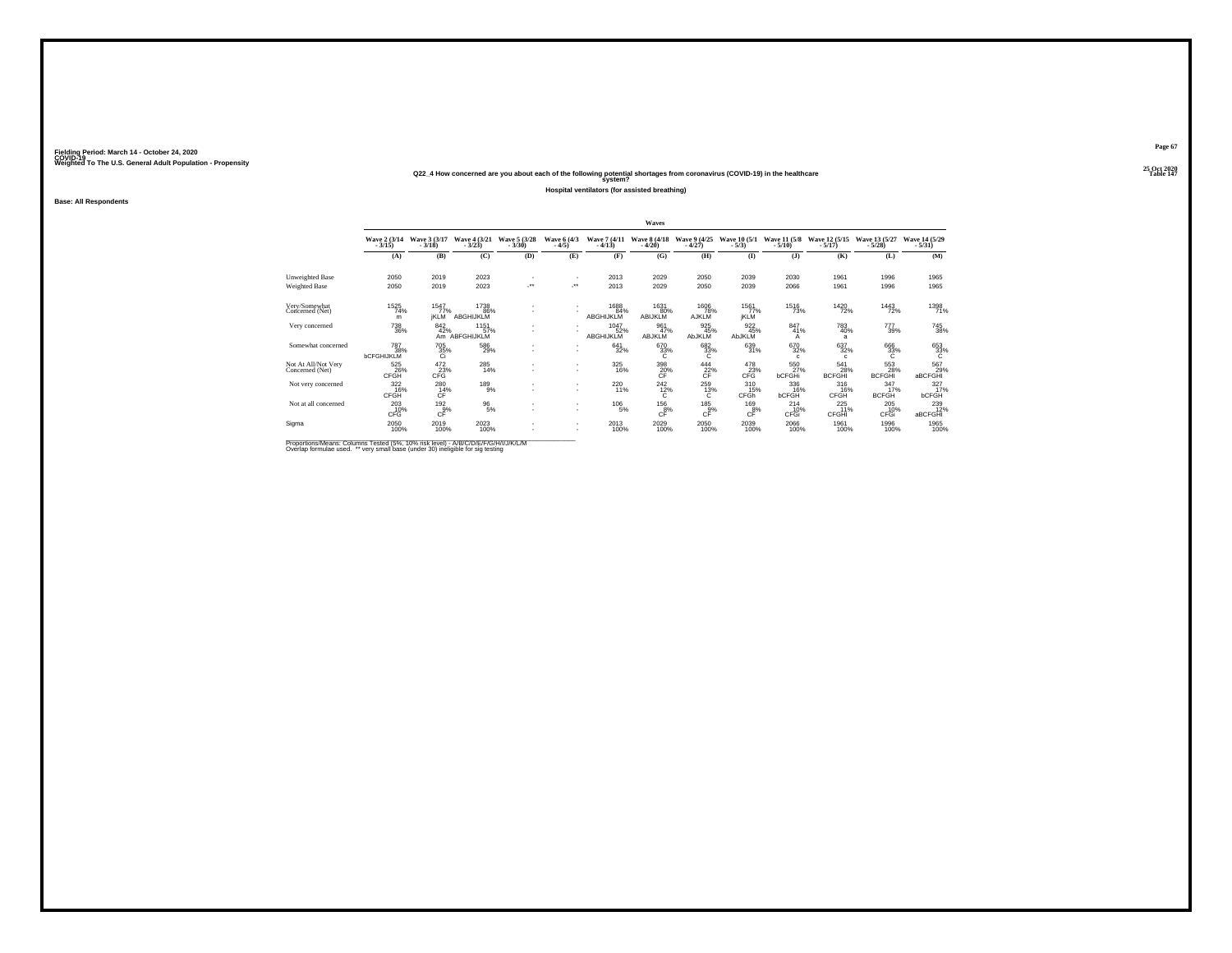### **25 Oct 2020Q22\_4 How concerned are you about each of the following potential shortages from coronavirus (COVID-19) in the healthcare Table 147 system?**

**Hospital ventilators (for assisted breathing)**

**Base: All Respondents**

|                                        |                                 |                                       |                              |                          |                        |                          | Waves                           |                          |                               |                                 |                             |                                    |                                   |
|----------------------------------------|---------------------------------|---------------------------------------|------------------------------|--------------------------|------------------------|--------------------------|---------------------------------|--------------------------|-------------------------------|---------------------------------|-----------------------------|------------------------------------|-----------------------------------|
|                                        | Wave 2 (3/14)<br>$-3/15$        | Wave 3 (3/17)<br>$-3/18$              | Wave 4 (3/21)<br>$-3/23$     | Wave 5 (3/28)<br>$-3/30$ | Wave 6 (4/3)<br>$-4/5$ | Wave 7 (4/11)<br>$-4/13$ | <b>Wave 8 (4/18)</b><br>$-4/20$ | Wave 9 (4/25)<br>$-4/27$ | Wave 10 (5/1)<br>$-5/3$       | Wave 11 (5/8)<br>$-5/10$        | Wave 12 (5/15)<br>$-5/17$   | Wave 13 (5/27)<br>$-5/28$          | Wave 14 (5/29)<br>$-5/31$         |
|                                        | (A)                             | (B)                                   | (C)                          | (D)                      | (E)                    | (F)                      | (G)                             | (H)                      | $($ I                         | (1)                             | (K)                         | (L)                                | (M)                               |
| Unweighted Base<br>Weighted Base       | 2050<br>2050                    | 2019<br>2019                          | 2023<br>2023                 |                          | $\cdot$                | 2013<br>2013             | 2029<br>2029                    | 2050<br>2050             | 2039<br>2039                  | 2030<br>2066                    | 1961<br>1961                | 1996<br>1996                       | 1965<br>1965                      |
| Very/Somewhat<br>Concerned (Net)       | 1525<br>74%<br>m                | 1547<br>77%<br><b>IKLM</b>            | 1738<br>86%<br>ABGHIJKLM     |                          |                        | 1688<br>84%<br>ABGHIJKLM | 1631<br>80%<br>ABIJKLM          | 1606<br>AJKLM            | 1561<br>77%<br><b>İKLM</b>    | 1516<br>73%                     | 1420<br>72%                 | 1443<br>72%                        | 1398<br>71%                       |
| Very concerned                         | <sup>738</sup> 36%              | 842%                                  | 1151<br>57%<br>Am ABFGHIJKLM |                          |                        | 1047<br>52%<br>ABGHIJKLM | 961<br>47%<br>ABJKLM            | 925 45%<br>AbJKLM        | 922<br>45%<br>AbJKLM          | 847<br>41%<br>А                 | 783<br>40%<br>a             | 777<br>39%                         | <sup>745</sup> 38%                |
| Somewhat concerned                     | 787<br>38%<br><b>bCFGHIJKLM</b> | $\frac{705}{35\%}$                    | 586<br>29%                   |                          | $\sim$                 | 641<br>32%               | 670<br>33%<br>C                 | $\frac{682}{33}\%$       | 639<br>31%                    | 670<br>32%<br>$\mathfrak{g}$    | 637<br>32%<br>$\mathbf{C}$  | 666<br>33%<br>C                    | $\overset{653}{\phantom{1}33\%}}$ |
| Not At All/Not Very<br>Concerned (Net) | 525<br>26%<br>CFGH              | 472<br>23%<br>CFG                     | 285<br>14%                   |                          | $\sim$                 | 325<br>16%               | 398<br>$\frac{20}{\text{CF}}$ % | 444<br>$22\%$            | 478<br>23%<br>CFG             | 550<br>27%<br>bCFGHi            | 541<br>28%<br><b>BCFGHI</b> | 553<br>28%<br><b>BCFGHI</b>        | 567<br>29%<br>aBCFGHI             |
| Not very concerned                     | $\frac{322}{16\%}$<br>CFGH      | 280<br>14%<br>CF                      | $^{189}_{9\%}$               |                          |                        | 220 11%                  | $^{242}_{12\%}$<br>C            | 259<br>13%<br>C.         | 310<br>15%<br>CFGh            | 336<br>16%<br><b>bCFGH</b>      | 316%<br>CFGH                | $\frac{347}{17\%}$<br><b>BCFGH</b> | 327/17%<br><b>bCFGH</b>           |
| Not at all concerned                   | $^{203}_{10\%}$<br>CFG          | $^{192}_{\substack{9\%\\ \text{CF}}}$ | $^{96}_{5\%}$                |                          | $\sim$                 | $^{106}_{-5\%}$          | $^{\rm 156}_{\rm cF}$           | 185<br>$c_F^{\alpha}$    | 169<br>$c_F^{\overline{8}\%}$ | 214<br>10%<br>CFGI <sup>1</sup> | 225<br>11%<br>CFGHI         | 205<br>10%<br>CFGI                 | 239<br>12%<br>aBCFGHI             |
| Sigma                                  | 2050<br>100%                    | 2019<br>100%                          | 2023<br>100%                 |                          | $\sim$                 | 2013<br>100%             | 2029<br>100%                    | 2050<br>100%             | 2039<br>100%                  | 2066<br>100%                    | 1961<br>100%                | 1996<br>100%                       | 1965<br>100%                      |

Proportions/Means: Columns Tested (5%, 10% risk level) - A/B/C/D/E/F/G/H/I/J/K/L/M<br>Overlap formulae used. \*\* very small base (under 30) ineligible for sig testing

**Page 67**25 Oct 2020<br>Table 147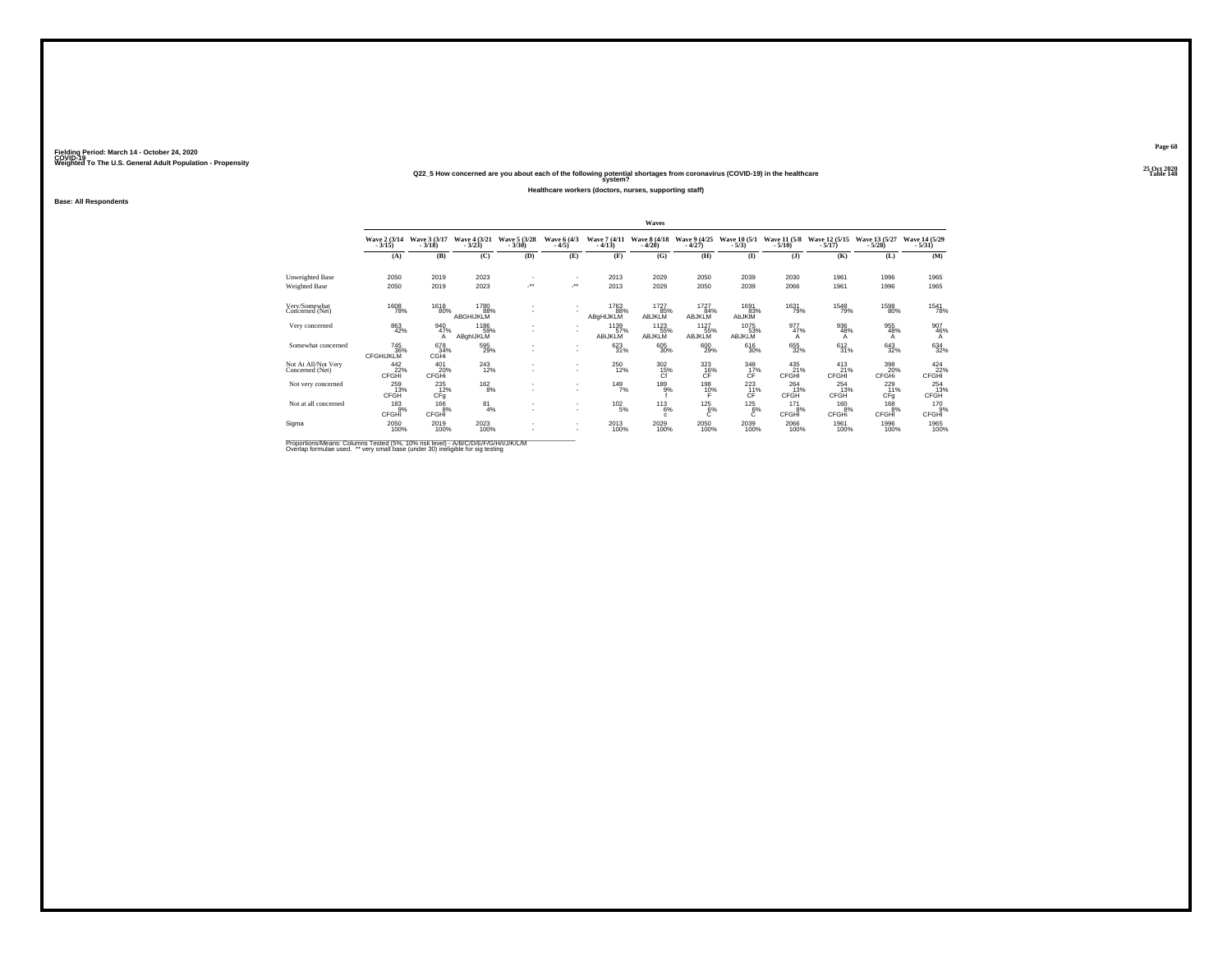### **25 Oct 2020Q22\_5 How concerned are you about each of the following potential shortages from coronavirus (COVID-19) in the healthcare Table 148 system?**

#### **Healthcare workers (doctors, nurses, supporting staff)**

**Base: All Respondents**

|                                        |                                        |                            |                                 |                                |                            |                          | Waves                    |                              |                              |                          |                           |                            |                            |
|----------------------------------------|----------------------------------------|----------------------------|---------------------------------|--------------------------------|----------------------------|--------------------------|--------------------------|------------------------------|------------------------------|--------------------------|---------------------------|----------------------------|----------------------------|
|                                        | Wave 2 (3/14)<br>$-3/15$ )             | Wave 3 (3/17)<br>$-3/18$   | Wave 4 (3/21)<br>$-3/23$        | Wave 5 (3/28)<br>$-3/30$       | Wave 6 (4/3)<br>$-4/5$     | Wave 7 (4/11)<br>$-4/13$ | Wave 8 (4/18)<br>$-4/20$ | Wave 9 (4/25)<br>$-4/27$     | Wave 10 (5/1)<br>$-5/3$      | Wave 11 (5/8)<br>$-5/10$ | Wave 12 (5/15)<br>$-5/17$ | Wave 13 (5/27)<br>$-5/28$  | Wave 14 (5/29)<br>$-5/31)$ |
|                                        | (A)                                    | (B)                        | (C)                             | (D)                            | (E)                        | (F)                      | (G)                      | (H)                          | (I)                          | $($ J $)$                | (K)                       | (L)                        | (M)                        |
| Unweighted Base                        | 2050                                   | 2019                       | 2023                            |                                | $\sim$                     | 2013                     | 2029                     | 2050                         | 2039                         | 2030                     | 1961                      | 1996                       | 1965                       |
| Weighted Base                          | 2050                                   | 2019                       | 2023                            | $\mathcal{L}^{\bullet\bullet}$ | $\mathcal{L}^{\text{max}}$ | 2013                     | 2029                     | 2050                         | 2039                         | 2066                     | 1961                      | 1996                       | 1965                       |
| Very/Somewhat<br>Concerned (Net)       | 1608<br>78%                            | 1618<br>80%                | 1780<br>88%<br><b>ABGHIJKLM</b> |                                |                            | 1763<br>88%<br>ABgHIJKLM | 1727<br>85%<br>ABJKLM    | 1727<br>84%<br><b>ABJKLM</b> | 1691<br>83%<br>AbJKIM        | 1631<br>79%              | 1548<br>79%               | 1598<br>80%                | 1541<br>78%                |
| Very concerned                         | 863<br>42%                             | 940<br>47%<br>А            | 1186<br>59%<br>ABghIJKLM        | ٠                              |                            | 1139<br>57%<br>ABIJKLM   | 1123<br>ABJKLM           | 1127<br>55%<br>ABJKLM        | 1075<br>53%<br><b>ABJKLM</b> | 977%<br>Α                | 936<br>48%<br>А           | 955<br>48%<br>A            | 907<br>46%<br>A            |
| Somewhat concerned                     | <sup>745</sup> 36%<br><b>CFGHIJKLM</b> | 678<br>34%<br>CGHi         | 595<br>29%                      |                                | $\overline{\phantom{a}}$   | 623<br>31%               | 605<br>30%               | $^{600}_{29\%}$              | $^{616}_{30\%}$              | 655<br>32%               | 612/31%                   | $\substack{643 \\ 32\%}$   | 634<br>32%                 |
| Not At All/Not Very<br>Concerned (Net) | 442<br>22%<br>CFGHI                    | 401<br>20%<br><b>CFGHi</b> | $^{243}_{12\%}$                 |                                | $\sim$                     | 250<br>12%               | 302<br>15%<br>ĈŤ         | 323<br>$C_F^{16}$            | 348<br>17%<br>ĆÊ             | 435<br>21%<br>CFGHI      | 413<br>21%<br>CFGHI       | 398<br>20%<br><b>CFGHi</b> | $\frac{424}{22\%}$ CFGHI   |
| Not very concerned                     | 259<br>13%<br>CFGH                     | $^{235}_{12\%}$<br>CFq     | $^{162}_{8\%}$                  |                                |                            | $^{149}_{7\%}$           | 189 <sub>9%</sub>        | 198<br>10%                   | 223<br>CF                    | $^{264}_{13\%}$<br>CFGH  | $^{254}_{13\%}$<br>CFGH   | $^{229}_{11\%}$<br>CFq     | $^{254}_{13\%}$<br>CFGH    |
| Not at all concerned                   | $^{183}_{.9\%}$<br>CFGHI               | $^{166}_{-8\%}$<br>CFGHI   | $^{81}_{4\%}$                   |                                | $\overline{\phantom{a}}$   | $^{102}_{-5\%}$          | $^{113}_{6\%}$<br>c.     | $^{125}_{6\%}$               | $^{125}_{6\%}$               | 171<br>8%<br>CFGHI       | 160<br>8%<br>CFGHi        | 168<br>8%<br>CFGHI         | 170 9%<br>CFGHĪ            |
| Sigma                                  | $^{2050}_{100\%}$                      | 2019<br>100%               | $^{2023}_{100\%}$               |                                | $\overline{\phantom{a}}$   | 2013<br>100%             | 2029<br>100%             | 2050<br>100%                 | 2039<br>100%                 | 2066<br>100%             | 1961<br>100%              | 1996<br>100%               | 1965<br>100%               |

Proportions/Means: Columns Tested (5%, 10% risk level) - A/B/C/D/E/F/G/H/I/J/K/L/M<br>Overlap formulae used. \*\* very small base (under 30) ineligible for sig testing

**Page 68**25 Oct 2020<br>Table 148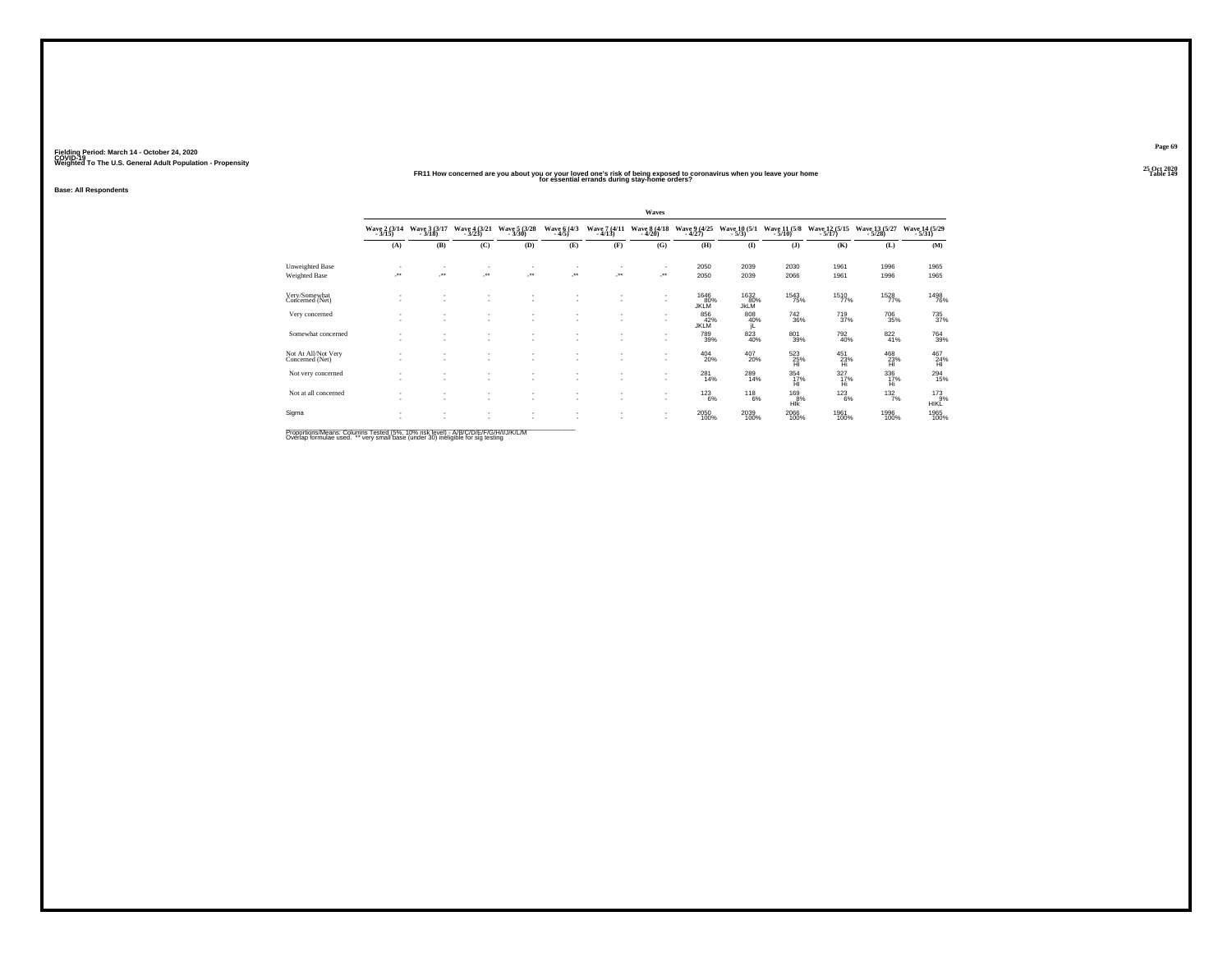### **25 Oct 2020FR11 How concerned are you about you or your loved one's risk of being exposed to coronavirus when you leave your home Table 149 for essential errands during stay-home orders?**

**Fielding Period: March 14 - October 24, 2020 COVID-19 Weighted To The U.S. General Adult Population - Propensity**

**Base: All Respondents**

|                                        |                         |                                    |                               |               |                          |                          | Waves                    |                            |                           |                          |                           |                           |                              |
|----------------------------------------|-------------------------|------------------------------------|-------------------------------|---------------|--------------------------|--------------------------|--------------------------|----------------------------|---------------------------|--------------------------|---------------------------|---------------------------|------------------------------|
|                                        | Wave 2 (3/14)           | Wave 3 (3/17)<br>$-3/18$           | Wave 4 (3/21)<br>$-3/23$      | Wave 5 (3/28) | Wave 6 (4/3)<br>$-4/5$   | Wave 7 (4/11)<br>$-4/13$ | Wave 8 (4/18)<br>$-4/20$ | Wave 9 (4/25)<br>$-4/27$   | Wave 10 (5/1)<br>$-5/3$ ) | Wave 11 (5/8)<br>$-5/10$ | Wave 12 (5/15)<br>$-5/17$ | Wave 13 (5/27)<br>$-5/28$ | Wave 14 (5/29)<br>$-5/31$    |
|                                        | (A)                     | (B)                                | (C)                           | (D)           | (E)                      | (F)                      | (G)                      | (H)                        | $($ I                     | $($ J $)$                | (K)                       | (L)                       | (M)                          |
| Unweighted Base                        | ٠                       |                                    |                               |               |                          |                          | $\sim$                   | 2050                       | 2039                      | 2030                     | 1961                      | 1996                      | 1965                         |
| <b>Weighted Base</b>                   | $\mathcal{F}^{\bullet}$ |                                    | ÷                             | $\cdot$       | $\cdot$                  | $\cdot$                  | 59                       | 2050                       | 2039                      | 2066                     | 1961                      | 1996                      | 1965                         |
| Very/Somewhat<br>Concerned (Net)       | ٠                       | $\overline{\phantom{a}}$           | $\overline{\phantom{a}}$      | ٠             |                          |                          | ٠                        | 1646<br>80%<br><b>JKLM</b> | 1632 80%<br><b>JkLM</b>   | <sup>1543</sup> 75%      | 1510<br>77%               | 1528<br>77%               | 1498<br>76%                  |
| Very concerned                         | ٠                       | ٠                                  | ٠<br>$\sim$                   | ٠             |                          |                          | х.                       | 856<br>42%<br>JKLM         | 808<br>40%<br>jL          | 742<br>36%               | 719<br>37%                | 706<br>35%                | $\substack{735 \\ 37\%}$     |
| Somewhat concerned                     |                         | ٠<br>$\sim$                        | $\sim$<br>$\sim$              | ٠<br>٠        |                          |                          | ٠                        | $^{789}_{39\%}$            | $\frac{823}{40\%}$        | 801<br>39%               | $^{792}_{40\%}$           | $\frac{822}{41\%}$        | <sup>764</sup> 39%           |
| Not At All/Not Very<br>Concerned (Net) | ٠                       | $\sim$<br>$\overline{\phantom{a}}$ | $\sim$<br>$\sim$              | ٠<br>٠        |                          |                          | ٠                        | $^{404}_{20\%}$            | $^{407}_{20\%}$           | $^{523}_{25\%}$          | $^{451}_{23\%}$           | $^{468}_{23\%}$           | $^{467}_{24\%}$              |
| Not very concerned                     | ٠                       | ٠<br>$\overline{\phantom{a}}$      | ٠<br>$\overline{\phantom{a}}$ | ٠<br>٠        |                          |                          | ٠                        | 281<br>14%                 | 289<br>14%                | 354<br>17%<br>ĤI         | 327<br>17%<br>Hi          | 336<br>17%<br>Ηì          | $^{294}_{15\%}$              |
| Not at all concerned                   | ٠<br>٠                  | ٠<br>$\sim$                        | ٠<br>$\sim$                   | ٠<br>٠        |                          |                          | ٠                        | $^{123}_{6\%}$             | $^{118}_{6\%}$            | $^{169}_{8\%}$<br>Hlk    | $^{123}_{6\%}$            | 132/7%                    | $^{173}_{9%}$<br><b>HIKL</b> |
| Sigma                                  | ٠                       | $\sim$                             | $\sim$<br>٠                   | ٠<br>٠        | $\overline{\phantom{a}}$ |                          | ٠<br>$\sim$              | 2050<br>100%               | 2039<br>100%              | 2066<br>100%             | 1961<br>100%              | 1996<br>100%              | 1965<br>100%                 |

Proportions/Means: Columns Tested (5%, 10% risk level) - A/B/C/D/E/F/G/H/I/J/K/L/M<br>Overlap formulae used. \*\* very small base (under 30) ineligible for sig testing

**Page 69**25 Oct 2020<br>Table 149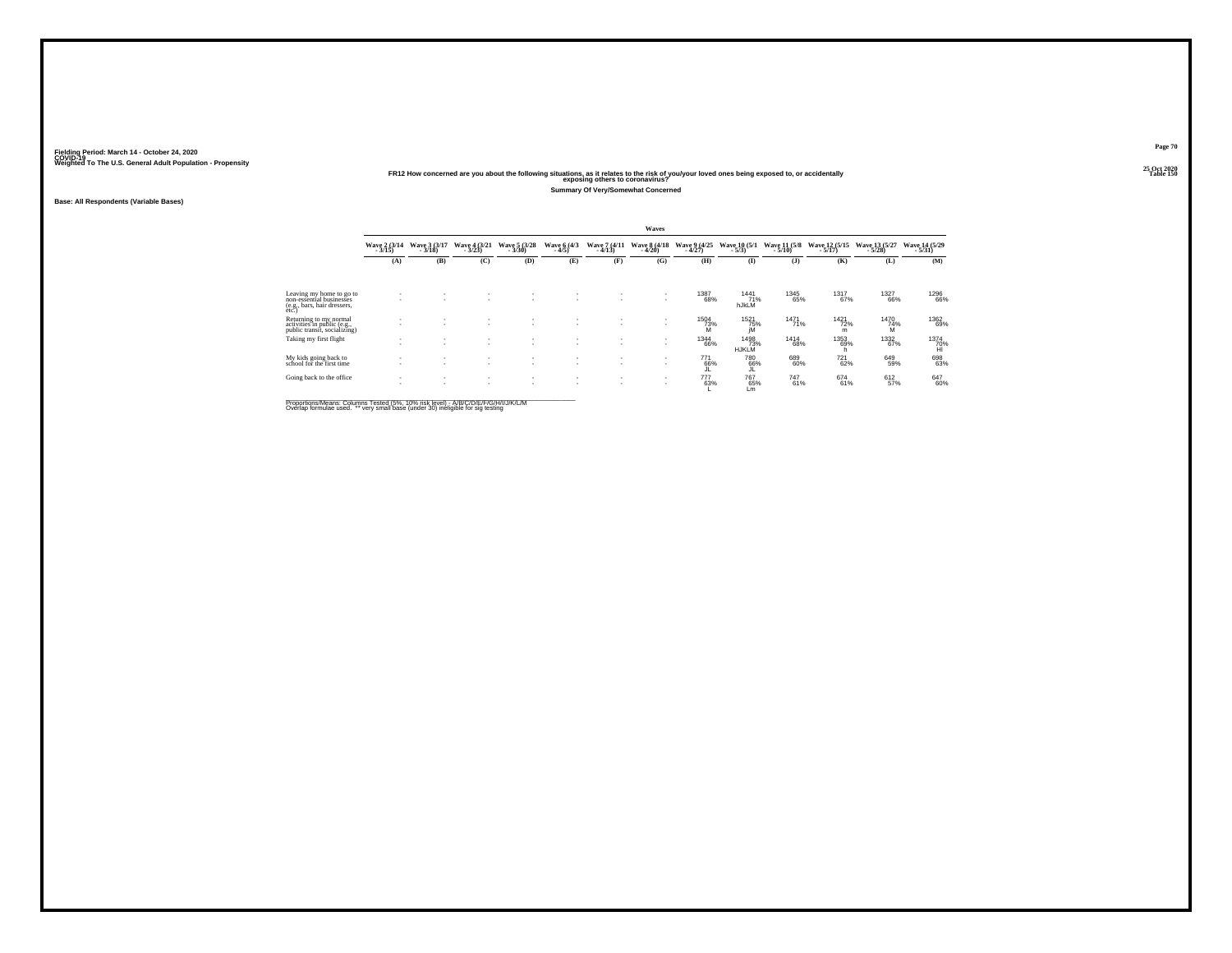**Base: All Respondents (Variable Bases)**

**25 Oct 2020FR12 How concerned are you about the following situations, as it relates to the risk of you/your loved ones being exposed to, or accidentally Table 150 exposing others to coronavirus?**

**Summary Of Very/Somewhat Concerned**

|                                                                                              |                          |                                    |                          |                          |                               |                                 | Waves                    |                          |                             |                          |                           |                           |                           |
|----------------------------------------------------------------------------------------------|--------------------------|------------------------------------|--------------------------|--------------------------|-------------------------------|---------------------------------|--------------------------|--------------------------|-----------------------------|--------------------------|---------------------------|---------------------------|---------------------------|
|                                                                                              | Wave 2 (3/14)<br>$-3/15$ | Wave 3 (3/17)<br>$-3/18$           | Wave 4 (3/21)<br>$-3/23$ | Wave 5 (3/28)<br>$-3/30$ | Wave 6 (4/3)<br>$-4/5$        | <b>Wave 7 (4/11)</b><br>$-4/13$ | Wave 8 (4/18)<br>$-4/20$ | Wave 9 (4/25)<br>$-4/27$ | Wave 10 (5/1)<br>$-5/3$     | Wave 11 (5/8)<br>$-5/10$ | Wave 12 (5/15)<br>$-5/17$ | Wave 13 (5/27)<br>$-5/28$ | Wave 14 (5/29)<br>$-5/31$ |
|                                                                                              | (A)                      | (B)                                | (C)                      | (D)                      | (E)                           | (F)                             | (G)                      | (H)                      | $\bf (I)$                   | (3)                      | (K)                       | (L)                       | (M)                       |
|                                                                                              |                          |                                    |                          |                          |                               |                                 |                          |                          |                             |                          |                           |                           |                           |
| Leaving my home to go to<br>non-essential businesses<br>(e.g., bars, hair dressers,<br>etc.) | <b>1999</b>              |                                    | $\sim$                   | ۰                        | ۰                             |                                 | <b>A</b>                 | <sup>1387</sup> 68%      | 1441<br>71%<br>hJkLM        | 1345<br>65%              | 1317<br>67%               | <sup>1327</sup> 66%       | 1296<br>66%               |
| Returning to my normal<br>activities in public (e.g.,<br>public transit, socializing)        | $\sim$                   |                                    | $\mathbf{r}$<br>$\sim$   | ٠<br>٠                   | ٠<br>$\sim$                   |                                 | $\sim$                   | <sup>1504</sup> 73%<br>M | 1521<br>75%<br>iM           | $1471$<br>$71%$          | 1421<br>72%<br>m          | 1470<br>74%<br>M          | 1362<br>69%               |
| Taking my first flight                                                                       | $\sim$                   | $\overline{\phantom{a}}$           | $\mathbf{r}$<br>$\sim$   | $\mathbf{r}$<br>٠        | ٠<br>٠                        |                                 | <b>A</b>                 | 1344<br>66%              | 1498<br>73%<br><b>HJKLM</b> | 1414<br>68%              | 1353<br>69%               | 1332<br>67%               | 1374<br>70%<br>Hl         |
| My kids going back to<br>school for the first time                                           | $\sim$                   | $\sim$<br>$\overline{\phantom{a}}$ | $\mathbf{r}$<br>$\sim$   | ٠<br>٠                   | ٠<br>٠                        |                                 | <b>A</b>                 | 771<br>66%<br>JL         | <sup>780</sup> 66%<br>JĿ.   | 689<br>60%               | <sup>721</sup> 62%        | 649<br>59%                | 698<br>63%                |
| Going back to the office                                                                     | $\sim$                   | $\mathbf{r}$                       | $\mathbf{r}$<br>٠        | ٠<br>٠                   | ٠<br>$\overline{\phantom{a}}$ | $\sim$                          | <b>A</b>                 | 777<br>63%               | 76765%<br>Lm                | 747<br>61%               | 674<br>61%                | 612 <sub>9%</sub>         | 647<br>60%                |
|                                                                                              |                          |                                    |                          |                          |                               |                                 |                          |                          |                             |                          |                           |                           |                           |

Proportions/Means: Columns Tested (5%, 10% risk level) - A/B/C/D/E/F/G/H/I/J/K/L/M<br>Overlap formulae used. \*\* very small base (under 30) ineligible for sig testing

**Page 70** $25$  Oct  $2020 \over 1$ able  $150$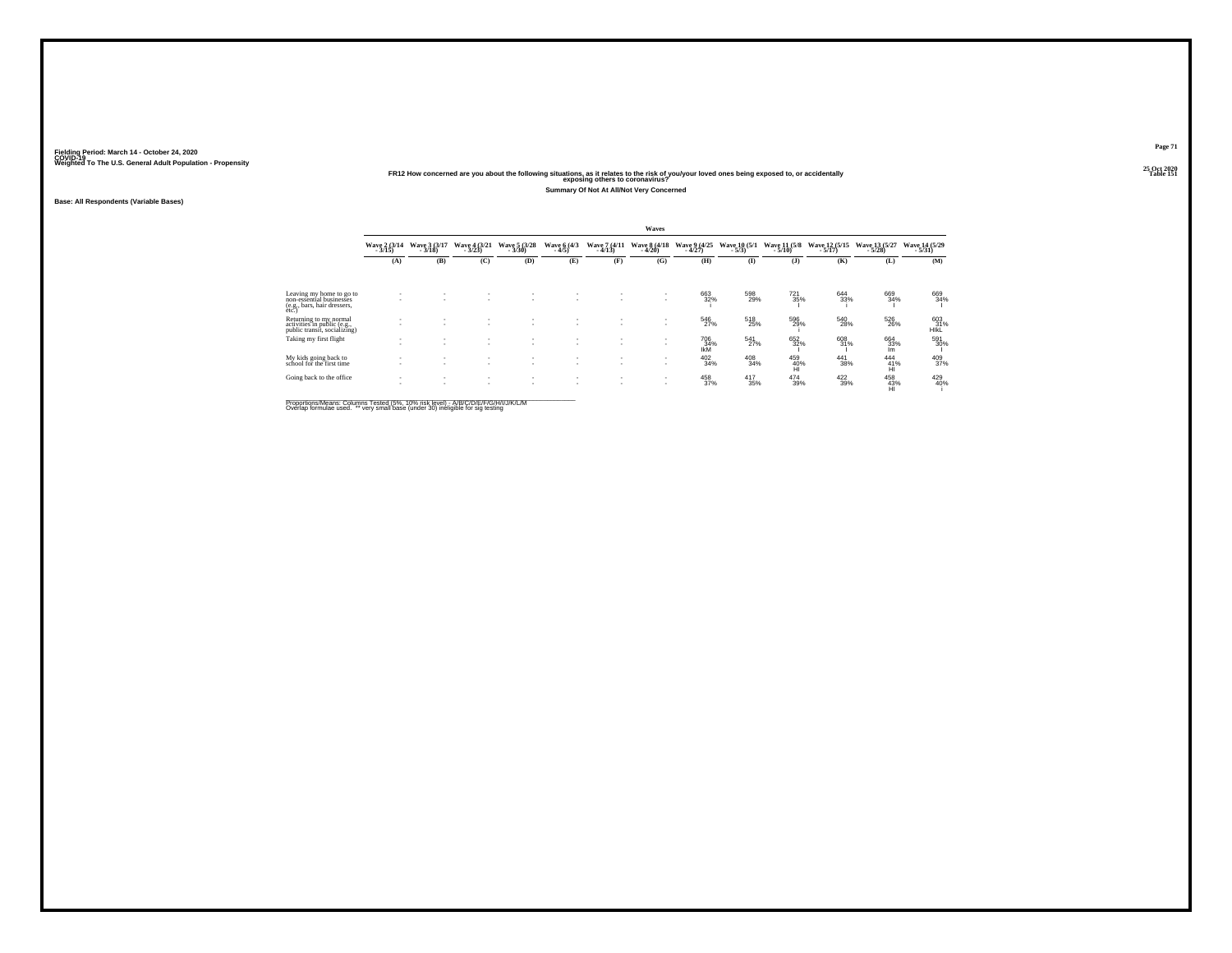# **25 Oct 2020FR12 How concerned are you about the following situations, as it relates to the risk of you/your loved ones being exposed to, or accidentally Table 151 exposing others to coronavirus?**

**Summary Of Not At All/Not Very Concerned**

**Base: All Respondents (Variable Bases)**

|                                                                                              |                          |                               |                                                      |                                                      |                               |                               | Waves                    |                          |                          |                          |                           |                                        |                           |
|----------------------------------------------------------------------------------------------|--------------------------|-------------------------------|------------------------------------------------------|------------------------------------------------------|-------------------------------|-------------------------------|--------------------------|--------------------------|--------------------------|--------------------------|---------------------------|----------------------------------------|---------------------------|
|                                                                                              | Wave $2(3/14$<br>$3/15)$ | Wave 3 (3/17)<br>$-3/18$      | Wave 4 (3/21)<br>$-3/23$                             | Wave 5 (3/28)<br>$-3/30$                             | Wave 6 (4/3)<br>$-4/5$        | Wave 7 (4/11)<br>$-4/13$      | Wave 8 (4/18)<br>$-4/20$ | Wave 9 (4/25)<br>$-4/27$ | Wave 10 (5/1)<br>$-5/3)$ | Wave 11 (5/8)<br>$-5/10$ | Wave 12 (5/15)<br>$-5/17$ | Wave 13 (5/27)<br>$-5/28$              | Wave 14 (5/29)<br>$-5/31$ |
|                                                                                              | (A)                      | (B)                           | (C)                                                  | (D)                                                  | (E)                           | (F)                           | (G)                      | (H)                      | (1)                      | $($ $)$                  | (K)                       | (L)                                    | (M)                       |
|                                                                                              |                          |                               |                                                      |                                                      |                               |                               |                          |                          |                          |                          |                           |                                        |                           |
| Leaving my home to go to<br>non-essential businesses<br>(e.g., bars, hair dressers,<br>etc.) |                          |                               |                                                      |                                                      | ۰.                            | ۰.                            | ٠                        | 663<br>32%               | 598<br>29%               | $^{721}_{35\%}$          | 644<br>33%                | 669<br>34%                             | 669<br>34%                |
| Returning to my normal<br>activities in public (e.g.,<br>public transit, socializing)        |                          |                               | $\overline{\phantom{a}}$                             |                                                      |                               |                               | ٠<br>$\sim$              | 546<br>27%               | 518<br>25%               | 596<br>29%               | 540<br>28%                | 526<br>26%                             | 603<br>31%<br>HIKL        |
| Taking my first flight                                                                       |                          |                               | -                                                    |                                                      | $\overline{\phantom{a}}$      | ٠<br>$\overline{\phantom{a}}$ | ٠                        | 706<br>$\frac{34}{1}$    | $\frac{541}{27\%}$       | 652<br>32%               | 608<br>31%                | 664<br>33%<br>Im.                      | 591<br>30%                |
| My kids going back to<br>school for the first time                                           |                          | ٠                             | ٠<br>$\overline{\phantom{a}}$                        | $\overline{\phantom{a}}$                             | ٠<br>$\overline{\phantom{a}}$ | ٠<br>$\overline{\phantom{a}}$ | ٠                        | $\frac{402}{34\%}$       | 408<br>34%               | 459<br>40%<br>HÌ         | 441<br>38%                | $\frac{444}{41\%}$<br>HI               | 409<br>37%                |
| Going back to the office                                                                     | ٠                        | $\overline{\phantom{a}}$<br>- | $\overline{\phantom{a}}$<br>$\overline{\phantom{a}}$ | $\overline{\phantom{a}}$<br>$\overline{\phantom{a}}$ | ٠                             | $\overline{\phantom{a}}$<br>٠ |                          | $\frac{458}{37\%}$       | $^{417}_{35\%}$          | 474<br>39%               | 422/39%                   | $^{458}_{\  \  \, 43\%}_{\  \  \, HI}$ | 429<br>40%                |
|                                                                                              |                          |                               |                                                      |                                                      |                               |                               |                          |                          |                          |                          |                           |                                        |                           |

Proportions/Means: Columns Tested (5%, 10% risk level) - A/B/C/D/E/F/G/H/I/J/K/L/M<br>Overlap formulae used. \*\* very small base (under 30) ineligible for sig testing

**Page 71**25 Oct 2020<br>Table 151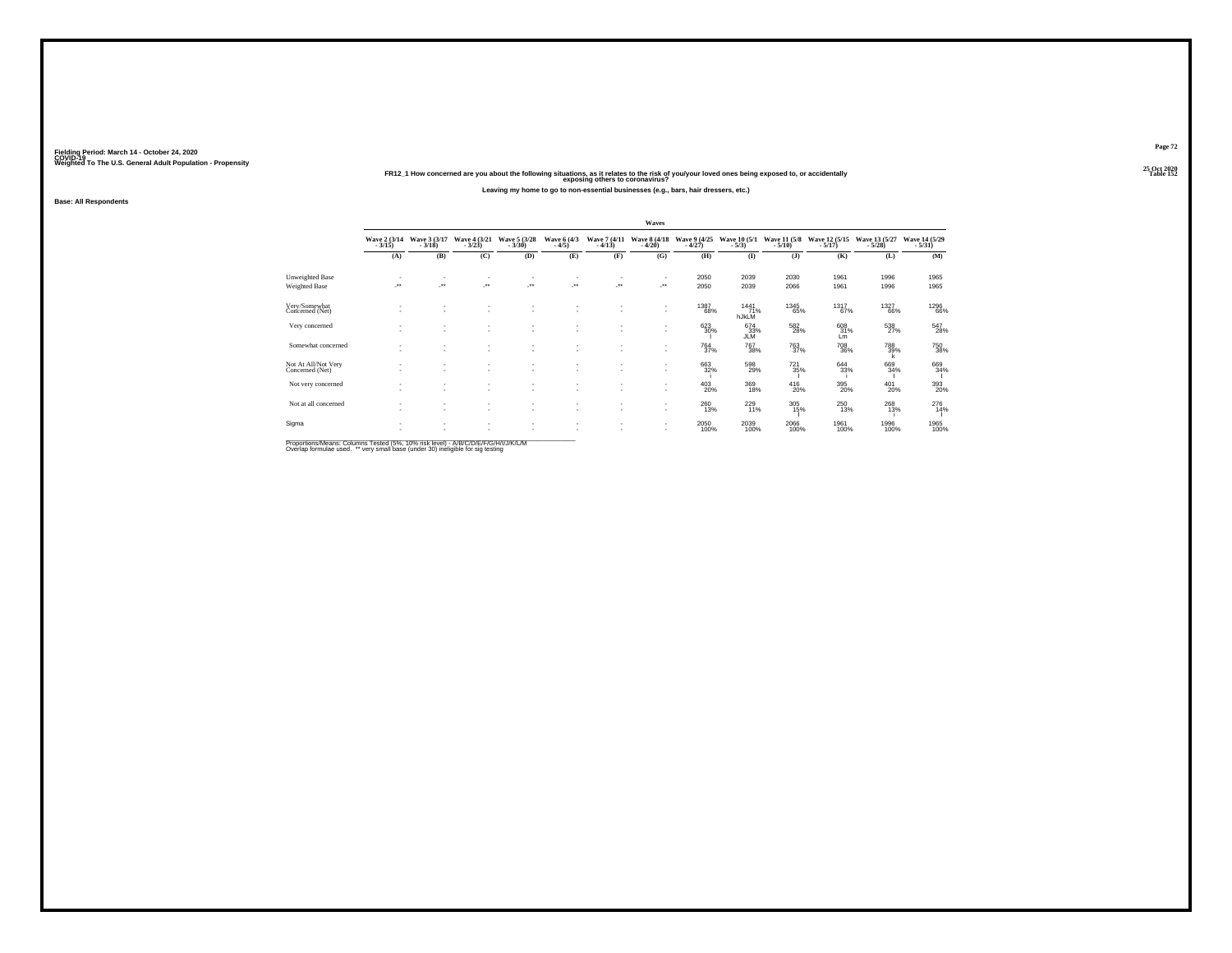#### **25 Oct 2020FR12\_1 How concerned are you about the following situations, as it relates to the risk of you/your loved ones being exposed to, or accidentally Table 152 exposing others to coronavirus?Leaving my home to go to non-essential businesses (e.g., bars, hair dressers, etc.)**

**Base: All Respondents**

|                                        |         |                                       |                                    |                                    |                                |                          | Waves                    |                          |                          |                            |                           |                           |                           |
|----------------------------------------|---------|---------------------------------------|------------------------------------|------------------------------------|--------------------------------|--------------------------|--------------------------|--------------------------|--------------------------|----------------------------|---------------------------|---------------------------|---------------------------|
|                                        | $-3/15$ | Wave 2 (3/14 Wave 3 (3/17)<br>$-3/18$ | Wave 4 (3/21)<br>$-3/23$           | Wave 5 (3/28)<br>$-3/30$           | Wave 6 (4/3)<br>$-4/5$         | Wave 7 (4/11)<br>$-4/13$ | Wave 8 (4/18)<br>$-4/20$ | Wave 9 (4/25)<br>$-4/27$ | Wave 10 (5/1)<br>$-5/3)$ | Wave 11 (5/8)<br>$-5/10$ ) | Wave 12 (5/15)<br>$-5/17$ | Wave 13 (5/27)<br>$-5/28$ | Wave 14 (5/29)<br>$-5/31$ |
|                                        | (A)     | (B)                                   | (C)                                | (D)                                | (E)                            | (F)                      | (G)                      | (H)                      | (I)                      | (1)                        | (K)                       | (L)                       | (M)                       |
| Unweighted Base                        |         | ٠                                     | $\sim$                             |                                    | $\overline{\phantom{a}}$       | ٠                        | $\sim$                   | 2050                     | 2039                     | 2030                       | 1961                      | 1996                      | 1965                      |
| Weighted Base                          | ÷.      | ÷.                                    | ×                                  | $\overline{\phantom{a}}$           | $\overline{\phantom{a}}$       | $\cdot$                  | $\cdot$                  | 2050                     | 2039                     | 2066                       | 1961                      | 1996                      | 1965                      |
| Very/Somewhat<br>Concerned (Net)       |         |                                       |                                    |                                    |                                |                          | $\sim$<br>٠              | 1387<br>68%              | 1441<br>71%<br>hJkLM     | 1345<br>65%                | 1317<br>67%               | 1327<br>66%               | 1296<br>66%               |
| Very concerned                         | $\sim$  | ٠                                     | ٠<br>$\overline{\phantom{a}}$      | ٠<br>$\overline{\phantom{a}}$      | ٠<br>$\overline{\phantom{a}}$  | ٠                        | $\sim$                   | $\substack{623 \\ 30\%}$ | 674<br>33%<br><b>JLM</b> | $^{582}_{28\%}$            | 608<br>31%<br>Lm          | $^{538}_{27\%}$           | $^{547}_{28\%}$           |
| Somewhat concerned                     | ٠.      | ٠                                     | ٠<br>$\sim$                        | $\sim$                             | ٠<br>$\overline{\phantom{a}}$  | ٠                        | $\sim$<br>$\sim$         | $^{764}_{37\%}$          | $^{767}_{38\%}$          | <sup>763</sup> 37%         | 708<br>36%                | 788<br>39%<br>k           | 750<br>38%                |
| Not At All/Not Very<br>Concerned (Net) | $\sim$  | ٠<br>٠                                | $\sim$<br>$\sim$                   | $\sim$<br>٠                        | ٠<br>٠                         | ٠<br>٠                   | $\sim$<br>$\sim$         | 663<br>32%               | 598<br>29%               | 721<br>35%                 | 644<br>33%                | 669<br>34%                | 669<br>34%                |
| Not very concerned                     | ٠       | ٠<br>٠                                | $\sim$<br>$\overline{\phantom{a}}$ | $\sim$<br>$\overline{\phantom{a}}$ | $\overline{\phantom{a}}$<br>۰. | ٠<br>٠                   | $\sim$<br>$\sim$         | $^{403}_{20\%}$          | $\frac{369}{18\%}$       | $^{416}_{20\%}$            | 395<br>20%                | $^{401}_{20\%}$           | 393<br>20%                |
| Not at all concerned                   | ٠.      | ٠<br>$\overline{\phantom{a}}$         | $\sim$<br>$\overline{\phantom{a}}$ | $\sim$<br>$\overline{\phantom{a}}$ | $\overline{\phantom{a}}$<br>٠. | ٠<br>٠                   | $\sim$<br>$\sim$         | $^{260}_{13\%}$          | 229<br>11%               | 305 %                      | $^{250}_{13\%}$           | 268<br>13%                | 276<br>14%                |
| Sigma                                  | $\sim$  | ٠<br>٠                                | $\sim$<br>٠                        | $\sim$<br>٠                        | $\overline{\phantom{a}}$<br>٠  | ٠<br>٠                   | ٠<br>$\sim$              | 2050<br>100%             | 2039<br>100%             | 2066<br>100%               | 1961<br>100%              | 1996<br>100%              | 1965<br>100%              |

Proportions/Means: Columns Tested (5%, 10% risk level) - A/B/C/D/E/F/G/H/I/J/K/L/M<br>Overlap formulae used. \*\* very small base (under 30) ineligible for sig testing

**Page 72**25 Oct 2020<br>Table 152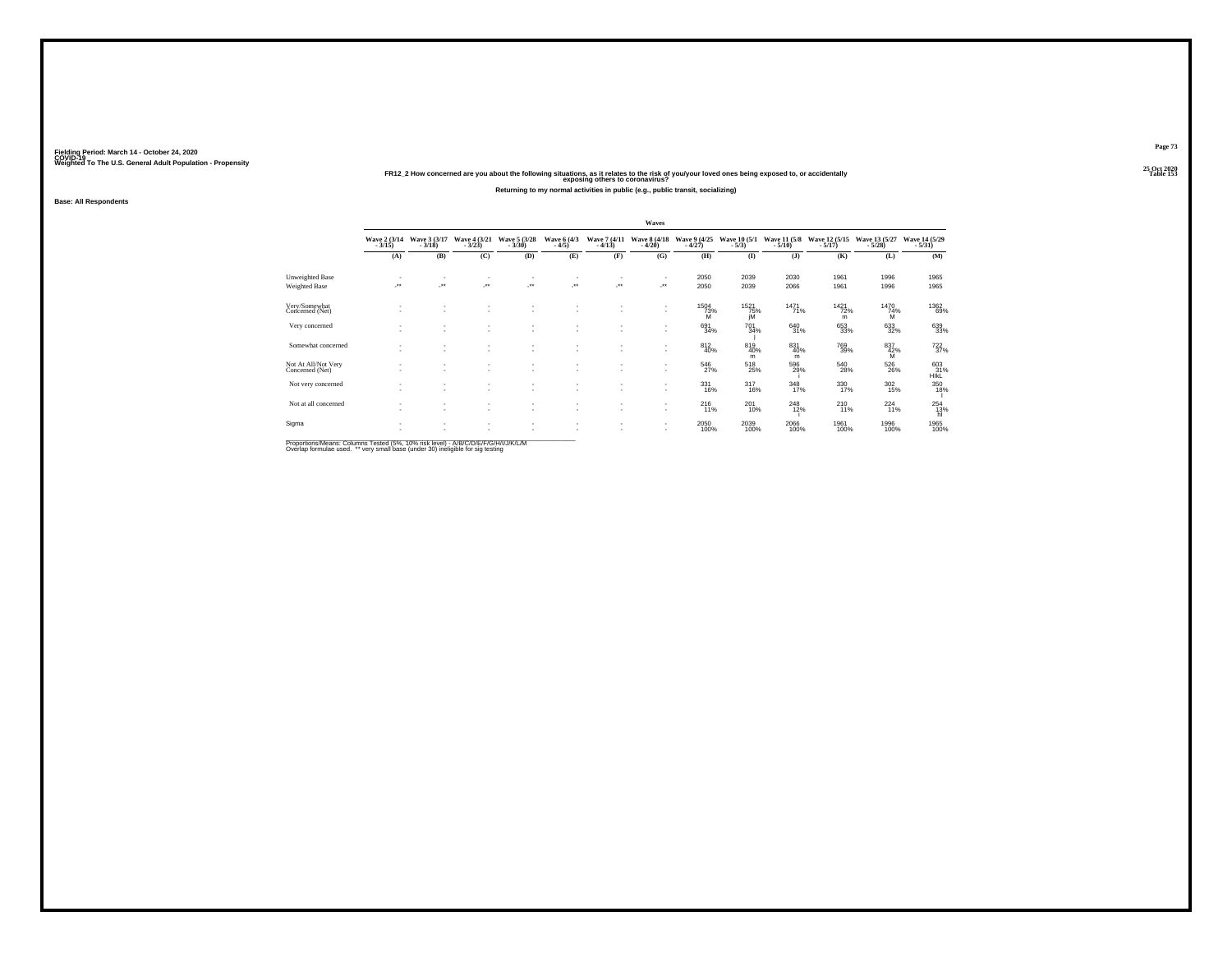#### **25 Oct 2020FR12\_2 How concerned are you about the following situations, as it relates to the risk of you/your loved ones being exposed to, or accidentally Table 153 exposing others to coronavirus?Returning to my normal activities in public (e.g., public transit, socializing)**

**Base: All Respondents**

|                                        |                          |                                       |                                    |                                    |                                                      |                          | Waves                    |                          |                          |                            |                           |                           |                                                |
|----------------------------------------|--------------------------|---------------------------------------|------------------------------------|------------------------------------|------------------------------------------------------|--------------------------|--------------------------|--------------------------|--------------------------|----------------------------|---------------------------|---------------------------|------------------------------------------------|
|                                        | $-3/15$                  | Wave 2 (3/14 Wave 3 (3/17)<br>$-3/18$ | Wave 4 (3/21)<br>$-3/23$           | Wave 5 (3/28)<br>$-3/30$           | Wave 6 (4/3)<br>$-4/5$                               | Wave 7 (4/11)<br>$-4/13$ | Wave 8 (4/18)<br>$-4/20$ | Wave 9 (4/25)<br>$-4/27$ | Wave 10 (5/1)<br>$-5/3)$ | Wave 11 (5/8)<br>$-5/10$ ) | Wave 12 (5/15)<br>$-5/17$ | Wave 13 (5/27)<br>$-5/28$ | Wave 14 (5/29)<br>$-5/31$                      |
|                                        | (A)                      | (B)                                   | (C)                                | (D)                                | (E)                                                  | (F)                      | (G)                      | (H)                      | $\mathbf{I}$             | (3)                        | (K)                       | (L)                       | (M)                                            |
| Unweighted Base                        | $\sim$                   |                                       | $\sim$                             | ٠                                  | $\overline{\phantom{a}}$                             | ٠                        |                          | 2050                     | 2039                     | 2030                       | 1961                      | 1996                      | 1965                                           |
| Weighted Base                          | $\overline{\phantom{a}}$ | J.                                    | ×                                  | $\overline{\phantom{a}}$           | $\mathcal{L}^{\bullet\bullet}$                       | $\cdot$                  | $\cdot$                  | 2050                     | 2039                     | 2066                       | 1961                      | 1996                      | 1965                                           |
| Very/Somewhat<br>Concerned (Net)       |                          |                                       | ٠                                  |                                    |                                                      |                          | $\sim$<br>$\sim$         | 1504<br>73%<br>M         | 1521<br>75%<br>iM        | 1471<br>71%                | 1421<br>72%<br>m          | 1470<br>74%<br>м          | 1362<br>69%                                    |
| Very concerned                         | $\sim$                   | ٠                                     | ٠<br>$\overline{\phantom{a}}$      | $\overline{\phantom{a}}$           | ٠<br>٠.                                              | ٠                        | $\sim$                   | $691 \over 34\%$         | $^{701}_{34\%}$          | $^{640}_{31\%}$            | 653<br>33%                | $\substack{633 \\ 32\%}$  | 639<br>33%                                     |
| Somewhat concerned                     | $\sim$                   | ٠<br>٠                                | $\sim$<br>٠                        | $\sim$<br>$\sim$                   | $\overline{\phantom{a}}$<br>$\overline{\phantom{a}}$ | ٠<br>٠                   | ٠<br>$\sim$              | $\frac{812}{40\%}$       | 819 40%<br>m             | 831<br>40%<br>m            | 769<br>39%                | $\frac{837}{42\%}$        | $^{722}_{37\%}$                                |
| Not At All/Not Very<br>Concerned (Net) | $\sim$                   | ٠                                     | $\sim$<br>٠                        | $\sim$                             | ٠                                                    | ٠                        | ٠<br>$\sim$              | 546<br>27%               | 518<br>25%               | 596<br>29%                 | 540<br>28%                | 526<br>26%                | $\overset{603}{_{\rule{0pt}{6pt}\text{HikL}}}$ |
| Not very concerned                     | $\sim$                   | $\overline{\phantom{a}}$              | $\sim$<br>$\overline{\phantom{a}}$ | $\sim$<br>$\overline{\phantom{a}}$ | ٠<br>$\sim$                                          | ٠<br>٠                   | $\sim$<br>$\sim$         | $\frac{331}{16\%}$       | $317 \atop 16\%$         | $\frac{348}{17\%}$         | 330<br>17%                | $\frac{302}{15\%}$        | 350<br>18%                                     |
| Not at all concerned                   |                          | ٠<br>٠                                | $\sim$<br>$\sim$                   | $\sim$<br>$\sim$                   | $\overline{\phantom{a}}$<br>$\overline{\phantom{a}}$ | ٠<br>٠                   | $\sim$<br>×.             | $^{216}_{11\%}$          | $^{201}_{10\%}$          | $^{248}_{12\%}$            | $^{210}_{11\%}$           | $^{224}_{11\%}$           | 254<br>13%<br>hì                               |
| Sigma                                  | $\sim$                   | ٠<br>٠                                | $\sim$<br>٠                        | $\sim$<br>$\overline{\phantom{a}}$ | $\overline{\phantom{a}}$<br>٠                        | ٠<br>٠                   | $\sim$<br>$\sim$         | 2050<br>100%             | 2039<br>100%             | 2066<br>100%               | 1961<br>100%              | 1996<br>100%              | 1965<br>100%                                   |

Proportions/Means: Columns Tested (5%, 10% risk level) - A/B/C/D/E/F/G/H/I/J/K/L/M<br>Overlap formulae used. \*\* very small base (under 30) ineligible for sig testing

**Page 73**25 Oct 2020<br>Table 153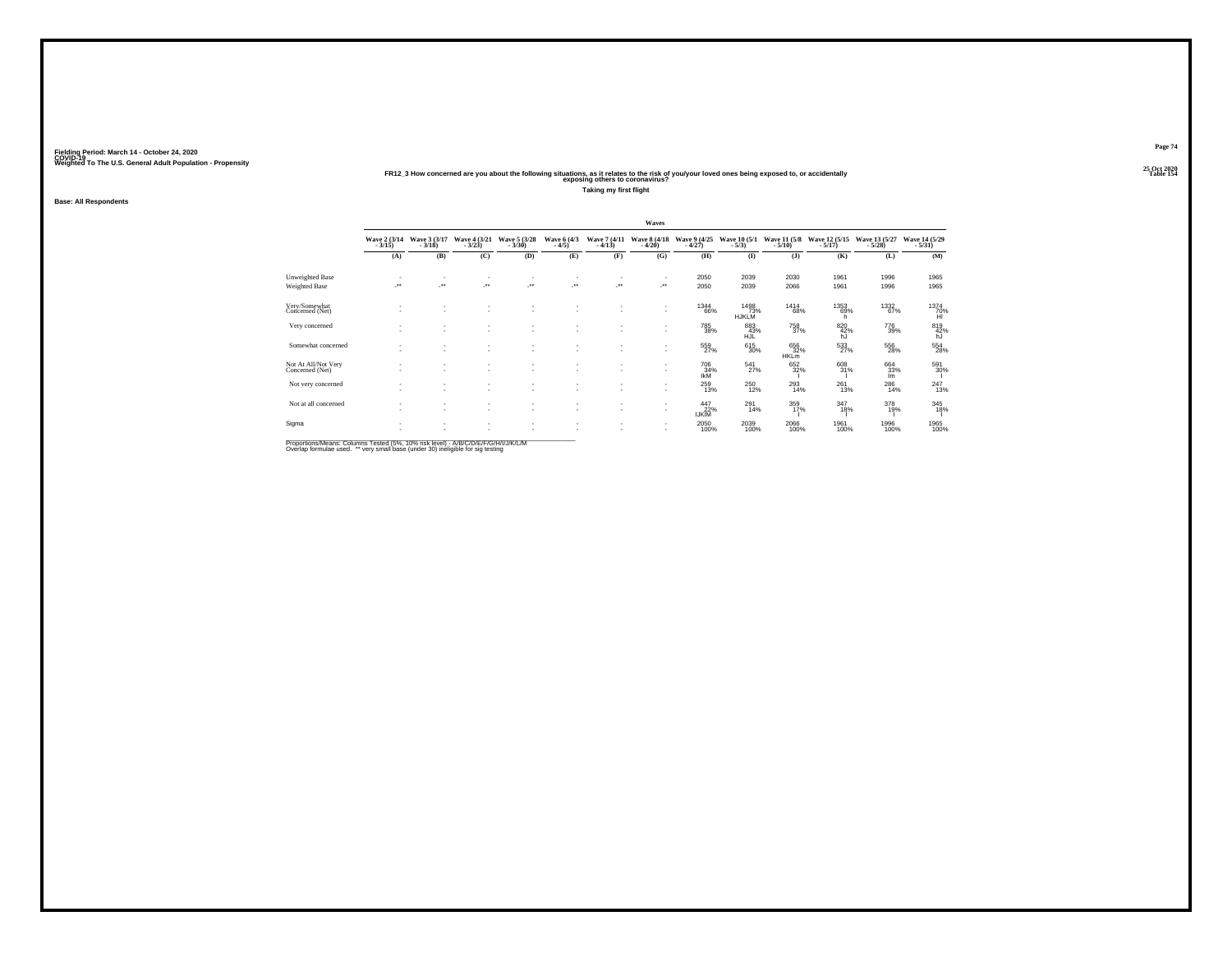#### **25 Oct 2020FR12\_3 How concerned are you about the following situations, as it relates to the risk of you/your loved ones being exposed to, or accidentally Table 154 exposing others to coronavirus?**

**Taking my first flight**

**Base: All Respondents**

|                                        |                  |                               |                                    |                          |                                                      |                          | Waves                    |                          |                             |                               |                           |                           |                           |
|----------------------------------------|------------------|-------------------------------|------------------------------------|--------------------------|------------------------------------------------------|--------------------------|--------------------------|--------------------------|-----------------------------|-------------------------------|---------------------------|---------------------------|---------------------------|
|                                        | Wave 2 (3/14)    | Wave 3 (3/17)<br>$-3/18$      | Wave 4 (3/21)<br>$-3/23$           | Wave 5 (3/28)<br>$-3/30$ | Wave 6 (4/3)<br>$-4/5)$                              | Wave 7 (4/11)<br>$-4/13$ | Wave 8 (4/18)<br>$-4/20$ | Wave 9 (4/25)<br>$-4/27$ | Wave 10 (5/1)<br>$-5/3)$    | Wave 11 (5/8)<br>$-5/10$ )    | Wave 12 (5/15)<br>$-5/17$ | Wave 13 (5/27)<br>$-5/28$ | Wave 14 (5/29)<br>$-5/31$ |
|                                        | (A)              | (B)                           | (C)                                | (D)                      | (E)                                                  | (F)                      | (G)                      | (H)                      | $($ I                       | $($ $)$                       | (K)                       | (L)                       | (M)                       |
| Unweighted Base                        | ٠                |                               | $\sim$                             | ٠                        | $\overline{\phantom{a}}$                             | ٠                        | ٠                        | 2050                     | 2039                        | 2030                          | 1961                      | 1996                      | 1965                      |
| Weighted Base                          | ÷.               | J.                            | ×                                  | J.                       | $\cdot$                                              | $\cdot$                  | $\cdot$                  | 2050                     | 2039                        | 2066                          | 1961                      | 1996                      | 1965                      |
| Very/Somewhat<br>Concerned (Net)       |                  |                               |                                    |                          |                                                      |                          | ٠<br>$\sim$              | 1344<br>66%              | 1498<br>73%<br><b>HJKLM</b> | 1414<br>68%                   | 1353<br>69%<br>h.         | 1332<br>67%               | 1374<br>70%               |
| Very concerned                         |                  | ٠<br>٠                        | $\sim$<br>$\sim$                   | $\sim$<br>$\sim$         | ٠<br>$\overline{\phantom{a}}$                        | ٠<br>٠                   | $\sim$<br>٠              | $\substack{785 \\ 38\%}$ | 883<br>43%<br><b>HJL</b>    | <sup>758</sup> <sub>37%</sub> | 820<br>42%<br>hJ          | 776<br>39%                | 819<br>42%<br>hJ          |
| Somewhat concerned                     |                  | $\overline{\phantom{a}}$      | $\sim$<br>$\sim$                   | ٠<br>$\sim$              | ٠<br>$\overline{\phantom{a}}$                        | ٠                        | ٠<br>$\sim$              | $^{559}_{27\%}$          | $\substack{615 \\ 30\%}$    | 656<br>32%<br>HKLm            | 533<br>27%                | 556<br>28%                | 554<br>28%                |
| Not At All/Not Very<br>Concerned (Net) | $\sim$<br>$\sim$ | ٠<br>$\sim$                   | $\sim$<br>٠                        | $\sim$<br>$\sim$         | $\overline{\phantom{a}}$<br>$\overline{\phantom{a}}$ | ٠<br>٠                   | ٠<br>$\sim$              | 706<br>34%<br><b>IKM</b> | 541<br>27%                  | 652<br>32%                    | 608<br>31%                | 664<br>33%<br>Im          | 591<br>30%                |
| Not very concerned                     | $\sim$           | ٠                             | $\sim$<br>$\overline{\phantom{a}}$ | $\sim$<br>$\sim$         | $\overline{\phantom{a}}$<br>٠                        | ٠<br>٠                   | $\sim$<br>$\sim$         | $^{259}_{13\%}$          | $^{250}_{12\%}$             | $^{293}_{14\%}$               | $^{261}_{13\%}$           | $^{286}_{14\%}$           | $^{247}_{13\%}$           |
| Not at all concerned                   |                  | ٠<br>$\overline{\phantom{a}}$ | ٠<br>$\overline{\phantom{a}}$      | ٠<br>$\sim$              | ٠<br>$\sim$                                          | ٠<br>٠                   | ٠<br>$\sim$              | $\frac{447}{22\%}$       | $^{291}_{14\%}$             | 359<br>17%                    | 347<br>18%                | 378<br>19%                | 345<br>18%                |
| Sigma                                  | ٠                | ٠<br>٠                        | $\sim$<br>٠                        | $\sim$<br>$\sim$         | $\overline{\phantom{a}}$<br>٠                        | ٠<br>٠                   | $\sim$<br>$\sim$         | 2050<br>100%             | 2039<br>100%                | 2066<br>100%                  | 1961<br>100%              | 1996<br>100%              | 1965<br>100%              |

Proportions/Means: Columns Tested (5%, 10% risk level) - A/B/C/D/E/F/G/H/I/J/K/L/M<br>Overlap formulae used. \*\* very small base (under 30) ineligible for sig testing

**Page 74**25 Oct 2020<br>Table 154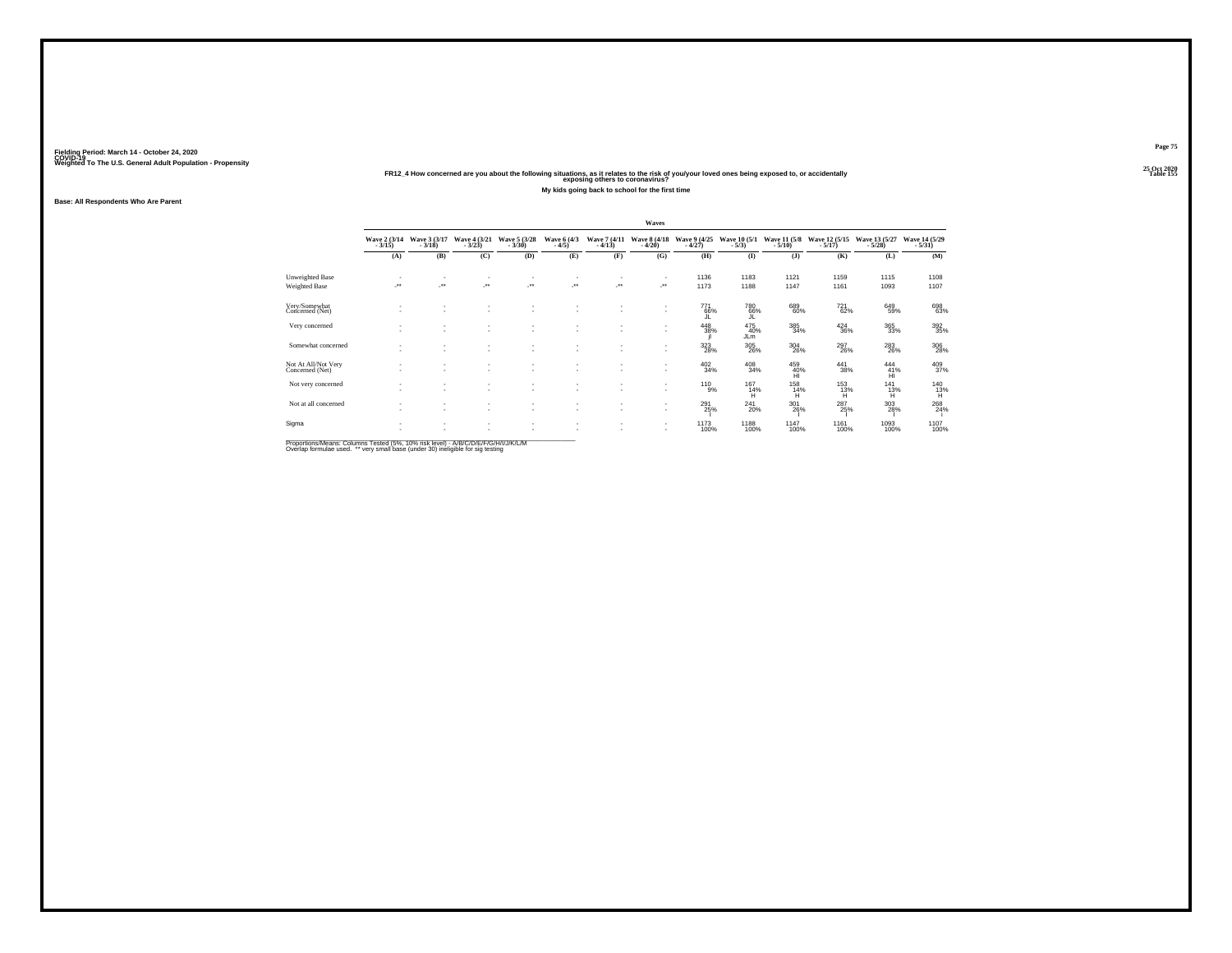**25 Oct 2020FR12\_4 How concerned are you about the following situations, as it relates to the risk of you/your loved ones being exposed to, or accidentally Table 155 exposing others to coronavirus?My kids going back to school for the first time**

**Base: All Respondents Who Are Parent**

|                                        |                          |                          |                                                      |                          |                        |                          | Waves                    |                          |                         |                                                  |                           |                                       |                           |
|----------------------------------------|--------------------------|--------------------------|------------------------------------------------------|--------------------------|------------------------|--------------------------|--------------------------|--------------------------|-------------------------|--------------------------------------------------|---------------------------|---------------------------------------|---------------------------|
|                                        | Wave 2 (3/14)<br>$-3/15$ | Wave 3 (3/17)<br>$-3/18$ | Wave 4 (3/21)<br>$-3/23$                             | Wave 5 (3/28)<br>$-3/30$ | Wave 6 (4/3)<br>$-4/5$ | Wave 7 (4/11)<br>$-4/13$ | Wave 8 (4/18)<br>$-4/20$ | Wave 9 (4/25)<br>$-4/27$ | Wave 10 (5/1)<br>$-5/3$ | Wave 11 (5/8)<br>$-5/10$                         | Wave 12 (5/15)<br>$-5/17$ | Wave 13 (5/27)<br>$-5/28$             | Wave 14 (5/29)<br>$-5/31$ |
|                                        | (A)                      | (B)                      | (C)                                                  | (D)                      | (E)                    | (F)                      | (G)                      | (H)                      | (I)                     | (3)                                              | (K)                       | (L)                                   | (M)                       |
| Unweighted Base                        |                          |                          | $\sim$                                               |                          | ٠                      |                          | ٠                        | 1136                     | 1183                    | 1121                                             | 1159                      | 1115                                  | 1108                      |
| Weighted Base                          | $\cdot$                  | $\overline{\phantom{a}}$ | J.                                                   | $\cdot$                  | 59                     | $\cdot$                  | $\cdot$                  | 1173                     | 1188                    | 1147                                             | 1161                      | 1093                                  | 1107                      |
| Very/Somewhat<br>Concerned (Net)       | ٠                        | ٠                        | ٠                                                    | $\sim$                   | ٠                      | ٠                        | ٠<br>٠                   | 771<br>66%               | 780<br>66%              | 689<br>60%                                       | 721<br>62%                | 649<br>59%                            | 698<br>63%                |
| Very concerned                         |                          | $\mathbf{r}$             | $\sim$<br>$\sim$                                     | ٠<br>$\sim$              | ٠<br>٠                 |                          | ٠<br>٠                   | 448<br>38%               | 475<br>40%<br>JLm       | 385<br>34%                                       | $^{424}_{36\%}$           | $\substack{365 \\ 33\%}$              | 392<br>35%                |
| Somewhat concerned                     |                          |                          | $\sim$<br>$\overline{\phantom{a}}$                   | ٠                        | ٠                      |                          | ٠<br>٠                   | $\frac{323}{28\%}$       | $^{305}_{\,26\%}$       | $^{304}_{\phantom{1}\phantom{1}\phantom{1}26\%}$ | $^{297}_{26\%}$           | $^{283}_{\phantom{1}\phantom{1}26\%}$ | 306<br>28%                |
| Not At All/Not Very<br>Concerned (Net) | ٠                        | $\sim$                   | ٠<br>$\sim$                                          | ٠<br>$\sim$              | ٠<br>٠                 | ٠                        | ٠<br>٠                   | 402<br>34%               | 408<br>34%              | 459<br>40%                                       | 441<br>38%                | 444<br>41%<br>ĤÌ                      | 409<br>37%                |
| Not very concerned                     | $\sim$                   | $\sim$                   | $\overline{\phantom{a}}$<br>$\overline{\phantom{a}}$ | $\overline{\phantom{a}}$ | ٠                      | ٠                        | ٠<br>٠                   | 110 9%                   | 167<br>14%<br>н         | 158<br>14%<br>н                                  | 153<br>13%<br>н           | 141<br>13%<br>н                       | 140<br>13%<br>H.          |
| Not at all concerned                   | ٠<br>٠                   | ٠<br>٠                   | $\sim$<br>٠                                          | $\sim$<br>٠              | ٠<br>٠                 | ٠<br>٠                   | ٠<br>٠                   | 291<br>25%               | 241<br>20%              | 301<br>26%                                       | 287<br>25%                | 303<br>28%                            | 268                       |
| Sigma                                  | $\sim$                   | $\mathbf{r}$             | $\sim$<br>$\overline{\phantom{a}}$                   | ٠                        | ٠                      |                          | ٠<br>٠                   | <sup>1173</sup><br>100%  | <sup>1188</sup><br>100% | 1147<br>100%                                     | 1161<br>100%              | 1093<br>100%                          | 1107<br>100%              |

Proportions/Means: Columns Tested (5%, 10% risk level) - A/B/C/D/E/F/G/H/I/J/K/L/M<br>Overlap formulae used. \*\* very small base (under 30) ineligible for sig testing

**Page 75**25 Oct 2020<br>Table 155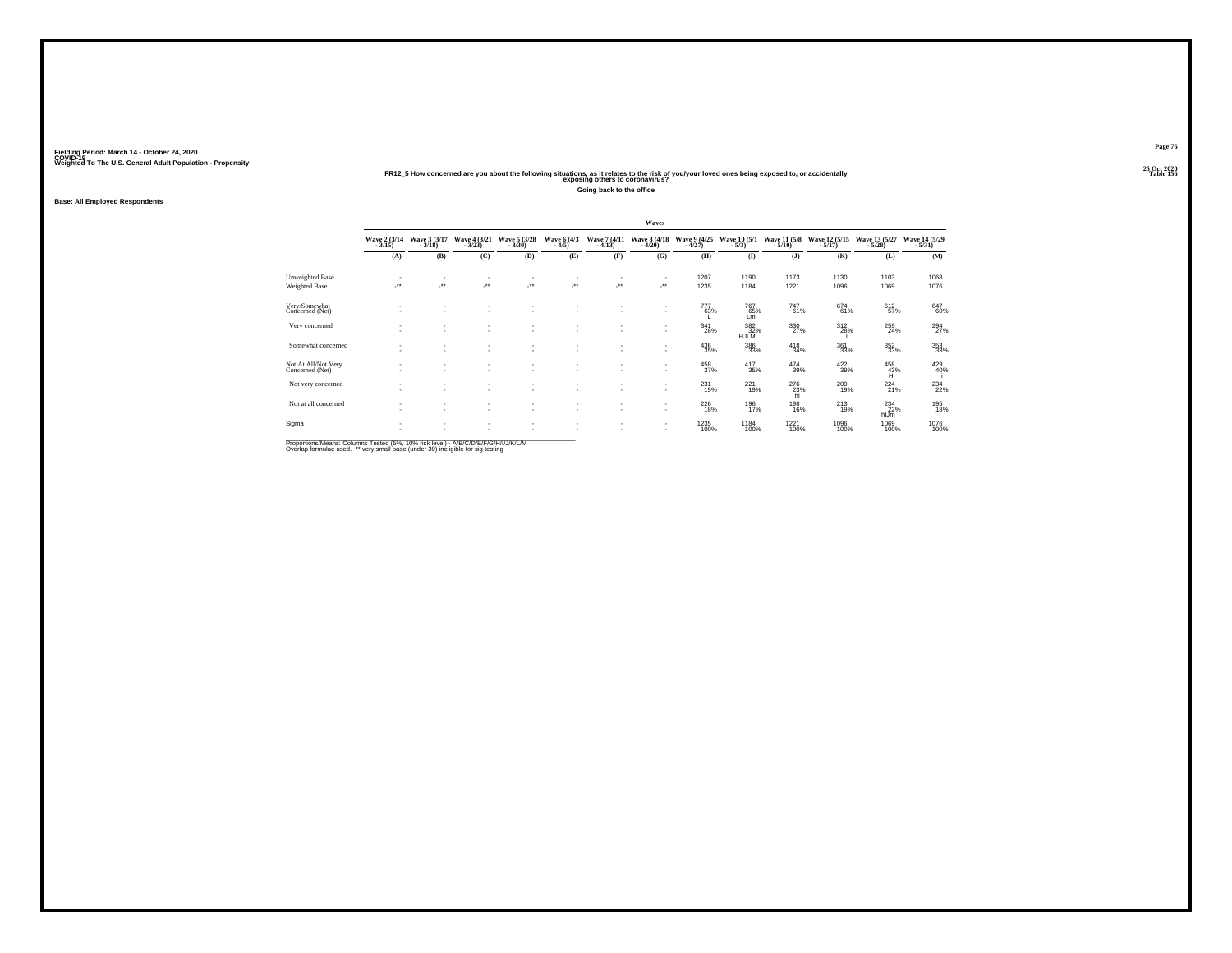# **25 Oct 2020FR12\_5 How concerned are you about the following situations, as it relates to the risk of you/your loved ones being exposed to, or accidentally Table 156 exposing others to coronavirus?**

**Going back to the office**

**Base: All Employed Respondents**

|                                        |                          |                                    |                          |                                                      |                                          |                                    | Waves                    |                            |                                   |                          |                           |                           |                           |
|----------------------------------------|--------------------------|------------------------------------|--------------------------|------------------------------------------------------|------------------------------------------|------------------------------------|--------------------------|----------------------------|-----------------------------------|--------------------------|---------------------------|---------------------------|---------------------------|
|                                        | Wave 2 (3/14)<br>$-3/15$ | Wave 3 (3/17)<br>$-3/18$           | Wave 4 (3/21)<br>$-3/23$ | Wave 5 (3/28)<br>$-3/30$                             | Wave 6 (4/3)<br>$-4/5$                   | Wave 7 (4/11)<br>$-4/13$           | Wave 8 (4/18)<br>$-4/20$ | Wave 9 (4/25)<br>$-4/27$   | Wave 10 (5/1)<br>$-5/3)$          | Wave 11 (5/8)<br>$-5/10$ | Wave 12 (5/15)<br>$-5/17$ | Wave 13 (5/27)<br>$-5/28$ | Wave 14 (5/29)<br>$-5/31$ |
|                                        | (A)                      | (B)                                | (C)                      | (D)                                                  | (E)                                      | (F)                                | (G)                      | (H)                        | (I)                               | (1)                      | (K)                       | (L)                       | (M)                       |
| Unweighted Base                        | ٠<br>÷.                  | ٠<br>÷.                            | ٠<br>×                   | ٠<br>$\cdot$                                         | $\cdot$                                  | $\mathcal{L}^{\star\star}$         | $\cdot$                  | 1207<br>1235               | 1190<br>1184                      | 1173<br>1221             | 1130<br>1096              | 1103<br>1069              | 1068<br>1076              |
| Weighted Base                          |                          |                                    |                          |                                                      |                                          |                                    |                          |                            |                                   |                          |                           |                           |                           |
| Very/Somewhat<br>Concerned (Net)       | ٠<br>٠                   | $\sim$<br>$\sim$                   | ٠<br>$\sim$              | ٠<br>$\overline{\phantom{a}}$                        | $\overline{\phantom{a}}$<br>$\mathbf{r}$ | $\sim$                             | $\sim$<br>$\sim$         | 777<br>63%                 | 767<br>65%<br>Lm                  | 747<br>61%               | 674<br>61%                | 612<br>57%                | 647<br>60%                |
| Very concerned                         | ٠                        | $\sim$<br>$\overline{\phantom{a}}$ | ٠<br>٠                   | $\sim$<br>$\overline{\phantom{a}}$                   |                                          |                                    | $\sim$<br>$\sim$         | 341<br>28%                 | $\frac{382}{32\%}$<br><b>HJLM</b> | 330<br>27%               | $^{312}_{28\%}$           | $^{259}_{24\%}$           | 294<br>27%                |
| Somewhat concerned                     | ٠<br>٠                   | ٠<br>$\sim$                        | ٠<br>$\sim$              | ٠<br>$\overline{\phantom{a}}$                        | $\overline{\phantom{a}}$                 |                                    | $\sim$                   | $^{436}_{\phantom{1}35\%}$ | $\substack{386 \\ 33\%}$          | $^{418}_{34\%}$          | $\substack{361 \\ 33\%}$  | $\substack{352\\33\%}$    | 353<br>33%                |
| Not At All/Not Very<br>Concerned (Net) | ٠<br>٠                   | $\sim$<br>$\sim$                   | ٠<br>$\sim$              | ٠<br>$\overline{\phantom{a}}$                        |                                          | $\sim$                             | $\sim$<br>$\sim$         | 458<br>37%                 | 417<br>35%                        | 474<br>39%               | 422<br>39%                | 458<br>43%<br>ĤĨ          | 429<br>40%                |
| Not very concerned                     | ٠<br>٠                   | ٠<br>$\sim$                        | ٠<br>$\sim$              | ٠<br>$\overline{\phantom{a}}$                        |                                          | $\sim$                             | $\sim$                   | $^{231}_{19\%}$            | $^{221}_{19\%}$                   | 276<br>23%<br>hi         | 209<br>19%                | $^{224}_{21\%}$           | 234<br>22%                |
| Not at all concerned                   | ٠<br>٠                   | $\sim$<br>$\sim$                   | $\sim$<br>$\sim$         | $\overline{\phantom{a}}$<br>$\overline{\phantom{a}}$ | $\overline{\phantom{a}}$<br>$\mathbf{r}$ | $\overline{\phantom{a}}$<br>$\sim$ | $\sim$<br>×.             | $^{226}_{\phantom{1}18\%}$ | 196<br>17%                        | 198<br>16%               | $^{213}_{19\%}$           | $^{234}_{22\%}$<br>hlJm   | 195<br>18%                |
| Sigma                                  | ٠                        | $\sim$<br>$\overline{\phantom{a}}$ | $\sim$<br>٠              | ۰<br>٠                                               | $\overline{\phantom{a}}$                 |                                    | $\sim$<br>$\sim$         | 1235<br>100%               | <sup>1184</sup> 100%              | <sup>1221</sup><br>100%  | 1096<br>100%              | 1069<br>100%              | 1076<br>100%              |

Proportions/Means: Columns Tested (5%, 10% risk level) - A/B/C/D/E/F/G/H/I/J/K/L/M<br>Overlap formulae used. \*\* very small base (under 30) ineligible for sig testing

**Page 76**25 Oct 2020<br>Table 156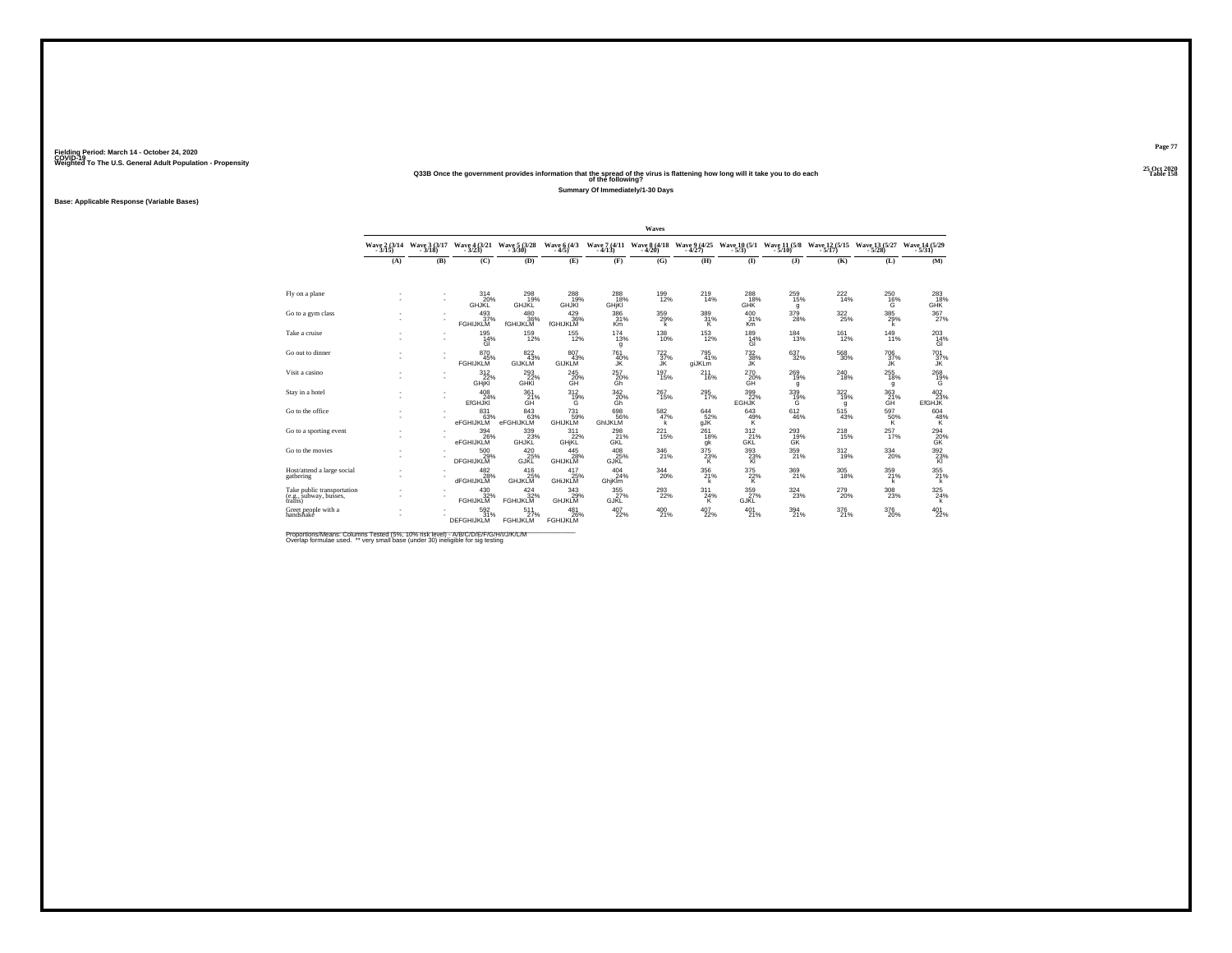#### **25 Oct 2020Q33B Once the government provides information that the spread of the virus is flattening how long will it take you to do each Table 158 of the following?**

**Summary Of Immediately/1-30 Days**

**Base: Applicable Response (Variable Bases)**

|                                                                 |                          |                        |                                          |                                     |                                 |                                   | Waves                                 |                          |                                |                                      |                                                                  |                            |                                       |
|-----------------------------------------------------------------|--------------------------|------------------------|------------------------------------------|-------------------------------------|---------------------------------|-----------------------------------|---------------------------------------|--------------------------|--------------------------------|--------------------------------------|------------------------------------------------------------------|----------------------------|---------------------------------------|
|                                                                 | Wave 2 (3/14)<br>$-3/15$ | Wave 3 (3/17<br>-3/18) | Wave $\frac{4}{3}$ $\frac{(3/21)}{(23)}$ | Wave 5 (3/28)<br>$-3/30$            | Wave 6 (4/3)<br>$-4/5$          | $-4/13$                           | Wave 7 (4/11 Wave 8 (4/18)<br>$-4/20$ | Wave 9 (4/25)<br>$-4/27$ | $-5/3$                         | $-5/10$                              | Wave 10 (5/1 Wave 11 (5/8 Wave 12 (5/15 Wave 13 (5/27<br>$-5/17$ | $-5/28$                    | Wave 14 (5/29)<br>$-5/31$             |
|                                                                 | (A)                      | (B)                    | (C)                                      | (D)                                 | (E)                             | (F)                               | (G)                                   | (H)                      | $($ I                          | (1)                                  | (K)                                                              | (L)                        | (M)                                   |
| Fly on a plane                                                  |                          | ٠                      | 314<br>20%<br><b>GHJKL</b>               | 298<br><b>GHJKL</b>                 | $^{288}_{19\%}$<br><b>GHJKI</b> | 288<br>18%<br>GHjKI               | 199<br>12%                            | 219<br>14%               | 288<br>18%<br><b>GHK</b>       | $^{259}_{15\%}$<br>g                 | 222<br>14%                                                       | $^{250}_{16\%}$<br>Ġ       | $^{283}_{18\%}$<br>GHK                |
| Go to a gym class                                               |                          |                        | 493/37%<br><b>FGHIJKLM</b>               | 480<br>36%<br>fGHIJKLM              | $^{429}_{36\%}$<br>fGHIJKLM     | 386<br>31%<br>Km                  | 359%<br>k                             | $\frac{389}{31\%}$       | 400<br>31%<br>K <sub>m</sub>   | 379<br>28%                           | 322/25%                                                          | 385<br>29%<br>k            | $\frac{367}{27\%}$                    |
| Take a cruise                                                   |                          | ٠                      | 195<br>14%<br>GI                         | $^{159}_{12\%}$                     | $^{155}_{12\%}$                 | $^{174}_{13\%}$<br>g              | $^{138}_{10\%}$                       | <sup>153</sup> 12%       | 189<br>14%<br>GI               | $^{184}_{13\%}$                      | $^{161}_{12\%}$                                                  | $^{149}_{11\%}$            | 203<br>14%<br>GI                      |
| Go out to dinner                                                |                          |                        | 870<br>45%<br><b>FGHIJKLM</b>            | 822 43%<br><b>GIJKLM</b>            | 807<br>43%<br><b>GIJKLM</b>     | 761<br>40%<br>JŘ                  | $^{722}_{37\%}$<br>ĴŔ                 | 795<br>41%<br>giJKLm     | $\frac{732}{38\%}$             | $\substack{637\\32\%}$               | $^{568}_{30\%}$                                                  | 70637%<br>ĴĶ.              | $\frac{701}{37\%}$                    |
| Visit a casino                                                  |                          |                        | 312<br>22%<br><b>GHjKI</b>               | 293<br>22%<br>GHKI                  | 245<br>20%<br>GĤ                | 257<br>$\frac{20\%}{\text{Gh}}$   | 197<br>15%                            | 211<br>16%               | 270<br>20%<br>ĞĤ               | 269<br>19%<br>g                      | 240<br>18%                                                       | 255<br>18%<br>g            | 268<br>$\frac{19}{6}$                 |
| Stay in a hotel                                                 |                          | ٠<br>×.                | $^{408}_{24\%}$<br><b>EfGHJKI</b>        | 361 <sub>%</sub><br>GH              | 312/19%<br>G                    | $\frac{342}{20\%}$<br>Gh          | $^{267}_{15\%}$                       | 295<br>17%               | 399<br>22%<br><b>EGHJK</b>     | 339%<br>G                            | 322/19%<br>g                                                     | $\frac{363}{21\%}$<br>GH   | 402 <sub>23%</sub><br><b>EfGHJK</b>   |
| Go to the office                                                |                          |                        | 831<br>63%<br>eFGHIJKLM                  | 843<br>63%<br>eFGHIJKLM             | 731<br>59%<br><b>GHIJKLM</b>    | 698<br>56%<br>GhIJKLM             | $\frac{582}{47\%}$<br>k               | 644<br>52%<br>gĴK        | 643<br>$\frac{49}{\mathsf{K}}$ | $^{612}_{46\%}$                      | 515<br>43%                                                       | 597<br>50%<br>K            | $^{604}_{\  \  \, 48\%}_{\  \  \, K}$ |
| Go to a sporting event                                          |                          |                        | 394<br>26%<br>eFGHIJKLM                  | 339<br>GHJKL <sup>23%</sup>         | 311<br>22%<br>GHjKL             | 298<br>GKL                        | 221<br>15%                            | 261<br>18%<br>gk         | 312<br>GKL                     | 293<br>G <sub>K</sub> <sup>19%</sup> | 218<br>15%                                                       | 257<br>17%                 | 294<br>20%<br>GK                      |
| Go to the movies                                                | ٠<br>٠                   |                        | 500<br>29%<br><b>DFGHIJKLM</b>           | $^{420}_{25\%}$ GJKL                | 445<br>28%<br><b>GHIJKLM</b>    | $^{408}_{25\%}$ GJKL              | $^{346}_{21\%}$                       | $\frac{375}{23}\%$       | $\frac{393}{23\%}$             | 359<br>21%                           | 312%                                                             | $^{334}_{20\%}$            | $\frac{392}{23\%}$                    |
| Host/attend a large social<br>gathering                         | ٠                        |                        | 482<br>28%<br>dFGHIJKLM                  | $^{416}_{25\%}$ GHJKLM              | 417<br>25%<br>GHIJKLM           | 404<br>24%<br>GhjKlm              | 344<br>20%                            | 356<br>21%<br>k          | 375<br>$\frac{22}{K}$          | 369<br>21%                           | 305<br>18%                                                       | 359<br>21%<br>k            | 355<br>21%<br>Ϊk.                     |
| Take public transportation<br>(e.g., subway, busses,<br>trains) | ٠                        |                        | $430 \over 32\%$<br><b>FGHIJKLM</b>      | $424 \over 32\%$<br><b>FGHIJKLM</b> | $343_{29\%}$<br><b>GHJKLM</b>   | $\frac{355}{27}\%$<br><b>GJKL</b> | $^{293}_{22\%}$                       | 311<br>24%<br>Κ          | 359 27%<br><b>GJKL</b>         | $\frac{324}{23\%}$                   | $^{279}_{20\%}$                                                  | $^{308}_{\phantom{1}23\%}$ | $\frac{325}{24\%}$<br>k               |
| Greet people with a<br>handshake                                |                          |                        | $^{592}_{31\%}$<br><b>DEFGHIJKLM</b>     | 511<br><sup>27%</sup><br>FGHIJKLM   | 481<br>26%<br><b>FGHIJKLM</b>   | 407<br>22%                        | $^{400}_{21\%}$                       | 407<br>22%               | 401<br>21%                     | $^{394}_{21\%}$                      | 376<br>21%                                                       | $^{376}_{20\%}$            | $^{401}_{22\%}$                       |

Proportions/Means: Columns Tested (5%, 10% risk level) - A/B/C/D/E/F/G/H/I/J/K/L/M<br>Overlap formulae used. \*\* very small base (under 30) ineligible for sig testing

**Page 77**25 Oct 2020<br>Table 158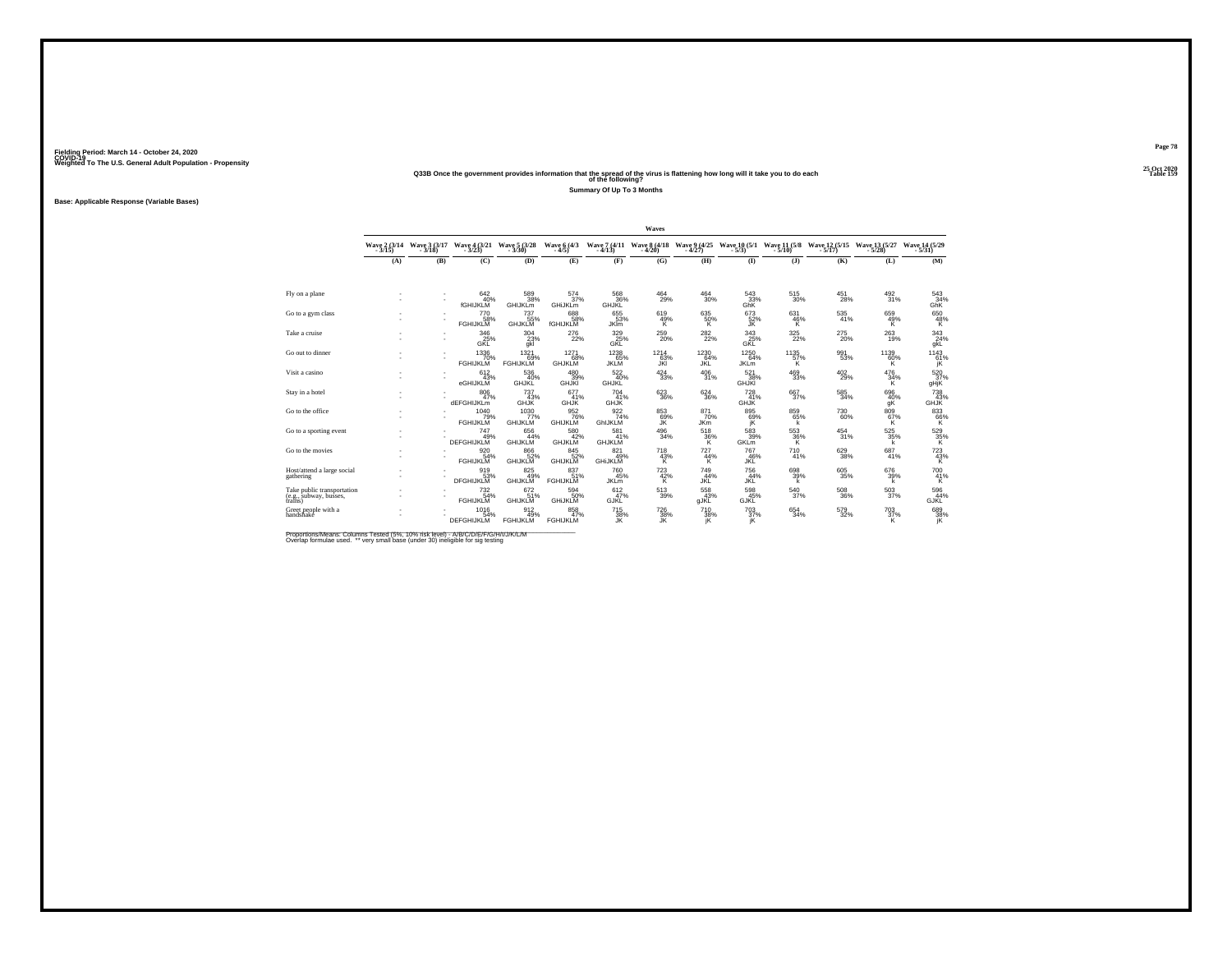#### **25 Oct 2020Q33B Once the government provides information that the spread of the virus is flattening how long will it take you to do each Table 159 of the following?**

**Summary Of Up To 3 Months**

**Base: Applicable Response (Variable Bases)**

|                                                                 |               |                          |                                         |                                |                               |                                       | Waves                    |                          |                                  |                       |                                        |                              |                                               |
|-----------------------------------------------------------------|---------------|--------------------------|-----------------------------------------|--------------------------------|-------------------------------|---------------------------------------|--------------------------|--------------------------|----------------------------------|-----------------------|----------------------------------------|------------------------------|-----------------------------------------------|
|                                                                 | Wave 2 (3/14) | Wave 3 (3/17)<br>$-3/18$ | Wave 4 (3/21)                           | Wave 5 (3/28)<br>$-3/30$       | Wave 6 (4/3)<br>$-4/5$        | Wave 7 (4/11 Wave 8 (4/18)<br>$-4/13$ | $-4/20$                  | Wave 9 (4/25)<br>$-4/27$ | <b>Wave 10 (5/1)</b><br>$-5/3$   | $-5/10$ )             | Wave 11 (5/8 Wave 12 (5/15)<br>$-5/17$ | Wave 13 (5/27)<br>$-5/28$    | Wave 14 (5/29)<br>$-5/31$                     |
|                                                                 | (A)           | (B)                      | (C)                                     | (D)                            | (E)                           | (F)                                   | (G)                      | (H)                      | $\bf(I)$                         | (J)                   | (K)                                    | (L)                          | (M)                                           |
|                                                                 |               |                          |                                         |                                |                               |                                       |                          |                          |                                  |                       |                                        |                              |                                               |
| Fly on a plane                                                  |               |                          | 642/40%<br><b>fGHIJKLM</b>              | 589<br>38%<br>GHIJKLm          | 574<br>37%<br>GHiJKLm         | 568<br>36%<br>GHJKL                   | $^{464}_{29\%}$          | $\substack{464 \\ 30\%}$ | 543 33%<br>GhK                   | 515<br>30%            | $^{451}_{28\%}$                        | $^{492}_{31\%}$              | $\frac{543}{34\%}$<br>GhK                     |
| Go to a gym class                                               |               |                          | 770<br>58%<br><b>FGHIJKLM</b>           | 737<br>55%<br><b>GHJKLM</b>    | 688<br>58%<br>fGHIJKLIN       | 655<br>53%<br><b>JKIm</b>             | $^{619}_{49\%}$          | $^{635}_{50\%}$          | 673<br>52%<br>JK.                | 631<br>46%<br>к       | 535<br>41%                             | 659<br>49%<br>K              | $^{650}_{48\%}$                               |
| Take a cruise                                                   |               |                          | 346<br>25%<br>GKL                       | $^{304}_{23\%}$<br>qkl         | $^{276}_{22\%}$               | 329 %<br>GKL                          | $^{259}_{20\%}$          | $^{282}_{22\%}$          | $\frac{343}{25\%}$<br><b>GKL</b> | $^{325}_{22\%}$       | $^{275}_{20\%}$                        | $^{263}_{19\%}$              | $\frac{343}{24\%}$<br>gkL                     |
| Go out to dinner                                                |               |                          | 1336<br>70%<br><b>FGHIJKLM</b>          | 1321<br>69%<br><b>FGHIJKLM</b> | 1271<br>68%<br><b>GHJKLM</b>  | 1238<br>65%<br><b>JKLM</b>            | $^{1214}_{63\%}$<br>JKI  | 1230<br>64%<br>JŘĹ       | $1250$<br>$64\%$<br><b>JKLm</b>  | $^{1135}_{57\%}$<br>к | 991<br>53%                             | $^{1139}_{60\%}$             | $^{1143}_{\hphantom{1}61\%}_{\hphantom{1}jk}$ |
| Visit a casino                                                  |               |                          | 612<br>43%<br>eGHIJKLM                  | 536<br>40%<br>GHJKL            | 480<br>39%<br><b>GHJKI</b>    | 522<br>40%<br>GHJKL                   | 424<br>33%               | 406<br>31%               | 521<br>38%<br><b>GHJKI</b>       | 469<br>33%            | 402<br>29%                             | 476<br>$\frac{34\%}{K}$      | 520<br>37%<br>gHjK                            |
| Stay in a hotel                                                 |               |                          | $\underset{47\%}{^{806}}$<br>dEFGHIJKLm | $^{737}_{43\%}$<br><b>GHJK</b> | 677<br>41%<br><b>GHJK</b>     | 704 %<br><b>GHJK</b>                  | $\substack{623 \\ 36\%}$ | $^{624}_{36\%}$          | $^{728}_{41\%}$<br><b>GHJK</b>   | 667%                  | $^{585}_{\ 34\%}$                      | 696<br>40%<br>gK             | 738/43%<br><b>GHJK</b>                        |
| Go to the office                                                | ٠             |                          | 1040<br>79%<br><b>FGHIJKLM</b>          | 1030<br>77%<br><b>GHIJKLM</b>  | 952%<br><b>GHIJKLM</b>        | $\frac{922}{74\%}$<br>GhIJKLM         | 85369%<br>ĴŘ             | 871<br>70%<br><b>JKm</b> | 895<br>69%<br>ΪŘ.                | 859<br>65%<br>k       | <sup>730</sup> 60%                     | 809 67%<br>ΪK.               | $^{833}_{66\%}$                               |
| Go to a sporting event                                          |               |                          | 747<br>49%<br>DEFGHIJKLM                | 656<br>44%<br><b>GHIJKLM</b>   | 580<br>42%<br><b>GHJKLM</b>   | 581<br>41%<br><b>GHJKLM</b>           | 496<br>34%               | 518<br>36%               | 583<br>39%<br><b>GKL</b> m       | 553<br>36%<br>к       | 454<br>31%                             | 525<br>35%<br>k              | $\frac{529}{35\%}$                            |
| Go to the movies                                                |               |                          | 9206<br><b>FGHIJKLM</b>                 | 866<br>52%<br>GHIJKLM          | 845<br>52%<br>GHIJKLM         | 821<br>49%<br><b>GHIJKLM</b>          | $\frac{718}{43\%}$       | 727<br>$\frac{44}{16}$   | 767<br>46%<br><b>JKL</b>         | 710<br>41%            | 629<br>38%                             | 687<br>41%                   | $\frac{723}{43\%}$                            |
| Host/attend a large social<br>gathering                         |               |                          | 919<br>53%<br>DFGHIJKLM                 | 825<br>49%<br><b>GHIJKLM</b>   | 837<br>51%<br><b>FGHIJKLM</b> | 760<br>45%<br><b>JKL</b> m            | 723<br>$^{42\%}_{K}$     | 749<br>44%<br>JKĹ        | 756<br>44%<br>JKL                | 698<br>39%<br>k       | 605<br>35%                             | 676<br>39%<br>k              | $^{700}_{\hphantom{1}41\%}_{\hphantom{1}K}$   |
| Take public transportation<br>(e.g., subway, busses,<br>trains) |               |                          | $^{732}_{54\%}$<br><b>FGHIJKLM</b>      | 672 61%<br><b>GHIJKLM</b>      | 594<br>50%<br><b>GHIJKLM</b>  | 612/47%<br><b>GJKL</b>                | $^{513}_{\ 39\%}$        | 558<br><b>gJKL</b>       | 598 45%<br><b>GJKL</b>           | 540<br>37%            | 508<br>36%                             | $^{503}_{\scriptstyle 37\%}$ | 596<br>44%<br><b>GJKL</b>                     |
| Greet people with a<br>handshake                                |               |                          | 1016<br>54%<br><b>DEFGHIJKLM</b>        | 912 49%<br><b>FGHIJKLM</b>     | 858<br>47%<br><b>FGHIJKLM</b> | 715<br>38%<br>JK                      | $\frac{726}{38\%}$       | 710<br>$\frac{38}{1}$    | $\frac{703}{37\%}$               | 654<br>34%            | $^{579}_{32\%}$                        | $^{703}_{37\%}$<br>ĸ         | 689<br>38%<br>jK                              |

Proportions/Means: Columns Tested (5%, 10% risk level) - A/B/C/D/E/F/G/H/I/J/K/L/M<br>Overlap formulae used. \*\* very small base (under 30) ineligible for sig testing

**Page 78**25 Oct 2020<br>Table 159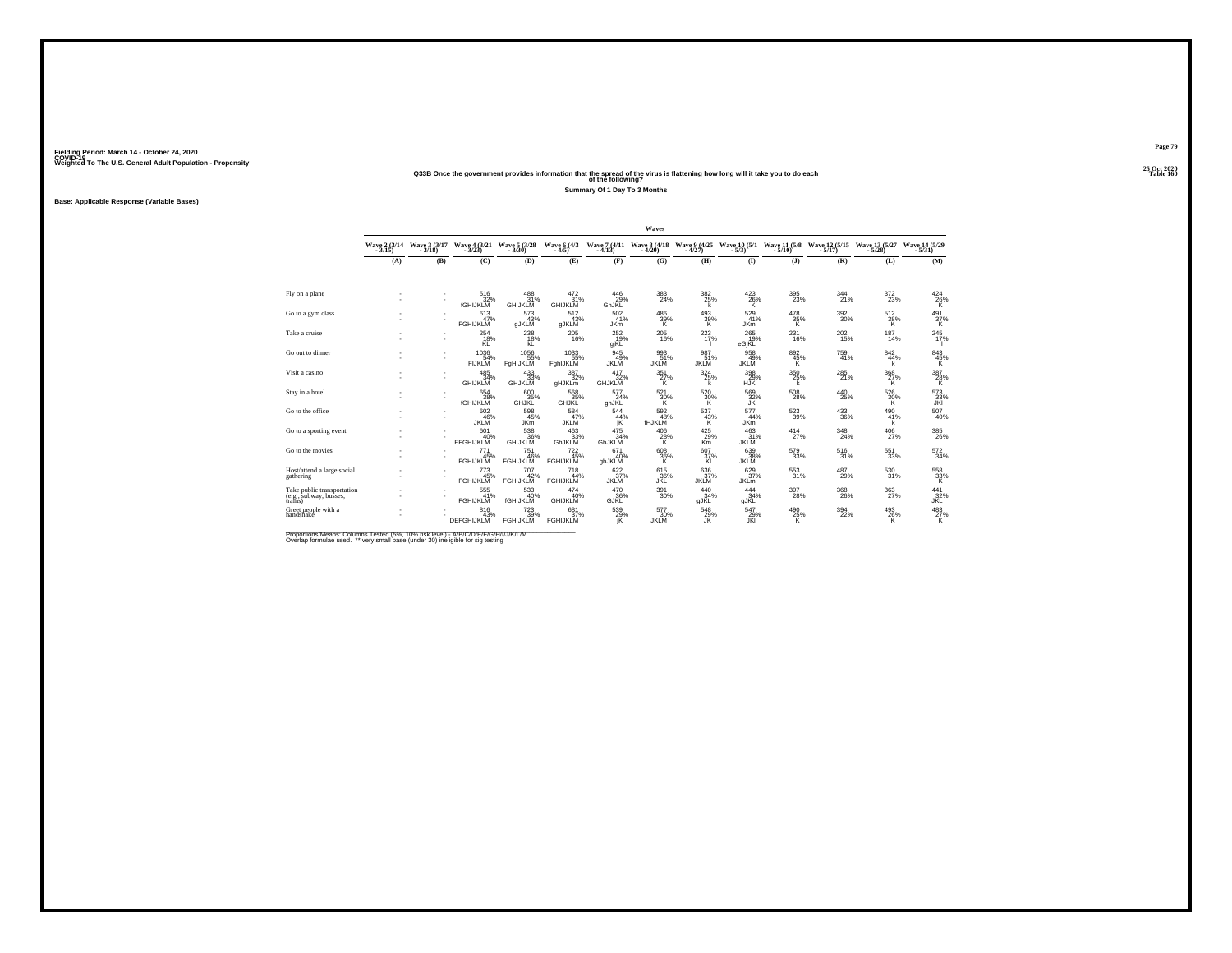#### **25 Oct 2020Q33B Once the government provides information that the spread of the virus is flattening how long will it take you to do each Table 160 of the following?**

**Summary Of 1 Day To 3 Months**

**Base: Applicable Response (Variable Bases)**

|                                                                 |                          |                          |                                       |                                                   |                                      |                                  | Waves                                 |                           |                                  |                                       |                                                                               |                       |                                       |
|-----------------------------------------------------------------|--------------------------|--------------------------|---------------------------------------|---------------------------------------------------|--------------------------------------|----------------------------------|---------------------------------------|---------------------------|----------------------------------|---------------------------------------|-------------------------------------------------------------------------------|-----------------------|---------------------------------------|
|                                                                 | Wave 2 (3/14)<br>$-3/15$ | Wave 3 (3/17)<br>$-3/18$ | Wave 4 (3/21 Wave 5 (3/28)<br>$-3/23$ | $-3/30$                                           | <b>Wave 6 (4/3)</b><br>$-4/5$        | $-4/13$                          | Wave 7 (4/11 Wave 8 (4/18)<br>$-4/20$ | $-4/27$                   | $-5/3$                           | $-5/10$                               | Wave 9 (4/25 Wave 10 (5/1 Wave 11 (5/8 Wave 12 (5/15 Wave 13 (5/27<br>$-5/17$ | $-5/28$               | Wave 14 (5/29)<br>$-5/31$             |
|                                                                 | (A)                      | (B)                      | (C)                                   | (D)                                               | (E)                                  | (F)                              | (G)                                   | (H)                       | (I)                              | $($ $)$                               | (K)                                                                           | (L)                   | (M)                                   |
| Fly on a plane                                                  |                          |                          | 516<br>32%<br><b>fGHIJKLM</b>         | 488<br>31%<br><b>GHIJKLM</b>                      | $\frac{472}{31\%}$<br><b>GHIJKLM</b> | $^{446}_{29\%}$<br>GhJKL         | 383<br>24%                            | $^{382}_{25\%}$<br>k      | $^{423}_{26\%}$<br>ĸ             | 395<br>23%                            | 344<br>21%                                                                    | 372<br>23%            | $^{424}_{\  \  \, 26\%}_{\  \  \, K}$ |
| Go to a gym class                                               |                          |                          | 613<br>47%<br><b>FGHIJKLM</b>         | 573<br>43%<br>gJKLM                               | 512<br>43%<br>gJKLM                  | $\frac{502}{41}\%$<br><b>JKm</b> | $\frac{486}{39\%}$                    | $\frac{493}{39\%}$        | $\frac{529}{41\%}$<br><b>JKm</b> | $\frac{478}{35\%}$                    | $^{392}_{30\%}$                                                               | 512<br>$\frac{38}{6}$ | $\frac{491}{37\%}$                    |
| Take a cruise                                                   |                          |                          | $^{254}_{18\%}$<br>KĹ                 | $^{238}_{18\%}$<br>kL                             | $^{205}_{16\%}$                      | $^{252}_{19\%}$<br>gjKL          | 205<br>16%                            | $^{223}_{17\%}$           | $^{265}_{19\%}$<br>eGjKL         | $^{231}_{16\%}$                       | 202<br>15%                                                                    | 187<br>14%            | $^{245}_{17\%}$                       |
| Go out to dinner                                                |                          |                          | 1036<br>54%<br><b>FIJKLM</b>          | 1056<br>55%<br>FgHIJKLM                           | 1033<br>55%<br>FghIJKLM              | 945<br>49%<br><b>JKLM</b>        | 993<br>51%<br><b>JKLM</b>             | 987<br>51%<br><b>JKLM</b> | 958<br>49%<br><b>JKLM</b>        | 892 %<br>к                            | $^{759}_{41\%}$                                                               | 842/44%<br>k          | $\frac{843}{45\%}$                    |
| Visit a casino                                                  |                          |                          | 485<br>34%<br><b>GHIJKLM</b>          | 433<br>33%<br><b>GHJKLM</b>                       | 387<br>32%<br>gHJKLm                 | 417<br>32%<br><b>GHJKLM</b>      | 351<br>$^{27\%}_{K}$                  | 324<br>25%<br>k           | 398<br>$29%$ HJK                 | 350<br>25%<br>k                       | 285<br>21%                                                                    | 368<br>$\frac{27}{6}$ | $\frac{387}{28\%}$                    |
| Stay in a hotel                                                 |                          | ٠                        | $654 \over 38\%$<br>fGHIJKLM          | 600<br>35%<br><b>GHJKL</b>                        | 568<br>35%<br><b>GHJKL</b>           | 577<br>34%<br>ghJKL              | 521<br>30%<br>к                       | $\frac{520}{30\%}$<br>К   | 569<br>32%<br>JК                 | $^{508}_{\phantom{1}\phantom{1}28\%}$ | $^{440}_{25\%}$                                                               | 526<br>30%<br>к       | 573 33%<br><b>JKI</b>                 |
| Go to the office                                                |                          |                          | 602<br>46%<br><b>JKLM</b>             | 598<br>45%<br><b>JKm</b>                          | 584<br>47%<br>JKLM                   | 544<br>44%<br>jK                 | $\frac{592}{48\%}$<br><b>fHJKLM</b>   | 537<br>$\frac{43\%}{K}$   | 577<br>44%<br><b>JKm</b>         | $^{523}_{39\%}$                       | $^{433}_{\ 36\%}$                                                             | 490<br>41%<br>k       | $^{507}_{40\%}$                       |
| Go to a sporting event                                          |                          |                          | 601<br>40%<br><b>EFGHIJKLM</b>        | 538<br>GHIJKLM                                    | 463<br>GhJKLM                        | 475<br>34%<br>GhJKLM             | 406<br>$^{28%}_{K}$                   | 425<br>29%<br>Km          | 463<br>31%<br><b>JKLM</b>        | 414<br>27%                            | 348<br>24%                                                                    | 406<br>27%            | $^{385}_{\phantom{1}\phantom{1}26\%}$ |
| Go to the movies                                                | ٠                        |                          | 771<br>45%<br><b>FGHIJKLM</b>         | <sup>751</sup> <sub>46</sub> %<br><b>FGHIJKLM</b> | $^{722}_{45\%}$<br><b>FGHIJKLM</b>   | 671<br>40%<br>ghJKLM             | $\frac{608}{36\%}$                    | 607 %<br>Ϊä.              | 639 38%<br><b>JKLM</b>           | 579<br>33%                            | $^{516}_{31\%}$                                                               | $^{551}_{33\%}$       | 572<br>34%                            |
| Host/attend a large social<br>gathering                         |                          |                          | 773<br>45%<br><b>FGHIJKLM</b>         | 707<br>42%<br><b>FGHIJKLM</b>                     | 718<br>44%<br><b>FGHIJKLM</b>        | 622<br>37%<br><b>JKLM</b>        | 615<br>36%<br>JŘĽ                     | 636<br>37%<br><b>JKLM</b> | 629<br>37%<br><b>JKLM</b>        | 553<br>31%                            | 487<br>29%                                                                    | 530<br>31%            | 558<br>33%                            |
| Take public transportation<br>(e.g., subway, busses,<br>trains) | ٠<br>٠                   |                          | 555<br><b>FGHIJKLM</b>                | 533<br>40%<br>fGHIJKLM                            | 474<br>40%<br><b>GHIJKLM</b>         | 470<br>36%<br>GJKL               | 391<br>30%                            | 440<br>34%<br>gJKL        | 444<br>34%<br>gJKL               | 397<br>28%                            | 368<br>26%                                                                    | $\frac{363}{27\%}$    | $\frac{441}{32\%}$<br><b>JKL</b>      |
| Greet people with a<br>handshake                                |                          |                          | 816<br>43%<br><b>DEFGHIJKLM</b>       | 723%<br><b>FGHIJKLM</b>                           | 681<br>37%<br><b>FGHIJKLM</b>        | 539%<br>iK                       | 577<br>30%<br>JKLM                    | $^{548}_{29\%}$           | 547<br>29%<br>JKI                | 490<br>25%<br>к                       | 394<br>22%                                                                    | 493<br>26%<br>ĸ       | $^{483}_{\  \  \, 27\%}_{\  \  \, K}$ |

Proportions/Means: Columns Tested (5%, 10% risk level) - A/B/C/D/E/F/G/H/I/J/K/L/M<br>Overlap formulae used. \*\* very small base (under 30) ineligible for sig testing

**Page 7925 Oct 2020<br>Table 160**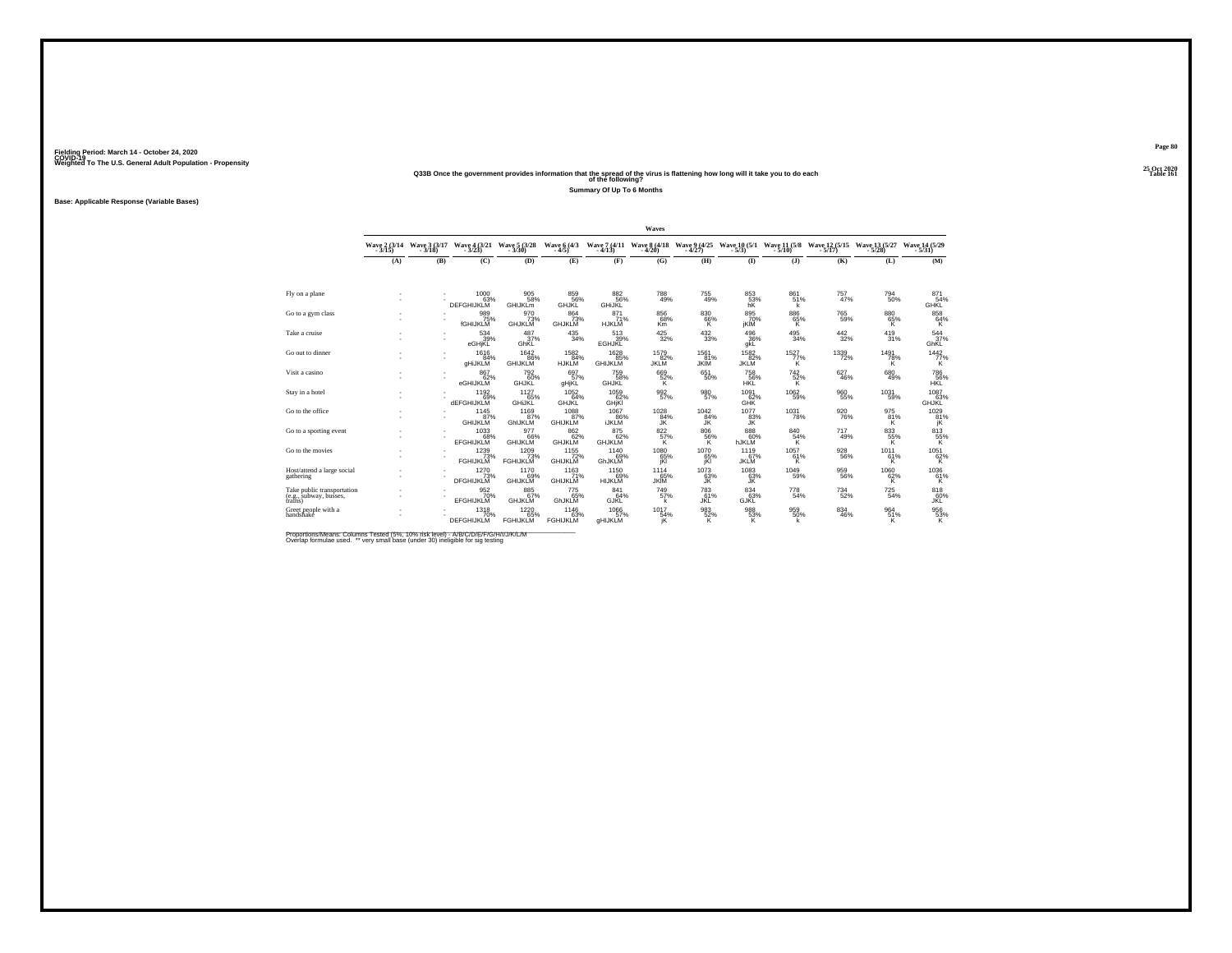#### **25 Oct 2020Q33B Once the government provides information that the spread of the virus is flattening how long will it take you to do each Table 161 of the following?**

**Summary Of Up To 6 Months**

**Base: Applicable Response (Variable Bases)**

|                                                                 |               |                          |                                       |                                  |                                    |                                       | Waves                              |                            |                            |                          |                                                    |                           |                                       |
|-----------------------------------------------------------------|---------------|--------------------------|---------------------------------------|----------------------------------|------------------------------------|---------------------------------------|------------------------------------|----------------------------|----------------------------|--------------------------|----------------------------------------------------|---------------------------|---------------------------------------|
|                                                                 | Wave 2 (3/14) | Wave 3 (3/17)<br>$-3/18$ | Wave 4 (3/21)<br>$-3/23$              | Wave 5 (3/28)<br>$-3/30$         | Wave 6 (4/3)<br>$-4/5$             | Wave 7 (4/11 Wave 8 (4/18)<br>$-4/13$ | $-4/20$                            | Wave 9 (4/25)<br>$-4/27$   | $-5/3$                     | $-5/10$                  | Wave 10 (5/1 Wave 11 (5/8 Wave 12 (5/15<br>$-5/17$ | Wave 13 (5/27)<br>$-5/28$ | Wave 14 (5/29)<br>$-5/31$             |
|                                                                 | (A)           | (B)                      | (C)                                   | (D)                              | (E)                                | (F)                                   | (G)                                | (H)                        | $($ I                      | $($ $)$                  | (K)                                                | (L)                       | (M)                                   |
|                                                                 |               |                          |                                       |                                  |                                    |                                       |                                    |                            |                            |                          |                                                    |                           |                                       |
| Fly on a plane                                                  |               |                          | $^{1000}_{63\%}$<br><b>DEFGHIJKLM</b> | 905<br>58%<br>GHIJKLm            | 859%<br><b>GHJKL</b>               | 8825%<br><b>GHIJKL</b>                | <sup>788</sup> 49%                 | 755<br>49%                 | 853%<br>hK                 | 861<br>51%<br>k          | 757 <sub>47%</sub>                                 | 794<br>50%                | 871<br>54%<br><b>GHKL</b>             |
| Go to a gym class                                               |               |                          | 989%<br>fGHIJKLM                      | 970<br>73%<br><b>GHJKLM</b>      | 864<br>73%<br><b>GHJKLM</b>        | $^{871}_{71\%}$<br><b>HJKLM</b>       | 856<br>68%<br>K <sub>m</sub>       | $^{830}_{66\%}$            | 895<br>70%<br>jKİM         | $^{886}_{65\%}$          | 765<br>59%                                         | 88065%<br>K               | $^{858}_{\  \  \, 64\%}_{\  \  \, K}$ |
| Take a cruise                                                   |               |                          | $\frac{534}{39\%}$<br>eGHjKL          | $\frac{487}{37\%}$<br>GhKL       | $^{435}_{34\%}$                    | $\frac{513}{39\%}$<br><b>EGHJKL</b>   | $^{425}_{32\%}$                    | $^{432}_{\phantom{1}33\%}$ | $^{496}_{36\%}$<br>gkL     | $^{495}_{34\%}$          | $\frac{442}{32\%}$                                 | $^{419}_{31\%}$           | $\frac{544}{37\%}$<br>GhKL            |
| Go out to dinner                                                |               |                          | 1616<br>84%<br>gHiJKLM                | 1642<br>86%<br>GHIJKLM           | 1582<br>84%<br>HJKLM               | 1628<br>85%<br><b>GHIJKLM</b>         | 1579<br>82%<br><b>JKLM</b>         | 1561<br>81%<br><b>JKIM</b> | 1582%<br><b>JKLM</b>       | $1527 \atop 77\%$<br>ΪK. | 1339<br>72%                                        | $\frac{1491}{78\%}$       | $\frac{1442}{77\%}$                   |
| Visit a casino                                                  |               |                          | 867<br>62%<br>eGHIJKLM                | 792<br>60%<br>GHJKL              | 697<br>57%<br>gHjKL                | 759<br>58%<br>GHJKL                   | 669<br>$\frac{52}{6}$              | 651<br>50%                 | 758<br>56%<br>HKL          | 742<br>$\frac{52}{K}$    | 627<br>46%                                         | 680<br>49%                | 786<br>56%                            |
| Stay in a hotel                                                 |               |                          | 1192<br>09%<br><b>dEFGHIJKLM</b>      | $1127$<br>$65%$<br><b>GHIJKL</b> | $^{1052}_{64\%}$<br><b>GHJKL</b>   | $^{1059}_{62\%}$<br>GHjKI             | 992<br>57%                         | 980<br>57%                 | $1091$<br>$62\%$<br>GHK    | $^{1062}_{-59\%}$        | 960<br>55%                                         | $^{1031}_{-59\%}$         | $1087$<br>$63%$<br><b>GHJKL</b>       |
| Go to the office                                                | ×,<br>×,      |                          | 1145<br>87%<br><b>GHIJKLM</b>         | 1169<br>87%<br>GhIJKLM           | 1088<br>87%<br><b>GHIJKLM</b>      | 1067<br>86%<br><b>IJKLM</b>           | 1028<br>84%<br>ĴK                  | 1042<br>$\frac{84}{3}$     | 1077<br>83%<br>JK          | 1031<br>78%              | 920<br>76%                                         | 975<br>81%<br>K           | 1029<br>81%<br>ĵΚ.                    |
| Go to a sporting event                                          |               |                          | 1033<br>EFGHIJKLM                     | 977<br>GHIJKLM                   | 862<br>62%<br><b>GHJKLM</b>        | 875<br>62%<br><b>GHJKLM</b>           | 822<br>$\frac{57}{K}$              | 806<br>$\frac{56}{8}$      | 888<br>60%<br>hJKLM        | 840<br>54%               | 717<br>49%                                         | 833<br>55%<br>K           | 813<br>$\frac{55}{6}$                 |
| Go to the movies                                                |               |                          | 1239<br><b>FGHIJKLM</b>               | 1209<br>73%<br><b>FGHIJKLM</b>   | $1155$<br>$72\%$<br><b>GHIJKLM</b> | 1140<br>69%<br>GhJKLM                 | $^{1080}_{65\%}$ iki               | $^{1070}_{65\%}$           | 1119<br>67%<br><b>JKLM</b> | 1057<br>61%<br>к         | 928<br>56%                                         | 1011<br>61%<br>ĸ          | $^{1051}_{62\%}_{K}$                  |
| Host/attend a large social<br>gathering                         |               |                          | 1270<br>73%<br><b>DFGHIJKLM</b>       | 1170<br>GHIJKLM                  | 1163<br>71%<br><b>GHIJKLM</b>      | 1150<br>69%<br>HIJKLM                 | 1114<br>65%<br><b>JKIM</b>         | 1073<br>63%                | 1083<br>63%<br>JK          | 1049<br>59%              | 959<br>56%                                         | 1060<br>$^{62%}_{K}$      | 1036<br>$\frac{61}{K}$                |
| Take public transportation<br>(e.g., subway, busses,<br>trains) |               |                          | 952%<br><b>EFGHIJKLM</b>              | 885%<br><b>GHJKLM</b>            | 775 65%<br>GhJKLM                  | 841<br>64%<br>GJKL                    | <sup>749</sup> <sub>57%</sub><br>k | 783<br>61%<br>JKL          | 834 63%<br>GJKL            | $^{778}_{\ 54\%}$        | 734<br>52%                                         | $\substack{725 \\ 54\%}$  | 818<br>60%<br><b>JKL</b>              |
| Greet people with a<br>handshake                                | ×,            |                          | 1318<br>70%<br><b>DEFGHIJKLM</b>      | 1220<br>65%<br><b>FGHIJKLM</b>   | 1146<br>63%<br><b>FGHIJKLM</b>     | 1066<br>57%<br><b>gHIJKLM</b>         | 1017<br>54%                        | $\frac{983}{52\%}$         | $^{988}_{-53\%}$           | 959%                     | 834<br>46%                                         | 964 51%<br>K.             | $^{956}_{\ 53\%}$                     |

Proportions/Means: Columns Tested (5%, 10% risk level) - A/B/C/D/E/F/G/H/I/J/K/L/M<br>Overlap formulae used. \*\* very small base (under 30) ineligible for sig testing

**Page 80**25 Oct 2020<br>Table 161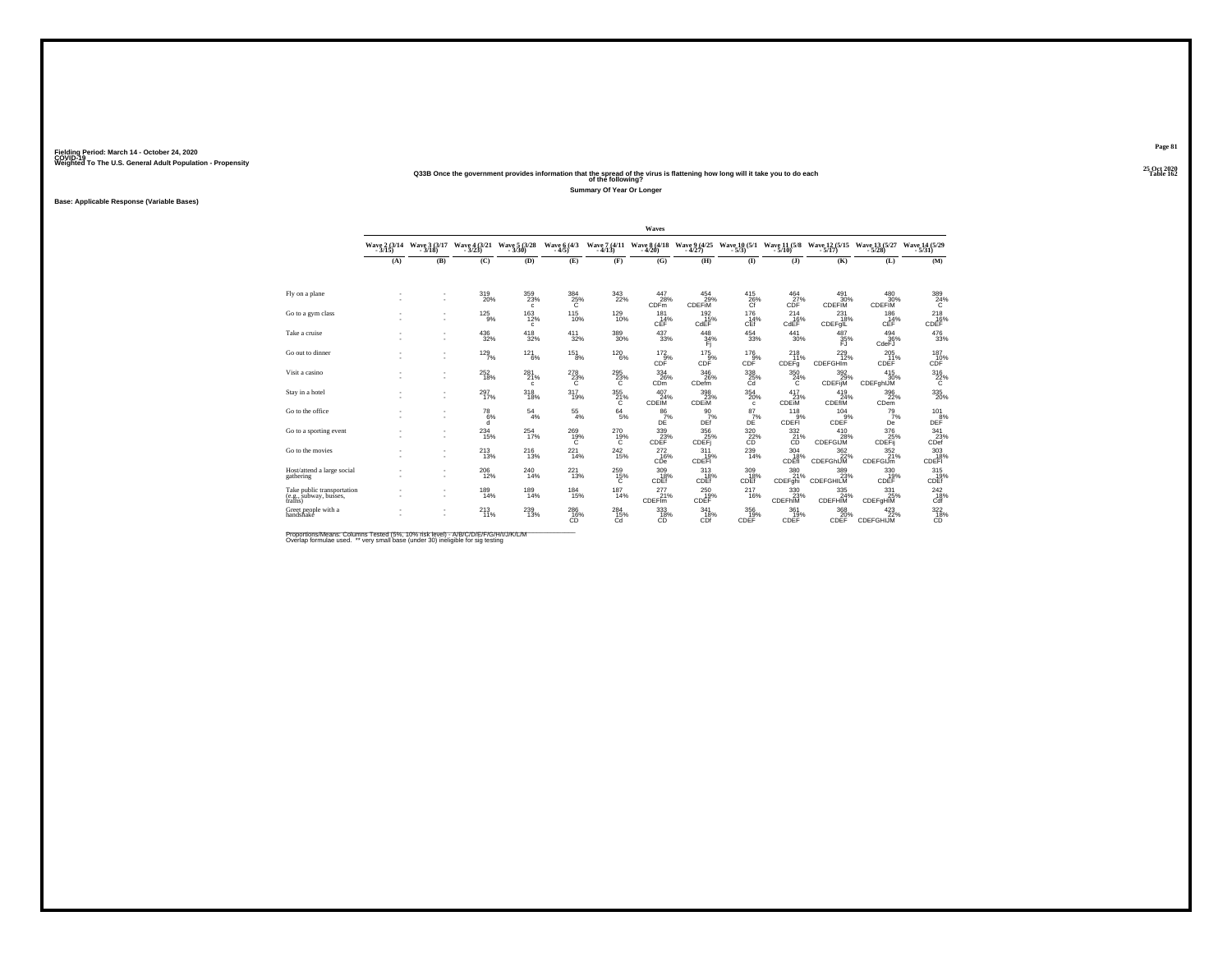# **25 Oct 2020Q33B Once the government provides information that the spread of the virus is flattening how long will it take you to do each Table 162 of the following?**

**Summary Of Year Or Longer**

**Base: Applicable Response (Variable Bases)**

|                                                                 |                          |                          |                            |                                            |                        |                         | Waves                                 |                             |                                       |                                                        |                                                                  |                                                           |                                                    |
|-----------------------------------------------------------------|--------------------------|--------------------------|----------------------------|--------------------------------------------|------------------------|-------------------------|---------------------------------------|-----------------------------|---------------------------------------|--------------------------------------------------------|------------------------------------------------------------------|-----------------------------------------------------------|----------------------------------------------------|
|                                                                 | Wave 2 (3/14)<br>$-3/15$ | Wave 3 (3/17)<br>- 3/18) | Wave 4 (3/21)              | Wave 5 (3/28)<br>$-3/30$                   | Wave 6 (4/3)<br>$-4/5$ | $-4/13$                 | Wave 7 (4/11 Wave 8 (4/18)<br>$-4/20$ | Wave 9 (4/25)<br>$-4/27$    | $-5/3$                                | $-5/10$                                                | Wave 10 (5/1 Wave 11 (5/8 Wave 12 (5/15 Wave 13 (5/27<br>$-5/17$ | $-5/28$                                                   | Wave 14 (5/29)<br>$-5/31$                          |
|                                                                 | (A)                      | (B)                      | (C)                        | (D)                                        | (E)                    | (F)                     | (G)                                   | (H)                         | $($ I                                 | $($ $)$                                                | (K)                                                              | (L)                                                       | (M)                                                |
|                                                                 |                          |                          |                            |                                            |                        |                         |                                       |                             |                                       |                                                        |                                                                  |                                                           |                                                    |
| Fly on a plane                                                  |                          |                          | 319<br>20%                 | $^{359}_{\phantom{1}\phantom{1}23\%}$<br>c | $^{384}_{25\%}$<br>c   | $\frac{343}{22\%}$      | 447<br>28%<br><b>CDFm</b>             | $^{454}_{29\%}$<br>CDEFIM   | $^{415}_{26\%}$<br>Cf                 | $^{464}_{27\%}$<br>CDF                                 | 491<br>30%<br>CDEFIM                                             | 480 30%<br><b>CDEFIM</b>                                  | 389<br>24%<br>Tć.                                  |
| Go to a gym class                                               |                          | ٠<br>٠                   | $^{125}_{-9\%}$            | $^{163}_{12\%}$<br>c                       | $^{115}_{10\%}$        | $^{129}_{10\%}$         | 181<br>$CEF^{\frac{61}{14}\%}$        | 192<br>15%<br>CdEF          | 176<br>C <sup>14%</sup>               | 214<br>CdEF                                            | 231<br>18%<br><b>CDEFgIL</b>                                     | $^{186}_{-14\%}$ CEF                                      | $^{218}_{16\%}$ CDEF                               |
| Take a cruise                                                   |                          | ٠<br>٠                   | $^{436}_{\phantom{1}32\%}$ | $^{418}_{32\%}$                            | $^{411}_{32\%}$        | $^{389}_{30\%}$         | $^{437}_{\ 33\%}$                     | $^{448}_{34\%}$<br>Fi       | $^{454}_{33\%}$                       | $\substack{441 \\ 30\%}$                               | 487<br>35%<br>FJ                                                 | $^{494}_{36\%}$<br>CdeFJ                                  | $^{476}_{33\%}$                                    |
| Go out to dinner                                                |                          | $\sim$<br>$\sim$         | 129/7%                     | $^{121}_{6\%}$                             | $^{151}_{8\%}$         | $^{120}_{\ 6\%}$        | $^{172}_{\  \, \rm{OF}}$ CDF          | 175<br>$\bar{9}$ %<br>CDF   | $^{176}_{-9\%}$ CDF                   | 218<br>11%<br>CDEFq                                    | $^{229}_{12\%}$<br>CDEFGHIm                                      | 205<br>11%<br><b>CDEF</b>                                 | $^{187}_{10\%}$                                    |
| Visit a casino                                                  |                          | $\sim$<br>٠              | 252<br>18%                 | 281<br>21%<br>c                            | 278<br>$^{23\%}_{C}$   | 295<br>$^{23\%}$        | 334<br>26%<br>CD <sub>m</sub>         | 346<br>26%<br>CDefm         | 338<br>25%                            | 350<br>24%                                             | 392<br>29%<br>CDEFIJM                                            | 415<br>30%<br>CDEFghIJM                                   | 316<br>$^{22\%}$                                   |
| Stay in a hotel                                                 |                          | ٠<br>٠                   | $^{297}_{17\%}$            | $^{318}_{18\%}$                            | 317<br>19%             | $\frac{355}{21}\%$<br>C | $^{407}_{24\%}$<br>CDEIM              | $\frac{398}{23\%}$<br>CDEIM | $^{354}_{\ 20\%}$<br>c                | 417<br>23%<br>CDEIM                                    | $^{419}_{.24\%}$<br>CDEfIM                                       | $^{396}_{\phantom{1}\phantom{1}22\%}$<br>C <sub>Dem</sub> | $^{335}_{\ 20\%}$                                  |
| Go to the office                                                |                          | ٠<br>۰                   | $^{78}_{6\%}$<br>a         | $^{54}_{\ 4\%}$                            | $^{55}_{\ 4\%}$        | $^{64}_{5\%}$           | $\frac{86}{7}\%$<br>DĖ                | 90<br>7%<br>DEf             | $^{87}_{7\%}$<br>DĖ                   | $\overset{118}{\underset{\text{CDFF1}}{\overset{9\%}}$ | 104<br>9%<br>CDEF                                                | 79/7<br>De                                                | $\mathop{\mathsf{DE}}\limits^{101}_{\mathsf{DEF}}$ |
| Go to a sporting event                                          | ×,                       | $\sim$                   | 234<br>15%                 | 254<br>17%                                 | 269<br>$^{19\%}_{C}$   | 270<br>$^{19\%}_{C}$    | 339<br>CDEF <sup>23%</sup>            | 356<br>CDEFi                | 320<br>$\overline{c}$ <sup>22</sup> % | 332<br>21%                                             | 410<br>28%<br>CDEFGIJM                                           | 376<br>CDEFij                                             | 341<br>$23%$<br>CDef                               |
| Go to the movies                                                |                          | ٠                        | 213%                       | $^{216}_{13\%}$                            | $^{221}_{14\%}$        | $^{242}_{15\%}$         | 272<br>16%<br>CDe                     | 311<br>19%<br>CDEFI         | $^{239}_{14\%}$                       | 304<br>18%<br>CDEfi                                    | $\frac{362}{22}\%$<br>CDEFGhIJM                                  | $\frac{352}{21\%}$<br><b>CDEFGIJm</b>                     | $\frac{303}{18\%}$ CDEFI                           |
| Host/attend a large social<br>gathering                         |                          | ٠                        | 206<br>12%                 | 240<br>14%                                 | 221<br>13%             | 259<br>15%<br>C         | 309<br>18%<br>CDEf                    | 313<br>18%<br>CDEf          | 309<br>18%<br>CDEf                    | 380<br>21%<br>CDEFghi                                  | 389<br>CDEFGHILM                                                 | 330<br>19%<br>CDEF                                        | 315<br>L9%<br>CDEf                                 |
| Take public transportation<br>(e.g., subway, busses,<br>trains) | ٠                        | $\mathbf{r}$<br>$\sim$   | $189$<br>$14%$             | $^{189}_{14\%}$                            | $^{184}_{15\%}$        | 187<br>14%              | 277<br>21%<br>CDEFIm                  | $^{250}_{19\%}$<br>CDEF     | 217<br>16%                            | 330<br>23%<br>CDEFhIM                                  | $\frac{335}{24\%}$<br>CDEFHIM                                    | 331<br>25%<br>CDEFgHIM                                    | $^{242}_{18\%}$<br>Cdf                             |
| Greet people with a<br>handshake                                | ×,                       |                          | 213                        | $^{239}_{13\%}$                            | 286 16%<br>CĎ          | 284<br>15%<br>Cd        | 333<br>18%<br>CĎ                      | 341<br>18%<br>CDf           | 356<br>19%<br>CDEF                    | 361<br>19%<br>CDEF                                     | 368<br>20%<br>CDEF                                               | $^{423}_{22\%}$<br>CDEFGHIJM                              | $^{322}_{\substack{18\%\\ \text{CD}}}$             |

Proportions/Means: Columns Tested (5%, 10% risk level) - A/B/C/D/E/F/G/H/I/J/K/L/M<br>Overlap formulae used. \*\* very small base (under 30) ineligible for sig testing

**Page 81**25 Oct 2020<br>Table 162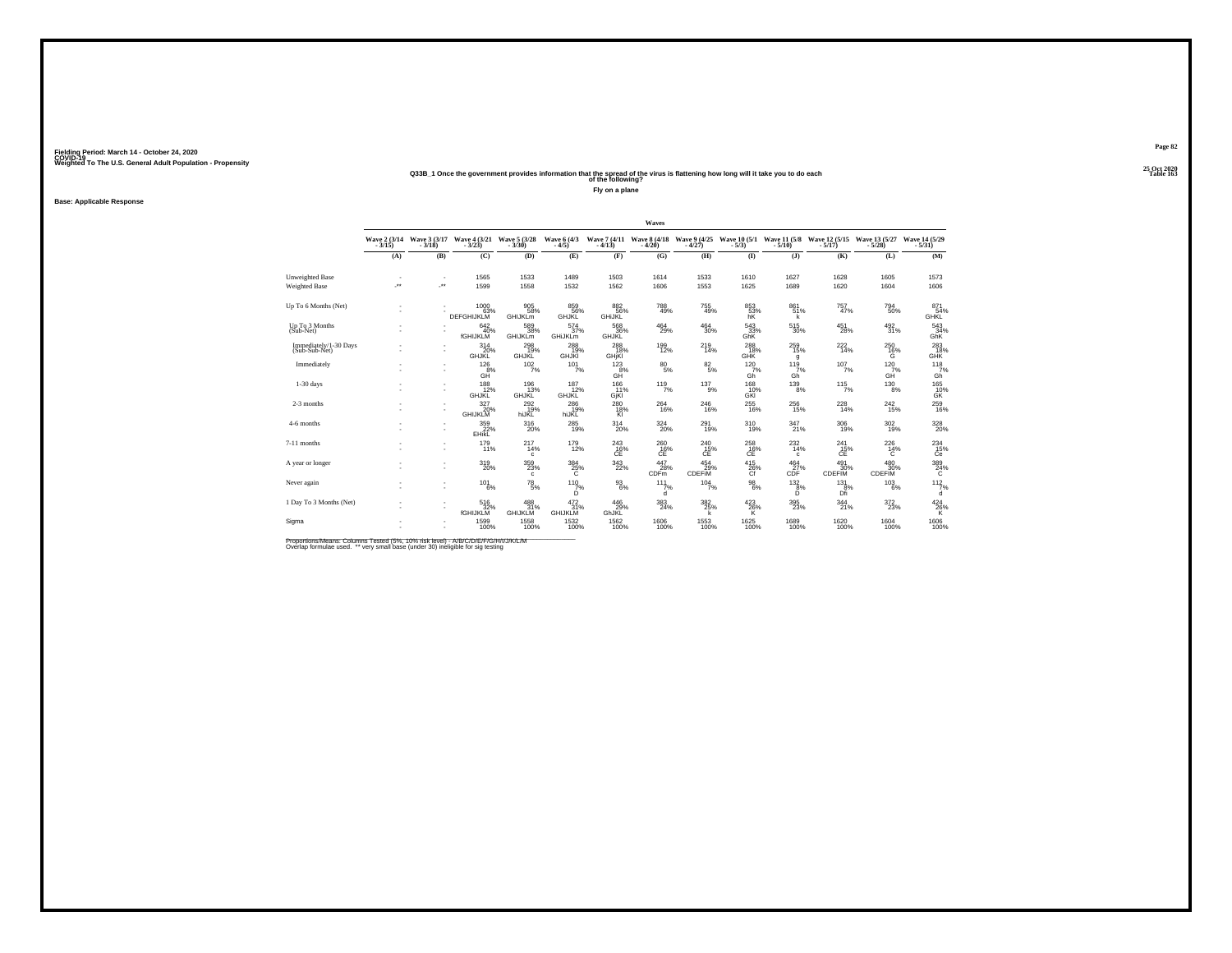#### **25 Oct 2020Q33B\_1 Once the government provides information that the spread of the virus is flattening how long will it take you to do each Table 163 of the following?**

**Fly on a plane**

**Base: Applicable Response**

|                                         |                          |                                                      |                                  |                                       |                                  |                             | Waves                                 |                                                  |                                     |                                 |                                     |                               |                                       |
|-----------------------------------------|--------------------------|------------------------------------------------------|----------------------------------|---------------------------------------|----------------------------------|-----------------------------|---------------------------------------|--------------------------------------------------|-------------------------------------|---------------------------------|-------------------------------------|-------------------------------|---------------------------------------|
|                                         | $-3/15$                  | Wave 2 (3/14 Wave 3 (3/17)<br>$-3/18$                | Wave 4 (3/21)                    | Wave 5 (3/28)                         | Wave 6 (4/3)<br>$-4/5$           | $-4/13$                     | Wave 7 (4/11 Wave 8 (4/18)<br>$-4/20$ | Wave 9 (4/25)<br>$-4/27$                         | Wave 10 (5/1 Wave 11 (5/8<br>$-5/3$ | $-5/10$                         | Wave 12 (5/15)                      | Wave 13 (5/27<br>$-5/28$      | Wave 14 (5/29)<br>$-5/31$             |
|                                         | (A)                      | (B)                                                  | (C)                              | (D)                                   | (E)                              | (F)                         | (G)                                   | (H)                                              | $($ I                               | $($ $)$                         | (K)                                 | (L)                           | (M)                                   |
| Unweighted Base<br><b>Weighted Base</b> | $\overline{\phantom{a}}$ | $\overline{\phantom{a}}$<br>$\overline{\phantom{a}}$ | 1565<br>1599                     | 1533<br>1558                          | 1489<br>1532                     | 1503<br>1562                | 1614<br>1606                          | 1533<br>1553                                     | 1610<br>1625                        | 1627<br>1689                    | 1628<br>1620                        | 1605<br>1604                  | 1573<br>1606                          |
| Up To 6 Months (Net)                    |                          |                                                      | 1000<br>63%<br><b>DEFGHIJKLM</b> | 905<br>58%<br><b>GHIJKLM</b>          | 859<br>56%<br>GHJKL              | 882<br>56%<br><b>GHIJKL</b> | 788<br>49%                            | 755<br>49%                                       | 853<br>53%<br>hK                    | 861<br>51%                      | 757<br>47%                          | 794<br>50%                    | 871<br>54%<br><b>GHKL</b>             |
| Up To 3 Months<br>(Sub-Net)             |                          |                                                      | 642/40%<br><b>fGHIJKLM</b>       | 589<br>38%<br>GHIJKLm                 | $^{574}_{37\%}$<br>GHiJKLm       | 568<br>36%<br><b>GHJKL</b>  | $^{464}_{29\%}$                       | $\substack{464 \\ 30\%}$                         | 543<br>33%<br>GhK                   | $^{515}_{\ 30\%}$               | $^{451}_{28\%}$                     | $\frac{492}{31\%}$            | 543<br>34%<br>GhK                     |
| Immediately/1-30 Days<br>(Sub-Sub-Net)  |                          | $\overline{\phantom{a}}$                             | 314<br>20%<br><b>GHJKL</b>       | 298<br>19%<br><b>GHJKL</b>            | 288<br><b>GHJKI</b>              | 288<br>18%<br>GHIKI         | 199<br>12%                            | 219 14%                                          | 288<br>18%<br><b>GHK</b>            | $^{259}_{\phantom{1}15\%}$<br>g | 222<br>14%                          | $^{250}_{16\%}$               | $^{283}_{-18\%}$ GHK                  |
| Immediately                             |                          | $\overline{\phantom{a}}$                             | 126<br>8%<br>GH <sup>"</sup>     | 102<br>7%                             | 101<br>7%                        | 123<br>8%<br>GĤ             | 80<br>5%                              | $\substack{82\\5\%}$                             | 120<br>7%<br>Gh                     | 119<br>7%<br>Gh                 | 107<br>7%                           | 120<br>$GH^7%$                | $\frac{118}{7%}$<br>Gh                |
| $1-30$ days                             |                          |                                                      | 188<br>12%<br><b>GHJKL</b>       | 196<br>13%<br><b>GHJKL</b>            | $187 \atop 12\%$<br><b>GHJKL</b> | 166 11%<br>GjKl             | 119/7%                                | $^{137}_{9\%}$                                   | 168<br>10%<br>GKI                   | $^{139}_{8\%}$                  | $115$ <sub>7%</sub>                 | $^{130}_{\  \  \, 8\%}$       | 165<br>10%<br><b>GK</b>               |
| 2-3 months                              |                          | $\sim$<br>и.                                         | 327<br>20%<br><b>GHIJKLM</b>     | $^{292}_{19\%}$<br>hiJKL              | 286<br>19%<br>hiJKL              | 280<br>18%<br>κī            | 264<br>16%                            | 246<br>16%                                       | 255<br>16%                          | 256<br>15%                      | 228<br>14%                          | <sup>242</sup> <sub>15%</sub> | 259<br>16%                            |
| 4-6 months                              |                          | $\overline{\phantom{a}}$                             | 359<br>22%<br><b>EHikL</b>       | $^{316}_{\phantom{1}\phantom{1}20\%}$ | 285<br>19%                       | $^{314}_{20\%}$             | $\frac{324}{20\%}$                    | 291<br>19%                                       | 310<br>19%                          | 347<br>21%                      | 306<br>19%                          | 302%                          | 328<br>20%                            |
| 7-11 months                             |                          |                                                      | $^{179}_{11\%}$                  | $^{217}_{14\%}$<br>$\mathbf{c}$       | <sup>179</sup><br>12%            | $^{243}_{-16\%}$            | $^{260}_{-16\%}$                      | $^{240}_{\phantom{1}15\%}_{\phantom{1}C\bar{E}}$ | $^{258}_{16\%}$                     | 232<br>14%<br>c                 | $^{241}_{\substack{15}{\text{CE}}}$ | $^{226}_{~14\%}$              | $^{234}_{15\%}$                       |
| A year or longer                        |                          |                                                      | 319<br>20%                       | 359<br>23%<br>c                       | 384<br>25%                       | 343<br>22%                  | 447<br>28%<br><b>CDFm</b>             | 454<br>29%<br><b>CDEFIM</b>                      | 415<br>26%                          | 464<br>27%<br>CĎF.              | 491<br>30%<br>CDEFIM                | 480<br>30%<br><b>CDEFIM</b>   | $^{389}_{\phantom{1}24\%}$            |
| Never again                             |                          | $\overline{\phantom{a}}$<br>$\overline{\phantom{a}}$ | $^{101}_{6\%}$                   | $^{78}_{\ 5\%}$                       | $^{110}_{7\%}$<br>D.             | $^{93}_{6\%}$               | 111<br>7%<br>d                        | $104 \atop 7\%$                                  | $^{98}_{\ 6\%}$                     | $^{132}_{8\%}$<br>D.            | $^{131}_{8\%}$<br>Dfi               | $^{103}_{6\%}$                | $112$ <sub>7%</sub><br>d              |
| 1 Day To 3 Months (Net)                 |                          | $\sim$<br>$\overline{\phantom{a}}$                   | 516<br>32%<br><b>fGHIJKLM</b>    | 488<br>31%<br>GHIJKLM                 | $\frac{472}{31\%}$<br>GHIJKLM    | 446<br>29%<br>GhJKL         | $\frac{383}{24\%}$                    | $\frac{382}{25}\%$                               | $^{423}_{26\%}$<br>ΪŘ.              | 395<br>23%                      | 344<br>21%                          | 372<br>23%                    | $^{424}_{\  \  \, 26\%}_{\  \  \, K}$ |
| Sigma                                   |                          | $\overline{\phantom{a}}$                             | 1599<br>100%                     | 1558<br>100%                          | 1532<br>100%                     | 1562<br>100%                | 1606<br>100%                          | 1553<br>100%                                     | 1625<br>100%                        | 1689<br>100%                    | 1620<br>100%                        | 1604<br>100%                  | 1606<br>100%                          |

Proportions/Means: Columns Tested (5%, 10% risk level) - A/B/C/D/E/F/G/H/I/J/K/L/M<br>Overlap formulae used. \*\* very small base (under 30) ineligible for sig testing

**Page 82**25 Oct 2020<br>Table 163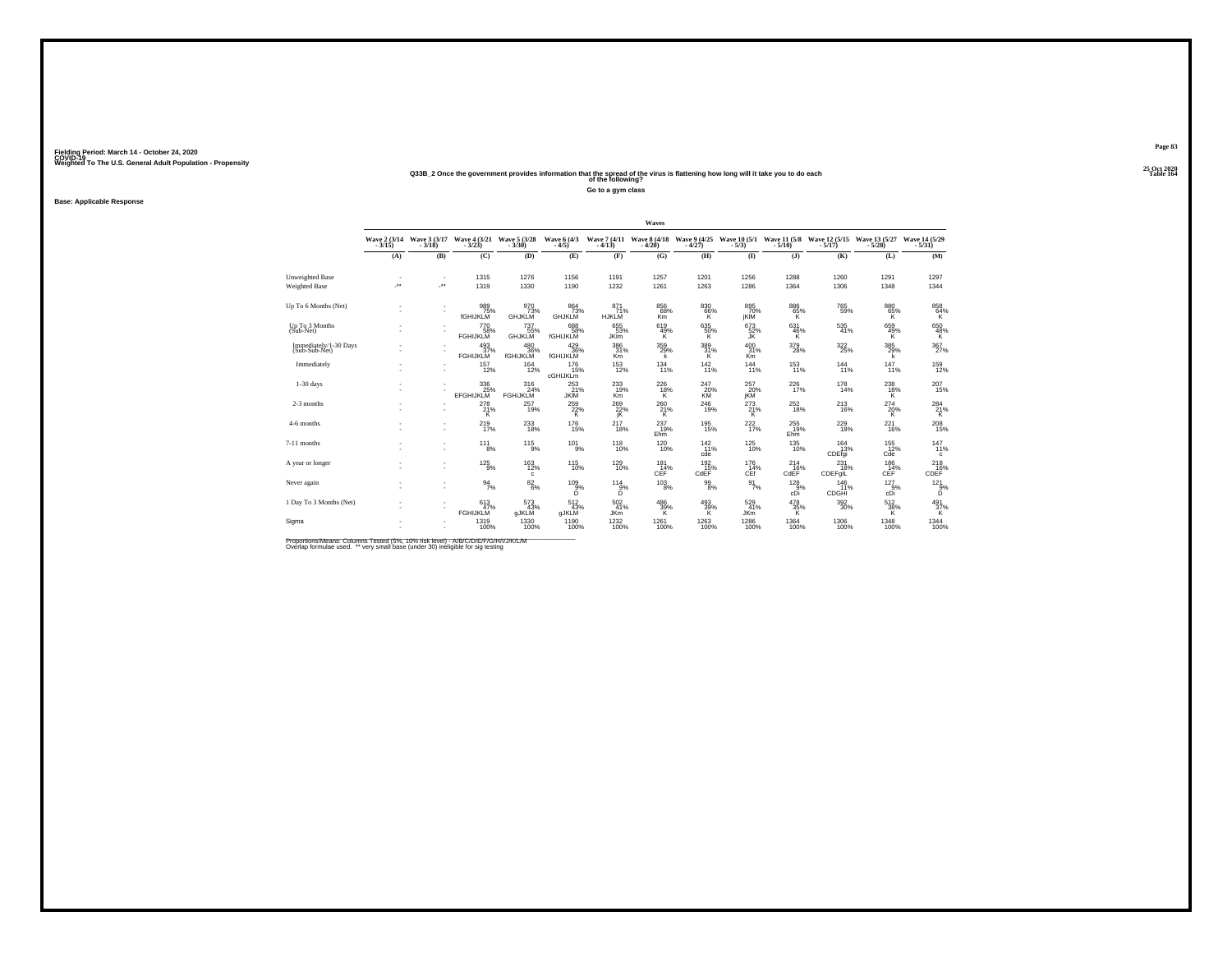#### **25 Oct 2020Q33B\_2 Once the government provides information that the spread of the virus is flattening how long will it take you to do each Table 164 of the following?**

**Go to a gym class**

**Base: Applicable Response**

|     |     |                        |                                     |                                                                                                                                                                                                                                                                                                                  |                                                                                                                         | Waves                                                                                                                                                                                                |                                                                                                                             |                                                                                                                                                                                                              |                                                                                                                                                                                                              |                                                                                                                                                                                            |                                                                                                                                                                                                                  |                                                                                                                                                                                                                                                                                                                                                                                                                             |
|-----|-----|------------------------|-------------------------------------|------------------------------------------------------------------------------------------------------------------------------------------------------------------------------------------------------------------------------------------------------------------------------------------------------------------|-------------------------------------------------------------------------------------------------------------------------|------------------------------------------------------------------------------------------------------------------------------------------------------------------------------------------------------|-----------------------------------------------------------------------------------------------------------------------------|--------------------------------------------------------------------------------------------------------------------------------------------------------------------------------------------------------------|--------------------------------------------------------------------------------------------------------------------------------------------------------------------------------------------------------------|--------------------------------------------------------------------------------------------------------------------------------------------------------------------------------------------|------------------------------------------------------------------------------------------------------------------------------------------------------------------------------------------------------------------|-----------------------------------------------------------------------------------------------------------------------------------------------------------------------------------------------------------------------------------------------------------------------------------------------------------------------------------------------------------------------------------------------------------------------------|
|     |     |                        |                                     | Wave 6 (4/3)<br>$-4/5$                                                                                                                                                                                                                                                                                           |                                                                                                                         |                                                                                                                                                                                                      |                                                                                                                             |                                                                                                                                                                                                              |                                                                                                                                                                                                              |                                                                                                                                                                                            |                                                                                                                                                                                                                  | Wave 14 (5/29)<br>$-5/31$                                                                                                                                                                                                                                                                                                                                                                                                   |
| (A) | (B) | (C)                    | (D)                                 | (E)                                                                                                                                                                                                                                                                                                              | (F)                                                                                                                     | (G)                                                                                                                                                                                                  | (H)                                                                                                                         | $($ I                                                                                                                                                                                                        | $($ $)$                                                                                                                                                                                                      | (K)                                                                                                                                                                                        | (L)                                                                                                                                                                                                              | (M)                                                                                                                                                                                                                                                                                                                                                                                                                         |
| J.  | ÷.  | 1315<br>1319           | 1276<br>1330                        | 1156<br>1190                                                                                                                                                                                                                                                                                                     | 1191<br>1232                                                                                                            | 1257<br>1261                                                                                                                                                                                         | 1201<br>1263                                                                                                                | 1256<br>1286                                                                                                                                                                                                 | 1288<br>1364                                                                                                                                                                                                 | 1260<br>1306                                                                                                                                                                               | 1291<br>1348                                                                                                                                                                                                     | 1297<br>1344                                                                                                                                                                                                                                                                                                                                                                                                                |
|     |     | 989<br>75%<br>fGHIJKLM | 970<br>73%<br><b>GHJKLM</b>         | 864<br>GHJKLM                                                                                                                                                                                                                                                                                                    | 871<br>71%<br><b>HJKLM</b>                                                                                              | 856<br>K <sub>m</sub>                                                                                                                                                                                | 830                                                                                                                         | 895<br>jKİM                                                                                                                                                                                                  | 886                                                                                                                                                                                                          |                                                                                                                                                                                            | 880<br>65%<br>Κ                                                                                                                                                                                                  | $\underset{\mathsf{K}}{^{858}}$                                                                                                                                                                                                                                                                                                                                                                                             |
|     |     | <b>FGHIJKLM</b>        | <b>GHJKLM</b>                       | <b>fGHIJKLM</b>                                                                                                                                                                                                                                                                                                  | <b>JKIm</b>                                                                                                             | к                                                                                                                                                                                                    | к                                                                                                                           | JK.                                                                                                                                                                                                          | к                                                                                                                                                                                                            |                                                                                                                                                                                            | к                                                                                                                                                                                                                | 650<br>48%<br>κ                                                                                                                                                                                                                                                                                                                                                                                                             |
|     |     |                        |                                     |                                                                                                                                                                                                                                                                                                                  | Km                                                                                                                      | k                                                                                                                                                                                                    |                                                                                                                             | Km <sup>1</sup>                                                                                                                                                                                              |                                                                                                                                                                                                              |                                                                                                                                                                                            | k                                                                                                                                                                                                                | 367<br>27%                                                                                                                                                                                                                                                                                                                                                                                                                  |
|     |     | 157<br>12%             | 164<br>12%                          | 176<br><b>cGHIJKLM</b>                                                                                                                                                                                                                                                                                           | 153<br>12%                                                                                                              | 134                                                                                                                                                                                                  | 142                                                                                                                         | 144                                                                                                                                                                                                          | 153                                                                                                                                                                                                          | 144                                                                                                                                                                                        | 147<br>11%                                                                                                                                                                                                       | $^{159}_{12\%}$                                                                                                                                                                                                                                                                                                                                                                                                             |
|     |     |                        | 316<br>24%<br><b>FGHIJKLM</b>       |                                                                                                                                                                                                                                                                                                                  | 233<br>19%<br><b>Km</b>                                                                                                 | к                                                                                                                                                                                                    | KM                                                                                                                          |                                                                                                                                                                                                              |                                                                                                                                                                                                              |                                                                                                                                                                                            | $^{238}_{18\%}$<br>Κ                                                                                                                                                                                             | 207<br>15%                                                                                                                                                                                                                                                                                                                                                                                                                  |
|     |     |                        | 257<br>19%                          |                                                                                                                                                                                                                                                                                                                  |                                                                                                                         |                                                                                                                                                                                                      |                                                                                                                             |                                                                                                                                                                                                              |                                                                                                                                                                                                              |                                                                                                                                                                                            |                                                                                                                                                                                                                  | $^{284}_{21\%}$                                                                                                                                                                                                                                                                                                                                                                                                             |
|     |     |                        |                                     |                                                                                                                                                                                                                                                                                                                  |                                                                                                                         | Ehm                                                                                                                                                                                                  |                                                                                                                             |                                                                                                                                                                                                              | Ehm                                                                                                                                                                                                          |                                                                                                                                                                                            | $^{221}_{16\%}$                                                                                                                                                                                                  | 208<br>15%                                                                                                                                                                                                                                                                                                                                                                                                                  |
|     |     |                        |                                     |                                                                                                                                                                                                                                                                                                                  |                                                                                                                         |                                                                                                                                                                                                      | cde                                                                                                                         |                                                                                                                                                                                                              |                                                                                                                                                                                                              |                                                                                                                                                                                            | $^{155}_{12\%}$                                                                                                                                                                                                  | 147%<br>c                                                                                                                                                                                                                                                                                                                                                                                                                   |
|     |     |                        | 163<br>12%<br>c                     | 115                                                                                                                                                                                                                                                                                                              | 129<br>10%                                                                                                              | 181<br>CEF <sup>1</sup>                                                                                                                                                                              | 192                                                                                                                         | 176                                                                                                                                                                                                          | 214                                                                                                                                                                                                          | 231                                                                                                                                                                                        | 186                                                                                                                                                                                                              | 218<br>CDEF <sup>%</sup>                                                                                                                                                                                                                                                                                                                                                                                                    |
|     |     |                        |                                     | D.                                                                                                                                                                                                                                                                                                               |                                                                                                                         |                                                                                                                                                                                                      |                                                                                                                             |                                                                                                                                                                                                              |                                                                                                                                                                                                              | 146                                                                                                                                                                                        | $^{127}_{.9\%}$                                                                                                                                                                                                  | $^{12}2^{1}_{.9\%}$<br>D                                                                                                                                                                                                                                                                                                                                                                                                    |
|     |     | 613<br>47%             | 573<br>43%                          |                                                                                                                                                                                                                                                                                                                  |                                                                                                                         |                                                                                                                                                                                                      |                                                                                                                             |                                                                                                                                                                                                              |                                                                                                                                                                                                              |                                                                                                                                                                                            |                                                                                                                                                                                                                  | $^{491}_{37\%}$                                                                                                                                                                                                                                                                                                                                                                                                             |
|     |     |                        |                                     |                                                                                                                                                                                                                                                                                                                  |                                                                                                                         |                                                                                                                                                                                                      |                                                                                                                             |                                                                                                                                                                                                              |                                                                                                                                                                                                              |                                                                                                                                                                                            | 1348<br>100%                                                                                                                                                                                                     | 1344<br>100%                                                                                                                                                                                                                                                                                                                                                                                                                |
|     |     |                        | <b>EFGHIJKLM</b><br><b>FGHIJKLM</b> | Wave 2 (3/14 Wave 3 (3/17 Wave 4 (3/21 Wave 5 (3/28<br>3/15) - 3/18) - 3/23)<br><sup>770</sup> 58%<br>$^{480}_{36\%}$ fGHIJKLM<br>$^{493}_{37\%}$ FGHIJKLM<br>$\frac{336}{25\%}$<br>$^{278}_{21\%}$<br>219 <sub>7%</sub><br>$^{11}$ $^{1}_{8\%}$<br>$^{125}_{-9\%}$<br>$\frac{94}{7\%}$<br>gJKLM<br>1319<br>100% | <sup>737</sup> 55%<br><b>JKIM</b><br>$^{233}_{18\%}$<br>$^{115}_{9\%}$<br>$\substack{82\\6\%}$<br>gJKLM<br>1330<br>100% | 73%<br>688<br>58%<br>$^{429}_{36\%}$ fGHIJKLM<br>15%<br>253<br>21%<br>$\frac{259}{22\%}$<br>$^{176}_{15\%}$<br>$^{101}_{9\%}$<br>10%<br>$^{109}_{9\%}$<br>D<br>512/43%<br><b>JKm</b><br>1190<br>100% | 655<br>53%<br>386<br>31%<br>$\frac{269}{27}\%$<br>$^{217}_{18\%}$<br>118%<br>$^{114}_{9\%}$<br>502 41%<br>$^{1232}_{100\%}$ | 68%<br>619<br>49%<br>359%<br>11%<br>$^{226}_{18\%}$<br>$^{260}_{\  \  \, 21\%}_{\  \  \, K}$<br>$^{237}_{19\%}$<br>$^{120}_{10\%}$<br>14%<br>$^{103}_{\phantom{1}8\%}$<br>$\frac{486}{39\%}$<br>1261<br>100% | $^{66}_{K}$<br>635<br>50%<br>$\frac{389}{31\%}$<br>11%<br>$^{247}_{20\%}$<br>jKM<br>$^{246}_{19\%}$<br>195<br>15%<br>$^{142}_{11\%}$<br>CdEF<br>$^{99}_{\ 8\%}$<br>$\frac{493}{39\%}$<br>JKm<br>1263<br>100% | 70%<br>673<br>52%<br>400 31%<br>11%<br>257<br>20%<br>$^{273}_{21\%}$<br>222 <sub>%</sub><br>$^{125}_{10\%}$<br>$CEf$ <sup>%</sup><br>$\frac{91}{7}\%$<br>cDi<br>529<br>41%<br>1286<br>100% | $^{65%}_{K}$<br>631<br>46%<br>379<br>28%<br>11%<br>226<br>17%<br>$^{252}_{18\%}$<br>$^{255}_{19\%}$<br>135<br>10%<br>CDEfgi<br>CdEF<br>CDEFgIL<br>$^{128}_{.9\%}$<br>CDGHI<br>$\frac{478}{35\%}$<br>1364<br>100% | Wave 7 (4/11 Wave 8 (4/18 Wave 9 (4/25 Wave 10 (5/1 Wave 11 (5/8 Wave 12 (5/15 Wave 13 (5/27 - 4/13) - 4/20) - 4/27)<br>765<br>59%<br>$\substack{535 \\ 41\%}$<br>659%<br>$385$<br>$29%$<br>$^{322}_{25\%}$<br>11%<br>$^{178}_{14\%}$<br>$^{274}_{20\%}$<br>$^{213}_{16\%}$<br>$^{229}_{18\%}$<br>164<br>13%<br>Cde<br>18%<br>$CEF^{\text{O} \text{C}}$<br>11%<br>cDi<br>$^{512}_{38\%}$<br>$^{392}_{30\%}$<br>1306<br>100% |

Proportions/Means: Columns Tested (5%, 10% risk level) - A/B/C/D/E/F/G/H/I/J/K/L/M<br>Overlap formulae used. \*\* very small base (under 30) ineligible for sig testing

**Page 83**25 Oct 2020<br>Table 164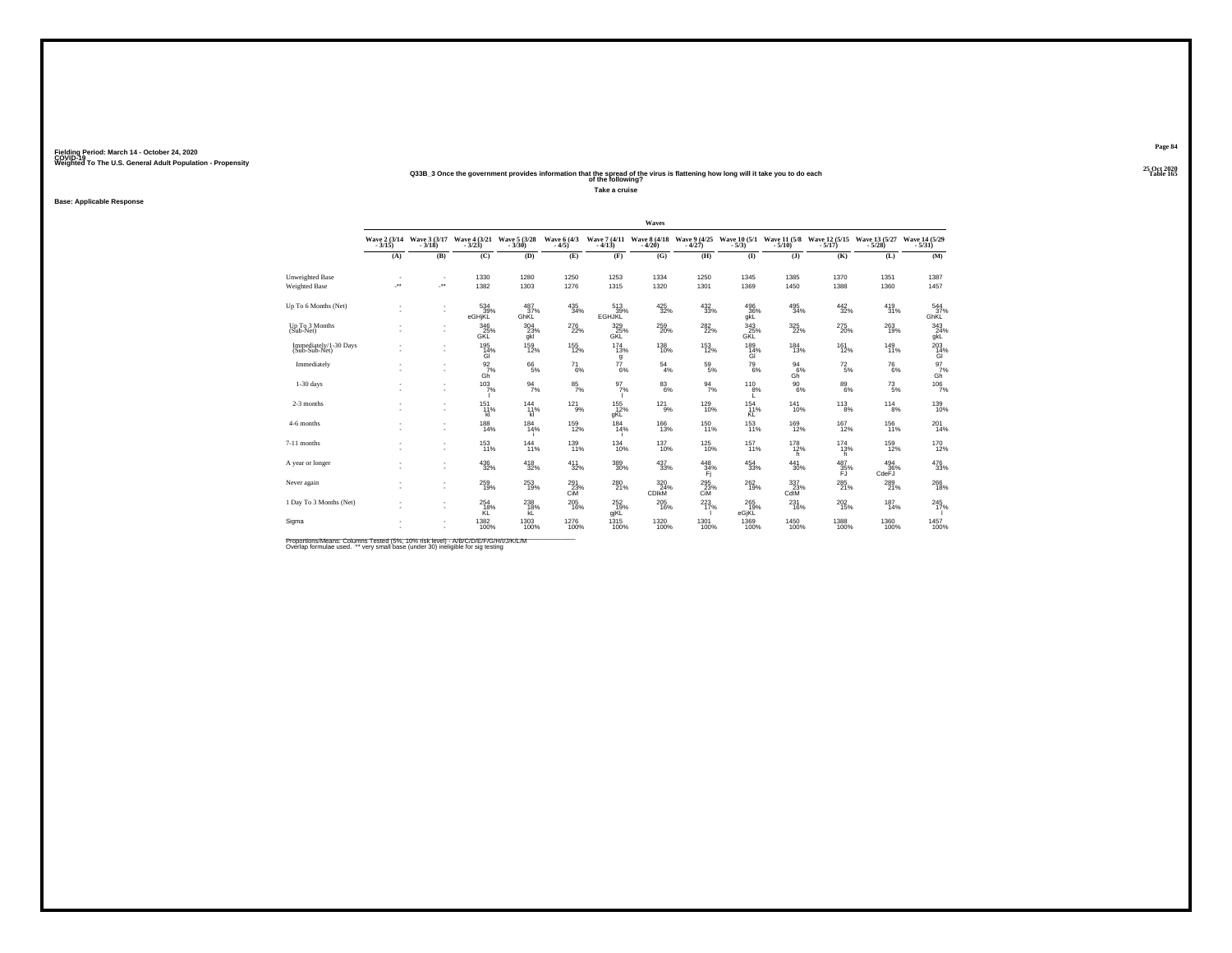#### **25 Oct 2020Q33B\_3 Once the government provides information that the spread of the virus is flattening how long will it take you to do each Table 165 of the following?**

**Take a cruise**

**Base: Applicable Response**

|                                                |                            |                                                      |                                     |                        |                               |                           | Waves                      |                          |                           |                                     |                           |                          |                                             |
|------------------------------------------------|----------------------------|------------------------------------------------------|-------------------------------------|------------------------|-------------------------------|---------------------------|----------------------------|--------------------------|---------------------------|-------------------------------------|---------------------------|--------------------------|---------------------------------------------|
|                                                | Wave 2 (3/14)<br>$-3/15$ ) | Wave 3 (3/17)<br>3/18)                               | $Wave\frac{4}{3/23}(3/21)$          | Wave 5 (3/28)          | Wave 6 (4/3)<br>$-4/5$        | Wave 7 (4/11)<br>$-4/13$  | Wave 8 (4/18)<br>$-4/20$   | Wave 9 (4/25)<br>$-4/27$ | Wave 10 (5/1)<br>$-5/3$   | Wave 11 (5/8)<br>$-5/10$            | Wave 12 (5/15)<br>$-5/17$ | Wave 13 (5/27<br>$-5/28$ | Wave 14 (5/29)<br>$-5/31$                   |
|                                                | (A)                        | (B)                                                  | (C)                                 | (D)                    | (E)                           | (F)                       | (G)                        | (H)                      | $($ I                     | $($ $)$                             | (K)                       | (L)                      | (M)                                         |
| <b>Unweighted Base</b><br><b>Weighted Base</b> | $\ddot{\phantom{1}}$       | $\overline{\phantom{a}}$<br>$\overline{\phantom{a}}$ | 1330<br>1382                        | 1280<br>1303           | 1250<br>1276                  | 1253<br>1315              | 1334<br>1320               | 1250<br>1301             | 1345<br>1369              | 1385<br>1450                        | 1370<br>1388              | 1351<br>1360             | 1387<br>1457                                |
| Up To 6 Months (Net)                           | ٠                          | $\overline{\phantom{a}}$<br>$\overline{\phantom{a}}$ | 534<br>39%<br>eGHjKL                | 487<br>37%<br>GhKL     | $\substack{435 \\ 34\%}$      | 513<br>39%<br>EGHJKL      | $\frac{425}{32\%}$         | 432<br>33%               | 496<br>36%<br>qkL         | 495<br>34%                          | $\frac{442}{32\%}$        | 419<br>31%               | 544<br>37%<br>GhKL                          |
| Up To 3 Months<br>$(Sub-Net)$                  |                            | $\overline{\phantom{a}}$                             | 346<br>25%<br>GKL                   | $^{304}_{23\%}$<br>gkl | $^{276}_{22\%}$               | $\frac{329}{25\%}$<br>GKL | $^{259}_{20\%}$            | $^{282}_{22\%}$          | $\frac{343}{25\%}$<br>GKL | 325                                 | $^{275}_{20\%}$           | 263<br>19%               | 343<br>24%<br>gkL                           |
| Immediately/1-30 Days<br>(Sub-Sub-Net)         |                            | $\sim$<br>$\overline{\phantom{a}}$                   | $^{195}_{14\%}$<br>ĠÌ               | $^{159}_{12\%}$        | $^{155}_{12\%}$               | $^{174}_{13\%}$<br>g      | $^{138}_{10\%}$            | $^{153}_{12\%}$          | $^{189}_{14\%}$<br>ĠÏ     | 184<br>13%                          | $^{161}_{12\%}$           | $^{149}_{11\%}$          | $^{203}_{\phantom{1}14\%}_{\phantom{1}6\%}$ |
| Immediately                                    |                            |                                                      | $\frac{92}{7}\%$<br>Gh <sup>'</sup> | $^{66}_{\ 5\%}$        | $^{71}_{6\%}$                 | $^{77}_{6\%}$             | $^{54}_{\ 4\%}$            | $^{59}_{\ 5\%}$          | $^{79}_{\ 6\%}$           | $\frac{94}{6}\%$<br>Gh <sup>"</sup> | $^{72}_{\ 5\%}$           | $^{76}_{6\%}$            | $^{97}_{7\%}$<br>Gĥ                         |
| $1-30$ days                                    |                            | $\overline{\phantom{a}}$                             | 103/7%                              | $\frac{94}{7\%}$       | $\frac{85}{7\%}$              | $\frac{97}{7}\%$          | $8^{3}_{6\%}$              | $\frac{94}{7\%}$         | $^{110}_{8\%}$            | $^{90}_{\ 6\%}$                     | $^{89}_{6\%}$             | $^{73}_{\ 5\%}$          | 1067%                                       |
| 2-3 months                                     |                            | $\overline{\phantom{a}}$<br>$\overline{\phantom{a}}$ | 151 <sub>%</sub><br>kI.             | $^{144}_{11\%}$<br>kl  | $^{121}_{9\%}$                | $^{155}_{12\%}$<br>qKL    | $^{121}_{-9\%}$            | $^{129}_{10\%}$          | 154<br>11%<br>ΚĹ          | 141<br>10%                          | $^{113}_{8\%}$            | $^{114}_{8\%}$           | 139<br>10%                                  |
| 4-6 months                                     |                            | $\overline{\phantom{a}}$                             | 188<br>14%                          | $^{184}_{14\%}$        | $^{159}_{12\%}$               | $\frac{184}{14\%}$        | <sup>166</sup><br>13%      | 150<br>11%               | $153$ <sub>11%</sub>      | 169<br>12%                          | $^{167}_{12\%}$           | $^{156}_{11\%}$          | 201<br>14%                                  |
| 7-11 months                                    |                            | $\overline{\phantom{a}}$<br>$\overline{\phantom{a}}$ | $^{153}_{11\%}$                     | $^{144}_{11\%}$        | 139<br>11%                    | $^{134}_{10\%}$           | $^{137}_{10\%}$            | $^{125}_{10\%}$          | 157<br>11%                | $^{178}_{12\%}$<br>h.               | $^{174}_{13\%}$<br>h.     | 159<br>12%               | 170<br>12%                                  |
| A year or longer                               |                            | $\overline{\phantom{a}}$<br>$\overline{\phantom{a}}$ | 436<br>32%                          | 418<br>32%             | 411<br>32%                    | 389<br>30%                | 437<br>33%                 | 448<br>34%<br>Ŧi.        | $\substack{454 \\ 33\%}$  | 441<br>30%                          | 487<br>35%<br>FJ          | 494<br>36%<br>CdeFJ      | 476<br>33%                                  |
| Never again                                    |                            | $\overline{\phantom{a}}$                             | 259<br>19%                          | $^{253}_{19\%}$        | $^{291}_{23\%}$<br><b>CiM</b> | 280<br>21%                | 320<br>24%<br><b>CDIKM</b> | 295<br>23%<br><b>CiM</b> | 262<br>19%                | 337 <sub>23%</sub><br>CdIM          | $^{285}_{\ 21\%}$         | 289<br>21%               | 266<br>18%                                  |
| 1 Day To 3 Months (Net)                        |                            | $\overline{\phantom{a}}$<br>$\overline{\phantom{a}}$ | 254<br>18%<br>KĽ                    | $^{238}_{18\%}$<br>ŔĒ. | $^{205}_{16\%}$               | $^{252}_{19\%}$<br>gjKL   | $^{205}_{16\%}$            | 223                      | $^{265}_{19\%}$<br>eGjKL  | 231<br>16%                          | $^{202}_{15\%}$           | $^{187}_{14\%}$          | 245<br>17%                                  |
| Sigma                                          |                            |                                                      | 1382<br>100%                        | 1303<br>100%           | 1276<br>100%                  | $^{1315}_{100\%}$         | 1320<br>100%               | 1301<br>100%             | 1369<br>100%              | 1450<br>100%                        | 1388<br>100%              | 1360<br>100%             | 1457<br>100%                                |

Proportions/Means: Columns Tested (5%, 10% risk level) - A/B/C/D/E/F/G/H/I/J/K/L/M<br>Overlap formulae used. \*\* very small base (under 30) ineligible for sig testing

**Page 84**25 Oct 2020<br>Table 165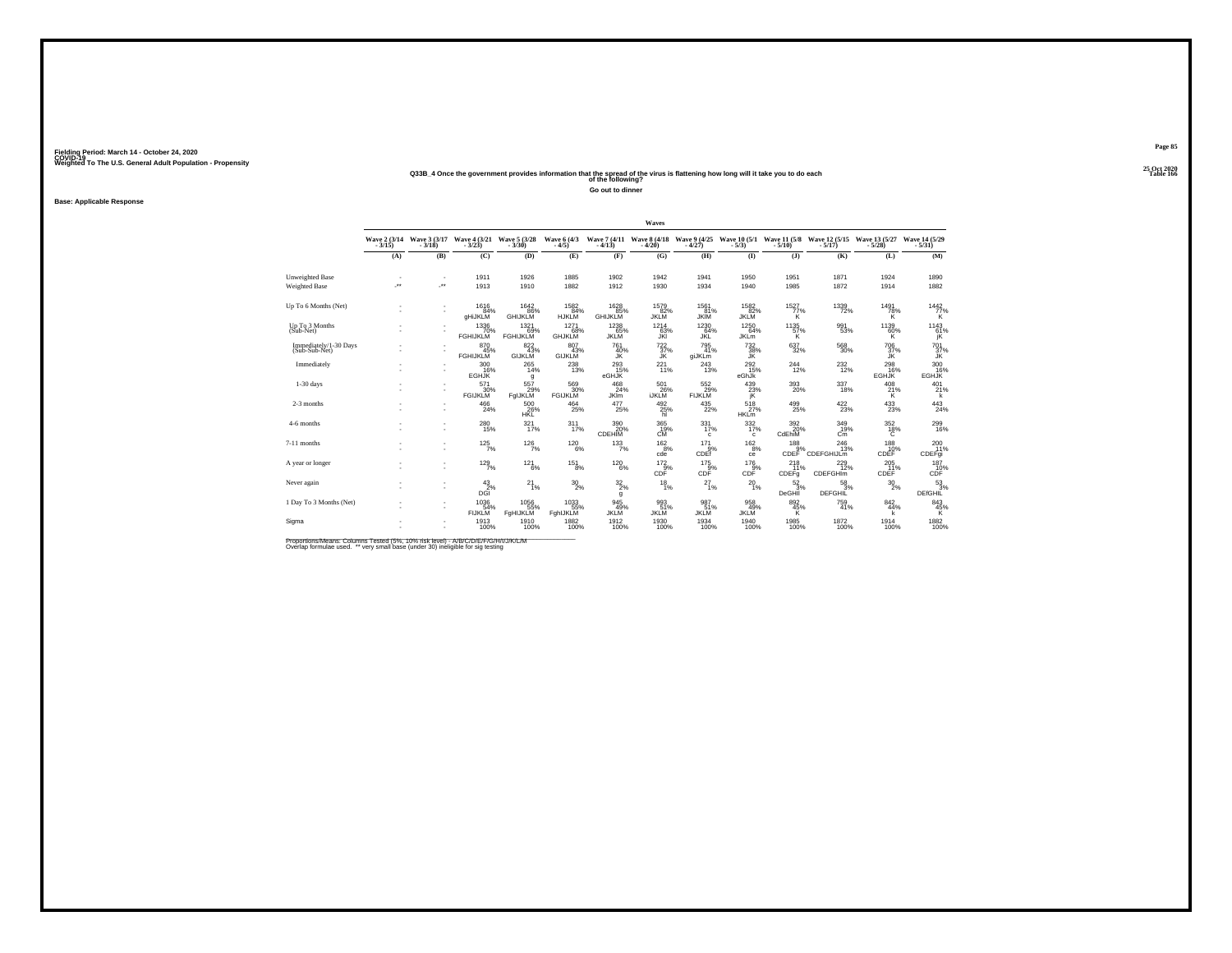#### **25 Oct 2020Q33B\_4 Once the government provides information that the spread of the virus is flattening how long will it take you to do each Table 166 of the following?**

**Go out to dinner**

#### **Base: Applicable Response**

|                                                |                          |                          |                                |                                |                              |                                | Waves                                 |                                     |                                           |                                                              |                                   |                                |                                   |
|------------------------------------------------|--------------------------|--------------------------|--------------------------------|--------------------------------|------------------------------|--------------------------------|---------------------------------------|-------------------------------------|-------------------------------------------|--------------------------------------------------------------|-----------------------------------|--------------------------------|-----------------------------------|
|                                                | Wave $2(3/14$<br>$3/15)$ | Wave 3 (3/17)<br>$-3/18$ | Wave 4 (3/21)<br>$-3/23$       | Wave 5 (3/28)                  | Wave 6 (4/3)<br>$-4/5$       | $-4/13$                        | Wave 7 (4/11 Wave 8 (4/18)<br>$-4/20$ | Wave 9 (4/25)<br>$-4/27$            | Wave $10(5/1$ Wave $11(5/8)$<br>- $5/3$ ) |                                                              | Wave 12 (5/15)                    | Wave 13 (5/27<br>$-5/28$       | Wave 14 (5/29)<br>$-5/31$         |
|                                                | (A)                      | (B)                      | (C)                            | (D)                            | (E)                          | (F)                            | (G)                                   | (H)                                 | (1)                                       | $($ $)$                                                      | (K)                               | (L)                            | (M)                               |
| <b>Unweighted Base</b><br><b>Weighted Base</b> | $\ddot{\phantom{1}}$     | ٠<br>÷.                  | 1911<br>1913                   | 1926<br>1910                   | 1885<br>1882                 | 1902<br>1912                   | 1942<br>1930                          | 1941<br>1934                        | 1950<br>1940                              | 1951<br>1985                                                 | 1871<br>1872                      | 1924<br>1914                   | 1890<br>1882                      |
| Up To 6 Months (Net)                           | ٠                        | ٠<br>×,                  | 1616<br>84%<br>gHiJKLM         | 1642<br>.86%<br><b>GHIJKLM</b> | 1582<br>84%<br><b>HJKLM</b>  | 1628<br>85%<br><b>GHIJKLM</b>  | 1579<br>82%<br><b>JKLM</b>            | 1561<br>81%<br><b>JKIM</b>          | 1582<br>$rac{362}{82\%}$                  | 1527<br>$77\%$                                               | 1339<br>72%                       | 1491<br>78%<br>ĸ               | $\substack{1442 \\ 77\% \\ K}$    |
| Up To 3 Months<br>(Sub-Net)                    |                          |                          | 1336<br>70%<br><b>FGHIJKLM</b> | 1321<br>69%<br><b>FGHIJKLM</b> | 1271<br>68%<br><b>GHJKLM</b> | $1238$<br>65%<br><b>JKLM</b>   | $1214$<br>63%<br>JKI                  | 1230<br>64%<br>JKL                  | 1250<br>64%<br><b>JKLm</b>                | 1135<br>57%<br>Κ                                             | 991<br>53%                        | $1139$<br>60%<br>Κ             | 1143<br>61%<br>jK                 |
| Immediately/1-30 Days<br>(Sub-Sub-Net)         |                          |                          | 870 45%<br><b>FGHIJKLM</b>     | 822 43%<br>GIJKLM              | 807<br>43%<br><b>GIJKLM</b>  | 761<br>40%<br>JK               | $^{722}_{37\%}$<br>ĴŔ                 | $795$<br>$41\%$<br>giJKLm           | $\frac{732}{38\%}$                        | $\substack{637\\32\%}$                                       | 568<br>30%                        | $\frac{706}{37\%}$             | $^{701}_{37\%}$                   |
| Immediately                                    |                          | ٠<br>٠                   | 300<br>16%<br><b>EGHJK</b>     | 265<br>14%<br>g                | $^{238}_{\phantom{1}13\%}$   | 293<br>15%<br>eGHJK            | 221<br>11%                            | 243<br>13%                          | 292<br>15%<br>eGhJk                       | 244<br>12%                                                   | 232<br>12%                        | 298<br>16%<br><b>EGHJK</b>     | 300<br>EGHJK                      |
| $1-30$ days                                    |                          | ٠<br>×,                  | 571<br>30%<br><b>FGIJKLM</b>   | 557<br>FqIJKLM                 | 569<br>30%<br><b>FGIJKLM</b> | $^{468}_{24\%}$<br><b>JKIm</b> | $^{501}_{26\%}$<br><b>İJKLM</b>       | $\frac{552}{29\%}$<br><b>FIJKLM</b> | 439 23%<br>jĶ                             | 393<br>20%                                                   | 337<br>18%                        | $^{408}_{21\%}$<br>к           | $^{401}_{21\%}$<br>k              |
| 2-3 months                                     |                          | ٠<br>×,                  | $^{466}_{\  \, 24\%}$          | 500<br>26%                     | 464<br>25%                   | 477<br>25%                     | $^{492}_{25\%}$                       | $^{435}_{22\%}$                     | $^{518}_{27\%}$<br><b>HKLm</b>            | $^{499}_{25\%}$                                              | 422%                              | $^{433}_{\  \, 23\%}$          | $^{443}_{24\%}$                   |
| 4-6 months                                     |                          | ٠<br>٠                   | 280<br>15%                     | 321%                           | 311 <sub>7%</sub>            | 390 %<br>CDEHIM                | 365<br>19%<br><b>CM</b>               | 331<br>17%<br>c                     | 332/17%<br>c                              | 3920%<br>CdEhiM                                              | 349<br>19%<br>C <sub>m</sub>      | 352/18%<br>C                   | 299<br>16%                        |
| 7-11 months                                    |                          | ٠<br>×,                  | $125/7\%$                      | $126$ <sub>7%</sub>            | $^{120}_{6\%}$               | $133/7\%$                      | $^{162}_{-8\%}$<br>cde                | 171<br>CDEf                         | $162_{8\%}$<br>ce                         | $\overset{188}{\underset{\text{CDEF}}{\sup}}\hspace{-0.1cm}$ | $^{246}_{13\%}$<br>CDEFGHIJLM     | $^{188}_{10\%}$<br><b>CDEF</b> | $^{200}_{11\%}$<br>CDEFgi         |
| A year or longer                               |                          | ٠                        | $129 \atop 7\%$                | 121<br>6%                      | 151<br>8%                    | 120<br>6%                      | 172<br>$CDF^{\frac{5}{9}\%}$          | 175<br>CDF                          | 176<br>CDF                                | 218<br>11%<br>CDEFq                                          | 229<br>12%<br><b>CDEFGHIM</b>     | 205<br>11%<br><b>CDEF</b>      | 187<br>$\overrightarrow{10\%}$    |
| Never again                                    | ٠                        | ٠<br>٠                   | $^{43}_{2\%}$<br>DGI           | $^{21}_{1\%}$                  | $^{30}_{2\%}$                | 32/20<br>g                     | $^{18}_{1\%}$                         | $^{27}_{1\%}$                       | $^{20}_{1\%}$                             | $\frac{52}{3}\%$<br>DeGHII                                   | $\frac{58}{3%}$<br><b>DEFGHIL</b> | $^{30}_{\ 2\%}$                | $\frac{53}{3%}$<br><b>DEfGHIL</b> |
| 1 Day To 3 Months (Net)                        |                          | ٠<br>×.                  | 1036<br>54%<br><b>FIJKLM</b>   | 1056<br>55%<br>FgHIJKLM        | 1033<br>55%<br>FghIJKLM      | 945<br>49%<br><b>JKLM</b>      | 993<br>51%<br><b>JKLM</b>             | 987<br>51%<br><b>JKLM</b>           | 958<br>49%<br><b>JKLM</b>                 | $\frac{892}{45\%}$                                           | 759<br>41%                        | $\frac{842}{44\%}$             | $\frac{843}{45\%}$                |
| Sigma                                          |                          | ٠<br>×.                  | 1913<br>100%                   | 1910<br>100%                   | 1882<br>100%                 | 1912<br>100%                   | 1930<br>100%                          | 1934<br>100%                        | 1940<br>100%                              | 1985<br>100%                                                 | 1872<br>100%                      | 1914<br>100%                   | 1882<br>100%                      |

Proportions/Means: Columns Tested (5%, 10% risk level) - A/B/C/D/E/F/G/H/I/J/K/L/M<br>Overlap formulae used. \*\* very small base (under 30) ineligible for sig testing

**Page 85**25 Oct 2020<br>Table 166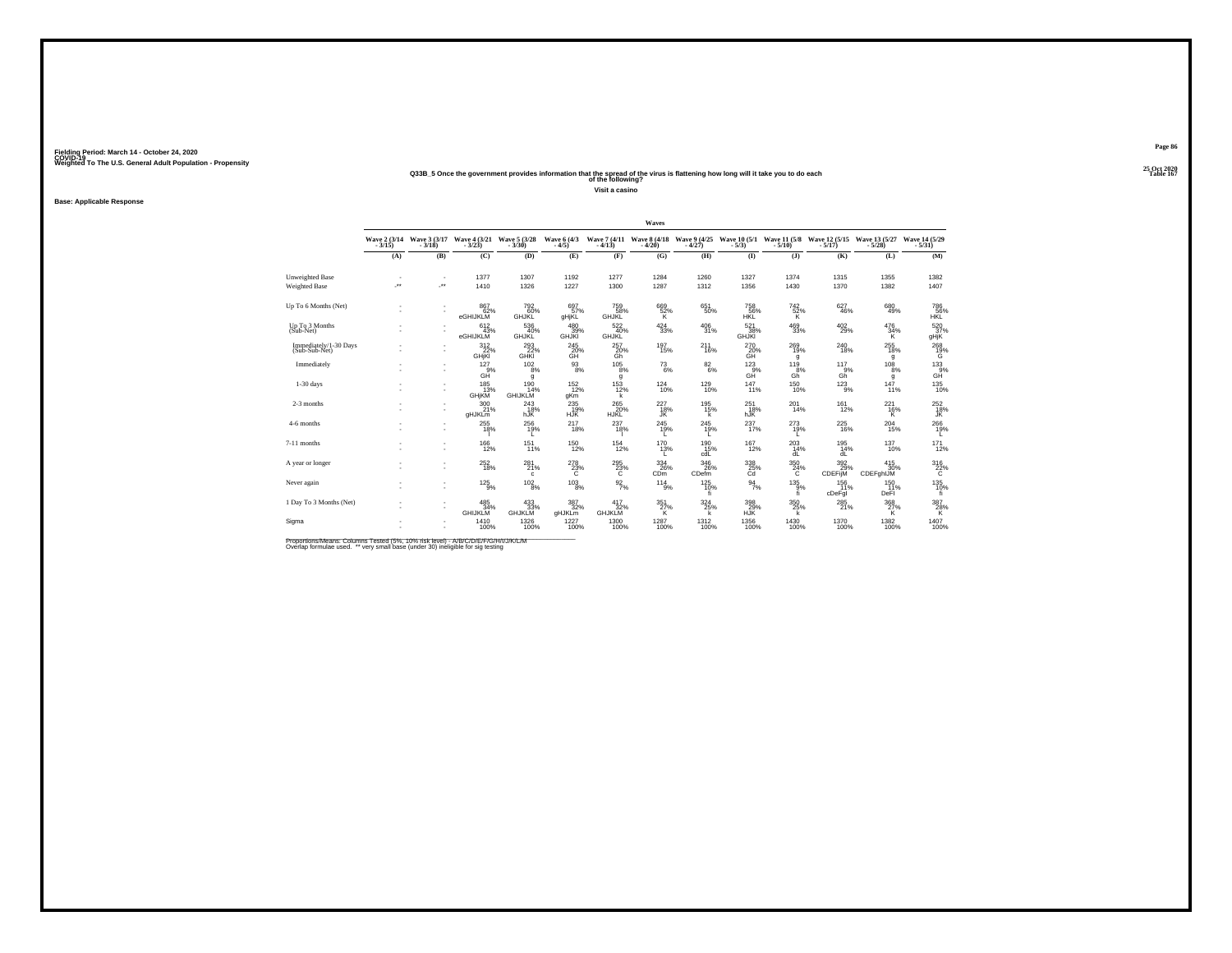#### **25 Oct 2020Q33B\_5 Once the government provides information that the spread of the virus is flattening how long will it take you to do each Table 167 of the following?**

**Visit a casino**

#### **Base: Applicable Response**

|                                         |                          |               |                                        |                                     |                                    |                                    | Waves                                       |                          |                                           |                              |                       |                                |                                      |
|-----------------------------------------|--------------------------|---------------|----------------------------------------|-------------------------------------|------------------------------------|------------------------------------|---------------------------------------------|--------------------------|-------------------------------------------|------------------------------|-----------------------|--------------------------------|--------------------------------------|
|                                         | Wave $2(3/14$<br>$3/15)$ | Wave 3 (3/17) | Wave 4 (3/21)<br>$-3/23$               | Wave 5 (3/28)                       | Wave 6 (4/3)<br>$-4/5$             |                                    | Wave 7 (4/11 Wave 8 (4/18<br>-4/13) - 4/20) | Wave 9 (4/25)<br>$-4/27$ | Wave $10(5/1$ Wave $11(5/8)$<br>- $5/3$ ) |                              | Wave 12 (5/15)        | Wave 13 (5/27<br>$-5/28$       | Wave 14 (5/29)<br>$-5/31$            |
|                                         | (A)                      | (B)           | (C)                                    | (D)                                 | (E)                                | (F)                                | (G)                                         | (H)                      | (1)                                       | $($ $)$                      | (K)                   | (L)                            | (M)                                  |
| Unweighted Base<br><b>Weighted Base</b> | $\ddot{\phantom{1}}$     | $\sim$<br>÷.  | 1377<br>1410                           | 1307<br>1326                        | 1192<br>1227                       | 1277<br>1300                       | 1284<br>1287                                | 1260<br>1312             | 1327<br>1356                              | 1374<br>1430                 | 1315<br>1370          | 1355<br>1382                   | 1382<br>1407                         |
| Up To 6 Months (Net)                    | ٠                        | ٠<br>٠        | 867<br>62%<br>eGHIJKLM                 | 792<br>60%<br><b>GHJKL</b>          | 697%<br>gHjKL                      | 759<br>58%<br><b>GHJKL</b>         | 669<br>52%<br>K                             | 651<br>50%               | 758<br>56%<br>HKL                         | 742<br>$\frac{52}{K}$        | 627<br>46%            | $^{680}_{49\%}$                | 786<br>$56\%$ HKL                    |
| Up To 3 Months<br>(Sub-Net)             |                          |               | 612/43%<br>eGHIJKLM                    | 536<br>40%<br><b>GHJKL</b>          | $^{480}_{39\%}$<br><b>GHJKI</b>    | $\frac{522}{40\%}$<br><b>GHJKL</b> | $^{424}_{\ 33\%}$                           | $^{406}_{31\%}$          | $\frac{521}{38\%}$<br><b>GHJKI</b>        | $^{469}_{33\%}$              | $^{402}_{29\%}$       | $^{476}_{34\%}$<br>K           | 520 37%<br>gHjK                      |
| Immediately/1-30 Days<br>(Sub-Sub-Net)  |                          | ٠             | $\frac{312}{22}\%$<br><b>GHjKI</b>     | $\frac{293}{22\%}$                  | $^{245}_{\mbox{GH}\vphantom{1}}$ % | $^{257}_{\substack{20\%\\6h}}$     | $^{197}_{15\%}$                             | 211<br>16%               | 270<br>20%<br>GH                          | $^{269}_{19\%}$<br>g         | 240<br>18%            | $^{255}_{18\%}$<br>g           | $^{268}_{19\%}$                      |
| Immediately                             |                          | ٠<br>٠        | 127<br>9%<br>GĤ                        | 102<br>$\overline{8}$ %<br>g        | 93<br>8%                           | 105<br>8%<br>g                     | $^{73}_{6\%}$                               | 82<br>6%                 | 123<br>$G_{\rm H}^{\rm QW}$               | 119<br>8%<br>Gh <sup>"</sup> | 117<br>9%<br>Gň       | 108<br>8%<br>g                 | $^{133}_{\qquad \qquad \, \rm{GH}}$  |
| $1-30$ days                             |                          | ٠<br>×,       | $185$ <sub>13%</sub><br>GHjKM          | $^{190}_{14\%}$<br><b>GHIJKLM</b>   | $^{152}_{12\%}$<br>gKm             | $153 \atop 12\%$<br>k              | $^{124}_{10\%}$                             | $^{129}_{10\%}$          | 147%                                      | $^{150}_{10\%}$              | $^{123}_{9\%}$        | $\frac{147}{11\%}$             | $^{135}_{10\%}$                      |
| 2-3 months                              |                          | ٠<br>×.       | $^{300}_{21\%}$<br>gHJKLm              | $^{243}_{18\%}$<br>hJK <sup>1</sup> | 235<br>HJK <sup>®</sup>            | 265<br>20%<br>HJKĽ                 | $^{227}_{~18\%}$                            | 195%<br>k                | 251<br>18%<br>hJK <sup>1</sup>            | 201<br>14%                   | $^{161}_{12\%}$       | $^{221}_{16\%}$<br>ĸ           | $^{252}_{\substack{18\% \text{JK}}}$ |
| 4-6 months                              |                          | ٠<br>×,       | $^{255}_{18\%}$                        | 256<br>19%<br>L.                    | $^{217}_{18\%}$                    | 237<br>18%                         | $^{245}_{19\%}$<br>L                        | 245<br>19%<br>L.         | 237<br>17%                                | 273<br>19%<br>L              | 225<br>16%            | $^{204}_{15\%}$                | 266<br>19%<br>L.                     |
| 7-11 months                             |                          |               | $^{166}_{12\%}$                        | 151%                                | $^{150}_{12\%}$                    | $^{154}_{12\%}$                    | $^{170}_{13\%}$                             | 190 15%<br>cdL           | 167<br>12%                                | $^{203}_{14\%}$<br>dL        | $^{195}_{14\%}$<br>dL | $^{137}_{10\%}$                | $^{171}_{12\%}$                      |
| A year or longer                        |                          | ٠<br>٠        | 252<br>18%                             | 281<br>21%<br>c                     | 278<br>$^{23\%}$                   | 295<br>$^{23\%}$                   | 334<br>26%<br>CD <sub>m</sub>               | 346<br>26%<br>CDefm      | 338<br>25%                                | 350<br>$^{24\%}$             | 392<br>29%<br>CDEFijM | 415<br>30%<br><b>CDEFghIJM</b> | $\frac{316}{26}\%$                   |
| Never again                             |                          | ٠<br>í,       | $^{125}_{-9\%}$                        | $^{102}_{\  \  \, 8\%}$             | $^{103}_{\phantom{1}8\%}$          | $\frac{92}{7}\%$                   | 114<br>9%                                   | $^{125}_{10\%}$<br>fi.   | $\frac{94}{7\%}$                          | $^{135}_{9\%}$<br>fi         | 156<br>11%<br>cDeFgI  | $^{150}_{11\%}$<br>DeFI        | 135<br>10%<br>fi                     |
| 1 Day To 3 Months (Net)                 |                          | ٠<br>٠        | $485$ <sub>34%</sub><br><b>GHIJKLM</b> | $433\n33%$<br><b>GHJKLM</b>         | $\frac{387}{32\%}$<br>gHJKLm       | 417<br>32%<br>GHJKLM               | $\frac{351}{27\%}$                          | 324/25%<br>k             | $^{398}_{29\%}$ HJK                       | $\frac{350}{25\%}$           | $^{285}_{21\%}$       | $\frac{368}{27\%}$             | $^{387}_{\  \  \, 28\%}$             |
| Sigma                                   |                          | ٠<br>×.       | 1410<br>100%                           | 1326<br>100%                        | 1227<br>100%                       | 1300<br>100%                       | 1287<br>100%                                | 1312<br>100%             | $^{1356}_{100\%}$                         | 1430<br>100%                 | 1370<br>100%          | 1382<br>100%                   | 1407<br>100%                         |

Proportions/Means: Columns Tested (5%, 10% risk level) - A/B/C/D/E/F/G/H/I/J/K/L/M<br>Overlap formulae used. \*\* very small base (under 30) ineligible for sig testing

**Page 86**25 Oct 2020<br>Table 167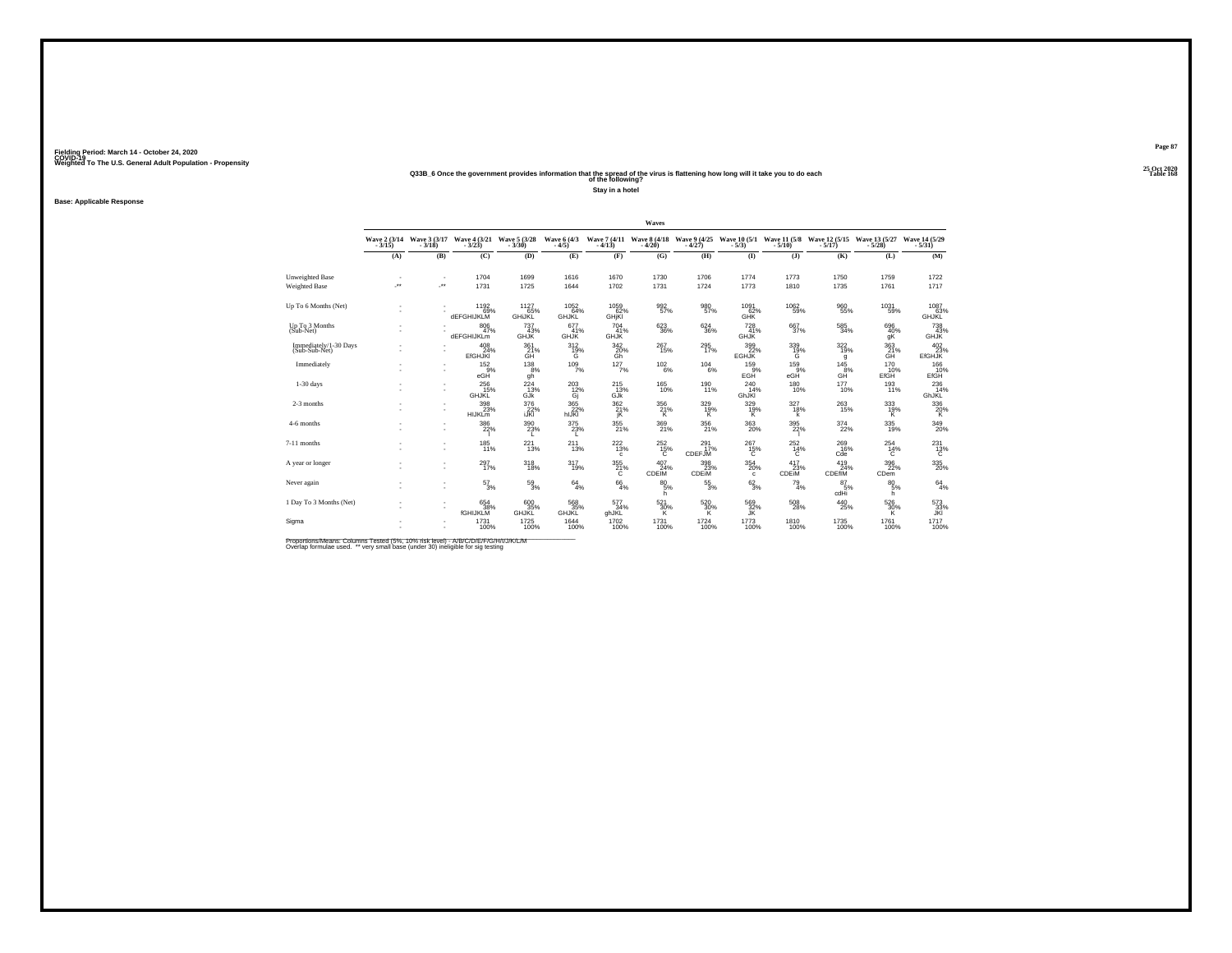#### **25 Oct 2020Q33B\_6 Once the government provides information that the spread of the virus is flattening how long will it take you to do each Table 168 of the following?**

**Stay in a hotel**

#### **Base: Applicable Response**

|                                         |                               |                        |                                         |                                       |                                 |                                                  | Waves                                 |                                  |                                                            |                          |                                   |                           |                                                             |
|-----------------------------------------|-------------------------------|------------------------|-----------------------------------------|---------------------------------------|---------------------------------|--------------------------------------------------|---------------------------------------|----------------------------------|------------------------------------------------------------|--------------------------|-----------------------------------|---------------------------|-------------------------------------------------------------|
|                                         | Wave 2 (3/14)                 | Wave 3 (3/17)<br>3/18) | Wave $\frac{4}{3}$ $\frac{(3/21)}{23}$  | Wave 5 (3/28)                         | Wave 6 (4/3)<br>$-4/5$          | $-4/13$                                          | Wave 7 (4/11 Wave 8 (4/18)<br>$-4/20$ | Wave 9 (4/25)<br>$-4/27$         | Wave 10 (5/1)<br>$-5/3$                                    | Wave 11 (5/8)<br>$-5/10$ | Wave 12 (5/15)<br>$-5/17$         | Wave 13 (5/27)            | Wave 14 (5/29)<br>$-5/31$                                   |
|                                         | (A)                           | (B)                    | (C)                                     | (D)                                   | (E)                             | (F)                                              | (G)                                   | (H)                              | (1)                                                        | $($ $)$                  | (K)                               | (L)                       | (M)                                                         |
| Unweighted Base<br><b>Weighted Base</b> | ٠<br>$\overline{\phantom{a}}$ | ٠<br>÷.                | 1704<br>1731                            | 1699<br>1725                          | 1616<br>1644                    | 1670<br>1702                                     | 1730<br>1731                          | 1706<br>1724                     | 1774<br>1773                                               | 1773<br>1810             | 1750<br>1735                      | 1759<br>1761              | 1722<br>1717                                                |
| Up To 6 Months (Net)                    |                               |                        | 1192<br>69%<br><b>dEFGHIJKLM</b>        | 1127<br>65%<br><b>GHIJKL</b>          | 1052<br>64%<br><b>GHJKL</b>     | 1059<br>62%<br>GHjKI                             | $\frac{992}{57\%}$                    | 980<br>57%                       | 1091<br>62%<br><b>GHK</b>                                  | 1062<br>59%              | 960<br>55%                        | 1031<br>59%               | 1087<br>63%<br>GHJKL                                        |
| Up To 3 Months<br>$(Sub-Net)$           |                               |                        | $\underset{47\%}{^{806}}$<br>dEFGHIJKLm | 737<br>43%<br><b>GHJK</b>             | $677 \atop 41\%$<br><b>GHJK</b> | $^{704}_{41\%}$<br><b>GHJK</b>                   | $^{623}_{36\%}$                       | 624<br>36%                       | 728<br>41%<br><b>GHJK</b>                                  | $\frac{667}{37\%}$       | $\substack{585 \\ 34\%}$          | 696<br>40%<br>gK          | <sup>738</sup> <sub>43%</sub><br><b>GHJK</b>                |
| Immediately/1-30 Days<br>(Sub-Sub-Net)  |                               |                        | $^{408}_{24\%}$<br><b>EfGHJKI</b>       | $^{361}_{\substack{21 \\ \text{GH}}}$ | $^{312}_{19\%}$                 | $^{342}_{\substack{20\%\\6h}}$                   | $^{267}_{15\%}$                       | 295<br>17%                       | $\begin{array}{c} 399 \\ 22\% \\ \text{EGHJK} \end{array}$ | $\frac{339}{19\%}$       | 322%<br>g                         | 363<br>ĞĤ                 | $\begin{array}{c} 402 \\ 23\% \\ \text{EfGHJK} \end{array}$ |
| Immediately                             |                               | ٠<br>٠                 | 152<br>9%<br>eGH                        | 138<br>8%<br>gh                       | $109 \atop 7\%$                 | 127<br>7%                                        | 102<br>6%                             | 104<br>6%                        | 159<br>9%<br>EGH <sup>®</sup>                              | 159<br>9%<br>eGH         | 145<br>$GH^{\overset{\sim}{8}\%}$ | 170<br>10%<br><b>EfGH</b> | 166<br>EfGH                                                 |
| $1-30$ days                             |                               | ٠<br>٠                 | $^{256}_{15\%}$<br><b>GHJKL</b>         | 224<br>13%<br>GJK                     | $^{203}_{12\%}$<br>Gj           | 215%<br>GJK                                      | <sup>165</sup> 10%                    | 190<br>11%                       | 240<br>14%<br>GhJKI                                        | $^{180}_{10\%}$          | 177<br>10%                        | $^{193}_{11\%}$           | $^{236}_{14\%}$<br>GhJKL                                    |
| 2-3 months                              |                               | ٠<br>×.                | $\frac{398}{23\%}$<br><b>HIJKLM</b>     | 376<br>22%<br>iJKI                    | 365<br>hlJKI <sup>'</sup>       | $\begin{array}{c} 362 \\ 21\% \\ jK \end{array}$ | $\frac{356}{21\%}$                    | $\frac{329}{19\%}$               | $\frac{329}{19\%}$                                         | $327_{18\%}$<br>k        | 263<br>15%                        | $\frac{333}{19\%}$        | $^{336}_{\hbox{20\%}}$                                      |
| 4-6 months                              |                               | ٠<br>٠                 | $\frac{386}{22\%}$                      | 390<br>23%<br>L.                      | $^{375}_{23\%}$<br>L.           | $^{355}_{21\%}$                                  | $\frac{369}{21\%}$                    | $^{356}_{21\%}$                  | 363<br>20%                                                 | $^{395}_{22\%}$          | 374<br>22%                        | $335$<br>19%              | $\frac{349}{20\%}$                                          |
| 7-11 months                             |                               | ٠                      | $185$<br>11%                            | 221<br>13%                            | 211<br>13%                      | $^{222}_{13\%}$<br>$\mathbf{C}$                  | $^{252}_{15\%}$                       | $^{291}_{17\%}$<br><b>CDEFJM</b> | $^{267}_{15\%}$                                            | $^{252}_{14\%}$          | 269<br>16%<br>Cde                 | $^{254}_{14\%}$           | $^{231}_{13\%}$                                             |
| A year or longer                        |                               | ٠<br>٠                 | 297<br>17%                              | 318<br>18%                            | 317<br>19%                      | 355<br>$^{21\%}_{C}$                             | 407<br>24%<br><b>CDEIM</b>            | 398<br>23%<br>CDEIM              | 354<br>20%<br>$\mathbf{c}$                                 | 417<br>CDEIM             | 419<br>24%<br>CDEfiM              | 396<br>22%<br><b>CDem</b> | $^{335}_{\phantom{1}\phantom{1}20\%}$                       |
| Never again                             |                               | ٠<br>٠                 | $\frac{57}{3\%}$                        | $^{59}_{3\%}$                         | $^{64}_{4\%}$                   | $^{66}_{4\%}$                                    | $^{80}_{5\%}$<br>h.                   | $^{55}_{\ 3\%}$                  | $6^{2}_{3\%}$                                              | $^{79}_{4\%}$            | $^{87}_{-5\%}$<br>cdHi            | $^{80}_{5\%}$<br>h.       | $^{64}_{4\%}$                                               |
| 1 Day To 3 Months (Net)                 |                               | ٠<br>٠                 | 654 38%<br><b>fGHIJKLM</b>              | 600<br>35%<br>GHJKL                   | 568<br>35%<br>GHJKL             | 577<br>34%<br>ghJKL                              | $\frac{521}{30\%}$                    | $\frac{520}{30\%}$               | $^{569}_{32\%}$                                            | 508<br>28%               | $^{440}_{25\%}$                   | $\frac{526}{30\%}$        | $\frac{573}{33\%}$                                          |
| Sigma                                   |                               | ٠<br>×.                | 1731<br>100%                            | 1725<br>100%                          | 1644<br>100%                    | 1702<br>100%                                     | 1731<br>100%                          | 1724<br>100%                     | 1773<br>100%                                               | 1810<br>100%             | 1735<br>100%                      | 1761<br>100%              | 1717<br>100%                                                |

Proportions/Means: Columns Tested (5%, 10% risk level) - A/B/C/D/E/F/G/H/I/J/K/L/M<br>Overlap formulae used. \*\* very small base (under 30) ineligible for sig testing

**Page 87**25 Oct 2020<br>Table 168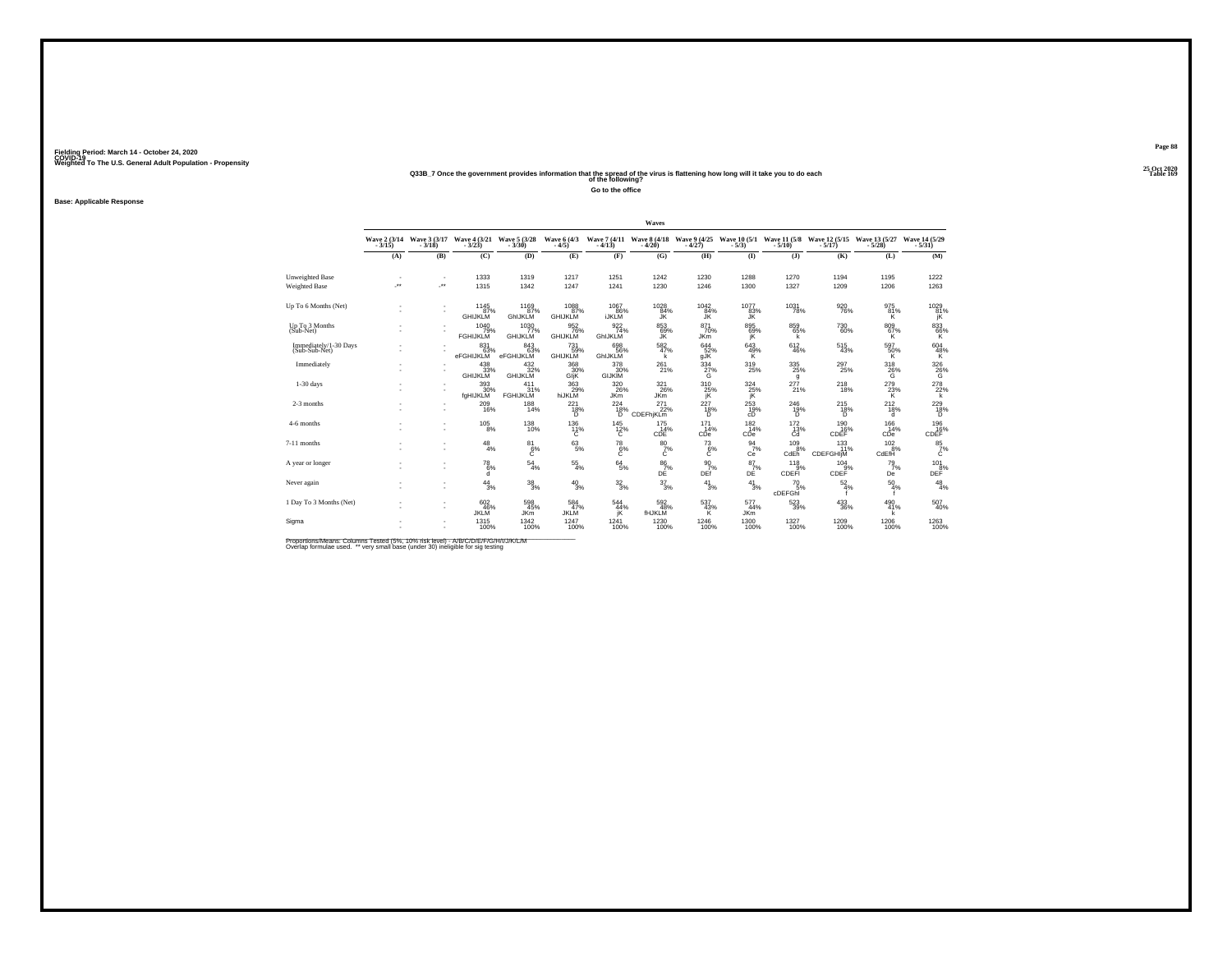#### **25 Oct 2020Q33B\_7 Once the government provides information that the spread of the virus is flattening how long will it take you to do each Table 169 of the following?**

**Go to the office**

**Base: Applicable Response**

|                                         |                      |                                                      |                                            |                               |                                |                               | Waves                                 |                              |                                |                                |                                            |                             |                           |
|-----------------------------------------|----------------------|------------------------------------------------------|--------------------------------------------|-------------------------------|--------------------------------|-------------------------------|---------------------------------------|------------------------------|--------------------------------|--------------------------------|--------------------------------------------|-----------------------------|---------------------------|
|                                         | Wave 2 (3/14)        | Wave 3 (3/17)<br>$-3/18$                             | Wave 4 (3/21 Wave 5 (3/28<br>3/23) - 3/30) |                               | Wave 6 (4/3)<br>$-4/5$         | $-4/13$                       | Wave 7 (4/11 Wave 8 (4/18)<br>$-4/20$ | Wave 9 (4/25)<br>$-4/27$     | Wave 10 (5/1)<br>$-5/3)$       |                                | Wave 11 (5/8 Wave 12 (5/15<br>5/10) - 5/17 | Wave 13 (5/27)              | Wave 14 (5/29)<br>$-5/31$ |
|                                         | (A)                  | (B)                                                  | (C)                                        | (D)                           | (E)                            | (F)                           | (G)                                   | (H)                          | $($ I                          | $($ $)$                        | (K)                                        | (L)                         | (M)                       |
| Unweighted Base<br><b>Weighted Base</b> | $\ddot{\phantom{1}}$ | <b>A</b>                                             | 1333<br>1315                               | 1319<br>1342                  | 1217<br>1247                   | 1251<br>1241                  | 1242<br>1230                          | 1230<br>1246                 | 1288<br>1300                   | 1270<br>1327                   | 1194<br>1209                               | 1195<br>1206                | 1222<br>1263              |
| Up To 6 Months (Net)                    | $\sim$               | $\overline{\phantom{a}}$                             | 1145<br>87%<br><b>GHIJKLM</b>              | 1169<br>87%<br>GhIJKLM        | 1088<br>87%<br><b>GHIJKLM</b>  | 1067<br>86%<br><b>IJKLM</b>   | 1028<br>84%<br>JK.                    | 1042<br>84%<br>ĴK.           | 1077<br>83%<br>JK.             | 1031<br>78%                    | 920<br>76%                                 | 975<br>81%<br>K             | 1029<br>81%<br>ΪK.        |
| Up To 3 Months<br>(Sub-Net)             |                      |                                                      | 1040<br>79%<br><b>FGHIJKLM</b>             | 1030<br>77%<br><b>GHIJKLM</b> | 9526%<br><b>GHIJKLM</b>        | $\frac{922}{74\%}$<br>GhIJKLM | 853<br>69%<br>JK                      | 871<br>70%<br><b>JKm</b>     | 895<br>69%<br>jΚ               | 859<br>65%<br>k                | 730<br>60%                                 | $^{809}_{67\%}$<br>к        | 833<br>66%<br>Κ           |
| Immediately/1-30 Days<br>(Sub-Sub-Net)  |                      |                                                      | 83163%<br>eFGHIJKLM                        | 843<br>63%<br>eFGHIJKLM       | 731<br>59%<br><b>GHIJKLM</b>   | 698<br>56%<br>GhIJKLM         | $\frac{582}{47\%}$<br>k               | $644$ <sub>52%</sub><br>gĴK  | 643<br>$\frac{49}{\mathsf{K}}$ | 612<br>46%                     | $^{515}_{\ 43\%}$                          | 597<br>50%<br>ΪŘ.           | $^{604}_{48\%}$           |
| Immediately                             |                      | $\overline{\phantom{a}}$<br>$\overline{\phantom{a}}$ | $^{438}_{33\%}$ GHIJKLM                    | 432<br>32%<br><b>GHIJKLM</b>  | 368<br>30%<br><b>GIK</b>       | 378<br>30%<br><b>GIJKIM</b>   | 261<br>21%                            | 334<br>27%<br>G              | 319<br>25%                     | 335<br>25%<br>g                | 297<br>25%                                 | 318<br>${}^{26\%}_{G}$      | $\frac{326}{26\%}$        |
| $1-30$ days                             |                      | $\overline{\phantom{a}}$                             | $393 \atop 30\%$<br>fgHIJKLM               | 411<br>31%<br><b>FGHIJKLM</b> | 363<br>29%<br>hiJKLM           | 320<br>26%<br><b>JKm</b>      | $\frac{321}{26\%}$<br><b>JKm</b>      | 310<br>25%<br>jΚ             | $\frac{324}{25\%}$<br>jΚ       | 277<br>21%                     | $^{218}_{18\%}$                            | $^{279}_{23\%}$<br>K.       | 278<br>22%<br>k           |
| 2-3 months                              |                      |                                                      | 209<br>16%                                 | $^{188}_{14\%}$               | $^{221}_{18\%}$<br>ñ           | 224<br>18%<br>ïñ.             | $^{271}_{22\%}$<br><b>CDEFhjKLm</b>   | $^{227}_{18\%}$<br>D.        | 253<br>cĎ                      | 246<br>19%<br>Ō.               | $^{215}_{18\%}$<br>'n.                     | $^{212}_{18\%}$<br>d        | $^{229}_{18\%}$           |
| 4-6 months                              |                      | $\overline{\phantom{a}}$<br>$\overline{\phantom{a}}$ | $^{105}_{\phantom{1}8\%}$                  | <sup>138</sup><br>10%         | 136<br>11%<br>c                | $^{145}_{12\%}$<br>с          | $\frac{175}{14\%}$<br>CDE             | 171<br>14%<br>CDe            | $\frac{182}{14\%}$<br>CDe      | $\frac{172}{13\%}$<br>Cd       | 190<br>16%<br>CDEF                         | 166<br>14%<br>CDe           | 196%<br>CDEF              |
| 7-11 months                             |                      |                                                      | $^{48}_{4\%}$                              | $^{81}_{6\%}$                 | $^{63}_{5\%}$                  | $^{78}_{6\%}$                 | $^{80}_{7\%}$<br>Ċ                    | $\frac{73}{6}\%$             | $\frac{94}{7\%}$<br>Ce         | 109<br>8%<br>CdEh <sup>"</sup> | $^{133}_{11\%}$<br>CDEFGHIM                | $^{102}_{.8\%}$<br>CdEfH    | $^{85}_{7\%}$             |
| A year or longer                        |                      |                                                      | 78<br>6%<br>d                              | 54<br>4%                      | $^{55}_{\ 4\%}$                | $^{64}_{5\%}$                 | $^{86}_{\substack{7\% \\ \text{DE}}}$ | 90<br>7%<br>DEf <sup>1</sup> | 87<br>7%<br>DĖ                 | 118<br>CDEFI <sup>9%</sup>     | 104<br>9%<br>CDEF                          | 79<br>7%<br>De <sup>1</sup> | 101<br>DEP <sup>8%</sup>  |
| Never again                             |                      | $\overline{\phantom{a}}$                             | 44<br>3%                                   | $^{38}_{\ 3\%}$               | $^{40}_{3\%}$                  | $\frac{32}{3}\%$              | $\frac{37}{3\%}$                      | $^{41}_{3\%}$                | 41<br>3%                       | 70<br>5%<br>cDEFGhI            | $\frac{52}{4\%}$                           | 50<br>4%                    | $^{48}_{4\%}$             |
| 1 Day To 3 Months (Net)                 |                      | $\overline{\phantom{a}}$                             | 602/46%<br><b>JKLM</b>                     | 598<br>45%<br><b>JKm</b>      | $^{584}_{47\%}$<br><b>JKLM</b> | $^{544}_{44\%}$<br>jΚ         | $\frac{592}{48\%}$<br><b>fHJKLM</b>   | 537<br>43%<br>κ              | 577<br>44%<br><b>JKm</b>       | $\substack{523 \\ 39\%}$       | $^{433}_{\phantom{1}\phantom{1}36\%}$      | 490<br>41%<br>k             | 507<br>40%                |
| Sigma                                   |                      |                                                      | 1315<br>100%                               | 1342<br>100%                  | 1247<br>100%                   | 1241<br>100%                  | 1230<br>100%                          | 1246<br>100%                 | $^{1300}_{100\%}$              | 1327<br>100%                   | 1209<br>100%                               | 1206<br>100%                | 1263<br>100%              |

Proportions/Means: Columns Tested (5%, 10% risk level) - A/B/C/D/E/F/G/H/I/J/K/L/M<br>Overlap formulae used. \*\* very small base (under 30) ineligible for sig testing

**Page 88**25 Oct 2020<br>Table 169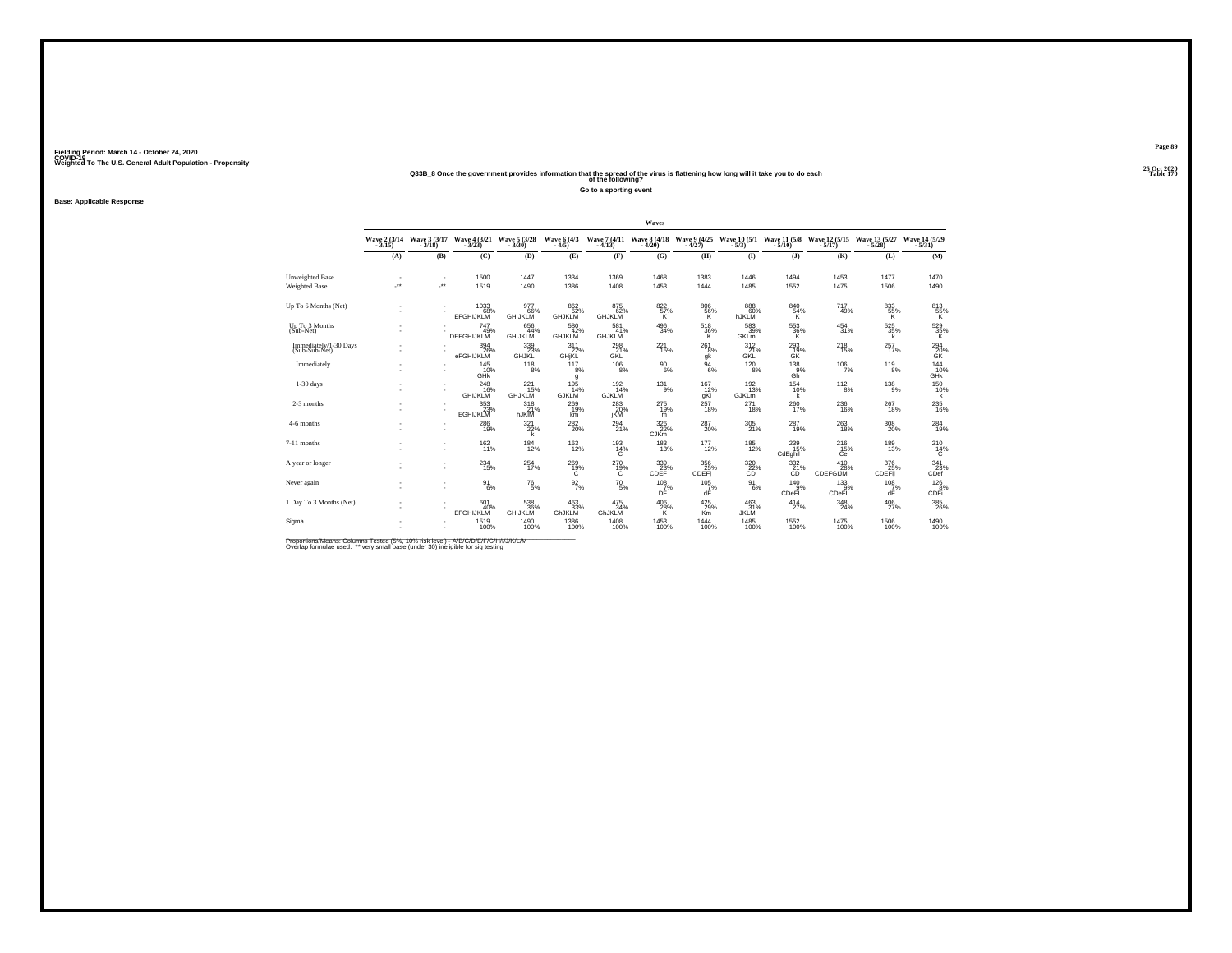#### **25 Oct 2020Q33B\_8 Once the government provides information that the spread of the virus is flattening how long will it take you to do each Table 170 of the following?**

**Go to a sporting event**

**Base: Applicable Response**

|                                         |     |     |                                                                             |                                  |                                  |                                   | Waves                      |                           |                                                                                  |                         |                                            |                                       |                                                                             |
|-----------------------------------------|-----|-----|-----------------------------------------------------------------------------|----------------------------------|----------------------------------|-----------------------------------|----------------------------|---------------------------|----------------------------------------------------------------------------------|-------------------------|--------------------------------------------|---------------------------------------|-----------------------------------------------------------------------------|
|                                         |     |     | Wave 2 (3/14 Wave 3 (3/17 Wave 4 (3/21 Wave 5 (3/28<br>3/15) - 3/18) - 3/18 |                                  | Wave 6 (4/3)<br>$-4/5$           |                                   |                            |                           | Wave 7 (4/11 Wave 8 (4/18 Wave 9 (4/25 Wave 10 (5/1 Wave 11 (5/8 - 4/13) - 4/20) |                         | Wave 12 (5/15 Wave 13 (5/27<br>5/17) 5/28) |                                       | Wave 14 (5/29)<br>$-5/31$                                                   |
|                                         | (A) | (B) | (C)                                                                         | (D)                              | (E)                              | (F)                               | (G)                        | (H)                       | $($ I                                                                            | $($ $)$                 | (K)                                        | (L)                                   | (M)                                                                         |
| Unweighted Base<br><b>Weighted Base</b> | J.  | ÷.  | 1500<br>1519                                                                | 1447<br>1490                     | 1334<br>1386                     | 1369<br>1408                      | 1468<br>1453               | 1383<br>1444              | 1446<br>1485                                                                     | 1494<br>1552            | 1453<br>1475                               | 1477<br>1506                          | 1470<br>1490                                                                |
| Up To 6 Months (Net)                    |     |     | 1033<br>68%<br><b>EFGHIJKLM</b>                                             | 977<br>66%<br>GHIJKLM            | 862<br>62%<br>GHJKLM             | 875<br>62%<br><b>GHJKLM</b>       | $\frac{822}{57\%}$         | 806<br>$\frac{56}{8}$     | 888<br>60%<br>hJKLM                                                              | 840<br>$\frac{54}{K}$   | 717<br>49%                                 | $\frac{833}{55\%}$                    | $\underset{\begin{array}{c} \text{613}\\ \text{K} \end{array}}{\text{813}}$ |
| Up To 3 Months<br>(Sub-Net)             |     |     | 747<br>49%<br>DEFGHIJKLM                                                    | 656<br>44%<br><b>GHIJKLM</b>     | 580<br>42%<br><b>GHJKLM</b>      | 581 <sub>%</sub><br><b>GHJKLM</b> | $^{496}_{34\%}$            | $\frac{518}{36\%}$<br>к   | $^{583}_{\ 39\%}$<br>GKLm                                                        | 553<br>36%<br>к         | $^{454}_{\phantom{1}31\%}$                 | $\frac{525}{35\%}$<br>k               | 529 35%<br>Κ                                                                |
| Immediately/1-30 Days<br>(Sub-Sub-Net)  |     |     | 394<br>26%<br>eFGHIJKLM                                                     | 339<br>23%<br>GHJKL              | $\underset{\mathsf{GHjKL}}{311}$ | $^{298}_{\rm Z1\%}$ GKL           | 221<br>15%                 | $^{261}_{18\%}$<br>gk     | 312<br>GKL                                                                       | 293<br>19%<br>GK        | $^{218}_{15\%}$                            | $^{257}_{17\%}$                       | $^{294}_{20\%}$                                                             |
| Immediately                             |     |     | 145<br>10%<br><b>GHK</b>                                                    | 118<br>8%                        | 117<br>8%<br>g                   | 106<br>8%                         | 90<br>6%                   | 94<br>6%                  | 120<br>8%                                                                        | 138<br>9%<br>Gh         | 106<br>7%                                  | 119<br>8%                             | $^{144}_{10\%}$                                                             |
| $1-30$ days                             |     |     | $^{248}_{16\%}$<br><b>GHIJKLM</b>                                           | $^{221}_{15\%}$<br><b>GHJKLM</b> | 195<br>14%<br><b>GJKLM</b>       | 192 <sub>0</sub><br><b>GJKLM</b>  | $^{131}_{9\%}$             | $\frac{167}{12}\%$<br>qKI | $\frac{192}{13\%}$<br>GJKLm                                                      | $^{154}_{10\%}$<br>k    | $^{112}_{8\%}$                             | $^{138}_{9\%}$                        | 150<br>10%<br>k                                                             |
| 2-3 months                              |     |     | 353<br>23%<br>EGHIJKLM                                                      | $\underset{\text{hJKIM}}{318}$   | $^{269}_{19\%}$<br>km            | 283<br>20%<br>jKM                 | 275<br>19%<br>m            | 257<br>18%                | 271<br>18%                                                                       | $^{260}_{17\%}$         | $^{236}_{16\%}$                            | 267<br>18%                            | 235<br>16%                                                                  |
| 4-6 months                              |     |     | 286<br>19%                                                                  | 321/22%<br>k                     | $^{282}_{20\%}$                  | 294 <sub>%</sub>                  | $\frac{326}{22\%}$<br>CJKm | 287 <sub>20%</sub>        | $^{305}_{\phantom{1}\phantom{1}21\%}$                                            | 287<br>19%              | $^{263}_{18\%}$                            | $^{308}_{\phantom{1}\phantom{1}20\%}$ | 284<br>19%                                                                  |
| 7-11 months                             |     |     | 162<br>11%                                                                  | $^{184}_{12\%}$                  | $^{163}_{12\%}$                  | 193<br>14%<br>Ć                   | <sup>183</sup> 13%         | 177<br>12%                | $^{185}_{12\%}$                                                                  | 239<br>15%<br>CdEghil   | $^{216}_{15\%}$<br>Ćē                      | 189<br>13%                            | $^{210}_{14\%}$                                                             |
| A vear or longer                        |     |     | 234<br>15%                                                                  | 254<br>17%                       | 269<br>$^{19\%}_{C}$             | 270<br>$^{19\%}_{C}$              | 339<br>CDEF <sup>23%</sup> | 356<br>CDEFj              | 320<br>$\overline{c}$ <sup>22%</sup>                                             | 332<br>$\frac{21}{6}$ % | 410<br>CDEFGIJM                            | 376<br>25%<br>CDEFij                  | $\overset{341}{\underset{\text{CDef}}{\sum}}$                               |
| Never again                             |     |     | $^{91}_{6\%}$                                                               | $^{76}_{5\%}$                    | $\frac{92}{7\%}$                 | $^{70}_{5\%}$                     | $^{108}_{7\%}$<br>DF       | $\frac{105}{7}\%$<br>dF   | $\frac{91}{6\%}$                                                                 | $^{140}_{9\%}$<br>CDeFI | $^{133}_{9%}$<br>CDeFI                     | $\frac{108}{7}\%$<br>dF               | $\frac{126}{8%}$<br>CDFi                                                    |
| 1 Day To 3 Months (Net)                 |     |     | 601<br>40%<br><b>EFGHIJKLM</b>                                              | 538<br>36%<br>GHIJKLM            | $^{463}_{33\%}$<br>GhJKLM        | $\frac{475}{34\%}$<br>GhJKLM      | $^{406}_{28\%}$            | 425/29%<br>Km             | 463<br>31%<br><b>JKLM</b>                                                        | $^{414}_{27\%}$         | $\frac{348}{24\%}$                         | $^{406}_{27\%}$                       | 385<br>26%                                                                  |
| Sigma                                   |     |     | 1519<br>100%                                                                | 1490<br>100%                     | 1386<br>100%                     | 1408<br>100%                      | $^{1453}_{100\%}$          | 1444<br>100%              | 1485<br>100%                                                                     | 1552<br>100%            | 1475<br>100%                               | 1506<br>100%                          | 1490<br>100%                                                                |

Proportions/Means: Columns Tested (5%, 10% risk level) - A/B/C/D/E/F/G/H/I/J/K/L/M<br>Overlap formulae used. \*\* very small base (under 30) ineligible for sig testing

**Page 89**25 Oct 2020<br>Table 170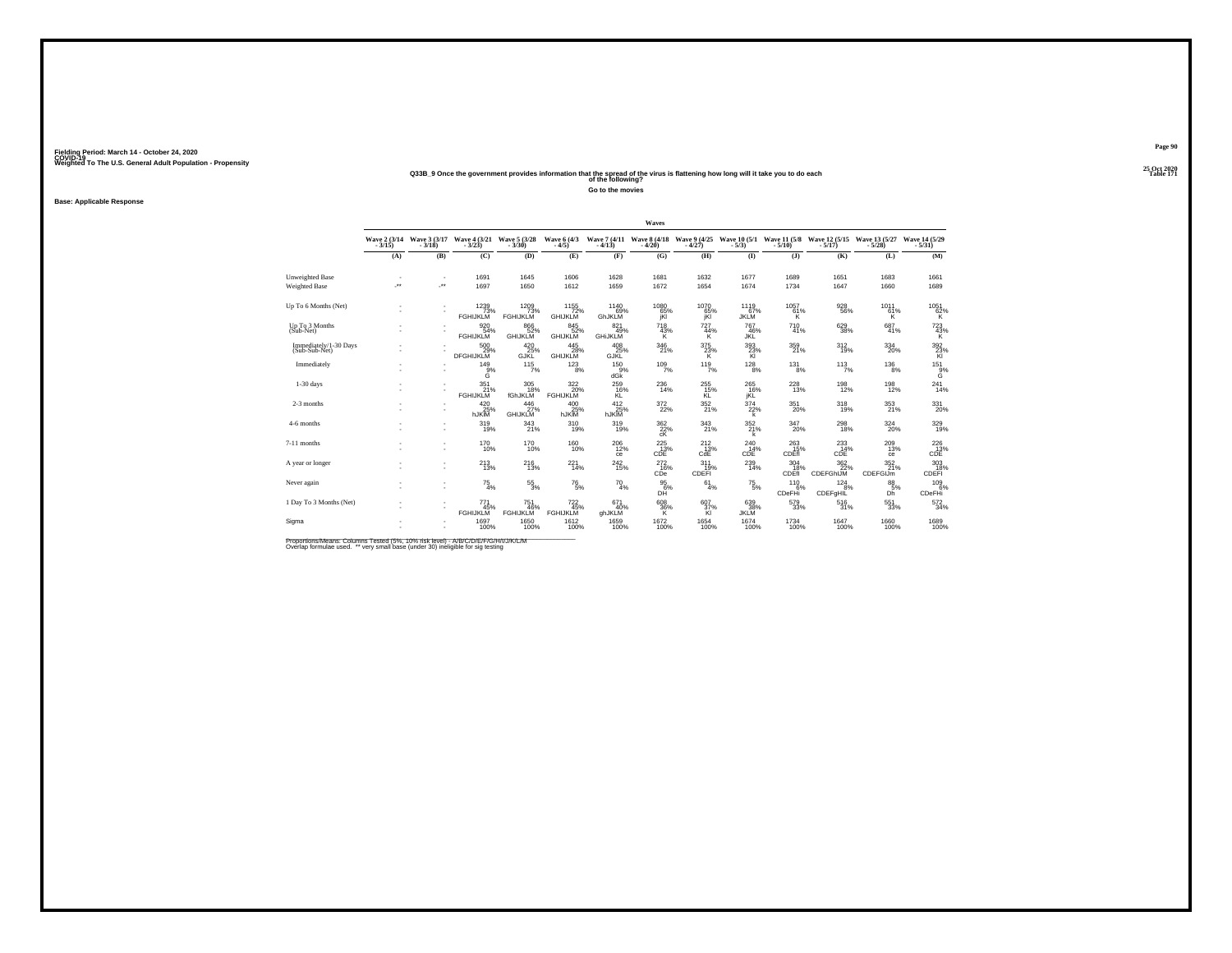#### **25 Oct 2020Q33B\_9 Once the government provides information that the spread of the virus is flattening how long will it take you to do each Table 171 of the following?**

**Go to the movies**

**Base: Applicable Response**

|                                        |     |     |                                                         |                               |                                    |                                                     | Waves                                                  |                         |                               |                          |                                                        |                               |                                                                                      |
|----------------------------------------|-----|-----|---------------------------------------------------------|-------------------------------|------------------------------------|-----------------------------------------------------|--------------------------------------------------------|-------------------------|-------------------------------|--------------------------|--------------------------------------------------------|-------------------------------|--------------------------------------------------------------------------------------|
|                                        |     |     | Wave 2 (3/14 Wave 3 (3/17 Wave 4 (3/21<br>3/18) - 3/18) | Wave 5 (3/28)                 | Wave 6 (4/3<br>$-4/5$              |                                                     | Wave 7 (4/11 Wave 8 (4/18 Wave 9 (4/25<br>4/13) - 4/20 |                         | Wave 10 (5/1)                 |                          | Wave 11 (5/8 Wave 12 (5/15 Wave 13 (5/27<br>5/10) 5/10 |                               | Wave 14 (5/29)<br>$-5/31$                                                            |
|                                        | (A) | (B) | (C)                                                     | (D)                           | (E)                                | (F)                                                 | (G)                                                    | (H)                     | $($ I                         | $($ $)$                  | (K)                                                    | (L)                           | (M)                                                                                  |
| Unweighted Base                        |     |     | 1691                                                    | 1645                          | 1606                               | 1628                                                | 1681                                                   | 1632                    | 1677                          | 1689                     | 1651                                                   | 1683                          | 1661                                                                                 |
| Weighted Base                          | J.  | ÷.  | 1697                                                    | 1650                          | 1612                               | 1659                                                | 1672                                                   | 1654                    | 1674                          | 1734                     | 1647                                                   | 1660                          | 1689                                                                                 |
| Up To 6 Months (Net)                   |     |     | 1239<br>73%<br>FGHIJKLM                                 | 1209<br>73%<br>FGHIJKLM       | $1155$<br>$72\%$<br><b>GHIJKLM</b> | 1140<br>69%<br>GhJKLM                               | 1080<br>65%<br>jKl                                     | 1070<br>65%             | 1119<br>67%<br><b>JKLM</b>    | 1057<br>$^{61\%}_{K}$    | 928<br>56%                                             | 1011<br>61%<br>κ              | $^{1051}_{62\%}$                                                                     |
| Up To 3 Months<br>(Sub-Net)            |     |     | 920 54%<br><b>FGHIJKLM</b>                              | 866<br>52%<br><b>GHIJKLM</b>  | 845<br>52%<br><b>GHIJKLM</b>       | 821<br>49%<br><b>GHIJKLIV</b>                       | $^{718}_{43\%}$<br>K                                   | <sup>727</sup> 44%<br>к | 767<br>46%<br>JKL             | 710<br>41%               | $\substack{629\\38\%}$                                 | $^{687}_{41\%}$               | $\frac{723}{43\%}$                                                                   |
| Immediately/1-30 Days<br>(Sub-Sub-Net) |     |     | 500<br>DFGHIJKLM                                        | $^{420}_{25\%}$ GJKL          | 445<br>28%<br><b>GHIJKLM</b>       | $^{408}_{\phantom{1}25\%}_{\phantom{1}6\text{JKL}}$ | $\frac{346}{21\%}$                                     | $\frac{375}{23}\%$      | $\frac{393}{23\%}$            | 359<br>21%               | 312%                                                   | 334<br>20%                    | $\frac{392}{23\%}$                                                                   |
| Immediately                            |     |     | 149<br>$\overset{9\%}{\mathsf{G}}$                      | 115<br>7%                     | 123<br>8%                          | 150<br>9%<br>dGk                                    | 109<br>7%                                              | 119<br>7%               | 128<br>8%                     | 131<br>8%                | 113<br>7%                                              | 136<br>8%                     | $^{151}_{\substack{9\%\\6}}$                                                         |
| $1-30$ days                            |     |     | 351 <sub>%</sub><br><b>FGHIJKLM</b>                     | 305<br>18%<br>fGhJKLM         | 322/20%<br><b>FGHIJKLM</b>         | 259<br>16%<br>KL                                    | 236<br>14%                                             | 255<br>15%<br>KL        | $^{265}_{16\%}$<br><b>iKL</b> | 228<br>13%               | 198<br>12%                                             | 198<br>12%                    | 241<br>14%                                                                           |
| 2-3 months                             |     |     | $^{420}_{25\%}$ hJKIM                                   | $^{446}_{27\%}$ GHIJKLM       | 400<br>25%<br>hJKIM                | 412<br>25%<br>hJKIM                                 | 372 <sub>2%</sub>                                      | 352 <sub>%</sub>        | 374<br>22%                    | $^{351}_{\  \, 20\%}$    | $^{318}_{19\%}$                                        | $353 \atop 21\%$              | 331<br>20%                                                                           |
| 4-6 months                             |     |     | 319 <sub>0%</sub>                                       | $\frac{343}{21\%}$            | 310<br>19%                         | 319<br>19%                                          | $\underset{\text{CK}}{^{362}}$                         | 343<br>21%              | $\frac{352}{21\%}$<br>k       | $\frac{347}{20\%}$       | 298<br>18%                                             | $^{324}_{\color{red}\,20\%}$  | 329<br>19%                                                                           |
| 7-11 months                            |     |     | $^{170}_{10\%}$                                         | $^{170}_{10\%}$               | $^{160}_{10\%}$                    | $^{206}_{12\%}$<br>ce                               | $^{225}_{13\%}$<br>CDE                                 | $^{212}_{13\%}$<br>CdE  | 240<br>14%<br>CDE             | $^{263}_{15\%}$<br>CDÉfi | $^{233}_{\phantom{1}14\%}$ cDE                         | $^{209}_{13\%}$<br>ce         | $^{226}_{13\%}$ cDE                                                                  |
| A vear or longer                       |     |     | $^{213}_{13\%}$                                         | 216<br>13%                    | 221<br>14%                         | $^{242}_{\ 15\%}$                                   | 272<br>16%<br>CDe                                      | 311<br>19%<br>CDEFI     | 239<br>14%                    | 304<br>18%<br>CDEfi      | 362<br>22%<br>CDEFGhIJM                                | 352<br>21%<br><b>CDEFGIJm</b> | $\begin{array}{r} 303 \\ \bf \color{red}{189} \\ \bf \color{red}{CDEFi} \end{array}$ |
| Never again                            |     |     | $^{75}_{4\%}$                                           | $^{55}_{3\%}$                 | $^{76}_{\ 5\%}$                    | $^{70}_{4\%}$                                       | $\frac{95}{6%}$<br>DH                                  | 61<br>4%                | $^{75}_{\ 5\%}$               | 110<br>$-6%$<br>CDeFHi   | $^{124}_{.8\%}$<br>CDEFgHIL                            | 88/5%<br>Dh                   | 109 <sub>6%</sub><br><b>CDeFHi</b>                                                   |
| 1 Day To 3 Months (Net)                |     |     | 771<br>45%<br><b>FGHIJKLM</b>                           | 751<br>46%<br><b>FGHIJKLM</b> | 722/45%<br><b>FGHIJKLM</b>         | 671<br>40%<br>ghJKLM                                | $\frac{608}{36\%}$                                     | 607<br>37%<br>KI        | 639%<br><b>JKLM</b>           | 579<br>33%               | $^{516}_{31\%}$                                        | $^{551}_{33\%}$               | 572<br>34%                                                                           |
| Sigma                                  |     |     | 1697<br>100%                                            | 1650<br>100%                  | 1612<br>100%                       | 1659<br>100%                                        | 1672<br>100%                                           | 1654<br>100%            | 1674<br>100%                  | 1734<br>100%             | 1647<br>100%                                           | 1660<br>100%                  | 1689<br>100%                                                                         |

Proportions/Means: Columns Tested (5%, 10% risk level) - A/B/C/D/E/F/G/H/I/J/K/L/M<br>Overlap formulae used. \*\* very small base (under 30) ineligible for sig testing

**Page 90**25 Oct 2020<br>Table 171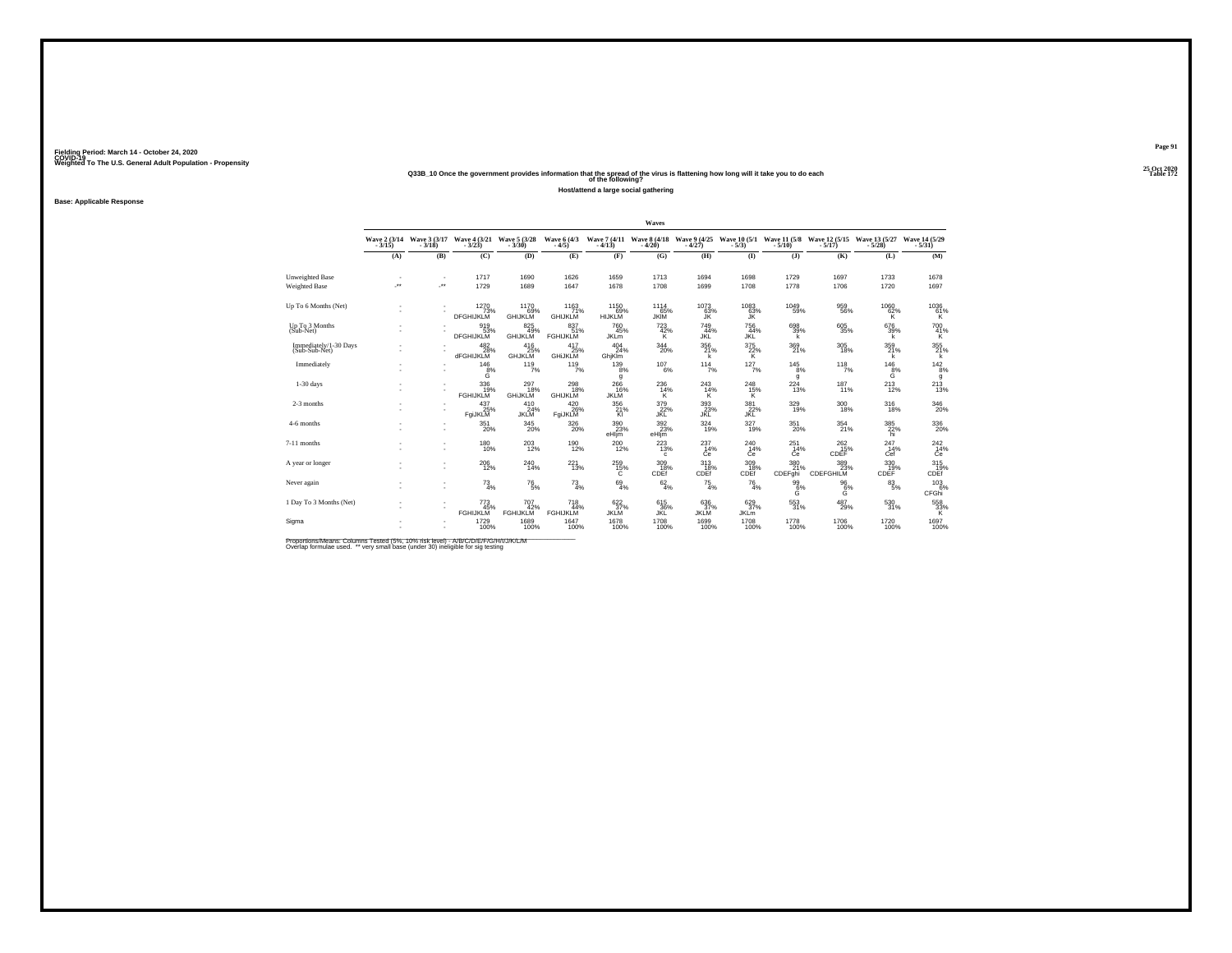#### **25 Oct 2020Q33B\_10 Once the government provides information that the spread of the virus is flattening how long will it take you to do each Table 172 of the following?**

**Host/attend a large social gathering**

**Base: Applicable Response**

|                                         |         |                                      |                                          |                                   |                                   |                                              | Waves                                       |                                |                                |                       |                                            |                            |                               |
|-----------------------------------------|---------|--------------------------------------|------------------------------------------|-----------------------------------|-----------------------------------|----------------------------------------------|---------------------------------------------|--------------------------------|--------------------------------|-----------------------|--------------------------------------------|----------------------------|-------------------------------|
|                                         | $-3/15$ | Wave 2 (3/14 Wave 3 (3/17<br>$-3/18$ | Wave $\frac{4}{3}$ $\frac{(3/21)}{3/23}$ | Wave 5 (3/28)                     | Wave 6 (4/3)                      |                                              | Wave 7 (4/11 Wave 8 (4/18<br>-4/13) - 4/20) | Wave 9 (4/25)<br>$-4/27$       | <b>Wave 10 (5/1)</b><br>$-5/3$ |                       | Wave 11 (5/8 Wave 12 (5/15<br>5/10) - 5/17 | Wave 13 (5/27)<br>$-5/28$  | Wave 14 (5/29)<br>$-5/31$     |
|                                         | (A)     | (B)                                  | (C)                                      | (D)                               | (E)                               | (F)                                          | (G)                                         | (H)                            | (I)                            | $($ $)$               | (K)                                        | (L)                        | (M)                           |
| Unweighted Base<br><b>Weighted Base</b> | معر     | $\overline{\phantom{a}}$<br>J.       | 1717<br>1729                             | 1690<br>1689                      | 1626<br>1647                      | 1659<br>1678                                 | 1713<br>1708                                | 1694<br>1699                   | 1698<br>1708                   | 1729<br>1778          | 1697<br>1706                               | 1733<br>1720               | 1678<br>1697                  |
|                                         |         |                                      |                                          |                                   |                                   |                                              |                                             |                                |                                |                       |                                            |                            |                               |
| Up To 6 Months (Net)                    |         | $\sim$                               | 1270<br>73%<br><b>DFGHIJKLM</b>          | 1170<br>69%<br><b>GHIJKLM</b>     | 1163<br>71%<br><b>GHIJKLM</b>     | 1150<br>69%<br>HIJKLM                        | 1114<br>65%<br><b>JKIM</b>                  | 1073<br>63%<br>JK              | 1083<br>63%<br>JŘ              | 1049<br>59%           | 959<br>56%                                 | 1060<br>$^{62\%}_{K}$      | 1036<br>${}^{61\%}_{K}$       |
| Up To 3 Months<br>(Sub-Net)             |         |                                      | 919<br>53%<br><b>DFGHIJKLM</b>           | 825<br>49%<br><b>GHIJKLM</b>      | 83751%<br><b>FGHIJKLM</b>         | <sup>760</sup> <sub>45%</sub><br><b>JKLm</b> | 723/42%<br>к                                | 749<br>44%<br><b>JKL</b>       | $756$<br>$44%$<br>JKL          | 698<br>39%<br>k       | $^{605}_{35\%}$                            | 676<br>39%<br>k            | 700 41%<br>K                  |
| Immediately/1-30 Days<br>(Sub-Sub-Net)  |         |                                      | $^{482}_{28\%}$<br><b>dFGHIJKLM</b>      | 416<br><sup>25%</sup><br>GHJKLM   | 417<br>25%<br><b>GHIJKLM</b>      | $^{404}_{24\%}$<br>GhiKim                    | 344<br>20%                                  | $\frac{356}{21\%}$             | $\frac{375}{22\%}$             | 369<br>21%            | $^{305}_{18\%}$                            | 359/21%<br>k               | 355 %<br>k                    |
| Immediately                             |         | ٠<br>٠                               | 146<br>$\ddot{g}^{\%}$                   | 119<br>7%                         | 119<br>7%                         | 139<br>8%<br>g                               | 107<br>6%                                   | 114<br>7%                      | 127<br>7%                      | 145<br>8%<br>g        | 118<br>7%                                  | 146<br>$\overline{6}^{\%}$ | $\frac{142}{8%}$<br>g         |
| $1-30$ days                             |         | $\sim$<br>٠                          | 336<br>19%<br><b>FGHIJKLM</b>            | $^{297}_{18\%}$<br><b>GHIJKLM</b> | $^{298}_{18\%}$<br><b>GHIJKLM</b> | 266<br>16%<br><b>JKLM</b>                    | 236<br>14%<br>к                             | $^{243}_{14\%}$<br>к           | $^{248}_{15\%}$<br>κ           | 224<br>13%            | $^{187}_{11\%}$                            | $^{213}_{12\%}$            | $^{213}_{13\%}$               |
| 2-3 months                              |         |                                      | $^{437}_{25\%}$<br>FgiJKLM               | 410<br>24%<br>JKLM                | $^{420}_{26\%}$<br>FgiJKLM        | 356<br>21%<br>Kl                             | 379<br>22%<br>JKL                           | $\overset{393}{_{\text{JKL}}}$ | $\frac{381}{22\%}$<br>JĶĒ      | 329<br>19%            | 300<br>18%                                 | $^{316}_{18\%}$            | 346<br>20%                    |
| 4-6 months                              |         | ٠<br>٠                               | 351<br>20%                               | $\frac{345}{20\%}$                | $^{326}_{\,20\%}$                 | $^{390}_{23\%}$<br>eHljm                     | $\frac{392}{23\%}$<br>eHljm                 | 324/19%                        | $327_{19\%}$                   | 351<br>20%            | $^{354}_{21\%}$                            | $\frac{385}{22\%}$<br>hi   | $^{336}_{\color{red}20\%}$    |
| 7-11 months                             |         | ٠<br>٠                               | 180<br>10%                               | 203<br>12%                        | <sup>190</sup> <sub>12%</sub>     | $^{200}_{12\%}$                              | 223<br>13%<br>$\mathbf{c}$                  | $^{237}_{14\%}$<br>Ćė          | $^{240}_{14\%}$<br>Ċė          | 251<br>14%<br>Ċė      | $^{262}_{15\%}$<br>CDEF                    | $^{247}_{14\%}$<br>Cef     | $^{242}_{14\%}$<br>Ċe         |
| A year or longer                        |         | ٠<br>÷                               | 206<br>12%                               | 240<br>14%                        | 221<br>13%                        | 259<br>$^{15\%}$                             | 309<br>18%<br>CDEf                          | 313<br>CDEf                    | 309<br>CDEf                    | 380<br>21%<br>CDEFghi | 389<br>23%<br>CDEFGHILM                    | 330<br>CDEF                | 315<br>CDEF                   |
| Never again                             |         | $\sim$<br>٠                          | $^{73}_{4\%}$                            | $^{76}_{\ 5\%}$                   | $^{73}_{4\%}$                     | $^{69}_{4\%}$                                | 62/4%                                       | $^{75}_{4\%}$                  | $^{76}_{4\%}$                  | $\frac{99}{6}\%$<br>G | $^{96}_{6\%}$<br>G                         | $8^{3}_{5\%}$              | $^{103}_{-6\%}$<br>CFGhi      |
| 1 Day To 3 Months (Net)                 |         | $\sim$<br>٠                          | $^{773}_{45\%}$<br><b>FGHIJKLM</b>       | 707<br>42%<br><b>FGHIJKLM</b>     | 718<br>44%<br><b>FGHIJKLM</b>     | 622%<br><b>JKLM</b>                          | 615<br>36%<br>JKĽ                           | 636<br>37%<br><b>JKLM</b>      | 629/37%<br><b>JKL</b> m        | 553<br>31%            | 487<br>29%                                 | $^{530}_{31\%}$            | $\substack{558 \\ 33\% \\ K}$ |
| Sigma                                   |         | $\sim$<br>٠                          | 1729<br>100%                             | 1689<br>100%                      | 1647<br>100%                      | 1678<br>100%                                 | 1708<br>100%                                | 1699<br>100%                   | 1708<br>100%                   | 1778<br>100%          | <sup>1706</sup> 100%                       | 1720<br>100%               | 1697<br>100%                  |

Proportions/Means: Columns Tested (5%, 10% risk level) - A/B/C/D/E/F/G/H/I/J/K/L/M<br>Overlap formulae used. \*\* very small base (under 30) ineligible for sig testing

**Page 91**25 Oct 2020<br>Table 172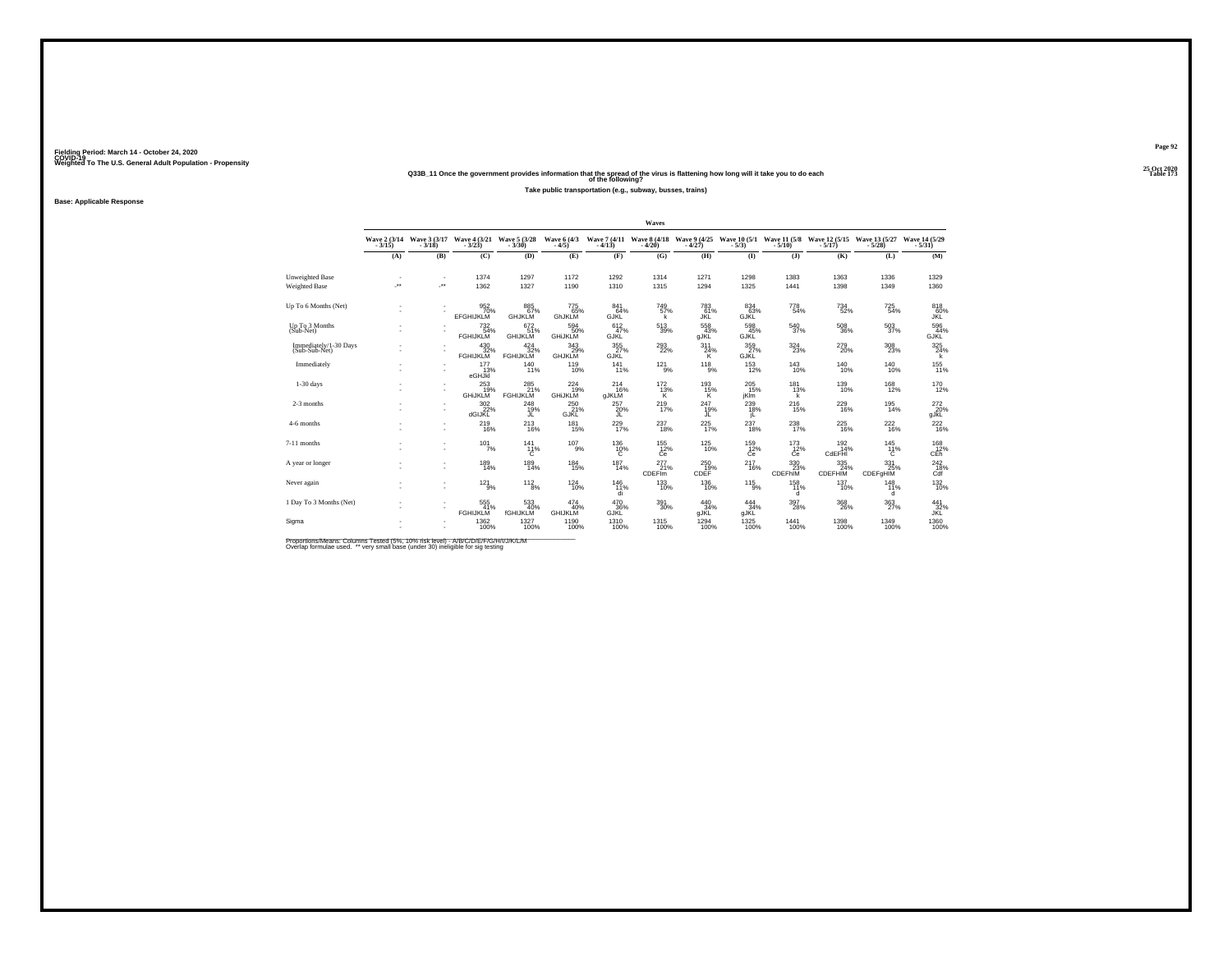#### **25 Oct 2020Q33B\_11 Once the government provides information that the spread of the virus is flattening how long will it take you to do each Table 173 of the following?**

**Take public transportation (e.g., subway, busses, trains)**

**Base: Applicable Response**

|                                         |                      |                                                      |                                            |                               |                                   |                            | Waves                       |                                                        |                            |                          |                                                            |                                 |                                                    |
|-----------------------------------------|----------------------|------------------------------------------------------|--------------------------------------------|-------------------------------|-----------------------------------|----------------------------|-----------------------------|--------------------------------------------------------|----------------------------|--------------------------|------------------------------------------------------------|---------------------------------|----------------------------------------------------|
|                                         |                      | Wave 2 (3/14 Wave 3 (3/17<br>3/15) - 3/18)           | Wave 4 (3/21 Wave 5 (3/28<br>3/23) - 3/30) |                               | <b>Wave 6 (4/3)</b><br>$-4/5$     |                            |                             | Wave 7 (4/11 Wave 8 (4/18 Wave 9 (4/25<br>4/13) - 4/20 |                            |                          | Wave 10 (5/1 Wave 11 (5/8 Wave 12 (5/15 Wave 13 (5/27 5/3) |                                 | Wave 14 (5/29)<br>$-5/31$                          |
|                                         | (A)                  | (B)                                                  | (C)                                        | (D)                           | (E)                               | (F)                        | (G)                         | (H)                                                    | $($ I                      | $($ $)$                  | (K)                                                        | (L)                             | (M)                                                |
| Unweighted Base<br><b>Weighted Base</b> | $\ddot{\phantom{1}}$ | <b>A</b>                                             | 1374<br>1362                               | 1297<br>1327                  | 1172<br>1190                      | 1292<br>1310               | 1314<br>1315                | 1271<br>1294                                           | 1298<br>1325               | 1383<br>1441             | 1363<br>1398                                               | 1336<br>1349                    | 1329<br>1360                                       |
| Up To 6 Months (Net)                    |                      |                                                      | 952<br>70%<br><b>EFGHIJKLM</b>             | 885<br>67%<br><b>GHJKLM</b>   | 775<br>65%<br>GhJKLM              | 841<br>64%<br>GJKL         | <sup>749</sup><br>57%<br>k  | 783<br>61%<br>JŘĹ                                      | 834<br>63%<br>GJKL         | 778<br>54%               | $\substack{734 \\ 52\%}$                                   | $^{725}_{54\%}$                 | 818<br>60%<br>JKL                                  |
| Up To 3 Months<br>(Sub-Net)             |                      |                                                      | 732 <sub>54%</sub><br><b>FGHIJKLM</b>      | 672/51%<br><b>GHIJKLM</b>     | 594<br>50%<br><b>GHIJKLM</b>      | 612/47%<br><b>GJKL</b>     | $^{513}_{\ 39\%}$           | $\frac{558}{43\%}$<br><b>gJKL</b>                      | 598<br>45%<br><b>GJKL</b>  | $\frac{540}{37\%}$       | $^{508}_{36\%}$                                            | $^{503}_{\scriptstyle\rm 37\%}$ | 596<br>44%<br><b>GJKL</b>                          |
| Immediately/1-30 Days<br>(Sub-Sub-Net)  |                      |                                                      | $^{430}_{32\%}$ FGHIJKLM                   | $^{424}_{32\%}$ FGHIJKLM      | $343 \over 29\%$ GHJKLM           | $\frac{355}{27}\%$<br>GJŘĹ | $^{293}_{22\%}$             | 311<br>$^{24\%}_{K}$                                   | $\frac{359}{27\%}$<br>GJRL | 324<br>23%               | $^{279}_{20\%}$                                            | $^{308}_{\phantom{1}23\%}$      | 325<br>24%<br>k                                    |
| Immediately                             |                      | $\overline{\phantom{a}}$                             | 177<br>13%<br>eGHJKI                       | 140<br>11%                    | 119<br>10%                        | 141<br>11%                 | 121<br>9%                   | 118<br>9%                                              | 153<br>12%                 | 143<br>10%               | 140<br>10%                                                 | 140<br>10%                      | $^{155}_{11\%}$                                    |
| $1-30$ days                             |                      |                                                      | 253<br><b>GHIJKLM</b>                      | 285<br>21%<br><b>FGHIJKLM</b> | $^{224}_{19\%}$<br><b>GHIJKLM</b> | $^{214}_{16\%}$<br>gJKLM   | $\frac{172}{13\%}$<br>Κ     | 193%<br>Κ                                              | 205<br>15%<br>jKlm         | 181<br>13%<br>k          | $^{139}_{10\%}$                                            | $^{168}_{12\%}$                 | 170<br>12%                                         |
| 2-3 months                              |                      | $\sim$                                               | $\frac{302}{27}\%$<br>dGIJKL               | $^{248}_{19\%}$               | $^{250}_{21\%}$<br>GJRL'          | $^{257}_{20\%}$<br>JĽ      | $^{219}_{17\%}$             | 247<br>19%<br>JL                                       | 239<br>18%<br>IL.          | $^{216}_{15\%}$          | 229<br>16%                                                 | 195<br>14%                      | $^{272}_{20\%}$ gJkL                               |
| 4-6 months                              |                      | ۰                                                    | $^{219}_{16\%}$                            | $^{213}_{16\%}$               | $^{181}_{15\%}$                   | $^{229}_{17\%}$            | $^{237}_{\ 18\%}$           | 225<br>17%                                             | 237<br>18%                 | 238<br>17%               | $^{225}_{16\%}$                                            | $^{222}_{16\%}$                 | 222<br>16%                                         |
| 7-11 months                             |                      |                                                      | $101$ <sub>7%</sub>                        | $^{141}_{11\%}$<br>с          | $^{107}_{9\%}$                    | 136%<br>с                  | $^{155}_{12\%}$<br>Ce       | $^{125}_{10\%}$                                        | 159<br>12%<br>Сe           | $\frac{173}{12\%}$<br>Ce | $^{192}_{14\%}$<br>CdEFHI                                  | $^{145}_{11\%}$                 | $\overset{168}{\underset{\text{CEh}}{\text{2\%}}}$ |
| A year or longer                        |                      |                                                      | 189<br>14%                                 | 189<br>14%                    | 184<br>15%                        | 187<br>14%                 | 277<br>21%<br><b>CDEFIm</b> | 250<br>CDEF                                            | 217<br>16%                 | 330<br>CDEFhIM           | 335<br>24%<br>CDEFHIM                                      | 331<br>25%<br>CDEFgHIM          | $\overset{242}{\underset{\text{Cdf}}{\text{18}}}$  |
| Never again                             |                      | $\overline{\phantom{a}}$<br>۰                        | $121_{9\%}$                                | $^{112}_{8\%}$                | $^{124}_{10\%}$                   | $^{146}_{11\%}$<br>di      | $^{133}_{10\%}$             | $^{136}_{10\%}$                                        | $^{115}_{9\%}$             | 158<br>d                 | $^{137}_{10\%}$                                            | 148<br>11%<br>d                 | 132%                                               |
| 1 Day To 3 Months (Net)                 |                      | $\overline{\phantom{a}}$<br>$\overline{\phantom{a}}$ | 555<br><b>FGHIJKLM</b>                     | 533<br>40%<br>fGHIJKLM        | 474<br>40%<br><b>GHIJKLM</b>      | 470<br>36%<br>GJKĽ         | 391<br>30%                  | $^{440}_{34\%}$<br><b>gJKL</b>                         | 444%<br>gJKL               | $^{397}_{28\%}$          | $^{368}_{26\%}$                                            | 363<br>27%                      | 441<br>32%<br>JKL                                  |
| Sigma                                   |                      |                                                      | 1362<br>100%                               | 1327<br>100%                  | 1190                              | 1310<br>100%               | 1315<br>100%                | 1294<br>100%                                           | $^{1325}_{100\%}$          | 1441<br>100%             | 1398<br>100%                                               | 1349<br>100%                    | 1360<br>100%                                       |

Proportions/Means: Columns Tested (5%, 10% risk level) - A/B/C/D/E/F/G/H/I/J/K/L/M<br>Overlap formulae used. \*\* very small base (under 30) ineligible for sig testing

**Page 92**25 Oct 2020<br>Table 173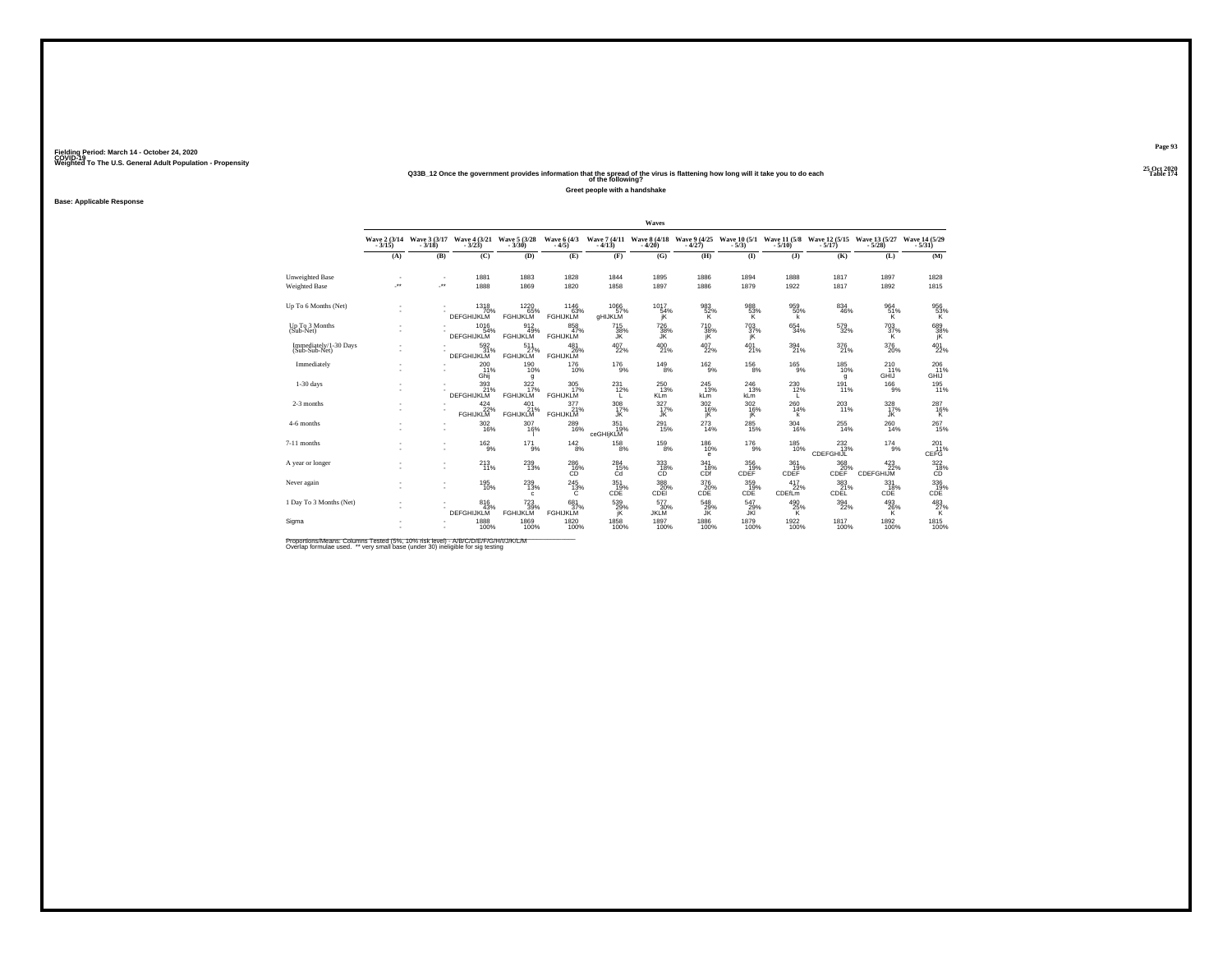#### **25 Oct 2020Q33B\_12 Once the government provides information that the spread of the virus is flattening how long will it take you to do each Table 174 of the following?**

**Greet people with a handshake**

**Base: Applicable Response**

|                                        |                          |                          |                                                              |                                     |                                |                        | Waves                    |                          |                                                                                          |                            |                                              |                                     |                                             |
|----------------------------------------|--------------------------|--------------------------|--------------------------------------------------------------|-------------------------------------|--------------------------------|------------------------|--------------------------|--------------------------|------------------------------------------------------------------------------------------|----------------------------|----------------------------------------------|-------------------------------------|---------------------------------------------|
|                                        | Wave 2 (3/14)            |                          | Wave 3 (3/17 Wave 4 (3/21 Wave 5 (3/28<br>3/18) - 3/18       |                                     | Wave 6 (4/3)                   |                        |                          |                          | Wave 7 (4/11 Wave 8 (4/18 Wave 9 (4/25 Wave 10 (5/1 Wave 11 (5/8 - 4/13) - 4/20) - 4/27) |                            | Wave 12 (5/15 Wave 13 (5/27<br>5/17) - 5/28) |                                     | Wave 14 (5/29)                              |
|                                        | (A)                      | (B)                      | (C)                                                          | (D)                                 | (E)                            | (F)                    | (G)                      | (H)                      | $($ I                                                                                    | $($ $)$                    | (K)                                          | (L)                                 | (M)                                         |
| Unweighted Base<br>Weighted Base       | $\overline{\phantom{a}}$ | $\overline{\phantom{a}}$ | 1881<br>1888                                                 | 1883<br>1869                        | 1828<br>1820                   | 1844<br>1858           | 1895<br>1897             | 1886<br>1886             | 1894<br>1879                                                                             | 1888<br>1922               | 1817<br>1817                                 | 1897<br>1892                        | 1828<br>1815                                |
| Up To 6 Months (Net)                   |                          |                          | 1318<br>70%<br><b>DEFGHIJKLM</b>                             | 1220<br>65%<br><b>FGHIJKLM</b>      | 1146<br>63%<br><b>FGHIJKLM</b> | 1066<br>57%<br>aHIJKLM | 1017<br>54%              | 983<br>52%               | $\frac{988}{53\%}$                                                                       | 959<br>50%                 | 834<br>46%                                   | 964<br>51%<br>ΪK.                   | $^{956}_{~53\%}$ $^{\rm K}$                 |
| Up To 3 Months<br>(Sub-Net)            |                          |                          | $1016$<br>54%<br><b>DEFGHIJKLM</b>                           | 912<br>49%<br><b>FGHIJKLM</b>       | 858<br><b>FGHIJKLM</b>         | 715<br>38%<br>JK       | 726<br>38%<br>JK.        | $^{710}_{38\%}$<br>jΚ    | $^{703}_{37\%}$<br>jK                                                                    | $\substack{654 \\ 34\%}$   | 579<br>32%                                   | $^{703}_{37\%}$<br>к                | 689<br>38%<br>jΚ                            |
| Immediately/1-30 Days<br>(Sub-Sub-Net) |                          |                          | 592 %<br>DEFGHIJKLM                                          | 511<br>27%<br>FGHIJKLM              | 481<br>26%<br><b>FGHIJKLM</b>  | $^{407}_{22\%}$        | 400<br>21%               | $^{407}_{22\%}$          | $^{401}_{21\%}$                                                                          | 394<br>21%                 | 376<br>21%                                   | 376<br>20%                          | 401<br>22%                                  |
| Immediately                            |                          |                          | 200<br>11%<br>Ghii                                           | 190<br>10%<br>q                     | 176<br>10%                     | 176<br>9%              | 149<br>8%                | 162<br>9%                | 156<br>8%                                                                                | 165<br>9%                  | 185<br>10%<br>g                              | 210<br>11%<br>GHIJ                  | $^{206}_{11\%}$<br>GHIJ                     |
| $1-30$ days                            |                          |                          | 393<br>21%<br>DEFGHIJKLM                                     | 322 <sub>%</sub><br><b>FGHIJKLM</b> | 305<br>17%<br><b>FGHIJKLM</b>  | 231<br>12%<br>L.       | 250<br>13%<br><b>KLm</b> | 245<br>13%<br>kLm        | 246<br>13%<br>kLm                                                                        | $^{230}_{12\%}$            | 191<br>11%                                   | $^{166}_{9\%}$                      | 195<br>11%                                  |
| 2-3 months                             |                          |                          | $\begin{array}{c} 424 \\ 22\% \\ \text{FGHJKLM} \end{array}$ | $^{401}_{-21\%}$ FGHIJKLM           | 377<br>FGHIJKLM                | 308<br>17%<br>JĶ       | $\frac{327}{17\%}$<br>ĴŔ | $\frac{302}{16\%}$<br>jΚ | $^{302}_{16\%}$<br>jŘ                                                                    | $^{260}_{14\%}$            | 203<br>11%                                   | $\frac{328}{17\%}$                  | $^{287}_{~16\%}$                            |
| 4-6 months                             |                          |                          | 302<br>16%                                                   | 307<br>16%                          | 289<br>16%                     | $351$ 19%<br>ceGHIjKLM | $^{291}_{15\%}$          | $^{273}_{14\%}$          | 285<br>15%                                                                               | $^{304}_{16\%}$            | $^{255}_{\scriptstyle{14\%}}$                | $^{260}_{\color{red}\textbf{14\%}}$ | 267<br>15%                                  |
| 7-11 months                            |                          |                          | $162\atop 9\%$                                               | $^{17}$ $^{1}_{9\%}$                | $142_{8\%}$                    | $^{158}_{8\%}$         | $^{159}_{8\%}$           | $^{186}_{10\%}$<br>е     | $^{176}_{-9\%}$                                                                          | $^{185}_{10\%}$            | 232<br>13%<br>CDEFGHIJL                      | $^{174}_{9\%}$                      | 201%<br>CEFG                                |
| A year or longer                       |                          |                          | 213<br>11%                                                   | $^{239}_{13\%}$                     | 286<br>CO <sup>16%</sup>       | 284<br>$^{15\%}_{Cd}$  | 333<br>18%<br>СĎ         | 341<br>18%<br>CDf        | 356<br>19%<br>CDEF                                                                       | 361<br>CDEF <sup>19%</sup> | 368<br>CDEF <sup>20%</sup>                   | 423<br>CDEFGHIJM                    | $\overset{322}{\underset{\text{CD}}{18\%}}$ |
| Never again                            |                          |                          | 195<br>10%                                                   | $^{239}_{13\%}$<br>c.               | $^{245}_{13\%}$<br>C           | 351<br>19%<br>CDE      | 388<br>20%<br>CDEI       | 376<br>20%<br>CDE        | 359%<br>CDE                                                                              | 417<br>22%<br>CDEfLm       | 383<br>21%<br>CDEL                           | 331/18%<br>CDE                      | 336<br>CDE                                  |
| 1 Day To 3 Months (Net)                |                          |                          | 816<br>43%<br><b>DEFGHIJKLM</b>                              | 723<br>39%<br><b>FGHIJKLM</b>       | 681<br>37%<br><b>FGHIJKLM</b>  | 539<br>29%<br>jK       | 577<br>30%<br>JKLM       | $^{548}_{29\%}$          | 547<br>29%<br>JKI                                                                        | $^{490}_{25\%}$            | $^{394}_{22\%}$                              | $^{493}_{26\%}$                     | $^{483}_{27\%}$                             |
| Sigma                                  |                          |                          | 1888<br>100%                                                 | 1869<br>100%                        | 1820<br>100%                   | 1858<br>100%           | 1897<br>100%             | 1886<br>100%             | 1879<br>100%                                                                             | 1922<br>100%               | 1817<br>100%                                 | 1892<br>100%                        | 1815<br>100%                                |

Proportions/Means: Columns Tested (5%, 10% risk level) - A/B/C/D/E/F/G/H/I/J/K/L/M<br>Overlap formulae used. \*\* very small base (under 30) ineligible for sig testing

**Page 93**25 Oct 2020<br>Table 174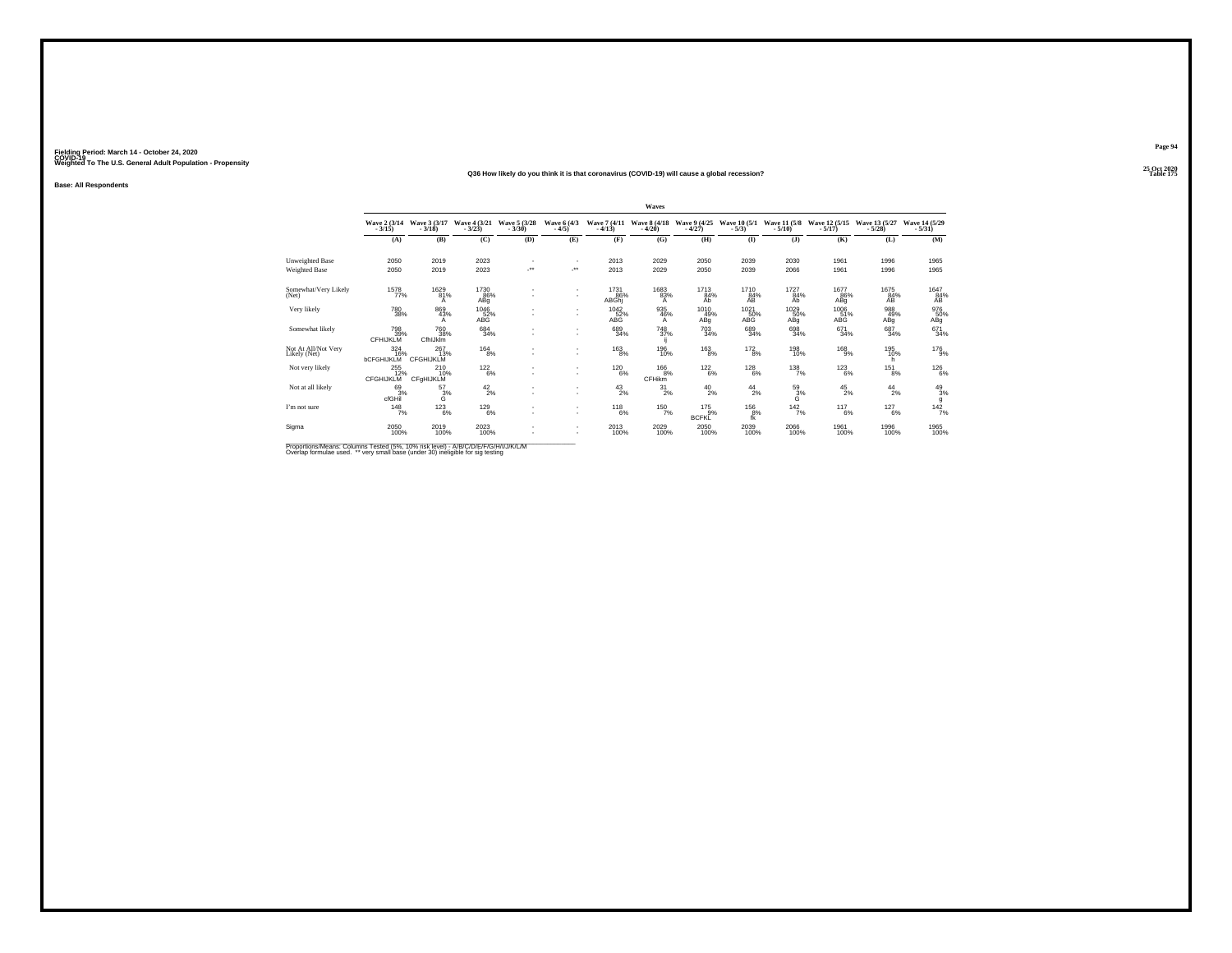#### **25 Oct 2020Q36 How likely do you think it is that coronavirus (COVID-19) will cause a global recession?Table 175 Table 175**

**Base: All Respondents**

|                                     |                                     |                                |                          |                                    |                                                      |                          | Waves                    |                                |                         |                          |                                   |                           |                           |
|-------------------------------------|-------------------------------------|--------------------------------|--------------------------|------------------------------------|------------------------------------------------------|--------------------------|--------------------------|--------------------------------|-------------------------|--------------------------|-----------------------------------|---------------------------|---------------------------|
|                                     | Wave 2 (3/14)<br>$-3/15$            | Wave 3 (3/17)<br>$-3/18$       | Wave 4 (3/21)<br>$-3/23$ | Wave 5 (3/28)<br>$-3/30$           | Wave 6 (4/3)<br>$-4/5$                               | Wave 7 (4/11)<br>$-4/13$ | Wave 8 (4/18)<br>$-4/20$ | Wave 9 (4/25)<br>$-4/27$       | Wave 10 (5/1)<br>$-5/3$ | Wave 11 (5/8)<br>$-5/10$ | Wave 12 (5/15)<br>$-5/17$         | Wave 13 (5/27)<br>$-5/28$ | Wave 14 (5/29)<br>$-5/31$ |
|                                     | (A)                                 | (B)                            | (C)                      | (D)                                | (E)                                                  | (F)                      | (G)                      | (H)                            | $($ I                   | $($ $\bf{J}$             | (K)                               | (L)                       | (M)                       |
| Unweighted Base                     | 2050                                | 2019                           | 2023                     | $\sim$                             | $\overline{\phantom{a}}$                             | 2013                     | 2029                     | 2050                           | 2039                    | 2030                     | 1961                              | 1996                      | 1965                      |
| Weighted Base                       | 2050                                | 2019                           | 2023                     | -**                                | -**                                                  | 2013                     | 2029                     | 2050                           | 2039                    | 2066                     | 1961                              | 1996                      | 1965                      |
| Somewhat/Very Likely<br>(Net)       | 1578<br>77%                         | 1629<br>81%<br>A               | 1730<br>86%<br>ABq       |                                    | $\overline{\phantom{a}}$<br>$\overline{\phantom{a}}$ | 1731<br>86%<br>ABGhj     | 1683<br>83%<br>A         | 1713<br>84%<br>Ab              | 1710<br>84%<br>ÄB       | 1727<br>84%<br>Ab        | 1677<br>86%<br>ABg                | 1675<br>84%<br>AB         | 1647<br>84%<br>AB         |
| Very likely                         | $^{780}_{38\%}$                     | 869<br>43%<br>A                | 1046<br>52%<br>ABG       |                                    | $\overline{\phantom{a}}$<br>$\overline{\phantom{a}}$ | 1042<br>52%<br>ABG       | 935<br>46%<br>A          | 1010<br>49%<br>ABq             | 1021<br>50%<br>ABG      | 1029<br>50%<br>ABg       | $\frac{1006}{51\%}$<br><b>ABG</b> | 988<br>49%<br>ABg         | 976<br>50%<br>ABg         |
| Somewhat likely                     | 798<br>39%<br>CFHIJKLM              | 760<br>38%<br>CfhlJklm         | $\substack{684 \\ 34\%}$ | $\overline{\phantom{a}}$           | $\overline{\phantom{a}}$<br>٠                        | 689<br>34%               | 748<br>37%               | $^{703}_{34\%}$                | 689<br>34%              | 698<br>34%               | $^{671}_{34\%}$                   | $^{687}_{34\%}$           | 671<br>34%                |
| Not At All/Not Very<br>Likely (Net) | 324<br>16%<br><b>bCFGHIJKLM</b>     | 267<br>13%<br><b>CFGHIJKLM</b> | $^{164}_{8\%}$           | $\sim$<br>$\overline{\phantom{a}}$ | $\overline{\phantom{a}}$<br>$\overline{\phantom{a}}$ | 163<br>8%                | 196<br>10%               | 163<br>8%                      | 172<br>8%               | 198<br>10%               | $^{168}_{-9\%}$                   | 195<br>10%<br>h.          | 176<br>9%                 |
| Not very likely                     | $^{255}_{12\%}$<br><b>CFGHIJKLM</b> | $^{210}_{10\%}$<br>CFgHIJKLM   | $122_{6\%}$              | ٠                                  | $\overline{\phantom{a}}$<br>$\overline{\phantom{a}}$ | $^{120}_{6\%}$           | $^{166}_{8\%}$<br>CFHikm | $^{122}_{6\%}$                 | $^{128}_{6\%}$          | $^{138}_{7\%}$           | $^{123}_{6\%}$                    | $^{151}_{8\%}$            | 126%                      |
| Not at all likely                   | $^{69}_{3\%}$<br>cfGHil             | $\frac{57}{3}\%$               | $^{42}_{2\%}$            | ٠                                  | ٠<br>$\overline{\phantom{a}}$                        | $^{43}_{2\%}$            | $^{31}_{2\%}$            | $^{40}_{2\%}$                  | $^{44}_{2\%}$           | $\frac{59}{3}\%$         | $^{45}_{2\%}$                     | $^{44}_{2\%}$             | 49/3%<br>g                |
| I'm not sure                        | $148$ <sub>7%</sub>                 | $^{123}_{6\%}$                 | $^{129}_{6\%}$           | ٠<br>$\sim$                        | $\overline{\phantom{a}}$<br>$\overline{\phantom{a}}$ | $^{118}_{6\%}$           | $150/7\%$                | $^{175}_{9\%}$<br><b>BCFKL</b> | $^{156}_{\ 8\%}$<br>fk  | 142/7%                   | $^{117}_{6\%}$                    | $^{127}_{6\%}$            | $142$ <sub>7%</sub>       |
| Sigma                               | 2050<br>100%                        | 2019<br>100%                   | 2023<br>100%             | $\overline{\phantom{a}}$           | $\overline{\phantom{a}}$<br>$\overline{\phantom{a}}$ | 2013<br>100%             | 2029<br>100%             | 2050<br>100%                   | 2039<br>100%            | 2066<br>100%             | 1961<br>100%                      | 1996<br>100%              | 1965<br>100%              |

Proportions/Means: Columns Tested (5%, 10% risk level) - A/B/C/D/E/F/G/H/I/J/K/L/M<br>Overlap formulae used. \*\* very small base (under 30) ineligible for sig testing

**Page 94**25 Oct 2020<br>Table 175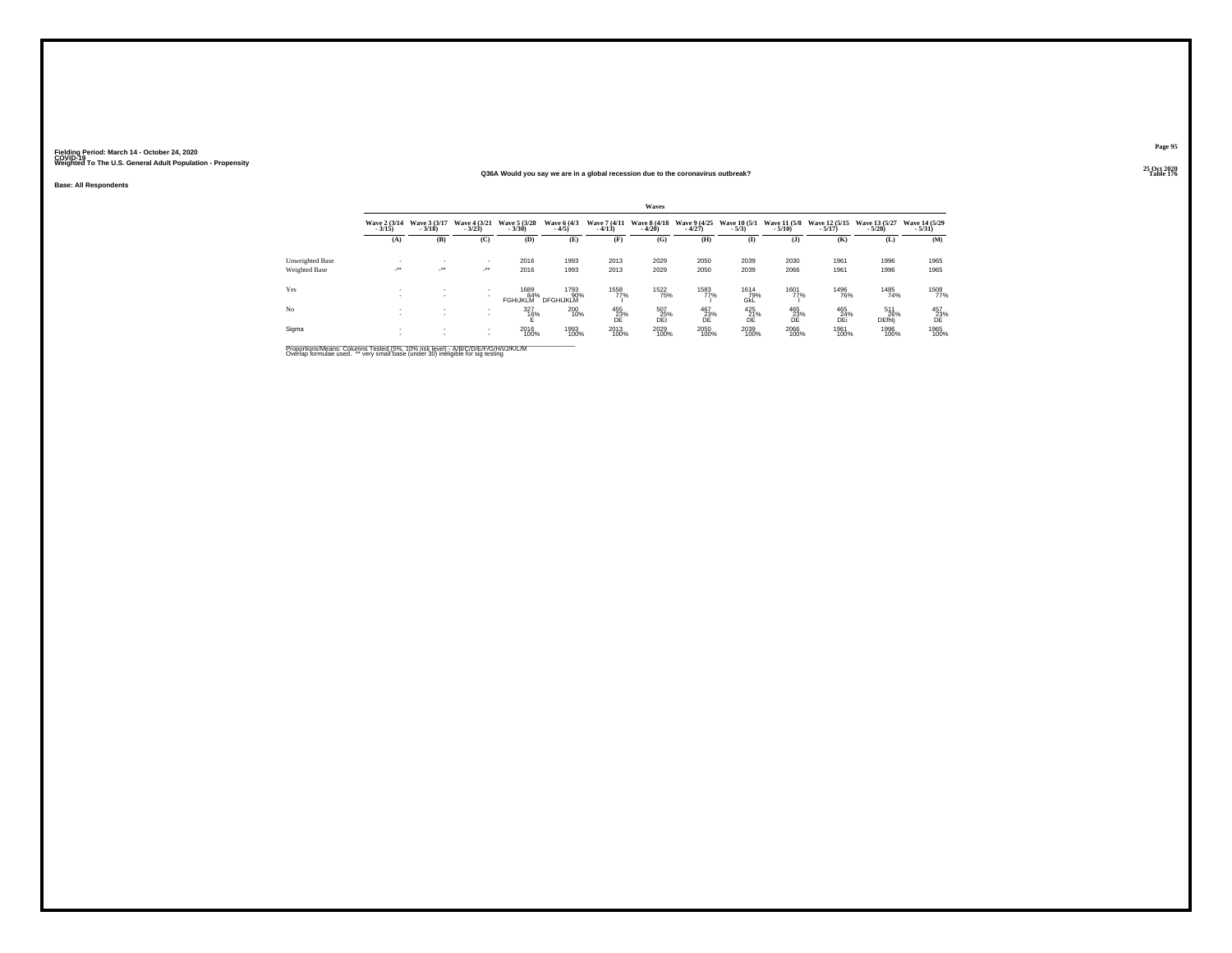#### **25 Oct 2020Q36A Would you say we are in a global recession due to the coronavirus outbreak?Table 176 Table 176**

**Base: All Respondents**

|                 |                            |                            |                                  |                                |                          |                          | Waves                    |                          |                                 |                  |                                        |                             |                           |
|-----------------|----------------------------|----------------------------|----------------------------------|--------------------------------|--------------------------|--------------------------|--------------------------|--------------------------|---------------------------------|------------------|----------------------------------------|-----------------------------|---------------------------|
|                 | Wave 2 (3/14)<br>$-3/15$ ) | Wave 3 (3/17)<br>$-3/18$   | Wave 4 (3/21)<br>$-3/23$         | Wave 5 (3/28)<br>$-3/30$       | Wave 6 (4/3)<br>$-4/5$   | Wave 7 (4/11)<br>$-4/13$ | Wave 8 (4/18)<br>$-4/20$ | Wave 9 (4/25)<br>$-4/27$ | <b>Wave 10 (5/1)</b><br>$-5/3)$ | $-5/10$          | Wave 11 (5/8 Wave 12 (5/15)<br>$-5/17$ | Wave 13 (5/27)<br>$-5/28$   | Wave 14 (5/29)<br>$-5/31$ |
|                 | (A)                        | (B)                        | (C)                              | (D)                            | (E)                      | (F)                      | (G)                      | (H)                      | $\bf{I}$                        | (1)              | (K)                                    | (L)                         | (M)                       |
| Unweighted Base |                            |                            |                                  | 2016                           | 1993                     | 2013                     | 2029                     | 2050                     | 2039                            | 2030             | 1961                                   | 1996                        | 1965                      |
| Weighted Base   | $\cdot$                    | $\mathcal{L}^{\text{max}}$ | $\mathcal{L}^{\bullet\bullet}$ . | 2016                           | 1993                     | 2013                     | 2029                     | 2050                     | 2039                            | 2066             | 1961                                   | 1996                        | 1965                      |
| Yes             |                            |                            | $\sim$                           | 1689<br>84%<br><b>FGHIJKLM</b> | 1793<br>90%<br>DFGHIJKLM | 1558<br>77%              | 1522<br>75%              | 1583<br>77%              | 1614<br>79%<br>GkĽ              | 1601<br>77%      | 1496<br>76%                            | 1485<br>74%                 | 1508<br>77%               |
| Nο              |                            |                            | $\sim$                           | 327<br>16%                     | 200<br>10%               | 455<br>23%<br>DF         | 507<br>25%<br>DEI        | 467<br>23%<br>DE         | 425<br>21%<br>DE                | 465<br>23%<br>DE | 465<br>24%<br>DEi                      | 511<br>26%<br><b>DEfhli</b> | $^{457}_{\,23\%}$ DE      |
| Sigma           |                            |                            | $\sim$                           | 2016<br>100%                   | 1993<br>100%             | 2013<br>100%             | 2029<br>100%             | 2050<br>100%             | 2039<br>100%                    | 2066<br>100%     | 1961<br>100%                           | 1996<br>100%                | 1965<br>100%              |

Proportions/Means: Columns Tested (5%, 10% risk level) - A/B/C/D/E/F/G/H/I/J/K/L/M<br>Overlap formulae used. \*\* very small base (under 30) ineligible for sig testing

**Page 95**25 Oct 2020<br>Table 176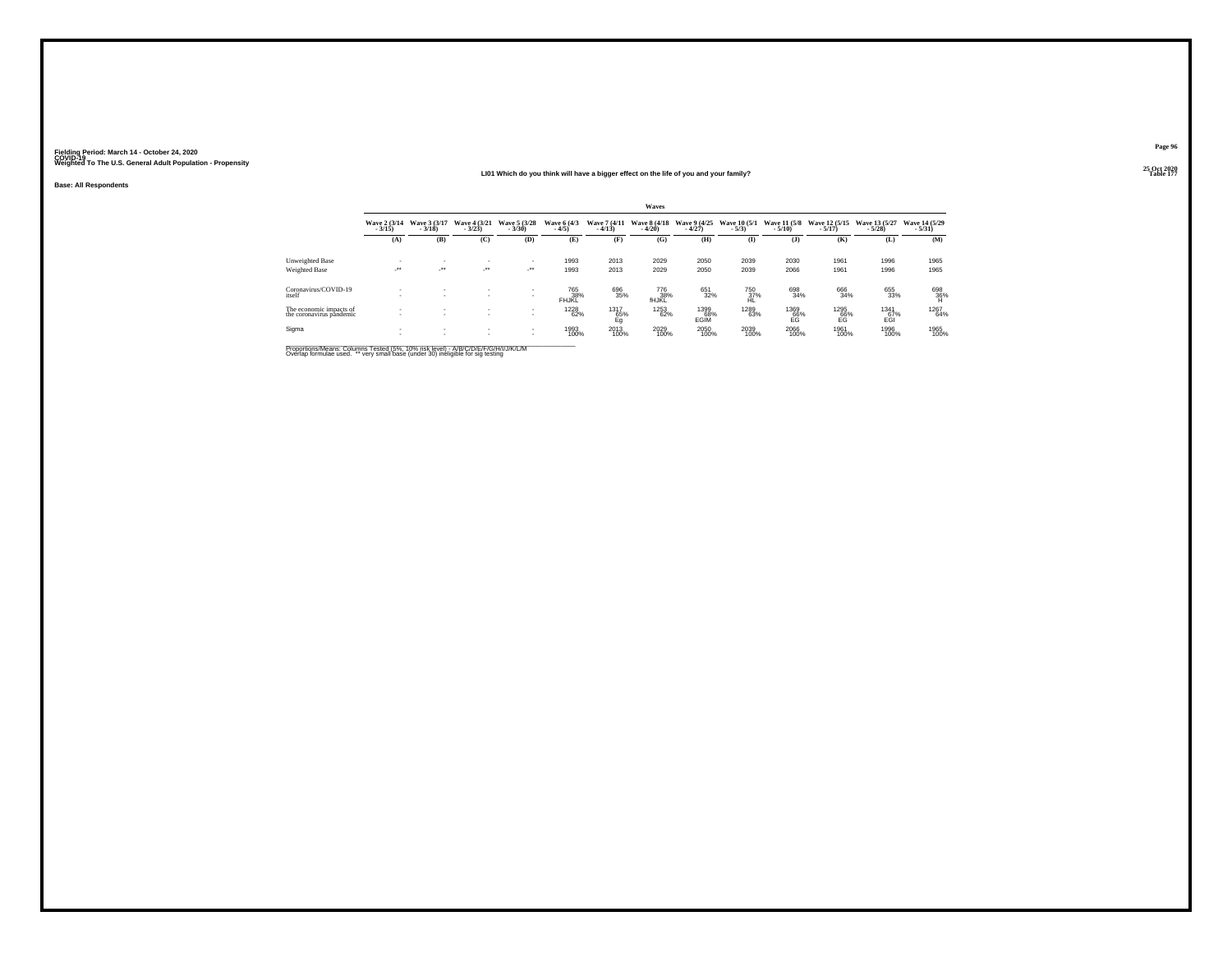#### **25 Oct 2020LI01 Which do you think will have a bigger effect on the life of you and your family?Table 177 Table 177**

**Base: All Respondents**

|                                                     |                          |                               |                                          |                                |                        |                          | <b>Waves</b>             |                          |                          |                                 |                           |                           |                           |
|-----------------------------------------------------|--------------------------|-------------------------------|------------------------------------------|--------------------------------|------------------------|--------------------------|--------------------------|--------------------------|--------------------------|---------------------------------|---------------------------|---------------------------|---------------------------|
|                                                     | Wave 2 (3/14)<br>$-3/15$ | Wave 3 (3/17)<br>$-3/18$      | Wave 4 (3/21)<br>$-3/23$                 | Wave 5 (3/28)<br>$-3/30$       | Wave 6 (4/3)<br>$-4/5$ | Wave 7 (4/11)<br>$-4/13$ | Wave 8 (4/18)<br>$-4/20$ | Wave 9 (4/25)<br>$-4/27$ | Wave 10 (5/1)<br>$-5/3)$ | <b>Wave 11 (5/8)</b><br>$-5/10$ | Wave 12 (5/15)<br>$-5/17$ | Wave 13 (5/27)<br>$-5/28$ | Wave 14 (5/29)<br>$-5/31$ |
|                                                     | (A)                      | (B)                           | (C)                                      | (D)                            | (E)                    | Œ                        | (G)                      | (H)                      | (I)                      | (1)                             | (K)                       | (L)                       | (M)                       |
| Unweighted Base                                     |                          | -                             | ٠                                        | ٠                              | 1993                   | 2013                     | 2029                     | 2050                     | 2039                     | 2030                            | 1961                      | 1996                      | 1965                      |
| Weighted Base                                       | $\cdot$                  | $\cdot$                       | $\cdot$                                  | $\mathcal{L}^{\bullet\bullet}$ | 1993                   | 2013                     | 2029                     | 2050                     | 2039                     | 2066                            | 1961                      | 1996                      | 1965                      |
| Coronavirus/COVID-19<br>itself                      |                          | $\sim$                        | ٠                                        | $\sim$<br>٠                    | 765<br>38%<br>FHJKL    | 696<br>35%               | 776<br>38%<br>fHJKL      | 651<br>32%               | 750<br>37%<br>HL         | 698<br>34%                      | 666<br>34%                | 655<br>33%                | $^{698}_{36\%}$           |
| The economic impacts of<br>the coronavirus pandemic |                          | ٠<br>$\overline{\phantom{a}}$ | $\mathbf{r}$<br>$\overline{\phantom{a}}$ | $\sim$<br>$\sim$               | <sup>1228</sup> 62%    | 1317<br>65%<br>Eq        | 1253<br>62%              | 1399<br>68%<br>EGIM      | 1289<br>63%              | 1369<br>66%<br>EG               | 1295<br>66%<br>EG         | 1341<br>67%<br>EGI        | 1267<br>64%               |
| Sigma                                               |                          | ٠<br>$\mathbf{r}$             | $\mathbf{r}$<br>$\sim$                   | $\sim$                         | 1993<br>100%           | 2013<br>100%             | 2029<br>100%             | 2050<br>100%             | 2039<br>100%             | 2066<br>100%                    | 1961<br>100%              | 1996<br>100%              | 1965<br>100%              |

Proportions/Means: Columns Tested (5%, 10% risk level) - A/B/C/D/E/F/G/H/I/J/K/L/M<br>Overlap formulae used. \*\* very small base (under 30) ineligible for sig testing

**Page 96**25 Oct 2020<br>Table 177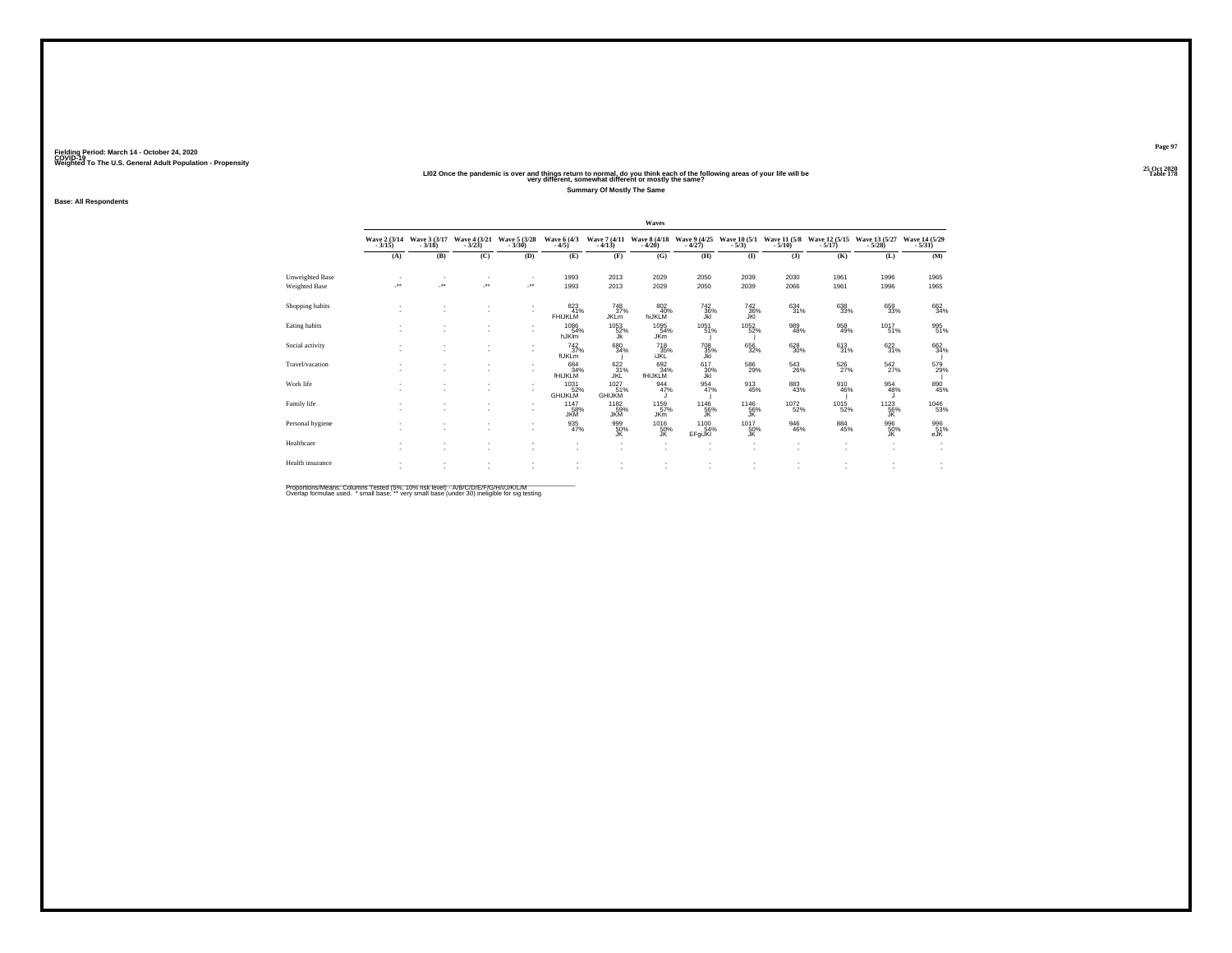#### 25 Oct 2020<br>LIO2 Once the pandemic is over and things return to normal, do you think each of the following areas of your life will be<br>very different, somewhat different or mostly the same? **Summary Of Mostly The Same**

**Base: All Respondents**

|                                  |                          |                          |                                        |                                |                                                      |                                   | Waves                         |                         |                          |                            |                            |                                            |                          |
|----------------------------------|--------------------------|--------------------------|----------------------------------------|--------------------------------|------------------------------------------------------|-----------------------------------|-------------------------------|-------------------------|--------------------------|----------------------------|----------------------------|--------------------------------------------|--------------------------|
|                                  | Wave $2(3/14$<br>$3/15)$ | Wave 3 (3/17<br>3/18)    | Wave $\frac{4}{3}$ $\frac{(3/21)}{23}$ | Wave 5 (3/28)                  | Wave 6 (4/3)<br>$-4/5)$                              | Wave 7 (4/11)<br>$-4/13$          | Wave 8 (4/18)                 | Wave 9 (4/25<br>- 4/27) | Wave $10(5/1$            | Wave 11 (5/8)              | Wave 12 (5/15)             | Wave 13 (5/27)                             | Wave 14 (5/29)           |
|                                  | (A)                      | (B)                      | (C)                                    | (D)                            | (E)                                                  | (F)                               | (G)                           | (H)                     | $\mathbf{I}$             | (J)                        | (K)                        | (L)                                        | (M)                      |
| Unweighted Base<br>Weighted Base | J.                       | $\overline{\phantom{a}}$ | J.                                     | $\overline{\phantom{a}}$<br>J. | 1993<br>1993                                         | 2013<br>2013                      | 2029<br>2029                  | 2050<br>2050            | 2039<br>2039             | 2030<br>2066               | 1961<br>1961               | 1996<br>1996                               | 1965<br>1965             |
|                                  |                          |                          |                                        |                                |                                                      |                                   |                               |                         |                          |                            |                            |                                            |                          |
| Shopping habits                  |                          |                          | $\overline{\phantom{a}}$               | $\sim$                         | 823<br>41%<br><b>FHIJKLM</b>                         | 748<br>37%<br><b>JKL</b> m        | 802<br>40%<br>hiJKLM          | 742<br>36%<br>Jkl       | 742<br>36%<br>JKI        | $\substack{634 \\ 31\%}$   | 638<br>33%                 | 659<br>33%                                 | 662<br>34%               |
| Eating habits                    |                          |                          | $\sim$                                 |                                | 1086<br>54%<br>hJKIm                                 | 1053<br>52%<br>Ĵk                 | 1095<br>54%<br><b>JKm</b>     | $1051$ <sub>51%</sub>   | $^{1052}_{-52\%}$        | 989<br>48%                 | 958<br>49%                 | $1017 \atop 51\%$                          | 995<br>51%               |
| Social activity                  |                          |                          |                                        | $\overline{\phantom{a}}$       | $^{742}_{37\%}$<br>flJKLm                            | 680<br>34%                        | 718<br>35%<br><b>IJKL</b>     | 708<br>35%<br>Jkl       | 656<br>32%               | $^{628}_{30\%}$            | $613 \atop 31\%$           | $\frac{622}{31\%}$                         | 662<br>34%               |
| Travel/vacation                  |                          |                          | $\overline{\phantom{a}}$               | ۰                              | 684<br>34%<br>fHIJKLM                                | 622<br>31%<br>JKL                 | 692<br>34%<br><b>fHIJKLM</b>  | 617<br>30%<br>Jkl       | 586<br>29%               | $^{543}_{\phantom{5}26\%}$ | $^{526}_{\phantom{2}27\%}$ | $\frac{542}{27\%}$                         | 579<br>29%               |
| Work life                        |                          |                          |                                        |                                | $^{1031}_{52\%}$<br><b>GHIJKLM</b>                   | $^{1027}_{51\%}$<br><b>GHIJKM</b> | $\frac{944}{47\%}$            | $\frac{954}{47\%}$      | $\frac{913}{45\%}$       | $\substack{883 \\ 43\%}$   | 910<br>46%                 | $\frac{954}{48\%}$                         | 890<br>45%               |
| Family life                      |                          |                          |                                        |                                | 1147<br>58%<br><b>JKM</b>                            | 1182<br>59%<br><b>JKM</b>         | $1159$<br>$57%$<br><b>JKm</b> | $1146$<br>56%<br>JK     | 1146<br>$\frac{56}{3}$   | $^{1072}_{-52\%}$          | 1015<br>52%                | $^{1123}_{\substack{56\% \\ {\text{JK}}}}$ | 1046<br>53%              |
| Personal hygiene                 |                          |                          |                                        |                                | $\frac{935}{47\%}$                                   | 999<br>50%<br><b>JK</b>           | 1016<br>50%<br>JK.            | 1100<br>54%<br>EFgiJKI  | 1017<br>50%<br><b>JK</b> | 946<br>46%                 | $\substack{884 \\ 45\%}$   | 996<br>50%<br>JK.                          | 996<br>51%<br>eJK        |
| Healthcare                       |                          |                          |                                        |                                | $\overline{\phantom{a}}$<br>$\overline{\phantom{a}}$ |                                   | ٠<br>٠                        | ٠<br>٠                  | ٠<br>٠                   | ٠<br>$\sim$                | $\overline{\phantom{a}}$   | ٠<br>$\sim$                                | $\overline{\phantom{a}}$ |
| Health insurance                 |                          |                          |                                        |                                |                                                      |                                   |                               |                         |                          |                            |                            | ٠                                          | $\overline{\phantom{a}}$ |

Proportions/Means: Columns Tested (5%, 10% risk level) - A/B/C/D/E/F/G/H/I/J/K/L/M<br>Overlap formulae used. \*small base; \* very small base (under 30) ineligible for sig testing

**Page 97 Fielding Period: March 14 - October 24, 2020 COVID-19 Weighted To The U.S. General Adult Population - Propensity**25 Oct 2020<br>Table 178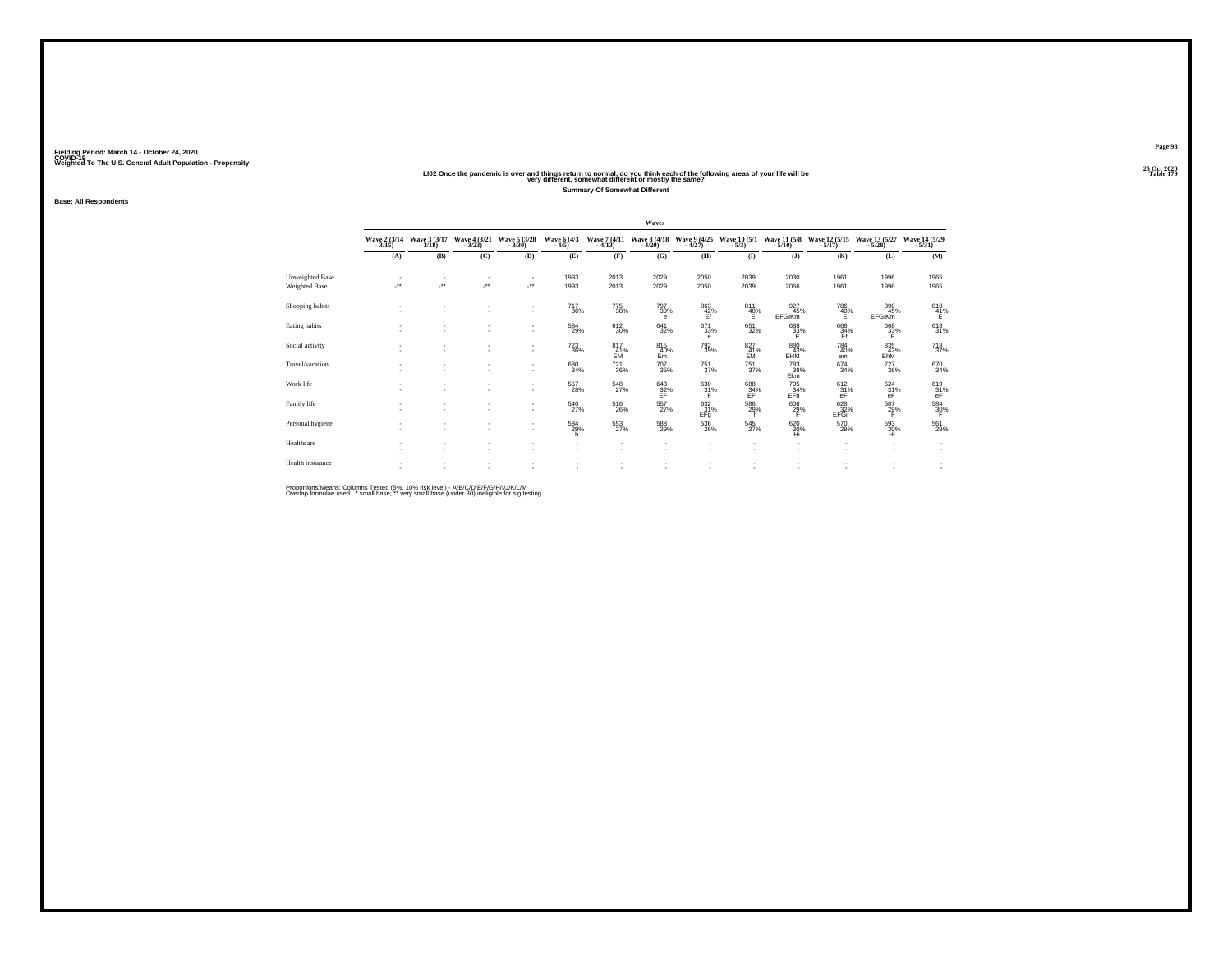# 25 Oct 2020<br>LIO2 Once the pandemic is over and things return to normal, do you think each of the following areas of your life will be<br>very different, somewhat different or mostly the same?

**Summary Of Somewhat Different**

**Base: All Respondents**

|                                  | Waves |                                            |                                        |                                    |                                                      |                                       |                          |                                                                                   |                                                      |                                                      |                                                      |                             |                                    |
|----------------------------------|-------|--------------------------------------------|----------------------------------------|------------------------------------|------------------------------------------------------|---------------------------------------|--------------------------|-----------------------------------------------------------------------------------|------------------------------------------------------|------------------------------------------------------|------------------------------------------------------|-----------------------------|------------------------------------|
|                                  |       | Wave 2 (3/14 Wave 3 (3/17<br>3/15) - 3/18) | Wave $\frac{4}{3}$ $\frac{(3/21)}{23}$ | Wave 5 (3/28)<br>$-3/30$           | Wave $\frac{6}{4/5}$                                 | Wave 7 (4/11)<br>$-4/13$              | Wave 8 (4/18)            | Wave 9 (4/25<br>- 4/27)                                                           | Wave 10 (5/1)<br>$-5/3$ )                            | $-5/10$ )                                            | Wave 11 (5/8 Wave 12 (5/15)<br>$-5/17$               | Wave 13 (5/27<br>- 5/28)    | Wave 14 (5/29)<br>$-5/31$          |
|                                  | (A)   | (B)                                        | (C)                                    | (D)                                | (E)                                                  | (F)                                   | (G)                      | (H)                                                                               | (I)                                                  | (1)                                                  | (K)                                                  | (L)                         | (M)                                |
| Unweighted Base<br>Weighted Base | ÷.    | ÷.                                         | $\sim$<br>×                            | $\overline{\phantom{a}}$<br>J.     | 1993<br>1993                                         | 2013<br>2013                          | 2029<br>2029             | 2050<br>2050                                                                      | 2039<br>2039                                         | 2030<br>2066                                         | 1961<br>1961                                         | 1996<br>1996                | 1965<br>1965                       |
| Shopping habits                  |       |                                            | ٠<br>$\overline{\phantom{a}}$          | $\sim$<br>$\sim$                   | 717<br>36%                                           | 775<br>38%                            | 797<br>39%<br>е          | 863<br>42%                                                                        | 811<br>$^{40\%}$                                     | 927<br>45%<br><b>EFGIKm</b>                          | 786<br>$^{40\%}_{E}$                                 | 890<br>45%<br><b>EFGIKm</b> | 810<br>$^{41\%}$                   |
| Eating habits                    |       | ٠                                          | $\sim$<br>$\sim$                       | $\sim$<br>$\overline{\phantom{a}}$ | 584<br>29%                                           | $612 \choose 30\%$                    | $641 \over 32\%$         | $^{671}_{33\%}$<br>e                                                              | $\substack{651 \\ 32\%}$                             | 688<br>33%<br>F                                      | 668<br>34%<br>Ef                                     | 668<br>33%<br>Е             | 618<br>31%                         |
| Social activity                  |       | ٠                                          | $\sim$<br>$\sim$                       | $\sim$<br>$\overline{\phantom{a}}$ | $^{723}_{36\%}$                                      | $^{817}_{-41\%}$ EM                   | $\frac{815}{40\%}$<br>Em | $\substack{792 \\ 39\%}$                                                          | $^{827}_{41\%}$                                      | $^{880}_{43\%}$ EHM                                  | $^{784}_{40\%}$<br>em                                | 835<br>42%<br>EhM           | 718 <sub>37%</sub>                 |
| Travel/vacation                  |       | ٠<br>٠                                     | $\sim$<br>$\sim$                       | $\sim$<br>$\overline{\phantom{a}}$ | 680<br>34%                                           | 721<br>36%                            | $^{707}_{35\%}$          | 751<br>37%                                                                        | 751<br>37%                                           | 783<br>38%<br>Ekm                                    | 674<br>34%                                           | 727<br>36%                  | 670<br>34%                         |
| Work life                        |       | ٠<br>٠                                     | ٠<br>$\sim$                            | $\sim$<br>$\sim$                   | 557<br>28%                                           | 548<br>27%                            | 643/32%<br>FF            | $\frac{630}{31}\%$<br>F                                                           | 688<br>EF.                                           | 705<br>34%<br>EFh <sup>1</sup>                       | 612/31%<br>eF                                        | 624/31%<br>eF               | 619<br>31%<br>eF                   |
| Family life                      |       | ٠                                          | $\sim$<br>٠                            | $\sim$<br>$\sim$                   | 540<br>27%                                           | $^{516}_{\phantom{1}\phantom{1}26\%}$ | $^{557}_{27\%}$          | $^{632}_{-31\%}$<br>EFq                                                           | 586<br>29%                                           | $\frac{606}{29\%}$                                   | 628<br>32%<br>EFGi                                   | 587<br>$^{29\%}$            | $^{584}_{30\%}$                    |
| Personal hygiene                 |       | ٠<br>٠                                     | $\sim$<br>$\sim$                       | $\sim$<br>$\overline{\phantom{a}}$ | 584<br>29%<br>h.                                     | $^{553}_{27\%}$                       | 588<br>29%               | $^{536}_{\phantom{1}\phantom{1}\phantom{1}\phantom{1}\phantom{1}\phantom{1}26\%}$ | $\frac{545}{27\%}$                                   | 620 %<br>Hi                                          | 570<br>29%                                           | 593<br>30%<br>Hi            | 561<br>29%                         |
| Healthcare                       |       | ٠                                          | $\sim$<br>$\sim$                       | $\sim$<br>$\sim$                   | $\overline{\phantom{a}}$<br>$\overline{\phantom{a}}$ | ٠<br>٠                                | $\sim$<br>٠              | ٠<br>٠                                                                            | $\overline{\phantom{a}}$<br>$\overline{\phantom{a}}$ | $\overline{\phantom{a}}$<br>$\overline{\phantom{a}}$ | $\overline{\phantom{a}}$<br>$\overline{\phantom{a}}$ | ٠<br>٠                      | $\sim$<br>$\overline{\phantom{a}}$ |
| Health insurance                 |       | ٠                                          | $\sim$<br>$\sim$                       | ٠<br>٠                             | ٠<br>$\overline{\phantom{a}}$                        | ٠<br>٠                                |                          |                                                                                   |                                                      |                                                      | ٠<br>٠                                               | $\sim$                      | $\overline{\phantom{a}}$           |

Proportions/Means: Columns Tested (5%, 10% risk level) - A/B/C/D/E/F/G/H/I/J/K/L/M<br>Overlap formulae used. \*small base; \* very small base (under 30) ineligible for sig testing

**Page 98 Fielding Period: March 14 - October 24, 2020 COVID-19 Weighted To The U.S. General Adult Population - Propensity**25 Oct 2020<br>Table 179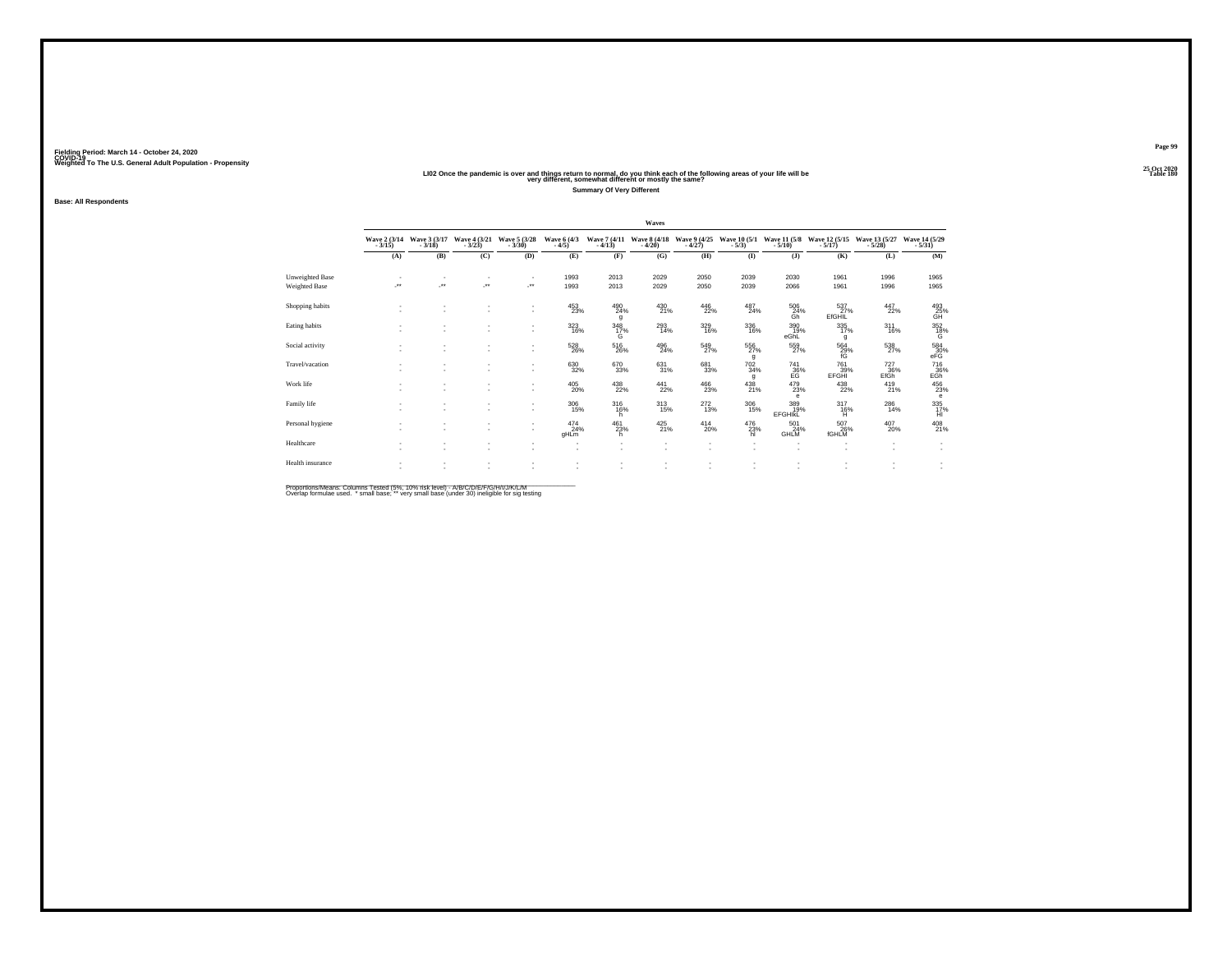# 25 Oct 2020<br>LI02 Once the pandemic is over and things return to normal, do you think each of the following areas of your life will be<br>very different, somewhat different or mostly the same?

**Summary Of Very Different**

**Base: All Respondents**

|                                  |     |                                            |                                    |                          |                                                      |                                       | Waves                    |                                       |                            |                                    |                                        |                    |                                                      |
|----------------------------------|-----|--------------------------------------------|------------------------------------|--------------------------|------------------------------------------------------|---------------------------------------|--------------------------|---------------------------------------|----------------------------|------------------------------------|----------------------------------------|--------------------|------------------------------------------------------|
|                                  |     | Wave 2 (3/14 Wave 3 (3/17<br>3/15) - 3/18) | Wave 4 (3/21)                      | Wave 5 (3/28)<br>$-3/30$ | Wave 6 (4/3)<br>$-4/5$                               | Wave 7 (4/11)<br>$-4/13$              | Wave 8 (4/18)<br>$-4/20$ | Wave 9 (4/25)<br>$-4/27$              | Wave 10 (5/1)<br>$-5/3$ )  | $-5/10$ )                          | Wave 11 (5/8 Wave 12 (5/15)<br>$-5/17$ | Wave 13 (5/27)     | Wave 14 (5/29)<br>$-5/31$                            |
|                                  | (A) | (B)                                        | (C)                                | (D)                      | (E)                                                  | (F)                                   | (G)                      | (H)                                   | (I)                        | (1)                                | (K)                                    | (L)                | (M)                                                  |
| Unweighted Base<br>Weighted Base | J.  | ÷.                                         | ٠<br>×                             | $\;$<br>J.               | 1993<br>1993                                         | 2013<br>2013                          | 2029<br>2029             | 2050<br>2050                          | 2039<br>2039               | 2030<br>2066                       | 1961<br>1961                           | 1996<br>1996       | 1965<br>1965                                         |
| Shopping habits                  |     |                                            | ٠<br>٠                             | $\sim$<br>$\sim$         | 453<br>23%                                           | 490<br>24%<br>g                       | $^{430}_{21\%}$          | 446<br>22%                            | 487<br>24%                 | 506<br>24%<br>Ğĥ                   | 537<br>EfGHIL                          | 447<br>22%         | $\overset{493}{\underset{\text{GH}}{25\%}}$          |
| Eating habits                    |     | ٠                                          | ٠<br>$\sim$                        | ٠<br>٠                   | $323 \over 16\%$                                     | $\frac{348}{17}\%$<br>G               | 293<br>14%               | 329/16%                               | $\frac{336}{16\%}$         | 390<br>19%<br>eGhL                 | 335/17%<br>g                           | $^{311}_{16\%}$    | 352<br>18%<br>G                                      |
| Social activity                  |     |                                            | $\sim$<br>٠                        | $\sim$<br>$\sim$         | $^{528}_{26\%}$                                      | $^{516}_{\phantom{1}\phantom{1}26\%}$ | $^{496}_{24\%}$          | $^{549}_{27\%}$                       | $^{556}_{27\%}$<br>g       | $^{559}_{27\%}$                    | $^{564}_{29\%}$                        | $^{538}_{27\%}$    | $^{584}_{30\%}$ eFG                                  |
| Travel/vacation                  |     | ٠                                          | $\sim$<br>$\sim$                   | $\sim$<br>$\sim$         | 630<br>32%                                           | 670<br>33%                            | 631<br>31%               | 681<br>33%                            | 702<br>34%<br>g            | 741<br>36%<br>EG                   | 761<br>39%<br>EFGHI                    | 727<br>36%<br>EfGh | 716<br>E <sub>GB</sub> <sup>36%</sup>                |
| Work life                        |     | ٠                                          | ٠<br>$\sim$                        | ٠<br>$\sim$              | $^{405}_{20\%}$                                      | $^{438}_{\,\,22\%}$                   | $^{441}_{22\%}$          | $^{466}_{\phantom{1}\phantom{1}23\%}$ | $^{438}_{21\%}$            | $^{479}_{23\%}$<br>e               | $^{438}_{22\%}$                        | $^{419}_{21\%}$    | 456<br>23%<br>e                                      |
| Family life                      |     | ٠<br>٠                                     | ٠<br>$\sim$                        | ٠<br>$\sim$              | $^{306}_{15\%}$                                      | 316<br>16%<br>h                       | $^{313}_{15\%}$          | $^{272}_{13\%}$                       | $^{306}_{\phantom{1}15\%}$ | 389%<br><b>EFGHIKL</b>             | $^{317}_{16\%}$<br>н                   | $^{286}_{14\%}$    | 335<br>17%<br>HI                                     |
| Personal hygiene                 |     | ٠<br>٠                                     | $\sim$<br>$\sim$                   | $\sim$<br>۰              | $^{474}_{24\%}$<br>gHLm                              | 461<br>23%<br>h                       | $425$ <sub>21%</sub>     | $^{414}_{20\%}$                       | 476<br>23%<br>hl           | 501<br>24%<br>GHLM                 | 507<br>26%<br><b>fGHLM</b>             | $^{407}_{20\%}$    | 408<br>21%                                           |
| Healthcare                       |     | ٠                                          | $\sim$<br>$\overline{\phantom{a}}$ | $\sim$<br>$\sim$         | $\overline{\phantom{a}}$<br>$\overline{\phantom{a}}$ | ٠<br>٠                                | $\sim$                   | $\sim$<br>$\sim$                      | $\overline{\phantom{a}}$   | $\overline{\phantom{a}}$<br>$\sim$ | $\overline{\phantom{a}}$<br>٠          | ٠<br>$\sim$        | $\overline{\phantom{a}}$<br>$\overline{\phantom{a}}$ |
| Health insurance                 |     |                                            |                                    |                          | ٠<br>٠                                               |                                       |                          |                                       |                            |                                    | ٠                                      |                    | $\overline{\phantom{a}}$                             |

Proportions/Means: Columns Tested (5%, 10% risk level) - A/B/C/D/E/F/G/H/I/J/K/L/M<br>Overlap formulae used. \*small base; \* very small base (under 30) ineligible for sig testing

**Page 9925 Oct 2020<br>Table 180**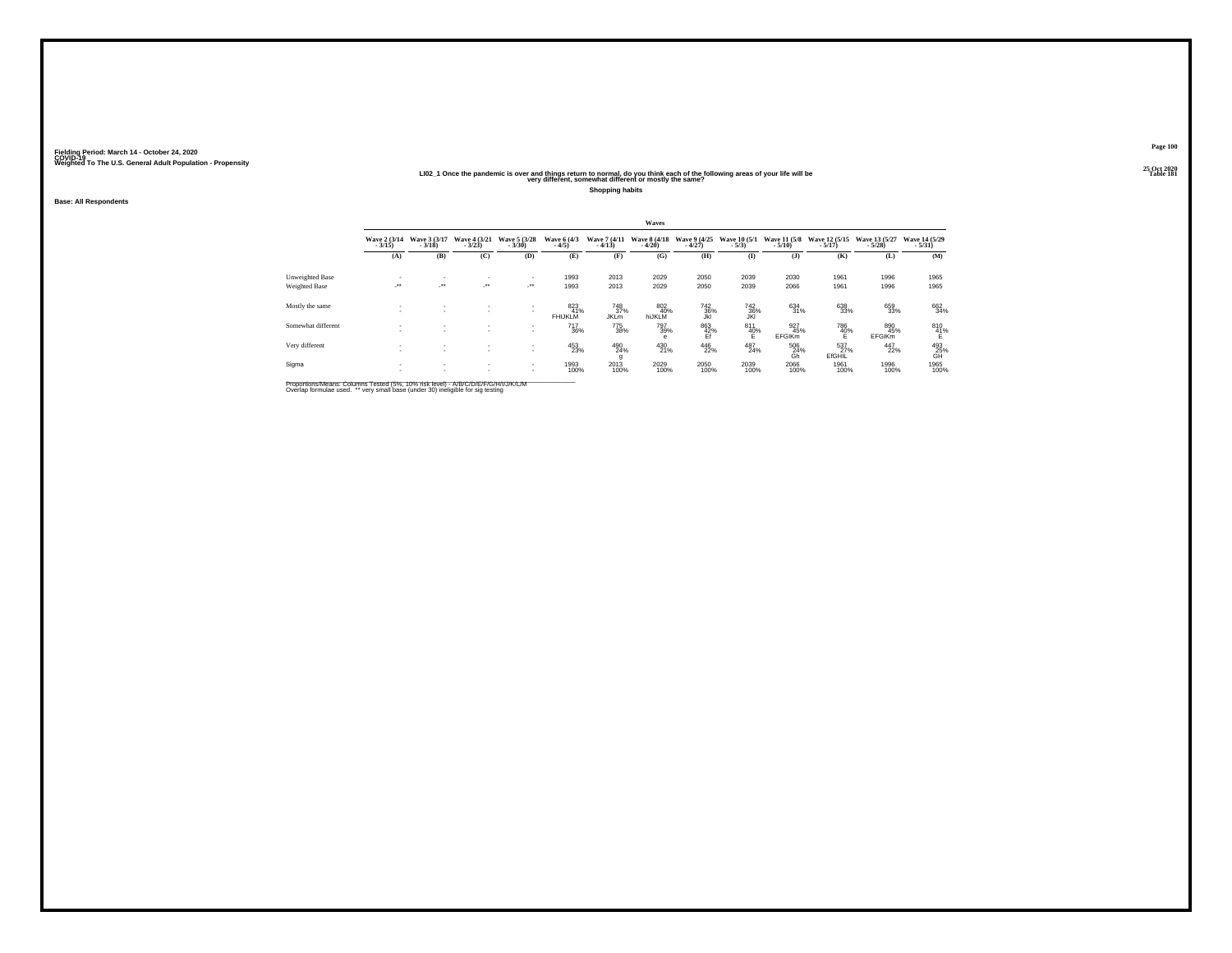#### 25 Oct 2020<br>LIO2\_1 Once the pandemic is over and things return to normal, do you think each of the following areas of your life will be<br>very different, somewhat different or mostly the same?

**Shopping habits**

**Base: All Respondents**

|                    | Waves                    |                              |                               |                                          |                               |                           |                          |                          |                         |                             |                           |                             |                                     |
|--------------------|--------------------------|------------------------------|-------------------------------|------------------------------------------|-------------------------------|---------------------------|--------------------------|--------------------------|-------------------------|-----------------------------|---------------------------|-----------------------------|-------------------------------------|
|                    | Wave 2 (3/14)<br>$-3/15$ | Wave 3 (3/17)<br>$-3/18$     | Wave 4 (3/21)<br>$-3/23$      | Wave 5 (3/28)<br>$-3/30$                 | Wave 6 (4/3)<br>$-4/5$        | Wave 7 (4/11)<br>$-4/13$  | Wave 8 (4/18)<br>$-4/20$ | Wave 9 (4/25)<br>$-4/27$ | Wave 10 (5/1)<br>$-5/3$ | Wave 11 (5/8)<br>$-5/10$    | Wave 12 (5/15)<br>$-5/17$ | Wave 13 (5/27)<br>$-5/28$   | Wave 14 (5/29)<br>$-5/31$           |
|                    | (A)                      | (B)                          | (C)                           | (D)                                      | (E)                           | (F)                       | (G)                      | (H)                      | $\bf(I)$                | $($ $)$                     | (K)                       | (L)                         | (M)                                 |
| Unweighted Base    | $\sim$<br>$\cdot$        | ٠<br>$\cdot$                 | ٠<br>$\cdot$                  | ٠<br>$\cdot$                             | 1993                          | 2013                      | 2029                     | 2050                     | 2039                    | 2030                        | 1961                      | 1996                        | 1965                                |
| Weighted Base      |                          |                              |                               |                                          | 1993                          | 2013                      | 2029                     | 2050                     | 2039                    | 2066                        | 1961                      | 1996                        | 1965                                |
| Mostly the same    | <b>A</b>                 | $\overline{\phantom{a}}$     | ٠<br>$\overline{\phantom{a}}$ | $\mathbf{r}$<br>$\sim$                   | 823<br>41%<br><b>FHIJKLM</b>  | 748<br>37%<br><b>JKLM</b> | 802<br>40%<br>hiJKLM     | 742<br>36%               | 742<br>36%              | 634<br>31%                  | 638<br>33%                | 659<br>33%                  | 662<br>34%                          |
| Somewhat different | $\sim$                   |                              | ٠<br>$\sim$                   | ٠<br>$\overline{\phantom{a}}$            | <sup>717</sup> <sub>36%</sub> | 775<br>38%                | 797<br>39%<br>$\theta$   | 863<br>42%<br>Ef         | 811<br>40%<br>E.        | 927<br>45%<br><b>EFGIKm</b> | 786<br>40%<br>E           | 890<br>45%<br><b>EFGIKm</b> | 810<br>41%<br>Ë.                    |
| Very different     | $\sim$                   | $\mathbf{r}$                 | $\sim$                        | $\mathbf{r}$<br>$\overline{\phantom{a}}$ | 453<br>23%                    | 490<br>24%<br>g           | 430<br>21%               | 446<br>22%               | 487<br>24%              | 506<br>24%<br>Gh            | 537%<br><b>EfGHIL</b>     | 447<br>22%                  | $^{493}_{\substack{25\\\text{GH}}}$ |
| Sigma              |                          | $\mathbf{r}$<br>$\mathbf{r}$ | $\mathbf{r}$<br>٠             | $\mathbf{r}$<br>$\sim$                   | 1993<br>100%                  | 2013<br>100%              | 2029<br>100%             | 2050<br>100%             | 2039<br>100%            | 2066<br>100%                | 1961<br>100%              | 1996<br>100%                | 1965<br>100%                        |

Proportions/Means: Columns Tested (5%, 10% risk level) - A/B/C/D/E/F/G/H/I/J/K/L/M<br>Overlap formulae used. \*\* very small base (under 30) ineligible for sig testing

**Page 100**25 Oct 2020<br>Table 181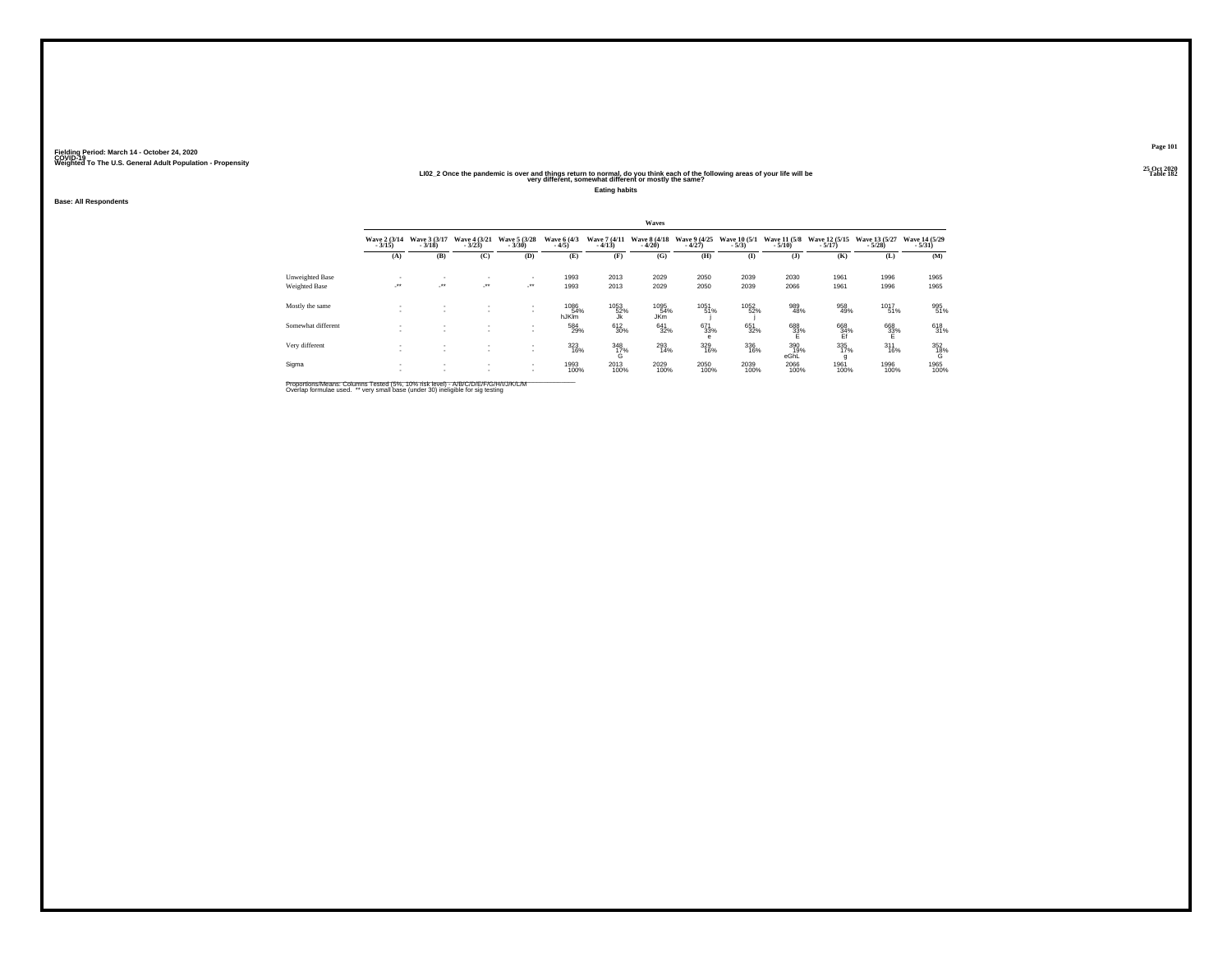#### 25 Oct 2020<br>LIO2\_2 Once the pandemic is over and things return to normal, do you think each of the following areas of your life will be<br>very different, somewhat different or mostly the same?

**Eating habits**

**Base: All Respondents**

|                    | Waves                    |                          |                                  |                                                      |                        |                          |                           |                          |                         |                                  |                           |                           |                           |
|--------------------|--------------------------|--------------------------|----------------------------------|------------------------------------------------------|------------------------|--------------------------|---------------------------|--------------------------|-------------------------|----------------------------------|---------------------------|---------------------------|---------------------------|
|                    | Wave 2 (3/14)<br>$-3/15$ | Wave 3 (3/17)<br>$-3/18$ | Wave 4 (3/21)<br>$-3/23$         | Wave 5 (3/28)<br>$-3/30$                             | Wave 6 (4/3)<br>$-4/5$ | Wave 7 (4/11)<br>$-4/13$ | Wave 8 (4/18)<br>$-4/20$  | Wave 9 (4/25)<br>$-4/27$ | Wave 10 (5/1)<br>$-5/3$ | Wave 11 (5/8)<br>$-5/10$         | Wave 12 (5/15)<br>$-5/17$ | Wave 13 (5/27)<br>$-5/28$ | Wave 14 (5/29)<br>$-5/31$ |
|                    | (A)                      | (B)                      | (C)                              | (D)                                                  | (E)                    | (F)                      | (G)                       | (H)                      | $($ $I$                 | $($ $)$                          | (K)                       | (L)                       | (M)                       |
| Unweighted Base    | ٠                        | $\mathbf{r}$             |                                  | $\overline{\phantom{a}}$                             | 1993                   | 2013                     | 2029                      | 2050                     | 2039                    | 2030                             | 1961                      | 1996                      | 1965                      |
| Weighted Base      | $\cdot$                  | $\cdot$                  | $\mathcal{L}^{\bullet\bullet}$ . | $\mathcal{L}^{\text{max}}$                           | 1993                   | 2013                     | 2029                      | 2050                     | 2039                    | 2066                             | 1961                      | 1996                      | 1965                      |
| Mostly the same    | $\sim$                   | $\overline{\phantom{a}}$ | $\mathbf{r}$<br>$\mathbf{r}$     | $\sim$<br>$\mathbf{r}$                               | 1086<br>54%<br>hJKIm   | 1053<br>52%<br>Jk        | 1095<br>54%<br><b>JKm</b> | 1051<br>51%              | 1052<br>52%             | 989<br>48%                       | 958<br>49%                | 1017<br>51%               | 995<br>51%                |
| Somewhat different |                          | ٠                        | $\mathbf{r}$                     | $\overline{\phantom{a}}$<br>$\mathbf{r}$             | 584<br>29%             | 612<br>30%               | 641<br>32%                | 671<br>33%<br>e          | 651<br>32%              | $\overset{688}{\substack{33\%}}$ | 668<br>34%<br>Ef          | $^{668}_{33\%}$           | 618<br>31%                |
| Very different     | ۰.                       | ٠<br>$\sim$              | $\sim$<br>$\sim$                 | $\overline{\phantom{a}}$<br>$\overline{\phantom{a}}$ | 323<br>16%             | $\frac{348}{17\%}$<br>G  | 293<br>14%                | 329<br>16%               | 336<br>16%              | 390<br>19%<br>eGhL               | 335<br>17%<br>g           | $^{311}_{16\%}$           | $^{352}_{18\%}$           |
| Sigma              | ۰.                       | $\mathbf{r}$<br>٠        | $\sim$<br>$\mathbf{r}$           | $\sim$<br>$\sim$                                     | 1993<br>100%           | 2013<br>100%             | 2029<br>100%              | 2050<br>100%             | 2039<br>100%            | 2066<br>100%                     | 1961<br>100%              | 1996<br>100%              | 1965<br>100%              |

Proportions/Means: Columns Tested (5%, 10% risk level) - A/B/C/D/E/F/G/H/I/J/K/L/M<br>Overlap formulae used. \*\* very small base (under 30) ineligible for sig testing

**Page 101**25 Oct 2020<br>Table 182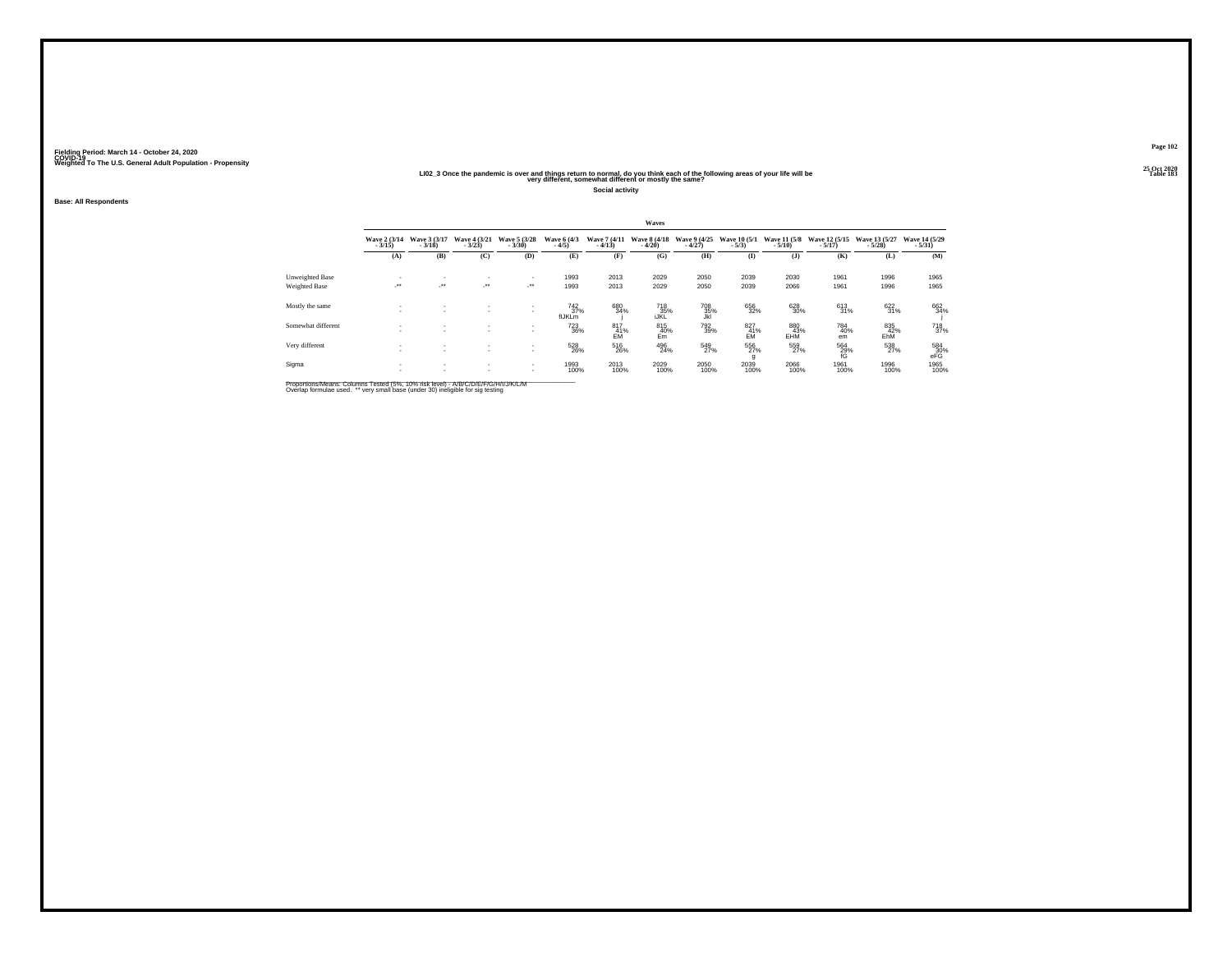#### 25 Oct 2020<br>LIO2\_3 Once the pandemic is over and things return to normal, do you think each of the following areas of your life will be<br>very different, somewhat different or mostly the same?

**Social activity**

**Base: All Respondents**

|                                  | Waves                    |                                 |                                                              |                                            |                                     |                          |                          |                               |                         |                          |                           |                           |                               |
|----------------------------------|--------------------------|---------------------------------|--------------------------------------------------------------|--------------------------------------------|-------------------------------------|--------------------------|--------------------------|-------------------------------|-------------------------|--------------------------|---------------------------|---------------------------|-------------------------------|
|                                  | Wave 2 (3/14)<br>$-3/15$ | Wave 3 (3/17)<br>$-3/18$        | Wave 4 (3/21)<br>$-3/23$                                     | Wave 5 (3/28)<br>$-3/30$                   | Wave 6 (4/3)<br>$-4/5$              | Wave 7 (4/11)<br>$-4/13$ | Wave 8 (4/18)<br>$-4/20$ | Wave 9 (4/25)<br>$-4/27$      | Wave 10 (5/1)<br>$-5/3$ | Wave 11 (5/8)<br>$-5/10$ | Wave 12 (5/15)<br>$-5/17$ | Wave 13 (5/27)<br>$-5/28$ | Wave 14 (5/29)<br>$-5/31$     |
|                                  | (A)                      | (B)                             | (C)                                                          | (D)                                        | (E)                                 | (F)                      | (G)                      | (H)                           | $\mathbf{I}$            | $($ $)$                  | (K)                       | (L)                       | (M)                           |
| Unweighted Base<br>Weighted Base | ٠<br>$\cdot$             | ٠<br>$\mathcal{L}^{\text{max}}$ | $\overline{\phantom{a}}$<br>$\mathcal{L}^{\bullet\bullet}$ . | $\mathbf{r}$<br>$\mathcal{L}^{\text{max}}$ | 1993<br>1993                        | 2013<br>2013             | 2029<br>2029             | 2050<br>2050                  | 2039<br>2039            | 2030<br>2066             | 1961<br>1961              | 1996<br>1996              | 1965<br>1965                  |
| Mostly the same                  |                          | $\sim$                          | $\mathbf{r}$                                                 | $\sim$<br>٠                                | $\frac{742}{37\%}$<br><b>flJKLm</b> | 680<br>34%               | 718<br>35%<br>iJKL       | 708<br>35%<br>Jkl             | 656<br>32%              | 628<br>30%               | 613<br>31%                | 622<br>31%                | 662<br>34%                    |
| Somewhat different               |                          | ٠                               | $\sim$                                                       | $\mathbf{r}$<br>٠                          | <sup>723</sup> <sub>36%</sub>       | 817<br>41%<br>EM         | 815<br>40%<br>Em         | <sup>792</sup> <sub>39%</sub> | 827<br>41%<br><b>EM</b> | 880<br>43%<br>EHM        | 784<br>40%<br>em          | 835<br>42%<br>EhM         | <sup>718</sup> <sub>37%</sub> |
| Very different                   |                          | ٠                               | ٠<br>$\sim$                                                  | $\mathbf{r}$<br>$\mathbf{r}$               | 528<br>26%                          | 516<br>26%               | 496<br>24%               | 549<br>27%                    | 556<br>27%<br>g         | 559<br>27%               | 564<br>29%<br>fG          | 538<br>27%                | $^{584}_{30\%}$ eFG           |
| Sigma                            | ٠<br>٠                   | ٠<br>٠                          | $\sim$<br>$\mathbf{r}$                                       | $\mathbf{r}$<br>$\mathbf{r}$               | 1993<br>100%                        | 2013<br>100%             | 2029<br>100%             | 2050<br>100%                  | 2039<br>100%            | 2066<br>100%             | 1961<br>100%              | 1996<br>100%              | 1965<br>100%                  |

Proportions/Means: Columns Tested (5%, 10% risk level) - A/B/C/D/E/F/G/H/I/J/K/L/M<br>Overlap formulae used. \*\* very small base (under 30) ineligible for sig testing

**Page 102**25 Oct 2020<br>Table 183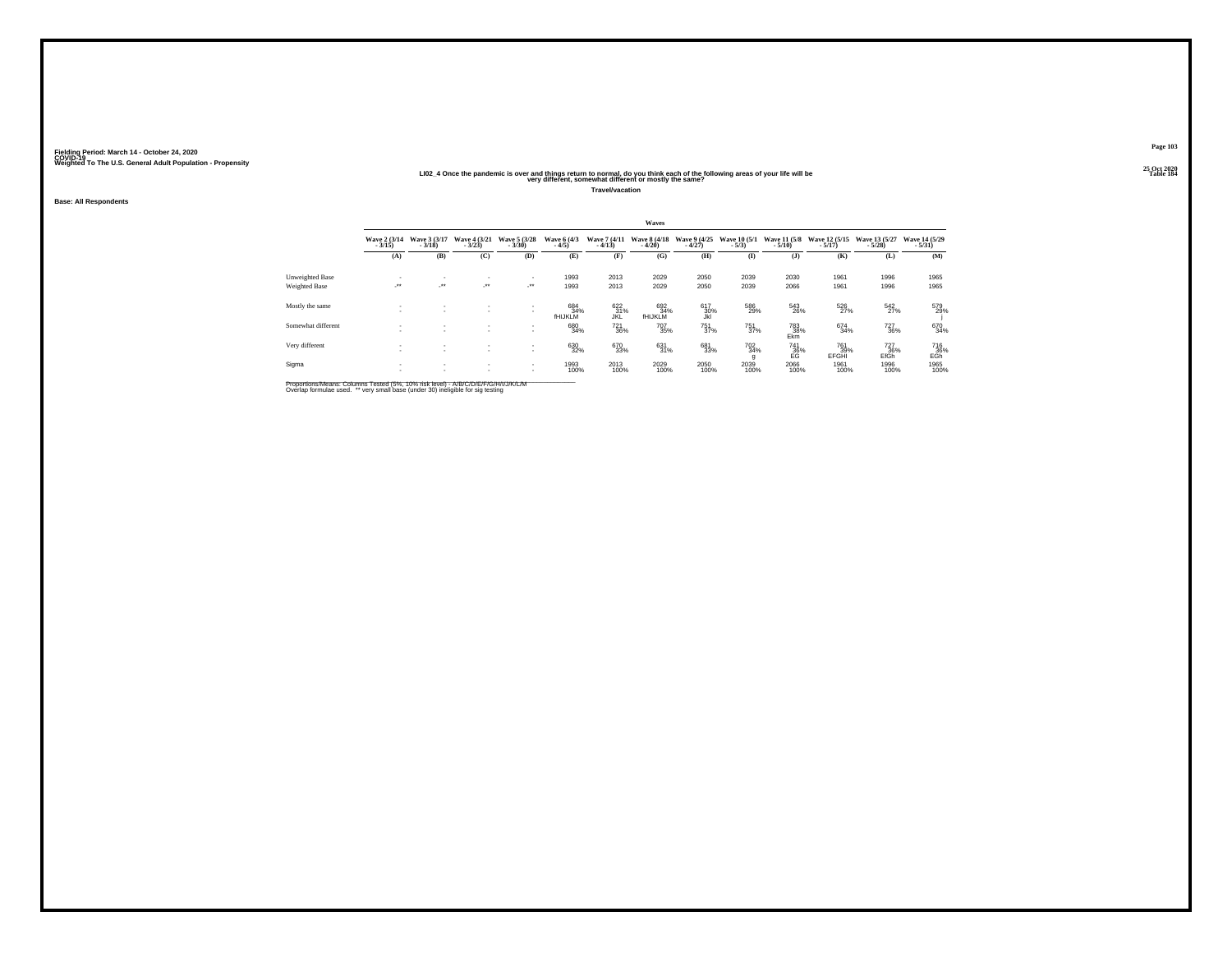#### 25 Oct 2020<br>More the pandemic is over and things return to normal, do you think each of the following areas of your life will be<br>very different, somewhat different or mostly the same?

**Travel/vacation**

**Base: All Respondents**

|                                  | Waves                              |                          |                              |                                   |                              |                          |                                    |                          |                               |                          |                           |                               |                           |
|----------------------------------|------------------------------------|--------------------------|------------------------------|-----------------------------------|------------------------------|--------------------------|------------------------------------|--------------------------|-------------------------------|--------------------------|---------------------------|-------------------------------|---------------------------|
|                                  | Wave 2 (3/14)<br>$-3/15$           | Wave 3 (3/17)<br>$-3/18$ | Wave 4 (3/21)<br>$-3/23$     | Wave 5 (3/28)<br>$-3/30$          | Wave 6 (4/3)<br>$-4/5$       | Wave 7 (4/11)<br>$-4/13$ | Wave 8 (4/18)<br>$-4/20$           | Wave 9 (4/25)<br>$-4/27$ | Wave 10 (5/1)<br>$-5/3$       | Wave 11 (5/8)<br>$-5/10$ | Wave 12 (5/15)<br>$-5/17$ | Wave 13 (5/27)<br>$-5/28$     | Wave 14 (5/29)<br>$-5/31$ |
|                                  | (A)                                | (B)                      | (C)                          | (D)                               | (E)                          | (F)                      | (G)                                | (H)                      | $($ I                         | (3)                      | (K)                       | (L)                           | (M)                       |
| Unweighted Base<br>Weighted Base | $\sim$<br>$\overline{\phantom{a}}$ | $\mathbf{r}$<br>$\sim$   | ٠<br>$\mathcal{F}^{\bullet}$ | $\overline{\phantom{a}}$<br>- * * | 1993<br>1993                 | 2013<br>2013             | 2029<br>2029                       | 2050<br>2050             | 2039<br>2039                  | 2030<br>2066             | 1961<br>1961              | 1996<br>1996                  | 1965<br>1965              |
| Mostly the same                  | <b>A</b>                           | ٠                        | $\mathbf{r}$<br>٠            | $\mathbf{r}$                      | 684<br>34%<br><b>fHIJKLM</b> | 622<br>31%<br>JKL        | 692<br>34%<br>fhijklm <sup>*</sup> | 617<br>30%               | 586<br>29%                    | 543<br>26%               | 526<br>27%                | $\frac{542}{27\%}$            | 579<br>29%                |
| Somewhat different               | <b>1999</b>                        | $\sim$                   | $\sim$                       | $\mathbf{r}$<br>$\mathbf{r}$      | 680<br>34%                   | <sup>721</sup> 36%       | <sup>707</sup> 35%                 | $^{751}_{37\%}$          | <sup>751</sup> <sub>37%</sub> | 783<br>38%<br>Ekm        | 674 34%                   | <sup>727</sup> <sub>36%</sub> | 670<br>34%                |
| Very different                   |                                    |                          | ٠<br>٠                       | $\sim$<br>$\mathbf{r}$            | 630<br>32%                   | 670<br>33%               | $^{631}_{31\%}$                    | 681<br>33%               | 702<br>34%<br>g               | $^{741}_{36\%}$          | 761<br>39%<br>EFGHI       | $\frac{727}{36\%}$            | $^{716}_{36\%}$ EGh       |
| Sigma                            |                                    |                          | $\mathbf{r}$<br>$\mathbf{r}$ | $\sim$<br>$\sim$                  | 1993<br>100%                 | 2013<br>100%             | 2029<br>100%                       | 2050<br>100%             | 2039<br>100%                  | 2066<br>100%             | 1961<br>100%              | 1996<br>100%                  | 1965<br>100%              |

Proportions/Means: Columns Tested (5%, 10% risk level) - A/B/C/D/E/F/G/H/I/J/K/L/M<br>Overlap formulae used. \*\* very small base (under 30) ineligible for sig testing

**Page 103**25 Oct 2020<br>Table 184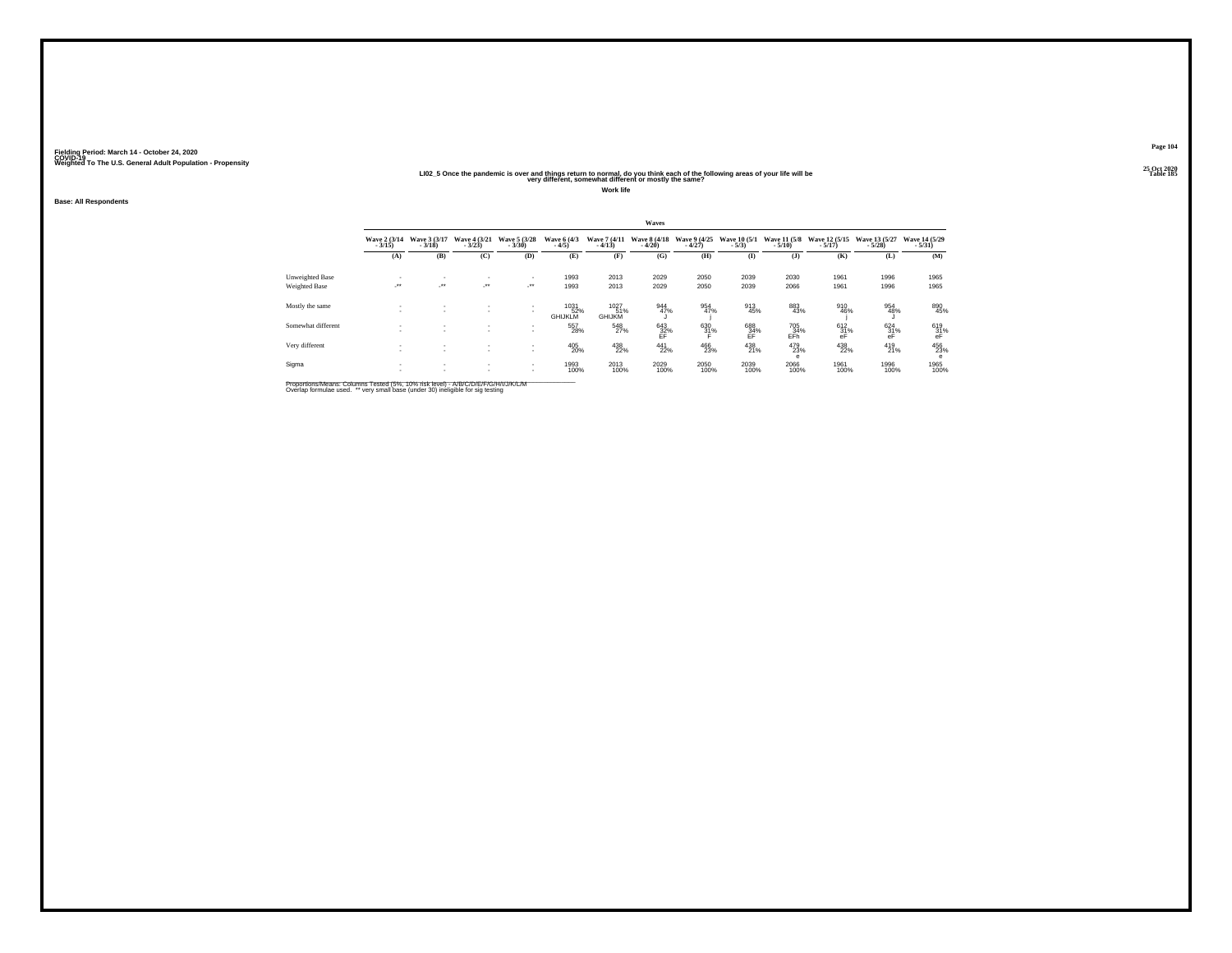#### 25 Oct the pandemic is over and things return to normal, do you think each of the following areas of your life will be "Simple was the same of the following areas of your life will be "Table 185" Table 185" Table 185<br>"Yer

**Work life**

**Base: All Respondents**

|                    | Waves                    |                            |                            |                          |                        |                              |                          |                          |                         |                          |                           |                           |                           |
|--------------------|--------------------------|----------------------------|----------------------------|--------------------------|------------------------|------------------------------|--------------------------|--------------------------|-------------------------|--------------------------|---------------------------|---------------------------|---------------------------|
|                    | Wave 2 (3/14)<br>$-3/15$ | Wave 3 (3/17)<br>$-3/18$   | Wave 4 (3/21)<br>$-3/23$   | Wave 5 (3/28)<br>$-3/30$ | Wave 6 (4/3)<br>$-4/5$ | Wave 7 (4/11)<br>$-4/13$     | Wave 8 (4/18)<br>$-4/20$ | Wave 9 (4/25)<br>$-4/27$ | Wave 10 (5/1)<br>$-5/3$ | Wave 11 (5/8)<br>$-5/10$ | Wave 12 (5/15)<br>$-5/17$ | Wave 13 (5/27)<br>$-5/28$ | Wave 14 (5/29)<br>$-5/31$ |
|                    | (A)                      | (B)                        | (C)                        | (D)                      | (E)                    | (F)                          | (G)                      | (H)                      | $\bf(I)$                | (1)                      | (K)                       | (L)                       | (M)                       |
| Unweighted Base    |                          | ٠                          |                            | ٠                        | 1993                   | 2013                         | 2029                     | 2050                     | 2039                    | 2030                     | 1961                      | 1996                      | 1965                      |
| Weighted Base      | $\cdot$                  | $\mathcal{L}^{\text{max}}$ | $\mathcal{L}^{\text{max}}$ | $\rightarrow$            | 1993                   | 2013                         | 2029                     | 2050                     | 2039                    | 2066                     | 1961                      | 1996                      | 1965                      |
| Mostly the same    | ٠                        | $\sim$                     | $\mathbf{r}$<br>$\sim$     | $\mathbf{r}$<br>۰        | 1031<br>GHIJKLM        | 1027<br>51%<br><b>GHIJKM</b> | 944<br>47%               | 954<br>47%               | 913<br>45%              | 883<br>43%               | 910<br>46%                | 954<br>48%                | 890<br>45%                |
| Somewhat different |                          |                            | $\mathbf{r}$               | $\mathbf{r}$<br>۰        | 557<br>28%             | 548<br>27%                   | $^{643}_{32\%}$ FF       | 630<br>31%               | 688<br>34%<br>ĔF        | 705<br>34%<br>EFh        | 612/31%<br>eF             | $^{624}_{31\%}$<br>ēĖ     | 619<br>31%<br>eF          |
| Very different     |                          | ٠<br>٠                     | $\sim$<br>$\sim$           | $\mathbf{r}$<br>۰        | 405<br>20%             | 438<br>22%                   | 441<br>22%               | 466<br>23%               | 438<br>21%              | 479<br>23%<br>е          | 438<br>22%                | 419<br>21%                | 456<br>23%<br>e           |
| Sigma              | ٠                        | ٠<br>٠                     | $\sim$<br>$\mathbf{r}$     | $\mathbf{r}$<br>$\sim$   | 1993<br>100%           | 2013<br>100%                 | 2029<br>100%             | 2050<br>100%             | 2039<br>100%            | 2066<br>100%             | 1961<br>100%              | 1996<br>100%              | 1965<br>100%              |

Proportions/Means: Columns Tested (5%, 10% risk level) - A/B/C/D/E/F/G/H/I/J/K/L/M<br>Overlap formulae used. \*\* very small base (under 30) ineligible for sig testing

**Page 104**25 Oct 2020<br>Table 185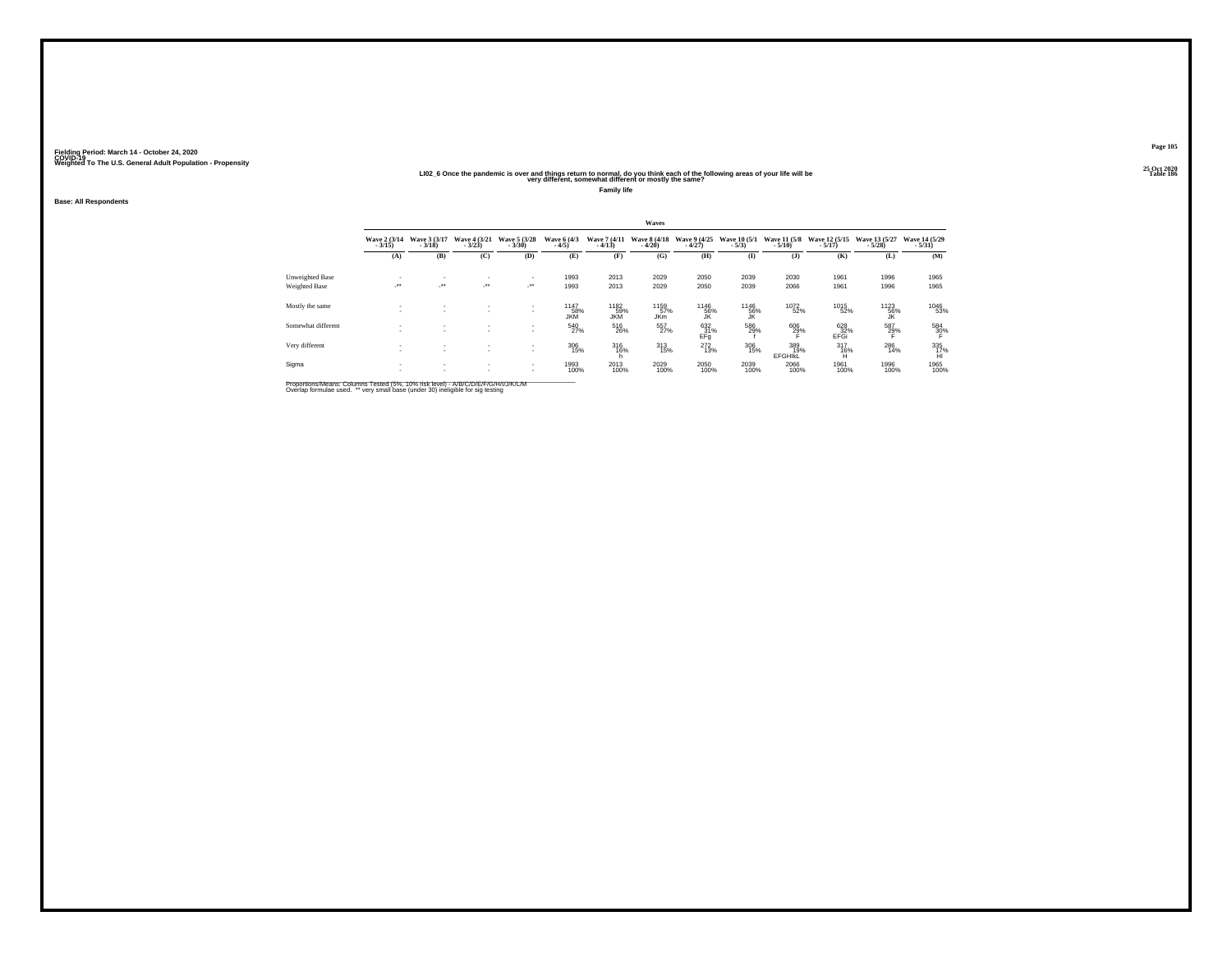#### 25 Oct 2020<br>LIO2\_6 Once the pandemic is over and things return to normal, do you think each of the following areas of your life will be<br>very different, somewhat different or mostly the same?

**Family life**

**Base: All Respondents**

|                      | Waves                     |                          |                                    |                          |                        |                         |                          |                          |                         |                              |                           |                           |                           |
|----------------------|---------------------------|--------------------------|------------------------------------|--------------------------|------------------------|-------------------------|--------------------------|--------------------------|-------------------------|------------------------------|---------------------------|---------------------------|---------------------------|
|                      | Wave 2 (3/14)<br>$-3/15$  | Wave 3 (3/17)<br>$-3/18$ | Wave 4 (3/21)<br>$-3/23$           | Wave 5 (3/28)<br>$-3/30$ | Wave 6 (4/3)<br>$-4/5$ | Wave 7 (4/11<br>$-4/13$ | Wave 8 (4/18)<br>$-4/20$ | Wave 9 (4/25)<br>$-4/27$ | Wave 10 (5/1)<br>$-5/3$ | Wave 11 (5/8)<br>$-5/10$     | Wave 12 (5/15)<br>$-5/17$ | Wave 13 (5/27)<br>$-5/28$ | Wave 14 (5/29)<br>$-5/31$ |
|                      | (A)                       | (B)                      | (C)                                | (D)                      | (E)                    | (F)                     | (G)                      | (H)                      | $\bf(I)$                | (J)                          | (K)                       | (L)                       | (M)                       |
| Unweighted Base      |                           | $\overline{\phantom{a}}$ | $\overline{\phantom{a}}$           |                          | 1993                   | 2013                    | 2029                     | 2050                     | 2039                    | 2030                         | 1961                      | 1996                      | 1965                      |
| <b>Weighted Base</b> | $\mathbb{R}^{n \times n}$ | ur.                      | $\cdot$                            | $\rightarrow$            | 1993                   | 2013                    | 2029                     | 2050                     | 2039                    | 2066                         | 1961                      | 1996                      | 1965                      |
| Mostly the same      |                           | $\overline{\phantom{a}}$ | $\mathbf{r}$                       | $\sim$<br>$\sim$         | 1147<br>58%<br>JKM     | 1182<br>59%<br>JKM      | 1159<br>57%<br>JKm       | 1146<br>56%<br>JK        | 1146<br>56%<br>JK       | 1072<br>52%                  | 1015<br>52%               | 1123<br>56%<br>JK         | 1046<br>53%               |
| Somewhat different   |                           |                          | $\overline{\phantom{a}}$           | $\sim$                   | 540<br>27%             | 516<br>26%              | 557<br>27%               | 632<br>31%<br>EFg        | 586<br>29%              | 606<br>29%                   | 628<br>32%<br>EFGi        | 587<br>29%                | 584<br>30%                |
| Very different       |                           | $\sim$                   | $\sim$<br>$\overline{\phantom{a}}$ | ٠<br>$\sim$              | 306<br>15%             | 316%                    | $^{313}_{15\%}$          | $^{272}_{13\%}$          | 306<br>15%              | 389<br>19%<br><b>EFGHIKL</b> | $^{317}_{16\%}$           | 286<br>14%                | $\frac{335}{17\%}$        |
| Sigma                |                           | $\sim$<br>$\sim$         | $\sim$<br>$\mathbf{r}$             | ٠<br>٠                   | 1993<br>100%           | 2013<br>100%            | 2029<br>100%             | 2050<br>100%             | 2039<br>100%            | 2066<br>100%                 | 1961<br>100%              | 1996<br>100%              | 1965<br>100%              |

Proportions/Means: Columns Tested (5%, 10% risk level) - A/B/C/D/E/F/G/H/I/J/K/L/M<br>Overlap formulae used. \*\* very small base (under 30) ineligible for sig testing

**Page 105**25 Oct 2020<br>Table 186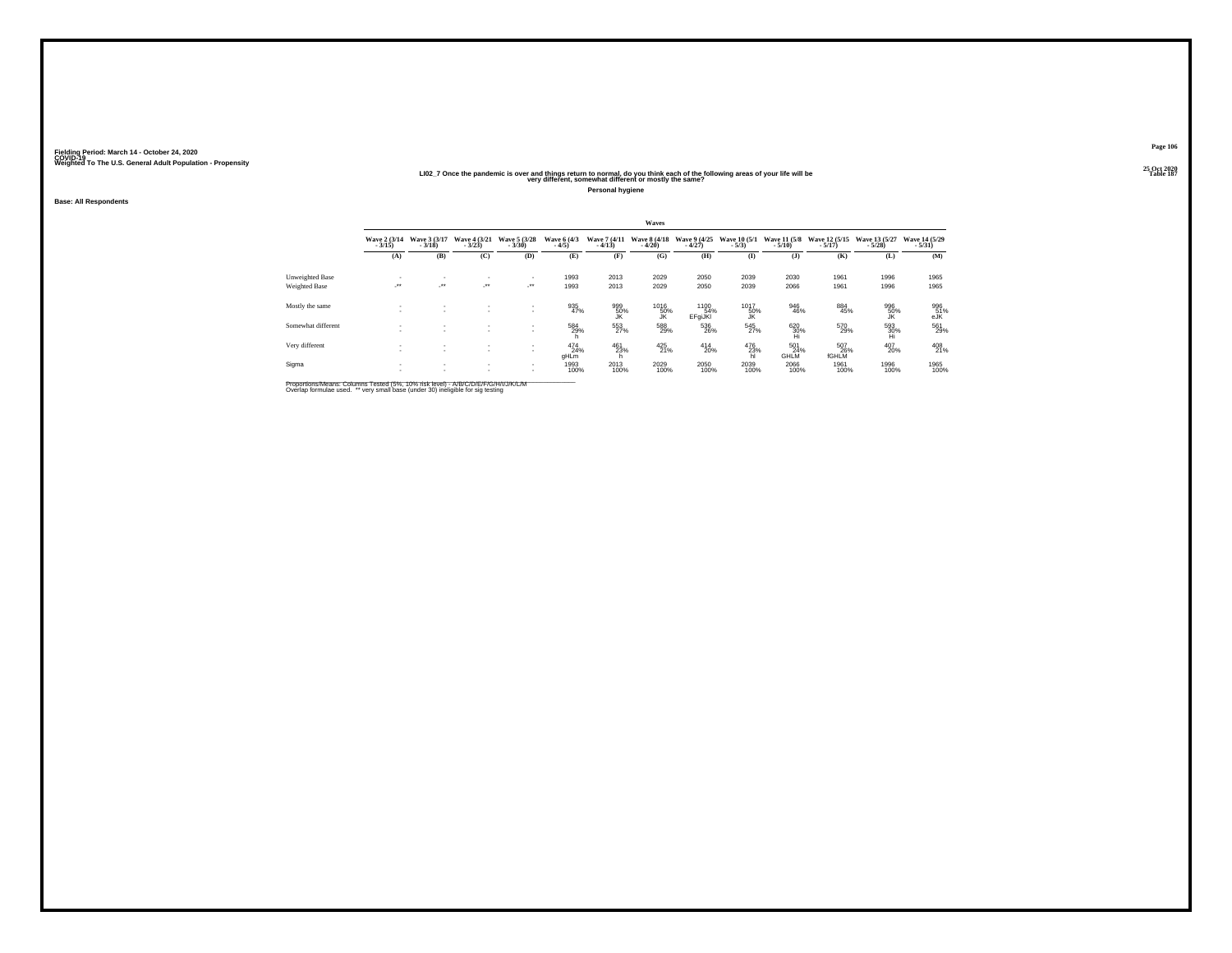#### 25 Oct 2020<br>Table 187 – History different, somewhat different or mostly the same?<br>Very different, somewhat different or mostly the same?

**Personal hygiene**

**Base: All Respondents**

|                                  | Waves                    |                                 |                                       |                                            |                         |                          |                          |                          |                         |                          |                            |                           |                           |
|----------------------------------|--------------------------|---------------------------------|---------------------------------------|--------------------------------------------|-------------------------|--------------------------|--------------------------|--------------------------|-------------------------|--------------------------|----------------------------|---------------------------|---------------------------|
|                                  | Wave 2 (3/14)<br>$-3/15$ | Wave 3 (3/17)<br>$-3/18$        | Wave 4 (3/21)<br>$-3/23$              | Wave 5 (3/28)<br>$-3/30$                   | Wave 6 (4/3)<br>$-4/5$  | Wave 7 (4/11)<br>$-4/13$ | Wave 8 (4/18)<br>$-4/20$ | Wave 9 (4/25)<br>$-4/27$ | Wave 10 (5/1)<br>$-5/3$ | Wave 11 (5/8)<br>$-5/10$ | Wave 12 (5/15)<br>$-5/17$  | Wave 13 (5/27)<br>$-5/28$ | Wave 14 (5/29)<br>$-5/31$ |
|                                  | (A)                      | (B)                             | (C)                                   | (D)                                        | (E)                     | (F)                      | (G)                      | (H)                      | $\mathbf{I}$            | $($ $)$                  | (K)                        | (L)                       | (M)                       |
| Unweighted Base<br>Weighted Base | ٠<br>$\cdot$             | ٠<br>$\mathcal{L}^{\text{max}}$ | ۰<br>$\mathcal{L}^{\bullet\bullet}$ . | $\mathbf{r}$<br>$\mathcal{L}^{\text{max}}$ | 1993<br>1993            | 2013<br>2013             | 2029<br>2029             | 2050<br>2050             | 2039<br>2039            | 2030<br>2066             | 1961<br>1961               | 1996<br>1996              | 1965<br>1965              |
| Mostly the same                  |                          | $\sim$                          | $\mathbf{r}$<br>$\mathbf{r}$          | $\mathbf{r}$<br>۰                          | 935<br>47%              | 999<br>50%               | 1016<br>50%<br>JK        | 1100<br>54%<br>EFgiJKI   | 1017<br>50%<br>JK       | 946<br>46%               | 884<br>45%                 | 996<br>50%                | 996<br>51%<br>eJK         |
| Somewhat different               | ٠                        | ٠                               | $\sim$<br>$\sim$                      | $\mathbf{r}$<br>٠                          | 584<br>29%              | 553<br>27%               | 588<br>29%               | 536<br>26%               | 545<br>27%              | $^{620}_{30\%}$          | 570<br>29%                 | $^{593}_{30\%}$ Hi        | 561<br>29%                |
| Very different                   |                          | ٠                               | ٠<br>٠                                | $\mathbf{r}$<br>$\mathbf{r}$               | $^{474}_{24\%}$<br>gHLm | 461<br>23%               | 425<br>21%               | $^{414}_{20\%}$          | $^{476}_{23\%}$ hl      | 501<br>24%<br>GHLM       | 507<br>26%<br><b>fGHLM</b> | 407<br>20%                | 408<br>21%                |
| Sigma                            | ٠<br>٠                   | ٠<br>٠                          | $\sim$<br>$\mathbf{r}$                | $\sim$<br>$\mathbf{r}$                     | 1993<br>100%            | 2013<br>100%             | 2029<br>100%             | 2050<br>100%             | 2039<br>100%            | 2066<br>100%             | 1961<br>100%               | 1996<br>100%              | 1965<br>100%              |

Proportions/Means: Columns Tested (5%, 10% risk level) - A/B/C/D/E/F/G/H/I/J/K/L/M<br>Overlap formulae used. \*\* very small base (under 30) ineligible for sig testing

**Page 106**25 Oct 2020<br>Table 187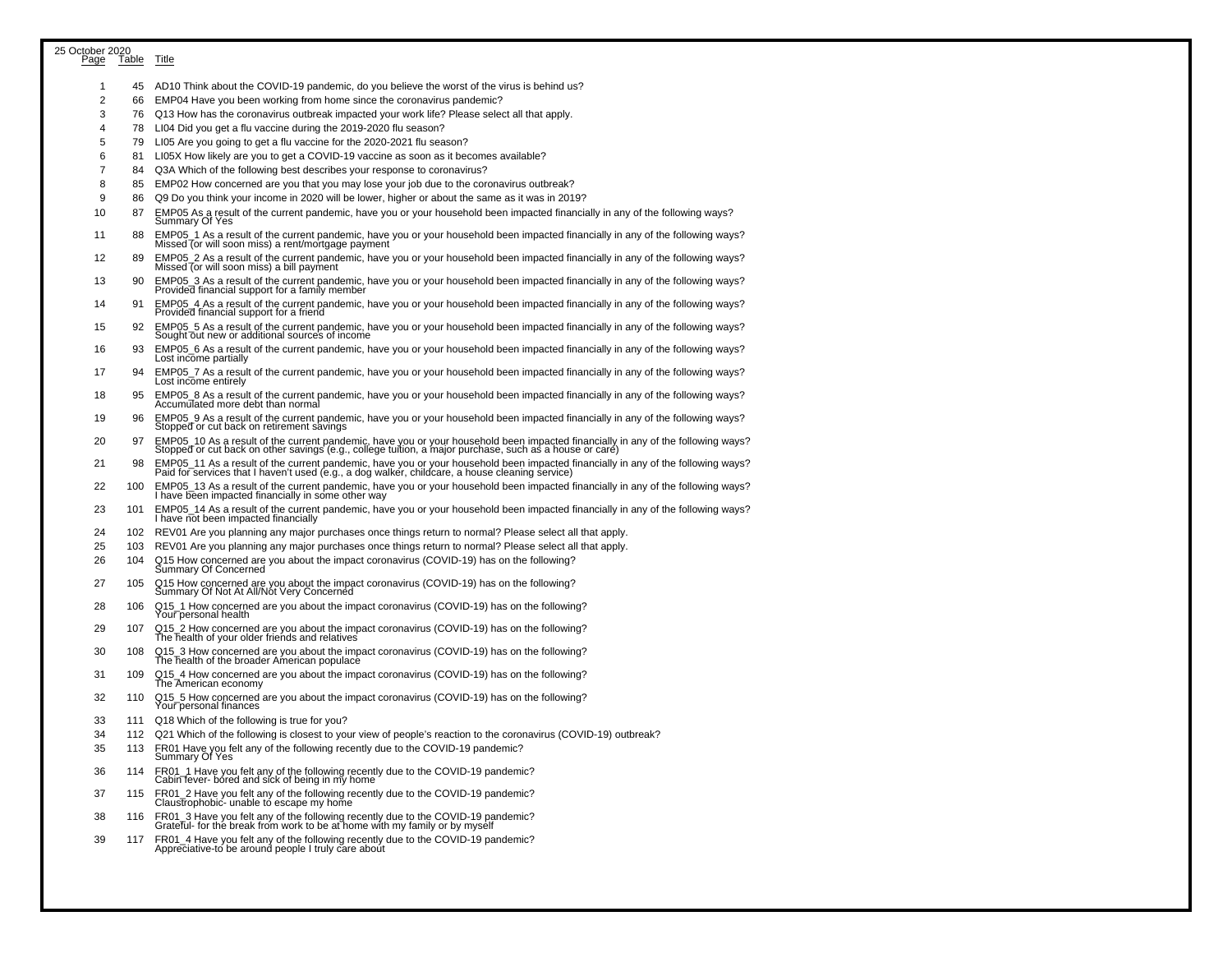| 25 October 2020<br>Page | Table Title |                                                                                                                                                                                                                                   |
|-------------------------|-------------|-----------------------------------------------------------------------------------------------------------------------------------------------------------------------------------------------------------------------------------|
|                         |             |                                                                                                                                                                                                                                   |
| -1                      |             | 45 AD10 Think about the COVID-19 pandemic, do you believe the worst of the virus is behind us?                                                                                                                                    |
| $\overline{c}$          | 66          | EMP04 Have you been working from home since the coronavirus pandemic?                                                                                                                                                             |
| 3                       | 76          | Q13 How has the coronavirus outbreak impacted your work life? Please select all that apply.                                                                                                                                       |
| 4                       | 78          | LI04 Did you get a flu vaccine during the 2019-2020 flu season?                                                                                                                                                                   |
| 5                       | 79          | LI05 Are you going to get a flu vaccine for the 2020-2021 flu season?                                                                                                                                                             |
| 6                       | 81          | LI05X How likely are you to get a COVID-19 vaccine as soon as it becomes available?                                                                                                                                               |
| $\overline{7}$          | 84          | Q3A Which of the following best describes your response to coronavirus?                                                                                                                                                           |
| 8<br>9                  | 85          | EMP02 How concerned are you that you may lose your job due to the coronavirus outbreak?                                                                                                                                           |
| 10                      | 86<br>87    | Q9 Do you think your income in 2020 will be lower, higher or about the same as it was in 2019?<br>EMP05 As a result of the current pandemic, have you or your household been impacted financially in any of the following ways?   |
| 11                      | 88          | Summary Of Yes<br>EMP05 1 As a result of the current pandemic, have you or your household been impacted financially in any of the following ways?                                                                                 |
| 12                      | 89          | Missed (or will soon miss) a rent/mortgage payment<br>EMP05_2 As a result of the current pandemic, have you or your household been impacted financially in any of the following ways?                                             |
| 13                      | 90          | Missed (or will soon miss) a bill payment                                                                                                                                                                                         |
| 14                      | 91          | EMP05_3 As a result of the current pandemic, have you or your household been impacted financially in any of the following ways?<br>Provided financial support for a family member                                                 |
|                         |             | EMP05_4 As a result of the current pandemic, have you or your household been impacted financially in any of the following ways?<br>Provided financial support for a friend                                                        |
| 15                      | 92.         | EMP05_5 As a result of the current pandemic, have you or your household been impacted financially in any of the following ways?<br>Sought out new or additional sources of income                                                 |
| 16                      | 93          | EMP05_6 As a result of the current pandemic, have you or your household been impacted financially in any of the following ways?<br>Lost income partially                                                                          |
| 17                      | 94          | EMP05_7 As a result of the current pandemic, have you or your household been impacted financially in any of the following ways?<br>Lost income entirely                                                                           |
| 18                      | 95          | EMP05_8 As a result of the current pandemic, have you or your household been impacted financially in any of the following ways?<br>Accumulated more debt than normal                                                              |
| 19                      | 96          | EMP05_9 As a result of the current pandemic, have you or your household been impacted financially in any of the following ways?<br>Stopped or cut back on retirement savings                                                      |
| 20                      | 97          | EMP05_10 As a result of the current pandemic, have you or your household been impacted financially in any of the following ways?<br>Stopped or cut back on other savings (e.g., college tuition, a major purchase, such as a hous |
| 21                      | 98          | EMP05_11 As a result of the current pandemic, have you or your household been impacted financially in any of the following ways?<br>Paid for services that I haven't used (e.g., a dog walker, childcare, a house cleaning servic |
| 22                      | 100         | EMP05_13 As a result of the current pandemic, have you or your household been impacted financially in any of the following ways?<br>I have been impacted financially in some other way                                            |
| 23                      | 101         | EMP05_14 As a result of the current pandemic, have you or your household been impacted financially in any of the following ways?<br>I have not been impacted financially                                                          |
| 24                      | 102         | REV01 Are you planning any major purchases once things return to normal? Please select all that apply.                                                                                                                            |
| 25                      | 103         | REV01 Are you planning any major purchases once things return to normal? Please select all that apply.                                                                                                                            |
| 26                      | 104         | Q15 How concerned are you about the impact coronavirus (COVID-19) has on the following?<br>Summary Of Concerned                                                                                                                   |
| 27                      | 105         | Q15 How concerned are you about the impact coronavirus (COVID-19) has on the following?<br>Summary Of Not At All/Not Very Concerned                                                                                               |
| 28                      | 106         | Q15_1 How concerned are you about the impact coronavirus (COVID-19) has on the following?<br>Your personal health                                                                                                                 |
| 29                      | 107         | Q15_2 How concerned are you about the impact coronavirus (COVID-19) has on the following?<br>The health of your older friends and relatives                                                                                       |
| 30                      | 108         | Q15_3 How concerned are you about the impact coronavirus (COVID-19) has on the following?<br>The health of the broader American populace                                                                                          |
| 31                      | 109         | $Q15-4$ How concerned are you about the impact coronavirus (COVID-19) has on the following?<br>The American economy                                                                                                               |
| 32                      | 110         | Q15_5 How concerned are you about the impact coronavirus (COVID-19) has on the following?<br>Your personal finances                                                                                                               |
| 33                      |             | 111 Q18 Which of the following is true for you?                                                                                                                                                                                   |
| 34                      |             | 112 Q21 Which of the following is closest to your view of people's reaction to the coronavirus (COVID-19) outbreak?                                                                                                               |
| 35                      | 113         | FR01 Have you felt any of the following recently due to the COVID-19 pandemic?<br>Summary Of Yes                                                                                                                                  |
| 36                      | 114         | FR01_1 Have you felt any of the following recently due to the COVID-19 pandemic?<br>Cabin fever- bored and sick of being in my home                                                                                               |
| 37                      | 115         | FR01_2 Have you felt any of the following recently due to the COVID-19 pandemic?<br>Claustrophobic- unable to escape my home                                                                                                      |
| 38                      | 116         | FR01_3 Have you felt any of the following recently due to the COVID-19 pandemic?<br>Grateful- for the break from work to be at home with my family or by myself                                                                   |
| 39                      | 117         | FR01_4 Have you felt any of the following recently due to the COVID-19 pandemic?<br>Appreciative-to be around people I truly care about                                                                                           |
|                         |             |                                                                                                                                                                                                                                   |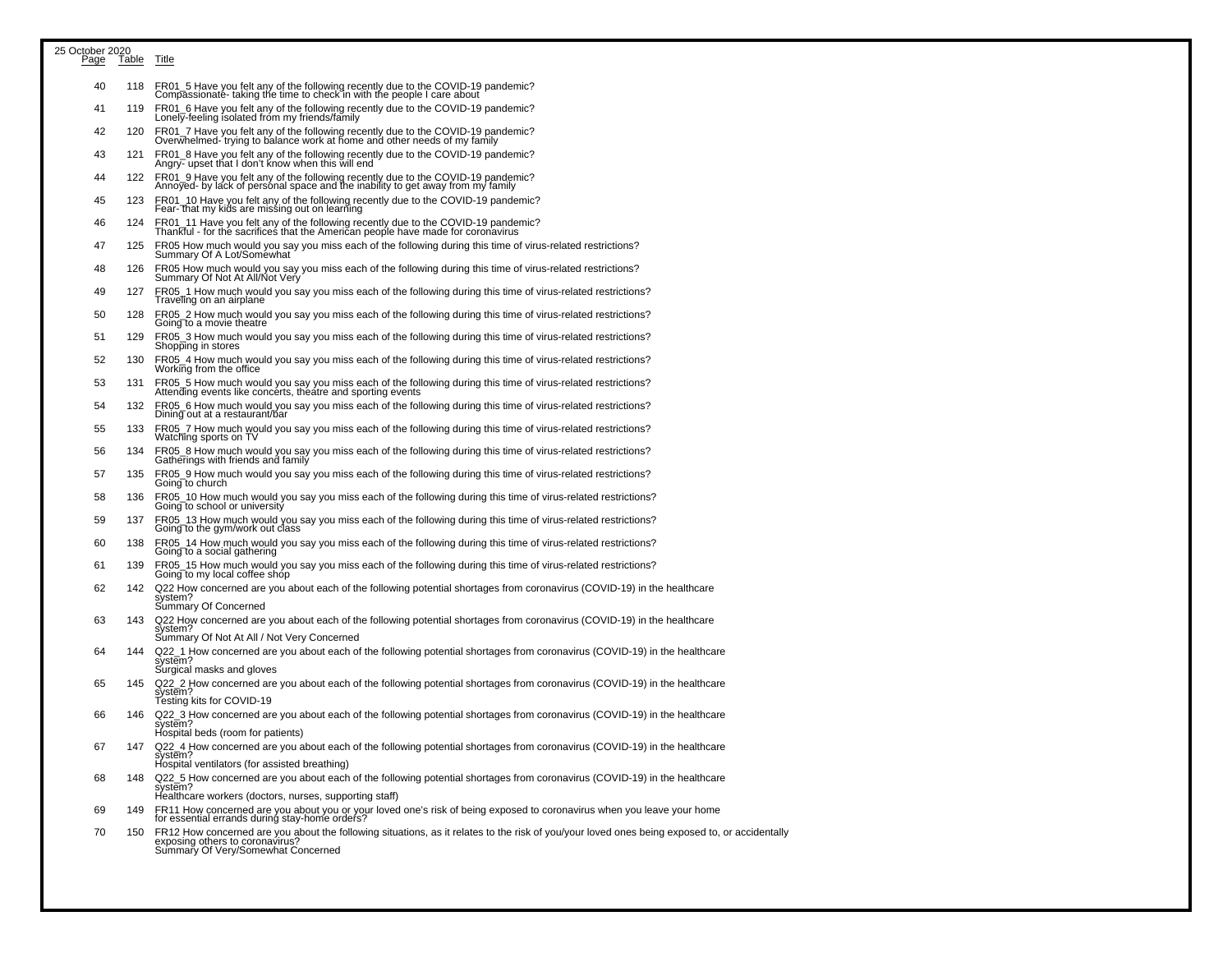| 25 October 2020 |             |                                                                                                                                                                                                                        |
|-----------------|-------------|------------------------------------------------------------------------------------------------------------------------------------------------------------------------------------------------------------------------|
| Page            | Table Title |                                                                                                                                                                                                                        |
| 40              | 118         | FR01_5 Have you felt any of the following recently due to the COVID-19 pandemic?<br>Compassionate- taking the time to check in with the people I care about                                                            |
| 41              | 119         | FR01_6 Have you felt any of the following recently due to the COVID-19 pandemic?<br>Lonely-feeling isolated from my friends/family                                                                                     |
| 42              | 120         | FR01_7 Have you felt any of the following recently due to the COVID-19 pandemic?<br>Overwhelmed-'trying to balance work at home and other needs of my family                                                           |
| 43              | 121         | FR01_8 Have you felt any of the following recently due to the COVID-19 pandemic?<br>Angry- upset that I don't know when this will end                                                                                  |
| 44              | 122         | FR01_9 Have you felt any of the following recently due to the COVID-19 pandemic?<br>Annoyed- by lack of personal space and the inability to get away from my family                                                    |
| 45              | 123         | FR01 10 Have you felt any of the following recently due to the COVID-19 pandemic?<br>Fear-That my kids are missing out on learning                                                                                     |
| 46              | 124         | ER01_11 Have you felt any of the following recently due to the COVID-19 pandemic?<br>Thankful - for the sacrifices that the American people have made for coronavirus                                                  |
| 47              | 125         | FR05 How much would you say you miss each of the following during this time of virus-related restrictions?<br>Summary Of A Lot/Soméwhat                                                                                |
| 48              | 126         | FR05 How much would you say you miss each of the following during this time of virus-related restrictions?<br>Summary Of Not At All/Not Very                                                                           |
| 49              | 127         | FR05_1 How much would you say you miss each of the following during this time of virus-related restrictions?<br>Traveling on an airplane                                                                               |
| 50              | 128         | FR05_2 How much would you say you miss each of the following during this time of virus-related restrictions?<br>Going to a movie theatre                                                                               |
| 51              | 129         | FR05_3 How much would you say you miss each of the following during this time of virus-related restrictions?<br>Shopping in stores                                                                                     |
| 52              | 130         | FR05_4 How much would you say you miss each of the following during this time of virus-related restrictions?<br>Working from the office                                                                                |
| 53              | 131         | FR05_5 How much would you say you miss each of the following during this time of virus-related restrictions?<br>Attending events like concerts, theatre and sporting events                                            |
| 54              | 132         | FR05_6 How much would you say you miss each of the following during this time of virus-related restrictions?<br>Dining out at a restaurant/bar                                                                         |
| 55              | 133         | FR05_7 How much would you say you miss each of the following during this time of virus-related restrictions?<br>Watching sports on TV                                                                                  |
| 56              | 134         | FR05 <sub>-</sub> 8 How much would you say you miss each of the following during this time of virus-related restrictions?<br>Gatherings with friends and family                                                        |
| 57              | 135         | FR05_9 How much would you say you miss each of the following during this time of virus-related restrictions?<br>Going to church                                                                                        |
| 58              | 136         | FR05_10 How much would you say you miss each of the following during this time of virus-related restrictions?<br>Going to school or university                                                                         |
| 59              | 137         | FR05_13 How much would you say you miss each of the following during this time of virus-related restrictions?<br>Going to the gym/work out class                                                                       |
| 60              | 138         | FR05_14 How much would you say you miss each of the following during this time of virus-related restrictions?<br>Going to a social gathering                                                                           |
| 61              | 139         | FR05_15 How much would you say you miss each of the following during this time of virus-related restrictions?<br>Going to my local coffee shóp                                                                         |
| 62              | 142         | Q22 How concerned are you about each of the following potential shortages from coronavirus (COVID-19) in the healthcare<br>system?<br>Summary Of Concerned                                                             |
| 63              | 143         | Q22 How concerned are you about each of the following potential shortages from coronavirus (COVID-19) in the healthcare<br>system?                                                                                     |
|                 |             | Summary Of Not At All / Not Very Concerned                                                                                                                                                                             |
| 64              | 144         | Q22_1 How concerned are you about each of the following potential shortages from coronavirus (COVID-19) in the healthcare<br>system?<br>Surgical masks and gloves                                                      |
| 65              | 145         | Q22_2 How concerned are you about each of the following potential shortages from coronavirus (COVID-19) in the healthcare<br>system?<br>Testing kits for COVID-19                                                      |
| 66              | 146         | Q22_3 How concerned are you about each of the following potential shortages from coronavirus (COVID-19) in the healthcare<br>system?                                                                                   |
| 67              | 147         | Hospital beds (room for patients)<br>Q22_4 How concerned are you about each of the following potential shortages from coronavirus (COVID-19) in the healthcare<br>system?                                              |
|                 |             | Hospital ventilators (for assisted breathing)                                                                                                                                                                          |
| 68              | 148         | Q22_5 How concerned are you about each of the following potential shortages from coronavirus (COVID-19) in the healthcare<br>svstem?<br>Healthcare workers (doctors, nurses, supporting staff)                         |
| 69              | 149         | FR11 How concerned are you about you or your loved one's risk of being exposed to coronavirus when you leave your home<br>for essential errands during stay-home orders?                                               |
| 70              | 150         | FR12 How concerned are you about the following situations, as it relates to the risk of you/your loved ones being exposed to, or accidentally<br>exposing others to coronavirus?<br>Summary Of Very/Somewhat Concerned |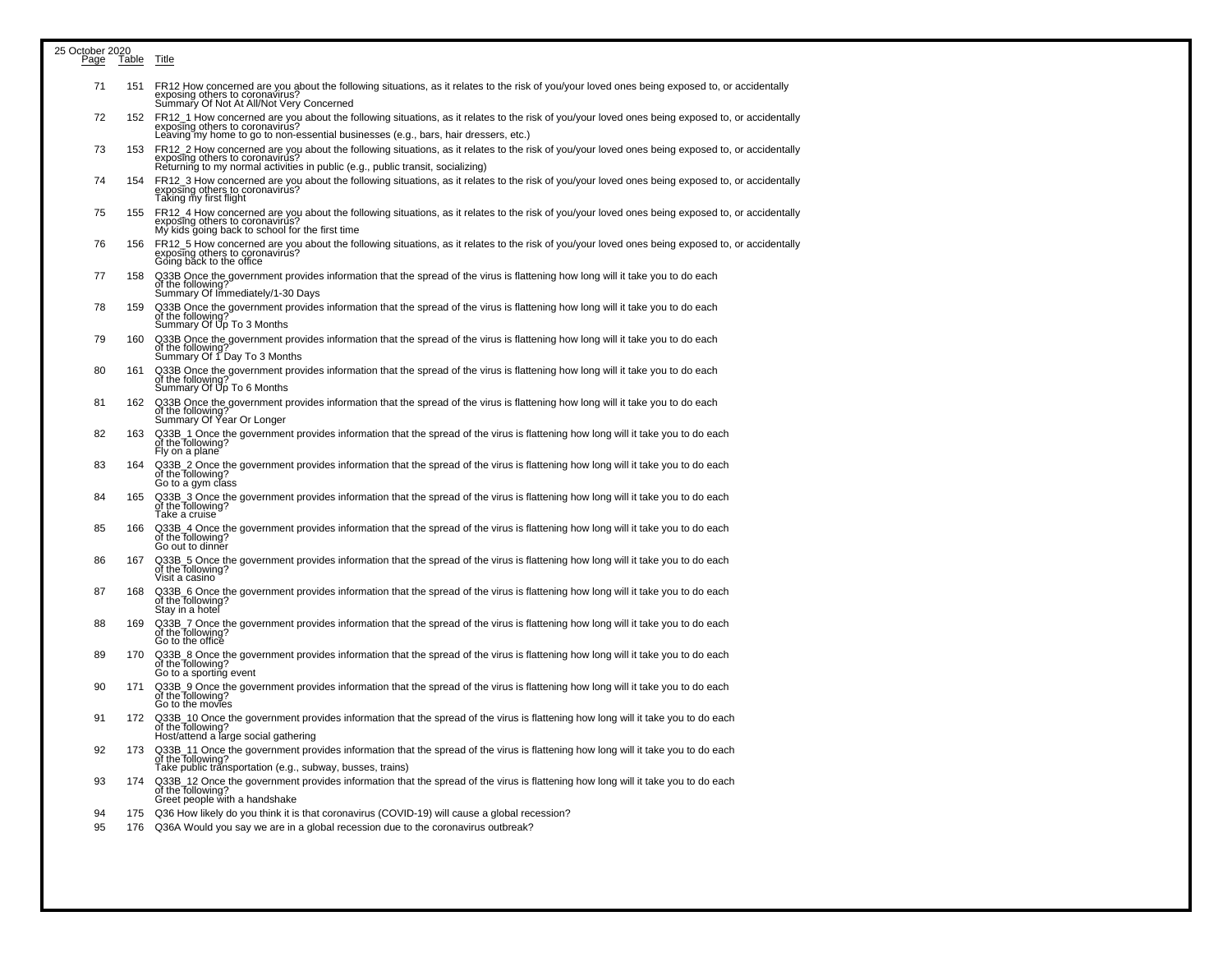| 25 October 2020<br>Page | Table | Title                                                                                                                                                                                                                                                                     |
|-------------------------|-------|---------------------------------------------------------------------------------------------------------------------------------------------------------------------------------------------------------------------------------------------------------------------------|
| 71                      | 151   | FR12 How concerned are you about the following situations, as it relates to the risk of you/your loved ones being exposed to, or accidentally<br>exposing others to coronavirus?<br>Summary Of Not At All/Not Very Concerned                                              |
| 72                      | 152   | FR12_1 How concerned are you about the following situations, as it relates to the risk of you/your loved ones being exposed to, or accidentally<br>exposing others to coronavirus?<br>Leaving my home to go to non-essential businesses (e.g., bars, hair dressers, etc.) |
| 73                      | 153   | FR12 2 How concerned are you about the following situations, as it relates to the risk of you/your loved ones being exposed to, or accidentally<br>exposing others to coronavirus?<br>Returning to my normal activities in public (e.g., public transit, socializing)     |
| 74                      | 154   | FR12_3 How concerned are you about the following situations, as it relates to the risk of you/your loved ones being exposed to, or accidentally<br>exposing others to coronavirus?<br>Taking my first flight                                                              |
| 75                      | 155   | FR12_4 How concerned are you about the following situations, as it relates to the risk of you/your loved ones being exposed to, or accidentally<br>exposing others to coronavirus?<br>My kids going back to school for the first time                                     |
| 76                      | 156   | FR12 5 How concerned are you about the following situations, as it relates to the risk of you/your loved ones being exposed to, or accidentally<br>exposing others to coronavirus?<br>Going back to the office                                                            |
| 77                      | 158   | Q33B Once the government provides information that the spread of the virus is flattening how long will it take you to do each<br>of the following?<br>Summary Of Immediately/1-30 Days                                                                                    |
| 78                      | 159   | Q33B Once the government provides information that the spread of the virus is flattening how long will it take you to do each<br>of the following<br>Summary Of Up To 3 Months                                                                                            |
| 79                      | 160   | Q33B Once the government provides information that the spread of the virus is flattening how long will it take you to do each<br>of the following<br>Summary Of 1 Day To 3 Months                                                                                         |
| 80                      | 161   | Q33B Once the government provides information that the spread of the virus is flattening how long will it take you to do each<br>of the following<br>Summary Of Up To 6 Months                                                                                            |
| 81                      | 162   | Q33B Once the government provides information that the spread of the virus is flattening how long will it take you to do each<br>of the following?<br>Summary Of Year Or Longer                                                                                           |
| 82                      | 163   | Q33B_1 Once the government provides information that the spread of the virus is flattening how long will it take you to do each<br>of the following?<br>Fly on a plane                                                                                                    |
| 83                      | 164   | Q33B_2 Once the government provides information that the spread of the virus is flattening how long will it take you to do each<br>of the Tollowing?<br>Go to a gym class                                                                                                 |
| 84                      | 165   | Q33B_3 Once the government provides information that the spread of the virus is flattening how long will it take you to do each<br>of the following?<br>Take a cruise                                                                                                     |
| 85                      | 166   | Q33B_4 Once the government provides information that the spread of the virus is flattening how long will it take you to do each<br>of the Tollowing?<br>Go out to dinner                                                                                                  |
| 86                      | 167   | Q33B_5 Once the government provides information that the spread of the virus is flattening how long will it take you to do each<br>of the following?<br>Visit a casino                                                                                                    |
| 87                      | 168   | Q33B_6 Once the government provides information that the spread of the virus is flattening how long will it take you to do each<br>of the following?<br>Stay in a hotel                                                                                                   |
| 88                      | 169   | Q33B_7 Once the government provides information that the spread of the virus is flattening how long will it take you to do each<br>of the following?<br>Go to the office                                                                                                  |
| 89                      | 170   | Q33B_8 Once the government provides information that the spread of the virus is flattening how long will it take you to do each<br>of the following?<br>Go to a sporting event                                                                                            |
| 90                      | 171   | Q33B_9 Once the government provides information that the spread of the virus is flattening how long will it take you to do each<br>of the following?<br>Go to the movies                                                                                                  |
| 91                      | 172   | Q33B_10 Once the government provides information that the spread of the virus is flattening how long will it take you to do each<br>of the following?<br>Host/attend a large social gathering                                                                             |
| 92                      | 173   | Q33B_11 Once the government provides information that the spread of the virus is flattening how long will it take you to do each<br>of the following?<br>Take public trănsportation (e.g., subway, busses, trains)                                                        |
| 93                      | 174   | Q33B 12 Once the government provides information that the spread of the virus is flattening how long will it take you to do each<br>of the Tollowing?<br>Greet people with a handshake                                                                                    |
| 94<br>95                | 176   | 175 Q36 How likely do you think it is that coronavirus (COVID-19) will cause a global recession?<br>Q36A Would you say we are in a global recession due to the coronavirus outbreak?                                                                                      |
|                         |       |                                                                                                                                                                                                                                                                           |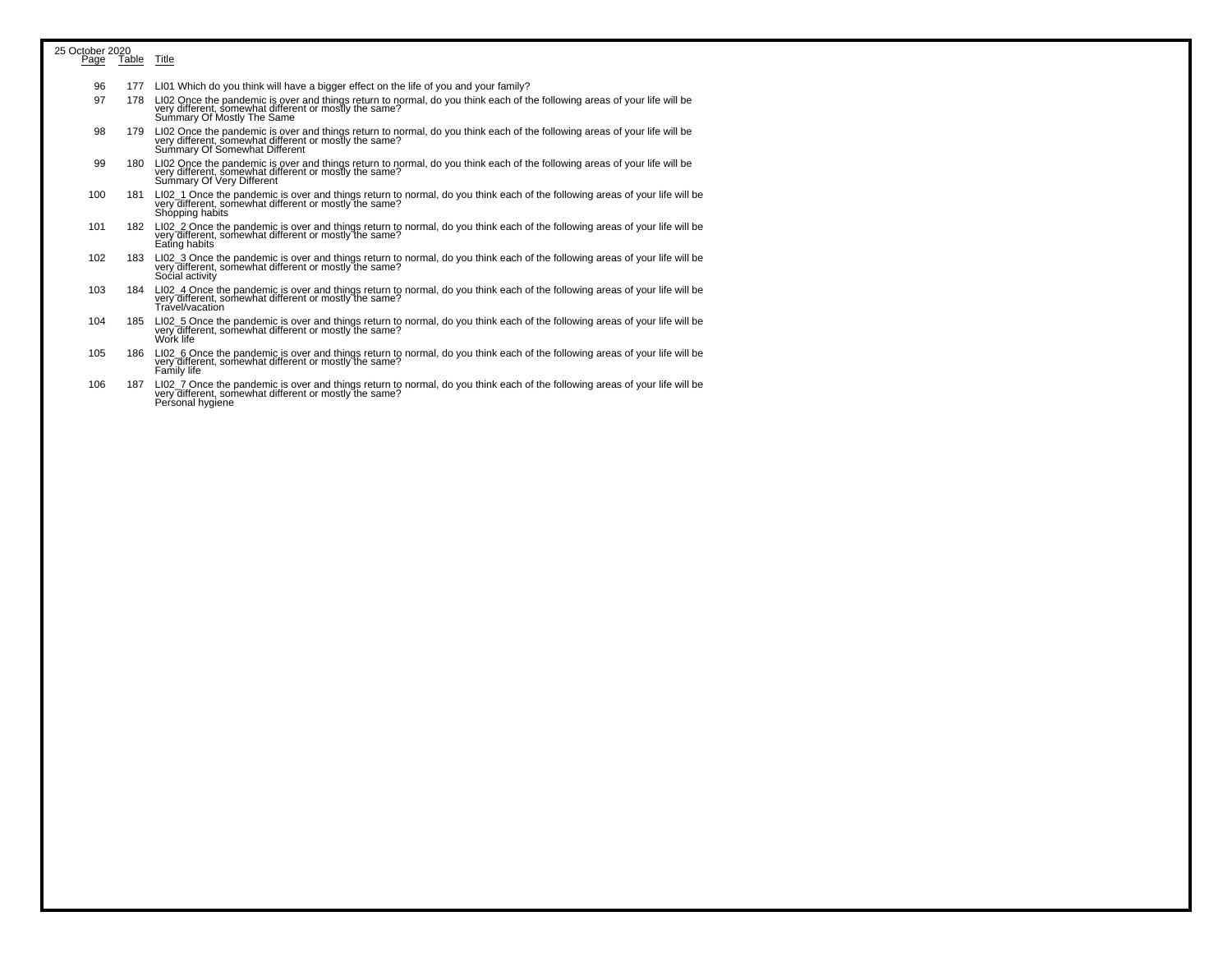| 25 October 2020 |             |                                                                                                                                                                                                                      |
|-----------------|-------------|----------------------------------------------------------------------------------------------------------------------------------------------------------------------------------------------------------------------|
| Page            | Table Title |                                                                                                                                                                                                                      |
| 96              | 177         | LI01 Which do you think will have a bigger effect on the life of you and your family?                                                                                                                                |
| 97              | 178         | LI02 Once the pandemic is over and things return to normal, do you think each of the following areas of your life will be<br>very different, somewhat different or mostly the same?<br>Summary Of Mostly The Same    |
| 98              | 179         | LI02 Once the pandemic is over and things return to normal, do you think each of the following areas of your life will be<br>very different, somewhat different or mostly the same?<br>Summary Of Somewhat Different |
| 99              |             | 180 LI02 Once the pandemic is over and things return to normal, do you think each of the following areas of your life will be<br>very different, somewhat different or mostly the same?<br>Summary Of Very Different |
| 100             | 181         | LI02_1 Once the pandemic is over and things return to normal, do you think each of the following areas of your life will be<br>very different, somewhat different or mostly the same?<br>Shópping habits             |
| 101             | 182         | LI02_2 Once the pandemic is over and things return to normal, do you think each of the following areas of your life will be<br>very different, somewhat different or mostly the same?<br>Eating habits               |
| 102             | 183         | LI02 3 Once the pandemic is over and things return to normal, do you think each of the following areas of your life will be<br>very different, somewhat different or mostly the same?<br>Social activity             |
| 103             | 184         | LI02 4 Once the pandemic is over and things return to normal, do you think each of the following areas of your life will be<br>very different, somewhat different or mostly the same?<br>Travel/vacation             |
| 104             | 185         | LI02_5 Once the pandemic is over and things return to normal, do you think each of the following areas of your life will be<br>very different, somewhat different or mostly the same?<br>Work life                   |
| 105             | 186         | LI02_6 Once the pandemic is over and things return to normal, do you think each of the following areas of your life will be<br>very different, somewhat different or mostly the same?<br>Family life                 |
| 106             | 187         | LI02 7 Once the pandemic is over and things return to normal, do you think each of the following areas of your life will be<br>very different, somewhat different or mostly the same?<br>Personal hygiene            |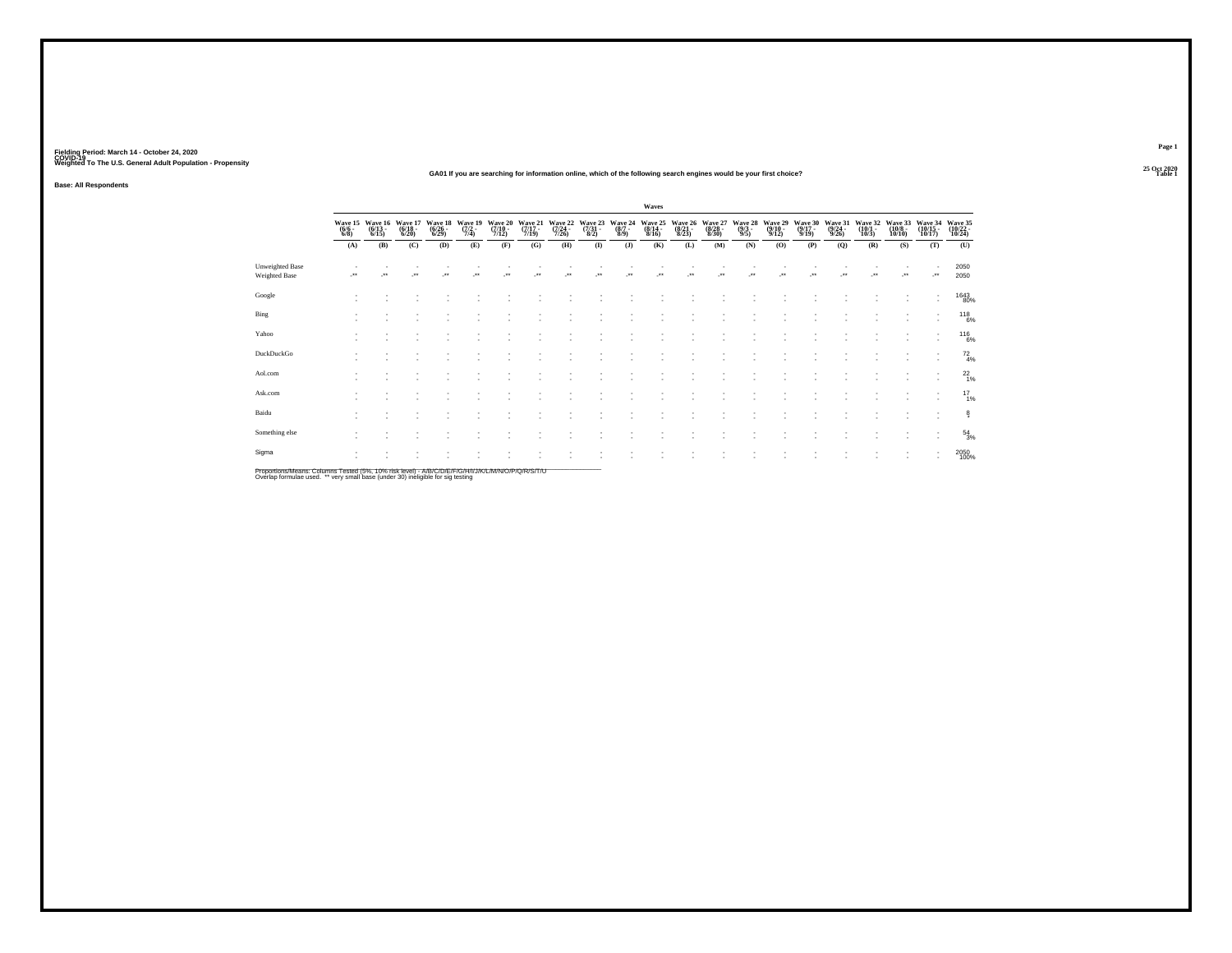#### **25 Oct 2020GA01 If you are searching for information online, which of the following search engines would be your first choice?Table 1 Table 1**

**Base: All Respondents**

|                                                                                                     |                     |                                          |                                  |                                  |                                |                                  |                             |                             |                          |                                      | Waves                            |                  |                                                     |                                |                                         |                             |                                  |                                  |                              |         |                                                    |
|-----------------------------------------------------------------------------------------------------|---------------------|------------------------------------------|----------------------------------|----------------------------------|--------------------------------|----------------------------------|-----------------------------|-----------------------------|--------------------------|--------------------------------------|----------------------------------|------------------|-----------------------------------------------------|--------------------------------|-----------------------------------------|-----------------------------|----------------------------------|----------------------------------|------------------------------|---------|----------------------------------------------------|
|                                                                                                     | $\frac{(6/6)}{6/8}$ | Wave 15 Wave 16<br>$\frac{(6/13)}{6/15}$ | Wave 17<br>$\frac{(6/18)}{6/20}$ | Wave 18<br>$\frac{(6/26)}{6/29}$ | Wave 19<br>$\frac{(7/2)}{7/4}$ | Wave 20<br>$\frac{(7/10)}{7/12}$ | Wave 21<br>(7/17 -<br>7/19) | Wave 22<br>(7/24 -<br>7/26) | Wave 23<br>(7/31<br>8/2) | Wave 24<br>$\frac{(8/7 - 8)}{(8/9)}$ | Wave 25<br>$\frac{(8/14)}{8/16}$ |                  | Wave 26 Wave 27<br>(8/21 - (8/28 -<br>8/23) - 8/30) | Wave 28<br>$\frac{(9/3)}{9/5}$ | Wave 29<br>$\frac{(9/10 - 9/12)}{9/12}$ | Wave 30<br>(9/17 -<br>9/19) | Wave 31<br>$\frac{(9/24)}{9/26}$ | Wave 32<br>$\frac{(10/1)}{10/3}$ | Wave 33<br>(10/8 -<br>10/10) |         | Wave 34 Wave 35<br>(10/15 - (10/22 - 10/17) 10/24) |
|                                                                                                     | (A)                 | (B)                                      | (C)                              | (D)                              | (E)                            | (F)                              | (G)                         | (H)                         | $($ $\Gamma$             | (J)                                  | (K)                              | (L)              | (M)                                                 | (N)                            | (O)                                     | (P)                         | (Q)                              | (R)                              | (S)                          | (T)     | (U)                                                |
| <b>Unweighted Base</b><br>Weighted Base                                                             | J.                  | $\star\star$                             | $\cdot$                          | $\bullet\,\bullet$               | $\ddot{\phantom{1}}$           | $^{\tiny{**}}$                   | $\bullet\,\bullet$          | $\bullet\bullet$            | $\bullet\,\bullet$       | $\rightarrow$                        | $^{\tiny{**}}$                   | $\bullet\bullet$ | $\bullet\,\bullet$                                  | $\ddot{\phantom{1}}$           | $\ddot{\phantom{1}}$                    | $\bullet\bullet$            |                                  | $\bullet\,\bullet$               | $\cdot$                      | $\cdot$ | 2050<br>2050                                       |
| Google                                                                                              |                     |                                          |                                  |                                  |                                |                                  |                             |                             |                          |                                      |                                  |                  |                                                     |                                |                                         |                             |                                  |                                  |                              |         | 1643<br>80%                                        |
| Bing                                                                                                |                     |                                          |                                  |                                  |                                |                                  |                             |                             |                          |                                      |                                  |                  |                                                     |                                |                                         |                             |                                  |                                  |                              | ٠       | $^{118}_{6\%}$                                     |
| Yahoo                                                                                               |                     |                                          |                                  |                                  |                                |                                  |                             |                             |                          |                                      |                                  |                  |                                                     |                                |                                         |                             |                                  |                                  |                              | ٠       | $^{116}_{6\%}$                                     |
| DuckDuckGo                                                                                          |                     |                                          |                                  |                                  |                                |                                  |                             |                             |                          |                                      |                                  |                  |                                                     |                                |                                         |                             |                                  |                                  |                              |         | $^{72}_{4\%}$                                      |
| Aol.com                                                                                             |                     |                                          |                                  |                                  |                                |                                  |                             |                             |                          |                                      |                                  |                  |                                                     |                                |                                         |                             |                                  |                                  |                              | $\sim$  | $^{22}_{1\%}$                                      |
| Ask.com                                                                                             |                     |                                          |                                  |                                  |                                |                                  |                             |                             |                          |                                      |                                  |                  |                                                     |                                |                                         |                             |                                  |                                  |                              | ٠       | $^{17}_{1\%}$                                      |
| Baidu                                                                                               |                     |                                          |                                  |                                  |                                |                                  |                             |                             |                          |                                      |                                  |                  |                                                     |                                |                                         |                             |                                  |                                  |                              |         | ê.                                                 |
| Something else                                                                                      |                     |                                          |                                  |                                  |                                |                                  |                             |                             |                          |                                      |                                  |                  |                                                     |                                |                                         |                             |                                  |                                  |                              |         | $^{54}_{3\%}$                                      |
| Sigma                                                                                               |                     |                                          |                                  |                                  |                                |                                  |                             |                             |                          |                                      |                                  |                  |                                                     |                                |                                         |                             |                                  |                                  | $\overline{\phantom{a}}$     | ٠<br>٠  | 2050<br>100%                                       |
| Proportions/Means: Columns Tested (5%, 10% risk level) - A/R/C/D/F/F/C/H/J/J/K/L/M/N/Q/P/Q/R/S/T/LL |                     |                                          |                                  |                                  |                                |                                  |                             |                             |                          |                                      |                                  |                  |                                                     |                                |                                         |                             |                                  |                                  |                              |         |                                                    |

Proportions/Means: Columns Tested (5%, 10% risk level) - A/B/C/D/E/F/G/H/I/J/K/L/M/N/O/P/Q/R/S/T/U<br>Overlap formulae used. \*\* very small base (under 30) ineligible for sig testing

**Page 1**25 Oct 2020<br>Table 1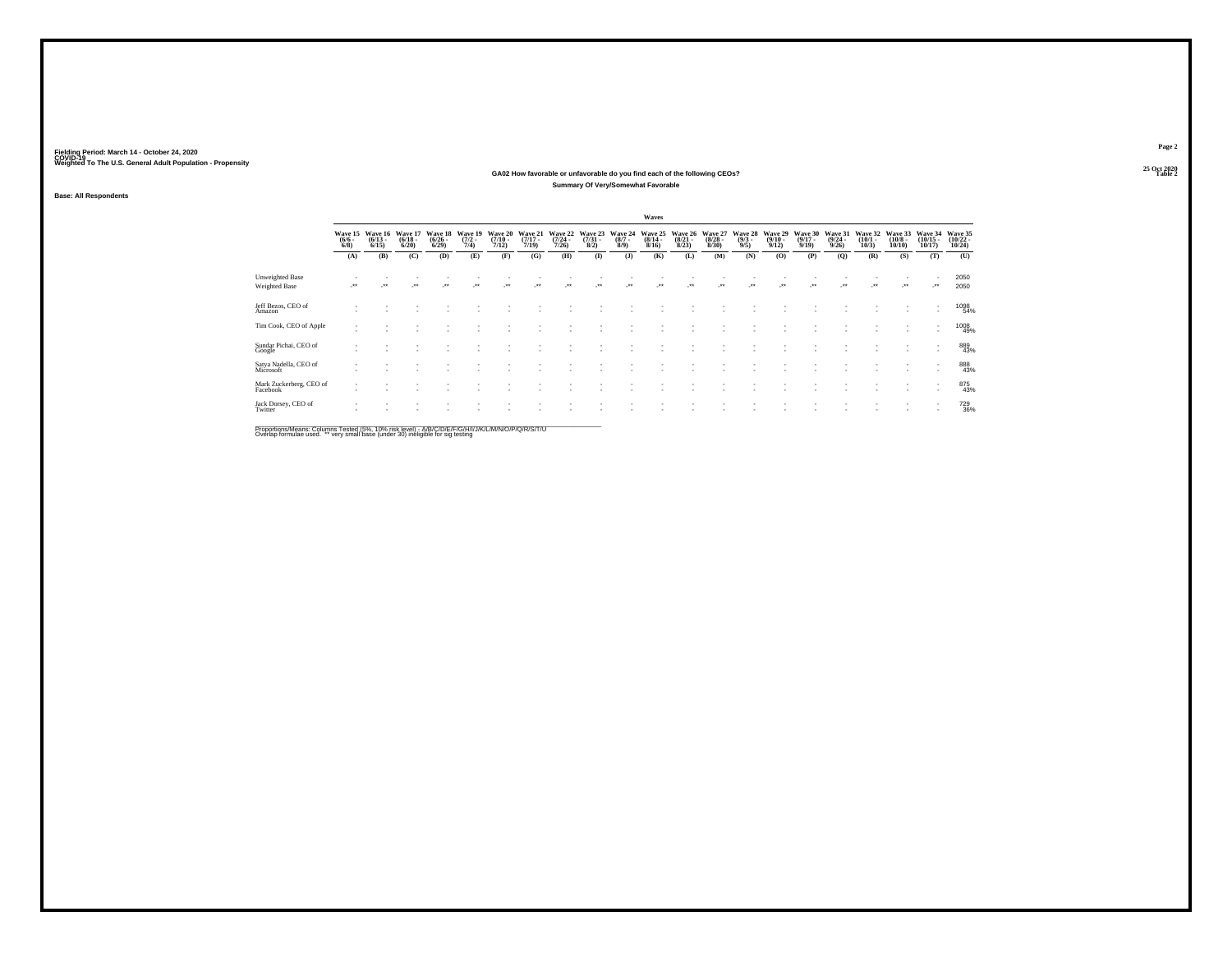#### **25 Oct 2020GA02 How favorable or unfavorable do you find each of the following CEOs? Table 2 Summary Of Very/Somewhat Favorable**

**Base: All Respondents**

|                                         |                                  |                                 |                                  |                                 |                                |                              |                                  |                                  |                                |                                      | Waves                                |                                 |                                  |                                |                                         |                                  |                                  |                                 |                                                      |                                   |                                   |
|-----------------------------------------|----------------------------------|---------------------------------|----------------------------------|---------------------------------|--------------------------------|------------------------------|----------------------------------|----------------------------------|--------------------------------|--------------------------------------|--------------------------------------|---------------------------------|----------------------------------|--------------------------------|-----------------------------------------|----------------------------------|----------------------------------|---------------------------------|------------------------------------------------------|-----------------------------------|-----------------------------------|
|                                         | Wave 15<br>$\binom{6}{6}$ - 6/8) | Wave 16<br>$\binom{6/13}{6/15}$ | Wave 17<br>$\frac{(6/18)}{6/20}$ | Wave 18<br>$\binom{6/26}{6/29}$ | Wave 19<br>$\frac{(7/2)}{7/4}$ | Wave 20<br>$(7/10 -$<br>7/12 | Wave 21<br>$\frac{(7/17)}{7/19}$ | Wave 22<br>$\frac{(7/24)}{7/26}$ | Wave 23<br>$\binom{7/31}{8/2}$ | Wave 24<br>$\frac{(8/7 - 8)}{(9/9)}$ | Wave 25<br>$\frac{(8/14 - 8)}{8/16}$ | Wave 26<br>$\binom{8/21}{8/23}$ | Wave 27<br>$\frac{(8/28)}{8/30}$ | Wave 28<br>$\frac{(9/3)}{9/5}$ | Wave 29<br>$\frac{(9/10 - 9/12)}{9/12}$ | Wave 30<br>$\frac{(9/17)}{9/19}$ | Wave 31<br>$\frac{(9/24)}{9/26}$ | Wave 32<br>$\binom{10/1}{10/3}$ | Wave 33<br>$\binom{10/8 - 10}{10/10}$                | Wave 34<br>$\binom{10/15}{10/17}$ | Wave 35<br>$\binom{10/22}{10/24}$ |
|                                         | (A)                              | (B)                             | (C)                              | (D)                             | (E)                            | (F)                          | (G)                              | (H)                              | $($ $\Gamma$                   | $($ $\bf{J}$                         | (K)                                  | (L)                             | (M)                              | (N)                            | (0)                                     | (P)                              | (Q)                              | (R)                             | (S)                                                  | (T)                               | (U)                               |
| Unweighted Base<br><b>Weighted Base</b> | $\cdot$                          | $\ddot{\phantom{1}}$            | $\ddot{\phantom{1}}$             | $\bullet\bullet$                | $\bullet\bullet$               | $\ddot{\phantom{0}}$         | $\ddot{\phantom{1}}$             | $\ddot{\phantom{1}}$             | $\ddot{\phantom{0}}$           | $\ddot{\phantom{1}}$                 | $\cdot$                              | $\bullet\bullet$                | $\cdot$                          | $\bullet\bullet$               | $\bullet\bullet$                        | $\ddot{\phantom{1}}$             | $\ddot{\phantom{1}}$             | $\cdot$                         | $\bullet\,\bullet$                                   | $\mathcal{C}^{\bullet}$           | 2050<br>2050                      |
| Jeff Bezos, CEO of<br>Amazon            |                                  |                                 |                                  |                                 |                                |                              |                                  |                                  |                                |                                      |                                      |                                 |                                  |                                |                                         |                                  |                                  |                                 |                                                      |                                   | 1098<br>54%                       |
| Tim Cook, CEO of Apple                  | $\sim$                           |                                 |                                  |                                 |                                |                              |                                  |                                  |                                |                                      |                                      |                                 |                                  |                                |                                         |                                  |                                  |                                 | $\sim$                                               | ٠<br>$\overline{\phantom{a}}$     | 1008<br>49%                       |
| Sundar Pichai, CEO of<br>Google         |                                  |                                 |                                  |                                 |                                |                              |                                  |                                  |                                |                                      |                                      |                                 |                                  |                                |                                         |                                  |                                  |                                 | $\overline{\phantom{a}}$<br>$\overline{\phantom{a}}$ |                                   | 889<br>43%                        |
| Satya Nadella, CEO of<br>Microsoft      |                                  |                                 |                                  |                                 |                                |                              |                                  |                                  |                                |                                      |                                      |                                 |                                  |                                |                                         |                                  |                                  |                                 |                                                      |                                   | 888<br>43%                        |
| Mark Zuckerberg, CEO of<br>Facebook     | $\sim$                           |                                 |                                  |                                 |                                |                              |                                  |                                  |                                |                                      |                                      |                                 |                                  |                                |                                         |                                  |                                  |                                 | $\overline{\phantom{a}}$<br>$\overline{\phantom{a}}$ |                                   | 875<br>43%                        |
| Jack Dorsey, CEO of<br>Twitter          |                                  |                                 |                                  |                                 |                                |                              |                                  |                                  |                                |                                      |                                      |                                 |                                  |                                |                                         |                                  |                                  |                                 | $\sim$                                               | ٠<br>$\sim$                       | <sup>729</sup> <sub>36%</sub>     |
|                                         |                                  |                                 |                                  |                                 |                                |                              |                                  |                                  |                                |                                      |                                      |                                 |                                  |                                |                                         |                                  |                                  |                                 |                                                      |                                   |                                   |

Proportions/Means: Columns Tested (5%, 10% risk level) - A/B/C/D/E/F/G/H/I/J/K/L/M/N/O/P/Q/R/S/T/U<br>Overlap formulae used. \*\* very small base (under 30) ineligible for sig testing

**Page 225 Oct 2020<br>Table 2**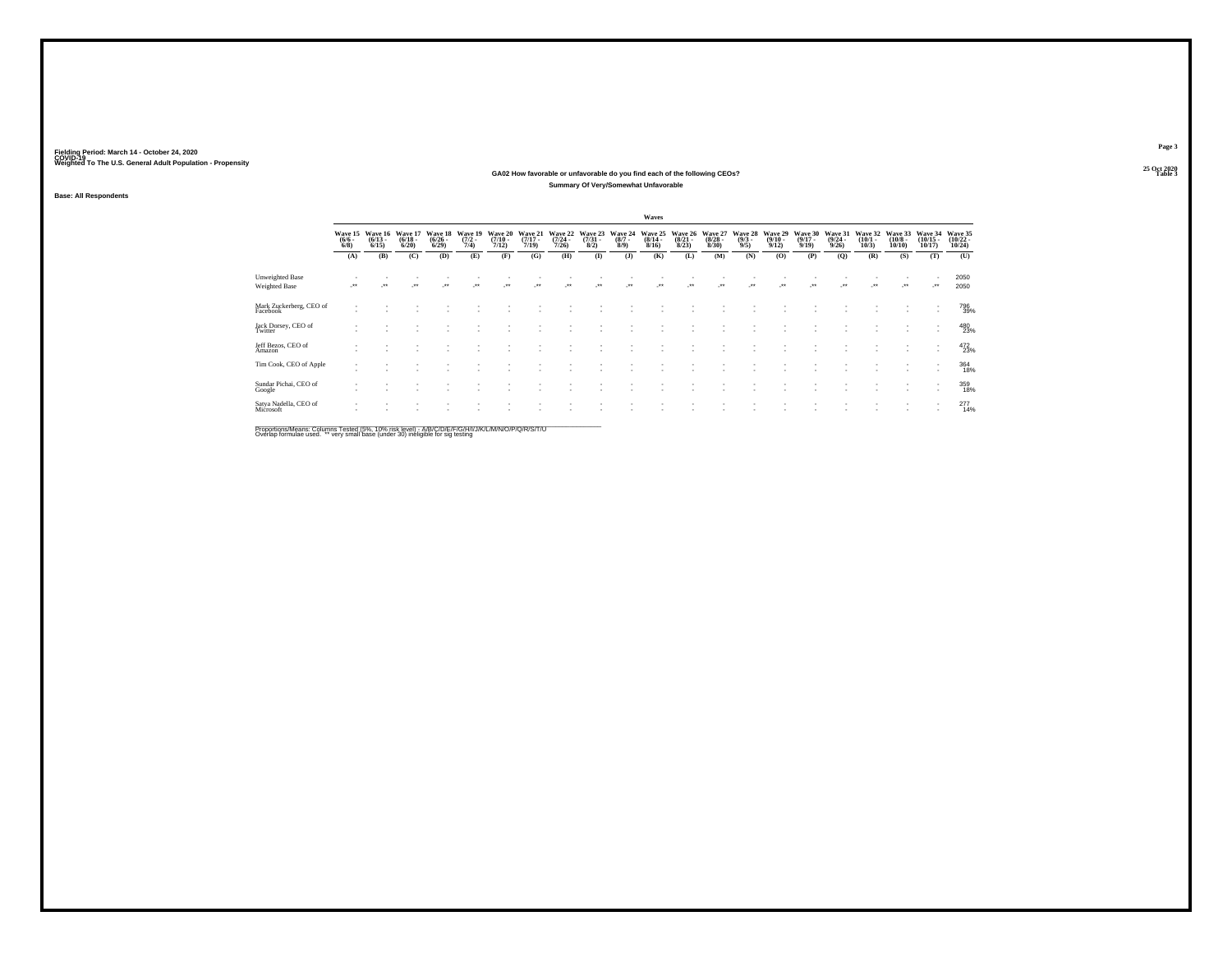#### **25 Oct 2020GA02 How favorable or unfavorable do you find each of the following CEOs? Table 3 Summary Of Very/Somewhat Unfavorable**

**Base: All Respondents**

|                                         |                               |                                 |                                  |                                 |                                |                                      |                                  |                                         |                                |                                      | Waves                            |                                  |                                        |                               |                                         |                                         |                                  |                                 |                                       |                                   |                                   |
|-----------------------------------------|-------------------------------|---------------------------------|----------------------------------|---------------------------------|--------------------------------|--------------------------------------|----------------------------------|-----------------------------------------|--------------------------------|--------------------------------------|----------------------------------|----------------------------------|----------------------------------------|-------------------------------|-----------------------------------------|-----------------------------------------|----------------------------------|---------------------------------|---------------------------------------|-----------------------------------|-----------------------------------|
|                                         | Wave 15<br>$\binom{6/6}{6/8}$ | Wave 16<br>$\binom{6/13}{6/15}$ | Wave 17<br>$\frac{(6/18)}{6/20}$ | Wave 18<br>$\binom{6/26}{6/29}$ | Wave 19<br>$\frac{(7/2)}{7/4}$ | Wave 20<br>$\frac{(7/10 - 7)}{7/12}$ | Wave 21<br>$\frac{(7/17)}{7/19}$ | Wave 22<br>$\frac{(7/24 - 7/24)}{7/26}$ | Wave 23<br>$\binom{7/31}{8/2}$ | Wave 24<br>$\frac{(8/7 - 8)}{(8/9)}$ | Wave 25<br>$\frac{(8/14)}{8/16}$ | Wave 26<br>$\frac{(8/21)}{8/23}$ | Wave 27<br>$\frac{(8/28 - 8)}{(8/30)}$ | Wave 28<br>$\binom{9/3}{9/5}$ | Wave 29<br>$\frac{(9/10 - 9/12)}{9/12}$ | Wave 30<br>$\frac{(9/17 - 9/19)}{9/19}$ | Wave 31<br>$\frac{(9/24)}{9/26}$ | Wave 32<br>$\binom{10/1}{10/3}$ | Wave 33<br>$\binom{10/8 - 10}{10/10}$ | Wave 34<br>$\binom{10/15}{10/17}$ | Wave 35<br>$\binom{10/22}{10/24}$ |
|                                         | (A)                           | (B)                             | (C)                              | (D)                             | (E)                            | (F)                                  | (G)                              | (H)                                     | $\bf{I}$                       | (J)                                  | (K)                              | (L)                              | (M)                                    | (N)                           | (0)                                     | (P)                                     | (Q)                              | (R)                             | (S)                                   | (T)                               | (U)                               |
| <b>Unweighted Base</b><br>Weighted Base | $^{\tiny{++}}$                | $\bullet\bullet$                | $\bullet\,\bullet$               | $\bullet\bullet$                | $\ddot{\phantom{1}}$           | $\ddot{\phantom{0}}$                 |                                  | $\bullet\,\bullet$                      | -                              | $\bullet\bullet$                     | -                                | 44                               | $^{\tiny{**}}$                         | $\bullet\bullet$              | $\ddot{\phantom{0}}$                    | $^{+}$                                  | -                                | $\ddot{\phantom{1}}$            | $\bullet\,\bullet$                    | $\mathcal{L}^{\bullet\bullet}$    | 2050<br>2050                      |
| Mark Zuckerberg, CEO of<br>Facebook     |                               |                                 |                                  |                                 |                                |                                      |                                  |                                         |                                |                                      |                                  |                                  |                                        |                               |                                         |                                         |                                  |                                 |                                       | ٠                                 | 796<br>39%                        |
| Jack Dorsey, CEO of<br>Twitter          |                               |                                 |                                  |                                 |                                |                                      |                                  |                                         |                                |                                      |                                  |                                  |                                        |                               |                                         |                                         |                                  |                                 |                                       | ٠<br>$\overline{\phantom{a}}$     | 480<br>23%                        |
| Jeff Bezos, CEO of<br>Amazon            |                               |                                 |                                  |                                 |                                |                                      |                                  |                                         |                                |                                      |                                  |                                  |                                        |                               |                                         |                                         |                                  |                                 |                                       | ٠<br>٠                            | 472<br>23%                        |
| Tim Cook, CEO of Apple                  |                               |                                 |                                  |                                 |                                |                                      |                                  |                                         |                                |                                      |                                  |                                  |                                        |                               |                                         |                                         |                                  |                                 |                                       |                                   | 364<br>18%                        |
| Sundar Pichai, CEO of<br>Google         |                               |                                 |                                  |                                 |                                |                                      |                                  |                                         |                                |                                      |                                  |                                  |                                        |                               |                                         |                                         |                                  |                                 |                                       |                                   | 359                               |
| Satya Nadella, CEO of<br>Microsoft      |                               |                                 |                                  |                                 |                                |                                      |                                  |                                         |                                |                                      |                                  |                                  |                                        |                               |                                         |                                         |                                  |                                 |                                       | $\mathbf{r}$                      | 2774%                             |
|                                         |                               |                                 |                                  |                                 |                                |                                      |                                  |                                         |                                |                                      |                                  |                                  |                                        |                               |                                         |                                         |                                  |                                 |                                       |                                   |                                   |

Proportions/Means: Columns Tested (5%, 10% risk level) - A/B/C/D/E/F/G/H/I/J/K/L/M/N/O/P/Q/R/S/T/U<br>Overlap formulae used. \*\* very small base (under 30) ineligible for sig testing

**Page 3**25 Oct 2020<br>Table 3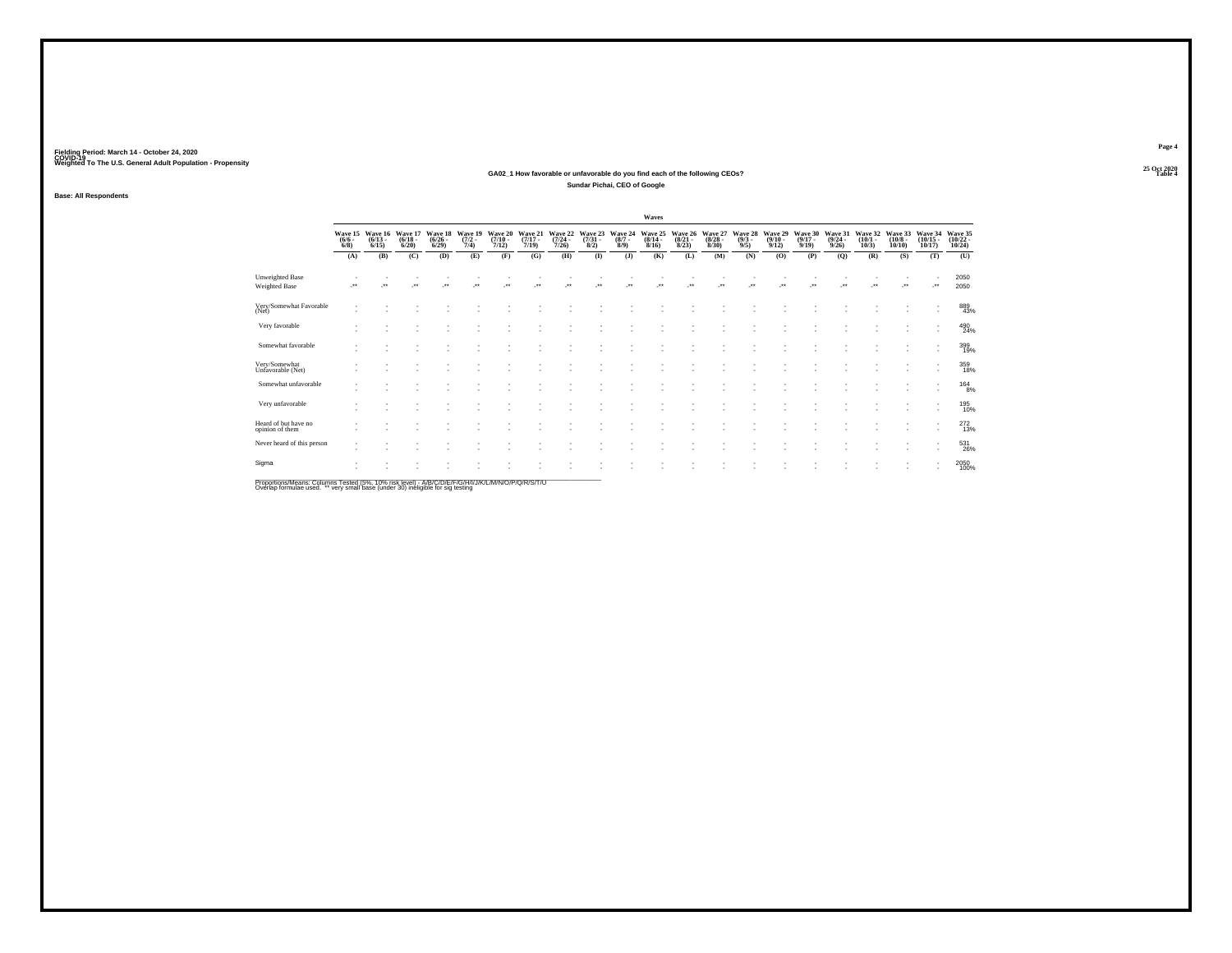#### **25 Oct 2020GA02\_1 How favorable or unfavorable do you find each of the following CEOs? Table 4 Sundar Pichai, CEO of Google**

**Base: All Respondents**

|                                         |                      |                                         |                                  |                                 |                     |                                              |                                  |                           |                                        |                               | Waves                            |                                  |                                  |                               |                                         |                                         |                                         |                                 |                                       |                                    |                                           |
|-----------------------------------------|----------------------|-----------------------------------------|----------------------------------|---------------------------------|---------------------|----------------------------------------------|----------------------------------|---------------------------|----------------------------------------|-------------------------------|----------------------------------|----------------------------------|----------------------------------|-------------------------------|-----------------------------------------|-----------------------------------------|-----------------------------------------|---------------------------------|---------------------------------------|------------------------------------|-------------------------------------------|
|                                         | $\frac{(6/6)}{6/8}$  | Wave 15 Wave 16<br>$\binom{6/13}{6/15}$ | Wave 17<br>$\frac{(6/18)}{6/20}$ | Wave 18<br>$\binom{6/26}{6/29}$ | $\frac{(7/2)}{7/4}$ | Wave 19 Wave 20<br>$\frac{(7/10 - 7)}{7/12}$ | Wave 21<br>$\frac{(7/17)}{7/19}$ | $\frac{(7/24 - 7)}{7/26}$ | Wave 22 Wave 23<br>$\binom{7/31}{8/2}$ | Wave 24<br>$\binom{8/7}{8/9}$ | Wave 25<br>$\frac{(8/14)}{8/16}$ | Wave 26<br>$\frac{(8/21)}{8/23}$ | Wave 27<br>$\frac{(8/28)}{8/30}$ | Wave 28<br>$\binom{9/3}{9/5}$ | Wave 29<br>$\frac{(9/10 - 9/12)}{9/12}$ | Wave 30<br>$\frac{(9/17 - 9/19)}{9/19}$ | Wave 31<br>$\frac{(9/24 - 9/26)}{9/26}$ | Wave 32<br>$\binom{10/1}{10/3}$ | Wave 33<br>$\binom{10/8 - 10}{10/10}$ | Wave 34<br>$\frac{(10/15)}{10/17}$ | Wave 35<br>$\frac{(10/22 - 10)}{(10/24)}$ |
|                                         | (A)                  | (B)                                     | (C)                              | (D)                             | (E)                 | (F)                                          | (G)                              | (H)                       | $($ $\Gamma$                           | (1)                           | (K)                              | (L)                              | (M)                              | (N)                           | (0)                                     | (P)                                     | (Q)                                     | (R)                             | (S)                                   | (T)                                | (U)                                       |
| Unweighted Base<br><b>Weighted Base</b> | $\ddot{\phantom{1}}$ |                                         | $\bullet\,\bullet$               |                                 |                     |                                              |                                  |                           |                                        |                               |                                  |                                  |                                  |                               |                                         |                                         |                                         |                                 | $\ddot{\phantom{1}}$                  |                                    | 2050<br>2050                              |
| Very/Somewhat Favorable<br>(Net)        |                      |                                         |                                  |                                 |                     |                                              |                                  |                           |                                        |                               |                                  |                                  |                                  |                               |                                         |                                         |                                         |                                 |                                       |                                    | 889<br>43%                                |
| Very favorable                          |                      |                                         |                                  |                                 |                     |                                              |                                  |                           |                                        |                               |                                  |                                  |                                  |                               |                                         |                                         |                                         |                                 |                                       | $\sim$                             | 490<br>24%                                |
| Somewhat favorable                      |                      |                                         |                                  |                                 |                     |                                              |                                  |                           |                                        |                               |                                  | ×.                               |                                  |                               |                                         |                                         |                                         |                                 |                                       | $\sim$                             | 399<br>19%                                |
| Very/Somewhat<br>Unfavorable (Net)      |                      |                                         |                                  |                                 |                     |                                              |                                  |                           |                                        |                               |                                  |                                  |                                  |                               |                                         |                                         |                                         |                                 |                                       |                                    | 359<br>18%                                |
| Somewhat unfavorable                    |                      |                                         |                                  |                                 |                     |                                              |                                  |                           |                                        |                               |                                  |                                  |                                  |                               |                                         |                                         |                                         |                                 |                                       |                                    | 1648%                                     |
| Very unfavorable                        |                      |                                         |                                  |                                 |                     |                                              |                                  |                           |                                        |                               |                                  |                                  |                                  |                               |                                         |                                         |                                         |                                 |                                       |                                    | 195<br>10%                                |
| Heard of but have no<br>opinion of them |                      |                                         |                                  |                                 |                     |                                              |                                  |                           |                                        |                               |                                  |                                  |                                  |                               |                                         |                                         |                                         |                                 |                                       | $\mathbf{r}$                       | $^{272}_{13%}$                            |
| Never heard of this person              |                      |                                         |                                  |                                 |                     |                                              |                                  |                           |                                        |                               |                                  |                                  |                                  |                               |                                         |                                         |                                         |                                 |                                       |                                    | 531<br>26%                                |
| Sigma                                   |                      |                                         |                                  |                                 |                     |                                              |                                  |                           |                                        |                               |                                  |                                  |                                  |                               |                                         |                                         |                                         |                                 |                                       |                                    | 2050<br>100%                              |
|                                         |                      |                                         |                                  |                                 |                     |                                              |                                  |                           |                                        |                               |                                  |                                  |                                  |                               |                                         |                                         |                                         |                                 |                                       |                                    |                                           |

Proportions/Means: Columns Tested (5%, 10% risk level) - A/B/C/D/E/F/G/H/I/J/K/L/M/N/O/P/Q/R/S/T/U<br>Overlap formulae used. \*\* very small base (under 30) ineligible for sig testing

**Page 4**25 Oct 2020<br>Table 4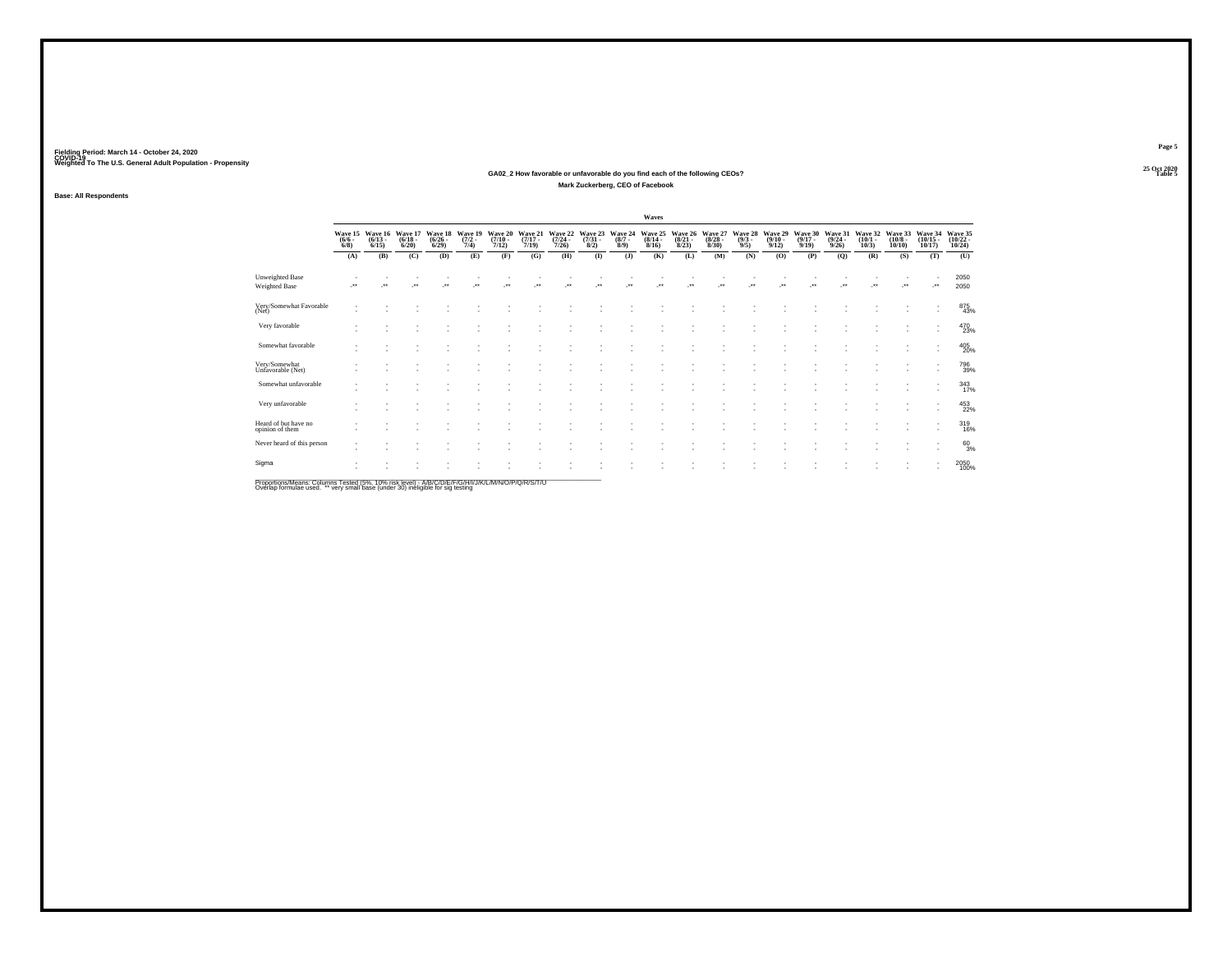#### **25 Oct 2020GA02\_2 How favorable or unfavorable do you find each of the following CEOs? Table 5 Mark Zuckerberg, CEO of Facebook**

**Base: All Respondents**

|                                                |                                |                                 |                                  |                                 |                                |                                      |                                  |                                         |                                |                               | Waves                                   |                                 |                                  |                               |                                         |                                  |                                  |                                 |                                       |                                   |                                    |
|------------------------------------------------|--------------------------------|---------------------------------|----------------------------------|---------------------------------|--------------------------------|--------------------------------------|----------------------------------|-----------------------------------------|--------------------------------|-------------------------------|-----------------------------------------|---------------------------------|----------------------------------|-------------------------------|-----------------------------------------|----------------------------------|----------------------------------|---------------------------------|---------------------------------------|-----------------------------------|------------------------------------|
|                                                | Wave 15<br>$\frac{(6/6)}{6/8}$ | Wave 16<br>$\binom{6/13}{6/15}$ | Wave 17<br>$\frac{(6/18)}{6/20}$ | Wave 18<br>$\binom{6/26}{6/29}$ | Wave 19<br>$\frac{(7/2)}{7/4}$ | Wave 20<br>$\frac{(7/10 - 7)}{7/12}$ | Wave 21<br>$\frac{(7/17)}{7/19}$ | Wave 22<br>$\frac{(7/24 - 7/26)}{7/26}$ | Wave 23<br>$\binom{7/31}{8/2}$ | Wave 24<br>$\binom{8/7}{8/9}$ | Wave 25<br>$\frac{(8/14 - 8/16)}{8/16}$ | Wave 26<br>$\binom{8/21}{8/23}$ | Wave 27<br>$\frac{(8/28)}{8/30}$ | Wave 28<br>$\binom{9/3}{9/5}$ | Wave 29<br>$\frac{(9/10 - 9/12)}{9/12}$ | Wave 30<br>$\frac{(9/17)}{9/19}$ | Wave 31<br>$\frac{(9/24)}{9/26}$ | Wave 32<br>$\binom{10/1}{10/3}$ | Wave 33<br>$\binom{10/8 - 10}{10/10}$ | Wave 34<br>$\binom{10/15}{10/17}$ | Wave 35<br>$\frac{(10/22)}{10/24}$ |
|                                                | (A)                            | (B)                             | (C)                              | (D)                             | (E)                            | (F)                                  | (G)                              | (H)                                     | (1)                            | (J)                           | (K)                                     | (L)                             | (M)                              | (N)                           | (0)                                     | (P)                              | (Q)                              | (R)                             | (S)                                   | (T)                               | (U)                                |
| <b>Unweighted Base</b><br><b>Weighted Base</b> | $\bullet\,\bullet$             | $\ddot{\phantom{0}}$            | $\bullet\,\bullet$               | $\ddot{\phantom{0}}$            | $\ddot{\phantom{1}}$           | $\bullet\bullet$                     | -                                | $\bullet\bullet$                        | $\ddot{\phantom{0}}$           | $\bullet\bullet$              | 44                                      | ويعاد                           | $\ddot{\phantom{1}}$             | 44                            | $\ddot{\phantom{1}}$                    |                                  |                                  | $\ddot{\phantom{0}}$            | $\bullet\bullet$                      | $\cdot$                           | 2050<br>2050                       |
| Very/Somewhat Favorable<br>(Net)               |                                |                                 |                                  |                                 |                                |                                      |                                  |                                         |                                |                               |                                         |                                 |                                  |                               |                                         |                                  |                                  |                                 |                                       |                                   | 875<br>43%                         |
| Very favorable                                 |                                |                                 |                                  |                                 |                                |                                      |                                  |                                         |                                |                               |                                         |                                 |                                  |                               |                                         |                                  |                                  |                                 |                                       | $\mathbf{r}$                      | 470<br>23%                         |
| Somewhat favorable                             |                                |                                 |                                  |                                 |                                |                                      |                                  |                                         |                                |                               |                                         |                                 |                                  |                               |                                         |                                  |                                  |                                 |                                       | $\sim$                            | 405<br>20%                         |
| Very/Somewhat<br>Unfavorable (Net)             |                                |                                 |                                  |                                 |                                |                                      |                                  |                                         |                                |                               |                                         |                                 |                                  |                               |                                         |                                  |                                  |                                 |                                       |                                   | 796<br>39%                         |
| Somewhat unfavorable                           |                                |                                 |                                  |                                 |                                |                                      |                                  |                                         |                                |                               |                                         |                                 |                                  |                               |                                         |                                  |                                  |                                 |                                       |                                   | 343<br>17%                         |
| Very unfavorable                               |                                |                                 |                                  |                                 |                                |                                      |                                  |                                         |                                |                               |                                         |                                 |                                  |                               |                                         |                                  |                                  |                                 |                                       |                                   | 453<br>22%                         |
| Heard of but have no<br>opinion of them        |                                |                                 |                                  |                                 |                                |                                      |                                  |                                         |                                |                               |                                         |                                 |                                  |                               |                                         |                                  |                                  |                                 |                                       | $\mathbf{r}$                      | 319<br>16%                         |
| Never heard of this person                     | ٠                              |                                 |                                  |                                 |                                |                                      |                                  |                                         |                                |                               |                                         |                                 |                                  |                               |                                         |                                  |                                  |                                 |                                       | $\overline{\phantom{a}}$          | $^{60}_{3%}$                       |
| Sigma                                          |                                |                                 |                                  |                                 |                                |                                      |                                  |                                         |                                |                               |                                         |                                 |                                  |                               |                                         |                                  |                                  |                                 |                                       |                                   | 2050<br>100%                       |

Proportions/Means: Columns Tested (5%, 10% risk level) - A/B/C/D/E/F/G/H/I/J/K/L/M/N/O/P/Q/R/S/T/U<br>Overlap formulae used. \*\* very small base (under 30) ineligible for sig testing

**Page 5**25 Oct 2020<br>Table 5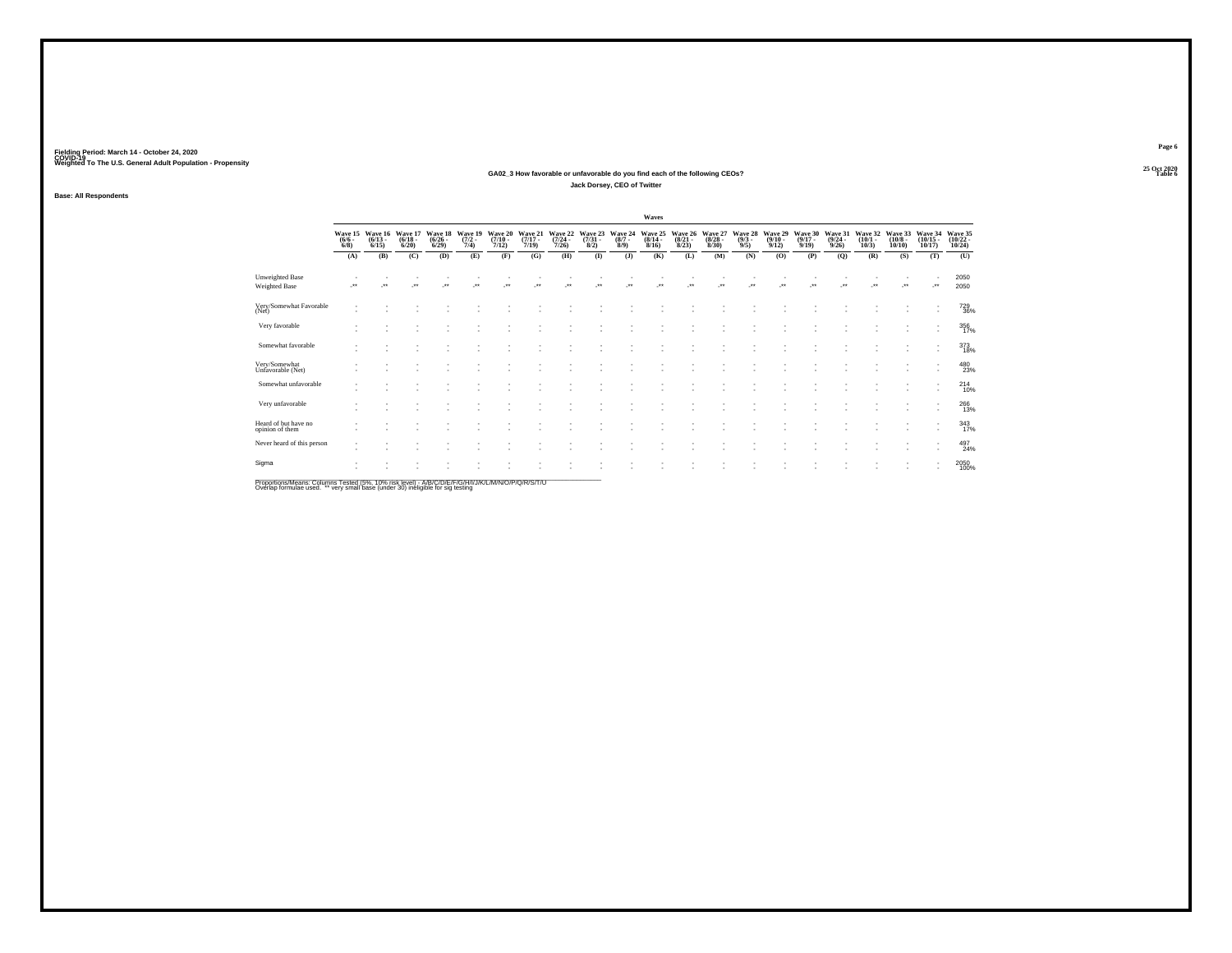#### **25 Oct 2020GA02\_3 How favorable or unfavorable do you find each of the following CEOs? Table 6 Jack Dorsey, CEO of Twitter**

**Base: All Respondents**

|                                                |                                |                                 |                                  |                                 |                                |                                  |                                  |                                         |                                |                               | Waves                                   |                                 |                                  |                               |                                         |                                  |                                         |                                 |                                       |                         |                                            |
|------------------------------------------------|--------------------------------|---------------------------------|----------------------------------|---------------------------------|--------------------------------|----------------------------------|----------------------------------|-----------------------------------------|--------------------------------|-------------------------------|-----------------------------------------|---------------------------------|----------------------------------|-------------------------------|-----------------------------------------|----------------------------------|-----------------------------------------|---------------------------------|---------------------------------------|-------------------------|--------------------------------------------|
|                                                | Wave 15<br>$\frac{(6/6)}{6/8}$ | Wave 16<br>$\binom{6/13}{6/15}$ | Wave 17<br>$\frac{(6/18)}{6/20}$ | Wave 18<br>$\binom{6/26}{6/29}$ | Wave 19<br>$\frac{(7/2)}{7/4}$ | Wave 20<br>$\frac{(7/10)}{7/12}$ | Wave 21<br>$\frac{(7/17)}{7/19}$ | Wave 22<br>$\frac{(7/24 - 7/26)}{7/26}$ | Wave 23<br>$\binom{7/31}{8/2}$ | Wave 24<br>$\binom{8/7}{8/9}$ | Wave 25<br>$\frac{(8/14 - 8/16)}{8/16}$ | Wave 26<br>$\binom{8/21}{8/23}$ | Wave 27<br>$\frac{(8/28)}{8/30}$ | Wave 28<br>$\binom{9/3}{9/5}$ | Wave 29<br>$\frac{(9/10 - 9/12)}{9/12}$ | Wave 30<br>$\frac{(9/17)}{9/19}$ | Wave 31<br>$\frac{(9/24 - 9/26)}{9/26}$ | Wave 32<br>$\binom{10/1}{10/3}$ | Wave 33<br>$\binom{10/8 - 10}{10/10}$ | $\frac{(10/15)}{10/17}$ | Wave 34 Wave 35<br>$\frac{(10/22)}{10/24}$ |
|                                                | (A)                            | (B)                             | (C)                              | (D)                             | (E)                            | (F)                              | (G)                              | (H)                                     | $\bf(I)$                       | (1)                           | (K)                                     | (L)                             | (M)                              | (N)                           | (0)                                     | (P)                              | (Q)                                     | (R)                             | (S)                                   | (T)                     | (U)                                        |
| <b>Unweighted Base</b><br><b>Weighted Base</b> | ÷                              | $\bullet\bullet$                | $\ddot{\phantom{1}}$             | $^{\tiny{+}}$                   | $\ddot{\phantom{0}}$           | $\ddot{\phantom{0}}$             |                                  |                                         |                                |                               |                                         | $\bullet\bullet$                | $\ddot{\phantom{1}}$             |                               |                                         |                                  |                                         | $\ddot{\phantom{0}}$            | $\cdot$                               | -**                     | 2050<br>2050                               |
| Very/Somewhat Favorable<br>(Net)               |                                |                                 |                                  |                                 |                                |                                  |                                  |                                         |                                |                               |                                         |                                 |                                  |                               |                                         |                                  |                                         |                                 |                                       |                         | 729<br>36%                                 |
| Very favorable                                 |                                |                                 |                                  |                                 |                                |                                  |                                  |                                         |                                |                               |                                         |                                 |                                  |                               |                                         |                                  |                                         |                                 |                                       | $\sim$                  | 356<br>17%                                 |
| Somewhat favorable                             |                                |                                 |                                  |                                 |                                |                                  |                                  |                                         |                                |                               |                                         |                                 |                                  |                               |                                         |                                  |                                         |                                 |                                       | $\sim$                  | $^{373}_{18\%}$                            |
| Very/Somewhat<br>Unfavorable (Net)             |                                |                                 |                                  |                                 |                                |                                  |                                  |                                         |                                |                               |                                         |                                 |                                  |                               |                                         |                                  |                                         |                                 |                                       |                         | 480<br>23%                                 |
| Somewhat unfavorable                           |                                |                                 |                                  |                                 |                                |                                  |                                  |                                         |                                |                               |                                         |                                 |                                  |                               |                                         |                                  |                                         |                                 |                                       |                         | 214<br>10%                                 |
| Very unfavorable                               |                                |                                 |                                  |                                 |                                |                                  |                                  |                                         |                                |                               |                                         |                                 |                                  |                               |                                         |                                  |                                         |                                 |                                       |                         | $^{266}_{13\%}$                            |
| Heard of but have no<br>opinion of them        |                                |                                 |                                  |                                 |                                |                                  |                                  |                                         |                                |                               |                                         |                                 |                                  |                               |                                         |                                  |                                         |                                 |                                       |                         | 343/17%                                    |
| Never heard of this person                     | ٠                              |                                 |                                  |                                 |                                |                                  |                                  |                                         |                                |                               |                                         |                                 |                                  |                               |                                         |                                  |                                         |                                 |                                       | $\sim$                  | 497<br>24%                                 |
| Sigma                                          |                                |                                 |                                  |                                 |                                |                                  |                                  |                                         |                                |                               |                                         |                                 |                                  |                               |                                         |                                  |                                         |                                 |                                       |                         | 2050<br>100%                               |
|                                                |                                |                                 |                                  |                                 |                                |                                  |                                  |                                         |                                |                               |                                         |                                 |                                  |                               |                                         |                                  |                                         |                                 |                                       |                         |                                            |

Proportions/Means: Columns Tested (5%, 10% risk level) - A/B/C/D/E/F/G/H/I/J/K/L/M/N/O/P/Q/R/S/T/U<br>Overlap formulae used. \*\* very small base (under 30) ineligible for sig testing

**Page 6**25 Oct 2020<br>Table 6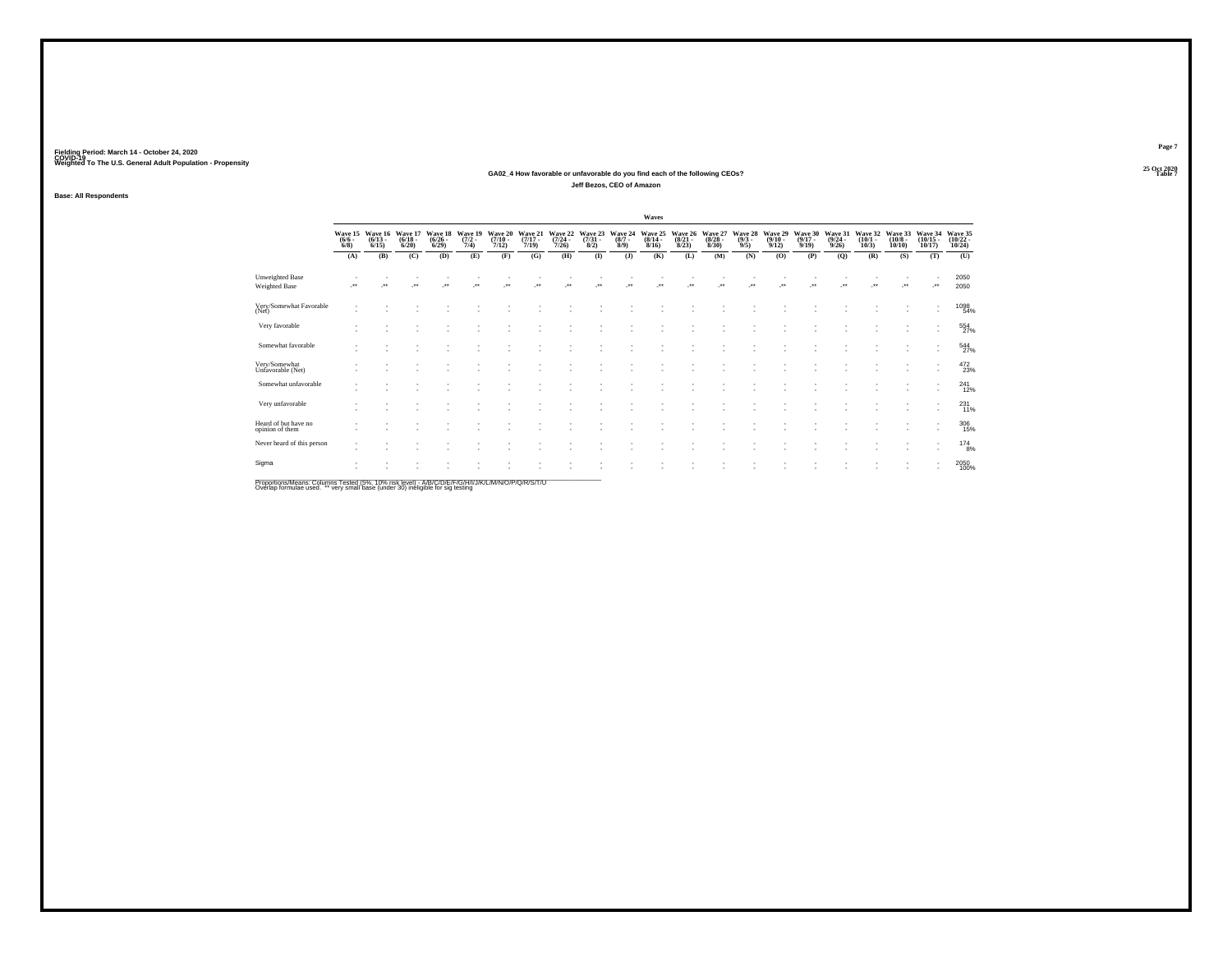#### **25 Oct 2020GA02\_4 How favorable or unfavorable do you find each of the following CEOs? Table 7 Jeff Bezos, CEO of Amazon**

**Base: All Respondents**

|                                         |                                    |                                 |                                  |                                 |                                |                                      |                                  |                                         |                                |                               | Waves                            |                                 |                                 |                               |                                         |                                  |                                         |                                 |                                       |                                    |                                    |
|-----------------------------------------|------------------------------------|---------------------------------|----------------------------------|---------------------------------|--------------------------------|--------------------------------------|----------------------------------|-----------------------------------------|--------------------------------|-------------------------------|----------------------------------|---------------------------------|---------------------------------|-------------------------------|-----------------------------------------|----------------------------------|-----------------------------------------|---------------------------------|---------------------------------------|------------------------------------|------------------------------------|
|                                         | Wave 15<br>$\frac{(6/6 - 6)}{6/8}$ | Wave 16<br>$\binom{6/13}{6/15}$ | Wave 17<br>$\frac{(6/18)}{6/20}$ | Wave 18<br>$\binom{6/26}{6/29}$ | Wave 19<br>$\frac{(7/2)}{7/4}$ | Wave 20<br>$\frac{(7/10 - 7)}{7/12}$ | Wave 21<br>$\frac{(7/17)}{7/19}$ | Wave 22<br>$\frac{(7/24 - 7/26)}{7/26}$ | Wave 23<br>$\binom{7/31}{8/2}$ | Wave 24<br>$\binom{8/7}{8/9}$ | Wave 25<br>$\frac{(8/14)}{8/16}$ | Wave 26<br>$\binom{8/21}{8/23}$ | Wave 27<br>$\binom{8/28}{8/30}$ | Wave 28<br>$\binom{9/3}{9/5}$ | Wave 29<br>$\frac{(9/10 - 9/12)}{9/12}$ | Wave 30<br>$\frac{(9/17)}{9/19}$ | Wave 31<br>$\frac{(9/24 - 9/26)}{9/26}$ | Wave 32<br>$\binom{10/1}{10/3}$ | Wave 33<br>$\binom{10/8 - 10}{10/10}$ | Wave 34<br>$\frac{(10/15)}{10/17}$ | Wave 35<br>$\frac{(10/22)}{10/24}$ |
|                                         | (A)                                | (B)                             | (C)                              | (D)                             | (E)                            | (F)                                  | (G)                              | (H)                                     | $($ $\Gamma$                   | (J)                           | (K)                              | (L)                             | (M)                             | (N)                           | (O)                                     | (P)                              | (Q)                                     | (R)                             | (S)                                   | (T)                                | (U)                                |
| <b>Unweighted Base</b><br>Weighted Base | $\ddot{\phantom{1}}$               | $\ddot{\phantom{0}}$            | $\ddot{\phantom{1}}$             | $^{\tiny{**}}$                  | $\ddot{\phantom{0}}$           |                                      |                                  | $\ddot{\phantom{1}}$                    | $\ddot{\phantom{0}}$           |                               |                                  |                                 | $\ddot{\phantom{0}}$            |                               | $\ddot{\phantom{0}}$                    |                                  |                                         | $\ddot{\phantom{1}}$            | $\ddot{\phantom{0}}$                  | J.                                 | 2050<br>2050                       |
| Very/Somewhat Favorable<br>(Net)        |                                    |                                 |                                  |                                 |                                |                                      |                                  |                                         |                                |                               |                                  |                                 |                                 |                               |                                         |                                  |                                         |                                 |                                       |                                    | 1098<br>54%                        |
| Very favorable                          |                                    |                                 |                                  |                                 |                                |                                      |                                  |                                         |                                |                               |                                  |                                 |                                 |                               |                                         |                                  |                                         |                                 |                                       | ٠                                  | 554                                |
| Somewhat favorable                      |                                    |                                 |                                  |                                 |                                |                                      |                                  |                                         |                                |                               |                                  |                                 |                                 |                               |                                         |                                  |                                         |                                 |                                       | $\sim$                             | 544                                |
| Very/Somewhat<br>Unfavorable (Net)      |                                    |                                 |                                  |                                 |                                |                                      |                                  |                                         |                                |                               |                                  |                                 |                                 |                               |                                         |                                  |                                         |                                 |                                       |                                    | 472<br>23%                         |
| Somewhat unfavorable                    |                                    |                                 |                                  |                                 |                                |                                      |                                  |                                         |                                |                               |                                  |                                 |                                 |                               |                                         |                                  |                                         |                                 |                                       |                                    | 241<br>12%                         |
| Very unfavorable                        |                                    |                                 |                                  |                                 |                                |                                      |                                  |                                         |                                |                               |                                  |                                 |                                 |                               |                                         |                                  |                                         |                                 |                                       |                                    | 231%                               |
| Heard of but have no<br>opinion of them |                                    |                                 |                                  |                                 |                                |                                      |                                  |                                         |                                |                               |                                  |                                 |                                 |                               |                                         |                                  |                                         |                                 |                                       | ٠                                  | 306<br>15%                         |
| Never heard of this person              |                                    |                                 |                                  |                                 |                                |                                      |                                  |                                         |                                |                               |                                  |                                 |                                 |                               |                                         |                                  |                                         |                                 |                                       |                                    | 1748%                              |
| Sigma                                   |                                    |                                 |                                  |                                 |                                |                                      |                                  |                                         |                                |                               |                                  |                                 |                                 |                               |                                         |                                  |                                         |                                 |                                       |                                    | 2050<br>100%                       |
|                                         |                                    |                                 |                                  |                                 |                                |                                      |                                  |                                         |                                |                               |                                  |                                 |                                 |                               |                                         |                                  |                                         |                                 |                                       |                                    |                                    |

Proportions/Means: Columns Tested (5%, 10% risk level) - A/B/C/D/E/F/G/H/I/J/K/L/M/N/O/P/Q/R/S/T/U<br>Overlap formulae used. \*\* very small base (under 30) ineligible for sig testing

**Page 7**25 Oct 2020<br>Table 7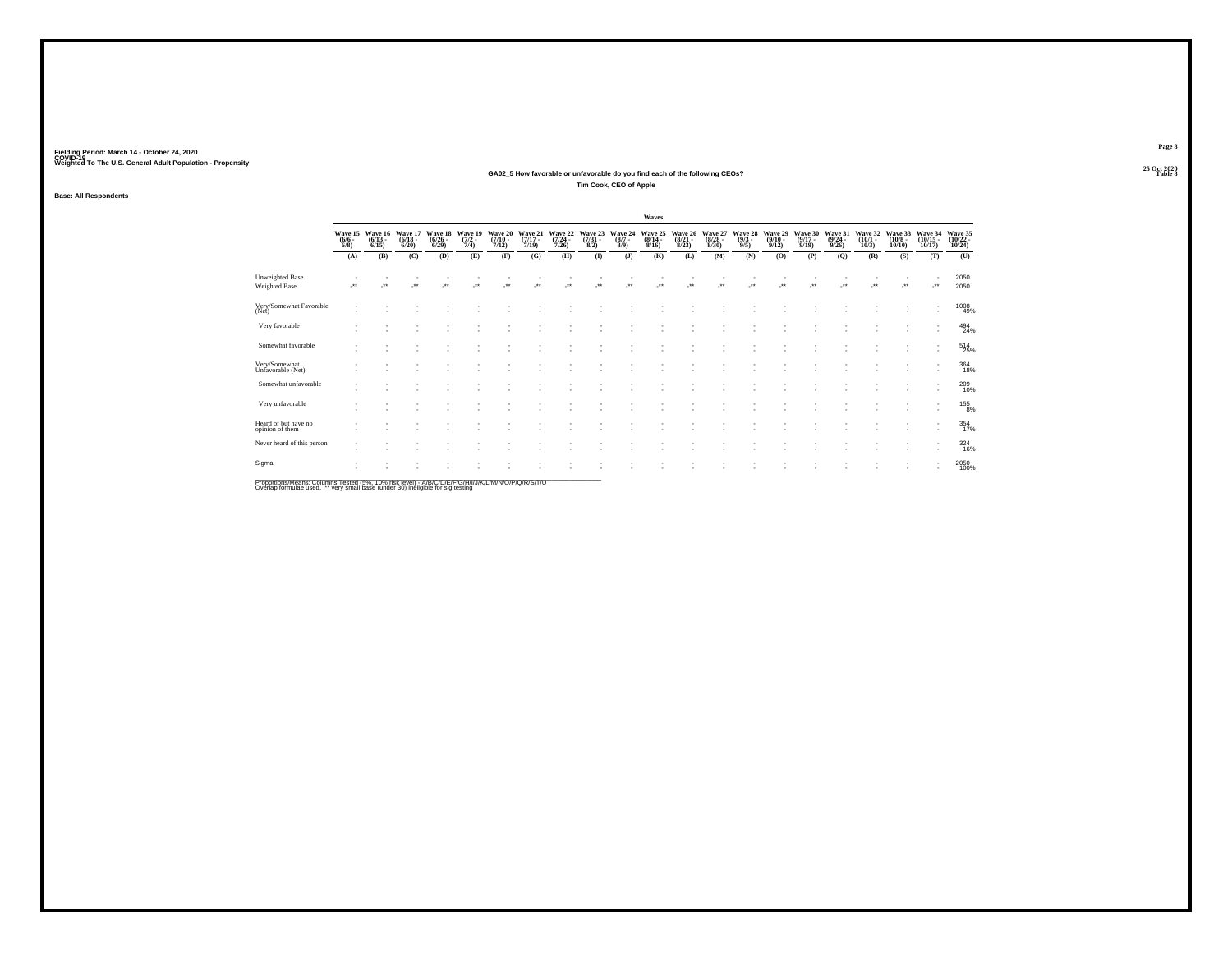#### **25 Oct 2020GA02\_5 How favorable or unfavorable do you find each of the following CEOs? Table 8 Tim Cook, CEO of Apple**

**Base: All Respondents**

|                                         |                                |                                 |                                  |                      |                                        |                                      |                                  |                                         |                                |         | Waves                                           |                      |                                          |                                |                                         |                                         |                             |                                 |                                  |                          |                                            |
|-----------------------------------------|--------------------------------|---------------------------------|----------------------------------|----------------------|----------------------------------------|--------------------------------------|----------------------------------|-----------------------------------------|--------------------------------|---------|-------------------------------------------------|----------------------|------------------------------------------|--------------------------------|-----------------------------------------|-----------------------------------------|-----------------------------|---------------------------------|----------------------------------|--------------------------|--------------------------------------------|
|                                         | Wave 15<br>$\frac{(6/6)}{6/8}$ | Wave 16<br>$\binom{6/13}{6/15}$ | Wave 17<br>$\frac{(6/18)}{6/20}$ | $\binom{6/26}{6/29}$ | Wave 18 Wave 19<br>$\frac{(7/2)}{7/4}$ | Wave 20<br>$\frac{(7/10 - 7)}{7/12}$ | Wave 21<br>$\frac{(7/17)}{7/19}$ | <b>Wave 22</b><br>$\frac{(7/24)}{7/26}$ | Wave 23<br>$\binom{7/31}{8/2}$ |         | Wave 24 Wave 25<br>(8/7 - (8/14 - 8/9)<br>8/16) | $\binom{8/21}{8/23}$ | Wave 26 Wave 27<br>$\frac{(8/28)}{8/30}$ | Wave 28<br>$\frac{(9/3)}{9/5}$ | Wave 29<br>$\frac{(9/10 - 9/12)}{9/12}$ | Wave 30<br>$\frac{(9/17 - 9/19)}{9/19}$ | Wave 31<br>(9/24 -<br>9/26) | Wave 32<br>$\binom{10/1}{10/3}$ | Wave 33<br>$\binom{10/8}{10/10}$ | $\frac{(10/15)}{10/17}$  | Wave 34 Wave 35<br>$\frac{(10/22)}{10/24}$ |
|                                         | (A)                            | (B)                             | (C)                              | (D)                  | (E)                                    | (F)                                  | (G)                              | (H)                                     | (1)                            | $($ $)$ | (K)                                             | (L)                  | (M)                                      | (N)                            | (O)                                     | (P)                                     | (Q)                         | (R)                             | (S)                              | (T)                      | (U)                                        |
| <b>Unweighted Base</b><br>Weighted Base | $\cdot$                        | $\ddot{\phantom{0}}$            | $\ddot{\phantom{0}}$             | $^{\tiny{+}}$        | $\ddot{\phantom{0}}$                   |                                      |                                  |                                         |                                |         |                                                 |                      |                                          |                                |                                         |                                         |                             | $\ddot{\phantom{0}}$            | $\bullet\,\bullet$               | ٠.                       | 2050<br>2050                               |
| Very/Somewhat Favorable<br>(Net)        |                                |                                 |                                  |                      |                                        |                                      |                                  |                                         |                                |         |                                                 |                      |                                          |                                |                                         |                                         |                             |                                 |                                  |                          | 1008<br>49%                                |
| Very favorable                          |                                |                                 |                                  |                      |                                        |                                      |                                  |                                         |                                |         |                                                 |                      |                                          |                                |                                         |                                         |                             |                                 |                                  |                          | $^{494}_{24\%}$                            |
| Somewhat favorable                      |                                |                                 |                                  |                      |                                        |                                      |                                  |                                         |                                |         |                                                 |                      |                                          |                                |                                         |                                         |                             |                                 |                                  | $\overline{\phantom{a}}$ | $^{514}_{25\%}$                            |
| Very/Somewhat<br>Unfavorable (Net)      |                                |                                 |                                  |                      |                                        |                                      |                                  |                                         |                                |         |                                                 |                      |                                          |                                |                                         |                                         |                             |                                 |                                  |                          | $\underset{18\%}{364}$                     |
| Somewhat unfavorable                    | ٠                              |                                 |                                  |                      |                                        |                                      |                                  |                                         |                                |         |                                                 |                      |                                          |                                |                                         |                                         |                             |                                 |                                  |                          | 209<br>10%                                 |
| Very unfavorable                        |                                |                                 |                                  |                      |                                        |                                      |                                  |                                         |                                |         |                                                 |                      |                                          |                                |                                         |                                         |                             |                                 |                                  |                          | $^{155}_{8\%}$                             |
| Heard of but have no<br>opinion of them |                                |                                 |                                  |                      |                                        |                                      |                                  |                                         |                                |         |                                                 |                      |                                          |                                |                                         |                                         |                             |                                 |                                  |                          | 354<br>17%                                 |
| Never heard of this person              |                                |                                 |                                  |                      |                                        |                                      |                                  |                                         |                                |         |                                                 |                      |                                          |                                |                                         |                                         |                             |                                 |                                  | ٠                        | 324<br>16%                                 |
| Sigma                                   |                                |                                 |                                  |                      |                                        |                                      |                                  |                                         |                                |         |                                                 |                      |                                          |                                |                                         |                                         |                             |                                 |                                  |                          | 2050<br>100%                               |
|                                         |                                |                                 |                                  |                      |                                        |                                      |                                  |                                         |                                |         |                                                 |                      |                                          |                                |                                         |                                         |                             |                                 |                                  |                          |                                            |

Proportions/Means: Columns Tested (5%, 10% risk level) - A/B/C/D/E/F/G/H/I/J/K/L/M/N/O/P/Q/R/S/T/U<br>Overlap formulae used. \*\* very small base (under 30) ineligible for sig testing

**Page 8**25 Oct 2020<br>Table 8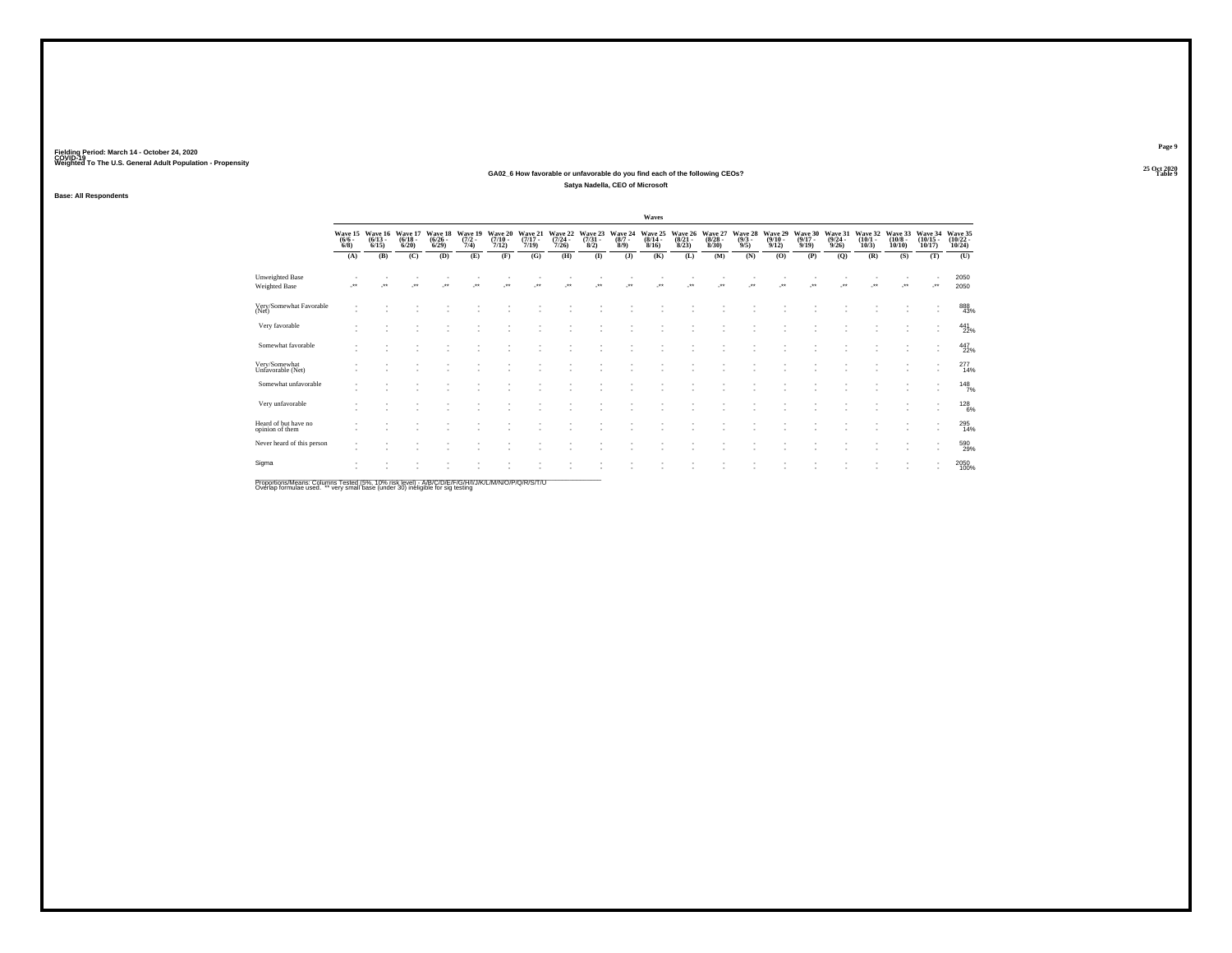#### **25 Oct 2020GA02\_6 How favorable or unfavorable do you find each of the following CEOs? Table 9 Satya Nadella, CEO of Microsoft**

**Base: All Respondents**

|                                         |                                    |                                 |                                  |                                 |                                |                                      |                                  |                                         |                                |                               | Waves                                   |                                 |                                 |                               |                                  |                                  |                                         |                                 |                                       |                                    |                                    |
|-----------------------------------------|------------------------------------|---------------------------------|----------------------------------|---------------------------------|--------------------------------|--------------------------------------|----------------------------------|-----------------------------------------|--------------------------------|-------------------------------|-----------------------------------------|---------------------------------|---------------------------------|-------------------------------|----------------------------------|----------------------------------|-----------------------------------------|---------------------------------|---------------------------------------|------------------------------------|------------------------------------|
|                                         | Wave 15<br>$\frac{(6/6 - 6)}{6/8}$ | Wave 16<br>$\binom{6/13}{6/15}$ | Wave 17<br>$\frac{(6/18)}{6/20}$ | Wave 18<br>$\binom{6/26}{6/29}$ | Wave 19<br>$\frac{(7/2)}{7/4}$ | Wave 20<br>$\frac{(7/10 - 7)}{7/12}$ | Wave 21<br>$\frac{(7/17)}{7/19}$ | Wave 22<br>$\frac{(7/24 - 7/26)}{7/26}$ | Wave 23<br>$\binom{7/31}{8/2}$ | Wave 24<br>$\binom{8/7}{8/9}$ | Wave 25<br>$\frac{(8/14 - 8/16)}{8/16}$ | Wave 26<br>$\binom{8/21}{8/23}$ | Wave 27<br>$\binom{8/28}{8/30}$ | Wave 28<br>$\binom{9/3}{9/5}$ | Wave 29<br>$\frac{(9/10)}{9/12}$ | Wave 30<br>$\frac{(9/17)}{9/19}$ | Wave 31<br>$\frac{(9/24 - 9/26)}{9/26}$ | Wave 32<br>$\binom{10/1}{10/3}$ | Wave 33<br>$\binom{10/8 - 10}{10/10}$ | Wave 34<br>$\frac{(10/15)}{10/17}$ | Wave 35<br>$\frac{(10/22)}{10/24}$ |
|                                         | (A)                                | (B)                             | (C)                              | (D)                             | (E)                            | (F)                                  | (G)                              | (H)                                     | $($ $\Gamma$                   | (J)                           | (K)                                     | (L)                             | (M)                             | (N)                           | (O)                              | (P)                              | (Q)                                     | (R)                             | (S)                                   | (T)                                | (U)                                |
| <b>Unweighted Base</b><br>Weighted Base | $\ddot{\phantom{1}}$               | $^{\tiny{**}}$                  | $\cdot$                          | $^{\tiny{**}}$                  | $\ddot{\phantom{0}}$           |                                      |                                  | $^{+}$                                  | $\ddot{\phantom{0}}$           | $\bullet\bullet$              |                                         |                                 | $\ddot{\phantom{1}}$            | $\bullet\bullet$              | $\bullet\,\bullet$               |                                  |                                         | $\ddot{\phantom{1}}$            | $^{\tiny{**}}$                        |                                    | 2050<br>2050                       |
| Very/Somewhat Favorable<br>(Net)        |                                    |                                 |                                  |                                 |                                |                                      |                                  |                                         |                                |                               |                                         |                                 |                                 |                               |                                  |                                  |                                         |                                 |                                       |                                    | 888<br>43%                         |
| Very favorable                          |                                    |                                 |                                  |                                 |                                |                                      |                                  |                                         |                                |                               |                                         |                                 |                                 |                               |                                  |                                  |                                         |                                 |                                       | $\mathbf{r}$                       | 441<br>22%                         |
| Somewhat favorable                      |                                    |                                 |                                  |                                 |                                |                                      |                                  |                                         |                                |                               |                                         |                                 |                                 |                               |                                  |                                  |                                         |                                 |                                       | $\sim$                             | 447<br>22%                         |
| Very/Somewhat<br>Unfavorable (Net)      |                                    |                                 |                                  |                                 |                                |                                      |                                  |                                         |                                |                               |                                         |                                 |                                 |                               |                                  |                                  |                                         |                                 |                                       |                                    | 277<br>14%                         |
| Somewhat unfavorable                    |                                    |                                 |                                  |                                 |                                |                                      |                                  |                                         |                                |                               |                                         |                                 |                                 |                               |                                  |                                  |                                         |                                 |                                       |                                    | 148 <sub>7%</sub>                  |
| Very unfavorable                        |                                    |                                 |                                  |                                 |                                |                                      |                                  |                                         |                                |                               |                                         |                                 |                                 |                               |                                  |                                  |                                         |                                 |                                       |                                    | 128%                               |
| Heard of but have no<br>opinion of them |                                    |                                 |                                  |                                 |                                |                                      |                                  |                                         |                                |                               |                                         |                                 |                                 |                               |                                  |                                  |                                         |                                 |                                       | ٠                                  | 295<br>14%                         |
| Never heard of this person              |                                    |                                 |                                  |                                 |                                |                                      |                                  |                                         |                                |                               |                                         |                                 |                                 |                               |                                  |                                  |                                         |                                 |                                       | $\overline{\phantom{a}}$           | 590<br>29%                         |
| Sigma                                   |                                    |                                 |                                  |                                 |                                |                                      |                                  |                                         |                                |                               |                                         |                                 |                                 |                               |                                  |                                  |                                         |                                 |                                       |                                    | 2050<br>100%                       |
|                                         |                                    |                                 |                                  |                                 |                                |                                      |                                  |                                         |                                |                               |                                         |                                 |                                 |                               |                                  |                                  |                                         |                                 |                                       |                                    |                                    |

Proportions/Means: Columns Tested (5%, 10% risk level) - A/B/C/D/E/F/G/H/I/J/K/L/M/N/O/P/Q/R/S/T/U<br>Overlap formulae used. \*\* very small base (under 30) ineligible for sig testing

**Page 9**25 Oct 2020<br>Table 9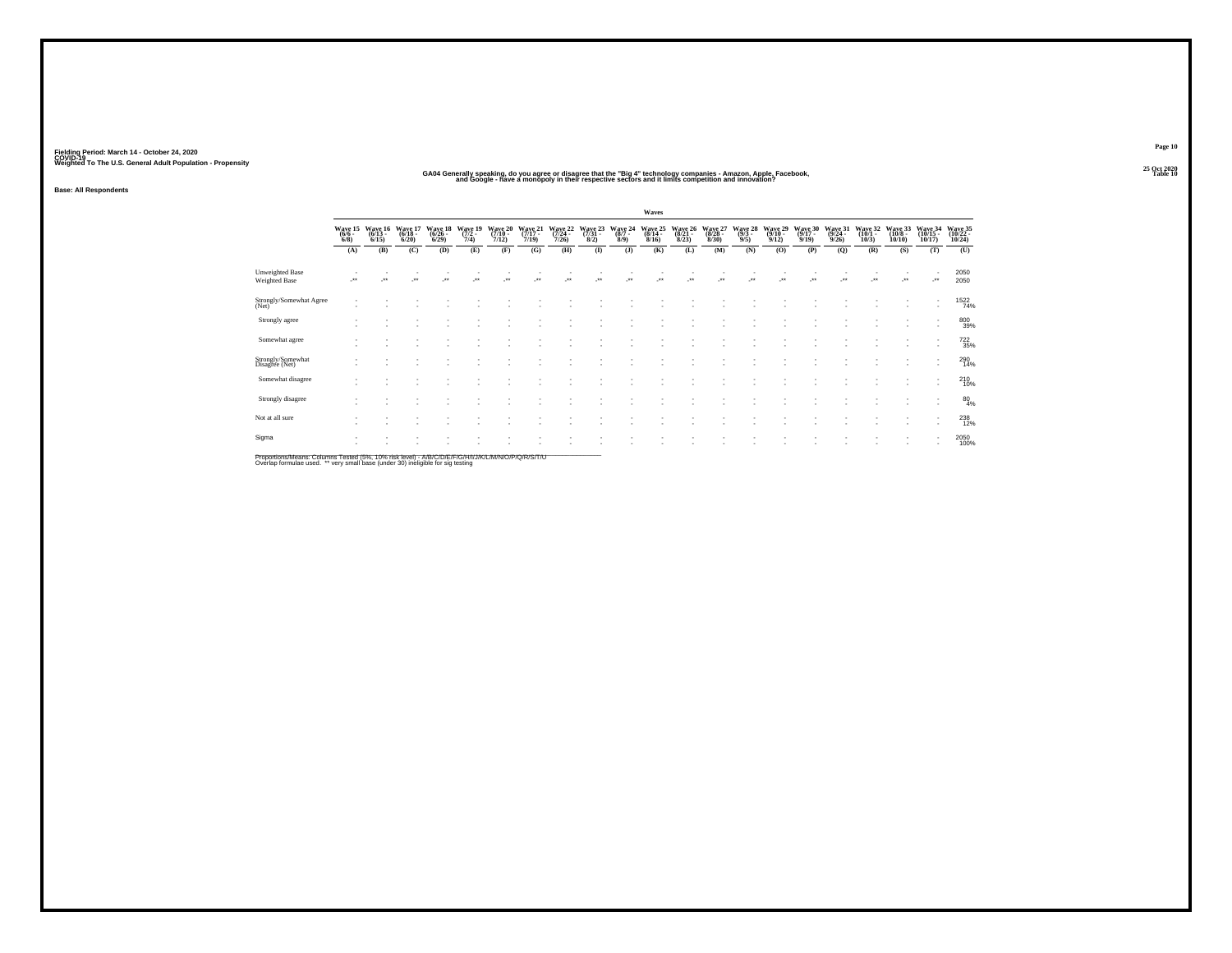#### " GA04 Generally speaking, do you agree or disagree that the "Big 4" technology companies - Amazon, Apple, Facebook,<br>"and Google - have a monopoly in their respective sectors and it limits competition and innovation? **Table 10**

**Base: All Respondents**

|                                         |                            |                              |                                  |                              |                            |                              |                              |                              |                                 |                            | Waves                                |                                      |                             |                                    |                              |                             |                             |                            |                                        |                               |                               |
|-----------------------------------------|----------------------------|------------------------------|----------------------------------|------------------------------|----------------------------|------------------------------|------------------------------|------------------------------|---------------------------------|----------------------------|--------------------------------------|--------------------------------------|-----------------------------|------------------------------------|------------------------------|-----------------------------|-----------------------------|----------------------------|----------------------------------------|-------------------------------|-------------------------------|
|                                         | Wave 15<br>$(6/6 -$<br>6/8 | Wave 16<br>$(6/13 -$<br>6/15 | Wave 17<br>$(6/18 -$<br>$6/20$ ) | Wave 18<br>$(6/26 -$<br>6/29 | Wave 19<br>$(7/2 -$<br>7/4 | Wave 20<br>$(7/10 -$<br>7/12 | Wave 21<br>$(7/17 -$<br>7/19 | Wave 22<br>$(7/24 -$<br>7/26 | Wave 23<br>$\frac{(7/31)}{8/2}$ | Wave 24<br>$(8/7 -$<br>8/9 | Wave 25<br>$\frac{(8/14 - 8)}{8/16}$ | Wave 26<br>$\frac{(8/21 - 8)}{8/23}$ | Wave 27<br>(8/28 -<br>8/30) | Wave 28<br>$\frac{(9/3 - 9)}{9/5}$ | Wave 29<br>$(9/10 -$<br>9/12 | Wave 30<br>(9/17 -<br>9/19) | Wave 31<br>(9/24 -<br>9/26) | Wave 32<br>(10/1 -<br>10/3 | Wave 33<br>$\frac{(10/8 - 10)}{10/10}$ | Wave 34<br>(10/15 -<br>10/17) | Wave 35<br>(10/22 -<br>10/24) |
|                                         | (A)                        | (B)                          | (C)                              | (D)                          | (E)                        | (F)                          | (G)                          | (H)                          | $\bf{I}$                        | $($ $)$                    | (K)                                  | (L)                                  | (M)                         | (N)                                | (O)                          | (P)                         | (Q)                         | (R)                        | (S)                                    | (T)                           | (U)                           |
| Unweighted Base<br><b>Weighted Base</b> | -**                        | $\cdot$                      | 59                               | z.                           | $\cdot$                    | $\bullet\,\bullet$           | $\cdot$                      | $\overline{\phantom{a}}$     | ÷.                              | $\cdot$                    | $\ddot{\phantom{1}}$                 | $\cdot$                              | $\cdot$                     | $\cdot$                            | ÷.                           | $\overline{\phantom{a}}$    | $^{\tiny{**}}$              | $\cdot$                    | ٠.                                     | $\cdot$                       | 2050<br>2050                  |
| Strongly/Somewhat Agree<br>(Net)        |                            |                              |                                  |                              |                            |                              |                              |                              |                                 |                            |                                      |                                      |                             |                                    |                              |                             |                             |                            |                                        | ٠<br>$\mathbf{r}$             | 1522                          |
| Strongly agree                          |                            |                              |                                  |                              |                            |                              | ٠                            |                              |                                 |                            |                                      | ×.                                   |                             |                                    |                              |                             |                             |                            |                                        | $\mathbf{r}$<br>$\mathbf{r}$  | 80039%                        |
| Somewhat agree                          |                            |                              |                                  |                              |                            |                              |                              |                              |                                 |                            |                                      |                                      |                             |                                    |                              |                             |                             |                            |                                        |                               | 722<br>35%                    |
| Strongly/Somewhat<br>Disagree (Net)     |                            |                              |                                  |                              |                            |                              | ٠                            |                              |                                 |                            |                                      | ×.                                   |                             |                                    |                              |                             |                             |                            |                                        | ٠<br>٠                        | 290<br>14%                    |
| Somewhat disagree                       |                            |                              |                                  |                              |                            |                              | ٠                            |                              |                                 |                            |                                      | ×.                                   |                             |                                    |                              |                             |                             |                            |                                        | ٠<br>٠                        | 210%                          |
| Strongly disagree                       |                            |                              |                                  |                              |                            |                              | ٠                            |                              |                                 |                            |                                      | ÷.                                   |                             |                                    |                              |                             |                             |                            |                                        |                               | $^{80}_{4\%}$                 |
| Not at all sure                         |                            | $\overline{\phantom{a}}$     |                                  |                              |                            |                              |                              |                              |                                 |                            |                                      |                                      |                             |                                    |                              |                             |                             |                            |                                        | ٠                             | 238                           |
| Sigma                                   |                            |                              |                                  |                              |                            |                              |                              |                              |                                 |                            |                                      |                                      |                             |                                    |                              |                             |                             |                            |                                        |                               | 2050<br>100%                  |
|                                         |                            |                              |                                  |                              |                            |                              |                              |                              |                                 |                            |                                      |                                      |                             |                                    |                              |                             |                             |                            |                                        |                               |                               |

Proportions/Means: Columns Tested (5%, 10% risk level) - A/B/C/D/E/F/G/H/I/J/K/L/M/N/O/P/Q/R/S/T/U<br>Overlap formulae used. \*\* very small base (under 30) ineligible for sig testing

**Page 1025 Oct 2020<br>Table 10**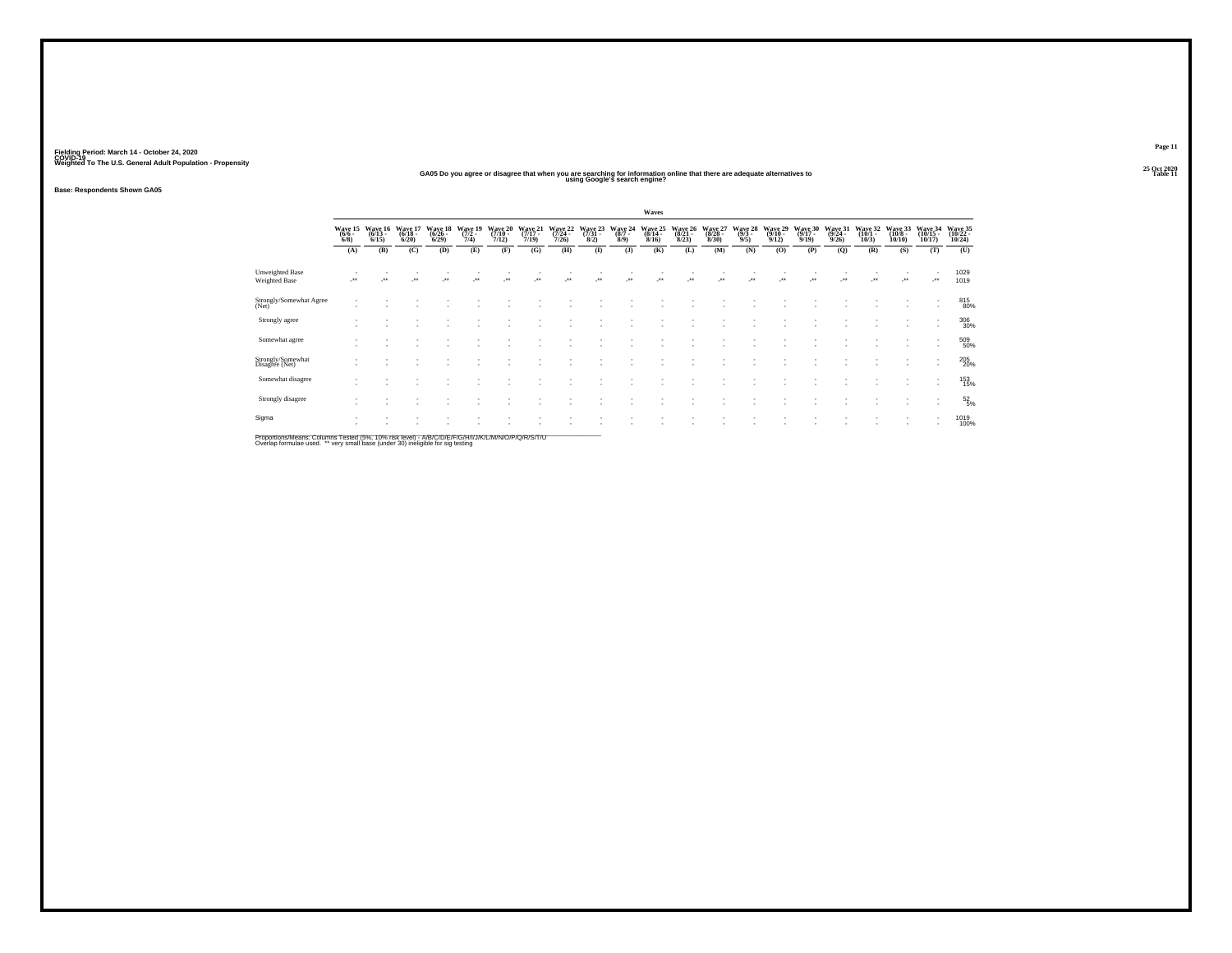#### **25 Oct 2020GA05 Do you agree or disagree that when you are searching for information online that there are adequate alternatives to Table 11 using Google's search engine?**

**Base: Respondents Shown GA05**

|                                                |                                |                                  |                              |                              |                            |                               |                              |                              |                                     |                                      | Waves                        |                              |                              |                                    |                              |                              |                              |                            |                               |                                          |                              |
|------------------------------------------------|--------------------------------|----------------------------------|------------------------------|------------------------------|----------------------------|-------------------------------|------------------------------|------------------------------|-------------------------------------|--------------------------------------|------------------------------|------------------------------|------------------------------|------------------------------------|------------------------------|------------------------------|------------------------------|----------------------------|-------------------------------|------------------------------------------|------------------------------|
|                                                | Wave 15<br>$(6/6 -$<br>$6/8$ ) | Wave 16<br>$(6/13 -$<br>$6/15$ ) | Wave 17<br>$(6/18 -$<br>6/20 | Wave 18<br>$(6/26 -$<br>6/29 | Wave 19<br>$(7/2 -$<br>7/4 | Wave 20<br>$(7/10 -$<br>7/12) | Wave 21<br>$(7/17 -$<br>7/19 | Wave 22<br>$(7/24 -$<br>7/26 | Wave 23<br>$\frac{(7/31 - 8)}{8/2}$ | Wave 24<br>$\frac{(8/7 - 8)}{(8/9)}$ | Wave 25<br>$(8/14 -$<br>8/16 | Wave 26<br>$(8/21 -$<br>8/23 | Wave 27<br>$(8/28 -$<br>8/30 | Wave 28<br>$\frac{(9/3 - 9)}{9/5}$ | Wave 29<br>$(9/10 -$<br>9/12 | Wave 30<br>$(9/17 -$<br>9/19 | Wave 31<br>$(9/24 -$<br>9/26 | Wave 32<br>(10/1 -<br>10/3 | Wave 33<br>$(10/8 -$<br>10/10 | Wave 34<br>$(10/15 -$<br>10/17           | Wave 35<br>(10/22 -<br>10/24 |
|                                                | (A)                            | (B)                              | (C)                          | (D)                          | (E)                        | (F)                           | (G)                          | (H)                          | $($ $\Gamma$                        | $($ $\bf{J}$                         | (K)                          | (L)                          | (M)                          | (N)                                | (0)                          | (P)                          | (Q)                          | (R)                        | (S)                           | (T)                                      | (U)                          |
| <b>Unweighted Base</b><br><b>Weighted Base</b> |                                | $\cdot$                          | $\cdot$                      | $\cdot$                      | $\cdot$                    | $^{\tiny{**}}$                | $\ddot{\phantom{1}}$         | $\ddot{\phantom{1}}$         | $\cdot$                             | $\ddot{\phantom{1}}$                 | $\ddot{\phantom{0}}$         | $\bullet\bullet$             | $\cdot$                      | $\cdot$                            | -**                          | ÷.                           | $\ddot{\phantom{0}}$         | 59                         |                               | $\cdot$                                  | 1029<br>1019                 |
| Strongly/Somewhat Agree<br>(Net)               |                                |                                  |                              |                              |                            |                               |                              |                              |                                     |                                      |                              |                              |                              |                                    |                              |                              |                              |                            |                               | $\overline{\phantom{a}}$                 | 815<br>80%                   |
| Strongly agree                                 |                                |                                  |                              |                              |                            |                               |                              |                              |                                     |                                      |                              |                              |                              |                                    |                              |                              |                              |                            |                               | $\mathbf{r}$<br>$\overline{\phantom{a}}$ | 306<br>30%                   |
| Somewhat agree                                 |                                |                                  |                              |                              |                            |                               |                              |                              |                                     |                                      |                              |                              |                              |                                    |                              |                              |                              |                            |                               |                                          | 509<br>50%                   |
| Strongly/Somewhat<br>Disagree (Net)            |                                |                                  |                              |                              |                            |                               |                              |                              |                                     |                                      |                              | ٠                            | $\overline{\phantom{a}}$     |                                    |                              |                              |                              |                            |                               | $\overline{\phantom{a}}$                 | 205<br>20%                   |
| Somewhat disagree                              |                                |                                  |                              |                              |                            |                               |                              |                              |                                     |                                      |                              |                              |                              |                                    |                              |                              |                              |                            |                               | $\;$<br>$\sim$                           | 153<br>15%                   |
| Strongly disagree                              |                                |                                  |                              |                              |                            |                               |                              |                              |                                     |                                      |                              |                              |                              |                                    |                              |                              |                              |                            |                               |                                          | $\frac{52}{5\%}$             |
| Sigma                                          |                                |                                  |                              |                              |                            |                               |                              |                              |                                     |                                      |                              |                              |                              |                                    |                              |                              |                              |                            |                               | $\overline{\phantom{a}}$                 | 1019<br>100%                 |

Proportions/Means: Columns Tested (5%, 10% risk level) - A/B/C/D/E/F/G/H/I/J/K/L/M/N/O/P/Q/R/S/T/U<br>Overlap formulae used. \*\* very small base (under 30) ineligible for sig testing

**Page 1125 Oct 2020<br>Table 11**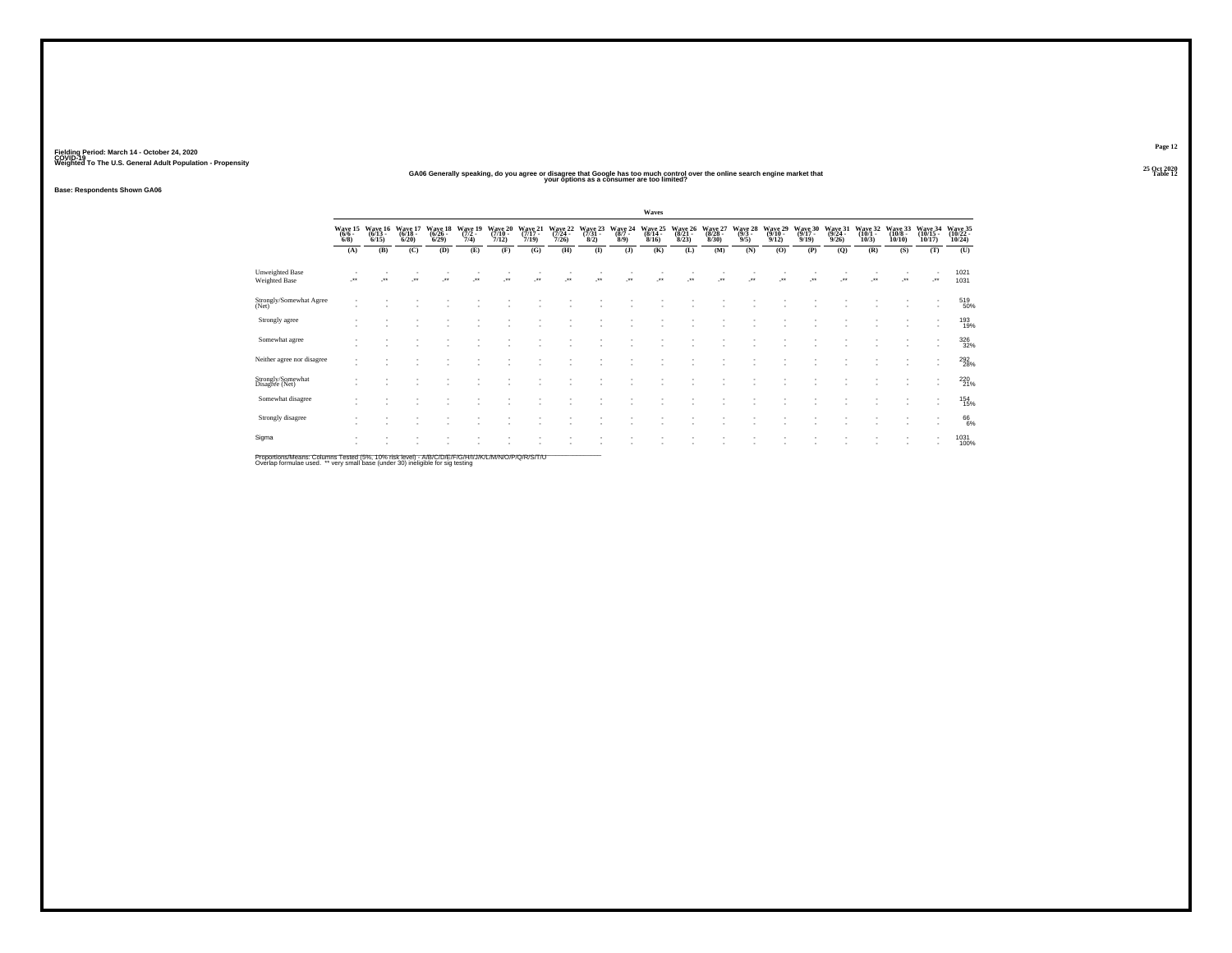#### **25 Oct 2020GA06 Generally speaking, do you agree or disagree that Google has too much control over the online search engine market that your options as a consumer are too limited?**

**Base: Respondents Shown GA06**

|                                                |                              |                            |                              |                            |                             |                               |                      |                            |                      |                            | Waves                        |                            |                              |                      |                 |                              |                                        |                              |                               |                                |                              |
|------------------------------------------------|------------------------------|----------------------------|------------------------------|----------------------------|-----------------------------|-------------------------------|----------------------|----------------------------|----------------------|----------------------------|------------------------------|----------------------------|------------------------------|----------------------|-----------------|------------------------------|----------------------------------------|------------------------------|-------------------------------|--------------------------------|------------------------------|
|                                                | Wave 15<br>(6/6 -<br>$6/8$ ) | Wave 16<br>(6/13 -<br>6/15 | Wave 17<br>$(6/18 -$<br>6/20 | Wave 18<br>(6/26 -<br>6/29 | Wave 19<br>$(7/2 -$<br>7/4) | Wave 20<br>$(7/10 -$<br>7/12) | Wave 21<br>7/19      | Wave 22<br>(7/24 -<br>7/26 | Wave 23<br>8/2)      | Wave 24<br>$(8/7 -$<br>8/9 | Wave 25<br>$(8/14 -$<br>8/16 | Wave 26<br>(8/21 -<br>8/23 | Wave 27<br>$(8/28 -$<br>8/30 | Wave 28<br>9/5       | Wave 29<br>9/12 | Wave 30<br>$(9/17 -$<br>9/19 | Wave 31<br>(9/24 -<br>9/26             | Wave 32<br>$(10/1 -$<br>10/3 | Wave 33<br>$(10/8 -$<br>10/10 | Wave 34<br>$(10/15 -$<br>10/17 | Wave 35<br>(10/22 -<br>10/24 |
|                                                | (A)                          | (B)                        | (C)                          | (D)                        | (E)                         | (F)                           | (G)                  | (H)                        | $($ $\Gamma$         | $($ J $)$                  | (K)                          | (L)                        | (M)                          | (N)                  | (O)             | (P)                          | (Q)                                    | (R)                          | (S)                           | (T)                            | (U)                          |
| <b>Unweighted Base</b><br><b>Weighted Base</b> |                              | ÷                          | $^{\tiny{**}}$               | $\ddot{\phantom{0}}$       |                             | $\overline{a}$                | $\ddot{\phantom{0}}$ | $\bullet\bullet$           | $\ddot{\phantom{0}}$ | $^{+}$                     | $\ddot{\phantom{1}}$         |                            | $\cdot$                      | $\ddot{\phantom{1}}$ | $^{\tiny{**}}$  |                              | $^{\tiny{\text{+}}\, \tiny{\text{+}}}$ | $\bullet\bullet$             | $^{\tiny{**}}$                |                                | 1021<br>1031                 |
| Strongly/Somewhat Agree<br>(Net)               |                              |                            |                              |                            |                             |                               |                      |                            |                      |                            |                              |                            |                              |                      |                 |                              |                                        |                              |                               | $\overline{\phantom{a}}$       | 519<br>50%                   |
| Strongly agree                                 | ٠                            |                            |                              |                            |                             |                               |                      |                            |                      |                            |                              |                            |                              |                      |                 |                              |                                        |                              |                               |                                | 193<br>19%                   |
| Somewhat agree                                 |                              |                            |                              |                            |                             |                               |                      |                            |                      |                            |                              |                            |                              |                      |                 |                              |                                        |                              |                               |                                | 326<br>32%                   |
| Neither agree nor disagree                     | ٠                            |                            |                              |                            |                             |                               |                      |                            |                      |                            |                              |                            |                              |                      |                 |                              |                                        |                              |                               |                                | 292%                         |
| Strongly/Somewhat<br>Disagree (Net)            |                              |                            |                              |                            |                             |                               |                      |                            |                      |                            |                              |                            |                              |                      |                 |                              |                                        |                              |                               | ۰                              | 220 %                        |
| Somewhat disagree                              |                              |                            |                              |                            |                             |                               |                      |                            |                      |                            |                              |                            |                              |                      |                 |                              |                                        |                              |                               | $\sim$                         | 154<br>15%                   |
| Strongly disagree                              |                              |                            |                              |                            |                             |                               |                      |                            |                      |                            |                              |                            |                              |                      |                 |                              |                                        |                              |                               | ۰                              | 66%                          |
| Sigma                                          |                              |                            |                              |                            |                             |                               |                      |                            |                      |                            |                              |                            |                              |                      |                 |                              |                                        |                              |                               | $\mathbf{r}$                   | 1031<br>100%                 |

Proportions/Means: Columns Tested (5%, 10% risk level) - A/B/C/D/E/F/G/H/I/J/K/L/M/N/O/P/Q/R/S/T/U<br>Overlap formulae used. \*\* very small base (under 30) ineligible for sig testing

**Page 1225 Oct 2020<br>Table 12** 

**t** the contract of the contract of the contract of the contract of the contract of the contract of the contract of the contract of the contract of the contract of the contract of the contract of the contract of the contra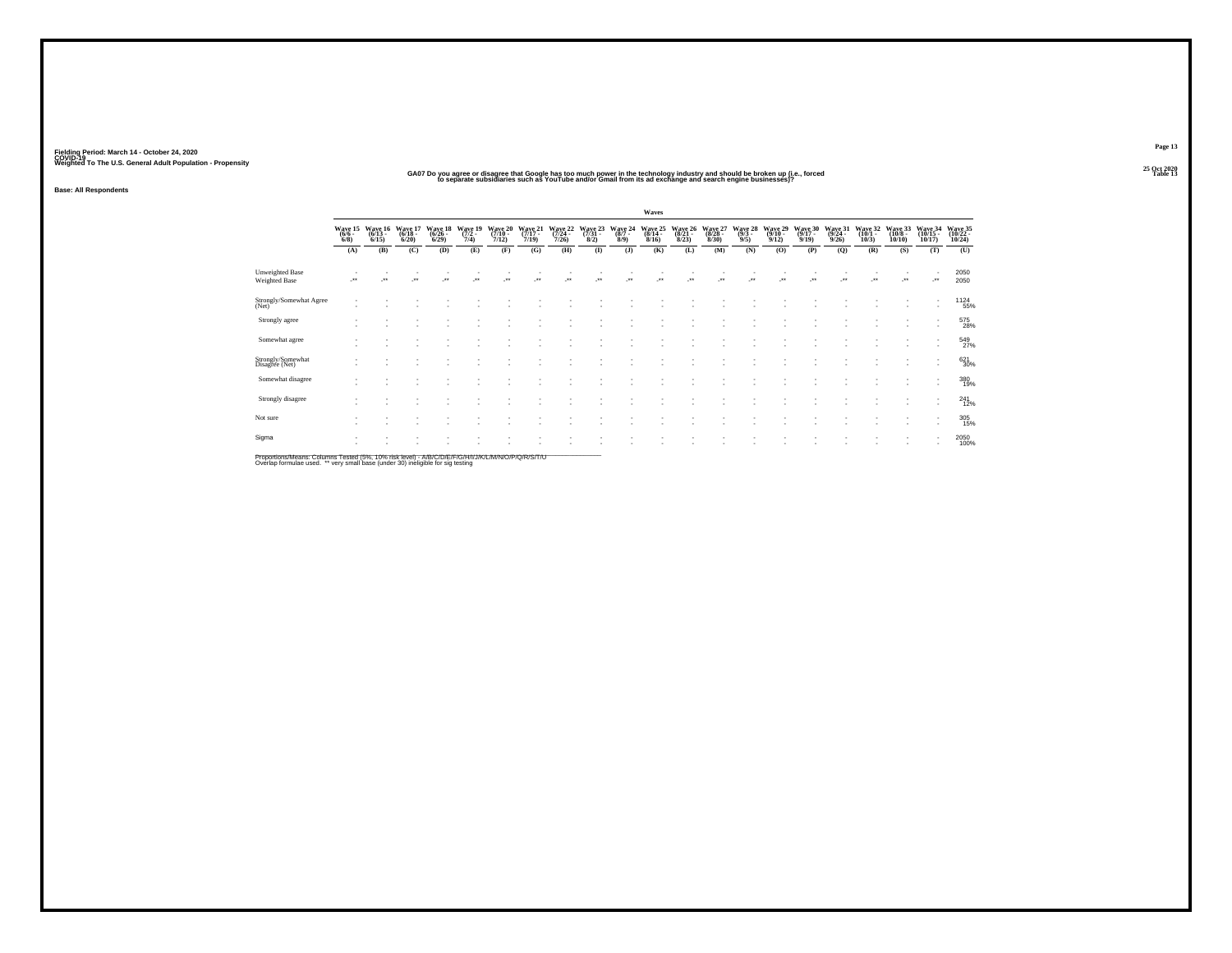#### 25 Oct 2020<br>GA07 Do you agree or disagree that Google has too much power in the technology industry and should be broken up (i.e., forced<br>Table 13 os parate subsidiaries such as YouTube and/or Gmail from its ad exchange a

**Base: All Respondents**

|                                         |                                      |                             |                                  |                                        |                                    |                                  |                                      |                                      |                                     |                                      | Waves                       |                                  |                             |                                |                              |                             |                                         |                                       |                                        |                                    |                               |
|-----------------------------------------|--------------------------------------|-----------------------------|----------------------------------|----------------------------------------|------------------------------------|----------------------------------|--------------------------------------|--------------------------------------|-------------------------------------|--------------------------------------|-----------------------------|----------------------------------|-----------------------------|--------------------------------|------------------------------|-----------------------------|-----------------------------------------|---------------------------------------|----------------------------------------|------------------------------------|-------------------------------|
|                                         | Wave 15<br>$\frac{(6/6 - 6)}{(6/8)}$ | Wave 16<br>(6/13 -<br>6/15) | Wave 17<br>$\frac{(6/18)}{6/20}$ | Wave 18<br>$\frac{(6/26 - 6)}{(6/29)}$ | Wave 19<br>$\frac{(7/2 - 7)}{7/4}$ | Wave 20<br>$\frac{(7/10)}{7/12}$ | Wave 21<br>$\frac{(7/17 - 7)}{7/19}$ | Wave 22<br>$\frac{(7/24 - 7)}{7/26}$ | Wave 23<br>$\frac{(7/31 - 8)}{8/2}$ | Wave 24<br>$\frac{(8/7 - 8)}{(8/9)}$ | Wave 25<br>(8/14 -<br>8/16) | Wave 26<br>$\frac{(8/21)}{8/23}$ | Wave 27<br>(8/28 -<br>8/30) | Wave 28<br>$\frac{(9/3)}{9/5}$ | Wave 29<br>$(9/10 -$<br>9/12 | Wave 30<br>(9/17 -<br>9/19) | Wave 31<br>$\frac{(9/24 - 9/26)}{9/26}$ | Wave 32<br>$\frac{(10/1 - 10)}{10/3}$ | Wave 33<br>$\frac{(10/8 - 10)}{10/10}$ | Wave 34<br>$\frac{(10/15)}{10/17}$ | Wave 35<br>(10/22 -<br>10/24) |
|                                         | (A)                                  | (B)                         | (C)                              | (D)                                    | (E)                                | (F)                              | (G)                                  | (H)                                  | $($ $\Gamma$                        | $($ J $)$                            | (K)                         | (L)                              | (M)                         | (N)                            | (O)                          | (P)                         | (Q)                                     | (R)                                   | (S)                                    | (T)                                | (U)                           |
| <b>Unweighted Base</b><br>Weighted Base | $\cdot$                              | $\cdot$                     | $\cdot$                          | $\cdot$                                | $\ddot{\phantom{1}}$               | $\ddot{\phantom{0}}$             | $\ddot{\phantom{1}}$                 | $\ddot{\phantom{1}}$                 | $^{\tiny{**}}$                      | $\ddot{\phantom{1}}$                 | $\ddot{\phantom{0}}$        | $\ddot{\phantom{1}}$             | $\bullet\,\bullet$          | $\ddot{\phantom{1}}$           | $\cdot$                      | $\bullet\bullet$            | $\ddot{\phantom{0}}$                    | $\bullet\bullet$                      |                                        | J.                                 | 2050<br>2050                  |
| Strongly/Somewhat Agree<br>(Net)        |                                      |                             |                                  |                                        |                                    |                                  |                                      |                                      |                                     |                                      |                             |                                  |                             |                                |                              |                             |                                         |                                       |                                        | ٠<br>÷.                            | 1124<br>55%                   |
| Strongly agree                          |                                      | $\overline{\phantom{a}}$    |                                  |                                        |                                    |                                  |                                      |                                      |                                     |                                      |                             |                                  |                             |                                |                              |                             |                                         |                                       |                                        | ٠<br>٠                             | 575<br>28%                    |
| Somewhat agree                          |                                      |                             |                                  |                                        |                                    |                                  |                                      |                                      |                                     |                                      |                             |                                  |                             |                                |                              |                             |                                         |                                       |                                        |                                    | 549<br>27%                    |
| Strongly/Somewhat<br>Disagree (Net)     |                                      |                             |                                  |                                        |                                    |                                  | ٠                                    |                                      |                                     |                                      |                             | $\sim$                           |                             |                                |                              |                             |                                         |                                       |                                        | ٠                                  | 621<br>30%                    |
| Somewhat disagree                       |                                      |                             |                                  |                                        |                                    |                                  | ٠                                    |                                      |                                     |                                      |                             | $\overline{\phantom{a}}$         |                             |                                |                              |                             |                                         |                                       |                                        | ٠<br>٠                             | 380<br>19%                    |
| Strongly disagree                       |                                      |                             |                                  |                                        |                                    |                                  |                                      |                                      |                                     |                                      |                             |                                  |                             |                                |                              |                             |                                         |                                       |                                        |                                    | $^{241}_{12\%}$               |
| Not sure                                |                                      |                             |                                  |                                        |                                    |                                  |                                      |                                      |                                     |                                      |                             |                                  |                             |                                |                              |                             |                                         |                                       |                                        |                                    | 305<br>15%                    |
| Sigma                                   |                                      |                             |                                  |                                        |                                    |                                  |                                      |                                      |                                     |                                      |                             |                                  |                             |                                |                              |                             |                                         |                                       |                                        |                                    | 2050<br>100%                  |
|                                         |                                      |                             |                                  |                                        |                                    |                                  |                                      |                                      |                                     |                                      |                             |                                  |                             |                                |                              |                             |                                         |                                       |                                        |                                    |                               |

Proportions/Means: Columns Tested (5%, 10% risk level) - A/B/C/D/E/F/G/H/I/J/K/L/M/N/O/P/Q/R/S/T/U<br>Overlap formulae used. \*\* very small base (under 30) ineligible for sig testing

**Page 13**25 Oct 2020<br>Table 13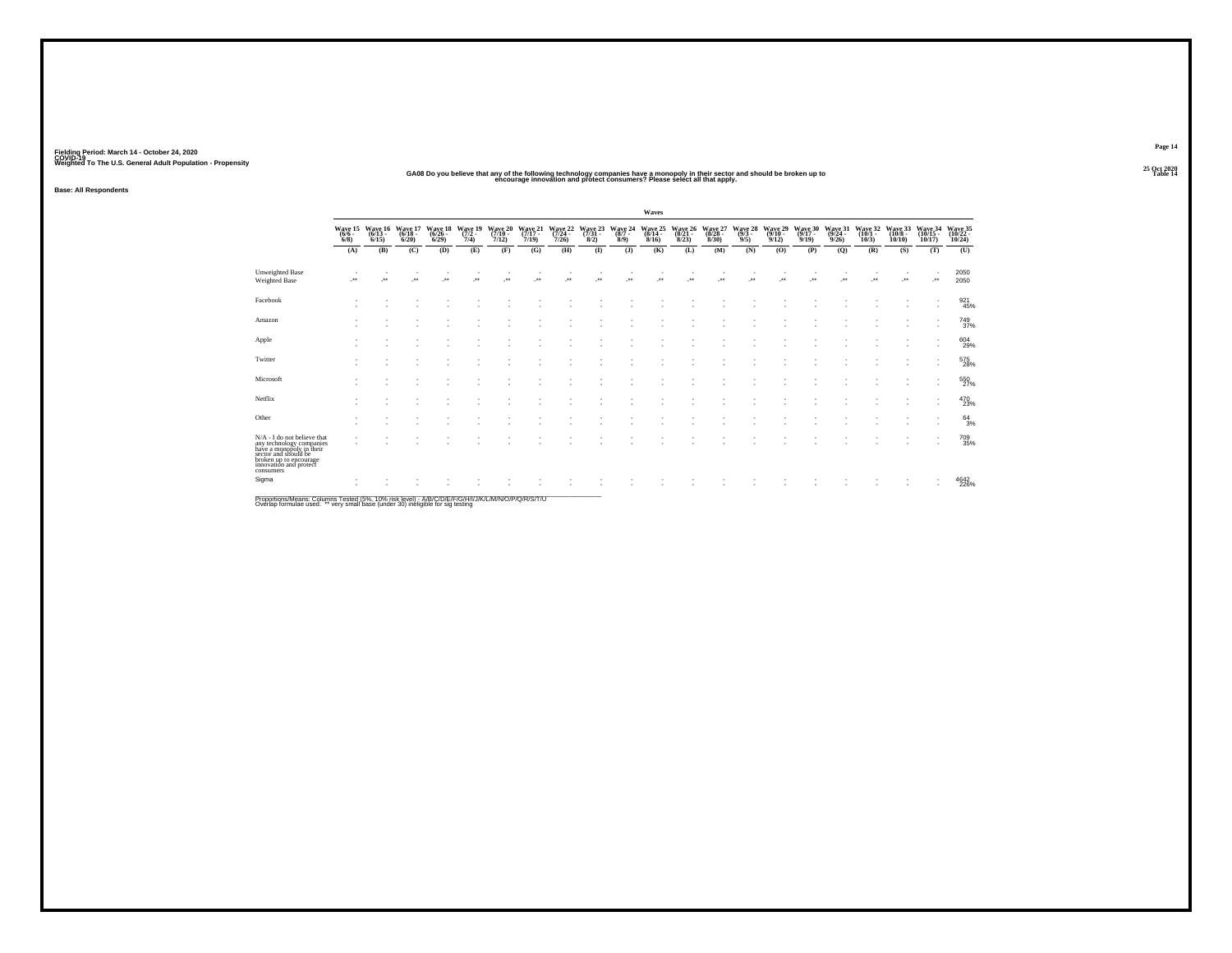# S Oct 2020<br>GA08 Do you believe that any of the following technology companies have a monopoly in their sector and should be broken up to<br>encourage innovation and protect consumers? Please select all that apply.

**Base: All Respondents**

|                                                                                                                                                                              |                                |                              |                              |                              |                            |                            |                              |                              |                 |                | Waves            |                            |                              |                  |                                           |                              |                              |                              |                             |                            |                               |
|------------------------------------------------------------------------------------------------------------------------------------------------------------------------------|--------------------------------|------------------------------|------------------------------|------------------------------|----------------------------|----------------------------|------------------------------|------------------------------|-----------------|----------------|------------------|----------------------------|------------------------------|------------------|-------------------------------------------|------------------------------|------------------------------|------------------------------|-----------------------------|----------------------------|-------------------------------|
|                                                                                                                                                                              | Wave 15<br>$(6/6 -$<br>$6/8$ ) | Wave 16<br>$(6/13 -$<br>6/15 | Wave 17<br>$(6/18 -$<br>6/20 | Wave 18<br>$(6/26 -$<br>6/29 | Wave 19<br>$(7/2 -$<br>7/4 | Wave 20<br>(7/10 -<br>7/12 | Wave 21<br>$(7/17 -$<br>7/19 | Wave 22<br>$(7/24 -$<br>7/26 | Wave 23<br>8/2) | Wave 24<br>8/9 | Wave 25<br>8/16  | Wave 26<br>(8/21 -<br>8/23 | Wave 27<br>$(8/28 -$<br>8/30 | 9/5              | Wave 28 Wave 29<br>(9/3 - (9/10 -<br>9/12 | Wave 30<br>$(9/17 -$<br>9/19 | Wave 31<br>$(9/24 -$<br>9/26 | Wave 32<br>$(10/1 -$<br>10/3 | Wave 33<br>(10/8 -<br>10/10 | Wave 34<br>(10/15<br>10/17 | Wave 35<br>(10/22 -<br>10/24  |
|                                                                                                                                                                              | (A)                            | (B)                          | (C)                          | (D)                          | (E)                        | (F)                        | (G)                          | (H)                          | $($ I           | $($ J $)$      | (K)              | (L)                        | (M)                          | (N)              | (O)                                       | (P)                          | (Q)                          | (R)                          | (S)                         | (T)                        | (U)                           |
| <b>Unweighted Base</b><br>Weighted Base                                                                                                                                      | $\cdot$                        | $\star$                      | $\cdot$                      | $\overline{\phantom{a}}$     | $\bullet\bullet$           | $\cdot$                    | $\ddotsc$                    | $\ddot{\phantom{1}}$         | $\cdot$         | Jes            | $\bullet\bullet$ | $\cdot$                    | ٠<br>$\cdot$                 | $\bullet\bullet$ | $\cdot$                                   | $\bullet\bullet$             | $\ddot{\phantom{1}}$         | $\overline{\phantom{a}}$     | $\ddotsc$                   | $\cdot$                    | 2050<br>2050                  |
| Facebook                                                                                                                                                                     |                                |                              |                              |                              |                            |                            |                              |                              |                 |                |                  |                            |                              |                  |                                           |                              |                              |                              |                             |                            | $\frac{921}{45\%}$            |
| Amazon                                                                                                                                                                       |                                |                              |                              |                              |                            |                            |                              |                              |                 |                |                  |                            |                              |                  |                                           |                              |                              |                              | $\overline{\phantom{a}}$    | $\overline{\phantom{a}}$   | <sup>749</sup> <sub>37%</sub> |
| Apple                                                                                                                                                                        |                                |                              |                              |                              |                            |                            |                              |                              |                 |                |                  |                            |                              |                  |                                           |                              |                              |                              |                             |                            | 604<br>29%                    |
| Twitter                                                                                                                                                                      |                                |                              |                              |                              |                            |                            |                              |                              |                 |                |                  |                            |                              |                  |                                           |                              |                              |                              |                             | $\overline{\phantom{a}}$   | 575<br>28%                    |
| Microsoft                                                                                                                                                                    |                                |                              |                              |                              |                            |                            |                              |                              |                 |                |                  |                            |                              |                  |                                           |                              |                              |                              |                             |                            | 550<br>27%                    |
| Netflix                                                                                                                                                                      |                                |                              |                              |                              |                            |                            |                              |                              |                 |                |                  |                            |                              |                  |                                           |                              |                              |                              |                             | $\overline{\phantom{a}}$   | 470<br>23%                    |
| Other                                                                                                                                                                        |                                |                              |                              |                              |                            |                            |                              |                              |                 |                |                  |                            |                              |                  |                                           |                              |                              |                              |                             | $\overline{\phantom{a}}$   | $^{64}_{3\%}$                 |
| N/A - I do not believe that<br>any technology companies<br>have a monopoly in their<br>sector and should be<br>broken up to encourage<br>innovation and protect<br>consumers |                                |                              |                              |                              |                            |                            |                              |                              |                 |                |                  |                            |                              |                  |                                           |                              |                              |                              | ٠                           | $\overline{\phantom{a}}$   | 709<br>35%                    |
| Sigma<br>$-$                                                                                                                                                                 |                                |                              |                              |                              |                            |                            |                              |                              |                 |                |                  |                            |                              |                  |                                           |                              |                              |                              |                             |                            | 4642<br>226%                  |

Proportions/Means: Columns Tested (5%, 10% risk level) - A/B/C/D/E/F/G/H/I/J/K/L/M/N/O/P/Q/R/S/T/U<br>Overlap formulae used. \*\* very small base (under 30) ineligible for sig testing

**Page 1425 Oct 2020<br>Table 14**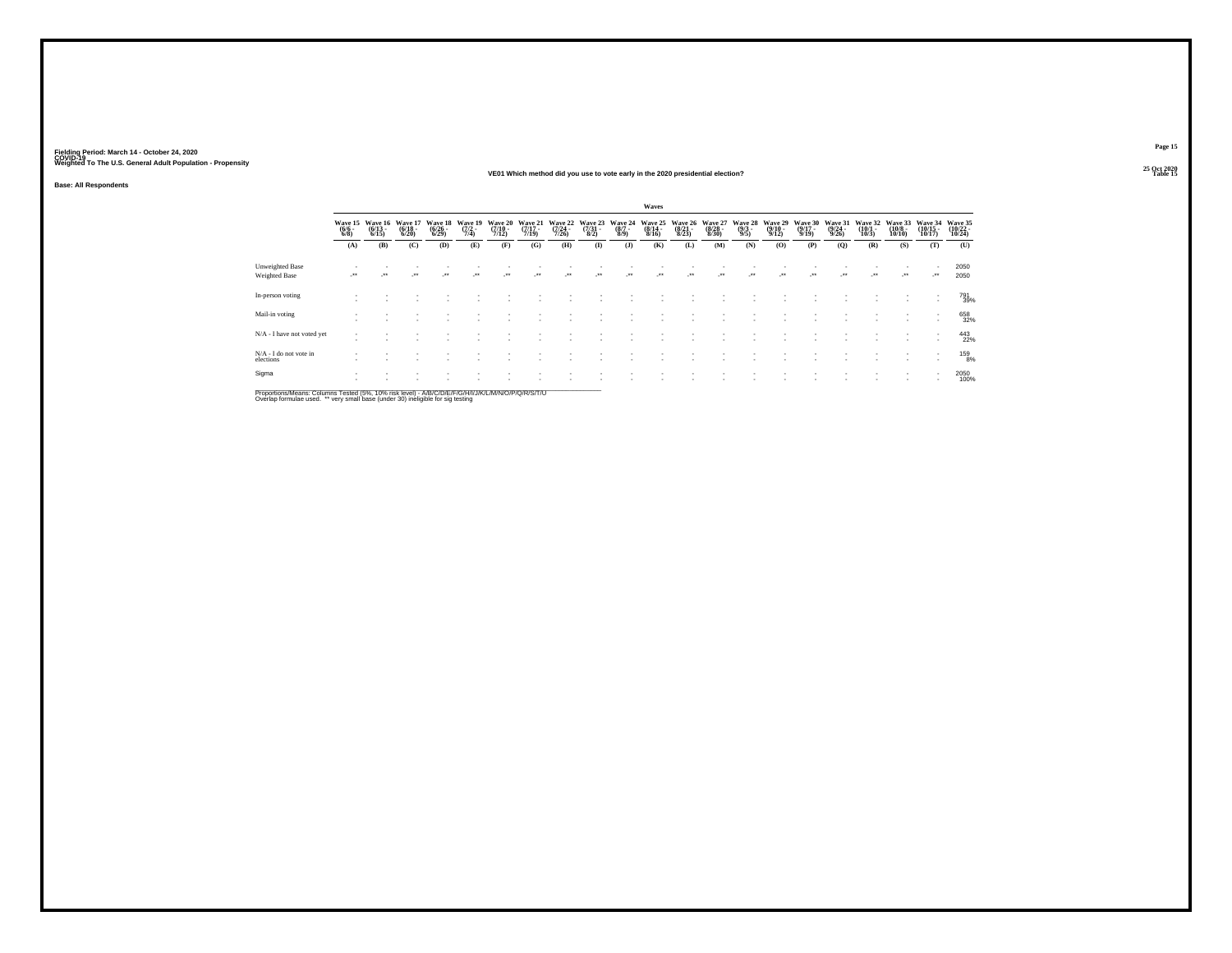#### **25 Oct 2020VE01 Which method did you use to vote early in the 2020 presidential election?Table 15 Table 15 Table 15 Table 15 Table 15 Table 15 Table 15 Table 15**

**Base: All Respondents**

|                                                |                                |                              |                                  |                                    |                                |                              |                                  |                             |                                     |                                      | Waves                                    |                             |                                  |                                |                                       |                                  |                             |                              |                                   |                                |                            |
|------------------------------------------------|--------------------------------|------------------------------|----------------------------------|------------------------------------|--------------------------------|------------------------------|----------------------------------|-----------------------------|-------------------------------------|--------------------------------------|------------------------------------------|-----------------------------|----------------------------------|--------------------------------|---------------------------------------|----------------------------------|-----------------------------|------------------------------|-----------------------------------|--------------------------------|----------------------------|
|                                                | Wave 15<br>$\frac{(6/6)}{6/8}$ | Wave 16<br>$(6/13 -$<br>6/15 | Wave 17<br>$\frac{(6/18)}{6/20}$ | Wave 18<br>$\frac{(6/26)}{(6/29)}$ | Wave 19<br>$\frac{(7/2)}{7/4}$ | Wave 20<br>$(7/10 -$<br>7/12 | Wave 21<br>$\frac{(7/17)}{7/19}$ | Wave 22<br>(7/24 -<br>7/26) | Wave 23<br>$\frac{(7/31 - 8)}{8/2}$ | Wave 24<br>$\frac{(8/7 - 8)}{(8/9)}$ | Wave 25<br>$\frac{(8/14 \cdot 8)}{8/16}$ | Wave 26<br>(8/21 -<br>8/23) | Wave 27<br>$\frac{(8/28)}{8/30}$ | Wave 28<br>$\frac{(9/3)}{9/5}$ | Wave 29<br>$\frac{(9/10-9/12)}{9/12}$ | Wave 30<br>$\frac{(9/17)}{9/19}$ | Wave 31<br>(9/24 -<br>9/26) | Wave 32<br>$(10/1 -$<br>10/3 | Wave 33<br>$\frac{(10/8)}{10/10}$ | Wave 34<br>$(10/15 -$<br>10/17 | Wave 35<br>(10/22<br>10/24 |
|                                                | (A)                            | (B)                          | (C)                              | (D)                                | (E)                            | (F)                          | (G)                              | (H)                         | $\bf{I}$                            | $($ J $)$                            | (K)                                      | (L)                         | (M)                              | (N)                            | (O)                                   | (P)                              | (Q)                         | (R)                          | (S)                               | (T)                            | (U)                        |
| <b>Unweighted Base</b><br><b>Weighted Base</b> | $\cdot$                        | $\star$                      | $\cdot$                          | $\bullet\bullet$                   | $\bullet\bullet$               | $\bullet\bullet$             | $\bullet\bullet$                 | $\bullet\bullet$            | $\bullet\bullet$                    | $\cdot$                              | $\ddot{\phantom{1}}$                     | $\ddot{\phantom{1}}$        | $\bullet\bullet$                 | $\bullet\bullet$               | $\bullet\bullet$                      | $\bullet\bullet$                 | $\cdot$                     | $\ddot{\phantom{1}}$         | $\ddot{\phantom{1}}$              |                                | 2050<br>2050               |
| In-person voting                               |                                |                              |                                  |                                    |                                |                              |                                  |                             |                                     |                                      |                                          |                             |                                  |                                |                                       |                                  |                             |                              |                                   | $\sim$                         | 791<br>39%                 |
| Mail-in voting                                 |                                |                              |                                  |                                    |                                |                              |                                  |                             |                                     |                                      |                                          |                             |                                  |                                |                                       |                                  |                             |                              |                                   |                                | 658<br>32%                 |
| N/A - I have not voted yet                     |                                |                              |                                  |                                    |                                |                              |                                  |                             |                                     |                                      |                                          |                             |                                  |                                |                                       |                                  |                             |                              |                                   |                                | 443<br>22%                 |
| $N/A - I$ do not vote in elections             |                                |                              |                                  |                                    |                                |                              |                                  |                             |                                     |                                      |                                          |                             |                                  |                                |                                       |                                  |                             |                              |                                   | $\sim$                         | 159<br>8%                  |
| Sigma                                          |                                |                              |                                  |                                    |                                |                              |                                  |                             |                                     |                                      |                                          |                             |                                  |                                |                                       |                                  |                             |                              |                                   |                                | 2050<br>100%               |

Proportions/Means: Columns Tested (5%, 10% risk level) - A/B/C/D/E/F/G/H/I/J/K/L/M/N/O/P/Q/R/S/T/U<br>Overlap formulae used. \*\* very small base (under 30) ineligible for sig testing

**Page 15**25 Oct 2020<br>Table 15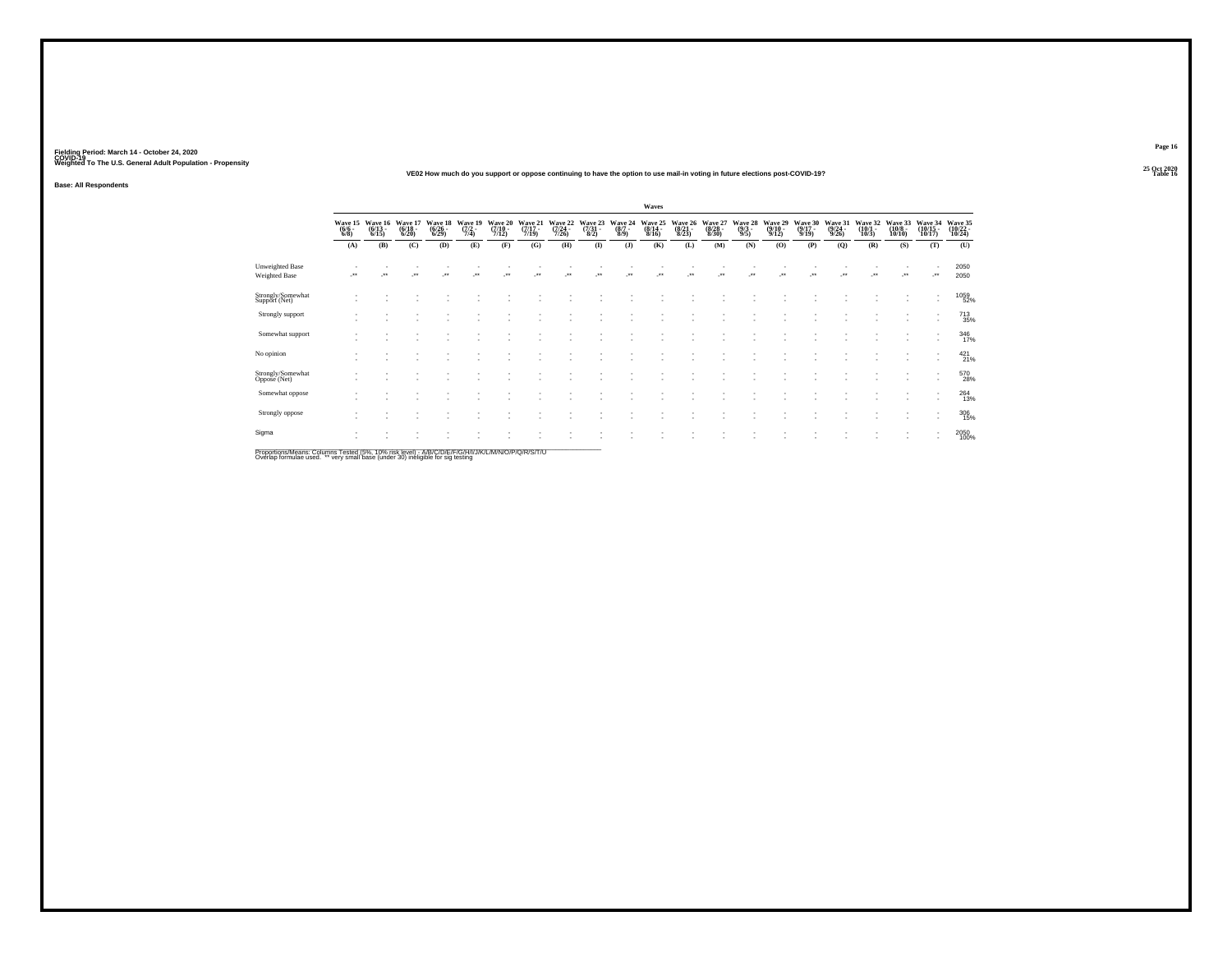#### **25 Oct 2020VE02 How much do you support or oppose continuing to have the option to use mail-in voting in future elections post-COVID-19?Particular Table 16 Table 16 Table 16 Table 16 Table 16 Table 16 Table 16**

**Base: All Respondents**

|                                                                                                                       |                                |                                 |                             |                             |                                    |                             |                             |                             |                            |                           | Waves                       |                             |                             |                           |                             |                             |                             |                             |                              |                                                      |                               |
|-----------------------------------------------------------------------------------------------------------------------|--------------------------------|---------------------------------|-----------------------------|-----------------------------|------------------------------------|-----------------------------|-----------------------------|-----------------------------|----------------------------|---------------------------|-----------------------------|-----------------------------|-----------------------------|---------------------------|-----------------------------|-----------------------------|-----------------------------|-----------------------------|------------------------------|------------------------------------------------------|-------------------------------|
|                                                                                                                       | Wave 15<br>$\frac{(6/6)}{6/8}$ | Wave 16<br>$\binom{6/13}{6/15}$ | Wave 17<br>(6/18 -<br>6/20) | Wave 18<br>(6/26 -<br>6/29) | Wave 19<br>$\frac{(7/2 - 1)}{7/4}$ | Wave 20<br>(7/10 -<br>7/12) | Wave 21<br>(7/17 -<br>7/19) | Wave 22<br>(7/24 -<br>7/26) | Wave 23<br>(7/31 -<br>8/2) | Wave 24<br>(8/7 -<br>8/9) | Wave 25<br>(8/14 -<br>8/16) | Wave 26<br>(8/21 -<br>8/23) | Wave 27<br>(8/28 -<br>8/30) | Wave 28<br>(9/3 -<br>9/5) | Wave 29<br>(9/10 -<br>9/12) | Wave 30<br>(9/17 -<br>9/19) | Wave 31<br>(9/24 -<br>9/26) | Wave 32<br>(10/1 -<br>10/3) | Wave 33<br>(10/8 -<br>10/10) | Wave 34<br>(10/15<br>10/17)                          | Wave 35<br>(10/22 -<br>10/24) |
|                                                                                                                       | (A)                            | (B)                             | (C)                         | (D)                         | (E)                                | (F)                         | (G)                         | (H)                         | (1)                        | (J)                       | (K)                         | (L)                         | (M)                         | (N)                       | (0)                         | (P)                         | (Q)                         | (R)                         | (S)                          | (T)                                                  | (U)                           |
| Unweighted Base<br><b>Weighted Base</b>                                                                               | ٠.                             | $\star$                         | $\bullet\bullet$            | $\ddot{\phantom{1}}$        | $\ddot{\phantom{1}}$               | $\ddot{\phantom{1}}$        | $\ddot{\phantom{0}}$        | $\ddot{\phantom{1}}$        | $^{\tiny{**}}$             | $\ddot{\phantom{1}}$      | $\ddot{\phantom{1}}$        | $\ddot{\phantom{1}}$        | $\ddot{}$                   | $\ddot{\phantom{1}}$      | $\bullet\,\bullet$          |                             | $\ddot{\phantom{1}}$        | $\ddot{\phantom{0}}$        | $\cdot$                      | $\cdot$                                              | 2050<br>2050                  |
| Strongly/Somewhat<br>Support (Net)                                                                                    |                                |                                 |                             |                             |                                    |                             |                             |                             |                            |                           |                             |                             |                             |                           |                             |                             |                             |                             |                              | $\;$<br>$\overline{\phantom{a}}$                     | 1059<br>52%                   |
| Strongly support                                                                                                      |                                |                                 |                             |                             |                                    |                             |                             |                             |                            |                           |                             |                             |                             |                           |                             |                             |                             |                             |                              | $\overline{\phantom{a}}$                             | 713<br>35%                    |
| Somewhat support                                                                                                      |                                |                                 |                             |                             |                                    |                             |                             |                             |                            |                           |                             |                             |                             |                           |                             |                             |                             |                             |                              | $\overline{\phantom{a}}$                             | 346<br>17%                    |
| No opinion                                                                                                            |                                |                                 |                             |                             |                                    |                             |                             |                             |                            |                           |                             |                             |                             |                           |                             |                             |                             |                             |                              | ٠<br>$\overline{\phantom{a}}$                        | $^{421}_{21\%}$               |
| Strongly/Somewhat<br>Oppose (Net)                                                                                     |                                |                                 |                             |                             |                                    |                             |                             |                             |                            |                           |                             |                             |                             |                           |                             |                             |                             |                             |                              | $\overline{\phantom{a}}$<br>$\overline{\phantom{a}}$ | 570<br>28%                    |
| Somewhat oppose                                                                                                       |                                |                                 |                             |                             |                                    |                             |                             |                             |                            |                           |                             |                             |                             |                           |                             |                             |                             |                             | ٠                            | $\overline{\phantom{a}}$<br>$\overline{\phantom{a}}$ | 264<br>13%                    |
| Strongly oppose                                                                                                       |                                |                                 |                             |                             |                                    |                             |                             |                             |                            |                           |                             |                             |                             |                           |                             |                             |                             |                             |                              | ٠<br>$\overline{\phantom{a}}$                        | $\frac{306}{15\%}$            |
| Sigma<br>Descriptions & Association of Trade of 1501-1600 Selections & IDIO IDIO IDIO ANNUAL ANNUAL IDIO IDIO IDIO IN |                                |                                 |                             |                             |                                    |                             |                             |                             |                            |                           |                             |                             |                             |                           |                             |                             |                             |                             | ٠                            | $\overline{\phantom{a}}$<br>$\overline{\phantom{a}}$ | 2050<br>100%                  |

Proportions/Means: Columns Tested (5%, 10% risk level) - A/B/C/D/E/F/G/H/I/J/K/L/M/N/O/P/Q/R/S/T/U<br>Overlap formulae used. \*\* very small base (under 30) ineligible for sig testing

**Page 1625 Oct 2020<br>Table 16**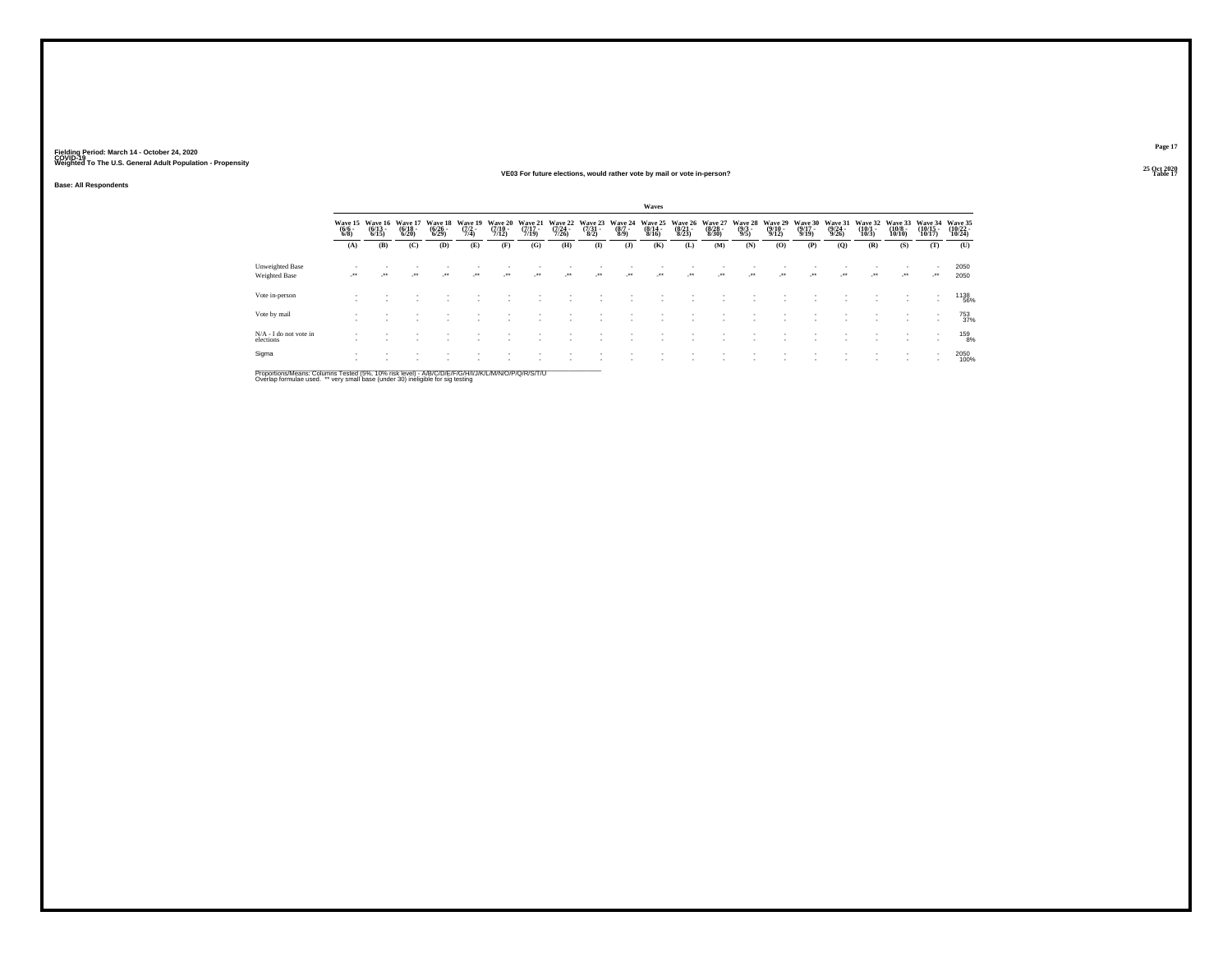#### **25 Oct 2020VE03 For future elections, would rather vote by mail or vote in-person?**

**Base: All Respondents**

|                                     |                                |                                  |                                  |                                    |                                |                                  |                                  |                                      |                            |                           | Waves                       |                             |                                  |                           |                                         |                             |                             |                                  |                              |                                    |                               |
|-------------------------------------|--------------------------------|----------------------------------|----------------------------------|------------------------------------|--------------------------------|----------------------------------|----------------------------------|--------------------------------------|----------------------------|---------------------------|-----------------------------|-----------------------------|----------------------------------|---------------------------|-----------------------------------------|-----------------------------|-----------------------------|----------------------------------|------------------------------|------------------------------------|-------------------------------|
|                                     | Wave 15<br>$\frac{(6/6)}{6/8}$ | Wave 16<br>$\frac{(6/13)}{6/15}$ | Wave 17<br>$\frac{(6/18)}{6/20}$ | Wave 18<br>$\frac{(6/26)}{(6/29)}$ | Wave 19<br>$\frac{(7/2)}{7/4}$ | Wave 20<br>$\frac{(7/10)}{7/12}$ | Wave 21<br>$\frac{(7/17)}{7/19}$ | Wave 22<br>$\frac{(7/24 - 7)}{7/26}$ | Wave 23<br>(7/31 -<br>8/2) | Wave 24<br>(8/7 -<br>8/9) | Wave 25<br>(8/14 -<br>8/16) | Wave 26<br>(8/21 -<br>8/23) | Wave 27<br>$\frac{(8/28)}{8/30}$ | Wave 28<br>(9/3 -<br>9/5) | Wave 29<br>$\frac{(9/10 - 9/12)}{9/12}$ | Wave 30<br>(9/17 -<br>9/19) | Wave 31<br>(9/24 -<br>9/26) | Wave 32<br>$\frac{(10/1)}{10/3}$ | Wave 33<br>(10/8 -<br>10/10) | Wave 34<br>(10/15 -<br>10/17)      | Wave 35<br>(10/22 -<br>10/24) |
|                                     | (A)                            | (B)                              | (C)                              | (D)                                | (E)                            | (F)                              | (G)                              | (H)                                  | $($ $\Gamma$               | $($ $)$                   | (K)                         | (L)                         | (M)                              | (N)                       | (0)                                     | (P)                         | (Q)                         | (R)                              | (S)                          | (T)                                | (U)                           |
| Unweighted Base<br>Weighted Base    | $\cdot$                        | $\bullet\bullet$                 | $\cdot$                          | $\cdot$                            | $\cdot$                        | $\overline{\phantom{a}}$         | -**                              | $\cdot$                              | $\bullet\,\bullet$         | $\cdot$                   |                             | $\cdot$                     | $^{\tiny{**}}$                   | $\cdot$                   | $\cdot$                                 |                             | $\cdot$                     | $\cdot$                          | ٠<br>$\cdot$                 | $\sim$<br>$\cdot$                  | 2050<br>2050                  |
| Vote in-person                      |                                |                                  |                                  |                                    |                                |                                  |                                  |                                      |                            |                           |                             |                             |                                  |                           |                                         |                             |                             |                                  |                              | $\sim$<br>٠                        | 1138<br>56%                   |
| Vote by mail                        |                                |                                  |                                  |                                    |                                |                                  |                                  |                                      |                            |                           |                             |                             |                                  |                           |                                         |                             |                             |                                  |                              | $\sim$<br>٠                        | 753<br>37%                    |
| N/A - I do not vote in<br>elections |                                |                                  |                                  |                                    |                                |                                  |                                  |                                      |                            |                           |                             |                             |                                  |                           |                                         |                             |                             |                                  |                              | $\sim$<br>$\overline{\phantom{a}}$ | 159<br>8%                     |
| Sigma                               |                                |                                  |                                  |                                    |                                |                                  |                                  |                                      |                            |                           |                             |                             |                                  |                           |                                         |                             |                             |                                  |                              | $\sim$                             | 2050<br>100%                  |

Proportions/Means: Columns Tested (5%, 10% risk level) - A/B/C/D/E/F/G/H/I/J/K/L/M/N/O/P/Q/R/S/T/U<br>Overlap formulae used. \*\* very small base (under 30) ineligible for sig testing

**Page 1725 Oct 2020<br>Table 17** 

**Table 17 Table 17 Table 17 Table 17 Table 17 Table 17 Table 17 Table 17**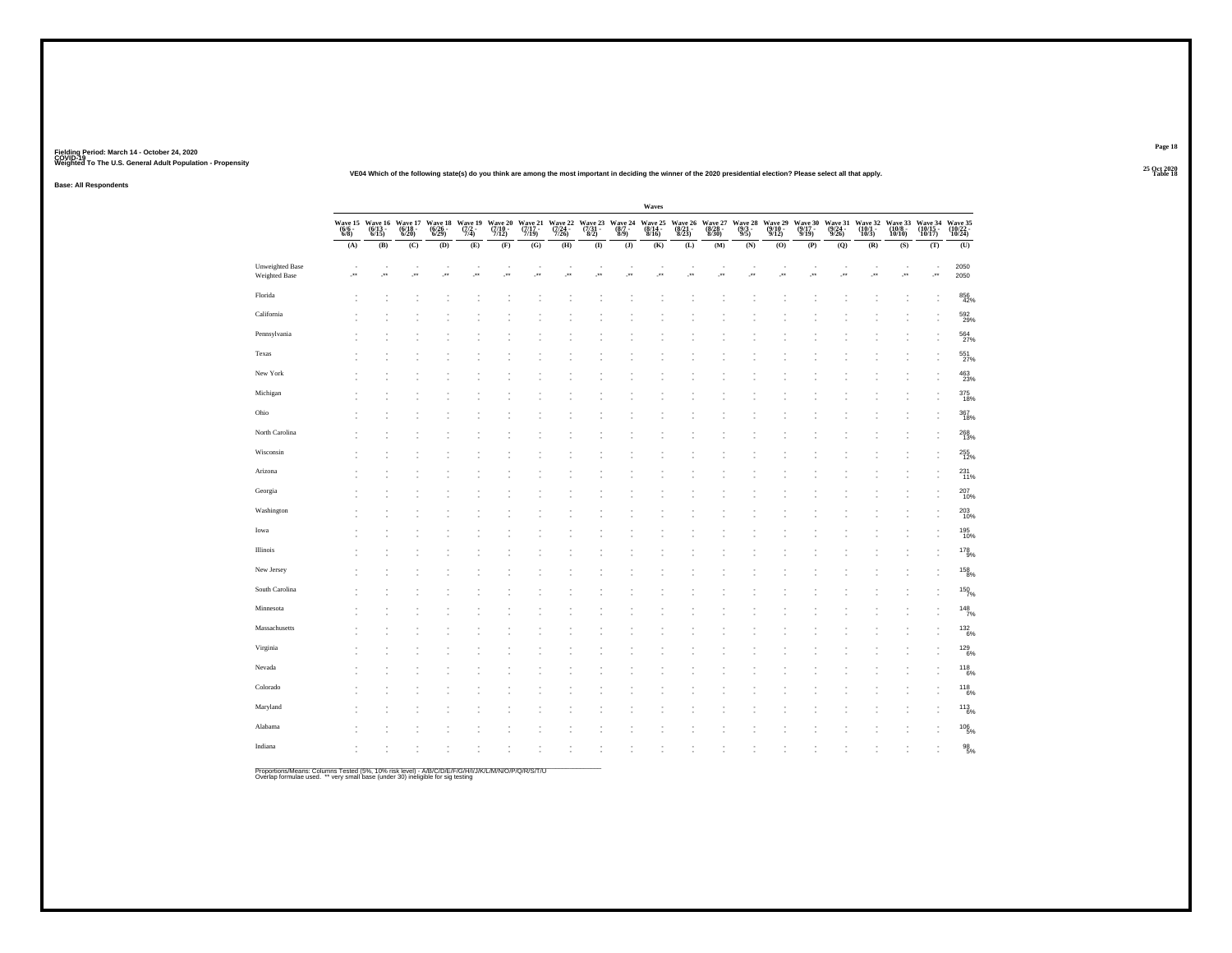**25 Oct 2020VE04 Which of the following state(s) do you think are among the most important in deciding the winner of the 2020 presidential election? Please select all that apply.**

**Base: All Respondents**

|                                  |                               |                                                          |         |                             |                               |                                                   |                             |                             |           |                                                | Waves                       |                             |                                                                                 |                           |                             |                             |                             |                             |                              |                               |                               |
|----------------------------------|-------------------------------|----------------------------------------------------------|---------|-----------------------------|-------------------------------|---------------------------------------------------|-----------------------------|-----------------------------|-----------|------------------------------------------------|-----------------------------|-----------------------------|---------------------------------------------------------------------------------|---------------------------|-----------------------------|-----------------------------|-----------------------------|-----------------------------|------------------------------|-------------------------------|-------------------------------|
|                                  | Wave 15<br>$(6/6 -$<br>$6/8)$ | Wave 16 Wave 17<br>(6/13 - 6/18 - 6/15)<br>6/15) - 6/20) |         | Wave 18<br>(6/26 -<br>6/29) | Wave 19 $\frac{(7/2)^2}{7/4}$ | Wave 20<br>(7/10 -<br>7/12)                       | Wave 21<br>(7/17 -<br>7/19) | Wave 22<br>(7/24 -<br>7/26) |           | Wave 23 Wave 24<br>(7/31 - (8/7 - 8/2)<br>8/9) | Wave 25<br>(8/14 -<br>8/16) | Wave 26<br>(8/21 -<br>8/23) | $\underset{\substack{\textbf{(8/28\,-\textbf{8/30})}}{1.30}}{\textbf{Wave 27}}$ | Wave 28<br>(9/3 -<br>9/5) | Wave 29<br>(9/10 -<br>9/12) | Wave 30<br>(9/17 -<br>9/19) | Wave 31<br>(9/24 -<br>9/26) | Wave 32<br>(10/1 -<br>10/3) | Wave 33<br>(10/8 -<br>10/10) | Wave 34<br>(10/15 -<br>10/17) | Wave 35<br>(10/22 -<br>10/24) |
|                                  | (A)                           | (B)                                                      | (C)     | $\left(\mathbf{D}\right)$   | (E)                           | (F)                                               | (G)                         | (H)                         | $\bf (I)$ | $\bf{(J)}$                                     | (K)                         | (L)                         | $(\mathbf{M})$                                                                  | (N)                       | (0)                         | (P)                         | (Q)                         | (R)                         | (S)                          | (T)                           | (U)                           |
| Unweighted Base<br>Weighted Base | $\cdot$                       | ÷                                                        | $\cdot$ | $\cdot$                     | ÷                             | $\overline{\phantom{a}}$<br>$\mathcal{C}^{\star}$ | ×<br>÷                      | ٠<br>$\cdot$                | ł,<br>÷.  | ×                                              | ٠<br>÷.                     | ÷                           | $\overline{\phantom{a}}$<br>$\mathcal{C}^{\star}$                               | ٠<br>÷                    | $\cdot$                     | ٠<br>51                     | ÷                           | 59                          | ÷                            | $\overline{\phantom{a}}$<br>÷ | 2050<br>2050                  |
| Florida                          |                               |                                                          |         |                             |                               |                                                   |                             |                             |           |                                                |                             |                             |                                                                                 |                           |                             |                             |                             |                             |                              |                               | 856<br>42%                    |
| California                       |                               |                                                          |         |                             |                               |                                                   |                             |                             |           |                                                |                             |                             |                                                                                 |                           |                             |                             |                             |                             |                              |                               | 592<br>29%                    |
| Pennsylvania                     |                               |                                                          |         |                             |                               |                                                   |                             |                             |           |                                                |                             |                             |                                                                                 |                           |                             |                             |                             |                             |                              |                               | 564                           |
| Texas                            |                               |                                                          |         |                             |                               |                                                   |                             |                             |           |                                                |                             |                             |                                                                                 |                           |                             |                             |                             |                             |                              |                               | 551%                          |
| New York                         |                               |                                                          |         |                             |                               |                                                   |                             |                             |           |                                                |                             |                             |                                                                                 |                           |                             |                             |                             |                             |                              |                               | 463<br>23%                    |
| Michigan                         |                               |                                                          |         |                             |                               |                                                   |                             |                             |           |                                                |                             |                             |                                                                                 |                           |                             |                             |                             |                             |                              |                               | 375<br>18%                    |
| Ohio                             |                               |                                                          |         |                             |                               |                                                   |                             |                             |           |                                                |                             |                             |                                                                                 |                           |                             |                             |                             |                             |                              |                               | 367<br>18%                    |
| North Carolina                   |                               |                                                          |         |                             |                               |                                                   |                             |                             |           |                                                |                             |                             |                                                                                 |                           |                             |                             |                             |                             |                              |                               | 268<br>13%                    |
| Wisconsin                        |                               |                                                          |         |                             |                               |                                                   |                             |                             |           |                                                |                             |                             |                                                                                 |                           |                             |                             |                             |                             |                              |                               | 255<br>12%                    |
| Arizona                          |                               |                                                          |         |                             |                               |                                                   |                             |                             |           |                                                |                             |                             |                                                                                 |                           |                             |                             |                             |                             |                              |                               | $^{231}_{11\%}$               |
| Georgia                          |                               |                                                          |         |                             |                               |                                                   |                             |                             |           |                                                |                             |                             |                                                                                 |                           |                             |                             |                             |                             |                              |                               | 207<br>10%                    |
| Washington                       |                               |                                                          |         |                             |                               |                                                   |                             |                             |           |                                                |                             |                             |                                                                                 |                           |                             |                             |                             |                             |                              |                               | 203<br>10%                    |
| Iowa                             |                               |                                                          |         |                             |                               |                                                   |                             |                             |           |                                                |                             |                             |                                                                                 |                           |                             |                             |                             |                             |                              |                               | 195<br>10%                    |
| Illinois                         |                               |                                                          |         |                             |                               |                                                   |                             |                             |           |                                                |                             |                             |                                                                                 |                           |                             |                             |                             |                             |                              |                               | 178<br>9%                     |
| New Jersey                       |                               |                                                          |         |                             |                               |                                                   |                             |                             |           |                                                |                             |                             |                                                                                 |                           |                             |                             |                             |                             |                              |                               | $^{158}_{\phantom{1}8\%}$     |
| South Carolina                   |                               |                                                          |         |                             |                               |                                                   |                             |                             |           |                                                |                             |                             |                                                                                 |                           |                             |                             |                             |                             |                              |                               | 150%                          |
| Minnesota                        |                               |                                                          |         |                             |                               |                                                   |                             |                             |           |                                                |                             |                             |                                                                                 |                           |                             |                             |                             |                             |                              |                               | $148$ <sub>7%</sub>           |
| Massachusetts                    |                               |                                                          |         |                             |                               |                                                   |                             |                             |           |                                                |                             |                             |                                                                                 |                           |                             |                             |                             |                             |                              |                               | 132/6%                        |
| Virginia                         |                               |                                                          |         |                             |                               |                                                   |                             |                             |           |                                                |                             |                             |                                                                                 |                           |                             |                             |                             |                             |                              |                               | <sup>129</sup> 6%             |
| Nevada                           |                               |                                                          |         |                             |                               |                                                   |                             |                             |           |                                                |                             |                             |                                                                                 |                           |                             |                             |                             |                             |                              |                               | $^{118}_{\phantom{1}6\%}$     |
| Colorado                         |                               |                                                          |         |                             |                               |                                                   |                             |                             |           |                                                |                             |                             |                                                                                 |                           |                             |                             |                             |                             |                              |                               | <sup>118</sup> <sub>6%</sub>  |
| Maryland                         |                               |                                                          |         |                             |                               |                                                   |                             |                             |           |                                                |                             |                             |                                                                                 |                           |                             |                             |                             |                             |                              |                               | $113 \atop 6\%$               |
| Alabama                          |                               |                                                          |         |                             |                               |                                                   |                             |                             |           |                                                |                             |                             |                                                                                 |                           |                             |                             |                             |                             |                              |                               | 106<br>5%                     |
| Indiana                          |                               |                                                          |         |                             |                               |                                                   |                             |                             |           |                                                |                             |                             |                                                                                 |                           |                             |                             |                             |                             |                              |                               | $^{98}_{5\%}$                 |

Proportions/Means: Columns Tested (5%, 10% risk level) - A/B/C/D/E/F/G/H/I/J/K/L/M/N/O/P/Q/R/S/T/U<br>Overlap formulae used. \*\* very small base (under 30) ineligible for sig testing

**Page 18**

**Table 18 Table 18**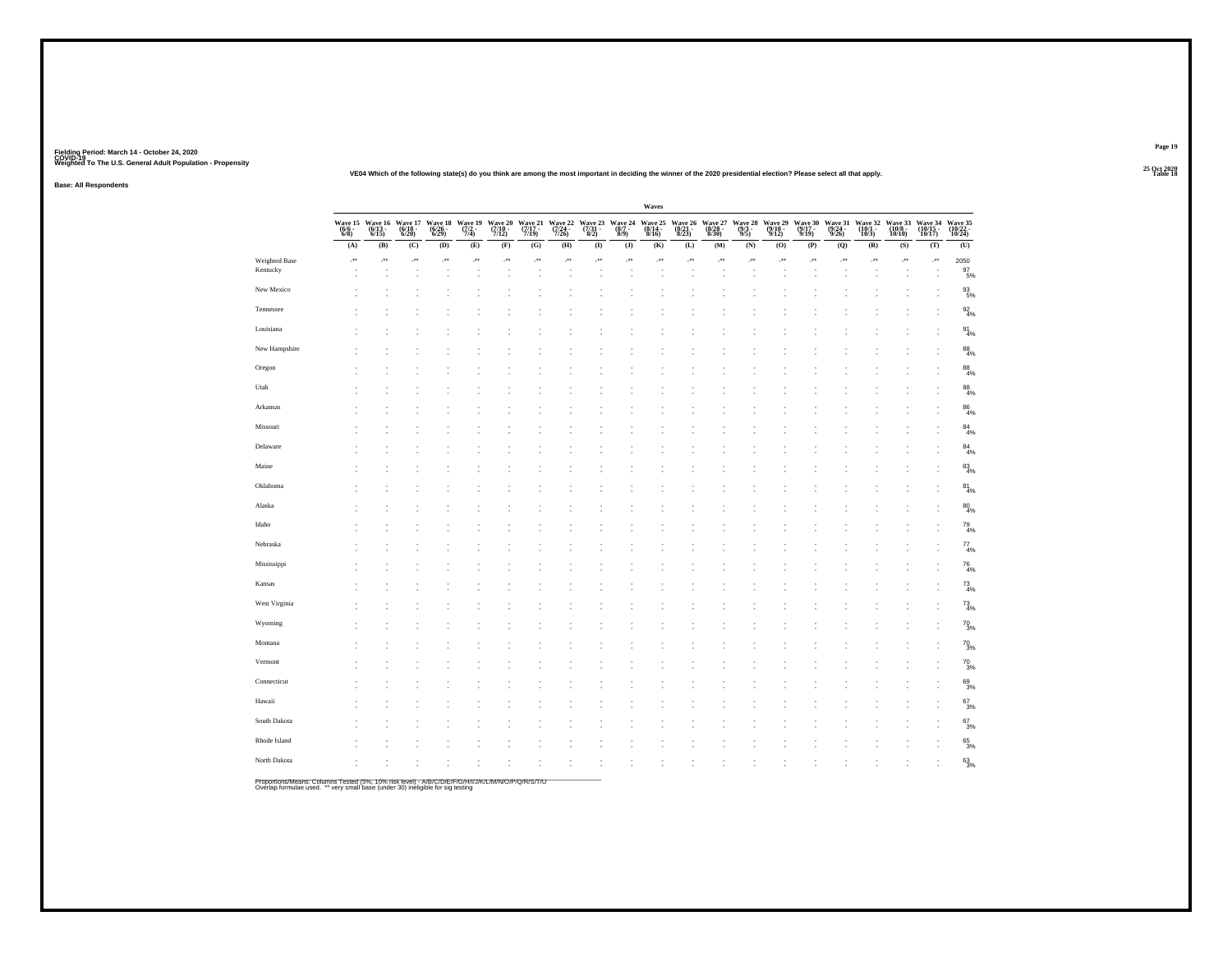**25 Oct 2020VE04 Which of the following state(s) do you think are among the most important in deciding the winner of the 2020 presidential election? Please select all that apply.**

**Base: All Respondents**

|                           |                           |                           |                           |                             |                                |                                        |                       |                             |                                   |                           | Waves                       |                             |                                               |                            |                             |                             |                             |                             |                              |                         |                          |
|---------------------------|---------------------------|---------------------------|---------------------------|-----------------------------|--------------------------------|----------------------------------------|-----------------------|-----------------------------|-----------------------------------|---------------------------|-----------------------------|-----------------------------|-----------------------------------------------|----------------------------|-----------------------------|-----------------------------|-----------------------------|-----------------------------|------------------------------|-------------------------|--------------------------|
|                           | Wave 15<br>(6/6 -<br>6/8) | Wave 16<br>(6/13<br>6/15) | Wave 17<br>(6/18<br>6/20) | Wave 18<br>(6/26 -<br>6/29) | Wave 19<br>$\frac{(7/2)}{7/4}$ | Wave 20<br>$\frac{(7/10 - 7)}{(7/12)}$ | Wave 21 (7/17 - 7/19) | Wave 22<br>(7/24 -<br>7/26) | Wave 23<br>$\frac{(7/31)}{(8/2)}$ | Wave 24<br>(8/7 -<br>8/9) | Wave 25<br>(8/14 -<br>8/16) | Wave 26<br>(8/21 -<br>8/23) | $\substack{\text{Wave} \ 27 \\ (8/28-8/30) }$ | Wave 28<br>(9/3 -<br>9/5)  | Wave 29<br>(9/10 -<br>9/12) | Wave 30<br>(9/17 -<br>9/19) | Wave 31<br>(9/24 -<br>9/26) | Wave 32<br>(10/1 -<br>10/3) | Wave 33<br>(10/8 -<br>10/10) | Wave 34 (10/15 - 10/17) | Wave 35 (10/22 - 10/24)  |
|                           | (A)                       | (B)                       | (C)                       | (D)                         | (E)                            | (F)                                    | (G)                   | (H)                         | $\bf(I)$                          | $\bf{(J)}$                | (K)                         | (L)                         | $(M)$                                         | $\left( \mathbf{N}\right)$ | (0)                         | (P)                         | (Q)                         | (R)                         | (S)                          | (T)                     | (U)                      |
| Weighted Base<br>Kentucky | $\cdot$                   | J.                        | $\cdot$                   | J.                          | $\cdot$                        | $\cdot$                                | $\cdot$               | $\cdot$                     | J.                                | J.                        | $\cdot$                     | J.                          | $\cdot$                                       | $\cdot$                    | $\cdot$                     | $\cdot$                     | $\cdot$                     | $\cdot$                     | þ.                           | J.                      | 2050<br>$\frac{97}{5\%}$ |
| New Mexico                |                           |                           |                           |                             |                                |                                        |                       |                             |                                   |                           |                             |                             |                                               |                            |                             |                             |                             |                             |                              |                         | $\frac{93}{5\%}$         |
| Tennessee                 |                           |                           |                           |                             |                                |                                        |                       |                             |                                   |                           |                             |                             |                                               |                            |                             |                             |                             |                             |                              |                         | $\frac{92}{4\%}$         |
| Louisiana                 |                           |                           |                           |                             |                                |                                        |                       |                             |                                   |                           |                             |                             |                                               |                            |                             |                             |                             |                             |                              |                         | $\frac{91}{4\%}$         |
| New Hampshire             |                           |                           |                           |                             |                                |                                        |                       |                             |                                   |                           |                             |                             |                                               |                            |                             |                             |                             |                             |                              |                         | $\frac{88}{4\%}$         |
| Oregon                    |                           |                           |                           |                             |                                |                                        |                       |                             |                                   |                           |                             |                             |                                               |                            |                             |                             |                             |                             |                              |                         | $\frac{88}{4\%}$         |
| Utah                      |                           |                           |                           |                             |                                |                                        |                       |                             |                                   |                           |                             |                             |                                               |                            |                             |                             |                             |                             |                              |                         | $^{88}_{4\%}$            |
| Arkansas                  |                           |                           |                           |                             |                                |                                        |                       |                             |                                   |                           |                             |                             |                                               |                            |                             |                             |                             |                             |                              |                         | $\frac{86}{4\%}$         |
| Missouri                  |                           |                           |                           |                             |                                |                                        |                       |                             |                                   |                           |                             |                             |                                               |                            |                             |                             |                             |                             |                              |                         | $84 \atop 4\%$           |
| Delaware                  |                           |                           |                           |                             |                                |                                        |                       |                             |                                   |                           |                             |                             |                                               |                            |                             |                             |                             |                             |                              |                         | $\frac{84}{4\%}$         |
| Maine                     |                           |                           |                           |                             |                                |                                        |                       |                             |                                   |                           |                             |                             |                                               |                            |                             |                             |                             |                             |                              |                         | 83/4%                    |
| Oklahoma                  |                           |                           |                           |                             |                                |                                        |                       |                             |                                   |                           |                             |                             |                                               |                            |                             |                             |                             |                             |                              |                         | $8^{1}_{4\%}$            |
| Alaska                    |                           |                           |                           |                             |                                |                                        |                       |                             |                                   |                           |                             |                             |                                               |                            |                             |                             |                             |                             |                              |                         | $\frac{80}{4\%}$         |
| Idaho                     |                           |                           |                           |                             |                                |                                        |                       |                             |                                   |                           |                             |                             |                                               |                            |                             |                             |                             |                             |                              |                         | $^{79}_{4\%}$            |
| Nebraska                  |                           |                           |                           |                             |                                |                                        |                       |                             |                                   |                           |                             |                             |                                               |                            |                             |                             |                             |                             |                              |                         | $^{77}_{4\%}$            |
| Mississippi               |                           |                           |                           |                             |                                |                                        |                       |                             |                                   |                           |                             |                             |                                               |                            |                             |                             |                             |                             |                              |                         | $^{76}_{4%}$             |
| Kansas<br>West Virginia   |                           |                           |                           |                             |                                |                                        |                       |                             |                                   |                           |                             |                             |                                               |                            |                             |                             |                             |                             |                              |                         | $^{73}_{4\%}$            |
| Wyoming                   |                           |                           |                           |                             |                                |                                        |                       |                             |                                   |                           |                             |                             |                                               |                            |                             |                             |                             |                             |                              |                         | $^{73}_{4\%}$            |
| Montana                   |                           |                           |                           |                             |                                |                                        |                       |                             |                                   |                           |                             |                             |                                               |                            |                             |                             |                             |                             |                              |                         | $^{70}_{3\%}$            |
| Vermont                   |                           |                           |                           |                             |                                |                                        |                       |                             |                                   |                           |                             |                             |                                               |                            |                             |                             |                             |                             |                              |                         | $^{70}_{3\%}$            |
| Connecticut               |                           |                           |                           |                             |                                |                                        |                       |                             |                                   |                           |                             |                             |                                               |                            |                             |                             |                             |                             |                              |                         | $^{70}_{3%}$             |
| Hawaii                    |                           |                           |                           |                             |                                |                                        |                       |                             |                                   |                           |                             |                             |                                               |                            |                             |                             |                             |                             |                              |                         | 69/3%                    |
| South Dakota              |                           |                           |                           |                             |                                |                                        |                       |                             |                                   |                           |                             |                             |                                               |                            |                             |                             |                             |                             |                              |                         | $67 \over 3%$            |
| Rhode Island              |                           |                           |                           |                             |                                |                                        |                       |                             |                                   |                           |                             |                             |                                               |                            |                             |                             |                             |                             |                              |                         | $67_{3%}$                |
|                           |                           |                           |                           |                             |                                |                                        |                       |                             |                                   |                           |                             |                             |                                               |                            |                             |                             |                             |                             |                              |                         | $\frac{65}{3\%}$         |
| North Dakota              |                           |                           |                           |                             |                                |                                        |                       |                             |                                   |                           |                             |                             |                                               |                            |                             |                             |                             |                             |                              |                         | $63\%$                   |

Proportions/Means: Columns Tested (5%, 10% risk level) - A/B/C/D/E/F/G/H/I/J/K/L/M/N/O/P/Q/R/S/T/U<br>Overlap formulae used. \*\* very small base (under 30) ineligible for sig testing

**Page 19**

**Table 18 Table 18**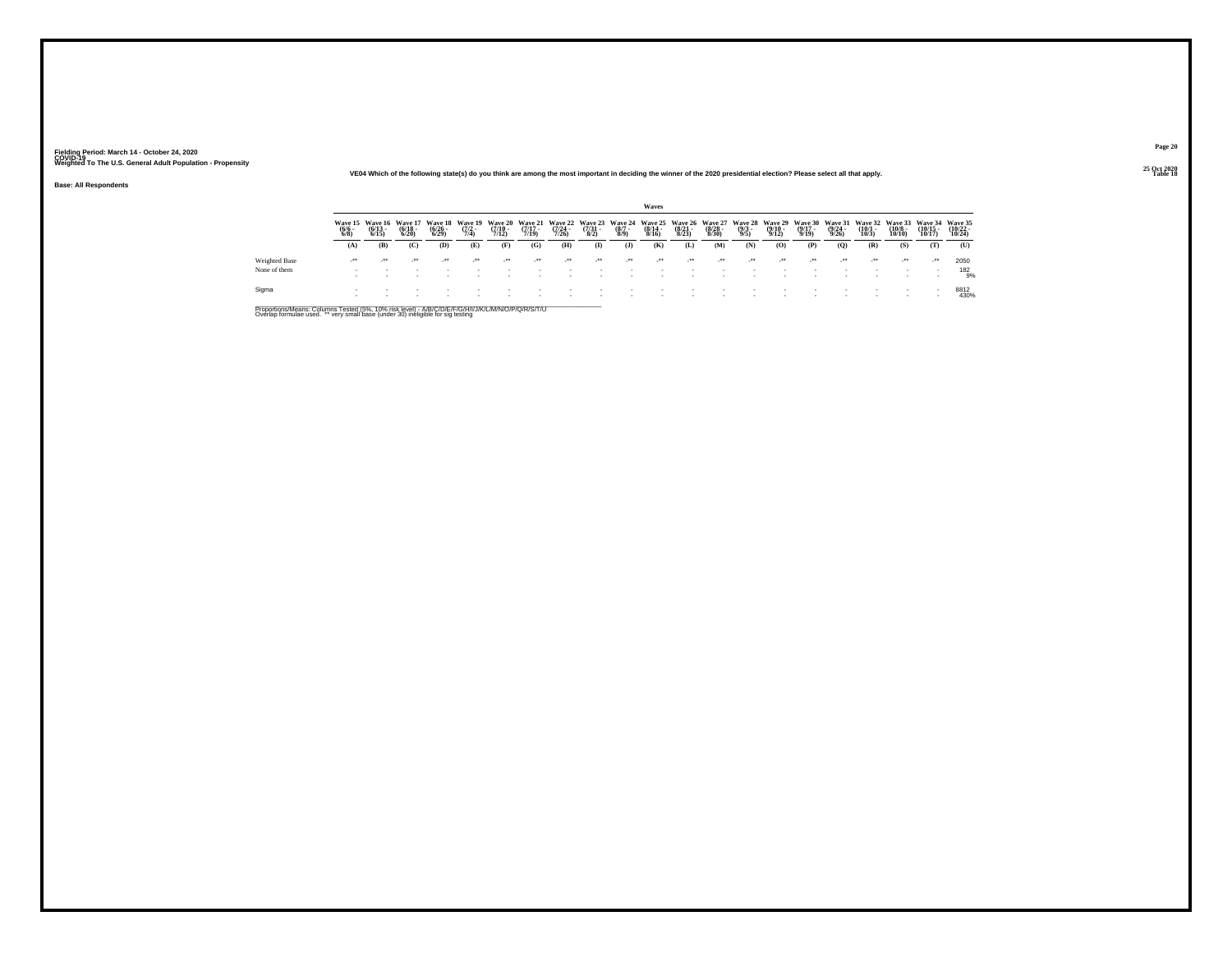#### **25 Oct 2020VE04 Which of the following state(s) do you think are among the most important in deciding the winner of the 2020 presidential election? Please select all that apply.**

**Base: All Respondents**

|               |                                |                                  |                                  |                             |                                |                                         |                                  |                                         |                                   |                                | Waves                            |                             |                             |                                       |                                  |                                  |                                  |                                  |                                        |                                   |                               |
|---------------|--------------------------------|----------------------------------|----------------------------------|-----------------------------|--------------------------------|-----------------------------------------|----------------------------------|-----------------------------------------|-----------------------------------|--------------------------------|----------------------------------|-----------------------------|-----------------------------|---------------------------------------|----------------------------------|----------------------------------|----------------------------------|----------------------------------|----------------------------------------|-----------------------------------|-------------------------------|
|               | Wave 15<br>$\frac{(6/6)}{6/8}$ | Wave 16<br>$\frac{(6/13)}{6/15}$ | Wave 17<br>$\frac{(6/18)}{6/20}$ | Waye 18<br>(6/26 -<br>6/29) | Wave 19<br>$\frac{(7/2)}{7/4}$ | <b>Wave 20</b><br>$\frac{(7/10)}{7/12}$ | Wave 21<br>$\frac{(7/17)}{7/19}$ | <b>Wave 22</b><br>$\frac{(7/24)}{7/26}$ | Wave 23<br>$\frac{(7/31)}{(8/2)}$ | Wave 24<br>$\frac{(8/7)}{8/9}$ | Wave 25<br>$\frac{(8/14)}{8/16}$ | Waye 26<br>(8/21 -<br>8/23) | Wave 27<br>(8/28 -<br>8/30) | <b>Wave 28</b><br>$\frac{(9/3)}{9/5}$ | Wave 29<br>$\frac{(9/10)}{9/12}$ | Wave 30<br>$\frac{(9/17)}{9/19}$ | Wave 31<br>$\frac{(9/24)}{9/26}$ | Wave 32<br>$\frac{(10/1)}{10/3}$ | Wave 33<br>$\frac{(10/8 - 10)}{10/10}$ | Wave 34<br>$\binom{10/15}{10/17}$ | Wave 35<br>$10/22 -$<br>10/24 |
|               | (A)                            | (B)                              | (C)                              | (D)                         | (E)                            | (F)                                     | (G)                              | (H)                                     | $\bf{I}$                          | $\mathbf{J}$                   | (K)                              | (L)                         | (M)                         | (N)                                   | (O)                              | (P)                              | $\mathbf{Q}$                     | (R)                              | (S)                                    | (T)                               | (U)                           |
| Weighted Base | $^{**}$                        | $^{\tiny{++}}$                   | $\cdot$                          | $\bullet\bullet$            | $\cdot$                        | $\bullet\bullet$                        | $\ddot{\phantom{0}}$             | $^{**}$                                 | $^{++}$                           | $+ +$                          | $\cdot$                          | $^{\tiny{++}}$              | $^{\tiny{++}}$              |                                       | $^{++}$                          | $\cdot$                          | $\cdot$                          | $\mathcal{L}^{\text{max}}$       | $\cdot$                                | $\cdot$                           | 2050                          |
| None of them  |                                |                                  |                                  |                             |                                |                                         |                                  |                                         |                                   |                                |                                  |                             |                             |                                       |                                  |                                  |                                  |                                  |                                        |                                   | 182<br>'9%                    |
| Sigma         |                                |                                  |                                  |                             |                                |                                         |                                  |                                         |                                   |                                |                                  |                             |                             |                                       |                                  |                                  |                                  |                                  |                                        |                                   | 8812<br>430%                  |

Proportions/Means: Columns Tested (5%, 10% risk level) - A/B/C/D/E/F/G/H/I/J/K/L/M/N/O/P/Q/R/S/T/U<br>Overlap formulae used. \*\* very small base (under 30) ineligible for sig testing

**Page 20**

**Table 18 Table 18**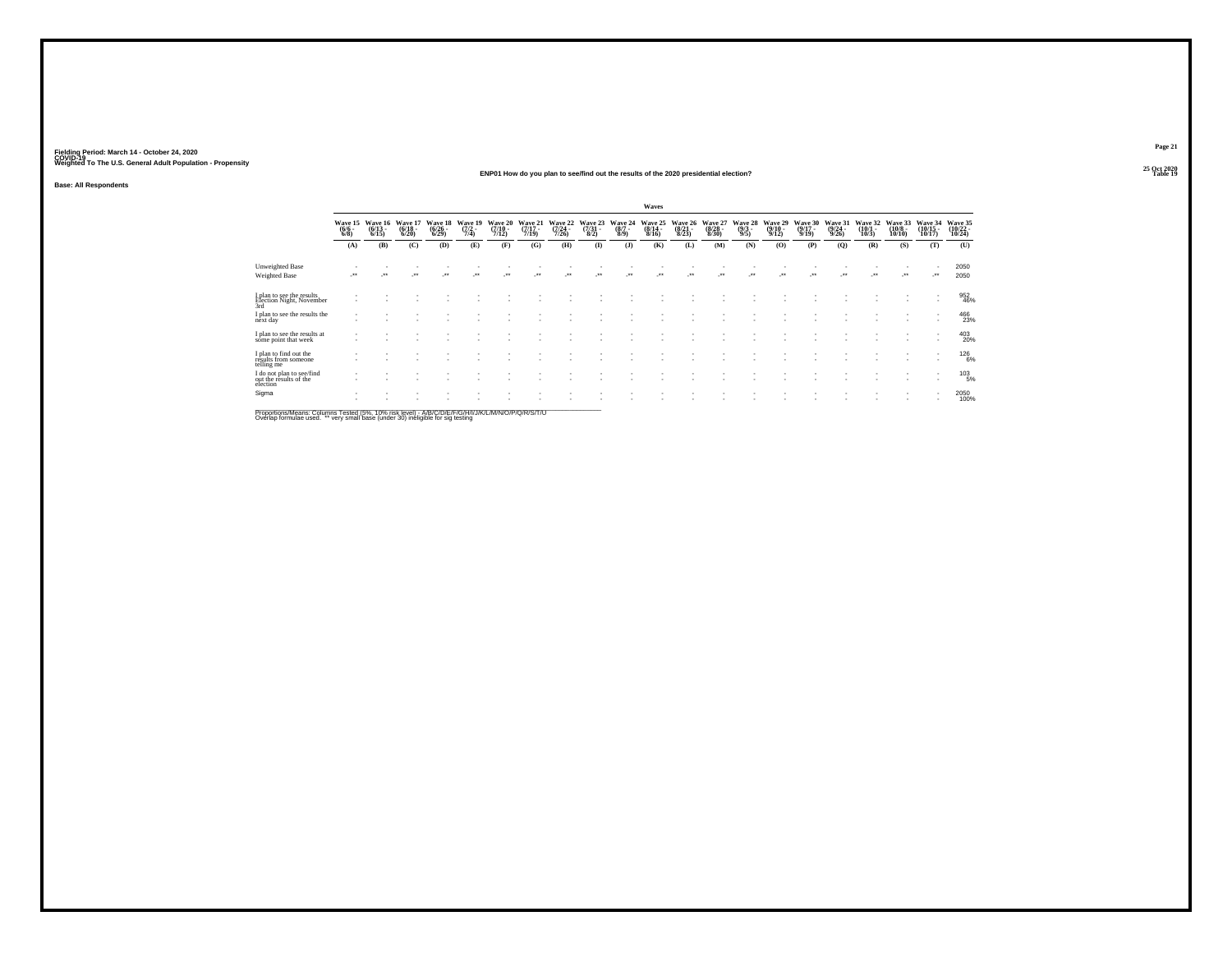#### **25 Oct 2020ENP01 How do you plan to see/find out the results of the 2020 presidential election?Table 19 Table 19 Table 19 Table 19 Table 19 Table 19 Table 19 Table 19 Table 19 Table 19**

**Base: All Respondents**

|                                                                 |                                |                                 |                                  |                                    |                                |                             |                                  |                                  |                            |                               | Waves                                |                                  |                                  |                                |                                  |                             |                                  |                                 |                                        |                                    |                               |
|-----------------------------------------------------------------|--------------------------------|---------------------------------|----------------------------------|------------------------------------|--------------------------------|-----------------------------|----------------------------------|----------------------------------|----------------------------|-------------------------------|--------------------------------------|----------------------------------|----------------------------------|--------------------------------|----------------------------------|-----------------------------|----------------------------------|---------------------------------|----------------------------------------|------------------------------------|-------------------------------|
|                                                                 | Wave 15<br>$\frac{(6/6)}{6/8}$ | Wave 16<br>$\binom{6/13}{6/15}$ | Wave 17<br>$\frac{(6/18)}{6/20}$ | Wave 18<br>$\frac{(6/26)}{(6/29)}$ | Wave 19<br>$\frac{(7/2)}{7/4}$ | Wave 20<br>(7/10 -<br>7/12) | Wave 21<br>$\frac{(7/17)}{7/19}$ | Wave 22<br>$\frac{(7/24)}{7/26}$ | Wave 23<br>(7/31 -<br>8/2) | Wave 24<br>$\binom{8/7}{8/9}$ | Wave 25<br>$\frac{(8/14 - 8)}{8/16}$ | Wave 26<br>$\frac{(8/21)}{8/23}$ | Wave 27<br>$\frac{(8/28)}{8/30}$ | Wave 28<br>$\frac{(9/3)}{9/5}$ | Wave 29<br>$\frac{(9/10)}{9/12}$ | Wave 30<br>(9/17 -<br>9/19) | Wave 31<br>$\frac{(9/24)}{9/26}$ | Wave 32<br>$\binom{10/1}{10/3}$ | Wave 33<br>$\frac{(10/8 - 10)}{10/10}$ | Wave 34<br>$\frac{(10/15)}{10/17}$ | Wave 35<br>(10/22 -<br>10/24) |
|                                                                 | (A)                            | (B)                             | (C)                              | (D)                                | (E)                            | (F)                         | (G)                              | (H)                              | $\mathbf{I}$               | $($ $)$                       | (K)                                  | (L)                              | (M)                              | (N)                            | (O)                              | (P)                         | (Q)                              | (R)                             | (S)                                    | (T)                                | (U)                           |
| Unweighted Base<br>Weighted Base                                | $\bullet\bullet$               | $^{\tiny{++}}$                  | $\cdot$                          | $\ddot{\phantom{0}}$               |                                | $\bullet\bullet$            | $\ddot{\phantom{0}}$             | $^{\tiny{++}}$                   | $\ddot{}$                  | $\bullet\bullet$              | $\ddot{\phantom{1}}$                 | $\ddot{\phantom{1}}$             | $\ddot{\phantom{0}}$             | $^{\tiny{++}}$                 | $\ddot{\phantom{1}}$             | $^{\tiny{+}}$               |                                  | $\cdot$                         | ٠.                                     | ٠<br>                              | 2050<br>2050                  |
| I plan to see the results<br>Election Night, November<br>3rd    |                                |                                 |                                  |                                    |                                |                             |                                  |                                  |                            |                               |                                      |                                  |                                  |                                |                                  |                             |                                  |                                 |                                        | ٠<br>$\sim$                        | 952<br>46%                    |
| I plan to see the results the<br>next day                       |                                |                                 |                                  |                                    |                                |                             |                                  |                                  |                            |                               |                                      |                                  |                                  |                                |                                  |                             |                                  |                                 |                                        | ٠<br>٠                             | 466<br>23%                    |
| I plan to see the results at<br>some point that week            |                                |                                 |                                  |                                    |                                |                             |                                  |                                  |                            |                               |                                      |                                  |                                  |                                |                                  |                             |                                  |                                 | ٠                                      | $\sim$<br>$\sim$                   | 403<br>20%                    |
| I plan to find out the<br>results from someone<br>telling me    |                                |                                 |                                  |                                    |                                |                             |                                  |                                  |                            |                               |                                      |                                  |                                  |                                |                                  |                             |                                  |                                 | ٠                                      | $\overline{\phantom{a}}$<br>٠      | 126%                          |
| I do not plan to see/find<br>out the results of the<br>election |                                |                                 |                                  |                                    |                                |                             |                                  |                                  |                            |                               |                                      |                                  |                                  |                                |                                  |                             |                                  |                                 |                                        | ٠<br>$\sim$                        | $^{103}_{-5\%}$               |
| Sigma                                                           |                                |                                 |                                  |                                    |                                |                             |                                  |                                  |                            |                               |                                      |                                  |                                  |                                |                                  |                             |                                  |                                 | ٠                                      | $\sim$                             | 2050<br>100%                  |
|                                                                 |                                |                                 |                                  |                                    |                                |                             |                                  |                                  |                            |                               |                                      |                                  |                                  |                                |                                  |                             |                                  |                                 |                                        |                                    |                               |

Proportions/Means: Columns Tested (5%, 10% risk level) - A/B/C/D/E/F/G/H/I/J/K/L/M/N/O/P/Q/R/S/T/U<br>Overlap formulae used. \*\* very small base (under 30) ineligible for sig testing

**Page 2125 Oct 2020<br>Table 19**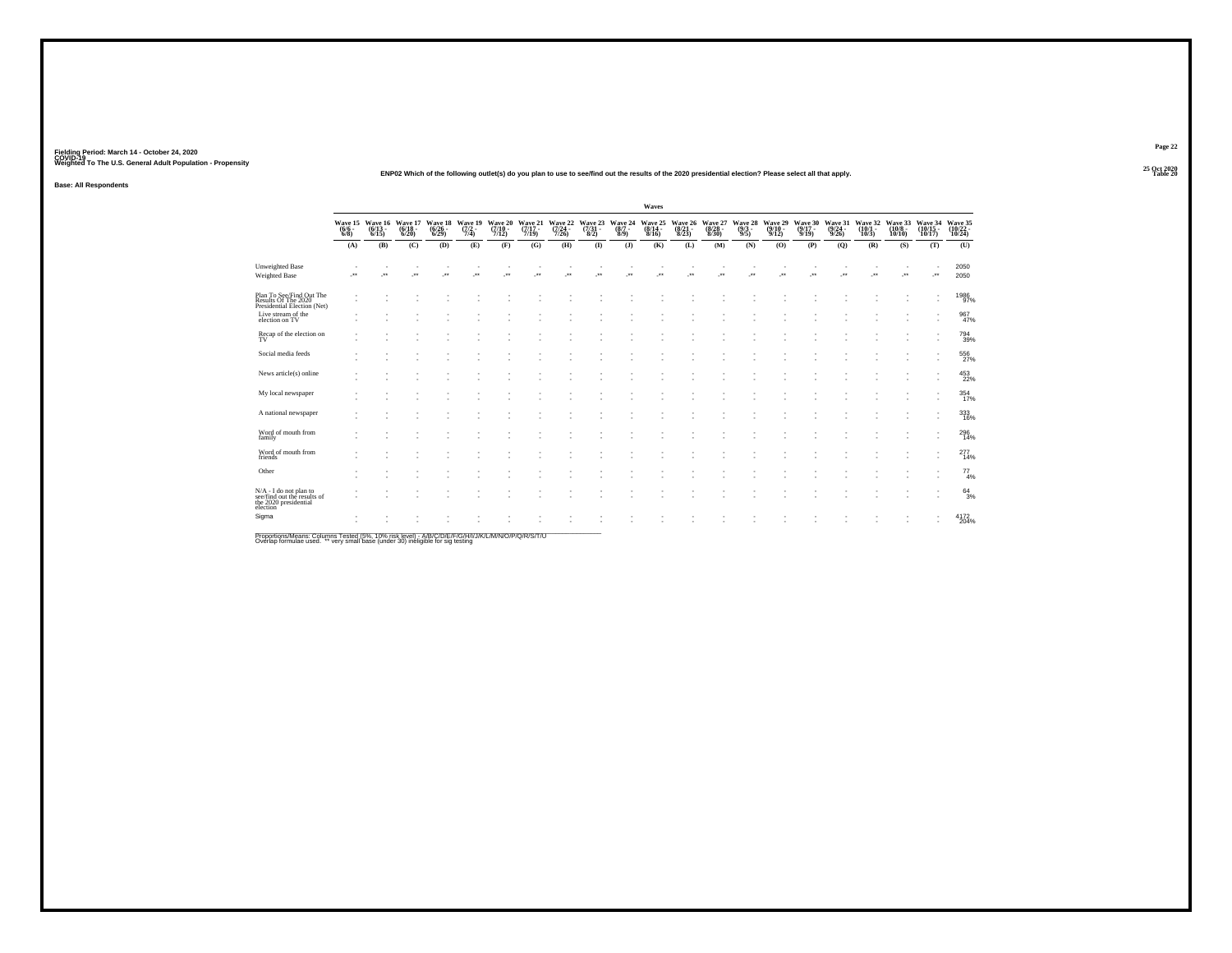#### **25 Oct 2020ENP02 Which of the following outlet(s) do you plan to use to see/find out the results of the 2020 presidential election? Please select all that apply.**

**Base: All Respondents**

|                                                                                            |         |                                                        |                                  |                                  |                           |                                  |                             |                             |              |                                                | Waves                       |     |                                                     |                           |                                  |                             |                             |                                                 |                               |                               |                                                      |
|--------------------------------------------------------------------------------------------|---------|--------------------------------------------------------|----------------------------------|----------------------------------|---------------------------|----------------------------------|-----------------------------|-----------------------------|--------------|------------------------------------------------|-----------------------------|-----|-----------------------------------------------------|---------------------------|----------------------------------|-----------------------------|-----------------------------|-------------------------------------------------|-------------------------------|-------------------------------|------------------------------------------------------|
|                                                                                            |         | Wave 15 Wave 16<br>(6/6 - (6/13 - 6/8)<br>6/8) - 6/15) | Wave 17<br>$\frac{(6/18)}{6/20}$ | Wave 18<br>$\frac{(6/26)}{6/29}$ | Wave 19<br>(7/2 -<br>7/4) | Wave 20<br>$\frac{(7/10)}{7/12}$ | Wave 21<br>(7/17 -<br>7/19) | Wave 22<br>(7/24 -<br>7/26) |              | Wave 23 Wave 24<br>(7/31 - (8/7 - 8/2)<br>8/9) | Wave 25<br>(8/14 -<br>8/16) |     | Wave 26 Wave 27<br>(8/21 - (8/28 -<br>8/23) - 8/30) | Wave 28<br>(9/3 -<br>9/5) | Wave 29<br>$\frac{(9/10)}{9/12}$ | Wave 30<br>(9/17 -<br>9/19) | Wave 31<br>(9/24 -<br>9/26) | Wave 32<br>$\left(\frac{10}{10/3}\right)^{1/2}$ | Wave 33<br>$(10/8 -$<br>10/10 |                               | Wave 34 Wave 35<br>(10/15 - 10/22 - 10/17)<br>10/24) |
|                                                                                            | (A)     | (B)                                                    | (C)                              | (D)                              | (E)                       | (F)                              | (G)                         | (H)                         | $($ $\Gamma$ | $($ $)$                                        | (K)                         | (L) | (M)                                                 | (N)                       | (0)                              | (P)                         | (Q)                         | (R)                                             | (S)                           | (T)                           | (U)                                                  |
| Unweighted Base<br>Weighted Base                                                           | ٠<br>J. | $\star$                                                | $\cdot$                          | ٠<br>$\overline{\phantom{a}}$    | $\cdot$                   | ×                                | $\overline{\phantom{a}}$    | J.                          | J.           | $\cdot$                                        | J.                          | ÷.  | $\cdot$                                             | ÷.                        | $\cdot$                          | $\cdot$                     | J.                          | $\cdot$                                         | $\cdot$                       | ٠<br><b>A</b>                 | 2050<br>2050                                         |
| Plan To See/Find Out The<br>Results Of The 2020<br>Presidential Election (Net)             | $\sim$  |                                                        |                                  |                                  |                           |                                  |                             |                             |              |                                                |                             |     |                                                     |                           |                                  |                             |                             |                                                 |                               | $\overline{\phantom{a}}$<br>× | 1986<br>97%                                          |
| Live stream of the<br>election on TV                                                       |         |                                                        |                                  |                                  |                           |                                  |                             |                             |              |                                                |                             |     |                                                     |                           |                                  |                             |                             |                                                 |                               |                               | 967<br>47%                                           |
| Recap of the election on<br>TV                                                             |         |                                                        |                                  |                                  |                           |                                  |                             |                             |              |                                                |                             |     |                                                     |                           |                                  |                             |                             |                                                 |                               |                               | 794<br>39%                                           |
| Social media feeds                                                                         |         |                                                        |                                  |                                  |                           |                                  |                             |                             |              |                                                |                             |     |                                                     |                           |                                  |                             |                             |                                                 |                               |                               | 556                                                  |
| News article(s) online                                                                     |         |                                                        |                                  |                                  |                           |                                  |                             |                             |              |                                                |                             |     |                                                     |                           |                                  |                             |                             |                                                 |                               |                               | 453<br>22%                                           |
| My local newspaper                                                                         |         |                                                        |                                  |                                  |                           |                                  |                             |                             |              |                                                |                             |     |                                                     |                           |                                  |                             |                             |                                                 |                               | ٠                             | 354 17%                                              |
| A national newspaper                                                                       |         |                                                        |                                  |                                  |                           |                                  |                             |                             |              |                                                |                             |     |                                                     |                           |                                  |                             |                             |                                                 |                               |                               | 333<br>16%                                           |
| Word of mouth from<br>family                                                               |         |                                                        |                                  |                                  |                           |                                  |                             |                             |              |                                                |                             |     |                                                     |                           |                                  |                             |                             |                                                 |                               |                               | 296<br>14%                                           |
| Word of mouth from<br>friends                                                              |         |                                                        |                                  |                                  |                           |                                  |                             |                             |              |                                                |                             |     |                                                     |                           |                                  |                             |                             |                                                 |                               |                               | 277<br>14%                                           |
| Other                                                                                      |         |                                                        |                                  |                                  |                           |                                  |                             |                             |              |                                                |                             |     |                                                     |                           |                                  |                             |                             |                                                 |                               |                               | $^{77}_{4\%}$                                        |
| N/A - I do not plan to<br>see/find out the results of<br>the 2020 presidential<br>election |         |                                                        |                                  |                                  |                           |                                  |                             |                             |              |                                                |                             |     |                                                     |                           |                                  |                             |                             |                                                 |                               | ٠                             | $^{64}_{3\%}$                                        |
| Sigma<br>_____                                                                             |         |                                                        |                                  |                                  |                           |                                  |                             |                             |              |                                                |                             |     |                                                     |                           |                                  |                             |                             |                                                 |                               |                               | 4172<br>204%                                         |

Proportions/Means: Columns Tested (5%, 10% risk level) - A/B/C/D/E/F/G/H/I/J/K/L/M/N/O/P/Q/R/S/T/U<br>Overlap formulae used. \*\* very small base (under 30) ineligible for sig testing

**Page 22**

**Table 20**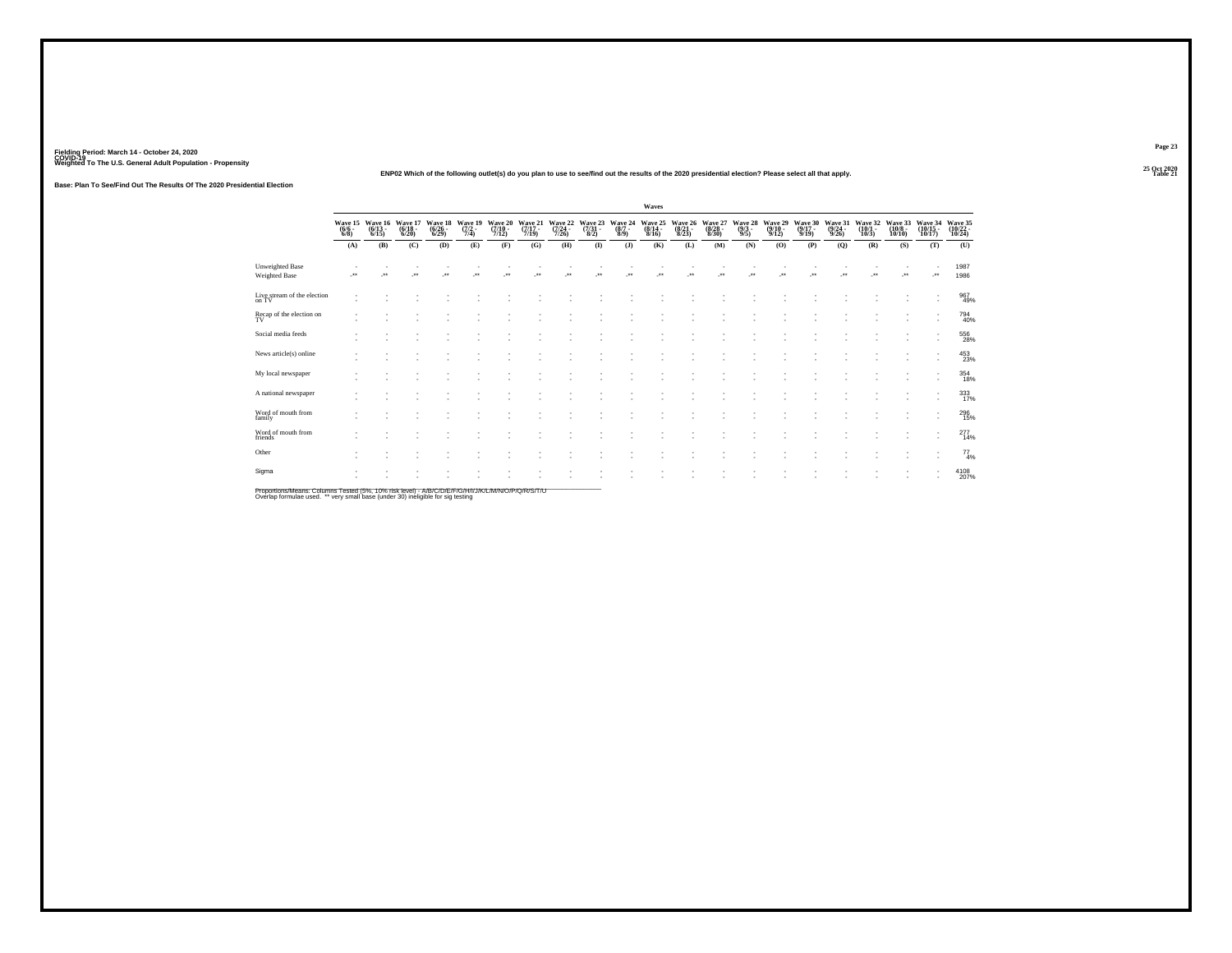**25 Oct 2020ENP02 Which of the following outlet(s) do you plan to use to see/find out the results of the 2020 presidential election? Please select all that apply.**

**Base: Plan To See/Find Out The Results Of The 2020 Presidential Election**

|                                         |                                |                              |                             |                                  |                                |                            |                                              |                             |                          |                           | Waves                       |                             |                             |                           |                                         |                          |                             |                             |                              |                               |                               |
|-----------------------------------------|--------------------------------|------------------------------|-----------------------------|----------------------------------|--------------------------------|----------------------------|----------------------------------------------|-----------------------------|--------------------------|---------------------------|-----------------------------|-----------------------------|-----------------------------|---------------------------|-----------------------------------------|--------------------------|-----------------------------|-----------------------------|------------------------------|-------------------------------|-------------------------------|
|                                         | Wave 15<br>$\frac{(6/6)}{6/8}$ | Wave 16<br>$(6/13 -$<br>6/15 | Wave 17<br>(6/18 -<br>6/20) | Wave 18<br>$\frac{(6/26)}{6/29}$ | Wave 19<br>$\frac{(7/2)}{7/4}$ | Wave 20<br>(7/10 -<br>7/12 | Wave 21<br>(7/17 -<br>7/19)                  | Wave 22<br>(7/24 -<br>7/26) | Wave 23<br>(7/31<br>8/2) | Wave 24<br>(8/7 -<br>8/9) | Wave 25<br>(8/14 -<br>8/16) | Wave 26<br>(8/21 -<br>8/23) | Wave 27<br>(8/28 -<br>8/30) | Wave 28<br>(9/3 -<br>9/5) | Wave 29<br>$\frac{(9/10 - 9/12)}{9/12}$ | Wave 30<br>(9/17<br>9/19 | Wave 31<br>(9/24 -<br>9/26) | Wave 32<br>(10/1 -<br>10/3) | Wave 33<br>(10/8 -<br>10/10) | Wave 34<br>(10/15 -<br>10/17) | Wave 35<br>(10/22 -<br>10/24) |
|                                         | (A)                            | (B)                          | (C)                         | (D)                              | (E)                            | (F)                        | (G)                                          | (H)                         | $($ $\Gamma$             | $($ $)$                   | (K)                         | (L)                         | (M)                         | (N)                       | (O)                                     | (P)                      | (Q)                         | (R)                         | (S)                          | (T)                           | (U)                           |
| <b>Unweighted Base</b><br>Weighted Base | $\cdot$                        |                              | -**                         | $\star$                          | $\bullet\,\bullet$             | $\star$                    | $\begin{array}{c} \bullet\bullet\end{array}$ | $\ddot{\phantom{1}}$        | $\cdot$                  | $\cdot$                   | $\ddot{\phantom{1}}$        | $\ddot{\phantom{1}}$        | $\cdot$                     | $\bullet\bullet$          | $\bullet\,\bullet$                      | $\ddot{\phantom{1}}$     | $\cdot$                     | $\ddot{\phantom{1}}$        | $\bullet\,\bullet$           | ٠<br>                         | 1987<br>1986                  |
| Live stream of the election<br>on TV    | ٠                              |                              |                             |                                  |                                |                            |                                              |                             |                          |                           |                             |                             |                             |                           |                                         |                          |                             |                             |                              | $\sim$                        | 967<br>49%                    |
| $\frac{1}{2}$ Recap of the election on  |                                |                              |                             |                                  |                                |                            |                                              |                             |                          |                           |                             |                             |                             |                           |                                         |                          |                             |                             |                              | ٠<br>$\sim$                   | 794<br>40%                    |
| Social media feeds                      |                                |                              |                             |                                  |                                |                            |                                              |                             |                          |                           |                             |                             |                             |                           |                                         |                          |                             |                             |                              | $\sim$                        | 556<br>28%                    |
| News article(s) online                  |                                |                              |                             |                                  |                                |                            |                                              |                             |                          |                           |                             |                             |                             |                           |                                         |                          |                             |                             |                              | $\sim$<br>٠                   | $^{453}_{23\%}$               |
| My local newspaper                      |                                |                              |                             |                                  |                                | ×.                         |                                              |                             |                          |                           |                             |                             |                             |                           |                                         |                          |                             |                             |                              | ٠<br>٠                        | 354<br>18%                    |
| A national newspaper                    |                                |                              |                             |                                  |                                |                            |                                              |                             |                          |                           |                             |                             |                             |                           |                                         |                          |                             |                             |                              | $\sim$                        | 333<br>17%                    |
| Word of mouth from<br>family            |                                |                              |                             |                                  |                                |                            |                                              |                             |                          |                           |                             |                             |                             |                           |                                         |                          |                             |                             |                              | ٠                             | 296<br>15%                    |
| Word of mouth from<br>friends           |                                |                              |                             |                                  |                                |                            |                                              |                             |                          |                           |                             |                             |                             |                           |                                         |                          |                             |                             |                              | $\sim$                        | $^{277}_{14\%}$               |
| Other                                   |                                |                              |                             |                                  |                                |                            |                                              |                             |                          |                           |                             |                             |                             |                           |                                         |                          |                             |                             |                              | ٠<br>٠                        | $^{77}_{4\%}$                 |
| Sigma                                   |                                |                              |                             |                                  |                                |                            |                                              |                             |                          |                           |                             |                             |                             |                           |                                         |                          |                             |                             |                              |                               | 4108<br>207%                  |

Proportions/Means: Columns Tested (5%, 10% risk level) - A/B/C/D/E/F/G/H/I/J/K/L/M/N/O/P/Q/R/S/T/U<br>Overlap formulae used. \*\* very small base (under 30) ineligible for sig testing

**Page 23**

**Table 21 Table 21**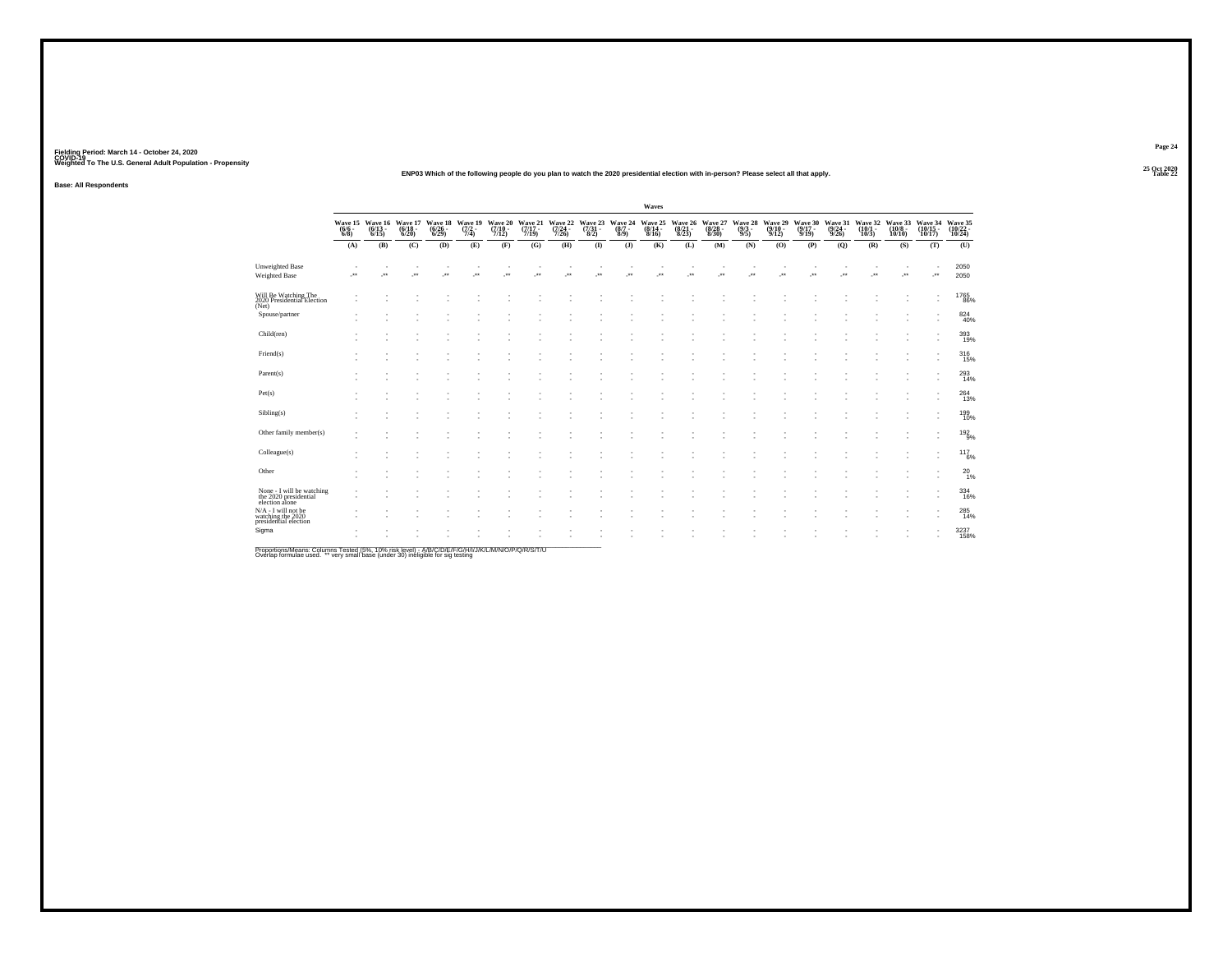#### **25 Oct 2020ENP03 Which of the following people do you plan to watch the 2020 presidential election with in-person? Please select all that apply.**

**Base: All Respondents**

|                                                                      |                     |                               |                                                  |                             |                                        |                                  |                          |                                                     |                           |                                        | Waves        |                  |                                                                             |                                |                                         |                                         |                                  |                                                 |                          |                               |                               |
|----------------------------------------------------------------------|---------------------|-------------------------------|--------------------------------------------------|-----------------------------|----------------------------------------|----------------------------------|--------------------------|-----------------------------------------------------|---------------------------|----------------------------------------|--------------|------------------|-----------------------------------------------------------------------------|--------------------------------|-----------------------------------------|-----------------------------------------|----------------------------------|-------------------------------------------------|--------------------------|-------------------------------|-------------------------------|
|                                                                      | $\frac{(6/6)}{6/8}$ | $\frac{(6/13)}{6/15}$         | Wave 15 Wave 16 Wave 17<br>$\frac{(6/18)}{6/20}$ | $\frac{(6/26 - 6)}{(6/29)}$ | Wave 18 Wave 19<br>$\frac{(7/2)}{7/4}$ | Wave 20<br>$\frac{(7/10)}{7/12}$ |                          | Wave 21 Wave 22<br>(7/17 - (7/24 -<br>7/19) - 7/26) |                           | Wave 23 Wave 24<br>(7/31 - (8/7 - 8/2) |              |                  | Wave 25 Wave 26 Wave 27<br>(8/14 - (8/21 - (8/28 -<br>8/16) - 8/23) - 8/30) | Wave 28<br>$\frac{(9/3)}{9/5}$ | Wave 29<br>$\frac{(9/10 - 9/12)}{9/12}$ | Wave 30<br>$\frac{(9/17 - 9/19)}{9/19}$ | Wave 31<br>$\frac{(9/24)}{9/26}$ | Wave 32 Wave 33<br>(10/1 - (10/8 - 10/3) 10/10) |                          | Wave 34<br>(10/15 -<br>10/17) | Wave 35<br>(10/22 -<br>10/24) |
|                                                                      | (A)                 | (B)                           | (C)                                              | (D)                         | (E)                                    | (F)                              | (G)                      | (H)                                                 | $($ $\Gamma$              | (1)                                    | (K)          | (L)              | (M)                                                                         | (N)                            | (O)                                     | (P)                                     | (Q)                              | (R)                                             | (S)                      | (T)                           | (U)                           |
| <b>Unweighted Base</b><br>Weighted Base                              | $\cdot$             | ٠<br>$\overline{\phantom{a}}$ | ٠<br>$\cdot$                                     | ٠<br>×                      | $\cdot$                                | ٠<br>$\overline{\phantom{a}}$    | $\overline{\phantom{a}}$ | $\cdot$                                             | ٠<br>$\ddot{\phantom{1}}$ | J.                                     | ٠<br>$\cdot$ | $\bullet\bullet$ | ٠<br>$\ddot{\phantom{1}}$                                                   | $\ddot{\phantom{1}}$           | $\cdot$                                 | ٠<br>$\overline{\phantom{a}}$           | $\cdot$                          | ٠<br>÷.                                         | $\overline{\phantom{a}}$ | ٠<br>J.                       | 2050<br>2050                  |
| Will Be Watching The<br>2020 Presidential Election<br>(Net)          |                     |                               |                                                  |                             |                                        |                                  |                          |                                                     |                           |                                        |              |                  |                                                                             |                                |                                         |                                         |                                  |                                                 |                          | ٠<br>$\overline{\phantom{a}}$ | 1765<br>86%                   |
| Spouse/partner                                                       |                     |                               |                                                  |                             |                                        |                                  |                          |                                                     |                           |                                        |              |                  |                                                                             |                                |                                         |                                         |                                  |                                                 |                          |                               | 824<br>40%                    |
| Child(ren)                                                           |                     |                               |                                                  |                             |                                        |                                  |                          |                                                     |                           |                                        |              |                  |                                                                             |                                |                                         |                                         |                                  |                                                 |                          | ٠                             | 393<br>19%                    |
| Friend(s)                                                            |                     |                               |                                                  |                             |                                        |                                  |                          |                                                     |                           |                                        |              |                  |                                                                             |                                |                                         |                                         |                                  |                                                 |                          | ٠                             | $^{316}_{15\%}$               |
| Parent(s)                                                            |                     |                               |                                                  |                             |                                        |                                  |                          |                                                     |                           |                                        |              |                  |                                                                             |                                |                                         |                                         |                                  |                                                 |                          | ٠<br>٠                        | 293<br>14%                    |
| Pet(s)                                                               |                     |                               |                                                  |                             |                                        |                                  |                          |                                                     |                           |                                        |              |                  |                                                                             |                                |                                         |                                         |                                  |                                                 |                          | ٠                             | 264<br>13%                    |
| Sibling(s)                                                           |                     |                               |                                                  |                             |                                        |                                  |                          |                                                     |                           |                                        |              |                  |                                                                             |                                |                                         |                                         |                                  |                                                 |                          |                               | 199<br>10%                    |
| Other family member(s)                                               |                     |                               |                                                  |                             |                                        |                                  |                          |                                                     |                           |                                        |              |                  |                                                                             |                                |                                         |                                         |                                  |                                                 |                          |                               | $192\atop 9\%$                |
| Colleague(s)                                                         |                     |                               |                                                  |                             |                                        |                                  |                          |                                                     |                           |                                        |              |                  |                                                                             |                                |                                         |                                         |                                  |                                                 |                          |                               | $117_{6\%}$                   |
| Other                                                                |                     |                               |                                                  |                             |                                        |                                  |                          |                                                     |                           |                                        |              |                  |                                                                             |                                |                                         |                                         |                                  |                                                 |                          |                               | $^{20}_{1\%}$                 |
| None - I will be watching<br>the 2020 presidential<br>election alone |                     |                               |                                                  |                             |                                        |                                  |                          |                                                     |                           |                                        |              |                  |                                                                             |                                |                                         |                                         |                                  |                                                 |                          | ٠                             | 334<br>16%                    |
| N/A - I will not be<br>watching the 2020<br>presidential election    |                     |                               |                                                  |                             |                                        |                                  |                          |                                                     |                           |                                        |              |                  |                                                                             |                                |                                         |                                         |                                  |                                                 |                          | ٠                             | $^{285}_{14\%}$               |
| Sigma                                                                |                     |                               |                                                  |                             |                                        |                                  |                          |                                                     |                           |                                        |              |                  |                                                                             |                                |                                         |                                         |                                  |                                                 |                          |                               | 3237<br>158%                  |

Proportions/Means: Columns Tested (5%, 10% risk level) - A/B/C/D/E/F/G/H/I/J/K/L/M/N/O/P/Q/R/S/T/U<br>Overlap formulae used. \*\* very small base (under 30) ineligible for sig testing

**Page 2425 Oct 2020<br>Table 22** 

**Table 22**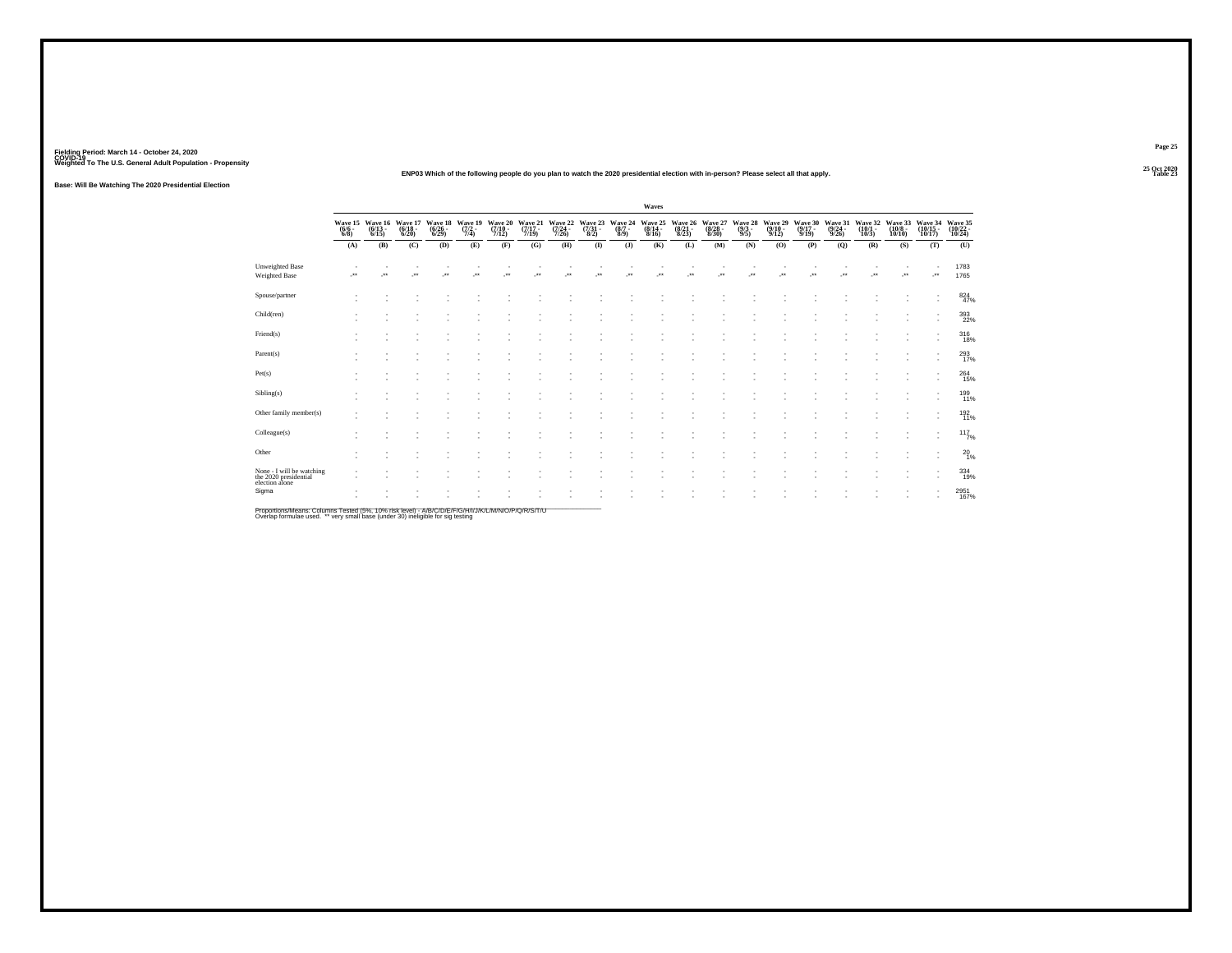**25 Oct 2020ENP03 Which of the following people do you plan to watch the 2020 presidential election with in-person? Please select all that apply.**

**Base: Will Be Watching The 2020 Presidential Election**

|                                                                      |                                        |                       |                                  |                                  |                           |                             |                             |                             |                          |                           | Waves                       |                             |                                  |                           |                                       |                                         |                             |                                  |                              |                               |                               |
|----------------------------------------------------------------------|----------------------------------------|-----------------------|----------------------------------|----------------------------------|---------------------------|-----------------------------|-----------------------------|-----------------------------|--------------------------|---------------------------|-----------------------------|-----------------------------|----------------------------------|---------------------------|---------------------------------------|-----------------------------------------|-----------------------------|----------------------------------|------------------------------|-------------------------------|-------------------------------|
|                                                                      | Wave 15 Wave 16<br>$\frac{(6/6)}{6/8}$ | $\frac{(6/13)}{6/15}$ | Wave 17<br>$\frac{(6/18)}{6/20}$ | Wave 18<br>$\frac{(6/26)}{6/29}$ | Wave 19<br>(7/2 -<br>7/4) | Wave 20<br>(7/10 -<br>7/12) | Wave 21<br>(7/17 -<br>7/19) | Wave 22<br>(7/24 -<br>7/26) | Wave 23<br>(7/31<br>8/2) | Wave 24<br>(8/7 -<br>8/9) | Wave 25<br>(8/14 -<br>8/16) | Wave 26<br>(8/21 -<br>8/23) | Wave 27<br>$\frac{(8/28)}{8/30}$ | Wave 28<br>(9/3 -<br>9/5) | Wave 29<br>$\frac{(9/10-9/12)}{9/12}$ | Wave 30<br>$\frac{(9/17 - 9/19)}{9/19}$ | Wave 31<br>(9/24 -<br>9/26) | Waye 32<br>$\frac{(10/1)}{10/3}$ | Wave 33<br>(10/8 -<br>10/10) | Wave 34<br>(10/15 -<br>10/17) | Wave 35<br>(10/22 -<br>10/24) |
|                                                                      | (A)                                    | (B)                   | (C)                              | (D)                              | (E)                       | (F)                         | (G)                         | (H)                         | $($ $\Gamma$             | $($ $)$                   | (K)                         | (L)                         | (M)                              | (N)                       | (O)                                   | (P)                                     | (Q)                         | (R)                              | (S)                          | (T)                           | (U)                           |
| <b>Unweighted Base</b><br>Weighted Base                              | J.                                     | ÷                     | $\cdot$                          | ×                                | $\ddot{\phantom{1}}$      | $\cdot$                     | $\ddot{\phantom{1}}$        | J.                          | 59                       | J.                        | $\ddot{\phantom{1}}$        | $\bullet\bullet$            | $\cdot$                          | $\ddot{\phantom{1}}$      | $\cdot$                               | $\overline{\phantom{a}}$                | $\cdot$                     |                                  | $\cdot$                      | ٠<br>J.                       | 1783<br>1765                  |
| Spouse/partner                                                       |                                        |                       |                                  |                                  |                           |                             |                             |                             |                          |                           |                             |                             |                                  |                           |                                       |                                         |                             |                                  |                              |                               | $824 \over 47\%$              |
| Child(ren)                                                           |                                        |                       |                                  |                                  |                           |                             |                             |                             |                          |                           |                             |                             |                                  |                           |                                       |                                         |                             |                                  |                              |                               | 393<br>22%                    |
| Friend(s)                                                            |                                        |                       |                                  |                                  |                           |                             |                             |                             |                          |                           |                             |                             |                                  |                           |                                       |                                         |                             |                                  |                              |                               | $^{316}_{18\%}$               |
| Parent(s)                                                            |                                        |                       |                                  |                                  |                           |                             |                             |                             |                          |                           |                             |                             |                                  |                           |                                       |                                         |                             |                                  |                              | $\overline{\phantom{a}}$      | 293                           |
| Pet(s)                                                               |                                        |                       |                                  |                                  |                           |                             |                             |                             |                          |                           |                             |                             |                                  |                           |                                       |                                         |                             |                                  |                              |                               | 264<br>15%                    |
| Sibling(s)                                                           |                                        |                       |                                  |                                  |                           |                             |                             |                             |                          |                           |                             |                             |                                  |                           |                                       |                                         |                             |                                  |                              |                               | 199<br>11%                    |
| Other family member(s)                                               |                                        |                       |                                  |                                  |                           |                             |                             |                             |                          |                           |                             |                             |                                  |                           |                                       |                                         |                             |                                  |                              |                               | 192<br>11%                    |
| Colleague(s)                                                         |                                        |                       |                                  |                                  |                           |                             |                             |                             |                          |                           |                             |                             |                                  |                           |                                       |                                         |                             |                                  |                              |                               | 117/7%                        |
| Other                                                                |                                        |                       |                                  |                                  |                           |                             |                             |                             |                          |                           |                             |                             |                                  |                           |                                       |                                         |                             |                                  |                              | ٠                             | $^{20}_{1\%}$                 |
| None - I will be watching<br>the 2020 presidential<br>election alone |                                        |                       |                                  |                                  |                           |                             |                             |                             |                          |                           |                             |                             |                                  |                           |                                       |                                         |                             |                                  |                              |                               | 334<br>19%                    |
| Sigma                                                                |                                        |                       |                                  |                                  |                           |                             |                             |                             |                          |                           |                             |                             |                                  |                           |                                       |                                         |                             |                                  |                              |                               | 2951<br>167%                  |

Proportions/Means: Columns Tested (5%, 10% risk level) - A/B/C/D/E/F/G/H/I/J/K/L/M/N/O/P/Q/R/S/T/U<br>Overlap formulae used. \*\* very small base (under 30) ineligible for sig testing

**Page 25**25 Oct 2020<br>Table 23

**Table 23**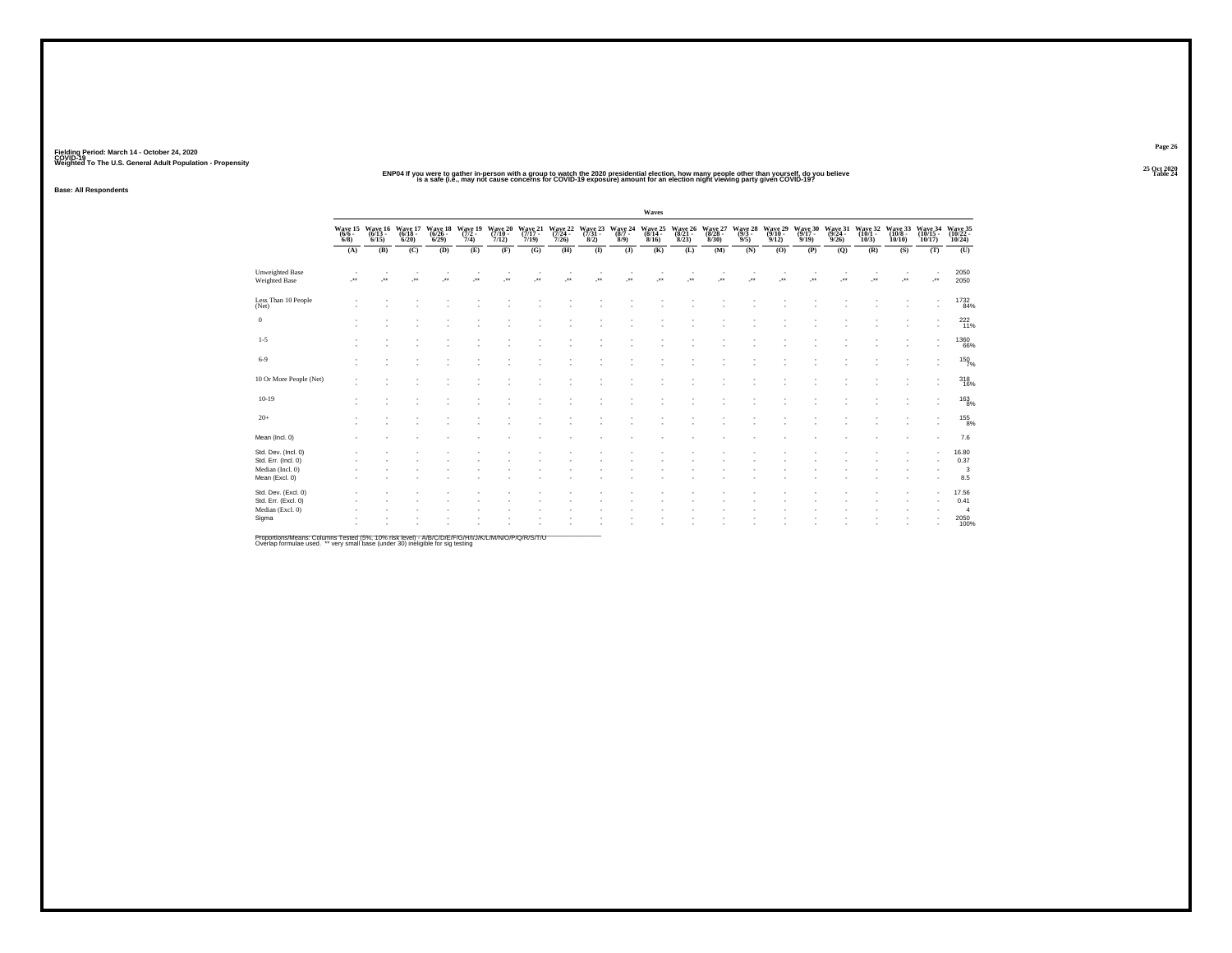#### ENP04 If you were to gather in-person with a group to watch the 2020 presidential election, how many people other than yourself, do you believe<br>Is a safe (i.ë., may not cause concerns for COVID-19 exposure) amount for an

**Base: All Respondents**

|                                         |                                            |                      |                              |                          |                                          |                          |                                            |     |              |                                                                      | Waves                      |                            |                            |                           |                              |                              |                              |                              |                               |                                |                               |
|-----------------------------------------|--------------------------------------------|----------------------|------------------------------|--------------------------|------------------------------------------|--------------------------|--------------------------------------------|-----|--------------|----------------------------------------------------------------------|----------------------------|----------------------------|----------------------------|---------------------------|------------------------------|------------------------------|------------------------------|------------------------------|-------------------------------|--------------------------------|-------------------------------|
|                                         | Wave 15 Wave 16<br>$\frac{(6/6 - 6)}{6/8}$ | $(6/13 -$<br>6/15    | Wave 17<br>$(6/18 -$<br>6/20 | 6/29                     | Wave 18 Wave 19<br>(6/26 - (7/2 -<br>7/4 | 7/12                     | Wave 20 Wave 21<br>(7/10 - (7/17 -<br>7/19 |     |              | Wave 22 Wave 23 Wave 24<br>(7/24 - (7/31 - (8/7 - 7/26)<br>8/2) 8/9) | Wave 25<br>(8/14 -<br>8/16 | Wave 26<br>(8/21 -<br>8/23 | Wave 27<br>(8/28 -<br>8/30 | Wave 28<br>(9/3 -<br>9/5) | Wave 29<br>$(9/10 -$<br>9/12 | Wave 30<br>$(9/17 -$<br>9/19 | Wave 31<br>$(9/24 -$<br>9/26 | Wave 32<br>$(10/1 -$<br>10/3 | Wave 33<br>$(10/8 -$<br>10/10 | Wave 34<br>(10/15<br>$10/17$ ) | Wave 35<br>(10/22 -<br>10/24) |
|                                         | (A)                                        | (B)                  | (C)                          | (D)                      | (E)                                      | (F)                      | (G)                                        | (H) | $($ $\Gamma$ | $($ $)$                                                              | (K)                        | (L)                        | (M)                        | (N)                       | (O)                          | (P)                          | (Q)                          | (R)                          | (S)                           | (T)                            | (U)                           |
| <b>Unweighted Base</b><br>Weighted Base | J.                                         | $\ddot{\phantom{1}}$ | $\cdot$                      | $\overline{\phantom{a}}$ | $\bullet\,\bullet$                       | $\overline{\phantom{a}}$ | $\ddot{\phantom{1}}$                       | J.  | $\cdot$      | J.                                                                   | $\bullet\,\bullet$         | $\bullet\bullet$           | $\bullet\star$             | $\bullet\bullet$          | $\ddot{\phantom{1}}$         | $\bullet\bullet$             | $\bullet\,\bullet$           | $\bullet\bullet$             | $\ddot{\phantom{1}}$          | J.                             | 2050<br>2050                  |
| Less Than 10 People<br>(Net)            |                                            |                      |                              |                          |                                          |                          |                                            |     |              |                                                                      |                            |                            |                            |                           |                              |                              |                              |                              |                               | ٠                              | 1732<br>84%                   |
| $\,0\,$                                 |                                            |                      |                              |                          |                                          |                          |                                            |     |              |                                                                      |                            |                            |                            |                           |                              |                              |                              |                              |                               |                                | $^{222}_{11\%}$               |
| $1 - 5$                                 |                                            |                      |                              |                          |                                          |                          |                                            |     |              |                                                                      |                            |                            |                            |                           |                              |                              |                              |                              |                               |                                | $^{1360}_{66\%}$              |
| $6-9$                                   |                                            |                      |                              |                          |                                          |                          |                                            |     |              |                                                                      |                            |                            |                            |                           |                              |                              |                              |                              |                               | $\mathbf{r}$                   | 150%                          |
| 10 Or More People (Net)                 |                                            |                      |                              |                          |                                          |                          |                                            |     |              |                                                                      |                            |                            |                            |                           |                              |                              |                              |                              |                               | ٠<br>٠                         | 318                           |
| $10-19$                                 |                                            |                      |                              |                          |                                          |                          |                                            |     |              |                                                                      |                            |                            |                            |                           |                              |                              |                              |                              |                               |                                | $^{163}_{8\%}$                |
| $20+$                                   |                                            |                      |                              |                          |                                          |                          |                                            |     |              |                                                                      |                            |                            |                            |                           |                              |                              |                              |                              |                               |                                | $^{155}_{8\%}$                |
| Mean (Incl. 0)                          |                                            |                      |                              |                          |                                          |                          |                                            |     |              |                                                                      |                            |                            |                            |                           |                              |                              |                              |                              |                               |                                | 7.6                           |
| Std. Dev. (Incl. 0)                     |                                            |                      |                              |                          |                                          |                          |                                            |     |              |                                                                      |                            |                            |                            |                           |                              |                              |                              |                              |                               |                                | 16.80                         |
| Std. Err. (Incl. 0)<br>Median (Incl. 0) |                                            |                      |                              |                          |                                          |                          |                                            |     |              |                                                                      |                            |                            |                            |                           |                              |                              |                              |                              |                               |                                | 0.37<br>3                     |
| Mean (Excl. 0)                          |                                            |                      |                              |                          |                                          |                          |                                            |     |              |                                                                      |                            |                            |                            |                           |                              |                              |                              |                              |                               |                                | 8.5                           |
| Std. Dev. (Excl. 0)                     |                                            |                      |                              |                          |                                          |                          |                                            |     |              |                                                                      |                            |                            |                            |                           |                              |                              |                              |                              |                               |                                | 17.56                         |
| Std. Err. (Excl. 0)                     |                                            |                      |                              |                          |                                          |                          |                                            |     |              |                                                                      |                            |                            |                            |                           |                              |                              |                              |                              |                               | $\overline{\phantom{a}}$       | 0.41                          |
| Median (Excl. 0)                        |                                            |                      |                              |                          |                                          |                          |                                            |     |              |                                                                      |                            |                            |                            |                           |                              |                              |                              |                              |                               |                                | $\overline{4}$                |
| Sigma                                   |                                            |                      |                              |                          |                                          |                          |                                            |     |              |                                                                      |                            |                            |                            |                           |                              |                              |                              |                              |                               |                                | 2050                          |

Proportions/Means: Columns Tested (5%, 10% risk level) - A/B/C/D/E/F/G/H/I/J/K/L/M/N/O/P/Q/R/S/T/U<br>Overlap formulae used. \*\* very small base (under 30) ineligible for sig testing

**Page 2625 Oct 2020<br>Table 24**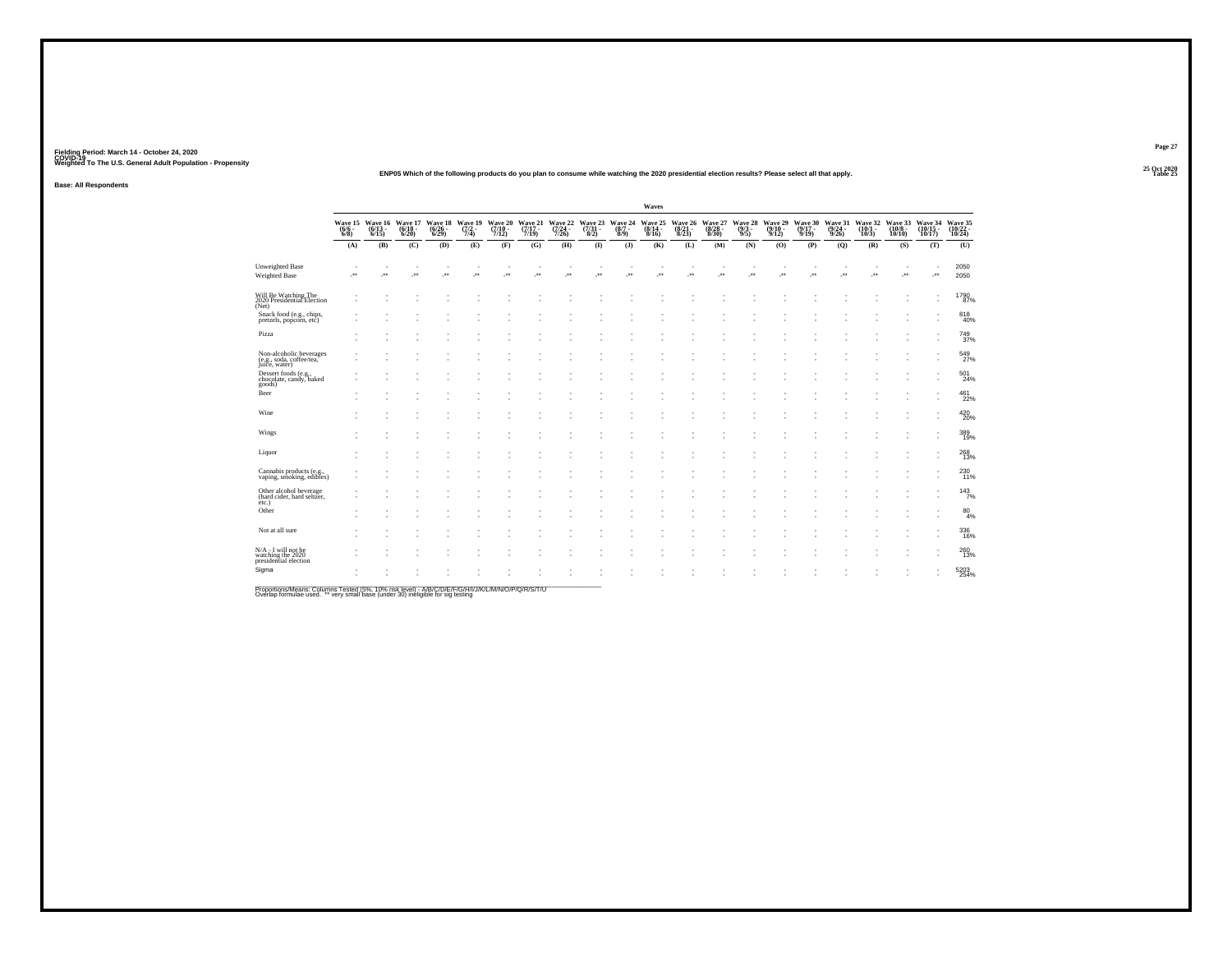#### **25 Oct 2020ENP05 Which of the following products do you plan to consume while watching the 2020 presidential election results? Please select all that apply.**

**Base: All Respondents**

|                                                                      |                     |                          |                                                  |     |         |     |         |         |                                                                                                                                                                                                                                      |         | Waves   |                          |     |                          |     |                          |         |                                                                                           |         |                             |                               |
|----------------------------------------------------------------------|---------------------|--------------------------|--------------------------------------------------|-----|---------|-----|---------|---------|--------------------------------------------------------------------------------------------------------------------------------------------------------------------------------------------------------------------------------------|---------|---------|--------------------------|-----|--------------------------|-----|--------------------------|---------|-------------------------------------------------------------------------------------------|---------|-----------------------------|-------------------------------|
|                                                                      | $\frac{(6/6)}{6/8}$ | $(6/13 -$<br>$6/15$ )    | Wave 15 Wave 16 Wave 17<br>$\frac{(6/18)}{6/20}$ |     |         |     |         |         | Wave 18 Wave 19 Wave 20 Wave 21 Wave 22 Wave 24 Wave 25 Wave 26 Wave 27 Wave 28 Wave 29 Wave 29 Wave 29 Wave 29<br>(6/26 - (7/2 - (7/10 - (7/17 - (7/24 - (7/31 - 8/8/14 - (8/21 - 8/28 - 9/31 - 9/10 - 6/29 )<br>6/29) - 7/4) - 7/1 |         |         |                          |     |                          |     |                          |         | Wave 30 Wave 31 Wave 32 Wave 33<br>(9/17 - (9/24 - 10/1 - 10/8 - 9/19) 9/26) 10/3) 10/10) |         | Wave 34<br>(10/15<br>10/17) | Wave 35<br>(10/22 -<br>10/24) |
|                                                                      | (A)                 | (B)                      | (C)                                              | (D) | (E)     | (F) | (G)     | (H)     | $($ $\Gamma$                                                                                                                                                                                                                         | $($ $)$ | (K)     | (L)                      | (M) | (N)                      | (O) | (P)                      | (Q)     | (R)                                                                                       | (S)     | (T)                         | (U)                           |
| <b>Unweighted Base</b><br>Weighted Base                              | ÷                   | $\overline{\phantom{a}}$ | $\cdot$                                          | ×   | $\cdot$ | ×   | $\cdot$ | $\cdot$ | <b>A</b>                                                                                                                                                                                                                             | J.      | $\cdot$ | $\overline{\phantom{a}}$ | J.  | $\overline{\phantom{a}}$ | ÷   | $\overline{\phantom{a}}$ | $\cdot$ | $\mathcal{L}^{\text{max}}$                                                                | $\cdot$ | ٠<br>÷                      | 2050<br>2050                  |
| Will Be Watching The<br>2020 Presidential Election<br>(Net)          |                     |                          |                                                  |     |         |     |         |         |                                                                                                                                                                                                                                      |         |         |                          |     |                          |     |                          |         |                                                                                           |         | ٠                           | 1790<br>87%                   |
| Snack food (e.g., chips,<br>pretzels, popcorn, etc)                  |                     |                          |                                                  |     |         |     |         |         |                                                                                                                                                                                                                                      |         |         |                          |     |                          |     |                          |         |                                                                                           |         |                             | 818<br>40%                    |
| Pizza                                                                |                     |                          |                                                  |     |         |     |         |         |                                                                                                                                                                                                                                      |         |         |                          |     |                          |     |                          |         |                                                                                           |         |                             | 749<br>37%                    |
| Non-alcoholic beverages<br>(e.g., soda, coffee/tea,<br>juice, water) |                     |                          |                                                  |     |         |     |         |         |                                                                                                                                                                                                                                      |         |         |                          |     |                          |     |                          |         |                                                                                           |         |                             | 549<br>27%                    |
| Dessert foods (e.g.,<br>chocolate, candy, baked                      |                     |                          |                                                  |     |         |     |         |         |                                                                                                                                                                                                                                      |         |         |                          |     |                          |     |                          |         |                                                                                           |         |                             | 501<br>24%                    |
| goods)<br>Beer                                                       |                     |                          |                                                  |     |         |     |         |         |                                                                                                                                                                                                                                      |         |         |                          |     |                          |     |                          |         |                                                                                           |         |                             | 461<br>22%                    |
| Wine                                                                 |                     |                          |                                                  |     |         |     |         |         |                                                                                                                                                                                                                                      |         |         |                          |     |                          |     |                          |         |                                                                                           |         |                             | 420<br>20%                    |
| Wings                                                                |                     |                          |                                                  |     |         |     |         |         |                                                                                                                                                                                                                                      |         |         |                          |     |                          |     |                          |         |                                                                                           |         |                             | 389<br>19%                    |
| Liquor                                                               |                     |                          |                                                  |     |         |     |         |         |                                                                                                                                                                                                                                      |         |         |                          |     |                          |     |                          |         |                                                                                           |         |                             | 268<br>13%                    |
| Cannabis products (e.g.,<br>vaping, smoking, edibles)                |                     |                          |                                                  |     |         |     |         |         |                                                                                                                                                                                                                                      |         |         |                          |     |                          |     |                          |         |                                                                                           |         |                             | 230<br>11%                    |
| Other alcohol beverage<br>(hard cider, hard seltzer,                 |                     |                          |                                                  |     |         |     |         |         |                                                                                                                                                                                                                                      |         |         |                          |     |                          |     |                          |         |                                                                                           |         |                             | $143$ <sub>7%</sub>           |
| $etc.$ )<br>Other                                                    |                     |                          |                                                  |     |         |     |         |         |                                                                                                                                                                                                                                      |         |         |                          |     |                          |     |                          |         |                                                                                           |         |                             | $^{80}_{4\%}$                 |
| Not at all sure                                                      |                     |                          |                                                  |     |         |     |         |         |                                                                                                                                                                                                                                      |         |         |                          |     |                          |     |                          |         |                                                                                           |         |                             | 336<br>16%                    |
| N/A - I will not be<br>watching the 2020<br>presidential election    |                     |                          |                                                  |     |         |     |         |         |                                                                                                                                                                                                                                      |         |         |                          |     |                          |     |                          |         |                                                                                           |         |                             | 260<br>13%                    |
| Sigma                                                                |                     |                          |                                                  |     |         |     |         |         |                                                                                                                                                                                                                                      |         |         |                          |     |                          |     |                          |         |                                                                                           |         |                             | 5203<br>254%                  |
|                                                                      |                     |                          |                                                  |     |         |     |         |         |                                                                                                                                                                                                                                      |         |         |                          |     |                          |     |                          |         |                                                                                           |         |                             |                               |

Proportions/Means: Columns Tested (5%, 10% risk level) - A/B/C/D/E/F/G/H/I/J/K/L/M/N/O/P/Q/R/S/T/U<br>Overlap formulae used. \*\* very small base (under 30) ineligible for sig testing

**Page 27**25 Oct 2020<br>Table 25

**Table 25 Table 25**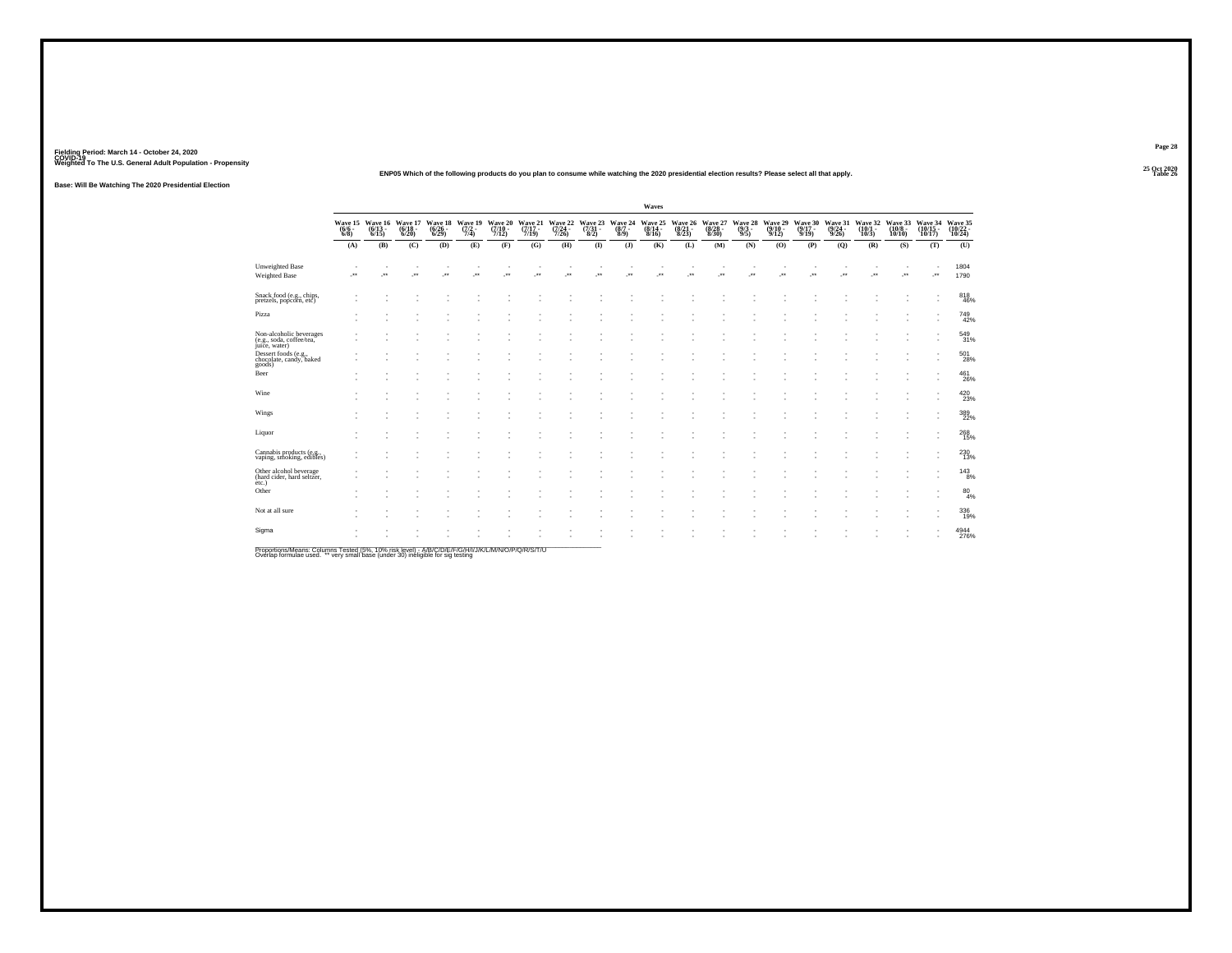**25 Oct 2020ENP05 Which of the following products do you plan to consume while watching the 2020 presidential election results? Please select all that apply.**

**Base: Will Be Watching The 2020 Presidential Election**

|                                                                      |                                                        |         |                                  |                             |                                      |                             |                             |                             |          |                                                | Waves           |                             |                             |                           |                             |                            |                             |                             |                              |                                |                               |
|----------------------------------------------------------------------|--------------------------------------------------------|---------|----------------------------------|-----------------------------|--------------------------------------|-----------------------------|-----------------------------|-----------------------------|----------|------------------------------------------------|-----------------|-----------------------------|-----------------------------|---------------------------|-----------------------------|----------------------------|-----------------------------|-----------------------------|------------------------------|--------------------------------|-------------------------------|
|                                                                      | Wave 15 Wave 16<br>(6/6 - (6/13 - 6/8)<br>6/8) - 6/15) |         | Wave 17<br>$\frac{(6/18)}{6/20}$ | Wave 18<br>(6/26 -<br>6/29) | Wave 19<br>$\frac{(7/2 - 1)}{(7/4)}$ | Wave 20<br>(7/10 -<br>7/12) | Wave 21<br>(7/17 -<br>7/19) | Wave 22<br>(7/24 -<br>7/26) |          | Wave 23 Wave 24<br>(7/31 - (8/7 - 8/2)<br>8/9) | Wave 25<br>8/16 | Wave 26<br>(8/21 -<br>8/23) | Wave 27<br>(8/28 -<br>8/30) | Wave 28<br>(9/3 -<br>9/5) | Wave 29<br>(9/10 -<br>9/12) | Wave 30<br>(9/17 -<br>9/19 | Wave 31<br>(9/24 -<br>9/26) | Wave 32<br>(10/1 -<br>10/3) | Wave 33<br>(10/8 -<br>10/10) | Wave 34<br>(10/15<br>$10/17$ ) | Wave 35<br>(10/22 -<br>10/24) |
|                                                                      | (A)                                                    | (B)     | (C)                              | (D)                         | (E)                                  | (F)                         | (G)                         | (H)                         | $\bf(I)$ | $($ $)$                                        | (K)             | (L)                         | (M)                         | (N)                       | (O)                         | (P)                        | (Q)                         | (R)                         | (S)                          | (T)                            | (U)                           |
| <b>Unweighted Base</b><br>Weighted Base                              | J.                                                     | $\star$ | J.                               | <b>A</b>                    | $\cdot$                              | ×                           | $\overline{\phantom{a}}$    | Jes                         | z.       | $\overline{\phantom{a}}$                       | z.              | J.                          | ÷.                          | $\overline{\phantom{a}}$  | <b>A</b>                    | ×                          | $\cdot$                     | $\overline{\phantom{a}}$    | J.                           | $\cdot$                        | 1804<br>1790                  |
| Snack food (e.g., chips,<br>pretzels, popcorn, etc)                  |                                                        |         |                                  |                             |                                      |                             |                             |                             |          |                                                |                 |                             |                             |                           |                             |                            |                             |                             |                              |                                | 818<br>46%                    |
| Pizza                                                                | ٠                                                      |         |                                  |                             |                                      |                             |                             |                             |          |                                                |                 |                             |                             |                           |                             |                            |                             |                             |                              |                                | 749<br>42%                    |
| Non-alcoholic beverages<br>(e.g., soda, coffee/tea,<br>juice, water) |                                                        |         |                                  |                             |                                      |                             |                             |                             |          |                                                |                 |                             |                             |                           |                             |                            |                             |                             |                              |                                | 549<br>31%                    |
| Dessert foods (e.g.,<br>chocolate, candy, baked<br>goods)            |                                                        |         |                                  |                             |                                      |                             |                             |                             |          |                                                |                 |                             |                             |                           |                             |                            |                             |                             |                              |                                | 501<br>28%                    |
| Beer                                                                 |                                                        |         |                                  |                             |                                      |                             |                             |                             |          |                                                |                 |                             |                             |                           |                             |                            |                             |                             |                              | и.                             | $^{461}_{26\%}$               |
| Wine                                                                 |                                                        |         |                                  |                             |                                      |                             |                             |                             |          |                                                |                 |                             |                             |                           |                             |                            |                             |                             |                              | $\overline{\phantom{a}}$       | 420<br>23%                    |
| Wings                                                                |                                                        |         |                                  |                             |                                      |                             |                             |                             |          |                                                |                 |                             |                             |                           |                             |                            |                             |                             |                              |                                | 389<br>22%                    |
| Liquor                                                               |                                                        |         |                                  |                             |                                      |                             |                             |                             |          |                                                |                 |                             |                             |                           |                             |                            |                             |                             |                              |                                | 268<br>15%                    |
| Cannabis products (e.g., vaping, smoking, edibles)                   |                                                        |         |                                  |                             |                                      |                             |                             |                             |          |                                                |                 |                             |                             |                           |                             |                            |                             |                             |                              |                                | 230<br>13%                    |
| Other alcohol beverage<br>(hard cider, hard seltzer,<br>etc.)        |                                                        |         |                                  |                             |                                      |                             |                             |                             |          |                                                |                 |                             |                             |                           |                             |                            |                             |                             |                              |                                | $^{143}_{\phantom{1}8\%}$     |
| Other                                                                |                                                        |         |                                  |                             |                                      |                             |                             |                             |          |                                                |                 |                             |                             |                           |                             |                            |                             |                             |                              |                                | $^{80}_{4\%}$                 |
| Not at all sure                                                      |                                                        |         |                                  |                             |                                      |                             |                             |                             |          |                                                |                 |                             |                             |                           |                             |                            |                             |                             |                              | $\overline{\phantom{a}}$       | 336<br>19%                    |
| Sigma                                                                |                                                        |         |                                  |                             |                                      |                             |                             |                             |          |                                                |                 |                             |                             |                           |                             |                            |                             |                             |                              |                                | 4944<br>276%                  |

Proportions/Means: Columns Tested (5%, 10% risk level) - A/B/C/D/E/F/G/H/I/J/K/L/M/N/O/P/Q/R/S/T/U<br>Overlap formulae used. \*\* very small base (under 30) ineligible for sig testing

**Page 28**

**Table 26 Table 26**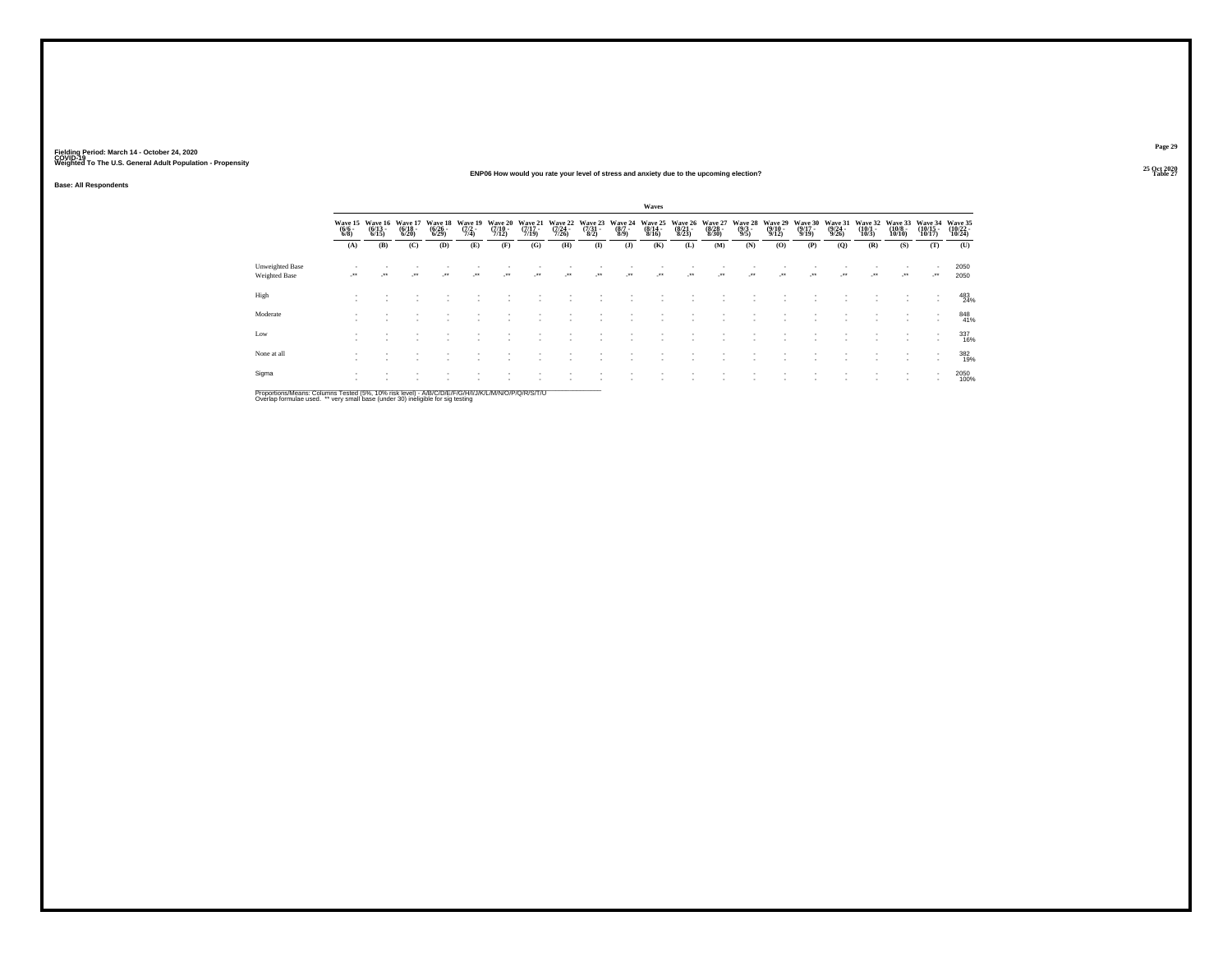#### **25 Oct 2020ENP06 How would you rate your level of stress and anxiety due to the upcoming election?Table 27 Table 27**

**Base: All Respondents**

|                                                                                                              | Waves               |                                          |                                  |                                    |                                |                              |                                  |                              |                                     |                               |                                      |                                  |                                  |                                |                                         |                              |                                  |                              |                               |                                |                                |
|--------------------------------------------------------------------------------------------------------------|---------------------|------------------------------------------|----------------------------------|------------------------------------|--------------------------------|------------------------------|----------------------------------|------------------------------|-------------------------------------|-------------------------------|--------------------------------------|----------------------------------|----------------------------------|--------------------------------|-----------------------------------------|------------------------------|----------------------------------|------------------------------|-------------------------------|--------------------------------|--------------------------------|
|                                                                                                              | $\frac{(6/6)}{6/8}$ | Wave 15 Wave 16<br>$\frac{(6/13)}{6/15}$ | Wave 17<br>$\frac{(6/18)}{6/20}$ | Wave 18<br>$\frac{(6/26)}{(6/29)}$ | Wave 19<br>$\frac{(7/2)}{7/4}$ | Wave 20<br>$(7/10 -$<br>7/12 | Wave 21<br>$\frac{(7/17)}{7/19}$ | Wave 22<br>$(7/24 -$<br>7/26 | Wave 23<br>$\frac{(7/31 - 8)}{8/2}$ | Wave 24<br>$\binom{8/7}{8/9}$ | Wave 25<br>$\frac{(8/14 - 8)}{8/16}$ | Wave 26<br>$\frac{(8/21)}{8/23}$ | Wave 27<br>$\frac{(8/28)}{8/30}$ | Wave 28<br>$\frac{(9/3)}{9/5}$ | Wave 29<br>$\frac{(9/10 - 9/12)}{9/12}$ | Wave 30<br>$(9/17 -$<br>9/19 | Wave 31<br>$\frac{(9/24)}{9/26}$ | Wave 32<br>$(10/1 -$<br>10/3 | Wave 33<br>$(10/8 -$<br>10/10 | Wave 34<br>$(10/15 -$<br>10/17 | Wave 35<br>$(10/22 -$<br>10/24 |
|                                                                                                              | (A)                 | (B)                                      | (C)                              | (D)                                | (E)                            | (F)                          | (G)                              | (H)                          | $($ $\Gamma$                        | (3)                           | (K)                                  | (L)                              | (M)                              | (N)                            | (0)                                     | (P)                          | (0)                              | (R)                          | (S)                           | (T)                            | (U)                            |
| <b>Unweighted Base</b><br><b>Weighted Base</b>                                                               |                     | $^{\tiny{++}}$                           | $\cdot$                          | $\bullet\bullet$                   | $\bullet\bullet$               | $\bullet\bullet$             | $\cdot$                          |                              | $\cdot$                             | $\ddot{\phantom{1}}$          | $\bullet\bullet$                     | $\ddot{\phantom{1}}$             | $\bullet\bullet$                 | $\bullet\bullet$               | $\cdot$                                 | $\bullet\bullet$             | $\cdot$                          | $\bullet\bullet$             | $\bullet\,\bullet$            | ure.                           | 2050<br>2050                   |
| High                                                                                                         |                     |                                          |                                  |                                    |                                |                              |                                  |                              |                                     |                               |                                      |                                  |                                  |                                |                                         |                              |                                  |                              |                               | $\overline{\phantom{a}}$       | 483<br>24%                     |
| Moderate                                                                                                     |                     |                                          |                                  |                                    |                                |                              |                                  |                              |                                     |                               |                                      |                                  |                                  |                                |                                         |                              |                                  |                              |                               |                                | 848<br>41%                     |
| Low                                                                                                          |                     |                                          |                                  |                                    |                                |                              |                                  |                              |                                     |                               |                                      |                                  |                                  |                                |                                         |                              |                                  |                              |                               | $\overline{\phantom{a}}$       | 337<br>16%                     |
| None at all                                                                                                  |                     |                                          |                                  |                                    |                                |                              |                                  |                              |                                     |                               |                                      |                                  |                                  |                                |                                         |                              |                                  |                              |                               | $\mathbf{r}$<br>$\mathbf{r}$   | 382<br>19%                     |
| Sigma                                                                                                        |                     |                                          |                                  |                                    |                                |                              |                                  |                              |                                     |                               |                                      |                                  |                                  |                                |                                         |                              |                                  |                              |                               | $\sim$                         | 2050<br>100%                   |
| Department Leonar Onlywood Texted IFM, ABM deliberally, AJD ID ID ID ID INTITIATIVE ARABIO ID ID ID ID IT IT |                     |                                          |                                  |                                    |                                |                              |                                  |                              |                                     |                               |                                      |                                  |                                  |                                |                                         |                              |                                  |                              |                               |                                |                                |

Proportions/Means: Columns Tested (5%, 10% risk level) - A/B/C/D/E/F/G/H/I/J/K/L/M/N/O/P/Q/R/S/T/U<br>Overlap formulae used. \*\* very small base (under 30) ineligible for sig testing

**Page 29**25 Oct 2020<br>Table 27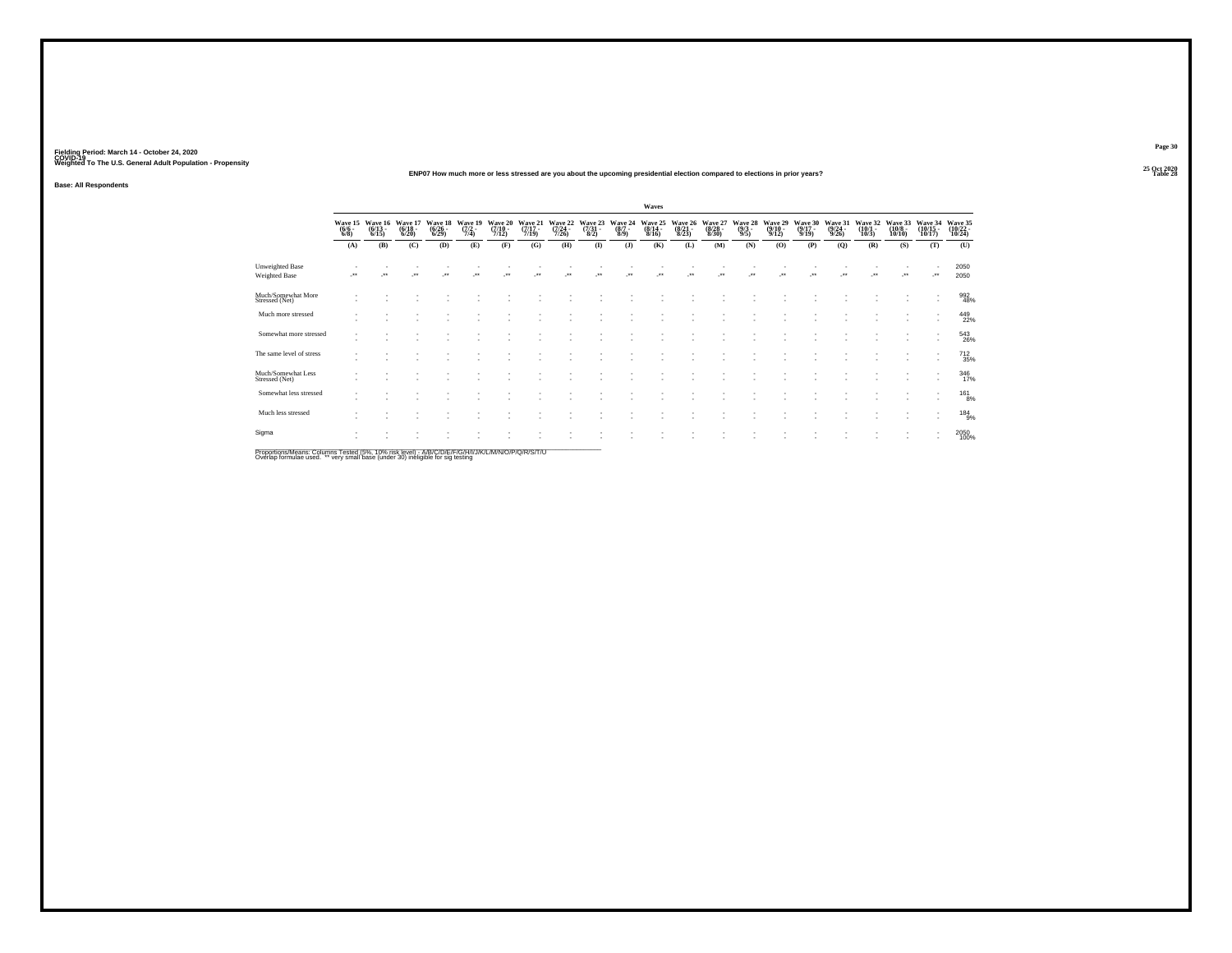#### **25 Oct 2020ENP07 How much more or less stressed are you about the upcoming presidential election compared to elections in prior years?Table 28 Table 28**

**Base: All Respondents**

|                                                                                                                           |                                |                           |                                  |                             |                           |                                      |                             |                             |                                 |                                | Waves                       |                             |                                  |                           |                             |                             |                             |                             |                              |                                                      |                               |
|---------------------------------------------------------------------------------------------------------------------------|--------------------------------|---------------------------|----------------------------------|-----------------------------|---------------------------|--------------------------------------|-----------------------------|-----------------------------|---------------------------------|--------------------------------|-----------------------------|-----------------------------|----------------------------------|---------------------------|-----------------------------|-----------------------------|-----------------------------|-----------------------------|------------------------------|------------------------------------------------------|-------------------------------|
|                                                                                                                           | Wave 15<br>$\frac{(6/6)}{6/8}$ | Wave 16<br>(6/13<br>6/15) | Wave 17<br>$\frac{(6/18)}{6/20}$ | Wave 18<br>(6/26 -<br>6/29) | Wave 19<br>(7/2 -<br>7/4) | Wave 20<br>$\frac{(7/10 - 7)}{7/12}$ | Wave 21<br>(7/17 -<br>7/19) | Wave 22<br>(7/24 -<br>7/26) | Wave 23<br>$\frac{(7/31)}{8/2}$ | Wave 24<br>$\frac{(8/7)}{8/9}$ | Wave 25<br>(8/14 -<br>8/16) | Wave 26<br>(8/21 -<br>8/23) | Wave 27<br>$\frac{(8/28)}{8/30}$ | Wave 28<br>(9/3 -<br>9/5) | Wave 29<br>(9/10 -<br>9/12) | Wave 30<br>(9/17 -<br>9/19) | Wave 31<br>(9/24 -<br>9/26) | Wave 32<br>(10/1 -<br>10/3) | Wave 33<br>(10/8 -<br>10/10) | Wave 34<br>(10/15 -<br>10/17)                        | Wave 35<br>(10/22 -<br>10/24) |
|                                                                                                                           | (A)                            | (B)                       | (C)                              | (D)                         | (E)                       | (F)                                  | (G)                         | (H)                         | $($ $\Gamma$                    | (J)                            | (K)                         | (L)                         | (M)                              | (N)                       | (0)                         | (P)                         | (Q)                         | (R)                         | (S)                          | (T)                                                  | (U)                           |
| <b>Unweighted Base</b><br>Weighted Base                                                                                   | $\cdot$                        | $\ddot{\phantom{1}}$      | $\cdot$                          | $\bullet\bullet$            | $\ddot{\phantom{1}}$      | $\bullet\bullet$                     | $\bullet\,\bullet$          | $\ddot{\phantom{1}}$        | $\ddot{\phantom{0}}$            | ×                              | $\ddot{\phantom{0}}$        |                             | $\bullet\bullet$                 | ٠.                        | $\bullet\,\bullet$          |                             | $\ddot{\phantom{0}}$        | $\ddot{\phantom{1}}$        | $\cdot$                      | $\cdot$                                              | 2050<br>2050                  |
| Much/Somewhat More<br>Stressed (Net)                                                                                      |                                |                           |                                  |                             |                           |                                      |                             |                             |                                 |                                |                             |                             |                                  |                           |                             |                             |                             |                             |                              | $\overline{\phantom{a}}$                             | 992<br>48%                    |
| Much more stressed                                                                                                        |                                |                           |                                  |                             |                           |                                      |                             |                             |                                 |                                |                             |                             |                                  |                           |                             |                             |                             |                             |                              | $\overline{\phantom{a}}$                             | 449<br>22%                    |
| Somewhat more stressed                                                                                                    |                                |                           |                                  |                             |                           |                                      |                             |                             |                                 |                                |                             |                             |                                  |                           |                             |                             |                             |                             |                              | $\overline{\phantom{a}}$                             | 543<br>26%                    |
| The same level of stress                                                                                                  |                                |                           |                                  |                             |                           |                                      |                             |                             |                                 |                                |                             |                             |                                  |                           |                             |                             |                             |                             |                              | ٠                                                    | 712<br>35%                    |
| Much/Somewhat Less<br>Stressed (Net)                                                                                      |                                |                           |                                  |                             |                           |                                      |                             |                             |                                 |                                |                             |                             |                                  |                           |                             |                             |                             |                             |                              | $\overline{\phantom{a}}$<br>٠                        | 346<br>17%                    |
| Somewhat less stressed                                                                                                    |                                |                           |                                  |                             |                           |                                      |                             |                             |                                 |                                |                             |                             |                                  |                           |                             |                             |                             |                             |                              | $\overline{\phantom{a}}$<br>٠                        | $^{161}_{8\%}$                |
| Much less stressed                                                                                                        |                                |                           |                                  |                             |                           |                                      |                             |                             |                                 |                                |                             |                             |                                  |                           |                             |                             |                             |                             |                              | ٠                                                    | 184<br>9%                     |
| Sigma<br>Descriptions & Logics Onlinear Trade of 1501-1600 Statistics & IDIO IDIO IDIO 11/11/12/18 & LATIO IDIO IDIO IDIO |                                |                           |                                  |                             |                           |                                      |                             |                             |                                 |                                |                             |                             |                                  |                           |                             |                             |                             |                             | $\overline{\phantom{a}}$     | $\overline{\phantom{a}}$<br>$\overline{\phantom{a}}$ | 2050                          |

Proportions/Means: Columns Tested (5%, 10% risk level) - A/B/C/D/E/F/G/H/I/J/K/L/M/N/O/P/Q/R/S/T/U<br>Overlap formulae used. \*\* very small base (under 30) ineligible for sig testing

**Page 30**25 Oct 2020<br>Table 28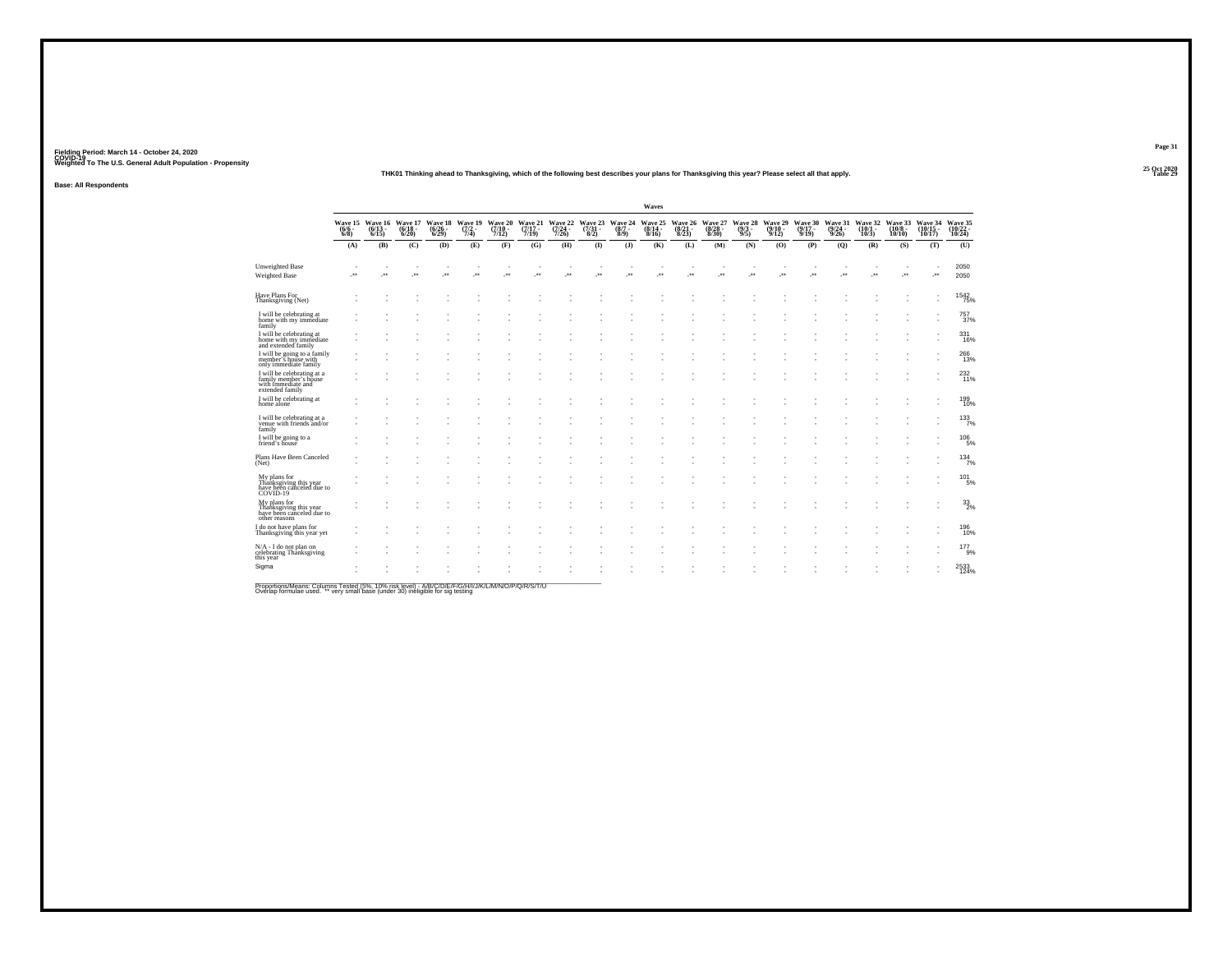#### **25 Oct 2020THK01 Thinking ahead to Thanksgiving, which of the following best describes your plans for Thanksgiving this year? Please select all that apply.**

**Base: All Respondents**

|                                                                                              |     |                                                        |                             |                                 |                           |                             |                             |                             |              |                                                | Waves                       |                             |                             |                               |                             |                             |                             |                             |                              |                               |                               |
|----------------------------------------------------------------------------------------------|-----|--------------------------------------------------------|-----------------------------|---------------------------------|---------------------------|-----------------------------|-----------------------------|-----------------------------|--------------|------------------------------------------------|-----------------------------|-----------------------------|-----------------------------|-------------------------------|-----------------------------|-----------------------------|-----------------------------|-----------------------------|------------------------------|-------------------------------|-------------------------------|
|                                                                                              |     | Wave 15 Wave 16<br>(6/6 - (6/13 - 6/8)<br>6/8) - 6/15) | Wave 17<br>(6/18 -<br>6/20) | Wave 18<br>$\binom{6/26}{6/29}$ | Wave 19<br>(7/2 -<br>7/4) | Wave 20<br>(7/10 -<br>7/12) | Wave 21<br>(7/17 -<br>7/19) | Wave 22<br>(7/24 -<br>7/26) |              | Wave 23 Wave 24<br>(7/31 - (8/7 - 8/2)<br>8/9) | Wave 25<br>(8/14 -<br>8/16) | Wave 26<br>(8/21 -<br>8/23) | Wave 27<br>(8/28 -<br>8/30) | Wave 28<br>$\binom{9/3}{9/5}$ | Wave 29<br>(9/10 -<br>9/12) | Wave 30<br>(9/17 -<br>9/19) | Wave 31<br>(9/24 -<br>9/26) | Wave 32<br>(10/1 -<br>10/3) | Wave 33<br>(10/8 -<br>10/10) | Wave 34<br>(10/15 -<br>10/17) | Wave 35<br>(10/22 -<br>10/24) |
|                                                                                              | (A) | (B)                                                    | (C)                         | (D)                             | (E)                       | (F)                         | (G)                         | (H)                         | $($ $\Gamma$ | (3)                                            | (K)                         | (L)                         | (M)                         | (N)                           | (O)                         | (P)                         | (Q)                         | (R)                         | (S)                          | (T)                           | (U)                           |
| <b>Unweighted Base</b><br><b>Weighted Base</b>                                               | J.  | $\overline{\phantom{a}}$                               | ٠<br>59                     | ×                               | J.                        | ÷.                          | J.                          | ÷.                          | J.           | 59                                             | J.                          | ÷.                          | J.                          | J.                            | J.                          | ÷.                          | 59                          | J.                          |                              | $\cdot$                       | 2050<br>2050                  |
| Have Plans For<br>Thanksgiving (Net)                                                         |     |                                                        |                             |                                 |                           |                             |                             |                             |              |                                                |                             |                             |                             |                               |                             |                             |                             |                             |                              |                               | 1542<br>75%                   |
| I will be celebrating at<br>home with my immediate<br>family                                 |     |                                                        |                             |                                 |                           |                             |                             |                             |              |                                                |                             |                             |                             |                               |                             |                             |                             |                             |                              |                               | 757<br>37%                    |
| I will be celebrating at<br>home with my immediate<br>and extended family                    |     |                                                        |                             |                                 |                           |                             |                             |                             |              |                                                |                             |                             |                             |                               |                             |                             |                             |                             |                              |                               | 331<br>16%                    |
| I will be going to a family<br>member's house with<br>only immediate family                  |     |                                                        |                             |                                 |                           |                             |                             |                             |              |                                                |                             |                             |                             |                               |                             |                             |                             |                             |                              |                               | 266<br>13%                    |
| I will be celebrating at a<br>family member's house<br>with immediate and<br>extended family |     |                                                        |                             |                                 |                           |                             |                             |                             |              |                                                |                             |                             |                             |                               |                             |                             |                             |                             |                              |                               | 232<br>11%                    |
| I will be celebrating at<br>home alone                                                       |     |                                                        |                             |                                 |                           |                             |                             |                             |              |                                                |                             |                             |                             |                               |                             |                             |                             |                             |                              |                               | 199<br>10%                    |
| I will be celebrating at a<br>venue with friends and/or<br>family                            |     |                                                        |                             |                                 |                           |                             |                             |                             |              |                                                |                             |                             |                             |                               |                             |                             |                             |                             |                              |                               | 133%                          |
| I will be going to a<br>friend's house                                                       |     |                                                        |                             |                                 |                           |                             |                             |                             |              |                                                |                             |                             |                             |                               |                             |                             |                             |                             |                              |                               | $^{106}_{-5\%}$               |
| Plans Have Been Canceled<br>(Net)                                                            |     |                                                        |                             |                                 |                           |                             |                             |                             |              |                                                |                             |                             |                             |                               |                             |                             |                             |                             |                              |                               | $134$ <sub>7%</sub>           |
| My plans for<br>Thanksgiving this year<br>have been canceled due to<br>COVID-19              |     |                                                        |                             |                                 |                           |                             |                             |                             |              |                                                |                             |                             |                             |                               |                             |                             |                             |                             |                              |                               | $101 \atop 5\%$               |
| My plans for<br>Thanksgiving this year<br>have been canceled due to<br>other reasons         |     |                                                        |                             |                                 |                           |                             |                             |                             |              |                                                |                             |                             |                             |                               |                             |                             |                             |                             |                              |                               | 33/2%                         |
| I do not have plans for<br>Thanksgiving this year yet                                        |     |                                                        |                             |                                 |                           |                             |                             |                             |              |                                                |                             |                             |                             |                               |                             |                             |                             |                             |                              |                               | 196<br>10%                    |
| N/A - I do not plan on<br>celebrating Thanksgiving<br>this year                              |     |                                                        |                             |                                 |                           |                             |                             |                             |              |                                                |                             |                             |                             |                               |                             |                             |                             |                             |                              |                               | $177_{9\%}$                   |
| Sigma                                                                                        |     |                                                        |                             |                                 |                           |                             |                             |                             |              |                                                |                             |                             |                             |                               |                             |                             |                             |                             |                              |                               | 2533<br>124%                  |

Proportions/Means: Columns Tested (5%, 10% risk level) - A/B/C/D/E/F/G/H/I/J/K/L/M/N/O/P/Q/R/S/T/U<br>Overlap formulae used. \*\* very small base (under 30) ineligible for sig testing

**Page 31**25 Oct 2020<br>Table 29

**Table 29 Table 29**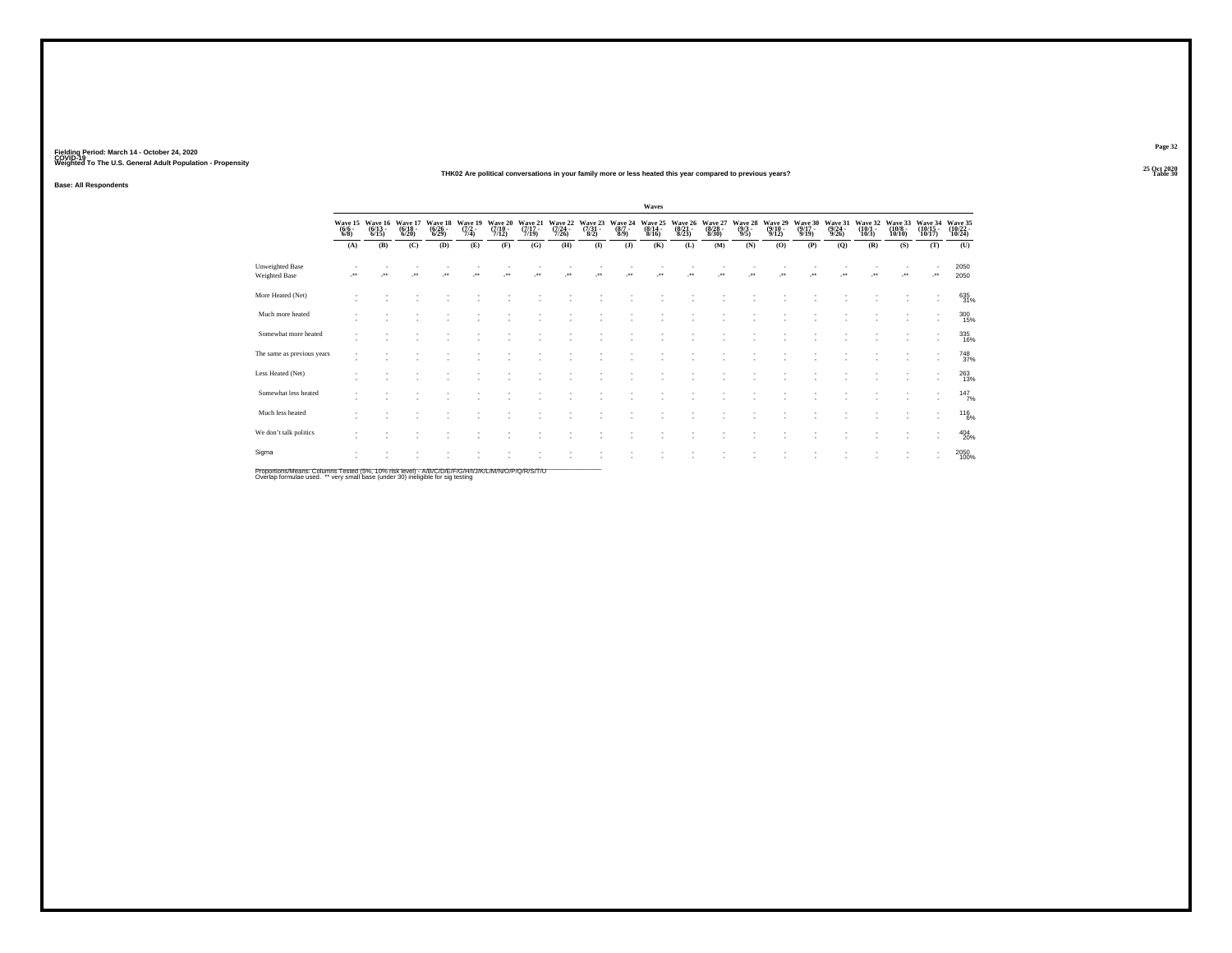#### **25 Oct 2020THK02 Are political conversations in your family more or less heated this year compared to previous years?Table 30 Table 30 Table 30 Table 30 Table 30 Table 30**

**Base: All Respondents**

|                                                                                                                  |                           |                                  |                                  |                                 |                           |                                      |                                  |                             |                                |                               | Waves                                   |                                 |                                  |                               |                                 |                             |                                  |                             |                                  |                               |                               |
|------------------------------------------------------------------------------------------------------------------|---------------------------|----------------------------------|----------------------------------|---------------------------------|---------------------------|--------------------------------------|----------------------------------|-----------------------------|--------------------------------|-------------------------------|-----------------------------------------|---------------------------------|----------------------------------|-------------------------------|---------------------------------|-----------------------------|----------------------------------|-----------------------------|----------------------------------|-------------------------------|-------------------------------|
|                                                                                                                  | Wave 15<br>(6/6 -<br>6/8) | Wave 16<br>$\frac{(6/13)}{6/15}$ | Wave 17<br>$\frac{(6/18)}{6/20}$ | Wave 18<br>$\binom{6/26}{6/29}$ | Wave 19<br>(7/2 -<br>7/4) | Wave 20<br>$\frac{(7/10 - 7)}{7/12}$ | Wave 21<br>$\frac{(7/17)}{7/19}$ | Wave 22<br>(7/24 -<br>7/26) | Wave 23<br>$\binom{7/31}{8/2}$ | Wave 24<br>$\binom{8/7}{8/9}$ | Wave 25<br>$\frac{(8/14 - 8/16)}{8/16}$ | Wave 26<br>$\binom{8/21}{8/23}$ | Wave 27<br>$\frac{(8/28)}{8/30}$ | Wave 28<br>$\binom{9/3}{9/5}$ | Wave 29<br>$\binom{9/10}{9/12}$ | Wave 30<br>(9/17 -<br>9/19) | Wave 31<br>$\frac{(9/24)}{9/26}$ | Wave 32<br>(10/1 -<br>10/3) | Wave 33<br>$\binom{10/8}{10/10}$ | Wave 34<br>(10/15 -<br>10/17) | Wave 35<br>(10/22 -<br>10/24) |
|                                                                                                                  | (A)                       | (B)                              | (C)                              | (D)                             | (E)                       | (F)                                  | (G)                              | (H)                         | $($ $\Gamma$                   | $($ $)$                       | (K)                                     | (L)                             | (M)                              | (N)                           | (0)                             | (P)                         | (Q)                              | (R)                         | (S)                              | (T)                           | (U)                           |
| <b>Unweighted Base</b><br>Weighted Base                                                                          |                           | $\bullet\bullet$                 | $\cdot$                          | $\cdot$                         | $\ddot{\phantom{1}}$      | $^{\tiny{+}}$                        | $\ddot{\phantom{1}}$             | $\bullet\bullet$            | $\bullet\,\bullet$             | $\ddot{\phantom{1}}$          | $\bullet\,\bullet$                      | $\bullet\bullet$                | $\ddot{\phantom{1}}$             | $\bullet\,\bullet$            | $\cdot$                         | $\ddot{\phantom{1}}$        |                                  | $\bullet\bullet$            | $\cdot$                          | $\cdot$                       | 2050<br>2050                  |
| More Heated (Net)                                                                                                |                           |                                  |                                  |                                 |                           |                                      |                                  |                             |                                |                               |                                         |                                 |                                  |                               |                                 |                             |                                  |                             |                                  |                               | 635<br>31%                    |
| Much more heated                                                                                                 |                           |                                  |                                  |                                 |                           |                                      |                                  |                             |                                |                               |                                         |                                 |                                  |                               |                                 |                             |                                  |                             |                                  | $\overline{\phantom{a}}$      | 300<br>15%                    |
| Somewhat more heated                                                                                             |                           |                                  |                                  |                                 |                           |                                      |                                  |                             |                                |                               |                                         |                                 |                                  |                               |                                 |                             |                                  |                             |                                  | $\overline{\phantom{a}}$      | 335<br>16%                    |
| The same as previous years                                                                                       |                           |                                  |                                  |                                 |                           |                                      |                                  |                             |                                |                               |                                         |                                 |                                  |                               |                                 |                             |                                  |                             |                                  |                               | <sup>748</sup> <sub>37%</sub> |
| Less Heated (Net)                                                                                                |                           |                                  |                                  |                                 |                           |                                      |                                  |                             |                                |                               |                                         |                                 |                                  |                               |                                 |                             |                                  |                             |                                  |                               | 263<br>13%                    |
| Somewhat less heated                                                                                             |                           |                                  |                                  |                                 |                           |                                      |                                  |                             |                                |                               |                                         |                                 |                                  |                               |                                 |                             |                                  |                             |                                  | $\mathbf{r}$                  | 147/7%                        |
| Much less heated                                                                                                 |                           |                                  |                                  |                                 |                           |                                      |                                  |                             |                                |                               |                                         |                                 |                                  |                               |                                 |                             |                                  |                             |                                  |                               | $^{116}_{6\%}$                |
| We don't talk politics                                                                                           | $\sim$                    |                                  |                                  |                                 |                           |                                      |                                  |                             |                                |                               |                                         |                                 |                                  |                               |                                 |                             |                                  |                             |                                  |                               | $^{404}_{20\%}$               |
| Sigma<br>Bronorligne Meane: Columne Toeted (59/ - 409/ -iok Joyal) A ID IO ID ID ID IUI UNA AMMIO ID ID ID IT IL |                           |                                  |                                  |                                 |                           |                                      |                                  |                             |                                |                               |                                         |                                 |                                  |                               |                                 |                             |                                  |                             |                                  | $\overline{\phantom{a}}$      | 2050<br>100%                  |

Proportions/Means: Columns Tested (5%, 10% risk level) - A/B/C/D/E/F/G/H/I/J/K/L/M/N/O/P/Q/R/S/T/U<br>Overlap formulae used. \*\* very small base (under 30) ineligible for sig testing

**Page 32**25 Oct 2020<br>Table 30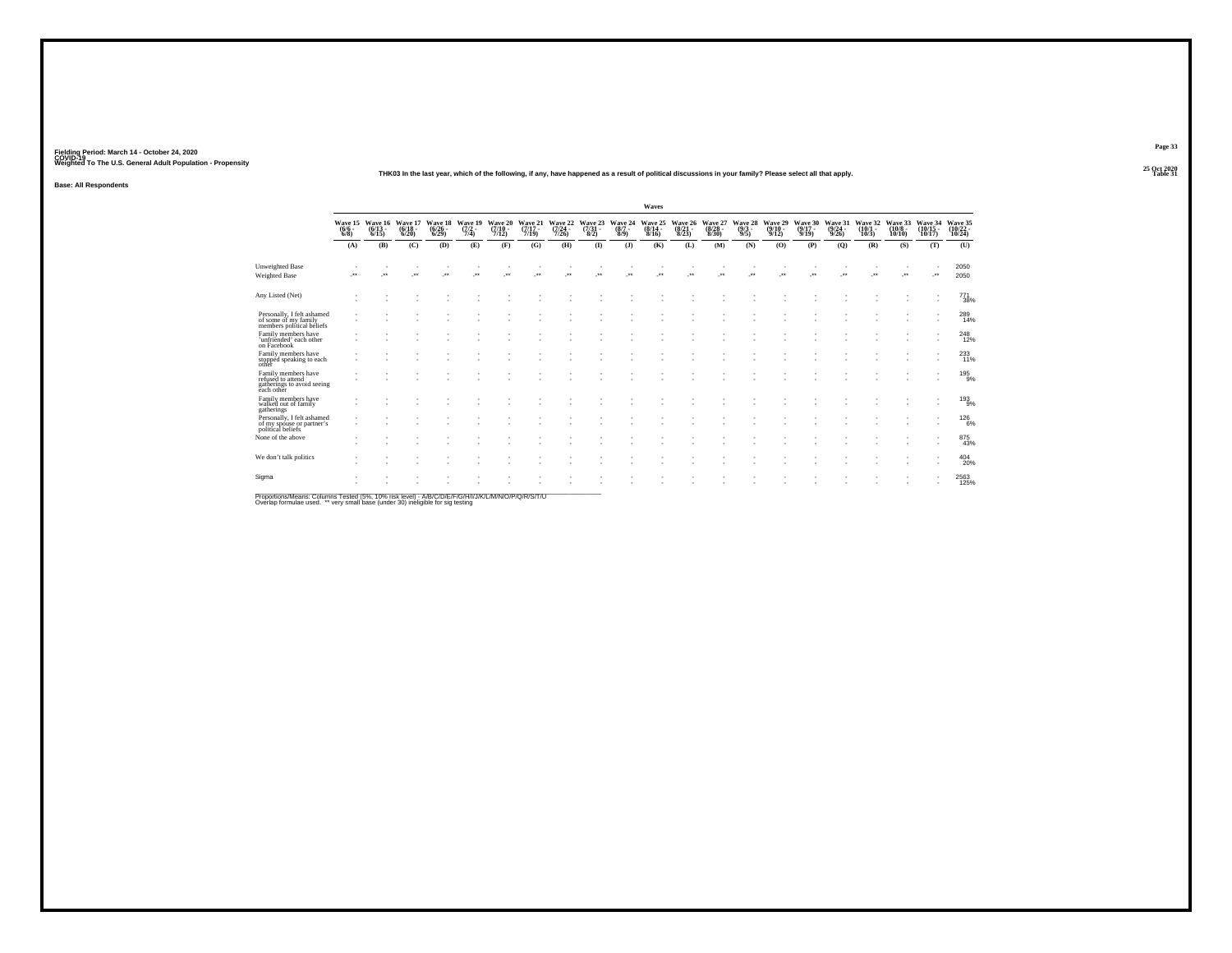#### **25 Oct 2020THK03 In the last year, which of the following, if any, have happened as a result of political discussions in your family? Please select all that apply.**

**Base: All Respondents**

|                                                                                      |                 |                                                  |                          |                                  |                                |                              |                              |                                  |                                     |                            | Waves                        |                                  |                                  |                                |                              |                                      |                                  |                              |                               |                            |                               |
|--------------------------------------------------------------------------------------|-----------------|--------------------------------------------------|--------------------------|----------------------------------|--------------------------------|------------------------------|------------------------------|----------------------------------|-------------------------------------|----------------------------|------------------------------|----------------------------------|----------------------------------|--------------------------------|------------------------------|--------------------------------------|----------------------------------|------------------------------|-------------------------------|----------------------------|-------------------------------|
|                                                                                      | $(6/6 -$<br>6/8 | Wave 15 Wave 16 Wave 17<br>$(6/13 -$<br>$6/15$ ) | $\frac{(6/18)}{6/20}$    | Wave 18<br>$\frac{(6/26)}{6/29}$ | Wave 19<br>$\frac{(7/2)}{7/4}$ | Wave 20<br>$(7/10 -$<br>7/12 | Wave 21<br>$(7/17 -$<br>7/19 | Wave 22<br>$\frac{(7/24)}{7/26}$ | Wave 23<br>$\frac{(7/31 - 8)}{8/2}$ | Wave 24<br>$(8/7 -$<br>8/9 | Wave 25<br>$(8/14 -$<br>8/16 | Wave 26<br>$\frac{(8/21)}{8/23}$ | Wave 27<br>$\frac{(8/28)}{8/30}$ | Wave 28<br>$\frac{(9/3)}{9/5}$ | Wave 29<br>$(9/10 -$<br>9/12 | Wave 30<br>$\frac{(9/17 - 9)}{9/19}$ | Wave 31<br>$\frac{(9/24)}{9/26}$ | Wave 32<br>$(10/1 -$<br>10/3 | Wave 33<br>$(10/8 -$<br>10/10 | Wave 34<br>(10/15<br>10/17 | Wave 35<br>(10/22 -<br>10/24) |
|                                                                                      | (A)             | (B)                                              | (C)                      | (D)                              | (E)                            | (F)                          | (G)                          | (H)                              | $($ $\Gamma$                        | (1)                        | (K)                          | (L)                              | (M)                              | (N)                            | (O)                          | (P)                                  | (Q)                              | (R)                          | (S)                           | (T)                        | (U)                           |
| <b>Unweighted Base</b><br>Weighted Base                                              | -**             | $\cdot$                                          | $\overline{\phantom{a}}$ | $\cdot$                          | $\cdot$                        | $\cdot$                      | $\cdot$                      | $\cdot$                          | $\bullet\,\bullet$                  | $\cdot$                    | $\bullet\,\bullet$           | $\bullet\star$                   | $\ddot{\phantom{1}}$             |                                | $\cdot$                      | $\star\star$                         | $\ddot{\phantom{1}}$             | $\overline{\phantom{a}}$     | $\cdot$                       | ٠<br>J.                    | 2050<br>2050                  |
| Any Listed (Net)                                                                     |                 |                                                  |                          |                                  |                                |                              |                              |                                  |                                     |                            |                              |                                  |                                  |                                |                              |                                      |                                  |                              |                               | ٠                          | $^{771}_{38\%}$               |
| Personally, I felt ashamed<br>of some of my family<br>members political beliefs      |                 | $\overline{\phantom{a}}$                         |                          |                                  |                                |                              |                              |                                  |                                     | ٠                          |                              |                                  |                                  |                                |                              |                                      |                                  |                              | $\sim$                        | ٠                          | 289<br>14%                    |
| Family members have<br>'unfriended' each other<br>on Facebook                        |                 |                                                  |                          |                                  |                                |                              |                              |                                  |                                     |                            |                              |                                  |                                  |                                |                              |                                      |                                  |                              |                               |                            | $^{248}_{12\%}$               |
| Family members have<br>stopped speaking to each<br>other                             |                 |                                                  |                          |                                  |                                |                              |                              |                                  |                                     | ٠                          |                              |                                  |                                  |                                |                              |                                      |                                  |                              |                               | ٠<br>×                     | 233                           |
| Family members have<br>refused to attend<br>gatherings to avoid seeing<br>each other |                 | $\overline{\phantom{a}}$                         |                          |                                  |                                |                              |                              |                                  |                                     | ٠                          |                              |                                  |                                  |                                |                              |                                      |                                  |                              |                               |                            | 195<br>9%                     |
| Family members have<br>walked out of family<br>gatherings                            |                 |                                                  |                          |                                  |                                |                              |                              |                                  |                                     |                            |                              |                                  |                                  |                                |                              |                                      |                                  |                              |                               | ٠                          | 193<br>9%                     |
| Personally, I felt ashamed<br>of my spouse or partner's<br>political beliefs         |                 |                                                  |                          |                                  |                                |                              |                              |                                  |                                     |                            |                              |                                  |                                  |                                |                              |                                      |                                  |                              |                               | ٠                          | $^{126}_{6\%}$                |
| None of the above                                                                    |                 |                                                  |                          |                                  |                                |                              |                              |                                  |                                     |                            |                              |                                  |                                  |                                |                              |                                      |                                  |                              |                               | ٠                          | 875<br>43%                    |
| We don't talk politics                                                               |                 | ٠                                                |                          |                                  |                                |                              |                              |                                  |                                     |                            |                              |                                  |                                  |                                |                              |                                      |                                  |                              |                               |                            | 404<br>20%                    |
| Sigma                                                                                |                 |                                                  |                          |                                  |                                |                              |                              |                                  |                                     |                            |                              |                                  |                                  |                                |                              |                                      |                                  |                              |                               |                            | 2563<br>125%                  |

Proportions/Means: Columns Tested (5%, 10% risk level) - A/B/C/D/E/F/G/H/I/J/K/L/M/N/O/P/Q/R/S/T/U<br>Overlap formulae used. \*\* very small base (under 30) ineligible for sig testing

**Page 33**

25 Oct 2020<br>Table 31 **Table 31 Table 31**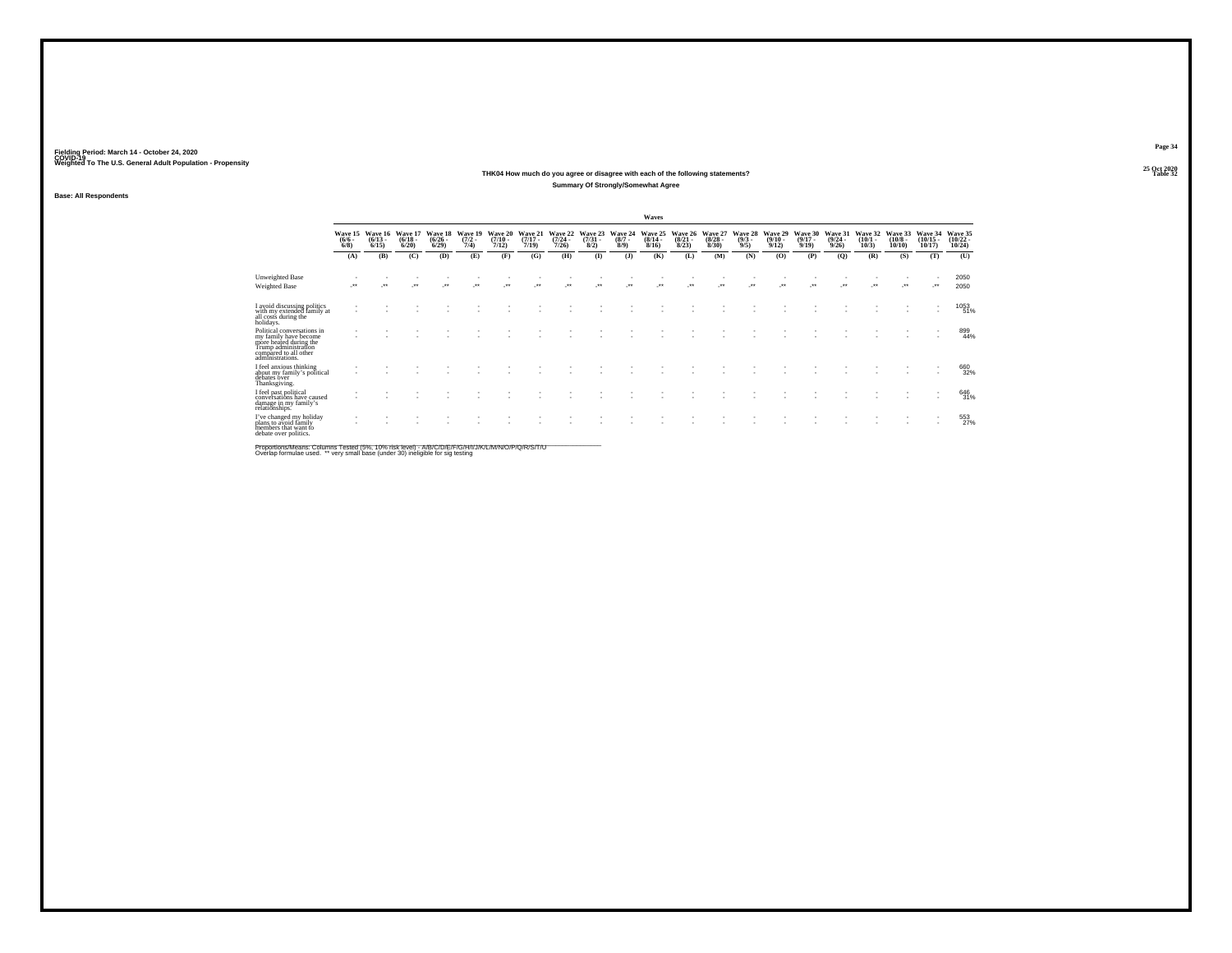#### **25 Oct 2020THK04 How much do you agree or disagree with each of the following statements?Table 32 Table 32 Summary Of Strongly/Somewhat Agree**

**Base: All Respondents**

|                                                                                                                                                    |                    |                                         |                              |                                 |                                |                                  |                                  |                              |                                |                               | Waves                            |                                 |                                 |                                |                                  |                                      |                                  |                                         |                                       |                                   |                                   |
|----------------------------------------------------------------------------------------------------------------------------------------------------|--------------------|-----------------------------------------|------------------------------|---------------------------------|--------------------------------|----------------------------------|----------------------------------|------------------------------|--------------------------------|-------------------------------|----------------------------------|---------------------------------|---------------------------------|--------------------------------|----------------------------------|--------------------------------------|----------------------------------|-----------------------------------------|---------------------------------------|-----------------------------------|-----------------------------------|
|                                                                                                                                                    | $\binom{6/6}{6/8}$ | Wave 15 Wave 16<br>$\binom{6/13}{6/15}$ | Wave 17<br>$(6/18 -$<br>6/20 | Wave 18<br>$\binom{6/26}{6/29}$ | Wave 19<br>$\frac{(7/2)}{7/4}$ | Wave 20<br>$\frac{(7/10)}{7/12}$ | Wave 21<br>$\frac{(7/17)}{7/19}$ | Wave 22<br>$(7/24 -$<br>7/26 | Wave 23<br>$\binom{7/31}{8/2}$ | Wave 24<br>$\binom{8/7}{8/9}$ | Wave 25<br>$\frac{(8/14)}{8/16}$ | Wave 26<br>$\binom{8/21}{8/23}$ | Wave 27<br>$\binom{8/28}{8/30}$ | Wave 28<br>$\frac{(9/3)}{9/5}$ | Wave 29<br>$\frac{(9/10)}{9/12}$ | Wave 30<br>$\frac{(9/17 - 9)}{9/19}$ | Wave 31<br>$\frac{(9/24)}{9/26}$ | Wave 32<br>$\frac{(10/1 - 10)}{(10/3)}$ | Wave 33<br>$\binom{10/8 - 10}{10/10}$ | Wave 34<br>$\binom{10/15}{10/17}$ | Wave 35<br>$\binom{10/22}{10/24}$ |
|                                                                                                                                                    | (A)                | (B)                                     | (C)                          | (D)                             | (E)                            | (F)                              | (G)                              | (H)                          | $\bf{I}$                       | (1)                           | (K)                              | (L)                             | (M)                             | (N)                            | (0)                              | (P)                                  | (Q)                              | (R)                                     | (S)                                   | (T)                               | (U)                               |
| Unweighted Base<br><b>Weighted Base</b>                                                                                                            | $\bullet\bullet$   | $^{\tiny{++}}$                          | $\cdot$                      | $\bullet\bullet$                | $\ddot{\phantom{0}}$           | $\bullet\bullet$                 | $^{++}$                          | $\ddot{\phantom{1}}$         |                                | $\bullet\bullet$              | $\ddot{\phantom{0}}$             |                                 | $\bullet\bullet$                | $\ddot{\phantom{1}}$           | $\ddot{\phantom{0}}$             |                                      |                                  | $\ddot{\phantom{1}}$                    | $\bullet\bullet$                      |                                   | 2050<br>2050                      |
| I avoid discussing politics<br>with my extended family at<br>all costs during the<br>holidays.                                                     |                    |                                         |                              |                                 |                                |                                  |                                  |                              |                                |                               |                                  |                                 |                                 |                                |                                  |                                      |                                  |                                         |                                       |                                   | 1053<br>51%                       |
| Political conversations in<br>my family have become<br>more heafed during the<br>Trump administration<br>compared to all other<br>administrations. |                    |                                         |                              |                                 |                                |                                  |                                  |                              |                                |                               |                                  |                                 |                                 |                                |                                  |                                      |                                  |                                         |                                       |                                   | 899<br>44%                        |
| I feel anxious thinking<br>about my family's political<br>debates over<br>Thanksgiving.                                                            |                    |                                         |                              |                                 |                                |                                  |                                  |                              |                                |                               |                                  |                                 |                                 |                                |                                  |                                      |                                  |                                         |                                       |                                   | 660<br>32%                        |
| I feel past political<br>conversations have caused<br>damage in my family's<br>relationships.                                                      |                    |                                         |                              |                                 |                                |                                  |                                  |                              |                                |                               |                                  |                                 |                                 |                                |                                  |                                      |                                  |                                         |                                       |                                   | 646<br>31%                        |
| I've changed my holiday<br>plans to avoid family<br>members that want to<br>debate over politics.                                                  |                    |                                         |                              |                                 |                                |                                  |                                  |                              |                                |                               |                                  |                                 |                                 |                                |                                  |                                      |                                  |                                         |                                       |                                   | 553                               |

Proportions/Means: Columns Tested (5%, 10% risk level) - A/B/C/D/E/F/G/H/I/J/K/L/M/N/O/P/Q/R/S/T/U<br>Overlap formulae used. \*\* very small base (under 30) ineligible for sig testing

**Page 3425 Oct 2020<br>Table 32**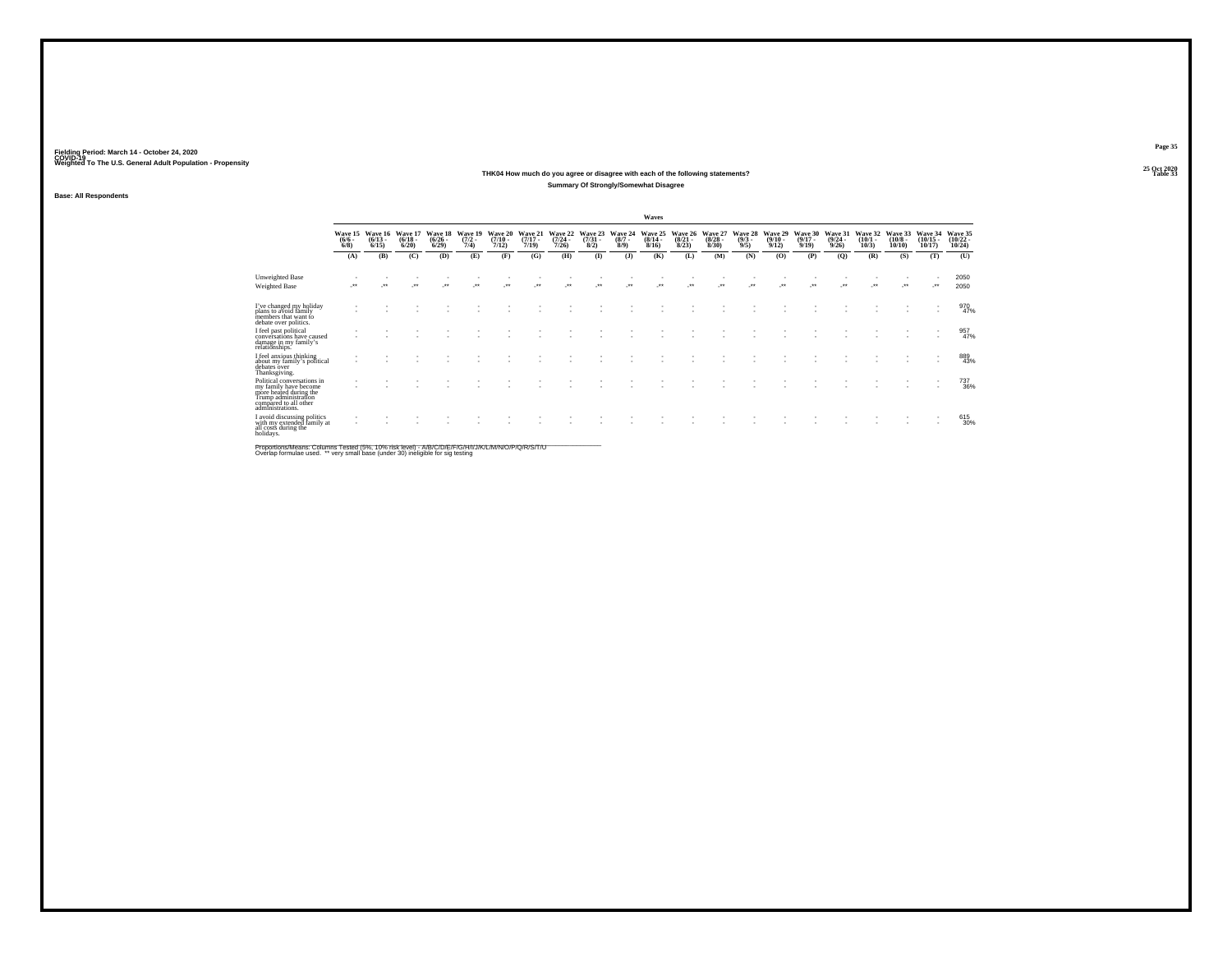### **25 Oct 2020THK04 How much do you agree or disagree with each of the following statements?Table 33 Table 33 Summary Of Strongly/Somewhat Disagree**

**Base: All Respondents**

|                                                                                                                                                    |                    |                                         |                                 |                                 |                                |                              |                                  |                              |                                |                                      | Waves                            |                                  |                                 |                                |                                  |                                      |                                  |                                 |                                       |                                |                                            |
|----------------------------------------------------------------------------------------------------------------------------------------------------|--------------------|-----------------------------------------|---------------------------------|---------------------------------|--------------------------------|------------------------------|----------------------------------|------------------------------|--------------------------------|--------------------------------------|----------------------------------|----------------------------------|---------------------------------|--------------------------------|----------------------------------|--------------------------------------|----------------------------------|---------------------------------|---------------------------------------|--------------------------------|--------------------------------------------|
|                                                                                                                                                    | $\binom{6/6}{6/8}$ | Wave 15 Wave 16<br>$\binom{6/13}{6/15}$ | Wave 17<br>$\binom{6/18}{6/20}$ | Wave 18<br>$\binom{6/26}{6/29}$ | Wave 19<br>$\frac{(7/2)}{7/4}$ | Wave 20<br>$(7/10 -$<br>7/12 | Wave 21<br>$\frac{(7/17)}{7/19}$ | Wave 22<br>$(7/24 -$<br>7/26 | Wave 23<br>$\binom{7/31}{8/2}$ | Wave 24<br>$\frac{(8/7 - 8)}{(8/9)}$ | Wave 25<br>$\frac{(8/14)}{8/16}$ | Wave 26<br>$\frac{(8/21)}{8/23}$ | Wave 27<br>$\binom{8/28}{8/30}$ | Wave 28<br>$\frac{(9/3)}{9/5}$ | Wave 29<br>$\frac{(9/10)}{9/12}$ | Wave 30<br>$\frac{(9/17 - 9)}{9/19}$ | Wave 31<br>$\frac{(9/24)}{9/26}$ | Wave 32<br>$\binom{10/1}{10/3}$ | Wave 33<br>$\binom{10/8 - 10}{10/10}$ | Wave 34<br>$(10/15 -$<br>10/17 | Wave 35<br>$\frac{(10/22 - 10/24)}{10/24}$ |
|                                                                                                                                                    | (A)                | (B)                                     | (C)                             | (D)                             | (E)                            | (F)                          | (G)                              | (H)                          | $\bf{I}$                       | (1)                                  | (K)                              | (L)                              | (M)                             | (N)                            | (0)                              | (P)                                  | (Q)                              | (R)                             | (S)                                   | (T)                            | (U)                                        |
| Unweighted Base<br>Weighted Base                                                                                                                   | $\cdot$            |                                         | $^{\tiny{++}}$                  |                                 |                                |                              |                                  | $^{\tiny{+}}$                |                                |                                      |                                  |                                  | $\bullet\bullet$                |                                |                                  |                                      |                                  | $\ddot{\phantom{0}}$            | $^{\tiny{++}}$                        |                                | 2050<br>2050                               |
| I've changed my holiday<br>plans to avoid family<br>members that want fo<br>debate over politics.                                                  |                    |                                         |                                 |                                 |                                |                              |                                  |                              |                                |                                      |                                  |                                  |                                 |                                |                                  |                                      |                                  |                                 |                                       |                                | 970<br>47%                                 |
| I feel past political<br>conversations have caused<br>damage in my family's<br>relationships.                                                      |                    |                                         |                                 |                                 |                                |                              |                                  |                              |                                |                                      |                                  |                                  |                                 |                                |                                  |                                      |                                  |                                 |                                       |                                | 957<br>47%                                 |
| I feel anxious thinking<br>about my family's political<br>debates over<br>Thanksgiving.                                                            |                    |                                         |                                 |                                 |                                |                              |                                  |                              |                                |                                      |                                  |                                  |                                 |                                |                                  |                                      |                                  |                                 |                                       |                                | 889<br>43%                                 |
| Political conversations in<br>my family have become<br>more heated during the<br>Trump administration<br>compared to all other<br>administrations. |                    |                                         |                                 |                                 |                                |                              |                                  |                              |                                |                                      |                                  |                                  |                                 |                                |                                  |                                      |                                  |                                 |                                       |                                | 737<br>36%                                 |
| I avoid discussing politics<br>with my extended family at<br>all costs during the<br>holidays.                                                     |                    |                                         |                                 |                                 |                                |                              |                                  |                              |                                |                                      |                                  |                                  |                                 |                                |                                  |                                      |                                  |                                 |                                       |                                | 615<br>30%                                 |

Proportions/Means: Columns Tested (5%, 10% risk level) - A/B/C/D/E/F/G/H/I/J/K/L/M/N/O/P/Q/R/S/T/U<br>Overlap formulae used. \*\* very small base (under 30) ineligible for sig testing

**Page 35**25 Oct 2020<br>Table 33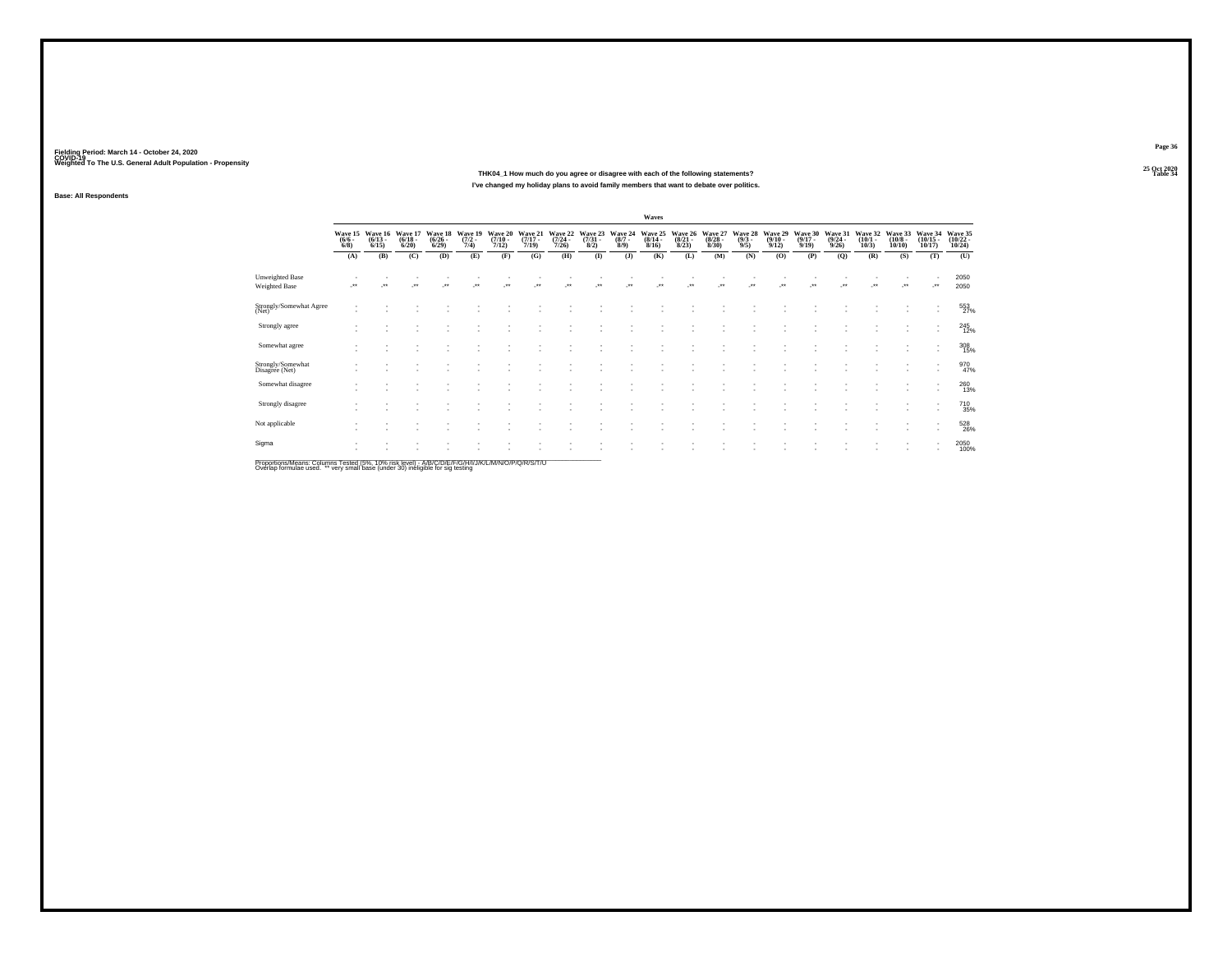### **25 Oct 2020THK04\_1 How much do you agree or disagree with each of the following statements?Table 34 Table 34 I've changed my holiday plans to avoid family members that want to debate over politics.**

**Base: All Respondents**

|                                                                                                        |                               |                                 |                                  |                                 |                                |                                      |                                  |                                  |                                |                               | <b>Waves</b>                     |                                 |                                        |                               |                                  |                                  |                                         |                                 |                                  |                                   |                                            |
|--------------------------------------------------------------------------------------------------------|-------------------------------|---------------------------------|----------------------------------|---------------------------------|--------------------------------|--------------------------------------|----------------------------------|----------------------------------|--------------------------------|-------------------------------|----------------------------------|---------------------------------|----------------------------------------|-------------------------------|----------------------------------|----------------------------------|-----------------------------------------|---------------------------------|----------------------------------|-----------------------------------|--------------------------------------------|
|                                                                                                        | Wave 15<br>$\binom{6/6}{6/8}$ | Wave 16<br>$\binom{6/13}{6/15}$ | Wave 17<br>$\frac{(6/18)}{6/20}$ | Wave 18<br>$\binom{6/26}{6/29}$ | Wave 19<br>$\frac{(7/2)}{7/4}$ | Wave 20<br>$\frac{(7/10 - 7)}{7/12}$ | Wave 21<br>$\frac{(7/17)}{7/19}$ | Wave 22<br>$\frac{(7/24)}{7/26}$ | Wave 23<br>$\binom{7/31}{8/2}$ | Wave 24<br>$\binom{8/7}{8/9}$ | Wave 25<br>$\frac{(8/14)}{8/16}$ | Wave 26<br>$\binom{8/21}{8/23}$ | Wave 27<br>$\frac{(8/28 - 8)}{(8/30)}$ | Wave 28<br>$\binom{9/3}{9/5}$ | Wave 29<br>$\frac{(9/10)}{9/12}$ | Wave 30<br>$\frac{(9/17)}{9/19}$ | Wave 31<br>$\frac{(9/24 - 9/26)}{9/26}$ | Wave 32<br>$\binom{10/1}{10/3}$ | Wave 33<br>$\binom{10/8}{10/10}$ | Wave 34<br>$\binom{10/15}{10/17}$ | Wave 35<br>$\frac{(10/22 - 10/24)}{10/24}$ |
|                                                                                                        | (A)                           | (B)                             | (C)                              | (D)                             | (E)                            | (F)                                  | (G)                              | (H)                              | $($ $\Gamma$                   | (3)                           | (K)                              | (L)                             | (M)                                    | (N)                           | (O)                              | (P)                              | (0)                                     | (R)                             | (S)                              | (T)                               | (U)                                        |
| Unweighted Base<br><b>Weighted Base</b>                                                                | $^{\tiny{**}}$                |                                 | $^{\tiny{**}}$                   | $^{\tiny{++}}$                  | $\ddot{}$                      |                                      |                                  | $\ddot{\phantom{1}}$             | $^{+}$                         |                               |                                  |                                 | $\bullet\bullet$                       | $\ddot{\phantom{1}}$          |                                  | $^{+}$                           |                                         | $\bullet\bullet$                | $\bullet\,\bullet$               | J.                                | 2050<br>2050                               |
| Strongly/Somewhat Agree<br>(Net)                                                                       |                               |                                 |                                  |                                 |                                |                                      |                                  |                                  |                                |                               |                                  |                                 |                                        |                               |                                  |                                  |                                         |                                 |                                  | ٠<br>$\sim$                       | 553<br>27%                                 |
| Strongly agree                                                                                         |                               |                                 |                                  |                                 |                                |                                      | ٠                                |                                  |                                |                               |                                  |                                 |                                        |                               |                                  |                                  |                                         |                                 |                                  | ٠<br>۰                            | 245                                        |
| Somewhat agree                                                                                         |                               |                                 |                                  |                                 |                                |                                      | ٠                                |                                  |                                |                               |                                  |                                 |                                        |                               |                                  |                                  |                                         |                                 |                                  | ٠<br>٠                            | 308                                        |
| Strongly/Somewhat<br>Disagree (Net)                                                                    |                               |                                 |                                  |                                 |                                |                                      |                                  |                                  |                                |                               |                                  |                                 |                                        |                               |                                  |                                  |                                         |                                 |                                  |                                   | 970<br>47%                                 |
| Somewhat disagree                                                                                      |                               |                                 |                                  |                                 |                                |                                      | ٠<br>٠                           |                                  |                                |                               |                                  | ٠<br>$\sim$                     |                                        |                               |                                  |                                  |                                         |                                 |                                  | $\mathbf{r}$<br>٠                 | 260                                        |
| Strongly disagree                                                                                      |                               |                                 |                                  |                                 |                                |                                      | ٠<br>۰                           |                                  |                                |                               |                                  | ٠<br>$\overline{\phantom{a}}$   |                                        |                               |                                  |                                  |                                         |                                 |                                  | ٠<br>٠                            | 710<br>35%                                 |
| Not applicable                                                                                         |                               |                                 |                                  |                                 |                                |                                      |                                  |                                  |                                |                               |                                  | $\sim$                          |                                        |                               |                                  |                                  |                                         |                                 | $\overline{\phantom{a}}$         | ٠                                 | 528<br>26%                                 |
| Sigma                                                                                                  |                               |                                 |                                  |                                 |                                |                                      |                                  |                                  |                                |                               |                                  |                                 |                                        |                               |                                  |                                  |                                         |                                 |                                  | $\mathbf{r}$<br>۰                 | 2050<br>100%                               |
| Description & Legend Only 1995 Tested UPM AAM deliterral AIRMOUNT IT ION INITIAL A LATIONINIO ID ION I |                               |                                 |                                  |                                 |                                |                                      |                                  |                                  |                                |                               |                                  |                                 |                                        |                               |                                  |                                  |                                         |                                 |                                  |                                   |                                            |

Proportions/Means: Columns Tested (5%, 10% risk level) - A/B/C/D/E/F/G/H/I/J/K/L/M/N/O/P/Q/R/S/T/U<br>Overlap formulae used. \*\* very small base (under 30) ineligible for sig testing

**Page 36**25 Oct 2020<br>Table 34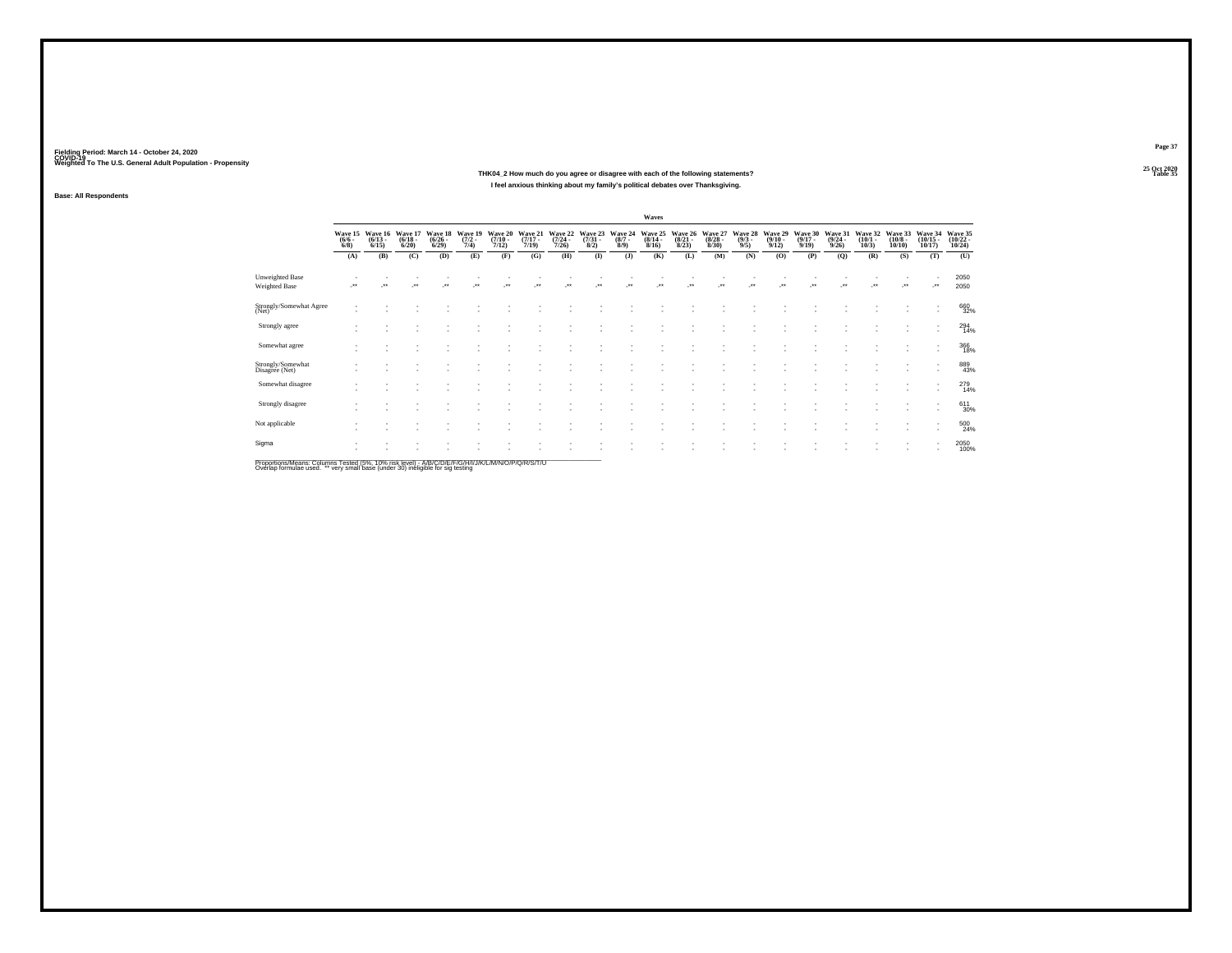**25 Oct 2020THK04\_2 How much do you agree or disagree with each of the following statements?Table 35 Table 35 I feel anxious thinking about my family's political debates over Thanksgiving.**

**Fielding Period: March 14 - October 24, 2020 COVID-19 Weighted To The U.S. General Adult Population - Propensity**

**Base: All Respondents**

|                                                                                                     |                               |                                 |                                        |                                 |                                |                                  |                                  |                                  |                                |                               | <b>Waves</b>                            |                                 |                                 |                                |                                  |                                  |                                         |                                 |                                       |                                    |                                            |
|-----------------------------------------------------------------------------------------------------|-------------------------------|---------------------------------|----------------------------------------|---------------------------------|--------------------------------|----------------------------------|----------------------------------|----------------------------------|--------------------------------|-------------------------------|-----------------------------------------|---------------------------------|---------------------------------|--------------------------------|----------------------------------|----------------------------------|-----------------------------------------|---------------------------------|---------------------------------------|------------------------------------|--------------------------------------------|
|                                                                                                     | Wave 15<br>$\binom{6/6}{6/8}$ | Wave 16<br>$\binom{6/13}{6/15}$ | Wave 17<br>$\binom{6/18}{6/20}$        | Wave 18<br>$\binom{6/26}{6/29}$ | Wave 19<br>$\frac{(7/2)}{7/4}$ | Wave 20<br>$\frac{(7/10)}{7/12}$ | Wave 21<br>$\frac{(7/17)}{7/19}$ | Wave 22<br>$\frac{(7/24)}{7/26}$ | Wave 23<br>$\binom{7/31}{8/2}$ | Wave 24<br>$\binom{8/7}{8/9}$ | Wave 25<br>$\frac{(8/14 - 8/16)}{8/16}$ | Wave 26<br>$\binom{8/21}{8/23}$ | Wave 27<br>$\binom{8/28}{8/30}$ | Wave 28<br>$\frac{(9/3)}{9/5}$ | Wave 29<br>$\frac{(9/10)}{9/12}$ | Wave 30<br>$\frac{(9/17)}{9/19}$ | Wave 31<br>$\frac{(9/24 - 9/26)}{9/26}$ | Wave 32<br>$\binom{10/1}{10/3}$ | Wave 33<br>$\binom{10/8 - 10}{10/10}$ | Wave 34<br>$\binom{10/15}{10/17}$  | Wave 35<br>$\frac{(10/22 - 10/24)}{10/24}$ |
|                                                                                                     | (A)                           | (B)                             | (C)                                    | (D)                             | (E)                            | (F)                              | (G)                              | (H)                              | $($ $\Gamma$                   | $($ $)$                       | (K)                                     | (L)                             | (M)                             | (N)                            | (0)                              | (P)                              | (Q)                                     | (R)                             | (S)                                   | (T)                                | (U)                                        |
| <b>Unweighted Base</b><br>Weighted Base                                                             |                               |                                 | $^{\tiny{\text{+}}\, \tiny{\text{+}}}$ |                                 |                                |                                  |                                  |                                  |                                | $\ddot{\phantom{1}}$          |                                         |                                 |                                 |                                |                                  |                                  |                                         |                                 | $\bullet\,\bullet$                    |                                    | 2050<br>2050                               |
| Strongly/Somewhat Agree<br>(Net)                                                                    |                               |                                 |                                        |                                 |                                |                                  |                                  |                                  |                                |                               |                                         |                                 |                                 |                                |                                  |                                  |                                         |                                 |                                       | $\overline{\phantom{a}}$           | 660<br>32%                                 |
| Strongly agree                                                                                      |                               |                                 |                                        |                                 |                                |                                  |                                  |                                  |                                |                               |                                         |                                 |                                 |                                |                                  |                                  |                                         |                                 | $\overline{\phantom{a}}$              | $\sim$<br>$\sim$                   | $^{294}_{14\%}$                            |
| Somewhat agree                                                                                      |                               |                                 |                                        |                                 |                                |                                  |                                  |                                  |                                |                               |                                         |                                 |                                 |                                |                                  |                                  |                                         |                                 | $\overline{\phantom{a}}$              | $\sim$<br>$\overline{\phantom{a}}$ | 366<br>18%                                 |
| Strongly/Somewhat<br>Disagree (Net)                                                                 |                               |                                 |                                        |                                 |                                |                                  |                                  |                                  |                                |                               |                                         |                                 |                                 |                                |                                  |                                  |                                         |                                 | $\overline{\phantom{a}}$              |                                    | 889<br>43%                                 |
| Somewhat disagree                                                                                   |                               |                                 |                                        |                                 |                                |                                  |                                  |                                  |                                |                               |                                         |                                 |                                 |                                |                                  |                                  |                                         |                                 | ٠                                     | $\sim$                             | 279<br>14%                                 |
| Strongly disagree                                                                                   |                               |                                 |                                        |                                 |                                |                                  |                                  |                                  |                                |                               |                                         |                                 |                                 |                                |                                  |                                  |                                         |                                 | ٠                                     | $\sim$                             | 611<br>30%                                 |
| Not applicable                                                                                      |                               |                                 |                                        |                                 |                                |                                  |                                  |                                  |                                |                               |                                         |                                 |                                 |                                |                                  |                                  |                                         |                                 | $\overline{\phantom{a}}$              |                                    | 500<br>24%                                 |
| Sigma                                                                                               |                               |                                 |                                        |                                 |                                |                                  |                                  |                                  |                                |                               |                                         |                                 |                                 |                                |                                  |                                  |                                         |                                 | $\overline{\phantom{a}}$              |                                    | 2050<br>100%                               |
| Proportione/Meane: Columne Teeted (5%, 10% rick level) - A/R/C/D/E/E/C/H/I/T/K/L/M/N/Q/D/Q/R/C/T/LI |                               |                                 |                                        |                                 |                                |                                  |                                  |                                  |                                |                               |                                         |                                 |                                 |                                |                                  |                                  |                                         |                                 |                                       |                                    |                                            |

Proportions/Means: Columns Tested (5%, 10% risk level) - A/B/C/D/E/F/G/H/I/J/K/L/M/N/O/P/Q/R/S/T/U<br>Overlap formulae used. \*\* very small base (under 30) ineligible for sig testing

**Page 37**25 Oct 2020<br>Table 35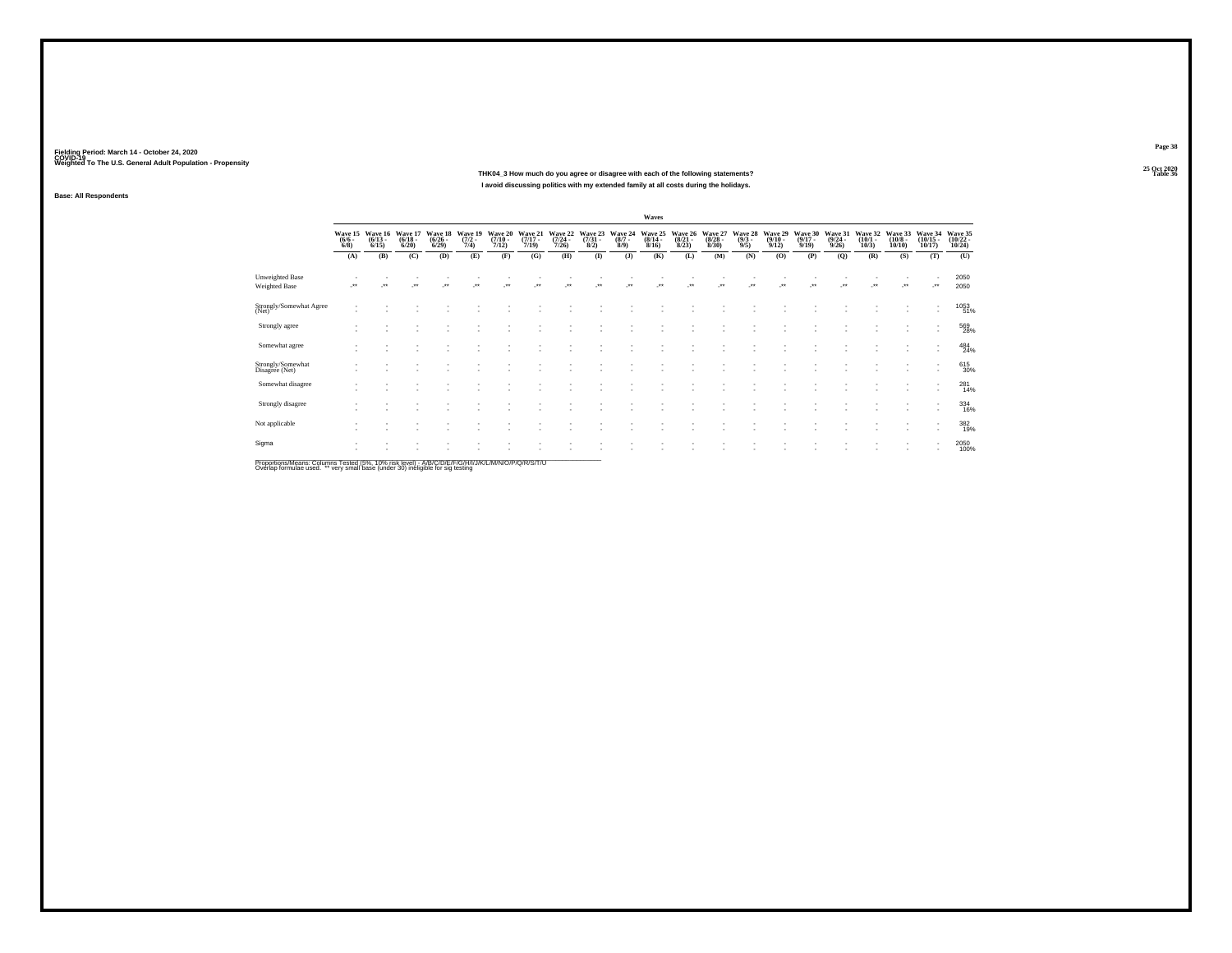**Base: All Respondents**

### **25 Oct 2020THK04\_3 How much do you agree or disagree with each of the following statements?I avoid discussing politics with my extended family at all costs during the holidays.**

**Page 38**25 Oct 2020<br>Table 36

**Table 36 Table 36** 

**Waves**Wave 15 Wave 16 Wave 15 Wave 19 Wave 20 Wave 21 Wave 23 Wave 24 Wave 25 Wave 27 Wave 28 Wave 31 Wave 31 Wave 31 Wave 31 Wave 31 Wave 32 Wave 31 Wave 32 Wave 31 Wave 31 Wave 31 Wave 31 Wave 31 Wave 31 Wave 31 Wave 31 Wave 3 **(A) (B) (C) (D) (E) (F) (G) (H) (I) (J) (K) (L) (M) (N) (O) (P) (Q) (R) (S) (T) (U)** Unweighted Base - - - - - - - - - - - - - - - - - - - - <sup>2050</sup>2050 Weighted Base -\*\* -\*\* -\*\* -\*\* -\*\* -\*\* -\*\* -\*\* -\*\* -\*\* -\*\* -\*\* -\*\* -\*\* -\*\* -\*\* -\*\* -\*\* -\*\* -\*\* <sup>2050</sup> - - - - - - - - - - - - - - - - - - - 10531053<br>51% - - - - - - - - - - - - - - - - - - - - 51%Strongly/Somewhat Agree (Net) (Net) (Net) (Net) (Net) (Net) (Net) (Net) (Net) (Net) (Net) (Net) (Net) (Net) (Net) (Net) (Net) (Net) (Net) (Net) (Net) (Net) (Net) (Net) (Net) (Net) (Net) (Net) (Net) (Net) (Net) (Net) (Net) - - - - - - - - - - - - - - - - - - - 569569<br>28% - - - - - - - - - - - - - - - - - - - - 28% Strongly agree - - - - - - - - - - - - - - - - - - - 484 $^{484}_{24\%}$ - - - - - - - - - - - - - - - - - - - - 24% Somewhat agree - - - - - - - - - - - - - - - - - - - 615615<br>30% - - - - - - - - - - - - - - - - - - - - 30%Strongly/Somewhat Disagree (Net) (2008) (2009) (2009) (2009) (2009) (2009) (2009) (2009) (2009) (2009) (2009) (<br>Disagree (Net) - - - - - - - - - - - - - - - - - - - 281 $^{281}_{14\%}$ - - - - - - - - - - - - - - - - - - - - 14% Somewhat disagree - - - - - - - - - - - - - - - - - - - 334334<br>16% - - - - - - - - - - - - - - - - - - - - 16% Strongly disagree - - - - - - - - - - - - - - - - - - - 382382<br>19% - - - - - - - - - - - - - - - - - - - - 19%Not applicable the control of the control of the control of the control of the control of the control of the control of the control of the control of the control of the control of the control of the control of the control - - - - - - - - - - - - - - - - - - - - 20502050<br>100% - - - - - - - - - - - - - - - - - - - - 100%Sigma<br>Sigma (1996) - Sigma (1996) - Sigma (1997) - Sigma (1997) - Sigma (1997) - Sigma (1997) - Sigma (1998) - Sigma

Proportions/Means: Columns Tested (5%, 10% risk level) - A/B/C/D/E/F/G/H/I/J/K/L/M/N/O/P/Q/R/S/T/U<br>Overlap formulae used. \*\* very small base (under 30) ineligible for sig testing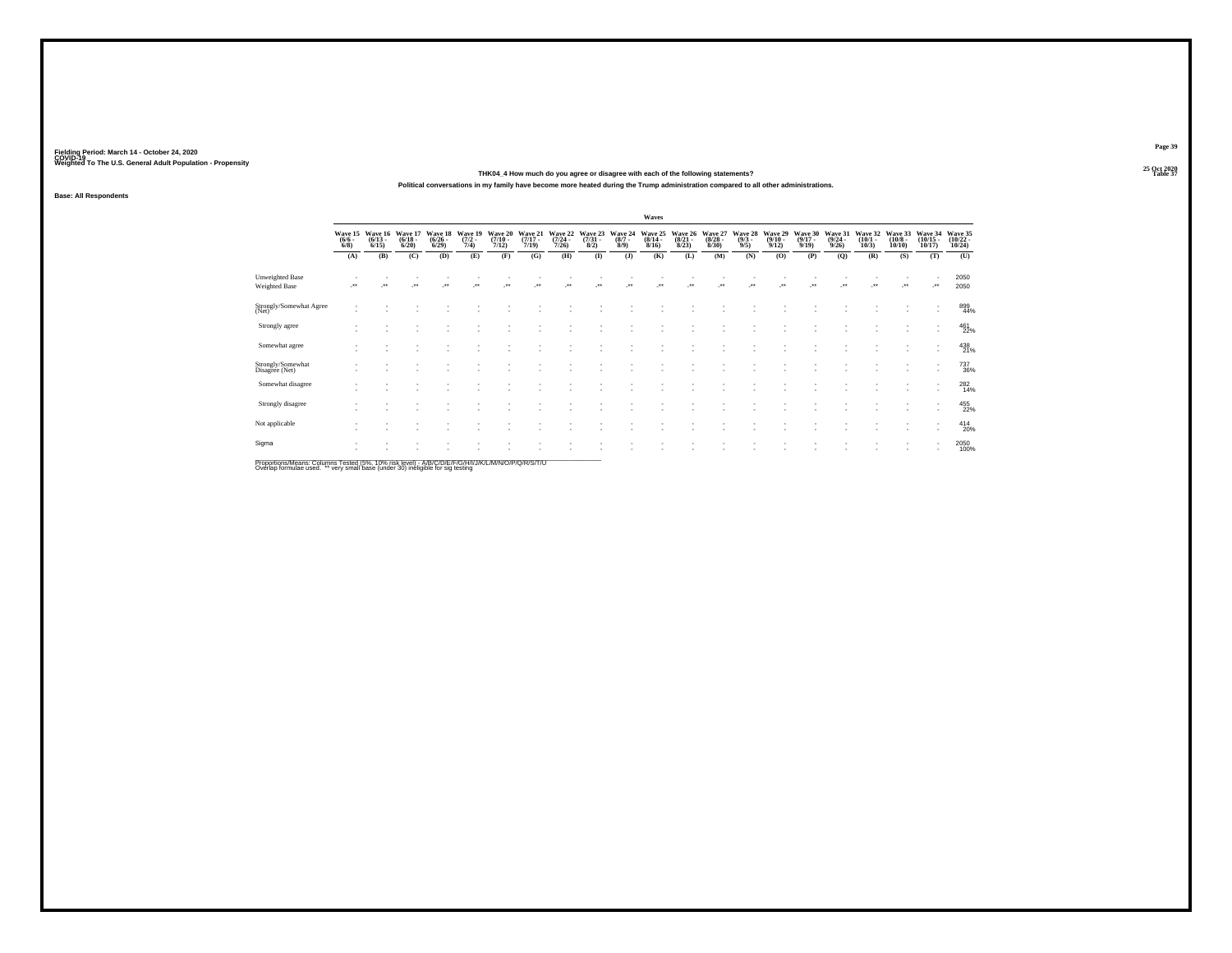**25 Oct 2020THK04\_4 How much do you agree or disagree with each of the following statements?Table 37 Table 37** 

**Political conversations in my family have become more heated during the Trump administration compared to all other administrations.**

**Base: All Respondents**

|                                                                                                     |                               |                                 |                                 |                                 |                                |                                  |                                  |                                  |                                |                               | Waves                            |                                 |                                 |                               |                                        |                                  |                                         |                                 |                                  |                                    |                                    |
|-----------------------------------------------------------------------------------------------------|-------------------------------|---------------------------------|---------------------------------|---------------------------------|--------------------------------|----------------------------------|----------------------------------|----------------------------------|--------------------------------|-------------------------------|----------------------------------|---------------------------------|---------------------------------|-------------------------------|----------------------------------------|----------------------------------|-----------------------------------------|---------------------------------|----------------------------------|------------------------------------|------------------------------------|
|                                                                                                     | Wave 15<br>$\binom{6/6}{6/8}$ | Wave 16<br>$\binom{6/13}{6/15}$ | Wave 17<br>$\binom{6/18}{6/20}$ | Wave 18<br>$\binom{6/26}{6/29}$ | Wave 19<br>$\frac{(7/2)}{7/4}$ | Wave 20<br>$\frac{(7/10)}{7/12}$ | Wave 21<br>$\frac{(7/17)}{7/19}$ | Wave 22<br>$\frac{(7/24)}{7/26}$ | Wave 23<br>$\binom{7/31}{8/2}$ | Wave 24<br>$\binom{8/7}{8/9}$ | Wave 25<br>$\frac{(8/14)}{8/16}$ | Wave 26<br>$\binom{8/21}{8/23}$ | Wave 27<br>$\binom{8/28}{8/30}$ | Wave 28<br>$\binom{9/3}{9/5}$ | Wave 29<br>$\frac{(9/10)}{9/12}$       | Wave 30<br>$\frac{(9/17)}{9/19}$ | Wave 31<br>$\frac{(9/24 - 9/26)}{9/26}$ | Wave 32<br>$\binom{10/1}{10/3}$ | Wave 33<br>$\binom{10/8}{10/10}$ | Wave 34<br>$\binom{10/15}{10/17}$  | Wave 35<br>$\frac{(10/22)}{10/24}$ |
|                                                                                                     | (A)                           | (B)                             | (C)                             | (D)                             | (E)                            | (F)                              | (G)                              | (H)                              | $($ $\Gamma$                   | $($ $)$                       | (K)                              | (L)                             | (M)                             | (N)                           | (O)                                    | (P)                              | (Q)                                     | (R)                             | (S)                              | (T)                                | (U)                                |
| <b>Unweighted Base</b><br>Weighted Base                                                             |                               |                                 | $^{\tiny{+}}$                   |                                 | $\cdot$                        |                                  |                                  |                                  |                                |                               |                                  |                                 |                                 |                               | $^{\tiny{\text{+}}\, \tiny{\text{+}}}$ |                                  |                                         |                                 |                                  | ٠.                                 | 2050<br>2050                       |
| Strongly/Somewhat Agree<br>(Net)                                                                    |                               |                                 |                                 |                                 |                                |                                  |                                  |                                  |                                |                               |                                  |                                 |                                 |                               |                                        |                                  |                                         |                                 |                                  | $\sim$                             | 899<br>44%                         |
| Strongly agree                                                                                      |                               |                                 |                                 |                                 |                                |                                  |                                  |                                  |                                |                               |                                  |                                 |                                 |                               |                                        |                                  |                                         |                                 |                                  | ٠<br>٠                             | 461<br>22%                         |
| Somewhat agree                                                                                      |                               |                                 |                                 |                                 |                                |                                  |                                  |                                  |                                |                               |                                  |                                 |                                 |                               |                                        |                                  |                                         |                                 |                                  | ٠<br>$\sim$                        | 438<br>21%                         |
| Strongly/Somewhat<br>Disagree (Net)                                                                 |                               |                                 |                                 |                                 |                                |                                  |                                  |                                  |                                |                               |                                  |                                 |                                 |                               |                                        |                                  |                                         |                                 |                                  | $\overline{\phantom{a}}$           | 737<br>36%                         |
| Somewhat disagree                                                                                   |                               |                                 |                                 |                                 |                                |                                  |                                  |                                  |                                |                               |                                  |                                 |                                 |                               |                                        |                                  |                                         |                                 |                                  | $\sim$<br>$\overline{\phantom{a}}$ | 282<br>14%                         |
| Strongly disagree                                                                                   |                               |                                 |                                 |                                 |                                |                                  |                                  |                                  |                                |                               |                                  |                                 |                                 |                               |                                        |                                  |                                         |                                 |                                  | $\sim$<br>$\overline{\phantom{a}}$ | 455<br>22%                         |
| Not applicable                                                                                      |                               |                                 |                                 |                                 |                                |                                  |                                  |                                  |                                |                               |                                  |                                 |                                 |                               |                                        |                                  |                                         |                                 |                                  | $\sim$<br>$\overline{\phantom{a}}$ | 414<br>20%                         |
| Sigma                                                                                               |                               |                                 |                                 |                                 |                                |                                  |                                  |                                  |                                |                               |                                  |                                 |                                 |                               |                                        |                                  |                                         |                                 |                                  | $\sim$<br>٠                        | 2050<br>100%                       |
| Proportions/Means: Columns Tested (5%, 10% risk level) - A/R/C/D/F/F/C/H/I/J/K/L/M/N/O/P/O/R/S/T/LI |                               |                                 |                                 |                                 |                                |                                  |                                  |                                  |                                |                               |                                  |                                 |                                 |                               |                                        |                                  |                                         |                                 |                                  |                                    |                                    |

Proportions/Means: Columns Tested (5%, 10% risk level) - A/B/C/D/E/F/G/H/I/J/K/L/M/N/O/P/Q/R/S/T/U<br>Overlap formulae used. \*\* very small base (under 30) ineligible for sig testing

**Page 39**25 Oct 2020<br>Table 37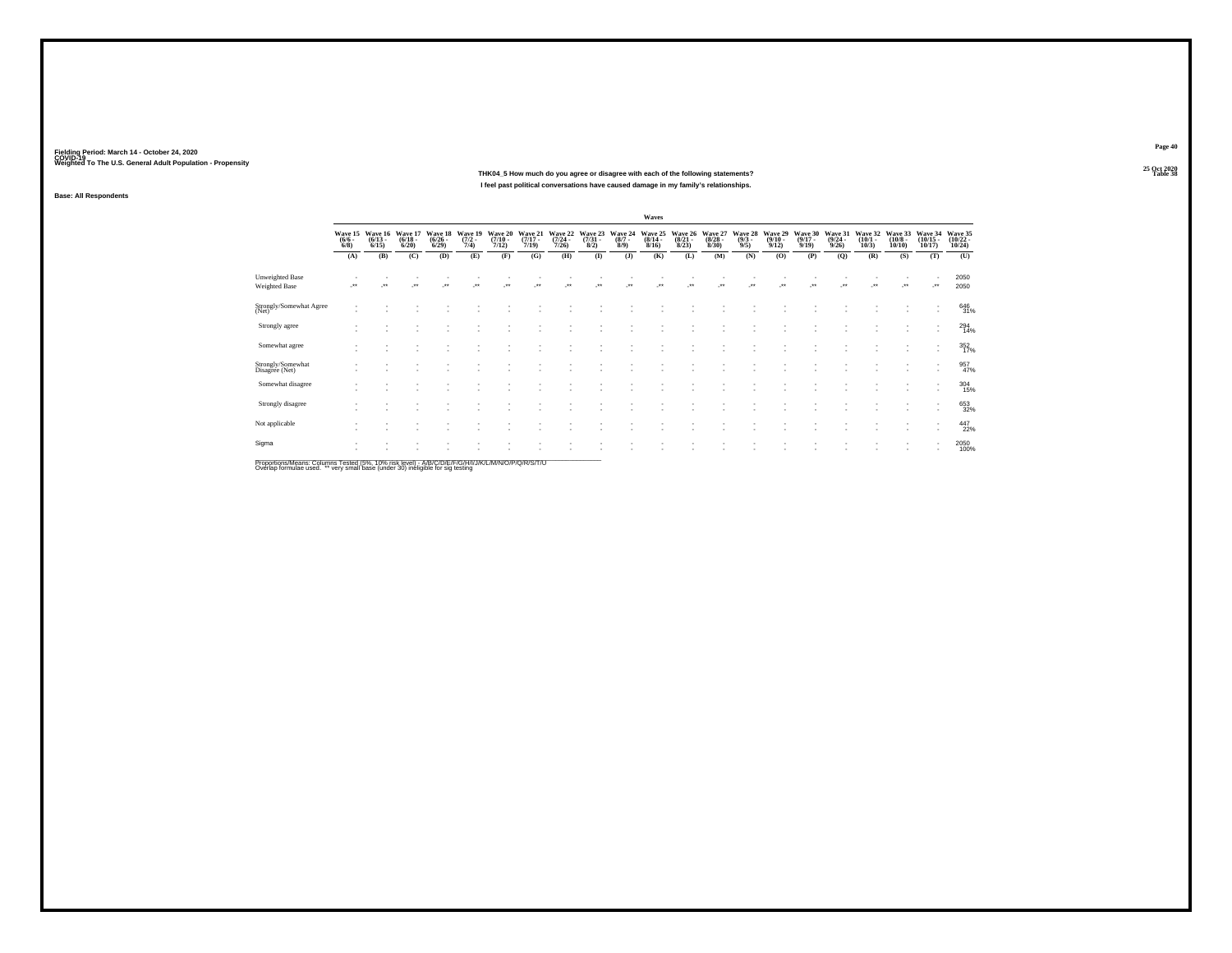**25 Oct 2020THK04\_5 How much do you agree or disagree with each of the following statements?Table 38 Table 38 I feel past political conversations have caused damage in my family's relationships.**

**Fielding Period: March 14 - October 24, 2020 COVID-19 Weighted To The U.S. General Adult Population - Propensity**

### **Base: All Respondents**

|                                         |                                    |                                 |                                  |                                 |                                |                                      |                                  |                                         |                                |                               | Waves                            |                                 |                                 |                               |                                         |                                  |                                         |                                 |                                       |                                    |                                         |
|-----------------------------------------|------------------------------------|---------------------------------|----------------------------------|---------------------------------|--------------------------------|--------------------------------------|----------------------------------|-----------------------------------------|--------------------------------|-------------------------------|----------------------------------|---------------------------------|---------------------------------|-------------------------------|-----------------------------------------|----------------------------------|-----------------------------------------|---------------------------------|---------------------------------------|------------------------------------|-----------------------------------------|
|                                         | Wave 15<br>$\frac{(6/6 - 6)}{6/8}$ | Wave 16<br>$\binom{6/13}{6/15}$ | Wave 17<br>$\frac{(6/18)}{6/20}$ | Wave 18<br>$\binom{6/26}{6/29}$ | Wave 19<br>$\frac{(7/2)}{7/4}$ | Wave 20<br>$\frac{(7/10 - 7)}{7/12}$ | Wave 21<br>$\frac{(7/17)}{7/19}$ | Wave 22<br>$\frac{(7/24 - 7/26)}{7/26}$ | Wave 23<br>$\binom{7/31}{8/2}$ | Wave 24<br>$\binom{8/7}{8/9}$ | Wave 25<br>$\frac{(8/14)}{8/16}$ | Wave 26<br>$\binom{8/21}{8/23}$ | Wave 27<br>$\binom{8/28}{8/30}$ | Wave 28<br>$\binom{9/3}{9/5}$ | Wave 29<br>$\frac{(9/10 - 9/12)}{9/12}$ | Wave 30<br>$\frac{(9/17)}{9/19}$ | Wave 31<br>$\frac{(9/24 - 9/26)}{9/26}$ | Wave 32<br>$\binom{10/1}{10/3}$ | Wave 33<br>$\binom{10/8 - 10}{10/10}$ | Wave 34<br>$\frac{(10/15)}{10/17}$ | Wave 35<br>$\frac{(10/22 - 10)}{10/24}$ |
|                                         | (A)                                | (B)                             | (C)                              | (D)                             | (E)                            | (F)                                  | (G)                              | (H)                                     | $($ $\Gamma$                   | $($ $)$                       | (K)                              | (L)                             | (M)                             | (N)                           | (O)                                     | (P)                              | (Q)                                     | (R)                             | (S)                                   | (T)                                | (U)                                     |
| Unweighted Base<br><b>Weighted Base</b> |                                    | $\cdot$                         | $\cdot$                          | J.                              | $\ddot{\phantom{1}}$           | $\overline{\phantom{a}}$             | $\ddot{\phantom{1}}$             | ÷.                                      | J.                             | Jes                           | $\cdot$                          | Jes                             | $\overline{\phantom{a}}$        | $\cdot$                       | J.                                      |                                  | $\ddot{\phantom{1}}$                    | $\bullet\,\bullet$              | $\cdot$                               | $\cdot$                            | 2050<br>2050                            |
| Strongly/Somewhat Agree<br>(Net)        |                                    |                                 |                                  |                                 |                                |                                      |                                  |                                         |                                |                               |                                  |                                 |                                 |                               |                                         |                                  |                                         |                                 | ٠                                     | $\sim$                             | 646<br>31%                              |
| Strongly agree                          |                                    |                                 |                                  |                                 |                                |                                      |                                  |                                         |                                |                               |                                  |                                 |                                 |                               |                                         |                                  |                                         |                                 | ٠                                     | $\sim$                             | 294<br>14%                              |
| Somewhat agree                          |                                    | ٠                               |                                  |                                 |                                |                                      |                                  |                                         |                                |                               |                                  |                                 |                                 |                               |                                         |                                  |                                         |                                 |                                       | $\sim$<br>$\overline{\phantom{a}}$ | 352/17%                                 |
| Strongly/Somewhat<br>Disagree (Net)     |                                    |                                 |                                  |                                 |                                |                                      |                                  |                                         |                                |                               |                                  |                                 |                                 |                               |                                         |                                  |                                         |                                 |                                       |                                    | $\frac{957}{47\%}$                      |
| Somewhat disagree                       | $\sim$                             |                                 |                                  |                                 |                                |                                      |                                  |                                         |                                |                               |                                  |                                 |                                 |                               |                                         |                                  |                                         |                                 |                                       | $\sim$                             | $^{304}_{15\%}$                         |
| Strongly disagree                       | $\sim$                             |                                 |                                  |                                 |                                |                                      |                                  |                                         |                                |                               |                                  |                                 |                                 |                               |                                         |                                  |                                         |                                 |                                       |                                    | 653<br>32%                              |
| Not applicable                          |                                    |                                 |                                  |                                 |                                |                                      |                                  |                                         |                                |                               |                                  |                                 |                                 |                               |                                         |                                  |                                         |                                 |                                       |                                    | 447<br>22%                              |
| Sigma                                   |                                    |                                 |                                  |                                 |                                |                                      |                                  |                                         |                                |                               |                                  |                                 |                                 |                               |                                         |                                  |                                         |                                 | $\overline{\phantom{a}}$              |                                    | 2050<br>100%                            |

Proportions/Means: Columns Tested (5%, 10% risk level) - A/B/C/D/E/F/G/H/I/J/K/L/M/N/O/P/Q/R/S/T/U<br>Overlap formulae used. \*\* very small base (under 30) ineligible for sig testing

**Page 40**25 Oct 2020<br>Table 38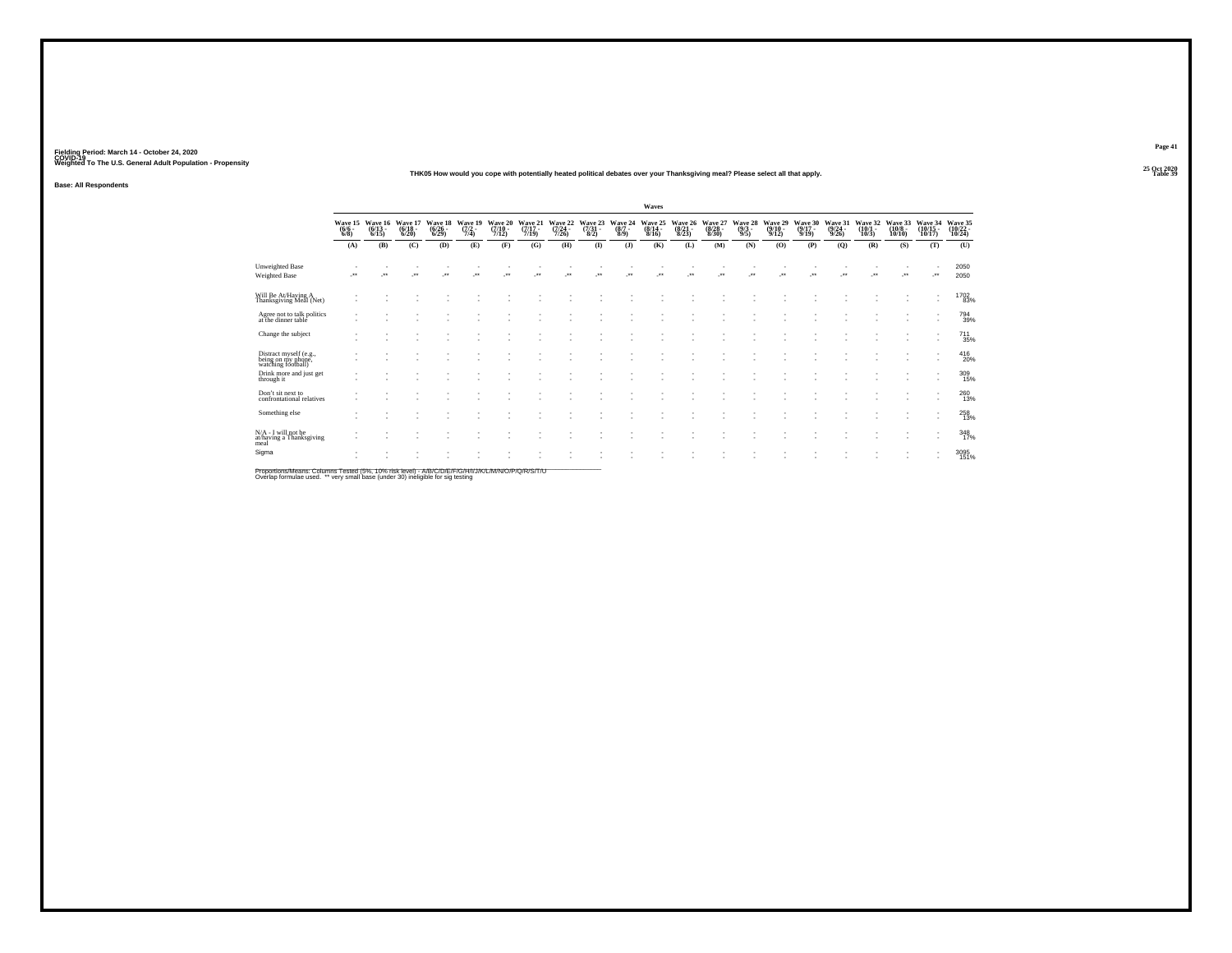#### **25 Oct 2020THK05 How would you cope with potentially heated political debates over your Thanksgiving meal? Please select all that apply.Table 39**

**Base: All Respondents**

|                                                                    |                                |                          |                             |                             |                           |                             |                             |                                  |                            |                            | Waves                            |                                  |                             |                                |                                         |                             |                             |                             |                               |                                  |                               |
|--------------------------------------------------------------------|--------------------------------|--------------------------|-----------------------------|-----------------------------|---------------------------|-----------------------------|-----------------------------|----------------------------------|----------------------------|----------------------------|----------------------------------|----------------------------------|-----------------------------|--------------------------------|-----------------------------------------|-----------------------------|-----------------------------|-----------------------------|-------------------------------|----------------------------------|-------------------------------|
|                                                                    | Wave 15<br>$\frac{(6/6)}{6/8}$ | Wave 16<br>(6/13<br>6/15 | Wave 17<br>(6/18 -<br>6/20) | Wave 18<br>(6/26 -<br>6/29) | Wave 19<br>(7/2 -<br>7/4) | Wave 20<br>(7/10 -<br>7/12) | Wave 21<br>(7/17 -<br>7/19) | Wave 22<br>$\frac{(7/24)}{7/26}$ | Wave 23<br>(7/31 -<br>8/2) | Wave 24<br>$(8/7 -$<br>8/9 | Wave 25<br>$\frac{(8/14)}{8/16}$ | Wave 26<br>$\frac{(8/21)}{8/23}$ | Wave 27<br>(8/28 -<br>8/30) | Wave 28<br>$\frac{(9/3)}{9/5}$ | Wave 29<br>$\frac{(9/10 - 9/12)}{9/12}$ | Wave 30<br>(9/17 -<br>9/19) | Wave 31<br>(9/24 -<br>9/26) | Wave 32<br>(10/1 -<br>10/3) | Wave 33<br>$(10/8 -$<br>10/10 | Wave 34<br>(10/15<br>10/17)      | Wave 35<br>(10/22 -<br>10/24) |
|                                                                    | (A)                            | (B)                      | (C)                         | (D)                         | (E)                       | (F)                         | (G)                         | (H)                              | $($ $\Gamma$               | $($ $)$                    | (K)                              | (L)                              | (M)                         | (N)                            | (O)                                     | (P)                         | (Q)                         | (R)                         | (S)                           | (T)                              | (U)                           |
| Unweighted Base<br>Weighted Base                                   |                                | ÷                        | $\cdot$                     | $\cdot$                     |                           | $\star$                     | $\cdot$                     |                                  |                            | $\cdot$                    | $\cdot$                          |                                  | $\cdot$                     | -**                            | J.                                      | $\cdot$                     | ٠.                          |                             |                               | ٠<br>                            | 2050<br>2050                  |
| Will Be At/Having A<br>Thanksgiving Meal (Net)                     |                                |                          |                             |                             |                           |                             |                             |                                  |                            |                            |                                  |                                  |                             |                                |                                         |                             |                             |                             |                               | $\;$<br>$\overline{\phantom{a}}$ | <sup>1702</sup> 83%           |
| Agree not to talk politics<br>at the dinner table                  |                                |                          |                             |                             |                           |                             |                             |                                  |                            |                            |                                  |                                  |                             |                                |                                         |                             |                             |                             |                               | $\overline{\phantom{a}}$         | 794<br>39%                    |
| Change the subject                                                 |                                |                          |                             |                             |                           |                             |                             |                                  |                            |                            |                                  |                                  |                             |                                |                                         |                             |                             |                             | ۰.                            | $\overline{\phantom{a}}$         | $^{711}_{35\%}$               |
| Distract myself (e.g.,<br>being on my phone,<br>watching football) |                                |                          |                             |                             |                           |                             |                             |                                  |                            |                            |                                  |                                  |                             |                                |                                         |                             |                             |                             | ٠                             | $\overline{\phantom{a}}$         | $^{416}_{20\%}$               |
| Drink more and just get<br>through it                              |                                |                          |                             |                             |                           |                             |                             |                                  |                            |                            |                                  |                                  |                             |                                |                                         |                             |                             |                             |                               | $\overline{\phantom{a}}$         | $\frac{309}{15\%}$            |
| Don't sit next to<br>confrontational relatives                     |                                |                          |                             |                             |                           |                             |                             |                                  |                            |                            |                                  |                                  |                             |                                |                                         |                             |                             |                             |                               | $\overline{\phantom{a}}$         | 260<br>13%                    |
| Something else                                                     |                                |                          |                             |                             |                           |                             |                             |                                  |                            |                            |                                  |                                  |                             |                                |                                         |                             |                             |                             |                               | ٠<br>$\overline{\phantom{a}}$    | $^{258}_{13\%}$               |
| N/A - I will not be<br>at/having a Thanksgiving<br>meal            |                                |                          |                             |                             |                           |                             |                             |                                  |                            |                            |                                  |                                  |                             |                                |                                         |                             |                             |                             |                               | $\overline{\phantom{a}}$         | 348<br>17%                    |
| Sigma                                                              |                                |                          |                             |                             |                           |                             |                             |                                  |                            |                            |                                  |                                  |                             |                                |                                         |                             |                             |                             |                               |                                  | 3095<br>151%                  |

Proportions/Means: Columns Tested (5%, 10% risk level) - A/B/C/D/E/F/G/H/I/J/K/L/M/N/O/P/Q/R/S/T/U<br>Overlap formulae used. \*\* very small base (under 30) ineligible for sig testing

**Page 41**25 Oct 2020<br>Table 39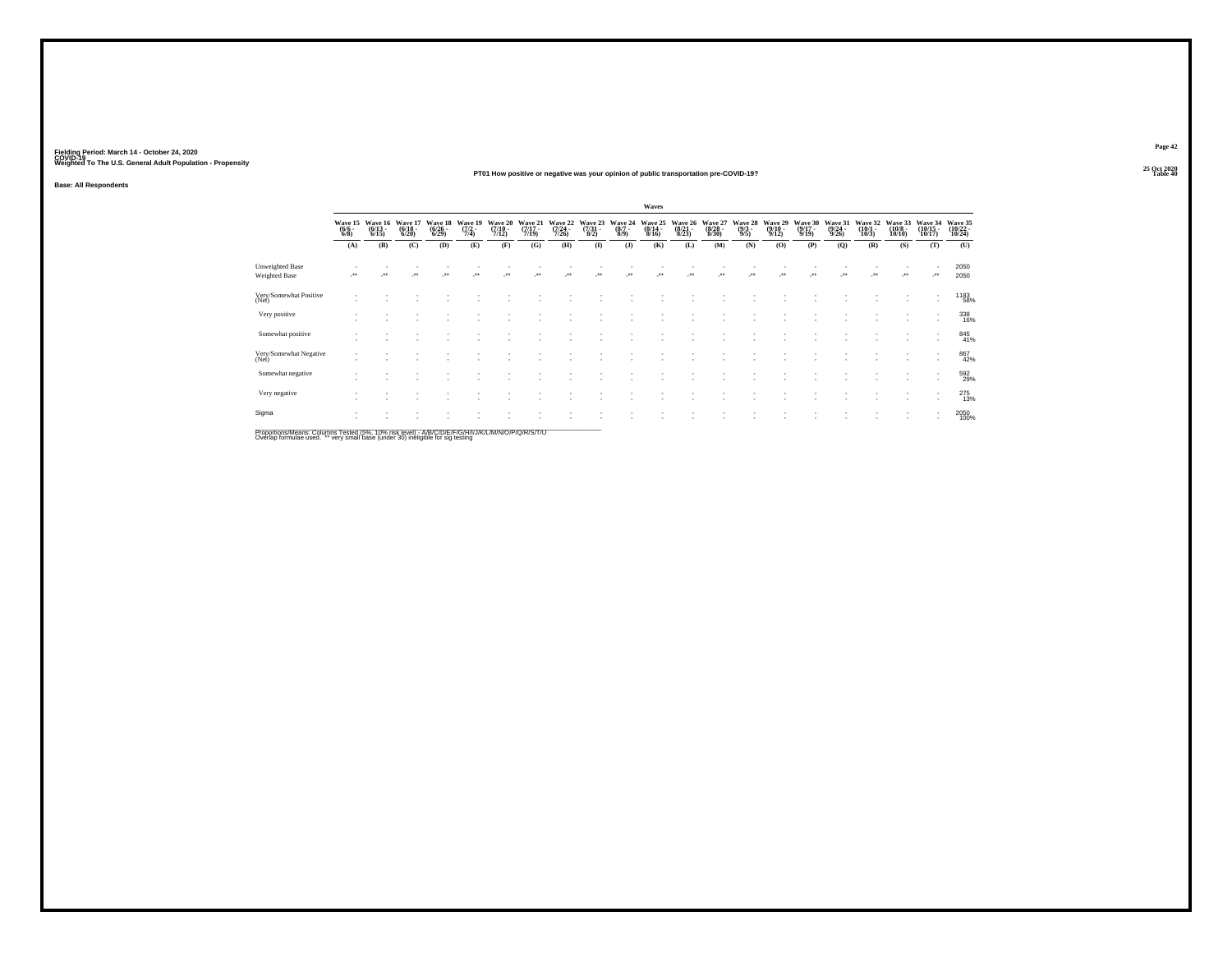### **25 Oct 2020PT01 How positive or negative was your opinion of public transportation pre-COVID-19?Table 40**

**Base: All Respondents**

|                                                                                                     |                                |                                  |                             |                             |                           |                             |                             |                             |                            |                           | Waves                       |                             |                             |                           |                             |                             |                             |                             |                              |                               |                               |
|-----------------------------------------------------------------------------------------------------|--------------------------------|----------------------------------|-----------------------------|-----------------------------|---------------------------|-----------------------------|-----------------------------|-----------------------------|----------------------------|---------------------------|-----------------------------|-----------------------------|-----------------------------|---------------------------|-----------------------------|-----------------------------|-----------------------------|-----------------------------|------------------------------|-------------------------------|-------------------------------|
|                                                                                                     | Wave 15<br>$\frac{(6/6)}{6/8}$ | Wave 16<br>$\frac{(6/13)}{6/15}$ | Wave 17<br>(6/18 -<br>6/20) | Wave 18<br>(6/26 -<br>6/29) | Wave 19<br>(7/2 -<br>7/4) | Wave 20<br>(7/10 -<br>7/12) | Wave 21<br>(7/17 -<br>7/19) | Wave 22<br>(7/24 -<br>7/26) | Wave 23<br>(7/31 -<br>8/2) | Wave 24<br>(8/7 -<br>8/9) | Wave 25<br>(8/14 -<br>8/16) | Wave 26<br>(8/21 -<br>8/23) | Wave 27<br>(8/28 -<br>8/30) | Wave 28<br>(9/3 -<br>9/5) | Wave 29<br>(9/10 -<br>9/12) | Wave 30<br>(9/17 -<br>9/19) | Wave 31<br>(9/24 -<br>9/26) | Wave 32<br>(10/1 -<br>10/3) | Wave 33<br>(10/8 -<br>10/10) | Wave 34<br>(10/15 -<br>10/17) | Wave 35<br>(10/22 -<br>10/24) |
|                                                                                                     | (A)                            | (B)                              | (C)                         | (D)                         | (E)                       | (F)                         | (G)                         | (H)                         | $($ $\Gamma$               | (J)                       | (K)                         | (L)                         | (M)                         | (N)                       | (O)                         | (P)                         | (Q)                         | (R)                         | (S)                          | (T)                           | (U)                           |
| Unweighted Base<br>Weighted Base                                                                    | $^{\tiny{**}}$                 |                                  | $^{\tiny{**}}$              |                             |                           |                             |                             |                             | $\ddot{\phantom{0}}$       |                           |                             |                             |                             |                           |                             |                             |                             |                             | $^{\tiny{**}}$               |                               | 2050<br>2050                  |
| Very/Somewhat Positive<br>(Net)                                                                     |                                |                                  |                             |                             |                           |                             |                             |                             |                            |                           |                             |                             |                             |                           |                             |                             |                             |                             |                              | $\overline{\phantom{a}}$      | 1183<br>58%                   |
| Very positive                                                                                       |                                |                                  |                             |                             |                           |                             |                             |                             |                            |                           |                             |                             |                             |                           |                             |                             |                             |                             |                              |                               | 338<br>16%                    |
| Somewhat positive                                                                                   |                                |                                  |                             |                             |                           |                             |                             |                             |                            |                           |                             |                             |                             |                           |                             |                             |                             |                             |                              | $\overline{\phantom{a}}$      | 845<br>41%                    |
| Very/Somewhat Negative<br>(Net)                                                                     |                                |                                  |                             |                             |                           |                             |                             |                             |                            |                           |                             |                             |                             |                           |                             |                             |                             |                             |                              |                               | 867<br>42%                    |
| Somewhat negative                                                                                   |                                |                                  |                             |                             |                           |                             |                             |                             |                            |                           |                             |                             |                             |                           |                             |                             |                             |                             |                              |                               | 592<br>29%                    |
| Very negative                                                                                       |                                |                                  |                             |                             |                           |                             |                             |                             |                            |                           |                             |                             |                             |                           |                             |                             |                             |                             |                              |                               | $^{275}_{13\%}$               |
| Sigma                                                                                               |                                |                                  |                             |                             |                           |                             |                             |                             |                            |                           |                             |                             |                             |                           |                             |                             |                             |                             |                              |                               | 2050<br>100%                  |
| Proportions/Means: Columns Tested (5%, 10% risk level) - A/R/C/D/F/F/C/H/I/J/K/L/M/N/O/P/O/R/S/T/LL |                                |                                  |                             |                             |                           |                             |                             |                             |                            |                           |                             |                             |                             |                           |                             |                             |                             |                             |                              |                               |                               |

Proportions/Means: Columns Tested (5%, 10% risk level) - A/B/C/D/E/F/G/H/I/J/K/L/M/N/O/P/Q/R/S/T/U<br>Overlap formulae used. \*\* very small base (under 30) ineligible for sig testing

**Page 4225 Oct 2020<br>Table 40**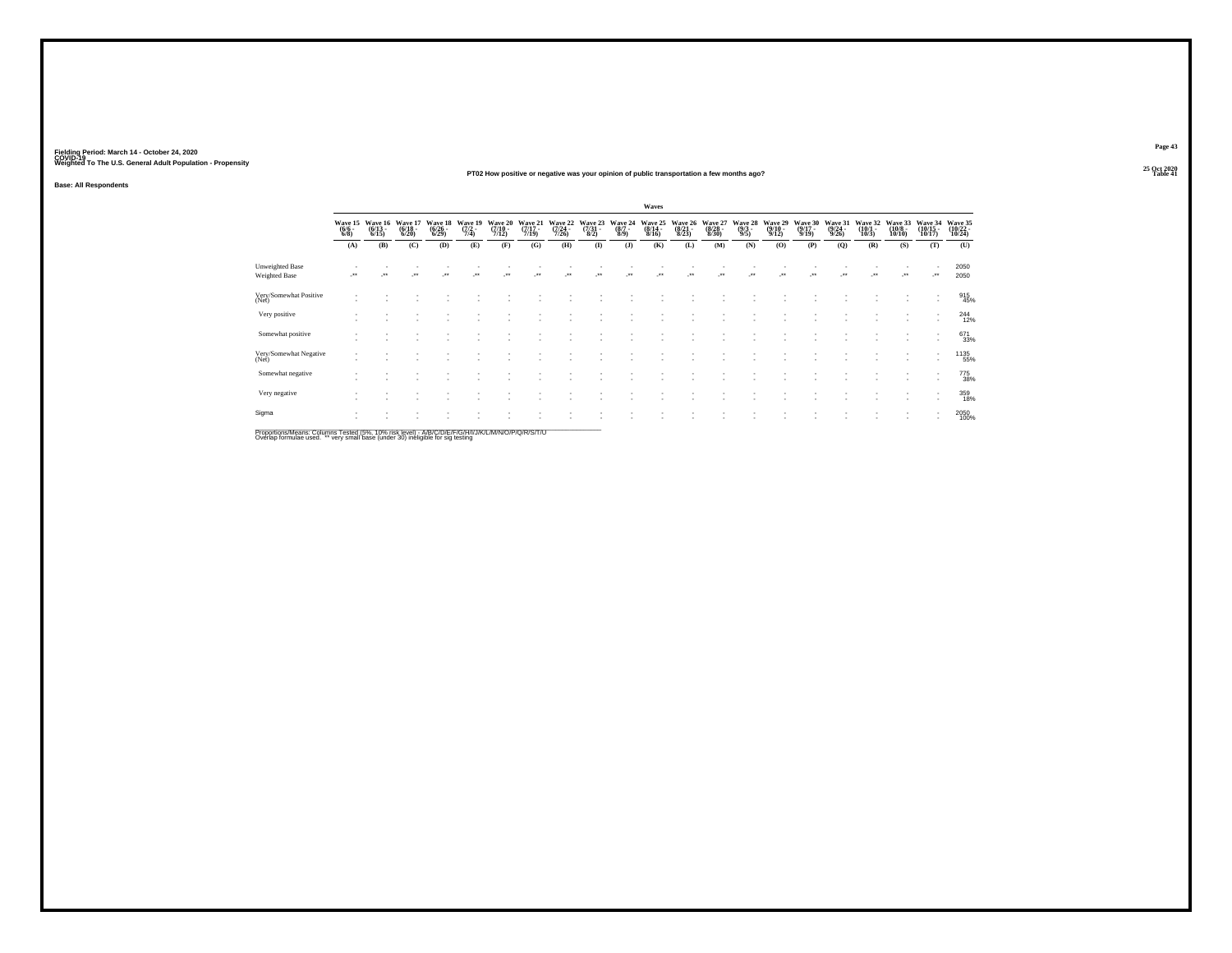### **25 Oct 2020PT02 How positive or negative was your opinion of public transportation a few months ago?Table 41 Table 41 Table 41**

**Base: All Respondents**

|                                                                                                  |                                |                                  |                             |                             |                           |                             |                             |                             |                            |                           | Waves                       |                             |                             |                           |                             |                             |                             |                             |                              |                                                      |                               |
|--------------------------------------------------------------------------------------------------|--------------------------------|----------------------------------|-----------------------------|-----------------------------|---------------------------|-----------------------------|-----------------------------|-----------------------------|----------------------------|---------------------------|-----------------------------|-----------------------------|-----------------------------|---------------------------|-----------------------------|-----------------------------|-----------------------------|-----------------------------|------------------------------|------------------------------------------------------|-------------------------------|
|                                                                                                  | Wave 15<br>$\frac{(6/6)}{6/8}$ | Wave 16<br>$\frac{(6/13)}{6/15}$ | Wave 17<br>(6/18 -<br>6/20) | Wave 18<br>(6/26 -<br>6/29) | Wave 19<br>(7/2 -<br>7/4) | Wave 20<br>(7/10 -<br>7/12) | Wave 21<br>(7/17 -<br>7/19) | Wave 22<br>(7/24 -<br>7/26) | Wave 23<br>(7/31 -<br>8/2) | Wave 24<br>(8/7 -<br>8/9) | Wave 25<br>(8/14 -<br>8/16) | Wave 26<br>(8/21 -<br>8/23) | Wave 27<br>(8/28 -<br>8/30) | Wave 28<br>(9/3 -<br>9/5) | Wave 29<br>(9/10 -<br>9/12) | Wave 30<br>(9/17 -<br>9/19) | Wave 31<br>(9/24 -<br>9/26) | Wave 32<br>(10/1 -<br>10/3) | Wave 33<br>(10/8 -<br>10/10) | Wave 34<br>(10/15 -<br>10/17)                        | Wave 35<br>(10/22 -<br>10/24) |
|                                                                                                  | (A)                            | (B)                              | (C)                         | (D)                         | (E)                       | (F)                         | (G)                         | (H)                         | $($ $\Gamma$               | $($ J $)$                 | (K)                         | (L)                         | (M)                         | (N)                       | (O)                         | (P)                         | (Q)                         | (R)                         | (S)                          | (T)                                                  | (U)                           |
| Unweighted Base<br><b>Weighted Base</b>                                                          | $^{\tiny{**}}$                 |                                  | $\bullet\bullet$            |                             |                           |                             |                             |                             |                            | $\bullet\bullet$          |                             |                             | $\ddot{\phantom{0}}$        |                           | $\ddot{\phantom{0}}$        |                             |                             |                             | $^{\tiny{**}}$               | -**                                                  | 2050<br>2050                  |
| Very/Somewhat Positive<br>(Net)                                                                  |                                |                                  |                             |                             |                           |                             |                             |                             |                            |                           |                             |                             |                             |                           |                             |                             |                             |                             |                              | $\overline{\phantom{a}}$<br>$\overline{\phantom{a}}$ | 915<br>45%                    |
| Very positive                                                                                    |                                |                                  |                             |                             |                           |                             |                             |                             |                            |                           |                             |                             |                             |                           |                             |                             |                             |                             |                              | $\overline{\phantom{a}}$<br>$\overline{\phantom{a}}$ | $^{244}_{12\%}$               |
| Somewhat positive                                                                                |                                |                                  |                             |                             |                           |                             |                             |                             |                            |                           |                             |                             |                             |                           |                             |                             |                             |                             |                              | $\overline{\phantom{a}}$                             | 671<br>33%                    |
| Very/Somewhat Negative<br>(Net)                                                                  |                                |                                  |                             |                             |                           |                             |                             |                             |                            |                           |                             |                             |                             |                           |                             |                             |                             |                             |                              | $\sim$<br>$\overline{\phantom{a}}$                   | 1135<br>55%                   |
| Somewhat negative                                                                                |                                |                                  |                             |                             |                           |                             |                             |                             |                            |                           |                             |                             |                             |                           |                             |                             |                             |                             |                              | $\overline{\phantom{a}}$<br>$\overline{\phantom{a}}$ | 775<br>38%                    |
| Very negative                                                                                    |                                |                                  |                             |                             |                           |                             |                             |                             |                            |                           |                             |                             |                             |                           |                             |                             |                             |                             |                              | $\overline{\phantom{a}}$                             | 359<br>18%                    |
| Sigma                                                                                            |                                |                                  |                             |                             |                           |                             |                             |                             |                            |                           |                             |                             |                             |                           |                             |                             |                             |                             |                              |                                                      | 2050<br>100%                  |
| Proportione/Meane: Columne Teeted (5%, 10% riek level) - MB/C/D/E/C/B/A/H/U/A/M/N/C/D/O/P/S/T/LL |                                |                                  |                             |                             |                           |                             |                             |                             |                            |                           |                             |                             |                             |                           |                             |                             |                             |                             |                              |                                                      |                               |

Proportions/Means: Columns Tested (5%, 10% risk level) - A/B/C/D/E/F/G/H/I/J/K/L/M/N/O/P/Q/R/S/T/U<br>Overlap formulae used. \*\* very small base (under 30) ineligible for sig testing

**Page 4325 Oct 2020<br>Table 41**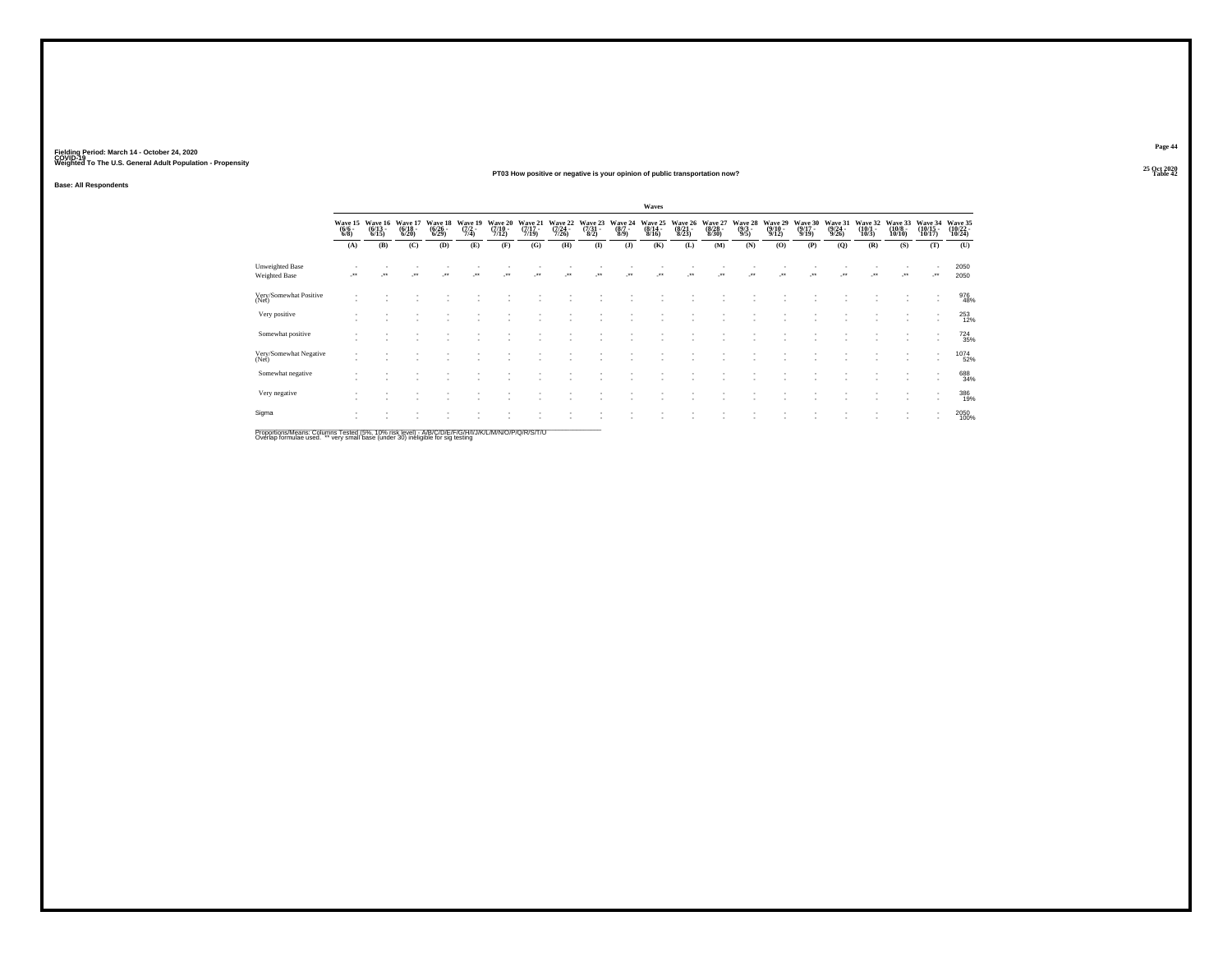### **25 Oct 2020PT03 How positive or negative is your opinion of public transportation now?Table 42 Table 42 Table 42 Table 42 Table 42 Table 42 Table 42 Table 42**

**Base: All Respondents**

| Wave 22<br>(7/24 -<br>7/26) |                                     |                               |                             |                             |                                 |                           |                                         |                             |                             |                                 |                                        |                                   |                               |
|-----------------------------|-------------------------------------|-------------------------------|-----------------------------|-----------------------------|---------------------------------|---------------------------|-----------------------------------------|-----------------------------|-----------------------------|---------------------------------|----------------------------------------|-----------------------------------|-------------------------------|
|                             | Wave 23<br>$\frac{(7/31 - 8)}{8/2}$ | Wave 24<br>$\binom{8/7}{8/9}$ | Wave 25<br>(8/14 -<br>8/16) | Wave 26<br>(8/21 -<br>8/23) | Wave 27<br>$\binom{8/28}{8/30}$ | Wave 28<br>(9/3 -<br>9/5) | Wave 29<br>$\frac{(9/10 - 9/12)}{9/12}$ | Wave 30<br>(9/17 -<br>9/19) | Wave 31<br>(9/24 -<br>9/26) | Wave 32<br>$\binom{10/1}{10/3}$ | Wave 33<br>$\frac{(10/8 - 10)}{10/10}$ | Wave 34<br>$\binom{10/15}{10/17}$ | Wave 35<br>(10/22 -<br>10/24) |
| (H)                         | (1)                                 | (J)                           | (K)                         | (L)                         | (M)                             | (N)                       | (O)                                     | (P)                         | (Q)                         | (R)                             | (S)                                    | (T)                               | (U)                           |
|                             |                                     |                               |                             |                             |                                 |                           |                                         |                             |                             |                                 |                                        | -**                               | 2050<br>2050                  |
|                             |                                     |                               |                             |                             |                                 |                           |                                         |                             |                             |                                 |                                        |                                   | 976<br>48%                    |
|                             |                                     |                               |                             |                             |                                 |                           |                                         |                             |                             |                                 |                                        | ٠                                 | 253<br>12%                    |
|                             |                                     |                               |                             |                             |                                 |                           |                                         |                             |                             |                                 |                                        | $\overline{\phantom{a}}$          | 724<br>35%                    |
|                             |                                     |                               |                             |                             |                                 |                           |                                         |                             |                             |                                 | $\sim$                                 | $\overline{\phantom{a}}$          | $^{1074}_{52\%}$              |
|                             |                                     |                               |                             |                             |                                 |                           |                                         |                             |                             |                                 |                                        |                                   | 688<br>34%                    |
|                             |                                     |                               |                             |                             |                                 |                           |                                         |                             |                             |                                 |                                        | $\overline{\phantom{a}}$          | 386<br>19%                    |
|                             |                                     |                               |                             |                             |                                 |                           |                                         |                             |                             |                                 |                                        |                                   | 2050<br>100%                  |
|                             |                                     |                               |                             |                             |                                 |                           |                                         |                             |                             |                                 |                                        |                                   |                               |

Proportions/Means: Columns Tested (5%, 10% risk level) - A/B/C/D/E/F/G/H/I/J/K/L/M/N/O/P/Q/R/S/T/U<br>Overlap formulae used. \*\* very small base (under 30) ineligible for sig testing

**Page 44**25 Oct 2020<br>Table 42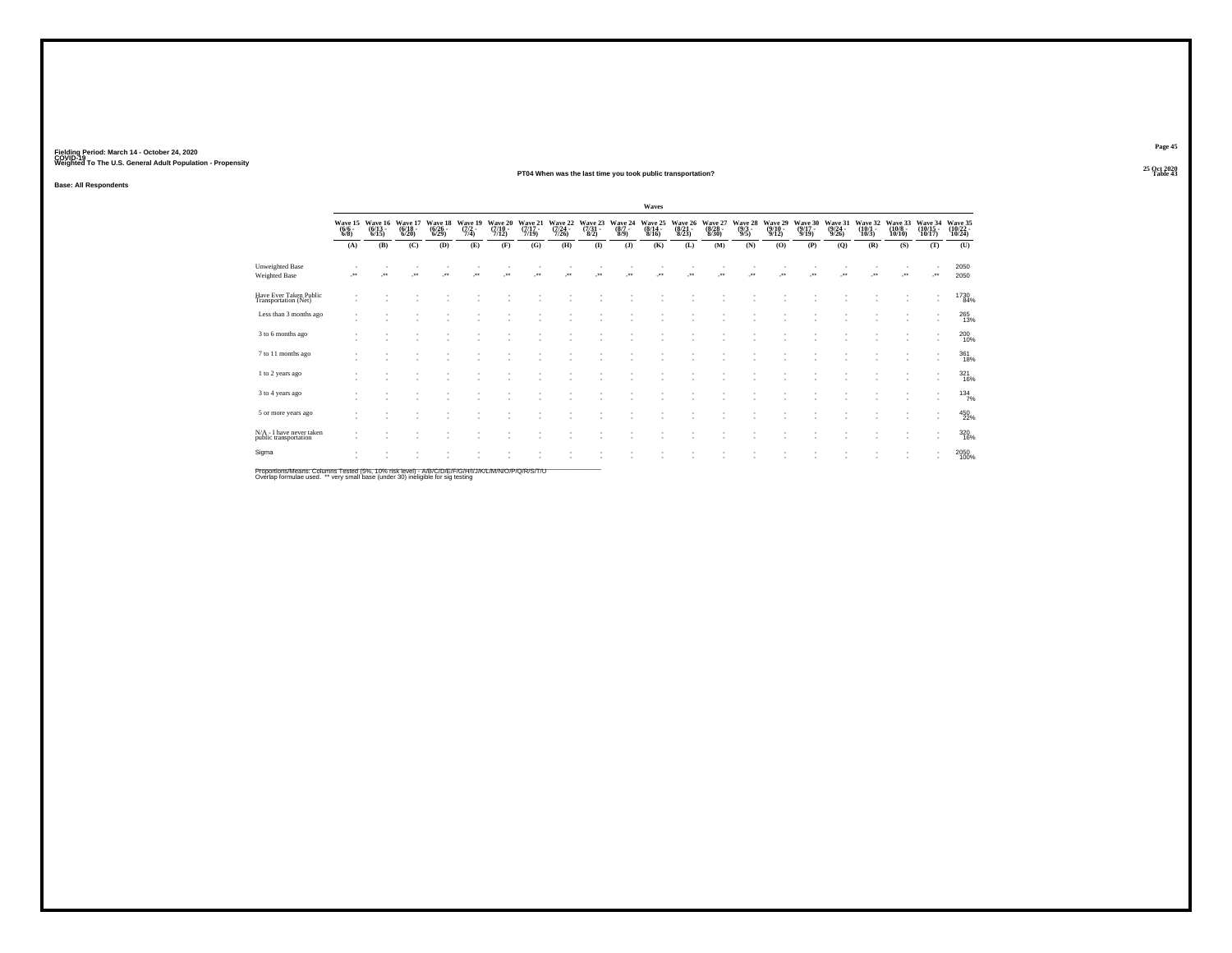### **25 Oct 2020PT04 When was the last time you took public transportation?Particular Table 43 Table 43 Table 43**

**Base: All Respondents**

|                                                                                                                |                               |                                 |                             |                                  |                                      |                             |                           |                             |                                   |                                | Waves                       |                             |                             |                           |                             |                                         |                             |                             |                               |                                  |                               |
|----------------------------------------------------------------------------------------------------------------|-------------------------------|---------------------------------|-----------------------------|----------------------------------|--------------------------------------|-----------------------------|---------------------------|-----------------------------|-----------------------------------|--------------------------------|-----------------------------|-----------------------------|-----------------------------|---------------------------|-----------------------------|-----------------------------------------|-----------------------------|-----------------------------|-------------------------------|----------------------------------|-------------------------------|
|                                                                                                                | Wave 15<br>$\binom{6/6}{6/8}$ | Wave 16<br>$\binom{6/13}{6/15}$ | Wave 17<br>(6/18 -<br>6/20) | Wave 18<br>$\frac{(6/26)}{6/29}$ | Wave 19<br>$\frac{(7/2 - 1)}{(7/4)}$ | Wave 20<br>(7/10 -<br>7/12) | Wave 21<br>(7/17<br>7/19) | Wave 22<br>(7/24 -<br>7/26) | Wave 23<br>$\frac{(7/31)}{(8/2)}$ | Wave 24<br>$\frac{(8/7)}{8/9}$ | Wave 25<br>(8/14 -<br>8/16) | Wave 26<br>(8/21 -<br>8/23) | Wave 27<br>(8/28 -<br>8/30) | Wave 28<br>(9/3 -<br>9/5) | Wave 29<br>(9/10 -<br>9/12) | Wave 30<br>$\frac{(9/17 - 9/19)}{9/19}$ | Wave 31<br>(9/24 -<br>9/26) | Wave 32<br>(10/1 -<br>10/3) | Wave 33<br>$(10/8 -$<br>10/10 | Wave 34<br>(10/15 -<br>$10/17$ ) | Wave 35<br>(10/22 -<br>10/24) |
|                                                                                                                | (A)                           | (B)                             | (C)                         | (D)                              | (E)                                  | (F)                         | (G)                       | (H)                         | $($ $\Gamma$                      | (J)                            | (K)                         | (L)                         | (M)                         | (N)                       | (O)                         | (P)                                     | (Q)                         | (R)                         | (S)                           | (T)                              | (U)                           |
| Unweighted Base<br>Weighted Base                                                                               | $^{\tiny{**}}$                |                                 | $\bullet\,\bullet$          | $\ddot{\phantom{0}}$             |                                      |                             |                           |                             |                                   |                                |                             |                             |                             |                           | $\ddot{\phantom{0}}$        |                                         |                             | $\ddot{\phantom{0}}$        | $\ddot{\phantom{0}}$          | -**                              | 2050<br>2050                  |
| Have Ever Taken Public<br>Transportation (Net)                                                                 |                               |                                 |                             |                                  |                                      |                             |                           |                             |                                   |                                |                             |                             |                             |                           |                             |                                         |                             |                             |                               | ٠                                | 1730<br>84%                   |
| Less than 3 months ago                                                                                         |                               |                                 |                             |                                  |                                      |                             |                           |                             |                                   |                                |                             |                             |                             |                           |                             |                                         |                             |                             | ٠                             | $\overline{\phantom{a}}$         | 265<br>13%                    |
| 3 to 6 months ago                                                                                              |                               |                                 |                             |                                  |                                      |                             |                           |                             |                                   |                                |                             |                             |                             |                           |                             |                                         |                             |                             |                               | $\overline{\phantom{a}}$         | 200 10%                       |
| 7 to 11 months ago                                                                                             |                               |                                 |                             |                                  |                                      |                             |                           |                             |                                   |                                |                             |                             |                             |                           |                             |                                         |                             |                             |                               | ٠                                | $^{361}_{18\%}$               |
| 1 to 2 years ago                                                                                               |                               |                                 |                             |                                  |                                      |                             |                           |                             |                                   |                                |                             |                             |                             |                           |                             |                                         |                             |                             |                               | ٠<br>٠                           | 321<br>16%                    |
| 3 to 4 years ago                                                                                               |                               |                                 |                             |                                  |                                      |                             |                           |                             |                                   |                                |                             |                             |                             |                           |                             |                                         |                             |                             | ٠                             | $\sim$                           | $134 \atop 7\%$               |
| 5 or more years ago                                                                                            |                               |                                 |                             |                                  |                                      |                             |                           |                             |                                   |                                |                             |                             |                             |                           |                             |                                         |                             |                             |                               | ٠                                | 450<br>22%                    |
| N/A - I have never taken<br>public transportation                                                              |                               |                                 |                             |                                  |                                      |                             |                           |                             |                                   |                                |                             |                             |                             |                           |                             |                                         |                             |                             |                               | ٠                                | $^{320}_{16\%}$               |
| Sigma                                                                                                          |                               |                                 |                             |                                  |                                      |                             |                           |                             |                                   |                                |                             |                             |                             |                           |                             |                                         |                             |                             | ٠                             |                                  | 2050<br>100%                  |
| DreportionalMoope: Columna Tootod (59/ - 409/ -iok loyol) - AID IC ID ID ID IN INTI IN A MAUCUDIO ID ID IT ILL |                               |                                 |                             |                                  |                                      |                             |                           |                             |                                   |                                |                             |                             |                             |                           |                             |                                         |                             |                             |                               |                                  |                               |

Proportions/Means: Columns Tested (5%, 10% risk level) - A/B/C/D/E/F/G/H/I/J/K/L/M/N/O/P/Q/R/S/T/U<br>Overlap formulae used. \*\* very small base (under 30) ineligible for sig testing

**Page 45**25 Oct 2020<br>Table 43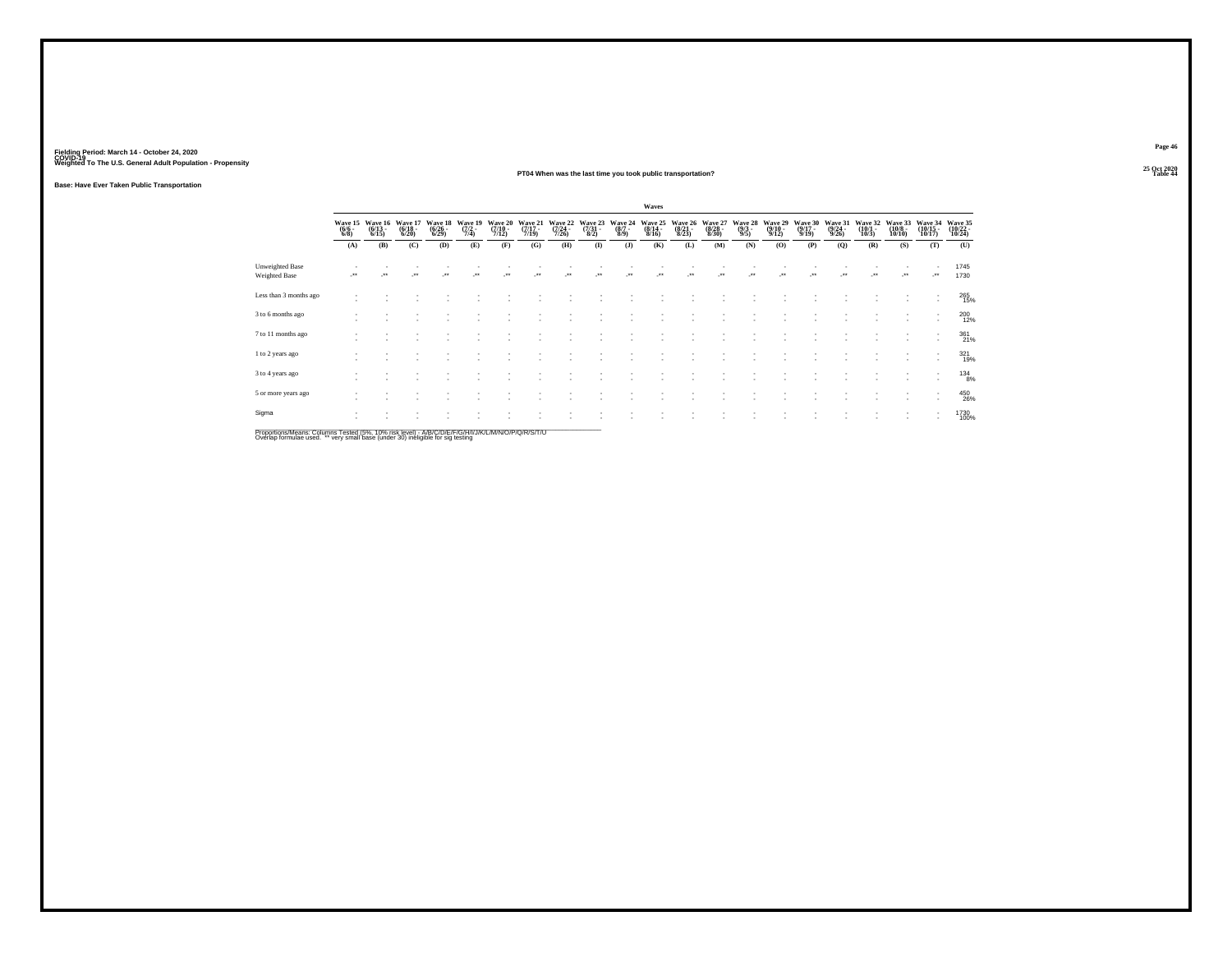### **25 Oct 2020PT04 When was the last time you took public transportation?Table 44 Table 44 Table 44**

**Base: Have Ever Taken Public Transportation**

|                                                                                                    |                                |                                  |                                  |                                    |                                |                             |                                  |                                      |                                 |                                | Waves                            |                                  |                                  |                                |                                         |                                  |                                  |                                  |                                   |                                                      |                               |
|----------------------------------------------------------------------------------------------------|--------------------------------|----------------------------------|----------------------------------|------------------------------------|--------------------------------|-----------------------------|----------------------------------|--------------------------------------|---------------------------------|--------------------------------|----------------------------------|----------------------------------|----------------------------------|--------------------------------|-----------------------------------------|----------------------------------|----------------------------------|----------------------------------|-----------------------------------|------------------------------------------------------|-------------------------------|
|                                                                                                    | Wave 15<br>$\frac{(6/6)}{6/8}$ | Wave 16<br>$\frac{(6/13)}{6/15}$ | Wave 17<br>$\frac{(6/18)}{6/20}$ | Wave 18<br>$\frac{(6/26)}{(6/29)}$ | Wave 19<br>$\frac{(7/2)}{7/4}$ | Wave 20<br>(7/10 -<br>7/12) | Wave 21<br>$\frac{(7/17)}{7/19}$ | Wave 22<br>$\frac{(7/24 - 7)}{7/26}$ | Wave 23<br>$\frac{(7/31)}{8/2}$ | Wave 24<br>$\frac{(8/7)}{8/9}$ | Wave 25<br>$\frac{(8/14)}{8/16}$ | Wave 26<br>$\frac{(8/21)}{8/23}$ | Wave 27<br>$\frac{(8/28)}{8/30}$ | Wave 28<br>$\frac{(9/3)}{9/5}$ | Wave 29<br>$\frac{(9/10 - 9/12)}{9/12}$ | Wave 30<br>$\frac{(9/17)}{9/19}$ | Wave 31<br>$\frac{(9/24)}{9/26}$ | Wave 32<br>$\frac{(10/1)}{10/3}$ | Wave 33<br>$\frac{(10/8)}{10/10}$ | Wave 34<br>$\frac{(10/15)}{10/17}$                   | Wave 35<br>(10/22 -<br>10/24) |
|                                                                                                    | (A)                            | (B)                              | (C)                              | (D)                                | (E)                            | (F)                         | (G)                              | (H)                                  | $\mathbf{I}$                    | $($ $)$                        | (K)                              | (L)                              | (M)                              | (N)                            | (O)                                     | (P)                              | $\mathbf{Q}$                     | (R)                              | (S)                               | (T)                                                  | (U)                           |
| <b>Unweighted Base</b><br>Weighted Base                                                            | $\bullet\,\bullet$             | $\ddot{\phantom{0}}$             | $\ddot{\phantom{1}}$             | $\bullet\,\bullet$                 |                                | $\bullet\bullet$            | $\ddot{\phantom{0}}$             | $\bullet\bullet$                     | $\bullet\,\bullet$              | ×                              | $\ddot{}$                        | $\ddot{}$                        | $\bullet\,\bullet$               | $\bullet\bullet$               |                                         | $\ddot{\phantom{1}}$             | $\cdot$                          | $\bullet\,\bullet$               | $\ddot{\phantom{1}}$              | ٠<br>                                                | 1745<br>1730                  |
| Less than 3 months ago                                                                             |                                |                                  |                                  |                                    |                                |                             |                                  |                                      |                                 |                                |                                  |                                  |                                  |                                |                                         |                                  |                                  |                                  |                                   | ٠<br>$\overline{\phantom{a}}$                        | 265<br>15%                    |
| 3 to 6 months ago                                                                                  |                                |                                  |                                  |                                    |                                |                             |                                  |                                      |                                 |                                |                                  |                                  |                                  |                                |                                         |                                  |                                  |                                  |                                   | ٠<br>$\overline{\phantom{a}}$                        | 200<br>12%                    |
| 7 to 11 months ago                                                                                 |                                |                                  |                                  |                                    |                                |                             |                                  |                                      |                                 |                                |                                  |                                  |                                  |                                |                                         |                                  |                                  |                                  |                                   | $\overline{\phantom{a}}$<br>$\overline{\phantom{a}}$ | 361%                          |
| 1 to 2 years ago                                                                                   |                                |                                  |                                  |                                    |                                |                             |                                  |                                      |                                 |                                |                                  |                                  |                                  |                                |                                         |                                  |                                  |                                  |                                   | $\overline{\phantom{a}}$<br>$\sim$                   | 321<br>19%                    |
| 3 to 4 years ago                                                                                   |                                |                                  |                                  |                                    |                                |                             |                                  |                                      |                                 |                                |                                  |                                  |                                  |                                |                                         |                                  |                                  |                                  |                                   | ٠<br>$\overline{\phantom{a}}$                        | $^{134}_{8\%}$                |
| 5 or more years ago                                                                                |                                |                                  |                                  |                                    |                                |                             |                                  |                                      |                                 |                                |                                  |                                  |                                  |                                |                                         |                                  |                                  |                                  |                                   | $\overline{\phantom{a}}$<br>$\overline{\phantom{a}}$ | 450<br>26%                    |
| Sigma                                                                                              |                                |                                  |                                  |                                    |                                |                             |                                  |                                      |                                 |                                |                                  |                                  |                                  |                                |                                         |                                  |                                  |                                  |                                   | $\overline{\phantom{a}}$<br>$\overline{\phantom{a}}$ | 1730<br>100%                  |
| Proportions/Means: Columns Tested (5%, 10% risk level) - A/B/C/D/F/F/G/H/I/J/K/L/M/N/Q/P/Q/R/S/T/U |                                |                                  |                                  |                                    |                                |                             |                                  |                                      |                                 |                                |                                  |                                  |                                  |                                |                                         |                                  |                                  |                                  |                                   |                                                      |                               |

Proportions/Means: Columns Tested (5%, 10% risk level) - A/B/C/D/E/F/G/H/I/J/K/L/M/N/O/P/Q/R/S/T/U<br>Overlap formulae used. \*\* very small base (under 30) ineligible for sig testing

**Page 46**25 Oct 2020<br>Table 44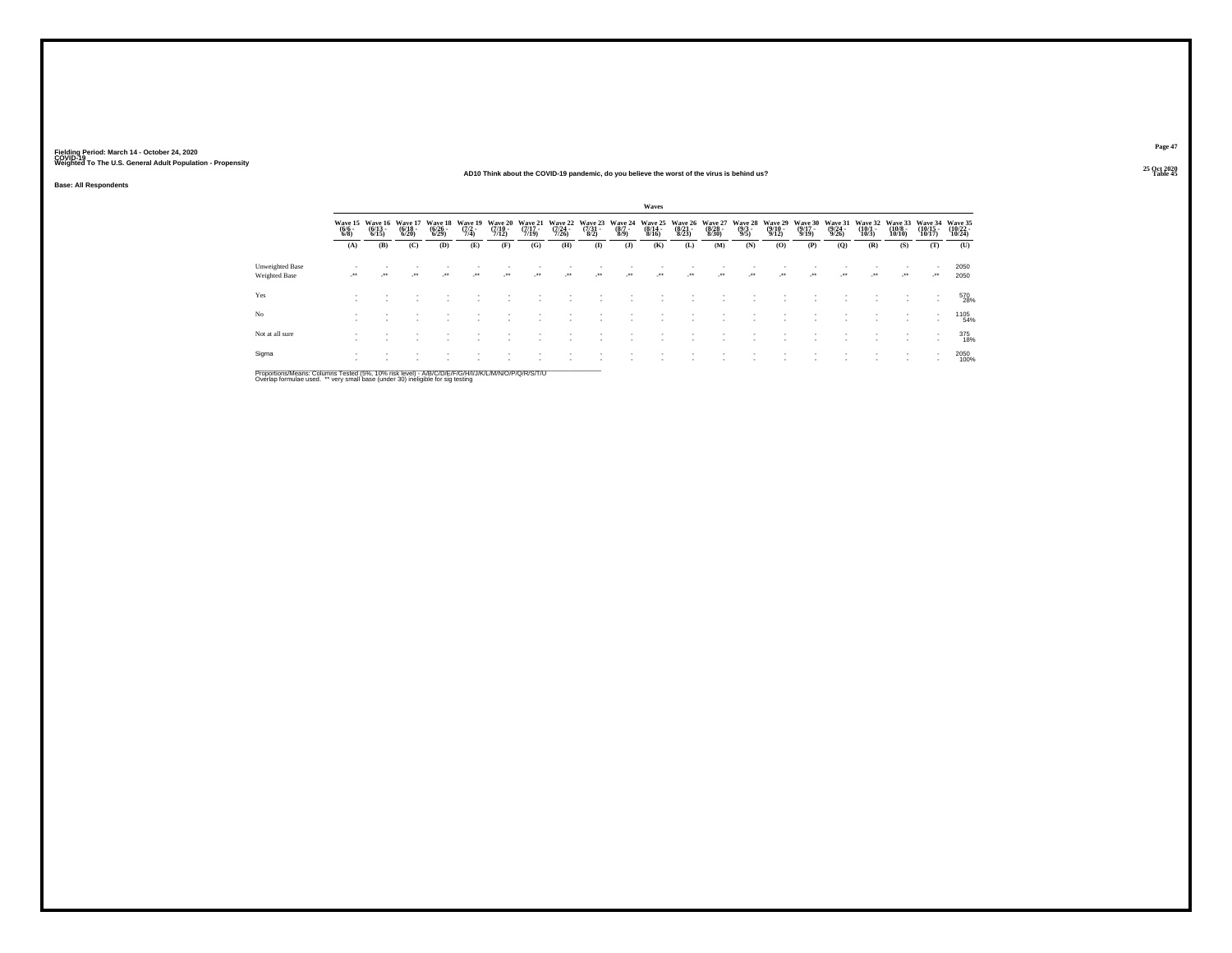### **25 Oct 2020AD10 Think about the COVID-19 pandemic, do you believe the worst of the virus is behind us?Table 45 Table 45**

**Base: All Respondents**

|                                  |                     |                                          |                                  |                                           |                                |                                  |                             |                                  |                                 |                                | Waves                       |                                  |                                  |                                       |                                         |                                      |                                  |                              |                                   |                                    |                                    |
|----------------------------------|---------------------|------------------------------------------|----------------------------------|-------------------------------------------|--------------------------------|----------------------------------|-----------------------------|----------------------------------|---------------------------------|--------------------------------|-----------------------------|----------------------------------|----------------------------------|---------------------------------------|-----------------------------------------|--------------------------------------|----------------------------------|------------------------------|-----------------------------------|------------------------------------|------------------------------------|
|                                  | $\frac{(6/6)}{6/8}$ | Wave 15 Wave 16<br>$\frac{(6/13)}{6/15}$ | Wave 17<br>$\frac{(6/18)}{6/20}$ | <b>Wave 18</b><br>$\frac{(6/26)}{(6/29)}$ | Wave 19<br>$\frac{(7/2)}{7/4}$ | Wave 20<br>$\frac{(7/10)}{7/12}$ | Wave 21<br>(7/17 -<br>7/19) | Wave 22<br>$\frac{(7/24)}{7/26}$ | Wave 23<br>$\frac{(7/31)}{8/2}$ | Wave 24<br>$\frac{(8/7)}{8/9}$ | Wave 25<br>(8/14 -<br>8/16) | Wave 26<br>$\frac{(8/21)}{8/23}$ | Wave 27<br>$\frac{(8/28)}{8/30}$ | <b>Wave 28</b><br>$\frac{(9/3)}{9/5}$ | Wave 29<br>$\frac{(9/10 - 9/12)}{9/12}$ | Wave 30<br>$\frac{(9/17 - 9)}{9/19}$ | Wave 31<br>$\frac{(9/24)}{9/26}$ | Wave 32<br>$(10/1 -$<br>10/3 | Wave 33<br>$\frac{(10/8)}{10/10}$ | Wave 34<br>$\frac{(10/15)}{10/17}$ | Wave 35<br>$\frac{(10/22)}{10/24}$ |
|                                  | (A)                 | (B)                                      | (C)                              | (D)                                       | (E)                            | (F)                              | (G)                         | (H)                              | $($ I)                          | $($ $)$                        | (K)                         | (L)                              | (M)                              | (N)                                   | (0)                                     | (P)                                  | (Q)                              | (R)                          | (S)                               | (T)                                | (U)                                |
| Unweighted Base<br>Weighted Base | $\cdot$             | $\cdot$                                  | $\cdot$                          | $\cdot$                                   | $^{\tiny{**}}$                 | $\overline{\phantom{a}}$         | $\cdot$                     | $\mathcal{L}^{\bullet\bullet}$   | $\cdot$                         | $\cdot$                        | $\cdot$                     | $\cdot$                          | $\cdot$                          |                                       | $\cdot$                                 | $\cdot$                              | $\cdot$                          |                              | $\cdot$                           | $\cdot$                            | 2050<br>2050                       |
| Yes                              |                     |                                          |                                  |                                           |                                |                                  |                             |                                  |                                 |                                |                             |                                  |                                  |                                       |                                         |                                      |                                  |                              |                                   | ٠<br>٠                             | 570<br>28%                         |
| No                               |                     |                                          |                                  |                                           |                                |                                  |                             |                                  |                                 |                                |                             |                                  |                                  |                                       |                                         |                                      |                                  |                              |                                   | ٠<br>$\sim$                        | 1105<br>54%                        |
| Not at all sure                  |                     |                                          |                                  |                                           |                                |                                  |                             |                                  |                                 |                                |                             |                                  |                                  |                                       |                                         |                                      |                                  |                              |                                   | ٠<br>٠                             | 375<br>18%                         |
| Sigma                            |                     |                                          |                                  |                                           |                                |                                  |                             |                                  |                                 |                                |                             |                                  |                                  |                                       |                                         |                                      |                                  |                              | $\sim$                            | $\mathbf{r}$                       | 2050<br>100%                       |

Proportions/Means: Columns Tested (5%, 10% risk level) - A/B/C/D/E/F/G/H/I/J/K/L/M/N/O/P/Q/R/S/T/U<br>Overlap formulae used. \*\* very small base (under 30) ineligible for sig testing

**Page 47**25 Oct 2020<br>Table 45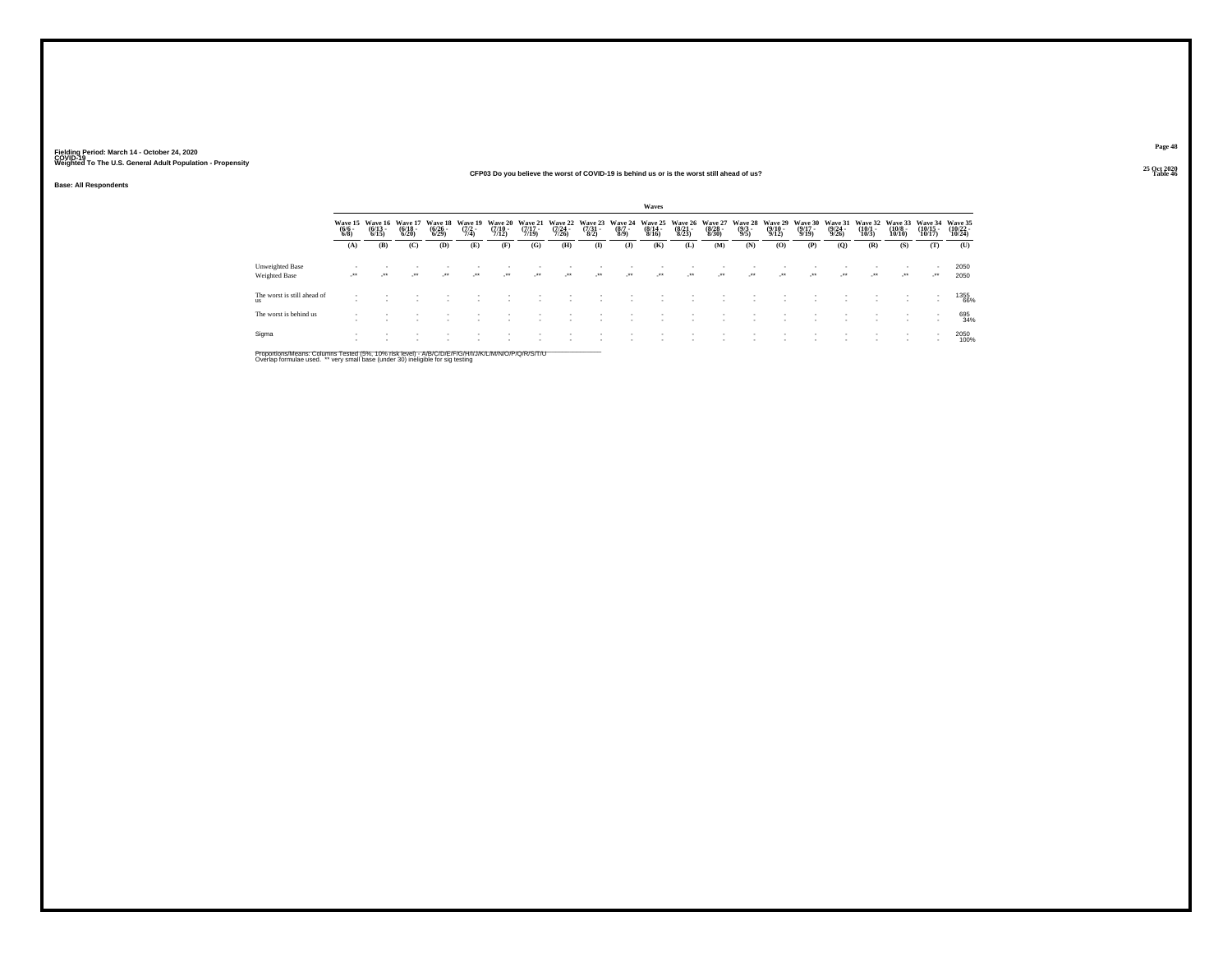### **25 Oct 2020CFP03 Do you believe the worst of COVID-19 is behind us or is the worst still ahead of us?Table 46 Table 46 Table 46 Table 46 Table 46 Table 46 Table 46 Table 46**

**Base: All Respondents**

|                                   |                           |                                  |                                              |                                           |                                |                             |                             |                                  |                          |                           | Waves                            |                             |                             |                           |                                  |                                  |                                  |                                  |                              |                                    |                              |
|-----------------------------------|---------------------------|----------------------------------|----------------------------------------------|-------------------------------------------|--------------------------------|-----------------------------|-----------------------------|----------------------------------|--------------------------|---------------------------|----------------------------------|-----------------------------|-----------------------------|---------------------------|----------------------------------|----------------------------------|----------------------------------|----------------------------------|------------------------------|------------------------------------|------------------------------|
|                                   | Wave 15<br>(6/6 -<br>6/8) | Wave 16<br>$\frac{(6/13)}{6/15}$ | Wave 17<br>$\frac{(6/18)}{6/20}$             | <b>Wave 18</b><br>$\frac{(6/26)}{(6/29)}$ | Wave 19<br>$\frac{(7/2)}{7/4}$ | Wave 20<br>(7/10 -<br>7/12) | Wave 21<br>(7/17 -<br>7/19) | Wave 22<br>$\frac{(7/24)}{7/26}$ | Wave 23<br>(7/31<br>8/2) | Wave 24<br>(8/7 -<br>8/9) | Wave 25<br>$\frac{(8/14)}{8/16}$ | Wave 26<br>(8/21 -<br>8/23) | Wave 27<br>(8/28 -<br>8/30) | Wave 28<br>(9/3 -<br>9/5) | Wave 29<br>$\frac{(9/10)}{9/12}$ | Wave 30<br>$\frac{(9/17)}{9/19}$ | Wave 31<br>$\frac{(9/24)}{9/26}$ | Wave 32<br>$\frac{(10/1)}{10/3}$ | Wave 33<br>(10/8 -<br>10/10) | Wave 34<br>$\frac{(10/15)}{10/17}$ | Wave 35<br>(10/22 -<br>10/24 |
|                                   | (A)                       | (B)                              | (C)                                          | (D)                                       | (E)                            | (F)                         | (G)                         | <b>(H)</b>                       | $\mathbf{I}$             | (J)                       | (K)                              | (L)                         | (M)                         | (N)                       | (O)                              | (P)                              | (O)                              | (R)                              | (S)                          | (T)                                | (U)                          |
| Unweighted Base<br>Weighted Base  | $\cdot$                   |                                  | $\begin{array}{c} \bullet\bullet\end{array}$ | $\rightarrow$                             | $\cdot$                        | $\lambda$                   | $\ddot{\phantom{0}}$        | $\overline{\phantom{a}}$         | $\cdot$                  | $\cdot$                   | $\cdot$                          | $\cdot$                     | $\cdot$                     | $\cdot$                   | $\overline{\phantom{a}}$         | $\cdot$                          | $\cdot$                          | $\rightarrow$                    | $\cdot$                      |                                    | 2050<br>2050                 |
| The worst is still ahead of<br>ns |                           |                                  |                                              |                                           |                                |                             |                             |                                  |                          |                           |                                  |                             |                             |                           |                                  |                                  |                                  |                                  |                              | $\overline{\phantom{a}}$           | 1355<br>66%                  |
| The worst is behind us            |                           |                                  |                                              |                                           |                                |                             |                             |                                  |                          |                           |                                  |                             |                             |                           |                                  |                                  |                                  |                                  | $\overline{\phantom{a}}$     | $\sim$                             | 695<br>34%                   |
| Sigma                             |                           |                                  |                                              |                                           |                                |                             |                             |                                  |                          |                           |                                  |                             |                             |                           |                                  |                                  |                                  |                                  | $\overline{\phantom{a}}$     | $\sim$                             | 2050<br>100%                 |

Proportions/Means: Columns Tested (5%, 10% risk level) - A/B/C/D/E/F/G/H/I/J/K/L/M/N/O/P/Q/R/S/T/U<br>Overlap formulae used. \*\* very small base (under 30) ineligible for sig testing

**Page 4825 Oct 2020<br>Table 46**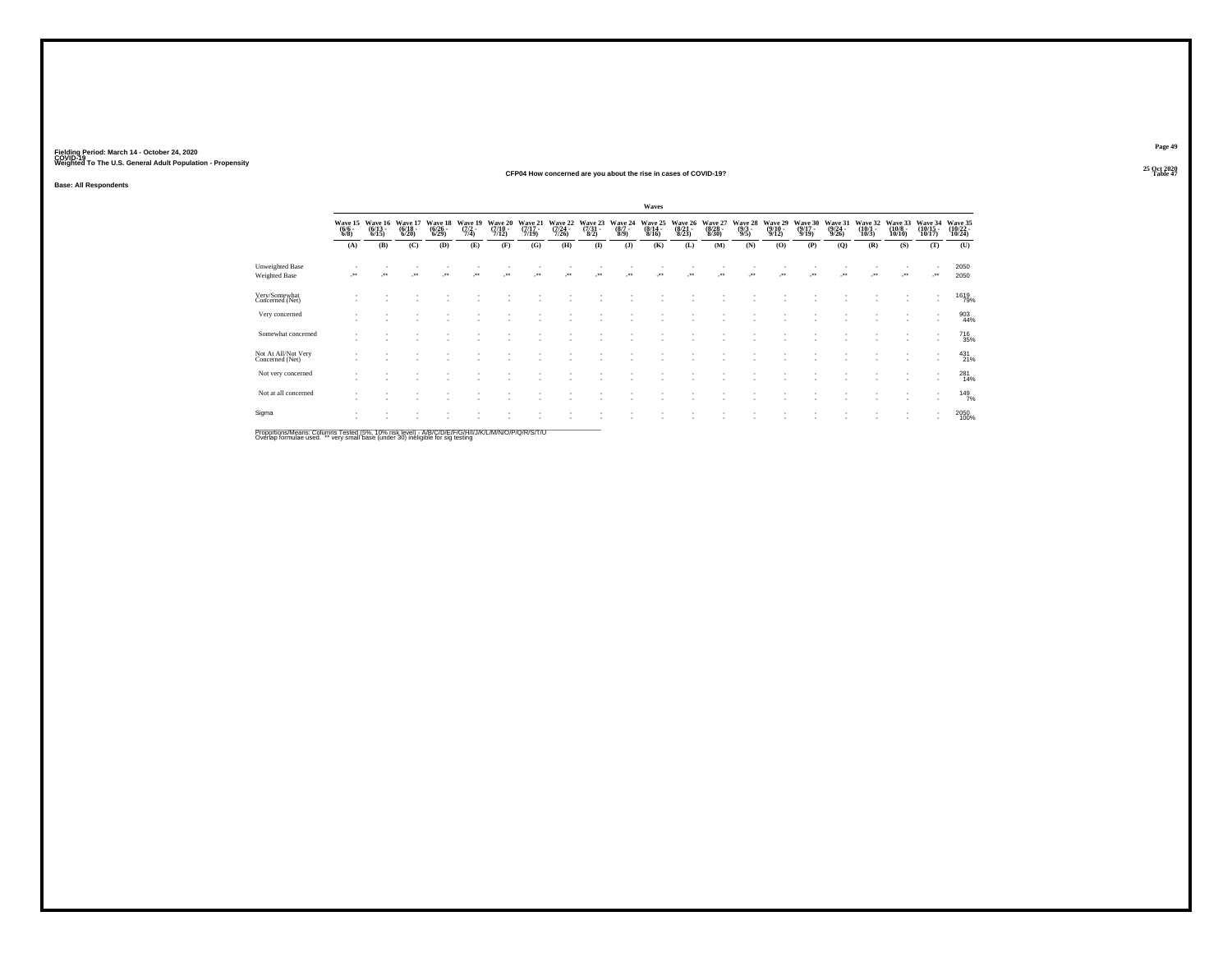### **25 Oct 2020CFP04 How concerned are you about the rise in cases of COVID-19?Table 47 Table 47 Table 47 Table 47 Table 47 Table 47**

**Base: All Respondents**

|                                                                                                     |                               |                                 |                                  |                                        |                                |                                  |                                  |                                      |                                 |                               | Waves                                    |                                 |                                  |                                |                                         |                                  |                             |                                 |                                        |                                                      |                               |
|-----------------------------------------------------------------------------------------------------|-------------------------------|---------------------------------|----------------------------------|----------------------------------------|--------------------------------|----------------------------------|----------------------------------|--------------------------------------|---------------------------------|-------------------------------|------------------------------------------|---------------------------------|----------------------------------|--------------------------------|-----------------------------------------|----------------------------------|-----------------------------|---------------------------------|----------------------------------------|------------------------------------------------------|-------------------------------|
|                                                                                                     | Wave 15<br>$\binom{6/6}{6/8}$ | Wave 16<br>$\binom{6/13}{6/15}$ | Wave 17<br>$\frac{(6/18)}{6/20}$ | Wave 18<br>$\frac{(6/26 - 6)}{(6/29)}$ | Wave 19<br>$\frac{(7/2)}{7/4}$ | Wave 20<br>$\frac{(7/10)}{7/12}$ | Wave 21<br>$\frac{(7/17)}{7/19}$ | Wave 22<br>$\frac{(7/24 - 7)}{7/26}$ | Wave 23<br>$\frac{(7/31)}{8/2}$ | Wave 24<br>$\binom{8/7}{8/9}$ | Wave 25<br>$\frac{(8/14 \cdot 8)}{8/16}$ | Wave 26<br>$\binom{8/21}{8/23}$ | Wave 27<br>$\frac{(8/28)}{8/30}$ | Wave 28<br>$\frac{(9/3)}{9/5}$ | Wave 29<br>$\frac{(9/10 - 9/12)}{9/12}$ | Wave 30<br>$\frac{(9/17)}{9/19}$ | Wave 31<br>(9/24 -<br>9/26) | Wave 32<br>$\binom{10/1}{10/3}$ | Wave 33<br>$\frac{(10/8 - 10)}{10/10}$ | Wave 34<br>$\frac{(10/15)}{10/17}$                   | Wave 35<br>(10/22 -<br>10/24) |
|                                                                                                     | (A)                           | (B)                             | (C)                              | (D)                                    | (E)                            | (F)                              | (G)                              | (H)                                  | $($ $\Gamma$                    | (J)                           | (K)                                      | (L)                             | (M)                              | (N)                            | (O)                                     | (P)                              | (Q)                         | (R)                             | (S)                                    | (T)                                                  | (U)                           |
| Unweighted Base<br>Weighted Base                                                                    |                               |                                 |                                  |                                        |                                |                                  |                                  |                                      |                                 | $^{\tiny{++}}$                |                                          |                                 |                                  |                                |                                         |                                  |                             |                                 |                                        | -**                                                  | 2050<br>2050                  |
| Very/Somewhat<br>Concerned (Net)                                                                    |                               |                                 |                                  |                                        |                                |                                  |                                  |                                      |                                 |                               |                                          |                                 |                                  |                                |                                         |                                  |                             |                                 |                                        | $\overline{\phantom{a}}$                             | <sup>1619</sup> 79%           |
| Very concerned                                                                                      |                               |                                 |                                  |                                        |                                |                                  |                                  |                                      |                                 |                               |                                          |                                 |                                  |                                |                                         |                                  |                             |                                 |                                        | $\overline{\phantom{a}}$                             | 903<br>44%                    |
| Somewhat concerned                                                                                  |                               |                                 |                                  |                                        |                                |                                  |                                  |                                      |                                 |                               |                                          |                                 |                                  |                                |                                         |                                  |                             |                                 | $\sim$                                 | $\overline{\phantom{a}}$<br>$\sim$                   | <sup>716</sup> 35%            |
| Not At All/Not Very<br>Concerned (Net)                                                              |                               |                                 |                                  |                                        |                                |                                  |                                  |                                      |                                 |                               |                                          |                                 |                                  |                                |                                         |                                  |                             |                                 |                                        | $\;$<br>$\overline{\phantom{a}}$                     | $^{431}_{21\%}$               |
| Not very concerned                                                                                  |                               |                                 |                                  |                                        |                                |                                  |                                  |                                      |                                 |                               |                                          |                                 |                                  |                                |                                         |                                  |                             |                                 |                                        | $\sim$<br>$\overline{\phantom{a}}$                   | 281<br>14%                    |
| Not at all concerned                                                                                |                               |                                 |                                  |                                        |                                |                                  |                                  |                                      |                                 |                               |                                          |                                 |                                  |                                |                                         |                                  |                             |                                 |                                        | $\overline{\phantom{a}}$<br>$\overline{\phantom{a}}$ | $^{149}_{7\%}$                |
| Sigma                                                                                               |                               |                                 |                                  |                                        |                                |                                  |                                  |                                      |                                 |                               |                                          |                                 |                                  |                                |                                         |                                  |                             |                                 |                                        | $\overline{\phantom{a}}$<br>٠                        | 2050<br>100%                  |
| Proportions/Means: Columns Tested (5%, 10% risk level) - A/R/C/D/F/F/G/H/I/J/K/L/M/N/Q/P/Q/R/S/T/LL |                               |                                 |                                  |                                        |                                |                                  |                                  |                                      |                                 |                               |                                          |                                 |                                  |                                |                                         |                                  |                             |                                 |                                        |                                                      |                               |

Proportions/Means: Columns Tested (5%, 10% risk level) - A/B/C/D/E/F/G/H/I/J/K/L/M/N/O/P/Q/R/S/T/U<br>Overlap formulae used. \*\* very small base (under 30) ineligible for sig testing

**Page 49**25 Oct 2020<br>Table 47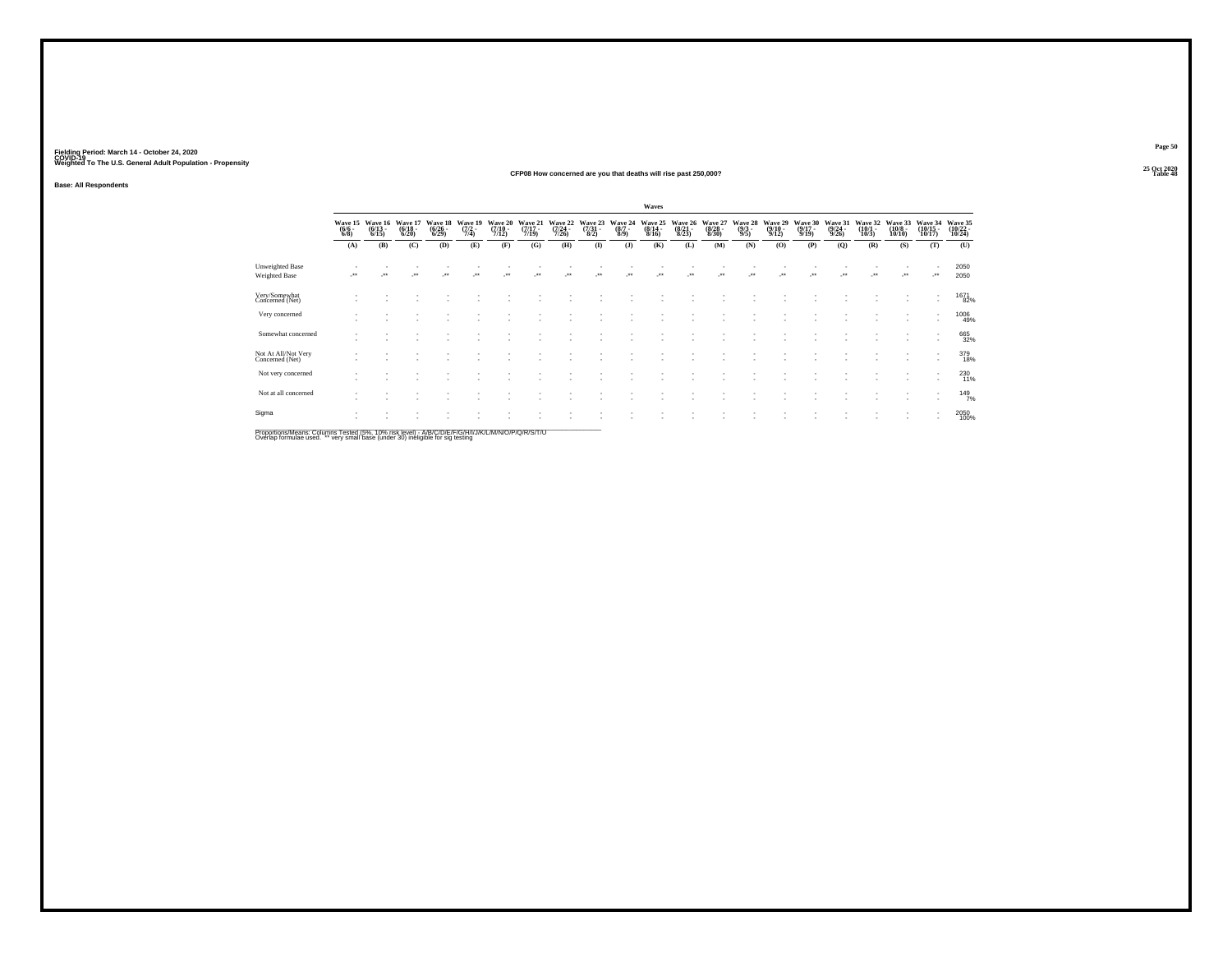### **25 Oct 2020CFP08 How concerned are you that deaths will rise past 250,000?**

**Base: All Respondents**

|                                                                                                                 |                                |                                  |                             |                             |                                      |                                  |                             |                             |                                   |                           | Waves                       |                             |                                  |                           |                             |                             |                             |                             |                                        |                               |                               |
|-----------------------------------------------------------------------------------------------------------------|--------------------------------|----------------------------------|-----------------------------|-----------------------------|--------------------------------------|----------------------------------|-----------------------------|-----------------------------|-----------------------------------|---------------------------|-----------------------------|-----------------------------|----------------------------------|---------------------------|-----------------------------|-----------------------------|-----------------------------|-----------------------------|----------------------------------------|-------------------------------|-------------------------------|
|                                                                                                                 | Wave 15<br>$\frac{(6/6)}{6/8}$ | Wave 16<br>$\frac{(6/13)}{6/15}$ | Wave 17<br>(6/18 -<br>6/20) | Wave 18<br>(6/26 -<br>6/29) | Wave 19<br>$\frac{(7/2 - 1)}{(7/4)}$ | Wave 20<br>$\frac{(7/10)}{7/12}$ | Wave 21<br>(7/17 -<br>7/19) | Wave 22<br>(7/24 -<br>7/26) | Wave 23<br>$\frac{(7/31)}{(8/2)}$ | Wave 24<br>(8/7 -<br>8/9) | Wave 25<br>(8/14 -<br>8/16) | Wave 26<br>(8/21 -<br>8/23) | Wave 27<br>$\frac{(8/28)}{8/30}$ | Wave 28<br>(9/3 -<br>9/5) | Wave 29<br>(9/10 -<br>9/12) | Wave 30<br>(9/17 -<br>9/19) | Wave 31<br>(9/24 -<br>9/26) | Wave 32<br>(10/1 -<br>10/3) | Wave 33<br>$\frac{(10/8 - 10)}{10/10}$ | Wave 34<br>(10/15 -<br>10/17) | Wave 35<br>(10/22 -<br>10/24) |
|                                                                                                                 | (A)                            | (B)                              | (C)                         | (D)                         | (E)                                  | (F)                              | (G)                         | (H)                         | $($ $\Gamma$                      | (J)                       | (K)                         | (L)                         | (M)                              | (N)                       | (O)                         | (P)                         | (Q)                         | (R)                         | (S)                                    | (T)                           | (U)                           |
| Unweighted Base<br>Weighted Base                                                                                | $^{\tiny{**}}$                 |                                  | $\bullet\,\bullet$          | $^{\tiny{**}}$              |                                      | $\ddot{\phantom{1}}$             |                             | $\ddot{\phantom{1}}$        | $\ddot{}$                         | $\ddot{\phantom{1}}$      | $\ddot{\phantom{0}}$        |                             | $\bullet\,\bullet$               | $\ddot{\phantom{1}}$      | $^{\tiny{**}}$              |                             | $\ddot{}$                   | $\ddot{\phantom{1}}$        | $\cdot$                                | -**                           | 2050<br>2050                  |
| Very/Somewhat<br>Concerned (Net)                                                                                |                                |                                  |                             |                             |                                      |                                  |                             |                             |                                   |                           |                             |                             |                                  |                           |                             |                             |                             |                             |                                        | $\overline{\phantom{a}}$<br>٠ | 1671<br>82%                   |
| Very concerned                                                                                                  |                                |                                  |                             |                             |                                      |                                  |                             |                             |                                   |                           |                             |                             |                                  |                           |                             |                             |                             |                             |                                        | $\overline{\phantom{a}}$      | 1006<br>49%                   |
| Somewhat concerned                                                                                              |                                |                                  |                             |                             |                                      |                                  |                             |                             |                                   |                           |                             |                             |                                  |                           |                             |                             |                             |                             |                                        | $\overline{\phantom{a}}$      | 665<br>32%                    |
| Not At All/Not Very<br>Concerned (Net)                                                                          |                                |                                  |                             |                             |                                      |                                  |                             |                             |                                   |                           |                             |                             |                                  |                           |                             |                             |                             |                             |                                        | ٠                             | 379<br>18%                    |
| Not very concerned                                                                                              |                                |                                  |                             |                             |                                      |                                  |                             |                             |                                   |                           |                             |                             |                                  |                           |                             |                             |                             |                             |                                        |                               | 230<br>11%                    |
| Not at all concerned                                                                                            |                                |                                  |                             |                             |                                      |                                  |                             |                             |                                   |                           |                             |                             |                                  |                           |                             |                             |                             |                             |                                        | $\overline{\phantom{a}}$      | 149 <sub>7%</sub>             |
| Sigma<br>Description & Legend Only 1995 Tested UPM AAM deliterral AIRMOUNT IT ION INITIAL A LATIONINIO ID ION I |                                |                                  |                             |                             |                                      |                                  |                             |                             |                                   |                           |                             |                             |                                  |                           |                             |                             |                             |                             |                                        | ٠                             | 2050<br>100%                  |

Proportions/Means: Columns Tested (5%, 10% risk level) - A/B/C/D/E/F/G/H/I/J/K/L/M/N/O/P/Q/R/S/T/U<br>Overlap formulae used. \*\* very small base (under 30) ineligible for sig testing

**Page 50**25 Oct 2020<br>Table 48

**Table 48 Table 48**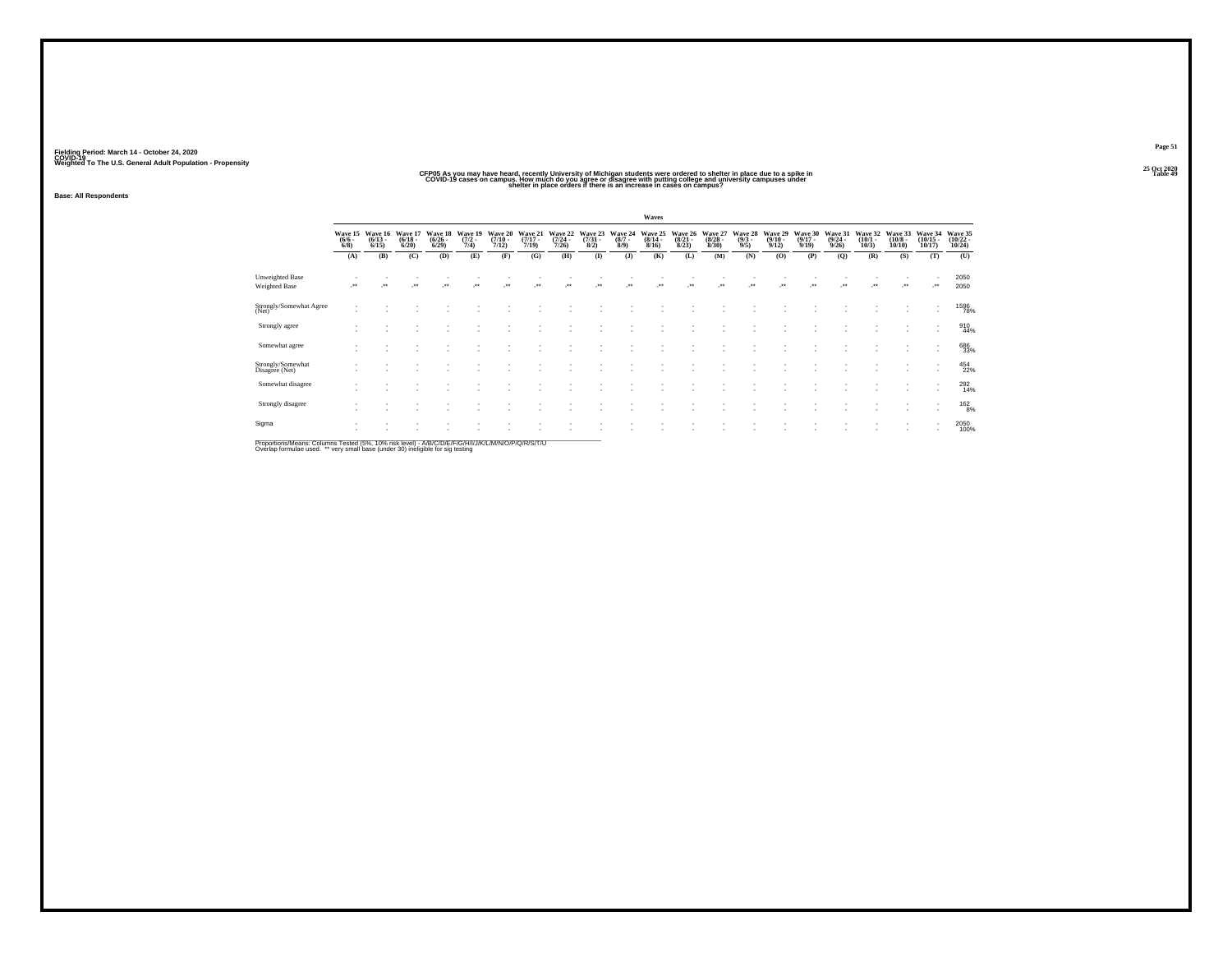# CFP05 As you may have heard, recently University of Michigan students were ordered to shelter in place due to a spike in<br>COVID-19 cases on campus, How much do you agree or disagree with putting college and university campu

**Base: All Respondents**

|                                         |                                |                                 |                                  |                                 |                                |                                      |                                  |                                         |                                 |                               | Waves                            |                                 |                                        |                               |                                 |                                  |                                         |                                 |                                       |                                    |                                    |
|-----------------------------------------|--------------------------------|---------------------------------|----------------------------------|---------------------------------|--------------------------------|--------------------------------------|----------------------------------|-----------------------------------------|---------------------------------|-------------------------------|----------------------------------|---------------------------------|----------------------------------------|-------------------------------|---------------------------------|----------------------------------|-----------------------------------------|---------------------------------|---------------------------------------|------------------------------------|------------------------------------|
|                                         | Wave 15<br>$\frac{(6/6)}{6/8}$ | Wave 16<br>$\binom{6/13}{6/15}$ | Wave 17<br>$\frac{(6/18)}{6/20}$ | Wave 18<br>$\binom{6/26}{6/29}$ | Wave 19<br>$\frac{(7/2)}{7/4}$ | Wave 20<br>$\frac{(7/10 - 7)}{7/12}$ | Wave 21<br>$\frac{(7/17)}{7/19}$ | Wave 22<br>$\frac{(7/24 - 7/26)}{7/26}$ | Wave 23<br>$\frac{(7/31)}{8/2}$ | Wave 24<br>$\binom{8/7}{8/9}$ | Wave 25<br>$\frac{(8/14)}{8/16}$ | Wave 26<br>$\binom{8/21}{8/23}$ | Wave 27<br>$\frac{(8/28 - 8)}{(8/30)}$ | Wave 28<br>$\binom{9/3}{9/5}$ | Wave 29<br>$\binom{9/10}{9/12}$ | Wave 30<br>$\frac{(9/17)}{9/19}$ | Wave 31<br>$\frac{(9/24 - 9/26)}{9/26}$ | Wave 32<br>$\binom{10/1}{10/3}$ | Wave 33<br>$\binom{10/8 - 10}{10/10}$ | Wave 34<br>$\frac{(10/15)}{10/17}$ | Wave 35<br>$\frac{(10/22)}{10/24}$ |
|                                         | (A)                            | (B)                             | (C)                              | (D)                             | (E)                            | (F)                                  | (G)                              | (H)                                     | (1)                             | (3)                           | (K)                              | (L)                             | (M)                                    | (N)                           | (0)                             | (P)                              | (Q)                                     | (R)                             | (S)                                   | (T)                                | (U)                                |
| Unweighted Base<br><b>Weighted Base</b> | $\ddot{\phantom{1}}$           |                                 | $\cdot$                          |                                 |                                |                                      |                                  | $\bullet\bullet$                        | $\ddot{\phantom{1}}$            |                               |                                  |                                 | $\bullet\,\bullet$                     |                               | $\bullet\bullet$                |                                  |                                         |                                 | $\cdot$                               |                                    | 2050<br>2050                       |
| Strongly/Somewhat Agree<br>(Net)        |                                |                                 |                                  |                                 |                                |                                      |                                  |                                         |                                 |                               |                                  |                                 |                                        |                               |                                 |                                  |                                         |                                 |                                       |                                    | 1596<br>78%                        |
| Strongly agree                          |                                |                                 |                                  |                                 |                                |                                      |                                  |                                         |                                 |                               |                                  |                                 |                                        |                               |                                 |                                  |                                         |                                 |                                       | ٠                                  | 910<br>44%                         |
| Somewhat agree                          |                                |                                 |                                  |                                 |                                |                                      |                                  |                                         |                                 |                               |                                  |                                 |                                        |                               |                                 |                                  |                                         |                                 | $\overline{\phantom{a}}$              | $\overline{\phantom{a}}$           | 686<br>33%                         |
| Strongly/Somewhat<br>Disagree (Net)     |                                |                                 |                                  |                                 |                                |                                      |                                  |                                         |                                 |                               |                                  |                                 |                                        |                               |                                 |                                  |                                         |                                 |                                       | ٠                                  | 454<br>22%                         |
| Somewhat disagree                       |                                |                                 |                                  |                                 |                                |                                      |                                  |                                         |                                 |                               |                                  |                                 |                                        |                               |                                 |                                  |                                         |                                 |                                       | ٠                                  | 292                                |
| Strongly disagree                       |                                |                                 |                                  |                                 |                                |                                      |                                  |                                         |                                 |                               |                                  |                                 |                                        |                               |                                 |                                  |                                         |                                 |                                       | $\mathbf{r}$                       | 1628%                              |
| Sigma                                   |                                |                                 |                                  |                                 |                                |                                      |                                  |                                         |                                 |                               |                                  |                                 |                                        |                               |                                 |                                  |                                         |                                 |                                       | $\overline{\phantom{a}}$           | 2050<br>100%                       |
|                                         |                                |                                 |                                  |                                 |                                |                                      |                                  |                                         |                                 |                               |                                  |                                 |                                        |                               |                                 |                                  |                                         |                                 |                                       |                                    |                                    |

Proportions/Means: Columns Tested (5%, 10% risk level) - A/B/C/D/E/F/G/H/I/J/K/L/M/N/O/P/Q/R/S/T/U<br>Overlap formulae used. \*\* very small base (under 30) ineligible for sig testing

**Page 51**25 Oct 2020<br>Table 49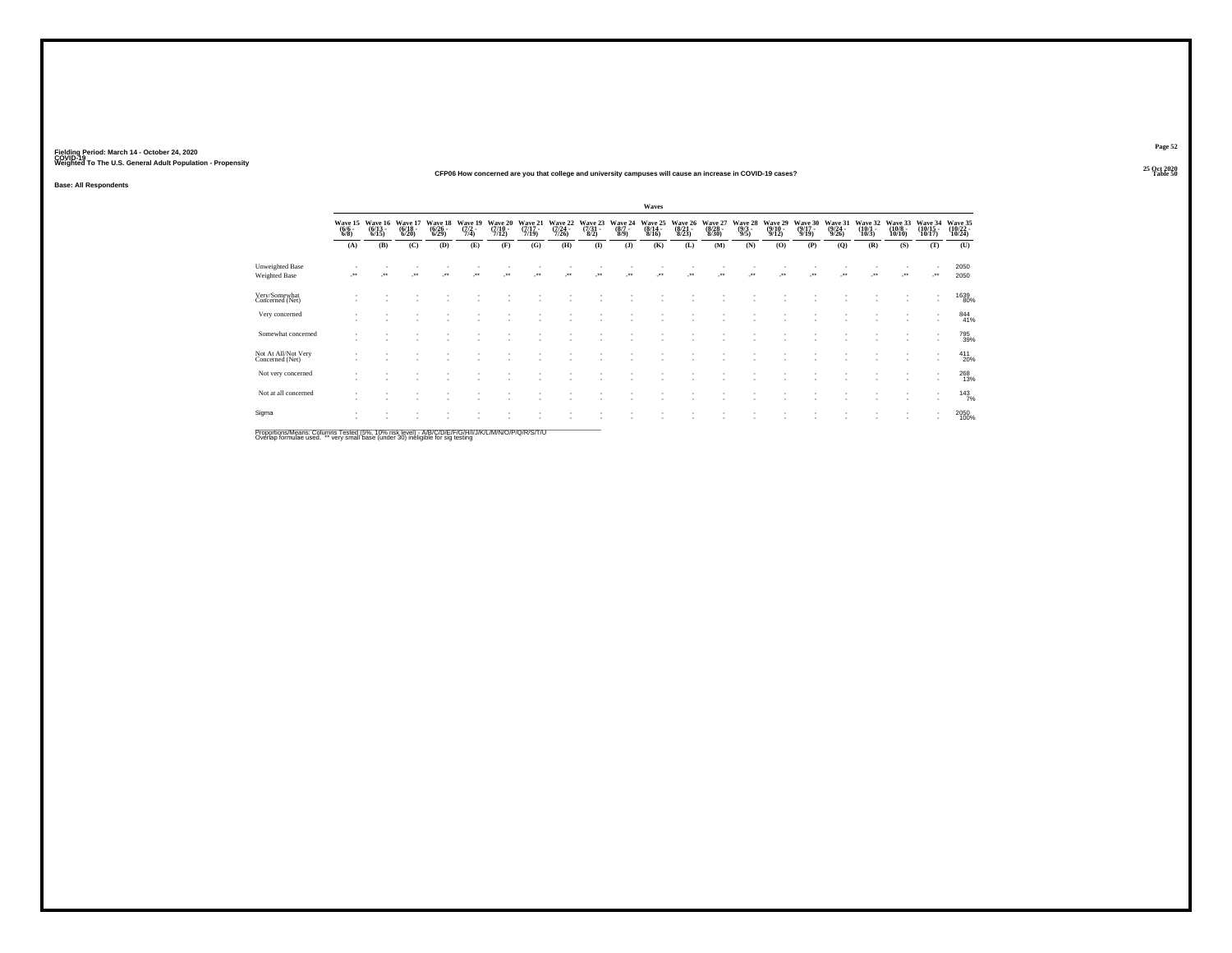### **25 Oct 2020CFP06 How concerned are you that college and university campuses will cause an increase in COVID-19 cases?Table 50 Table 50**

**Base: All Respondents**

|                                        |                                |                                 |                             |                             |                                |                             |                             |                             |                                        |                           | Waves                       |                             |                                        |                           |                             |                             |                             |                             |                              |                                                      |                               |
|----------------------------------------|--------------------------------|---------------------------------|-----------------------------|-----------------------------|--------------------------------|-----------------------------|-----------------------------|-----------------------------|----------------------------------------|---------------------------|-----------------------------|-----------------------------|----------------------------------------|---------------------------|-----------------------------|-----------------------------|-----------------------------|-----------------------------|------------------------------|------------------------------------------------------|-------------------------------|
|                                        | Wave 15<br>$\frac{(6/6)}{6/8}$ | Wave 16<br>$\binom{6/13}{6/15}$ | Wave 17<br>(6/18 -<br>6/20) | Wave 18<br>(6/26 -<br>6/29) | Wave 19<br>$\frac{(7/2)}{7/4}$ | Wave 20<br>(7/10 -<br>7/12) | Wave 21<br>(7/17 -<br>7/19) | Wave 22<br>(7/24 -<br>7/26) | Wave 23<br>$\frac{(7/31)}{(8/2)}$      | Wave 24<br>(8/7 -<br>8/9) | Wave 25<br>(8/14 -<br>8/16) | Wave 26<br>(8/21 -<br>8/23) | Wave 27<br>(8/28 -<br>8/30)            | Wave 28<br>(9/3 -<br>9/5) | Wave 29<br>(9/10 -<br>9/12) | Wave 30<br>(9/17 -<br>9/19) | Wave 31<br>(9/24 -<br>9/26) | Wave 32<br>(10/1 -<br>10/3) | Wave 33<br>(10/8 -<br>10/10) | Wave 34<br>(10/15 -<br>10/17)                        | Wave 35<br>(10/22 -<br>10/24) |
|                                        | (A)                            | (B)                             | (C)                         | (D)                         | (E)                            | (F)                         | (G)                         | (H)                         | $($ I)                                 | $($ $)$                   | (K)                         | (L)                         | (M)                                    | (N)                       | (O)                         | (P)                         | (Q)                         | (R)                         | (S)                          | (T)                                                  | (U)                           |
| Unweighted Base<br>Weighted Base       | $\cdot$                        | $\bullet\bullet$                | $\ddot{}$                   | $^{\tiny{**}}$              |                                | $^{\tiny{++}}$              |                             |                             | $^{\tiny{\text{+}}\, \tiny{\text{+}}}$ |                           | $\ddot{\phantom{0}}$        |                             | $^{\tiny{\text{+}}\, \tiny{\text{+}}}$ |                           | $\ddot{\phantom{0}}$        |                             | $^{**}$                     | $\ddot{\phantom{0}}$        |                              | ÷                                                    | 2050<br>2050                  |
| Very/Somewhat<br>Concerned (Net)       |                                |                                 |                             |                             |                                |                             |                             |                             |                                        |                           |                             |                             |                                        |                           |                             |                             |                             |                             | ٠                            | $\sim$                                               | 1639<br>80%                   |
| Very concerned                         |                                |                                 |                             |                             |                                |                             |                             |                             |                                        |                           |                             |                             |                                        |                           |                             |                             |                             |                             |                              | $\overline{\phantom{a}}$                             | 844<br>41%                    |
| Somewhat concerned                     |                                |                                 |                             |                             |                                |                             |                             |                             |                                        |                           |                             |                             |                                        |                           |                             |                             |                             |                             | ٠                            | $\sim$<br>$\overline{\phantom{a}}$                   | 795<br>39%                    |
| Not At All/Not Very<br>Concerned (Net) |                                |                                 |                             |                             |                                |                             |                             |                             |                                        |                           |                             |                             |                                        |                           |                             |                             |                             |                             | ٠                            | $\overline{\phantom{a}}$                             | $^{411}_{20\%}$               |
| Not very concerned                     |                                |                                 |                             |                             |                                |                             |                             |                             |                                        |                           |                             |                             |                                        |                           |                             |                             |                             |                             |                              | ٠                                                    | 268<br>13%                    |
| Not at all concerned                   |                                |                                 |                             |                             |                                |                             |                             |                             |                                        |                           |                             |                             |                                        |                           |                             |                             |                             |                             |                              | $\overline{\phantom{a}}$<br>$\overline{\phantom{a}}$ | $143$ <sub>7%</sub>           |
| Sigma                                  |                                |                                 |                             |                             |                                |                             |                             |                             |                                        |                           |                             |                             |                                        |                           |                             |                             |                             |                             |                              |                                                      | 2050<br>100%                  |

Proportions/Means: Columns Tested (5%, 10% risk level) - A/B/C/D/E/F/G/H/I/J/K/L/M/N/O/P/Q/R/S/T/U<br>Overlap formulae used. \*\* very small base (under 30) ineligible for sig testing

**Page 52**25 Oct 2020<br>Table 50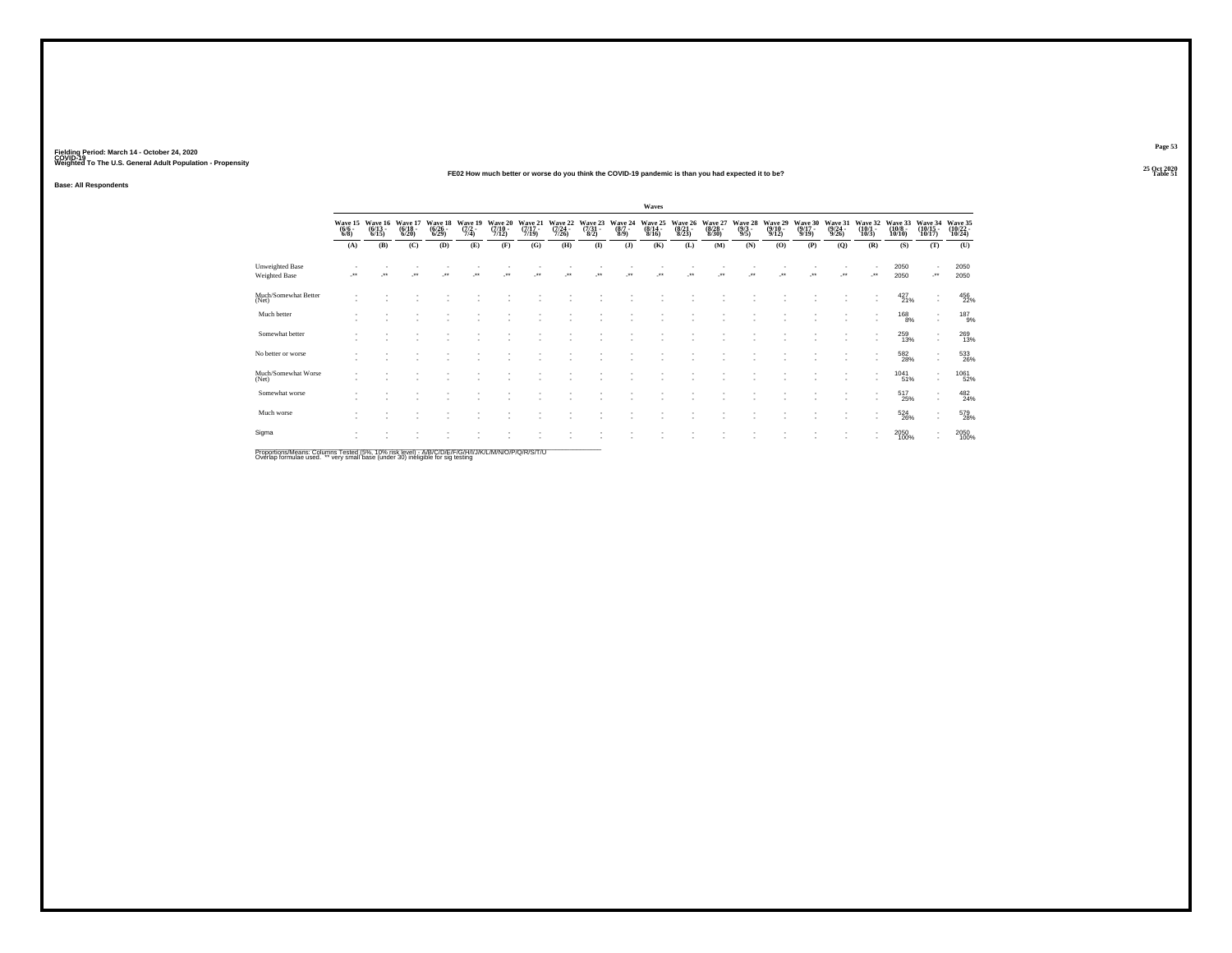### **25 Oct 2020FE02 How much better or worse do you think the COVID-19 pandemic is than you had expected it to be?Table 51 Table 51**

**Base: All Respondents**

|                                                                                      |                                |                                         |                                  |                                 |                                |                                      |                                  |                                  |                            |                                      | Waves                                |                             |                                  |                               |                                         |                                  |                                         |                                    |                                       |                                     |                               |
|--------------------------------------------------------------------------------------|--------------------------------|-----------------------------------------|----------------------------------|---------------------------------|--------------------------------|--------------------------------------|----------------------------------|----------------------------------|----------------------------|--------------------------------------|--------------------------------------|-----------------------------|----------------------------------|-------------------------------|-----------------------------------------|----------------------------------|-----------------------------------------|------------------------------------|---------------------------------------|-------------------------------------|-------------------------------|
|                                                                                      | Wave 15<br>$\frac{(6/6)}{6/8}$ | Wave 16<br>$\frac{(6/13 - 6/15)}{6/15}$ | Wave 17<br>$\frac{(6/18)}{6/20}$ | Wave 18<br>$\binom{6/26}{6/29}$ | Wave 19<br>$\frac{(7/2)}{7/4}$ | Wave 20<br>$\frac{(7/10 - 7)}{7/12}$ | Wave 21<br>$\frac{(7/17)}{7/19}$ | Wave 22<br>$\frac{(7/24)}{7/26}$ | Wave 23<br>(7/31 -<br>8/2) | Wave 24<br>$\frac{(8/7 - 8)}{(8/9)}$ | Wave 25<br>$\frac{(8/14 - 8)}{8/16}$ | Wave 26<br>(8/21 -<br>8/23) | Wave 27<br>$\frac{(8/28)}{8/30}$ | Wave 28<br>$\binom{9/3}{9/5}$ | Wave 29<br>$\frac{(9/10 - 9/12)}{9/12}$ | Wave 30<br>$\frac{(9/17)}{9/19}$ | Wave 31<br>$\frac{(9/24 - 9/26)}{9/26}$ | Wave 32<br>$\binom{10/1}{10/3}$    | Wave 33<br>$\binom{10/8 - 10}{10/10}$ | Wave 34<br>$\frac{(10/15)}{10/17}$  | Wave 35<br>(10/22 -<br>10/24) |
|                                                                                      | (A)                            | (B)                                     | (C)                              | (D)                             | (E)                            | (F)                                  | (G)                              | (H)                              | $\mathbf{I}$               | (3)                                  | (K)                                  | (L)                         | (M)                              | (N)                           | (O)                                     | (P)                              | (Q)                                     | (R)                                | (S)                                   | (T)                                 | (U)                           |
| Unweighted Base<br>Weighted Base                                                     | ٠.                             | $\star\star$                            | $\ddot{\phantom{0}}$             | $^{\tiny{**}}$                  | $\ddot{\phantom{1}}$           | $\bullet\bullet$                     | $\ddot{\phantom{1}}$             | $\ddot{\phantom{1}}$             | $\bullet\bullet$           | $\ddot{\phantom{1}}$                 | $\ddot{}$                            | $\ddot{\phantom{1}}$        | $\bullet\bullet$                 | $\ddot{\phantom{1}}$          | $\bullet\,\bullet$                      | $\bullet\bullet$                 | $\cdot$                                 | ٠<br>                              | 2050<br>2050                          | $\sim$<br>$\cdot$                   | 2050<br>2050                  |
| Much/Somewhat Better<br>(Net)                                                        |                                |                                         |                                  |                                 |                                |                                      |                                  |                                  |                            |                                      |                                      |                             |                                  |                               |                                         |                                  |                                         |                                    | $^{427}_{21\%}$                       | $\sim$<br>$\sim$                    | 456<br>22%                    |
| Much better                                                                          |                                |                                         |                                  |                                 |                                |                                      |                                  |                                  |                            |                                      |                                      |                             |                                  |                               |                                         |                                  |                                         | ۰                                  | 168<br>8%                             | $\overline{\phantom{a}}$<br>$\sim$  | $^{187}_{9\%}$                |
| Somewhat better                                                                      |                                |                                         |                                  |                                 |                                |                                      |                                  |                                  |                            |                                      |                                      |                             |                                  |                               |                                         |                                  |                                         | $\mathbf{r}$<br>۰                  | 259<br>13%                            | $\cdot$<br>$\overline{\phantom{a}}$ | 269<br>13%                    |
| No better or worse                                                                   |                                |                                         |                                  |                                 |                                |                                      |                                  |                                  |                            |                                      |                                      |                             |                                  |                               |                                         |                                  | ٠                                       | ۰<br>٠                             | $^{582}_{28\%}$                       | $\sim$<br>$\overline{\phantom{a}}$  | 533<br>26%                    |
| Much/Somewhat Worse<br>(Net)                                                         |                                |                                         |                                  |                                 |                                |                                      |                                  |                                  |                            |                                      |                                      |                             |                                  |                               |                                         |                                  | ٠                                       | $\overline{\phantom{a}}$<br>$\sim$ | 1041<br>51%                           | $\sim$<br>$\overline{\phantom{a}}$  | 1061<br>52%                   |
| Somewhat worse                                                                       |                                |                                         |                                  |                                 |                                |                                      |                                  |                                  |                            |                                      |                                      |                             |                                  |                               |                                         |                                  | ٠                                       | $\overline{\phantom{a}}$<br>۰      | 517<br>25%                            | $\cdot$<br>$\epsilon$               | 482<br>24%                    |
| Much worse                                                                           |                                |                                         |                                  |                                 |                                |                                      |                                  |                                  |                            |                                      |                                      |                             |                                  |                               |                                         |                                  |                                         | $\overline{\phantom{a}}$<br>۰      | 524<br>26%                            | $\sim$<br>$\overline{\phantom{a}}$  | 579<br>28%                    |
| Sigma                                                                                |                                |                                         |                                  |                                 |                                |                                      |                                  |                                  |                            |                                      |                                      |                             |                                  |                               |                                         |                                  |                                         | $\overline{\phantom{a}}$<br>٠      | 2050<br>100%                          | $\sim$<br>$\sim$                    | 2050<br>100%                  |
| Department from Column Texted IFM, ANN Column A INCOMETRO HILLIAN MAIL ORDER IN CITA |                                |                                         |                                  |                                 |                                |                                      |                                  |                                  |                            |                                      |                                      |                             |                                  |                               |                                         |                                  |                                         |                                    |                                       |                                     |                               |

Proportions/Means: Columns Tested (5%, 10% risk level) - A/B/C/D/E/F/G/H/I/J/K/L/M/N/O/P/Q/R/S/T/U<br>Overlap formulae used. \*\* very small base (under 30) ineligible for sig testing

**Page 53**25 Oct 2020<br>Table 51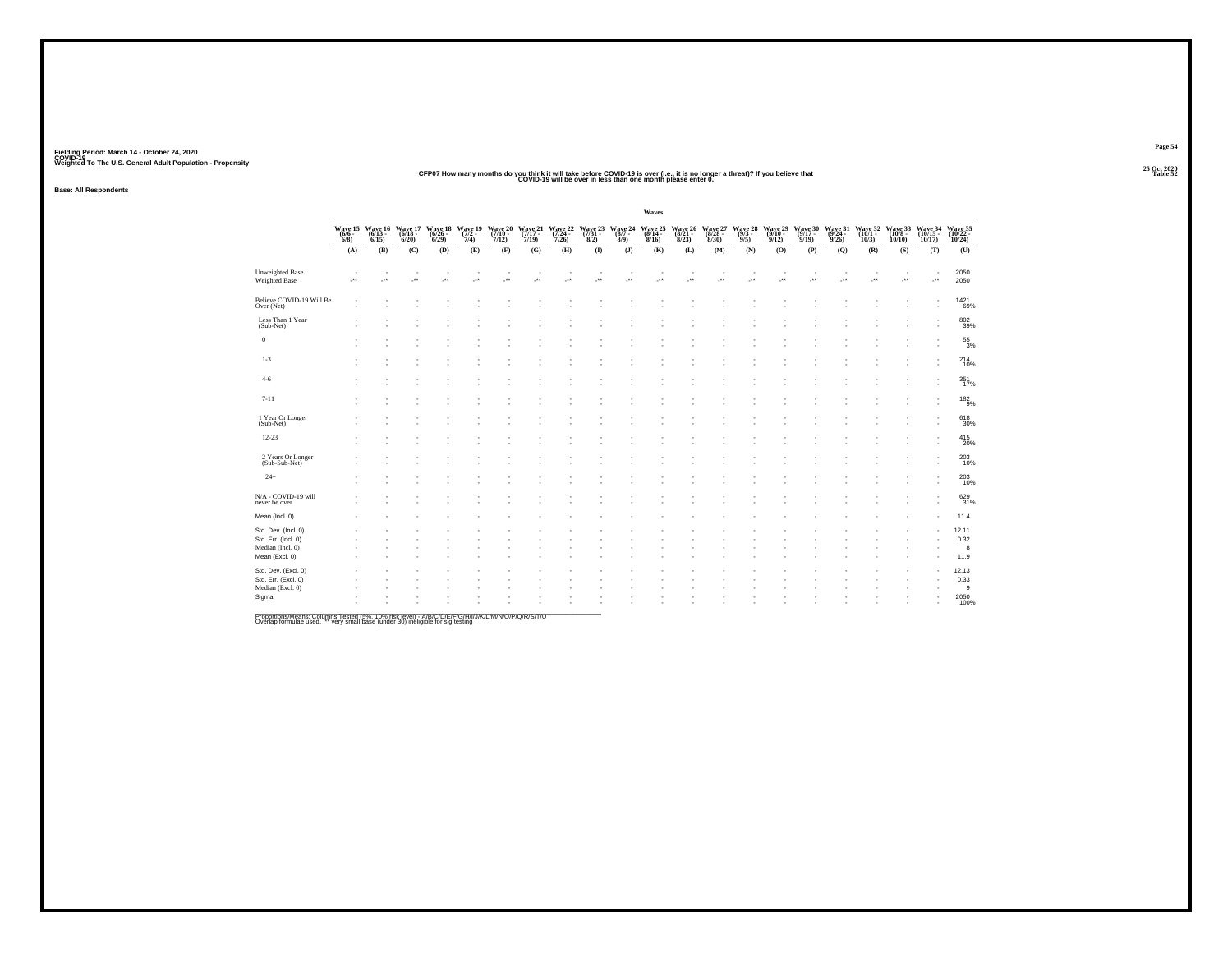### **25 Oct 2020CFP07 How many months do you think it will take before COVID-19 is over (i.e., it is no longer a threat)? If you believe that COVID-19 will be over in less than one month please enter 0. t** Table 52

**Base: All Respondents**

|                                                                                  |     |     |         |     |         |                       |     |     |              |                                                                                                                                                                                                                                                                                                                                                                             | Waves   |                                                                             |         |     |                      |                                                         |                      |                                                            |       |     |                                                    |
|----------------------------------------------------------------------------------|-----|-----|---------|-----|---------|-----------------------|-----|-----|--------------|-----------------------------------------------------------------------------------------------------------------------------------------------------------------------------------------------------------------------------------------------------------------------------------------------------------------------------------------------------------------------------|---------|-----------------------------------------------------------------------------|---------|-----|----------------------|---------------------------------------------------------|----------------------|------------------------------------------------------------|-------|-----|----------------------------------------------------|
|                                                                                  |     |     |         |     |         |                       |     |     |              | $\begin{array}{cccccc} \text{Wave 15} & \text{Wave 16} & \text{Wave 17} & \text{Wave 18} & \text{Wave 19} & \text{Wave 21} & \text{Wave 21} & \text{Wave 22} & \text{Wave 23} & \text{Wave 24} \\ \text{(66 - (613 - (613 - (6/18 - (6/26 - (7/2 - (7/2 - (7/3 - (7/3) - (7/3) - (7/3) - (7/3) - (7/3) - (7/3) - (7/3) - (7/3) - (7/3) - (7/3) - (7/3) - (7/3) - (7/3) - ($ |         | Wave 25 Wave 26 Wave 27<br>(8/14 - (8/21 - (8/28 -<br>8/16) - 8/23) - 8/30) |         | 9/5 | 9/12                 | Wave 28 Wave 29 Wave 30<br>(9/3 (9/10 - 19/17 -<br>9/19 | 9/26                 | Wave 31 Wave 32 Wave 33<br>(9/24 - (10/1 - (10/8 -<br>10/3 | 10/10 |     | Wave 34 Wave 35<br>(10/15 - (10/22 - 10/17) 10/24) |
|                                                                                  | (A) | (B) | (C)     | (D) | (E)     | (F)                   | (G) | (H) | $($ $\Gamma$ | $($ J $)$                                                                                                                                                                                                                                                                                                                                                                   | (K)     | (L)                                                                         | (M)     | (N) | (0)                  | (P)                                                     | (Q)                  | (R)                                                        | (S)   | (T) | (0)                                                |
| <b>Unweighted Base</b><br>Weighted Base                                          | J.  |     | $\cdot$ | J+  | $\cdot$ | $\mathcal{P}^{\star}$ |     | J.  |              |                                                                                                                                                                                                                                                                                                                                                                             | $\cdot$ |                                                                             | $\cdot$ |     | $\ddot{\phantom{1}}$ |                                                         | $\ddot{\phantom{1}}$ | $\ddot{\phantom{1}}$                                       |       |     | 2050<br>2050                                       |
| Believe COVID-19 Will Be<br>Over (Net)                                           |     |     |         |     |         |                       |     |     |              |                                                                                                                                                                                                                                                                                                                                                                             |         |                                                                             |         |     |                      |                                                         |                      |                                                            |       |     | 1421<br>69%                                        |
| Less Than 1 Year<br>(Sub-Net)                                                    |     |     |         |     |         |                       |     |     |              |                                                                                                                                                                                                                                                                                                                                                                             |         |                                                                             |         |     |                      |                                                         |                      |                                                            |       |     | 802<br>39%                                         |
| $\bf{0}$                                                                         |     |     |         |     |         |                       |     |     |              |                                                                                                                                                                                                                                                                                                                                                                             |         |                                                                             |         |     |                      |                                                         |                      |                                                            |       |     | $^{55}_{\ 3\%}$                                    |
| $1 - 3$                                                                          |     |     |         |     |         |                       |     |     |              |                                                                                                                                                                                                                                                                                                                                                                             |         |                                                                             |         |     |                      |                                                         |                      |                                                            |       |     | $^{214}_{10\%}$                                    |
| $4-6$                                                                            |     |     |         |     |         |                       |     |     |              |                                                                                                                                                                                                                                                                                                                                                                             |         |                                                                             |         |     |                      |                                                         |                      |                                                            |       |     | 351<br>17%                                         |
| $7 - 11$                                                                         |     |     |         |     |         |                       |     |     |              |                                                                                                                                                                                                                                                                                                                                                                             |         |                                                                             |         |     |                      |                                                         |                      |                                                            |       |     | $^{182}_{9\%}$                                     |
| 1 Year Or Longer<br>(Sub-Net)                                                    |     |     |         |     |         |                       |     |     |              |                                                                                                                                                                                                                                                                                                                                                                             |         |                                                                             |         |     |                      |                                                         |                      |                                                            |       |     | 618<br>30%                                         |
| $12 - 23$                                                                        |     |     |         |     |         |                       |     |     |              |                                                                                                                                                                                                                                                                                                                                                                             |         |                                                                             |         |     |                      |                                                         |                      |                                                            |       |     | $^{415}_{20\%}$                                    |
| 2 Years Or Longer<br>(Sub-Sub-Net)                                               |     |     |         |     |         |                       |     |     |              |                                                                                                                                                                                                                                                                                                                                                                             |         |                                                                             |         |     |                      |                                                         |                      |                                                            |       |     | 203<br>10%                                         |
| $24+$                                                                            |     |     |         |     |         |                       |     |     |              |                                                                                                                                                                                                                                                                                                                                                                             |         |                                                                             |         |     |                      |                                                         |                      |                                                            |       |     | 203<br>10%                                         |
| N/A - COVID-19 will<br>never be over                                             |     |     |         |     |         |                       |     |     |              |                                                                                                                                                                                                                                                                                                                                                                             |         |                                                                             |         |     |                      |                                                         |                      |                                                            |       |     | 629<br>31%                                         |
| Mean (Incl. 0)                                                                   |     |     |         |     |         |                       |     |     |              |                                                                                                                                                                                                                                                                                                                                                                             |         |                                                                             |         |     |                      |                                                         |                      |                                                            |       |     | 11.4                                               |
| Std. Dev. (Incl. 0)<br>Std. Err. (Incl. 0)<br>Median (Incl. 0)<br>Mean (Excl. 0) |     |     |         |     |         |                       |     |     |              |                                                                                                                                                                                                                                                                                                                                                                             |         |                                                                             |         |     |                      |                                                         |                      |                                                            |       |     | 12.11<br>0.32<br>8<br>11.9                         |
| Std. Dev. (Excl. 0)<br>Std. Err. (Excl. 0)<br>Median (Excl. 0)<br>Sigma          |     |     |         |     |         |                       |     |     |              |                                                                                                                                                                                                                                                                                                                                                                             |         |                                                                             |         |     |                      |                                                         |                      |                                                            |       |     | 12.13<br>0.33<br>9<br>2050<br>100%                 |

Proportions/Means: Columns Tested (5%, 10% risk level) - A/B/C/D/E/F/G/H/I/J/K/L/M/N/O/P/Q/R/S/T/U<br>Overlap formulae used. \*\* very small base (under 30) ineligible for sig testing

**Page 5425 Oct 2020<br>Table 52**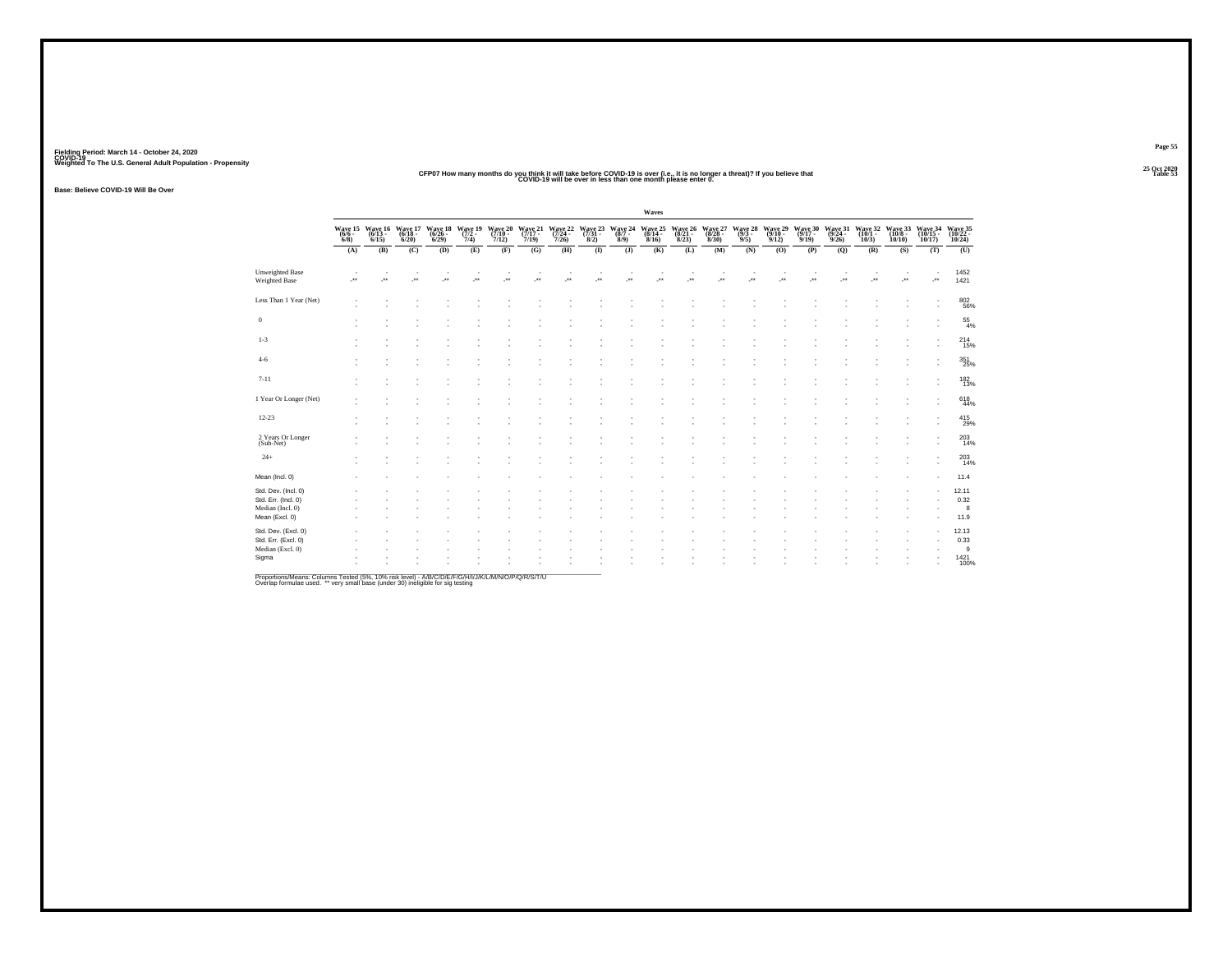### **25 Oct 2020CFP07 How many months do you think it will take before COVID-19 is over (i.e., it is no longer a threat)? If you believe that COVID-19 will be over in less than one month please enter 0. Table 53**

**Base: Believe COVID-19 Will Be Over**

|                                                                                  |         |                  |                                                                                                                                                            |                          |                                             |                             |                           |                      |                                                                                         |                  | Waves              |     |                                                     |                           |                      |                             |                             |                                                                                                         |                  |                          |                              |
|----------------------------------------------------------------------------------|---------|------------------|------------------------------------------------------------------------------------------------------------------------------------------------------------|--------------------------|---------------------------------------------|-----------------------------|---------------------------|----------------------|-----------------------------------------------------------------------------------------|------------------|--------------------|-----|-----------------------------------------------------|---------------------------|----------------------|-----------------------------|-----------------------------|---------------------------------------------------------------------------------------------------------|------------------|--------------------------|------------------------------|
|                                                                                  |         |                  | $\begin{array}{cccc} \text{Wave 15} & \text{Wave 16} & \text{Wave 17} \\ (6/6 - & (6/13 - & (6/18 - & 6/18 - & 6/18)) \\ 6/8) & 6/15) & 6/20) \end{array}$ |                          | Wave 18 Wave 19<br>(6/26 - 7/2 - 6/29) 7/4) | Wave 20<br>(7/10 -<br>7/12) | Wave 21<br>(7/17<br>7/19) |                      | Wave 22 Wave 23 Wave 24 Wave 25<br>(7/24 - (7/31 - (8/7 - (8/14 - 7/26) 8/2) 8/9) 8/16) |                  |                    |     | Wave 26 Wave 27<br>(8/21 - (8/28 -<br>8/23) - 8/30) | Wave 28<br>(9/3 -<br>9/5) | Wave 29<br>9/12      | Wave 30<br>(9/17 -<br>9/19) | Wave 31<br>(9/24 -<br>9/26) | Wave 32 Wave 33 Wave 34 Wave 35<br>$(10/1 - (10/8 - (10/15 - (10/22 - 10/3) - 10/10) - 10/17) - 10/24)$ |                  |                          |                              |
|                                                                                  | (A)     | (B)              | (C)                                                                                                                                                        | (D)                      | (E)                                         | (F)                         | (G)                       | (H)                  | $\overline{(\mathbf{I})}$                                                               | $($ $)$          | (K)                | (L) | (M)                                                 | (N)                       | (0)                  | (P)                         | (Q)                         | (R)                                                                                                     | (S)              | (T)                      | (0)                          |
| <b>Unweighted Base</b><br>Weighted Base                                          | $\cdot$ | $\bullet\bullet$ | $\cdot$                                                                                                                                                    | $\overline{\phantom{a}}$ | $\bullet\,\bullet$                          | $\bullet\bullet$            |                           | $\ddot{\phantom{1}}$ | $\bullet\,\bullet$                                                                      | $\bullet\bullet$ | $\bullet\,\bullet$ |     | $\bullet\,\bullet$                                  | $\bullet\bullet$          | $\ddot{\phantom{1}}$ | $\bullet\star$              |                             | $\bullet\bullet$                                                                                        | $\bullet\bullet$ | $\overline{\phantom{a}}$ | 1452<br>1421                 |
| Less Than 1 Year (Net)                                                           |         |                  |                                                                                                                                                            |                          |                                             |                             |                           |                      |                                                                                         |                  |                    |     |                                                     |                           |                      |                             |                             |                                                                                                         |                  |                          | 802<br>56%                   |
| $\,0\,$                                                                          |         |                  |                                                                                                                                                            |                          |                                             |                             |                           |                      |                                                                                         |                  |                    |     |                                                     |                           |                      |                             |                             |                                                                                                         |                  |                          | $^{55}_{4\%}$                |
| $1 - 3$                                                                          |         |                  |                                                                                                                                                            |                          |                                             |                             |                           |                      |                                                                                         |                  |                    |     |                                                     |                           |                      |                             |                             |                                                                                                         |                  |                          | $^{214}_{15\%}$              |
| $4-6$                                                                            |         |                  |                                                                                                                                                            |                          |                                             |                             |                           |                      |                                                                                         |                  |                    |     |                                                     |                           |                      |                             |                             |                                                                                                         |                  | ٠                        | 351<br>25%                   |
| $7 - 11$                                                                         |         |                  |                                                                                                                                                            |                          |                                             |                             |                           |                      |                                                                                         |                  |                    |     |                                                     |                           |                      |                             |                             |                                                                                                         |                  | ٠                        | 182<br>13%                   |
| 1 Year Or Longer (Net)                                                           |         |                  |                                                                                                                                                            |                          |                                             |                             |                           |                      |                                                                                         |                  |                    |     |                                                     |                           |                      |                             |                             |                                                                                                         |                  | ٠                        | 618<br>44%                   |
| $12 - 23$                                                                        |         |                  |                                                                                                                                                            |                          |                                             |                             |                           |                      |                                                                                         |                  |                    |     |                                                     |                           |                      |                             |                             |                                                                                                         |                  | ٠                        | 415<br>29%                   |
| 2 Years Or Longer<br>(Sub-Net)                                                   |         |                  |                                                                                                                                                            |                          |                                             |                             |                           |                      |                                                                                         |                  |                    |     |                                                     |                           |                      |                             |                             |                                                                                                         |                  | ٠                        | 203<br>14%                   |
| $24+$                                                                            |         |                  |                                                                                                                                                            |                          |                                             |                             |                           |                      |                                                                                         |                  |                    |     |                                                     |                           |                      |                             |                             |                                                                                                         |                  | ٠                        | 203<br>14%                   |
| Mean (Incl. 0)                                                                   |         |                  |                                                                                                                                                            |                          |                                             |                             |                           |                      |                                                                                         |                  |                    |     |                                                     |                           |                      |                             |                             |                                                                                                         |                  |                          | 11.4                         |
| Std. Dev. (Incl. 0)<br>Std. Err. (Incl. 0)<br>Median (Incl. 0)<br>Mean (Excl. 0) |         |                  |                                                                                                                                                            |                          |                                             |                             |                           |                      |                                                                                         |                  |                    |     |                                                     |                           |                      |                             |                             |                                                                                                         |                  |                          | 12.11<br>0.32<br>8<br>11.9   |
| Std. Dev. (Excl. 0)<br>Std. Err. (Excl. 0)<br>Median (Excl. 0)                   |         |                  |                                                                                                                                                            |                          |                                             |                             |                           |                      |                                                                                         |                  |                    |     |                                                     |                           |                      |                             |                             |                                                                                                         |                  |                          | 12.13<br>0.33<br>$\mathsf g$ |
| Sigma                                                                            |         |                  |                                                                                                                                                            |                          |                                             |                             |                           |                      |                                                                                         |                  |                    |     |                                                     |                           |                      |                             |                             |                                                                                                         |                  |                          | 1421<br>100%                 |
|                                                                                  |         |                  |                                                                                                                                                            |                          |                                             |                             |                           |                      |                                                                                         |                  |                    |     |                                                     |                           |                      |                             |                             |                                                                                                         |                  |                          |                              |

Proportions/Means: Columns Tested (5%, 10% risk level) - A/B/C/D/E/F/G/H/I/J/K/L/M/N/O/P/Q/R/S/T/U<br>Overlap formulae used. \*\* very small base (under 30) ineligible for sig testing

**Page 55**25 Oct 2020<br>Table 53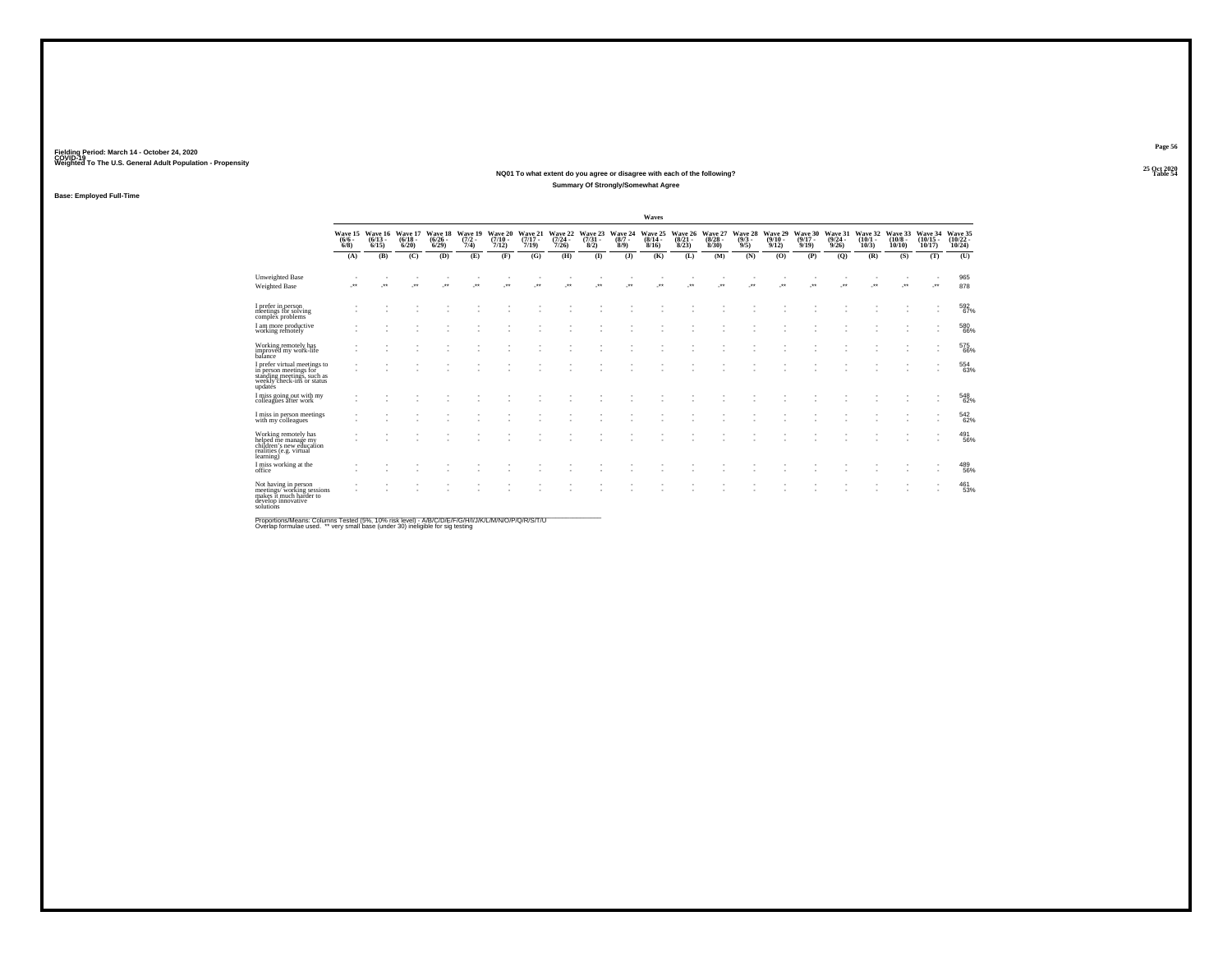### **25 Oct 2020NQ01 To what extent do you agree or disagree with each of the following?Table 54 Table 54 Table 54 Summary Of Strongly/Somewhat Agree**

**Base: Employed Full-Time**

|                                                                                                                               |                                |                              |                                  |                                 |                                |                                      |                              |                                  |                                |                               | Waves                                   |                                 |                                 |                               |                              |                                         |                                         |                                 |                               |                                   |                                    |
|-------------------------------------------------------------------------------------------------------------------------------|--------------------------------|------------------------------|----------------------------------|---------------------------------|--------------------------------|--------------------------------------|------------------------------|----------------------------------|--------------------------------|-------------------------------|-----------------------------------------|---------------------------------|---------------------------------|-------------------------------|------------------------------|-----------------------------------------|-----------------------------------------|---------------------------------|-------------------------------|-----------------------------------|------------------------------------|
|                                                                                                                               | Wave 15<br>$(6/6 -$<br>$6/8$ ) | Wave 16<br>$(6/13 -$<br>6/15 | Wave 17<br>$\frac{(6/18)}{6/20}$ | Wave 18<br>$\binom{6/26}{6/29}$ | Wave 19<br>$\frac{(7/2)}{7/4}$ | Wave 20<br>$\frac{(7/10 - 7)}{7/12}$ | Wave 21<br>$(7/17 -$<br>7/19 | Wave 22<br>$\frac{(7/24)}{7/26}$ | Wave 23<br>$\binom{7/31}{8/2}$ | Wave 24<br>$\binom{8/7}{8/9}$ | Wave 25<br>$\frac{(8/14 - 8/16)}{8/16}$ | Wave 26<br>$\binom{8/21}{8/23}$ | Wave 27<br>$\binom{8/28}{8/30}$ | Wave 28<br>$\binom{9/3}{9/5}$ | Wave 29<br>$(9/10 -$<br>9/12 | Wave 30<br>$\frac{(9/17 - 9/19)}{9/19}$ | Wave 31<br>$\frac{(9/24 - 9/26)}{9/26}$ | Wave 32<br>$\binom{10/1}{10/3}$ | Wave 33<br>$(10/8 -$<br>10/10 | Wave 34<br>$\binom{10/15}{10/17}$ | Wave 35<br>$\frac{(10/22)}{10/24}$ |
|                                                                                                                               | (A)                            | (B)                          | (C)                              | (D)                             | (E)                            | (F)                                  | (G)                          | (H)                              | (1)                            | (3)                           | (K)                                     | (L)                             | (M)                             | (N)                           | (O)                          | (P)                                     | (Q)                                     | (R)                             | (S)                           | (T)                               | (U)                                |
| <b>Unweighted Base</b><br>Weighted Base                                                                                       | $\cdot$                        | $\cdot$                      | J.                               | ٠<br>$\cdot$                    | $\cdot$                        | ٠<br>$\cdot$                         |                              | $\cdot$                          | $\cdot$                        | -**                           | ٠<br>J.                                 | $\cdot$                         | ٠<br>٠.                         | $\overline{\phantom{a}}$      | - 11<br>                     | $\cdot$                                 | $\cdot$                                 | ٠<br>                           | $\cdot$                       | $\cdot$                           | 965<br>878                         |
| I prefer in person<br>meetings for solving<br>complex problems                                                                |                                |                              |                                  |                                 |                                |                                      |                              |                                  |                                |                               |                                         |                                 |                                 |                               |                              |                                         |                                         |                                 |                               |                                   | 592<br>67%                         |
| I am more productive<br>working remotely                                                                                      |                                |                              |                                  |                                 |                                |                                      |                              |                                  |                                |                               |                                         |                                 |                                 |                               |                              |                                         |                                         |                                 |                               |                                   | 580<br>66%                         |
| Working remotely has<br>improved my work-life<br>balance                                                                      |                                |                              |                                  |                                 |                                |                                      |                              |                                  |                                |                               |                                         |                                 |                                 |                               |                              |                                         |                                         |                                 |                               |                                   | 575<br>66%                         |
| I prefer virtual meetings to<br>in person meetings for<br>standing meetings, such as<br>weekly check-ins or status<br>updatés |                                |                              |                                  |                                 |                                |                                      |                              |                                  |                                |                               |                                         |                                 |                                 |                               |                              |                                         |                                         |                                 |                               |                                   | 554<br>63%                         |
| I miss going out with my<br>colleagues after work                                                                             |                                |                              |                                  |                                 |                                |                                      |                              |                                  |                                |                               |                                         |                                 |                                 |                               |                              |                                         |                                         |                                 |                               |                                   | 548<br>62%                         |
| I miss in person meetings<br>with my colleagues                                                                               |                                |                              |                                  |                                 |                                |                                      |                              |                                  |                                |                               |                                         |                                 |                                 |                               |                              |                                         |                                         |                                 |                               |                                   | 542<br>62%                         |
| Working remotely has<br>helped me manage my<br>children's new education<br>realities (e.g. virtual<br>learning)               |                                |                              |                                  |                                 |                                |                                      |                              |                                  |                                |                               |                                         |                                 |                                 |                               |                              |                                         |                                         |                                 | $\sim$                        | $\overline{\phantom{a}}$          | $^{491}_{56\%}$                    |
| I miss working at the<br>office                                                                                               |                                |                              |                                  |                                 |                                |                                      |                              |                                  |                                |                               |                                         |                                 |                                 |                               |                              |                                         |                                         |                                 |                               |                                   | 489<br>56%                         |
| Not having in person<br>meetings/working sessions<br>makes it much harder to<br>develop innovative<br>solutions               |                                |                              |                                  |                                 |                                |                                      |                              |                                  |                                |                               |                                         |                                 |                                 |                               |                              |                                         |                                         |                                 |                               |                                   | 461<br>53%                         |

.<br>Proportions/Means: Columns Tested (5%, 10% risk level) - A/B/C/D/E/F/G/H/I/J/K/L/M/N/O/P/Q/R/S/T/U<br>Overlap formulae used. \*\* very small base (under 30) ineligible for sig testing

**Page 5625 Oct 2020<br>Table 54**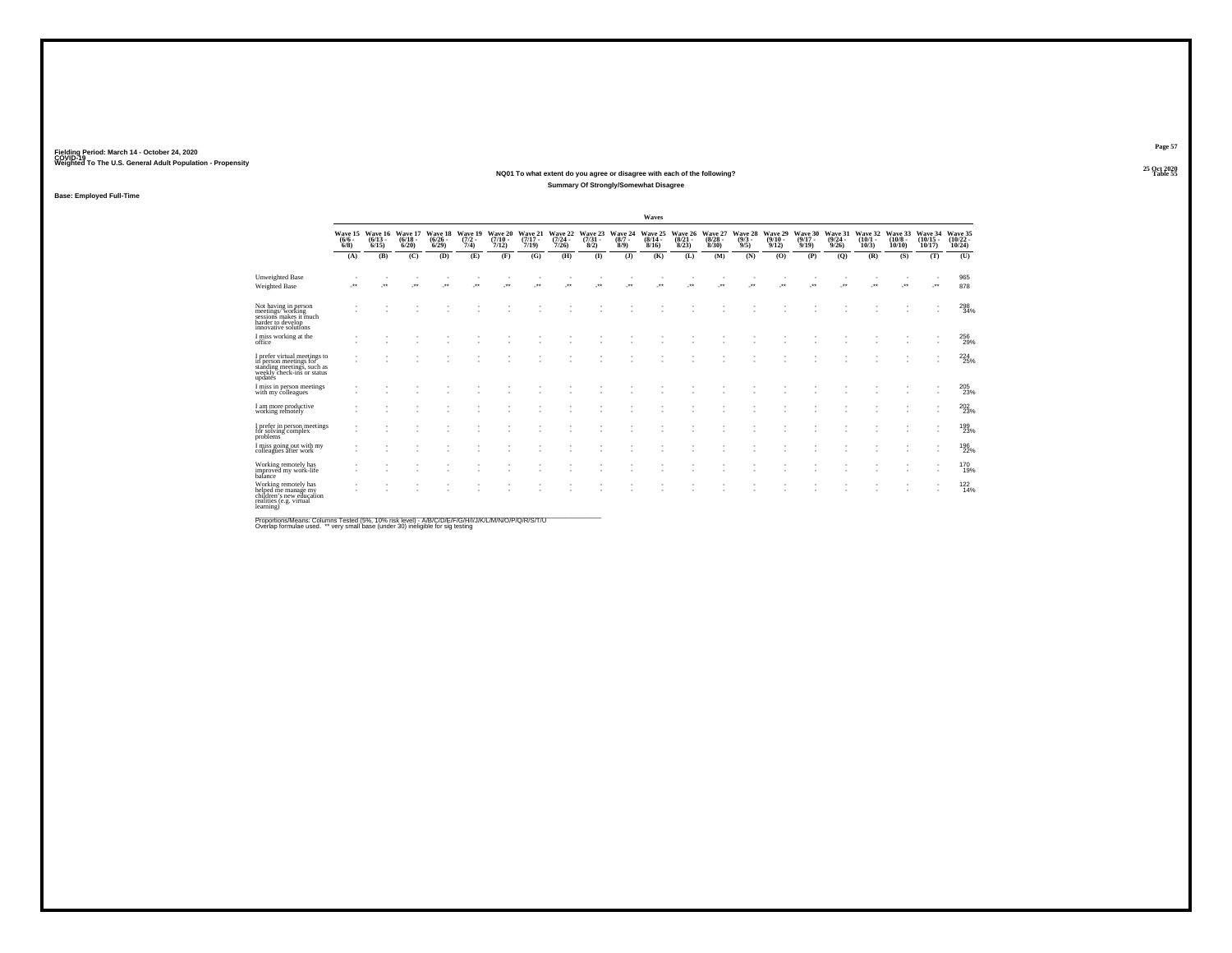### **25 Oct 2020NQ01 To what extent do you agree or disagree with each of the following?Table 55 Table 55 Table 55 Summary Of Strongly/Somewhat Disagree**

**Base: Employed Full-Time**

|                                                                                                                               |                                |                                  |                                  |                                 |                                |                                      |                              |                                         |                                |                            | Waves                            |                                 |                                        |                               |                                 |                                      |                                         |                              |                               |                                    |                                    |
|-------------------------------------------------------------------------------------------------------------------------------|--------------------------------|----------------------------------|----------------------------------|---------------------------------|--------------------------------|--------------------------------------|------------------------------|-----------------------------------------|--------------------------------|----------------------------|----------------------------------|---------------------------------|----------------------------------------|-------------------------------|---------------------------------|--------------------------------------|-----------------------------------------|------------------------------|-------------------------------|------------------------------------|------------------------------------|
|                                                                                                                               | Wave 15<br>$(6/6 -$<br>$6/8$ ) | Wave 16<br>$(6/13 -$<br>$6/15$ ) | Wave 17<br>$\frac{(6/18)}{6/20}$ | Wave 18<br>$\binom{6/26}{6/29}$ | Wave 19<br>$\frac{(7/2)}{7/4}$ | Wave 20<br>$\frac{(7/10 - 7)}{7/12}$ | Wave 21<br>$(7/17 -$<br>7/19 | Wave 22<br>$\frac{(7/24 - 7/26)}{7/26}$ | Wave 23<br>$\binom{7/31}{8/2}$ | Wave 24<br>$(8/7 -$<br>8/9 | Wave 25<br>$\frac{(8/14)}{8/16}$ | Wave 26<br>$\binom{8/21}{8/23}$ | Wave 27<br>$\frac{(8/28 - 8)}{(8/30)}$ | Wave 28<br>$\binom{9/3}{9/5}$ | Wave 29<br>$\binom{9/10}{9/12}$ | Wave 30<br>$\frac{(9/17 - 9)}{9/19}$ | Wave 31<br>$\frac{(9/24 - 9/26)}{9/26}$ | Wave 32<br>$(10/1 -$<br>10/3 | Wave 33<br>$(10/8 -$<br>10/10 | Wave 34<br>$\frac{(10/15)}{10/17}$ | Wave 35<br>$\frac{(10/22)}{10/24}$ |
|                                                                                                                               | (A)                            | (B)                              | (C)                              | (D)                             | (E)                            | (F)                                  | (G)                          | (H)                                     | $\mathbf{I}$                   | $($ $)$                    | (K)                              | (L)                             | (M)                                    | (N)                           | (O)                             | (P)                                  | (Q)                                     | (R)                          | (S)                           | (T)                                | (U)                                |
| Unweighted Base<br>Weighted Base                                                                                              | $\cdot$                        | $\star$                          | $\cdot$                          | $\cdot$                         | $\cdot$                        | ٠<br>$\bullet\bullet$                | $\cdot$                      | $\overline{\phantom{a}}$<br>$\cdot$     | $\cdot$                        | $\cdot$                    | ٠.                               | $\cdot$                         | $\ddot{\phantom{1}}$                   | $\cdot$                       | - 11<br>$\cdot$                 | $\ddot{\phantom{1}}$                 | $\cdot$                                 | $\overline{\phantom{a}}$     | $\cdot$                       |                                    | 965<br>878                         |
| Not having in person<br>meetings/working<br>sessions makes it much<br>harder to develop<br>innovative solutions               |                                |                                  |                                  |                                 |                                |                                      |                              |                                         |                                |                            |                                  |                                 |                                        |                               |                                 |                                      |                                         |                              |                               |                                    | $\substack{298 \\ 34\%}$           |
| I miss working at the<br>office                                                                                               |                                |                                  |                                  |                                 |                                |                                      |                              |                                         |                                |                            |                                  |                                 |                                        |                               |                                 |                                      |                                         |                              |                               |                                    | 256<br>29%                         |
| I prefer virtual meetings to<br>in person meetings for<br>standing meetings, such as<br>weekly check-ins or status<br>updates |                                |                                  |                                  |                                 |                                |                                      |                              |                                         |                                |                            |                                  |                                 |                                        |                               |                                 |                                      |                                         |                              |                               |                                    | 224<br>25%                         |
| I miss in person meetings<br>with my colleagues                                                                               |                                |                                  |                                  |                                 |                                |                                      |                              |                                         |                                |                            |                                  |                                 |                                        |                               |                                 |                                      |                                         |                              |                               |                                    | 205<br>23%                         |
| I am more productive<br>working remotely                                                                                      |                                |                                  |                                  |                                 |                                |                                      |                              |                                         |                                |                            |                                  |                                 |                                        |                               |                                 |                                      |                                         |                              |                               |                                    | $^{202}_{\phantom{1}23\%}$         |
| I prefer in person meetings<br>for solving complex<br>problems <sup>'</sup>                                                   |                                |                                  |                                  |                                 |                                |                                      |                              |                                         |                                |                            |                                  |                                 |                                        |                               |                                 |                                      |                                         |                              |                               |                                    | 199<br>23%                         |
| I miss going out with my<br>colleagues after work                                                                             |                                |                                  |                                  |                                 |                                |                                      |                              |                                         |                                |                            |                                  |                                 |                                        |                               |                                 |                                      |                                         |                              |                               |                                    | 196<br>22%                         |
| Working remotely has<br>improved my work-life<br>balance                                                                      |                                |                                  |                                  |                                 |                                |                                      |                              |                                         |                                |                            |                                  |                                 |                                        |                               |                                 |                                      |                                         |                              |                               |                                    | <sup>170</sup> <sub>19%</sub>      |
| Working remotely has<br>helped me manage my<br>children's new education<br>realities (e.g. virtual<br>learning)               |                                |                                  |                                  |                                 |                                |                                      |                              |                                         |                                |                            |                                  |                                 |                                        |                               |                                 |                                      |                                         |                              |                               | ٠                                  | $^{122}_{14\%}$                    |

Proportions/Means: Columns Tested (5%, 10% risk level) - A/B/C/D/E/F/G/H/I/J/K/L/M/N/O/P/Q/R/S/T/U<br>Overlap formulae used. \*\* very small base (under 30) ineligible for sig testing

**Page 57**25 Oct 2020<br>Table 55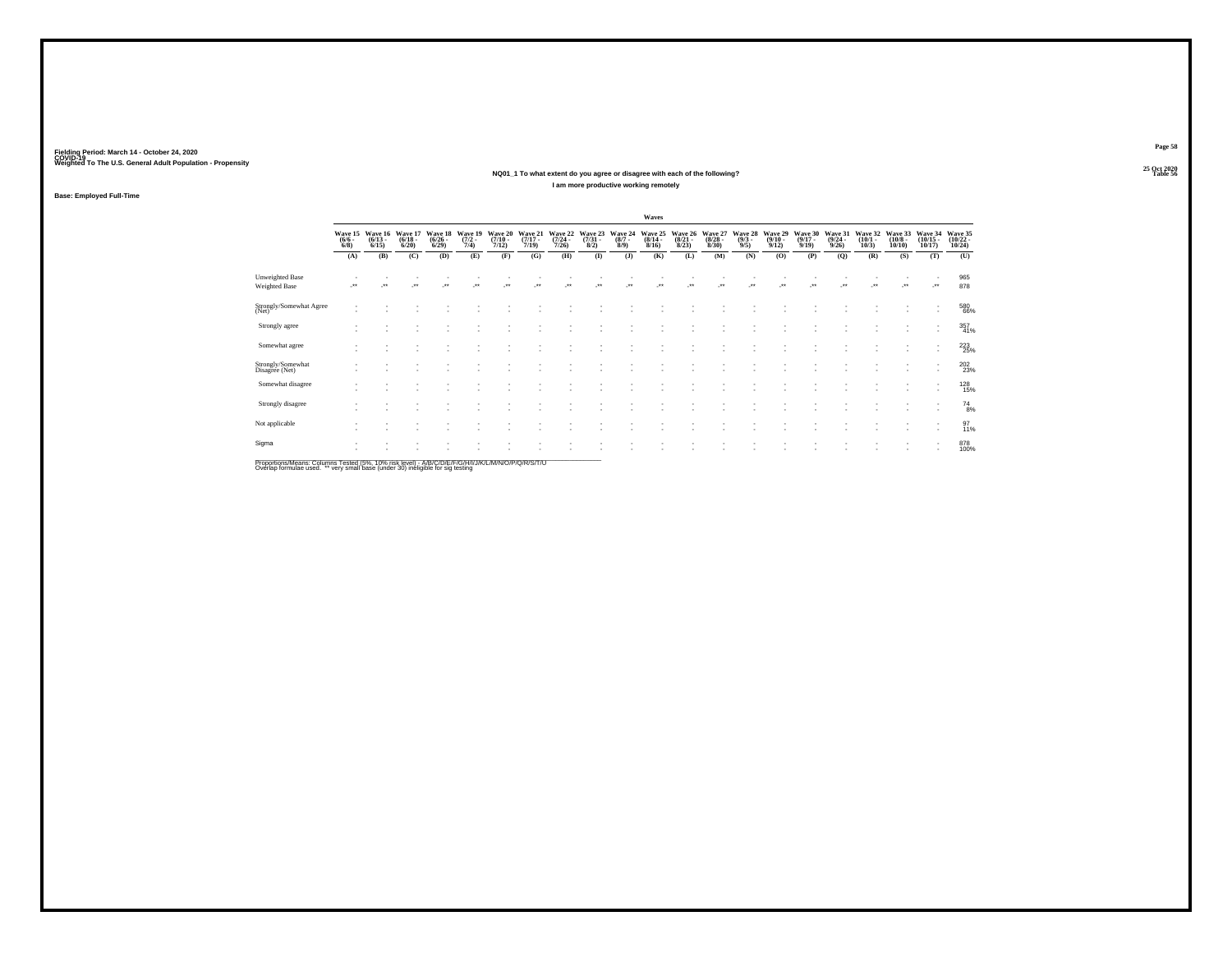### **25 Oct 2020NQ01\_1 To what extent do you agree or disagree with each of the following?Table 56 Table 56 Table 56 I am more productive working remotely**

25 Oct 2020<br>Table 56

**Page 58**

**Base: Employed Full-Time**

|                                         |                                |                                 |                                  |                                        |                                |                             |                                  |                                  |                      |                               | Waves                       |                             |                                 |                               |                             |                                  |                             |                                 |                                       |                                          |                                    |
|-----------------------------------------|--------------------------------|---------------------------------|----------------------------------|----------------------------------------|--------------------------------|-----------------------------|----------------------------------|----------------------------------|----------------------|-------------------------------|-----------------------------|-----------------------------|---------------------------------|-------------------------------|-----------------------------|----------------------------------|-----------------------------|---------------------------------|---------------------------------------|------------------------------------------|------------------------------------|
|                                         | Wave 15<br>$\frac{(6/6)}{6/8}$ | Wave 16<br>$\binom{6/13}{6/15}$ | Wave 17<br>$\frac{(6/18)}{6/20}$ | Wave 18<br>$\frac{(6/26 - 6)}{(6/29)}$ | Wave 19<br>$\frac{(7/2)}{7/4}$ | Wave 20<br>(7/10 -<br>7/12) | Wave 21<br>$\frac{(7/17)}{7/19}$ | Wave 22<br>$\frac{(7/24)}{7/26}$ | Wave 23 (7/31 - 8/2) | Wave 24<br>$\binom{8/7}{8/9}$ | Wave 25<br>(8/14 -<br>8/16) | Wave 26<br>(8/21 -<br>8/23) | Wave 27<br>$\binom{8/28}{8/30}$ | Wave 28<br>$\binom{9/3}{9/5}$ | Wave 29<br>(9/10 -<br>9/12) | Wave 30<br>$\frac{(9/17)}{9/19}$ | Wave 31<br>(9/24 -<br>9/26) | Wave 32<br>$\binom{10/1}{10/3}$ | Wave 33<br>$\binom{10/8 - 10}{10/10}$ | Wave 34<br>$\frac{(10/15)}{10/17}$       | Wave 35<br>$\frac{(10/22)}{10/24}$ |
|                                         | (A)                            | (B)                             | (C)                              | (D)                                    | (E)                            | (F)                         | (G)                              | (H)                              | $($ $\Gamma$         | $($ $)$                       | (K)                         | (L)                         | (M)                             | (N)                           | (O)                         | (P)                              | (Q)                         | (R)                             | (S)                                   | (T)                                      | (U)                                |
| Unweighted Base<br><b>Weighted Base</b> |                                | $\star$                         | $\cdot$                          | ÷                                      |                                | $\bullet\bullet$            | $\bullet\bullet$                 | $\star$                          | $\cdot$              | -**                           | $\cdot$                     | $\cdot$                     | $\cdot$                         | $\cdot$                       | $\cdot$                     |                                  | $\cdot$                     | $\bullet\bullet$                |                                       | $\cdot$                                  | 965<br>878                         |
| Strongly/Somewhat Agree<br>(Net)        |                                |                                 |                                  |                                        |                                |                             |                                  |                                  |                      |                               |                             |                             |                                 |                               |                             |                                  |                             |                                 |                                       | ٠<br>٠                                   | 580<br>66%                         |
| Strongly agree                          |                                |                                 |                                  |                                        |                                |                             |                                  |                                  |                      |                               |                             |                             |                                 |                               |                             |                                  |                             |                                 |                                       | ٠<br>٠                                   | $\frac{357}{41\%}$                 |
| Somewhat agree                          |                                |                                 |                                  |                                        |                                |                             |                                  |                                  |                      |                               |                             |                             |                                 |                               |                             |                                  |                             |                                 |                                       |                                          | $^{223}_{25\%}$                    |
| Strongly/Somewhat<br>Disagree (Net)     |                                |                                 |                                  |                                        |                                |                             |                                  |                                  |                      |                               |                             |                             |                                 |                               |                             |                                  |                             |                                 |                                       | $\mathbf{r}$                             | $^{202}_{\phantom{1}23\%}$         |
| Somewhat disagree                       |                                |                                 |                                  |                                        |                                |                             |                                  |                                  |                      |                               |                             |                             |                                 |                               |                             |                                  |                             |                                 | ٠                                     | $\overline{\phantom{a}}$<br>×.           | <sup>128</sup> <sub>15%</sub>      |
| Strongly disagree                       |                                |                                 |                                  |                                        |                                |                             |                                  |                                  |                      |                               |                             |                             |                                 |                               |                             |                                  |                             |                                 |                                       | ٠<br>٠                                   | $^{74}_{8\%}$                      |
| Not applicable                          |                                |                                 |                                  |                                        |                                |                             |                                  |                                  |                      |                               |                             |                             |                                 |                               |                             |                                  |                             |                                 |                                       | $\overline{\phantom{a}}$<br>$\mathbf{r}$ | 97<br>11%                          |
| Sigma                                   |                                |                                 |                                  |                                        |                                |                             |                                  |                                  |                      |                               |                             |                             |                                 |                               |                             |                                  |                             |                                 |                                       | $\sim$<br>$\overline{\phantom{a}}$       | 878<br>100%                        |

Proportions/Means: Columns Tested (5%, 10% risk level) - A/B/C/D/E/F/G/H/I/J/K/L/M/N/O/P/Q/R/S/T/U<br>Overlap formulae used. \*\* very small base (under 30) ineligible for sig testing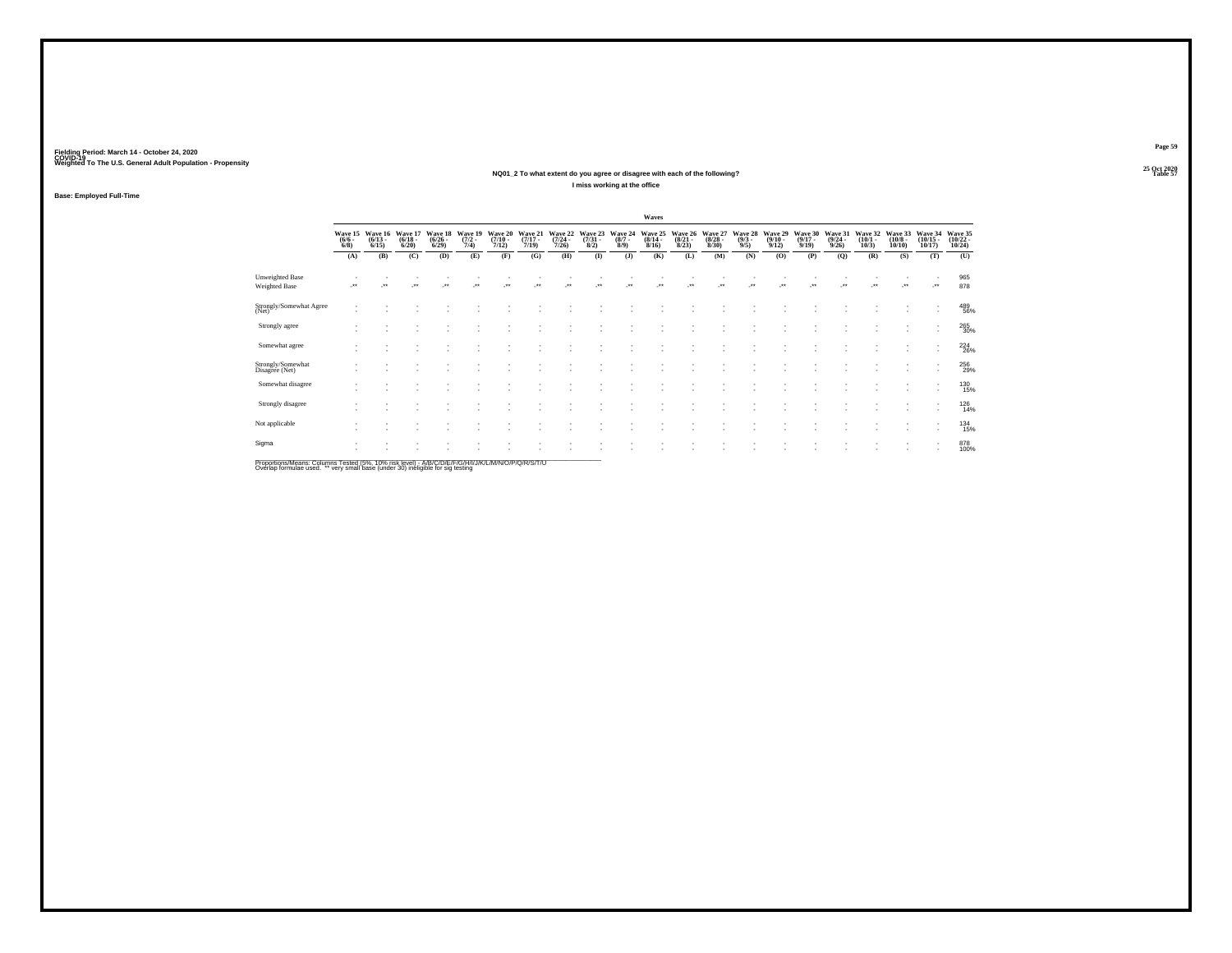**25 Oct 2020NQ01\_2 To what extent do you agree or disagree with each of the following?Table 57 Table 57 Table 57 Table 57 I miss working at the office**

**Base: Employed Full-Time**

|                                         |                               |                                 |                                  |                                 |                                |                                      |                                  |                                  |                                |                               | Waves                            |                                 |                                  |                               |                                  |                                  |                                  |                                 |                                   |                                    |                                            |
|-----------------------------------------|-------------------------------|---------------------------------|----------------------------------|---------------------------------|--------------------------------|--------------------------------------|----------------------------------|----------------------------------|--------------------------------|-------------------------------|----------------------------------|---------------------------------|----------------------------------|-------------------------------|----------------------------------|----------------------------------|----------------------------------|---------------------------------|-----------------------------------|------------------------------------|--------------------------------------------|
|                                         | Wave 15<br>$\binom{6/6}{6/8}$ | Wave 16<br>$\binom{6/13}{6/15}$ | Wave 17<br>$\frac{(6/18)}{6/20}$ | Wave 18<br>$\binom{6/26}{6/29}$ | Wave 19<br>$\frac{(7/2)}{7/4}$ | Wave 20<br>$\frac{(7/10 - 7)}{7/12}$ | Wave 21<br>$\frac{(7/17)}{7/19}$ | Wave 22<br>$\frac{(7/24)}{7/26}$ | Wave 23<br>$\binom{7/31}{8/2}$ | Wave 24<br>$\binom{8/7}{8/9}$ | Wave 25<br>$\frac{(8/14)}{8/16}$ | Wave 26<br>$\binom{8/21}{8/23}$ | Wave 27<br>$\frac{(8/28)}{8/30}$ | Wave 28<br>$\binom{9/3}{9/5}$ | Wave 29<br>$\frac{(9/10)}{9/12}$ | Wave 30<br>$\frac{(9/17)}{9/19}$ | Wave 31<br>$\frac{(9/24)}{9/26}$ | Wave 32<br>$\binom{10/1}{10/3}$ | Wave 33<br>$\frac{(10/8)}{10/10}$ | Wave 34<br>$\frac{(10/15)}{10/17}$ | Wave 35<br>$\frac{(10/22 - 10/24)}{10/24}$ |
|                                         | (A)                           | (B)                             | (C)                              | (D)                             | (E)                            | (F)                                  | (G)                              | (H)                              | $($ $\Gamma$                   | (3)                           | (K)                              | (L)                             | (M)                              | (N)                           | (O)                              | (P)                              | (Q)                              | (R)                             | (S)                               | (T)                                | (U)                                        |
| Unweighted Base<br><b>Weighted Base</b> | $\cdot$                       | $\bullet\bullet$                | $\cdot$                          | $\star$                         | $\bullet\,\bullet$             | $\star\star$                         | $\ddot{\phantom{0}}$             | $\cdot$                          | $^{\tiny{**}}$                 | $\ddot{\phantom{1}}$          | $\ddot{\phantom{0}}$             | $\ddot{\phantom{1}}$            | $\cdot$                          | $\ddot{\phantom{1}}$          | $\cdot$                          | $\ddot{\phantom{1}}$             | $\bullet\,\bullet$               | $\overline{\phantom{a}}$        | $\cdot$                           | $\cdot$                            | 965<br>878                                 |
| Strongly/Somewhat Agree<br>(Net)        |                               |                                 |                                  |                                 |                                |                                      |                                  |                                  |                                |                               |                                  |                                 |                                  |                               |                                  |                                  |                                  |                                 |                                   | ٠                                  | 489<br>56%                                 |
| Strongly agree                          |                               |                                 |                                  |                                 |                                |                                      | ٠                                |                                  |                                |                               |                                  | ٠                               |                                  |                               |                                  |                                  |                                  |                                 |                                   | ٠<br>٠                             | 265<br>30%                                 |
| Somewhat agree                          |                               |                                 |                                  |                                 |                                |                                      |                                  |                                  |                                |                               |                                  |                                 |                                  |                               |                                  |                                  |                                  |                                 |                                   | ٠<br>٠                             | 224                                        |
| Strongly/Somewhat<br>Disagree (Net)     |                               |                                 |                                  |                                 |                                |                                      |                                  |                                  |                                |                               |                                  |                                 |                                  |                               |                                  |                                  |                                  |                                 |                                   |                                    | 256<br>29%                                 |
| Somewhat disagree                       |                               |                                 |                                  |                                 |                                |                                      |                                  |                                  |                                |                               |                                  | ٠                               |                                  |                               |                                  |                                  |                                  |                                 |                                   | ٠<br>×.                            | 130<br>15%                                 |
| Strongly disagree                       |                               |                                 |                                  |                                 |                                |                                      |                                  |                                  |                                |                               |                                  |                                 |                                  |                               |                                  |                                  |                                  |                                 |                                   | ٠                                  | 126<br>14%                                 |
| Not applicable                          |                               |                                 |                                  |                                 |                                |                                      |                                  |                                  |                                |                               |                                  | ٠                               |                                  |                               |                                  |                                  |                                  |                                 |                                   | ٠                                  | 134<br>15%                                 |
| Sigma                                   |                               | ٠                               |                                  |                                 |                                |                                      |                                  |                                  |                                |                               |                                  | ٠                               |                                  |                               |                                  |                                  |                                  |                                 |                                   | $\mathbf{r}$                       | 878<br>100%                                |
|                                         |                               |                                 |                                  |                                 |                                |                                      |                                  |                                  |                                |                               |                                  |                                 |                                  |                               |                                  |                                  |                                  |                                 |                                   |                                    |                                            |

Proportions/Means: Columns Tested (5%, 10% risk level) - A/B/C/D/E/F/G/H/I/J/K/L/M/N/O/P/Q/R/S/T/U<br>Overlap formulae used. \*\* very small base (under 30) ineligible for sig testing

**Page 59**25 Oct 2020<br>Table 57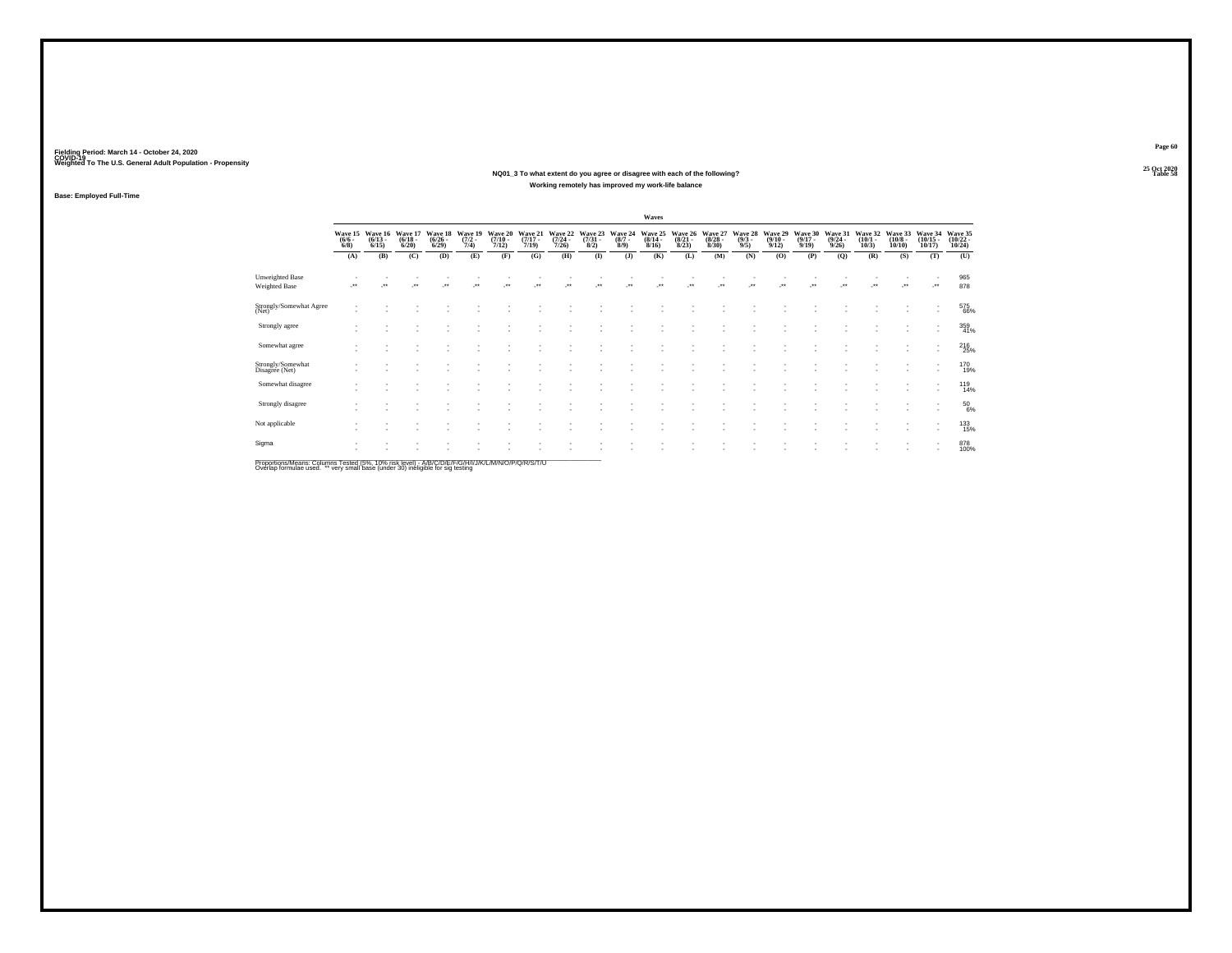### **25 Oct 2020NQ01\_3 To what extent do you agree or disagree with each of the following?Table 58 Table 58 Working remotely has improved my work-life balance**

**Base: Employed Full-Time**

|                                                                                                                     |                                |                                  |                                 |                                 |                                |                                  |                                  |                                         |                                |                               | Waves                            |                                 |                                  |                               |                                         |                                      |                                         |                                 |                                  |                                                      |                                    |
|---------------------------------------------------------------------------------------------------------------------|--------------------------------|----------------------------------|---------------------------------|---------------------------------|--------------------------------|----------------------------------|----------------------------------|-----------------------------------------|--------------------------------|-------------------------------|----------------------------------|---------------------------------|----------------------------------|-------------------------------|-----------------------------------------|--------------------------------------|-----------------------------------------|---------------------------------|----------------------------------|------------------------------------------------------|------------------------------------|
|                                                                                                                     | Wave 15<br>$\frac{(6/6)}{6/8}$ | Wave 16<br>$\frac{(6/13)}{6/15}$ | Wave 17<br>$\binom{6/18}{6/20}$ | Wave 18<br>$\binom{6/26}{6/29}$ | Wave 19<br>$\frac{(7/2)}{7/4}$ | Wave 20<br>$\frac{(7/10)}{7/12}$ | Wave 21<br>$\frac{(7/17)}{7/19}$ | Wave 22<br>$\frac{(7/24 - 7/26)}{7/26}$ | Wave 23<br>$\binom{7/31}{8/2}$ | Wave 24<br>$\binom{8/7}{8/9}$ | Wave 25<br>$\frac{(8/14)}{8/16}$ | Wave 26<br>$\binom{8/21}{8/23}$ | Wave 27<br>$\frac{(8/28)}{8/30}$ | Wave 28<br>$\binom{9/3}{9/5}$ | Wave 29<br>$\frac{(9/10 - 9/12)}{9/12}$ | Wave 30<br>$\frac{(9/17 - 9)}{9/19}$ | Wave 31<br>$\frac{(9/24 - 9/26)}{9/26}$ | Wave 32<br>$\binom{10/1}{10/3}$ | Wave 33<br>$\binom{10/8}{10/10}$ | Wave 34<br>$\frac{(10/15)}{10/17}$                   | Wave 35<br>$\frac{(10/22)}{10/24}$ |
|                                                                                                                     | (A)                            | (B)                              | (C)                             | (D)                             | (E)                            | (F)                              | (G)                              | (H)                                     | $($ $\Gamma$                   | $($ $)$                       | (K)                              | (L)                             | (M)                              | (N)                           | (O)                                     | (P)                                  | (Q)                                     | (R)                             | (S)                              | (T)                                                  | (U)                                |
| <b>Unweighted Base</b><br>Weighted Base                                                                             |                                | $\star$                          | $\overline{\phantom{a}}$        | z.                              | J.                             | $\overline{\phantom{a}}$         | $\cdot$                          | $\cdot$                                 | $\cdot$                        | ÷.                            | J.                               | $\mathcal{L}^{\bullet\bullet}$  | $\ddot{\phantom{1}}$             | $\overline{\phantom{a}}$      | $\cdot$                                 | ÷.                                   | J.                                      | $\overline{\phantom{a}}$        |                                  |                                                      | 965<br>878                         |
| Strongly/Somewhat Agree<br>(Net)                                                                                    |                                |                                  |                                 |                                 |                                |                                  |                                  |                                         |                                |                               |                                  |                                 |                                  |                               |                                         |                                      |                                         |                                 |                                  | $\overline{\phantom{a}}$                             | 575<br>66%                         |
| Strongly agree                                                                                                      |                                |                                  |                                 |                                 |                                |                                  |                                  |                                         |                                |                               |                                  |                                 |                                  |                               |                                         |                                      |                                         |                                 |                                  | $\overline{\phantom{a}}$<br>۰                        | 359<br>41%                         |
| Somewhat agree                                                                                                      |                                |                                  |                                 |                                 |                                |                                  |                                  |                                         |                                |                               |                                  |                                 |                                  |                               |                                         |                                      |                                         |                                 |                                  | ٠<br>۰                                               | $^{216}_{25\%}$                    |
| Strongly/Somewhat<br>Disagree (Net)                                                                                 |                                |                                  |                                 |                                 |                                |                                  |                                  |                                         |                                |                               |                                  |                                 |                                  |                               |                                         |                                      |                                         |                                 |                                  | ۰                                                    | 170<br>19%                         |
| Somewhat disagree                                                                                                   |                                |                                  |                                 |                                 |                                |                                  |                                  |                                         |                                |                               |                                  |                                 |                                  |                               |                                         |                                      |                                         |                                 |                                  | $\overline{\phantom{a}}$<br>٠                        | <sup>119</sup><br>14%              |
| Strongly disagree                                                                                                   |                                |                                  |                                 |                                 |                                |                                  |                                  |                                         |                                |                               |                                  |                                 |                                  |                               |                                         |                                      |                                         |                                 | ٠                                | $\overline{\phantom{a}}$<br>۰                        | $^{50}_{6\%}$                      |
| Not applicable                                                                                                      |                                |                                  |                                 |                                 |                                |                                  |                                  |                                         |                                |                               |                                  |                                 |                                  |                               |                                         |                                      |                                         |                                 |                                  | $\overline{\phantom{a}}$<br>$\overline{\phantom{a}}$ | 133<br>15%                         |
| Sigma<br>DreportionalMoope: Columna Tootod (59/ - 409/ -iok love)) - AIBIC IDIC IDIC IUII IN/ II MANICIDIO IDICITAT |                                |                                  |                                 |                                 |                                |                                  |                                  |                                         |                                |                               |                                  |                                 |                                  |                               |                                         |                                      |                                         |                                 |                                  | $\overline{\phantom{a}}$<br>$\overline{\phantom{a}}$ | 878<br>100%                        |

Proportions/Means: Columns Tested (5%, 10% risk level) - A/B/C/D/E/F/G/H/I/J/K/L/M/N/O/P/Q/R/S/T/U<br>Overlap formulae used. \*\* very small base (under 30) ineligible for sig testing

**Page 60**25 Oct 2020<br>Table 58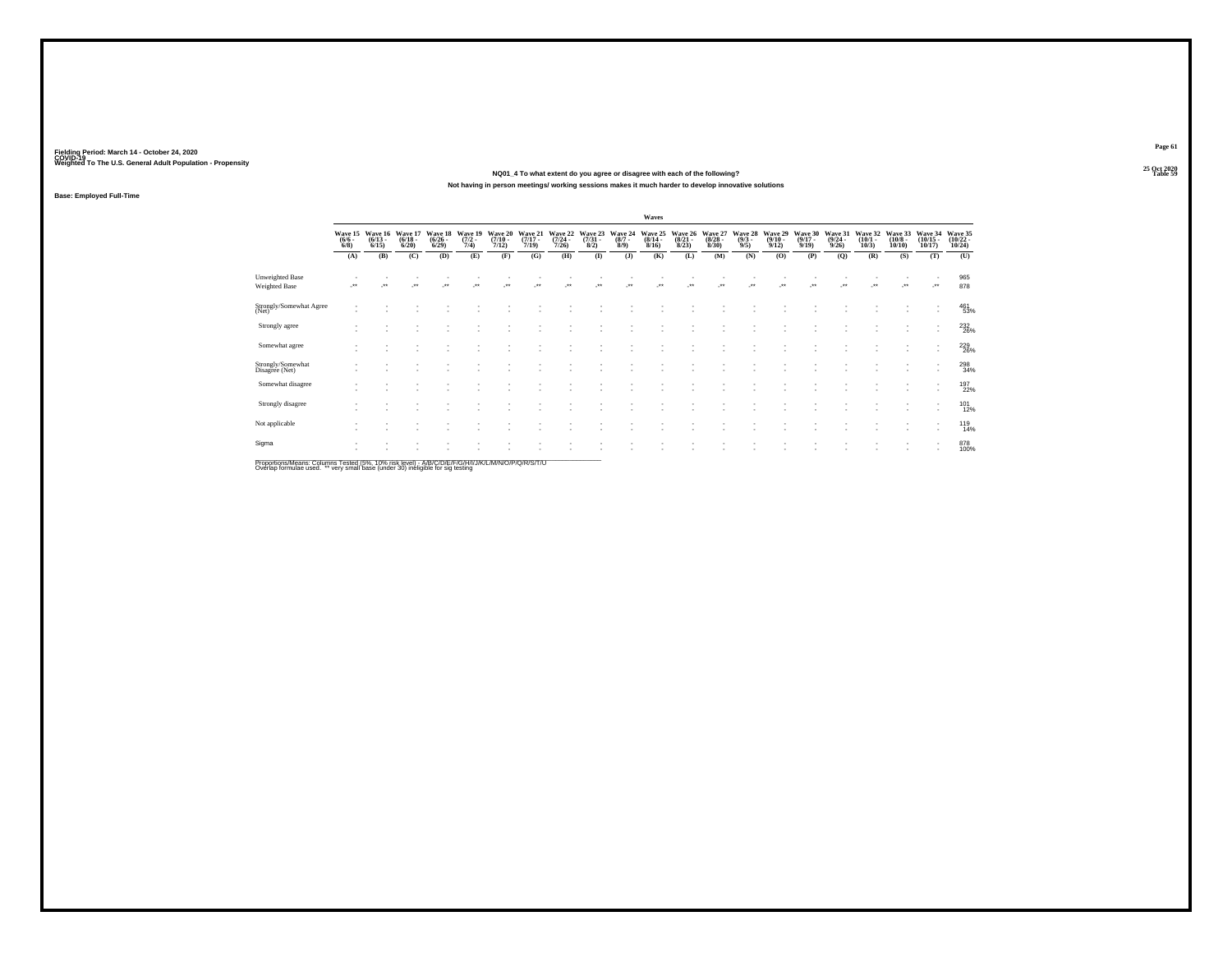**25 Oct 2020NQ01\_4 To what extent do you agree or disagree with each of the following?Table 59 Table 59 Not having in person meetings/ working sessions makes it much harder to develop innovative solutions**

**Base: Employed Full-Time**

|                                                                                                 |                                    |                                 |                                 |                                 |                                |                                  |                                        |                                         |                                |                               | Waves                                   |                                 |                                  |                               |                                 |                                  |                                         |                                 |                                       |                                          |                                         |
|-------------------------------------------------------------------------------------------------|------------------------------------|---------------------------------|---------------------------------|---------------------------------|--------------------------------|----------------------------------|----------------------------------------|-----------------------------------------|--------------------------------|-------------------------------|-----------------------------------------|---------------------------------|----------------------------------|-------------------------------|---------------------------------|----------------------------------|-----------------------------------------|---------------------------------|---------------------------------------|------------------------------------------|-----------------------------------------|
|                                                                                                 | Wave 15<br>$\frac{(6/6 - 6)}{6/8}$ | Wave 16<br>$\binom{6/13}{6/15}$ | Wave 17<br>$\binom{6/18}{6/20}$ | Wave 18<br>$\binom{6/26}{6/29}$ | Wave 19<br>$\frac{(7/2)}{7/4}$ | Wave 20<br>$\frac{(7/10)}{7/12}$ | Wave 21<br>$\frac{(7/17)}{7/19}$       | Wave 22<br>$\frac{(7/24 - 7/26)}{7/26}$ | Wave 23<br>$\binom{7/31}{8/2}$ | Wave 24<br>$\binom{8/7}{8/9}$ | Wave 25<br>$\frac{(8/14 - 8/16)}{8/16}$ | Wave 26<br>$\binom{8/21}{8/23}$ | Wave 27<br>$\frac{(8/28)}{8/30}$ | Wave 28<br>$\binom{9/3}{9/5}$ | Wave 29<br>$\binom{9/10}{9/12}$ | Wave 30<br>$\frac{(9/17)}{9/19}$ | Wave 31<br>$\frac{(9/24 - 9/26)}{9/26}$ | Wave 32<br>$\binom{10/1}{10/3}$ | Wave 33<br>$\binom{10/8 - 10}{10/10}$ | Wave 34<br>$\binom{10/15}{10/17}$        | Wave 35<br>$\frac{(10/22 - 10)}{10/24}$ |
|                                                                                                 | (A)                                | (B)                             | (C)                             | (D)                             | (E)                            | (F)                              | (G)                                    | (H)                                     | $($ $\Gamma$                   | $($ J $)$                     | (K)                                     | (L)                             | (M)                              | (N)                           | (0)                             | (P)                              | (Q)                                     | (R)                             | (S)                                   | (T)                                      | (U)                                     |
| Unweighted Base<br>Weighted Base                                                                |                                    |                                 | $\ddot{\phantom{0}}$            |                                 |                                | $\ddot{\phantom{0}}$             | $^{\tiny{\text{+}}\, \tiny{\text{+}}}$ | $\bullet\bullet$                        | $\ddot{\phantom{0}}$           | $\ddot{\phantom{1}}$          | $\ddot{\phantom{0}}$                    |                                 | $\ddot{\phantom{0}}$             | $\ddot{\phantom{1}}$          | $\ddot{\phantom{1}}$            |                                  |                                         |                                 | $\bullet\,\bullet$                    | $\cdot$                                  | 965<br>878                              |
| Strongly/Somewhat Agree<br>(Net)                                                                |                                    |                                 |                                 |                                 |                                |                                  |                                        |                                         |                                |                               |                                         |                                 |                                  |                               |                                 |                                  |                                         |                                 |                                       | $\sim$<br>$\overline{\phantom{a}}$       | 461<br>53%                              |
| Strongly agree                                                                                  |                                    |                                 |                                 |                                 |                                |                                  |                                        |                                         |                                |                               |                                         |                                 |                                  |                               |                                 |                                  |                                         |                                 | ٠                                     | $\overline{\phantom{a}}$<br>$\mathbf{r}$ | $^{232}_{\ 26\%}$                       |
| Somewhat agree                                                                                  |                                    |                                 |                                 |                                 | ٠                              |                                  |                                        |                                         |                                |                               |                                         | $\overline{\phantom{a}}$        |                                  |                               |                                 |                                  |                                         |                                 | ٠                                     | ٠<br>$\mathbf{r}$                        | 229<br>26%                              |
| Strongly/Somewhat<br>Disagree (Net)                                                             |                                    |                                 |                                 |                                 |                                |                                  |                                        |                                         |                                |                               |                                         |                                 |                                  |                               |                                 |                                  |                                         |                                 |                                       | $\overline{\phantom{a}}$                 | 298<br>34%                              |
| Somewhat disagree                                                                               |                                    |                                 |                                 |                                 |                                |                                  |                                        |                                         |                                |                               |                                         |                                 |                                  |                               |                                 |                                  |                                         |                                 |                                       | $\overline{\phantom{a}}$<br>$\sim$       | 197<br>22%                              |
| Strongly disagree                                                                               |                                    |                                 |                                 |                                 |                                |                                  |                                        |                                         |                                |                               |                                         |                                 |                                  |                               |                                 |                                  |                                         |                                 |                                       | $\overline{\phantom{a}}$<br>$\sim$       | 101<br>12%                              |
| Not applicable                                                                                  |                                    |                                 |                                 |                                 |                                |                                  |                                        |                                         |                                |                               |                                         |                                 |                                  |                               |                                 |                                  |                                         |                                 | ٠                                     | $\overline{\phantom{a}}$<br>$\sim$       | $^{119}_{14\%}$                         |
| Sigma                                                                                           |                                    |                                 |                                 |                                 |                                |                                  |                                        |                                         |                                |                               |                                         |                                 |                                  |                               |                                 |                                  |                                         |                                 | ٠<br>$\overline{\phantom{a}}$         | $\overline{\phantom{a}}$<br>$\mathbf{r}$ | 878<br>100%                             |
| Proportione/Meane: Columne Tected (5%, 10% rick level) - A/R/C/D/E/E/C/H/U////A/A/A/D/D/O/R/T/U |                                    |                                 |                                 |                                 |                                |                                  |                                        |                                         |                                |                               |                                         |                                 |                                  |                               |                                 |                                  |                                         |                                 |                                       |                                          |                                         |

Proportions/Means: Columns Tested (5%, 10% risk level) - A/B/C/D/E/F/G/H/I/J/K/L/M/N/O/P/Q/R/S/T/U<br>Overlap formulae used. \*\* very small base (under 30) ineligible for sig testing

**Page 61**25 Oct 2020<br>Table 59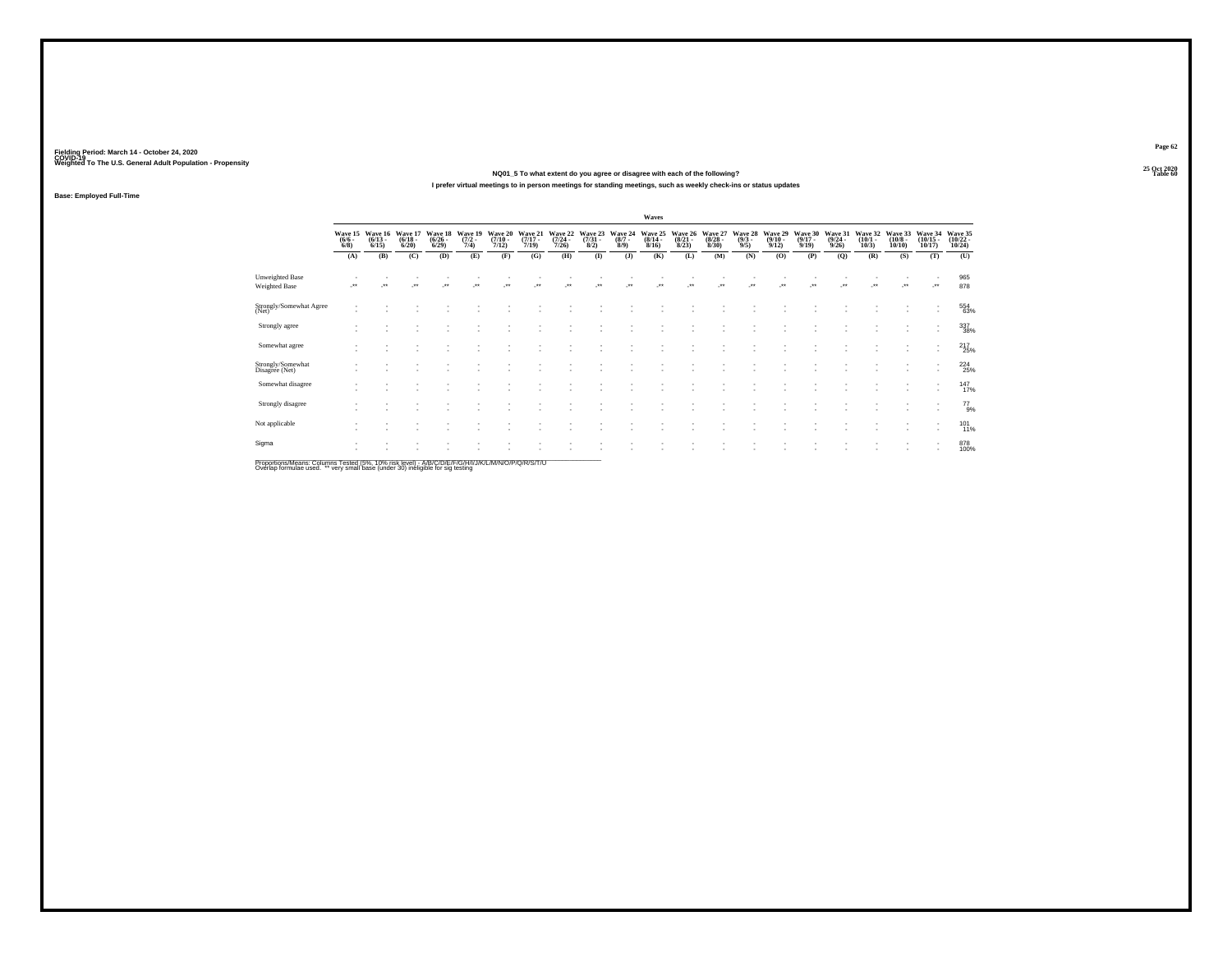**25 Oct 2020NQ01\_5 To what extent do you agree or disagree with each of the following?Table 60 Table 60 Table 60 Table 60 Table 60 Table 60 Table 60 Table 60 Table 60 Table 60 I prefer virtual meetings to in person meetings for standing meetings, such as weekly check-ins or status updates**

**Base: Employed Full-Time**

|                                                                                                    |                               |                                 |                                 |                                 |                                |                                  |                                  |                                  |                                |                               | Waves                            |                                 |                                 |                               |                                         |                                  |                                         |                                 |                                  |                                                      |                                            |
|----------------------------------------------------------------------------------------------------|-------------------------------|---------------------------------|---------------------------------|---------------------------------|--------------------------------|----------------------------------|----------------------------------|----------------------------------|--------------------------------|-------------------------------|----------------------------------|---------------------------------|---------------------------------|-------------------------------|-----------------------------------------|----------------------------------|-----------------------------------------|---------------------------------|----------------------------------|------------------------------------------------------|--------------------------------------------|
|                                                                                                    | Wave 15<br>$\binom{6/6}{6/8}$ | Wave 16<br>$\binom{6/13}{6/15}$ | Wave 17<br>$\binom{6/18}{6/20}$ | Wave 18<br>$\binom{6/26}{6/29}$ | Wave 19<br>$\frac{(7/2)}{7/4}$ | Wave 20<br>$\frac{(7/10)}{7/12}$ | Wave 21<br>$\frac{(7/17)}{7/19}$ | Wave 22<br>$\frac{(7/24)}{7/26}$ | Wave 23<br>$\binom{7/31}{8/2}$ | Wave 24<br>$\binom{8/7}{8/9}$ | Wave 25<br>$\frac{(8/14)}{8/16}$ | Wave 26<br>$\binom{8/21}{8/23}$ | Wave 27<br>$\binom{8/28}{8/30}$ | Wave 28<br>$\binom{9/3}{9/5}$ | Wave 29<br>$\frac{(9/10 - 9/12)}{9/12}$ | Wave 30<br>$\frac{(9/17)}{9/19}$ | Wave 31<br>$\frac{(9/24 - 9/26)}{9/26}$ | Wave 32<br>$\binom{10/1}{10/3}$ | Wave 33<br>$\binom{10/8}{10/10}$ | Wave 34<br>$\binom{10/15}{10/17}$                    | Wave 35<br>$\frac{(10/22 - 10/24)}{10/24}$ |
|                                                                                                    | (A)                           | (B)                             | (C)                             | (D)                             | (E)                            | (F)                              | (G)                              | (H)                              | $($ $\Gamma$                   | $($ $)$                       | (K)                              | (L)                             | (M)                             | (N)                           | (O)                                     | (P)                              | (Q)                                     | (R)                             | (S)                              | (T)                                                  | (U)                                        |
| <b>Unweighted Base</b><br>Weighted Base                                                            |                               |                                 | $^{\tiny{\text{+}}}$            |                                 | $\bullet\bullet$               |                                  |                                  |                                  |                                | $\ddot{\phantom{1}}$          |                                  |                                 | $\ddot{\phantom{0}}$            |                               | $\ddot{\phantom{0}}$                    |                                  |                                         |                                 |                                  | -**                                                  | 965<br>878                                 |
| Strongly/Somewhat Agree<br>(Net)                                                                   |                               |                                 |                                 |                                 |                                |                                  |                                  |                                  |                                |                               |                                  |                                 |                                 |                               |                                         |                                  |                                         |                                 |                                  | ٠<br>$\sim$                                          | 554<br>63%                                 |
| Strongly agree                                                                                     |                               |                                 |                                 |                                 |                                |                                  |                                  |                                  |                                |                               |                                  |                                 |                                 |                               |                                         |                                  |                                         |                                 | $\sim$                           | $\;$<br>$\sim$                                       | 337<br>38%                                 |
| Somewhat agree                                                                                     |                               |                                 |                                 |                                 |                                |                                  |                                  |                                  |                                |                               |                                  |                                 |                                 |                               |                                         |                                  |                                         |                                 |                                  | $\overline{\phantom{a}}$<br>٠                        | 217<br>25%                                 |
| Strongly/Somewhat<br>Disagree (Net)                                                                |                               |                                 |                                 |                                 |                                |                                  |                                  |                                  |                                |                               |                                  |                                 |                                 |                               |                                         |                                  |                                         |                                 |                                  | ٠<br>$\overline{\phantom{a}}$                        | 224<br>25%                                 |
| Somewhat disagree                                                                                  |                               |                                 |                                 |                                 |                                |                                  |                                  |                                  |                                |                               |                                  |                                 |                                 |                               |                                         |                                  |                                         |                                 |                                  | ٠<br>$\mathbf{r}$                                    | $^{147}_{17\%}$                            |
| Strongly disagree                                                                                  |                               |                                 |                                 |                                 |                                |                                  |                                  |                                  |                                |                               |                                  |                                 |                                 |                               |                                         |                                  |                                         |                                 |                                  | $\sim$<br>$\overline{\phantom{a}}$                   | $^{77}_{9\%}$                              |
| Not applicable                                                                                     |                               |                                 |                                 |                                 |                                |                                  |                                  |                                  |                                |                               |                                  |                                 |                                 |                               |                                         |                                  |                                         |                                 |                                  | $\overline{\phantom{a}}$<br>$\overline{\phantom{a}}$ | $^{101}_{11\%}$                            |
| Sigma                                                                                              |                               |                                 |                                 |                                 |                                |                                  |                                  |                                  |                                |                               |                                  |                                 |                                 |                               |                                         |                                  |                                         |                                 |                                  | $\overline{\phantom{a}}$<br>$\overline{\phantom{a}}$ | 878<br>100%                                |
| Proportione/Meane: Columne Teeted (5%, 10% rick level) - A/B/C/D/E/E/C/H/U/W/L/M/A/N/O/D/O/R/C/T/U |                               |                                 |                                 |                                 |                                |                                  |                                  |                                  |                                |                               |                                  |                                 |                                 |                               |                                         |                                  |                                         |                                 |                                  |                                                      |                                            |

Proportions/Means: Columns Tested (5%, 10% risk level) - A/B/C/D/E/F/G/H/I/J/K/L/M/N/O/P/Q/R/S/T/U<br>Overlap formulae used. \*\* very small base (under 30) ineligible for sig testing

**Page 62**25 Oct 2020<br>Table 60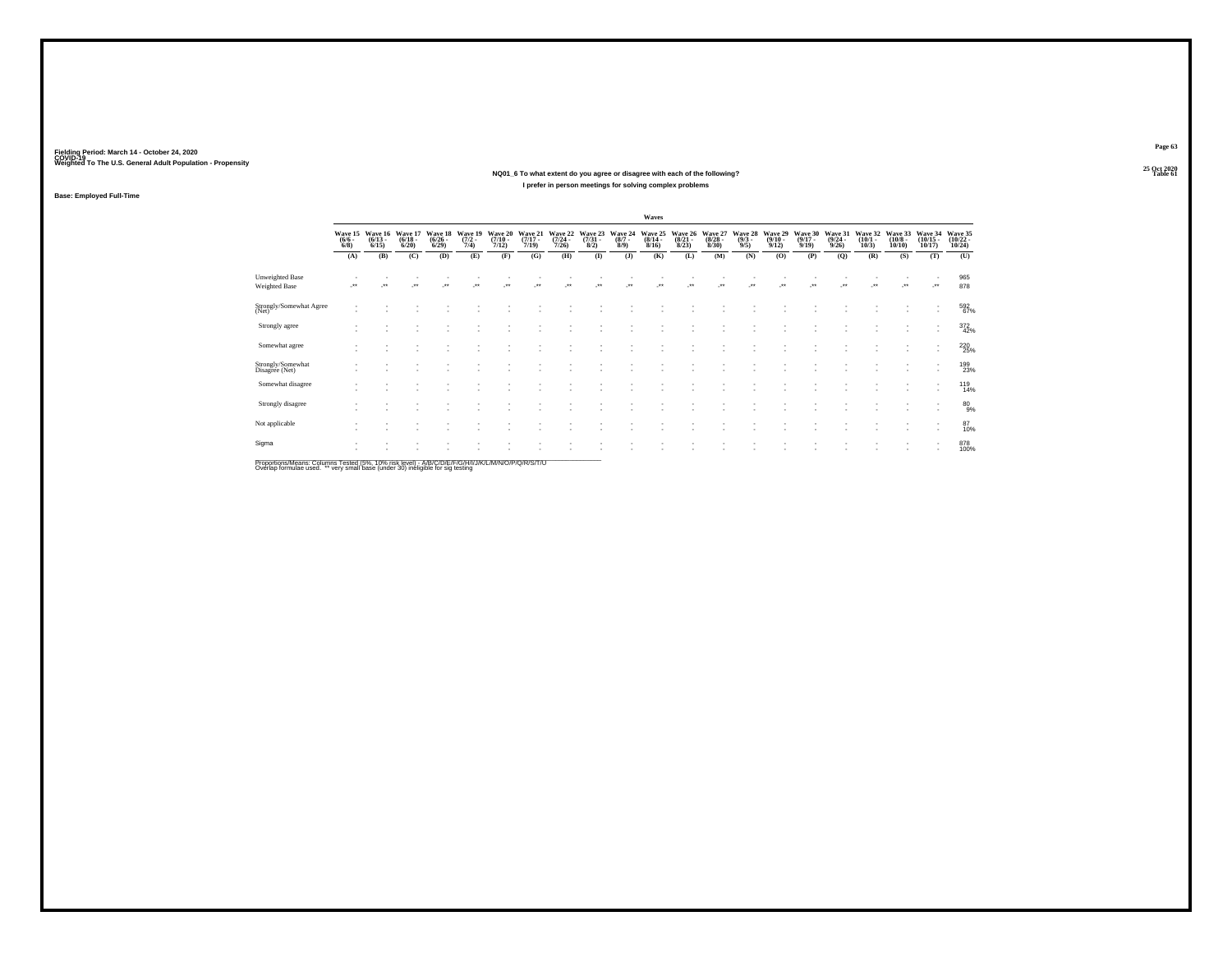### **25 Oct 2020NQ01\_6 To what extent do you agree or disagree with each of the following?Table 61 Table 61 I prefer in person meetings for solving complex problems**

**Base: Employed Full-Time**

|                                         |                               |                                 |                                  |                                 |                                |                                      |                                  |                                  |                                     |                               | Waves                            |                                  |                                  |                                |                                         |                                         |                                         |                                 |                                       |                                    |                                    |
|-----------------------------------------|-------------------------------|---------------------------------|----------------------------------|---------------------------------|--------------------------------|--------------------------------------|----------------------------------|----------------------------------|-------------------------------------|-------------------------------|----------------------------------|----------------------------------|----------------------------------|--------------------------------|-----------------------------------------|-----------------------------------------|-----------------------------------------|---------------------------------|---------------------------------------|------------------------------------|------------------------------------|
|                                         | Wave 15<br>$\binom{6/6}{6/8}$ | Wave 16<br>$\binom{6/13}{6/15}$ | Wave 17<br>$\frac{(6/18)}{6/20}$ | Wave 18<br>$\binom{6/26}{6/29}$ | Wave 19<br>$\frac{(7/2)}{7/4}$ | Wave 20<br>$\frac{(7/10 - 7)}{7/12}$ | Wave 21<br>$\frac{(7/17)}{7/19}$ | Wave 22<br>$\frac{(7/24)}{7/26}$ | Wave 23<br>$\frac{(7/31 - 8)}{8/2}$ | Wave 24<br>$\binom{8/7}{8/9}$ | Wave 25<br>$\frac{(8/14)}{8/16}$ | Wave 26<br>$\frac{(8/21)}{8/23}$ | Wave 27<br>$\frac{(8/28)}{8/30}$ | Wave 28<br>$\frac{(9/3)}{9/5}$ | Wave 29<br>$\frac{(9/10 - 9/12)}{9/12}$ | Wave 30<br>$\frac{(9/17 - 9/19)}{9/19}$ | Wave 31<br>$\frac{(9/24 - 9/26)}{9/26}$ | Wave 32<br>$\binom{10/1}{10/3}$ | Wave 33<br>$\binom{10/8 - 10}{10/10}$ | Wave 34<br>$\frac{(10/15)}{10/17}$ | Wave 35<br>$\frac{(10/22)}{10/24}$ |
|                                         | (A)                           | (B)                             | (C)                              | (D)                             | (E)                            | (F)                                  | (G)                              | (H)                              | $($ $\Gamma$                        | $($ $)$                       | (K)                              | (L)                              | (M)                              | (N)                            | (O)                                     | (P)                                     | (Q)                                     | (R)                             | (S)                                   | (T)                                | (U)                                |
| <b>Unweighted Base</b><br>Weighted Base | $\cdot$                       | $\cdot$                         | $\cdot$                          | $\overline{\phantom{a}}$        | $\ddotsc$                      | $\bullet\bullet$                     | $\ddot{\phantom{1}}$             | $\star$                          | $\cdot$                             | Jes                           | $\ddot{\phantom{1}}$             | $\cdot$                          | $\ddot{\phantom{1}}$             | $\ddot{\phantom{1}}$           | $\cdot$                                 | $\bullet\star$                          | $\cdot$                                 | $\cdots$                        | $\overline{\phantom{a}}$              | $\overline{\phantom{a}}$           | 965<br>878                         |
| Strongly/Somewhat Agree<br>(Net)        | ٠                             |                                 |                                  |                                 |                                |                                      |                                  |                                  |                                     |                               |                                  |                                  |                                  |                                |                                         |                                         |                                         |                                 |                                       | $\sim$                             | 592<br>67%                         |
| Strongly agree                          |                               |                                 |                                  |                                 |                                |                                      |                                  |                                  |                                     |                               |                                  |                                  |                                  |                                |                                         |                                         |                                         |                                 |                                       | $\sim$<br>۰                        | $\frac{372}{42\%}$                 |
| Somewhat agree                          |                               |                                 |                                  |                                 |                                |                                      |                                  |                                  |                                     |                               |                                  |                                  |                                  |                                |                                         |                                         |                                         |                                 |                                       | $\mathbf{r}$<br>۰                  | $^{220}_{25\%}$                    |
| Strongly/Somewhat<br>Disagree (Net)     |                               |                                 |                                  |                                 |                                |                                      |                                  |                                  |                                     |                               |                                  |                                  |                                  |                                |                                         |                                         |                                         |                                 |                                       |                                    | 199<br>23%                         |
| Somewhat disagree                       | ٠                             |                                 |                                  |                                 |                                |                                      |                                  |                                  |                                     |                               |                                  |                                  |                                  |                                |                                         |                                         |                                         |                                 |                                       |                                    | $^{119}_{14\%}$                    |
| Strongly disagree                       | ٠                             |                                 |                                  |                                 |                                |                                      |                                  |                                  |                                     |                               |                                  |                                  |                                  |                                |                                         |                                         |                                         |                                 |                                       |                                    | $^{80}_{9\%}$                      |
| Not applicable                          |                               |                                 |                                  |                                 |                                |                                      |                                  |                                  |                                     |                               |                                  |                                  |                                  |                                |                                         |                                         |                                         |                                 |                                       | ۰                                  | 87<br>10%                          |
| Sigma                                   |                               |                                 |                                  |                                 |                                |                                      |                                  |                                  |                                     |                               |                                  |                                  |                                  |                                |                                         |                                         |                                         |                                 |                                       | $\overline{\phantom{a}}$           | 878<br>100%                        |

Proportions/Means: Columns Tested (5%, 10% risk level) - A/B/C/D/E/F/G/H/I/J/K/L/M/N/O/P/Q/R/S/T/U<br>Overlap formulae used. \*\* very small base (under 30) ineligible for sig testing

**Page 63**25 Oct 2020<br>Table 61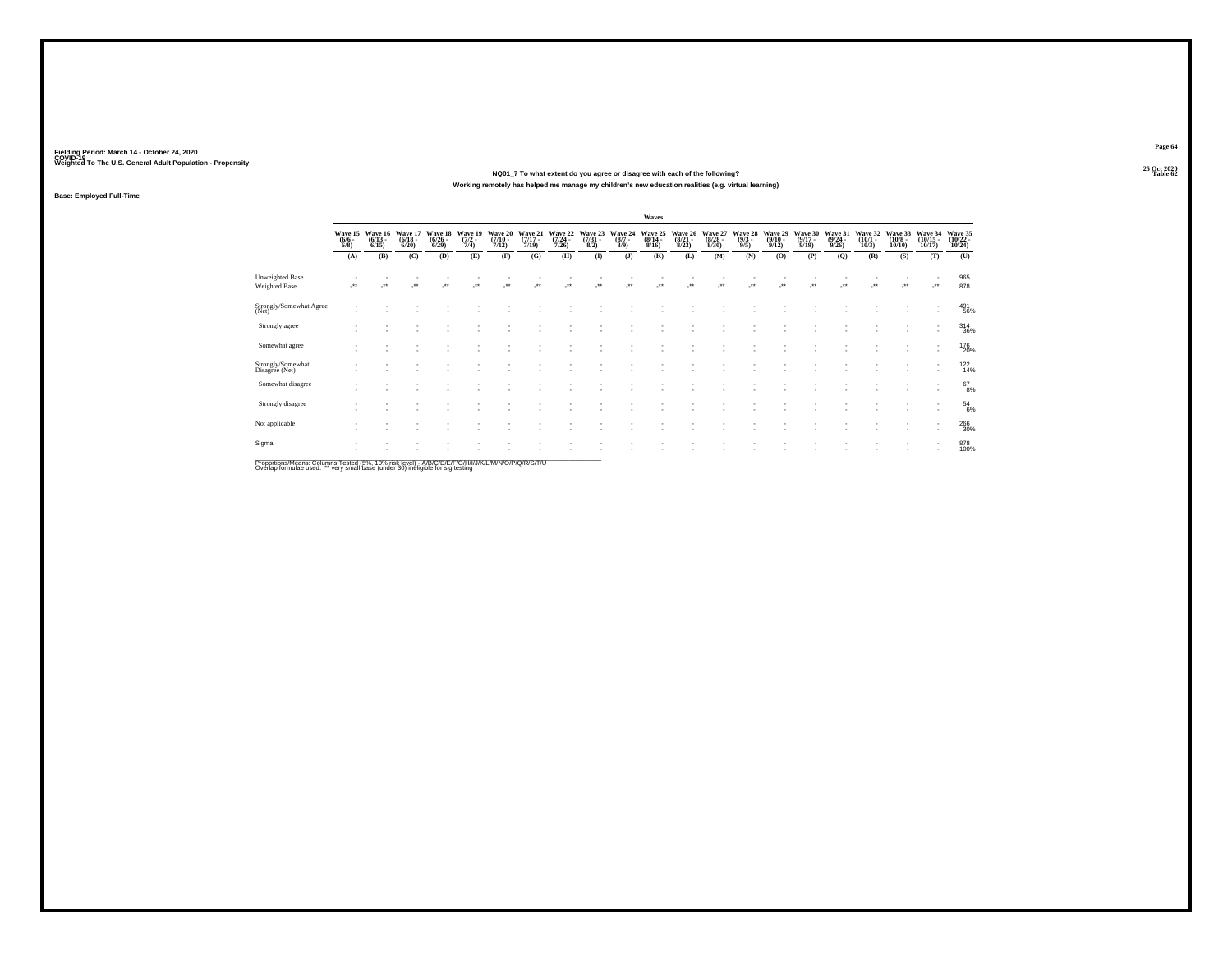**25 Oct 2020NQ01\_7 To what extent do you agree or disagree with each of the following?Table 62 Table 62 Working remotely has helped me manage my children's new education realities (e.g. virtual learning)**

**Base: Employed Full-Time**

|                                         |                               |                                 |                                 |                                      |                                |                                  |                                  |                                  |                                |                               | Waves                            |                                 |                                 |                               |                                  |                                  |                                         |                                 |                                  |                                                      |                                            |
|-----------------------------------------|-------------------------------|---------------------------------|---------------------------------|--------------------------------------|--------------------------------|----------------------------------|----------------------------------|----------------------------------|--------------------------------|-------------------------------|----------------------------------|---------------------------------|---------------------------------|-------------------------------|----------------------------------|----------------------------------|-----------------------------------------|---------------------------------|----------------------------------|------------------------------------------------------|--------------------------------------------|
|                                         | Wave 15<br>$\binom{6/6}{6/8}$ | Wave 16<br>$\binom{6/13}{6/15}$ | Wave 17<br>$\binom{6/18}{6/20}$ | Wave 18<br>$\frac{(6/26 - 6)}{6/29}$ | Wave 19<br>$\frac{(7/2)}{7/4}$ | Wave 20<br>$\frac{(7/10)}{7/12}$ | Wave 21<br>$\frac{(7/17)}{7/19}$ | Wave 22<br>$\frac{(7/24)}{7/26}$ | Wave 23<br>$\binom{7/31}{8/2}$ | Wave 24<br>$\binom{8/7}{8/9}$ | Wave 25<br>$\frac{(8/14)}{8/16}$ | Wave 26<br>$\binom{8/21}{8/23}$ | Wave 27<br>$\binom{8/28}{8/30}$ | Wave 28<br>$\binom{9/3}{9/5}$ | Wave 29<br>$\frac{(9/10)}{9/12}$ | Wave 30<br>$\frac{(9/17)}{9/19}$ | Wave 31<br>$\frac{(9/24 - 9/26)}{9/26}$ | Wave 32<br>$\binom{10/1}{10/3}$ | Wave 33<br>$\binom{10/8}{10/10}$ | Wave 34<br>$\binom{10/15}{10/17}$                    | Wave 35<br>$\frac{(10/22 - 10/24)}{10/24}$ |
|                                         | (A)                           | (B)                             | (C)                             | (D)                                  | (E)                            | (F)                              | (G)                              | (H)                              | $\mathbf{I}$                   | $($ $)$                       | (K)                              | (L)                             | (M)                             | (N)                           | (O)                              | (P)                              | (Q)                                     | (R)                             | (S)                              | (T)                                                  | (U)                                        |
| Unweighted Base<br><b>Weighted Base</b> | $\cdot$                       | $\star$                         | $\ddot{\phantom{1}}$            | $\star\star$                         | $\cdot$                        | $\bullet\,\bullet$               | $\bullet\,\bullet$               | $\cdot$                          | $\bullet\,\bullet$             | $\cdot$                       | $^{\tiny{**}}$                   | $\ddot{}$                       | $\ddot{\phantom{1}}$            | $\bullet\bullet$              | $\cdot$                          | $\ddot{\phantom{1}}$             | $\cdot$                                 | $\ddot{\phantom{1}}$            | $\ddot{\phantom{1}}$             |                                                      | 965<br>878                                 |
| Strongly/Somewhat Agree<br>(Net)        |                               |                                 |                                 |                                      |                                |                                  |                                  |                                  |                                |                               |                                  |                                 |                                 |                               |                                  |                                  |                                         |                                 |                                  | ٠<br>$\sim$                                          | 491<br>56%                                 |
| Strongly agree                          |                               |                                 |                                 |                                      |                                |                                  |                                  |                                  |                                |                               |                                  |                                 |                                 |                               |                                  |                                  |                                         |                                 |                                  | $\overline{\phantom{a}}$<br>٠                        | $^{314}_{36\%}$                            |
| Somewhat agree                          |                               |                                 |                                 |                                      |                                |                                  |                                  |                                  |                                |                               |                                  |                                 |                                 |                               |                                  |                                  |                                         |                                 |                                  | $\overline{\phantom{a}}$<br>$\overline{\phantom{a}}$ | 176<br>20%                                 |
| Strongly/Somewhat<br>Disagree (Net)     |                               |                                 |                                 |                                      |                                |                                  |                                  |                                  |                                |                               |                                  |                                 |                                 |                               |                                  |                                  |                                         |                                 |                                  | $\overline{\phantom{a}}$<br>$\sim$                   | $^{122}_{14\%}$                            |
| Somewhat disagree                       |                               |                                 |                                 |                                      |                                |                                  |                                  |                                  |                                |                               |                                  |                                 |                                 |                               |                                  |                                  |                                         |                                 |                                  | $\overline{\phantom{a}}$<br>$\sim$                   | $^{67}_{8\%}$                              |
| Strongly disagree                       |                               |                                 |                                 |                                      |                                |                                  |                                  |                                  |                                |                               |                                  |                                 |                                 |                               |                                  |                                  |                                         |                                 |                                  | $\sim$<br>$\sim$                                     | $^{54}_{6\%}$                              |
| Not applicable                          |                               |                                 |                                 |                                      |                                |                                  |                                  |                                  |                                |                               |                                  |                                 |                                 |                               |                                  |                                  |                                         |                                 |                                  | $\overline{\phantom{a}}$<br>٠                        | 266<br>30%                                 |
| Sigma                                   |                               |                                 |                                 |                                      |                                |                                  |                                  |                                  |                                |                               |                                  |                                 |                                 |                               |                                  |                                  |                                         |                                 |                                  | $\overline{\phantom{a}}$<br>٠                        | 878<br>100%                                |
|                                         |                               |                                 |                                 |                                      |                                |                                  |                                  |                                  |                                |                               |                                  |                                 |                                 |                               |                                  |                                  |                                         |                                 |                                  |                                                      |                                            |

Proportions/Means: Columns Tested (5%, 10% risk level) - A/B/C/D/E/F/G/H/I/J/K/L/M/N/O/P/Q/R/S/T/U<br>Overlap formulae used. \*\* very small base (under 30) ineligible for sig testing

**Page 6425 Oct 2020<br>Table 62**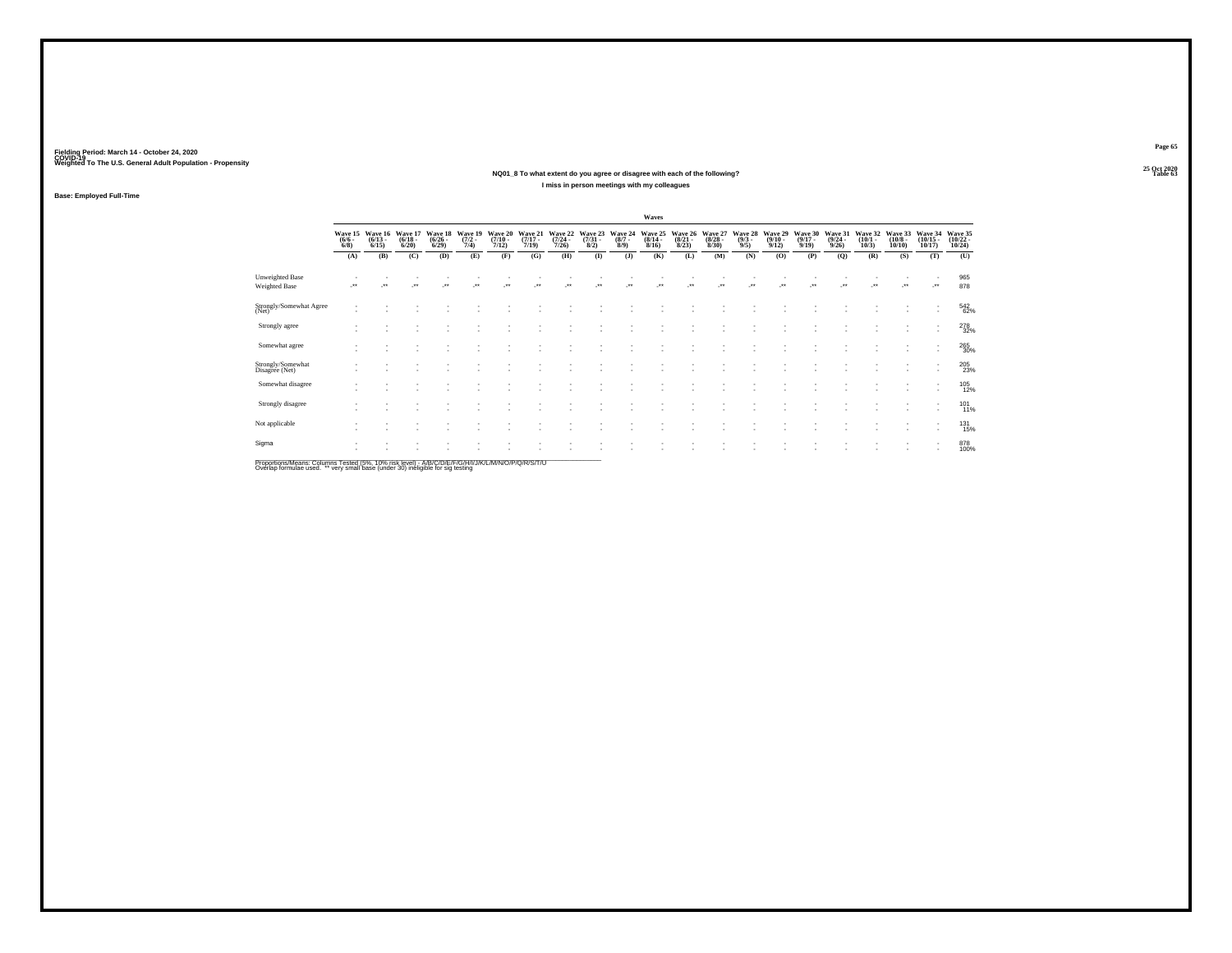### **25 Oct 2020NQ01\_8 To what extent do you agree or disagree with each of the following?Table 63 Table 63 I miss in person meetings with my colleagues**

**Base: Employed Full-Time**

|                                     |                               |                                 |                                 |                                 |                                |                                  |                                  |                                  |                                |                               | Waves                            |                                 |                                 |                               |                                  |                                  |                                         |                                 |                                       |                                                      |                                    |
|-------------------------------------|-------------------------------|---------------------------------|---------------------------------|---------------------------------|--------------------------------|----------------------------------|----------------------------------|----------------------------------|--------------------------------|-------------------------------|----------------------------------|---------------------------------|---------------------------------|-------------------------------|----------------------------------|----------------------------------|-----------------------------------------|---------------------------------|---------------------------------------|------------------------------------------------------|------------------------------------|
|                                     | Wave 15<br>$\binom{6/6}{6/8}$ | Wave 16<br>$\binom{6/13}{6/15}$ | Wave 17<br>$\binom{6/18}{6/20}$ | Wave 18<br>$\binom{6/26}{6/29}$ | Wave 19<br>$\frac{(7/2)}{7/4}$ | Wave 20<br>$\frac{(7/10)}{7/12}$ | Wave 21<br>$\frac{(7/17)}{7/19}$ | Wave 22<br>$\frac{(7/24)}{7/26}$ | Wave 23<br>$\binom{7/31}{8/2}$ | Wave 24<br>$\binom{8/7}{8/9}$ | Wave 25<br>$\frac{(8/14)}{8/16}$ | Wave 26<br>$\binom{8/21}{8/23}$ | Wave 27<br>$\binom{8/28}{8/30}$ | Wave 28<br>$\binom{9/3}{9/5}$ | Wave 29<br>$\frac{(9/10)}{9/12}$ | Wave 30<br>$\frac{(9/17)}{9/19}$ | Wave 31<br>$\frac{(9/24 - 9/26)}{9/26}$ | Wave 32<br>$\binom{10/1}{10/3}$ | Wave 33<br>$\binom{10/8 - 10}{10/10}$ | Wave 34<br>$\binom{10/15}{10/17}$                    | Wave 35<br>$\frac{(10/22)}{10/24}$ |
|                                     | (A)                           | (B)                             | (C)                             | (D)                             | (E)                            | (F)                              | (G)                              | (H)                              | $\mathbf{I}$                   | $($ $)$                       | (K)                              | (L)                             | (M)                             | (N)                           | (0)                              | (P)                              | (Q)                                     | (R)                             | (S)                                   | (T)                                                  | (U)                                |
| Unweighted Base<br>Weighted Base    | $^{\tiny{**}}$                |                                 | $\bullet\bullet$                |                                 | $\bullet\bullet$               | 44                               |                                  | $\bullet\bullet$                 |                                | $\ddot{\phantom{1}}$          | $\ddot{\phantom{0}}$             |                                 | $\ddot{\phantom{1}}$            |                               | $^{\tiny{**}}$                   | $\ddot{\phantom{1}}$             |                                         |                                 | $\ddot{\phantom{0}}$                  | -**                                                  | 965<br>878                         |
| Strongly/Somewhat Agree<br>(Net)    |                               |                                 |                                 |                                 |                                |                                  |                                  |                                  |                                |                               |                                  |                                 |                                 |                               |                                  |                                  |                                         |                                 |                                       | ۰<br>$\overline{\phantom{a}}$                        | 542<br>62%                         |
| Strongly agree                      |                               |                                 |                                 |                                 |                                |                                  |                                  |                                  |                                |                               |                                  |                                 |                                 |                               |                                  |                                  |                                         |                                 |                                       | ٠<br>$\overline{\phantom{a}}$                        | 278<br>32%                         |
| Somewhat agree                      |                               |                                 |                                 |                                 |                                |                                  |                                  |                                  |                                |                               |                                  |                                 |                                 |                               |                                  |                                  |                                         |                                 |                                       | $\overline{\phantom{a}}$<br>$\overline{\phantom{a}}$ | 265<br>30%                         |
| Strongly/Somewhat<br>Disagree (Net) |                               |                                 |                                 |                                 |                                |                                  |                                  |                                  |                                |                               |                                  |                                 |                                 |                               |                                  |                                  |                                         |                                 |                                       | $\overline{\phantom{a}}$<br>$\sim$                   | 205<br>23%                         |
| Somewhat disagree                   |                               |                                 |                                 |                                 |                                |                                  |                                  |                                  |                                |                               |                                  |                                 |                                 | ٠                             |                                  |                                  |                                         |                                 |                                       | $\overline{\phantom{a}}$<br>٠                        | 105<br>12%                         |
| Strongly disagree                   |                               |                                 |                                 |                                 |                                |                                  |                                  |                                  |                                |                               |                                  |                                 |                                 |                               |                                  |                                  |                                         |                                 |                                       | $\overline{\phantom{a}}$<br>٠                        | $^{101}_{11\%}$                    |
| Not applicable                      |                               |                                 |                                 |                                 |                                |                                  |                                  |                                  |                                |                               |                                  |                                 |                                 |                               |                                  |                                  |                                         |                                 |                                       | $\overline{\phantom{a}}$<br>$\overline{\phantom{a}}$ | <sup>131</sup><br>15%              |
| Sigma                               |                               |                                 |                                 |                                 |                                |                                  |                                  |                                  |                                |                               |                                  |                                 |                                 |                               |                                  |                                  |                                         |                                 |                                       | $\overline{\phantom{a}}$<br>٠                        | 878<br>100%                        |

Proportions/Means: Columns Tested (5%, 10% risk level) - A/B/C/D/E/F/G/H/I/J/K/L/M/N/O/P/Q/R/S/T/U<br>Overlap formulae used. \*\* very small base (under 30) ineligible for sig testing

**Page 65**25 Oct 2020<br>Table 63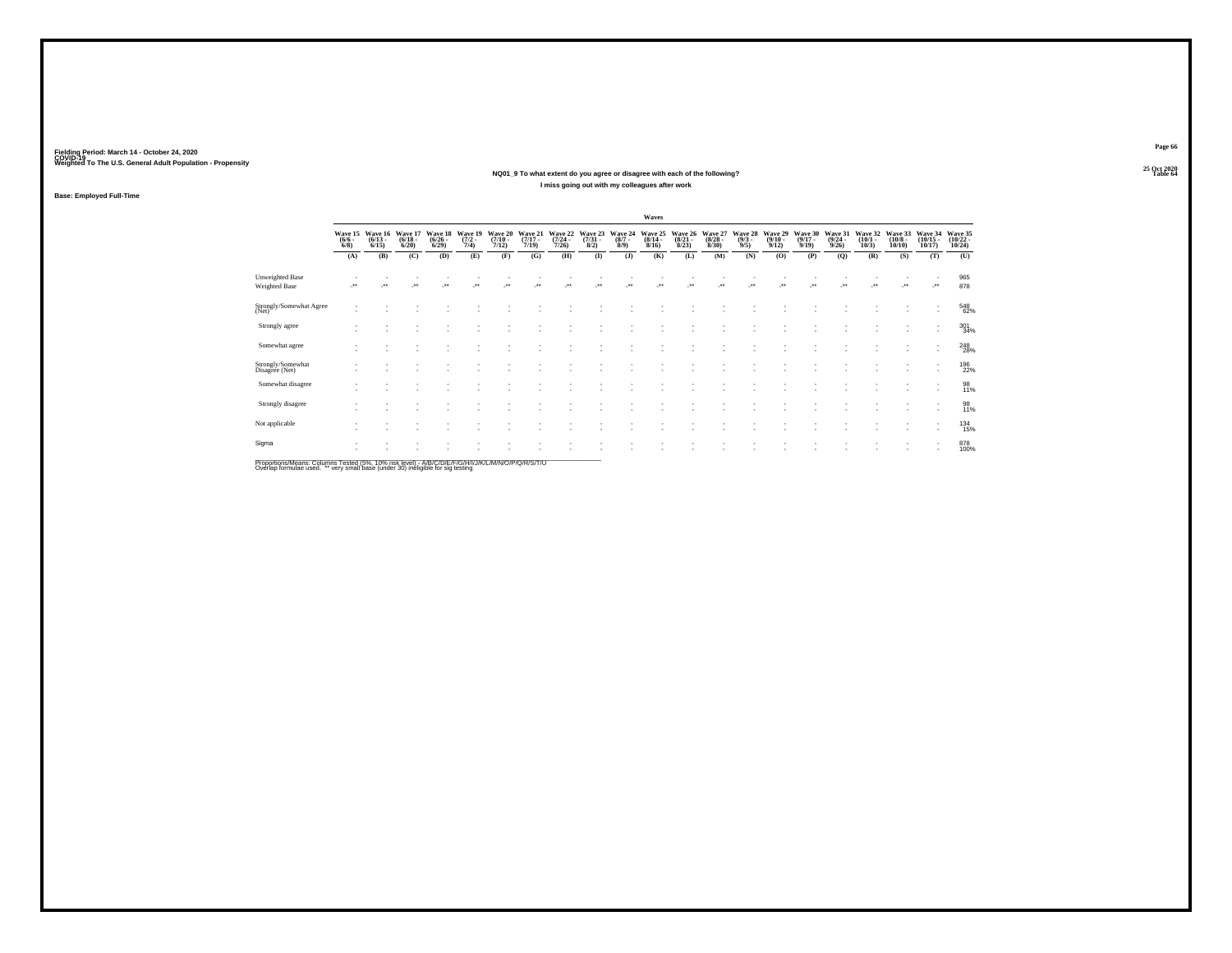### **25 Oct 2020NQ01\_9 To what extent do you agree or disagree with each of the following?Table 64 Table 64 Table 64 Table 64 Table 64 Table 64 Table 64 Table 64 I miss going out with my colleagues after work**

**Base: Employed Full-Time**

|                                         |                               |                                 |                                  |                                 |                                |                                  |                                  |                                  |                                |                               | Waves                            |                                 |                                        |                               |                                 |                                  |                                         |                                 |                                  |                                   |                                    |
|-----------------------------------------|-------------------------------|---------------------------------|----------------------------------|---------------------------------|--------------------------------|----------------------------------|----------------------------------|----------------------------------|--------------------------------|-------------------------------|----------------------------------|---------------------------------|----------------------------------------|-------------------------------|---------------------------------|----------------------------------|-----------------------------------------|---------------------------------|----------------------------------|-----------------------------------|------------------------------------|
|                                         | Wave 15<br>$\binom{6/6}{6/8}$ | Wave 16<br>$\binom{6/13}{6/15}$ | Wave 17<br>$\frac{(6/18)}{6/20}$ | Wave 18<br>$\binom{6/26}{6/29}$ | Wave 19<br>$\frac{(7/2)}{7/4}$ | Wave 20<br>$\frac{(7/10)}{7/12}$ | Wave 21<br>$\frac{(7/17)}{7/19}$ | Wave 22<br>$\frac{(7/24)}{7/26}$ | Wave 23<br>$\binom{7/31}{8/2}$ | Wave 24<br>$\binom{8/7}{8/9}$ | Wave 25<br>$\frac{(8/14)}{8/16}$ | Wave 26<br>$\binom{8/21}{8/23}$ | Wave 27<br>$\frac{(8/28 - 8)}{(8/30)}$ | Wave 28<br>$\binom{9/3}{9/5}$ | Wave 29<br>$\binom{9/10}{9/12}$ | Wave 30<br>$\frac{(9/17)}{9/19}$ | Wave 31<br>$\frac{(9/24 - 9/26)}{9/26}$ | Wave 32<br>$\binom{10/1}{10/3}$ | Wave 33<br>$\binom{10/8}{10/10}$ | Wave 34<br>$\binom{10/15}{10/17}$ | Wave 35<br>$\frac{(10/22)}{10/24}$ |
|                                         | (A)                           | (B)                             | (C)                              | (D)                             | (E)                            | (F)                              | (G)                              | (H)                              | $\bf(I)$                       | $($ $)$                       | (K)                              | (L)                             | (M)                                    | (N)                           | (0)                             | (P)                              | (Q)                                     | (R)                             | (S)                              | (T)                               | (U)                                |
| Unweighted Base<br><b>Weighted Base</b> | $^{++}$                       |                                 |                                  |                                 | $\ddot{\phantom{0}}$           |                                  |                                  |                                  |                                |                               |                                  | $\bullet\bullet$                |                                        |                               |                                 |                                  |                                         |                                 | $\cdot$                          | $\cdot$                           | 965<br>878                         |
| Strongly/Somewhat Agree<br>(Net)        |                               |                                 |                                  |                                 |                                |                                  |                                  |                                  |                                |                               |                                  |                                 |                                        |                               |                                 |                                  |                                         |                                 |                                  |                                   | 548<br>62%                         |
| Strongly agree                          |                               |                                 |                                  |                                 |                                |                                  |                                  |                                  |                                |                               |                                  |                                 |                                        |                               |                                 |                                  |                                         |                                 |                                  | $\overline{\phantom{a}}$          | 301 34%                            |
| Somewhat agree                          |                               |                                 |                                  |                                 |                                |                                  |                                  |                                  |                                |                               |                                  |                                 |                                        |                               |                                 |                                  |                                         |                                 |                                  | $\overline{\phantom{a}}$          | $^{248}_{28\%}$                    |
| Strongly/Somewhat<br>Disagree (Net)     |                               |                                 |                                  |                                 |                                |                                  |                                  |                                  |                                |                               |                                  |                                 |                                        |                               |                                 |                                  |                                         |                                 |                                  |                                   | 196<br>22%                         |
| Somewhat disagree                       |                               |                                 |                                  |                                 |                                |                                  |                                  |                                  |                                |                               |                                  |                                 |                                        |                               |                                 |                                  |                                         |                                 |                                  | $\overline{\phantom{a}}$          | 98<br>11%                          |
| Strongly disagree                       |                               |                                 |                                  |                                 |                                |                                  |                                  |                                  |                                |                               |                                  |                                 |                                        |                               |                                 |                                  |                                         |                                 |                                  |                                   | 98<br>11%                          |
| Not applicable                          |                               |                                 |                                  |                                 |                                |                                  |                                  |                                  |                                |                               |                                  |                                 |                                        |                               |                                 |                                  |                                         |                                 |                                  | $\mathbf{r}$                      | 134<br>15%                         |
| Sigma                                   |                               |                                 |                                  |                                 |                                |                                  |                                  |                                  |                                |                               |                                  |                                 |                                        |                               |                                 |                                  |                                         |                                 |                                  |                                   | 878<br>100%                        |

Proportions/Means: Columns Tested (5%, 10% risk level) - A/B/C/D/E/F/G/H/I/J/K/L/M/N/O/P/Q/R/S/T/U<br>Overlap formulae used. \*\* very small base (under 30) ineligible for sig testing

**Page 66**25 Oct 2020<br>Table 64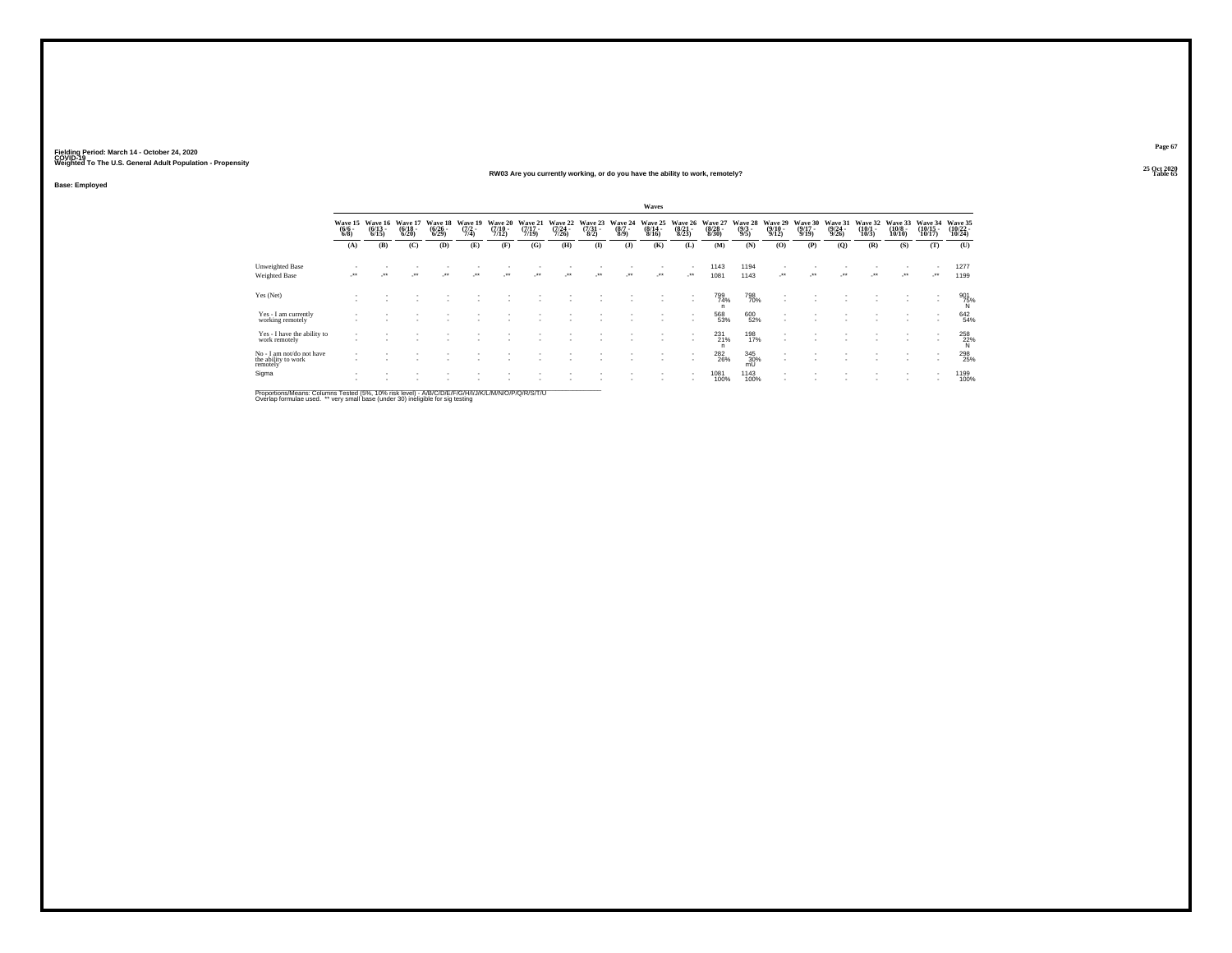**Base: Employed**

### **25 Oct 2020RW03 Are you currently working, or do you have the ability to work, remotely?Table 65 Table 65 Table 65**

|                                                                                         |                                              |                                  |                                  |                                    |                                |                                  |                              |                                  |                                 |                                | Waves                            |                                  |                                  |                                |                                         |                                      |                                  |                              |                                   |                                |                               |
|-----------------------------------------------------------------------------------------|----------------------------------------------|----------------------------------|----------------------------------|------------------------------------|--------------------------------|----------------------------------|------------------------------|----------------------------------|---------------------------------|--------------------------------|----------------------------------|----------------------------------|----------------------------------|--------------------------------|-----------------------------------------|--------------------------------------|----------------------------------|------------------------------|-----------------------------------|--------------------------------|-------------------------------|
|                                                                                         | Wave 15<br>$\frac{(6/6)}{6/8}$               | Wave 16<br>$\frac{(6/13)}{6/15}$ | Wave 17<br>$\frac{(6/18)}{6/20}$ | Wave 18<br>$\frac{(6/26)}{(6/29)}$ | Wave 19<br>$\frac{(7/2)}{7/4}$ | Wave 20<br>$\frac{(7/10)}{7/12}$ | Wave 21<br>$(7/17 -$<br>7/19 | Wave 22<br>$\frac{(7/24)}{7/26}$ | Wave 23<br>$\frac{(7/31)}{8/2}$ | Wave 24<br>$\frac{(8/7)}{8/9}$ | Wave 25<br>$\frac{(8/14)}{8/16}$ | Wave 26<br>$\frac{(8/21)}{8/23}$ | Wave 27<br>$\frac{(8/28)}{8/30}$ | Wave 28<br>$\frac{(9/3)}{9/5}$ | Wave 29<br>$\frac{(9/10 - 9/12)}{9/12}$ | Wave 30<br>$\frac{(9/17 - 9)}{9/19}$ | Wave 31<br>$\frac{(9/24)}{9/26}$ | Wave 32<br>$(10/1 -$<br>10/3 | Wave 33<br>$\frac{(10/8)}{10/10}$ | Wave 34<br>$(10/15 -$<br>10/17 | Wave 35<br>(10/22 -<br>10/24) |
|                                                                                         | (A)                                          | (B)                              | (C)                              | (D)                                | (E)                            | (F)                              | (G)                          | (H)                              | $\bf{I}$                        | $($ J $)$                      | (K)                              | (L)                              | (M)                              | (N)                            | (O)                                     | (P)                                  | (Q)                              | (R)                          | (S)                               | (T)                            | (U)                           |
| Unweighted Base                                                                         |                                              |                                  |                                  |                                    |                                |                                  |                              |                                  |                                 |                                |                                  | $\overline{\phantom{a}}$         | 1143                             | 1194                           |                                         |                                      |                                  |                              |                                   |                                | 1277                          |
| <b>Weighted Base</b>                                                                    | $\begin{array}{c} \bullet\bullet\end{array}$ | $\bullet\bullet$                 | $\ddot{\phantom{0}}$             | $\ddot{\phantom{0}}$               | $\ddot{\phantom{0}}$           | $\ddot{\phantom{0}}$             | $\ddot{\phantom{0}}$         | $\bullet\bullet$                 | $\ddot{\phantom{0}}$            | $\ddot{\phantom{1}}$           | $\cdot$                          | $\cdot$                          | 1081                             | 1143                           | $\cdot$                                 | $^{**}$                              | $\ddot{\phantom{0}}$             |                              | $\bullet\bullet$                  | $\bullet\,\bullet$             | 1199                          |
| Yes (Net)                                                                               |                                              |                                  |                                  |                                    |                                |                                  |                              |                                  |                                 |                                |                                  | $\overline{\phantom{a}}$         | 799<br>74%<br>n                  | 798<br>70%                     |                                         |                                      |                                  |                              |                                   | ٠                              | 901<br>75%<br>N               |
| Yes - I am currently<br>working remotely                                                |                                              |                                  |                                  |                                    |                                |                                  |                              |                                  |                                 |                                |                                  |                                  | 568<br>53%                       | 600<br>52%                     |                                         |                                      |                                  |                              |                                   |                                | 642<br>54%                    |
| Yes - I have the ability to<br>work remotely                                            |                                              |                                  |                                  |                                    |                                |                                  |                              |                                  |                                 |                                |                                  | ٠<br>$\overline{\phantom{a}}$    | $^{231}_{21\%}$<br>n             | 198<br>17%                     | $\overline{\phantom{a}}$                |                                      |                                  |                              |                                   | ٠<br>$\overline{\phantom{a}}$  | 258<br>22%<br>N               |
| No - I am not/do not have<br>the ability to work<br>remotely'                           |                                              |                                  |                                  |                                    |                                |                                  |                              |                                  |                                 |                                |                                  | $\overline{\phantom{a}}$         | <sup>282</sup> <sub>26</sub> %   | $\frac{345}{30\%}$             | $\overline{\phantom{a}}$                |                                      |                                  |                              |                                   |                                | 298<br>25%                    |
| Sigma                                                                                   |                                              |                                  |                                  |                                    |                                |                                  |                              |                                  |                                 |                                |                                  | ٠<br>$\mathbf{r}$                | 1081<br>100%                     | 1143<br>100%                   |                                         |                                      |                                  |                              |                                   | ٠                              | 1199<br>100%                  |
| Departises Alexand Columns Tested IFN ANN deliberal AIN CONTROLLATION AINVALING IN CITA |                                              |                                  |                                  |                                    |                                |                                  |                              |                                  |                                 |                                |                                  |                                  |                                  |                                |                                         |                                      |                                  |                              |                                   |                                |                               |

Proportions/Means: Columns Tested (5%, 10% risk level) - A/B/C/D/E/F/G/H/I/J/K/L/M/N/O/P/Q/R/S/T/U<br>Overlap formulae used. \*\* very small base (under 30) ineligible for sig testing

**Page 67**25 Oct 2020<br>Table 65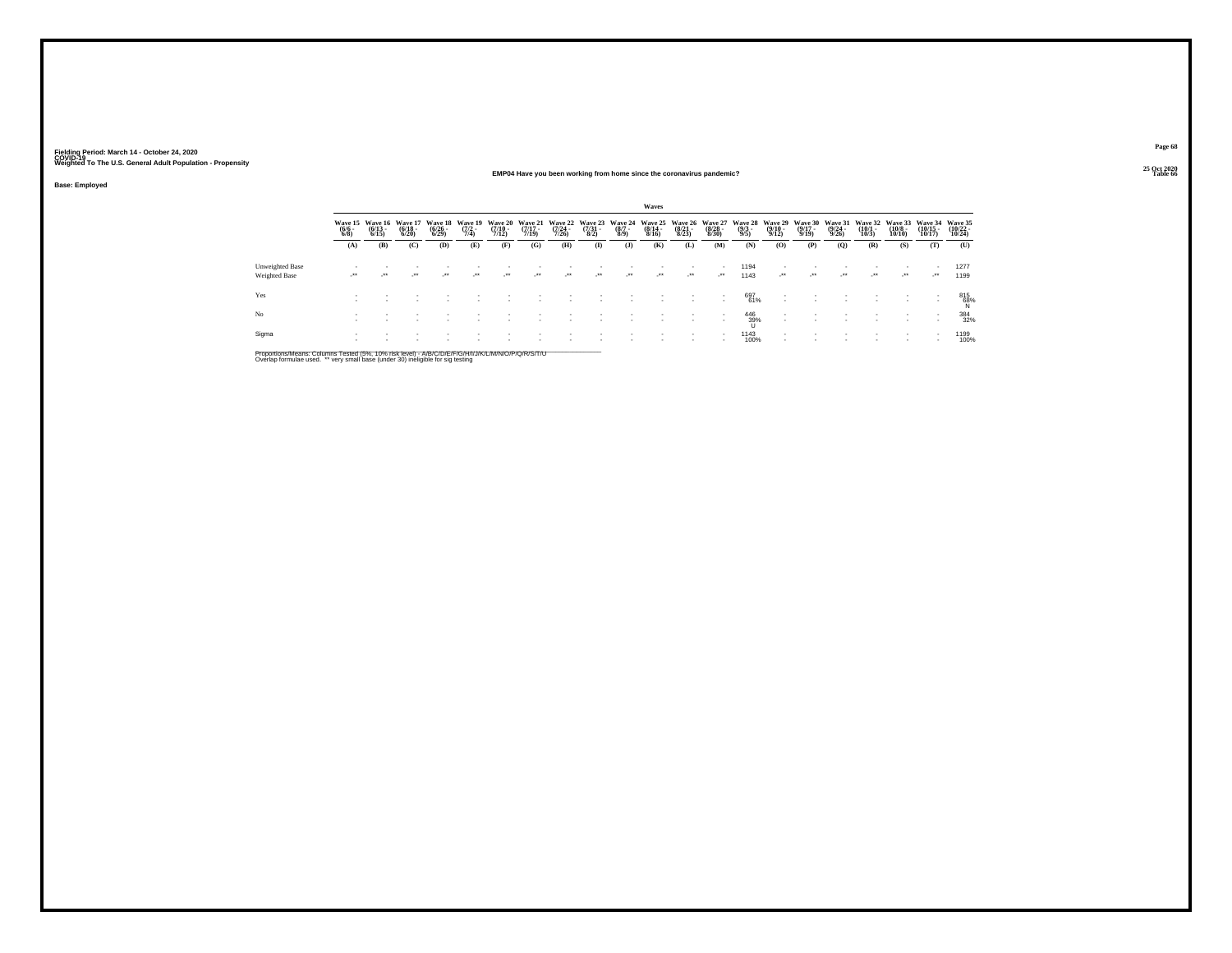**Base: Employed**

### **25 Oct 2020EMP04 Have you been working from home since the coronavirus pandemic?Table 66 Table 66 Table 66 Table 66 Table 66 Table 66 Table 66 Table 66 Table 66 Table 66**

**Page 6825 Oct 2020<br>Table 66** 

|                     |                       |                       |                          |                                |                       |                          |                |                |                          | Waves                 |                                                                         |                       |                         |                       |                                        |                       |                      |                             |                                  |                                   |
|---------------------|-----------------------|-----------------------|--------------------------|--------------------------------|-----------------------|--------------------------|----------------|----------------|--------------------------|-----------------------|-------------------------------------------------------------------------|-----------------------|-------------------------|-----------------------|----------------------------------------|-----------------------|----------------------|-----------------------------|----------------------------------|-----------------------------------|
| $\frac{(6/6)}{6/8}$ | $\frac{(6/13)}{6/15}$ | $\frac{(6/18)}{6/20}$ | $\frac{(6/26)}{(6/29)}$  | Wave 19<br>$\frac{(7/2)}{7/4}$ | $\frac{(7/10)}{7/12}$ | $\frac{(7/17)}{7/19}$    |                |                |                          | $\frac{(8/14)}{8/16}$ | $\frac{(8/21)}{8/23}$                                                   | $\frac{(8/28)}{8/30}$ | $\binom{9/3}{9/5}$      | $\frac{(9/10)}{9/12}$ | $\frac{(9/17)}{9/19}$                  | $\frac{(9/24)}{9/26}$ | $\binom{10/1}{10/3}$ | $\frac{(10/8 - 10)}{10/10}$ | $\frac{(10/15)}{10/17}$          | Wave 35<br>$(10/22 -$<br>10/24    |
| (A)                 | (B)                   | (C)                   | (D)                      | (E)                            | (F)                   | (G)                      | (H)            | $($ $\Gamma$   | (1)                      | (K)                   | (L)                                                                     | (M)                   | (N)                     | (0)                   | (P)                                    | (0)                   | (R)                  | (S)                         | (T)                              | (U)                               |
| $\cdot$             |                       | $\rightarrow$         | $\overline{\phantom{a}}$ | $^{++}$                        | $\cdot$               | $\overline{\phantom{a}}$ |                | $\cdot$        | $\overline{\phantom{a}}$ | $\cdot$               | $\cdot$                                                                 | $\cdot$               | 1194<br>1143            | $\cdot$               | $\cdot$                                | $^{++}$               | $\cdot$              | $\cdot$                     | $\mathcal{L}^{\bullet\bullet}$ . | 1277<br>1199                      |
|                     |                       |                       |                          |                                |                       |                          |                |                |                          |                       |                                                                         |                       | 697                     |                       |                                        |                       |                      |                             |                                  | 815<br>68%                        |
|                     |                       |                       |                          |                                |                       |                          |                |                |                          |                       |                                                                         |                       | 446                     |                       |                                        |                       |                      |                             |                                  | 384<br>32%                        |
|                     |                       |                       |                          |                                |                       |                          |                |                |                          |                       |                                                                         |                       |                         |                       |                                        |                       |                      |                             | $\sim$                           | 1199<br>100%                      |
|                     |                       |                       | Wave 15 Wave 16 Wave 17  |                                | <b>Wave 18</b>        |                          | <b>Wave 20</b> | <b>Wave 21</b> |                          |                       | Wave 22 Wave 23 Wave 24<br>(7/24 - (7/31 - (8/7)<br>7/26) - 8/2) - 8/9) |                       | Wave 25 Wave 26 Wave 27 | 39%                   | Wave 28 Wave 29<br>61%<br>1143<br>100% | <b>Wave 30</b>        | <b>Wave 31</b>       |                             |                                  | Wave 32 Wave 33<br><b>Wave 34</b> |

Proportions/Means: Columns Tested (5%, 10% risk level) - A/B/C/D/E/F/G/H/I/J/K/L/M/N/O/P/Q/R/S/T/U<br>Overlap formulae used. \*\* very small base (under 30) ineligible for sig testing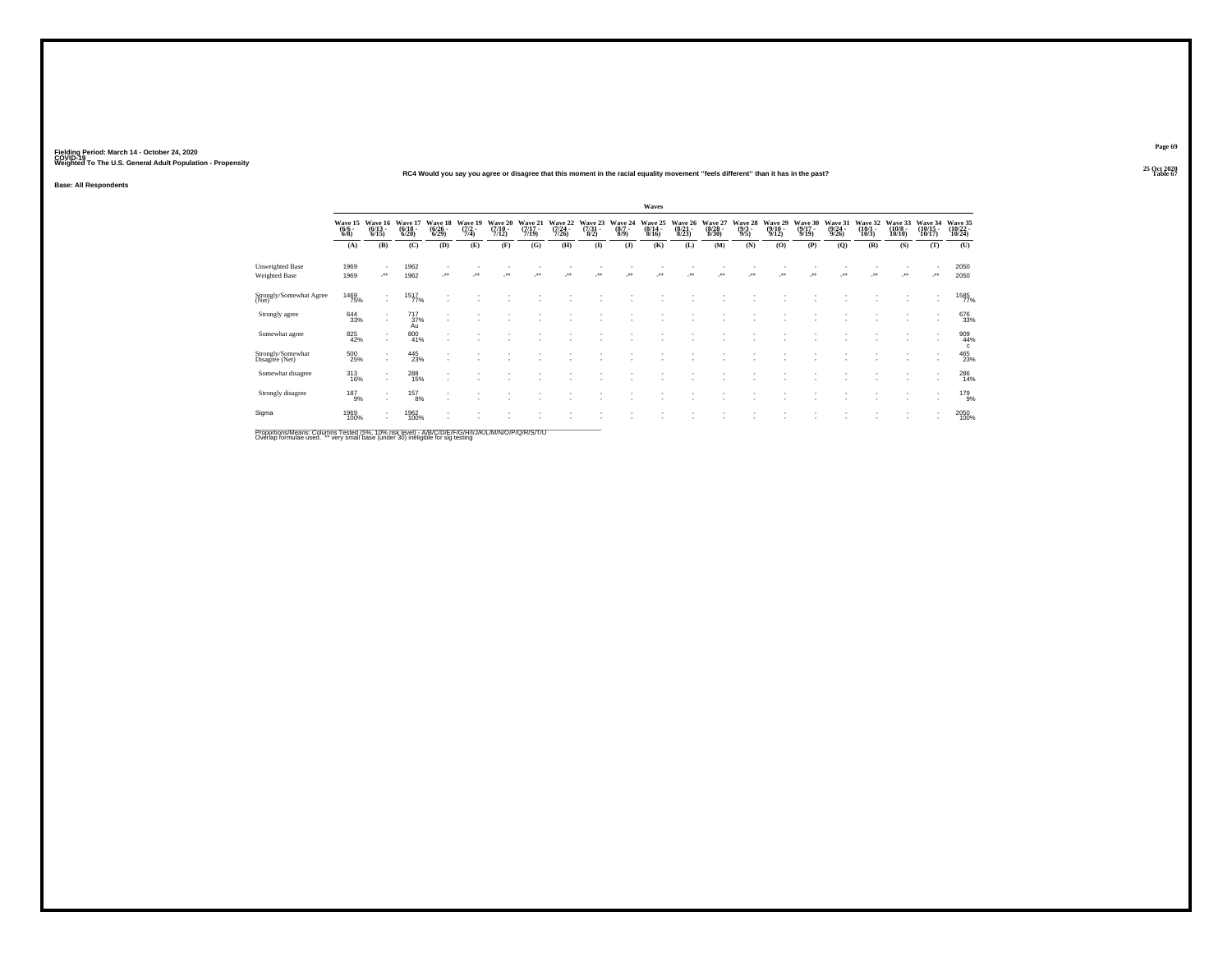### **25 Oct 2020RC4 Would you say you agree or disagree that this moment in the racial equality movement ''feels different'' than it has in the past?Table 67 Table 67 Table 67 Table 67 Table 67 Table 67**

**Base: All Respondents**

|                                                                                                     |                           |                                                      |                                  |                                  |                            |                                  |                           |                             |                            |                            | Waves                       |                             |                                  |                           |                                  |                                  |                             |                                 |                                   |                                                      |                                 |
|-----------------------------------------------------------------------------------------------------|---------------------------|------------------------------------------------------|----------------------------------|----------------------------------|----------------------------|----------------------------------|---------------------------|-----------------------------|----------------------------|----------------------------|-----------------------------|-----------------------------|----------------------------------|---------------------------|----------------------------------|----------------------------------|-----------------------------|---------------------------------|-----------------------------------|------------------------------------------------------|---------------------------------|
|                                                                                                     | Wave 15<br>(6/6 -<br>6/8) | Wave 16<br>(6/13 -<br>6/15)                          | Wave 17<br>$\frac{(6/18)}{6/20}$ | Wave 18<br>$\frac{(6/26)}{6/29}$ | Wave 19<br>(7/2 -<br>7/4)  | Wave 20<br>$\frac{(7/10)}{7/12}$ | Wave 21<br>(7/17<br>7/19) | Wave 22<br>(7/24 -<br>7/26) | Wave 23<br>(7/31 -<br>8/2) | Wave 24<br>$(8/7 -$<br>8/9 | Wave 25<br>(8/14 -<br>8/16) | Wave 26<br>(8/21 -<br>8/23) | Waye 27<br>$\frac{(8/28)}{8/30}$ | Wave 28<br>(9/3 -<br>9/5) | Wave 29<br>$\frac{(9/10)}{9/12}$ | Wave 30<br>$\frac{(9/17)}{9/19}$ | Wave 31<br>(9/24 -<br>9/26) | Wave 32<br>$\binom{10/1}{10/3}$ | Wave 33<br>$\frac{(10/8)}{10/10}$ | Wave 34<br>(10/15 -<br>10/17)                        | Wave 35<br>(10/22 -<br>10/24)   |
|                                                                                                     | (A)                       | (B)                                                  | (C)                              | (D)                              | (E)                        | (F)                              | (G)                       | (H)                         | $($ I)                     | (J)                        | (K)                         | (L)                         | (M)                              | (N)                       | (0)                              | (P)                              | (Q)                         | (R)                             | (S)                               | (T)                                                  | (U)                             |
| <b>Unweighted Base</b><br>Weighted Base                                                             | 1969<br>1969              | $\overline{\phantom{a}}$<br>$\cdot$                  | 1962<br>1962                     | ÷.                               | $\mathcal{L}^{\star\star}$ | $\bullet\bullet$                 |                           | $\ddot{\phantom{1}}$        | 44                         | $\bullet\bullet$           | $\ddot{\phantom{0}}$        |                             | $\ddot{\phantom{0}}$             |                           | $\ddot{\phantom{0}}$             |                                  | $\ddot{\phantom{0}}$        |                                 | $\cdot$                           | $\overline{\phantom{a}}$<br>                         | 2050<br>2050                    |
| Strongly/Somewhat Agree<br>(Net)                                                                    | 1469<br>75%               | $\overline{\phantom{a}}$<br>$\sim$                   | $1517 \atop 77\%$                |                                  |                            |                                  |                           |                             |                            |                            |                             |                             |                                  |                           |                                  |                                  |                             |                                 |                                   | $\overline{\phantom{a}}$<br>$\overline{\phantom{a}}$ | 1585<br>77%                     |
| Strongly agree                                                                                      | 644<br>33%                | $\overline{\phantom{a}}$<br>$\sim$                   | 717<br>37%<br>Au                 |                                  |                            |                                  |                           |                             |                            |                            |                             |                             |                                  |                           |                                  |                                  |                             |                                 |                                   | $\overline{\phantom{a}}$                             | 676<br>33%                      |
| Somewhat agree                                                                                      | 825<br>42%                | $\overline{\phantom{a}}$<br>$\sim$                   | 800<br>41%                       | ۰                                |                            |                                  |                           |                             |                            |                            |                             |                             |                                  |                           |                                  |                                  |                             |                                 | ٠                                 | $\overline{\phantom{a}}$<br>$\overline{\phantom{a}}$ | $^{909}_{44\%}$<br>$\mathbf{c}$ |
| Strongly/Somewhat<br>Disagree (Net)                                                                 | 500<br>25%                | $\sim$<br>$\mathbf{r}$                               | $^{445}_{\  \, 23\%}$            | $\overline{\phantom{a}}$         |                            |                                  |                           |                             |                            |                            |                             |                             |                                  |                           |                                  |                                  |                             |                                 |                                   | $\overline{\phantom{a}}$<br>$\overline{\phantom{a}}$ | 465<br>23%                      |
| Somewhat disagree                                                                                   | 313<br>16%                | $\sim$<br>$\mathbf{r}$                               | $^{288}_{\phantom{1}15\%}$       |                                  |                            |                                  |                           |                             |                            |                            |                             |                             |                                  |                           |                                  |                                  |                             |                                 |                                   | $\overline{\phantom{a}}$<br>$\overline{\phantom{a}}$ | 286<br>14%                      |
| Strongly disagree                                                                                   | $^{187}_{9\%}$            | $\sim$<br>$\mathbf{r}$                               | 157<br>8%                        | $\sim$                           |                            |                                  |                           |                             |                            |                            |                             |                             |                                  |                           |                                  |                                  |                             |                                 |                                   | $\overline{\phantom{a}}$                             | 179 <sub>9%</sub>               |
| Sigma                                                                                               | 1969<br>100%              | $\overline{\phantom{a}}$<br>$\overline{\phantom{a}}$ | 1962<br>100%                     |                                  |                            |                                  |                           |                             |                            |                            |                             |                             |                                  |                           |                                  |                                  |                             |                                 |                                   | $\overline{\phantom{a}}$                             | 2050<br>100%                    |
| Proportions/Means: Columns Tested (5%, 10% risk level) - A/R/C/D/F/F/C/H/I/J/K/L/M/N/Q/P/Q/R/S/T/LL |                           |                                                      |                                  |                                  |                            |                                  |                           |                             |                            |                            |                             |                             |                                  |                           |                                  |                                  |                             |                                 |                                   |                                                      |                                 |

Proportions/Means: Columns Tested (5%, 10% risk level) - A/B/C/D/E/F/G/H/I/J/K/L/M/N/O/P/Q/R/S/T/U<br>Overlap formulae used. \*\* very small base (under 30) ineligible for sig testing

**Page 69**25 Oct 2020<br>Table 67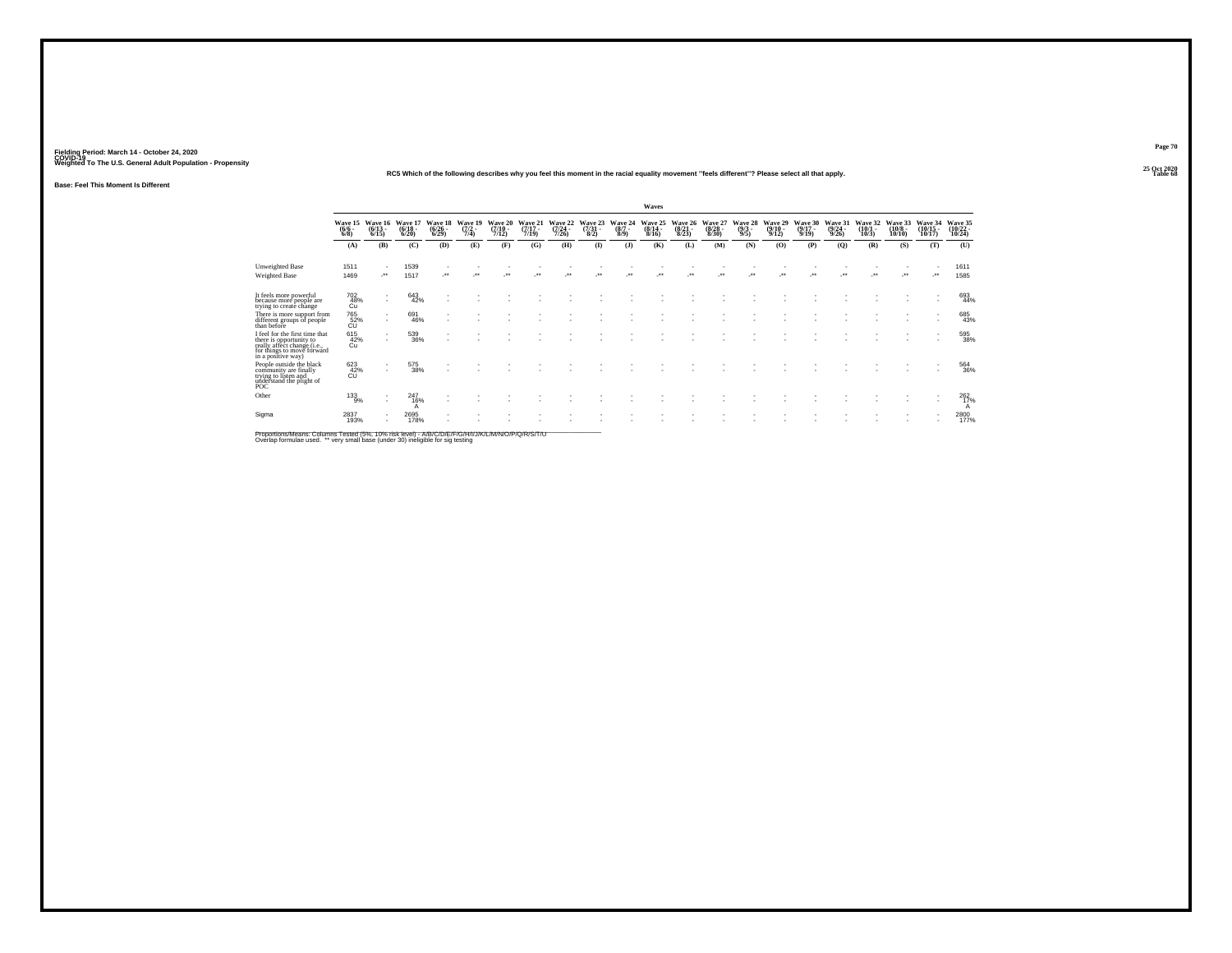### **25 Oct 2020RC5 Which of the following describes why you feel this moment in the racial equality movement ''feels different''? Please select all that apply.**

**Base: Feel This Moment Is Different**

|                                                                                                                                              |                               |                                                      |                              |                                 |                                |                                     |                              |                                     |                             |                            | Waves                        |                                         |                              |                            |                                        |                              |                 |                              |                                      |                                                            |                                    |
|----------------------------------------------------------------------------------------------------------------------------------------------|-------------------------------|------------------------------------------------------|------------------------------|---------------------------------|--------------------------------|-------------------------------------|------------------------------|-------------------------------------|-----------------------------|----------------------------|------------------------------|-----------------------------------------|------------------------------|----------------------------|----------------------------------------|------------------------------|-----------------|------------------------------|--------------------------------------|------------------------------------------------------------|------------------------------------|
|                                                                                                                                              | Wave 15<br>$(6/6 -$<br>6/8    | Wave 16<br>$(6/13 -$<br>6/15                         | Wave 17<br>$(6/18 -$<br>6/20 | Wave 18<br>$\binom{6/26}{6/29}$ | Wave 19<br>$\frac{(7/2)}{7/4}$ | <b>Wave 20</b><br>$(7/10 -$<br>7/12 | Wave 21<br>$(7/17 -$<br>7/19 | <b>Wave 22</b><br>$(7/24 -$<br>7/26 | Wave 23<br>$(7/31 -$<br>8/2 | Wave 24<br>$(8/7 -$<br>8/9 | Wave 25<br>$(8/14 -$<br>8/16 | <b>Wave 26</b><br>$\frac{(8/21)}{8/23}$ | Wave 27<br>$(8/28 -$<br>8/30 | Wave 28<br>$(9/3 -$<br>9/5 | Wave 29<br>$(9/10 -$<br>9/12           | Wave 30<br>$(9/17 -$<br>9/19 | Wave 31<br>9/26 | Wave 32<br>$(10/1 -$<br>10/3 | <b>Wave 33</b><br>$(10/8 -$<br>10/10 | Wave 34<br>$(10/15 -$<br>10/17                             | Wave 35<br>$\frac{(10/22)}{10/24}$ |
|                                                                                                                                              | (A)                           | (B)                                                  | (C)                          | (D)                             | (E)                            | (F)                                 | (G)                          | (H)                                 | $\bf{I}$                    | (3)                        | (K)                          | (L)                                     | (M)                          | (N)                        | (O)                                    | (P)                          | (Q)             | (R)                          | (S)                                  | (T)                                                        | (U)                                |
| <b>Unweighted Base</b><br>Weighted Base                                                                                                      | 1511<br>1469                  | $\overline{\phantom{a}}$<br>$\cdot$                  | 1539<br>1517                 | $\cdot$                         |                                | $^{\tiny{++}}$                      |                              |                                     | $\bullet\bullet$            |                            |                              |                                         |                              |                            | $^{\tiny{\text{+}}\, \tiny{\text{+}}}$ |                              |                 |                              |                                      | $\overline{\phantom{a}}$<br>$\mathcal{L}^{\bullet\bullet}$ | 1611<br>1585                       |
| It feels more powerful<br>because more people are<br>trying to create change                                                                 | 702<br>48%<br>Cu              | $\mathbf{r}$                                         | 643<br>42%                   |                                 |                                |                                     |                              |                                     |                             |                            |                              |                                         |                              |                            |                                        |                              |                 |                              |                                      | $\overline{\phantom{a}}$                                   | 693<br>44%                         |
| There is more support from<br>different groups of people<br>than before                                                                      | 765<br>52%<br>CU              | $\mathbf{r}$<br>$\overline{\phantom{a}}$             | 691<br>46%                   |                                 |                                |                                     |                              |                                     |                             |                            |                              |                                         |                              |                            |                                        |                              |                 |                              |                                      | $\overline{\phantom{a}}$<br>$\overline{\phantom{a}}$       | 685<br>43%                         |
| I feel for the first time that<br>there is opportunity to<br>really affect change (i.e.,<br>for things to move forward<br>in a positive way) | 615<br>42%<br>Cu              | $\overline{\phantom{a}}$<br>$\overline{\phantom{a}}$ | 539<br>36%                   |                                 |                                |                                     |                              |                                     |                             |                            |                              |                                         |                              |                            |                                        |                              |                 |                              |                                      |                                                            | 595<br>38%                         |
| People outside the black<br>community are finally<br>trying to listen and<br>understand the plight of<br>POC                                 | 623<br>$\frac{42}{\text{CU}}$ | ٠                                                    | 575<br>38%                   |                                 |                                |                                     |                              |                                     |                             |                            |                              |                                         |                              |                            |                                        |                              |                 |                              |                                      |                                                            | 564<br>36%                         |
| Other                                                                                                                                        | $^{133}_{9\%}$                | ٠<br>$\overline{\phantom{a}}$                        | 247<br>16%<br>А              |                                 |                                |                                     |                              |                                     |                             |                            |                              |                                         |                              |                            |                                        |                              |                 |                              |                                      |                                                            | 262%<br>A                          |
| Sigma                                                                                                                                        | 2837<br>193%                  | $\sim$                                               | 2695<br>178%                 |                                 |                                |                                     |                              |                                     |                             |                            |                              |                                         |                              |                            |                                        |                              |                 |                              |                                      |                                                            | 2800<br>177%                       |

Proportions/Means: Columns Tested (5%, 10% risk level) - A/B/C/D/E/F/G/H/I/J/K/L/M/N/O/P/Q/R/S/T/U<br>Overlap formulae used. \*\* very small base (under 30) ineligible for sig testing

**Page 70**

**Table 68**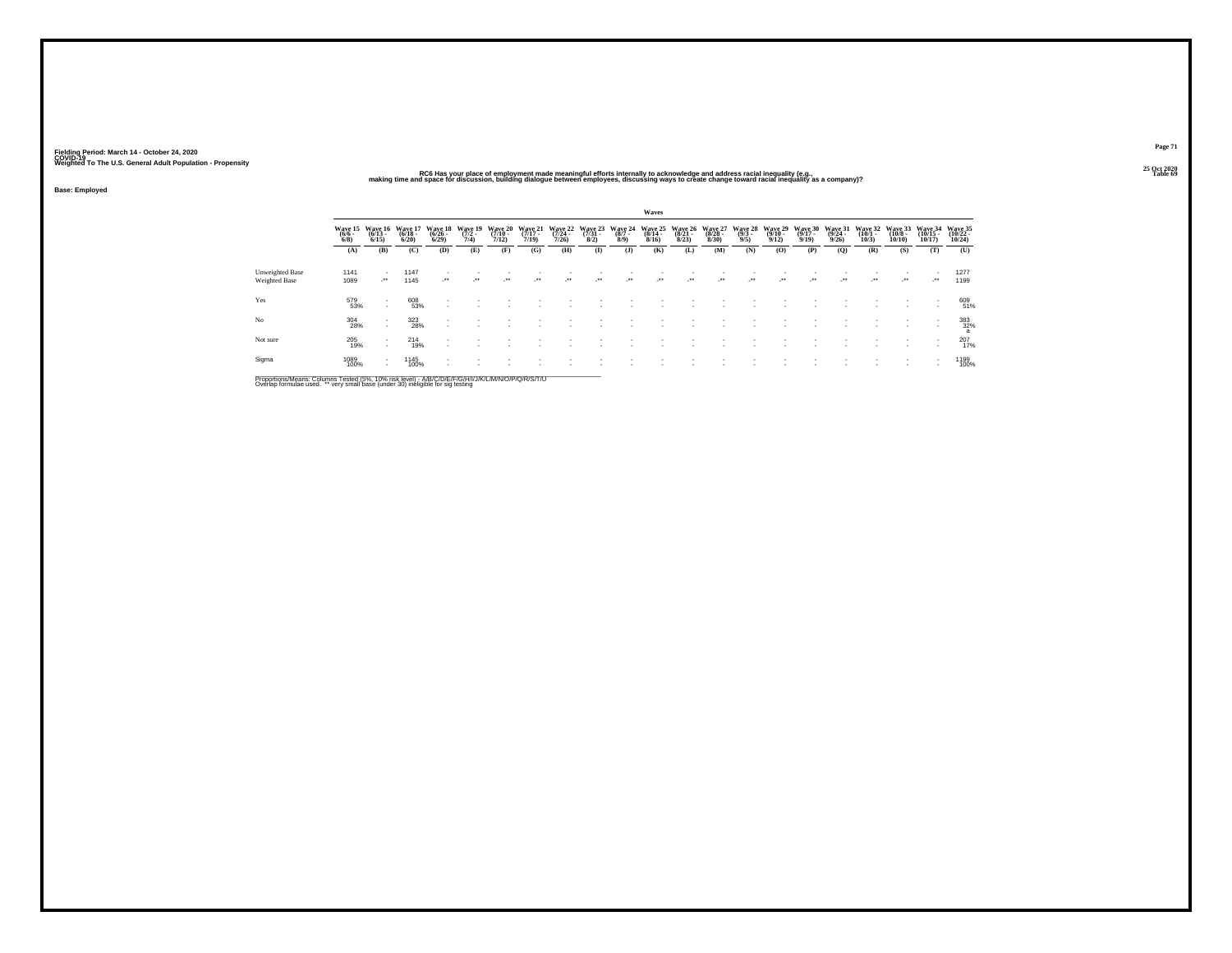### 25 Oct 2020<br>RC6 Has your place of employment made meaningful efforts internally to acknowledge and address racial inequality (e.g.,<br>making time and space for discussion, building dialogue between employees, discussing ways

**Base: Employed**

|                                  |                                |                                 |                              |                              |                                    |                                      |                              |                              |                                 |                           | Waves                            |                              |                                  |                         |                                     |                                      |                                         |                          |                               |                                |                                  |
|----------------------------------|--------------------------------|---------------------------------|------------------------------|------------------------------|------------------------------------|--------------------------------------|------------------------------|------------------------------|---------------------------------|---------------------------|----------------------------------|------------------------------|----------------------------------|-------------------------|-------------------------------------|--------------------------------------|-----------------------------------------|--------------------------|-------------------------------|--------------------------------|----------------------------------|
|                                  | Wave 15<br>$(6/6 -$<br>$6/8$ ) | Wave 16<br>$(6/13 -$<br>6/15    | Wave 17<br>$(6/18 -$<br>6/20 | Wave 18<br>$(6/26 -$<br>6/29 | Wave 19<br>$\frac{(7/2 - 7)}{7/4}$ | Wave 20<br>$\frac{(7/10 - 7)}{7/12}$ | Wave 21<br>$(7/17 -$<br>7/19 | Wave 22<br>$(7/24 -$<br>7/26 | Wave 23<br>$\frac{(7/31)}{8/2}$ | Wave 24<br>(8/7 -<br>8/9) | Wave 25<br>$\frac{(8/14)}{8/16}$ | Wave 26<br>$(8/21 -$<br>8/23 | Wave 27<br>$(8/28 -$<br>$8/30$ ) | Wave 28<br>(9/3<br>9/5) | <b>Wave 29</b><br>$(9/10 -$<br>9/12 | Wave 30<br>$\frac{(9/17 - 9)}{9/19}$ | Wave 31<br>$\frac{(9/24 - 9/26)}{9/26}$ | Wave 32<br>(10/1<br>10/3 | Wave 33<br>$(10/8 -$<br>10/10 | Wave 34<br>$(10/15 -$<br>10/17 | Wave 35<br>(10/22 -<br>$10/24$ ) |
|                                  | (A)                            | (B)                             | (C)                          | (D)                          | (E)                                | (F)                                  | (G)                          | (H)                          | $\mathbf{I}$                    | $($ $\bf{J}$              | (K)                              | (L)                          | (M)                              | (N)                     | (O)                                 | (P)                                  | (O)                                     | (R)                      | (S)                           | (T)                            | (U)                              |
| Unweighted Base<br>Weighted Base | 1141<br>1089                   | $\lambda$                       | 1147<br>1145                 | $\rightarrow$                | $\cdot$                            | $\bullet\bullet$                     | $\bullet\bullet$             | $\cdot$                      | $\cdot$                         | $\cdot$                   | $\bullet\,\bullet$               | $\cdot$                      | $\cdot$                          | $\cdot$                 | $\cdot$                             | $\cdot$                              | $\cdot$                                 | $\rightarrow$            | $\cdot$                       | $\mathcal{L}^{\text{max}}$     | 1277<br>1199                     |
| Yes                              | 579<br>53%                     | . .<br>$\overline{\phantom{a}}$ | 608<br>53%                   |                              |                                    |                                      |                              |                              |                                 |                           |                                  |                              |                                  |                         |                                     |                                      |                                         |                          |                               |                                | 609<br>51%                       |
| No                               | 304<br>28%                     | . .<br>$\overline{\phantom{a}}$ | 323<br>28%                   |                              |                                    |                                      |                              |                              |                                 |                           |                                  |                              |                                  |                         |                                     |                                      |                                         |                          |                               | $\sim$                         | 383<br>32%                       |
| Not sure                         | 205<br>19%                     | $\overline{\phantom{a}}$        | 214<br>19%                   |                              |                                    |                                      |                              |                              |                                 |                           |                                  |                              |                                  |                         |                                     |                                      |                                         |                          |                               |                                | 207<br>17%                       |
| Sigma                            | 1089<br>100%                   | . .<br>$\overline{\phantom{a}}$ | 1145<br>100%                 |                              |                                    |                                      |                              |                              |                                 |                           |                                  |                              |                                  |                         |                                     |                                      |                                         |                          | $\overline{\phantom{a}}$      |                                | 1199<br>100%                     |

Proportions/Means: Columns Tested (5%, 10% risk level) - A/B/C/D/E/F/G/H/I/J/K/L/M/N/O/P/Q/R/S/T/U<br>Overlap formulae used. \*\* very small base (under 30) ineligible for sig testing

**Page 71**25 Oct 2020<br>Table 69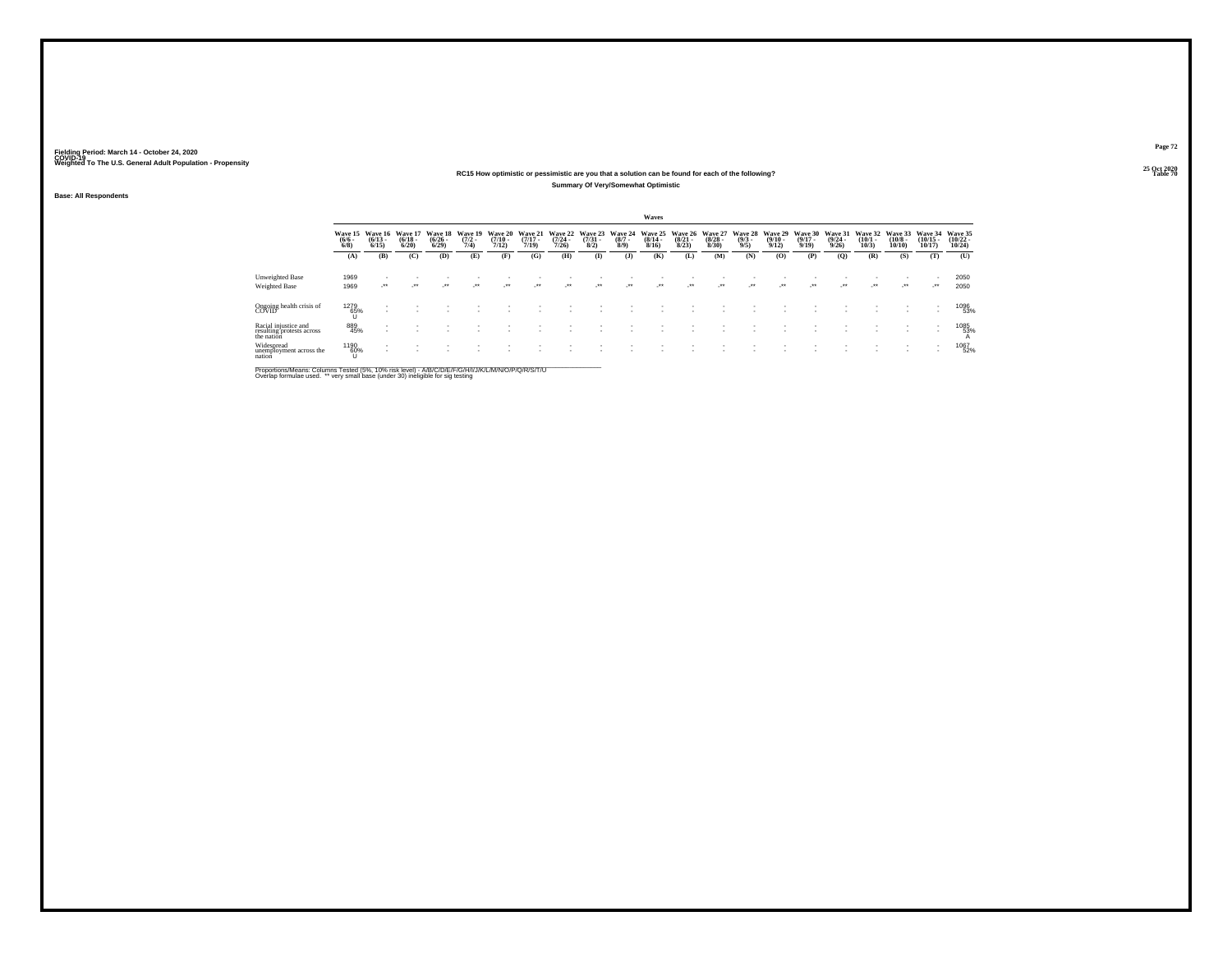#### **25 Oct 2020RC15 How optimistic or pessimistic are you that a solution can be found for each of the following?Summary Of Very/Somewhat Optimistic**

**Base: All Respondents**

|                                                                 |                               |                                 |                                 |                                 |                                |                                  |                              |                                  |                                |                               | Waves                            |                                 |                              |                               |                                                |                                  |                                  |                                         |                               |                                |                                |
|-----------------------------------------------------------------|-------------------------------|---------------------------------|---------------------------------|---------------------------------|--------------------------------|----------------------------------|------------------------------|----------------------------------|--------------------------------|-------------------------------|----------------------------------|---------------------------------|------------------------------|-------------------------------|------------------------------------------------|----------------------------------|----------------------------------|-----------------------------------------|-------------------------------|--------------------------------|--------------------------------|
|                                                                 | Wave 15<br>$\binom{6/6}{6/8}$ | Wave 16<br>$\binom{6/13}{6/15}$ | Wave 17<br>$\binom{6/18}{6/20}$ | Wave 18<br>$\binom{6/26}{6/29}$ | Wave 19<br>$\frac{(7/2)}{7/4}$ | Wave 20<br>$\frac{(7/10)}{7/12}$ | Wave 21<br>$(7/17 -$<br>7/19 | Wave 22<br>$\frac{(7/24)}{7/26}$ | Wave 23<br>$\binom{7/31}{8/2}$ | Wave 24<br>$\binom{8/7}{8/9}$ | Wave 25<br>$\frac{(8/14)}{8/16}$ | Wave 26<br>$\binom{8/21}{8/23}$ | Wave 27<br>$(8/28 -$<br>8/30 | Wave 28<br>$\binom{9/3}{9/5}$ | <b>Wave 29</b><br>$\frac{(9/10 - 9/12)}{9/12}$ | Wave 30<br>$\frac{(9/17)}{9/19}$ | Wave 31<br>$\frac{(9/24)}{9/26}$ | Wave 32<br>$\frac{(10/1 - 10)}{(10/3)}$ | Wave 33<br>$(10/8 -$<br>10/10 | Wave 34<br>$(10/15 -$<br>10/17 | Wave 35<br>$(10/22 -$<br>10/24 |
|                                                                 | (A)                           | (B)                             | (C)                             | (D)                             | (E)                            | (F)                              | (G)                          | (H)                              | $($ $\Gamma$                   | $\mathbf{J}$                  | (K)                              | (L)                             | (M)                          | (N)                           | (0)                                            | (P)                              | $\mathbf{Q}$                     | (R)                                     | (S)                           | (T)                            | (U)                            |
| Unweighted Base<br>Weighted Base                                | 1969<br>1969                  | ur.                             | $\cdot$                         | $\ddot{\phantom{0}}$            | $\ddot{\phantom{0}}$           | $\bullet\bullet$                 | $\bullet\,\bullet$           | $\rightarrow$                    | $\ddot{\phantom{0}}$           | $\ddot{\phantom{1}}$          | $\bullet\bullet$                 | $\bullet\bullet$                | $\cdot$                      | $\rightarrow$                 | $\ddot{\phantom{0}}$                           | $^{\tiny{++}}$                   | $\ddot{\phantom{0}}$             | $\cdot$                                 | $\cdot$                       | ٠<br>$\cdot$                   | 2050<br>2050                   |
| Ongoing health crisis of<br>COVID                               | 1279<br>65%                   |                                 |                                 |                                 |                                |                                  |                              |                                  |                                |                               |                                  |                                 |                              |                               |                                                |                                  |                                  |                                         |                               |                                | 1096<br>53%                    |
| Racial injustice and<br>resulting protests across<br>the nation | 889<br>45%                    |                                 |                                 |                                 |                                |                                  |                              |                                  |                                |                               |                                  |                                 |                              |                               |                                                |                                  |                                  |                                         |                               | ٠                              | 1085<br>53%<br>А               |
| Widespread<br>unemployment across the<br>nation                 | 1190<br>60%                   |                                 |                                 |                                 |                                |                                  |                              |                                  |                                |                               |                                  |                                 |                              |                               |                                                |                                  |                                  |                                         |                               | ٠                              | 1067<br>52%                    |

Proportions/Means: Columns Tested (5%, 10% risk level) - A/B/C/D/E/F/G/H/I/J/K/L/M/N/O/P/Q/R/S/T/U<br>Overlap formulae used. \*\* very small base (under 30) ineligible for sig testing

**Page 72**25 Oct 2020<br>Table 70

**Table 70 Table 70 Table 70 Table 70 Table 70 Table 70 Table 70 Table 70 Table 70 Table 70**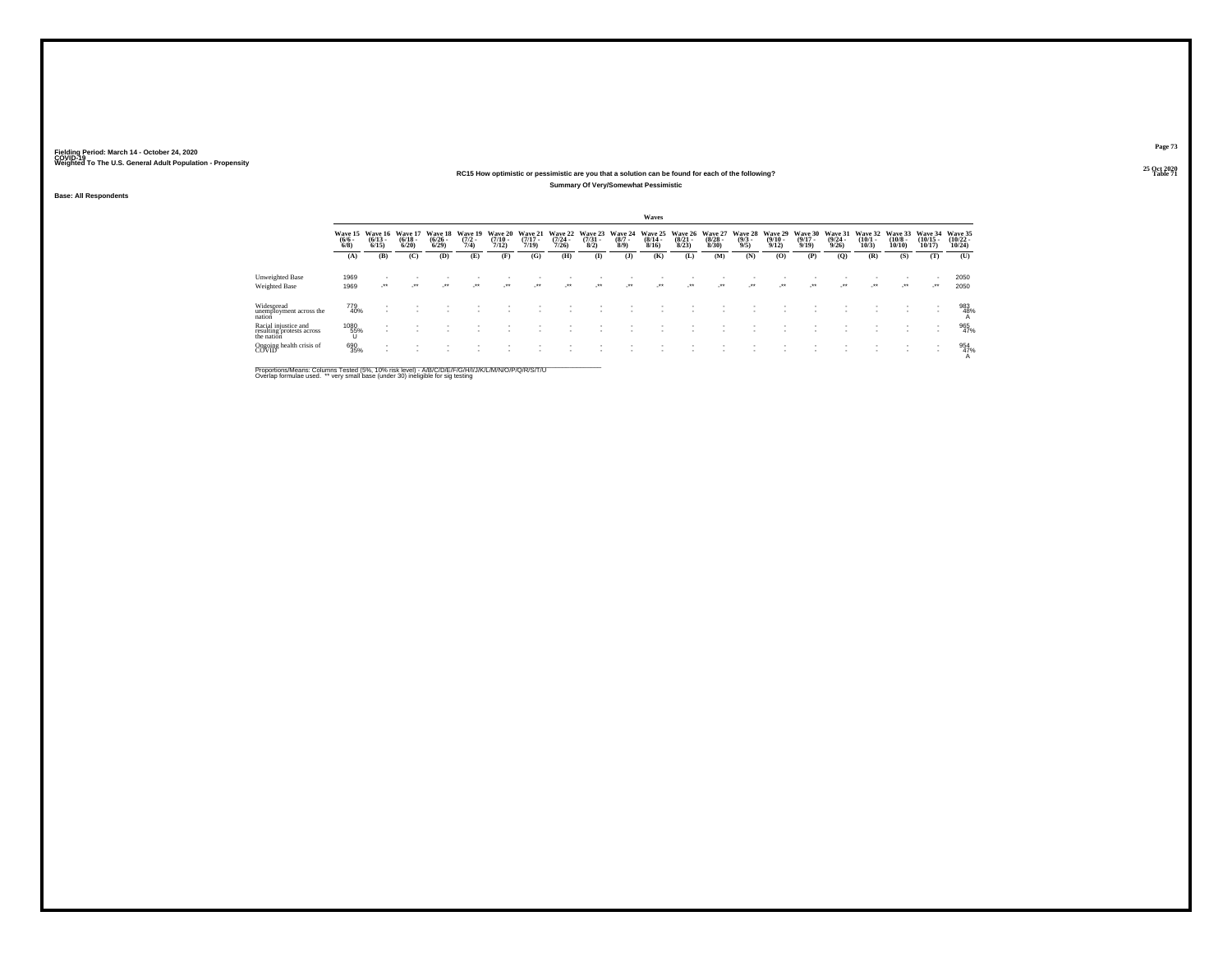#### **25 Oct 2020RC15 How optimistic or pessimistic are you that a solution can be found for each of the following?Summary Of Very/Somewhat Pessimistic**

**Base: All Respondents**

|                                                                 |                                       |                      |                                 |                                 |                                |                                  |                                  |                                  |                                |                               | Waves                            |                                 |                                 |                                |                                  |                                  |                                  |                                 |                                       |                                   |                                   |
|-----------------------------------------------------------------|---------------------------------------|----------------------|---------------------------------|---------------------------------|--------------------------------|----------------------------------|----------------------------------|----------------------------------|--------------------------------|-------------------------------|----------------------------------|---------------------------------|---------------------------------|--------------------------------|----------------------------------|----------------------------------|----------------------------------|---------------------------------|---------------------------------------|-----------------------------------|-----------------------------------|
|                                                                 | Wave 15 Wave 16<br>$\binom{6/6}{6/8}$ | $\binom{6/13}{6/15}$ | Wave 17<br>$\binom{6/18}{6/20}$ | Wave 18<br>$\binom{6/26}{6/29}$ | Wave 19<br>$\frac{(7/2)}{7/4}$ | Wave 20<br>$\frac{(7/10)}{7/12}$ | Wave 21<br>$\frac{(7/17)}{7/19}$ | Wave 22<br>$\frac{(7/24)}{7/26}$ | Wave 23<br>$\binom{7/31}{8/2}$ | Wave 24<br>$\binom{8/7}{8/9}$ | Wave 25<br>$\frac{(8/14)}{8/16}$ | Wave 26<br>$\binom{8/21}{8/23}$ | Wave 27<br>$\binom{8/28}{8/30}$ | Wave 28<br>$\frac{(9/3)}{9/5}$ | Wave 29<br>$\frac{(9/10)}{9/12}$ | Wave 30<br>$\frac{(9/17)}{9/19}$ | Wave 31<br>$\frac{(9/24)}{9/26}$ | Wave 32<br>$\binom{10/1}{10/3}$ | Wave 33<br>$\binom{10/8 - 10}{10/10}$ | Wave 34<br>$\binom{10/15}{10/17}$ | Wave 35<br>$\binom{10/22}{10/24}$ |
|                                                                 | (A)                                   | (B)                  | (C)                             | (D)                             | (E)                            | (F)                              | (G)                              | (H)                              | $($ $\Gamma$                   | $($ $)$                       | (K)                              | (L)                             | (M)                             | (N)                            | (O)                              | (P)                              | $\overline{Q}$                   | (R)                             | (S)                                   | (T)                               | (U)                               |
| Unweighted Base                                                 | 1969                                  |                      |                                 |                                 |                                |                                  |                                  |                                  |                                |                               |                                  |                                 |                                 |                                |                                  |                                  |                                  |                                 |                                       |                                   | 2050                              |
| <b>Weighted Base</b>                                            | 1969                                  | $\cdot$              | $\cdot$                         | $\cdot$                         | $^{++}$                        | $\bullet\bullet$                 | $\bullet\bullet$                 | $\cdot$                          | $\cdot$                        | $^{**}$                       | $\cdot$                          | $\bullet\bullet$                | $\cdot$                         | $\cdot$                        | $\cdot$                          | $\cdot$                          | $\cdot$                          | $\mathcal{L}^{\bullet\bullet}$  | $\cdot$                               | $\cdot$                           | 2050                              |
| Widespread<br>unemployment across the<br>nation                 | 779<br>40%                            |                      |                                 |                                 |                                |                                  |                                  |                                  |                                |                               |                                  |                                 |                                 |                                |                                  |                                  |                                  |                                 |                                       |                                   | 983<br>48%                        |
| Racial injustice and<br>resulting protests across<br>the nation | 1080<br>55%<br>U                      |                      |                                 |                                 |                                |                                  |                                  |                                  |                                |                               |                                  |                                 |                                 |                                |                                  |                                  |                                  |                                 |                                       |                                   | 965<br>47%                        |
| Ongoing health crisis of<br>COVID                               | 690<br>35%                            |                      |                                 |                                 |                                |                                  |                                  |                                  |                                |                               |                                  |                                 |                                 |                                |                                  |                                  |                                  |                                 |                                       | $\sim$<br>٠                       | 954<br>47%                        |

Proportions/Means: Columns Tested (5%, 10% risk level) - A/B/C/D/E/F/G/H/I/J/K/L/M/N/O/P/Q/R/S/T/U<br>Overlap formulae used. \*\* very small base (under 30) ineligible for sig testing

**Page 73**25 Oct 2020<br>Table 71

**Table 71 Table 71**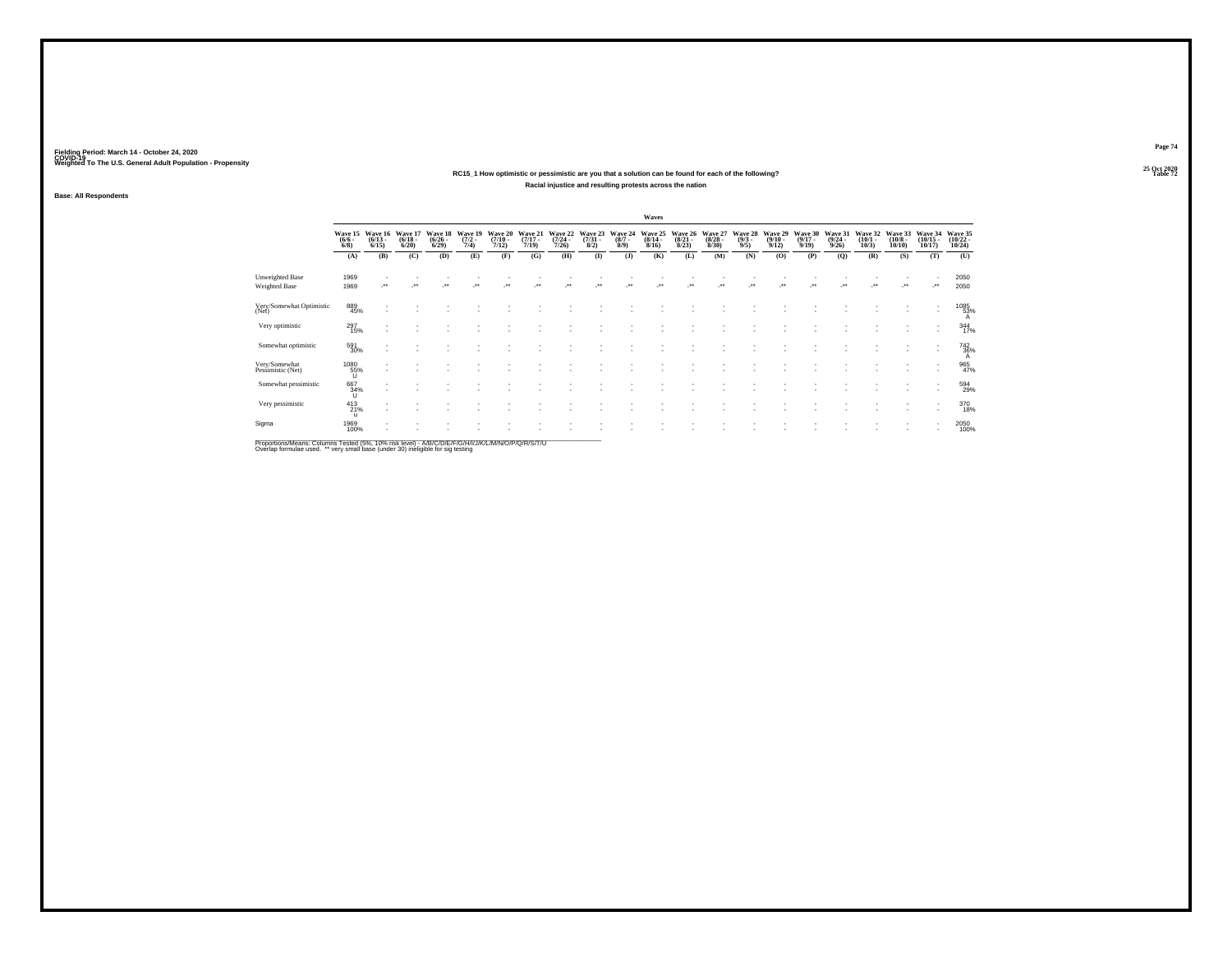### **25 Oct 2020RC15\_1 How optimistic or pessimistic are you that a solution can be found for each of the following?Racial injustice and resulting protests across the nation**

**Base: All Respondents**

|                                    |                                 |                                 |                                  |                                        |                                |                                      |                                  |                                      |                                 |                               | Waves                                    |                                 |                                        |                                |                                         |                                  |                                  |                                      |                                  |                                   |                                   |
|------------------------------------|---------------------------------|---------------------------------|----------------------------------|----------------------------------------|--------------------------------|--------------------------------------|----------------------------------|--------------------------------------|---------------------------------|-------------------------------|------------------------------------------|---------------------------------|----------------------------------------|--------------------------------|-----------------------------------------|----------------------------------|----------------------------------|--------------------------------------|----------------------------------|-----------------------------------|-----------------------------------|
|                                    | Wave 15<br>$\frac{(6/6)}{6/8}$  | Wave 16<br>$\binom{6/13}{6/15}$ | Wave 17<br>$\frac{(6/18)}{6/20}$ | Wave 18<br>$\frac{(6/26 - 6)}{(6/29)}$ | Wave 19<br>$\frac{(7/2)}{7/4}$ | Wave 20<br>$\frac{(7/10 - 7)}{7/12}$ | Wave 21<br>$\frac{(7/17)}{7/19}$ | Wave 22<br>$\frac{(7/24 - 7)}{7/26}$ | Wave 23<br>$\frac{(7/31)}{8/2}$ | Wave 24<br>$\binom{8/7}{8/9}$ | Wave 25<br>$\frac{(8/14 \cdot 8)}{8/16}$ | Wave 26<br>$\binom{8/21}{8/23}$ | Wave 27<br>$\frac{(8/28 - 8)}{(8/30)}$ | Wave 28<br>$\frac{(9/3)}{9/5}$ | Wave 29<br>$\frac{(9/10 - 9/12)}{9/12}$ | Wave 30<br>$\frac{(9/17)}{9/19}$ | Wave 31<br>$\frac{(9/24)}{9/26}$ | Wave 32<br>$\binom{10/1 - 10}{10/3}$ | Wave 33<br>$\binom{10/8}{10/10}$ | Wave 34<br>$\binom{10/15}{10/17}$ | Wave 35<br>$\binom{10/22}{10/24}$ |
|                                    | (A)                             | (B)                             | (C)                              | (D)                                    | (E)                            | (F)                                  | (G)                              | (H)                                  | $($ $\Gamma$                    | $($ J $)$                     | (K)                                      | (L)                             | (M)                                    | (N)                            | (0)                                     | (P)                              | (Q)                              | (R)                                  | (S)                              | (T)                               | (U)                               |
| Unweighted Base<br>Weighted Base   | 1969<br>1969                    |                                 |                                  |                                        |                                |                                      |                                  |                                      |                                 |                               |                                          |                                 |                                        |                                |                                         |                                  |                                  |                                      | $\ddot{\phantom{0}}$             |                                   | 2050<br>2050                      |
| Very/Somewhat Optimistic<br>(Net)  | 889<br>45%                      |                                 |                                  |                                        |                                |                                      |                                  |                                      |                                 |                               |                                          |                                 |                                        |                                |                                         |                                  |                                  |                                      |                                  | $\sim$                            | 1085<br>53%<br>A                  |
| Very optimistic                    | 297<br>15%                      | ٠                               |                                  |                                        |                                |                                      |                                  |                                      |                                 |                               |                                          |                                 |                                        |                                |                                         |                                  |                                  |                                      |                                  |                                   | 344                               |
| Somewhat optimistic                | 591<br>30%                      | $\overline{\phantom{a}}$        |                                  |                                        |                                |                                      |                                  |                                      |                                 |                               |                                          |                                 |                                        |                                |                                         |                                  |                                  |                                      |                                  | $\sim$                            | 742<br>36%                        |
| Very/Somewhat<br>Pessimistic (Net) | $^{1080}_{\qquad\qquad\,55\%}$  |                                 |                                  |                                        |                                |                                      |                                  |                                      |                                 |                               |                                          |                                 |                                        |                                |                                         |                                  |                                  |                                      |                                  |                                   | 965<br>47%                        |
| Somewhat pessimistic               | 667<br>34%<br>τı                |                                 |                                  |                                        |                                |                                      |                                  |                                      |                                 |                               |                                          |                                 |                                        |                                |                                         |                                  |                                  |                                      |                                  | ٠                                 | 594<br>29%                        |
| Very pessimistic                   | $^{413}_{21\%}$<br>$\mathbf{u}$ |                                 |                                  |                                        |                                |                                      |                                  |                                      |                                 |                               |                                          |                                 |                                        |                                |                                         |                                  |                                  |                                      |                                  | ٠                                 | 370                               |
| Sigma                              | 1969<br>100%                    |                                 |                                  |                                        |                                |                                      |                                  |                                      |                                 |                               |                                          |                                 |                                        |                                |                                         |                                  |                                  |                                      |                                  |                                   | 2050<br>100%                      |
|                                    |                                 |                                 |                                  |                                        |                                |                                      |                                  |                                      |                                 |                               |                                          |                                 |                                        |                                |                                         |                                  |                                  |                                      |                                  |                                   |                                   |

Proportions/Means: Columns Tested (5%, 10% risk level) - A/B/C/D/E/F/G/H/I/J/K/L/M/N/O/P/Q/R/S/T/U<br>Overlap formulae used. \*\* very small base (under 30) ineligible for sig testing

**Page 74**25 Oct 2020<br>Table 72

**Table 72 Table 72**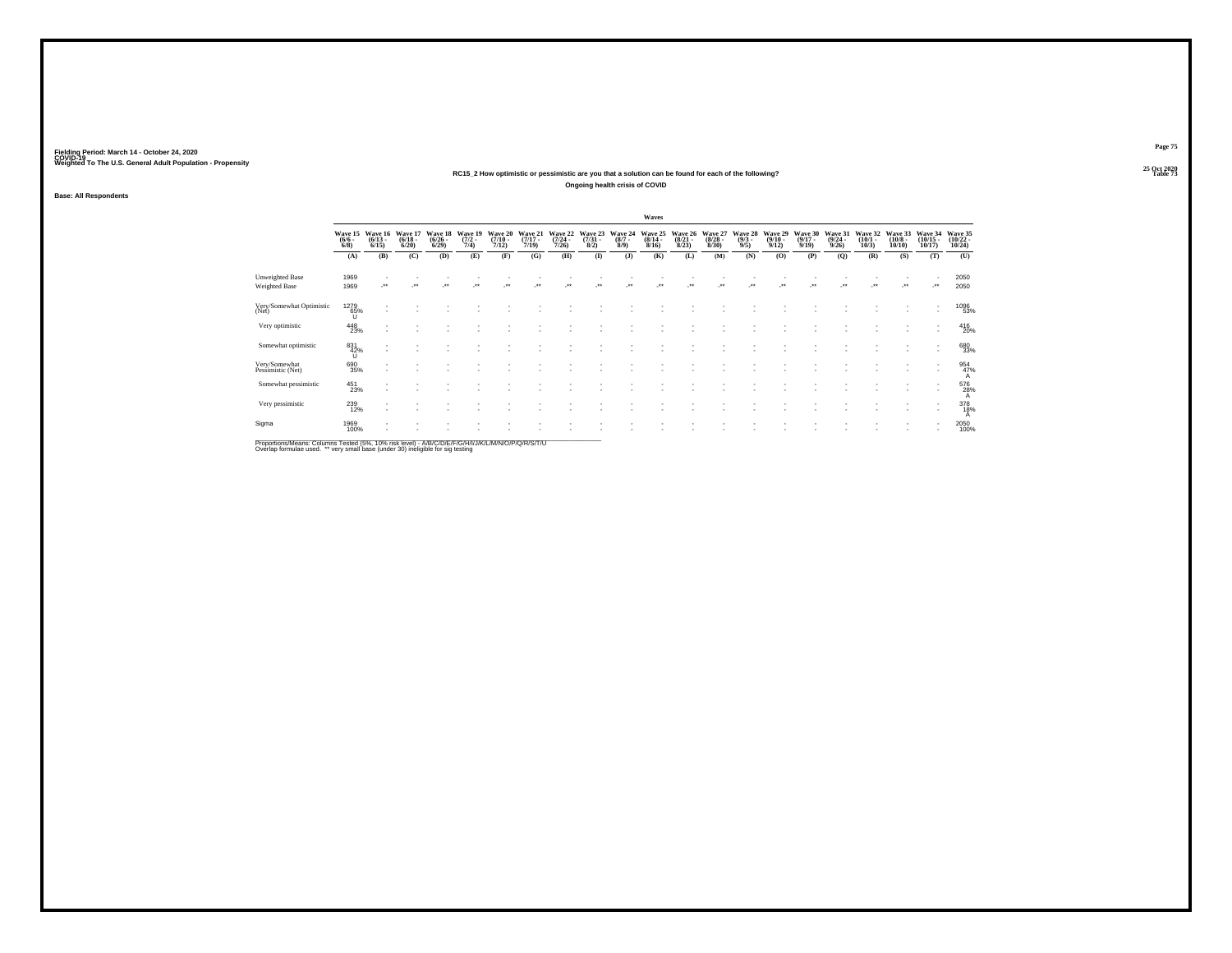### **25 Oct 2020RC15\_2 How optimistic or pessimistic are you that a solution can be found for each of the following?Ongoing health crisis of COVID**

**Base: All Respondents**

|                                    |                                     |                                         |                                 |                                 |                                |                                      |                                  |                                  |                                |                               | Waves                                   |                                 |                                 |                               |                                 |                                  |                                         |                                 |                                  |                                   |                                    |
|------------------------------------|-------------------------------------|-----------------------------------------|---------------------------------|---------------------------------|--------------------------------|--------------------------------------|----------------------------------|----------------------------------|--------------------------------|-------------------------------|-----------------------------------------|---------------------------------|---------------------------------|-------------------------------|---------------------------------|----------------------------------|-----------------------------------------|---------------------------------|----------------------------------|-----------------------------------|------------------------------------|
|                                    | $\frac{(6/6)}{6/8}$                 | Wave 15 Wave 16<br>$\binom{6/13}{6/15}$ | Wave 17<br>$\binom{6/18}{6/20}$ | Wave 18<br>$\binom{6/26}{6/29}$ | Wave 19<br>$\frac{(7/2)}{7/4}$ | Wave 20<br>$\frac{(7/10 - 7)}{7/12}$ | Wave 21<br>$\frac{(7/17)}{7/19}$ | Wave 22<br>$\frac{(7/24)}{7/26}$ | Wave 23<br>$\binom{7/31}{8/2}$ | Wave 24<br>$\binom{8/7}{8/9}$ | Wave 25<br>$\frac{(8/14 - 8/16)}{8/16}$ | Wave 26<br>$\binom{8/21}{8/23}$ | Wave 27<br>$\binom{8/28}{8/30}$ | Wave 28<br>$\binom{9/3}{9/5}$ | Wave 29<br>$\binom{9/10}{9/12}$ | Wave 30<br>$\frac{(9/17)}{9/19}$ | Wave 31<br>$\frac{(9/24 - 9/26)}{9/26}$ | Wave 32<br>$\binom{10/1}{10/3}$ | Wave 33<br>$\binom{10/8}{10/10}$ | Wave 34<br>$\binom{10/15}{10/17}$ | Wave 35<br>$\frac{(10/22)}{10/24}$ |
|                                    | (A)                                 | (B)                                     | (C)                             | (D)                             | (E)                            | (F)                                  | (G)                              | (H)                              | $($ $\Gamma$                   | (1)                           | (K)                                     | (L)                             | (M)                             | (N)                           | (O)                             | (P)                              | $\mathbf{Q}$                            | (R)                             | (S)                              | (T)                               | (U)                                |
| Unweighted Base<br>Weighted Base   | 1969<br>1969                        | $\cdots$                                |                                 |                                 |                                |                                      |                                  |                                  |                                |                               |                                         |                                 |                                 |                               |                                 |                                  |                                         | $\ddot{\phantom{0}}$            | $\ddot{\phantom{1}}$             | -**                               | 2050<br>2050                       |
| Very/Somewhat Optimistic<br>(Net)  | 1279<br>65%<br>U                    |                                         |                                 |                                 |                                |                                      |                                  |                                  |                                |                               |                                         |                                 |                                 |                               |                                 |                                  |                                         |                                 |                                  |                                   | 1096<br>53%                        |
| Very optimistic                    | $^{448}_{23\%}$                     |                                         |                                 |                                 |                                |                                      |                                  |                                  |                                |                               |                                         |                                 |                                 |                               |                                 |                                  |                                         |                                 |                                  | $\sim$                            | 416<br>20%                         |
| Somewhat optimistic                | $\overset{831}{\underset{U}{42\%}}$ | $\overline{\phantom{a}}$                |                                 |                                 |                                |                                      |                                  |                                  |                                |                               |                                         |                                 |                                 |                               |                                 |                                  |                                         |                                 |                                  | $\overline{\phantom{a}}$          | 680<br>33%                         |
| Very/Somewhat<br>Pessimistic (Net) | 690<br>35%                          |                                         |                                 |                                 |                                |                                      |                                  |                                  |                                |                               |                                         |                                 |                                 |                               |                                 |                                  |                                         |                                 |                                  | ٠<br>$\sim$                       | 954<br>47%                         |
| Somewhat pessimistic               | 451<br>23%                          |                                         |                                 |                                 |                                |                                      |                                  |                                  |                                |                               |                                         |                                 |                                 |                               |                                 |                                  |                                         |                                 |                                  | $\overline{\phantom{a}}$          | 576<br>28%<br>А                    |
| Very pessimistic                   | 239<br>12%                          | $\overline{\phantom{a}}$                |                                 |                                 |                                |                                      |                                  |                                  |                                |                               |                                         |                                 |                                 |                               |                                 |                                  |                                         |                                 |                                  | $\overline{\phantom{a}}$          | 378                                |
| Sigma                              | 1969<br>100%                        |                                         |                                 |                                 |                                |                                      |                                  |                                  |                                |                               |                                         |                                 |                                 |                               |                                 |                                  |                                         |                                 |                                  |                                   | 2050<br>100%                       |
|                                    |                                     |                                         |                                 |                                 |                                |                                      |                                  |                                  |                                |                               |                                         |                                 |                                 |                               |                                 |                                  |                                         |                                 |                                  |                                   |                                    |

Proportions/Means: Columns Tested (5%, 10% risk level) - A/B/C/D/E/F/G/H/I/J/K/L/M/N/O/P/Q/R/S/T/U<br>Overlap formulae used. \*\* very small base (under 30) ineligible for sig testing

**Page 75**25 Oct 2020<br>Table 73

**Table 73 Table 73**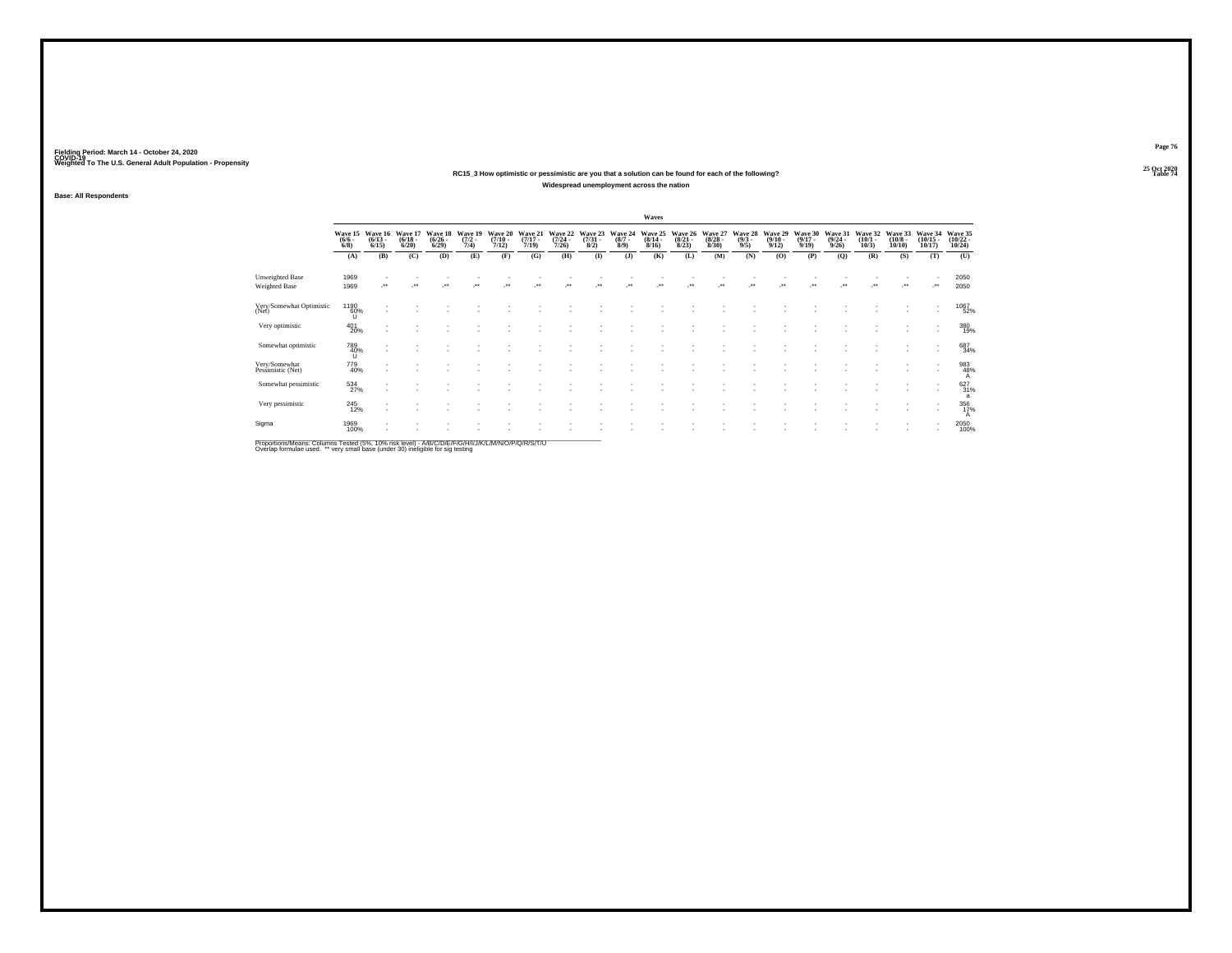#### **25 Oct 2020RC15\_3 How optimistic or pessimistic are you that a solution can be found for each of the following?Widespread unemployment across the nation**

**Base: All Respondents**

|                                    |                                |                                 |                                  |                                      |                                |                                  |                                  |                                  |                                |                               | Waves                            |                                 |                                  |                               |                                  |                                  |                                         |                                 |                                       |                                   |                                   |
|------------------------------------|--------------------------------|---------------------------------|----------------------------------|--------------------------------------|--------------------------------|----------------------------------|----------------------------------|----------------------------------|--------------------------------|-------------------------------|----------------------------------|---------------------------------|----------------------------------|-------------------------------|----------------------------------|----------------------------------|-----------------------------------------|---------------------------------|---------------------------------------|-----------------------------------|-----------------------------------|
|                                    | Wave 15<br>$\frac{(6/6)}{6/8}$ | Wave 16<br>$\binom{6/13}{6/15}$ | Wave 17<br>$\frac{(6/18)}{6/20}$ | Wave 18<br>$\frac{(6/26 - 6)}{6/29}$ | Wave 19<br>$\frac{(7/2)}{7/4}$ | Wave 20<br>$\frac{(7/10)}{7/12}$ | Wave 21<br>$\frac{(7/17)}{7/19}$ | Wave 22<br>$\frac{(7/24)}{7/26}$ | Wave 23<br>$\binom{7/31}{8/2}$ | Wave 24<br>$\binom{8/7}{8/9}$ | Wave 25<br>$\frac{(8/14)}{8/16}$ | Wave 26<br>$\binom{8/21}{8/23}$ | Wave 27<br>$\frac{(8/28)}{8/30}$ | Wave 28<br>$\binom{9/3}{9/5}$ | Wave 29<br>$\frac{(9/10)}{9/12}$ | Wave 30<br>$\frac{(9/17)}{9/19}$ | Wave 31<br>$\frac{(9/24 - 9/26)}{9/26}$ | Wave 32<br>$\binom{10/1}{10/3}$ | Wave 33<br>$\binom{10/8 - 10}{10/10}$ | Wave 34<br>$\binom{10/15}{10/17}$ | Wave 35<br>$\binom{10/22}{10/24}$ |
|                                    | (A)                            | (B)                             | (C)                              | (D)                                  | (E)                            | (F)                              | (G)                              | (H)                              | $\bf{I}$                       | (J)                           | (K)                              | (L)                             | (M)                              | (N)                           | (O)                              | (P)                              | (Q)                                     | (R)                             | (S)                                   | (T)                               | (U)                               |
| Unweighted Base<br>Weighted Base   | 1969<br>1969                   |                                 |                                  |                                      |                                |                                  |                                  |                                  |                                |                               |                                  |                                 |                                  |                               |                                  |                                  |                                         |                                 |                                       |                                   | 2050<br>2050                      |
| Very/Somewhat Optimistic<br>(Net)  | $^{1190}_{60\%}$               |                                 |                                  |                                      |                                |                                  |                                  |                                  |                                |                               |                                  |                                 |                                  |                               |                                  |                                  |                                         |                                 |                                       |                                   | 1067<br>52%                       |
| Very optimistic                    | $^{401}_{20\%}$                |                                 |                                  |                                      |                                |                                  |                                  |                                  |                                |                               |                                  |                                 |                                  |                               |                                  |                                  |                                         |                                 |                                       | $\overline{\phantom{a}}$          | 380<br>19%                        |
| Somewhat optimistic                | 789<br>40%<br>U                | $\overline{\phantom{a}}$        |                                  |                                      |                                |                                  |                                  |                                  |                                |                               |                                  |                                 |                                  |                               |                                  |                                  |                                         |                                 |                                       |                                   | 687<br>34%                        |
| Very/Somewhat<br>Pessimistic (Net) | 779<br>40%                     |                                 |                                  |                                      |                                |                                  |                                  |                                  |                                |                               |                                  |                                 |                                  |                               |                                  |                                  |                                         |                                 |                                       |                                   | 983<br>48%<br>A                   |
| Somewhat pessimistic               | 534<br>27%                     |                                 |                                  |                                      |                                |                                  |                                  |                                  |                                |                               |                                  |                                 |                                  |                               |                                  |                                  |                                         |                                 |                                       |                                   | 627<br>31%<br>a                   |
| Very pessimistic                   | $^{245}_{12\%}$                |                                 |                                  |                                      |                                |                                  |                                  |                                  |                                |                               |                                  |                                 |                                  |                               |                                  |                                  |                                         |                                 |                                       | $\overline{\phantom{a}}$          | 356<br>17%<br>A                   |
| Sigma                              | 1969<br>100%                   |                                 |                                  |                                      |                                |                                  |                                  |                                  |                                |                               |                                  |                                 |                                  |                               |                                  |                                  |                                         |                                 |                                       |                                   | 2050<br>100%                      |
|                                    |                                |                                 |                                  |                                      |                                |                                  |                                  |                                  |                                |                               |                                  |                                 |                                  |                               |                                  |                                  |                                         |                                 |                                       |                                   |                                   |

Proportions/Means: Columns Tested (5%, 10% risk level) - A/B/C/D/E/F/G/H/I/J/K/L/M/N/O/P/Q/R/S/T/U<br>Overlap formulae used. \*\* very small base (under 30) ineligible for sig testing

**Page 76**25 Oct 2020<br>Table 74

**Table 74 Table 74 Table 74 Table 74 Table 74 Table 74 Table 74 Table 74**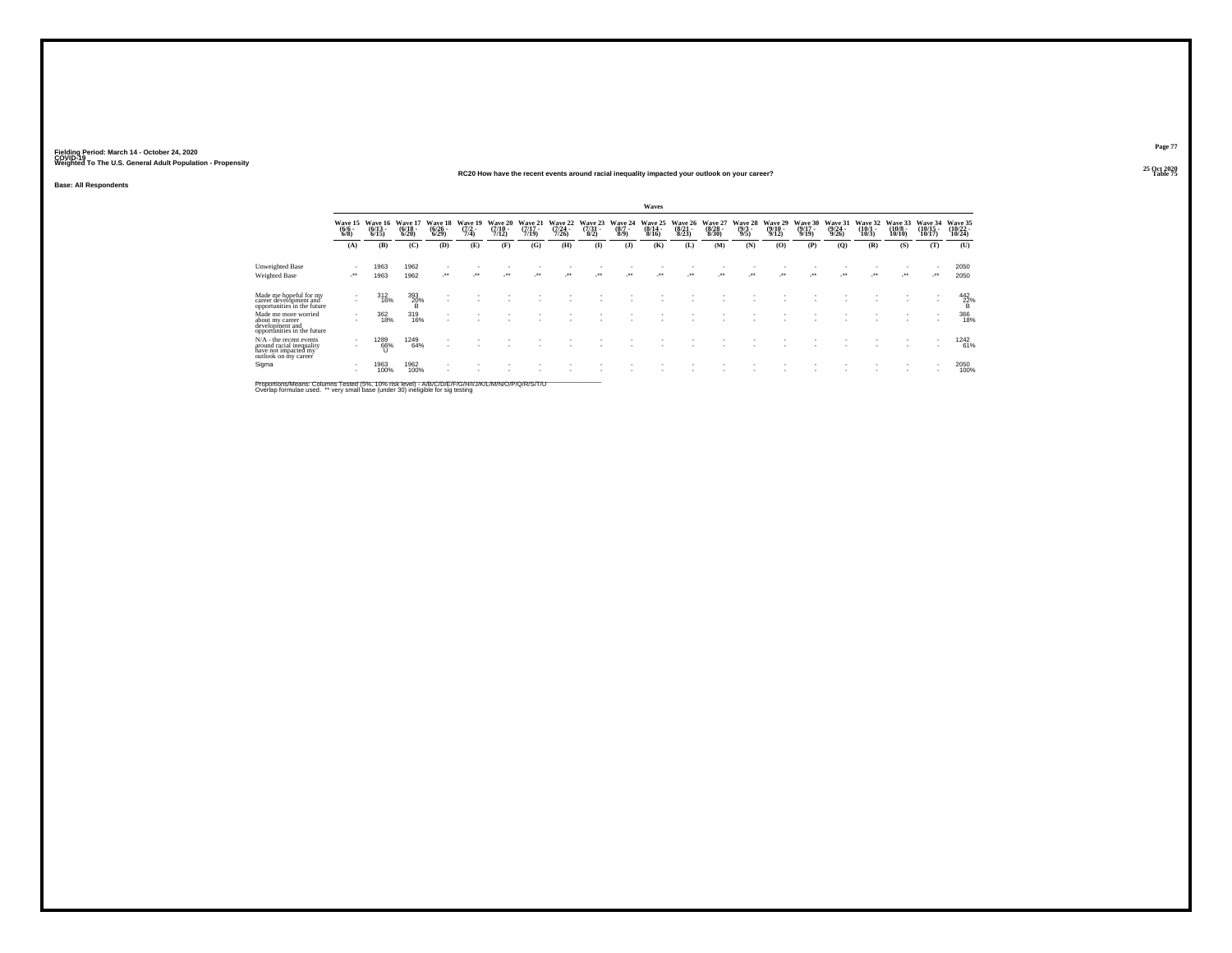#### **25 Oct 2020RC20 How have the recent events around racial inequality impacted your outlook on your career?Table 75 Table 75 Table 75 Table 75 Table 75 Table 75 Table 75 Table 75**

**Base: All Respondents**

|                                                                                                       |                                    |                              |                                     |                                 |                                |                                  |                                  |                                  |                                |                            | Waves                                    |                                    |                                      |                                |                              |                                      |                                         |                                 |                                        |                                |                                |
|-------------------------------------------------------------------------------------------------------|------------------------------------|------------------------------|-------------------------------------|---------------------------------|--------------------------------|----------------------------------|----------------------------------|----------------------------------|--------------------------------|----------------------------|------------------------------------------|------------------------------------|--------------------------------------|--------------------------------|------------------------------|--------------------------------------|-----------------------------------------|---------------------------------|----------------------------------------|--------------------------------|--------------------------------|
|                                                                                                       | Wave 15<br>$\frac{(6/6 - 6)}{6/8}$ | Wave 16<br>$(6/13 -$<br>6/15 | <b>Wave 1'</b><br>$(6/18 -$<br>6/20 | Wave 18<br>$\binom{6/26}{6/29}$ | Wave 19<br>$\frac{(7/2)}{7/4}$ | Wave 20<br>$\frac{(7/10)}{7/12}$ | Wave 21<br>$\frac{(7/17)}{7/19}$ | Wave 22<br>$\frac{(7/24)}{7/26}$ | Wave 23<br>$\binom{7/31}{8/2}$ | Wave 24<br>$(8/7 -$<br>8/9 | Wave 25<br>$\frac{(8/14 \cdot 8)}{8/16}$ | Wave<br>26<br>$\binom{8/21}{8/23}$ | Wave 27<br>$\frac{(8/28 - 8)}{8/30}$ | Wave 28<br>$\frac{(9/3)}{9/5}$ | Wave 29<br>$(9/10 -$<br>9/12 | Wave 30<br>$\frac{(9/17 - 9)}{9/19}$ | Wave 31<br>$\frac{(9/24 - 9/26)}{9/26}$ | Wave 32<br>$\binom{10/1}{10/3}$ | Wave 33<br>$\frac{(10/8 - 10)}{10/10}$ | Wave 34<br>$(10/15 -$<br>10/17 | Wave 35<br>$(10/22 -$<br>10/24 |
|                                                                                                       | (A)                                | (B)                          | (C)                                 | (D)                             | (E)                            | (F)                              | (G)                              | (H)                              | $\bf{I}$                       | $($ $)$                    | (K)                                      | (L)                                | (M)                                  | (N)                            | (0)                          | (P)                                  | (Q)                                     | (R)                             | (S)                                    | (T)                            | (U)                            |
| <b>Unweighted Base</b><br>Weighted Base                                                               | $\cdot$                            | 1963<br>1963                 | 1962<br>1962                        | ur.                             |                                | $^{**}$                          | $\ddot{\phantom{0}}$             | $^{**}$                          | $^{+}$                         | $^{\tiny{++}}$             | $\cdot$                                  | $\ddot{\phantom{1}}$               |                                      |                                | $\ddot{\phantom{0}}$         | $^{\tiny{++}}$                       | $\cdot$                                 | $\cdot$                         | $\cdot$                                | $\cdot$                        | 2050<br>2050                   |
| Made me hopeful for my<br>career development and<br>opportunities in the future                       |                                    | $\frac{312}{16\%}$           | $\frac{393}{20\%}$                  |                                 |                                |                                  |                                  |                                  |                                |                            |                                          |                                    |                                      |                                |                              |                                      |                                         |                                 |                                        |                                | $^{442}_{22\%}$                |
| Made me more worried<br>about my career<br>development and<br>opportunities in the future             |                                    | 362<br>18%                   | 319<br>16%                          |                                 |                                |                                  |                                  |                                  |                                |                            |                                          |                                    |                                      |                                |                              |                                      |                                         |                                 |                                        |                                | 366<br>18%                     |
| $N/A$ - the recent events<br>around racial inequality<br>have not impacted my<br>outlook on my career | $\sim$                             | 1289<br>66%                  | 1249<br>64%                         |                                 |                                |                                  |                                  |                                  |                                |                            |                                          |                                    |                                      |                                |                              |                                      |                                         |                                 | ٠                                      | $\mathbf{r}$                   | 1242<br>61%                    |
| Sigma                                                                                                 |                                    | 1963<br>100%                 | 1962<br>100%                        |                                 |                                |                                  |                                  |                                  |                                |                            |                                          |                                    |                                      |                                |                              |                                      |                                         |                                 |                                        |                                | 2050<br>100%                   |

Proportions/Means: Columns Tested (5%, 10% risk level) - A/B/C/D/E/F/G/H/I/J/K/L/M/N/O/P/Q/R/S/T/U<br>Overlap formulae used. \*\* very small base (under 30) ineligible for sig testing

**Page 77**25 Oct 2020<br>Table 75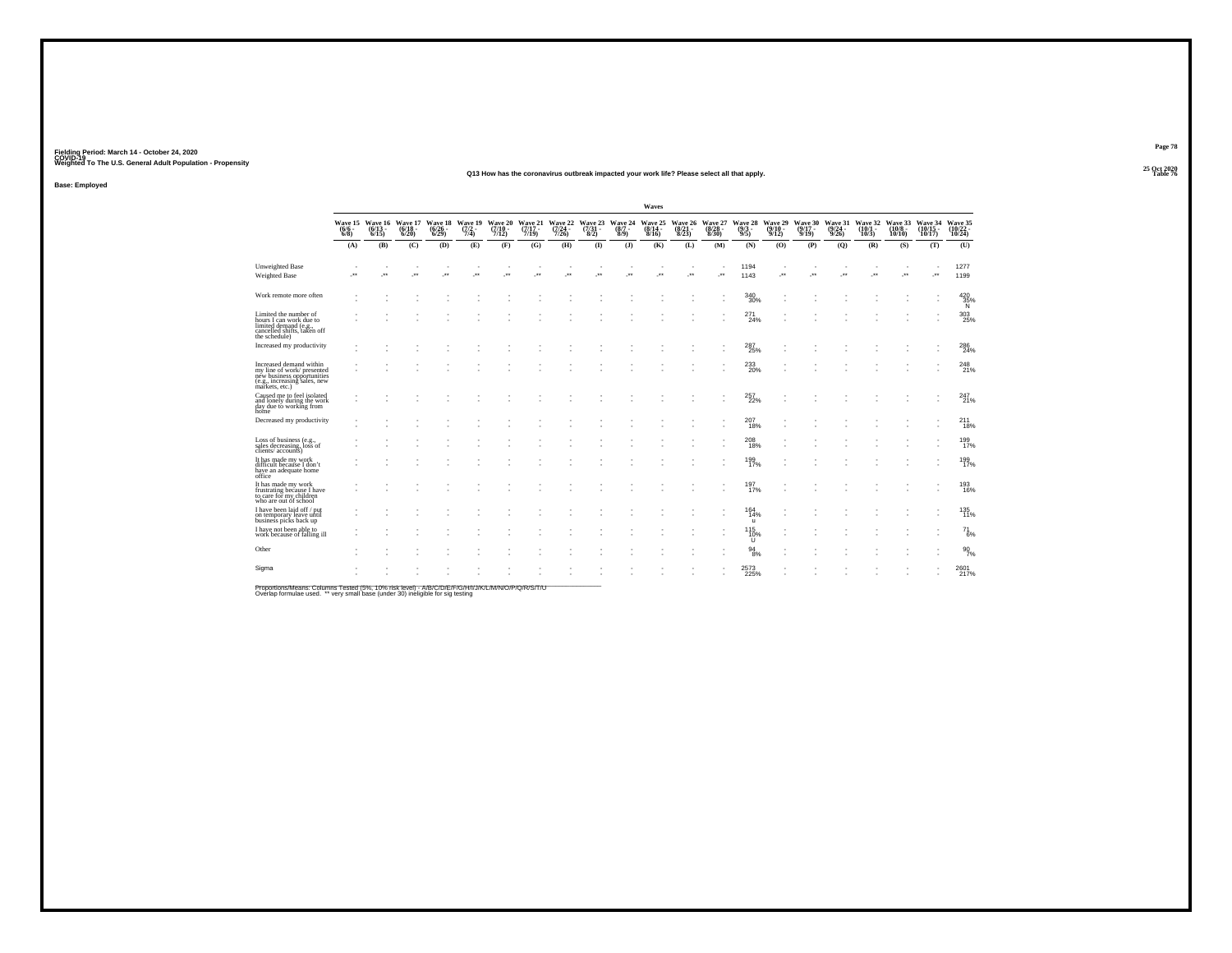#### **25 Oct 2020Q13 How has the coronavirus outbreak impacted your work life? Please select all that apply.Table 76 Table 76 Table 76 Table 76 Table 76 Table 76 Table 76 Table 76**

**Base: Employed**

|                                                                                                                                      |                       |                                        |                                         |                                 |                                |                             |                             |                             |              |                                                  | Waves                       |                                  |                             |                                       |                                         |                             |         |                                                 |              |                                                |                               |
|--------------------------------------------------------------------------------------------------------------------------------------|-----------------------|----------------------------------------|-----------------------------------------|---------------------------------|--------------------------------|-----------------------------|-----------------------------|-----------------------------|--------------|--------------------------------------------------|-----------------------------|----------------------------------|-----------------------------|---------------------------------------|-----------------------------------------|-----------------------------|---------|-------------------------------------------------|--------------|------------------------------------------------|-------------------------------|
|                                                                                                                                      | $\binom{6}{6}$ - 6/8) | Wave 15 Wave 16<br>(6/6 - 6/13<br>6/15 | Wave 17<br>$\frac{(6/18 - 6/20)}{6/20}$ | Wave 18<br>$\binom{6/26}{6/29}$ | Wave 19<br>$\frac{(7/2)}{7/4}$ | Wave 20<br>(7/10 -<br>7/12) | Wave 21<br>(7/17 -<br>7/19) | Wave 22<br>(7/24 -<br>7/26) |              | Wave 23 Wave 24<br>(7/31 - (8/7 -<br>8/2) - 8/9) | Wave 25<br>(8/14 -<br>8/16) | Wave 26<br>$\frac{(8/21)}{8/23}$ | Wave 27<br>(8/28 -<br>8/30) | Wave 28<br>$\binom{9/3}{9/5}$         | Wave 29<br>$\frac{(9/10 - 9/12)}{9/12}$ | Wave 30<br>(9/17 -<br>9/19) |         | Wave 31 Wave 32<br>(9/24 - 10/1)<br>9/26) 10/3) | 10/10        | Wave 33 Wave 34<br>(10/8 - (10/15<br>$10/17$ ) | Wave 35<br>(10/22 -<br>10/24) |
|                                                                                                                                      | (A)                   | (B)                                    | (C)                                     | (D)                             | (E)                            | (F)                         | (G)                         | (H)                         | $($ $\Gamma$ | $($ $)$                                          | (K)                         | (L)                              | (M)                         | (N)                                   | (0)                                     | (P)                         | (Q)     | (R)                                             | (S)          | (T)                                            | (U)                           |
| <b>Unweighted Base</b><br>Weighted Base                                                                                              | $\cdot$               | $\overline{\phantom{a}}$               | ٠<br>$\cdot$                            | $\star$                         | $\cdot$                        | $\overline{\phantom{a}}$    | -**                         | $\cdot$                     | $\cdot$      | $\star$                                          |                             |                                  | ÷                           | 1194<br>1143                          | ٠<br>$\cdot$                            | $\cdot$                     | $\cdot$ | $\bullet\bullet$                                | ٠<br>$\cdot$ | e.                                             | 1277<br>1199                  |
| Work remote more often                                                                                                               |                       |                                        |                                         |                                 |                                |                             |                             |                             |              |                                                  |                             |                                  |                             | 340<br>30%                            |                                         |                             |         |                                                 |              |                                                | $\frac{420}{35\%}$            |
| Limited the number of<br>hours I can work due to<br>limited demand (e.g.,<br>cancelled shifts, taken off<br>the schedule)            |                       |                                        |                                         |                                 |                                |                             |                             |                             |              |                                                  |                             |                                  |                             | 271<br>24%                            |                                         |                             |         |                                                 |              |                                                | 303<br>25%                    |
| Increased my productivity                                                                                                            |                       |                                        |                                         |                                 |                                |                             |                             |                             |              |                                                  |                             |                                  |                             | 287<br>25%                            |                                         |                             |         |                                                 |              |                                                | 286<br>24%                    |
| Increased demand within<br>my line of work/presented<br>new business opportunities<br>(e.g., increasing sales, new<br>markets, etc.) |                       |                                        |                                         |                                 |                                |                             |                             |                             |              |                                                  |                             |                                  |                             | $^{233}_{\phantom{1}\phantom{1}20\%}$ |                                         |                             |         |                                                 |              |                                                | 248<br>21%                    |
| Caused me to feel isolated<br>and lonely during the work<br>day due to working from<br>home                                          |                       |                                        |                                         |                                 |                                |                             |                             |                             |              |                                                  |                             |                                  |                             | 257<br>22%                            |                                         |                             |         |                                                 |              |                                                | $^{247}_{21\%}$               |
| Decreased my productivity                                                                                                            |                       |                                        |                                         |                                 |                                |                             |                             |                             |              |                                                  |                             |                                  |                             | $^{207}_{18\%}$                       |                                         |                             |         |                                                 |              |                                                | $^{211}_{18\%}$               |
| Loss of business (e.g.,<br>sales decreasing, loss of<br>clients/accounts)                                                            |                       |                                        |                                         |                                 |                                |                             |                             |                             |              |                                                  |                             |                                  |                             | $^{208}_{\bf 18\%}$                   |                                         |                             |         |                                                 |              |                                                | 199<br>17%                    |
| It has made my work<br>difficult because I don't<br>have an adequate home<br>office                                                  |                       |                                        |                                         |                                 |                                |                             |                             |                             |              |                                                  |                             |                                  |                             | 199<br>17%                            |                                         |                             |         |                                                 |              |                                                | 199<br>17%                    |
| It has made my work<br>frustrating because I have<br>to care for my children<br>who are out of school                                |                       |                                        |                                         |                                 |                                |                             |                             |                             |              |                                                  |                             |                                  |                             | 197 <sub>0</sub>                      |                                         |                             |         |                                                 |              |                                                | 193<br>16%                    |
| I have been laid off / put<br>on temporary leave until<br>business picks back up                                                     |                       |                                        |                                         |                                 |                                |                             |                             |                             |              |                                                  |                             |                                  |                             | $164 \over 14\%$<br>$\mathbf{u}$      |                                         |                             |         |                                                 |              |                                                | 135<br>11%                    |
| I have not been able to<br>work because of falling ill                                                                               |                       |                                        |                                         |                                 |                                |                             |                             |                             |              |                                                  |                             |                                  |                             | 115<br>$^{10\%}_{U}$                  |                                         |                             |         |                                                 |              |                                                | 71<br>6%                      |
| Other                                                                                                                                |                       |                                        |                                         |                                 |                                |                             |                             |                             |              |                                                  |                             |                                  |                             | $^{94}_{\ 8\%}$                       |                                         |                             |         |                                                 |              |                                                | $\frac{90}{7\%}$              |
| Sigma                                                                                                                                |                       |                                        |                                         |                                 |                                |                             |                             |                             |              |                                                  |                             |                                  |                             | 2573<br>225%                          |                                         |                             |         |                                                 |              |                                                | 2601<br>217%                  |

Proportions/Means: Columns Tested (5%, 10% risk level) - A/B/C/D/E/F/G/H/I/J/K/L/M/N/O/P/Q/R/S/T/U<br>Overlap formulae used. \*\* very small base (under 30) ineligible for sig testing

**Page 7825 Oct 2020<br>Table 76**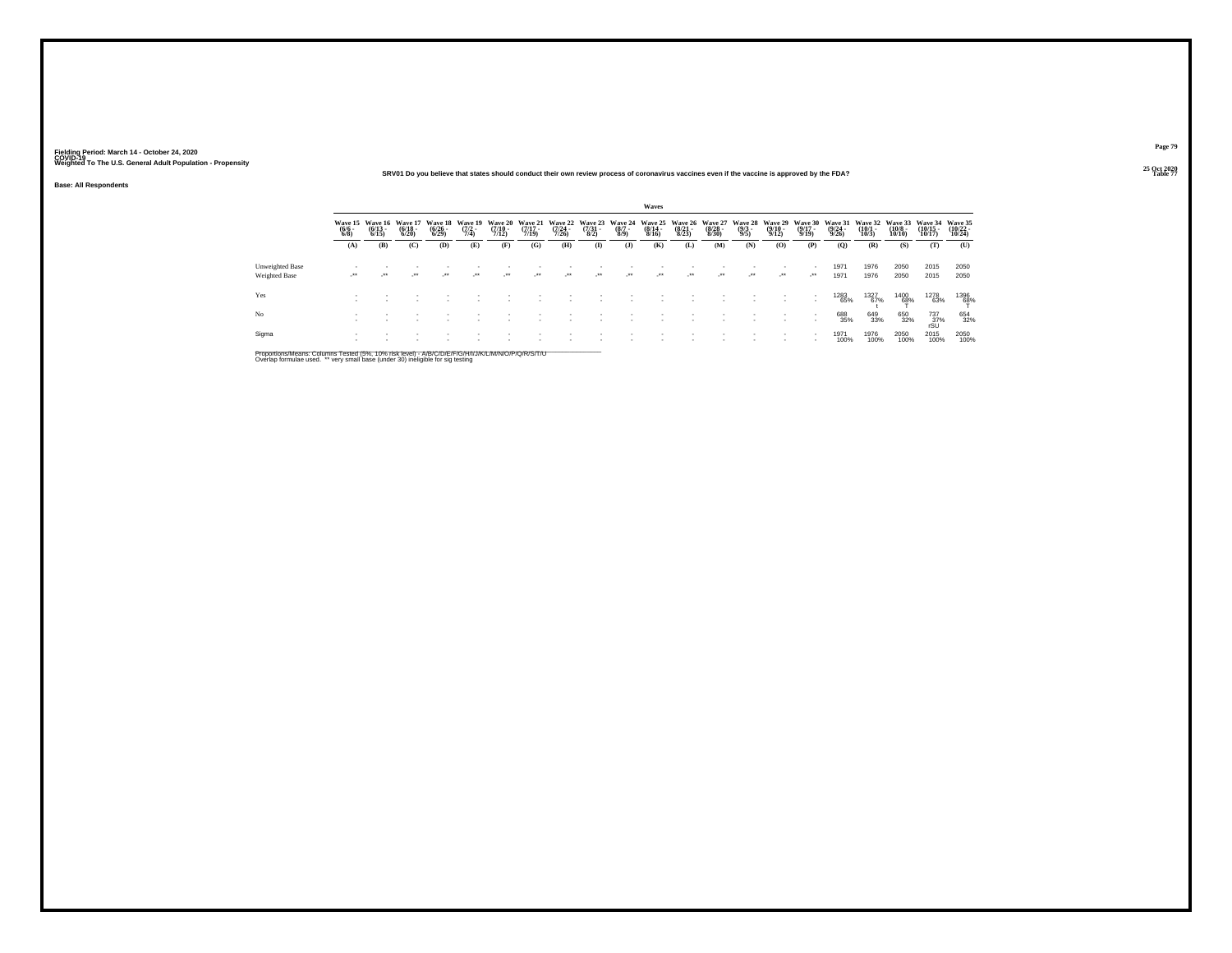#### **25 Oct 2020SRV01 Do you believe that states should conduct their own review process of coronavirus vaccines even if the vaccine is approved by the FDA?**

**Base: All Respondents**

|                                  |         |                                       |                                  |                                 |                                |                                  |                                  |                           |                                             |                                | Waves                            |                                  |                                  |                                |                                  |                                  |                                  |                               |                                   |                                    |                                |
|----------------------------------|---------|---------------------------------------|----------------------------------|---------------------------------|--------------------------------|----------------------------------|----------------------------------|---------------------------|---------------------------------------------|--------------------------------|----------------------------------|----------------------------------|----------------------------------|--------------------------------|----------------------------------|----------------------------------|----------------------------------|-------------------------------|-----------------------------------|------------------------------------|--------------------------------|
|                                  |         | Wave 15 Wave 16<br>(6/6 - 6/13 - 6/8) | Wave 17<br>$\frac{(6/18)}{6/20}$ | Wave 18<br>$\binom{6/26}{6/29}$ | Wave 19<br>$\frac{(7/2)}{7/4}$ | Wave 20<br>$\frac{(7/10)}{7/12}$ | Wave 21<br>$\frac{(7/17)}{7/19}$ | $\frac{(7/24 - 7)}{7/26}$ | Wave 22 Wave 23<br>$\frac{(7/31 - 1)}{8/2}$ | Wave 24<br>$\frac{(8/7)}{8/9}$ | Wave 25<br>$\frac{(8/14)}{8/16}$ | Wave 26<br>$\frac{(8/21)}{8/23}$ | Wave 27<br>$\frac{(8/28)}{8/30}$ | Wave 28<br>$\frac{(9/3)}{9/5}$ | Wave 29<br>$\frac{(9/10)}{9/12}$ | Wave 30<br>$\frac{(9/17)}{9/19}$ | Wave 31<br>$\frac{(9/24)}{9/26}$ | Wave 32<br>$\binom{10}{10/3}$ | Wave 33<br>$\frac{(10/8)}{10/10}$ | Wave 34<br>$\frac{(10/15)}{10/17}$ | Wave 35<br>$(10/22 -$<br>10/24 |
|                                  | (A)     | (B)                                   | (C)                              | (D)                             | (E)                            | (F)                              | (G)                              | (H)                       | $\mathbf{I}$                                | (1)                            | (K)                              | (L)                              | (M)                              | (N)                            | (0)                              | (P)                              | (0)                              | (R)                           | (S)                               | (T)                                | (U)                            |
| Unweighted Base<br>Weighted Base | $\cdot$ | $\lambda$                             | $\cdot$                          | ur.                             | $\cdot$                        | $\cdot$                          | $\cdot$                          | $\cdot$                   | $\cdot$                                     | $\cdot$                        | $\cdot$                          | $\rightarrow$                    | $\cdot$                          | $\mathcal{L}^{\bullet\bullet}$ | $\cdot$                          | - 280                            | 1971<br>1971                     | 1976<br>1976                  | 2050<br>2050                      | 2015<br>2015                       | 2050<br>2050                   |
| Yes                              |         |                                       |                                  |                                 |                                |                                  |                                  |                           |                                             |                                |                                  |                                  |                                  |                                |                                  |                                  | 1283<br>65%                      | 1327<br>67%                   | 1400<br>68%                       | 1278<br>63%                        | 1396<br>68%                    |
| No                               |         |                                       |                                  |                                 |                                |                                  |                                  |                           |                                             |                                |                                  |                                  |                                  |                                |                                  |                                  | 688<br>35%                       | 649<br>33%                    | 650<br>32%                        | $737 \atop 80$<br>$50$             | 654<br>32%                     |
| Sigma                            |         |                                       |                                  |                                 |                                |                                  |                                  |                           |                                             |                                |                                  |                                  |                                  |                                | ٠                                |                                  | 1971<br>100%                     | 1976<br>100%                  | 2050<br>100%                      | 2015<br>100%                       | 2050<br>100%                   |

Proportions/Means: Columns Tested (5%, 10% risk level) - A/B/C/D/E/F/G/H/I/J/K/L/M/N/O/P/Q/R/S/T/U<br>Overlap formulae used. \*\* very small base (under 30) ineligible for sig testing

**Page 79**25 Oct 2020<br>Table 77

**Table 77 Table 77 Table 77 Table 77 Table 77**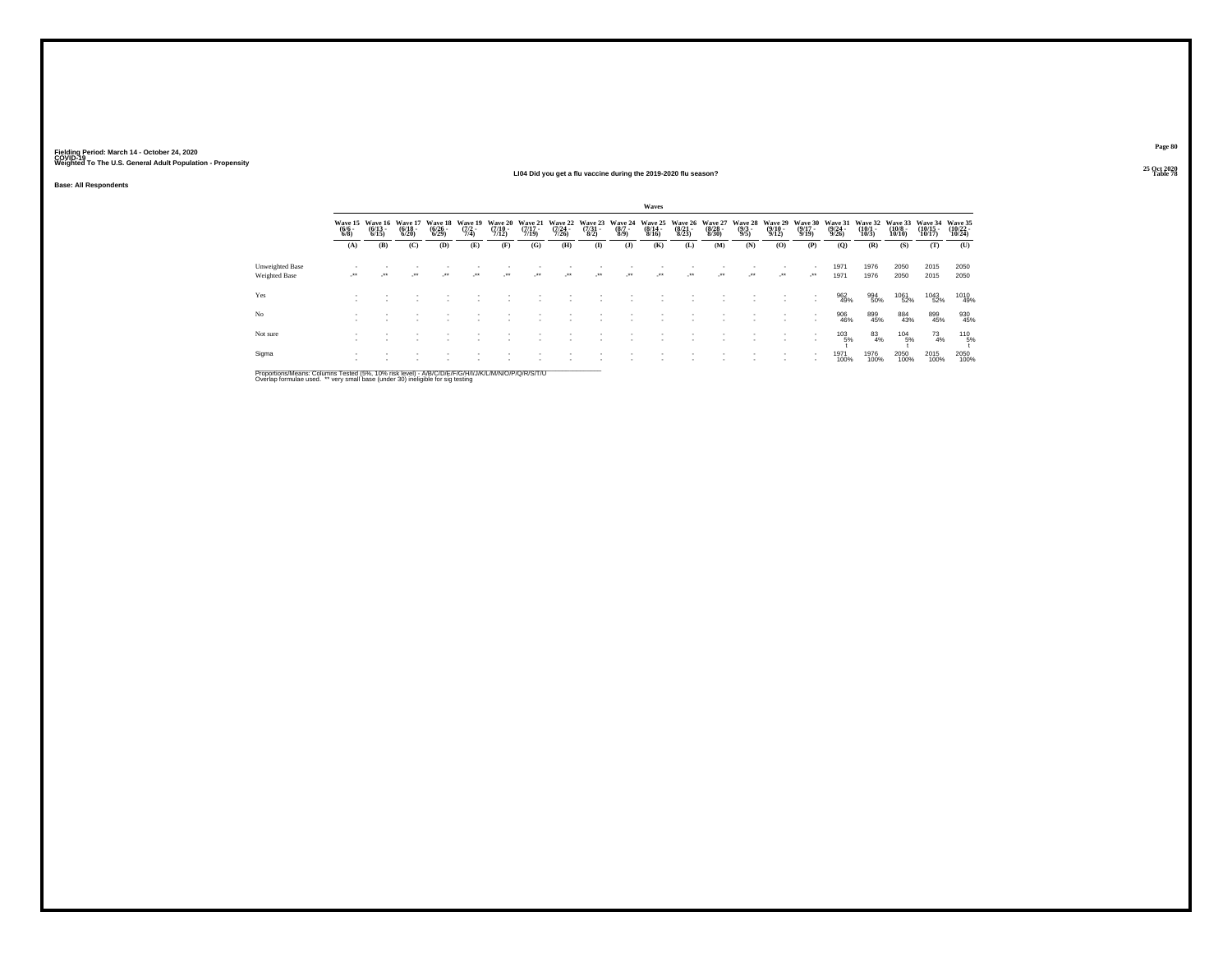#### **25 Oct 2020LI04 Did you get a flu vaccine during the 2019-2020 flu season?Table 78 Table 78**

**25 Oct 2020<br>Table 78** 

**Page 80**

|  | <b>Base: All Respondents</b> |
|--|------------------------------|
|--|------------------------------|

|                                                |                                               |                              |                                         |                                           |                                       |                                         |                                         |                                         |                                             |                                             | Waves                                       |                                                |                                         |                                              |                                                |                                             |                                         |                                         |                                          |                                          |                                      |
|------------------------------------------------|-----------------------------------------------|------------------------------|-----------------------------------------|-------------------------------------------|---------------------------------------|-----------------------------------------|-----------------------------------------|-----------------------------------------|---------------------------------------------|---------------------------------------------|---------------------------------------------|------------------------------------------------|-----------------------------------------|----------------------------------------------|------------------------------------------------|---------------------------------------------|-----------------------------------------|-----------------------------------------|------------------------------------------|------------------------------------------|--------------------------------------|
|                                                | Wave 15 Wave 16<br>$\frac{(6/6)}{6/8}$<br>(A) | $\frac{(6/13)}{6/15}$<br>(B) | Wave 17<br>$\frac{(6/18)}{6/20}$<br>(C) | Wave 18<br>$\frac{(6/26)}{(6/29)}$<br>(D) | Wave 19<br>$\frac{(7/2)}{7/4}$<br>(E) | Wave 20<br>$\frac{(7/10)}{7/12}$<br>(F) | Wave 21<br>$\frac{(7/17)}{7/19}$<br>(G) | Wave 22<br>$\frac{(7/24)}{7/26}$<br>(H) | Wave 23<br>$\frac{(7/31)}{8/2}$<br>$\bf(I)$ | Wave 24<br>$\frac{(8/7 - 8)}{(8/9)}$<br>(1) | Wave 25<br>$\frac{(8/14 - 8)}{8/16}$<br>(K) | <b>Wave 26</b><br>$\frac{(8/21)}{8/23}$<br>(L) | Wave 27<br>$\frac{(8/28)}{8/30}$<br>(M) | <b>Wave 28</b><br>$\frac{(9/3)}{9/5}$<br>(N) | Wave 29<br>$\frac{(9/10 - 9/12)}{9/12}$<br>(0) | Wave 30<br>$\frac{(9/17 - 9)}{9/19}$<br>(P) | Wave 31<br>$\frac{(9/24)}{9/26}$<br>(O) | Wave 32<br>$\frac{(10/1)}{10/3}$<br>(R) | Wave 33<br>$\frac{(10/8)}{10/10}$<br>(S) | Wave 34<br>$\binom{10/15}{10/17}$<br>(T) | Wave 35<br>(10/22 -<br>10/24)<br>(U) |
| <b>Unweighted Base</b><br><b>Weighted Base</b> | $\overline{\phantom{a}}$                      | $\bullet\bullet$             | $\cdot$                                 | $\ddot{\phantom{0}}$                      | $\cdot$                               | $^{\tiny{**}}$                          | $\ddot{\phantom{0}}$                    | $\bullet\star$                          | $\cdot$                                     | $\overline{\phantom{a}}$                    | $\bullet\,\bullet$                          | $\cdot$                                        | $\cdot$                                 | $\overline{\phantom{a}}$                     | $\cdot$                                        | $\cdot$                                     | 1971<br>1971                            | 1976<br>1976                            | 2050<br>2050                             | 2015<br>2015                             | 2050<br>2050                         |
| Yes                                            |                                               |                              |                                         |                                           |                                       |                                         |                                         |                                         |                                             |                                             |                                             |                                                |                                         |                                              |                                                |                                             | 962<br>49%                              | 994<br>50%                              | 1061<br>52%                              | 1043<br>52%                              | 1010<br>49%                          |
| No                                             |                                               |                              |                                         |                                           |                                       |                                         |                                         |                                         |                                             |                                             |                                             |                                                |                                         |                                              |                                                |                                             | 906<br>46%                              | 899<br>45%                              | 884<br>43%                               | 899<br>45%                               | 930<br>45%                           |
| Not sure                                       |                                               |                              |                                         |                                           |                                       |                                         |                                         |                                         |                                             |                                             |                                             |                                                |                                         |                                              |                                                |                                             | $^{103}_{-5\%}$                         | $^{83}_{4\%}$                           | $^{104}_{-5\%}$                          | $^{73}_{4\%}$                            | $^{110}_{-5\%}$                      |
| Sigma                                          |                                               |                              |                                         |                                           |                                       |                                         |                                         |                                         |                                             |                                             |                                             |                                                |                                         |                                              |                                                |                                             | 1971<br>100%                            | 1976<br>100%                            | 2050<br>100%                             | 2015<br>100%                             | 2050<br>100%                         |

Proportions/Means: Columns Tested (5%, 10% risk level) - A/B/C/D/E/F/G/H/I/J/K/L/M/N/O/P/Q/R/S/T/U<br>Overlap formulae used. \*\* very small base (under 30) ineligible for sig testing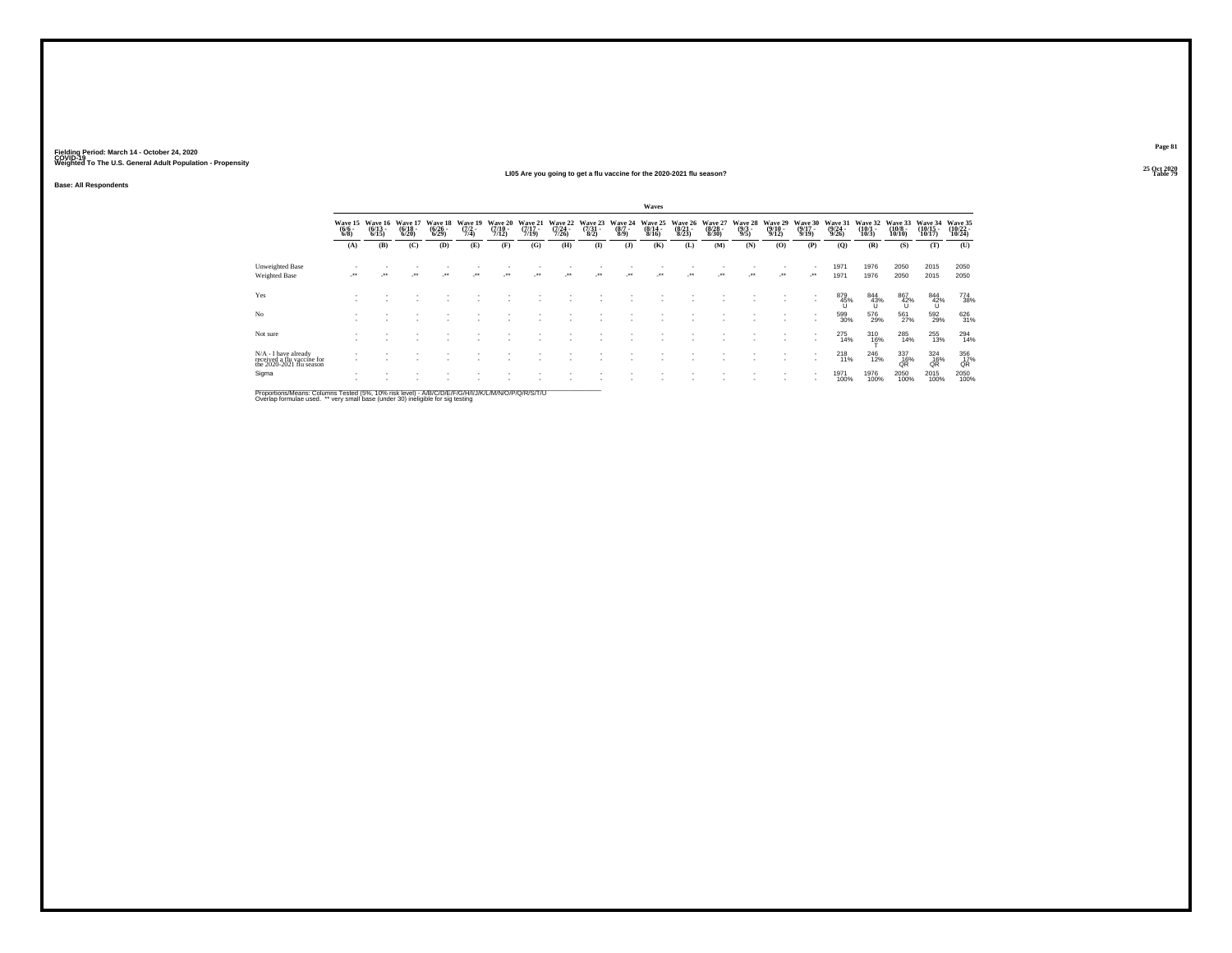#### **25 Oct 2020LI05 Are you going to get a flu vaccine for the 2020-2021 flu season?Table 79 Table 79 Table 79 Table 79 Table 79 Table 79 Table 79 Table 79**

**Base: All Respondents**

|                                                                                  |                                |                              |                                  |                                 |                            |                              |                              |                              |                                     |                                      | Waves                                    |                                  |                              |                                |                                         |                              |                                  |                               |                               |                                      |                                       |
|----------------------------------------------------------------------------------|--------------------------------|------------------------------|----------------------------------|---------------------------------|----------------------------|------------------------------|------------------------------|------------------------------|-------------------------------------|--------------------------------------|------------------------------------------|----------------------------------|------------------------------|--------------------------------|-----------------------------------------|------------------------------|----------------------------------|-------------------------------|-------------------------------|--------------------------------------|---------------------------------------|
|                                                                                  | Wave 15<br>$\frac{(6/6)}{6/8}$ | Wave 16<br>$(6/13 -$<br>6/15 | Wave 17<br>$\frac{(6/18)}{6/20}$ | Wave 18<br>$\binom{6/26}{6/29}$ | Wave 19<br>$(7/2 -$<br>7/4 | Wave 20<br>$(7/10 -$<br>7/12 | Wave 21<br>$(7/17 -$<br>7/19 | Wave 22<br>$(7/24 -$<br>7/26 | Wave 23<br>$\frac{(7/31 - 1)}{8/2}$ | Wave 24<br>$\frac{(8/7 - 8)}{(8/9)}$ | Wave 25<br>$\frac{(8/14 \cdot 8)}{8/16}$ | Wave 26<br>$\frac{(8/21)}{8/23}$ | Wave 27<br>$(8/28 -$<br>8/30 | Wave 28<br>$\frac{(9/3)}{9/5}$ | Wave 29<br>$\frac{(9/10 - 9/12)}{9/12}$ | Wave 30<br>$(9/17 -$<br>9/19 | Wave 31<br>$\frac{(9/24)}{9/26}$ | Wave 32<br>$(10/1 -$<br>10/3  | Wave 33<br>$(10/8 -$<br>10/10 | Wave 34<br>$(10/15 -$<br>10/17       | <b>Wave 35</b><br>$(10/22 -$<br>10/24 |
|                                                                                  | (A)                            | (B)                          | (C)                              | (D)                             | (E)                        | (F)                          | (G)                          | (H)                          | $($ $\Gamma$                        | $($ $)$                              | (K)                                      | (L)                              | (M)                          | (N)                            | (O)                                     | (P)                          | (Q)                              | (R)                           | (S)                           | (T)                                  | (U)                                   |
| Unweighted Base<br>Weighted Base                                                 | $\cdot$                        |                              | $\ddot{\phantom{0}}$             | $\ddot{\phantom{0}}$            |                            | $\ddot{\phantom{0}}$         | $\ddot{\phantom{0}}$         | $\ddot{\phantom{1}}$         | $\ddot{\phantom{0}}$                |                                      | $\ddot{\phantom{0}}$                     |                                  | $\cdot$                      | $\bullet\bullet$               | $\cdot$                                 | $\cdot$                      | 1971<br>1971                     | 1976<br>1976                  | 2050<br>2050                  | 2015<br>2015                         | 2050<br>2050                          |
| Yes                                                                              |                                |                              |                                  |                                 |                            |                              |                              |                              |                                     |                                      |                                          |                                  |                              |                                |                                         | $\overline{\phantom{a}}$     | 879<br>45%                       | 844<br>43%                    | $\frac{867}{42\%}$            | $\overset{844}{\underset{10}{42\%}}$ | 774<br>38%                            |
| No                                                                               |                                |                              |                                  |                                 |                            |                              |                              |                              |                                     |                                      |                                          |                                  |                              |                                |                                         |                              | 599<br>30%                       | 576<br>29%                    | 561<br>27%                    | 592<br>29%                           | 626<br>31%                            |
| Not sure                                                                         |                                |                              |                                  |                                 |                            |                              |                              |                              |                                     |                                      |                                          |                                  |                              |                                |                                         |                              | 275<br>14%                       | $^{310}_{16\%}$               | 285<br>14%                    | 255<br>13%                           | $^{294}_{14\%}$                       |
| $N/A$ - I have already<br>received a flu vaccine for<br>the 2020-2021 flu season |                                |                              |                                  |                                 |                            |                              |                              |                              |                                     |                                      |                                          |                                  |                              |                                |                                         | $\overline{\phantom{a}}$     | $^{218}_{11\%}$                  | <sup>246</sup> <sub>12%</sub> | $^{337}_{~16\%}$ QR           | $\frac{324}{16\%}$                   | 356<br>17%<br>QŔ                      |
| Sigma                                                                            |                                |                              |                                  |                                 |                            |                              |                              |                              |                                     |                                      |                                          |                                  |                              |                                |                                         | $\mathbf{r}$                 | 1971<br>100%                     | 1976<br>100%                  | 2050<br>100%                  | 2015<br>100%                         | 2050<br>100%                          |

Proportions/Means: Columns Tested (5%, 10% risk level) - A/B/C/D/E/F/G/H/I/J/K/L/M/N/O/P/Q/R/S/T/U<br>Overlap formulae used. \*\* very small base (under 30) ineligible for sig testing

**Page 81**25 Oct 2020<br>Table 79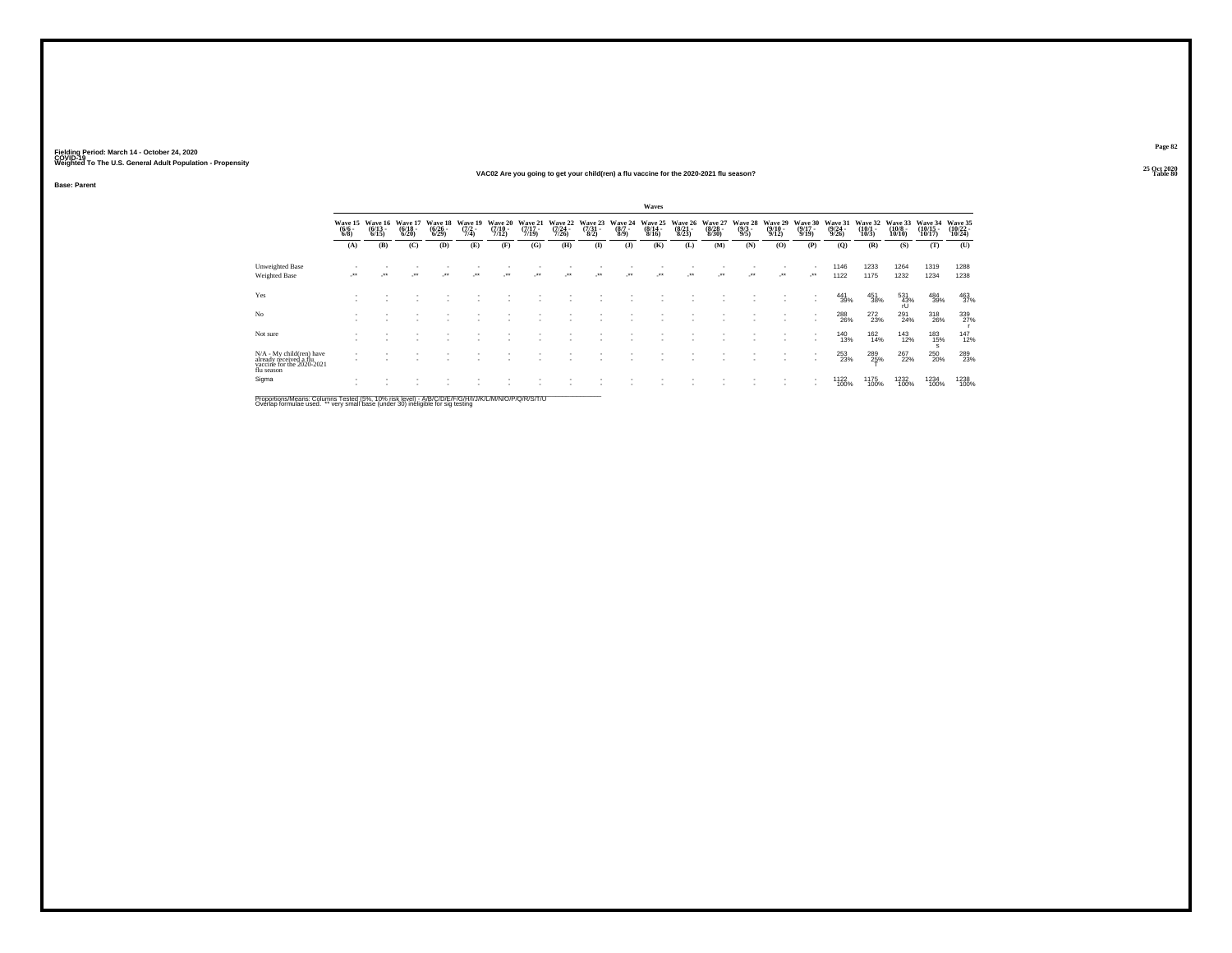#### **25 Oct 2020VAC02 Are you going to get your child(ren) a flu vaccine for the 2020-2021 flu season?Table 80 Table 80**

**Base: Parent**

|                                                                                                               | Waves                      |                              |                                  |                                 |                                |                               |                      |                              |                                 |                            |                                  |                                  |                              |                                |                                         |                                |                                  |                              |                               |                                    |                                |
|---------------------------------------------------------------------------------------------------------------|----------------------------|------------------------------|----------------------------------|---------------------------------|--------------------------------|-------------------------------|----------------------|------------------------------|---------------------------------|----------------------------|----------------------------------|----------------------------------|------------------------------|--------------------------------|-----------------------------------------|--------------------------------|----------------------------------|------------------------------|-------------------------------|------------------------------------|--------------------------------|
|                                                                                                               | Wave 15<br>$(6/6 -$<br>6/8 | Wave 16<br>$(6/13 -$<br>6/15 | Wave 17<br>$\frac{(6/18)}{6/20}$ | Wave 18<br>$\binom{6/26}{6/29}$ | Wave 19<br>$\frac{(7/2)}{7/4}$ | Wave 20<br>$(7/10 -$<br>7/12) | Wave 21<br>7/19      | Wave 22<br>$(7/24 -$<br>7/26 | Wave 23<br>$\frac{(7/31)}{8/2}$ | Wave 24<br>$(8/7 -$<br>8/9 | Wave 25<br>$\frac{(8/14)}{8/16}$ | Wave 26<br>$\frac{(8/21)}{8/23}$ | Wave 27<br>$(8/28 -$<br>8/30 | Wave 28<br>$\frac{(9/3)}{9/5}$ | Wave 29<br>$\frac{(9/10 - 9/12)}{9/12}$ | Wave 30<br>$(9/17 -$<br>9/19   | Wave 31<br>$\frac{(9/24)}{9/26}$ | Wave 32<br>$(10/1 -$<br>10/3 | Wave 33<br>$(10/8 -$<br>10/10 | Wave 34<br>$\frac{(10/15)}{10/17}$ | Wave 35<br>$(10/22 -$<br>10/24 |
|                                                                                                               | (A)                        | (B)                          | (C)                              | (D)                             | (E)                            | (F)                           | (G)                  | (H)                          | $\bf(I)$                        | (3)                        | (K)                              | (L)                              | (M)                          | (N)                            | (0)                                     | (P)                            | $\mathbf{Q}$                     | (R)                          | (S)                           | (T)                                | (U)                            |
| Unweighted Base<br><b>Weighted Base</b>                                                                       | $\cdot$                    | $\ddot{\phantom{0}}$         | $\mathcal{L}^{\bullet\bullet}$   | $\bullet\bullet$                | $\ddot{\phantom{0}}$           | $^{\tiny{++}}$                | $\ddot{\phantom{0}}$ | $^{\tiny{++}}$               | $\ddot{\phantom{0}}$            | $\cdot$                    | $\ddot{\phantom{0}}$             | -                                | $\ddot{\phantom{0}}$         | ۰.                             | $\mathcal{L}^{\star\star}$              | $\mathcal{L}^{\bullet\bullet}$ | 1146<br>1122                     | 1233<br>1175                 | 1264<br>1232                  | 1319<br>1234                       | 1288<br>1238                   |
| Yes                                                                                                           |                            |                              |                                  |                                 |                                |                               |                      |                              |                                 |                            |                                  |                                  |                              |                                |                                         |                                | 441<br>39%                       | 451<br>38%                   | 531<br>43%<br>rl I            | 484<br>39%                         | $^{463}_{37\%}$                |
| No                                                                                                            |                            |                              |                                  |                                 |                                |                               |                      |                              |                                 |                            |                                  |                                  |                              |                                |                                         |                                | 288<br>26%                       | 272<br>23%                   | 291<br>24%                    | 318<br>26%                         | 339<br>27%                     |
| Not sure                                                                                                      |                            |                              |                                  |                                 |                                |                               |                      |                              |                                 |                            |                                  |                                  |                              |                                |                                         | $\sim$                         | <sup>140</sup><br>13%            | 162<br>14%                   | <sup>143</sup><br>12%         | 183<br>15%<br>s                    | $^{147}_{12\%}$                |
| N/A - My child(ren) have<br>already received a flu<br>vaccine for the 2020-2021<br>flu season                 |                            |                              |                                  |                                 |                                |                               |                      |                              |                                 |                            |                                  |                                  |                              |                                |                                         |                                | 253<br>23%                       | 289<br>25%                   | 267<br>22%                    | 250<br>20%                         | 289<br>23%                     |
| Sigma<br>Proportione/Meane: Columne Tected (5%, 10% rick level) - A/R/C/D/E/E/C/H/I/ I/K/L/M/N/O/D/O/R/S/T/LI |                            |                              |                                  |                                 |                                |                               |                      |                              |                                 |                            |                                  |                                  |                              |                                |                                         |                                | 1122<br>100%                     | <sup>1175</sup><br>100%      | 1232<br>100%                  | 1234<br>100%                       | 1238<br>100%                   |

Proportions/Means: Columns Tested (5%, 10% risk level) - A/B/C/D/E/F/G/H/I/J/K/L/M/N/O/P/Q/R/S/T/U<br>Overlap formulae used. \*\* very small base (under 30) ineligible for sig testing

**Page 82**25 Oct 2020<br>Table 80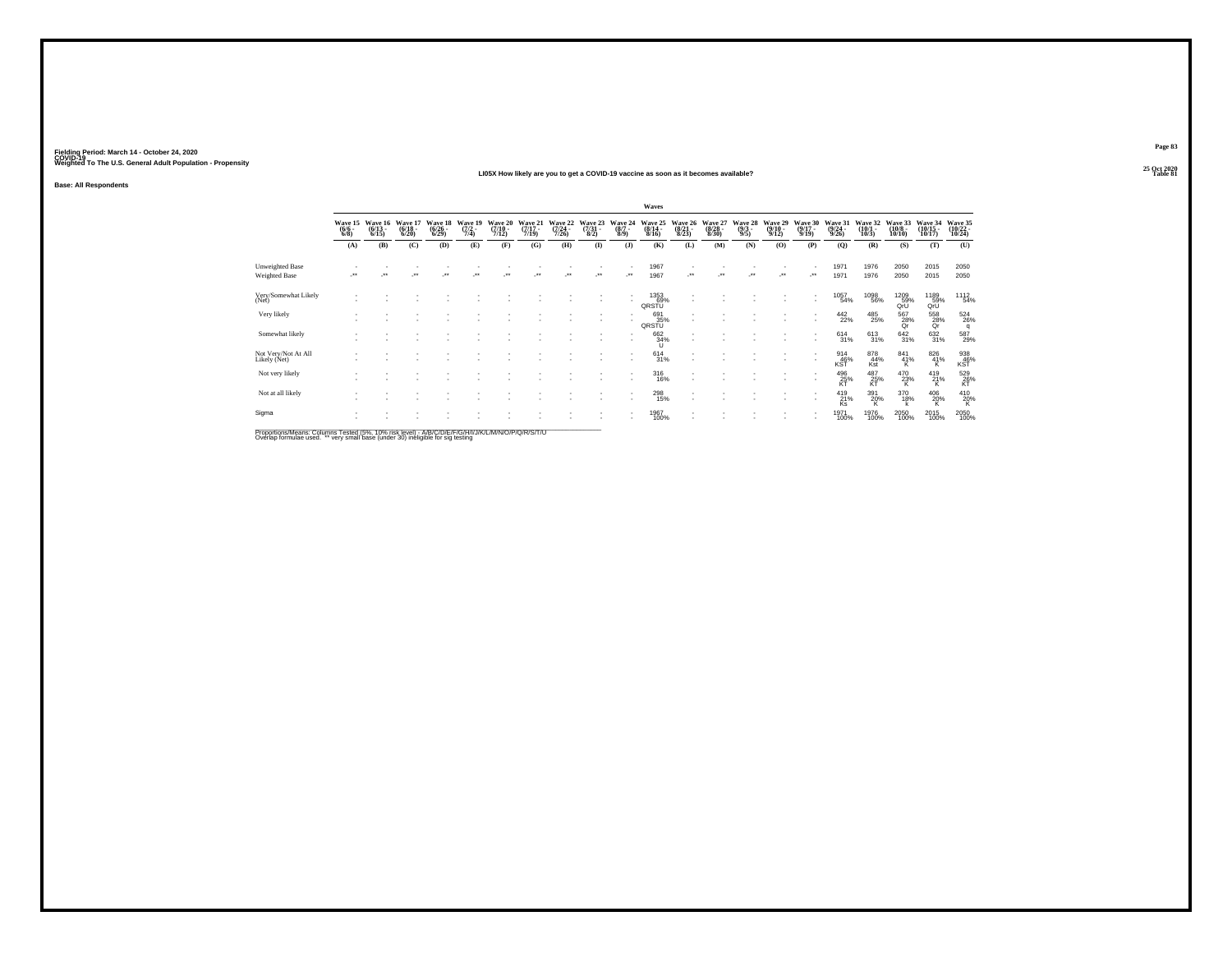#### **25 Oct 2020LI05X How likely are you to get a COVID-19 vaccine as soon as it becomes available?Table 81 Table 81**

**Base: All Respondents**

|                                                      |                               |                                 |                                  |                                 |                                                                |                                      |                                  |                                      |                                 |                                | Waves                            |                                  |                                        |                                |                                 |                                      |                                         |                                 |                                        |                                             |                               |
|------------------------------------------------------|-------------------------------|---------------------------------|----------------------------------|---------------------------------|----------------------------------------------------------------|--------------------------------------|----------------------------------|--------------------------------------|---------------------------------|--------------------------------|----------------------------------|----------------------------------|----------------------------------------|--------------------------------|---------------------------------|--------------------------------------|-----------------------------------------|---------------------------------|----------------------------------------|---------------------------------------------|-------------------------------|
|                                                      | Wave 15<br>$\binom{6/6}{6/8}$ | Wave 16<br>$\binom{6/13}{6/15}$ | Wave 17<br>$\frac{(6/18)}{6/20}$ | Wave 18<br>$\binom{6/26}{6/29}$ | Wave 19<br>$\frac{(7/2)}{7/4}$                                 | Wave 20<br>$\frac{(7/10 - 7)}{7/12}$ | Wave 21<br>$\frac{(7/17)}{7/19}$ | Wave 22<br>$\frac{(7/24 - 7)}{7/26}$ | Wave 23<br>$\frac{(7/31)}{8/2}$ | Wave 24<br>$\frac{(8/7)}{8/9}$ | Wave 25<br>$\frac{(8/14)}{8/16}$ | Wave 26<br>$\frac{(8/21)}{8/23}$ | Wave 27<br>$\frac{(8/28 - 8)}{(8/30)}$ | Wave 28<br>$\frac{(9/3)}{9/5}$ | Wave 29<br>$\binom{9/10}{9/12}$ | Wave 30<br>$\frac{(9/17 - 9)}{9/19}$ | Wave 31<br>$\frac{(9/24 - 9/26)}{9/26}$ | Wave 32<br>$\binom{10/1}{10/3}$ | Wave 33<br>$\frac{(10/8 - 10)}{10/10}$ | Wave 34<br>$\frac{(10/15)}{10/17}$          | Wave 35<br>(10/22 -<br>10/24) |
|                                                      | (A)                           | (B)                             | (C)                              | (D)                             | (E)                                                            | (F)                                  | (G)                              | (H)                                  | $($ $\Gamma$                    | $($ $)$                        | (K)                              | (L)                              | (M)                                    | (N)                            | (0)                             | (P)                                  | $\mathbf{Q}$                            | (R)                             | (S)                                    | (T)                                         | (U)                           |
| Unweighted Base                                      |                               |                                 |                                  |                                 |                                                                |                                      |                                  |                                      |                                 |                                | 1967                             |                                  |                                        |                                |                                 |                                      | 1971                                    | 1976                            | 2050                                   | 2015                                        | 2050                          |
| Weighted Base                                        | $^{\tiny{**}}$                |                                 | $\ddot{}$                        |                                 | $\ddot{\phantom{0}}$                                           |                                      |                                  | $\ddot{\phantom{1}}$                 | $\ddot{\phantom{0}}$            | ۰.                             | 1967                             |                                  | $\ddot{}$                              | $\bullet\bullet$               | $\cdot$                         |                                      | 1971                                    | 1976                            | 2050                                   | 2015                                        | 2050                          |
| Very/Somewhat Likely<br>(Net)                        |                               |                                 |                                  |                                 |                                                                |                                      |                                  |                                      |                                 |                                | 1353<br>_69%<br>QRSTU            |                                  |                                        |                                |                                 |                                      | 1057<br>54%                             | <sup>1098</sup> 56%             | 1209<br>59%<br>QrU                     | 1189<br>59%<br>QrU                          | 1112<br>54%                   |
| Very likely                                          |                               |                                 |                                  |                                 |                                                                |                                      |                                  |                                      |                                 |                                | 691<br>35%<br>QRSTU              |                                  |                                        |                                |                                 |                                      | 442<br>22%                              | 485<br>25%                      | 567<br>28%<br>Qr                       | $^{558}_{\phantom{1}28\%}_{\phantom{1}0r}$  | $\frac{524}{26\%}$            |
| Somewhat likely                                      |                               |                                 |                                  |                                 |                                                                |                                      |                                  |                                      |                                 |                                | 662<br>34%                       |                                  |                                        |                                |                                 |                                      | 614<br>31%                              | 613<br>31%                      | $\frac{642}{31\%}$                     | $\substack{632 \\ 31\%}$                    | 587<br>29%                    |
| Not Very/Not At All<br>Likely (Net)                  |                               |                                 |                                  |                                 |                                                                |                                      |                                  |                                      |                                 |                                | $^{614}_{31\%}$                  |                                  |                                        |                                |                                 |                                      | $^{914}_{46\%}$ KST                     | 878<br>44%<br>Kst               | $^{841}_{41\%}$                        | $\overset{826}{_{41\%}}$                    | 938<br>46%<br>KST             |
| Not very likely                                      |                               |                                 |                                  |                                 |                                                                |                                      |                                  |                                      |                                 |                                | 316<br>16%                       |                                  |                                        |                                |                                 |                                      | $^{496}_{25\%}$                         | $^{487}_{25\%}$                 | $^{470}_{23\%}$                        | $^{419}_{21\%}$                             | 529<br>26%<br>KT              |
| Not at all likely                                    |                               |                                 |                                  |                                 |                                                                |                                      |                                  |                                      |                                 |                                | 298<br>15%                       |                                  |                                        |                                |                                 |                                      | 419<br>21%<br>Ks                        | $\frac{391}{20\%}$              | 370<br>18%                             | $^{406}_{\  \  \, 20\%}_{\  \  \, {\sf K}}$ | $^{410}_{20\%}$               |
| Sigma                                                |                               |                                 |                                  |                                 |                                                                |                                      |                                  |                                      |                                 |                                | 1967<br>100%                     |                                  |                                        |                                |                                 |                                      | 1971<br>100%                            | 1976<br>100%                    | 2050<br>100%                           | 2015<br>100%                                | $^{2050}_{100\%}$             |
| Departison Massey Onlymps Tested UNI ANN deliberally |                               |                                 |                                  |                                 | A ID IO ID ID IO IO I HU HIZ I A A INTERNATIONAL ID ID ID IT I |                                      |                                  |                                      |                                 |                                |                                  |                                  |                                        |                                |                                 |                                      |                                         |                                 |                                        |                                             |                               |

Proportions/Means: Columns Tested (5%, 10% risk level) - A/B/C/D/E/F/G/H/I/J/K/L/M/N/O/P/Q/R/S/T/U<br>Overlap formulae used. \*\* very small base (under 30) ineligible for sig testing

**Page 8325 Oct 2020<br>Table 81**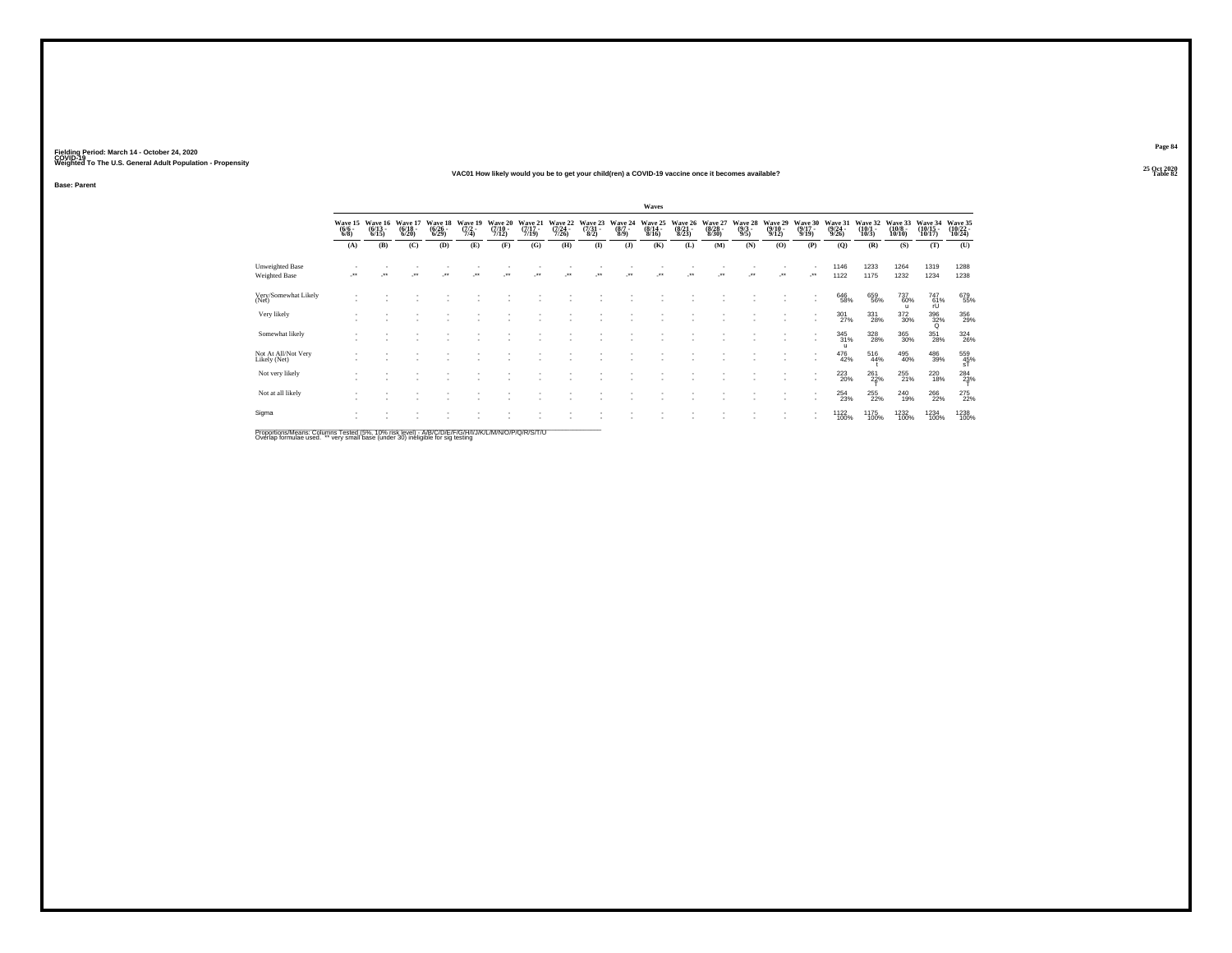#### **25 Oct 2020VAC01 How likely would you be to get your child(ren) a COVID-19 vaccine once it becomes available?Table 82 Table 82**

**Base: Parent**

|                                                                                                    |                                |                              |                                 |                              |                                        |                                      |                              |                              |                                     |                            | Waves                        |                                  |                                  |                                |                              |                              |                                    |                               |                               |                                                         |                                         |
|----------------------------------------------------------------------------------------------------|--------------------------------|------------------------------|---------------------------------|------------------------------|----------------------------------------|--------------------------------------|------------------------------|------------------------------|-------------------------------------|----------------------------|------------------------------|----------------------------------|----------------------------------|--------------------------------|------------------------------|------------------------------|------------------------------------|-------------------------------|-------------------------------|---------------------------------------------------------|-----------------------------------------|
|                                                                                                    | Wave 15<br>$\frac{(6/6)}{6/8}$ | Wave 16<br>$(6/13 -$<br>6/15 | Wave 1<br>$\frac{(6/18)}{6/20}$ | Wave 18<br>$(6/26 -$<br>6/29 | Wave 19<br>$(7/2 -$<br>7/4             | Wave 20<br>$\frac{(7/10 - 7)}{7/12}$ | Wave 21<br>$(7/17 -$<br>7/19 | Wave 22<br>$(7/24 -$<br>7/26 | Wave 23<br>$\frac{(7/31 - 8)}{8/2}$ | Wave 24<br>$(8/7 -$<br>8/9 | Wave 25<br>$(8/14 -$<br>8/16 | Wave 26<br>$\frac{(8/21)}{8/23}$ | Wave 27<br>$\frac{(8/28)}{8/30}$ | Wave 28<br>$\frac{(9/3)}{9/5}$ | Wave 29<br>$(9/10 -$<br>9/12 | Wave 30<br>$(9/17 -$<br>9/19 | Wave 31<br>$\frac{(9/24)}{9/26}$   | Wave 32<br>$(10/1 -$<br>10/3  | Wave 33<br>$(10/8 -$<br>10/10 | Wave 34<br>(10/15 -<br>10/17)                           | Wave 35<br>(10/22 -<br>10/24            |
|                                                                                                    | (A)                            | (B)                          | (C)                             | (D)                          | (E)                                    | (F)                                  | (G)                          | (H)                          | $\mathbf{I}$                        | (3)                        | (K)                          | (L)                              | (M)                              | (N)                            | (0)                          | (P)                          | (Q)                                | (R)                           | (S)                           | (T)                                                     | (U)                                     |
| Unweighted Base<br>Weighted Base                                                                   | $\ddot{\phantom{0}}$           |                              | $\ddot{\phantom{0}}$            | $\bullet\bullet$             | $^{\tiny{\text{+}}\, \tiny{\text{+}}}$ | $^{\tiny{++}}$                       |                              |                              | $\bullet\bullet$                    | $\ddot{\phantom{1}}$       |                              | ٠.                               | $\ddot{\phantom{0}}$             | $\ddot{\phantom{1}}$           | $\cdot$                      | $\cdot$                      | 1146<br>1122                       | 1233<br>1175                  | 1264<br>1232                  | 1319<br>1234                                            | 1288<br>1238                            |
| Very/Somewhat Likely<br>(Net)                                                                      |                                |                              |                                 |                              |                                        |                                      |                              |                              |                                     |                            |                              |                                  |                                  |                                |                              |                              | 646<br>58%                         | 659<br>56%                    | 737<br>60%<br>$\mathbf{u}$    | $\underset{\text{rU}}{\overset{\text{747}}{\text{61}}}$ | 679<br>55%                              |
| Very likely                                                                                        |                                |                              |                                 |                              |                                        |                                      |                              |                              |                                     |                            |                              |                                  |                                  |                                |                              |                              | 301<br>27%                         | $\underset{28\%}{331}$        | 372<br>30%                    | $\frac{396}{32\%}$                                      | 356<br>29%                              |
| Somewhat likely                                                                                    |                                |                              |                                 |                              |                                        |                                      |                              |                              |                                     |                            |                              |                                  |                                  |                                |                              |                              | $\frac{345}{31\%}$<br>$\mathbf{u}$ | $^{328}_{\phantom{2}28\%}$    | 365<br>30%                    | 351<br>28%                                              | $^{324}_{26\%}$                         |
| Not At All/Not Very<br>Likely (Net)                                                                |                                |                              |                                 |                              |                                        |                                      |                              |                              |                                     |                            |                              |                                  |                                  |                                |                              |                              | 476<br>42%                         | 516<br>44%                    | 495<br>40%                    | $\substack{486\\39\%}$                                  | $^{559}_{\substack{45\% \\ \text{sT}}}$ |
| Not very likely                                                                                    |                                |                              |                                 |                              |                                        |                                      |                              |                              |                                     |                            |                              |                                  |                                  |                                |                              | ٠                            | 223<br>20%                         | $^{261}_{22\%}$               | 255<br>21%                    | 220<br>18%                                              | $^{284}_{23\%}$                         |
| Not at all likely                                                                                  |                                |                              |                                 |                              |                                        |                                      |                              |                              |                                     |                            |                              |                                  |                                  |                                |                              | ٠                            | $^{254}_{23\%}$                    | <sup>255</sup> <sub>22%</sub> | 240<br>19%                    | 266<br>22%                                              | 275<br>22%                              |
| Sigma                                                                                              |                                |                              |                                 |                              |                                        |                                      |                              |                              |                                     |                            |                              |                                  |                                  |                                |                              |                              | 1122<br>100%                       | 1175<br>100%                  | 1232<br>100%                  | 1234<br>100%                                            | 1238<br>100%                            |
| Proportions/Means: Columns Tested (5%, 10% risk level) - A/B/C/D/F/F/G/H/I/J/K/L/M/N/O/P/O/R/S/T/U |                                |                              |                                 |                              |                                        |                                      |                              |                              |                                     |                            |                              |                                  |                                  |                                |                              |                              |                                    |                               |                               |                                                         |                                         |

Proportions/Means: Columns Tested (5%, 10% risk level) - A/B/C/D/E/F/G/H/I/J/K/L/M/N/O/P/Q/R/S/T/U<br>Overlap formulae used. \*\* very small base (under 30) ineligible for sig testing

**Page 84**25 Oct 2020<br>Table 82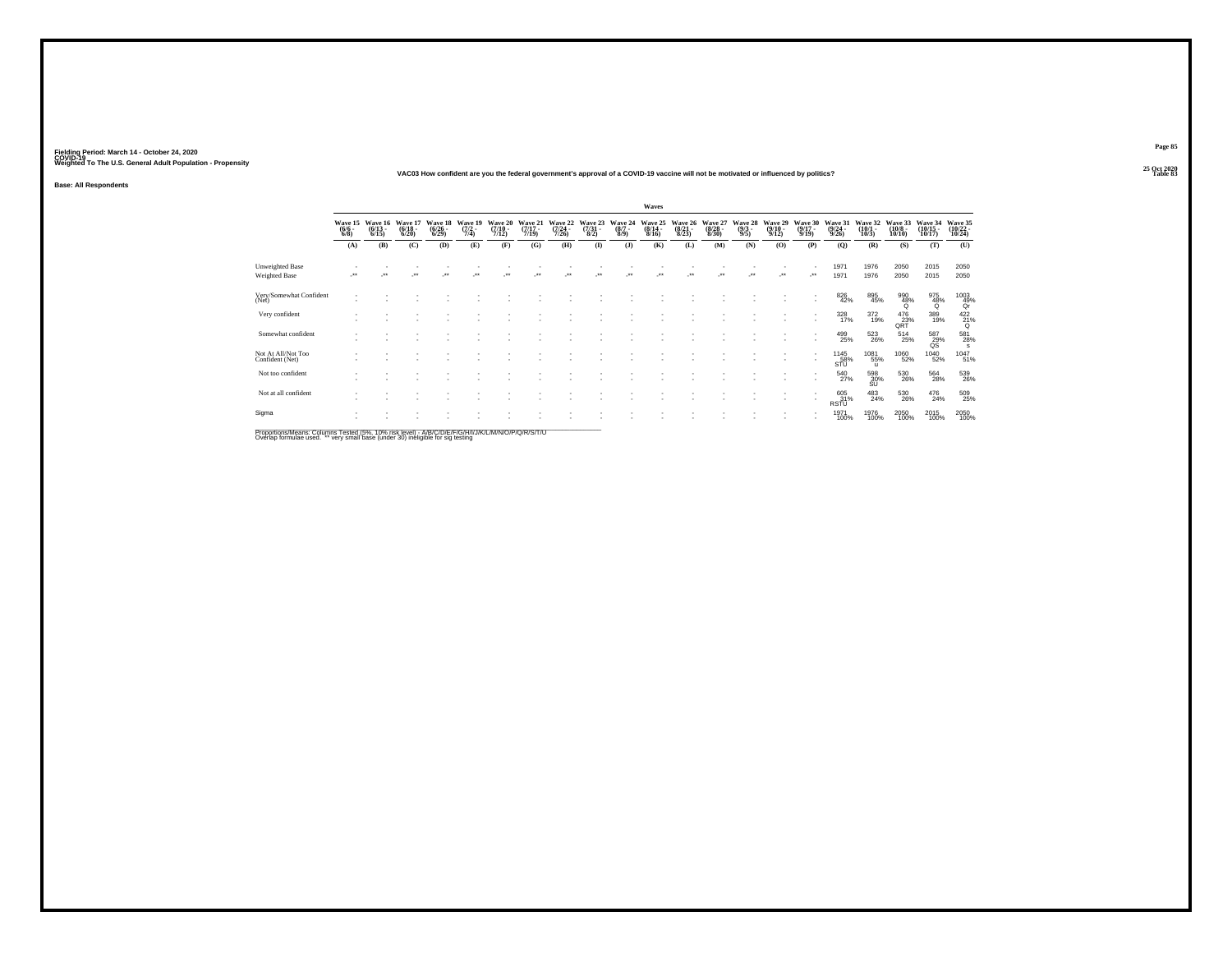#### **25 Oct 2020VAC03 How confident are you the federal government's approval of a COVID-19 vaccine will not be motivated or influenced by politics?**

**Base: All Respondents**

|                                                                 | Waves                          |                                  |                                  |                                 |                           |                                  |                                  |                                  |                                 |                               |                                  |                                 |                                 |                                |                                  |                                  |                                  |                                       |                                  |                                            |                                         |
|-----------------------------------------------------------------|--------------------------------|----------------------------------|----------------------------------|---------------------------------|---------------------------|----------------------------------|----------------------------------|----------------------------------|---------------------------------|-------------------------------|----------------------------------|---------------------------------|---------------------------------|--------------------------------|----------------------------------|----------------------------------|----------------------------------|---------------------------------------|----------------------------------|--------------------------------------------|-----------------------------------------|
|                                                                 | Wave 15<br>$\frac{(6/6)}{6/8}$ | Wave 16<br>$\frac{(6/13)}{6/15}$ | Wave 17<br>$\frac{(6/18)}{6/20}$ | Wave 18<br>$\binom{6/26}{6/29}$ | Wave 19<br>(7/2 -<br>7/4) | Wave 20<br>$\frac{(7/10)}{7/12}$ | Wave 21<br>$\frac{(7/17)}{7/19}$ | Wave 22<br>$\frac{(7/24)}{7/26}$ | Wave 23<br>$\frac{(7/31)}{8/2}$ | Wave 24<br>$\binom{8/7}{8/9}$ | Wave 25<br>$\frac{(8/14)}{8/16}$ | Wave 26<br>$\binom{8/21}{8/23}$ | Wave 27<br>$\binom{8/28}{8/30}$ | Wave 28<br>$\frac{(9/3)}{9/5}$ | Wave 29<br>$\frac{(9/10)}{9/12}$ | Wave 30<br>$\frac{(9/17)}{9/19}$ | Wave 31<br>$\frac{(9/24)}{9/26}$ | Wave 32<br>$\frac{(10/1 - 10)}{10/3}$ | Wave 33<br>$\binom{10/8}{10/10}$ | Wave 34<br>(10/15<br>10/17)                | Wave 35<br>(10/22 -<br>10/24)           |
|                                                                 | (A)                            | (B)                              | (C)                              | (D)                             | (E)                       | (F)                              | (G)                              | (H)                              | (1)                             | (3)                           | (K)                              | (L)                             | (M)                             | (N)                            | (O)                              | (P)                              | (Q)                              | (R)                                   | (S)                              | (T)                                        | (U)                                     |
| <b>Unweighted Base</b><br>Weighted Base                         |                                |                                  | $\ddot{}$                        |                                 |                           |                                  |                                  |                                  |                                 |                               |                                  |                                 |                                 |                                | $\cdot$                          | -**                              | 1971<br>1971                     | 1976<br>1976                          | 2050<br>2050                     | 2015<br>2015                               | 2050<br>2050                            |
| Very/Somewhat Confident<br>(Net)                                |                                |                                  |                                  |                                 |                           |                                  |                                  |                                  |                                 |                               |                                  |                                 |                                 |                                |                                  |                                  | 826<br>42%                       | 895<br>45%                            | 990<br>48%<br>Q                  | $\frac{975}{48\%}$                         | $^{1003}_{\substack{49\%\\ \text{Qr}}}$ |
| Very confident                                                  |                                |                                  |                                  |                                 |                           |                                  |                                  |                                  |                                 |                               |                                  |                                 |                                 |                                |                                  |                                  | $\frac{328}{17\%}$               | $\frac{372}{19\%}$                    | $^{476}_{23\%}$ QRT              | 389<br>19%                                 | $^{422}_{21\%}$                         |
| Somewhat confident                                              |                                |                                  |                                  |                                 |                           |                                  |                                  |                                  |                                 |                               |                                  |                                 |                                 |                                |                                  |                                  | 499<br>25%                       | $^{523}_{26\%}$                       | $^{514}_{25\%}$                  | $^{587}_{\phantom{1}29\%}_{\phantom{1}08}$ | 581<br>28%<br>s                         |
| Not At All/Not Too<br>Confident (Net)                           |                                |                                  |                                  |                                 |                           |                                  |                                  |                                  |                                 |                               |                                  |                                 |                                 |                                |                                  |                                  | 1145<br>58%<br>STU               | 1081<br>55%<br>$\mathbf{u}$           | 1060<br>52%                      | <sup>1040</sup> 52%                        | 1047<br>51%                             |
| Not too confident                                               |                                |                                  |                                  |                                 |                           |                                  |                                  |                                  |                                 |                               |                                  |                                 |                                 |                                |                                  |                                  | 540<br>27%                       | 598<br>30%<br>SU                      | 530<br>26%                       | 564<br>28%                                 | 539<br>26%                              |
| Not at all confident                                            |                                |                                  |                                  |                                 |                           |                                  |                                  |                                  |                                 |                               |                                  |                                 |                                 |                                |                                  |                                  | 605<br>31%<br><b>RSTU</b>        | $^{483}_{24\%}$                       | 530<br>26%                       | $^{476}_{24\%}$                            | 509<br>25%                              |
| Sigma                                                           |                                |                                  |                                  |                                 |                           |                                  |                                  |                                  |                                 |                               |                                  |                                 |                                 |                                |                                  |                                  | 1971<br>100%                     | 1976<br>100%                          | 2050<br>100%                     | 2015<br>100%                               | 2050<br>100%                            |
| Description & Leave, Onlinear Train 4 (FBI - 4 00), data family |                                |                                  |                                  | $A \cup B \cup C$               |                           | 117717777781201001010101017777   |                                  |                                  |                                 |                               |                                  |                                 |                                 |                                |                                  |                                  |                                  |                                       |                                  |                                            |                                         |

Proportions/Means: Columns Tested (5%, 10% risk level) - A/B/C/D/E/F/G/H/I/J/K/L/M/N/O/P/Q/R/S/T/U<br>Overlap formulae used. \*\* very small base (under 30) ineligible for sig testing

**Page 85**25 Oct 2020<br>Table 83

**Table 83 Table 83**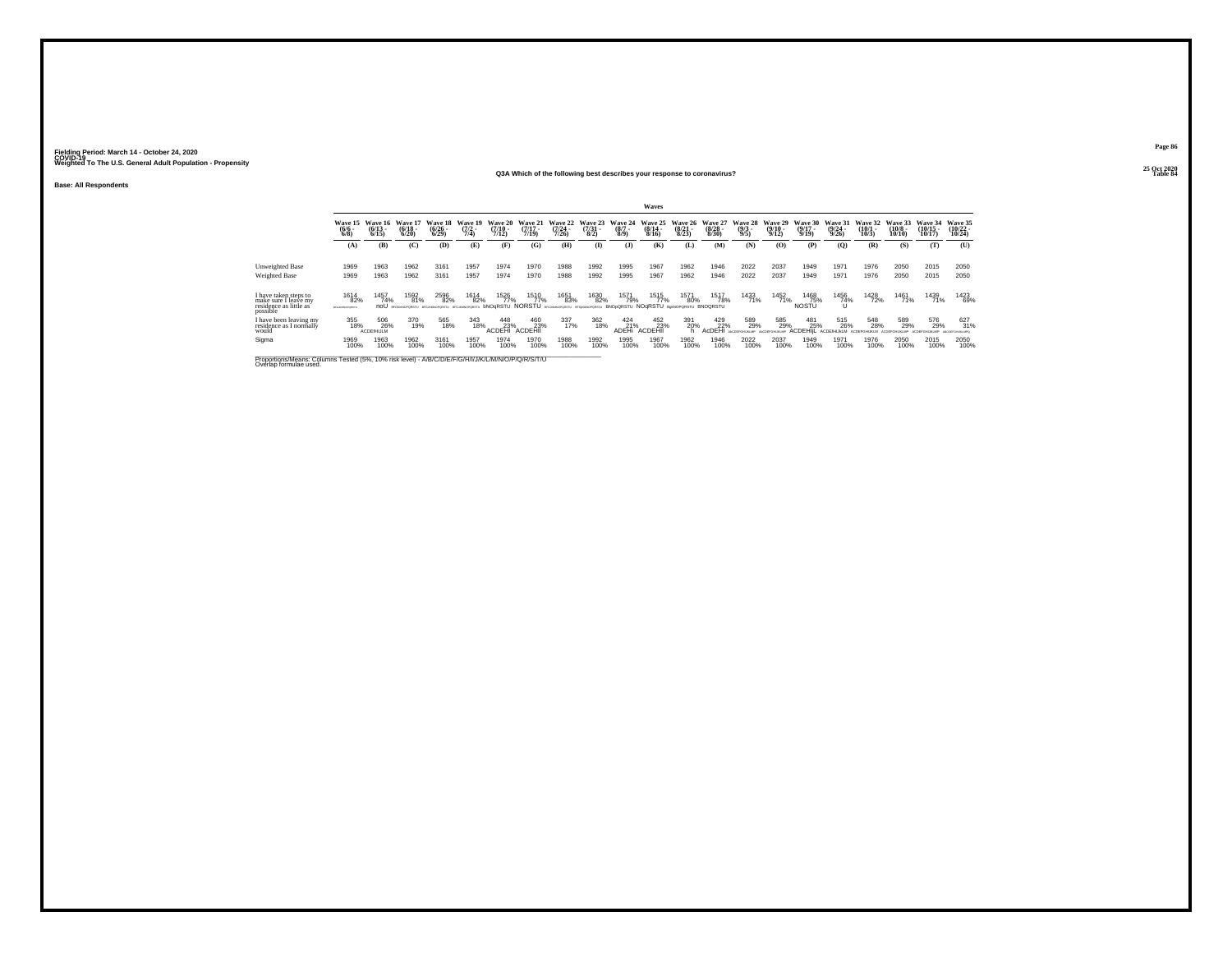#### **25 Oct 2020Q3A Which of the following best describes your response to coronavirus?**

**Base: All Respondents**

|                                                                                                                              | Waves                             |                              |                              |                              |                            |                              |                              |                           |                                 |                                                                                                 |                              |                                  |                                  |                                |                              |                              |                              |                              |                               |                                |                               |
|------------------------------------------------------------------------------------------------------------------------------|-----------------------------------|------------------------------|------------------------------|------------------------------|----------------------------|------------------------------|------------------------------|---------------------------|---------------------------------|-------------------------------------------------------------------------------------------------|------------------------------|----------------------------------|----------------------------------|--------------------------------|------------------------------|------------------------------|------------------------------|------------------------------|-------------------------------|--------------------------------|-------------------------------|
|                                                                                                                              | <b>Wave 15</b><br>$(6/6 -$<br>6/8 | Wave 16<br>$(6/13 -$<br>6/15 | Wave 17<br>$(6/18 -$<br>6/20 | Wave 18<br>$(6/26 -$<br>6/29 | Wave 19<br>$(7/2 -$<br>7/4 | Wave 20<br>$(7/10 -$<br>7/12 | Wave 21<br>$(7/17 -$<br>7/19 | Wave 22<br>(7/24)<br>7/26 | Wave 23<br>$\frac{(7/31)}{8/2}$ | Wave 24<br>$(8/7 -$<br>8/9                                                                      | Wave 25<br>$(8/14 -$<br>8/16 | Wave 26<br>$\frac{(8/21)}{8/23}$ | Wave 27<br>$\frac{(8/28)}{8/30}$ | Wave 28<br>$\frac{(9/3)}{9/5}$ | Wave 29<br>$(9/10 -$<br>9/12 | Wave 30<br>$(9/17 -$<br>9/19 | Wave 31<br>$(9/24 -$<br>9/26 | Wave 32<br>$(10/1 -$<br>10/3 | Wave 33<br>$(10/8 -$<br>10/10 | Wave 34<br>$(10/15 -$<br>10/17 | Wave 35<br>$10/22 -$<br>10/24 |
|                                                                                                                              | (A)                               | (B)                          | (C)                          | (D)                          | (E)                        | (F)                          | (G)                          | (H)                       | <b>(I)</b>                      | $\mathbf{J}$                                                                                    | <b>(K)</b>                   | (L)                              | (M)                              | (N)                            | (0)                          | (P)                          | (Q)                          | (R)                          | (S)                           | (T)                            | (U)                           |
|                                                                                                                              |                                   |                              |                              |                              |                            |                              |                              |                           |                                 |                                                                                                 |                              |                                  |                                  |                                |                              |                              |                              |                              |                               |                                |                               |
| Unweighted Base                                                                                                              | 1969                              | 1963                         | 1962                         | 3161                         | 1957                       | 1974                         | 1970                         | 1988                      | 1992                            | 1995                                                                                            | 1967                         | 1962                             | 1946                             | 2022                           | 2037                         | 1949                         | 1971                         | 1976                         | 2050                          | 2015                           | 2050                          |
| <b>Weighted Base</b>                                                                                                         | 1969                              | 1963                         | 1962                         | 3161                         | 1957                       | 1974                         | 1970                         | 1988                      | 1992                            | 1995                                                                                            | 1967                         | 1962                             | 1946                             | 2022                           | 2037                         | 1949                         | 1971                         | 1976                         | 2050                          | 2015                           | 2050                          |
|                                                                                                                              |                                   |                              |                              |                              |                            |                              |                              |                           |                                 |                                                                                                 |                              |                                  |                                  |                                |                              |                              |                              |                              |                               |                                |                               |
| I have taken steps to                                                                                                        | 1614                              | 1457<br>74%                  | 1592<br>81%                  | 2596<br>82%                  | 1614<br>82%                | 1526<br>77%                  | 1510<br>77%                  | 1651<br>83%               | 1630<br>82%                     | 1571<br>79%                                                                                     | 1515<br>77%                  | 1571                             | 1517<br>78%                      | 1433<br>71%                    | 1452<br>71%                  | 1468<br>75%                  | 1456<br>74%                  | 1428<br>72%                  | 1461<br>71%                   | 1439<br>71%                    | 1423<br>69%                   |
| make sure I leave my<br>residence as little as                                                                               | 82%<br>BFG.MMCFCR3TU              |                              |                              |                              |                            |                              |                              |                           |                                 | <b>NOGRSTU NORSTU</b> SEARINGPORETU BEGRANDPORETU <b>BNOGORSTU NOGRSTU B</b> ANDPORETU BNOGRSTU |                              | 80%                              |                                  |                                |                              | NOSTU                        |                              |                              |                               |                                |                               |
| possible                                                                                                                     |                                   |                              |                              |                              |                            |                              |                              |                           |                                 |                                                                                                 |                              |                                  |                                  |                                |                              |                              |                              |                              |                               |                                |                               |
| I have been leaving my<br>residence as I normally                                                                            | 355<br>18%                        | 506<br>26%                   | 370<br>19%                   | 565<br>18%                   | 343<br>18%                 | 448<br>23%                   | 460<br>23%                   | 337<br>17%                | 362<br>18%                      | $^{424}_{21\%}$                                                                                 | 452<br>23%                   | 391<br>20%                       | 429<br>22%                       | 589<br>29%                     | 585<br>29%                   | 481<br>25%                   | 515<br>26%                   | 548<br>28%                   | 589<br>29%                    | 576<br>29%                     | 627<br>31%                    |
| would                                                                                                                        |                                   | <b>ACDEfHIJLM</b>            |                              |                              |                            | <b>ACDEHI</b>                | <b>ACDEHII</b>               |                           |                                 | ADEHi                                                                                           | ACDEHI                       |                                  | AcDEHI                           | <b><i>ANTITECHE MI MD</i></b>  |                              | <b>ACDEHIL</b>               | ACDEMIUM M                   |                              |                               |                                |                               |
| Sigma                                                                                                                        | 1969<br>100%                      | 1963<br>100%                 | 1962<br>100%                 | 3161<br>100%                 | 1957<br>100%               | 1974<br>100%                 | 1970<br>100%                 | 1988<br>100%              | 1992<br>100%                    | 1995<br>100%                                                                                    | 1967<br>100%                 | 1962<br>100%                     | 1946<br>100%                     | 2022<br>100%                   | 2037<br>100%                 | 1949<br>100%                 | 1971<br>100%                 | 1976<br>100%                 | 2050<br>100%                  | 2015<br>100%                   | 2050<br>100%                  |
| Proportions/Means: Columns Tested (5%, 10% risk level) - A/B/C/D/E/F/G/H/I/J/K/L/M/N/O/P/Q/R/S/T/U<br>Overlap formulae used. |                                   |                              |                              |                              |                            |                              |                              |                           |                                 |                                                                                                 |                              |                                  |                                  |                                |                              |                              |                              |                              |                               |                                |                               |

**Page 8625 Oct 2020<br>Table 84** 

**Table 84 Table 84 Table 84**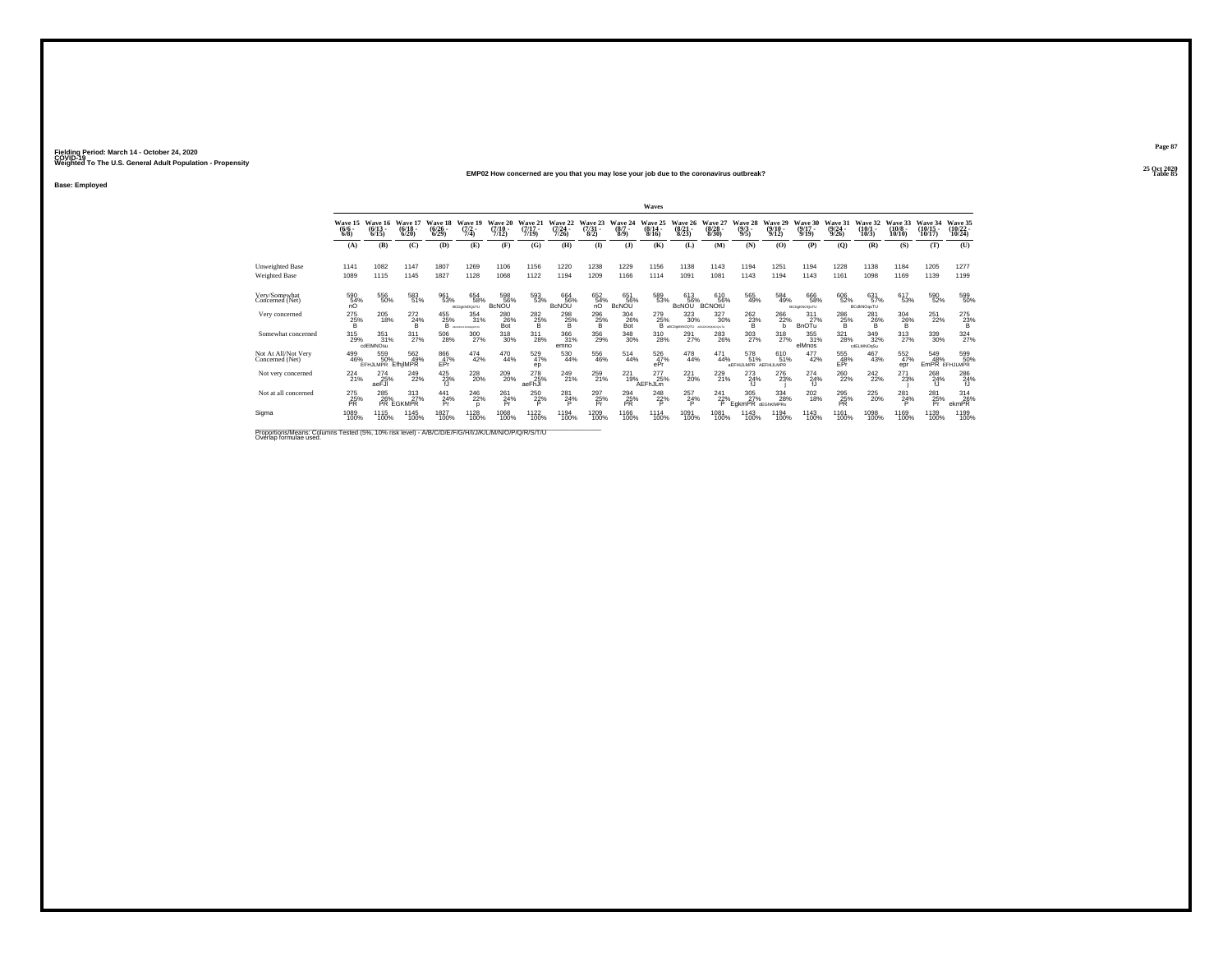#### **25 Oct 2020EMP02 How concerned are you that you may lose your job due to the coronavirus outbreak?Table 85 Table 85**

**Base: Employed**

|                                                                                                                              |                            |                                 |                              |                                      |                                    |                            |                              |                              |                                 |                                | Waves                        |                                  |                                 |                                   |                                  |                                  |                                  |                                  |                               |                                |                                   |
|------------------------------------------------------------------------------------------------------------------------------|----------------------------|---------------------------------|------------------------------|--------------------------------------|------------------------------------|----------------------------|------------------------------|------------------------------|---------------------------------|--------------------------------|------------------------------|----------------------------------|---------------------------------|-----------------------------------|----------------------------------|----------------------------------|----------------------------------|----------------------------------|-------------------------------|--------------------------------|-----------------------------------|
|                                                                                                                              | Wave 15<br>$(6/6 -$<br>6/8 | Wave 16<br>$(6/13 -$<br>6/15    | Wave 17<br>$(6/18 -$<br>6/20 | Wave 18<br>$(6/26 -$<br>6/29         | Wave 19<br>$(7/2 -$<br>7/4)        | Wave 20<br>(7/10.<br>7/12  | Wave 21<br>$(7/17 -$<br>7/19 | Wave 22<br>$(7/24 -$<br>7/26 | Wave 23<br>$\binom{7/31}{8/2}$  | Wave 24<br>$(8/7 -$<br>$8/9$ ) | Wave 25<br>$(8/14 -$<br>8/16 | Wave 26<br>$\frac{(8/21)}{8/23}$ | Wave 27<br>$(8/28 -$<br>8/30    | Wave 28<br>$\frac{(9/3)}{9/5}$    | Wave 29<br>$\frac{(9/10)}{9/12}$ | Wave 30<br>$(9/17 -$<br>9/19     | Wave 31<br>$\frac{(9/24)}{9/26}$ | Wave 32<br>$\binom{10/1}{10/3}$  | Wave 33<br>$(10/8 -$<br>10/10 | Wave 34<br>$(10/15 -$<br>10/17 | Wave 35<br>$\binom{10/22}{10/24}$ |
|                                                                                                                              | (A)                        | (B)                             | (C)                          | (D)                                  | (E)                                | (F)                        | (G)                          | (H)                          | $\bf{I}$                        | $($ J $)$                      | (K)                          | (L)                              | (M)                             | (N)                               | (0)                              | (P)                              | (0)                              | (R)                              | (S)                           | (T)                            | (U)                               |
| <b>Unweighted Base</b><br><b>Weighted Base</b>                                                                               | 1141<br>1089               | 1082<br>1115                    | 1147<br>1145                 | 1807<br>1827                         | 1269<br>1128                       | 1106<br>1068               | 1156<br>1122                 | 1220<br>1194                 | 1238<br>1209                    | 1229<br>1166                   | 1156<br>1114                 | 1138<br>1091                     | 1143<br>1081                    | 1194<br>1143                      | 1251<br>1194                     | 1194<br>1143                     | 1228<br>1161                     | 1138<br>1098                     | 1184<br>1169                  | 1205<br>1139                   | 1277<br>1199                      |
| Very/Somewhat<br>Concerned (Net)                                                                                             | 590<br>54%<br>nO           | 556<br>50%                      | 583<br>51%                   | 961<br>53%                           | 654<br>58%<br><b>BCDsMOOsTU</b>    | 598<br>56%<br><b>BcNOU</b> | 593<br>53%                   | 664<br>56%<br><b>BcNOU</b>   | 652<br>54%<br>nO                | 651<br>56%<br><b>BcNOU</b>     | 589<br>53%                   | 613<br>56%<br><b>BcNOU</b>       | 610<br>56%<br><b>BCNOtU</b>     | 565<br>49%                        | 584<br>49%                       | 666<br>58%<br><b>BCDoKNOQsTU</b> | 606<br>52%                       | 631<br>57%<br><b>BCdkNOgsTU</b>  | 617<br>53%                    | 590<br>52%                     | 599<br>50%                        |
| Very concerned                                                                                                               | 275<br>$^{25%}_{B}$        | 205<br>18%                      | 272<br>$^{24%}_{B}$          | 455<br>25%<br>в                      | 354<br>31%<br>ARCOFOHLAND GRETZ    | 280<br>26%<br>Bot          | 282<br>25%<br>в              | 298<br>$^{25\%}_{B}$         | 296<br>$^{25\%}_{\overline{B}}$ | 304<br>26%<br>Bot              | 279                          | 323<br>$25\%$ 30%<br>30%         | 327<br>30%<br>ARCONDISIONOGNITU | 262<br>$^{23\%}_{\{B}}$           | 266<br>22%<br>h                  | 311<br>27%<br>BnOTu              | 286<br>$^{25\%}_{B}$             | 281<br>$^{26}_{\sub{B}}$         | 304<br>26%                    | 251<br>22%                     | 275<br>$^{23%}_{B}$               |
| Somewhat concerned                                                                                                           | $^{315}_{29\%}$            | $\frac{351}{31\%}$<br>cdEIMNOsu | $^{311}_{27\%}$              | $^{506}_{\ 28\%}$                    | $\frac{300}{27\%}$                 | $\frac{318}{30\%}$         | $^{311}_{28\%}$              | 366<br>31%<br>emno           | 356<br>29%                      | 348<br>30%                     | 310<br>28%                   | 291<br>27%                       | <sup>283</sup> <sub>26%</sub>   | 303<br>27%                        | $^{318}_{27\%}$                  | 355<br>31%<br>elMnos             | 321<br>28%                       | $\frac{349}{32\%}$<br>odELMNOqSu | $^{313}_{27\%}$               | 339<br>30%                     | 324 27%                           |
| Not At All/Not Very<br>Concerned (Net)                                                                                       | 499<br>46%                 | 559<br>50%<br>EFHJLMPR EfhilMPR | 562<br>49%                   | 866<br>47%<br>FPr                    | 474<br>42%                         | 470<br>44%                 | 529<br>47%<br>ep             | 530<br>44%                   | 556<br>46%                      | 514<br>44%                     | 526<br>47%<br>ePr            | $^{478}_{44\%}$                  | 471<br>44%                      | 578<br>51%<br>AFFHULMPR AFFHULMPR | 610<br>51%                       | 477<br>42%                       | 555<br>48%<br>EPr                | 467<br>43%                       | 552 <sub>%</sub><br>epr       | 549<br>48%<br><b>EmPR</b>      | 599<br>50%<br>EFHJLMPR            |
| Not very concerned                                                                                                           | 224<br>21%                 | 274<br>25%<br>aeFJI             | 249<br>22%                   | $^{425}_{\substack{23\%\\{\sf fJ}}}$ | 228<br>20%                         | 209<br>20%                 | 278<br>25%<br>aeFhJl         | 249<br>21%                   | 259<br>21%                      | 221<br>19%                     | 277<br>25%<br>AEFhJLm        | 221<br>20%                       | 229<br>21%                      | 273<br>24%                        | 276<br>23%                       | 274<br>24%<br>fJ                 | 260<br>22%                       | $^{242}_{22\%}$                  | 271<br>23%                    | 268<br>24%<br>fĴ               | 286<br>$24\%$                     |
| Not at all concerned                                                                                                         | 275<br>25%<br>PR           | <sup>285</sup> <sub>26%</sub>   | 313<br>27%<br>PR EGKMPR      | 441<br>24%<br>Pr                     | <sup>246</sup> <sub>22%</sub><br>n | 261<br>24%<br>Pr           | 250<br>22%<br>D              | $^{281}_{24\%}$<br>D         | 297<br>25%<br>Pr                | 294<br>25%<br>PR               | 248<br>22%<br>D              | $^{257}_{24\%}$<br>D             | 241<br>22%<br>P                 | 305<br>27%<br>EgkmPR dEGhKIMPRs   | 334<br>28%                       | 202<br>18%                       | 295<br>25%<br><b>PR</b>          | 225<br>20%                       | $^{281}_{24\%}$<br>D          | 281<br>25%<br>Pr               | 314<br>26%<br>ekmPR               |
| Sigma                                                                                                                        | 1089<br>100%               | 1115<br>100%                    | 1145<br>100%                 | 1827<br>100%                         | 1128<br>100%                       | 1068<br>100%               | 1122<br>100%                 | 1194<br>100%                 | 1209<br>100%                    | 1166<br>100%                   | 1114<br>100%                 | 1091<br>100%                     | 1081<br>100%                    | 1143<br>100%                      | 1194<br>100%                     | 1143<br>100%                     | 1161<br>100%                     | 1098<br>100%                     | 1169<br>100%                  | 1139<br>100%                   | 1199<br>100%                      |
| Proportions/Means: Columns Tested (5%, 10% risk level) - A/B/C/D/E/F/G/H/I/J/K/L/M/N/O/P/Q/R/S/T/U<br>Overlap formulae used. |                            |                                 |                              |                                      |                                    |                            |                              |                              |                                 |                                |                              |                                  |                                 |                                   |                                  |                                  |                                  |                                  |                               |                                |                                   |

**Page 87**25 Oct 2020<br>Table 85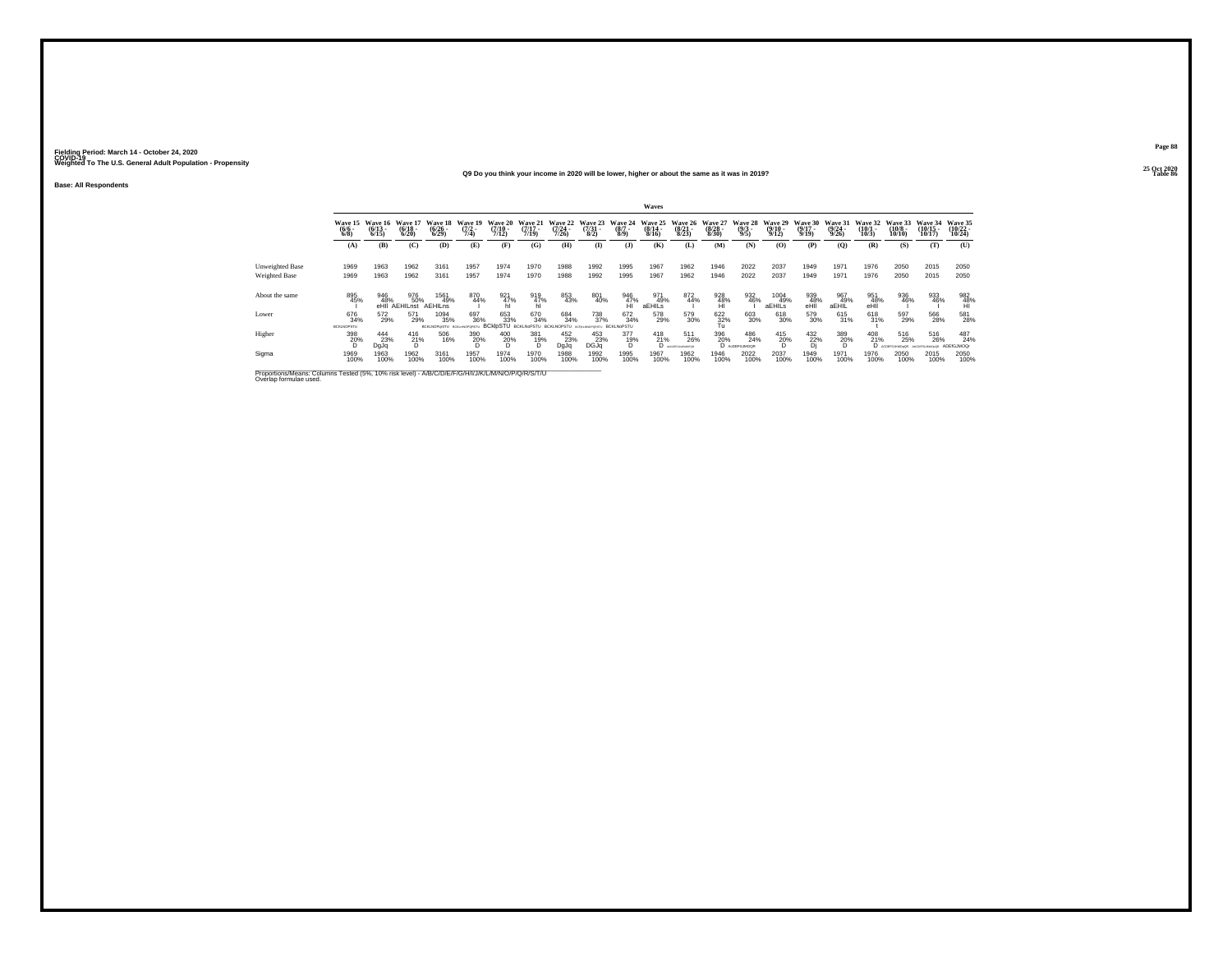#### **25 Oct 2020Q9 Do you think your income in 2020 will be lower, higher or about the same as it was in 2019?Table 86 Table 86 Table 86**

**Base: All Respondents**

|                                                                                                                              |                                 |                              |                              |                                        |                                    |                                          |                              |                                  |                                 |                                 | <b>Waves</b>                     |                                  |                                 |                                |                                         |                                      |                                  |                               |                                   |                                    |                                    |
|------------------------------------------------------------------------------------------------------------------------------|---------------------------------|------------------------------|------------------------------|----------------------------------------|------------------------------------|------------------------------------------|------------------------------|----------------------------------|---------------------------------|---------------------------------|----------------------------------|----------------------------------|---------------------------------|--------------------------------|-----------------------------------------|--------------------------------------|----------------------------------|-------------------------------|-----------------------------------|------------------------------------|------------------------------------|
|                                                                                                                              | Wave 15<br>$(6/6 -$<br>6/8      | Wave 16<br>$(6/13 -$<br>6/15 | Wave 17<br>$(6/18 -$<br>6/20 | Wave 18<br>$\frac{(6/26 - 6)}{(6/29)}$ | Wave 19<br>$\frac{(7/2)}{7/4}$     | Wave 20<br>$\frac{(7/10)}{7/12}$         | Wave 21<br>$(7/17 -$<br>7/19 | Wave 22<br>$\frac{(7/24)}{7/26}$ | Wave 23<br>$\frac{(7/31)}{8/2}$ | Wave 24<br>$\binom{8/7}{8/9}$   | Wave 25<br>$\frac{(8/14)}{8/16}$ | Wave 26<br>$\frac{(8/21)}{8/23}$ | Wave 27<br>$\binom{8/28}{8/30}$ | Wave 28<br>$\frac{(9/3)}{9/5}$ | Wave 29<br>$\frac{(9/10 - 9/12)}{9/12}$ | Wave 30<br>$\frac{(9/17 - 9)}{9/19}$ | Wave 31<br>$\frac{(9/24)}{9/26}$ | Wave 32<br>$\binom{10}{10/3}$ | Wave 33<br>$\frac{(10/8)}{10/10}$ | Wave 34<br>$(10/15 -$<br>10/17     | Wave 35<br>$\frac{(10/22)}{10/24}$ |
|                                                                                                                              | (A)                             | (B)                          | (C)                          | (D)                                    | (E)                                | (F)                                      | (G)                          | (H)                              | $\bf(I)$                        | $($ $\bf{J}$                    | (K)                              | (L)                              | (M)                             | (N)                            | (0)                                     | (P)                                  | (0)                              | (R)                           | (S)                               | (T)                                | (U)                                |
| <b>Unweighted Base</b>                                                                                                       | 1969                            | 1963                         | 1962                         | 3161                                   | 1957                               | 1974                                     | 1970                         | 1988                             | 1992                            | 1995                            | 1967                             | 1962                             | 1946                            | 2022                           | 2037                                    | 1949                                 | 1971                             | 1976                          | 2050                              | 2015                               | 2050                               |
| Weighted Base                                                                                                                | 1969                            | 1963                         | 1962                         | 3161                                   | 1957                               | 1974                                     | 1970                         | 1988                             | 1992                            | 1995                            | 1967                             | 1962                             | 1946                            | 2022                           | 2037                                    | 1949                                 | 1971                             | 1976                          | 2050                              | 2015                               | 2050                               |
| About the same                                                                                                               | 895<br>45%                      | 946<br>48%                   | 976<br>50%<br>eHII AEHILnst  | 1561<br>49%<br>AEHILAS                 | 870<br>44%                         | $\frac{921}{47\%}$ hl                    | 919<br>47%                   | 853<br>43%                       | 801<br>40%                      | 946<br>47%                      | 971<br>49%<br>aEHILS             | 872<br>44%                       | $\frac{928}{48\%}$              | 932<br>46%                     | 1004<br>49%<br>aEHILS                   | 939<br>48%<br>eHil                   | 967<br>49%<br>aEHİL              | 951<br>48%<br>eHÎ             | 936<br>46%                        | 933<br>46%                         | 982<br>48%<br>HI                   |
| Lower                                                                                                                        | 676<br>34%<br><b>BCKLNOPSTU</b> | 572<br>29%                   | 571<br>29%                   | 1094<br>35%<br><b>BCKLNOPerSTU</b>     | 697<br>36%<br><b>BOILWAGPORSTU</b> | 653<br>33%<br><b>BCkIpSTU BCKLNoPSTU</b> | 670<br>34%                   | 684<br>34%<br>ROG NOPSTLL        | 738<br>37%                      | 672<br>34%<br><b>BCKLNoPSTU</b> | 578<br>29%                       | 579<br>30%                       | 622<br>$\frac{32}{10}$          | 603<br>30%                     | 618<br>30%                              | 579<br>30%                           | 615<br>31%                       | 618<br>31%                    | 597<br>29%                        | 566<br>28%                         | 581<br>28%                         |
| Higher                                                                                                                       | 398<br>20%<br>D                 | 444<br>23%<br>DgJq           | 416<br>21%<br>D              | 506<br>16%                             | 390<br>20%                         | 400<br>20%<br>D                          | 381<br>19%                   | 452<br>23%<br>DgJq               | 453<br>DGJq                     | 377<br>19%<br>n                 | $^{418}_{21\%}$<br>D             | 511<br>26%<br>ANCORDON BANYAND   | 396<br>20%                      | 486<br>24%<br>D AcDEFGJMOOR    | 415<br>20%<br>Ď                         | 432/22%<br>Di                        | 389<br>20%<br>D                  | 408<br>21%<br>D.              | 516<br>25%                        | 516<br>26%<br><b>ACCEPSURANCER</b> | 487<br>24%<br><b>ADEIGJMOOr</b>    |
| Sigma                                                                                                                        | 1969<br>100%                    | 1963<br>100%                 | 1962<br>100%                 | 3161<br>100%                           | 1957<br>100%                       | 1974<br>100%                             | 1970<br>100%                 | 1988<br>100%                     | 1992<br>100%                    | 1995<br>100%                    | 1967<br>100%                     | 1962<br>100%                     | 1946<br>100%                    | 2022<br>100%                   | 2037<br>100%                            | 1949<br>100%                         | 1971<br>100%                     | 1976<br>100%                  | 2050<br>100%                      | 2015<br>100%                       | 2050<br>100%                       |
| Proportions/Means: Columns Tested (5%, 10% risk level) - A/B/C/D/E/F/G/H/I/J/K/L/M/N/O/P/Q/R/S/T/U<br>Overlap formulae used. |                                 |                              |                              |                                        |                                    |                                          |                              |                                  |                                 |                                 |                                  |                                  |                                 |                                |                                         |                                      |                                  |                               |                                   |                                    |                                    |

**Page 8825 Oct 2020<br>Table 86**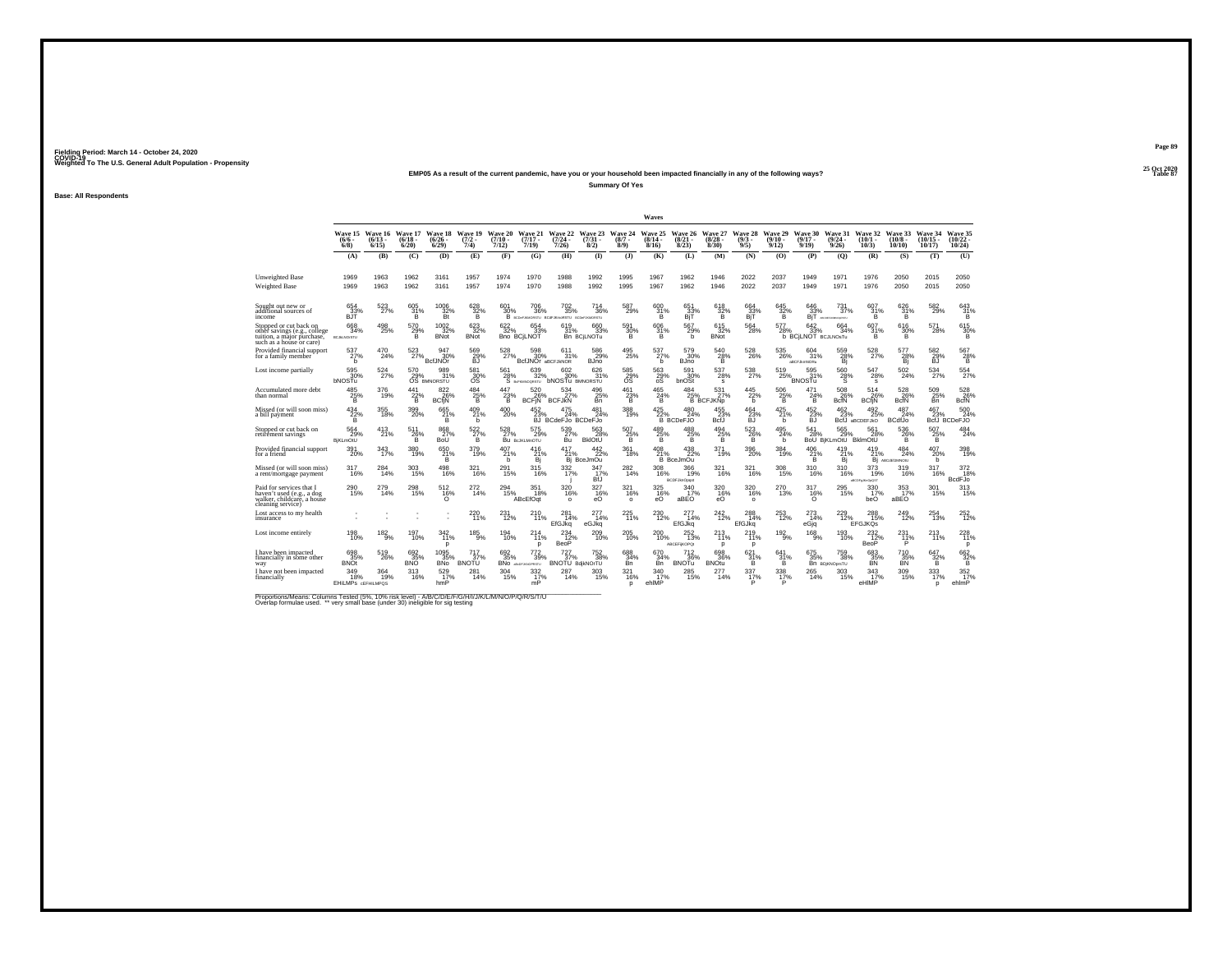#### **25 Oct 2020EMP05 As a result of the current pandemic, have you or your household been impacted financially in any of the following ways?**

**Summary Of Yes**

**Base: All Respondents**

|                                                                                                                  |                                         |                              |                              |                                          |                                   |                               |                                                                                                                                                                      |                                                          |                             |                                             | Waves                        |                                  |                                         |                        |                                       |                                          |                                    |                              |                                |                                |                                                                  |
|------------------------------------------------------------------------------------------------------------------|-----------------------------------------|------------------------------|------------------------------|------------------------------------------|-----------------------------------|-------------------------------|----------------------------------------------------------------------------------------------------------------------------------------------------------------------|----------------------------------------------------------|-----------------------------|---------------------------------------------|------------------------------|----------------------------------|-----------------------------------------|------------------------|---------------------------------------|------------------------------------------|------------------------------------|------------------------------|--------------------------------|--------------------------------|------------------------------------------------------------------|
|                                                                                                                  | Wave 15<br>$(6/6 -$<br>$6/8$ )          | Wave 16<br>$(6/13 -$<br>6/15 | Wave 17<br>$(6/18 -$<br>6/20 | Wave 18 Wave 19<br>$(6/26 -$<br>$6/29$ ) | $\frac{(7/2)}{7/4}$               | Wave 20<br>$(7/10 -$<br>7/12) | Wave 21<br>$(7/17 -$<br>7/19)                                                                                                                                        | $(7/24 -$<br>7/26)                                       | $(7/31 -$<br>8/2)           | Wave 22 Wave 23 Wave 24<br>$(8/7 -$<br>8/9) | Wave 25<br>$(8/14 -$<br>8/16 | $\binom{8/21}{8/23}$             | Wave 26 Wave 27<br>$\binom{8/28}{8/30}$ | $(9/3 -$<br>9/5)       | Wave 28 Wave 29<br>$(9/10 -$<br>9/12) | Wave 30<br>$(9/17 -$<br>9/19             | Wave 31<br>(9/24)<br>9/26          | Wave 32<br>(10/1<br>10/3)    | Wave 33<br>$(10/8 -$<br>10/10) | Wave 34<br>$(10/15 -$<br>10/17 | Wave 35<br>$\frac{(10/22 - 10/24)}{10/24}$                       |
|                                                                                                                  | (A)                                     | (B)                          | (C)                          | (D)                                      | (E)                               | (F)                           | (G)                                                                                                                                                                  | (H)                                                      | $($ $\Gamma$                | (3)                                         | (K)                          | (L)                              | (M)                                     | (N)                    | (0)                                   | (P)                                      | (0)                                | (R)                          | (S)                            | (T)                            | (U)                                                              |
| <b>Unweighted Base</b><br><b>Weighted Base</b>                                                                   | 1969<br>1969                            | 1963<br>1963                 | 1962<br>1962                 | 3161<br>3161                             | 1957<br>1957                      | 1974<br>1974                  | 1970<br>1970                                                                                                                                                         | 1988<br>1988                                             | 1992<br>1992                | 1995<br>1995                                | 1967<br>1967                 | 1962<br>1962                     | 1946<br>1946                            | 2022<br>2022           | 2037<br>2037                          | 1949<br>1949                             | 1971<br>1971                       | 1976<br>1976                 | 2050<br>2050                   | 2015<br>2015                   | 2050<br>2050                                                     |
|                                                                                                                  |                                         |                              |                              |                                          |                                   |                               |                                                                                                                                                                      |                                                          |                             |                                             |                              |                                  |                                         |                        |                                       |                                          |                                    |                              |                                |                                |                                                                  |
| Sought out new or<br>additional sources of<br>income                                                             | 654<br>33%<br>BJT                       | 523<br>27%                   | 605<br>31%<br>Ë.             | 1006<br>$rac{32}{B}$                     | 628<br>$32\%$                     | 601<br>30%                    | 706<br>36%                                                                                                                                                           | 702<br>35%<br>B BCDeFJAMORSTU BCdFJKmoRSTU BCDeFJAMORSTU | 714<br>36%                  | 587<br>29%                                  | 600<br>31%<br>Ŕ.             | 651<br>$B1$ <sup>33%</sup>       | 618<br>32%                              | 664<br>33%<br>BiT      | 645<br>32%                            | 646<br>33%<br>Bī1                        | 731<br>37%<br>ABCDEFJKARIOMRETU    | 607<br>31%<br>B.             | 626<br>31%<br>Ŕ                | 582<br>29%                     | 643<br>31%<br>Έŝ                                                 |
| Stopped or cut back on<br>othèr savings (e.g., college<br>tuition, a major purchase.<br>such as a house or care) | 668<br>34%<br><b>BCJALNO/STU</b>        | 498<br>25%                   | 570<br>29%<br>B              | 1002<br>32%<br><b>BNot</b>               | $\frac{623}{32\%}$<br><b>BNot</b> | 622/32%                       | 654<br>33%<br><b>Bno BCILNOT</b>                                                                                                                                     | 619/31%                                                  | 660<br>33%<br>Bn BCILNOTu   | 591<br>30%<br>в                             | $\frac{606}{31}\%$<br>B      | 567<br>29%<br>b                  | $615$ <sub>32%</sub><br><b>BNot</b>     | 564<br>28%             | 577<br>28%                            | 642<br>33%<br><b>b BCILNOT BCJLNOSTU</b> | 664<br>34%                         | $\frac{607}{31\%}$<br>в      | 616<br>30%<br>B                | 571<br>28%                     | 615<br>30%<br>B                                                  |
| Provided financial support<br>for a family member                                                                | $^{537}_{27\%}$<br>h                    | 470<br>24%                   | 523<br>27%                   | 947<br>30%<br><b>BcfJNOr</b>             | 569<br>29%<br><b>BJ</b>           | 528<br>27%                    | 598<br>30%<br><b>BCfJNOr aBCFJkNOR</b>                                                                                                                               | 611<br>31%                                               | 586<br>29%<br><b>BJno</b>   | 495<br>25%                                  | 537<br>27%<br>h              | 579<br>30%<br><b>BJno</b>        | $^{540}_{28\%}$<br>в                    | $^{528}_{26\%}$        | 535<br>26%                            | 604<br>31%<br>ARCE IMMORN                | 559<br>28%<br>Bi                   | 528                          | 577<br>28%<br>Bi               | 582<br>29%<br><b>BJ</b>        | 567<br>28%<br>в                                                  |
| Lost income partially                                                                                            | 595<br>30%<br><b>bNOSTu</b>             | 524%                         | 570<br>29%                   | 989<br>31%<br>OS BMNORSTU                | 581<br>30%<br>OS                  |                               | $\underset{\text{S}\xspace\text{ 567}}{\text{561}} \underset{\text{B} \xspace \text{ 678}}{\text{639}} \underset{\text{S}\xspace\text{ 678}}{\text{639}}$<br>639/32% | 602<br>30%<br><b>bNOSTU BMNORSTU</b>                     | 626<br>31%                  | 585<br>29%<br>OS                            | $^{563}_{29\%}_{08}$         | 591<br>30%<br>bnOSt              | $^{537}_{28\%}$<br>s                    | $^{538}_{27\%}$        | 519<br>25%                            | $\frac{595}{31\%}$<br><b>BNOSTu</b>      | $^{560}_{28\%}$                    | 547<br>28%<br>s              | $\frac{502}{24\%}$             | 534                            | 554                                                              |
| Accumulated more debt<br>than normal                                                                             | 485<br>25%                              | 376<br>19%                   | 441<br>$^{22\%}_{\text{B}}$  | 822<br>26%<br><b>BCfiN</b>               | 484<br>$\frac{25}{B}$             | 447<br>$^{23\%}_{\text{B}}$   | 520<br>26%<br><b>BCFIN</b>                                                                                                                                           | 534<br><b>BCFJkN</b>                                     | 496<br>$\frac{25}{8}$       | 461<br>$^{23\%}_{\{B}}$                     | 465<br>$^{24\%}_{\{B}}$      | 484                              | 531<br>27%<br>25% 27%<br>B BCFJKNp      | 445<br>22%<br><b>b</b> | 506<br>$^{25\%}_{\{B}}$               | 471<br>$^{24\%}_{\text{B}}$              | 508<br>26%<br>BcfN                 | 514<br>26%<br><b>BCfiN</b>   | 528<br>26%<br>BcfN             | 509<br>$_{\rm Bn}^{25\%}$      | 528<br>BcfN<br>BcfN                                              |
| Missed (or will soon miss)<br>a bill payment                                                                     | $^{434}_{\, \, 22\%}$                   | 355<br>18%                   | 399<br>20%                   | $^{665}_{21\%}$<br>B.                    | $^{409}_{21\%}$<br>b              | $^{400}_{\,20\%}$             | 23%                                                                                                                                                                  | 24%<br>BJ BCdeFJo BCDeFJo                                | 481<br>24%                  | 388<br>19%                                  | $^{425}_{22\%}$              | 480<br>24%<br><b>B</b> BCDeFJO   | 455<br>23%<br>BcfJ                      | $^{464}_{23\%}$<br>БJ  | 425<br>21%<br>b                       | 452<br>23%<br>БJ                         | 462<br>23%                         | 492/25%<br>BcfJ aBCDEFJkO    | 487<br>24%<br><b>BCdfJo</b>    | 467<br>23%                     | 500<br>BcfJ BCDeFJO                                              |
| Stopped or cut back on<br>retirement savings                                                                     | 564<br>29%<br><b>BiKLmOtU</b>           | 413<br>21%                   | 511<br>$^{26\%}_{\text{B}}$  | 868<br>27%<br>BoÛ                        | $\frac{522}{27\%}$<br>B.          | 528                           | 575<br>27% 29%<br>Bu Bojklamotu<br>29%                                                                                                                               | 539<br>27%                                               | 563<br>28%<br><b>BkIOTU</b> | 507<br>$^{25\%}_{\  \  \, B}$               | 489<br>25%                   | 488<br>$^{25%}_{B}$              | 494<br>$^{25}_{\substack{8}}$ %         | 523<br>$^{26\%}_{B}$   | 495<br>24%<br>b                       | 541<br>28%                               | 565<br>29%<br>BoU BiKLmOtU BklmOtU | 561<br>28%                   | 536<br>$^{26\%}_{B}$           | 507<br>$^{25\%}_{\  \  \, B}$  | 484<br>24%                                                       |
| Provided financial support<br>for a friend                                                                       | $^{391}_{20\%}$                         | 343<br>17%                   | 380<br>19%                   | 650<br>21%<br>B.                         | 379<br>19%                        | 407<br>21%<br>h               | 416<br>21%<br>Bi                                                                                                                                                     | 417<br>21%                                               | 442<br>22%<br>Bj BceJmOu    | 361<br>18%                                  | 408<br>21%                   | 438<br>22%<br><b>B</b> BceJmOu   | 371<br>19%                              | 396<br>20%             | 384<br>19%                            | 406<br>21%<br>B                          | $^{419}_{21\%}$<br>Bi              | 419<br>21%                   | 484<br>24%<br>Bi ABCdEUMNOIU   | 407<br>20%<br>h.               | 398<br>19%                                                       |
| Missed (or will soon miss)<br>a rent/mortgage payment                                                            | 317<br>16%                              | 284<br>14%                   | 303<br>15%                   | 498<br>16%                               | 321<br>16%                        | 291<br>15%                    | 315<br>16%                                                                                                                                                           | 332%                                                     | 347<br>17%<br>BfJ           | 282<br>14%                                  | 308<br>16%                   | 366<br>19%<br>BCDFJknOpgst       | 321<br>16%                              | 321<br>16%             | 308<br>15%                            | 310<br>16%                               | 310<br>16%                         | 373<br>19%<br>aBCDFgJKnOpQST | 319<br>16%                     | 317<br>16%                     | $\begin{array}{c}372\\ \times 18\%\\ \mathrm{BcdFJo}\end{array}$ |
| Paid for services that I<br>haven't used (e.g., a dog<br>walker, childcare, a house<br>cleaning service)         | 290<br>15%                              | 279<br>14%                   | 298<br>15%                   | 512<br>16%                               | 272<br>14%                        | 294<br>15%                    | 351<br>18%<br>ABcEfOqt                                                                                                                                               | 320<br>16%                                               | 327<br>$^{16\%}_{60}$       | 321<br>16%<br>$\Omega$                      | 325<br>$_{60}^{16\%}$        | 340<br>17%<br>aBEÓ               | 320<br>$^{16\%}_{60}$                   | 320<br>16%<br>$\Omega$ | 270<br>13%                            | 317<br>$^{16\%}_{0}$                     | 295<br>15%                         | 330<br>17%<br>beO            | 353<br>17%<br>aBEÓ             | 301<br>15%                     | 313<br>15%                                                       |
| Lost access to my health<br>insurance                                                                            |                                         |                              |                              |                                          | 220<br>11%                        | 231<br>12%                    | 210<br>11%                                                                                                                                                           | 281<br>14%<br>EfGJkq                                     | 277<br>14%<br>eGJkq         | 225<br>11%                                  | 230<br>12%                   | 277<br>14%<br>EfGJkg             | 242<br>12%                              | 288<br>14%<br>EfGJkq   | 253<br>12%                            | 273<br>14%<br>eGjq                       | 229<br>12%                         | 288<br>15%<br><b>EFGJKQs</b> | 249<br>12%                     | 254<br>13%                     | 252<br>12%                                                       |
| Lost income entirely                                                                                             | 198<br>10%                              | 182<br>$\overline{9}$ %      | 197<br>10%                   | 342<br>11%<br>$\mathbf{D}$               | $^{185}_{9\%}$                    | $^{194}_{10\%}$               | 214<br>11%<br>D                                                                                                                                                      | $^{234}_{12\%}$<br>BeoP                                  | 209<br>10%                  | 205<br>10%                                  | 200<br>10%                   | 252<br>13%<br><b>ABCEFIKOPO:</b> | $^{213}_{11\%}$<br>p                    | 219<br>11%<br>D        | $192\atop 9\%$                        | $^{168}_{9%}$                            | 193<br>10%                         | $^{232}_{12\%}$<br>BeoP      | 231<br>11%                     | 213<br>11%                     | 228<br>p                                                         |
| have been impacted<br>financially in some other<br>way                                                           | 698<br>35%<br><b>BNOt</b>               | 519<br>26%                   | 692<br>35%<br><b>BNO</b>     | 1095<br>35%<br><b>BNo</b>                | 717<br>37%<br><b>BNOTU</b>        | 692<br>35%                    | 772<br>39%<br>BNO ABLOFJANCERSTU                                                                                                                                     | 727<br>37%<br><b>BNOTU</b>                               | 752<br>38%<br>BdikNOrTU     | 688<br>34%<br>Bn                            | 670<br>34%<br>Bn             | 712<br>36%<br><b>BNOTu</b>       | 698<br>36%<br><b>BNOtu</b>              | 621<br>31%             | 641<br>31%                            | 675<br>35%                               | 759<br>38%<br>Bn BDIKNOprsTU       | 683<br>35%                   | 710<br>35%<br>ΒÑ               | 647<br>$\frac{32\%}{B}$        | $\frac{662}{32\%}$                                               |
| have not been impacted<br>financially                                                                            | 349<br>18%<br><b>EHILMPS GEFHILMPOS</b> | 364<br>19%                   | 313<br>16%                   | 529<br>17%<br>hmP                        | 281<br>14%                        | 304/15%                       | 332<br>17%<br>mP                                                                                                                                                     | 287<br>14%                                               | 303<br>15%                  | 321<br>16%<br>D                             | 340<br>17%<br>ehlMP          | 285<br>15%                       | 277<br>14%                              | 337<br>17%             | $\frac{338}{17\%}$                    | 265<br>14%                               | 303<br>15%                         | 343<br>17%<br>eHIMP          | 309<br>15%                     | 333<br>17%<br>D                | 352%<br>ehlmP                                                    |

Proportions/Means: Columns Tested (5%, 10% risk level) - A/B/C/D/E/F/G/H/I/J/K/L/M/N/O/P/Q/R/S/T/U<br>Overlap formulae used. \*\* very small base (under 30) ineligible for sig testing

**Page 8925 Oct 2020<br>Table 87** 

**Particularly 2 Table 87 Table 87**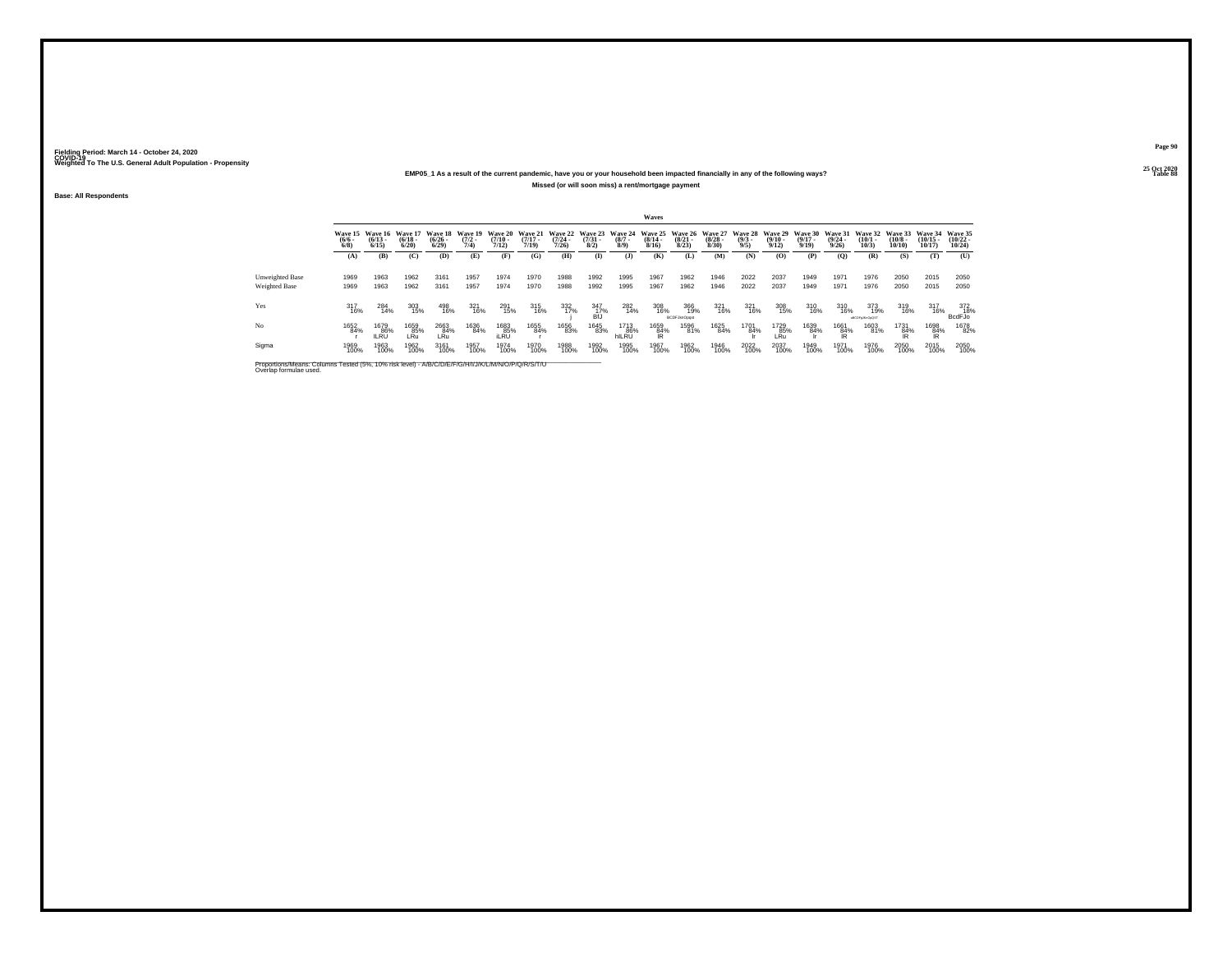### **25 Oct 2020EMP05\_1 As a result of the current pandemic, have you or your household been impacted financially in any of the following ways?Missed (or will soon miss) a rent/mortgage payment**

**Base: All Respondents**

|                                  |                     |                                      |                                  |                                        |                                |                                  |                                  |                                  |                                 |                                      | Waves                 |                                                 |                       |                               |                                        |                                  |                                  |                                 |                                  |                                |                                                   |
|----------------------------------|---------------------|--------------------------------------|----------------------------------|----------------------------------------|--------------------------------|----------------------------------|----------------------------------|----------------------------------|---------------------------------|--------------------------------------|-----------------------|-------------------------------------------------|-----------------------|-------------------------------|----------------------------------------|----------------------------------|----------------------------------|---------------------------------|----------------------------------|--------------------------------|---------------------------------------------------|
|                                  | $\frac{(6/6)}{6/8}$ | Wave 15 Wave 16<br>$(6/13 -$<br>6/15 | Wave 17<br>$\frac{(6/18)}{6/20}$ | Wave 18<br>$\frac{(6/26 - 6)}{(6/29)}$ | Wave 19<br>$\frac{(7/2)}{7/4}$ | Wave 20<br>$\frac{(7/10)}{7/12}$ | Wave 21<br>$\frac{(7/17)}{7/19}$ | Wave 22<br>$\frac{(7/24)}{7/26}$ | Wave 23<br>$\frac{(7/31)}{8/2}$ | Wave 24<br>$\frac{(8/7 - 8)}{(8/9)}$ | $\frac{(8/14)}{8/16}$ | Wave 25 Wave 26 Wave 27<br>$\binom{8/21}{8/23}$ | $\frac{(8/28)}{8/30}$ | Wave 28<br>$\binom{9/3}{9/5}$ | <b>Wave 29</b><br>$\binom{9/10}{9/12}$ | Wave 30<br>$\frac{(9/17)}{9/19}$ | Wave 31<br>$\frac{(9/24)}{9/26}$ | Wave 32<br>$\binom{10/1}{10/3}$ | Wave 33<br>$\binom{10/8}{10/10}$ | Wave 34<br>$(10/15 -$<br>10/17 | <b>Wave 35</b><br>$\frac{(10/22 - 10/24)}{10/24}$ |
|                                  | (A)                 | (B)                                  | (C)                              | (D)                                    | (E)                            | (F)                              | (G)                              | (H)                              | $\bf{I}$                        | (1)                                  | (K)                   | (L)                                             | (M)                   | (N)                           | (0)                                    | (P)                              | $\mathbf{Q}$                     | (R)                             | (S)                              | (T)                            | (U)                                               |
| Unweighted Base<br>Weighted Base | 1969<br>1969        | 1963<br>1963                         | 1962<br>1962                     | 3161<br>3161                           | 1957<br>1957                   | 1974<br>1974                     | 1970<br>1970                     | 1988<br>1988                     | 1992<br>1992                    | 1995<br>1995                         | 1967<br>1967          | 1962<br>1962                                    | 1946<br>1946          | 2022<br>2022                  | 2037<br>2037                           | 1949<br>1949                     | 1971<br>1971                     | 1976<br>1976                    | 2050<br>2050                     | 2015<br>2015                   | 2050<br>2050                                      |
| Yes                              | 317<br>16%          | 284<br>14%                           | 303<br>15%                       | 498<br>16%                             | 321<br>16%                     | 291<br>15%                       | 315<br>16%                       | 332<br>17%                       | 347<br>_17%<br>BfJ              | 282<br>14%                           | 308<br>16%            | 366<br>19%<br><b>BCDFJknOpgst</b>               | 321<br>16%            | 321<br>16%                    | 308<br>15%                             | 310<br>16%                       | 310<br>16%                       | 373<br>19%<br>aBCDFaJKvOoQST    | 319<br>16%                       | 317<br>16%                     | 372<br>18%<br><b>BcdFJo</b>                       |
| No                               | 1652<br>84%         | 1679<br>86%<br>II RU                 | 1659<br>85%<br>I Ru              | 2663<br>84%<br>I Ru                    | 1636<br>84%                    | 1683<br>85%<br>il RU             | 1655<br>84%                      | 1656<br>83%                      | 1645<br>83%                     | 1713<br>86%<br>hILRU                 | 1659<br>84%<br>ΙR     | 1596<br>81%                                     | 1625<br>84%           | 1701<br>84%                   | 1729<br>85%<br>I Ru                    | 1639<br>84%                      | 1661<br>84%<br><b>IR</b>         | 1603<br>81%                     | 1731<br>84%<br><b>IR</b>         | 1698<br>84%<br><b>IR</b>       | 1678<br>82%                                       |
| Sigma                            | 1969<br>100%        | 1963<br>100%                         | 1962<br>100%                     | 3161<br>100%                           | 1957<br>100%                   | 1974<br>100%                     | 1970<br>100%                     | 1988<br>100%                     | 1992<br>100%                    | 1995<br>100%                         | 1967<br>100%          | 1962<br>100%                                    | 1946<br>100%          | 2022<br>100%                  | 2037<br>100%                           | 1949<br>100%                     | 1971<br>100%                     | 1976<br>100%                    | 2050<br>100%                     | 2015<br>100%                   | 2050<br>100%                                      |

Proportions/Means: Columns Tested (5%, 10% risk level) - A/B/C/D/E/F/G/H/I/J/K/L/M/N/O/P/Q/R/S/T/U Overlap formulae used.<br>Overlap formulae used.

**Page 9025 Oct 2020<br>Table 88** 

**Table 88 Table 88**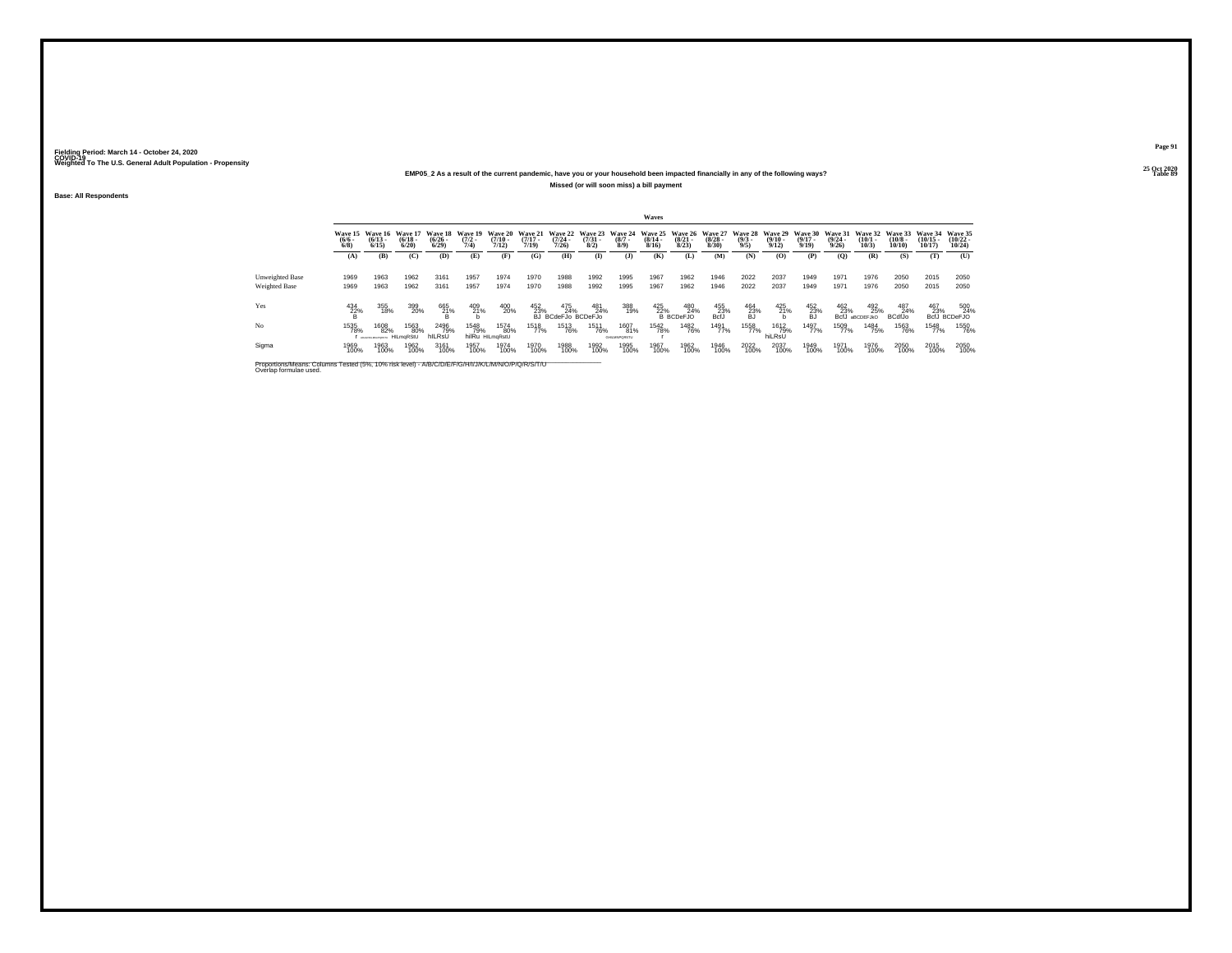### **25 Oct 2020EMP05\_2 As a result of the current pandemic, have you or your household been impacted financially in any of the following ways?Missed (or will soon miss) a bill payment**

**Base: All Respondents**

|                                         | Waves               |                                      |                                                  |                                         |                     |                                             |                              |                                           |                                                |                             |                       |                                              |                                                  |                                       |                              |                                          |                                  |                                                    |                                       |                                |                                |
|-----------------------------------------|---------------------|--------------------------------------|--------------------------------------------------|-----------------------------------------|---------------------|---------------------------------------------|------------------------------|-------------------------------------------|------------------------------------------------|-----------------------------|-----------------------|----------------------------------------------|--------------------------------------------------|---------------------------------------|------------------------------|------------------------------------------|----------------------------------|----------------------------------------------------|---------------------------------------|--------------------------------|--------------------------------|
|                                         | $\frac{(6/6)}{6/8}$ | $(6/13 -$<br>6/15                    | Wave 15 Wave 16 Wave 17<br>$\frac{(6/18)}{6/20}$ | Wave 18 Wave 19<br>$\binom{6/26}{6/29}$ | $\frac{(7/2)}{7/4}$ | <b>Wave 20</b><br>$\frac{(7/10 - 7)}{7/12}$ | Wave 21<br>$(7/17 -$<br>7/19 | $\frac{(7/24)}{7/26}$                     | Wave 22 Wave 23 Wave 24<br>$\binom{7/31}{8/2}$ | $\binom{8/7}{8/9}$          | $\frac{(8/14)}{8/16}$ | $\binom{8/21}{8/23}$                         | Wave 25 Wave 26 Wave 27<br>$\frac{(8/28)}{8/30}$ | Wave 28 Wave 29<br>$\binom{9/3}{9/5}$ | $\frac{(9/10 - 9/12)}{9/12}$ | <b>Wave 30</b><br>$\frac{(9/17)}{9/19}$  | Wave 31<br>$\frac{(9/24)}{9/26}$ | Wave 32<br>$\binom{10/1}{10/3}$                    | Wave 33<br>$\binom{10/8 - 10}{10/10}$ | Wave 34<br>$(10/15 -$<br>10/17 | Wave 35<br>$(10/22 -$<br>10/24 |
|                                         | (A)                 | (B)                                  | (C)                                              | (D)                                     | (E)                 | (F)                                         | (G)                          | (H)                                       | $\mathbf{I}$                                   | (J)                         | (K)                   | (L)                                          | (M)                                              | (N)                                   | (O)                          | (P)                                      | (0)                              | (R)                                                | (S)                                   | (T)                            | (U)                            |
| Unweighted Base<br><b>Weighted Base</b> | 1969<br>1969        | 1963<br>1963                         | 1962<br>1962                                     | 3161<br>3161                            | 1957<br>1957        | 1974<br>1974                                | 1970<br>1970                 | 1988<br>1988                              | 1992<br>1992                                   | 1995<br>1995                | 1967<br>1967          | 1962<br>1962                                 | 1946<br>1946                                     | 2022<br>2022                          | 2037<br>2037                 | 1949<br>1949                             | 1971<br>1971                     | 1976<br>1976                                       | 2050<br>2050                          | 2015<br>2015                   | 2050<br>2050                   |
| Yes                                     | $\frac{434}{28}$ %  | 355<br>18%                           | 399<br>20%                                       | 665<br>21%                              | 409<br>21%          | 400<br>20%                                  | 452<br>23%<br>БJ             | 475 481<br>34% 24% 24%<br>BCdeFJo BCDeFJo | 481<br>24%                                     | 388<br>19%                  |                       | 425 48.<br>22% 24<br>B BCDeFJO<br>480<br>24% | $^{455}_{23\%}$ BcfJ                             | $^{464}_{\substack{23 \% \ 6J}}$      | 425<br>21%                   | $^{452}_{\substack{23 \% \\ \text{BJ}}}$ |                                  | 462 492<br>23% 25%<br>BcfJ aBCDEFJkO<br>492<br>25% | 487<br>24%<br><b>BCdfJo</b>           | 467<br>23%                     | 500<br>24%<br>BcfJ BCDeFJO     |
| No                                      | 1535<br>78%         | 1608<br>82%<br>ADADRESSMAN PILMORSIU | 1563<br>80%                                      | 2496<br>79%<br>hILRsU                   | 1548<br>79%         | 1574<br>80%<br>hilRu HILmaRstU              | 1518<br>77%                  | <sup>1513</sup> 76%                       | 1511<br>76%                                    | 1607<br>81%<br>CHI MARGRETI | 1542<br>78%           | 1482<br>76%                                  | 1491<br>77%                                      | 1558<br>77%                           | 1612<br>79%<br>hiLRsU        | 1497<br>77%                              | 1509<br>77%                      | 1484<br>75%                                        | 1563<br>76%                           | 1548<br>77%                    | 1550<br>76%                    |
| Sigma                                   | 1969<br>100%        | 1963<br>100%                         | 1962<br>100%                                     | 3161<br>100%                            | 1957<br>100%        | 1974<br>100%                                | 1970<br>100%                 | 1988<br>100%                              | 1992<br>100%                                   | 1995<br>100%                | 1967<br>100%          | 1962<br>100%                                 | 1946<br>100%                                     | 2022<br>100%                          | 2037<br>100%                 | 1949<br>100%                             | 1971<br>100%                     | 1976<br>100%                                       | 2050<br>100%                          | 2015<br>100%                   | 2050<br>100%                   |

Proportions/Means: Columns Tested (5%, 10% risk level) - A/B/C/D/E/F/G/H/I/J/K/L/M/N/O/P/Q/R/S/T/U Overlap formulae used.<br>Overlap formulae used.

**Page 9125 Oct 2020<br>Table 89** 

**Table 89 Table 89**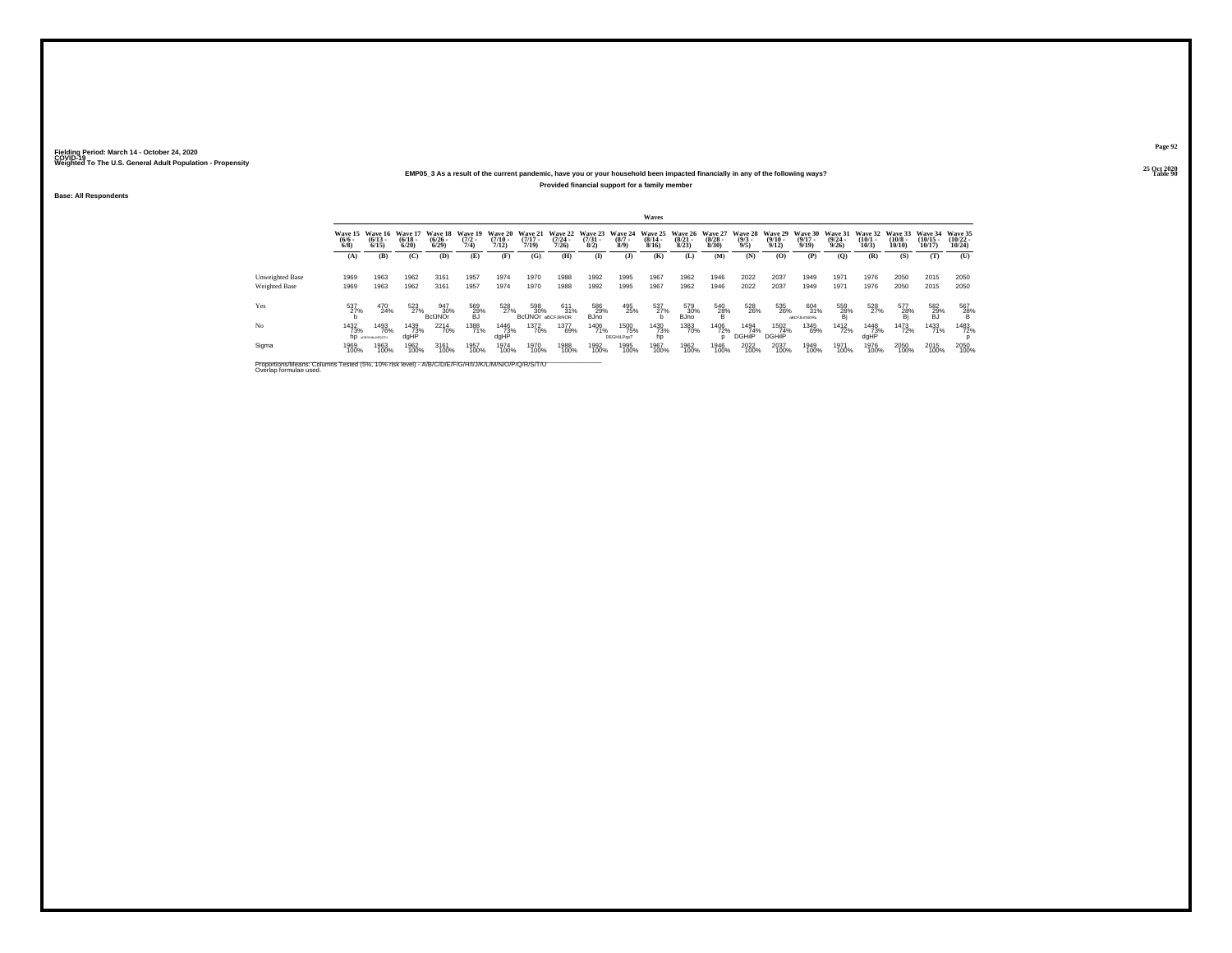#### **25 Oct 2020EMP05\_3 As a result of the current pandemic, have you or your household been impacted financially in any of the following ways?Provided financial support for a family member**

**Base: All Respondents**

|                                                                                                                              |                                |                                      |                              |                              |                                |                                    |                              |                                  |                                |                                  | <b>Waves</b>                 |                                 |                                 |                               |                                  |                                  |                              |                              |                               |                                |                                |
|------------------------------------------------------------------------------------------------------------------------------|--------------------------------|--------------------------------------|------------------------------|------------------------------|--------------------------------|------------------------------------|------------------------------|----------------------------------|--------------------------------|----------------------------------|------------------------------|---------------------------------|---------------------------------|-------------------------------|----------------------------------|----------------------------------|------------------------------|------------------------------|-------------------------------|--------------------------------|--------------------------------|
|                                                                                                                              | Wave 15<br>$\frac{(6/6)}{6/8}$ | Wave 16<br>$(6/13 -$<br>6/15         | Wave 17<br>$(6/18 -$<br>6/20 | Wave 18<br>$(6/26 -$<br>6/29 | Wave 19<br>$\frac{(7/2)}{7/4}$ | Wave 20<br>$\frac{(7/10)}{(7/12)}$ | Wave 21<br>$(7/17 -$<br>7/19 | Wave 22<br>$\frac{(7/24)}{7/26}$ | Wave 23<br>$\binom{7/31}{8/2}$ | Wave 24<br>$(8/7 -$<br>8/9       | Wave 25<br>$(8/14 -$<br>8/16 | Wave 26<br>$\binom{8/21}{8/23}$ | Wave 27<br>$\binom{8/28}{8/30}$ | Wave 28<br>$\binom{9/3}{9/5}$ | Wave 29<br>$\frac{(9/10)}{9/12}$ | Wave 30<br>$(9/17 -$<br>9/19     | Wave 31<br>$(9/24 -$<br>9/26 | Wave 32<br>$(10/1 -$<br>10/3 | Wave 33<br>$(10/8 -$<br>10/10 | Wave 34<br>$(10/15 -$<br>10/17 | Wave 35<br>$(10/22 -$<br>10/24 |
|                                                                                                                              | (A)                            | (B)                                  | (C)                          | (D)                          | (E)                            | (F)                                | (G)                          | (H)                              | $\bf(I)$                       | $($ $\bf{J}$                     | (K)                          | (L)                             | (M)                             | (N)                           | (O)                              | (P)                              | (Q)                          | (R)                          | (S)                           | (T)                            | (U)                            |
| Unweighted Base<br><b>Weighted Base</b>                                                                                      | 1969<br>1969                   | 1963<br>1963                         | 1962<br>1962                 | 3161<br>3161                 | 1957<br>1957                   | 1974<br>1974                       | 1970<br>1970                 | 1988<br>1988                     | 1992<br>1992                   | 1995<br>1995                     | 1967<br>1967                 | 1962<br>1962                    | 1946<br>1946                    | 2022<br>2022                  | 2037<br>2037                     | 1949<br>1949                     | 1971<br>1971                 | 1976<br>1976                 | 2050<br>2050                  | 2015<br>2015                   | 2050<br>2050                   |
| Yes                                                                                                                          | 537<br>27%                     | 470<br>24%                           | 523<br>27%                   | 947<br>30%<br><b>BcfJNOr</b> | 569<br>29%<br>BJ               | 528<br>27%                         | 598<br>30%<br><b>BcfJNOr</b> | 611<br>31%<br>aBCFJkNOR          | 586<br>29%<br><b>BJno</b>      | 495<br>25%                       | 537<br>27%                   | 579<br>30%<br><b>BJno</b>       | $^{540}_{28\%}$                 | 528<br>26%                    | 535<br>26%                       | 604<br>31%<br><b>ABCFJkmNORu</b> | 559<br>28%<br>Bj             | 528<br>27%                   | 577<br>28%                    | 582<br>29%<br>BJ               | 567<br>$^{28\%}$               |
| No                                                                                                                           | <sup>1432</sup> 73%<br>hp      | <sup>1493</sup> 76%<br>ADEGHALMPOSTU | 1439<br>73%<br>dgHP          | <sup>2214</sup> 70%          | 1388<br>71%                    | <sup>1446</sup> 73%<br>dgHP        | <sup>1372</sup> 70%          | 1377<br>69%                      | 1406<br>71%                    | 1500<br>75%<br><b>DEGHILPasT</b> | 1430<br>73%<br>hp            | 1383<br>70%                     | 1406<br>72%                     | 1494<br>74%<br><b>DGHiIP</b>  | 1502<br>74%<br><b>DGHiIP</b>     | 1345<br>69%                      | <sup>1412</sup> 72%          | 1448<br>73%<br>dgHP          | 1473<br>72%                   | 1433<br>71%                    | 1483<br>72%                    |
| Sigma                                                                                                                        | 1969<br>100%                   | 1963<br>100%                         | 1962<br>100%                 | 3161<br>100%                 | 1957<br>100%                   | 1974<br>100%                       | 1970<br>100%                 | 1988<br>100%                     | 1992<br>100%                   | 1995<br>100%                     | 1967<br>100%                 | 1962<br>100%                    | 1946<br>100%                    | 2022<br>100%                  | 2037<br>100%                     | 1949<br>100%                     | 1971<br>100%                 | 1976<br>100%                 | 2050<br>100%                  | 2015<br>100%                   | 2050<br>100%                   |
| Proportions/Means: Columns Tested (5%, 10% risk level) - A/B/C/D/E/F/G/H/I/J/K/L/M/N/O/P/Q/R/S/T/U<br>Overlap formulae used. |                                |                                      |                              |                              |                                |                                    |                              |                                  |                                |                                  |                              |                                 |                                 |                               |                                  |                                  |                              |                              |                               |                                |                                |

**Page 92**25 Oct 2020<br>Table 90

**Table 90 Table 90 Table 90 Table 90**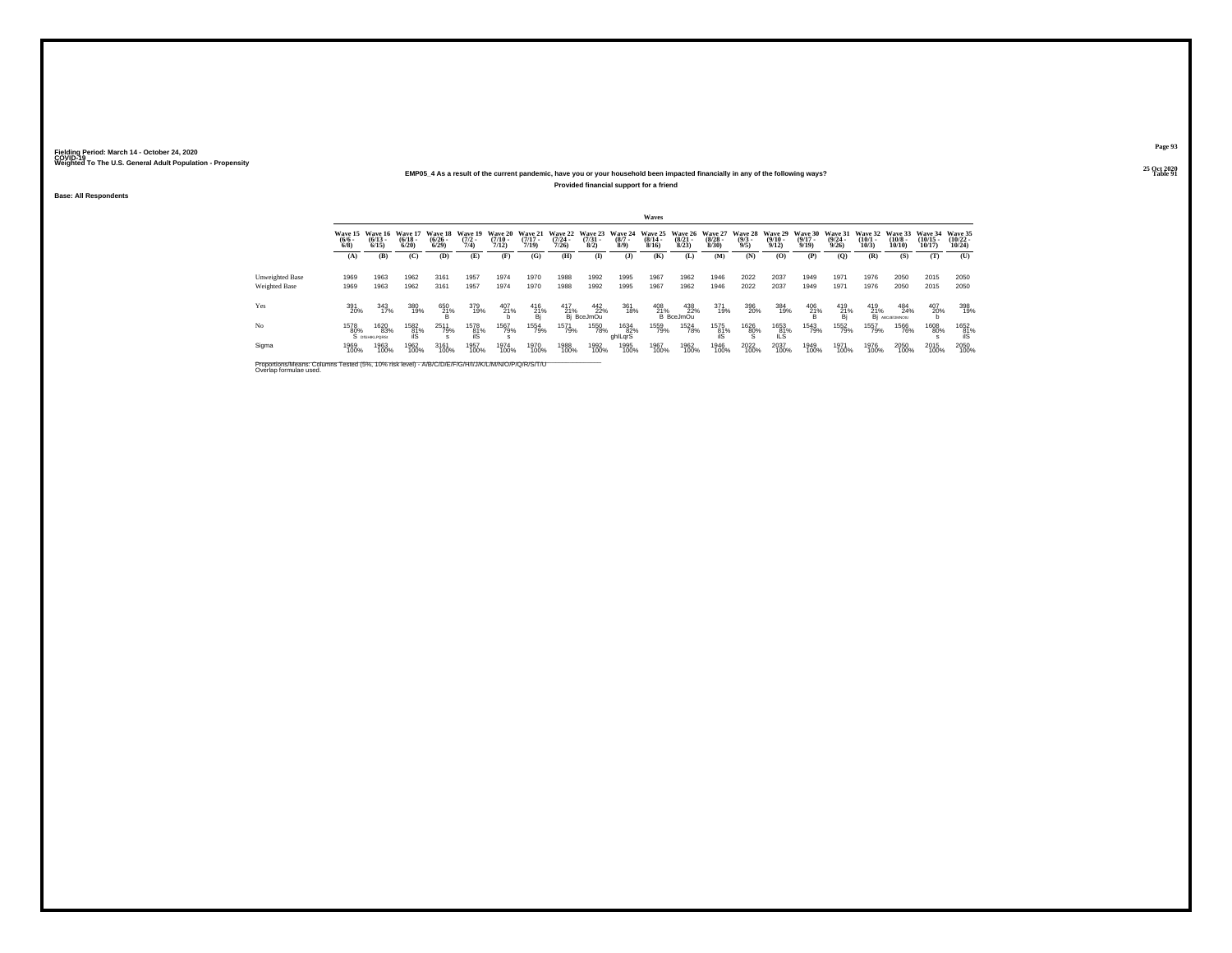#### **25 Oct 2020EMP05\_4 As a result of the current pandemic, have you or your household been impacted financially in any of the following ways?Provided financial support for a friend**

**Base: All Respondents**

|                                                                                                                              |                            |                               |                                  |                                 |                                |                              |                                 |                                      |                                     |                               | Waves                            |                                        |                                  |                               |                                 |                                             |                                  |                              |                               |                                |                                                                  |
|------------------------------------------------------------------------------------------------------------------------------|----------------------------|-------------------------------|----------------------------------|---------------------------------|--------------------------------|------------------------------|---------------------------------|--------------------------------------|-------------------------------------|-------------------------------|----------------------------------|----------------------------------------|----------------------------------|-------------------------------|---------------------------------|---------------------------------------------|----------------------------------|------------------------------|-------------------------------|--------------------------------|------------------------------------------------------------------|
|                                                                                                                              | Wave 15<br>$(6/6 -$<br>6/8 | Wave 16<br>$(6/13 -$<br>6/15  | Wave 17<br>$\frac{(6/18)}{6/20}$ | Wave 18<br>$\binom{6/26}{6/29}$ | Wave 19<br>$\frac{(7/2)}{7/4}$ | Wave 20<br>$(7/10 -$<br>7/12 | Wave 21<br>$(7/17 -$<br>7/19    | Wave 22<br>$\frac{(7/24 - 7)}{7/26}$ | Wave 23<br>$\binom{7/31}{8/2}$      | Wave 24<br>$\binom{8/7}{8/9}$ | Wave 25<br>$\frac{(8/14)}{8/16}$ | <b>Wave 26</b><br>$\binom{8/21}{8/23}$ | Wave 27<br>$\frac{(8/28)}{8/30}$ | Wave 28<br>$\binom{9/3}{9/5}$ | Wave 29<br>$\binom{9/10}{9/12}$ | <b>Wave 30</b><br>$\frac{(9/17 - 9)}{9/19}$ | Wave 31<br>$\frac{(9/24)}{9/26}$ | Wave 32<br>$(10/1 -$<br>10/3 | Wave 33<br>$(10/8 -$<br>10/10 | Wave 34<br>$(10/15 -$<br>10/17 | Wave 35<br>$(10/22 -$<br>10/24                                   |
|                                                                                                                              | (A)                        | (B)                           | (C)                              | (D)                             | (E)                            | (F)                          | (G)                             | (H)                                  | $($ $\Gamma$                        | GD.                           | (K)                              | (L)                                    | (M)                              | (N)                           | (0)                             | (P)                                         | (0)                              | (R)                          | (S)                           | (T)                            | (U)                                                              |
| <b>Unweighted Base</b><br>Weighted Base                                                                                      | 1969<br>1969               | 1963<br>1963                  | 1962<br>1962                     | 3161<br>3161                    | 1957<br>1957                   | 1974<br>1974                 | 1970<br>1970                    | 1988<br>1988                         | 1992<br>1992                        | 1995<br>1995                  | 1967<br>1967                     | 1962<br>1962                           | 1946<br>1946                     | 2022<br>2022                  | 2037<br>2037                    | 1949<br>1949                                | 1971<br>1971                     | 1976<br>1976                 | 2050<br>2050                  | 2015<br>2015                   | 2050<br>2050                                                     |
| Yes                                                                                                                          | 391<br>20%                 | 343<br>17%                    | 380<br>19%                       | 650<br>21%                      | 379<br>19%                     | $^{407}_{21\%}$              | 416<br>$\frac{21}{\text{Bi}}$ % | 417                                  | 442<br>22%<br>21% 22'<br>Bj BceJmOu | 361<br>18%                    | 408<br>21%                       | 438<br>22%<br><b>B</b> BceJmOu         | 371<br>19%                       | 396<br>20%                    | 384<br>19%                      | $^{406}_{\substack{21\% \\ B}}$             | 419<br>$\frac{21}{B}$            | 419                          | 484<br>21% 24<br>24%          | 407<br>20%                     | 398<br>19%                                                       |
| No                                                                                                                           | 1578<br>80%                | 1620<br>83%<br>S DIGHIKLPORS: | 1582<br>81%                      | 2511<br>79%                     | 1578<br>81%<br>ilS             | 1567<br>79%                  | 1554<br>79%                     | 1571<br>79%                          | <sup>1550</sup> 78%                 | 1634<br>82%<br>ghlLgrS        | 1559<br>79%                      | <sup>1524</sup> 78%                    | 1575<br>81%<br>ilS               | 1626<br>80%                   | 1653<br>81%<br>IĹS              | 1543<br>79%                                 | 1552<br>79%                      | 1557<br>79%                  | 1566<br>76%                   | 1608<br>80%                    | $\begin{array}{r} 1652 \\ 81\% \\ \hline \text{iiS} \end{array}$ |
| Sigma                                                                                                                        | 1969<br>100%               | 1963<br>100%                  | 1962<br>100%                     | 3161<br>100%                    | 1957<br>100%                   | 1974<br>100%                 | 1970<br>100%                    | 1988<br>100%                         | 1992<br>100%                        | 1995<br>100%                  | 1967<br>100%                     | 1962<br>100%                           | 1946<br>100%                     | 2022<br>100%                  | 2037<br>100%                    | 1949<br>100%                                | 1971<br>100%                     | 1976<br>100%                 | 2050<br>100%                  | 2015<br>100%                   | 2050<br>100%                                                     |
| Proportions/Means: Columns Tested (5%, 10% risk level) - A/B/C/D/E/F/G/H/I/J/K/L/M/N/O/P/Q/R/S/T/U<br>Overlap formulae used. |                            |                               |                                  |                                 |                                |                              |                                 |                                      |                                     |                               |                                  |                                        |                                  |                               |                                 |                                             |                                  |                              |                               |                                |                                                                  |

**Page 9325 Oct 2020<br>Table 91** 

**Table 91 Table 91**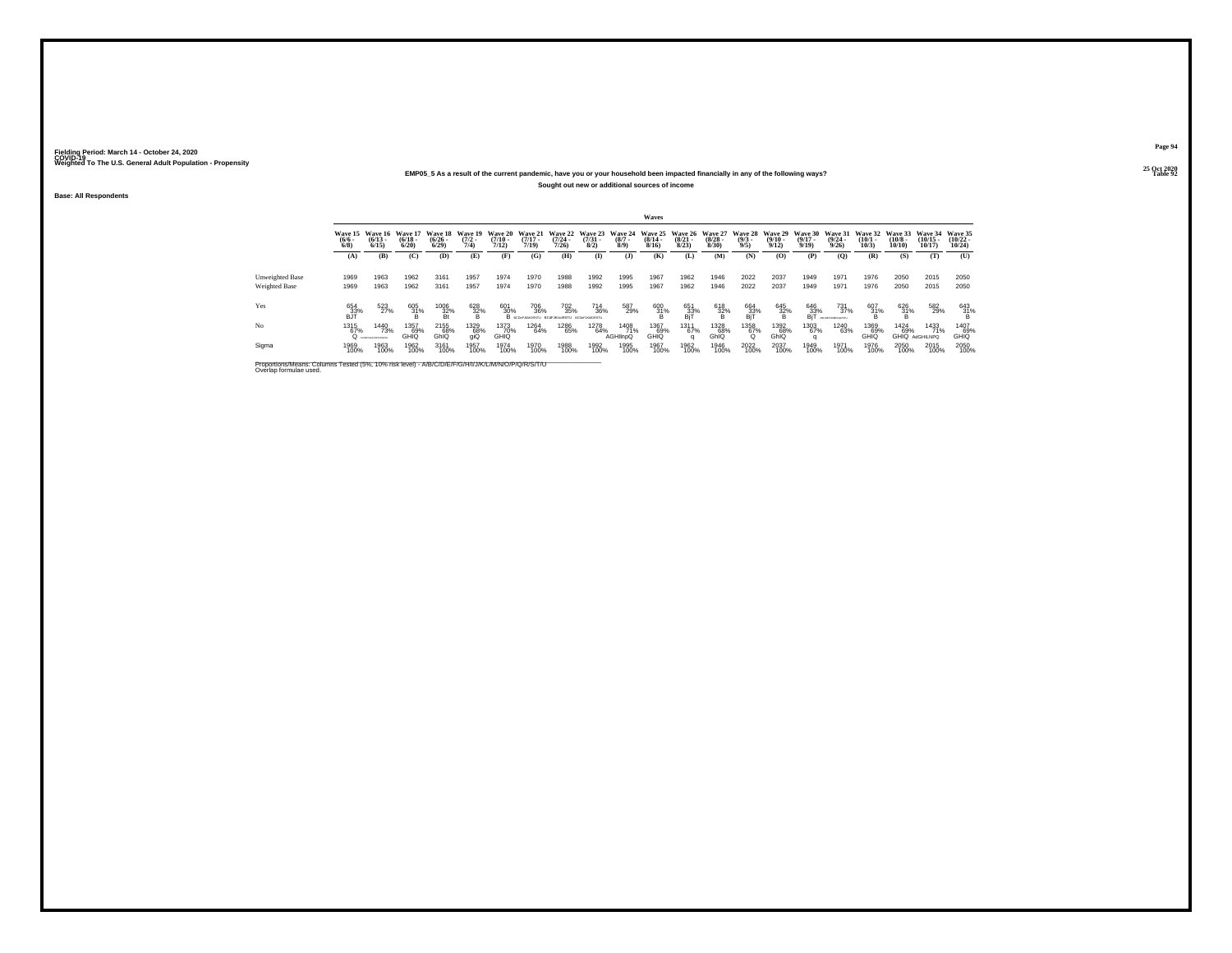#### **25 Oct 2020EMP05\_5 As a result of the current pandemic, have you or your household been impacted financially in any of the following ways?Sought out new or additional sources of income**

**Base: All Respondents**

|                                                |                           |                                                 |                                  |                          |                                     |                                      |                                                          |                   |                     |                                               | Waves                            |                                         |                      |                                       |                       |                                         |                                                |                                      |                     |                                |                                |
|------------------------------------------------|---------------------------|-------------------------------------------------|----------------------------------|--------------------------|-------------------------------------|--------------------------------------|----------------------------------------------------------|-------------------|---------------------|-----------------------------------------------|----------------------------------|-----------------------------------------|----------------------|---------------------------------------|-----------------------|-----------------------------------------|------------------------------------------------|--------------------------------------|---------------------|--------------------------------|--------------------------------|
|                                                | $\frac{(6/6)}{6/8}$       | Wave 15 Wave 16<br>$(6/13 -$<br>6/15            | Wave 17<br>$\frac{(6/18)}{6/20}$ | $(6/26 -$<br>6/29        | Wave 18 Wave 19<br>$(7/2 -$<br>7/4) | <b>Wave 20</b><br>$(7/10 -$<br>7/12) | Wave 21<br>$(7/17 -$<br>7/19                             | $(7/24 -$<br>7/26 | $\binom{7/31}{8/2}$ | Wave 22 Wave 23 Wave 24<br>$\binom{8/7}{8/9}$ | Wave 25<br>$\frac{(8/14)}{8/16}$ | Wave 26 Wave 27<br>$\binom{8/21}{8/23}$ | $\binom{8/28}{8/30}$ | Wave 28 Wave 29<br>$\binom{9/3}{9/5}$ | $\frac{(9/10)}{9/12}$ | <b>Wave 30</b><br>$\frac{(9/17)}{9/19}$ | <b>Wave 31</b><br>$\frac{(9/24 - 9/26)}{9/26}$ | Wave 32 Wave 33<br>$(10/1 -$<br>10/3 | $(10/8 -$<br>10/10  | Wave 34<br>$(10/15 -$<br>10/17 | Wave 35<br>$(10/22 -$<br>10/24 |
|                                                | (A)                       | (B)                                             | (C)                              | (D)                      | (E)                                 | (F)                                  | (G)                                                      | (H)               | $\bf{I}$            | ( <b>J</b> )                                  | (K)                              | (L)                                     | (M)                  | (N)                                   | (O)                   | (P)                                     | (0)                                            | (R)                                  | (S)                 | (T)                            | (U)                            |
| <b>Unweighted Base</b><br><b>Weighted Base</b> | 1969<br>1969              | 1963<br>1963                                    | 1962<br>1962                     | 3161<br>3161             | 1957<br>1957                        | 1974<br>1974                         | 1970<br>1970                                             | 1988<br>1988      | 1992<br>1992        | 1995<br>1995                                  | 1967<br>1967                     | 1962<br>1962                            | 1946<br>1946         | 2022<br>2022                          | 2037<br>2037          | 1949<br>1949                            | 1971<br>1971                                   | 1976<br>1976                         | 2050<br>2050        | 2015<br>2015                   | 2050<br>2050                   |
| Yes                                            | 654<br>$B$ <sup>33%</sup> | 523<br>27%                                      | 605<br>31%                       | 1006<br>$\frac{32\%}{B}$ | 628<br>32%                          | 601<br>30%                           | 706<br>36%<br>B BCDeFJAMORSTU BCdFJKmoRSTU BCDeFJAMORSTU | 702<br>35%        | 714<br>36%          | 587<br>29%                                    | $^{600}_{31\%}$                  | 651<br>33%<br>BjT                       | $\frac{618}{32\%}$   | 664<br>$\frac{33}{B}$                 | 645<br>32%            | $^{646}_{33\%}$<br>BjT                  | 731<br>37%<br>ABCDEFJKARIOVKSTV                | 607<br>31%                           | $\frac{626}{31\%}$  | 582<br>29%                     | $^{643}_{31\%}$                |
| No                                             | 1315<br>67%               | <sup>1440</sup> 73%<br>Q ACREDIM DESCRIPTION OF | 1357<br>69%<br>GHIQ              | 2155<br>68%<br>GhIQ      | 1329<br>68%<br><b>aiQ</b>           | 1373<br>70%<br><b>GHIQ</b>           | 1264<br>64%                                              | 1286<br>65%       | 1278<br>64%         | 1408<br>71%<br>AGHIInpQ                       | 1367<br>69%<br>GHIQ              | 1311<br>67%                             | 1328<br>68%<br>GhIQ  | 1358<br>67%                           | 1392<br>68%<br>GhIQ   | 1303<br>67%<br>q                        | <sup>1240</sup> 63%                            | 1369<br>69%<br>GHIQ                  | <sup>1424</sup> 69% | 1433<br>71%<br>GHIQ AdGHILNPQ  | 1407<br>69%<br>GHIQ            |
| Sigma                                          | 1969<br>100%              | 1963<br>100%                                    | 1962<br>100%                     | 3161<br>100%             | 1957<br>100%                        | 1974<br>100%                         | 1970<br>100%                                             | 1988<br>100%      | 1992<br>100%        | 1995<br>100%                                  | 1967<br>100%                     | 1962<br>100%                            | 1946<br>100%         | 2022<br>100%                          | 2037<br>100%          | 1949<br>100%                            | 1971<br>100%                                   | 1976<br>100%                         | 2050<br>100%        | 2015<br>100%                   | 2050<br>100%                   |

Proportions/Means: Columns Tested (5%, 10% risk level) - A/B/C/D/E/F/G/H/I/J/K/L/M/N/O/P/Q/R/S/T/U \_\_\_\_\_\_\_\_\_\_\_<br>Overlap formulae used.

**Page 9425 Oct 2020<br>Table 92** 

**Table 92 Table 92**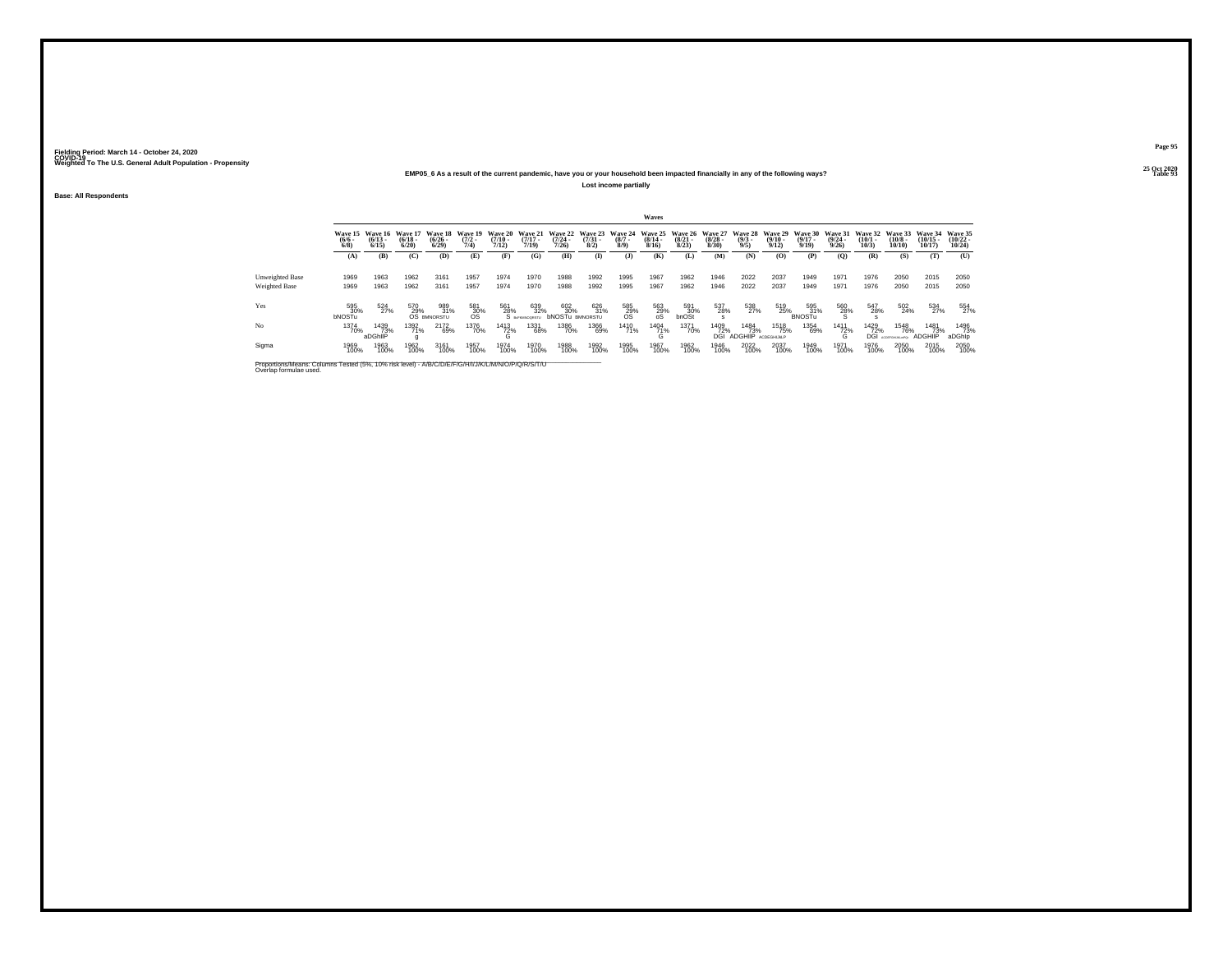#### **25 Oct 2020EMP05\_6 As a result of the current pandemic, have you or your household been impacted financially in any of the following ways?Lost income partially**

**Base: All Respondents**

|                                                                                                                              |                                |                                  |                              |                                         |                                |                                  |                                  |                                      |                                |                               | Waves                                |                                 |                                 |                                    |                                         |                                  |                                  |                                 |                                |                                |                                |
|------------------------------------------------------------------------------------------------------------------------------|--------------------------------|----------------------------------|------------------------------|-----------------------------------------|--------------------------------|----------------------------------|----------------------------------|--------------------------------------|--------------------------------|-------------------------------|--------------------------------------|---------------------------------|---------------------------------|------------------------------------|-----------------------------------------|----------------------------------|----------------------------------|---------------------------------|--------------------------------|--------------------------------|--------------------------------|
|                                                                                                                              | Wave 15<br>$\frac{(6/6)}{6/8}$ | Wave 16<br>$\frac{(6/13)}{6/15}$ | Wave 17<br>$(6/18 -$<br>6/20 | Wave 18<br>$\binom{6/26}{6/29}$         | Wave 19<br>$\frac{(7/2)}{7/4}$ | Wave 20<br>$\frac{(7/10)}{7/12}$ | Wave 21<br>$\frac{(7/17)}{7/19}$ | Wave 22<br>$\frac{(7/24)}{7/26}$     | Wave 23<br>$\binom{7/31}{8/2}$ | Wave 24<br>$\binom{8/7}{8/9}$ | Wave 25<br>$\frac{(8/14 - 8)}{8/16}$ | Wave 26<br>$\binom{8/21}{8/23}$ | Wave 27<br>$\binom{8/28}{8/30}$ | Wave 28<br>$\frac{(9/3)}{9/5}$     | Wave 29<br>$\frac{(9/10 - 9/12)}{9/12}$ | Wave 30<br>$\frac{(9/17)}{9/19}$ | Wave 31<br>$\frac{(9/24)}{9/26}$ | Wave 32<br>$\binom{10/1}{10/3}$ | Wave 33<br>$(10/8 -$<br>10/10  | Wave 34<br>$(10/15 -$<br>10/17 | Wave 35<br>$(10/22 -$<br>10/24 |
|                                                                                                                              | (A)                            | (B)                              | (C)                          | (D)                                     | (E)                            | (F)                              | (G)                              | (H)                                  | $\bf(I)$                       | (1)                           | (K)                                  | (L)                             | (M)                             | (N)                                | (O)                                     | (P)                              | (O)                              | (R)                             | (S)                            | (T)                            | (U)                            |
| Unweighted Base                                                                                                              | 1969                           | 1963                             | 1962                         | 3161                                    | 1957                           | 1974                             | 1970                             | 1988                                 | 1992                           | 1995                          | 1967                                 | 1962                            | 1946                            | 2022                               | 2037                                    | 1949                             | 1971                             | 1976                            | 2050                           | 2015                           | 2050                           |
| Weighted Base                                                                                                                | 1969                           | 1963                             | 1962                         | 3161                                    | 1957                           | 1974                             | 1970                             | 1988                                 | 1992                           | 1995                          | 1967                                 | 1962                            | 1946                            | 2022                               | 2037                                    | 1949                             | 1971                             | 1976                            | 2050                           | 2015                           | 2050                           |
| Yes                                                                                                                          | 595<br>30%<br><b>bNOSTu</b>    | 524<br>27%                       | 570                          | 989<br>$29\%$ 31°<br>OS BMNORSTU<br>31% | 581<br>$30\%$                  | 561                              | 639<br>$28\%$ $32\%$<br>32%      | 602<br>30%<br><b>bNOSTU BMNORSTU</b> | 626<br>31%                     | 585<br>29%<br>OS              | 563<br>29%<br>oS                     | 591<br>30%<br>bnOSt             | 537<br>28%<br>s                 | 538<br>27%                         | 519<br>25%                              | 595<br>31%<br>BNOSTu             | 560<br>28%                       | 547<br>28%                      | 502<br>24%                     | 534<br>27%                     | 554<br>27%                     |
| No                                                                                                                           | 1374<br>70%                    | 1439<br>73%<br>aDGhllP           | 1392<br>71%                  | 2172<br>69%                             | 1376<br>70%                    | 1413<br>72%                      | 1331<br>68%                      | 1386<br>70%                          | 1366<br>69%                    | 1410<br>71%                   | 1404<br>71%<br>$\sim$<br>$\sim$      | <sup>1371</sup> 70%             | 1409<br>72%<br>DGI              | 1484<br>73%<br>ADGHIIP ACDEGHIJKLP | 1518<br>75%                             | 1354<br>69%                      | <sup>1411</sup> 72%<br>G         | 1429<br>72%<br>DGI              | 1548<br>76%<br>ACDEFGHLIKLHPD: | 1481<br>73%<br><b>ADGHIIP</b>  | 1496<br>73%<br>aDGhlp          |
| Sigma                                                                                                                        | 1969<br>100%                   | 1963<br>100%                     | 1962<br>100%                 | 3161<br>100%                            | 1957<br>100%                   | 1974<br>100%                     | 1970<br>100%                     | 1988<br>100%                         | 1992<br>100%                   | 1995<br>100%                  | 1967<br>100%                         | 1962<br>100%                    | 1946<br>100%                    | 2022<br>100%                       | 2037<br>100%                            | 1949<br>100%                     | 1971<br>100%                     | 1976<br>100%                    | 2050<br>100%                   | 2015<br>100%                   | 2050<br>100%                   |
| Proportions/Means: Columns Tested (5%, 10% risk level) - A/B/C/D/E/F/G/H/I/J/K/L/M/N/O/P/Q/R/S/T/U<br>Overlap formulae used. |                                |                                  |                              |                                         |                                |                                  |                                  |                                      |                                |                               |                                      |                                 |                                 |                                    |                                         |                                  |                                  |                                 |                                |                                |                                |

**Page 9525 Oct 2020<br>Table 93** 

**Table 93 Table 93**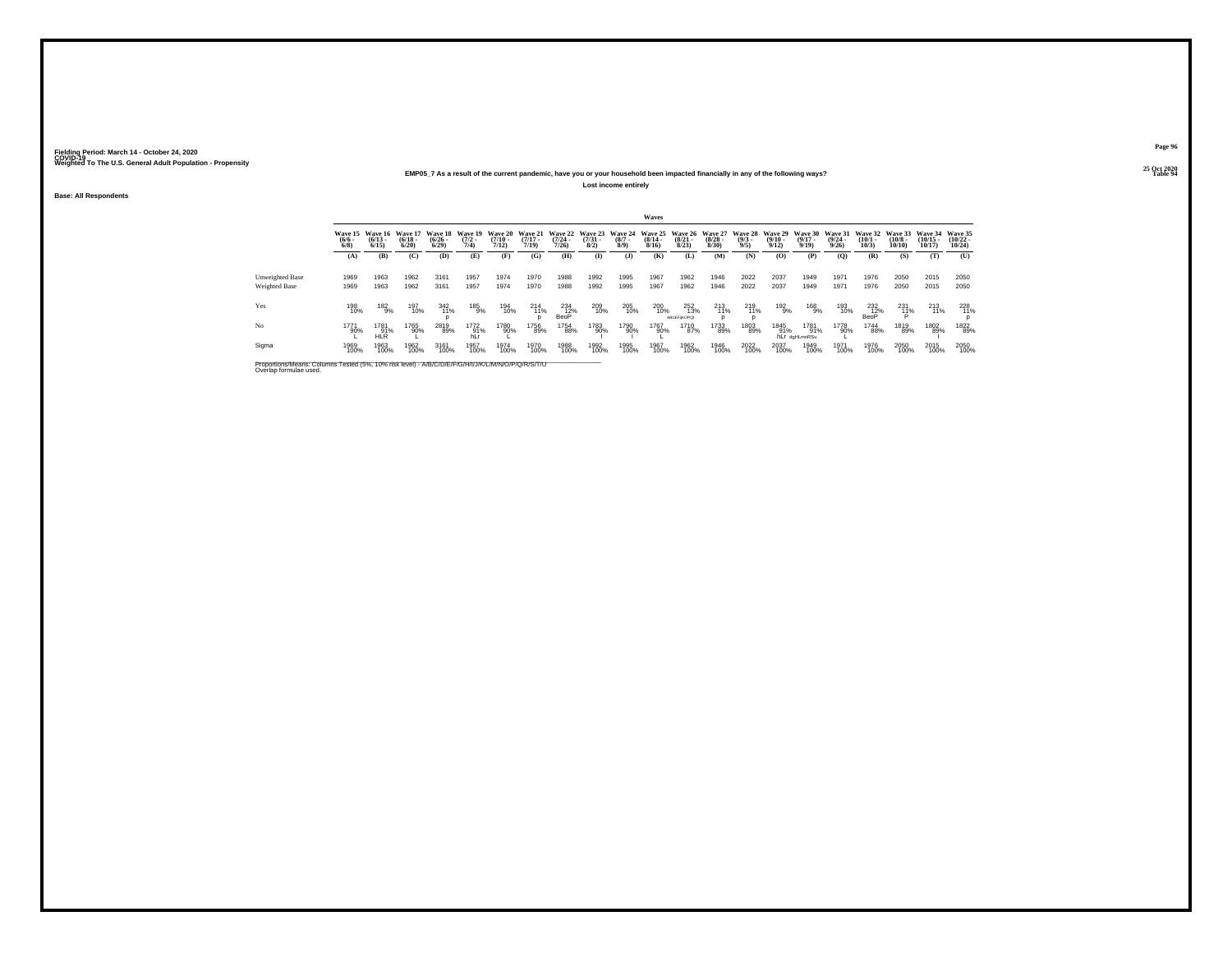#### **25 Oct 2020EMP05\_7 As a result of the current pandemic, have you or your household been impacted financially in any of the following ways?Lost income entirely**

**Base: All Respondents**

|                                                                                                                              |                                |                                  |                                  |                                        |                                |                                      |                                  |                                  |                                  |                               | Waves                            |                                  |                                  |                                |                                         |                                  |                                  |                                 |                               |                                |                                |
|------------------------------------------------------------------------------------------------------------------------------|--------------------------------|----------------------------------|----------------------------------|----------------------------------------|--------------------------------|--------------------------------------|----------------------------------|----------------------------------|----------------------------------|-------------------------------|----------------------------------|----------------------------------|----------------------------------|--------------------------------|-----------------------------------------|----------------------------------|----------------------------------|---------------------------------|-------------------------------|--------------------------------|--------------------------------|
|                                                                                                                              | Wave 15<br>$\frac{(6/6)}{6/8}$ | Wave 16<br>$\frac{(6/13)}{6/15}$ | Wave 17<br>$\frac{(6/18)}{6/20}$ | Wave 18<br>$\frac{(6/26 - 6)}{(6/29)}$ | Wave 19<br>$\frac{(7/2)}{7/4}$ | Wave 20<br>$\frac{(7/10 - 7)}{7/12}$ | Wave 21<br>$\frac{(7/17)}{7/19}$ | Wave 22<br>$\frac{(7/24)}{7/26}$ | Wave 23<br>$\binom{7/31}{8/2}$ . | Wave 24<br>$\binom{8/7}{8/9}$ | Wave 25<br>$\frac{(8/14)}{8/16}$ | Wave 26<br>$\binom{8/21}{8/23}$  | Wave 27<br>$\frac{(8/28)}{8/30}$ | Wave 28<br>$\frac{(9/3)}{9/5}$ | Wave 29<br>$\frac{(9/10 - 9/12)}{9/12}$ | Wave 30<br>$\frac{(9/17)}{9/19}$ | Wave 31<br>$\frac{(9/24)}{9/26}$ | Wave 32<br>$\binom{10/1}{10/3}$ | Wave 33<br>$(10/8 -$<br>10/10 | Wave 34<br>$(10/15 -$<br>10/17 | Wave 35<br>$(10/22 -$<br>10/24 |
|                                                                                                                              | (A)                            | (B)                              | (C)                              | (D)                                    | (E)                            | (F)                                  | (G)                              | (H)                              | $\mathbf{I}$                     | (3)                           | (K)                              | (L)                              | (M)                              | (N)                            | $\left( 0 \right)$                      | (P)                              | (O)                              | (R)                             | (S)                           | (T)                            | (U)                            |
| Unweighted Base<br>Weighted Base                                                                                             | 1969<br>1969                   | 1963<br>1963                     | 1962<br>1962                     | 3161<br>3161                           | 1957<br>1957                   | 1974<br>1974                         | 1970<br>1970                     | 1988<br>1988                     | 1992<br>1992                     | 1995<br>1995                  | 1967<br>1967                     | 1962<br>1962                     | 1946<br>1946                     | 2022<br>2022                   | 2037<br>2037                            | 1949<br>1949                     | 1971<br>1971                     | 1976<br>1976                    | 2050<br>2050                  | 2015<br>2015                   | 2050<br>2050                   |
| Yes                                                                                                                          | 198<br>10%                     | 182<br>$-9%$                     | 197<br>10%                       | 342<br>11%                             | 185<br>9%                      | 194<br>10%                           | 214<br>11%                       | 234<br>BeoP                      | 209<br>10%                       | 205<br>10%                    | 200<br>10%                       | 252<br>13%<br><b>ABCEFIKOPO:</b> | 213<br>11%                       | 219<br>11%                     | 192<br>9%                               | 168<br>9%                        | 193<br>10%                       | 232<br>$12\%$ BeoP              | 231<br>$11\%$                 | 213<br>11%                     | 228<br>11%                     |
| No                                                                                                                           | 1771<br>90%                    | 1781<br>91%<br>HI R              | 1765<br>90%                      | 2819<br>89%                            | 1772<br>91%                    | 1780<br>90%                          | 1756<br>89%                      | 1754<br>88%                      | 1783<br>90%                      | 1790<br>90%                   | 1767<br>90%                      | 1710<br>87%                      | 1733<br>89%                      | 1803<br>89%                    | 1845<br>91%                             | 1781<br>91%<br>hLr daHLmnRSu     | 1778<br>90%                      | <sup>1744</sup> 88%             | 1819<br>89%                   | 1802<br>89%                    | 1822<br>89%                    |
| Sigma                                                                                                                        | 1969<br>100%                   | 1963<br>100%                     | 1962<br>100%                     | 3161<br>100%                           | 1957<br>100%                   | 1974<br>100%                         | 1970<br>100%                     | 1988<br>100%                     | 1992<br>100%                     | 1995<br>100%                  | 1967<br>100%                     | 1962<br>100%                     | 1946<br>100%                     | 2022<br>100%                   | 2037<br>100%                            | 1949<br>100%                     | 1971<br>100%                     | 1976<br>100%                    | 2050<br>100%                  | 2015<br>100%                   | 2050<br>100%                   |
| Proportions/Means: Columns Tested (5%, 10% risk level) - A/B/C/D/E/F/G/H/I/J/K/L/M/N/O/P/Q/R/S/T/U<br>Overlap formulae used. |                                |                                  |                                  |                                        |                                |                                      |                                  |                                  |                                  |                               |                                  |                                  |                                  |                                |                                         |                                  |                                  |                                 |                               |                                |                                |

**Page 9625 Oct 2020<br>Table 94** 

**Table 94 Table 94**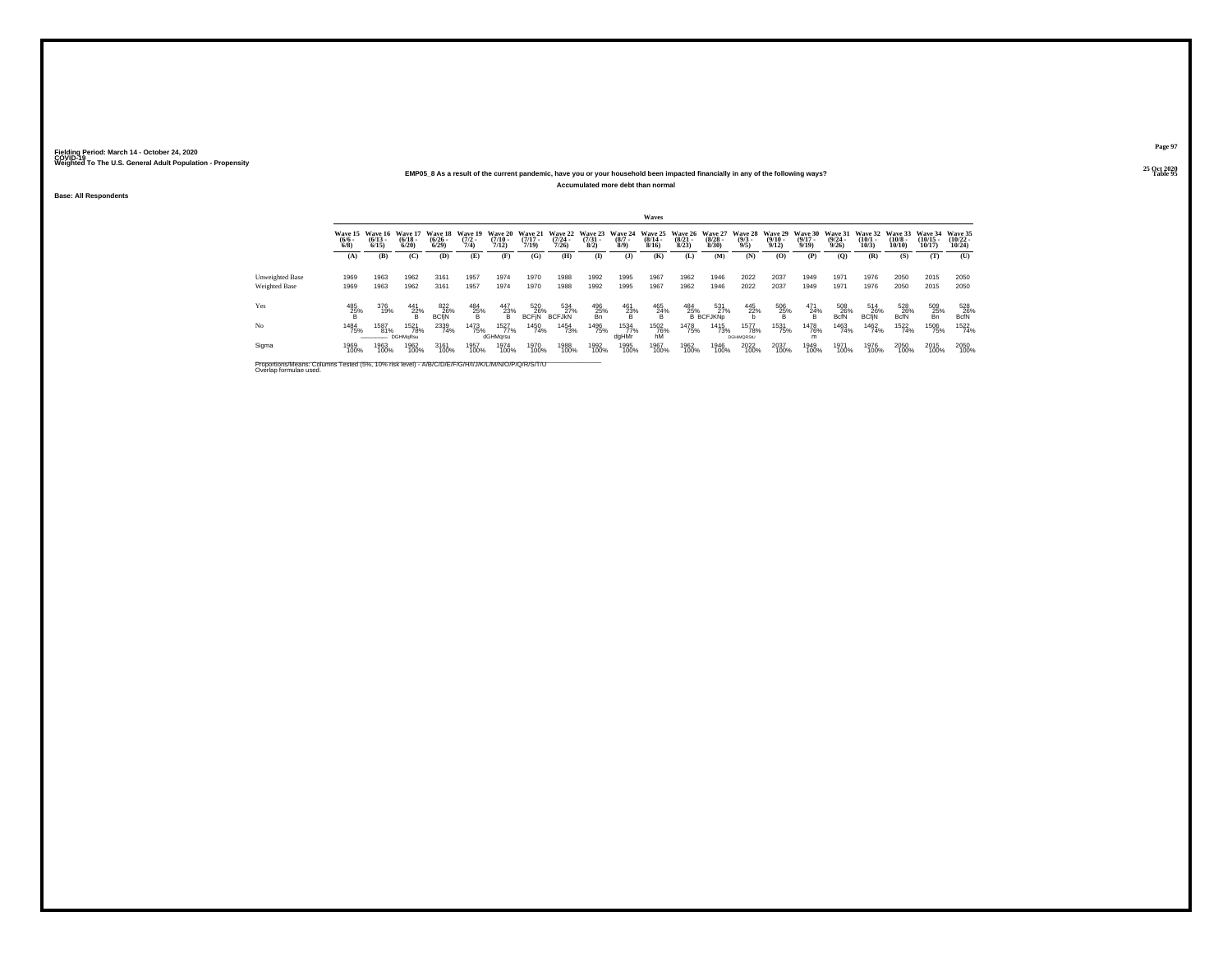#### **25 Oct 2020EMP05\_8 As a result of the current pandemic, have you or your household been impacted financially in any of the following ways?Accumulated more debt than normal**

**Base: All Respondents**

|                                                                                                                              |                             |                                 |                                |                              |                            |                               |                              |                              |                                |                            | Waves                           |                              |                                            |                                  |                              |                              |                                 |                              |                               |                                |                                |
|------------------------------------------------------------------------------------------------------------------------------|-----------------------------|---------------------------------|--------------------------------|------------------------------|----------------------------|-------------------------------|------------------------------|------------------------------|--------------------------------|----------------------------|---------------------------------|------------------------------|--------------------------------------------|----------------------------------|------------------------------|------------------------------|---------------------------------|------------------------------|-------------------------------|--------------------------------|--------------------------------|
|                                                                                                                              | Wave 15<br>(6/6.<br>$6/8$ ) | Wave 16<br>$(6/13 -$<br>6/15    | Wave 17<br>$(6/18 -$<br>6/20   | Wave 18<br>$(6/26 -$<br>6/29 | Wave 19<br>$(7/2 -$<br>7/4 | Wave 20<br>$(7/10 -$<br>7/12) | Wave 21<br>$(7/17 -$<br>7/19 | Wave 22<br>$(7/24 -$<br>7/26 | Wave 23<br>$\binom{7/31}{8/2}$ | Wave 24<br>$(8/7 -$<br>8/9 | Wave 25<br>$(8/14 -$<br>8/16    | Wave 26<br>$(8/21 -$<br>8/23 | Wave 27<br>$\frac{(8/28)}{8/30}$           | Wave 28<br>$\frac{(9/3)}{9/5}$   | Wave 29<br>$(9/10 -$<br>9/12 | Wave 30<br>$(9/17 -$<br>9/19 | Wave 31<br>$\binom{9/24}{9/26}$ | Wave 32<br>$(10/1 -$<br>10/3 | Wave 33<br>$(10/8 -$<br>10/10 | Wave 34<br>$(10/15 -$<br>10/17 | Wave 35<br>$(10/22 -$<br>10/24 |
|                                                                                                                              | (A)                         | (B)                             | (C)                            | (D)                          | (E)                        | (F)                           | (G)                          | (H)                          | $\bf{I}$                       | $\mathbf{I}$               | (K)                             | (L)                          | (M)                                        | (N)                              | (O)                          | (P)                          | (0)                             | (R)                          | (S)                           | (T)                            | (U)                            |
| <b>Unweighted Base</b><br>Weighted Base                                                                                      | 1969<br>1969                | 1963<br>1963                    | 1962<br>1962                   | 3161<br>3161                 | 1957<br>1957               | 1974<br>1974                  | 1970<br>1970                 | 1988<br>1988                 | 1992<br>1992                   | 1995<br>1995               | 1967<br>1967                    | 1962<br>1962                 | 1946<br>1946                               | 2022<br>2022                     | 2037<br>2037                 | 1949<br>1949                 | 1971<br>1971                    | 1976<br>1976                 | 2050<br>2050                  | 2015<br>2015                   | 2050<br>2050                   |
| Yes                                                                                                                          | 485<br>$\frac{25}{8}$ %     | 376<br>19%                      | $\frac{441}{22\%}$             | 822<br>26%<br>BCfjN          | $\frac{484}{25\%}$         | $^{447}_{23\%}$               | 520<br>26%<br><b>BCFIN</b>   | 534<br>27%<br><b>BCFJKN</b>  | $^{496}_{\substack{25%\\8n}}$  | $\frac{461}{23\%}$         | $^{465}_{\substack{24\% \\ B}}$ | 484<br>25%                   | 531<br>27%<br><b>B</b> BCFJKN <sub>D</sub> | 445<br>22%                       | $\frac{506}{25\%}$           | 471<br>$^{24%}_{B}$          | 508<br>26%<br><b>BcfN</b>       | 514<br>26%<br><b>BCfiN</b>   | 528<br>26%<br><b>BcfN</b>     | $\frac{509}{25\%}$             | $^{528}_{-26\%}$ BcfN          |
| No                                                                                                                           | 1484<br>75%                 | 1587<br>81%<br>AGEFONIANO/SAES/ | 1521<br>78%<br><b>DGHMqRsu</b> | 2339<br>74%                  | 1473<br>75%                | 1527<br>77%<br>dGHMqrsu       | 1450<br>74%                  | <sup>1454</sup> 73%          | 1496<br>75%                    | 1534<br>77%<br>daHMr       | <sup>1502</sup> 76%<br>hM       | 1478<br>75%                  | 1415<br>73%                                | 1577<br>78%<br><b>DGHIMORStU</b> | <sup>1531</sup> 75%          | <sup>1478</sup> 76%<br>m     | 1463<br>74%                     | 1462<br>74%                  | 1522<br>74%                   | <sup>1506</sup> 75%            | 1522                           |
| Sigma                                                                                                                        | 1969<br>100%                | 1963<br>100%                    | 1962<br>100%                   | 3161<br>100%                 | 1957<br>100%               | 1974<br>100%                  | 1970<br>100%                 | 1988<br>100%                 | 1992<br>100%                   | 1995<br>100%               | 1967<br>100%                    | 1962<br>100%                 | 1946<br>100%                               | 2022<br>100%                     | 2037<br>100%                 | 1949<br>100%                 | 1971<br>100%                    | 1976<br>100%                 | 2050<br>100%                  | 2015<br>100%                   | 2050<br>100%                   |
| Proportions/Means: Columns Tested (5%, 10% risk level) - A/B/C/D/E/F/G/H/I/J/K/L/M/N/O/P/Q/R/S/T/U<br>Overlap formulae used. |                             |                                 |                                |                              |                            |                               |                              |                              |                                |                            |                                 |                              |                                            |                                  |                              |                              |                                 |                              |                               |                                |                                |

**Page 9725 Oct 2020<br>Table 95** 

**Table 95 Table 95**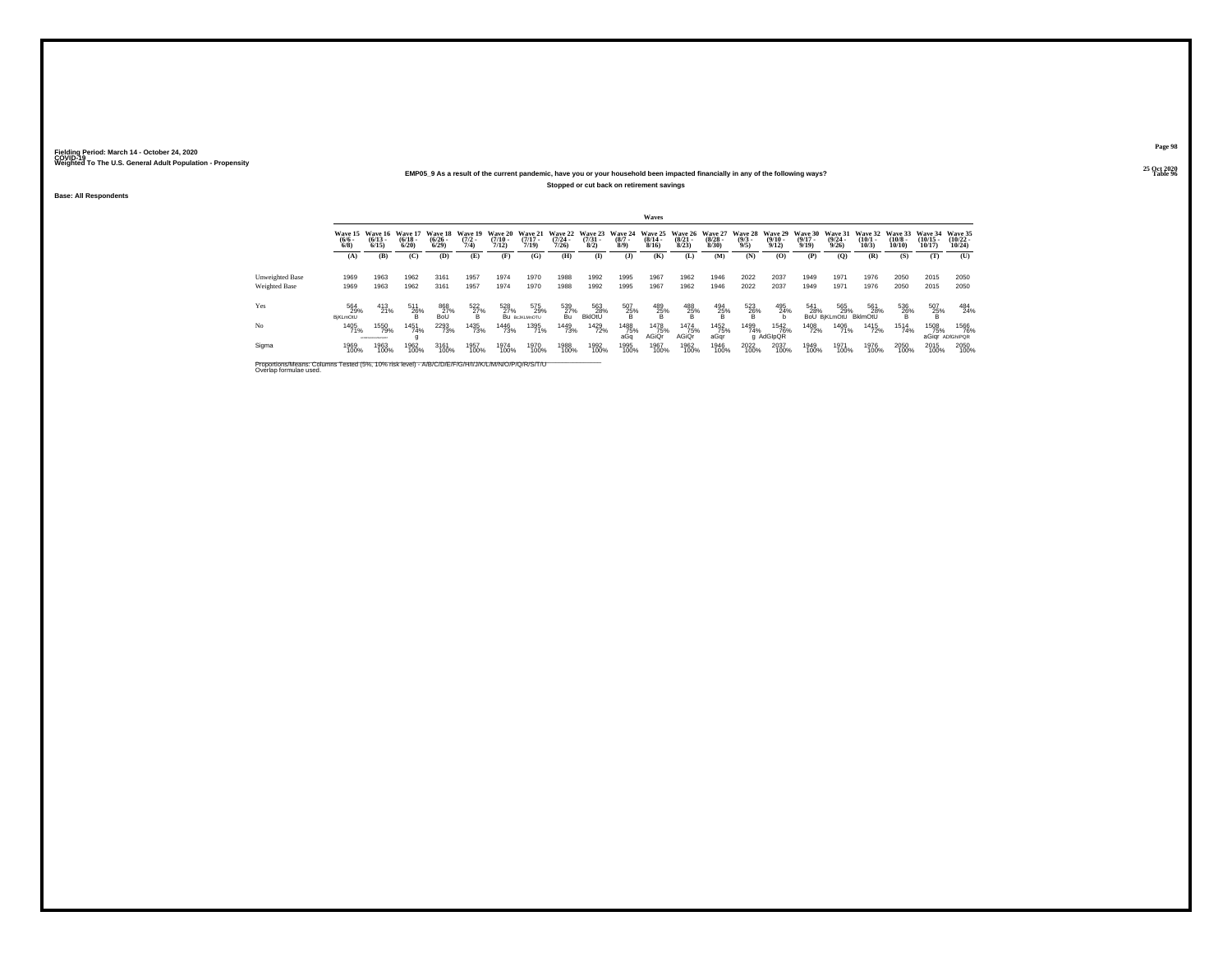#### **25 Oct 2020EMP05\_9 As a result of the current pandemic, have you or your household been impacted financially in any of the following ways?Stopped or cut back on retirement savings**

**Base: All Respondents**

|                                                                                                                              |                                |                                   |                              |                              |                                |                              |                                    |                              |                                |                            | Waves                        |                                              |                                 |                               |                                  |                              |                                         |                              |                               |                                |                                |
|------------------------------------------------------------------------------------------------------------------------------|--------------------------------|-----------------------------------|------------------------------|------------------------------|--------------------------------|------------------------------|------------------------------------|------------------------------|--------------------------------|----------------------------|------------------------------|----------------------------------------------|---------------------------------|-------------------------------|----------------------------------|------------------------------|-----------------------------------------|------------------------------|-------------------------------|--------------------------------|--------------------------------|
|                                                                                                                              | Wave 15<br>$(6/6 -$<br>$6/8$ ) | Wave 16<br>$(6/13 -$<br>6/15      | Wave 17<br>$(6/18 -$<br>6/20 | Wave 18<br>$(6/26 -$<br>6/29 | Wave 19<br>$\frac{(7/2)}{7/4}$ | Wave 20<br>$(7/10 -$<br>7/12 | Wave 21<br>$\frac{(7/17)}{7/19}$   | Wave 22<br>$(7/24 -$<br>7/26 | Wave 23<br>$\binom{7/31}{8/2}$ | Wave 24<br>$(8/7 -$<br>8/9 | Wave 25<br>$(8/14 -$<br>8/16 | Wave 26<br>$\frac{(8/21)}{8/23}$             | Wave 27<br>$\binom{8/28}{8/30}$ | Wave 28<br>$\binom{9/3}{9/5}$ | Wave 29<br>$\frac{(9/10)}{9/12}$ | Wave 30<br>$(9/17 -$<br>9/19 | Wave 31<br>$\frac{(9/24 - 9/26)}{9/26}$ | Wave 32<br>$(10/1 -$<br>10/3 | Wave 33<br>$(10/8 -$<br>10/10 | Wave 34<br>$(10/15 -$<br>10/17 | Wave 35<br>$(10/22 -$<br>10/24 |
|                                                                                                                              | (A)                            | (B)                               | (C)                          | (D)                          | (E)                            | (F)                          | (G)                                | (H)                          | $\bf{I}$                       | $($ $)$                    | (K)                          | (L)                                          | (M)                             | (N)                           | (O)                              | (P)                          | (Q)                                     | (R)                          | (S)                           | (T)                            | (U)                            |
| <b>Unweighted Base</b><br>Weighted Base                                                                                      | 1969<br>1969                   | 1963<br>1963                      | 1962<br>1962                 | 3161<br>3161                 | 1957<br>1957                   | 1974<br>1974                 | 1970<br>1970                       | 1988<br>1988                 | 1992<br>1992                   | 1995<br>1995               | 1967<br>1967                 | 1962<br>1962                                 | 1946<br>1946                    | 2022<br>2022                  | 2037<br>2037                     | 1949<br>1949                 | 1971<br>1971                            | 1976<br>1976                 | 2050<br>2050                  | 2015<br>2015                   | 2050<br>2050                   |
| Yes                                                                                                                          | 564<br>29%<br>BjKLmOtU         | 413<br>21%                        | 511<br>$^{26\%}$             | 868<br>27%<br>BoL            | $\frac{522}{27\%}$<br>в        | 528<br>27%                   | 575<br>29%<br><b>BU BOJKLMNOTU</b> | 539<br>27%<br>Bu             | 563<br>28%<br><b>BkIOtU</b>    | $\frac{507}{25\%}$         | $^{489}_{25\%}$              | $^{488}_{\phantom{425}25\%}_{\phantom{48}B}$ | 494<br>$^{25}_{\{}8}$ %         | $\frac{523}{26\%}$            | 495<br>24%                       | 541<br>28%                   | 565<br>29%<br><b>BoU BiKLmOtU</b>       | 561<br>28%<br>BklmOtU        | 536<br>26%<br>B               | 507<br>25%                     | 484<br>24%                     |
| No                                                                                                                           | 1405<br>71%                    | 1550<br>79%<br>ACDIFICHABLES/CRET | 1451<br>74%                  | <sup>2293</sup> 73%          | 1435<br>73%                    | <sup>1446</sup> 73%          | 1395<br>71%                        | 1449<br>73%                  | 1429<br>72%                    | <sup>1488</sup> 75%<br>aGa | 1478<br>75%<br>AGiQr         | 1474<br>75%<br>AGiOr                         | 1452<br>75%<br>aGar             | 1499<br>74%                   | <sup>1542</sup> 76%<br>g AdGIpQR | 1408<br>72%                  | 1406<br>71%                             | <sup>1415</sup> 72%          | 1514<br>74%                   | 1508<br>75%                    | 1566<br>76%<br>aGigr ADIGhIPOR |
| Sigma                                                                                                                        | 1969<br>100%                   | 1963<br>100%                      | 1962<br>100%                 | 3161<br>100%                 | 1957<br>100%                   | 1974<br>100%                 | 1970<br>100%                       | 1988<br>100%                 | 1992<br>100%                   | 1995<br>100%               | 1967<br>100%                 | 1962<br>100%                                 | 1946<br>100%                    | 2022<br>100%                  | 2037<br>100%                     | 1949<br>100%                 | 1971<br>100%                            | 1976<br>100%                 | 2050<br>100%                  | 2015<br>100%                   | 2050<br>100%                   |
| Proportions/Means: Columns Tested (5%, 10% risk level) - A/B/C/D/E/F/G/H/I/J/K/L/M/N/O/P/Q/R/S/T/U<br>Overlap formulae used. |                                |                                   |                              |                              |                                |                              |                                    |                              |                                |                            |                              |                                              |                                 |                               |                                  |                              |                                         |                              |                               |                                |                                |

**Page 9825 Oct 2020<br>Table 96** 

**Table 96 Table 96 Table 96 Table 96 Table 96 Table 96**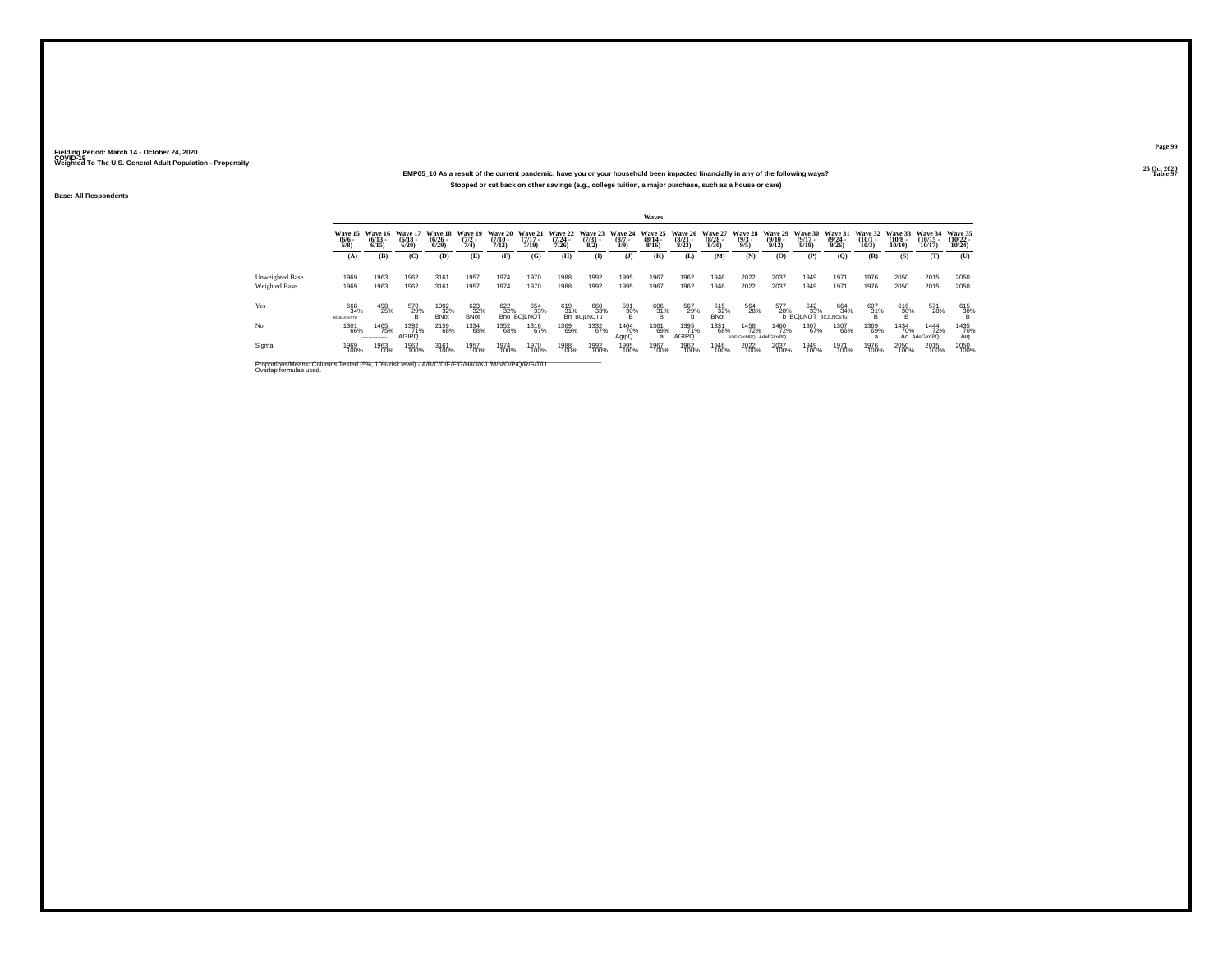### **25 Oct 2020EMP05\_10 As a result of the current pandemic, have you or your household been impacted financially in any of the following ways?Stopped or cut back on other savings (e.g., college tuition, a major purchase, such as a house or care)**

**Base: All Respondents**

|                                                                                                                              |                                       |                                 |                              |                                      |                                |                                  |                                  |                           |                                 |                               | Waves                            |                                 |                                 |                                     |                                  |                                                  |                                  |                                 |                               |                                |                                |
|------------------------------------------------------------------------------------------------------------------------------|---------------------------------------|---------------------------------|------------------------------|--------------------------------------|--------------------------------|----------------------------------|----------------------------------|---------------------------|---------------------------------|-------------------------------|----------------------------------|---------------------------------|---------------------------------|-------------------------------------|----------------------------------|--------------------------------------------------|----------------------------------|---------------------------------|-------------------------------|--------------------------------|--------------------------------|
|                                                                                                                              | <b>Wave 15</b><br>$\frac{(6/6)}{6/8}$ | Wave 16<br>$(6/13 -$<br>6/15    | Wave 17<br>$(6/18 -$<br>6/20 | Wave 18<br>$\frac{(6/26 - 6)}{6/29}$ | Wave 19<br>$\frac{(7/2)}{7/4}$ | Wave 20<br>$\frac{(7/10)}{7/12}$ | Wave 21<br>$\frac{(7/17)}{7/19}$ | Wave 22<br>(7/24)<br>7/26 | Wave 23<br>$\frac{(7/31)}{8/2}$ | Wave 24<br>$\binom{8/7}{8/9}$ | Wave 25<br>$\frac{(8/14)}{8/16}$ | Wave 26<br>$\binom{8/21}{8/23}$ | Wave 27<br>$\binom{8/28}{8/30}$ | Wave 28<br>$\binom{9/3}{9/5}$       | Wave 29<br>$\frac{(9/10)}{9/12}$ | Wave 30<br>$\frac{(9/17)}{9/19}$                 | Wave 31<br>$\frac{(9/24)}{9/26}$ | Wave 32<br>$\binom{10/1}{10/3}$ | Wave 33<br>$(10/8 -$<br>10/10 | Wave 34<br>$(10/15 -$<br>10/17 | Wave 35<br>$(10/22 -$<br>10/24 |
|                                                                                                                              | (A)                                   | (B)                             | (C)                          | (D)                                  | (E)                            | (F)                              | (G)                              | (H)                       | $\bf{I}$                        | (3)                           | (K)                              | (L)                             | (M)                             | (N)                                 | (0)                              | (P)                                              | (Q)                              | (R)                             | (S)                           | (T                             | (U)                            |
| <b>Unweighted Base</b>                                                                                                       | 1969                                  | 1963                            | 1962                         | 3161                                 | 1957                           | 1974                             | 1970                             | 1988                      | 1992                            | 1995                          | 1967                             | 1962                            | 1946                            | 2022                                | 2037                             | 1949                                             | 1971                             | 1976                            | 2050                          | 2015                           | 2050                           |
| <b>Weighted Base</b>                                                                                                         | 1969                                  | 1963                            | 1962                         | 3161                                 | 1957                           | 1974                             | 1970                             | 1988                      | 1992                            | 1995                          | 1967                             | 1962                            | 1946                            | 2022                                | 2037                             | 1949                                             | 1971                             | 1976                            | 2050                          | 2015                           | 2050                           |
| Yes                                                                                                                          | 668<br>34%<br><b>BCJALNO:STU</b>      | 498<br>25%                      | 570<br>$^{29\%}$             | 1002<br>32%<br><b>BNot</b>           | 623<br>32%<br><b>BNot</b>      | 622<br>32%                       | 654<br>33%<br><b>Bno BCILNOT</b> | 619<br>31%                | 660<br>33%<br>Bn BCjLNOTu       | 591<br>30%                    | 606<br>31%<br>B                  | 567<br>29%                      | 615<br>32%<br><b>BNot</b>       | 564<br>28%                          | 577<br>28%                       | 17 642 664<br>28% 33% 34%<br>b BCjLNOT BCJLNOsTu | 664<br>34%                       | 607<br>31%                      | $^{616}_{30\%}$               | 571<br>28%                     | 615<br>30%                     |
| No                                                                                                                           | 1301<br>66%                           | 1465<br>75%<br>AFTERDA MALECULE | 1392<br>71%<br><b>AGIPQ</b>  | 2159<br>68%                          | 1334<br>68%                    | 1352<br>68%                      | 1316<br>67%                      | 1369<br>69%               | 1332<br>67%                     | 1404<br>70%<br>AgipQ          | 1361<br>69%<br>a                 | 1395<br>71%<br><b>AGIPQ</b>     | 1331<br>68%                     | 1458<br>72%<br>ADEfGhIMPQ AdefGImPQ | 1460<br>72%                      | 1307<br>67%                                      | 1307<br>66%                      | 1369<br>69%                     | 1434<br>70%                   | 1444<br>72%<br>Ag AdeGImPO     | 1435<br>70%<br>Aia             |
| Sigma                                                                                                                        | 1969<br>100%                          | 1963<br>100%                    | 1962<br>100%                 | 3161<br>100%                         | 1957<br>100%                   | 1974<br>100%                     | 1970<br>100%                     | 1988<br>100%              | 1992<br>100%                    | 1995<br>100%                  | 1967<br>100%                     | 1962<br>100%                    | 1946<br>100%                    | 2022<br>100%                        | 2037<br>100%                     | 1949<br>100%                                     | 1971<br>100%                     | 1976<br>100%                    | 2050<br>100%                  | 2015<br>100%                   | 2050<br>100%                   |
| Proportions/Means: Columns Tested (5%, 10% risk level) - A/B/C/D/E/F/G/H/I/J/K/L/M/N/O/P/Q/R/S/T/U<br>Overlap formulae used. |                                       |                                 |                              |                                      |                                |                                  |                                  |                           |                                 |                               |                                  |                                 |                                 |                                     |                                  |                                                  |                                  |                                 |                               |                                |                                |

**Page 99**25 Oct 2020<br>Table 97

**Table 97 Table 97**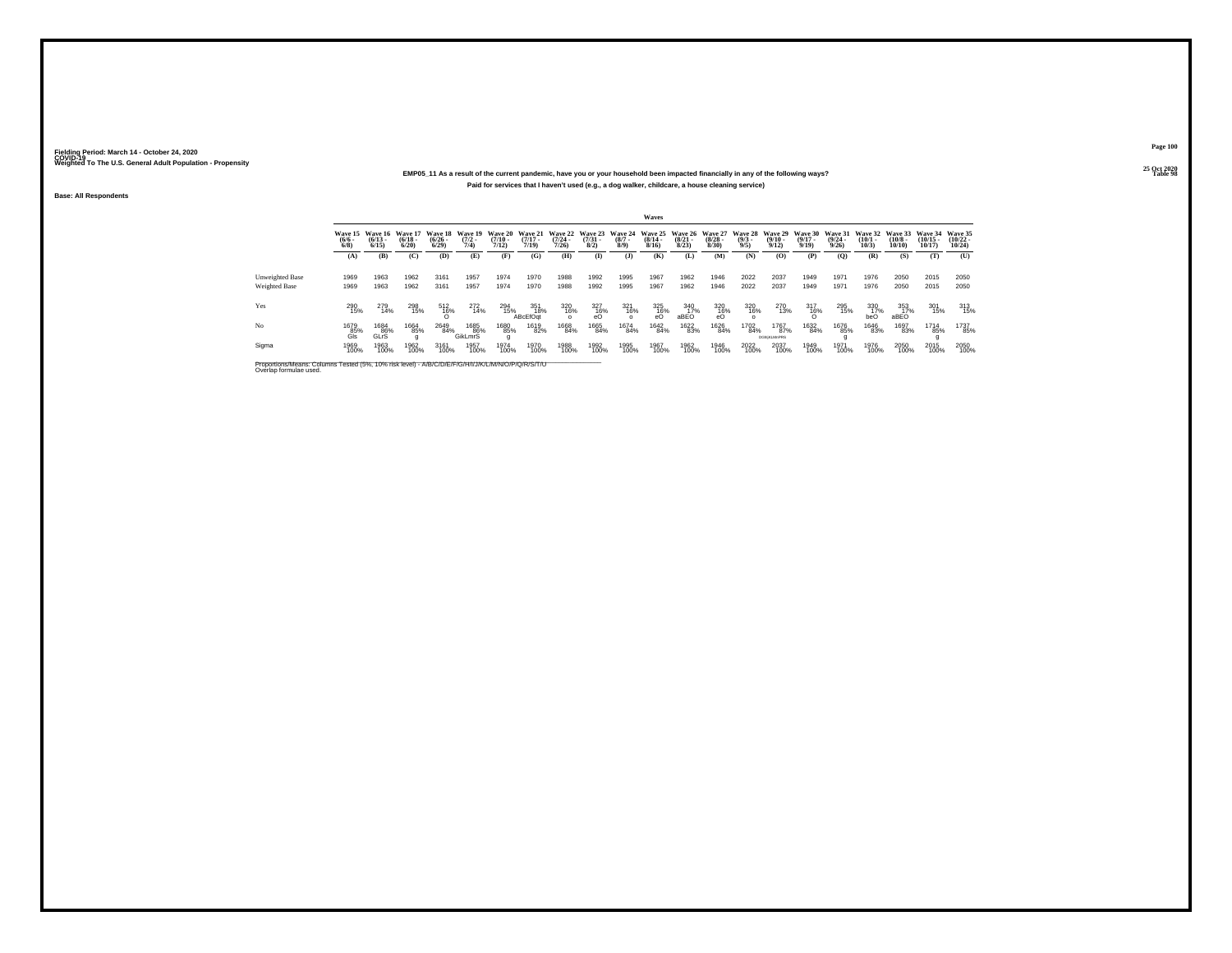### **25 Oct 2020EMP05\_11 As a result of the current pandemic, have you or your household been impacted financially in any of the following ways?Paid for services that I haven't used (e.g., a dog walker, childcare, a house cleaning service)**

**Base: All Respondents**

|                                                                                                                              |                           |                              |                                  |                                 |                                |                                  |                              |                              |                                 |                               | Waves                            |                                 |                                  |                               |                                   |                                         |                                  |                              |                               |                             |                                |
|------------------------------------------------------------------------------------------------------------------------------|---------------------------|------------------------------|----------------------------------|---------------------------------|--------------------------------|----------------------------------|------------------------------|------------------------------|---------------------------------|-------------------------------|----------------------------------|---------------------------------|----------------------------------|-------------------------------|-----------------------------------|-----------------------------------------|----------------------------------|------------------------------|-------------------------------|-----------------------------|--------------------------------|
|                                                                                                                              | Wave 15<br>$\binom{6}{6}$ | Wave 16<br>$(6/13 -$<br>6/15 | Wave 17<br>$\frac{(6/18)}{6/20}$ | Wave 18<br>$\binom{6/26}{6/29}$ | Wave 19<br>$\frac{(7/2)}{7/4}$ | Wave 20<br>$\frac{(7/10)}{7/12}$ | Wave 21<br>$(7/17 -$<br>7/19 | Wave 22<br>$(7/24 -$<br>7/26 | Wave 23<br>$\frac{(7/31)}{8/2}$ | Wave 24<br>$\binom{8/7}{8/9}$ | Wave 25<br>$\frac{(8/14)}{8/16}$ | Wave 26<br>$\binom{8/21}{8/23}$ | Wave 27<br>$\frac{(8/28)}{8/30}$ | Wave 28<br>$\binom{9/3}{9/5}$ | Wave 29<br>$\binom{9/10}{9/12}$   | <b>Wave 30</b><br>$\frac{(9/17)}{9/19}$ | Wave 31<br>$\frac{(9/24)}{9/26}$ | Wave 32<br>$(10/1 -$<br>10/3 | Wave 33<br>$(10/8 -$<br>10/10 | Wave 34<br>(10/15.<br>10/17 | Wave 35<br>$(10/22 -$<br>10/24 |
|                                                                                                                              | (A)                       | (B)                          | (C)                              | (D)                             | (E)                            | (F)                              | (G)                          | (H)                          | <b>D</b>                        | $\mathbf{J}$                  | (K)                              | (L)                             | (M)                              | (N)                           | (0)                               | (P)                                     | (O)                              | (R)                          | (S)                           | (T)                         | (U)                            |
| <b>Unweighted Base</b><br>Weighted Base                                                                                      | 1969<br>1969              | 1963<br>1963                 | 1962<br>1962                     | 3161<br>3161                    | 1957<br>1957                   | 1974<br>1974                     | 1970<br>1970                 | 1988<br>1988                 | 1992<br>1992                    | 1995<br>1995                  | 1967<br>1967                     | 1962<br>1962                    | 1946<br>1946                     | 2022<br>2022                  | 2037<br>2037                      | 1949<br>1949                            | 1971<br>1971                     | 1976<br>1976                 | 2050<br>2050                  | 2015<br>2015                | 2050<br>2050                   |
| Yes                                                                                                                          | 290<br>15%                | 279<br>14%                   | 298<br>15%                       | 512<br>$^{16\%}_{0}$            | $^{272}_{14\%}$                | 294<br>15%                       | 351<br>18%<br>ABcEfOat       | 320<br>16%<br>$\Omega$       | 327<br>16%<br>eO                | 321<br>16%                    | $^{325}_{^{16\%}}$               | 340<br>17%<br>aBEO              | 320<br>$\frac{16}{6}$            | 320<br>16%<br>$\Omega$        | 270<br>13%                        | 317<br>$^{16\%}_{0}$                    | 295<br>15%                       | $\frac{330}{17\%}$<br>beO    | 353<br>17%<br>aBEO            | 301<br>15%                  | 313<br>15%                     |
| No                                                                                                                           | 1679<br>85%<br>Gls        | 1684<br>86%<br>GLrS          | 1664<br>85%<br>$\Omega$          | 2649<br>84%                     | 1685<br>86%<br>GikLmrS         | 1680<br>85%                      | 1619<br>82%                  | 1668<br>84%                  | 1665<br>84%                     | 1674<br>84%                   | 1642<br>84%                      | 1622<br>83%                     | 1626<br>84%                      | 1702<br>84%                   | 1767<br>87%<br><b>DGNiKLMnPRS</b> | 1632<br>84%                             | 1676<br>85%                      | 1646<br>83%                  | 1697<br>83%                   | 1714<br>85%                 | 1737<br>85%                    |
| Sigma                                                                                                                        | 1969<br>100%              | 1963<br>100%                 | 1962<br>100%                     | 3161<br>100%                    | 1957<br>100%                   | 1974<br>100%                     | 1970<br>100%                 | 1988<br>100%                 | 1992<br>100%                    | 1995<br>100%                  | 1967<br>100%                     | 1962<br>100%                    | 1946<br>100%                     | 2022<br>100%                  | 2037<br>100%                      | 1949<br>100%                            | 1971<br>100%                     | 1976<br>100%                 | 2050<br>100%                  | 2015<br>100%                | 2050<br>100%                   |
| Proportions/Means: Columns Tested (5%, 10% risk level) - A/B/C/D/E/F/G/H/I/J/K/L/M/N/O/P/Q/R/S/T/U<br>Overlap formulae used. |                           |                              |                                  |                                 |                                |                                  |                              |                              |                                 |                               |                                  |                                 |                                  |                               |                                   |                                         |                                  |                              |                               |                             |                                |

**Page 10025 Oct 2020<br>Table 98** 

**Table 98 Table 98**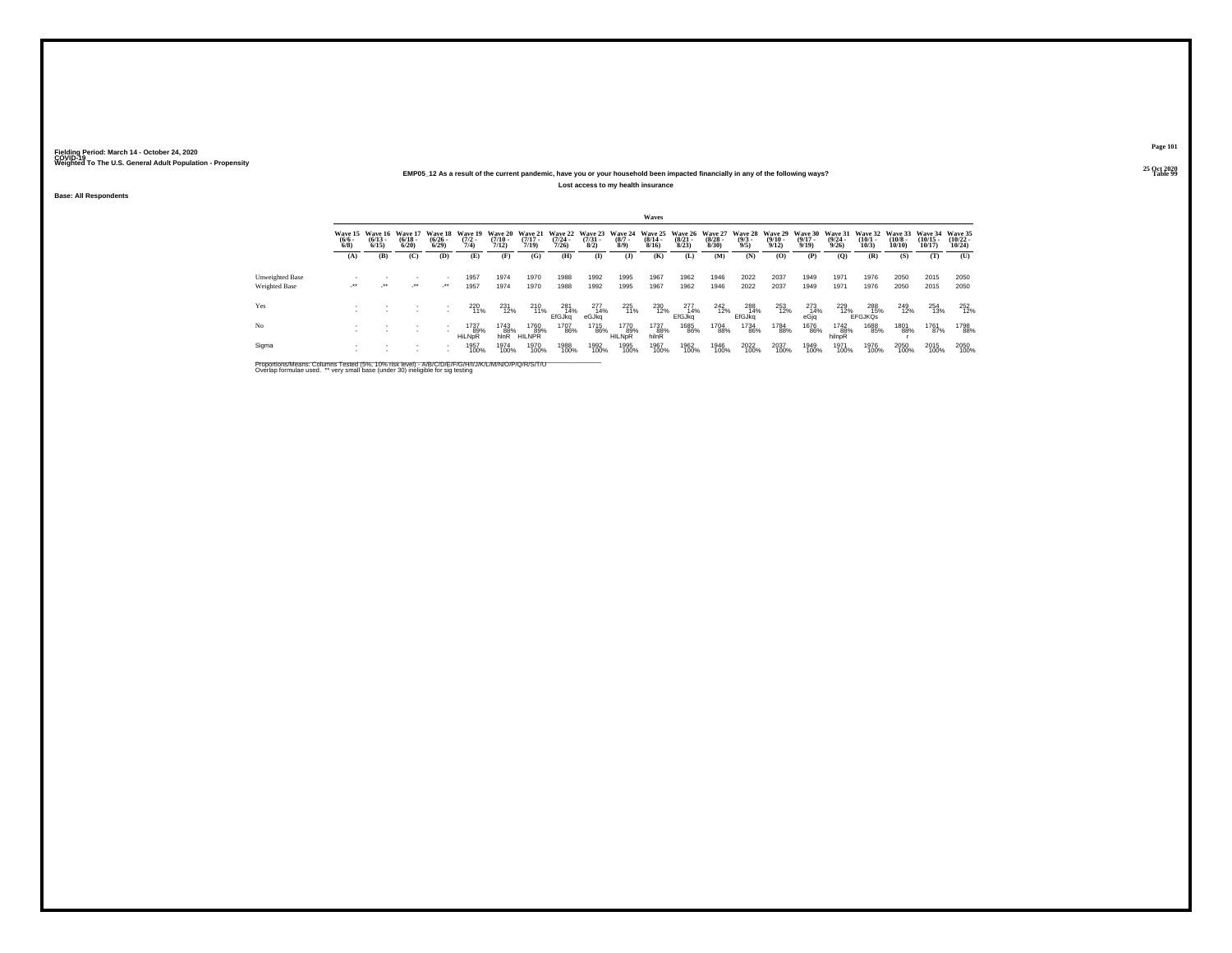#### **25 Oct 2020EMP05\_12 As a result of the current pandemic, have you or your household been impacted financially in any of the following ways?Lost access to my health insurance**

**Base: All Respondents**

|                      |                     |                                          |                                  |                                |                                        |                                         |                                  |                                          |                     |                                      | Waves                         |                                          |                                 |                                        |                              |                                  |                                  |                                 |                                       |                                   |                                   |
|----------------------|---------------------|------------------------------------------|----------------------------------|--------------------------------|----------------------------------------|-----------------------------------------|----------------------------------|------------------------------------------|---------------------|--------------------------------------|-------------------------------|------------------------------------------|---------------------------------|----------------------------------------|------------------------------|----------------------------------|----------------------------------|---------------------------------|---------------------------------------|-----------------------------------|-----------------------------------|
|                      | $\frac{(6/6)}{6/8}$ | Wave 15 Wave 16<br>$\frac{(6/13)}{6/15}$ | Wave 17<br>$\frac{(6/18)}{6/20}$ | $\binom{6/26}{6/29}$           | Wave 18 Wave 19<br>$\frac{(7/2)}{7/4}$ | <b>Wave 20</b><br>$\frac{(7/10)}{7/12}$ | Wave 21<br>$\frac{(7/17)}{7/19}$ | Wave 22 Wave 23<br>$\frac{(7/24)}{7/26}$ | $\binom{7/31}{8/2}$ | Wave 24<br>$\frac{(8/7 - 8)}{(8/9)}$ | $\frac{(8/14 \cdot 8)}{8/16}$ | Wave 25 Wave 26<br>$\frac{(8/21)}{8/23}$ | Wave 27<br>$\binom{8/28}{8/30}$ | Wave 28 Wave 29<br>$\frac{(9/3)}{9/5}$ | $\frac{(9/10 - 9/12)}{9/12}$ | Wave 30<br>$\frac{(9/17)}{9/19}$ | Wave 31<br>$\frac{(9/24)}{9/26}$ | Wave 32<br>$\binom{10/1}{10/3}$ | Wave 33<br>$\binom{10/8 - 10}{10/10}$ | Wave 34<br>$\binom{10/15}{10/17}$ | Wave 35<br>$\binom{10/22}{10/24}$ |
|                      | (A)                 | (B)                                      | (C)                              | (D)                            | (E)                                    | (F)                                     | (G)                              | (H)                                      | $\bf{I}$            | (1)                                  | (K)                           | (L)                                      | (M)                             | (N)                                    | (0)                          | (P)                              | (0)                              | (R)                             | (S)                                   | (T)                               | (U)                               |
| Unweighted Base      |                     |                                          |                                  |                                | 1957                                   | 1974                                    | 1970                             | 1988                                     | 1992                | 1995                                 | 1967                          | 1962                                     | 1946                            | 2022                                   | 2037                         | 1949                             | 1971                             | 1976                            | 2050                                  | 2015                              | 2050                              |
| <b>Weighted Base</b> | $\cdot$             | $\rightarrow$                            | $\cdot$                          | $\mathcal{L}^{\bullet\bullet}$ | 1957                                   | 1974                                    | 1970                             | 1988                                     | 1992                | 1995                                 | 1967                          | 1962                                     | 1946                            | 2022                                   | 2037                         | 1949                             | 1971                             | 1976                            | 2050                                  | 2015                              | 2050                              |
| Yes                  |                     |                                          |                                  |                                | 220<br>11%                             | 231<br>12%                              | 210<br>11%                       | 281<br>14%<br>EfGJka                     | 277<br>14%<br>eGJkg | 225<br>11%                           | 230<br>12%                    | 277<br>14%<br><b>EfGJkg</b>              | 242<br>12%                      | 288<br>14%<br>EfGJkg                   | 253<br>12%                   | 273<br>14%<br>eGjq               | 229<br>12%                       | 288<br>15%<br><b>EFGJKOS</b>    | 249<br>12%                            | 254<br>13%                        | 252<br>12%                        |
| No                   |                     |                                          |                                  |                                | 1737<br>89%<br>HiLNpR                  | 1743<br>88%<br>hlnR                     | 1760<br>89%<br><b>HILNPR</b>     | 1707<br>86%                              | 1715<br>86%         | 1770<br>89%<br><b>HILNDR</b>         | 1737<br>88%<br>hilnR          | 1685<br>86%                              | 1704<br>88%                     | <sup>1734</sup> 86%                    | 1784<br>88%                  | 1676<br>86%                      | 1742<br>88%<br>hilnpR            | 1688<br>85%                     | 1801<br>88%                           | 1761<br>87%                       | 1798<br>88%                       |
| Sigma                |                     |                                          |                                  | $\sim$                         | 1957<br>100%                           | 1974<br>100%                            | 1970<br>100%                     | 1988<br>100%                             | 1992<br>100%        | 1995<br>100%                         | 1967<br>100%                  | 1962<br>100%                             | 1946<br>100%                    | 2022<br>100%                           | 2037<br>100%                 | 1949<br>100%                     | 1971<br>100%                     | 1976<br>100%                    | 2050<br>100%                          | 2015<br>100%                      | 2050<br>100%                      |

Proportions/Means: Columns Tested (5%, 10% risk level) - A/B/C/D/E/F/G/H/I/J/K/L/M/N/O/P/Q/R/S/T/U<br>Overlap formulae used. \*\* very small base (under 30) ineligible for sig testing

**Page 101**

25 Oct 2020<br>Table 99 **Table 99 Table 99**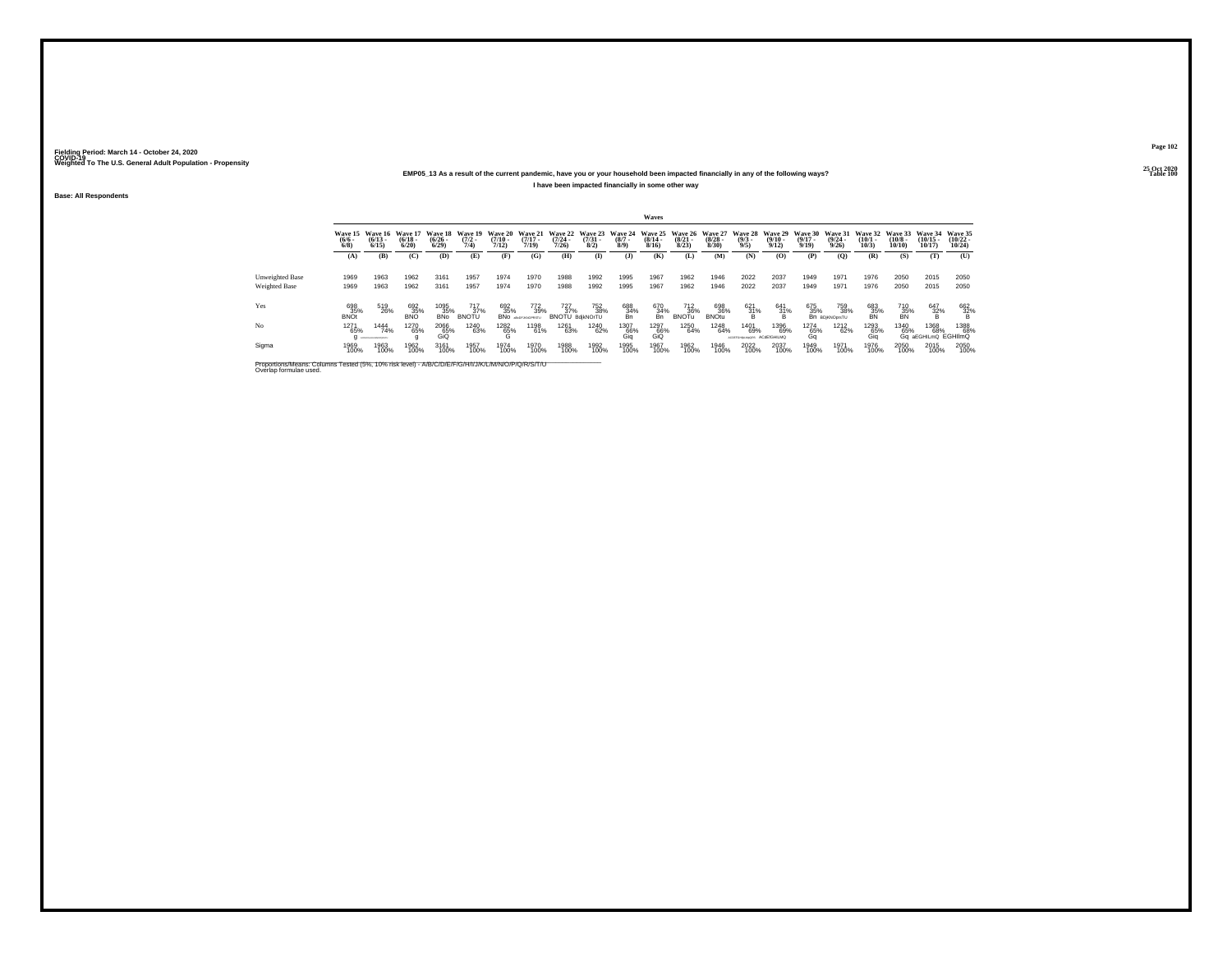#### **25 Oct 2020EMP05\_13 As a result of the current pandemic, have you or your household been impacted financially in any of the following ways?I have been impacted financially in some other way**

**Base: All Respondents**

|                                                                                                                              |                      |                                      |                                 |                                 |                                |                                  |                                  |                                  |                                 |                               | Waves                            |                                 |                                 |                                |                                 |                                  |                              |                              |                               |                                    |                                          |
|------------------------------------------------------------------------------------------------------------------------------|----------------------|--------------------------------------|---------------------------------|---------------------------------|--------------------------------|----------------------------------|----------------------------------|----------------------------------|---------------------------------|-------------------------------|----------------------------------|---------------------------------|---------------------------------|--------------------------------|---------------------------------|----------------------------------|------------------------------|------------------------------|-------------------------------|------------------------------------|------------------------------------------|
|                                                                                                                              | $\frac{(6/6)}{6/8}$  | Wave 15 Wave 16<br>$(6/13 -$<br>6/15 | Wave 17<br>$\binom{6/18}{6/20}$ | Wave 18<br>$\binom{6/26}{6/29}$ | Wave 19<br>$\frac{(7/2)}{7/4}$ | Wave 20<br>$\frac{(7/10)}{7/12}$ | Wave 21<br>$\frac{(7/17)}{7/19}$ | Wave 22<br>$\frac{(7/24)}{7/26}$ | Wave 23<br>$\frac{(7/31)}{8/2}$ | Wave 24<br>$\binom{8/7}{8/9}$ | Wave 25<br>$\frac{(8/14)}{8/16}$ | Wave 26<br>$\binom{8/21}{8/23}$ | Wave 27<br>$\binom{8/28}{8/30}$ | Wave 28<br>$\binom{9/3}{9/5}$  | Wave 29<br>$\binom{9/10}{9/12}$ | Wave 30<br>$\frac{(9/17)}{9/19}$ | Wave 31<br>(9/24.<br>9/26    | Wave 32<br>$(10/1 -$<br>10/3 | Wave 33<br>$(10/8 -$<br>10/10 | Wave 34<br>$(10/15 -$<br>10/17     | <b>Wave 35</b><br>$\binom{10/22}{10/24}$ |
|                                                                                                                              | (A)                  | (B)                                  | (C)                             | (D)                             | (E)                            | (F)                              | (G)                              | (H)                              | $\bf{I}$                        | (1)                           | (K)                              | (L)                             | (M)                             | (N)                            | (0)                             | (P)                              | $\mathbf{Q}$                 | (R)                          | (S)                           | (T)                                | (U)                                      |
| <b>Unweighted Base</b><br>Weighted Base                                                                                      | 1969<br>1969         | 1963<br>1963                         | 1962<br>1962                    | 3161<br>3161                    | 1957<br>1957                   | 1974<br>1974                     | 1970<br>1970                     | 1988<br>1988                     | 1992<br>1992                    | 1995<br>1995                  | 1967<br>1967                     | 1962<br>1962                    | 1946<br>1946                    | 2022<br>2022                   | 2037<br>2037                    | 1949<br>1949                     | 1971<br>1971                 | 1976<br>1976                 | 2050<br>2050                  | 2015<br>2015                       | 2050<br>2050                             |
| Yes                                                                                                                          | 698<br>$35%$<br>BNOt | 519<br>26%                           | 692<br>35%                      | 1095<br>35%<br><b>BNo</b>       | 717<br>37%<br><b>BNOTU</b>     | 692<br>35%<br><b>BNo</b>         | 772<br>39%<br>aBcDFJANOPRSTU     | 727<br>37%<br>BNOTU BdikNOrTU    | 752<br>38%                      | 688<br>$\frac{34}{8}$         | 670<br>34%<br>Bn                 | 712<br>36%<br><b>BNOTu</b>      | 698<br>36%<br><b>BNOtu</b>      | $^{621}_{31\%}$                | 641<br>31%<br>Ŕ                 | 675<br>35%                       | 759<br>38%<br>Bn BDjKNOprsTU | 683<br>35%                   | 710<br>35%<br>BN              | $\frac{647}{32\%}$                 | 662<br>$\frac{32}{8}$ %                  |
| No                                                                                                                           | 1271<br>65%          | 1444<br>74%<br>ACDEPDHUMLMHOPORETU   | 1270<br>65%                     | 2066<br>65%<br>GiQ              | <sup>1240</sup> 63%            | 1282<br>65%<br>G                 | 1198<br>61%                      | 1261<br>63%                      | <sup>1240</sup> 62%             | 1307<br>66%<br>Gia            | 1297<br>66%<br>GiQ               | 1250<br>64%                     | 1248<br>64%                     | 1401<br>69%<br>ACOGFGHIKLMoORS | 1396<br>69%<br>ACdETGHILMQ      | <sup>1274</sup> 65%<br>Ga        | <sup>1212</sup><br>62%       | 1293<br>65%<br>Gia           | 1340<br>65%                   | 1368<br>68%<br>Gq aEGHILmQ EGHIlmQ | 1388<br>68%                              |
| Sigma                                                                                                                        | 1969<br>100%         | 1963<br>100%                         | 1962<br>100%                    | 3161<br>100%                    | 1957<br>100%                   | 1974<br>100%                     | 1970<br>100%                     | 1988<br>100%                     | 1992<br>100%                    | 1995<br>100%                  | 1967<br>100%                     | 1962<br>100%                    | 1946<br>100%                    | 2022<br>100%                   | 2037<br>100%                    | 1949<br>100%                     | 1971<br>100%                 | 1976<br>100%                 | 2050<br>100%                  | 2015<br>100%                       | 2050<br>100%                             |
| Proportions/Means: Columns Tested (5%, 10% risk level) - A/B/C/D/E/F/G/H/I/J/K/L/M/N/O/P/Q/R/S/T/U<br>Overlap formulae used. |                      |                                      |                                 |                                 |                                |                                  |                                  |                                  |                                 |                               |                                  |                                 |                                 |                                |                                 |                                  |                              |                              |                               |                                    |                                          |

**Page 10225 Oct 2020<br>Table 100** 

**Table 100 Table 100**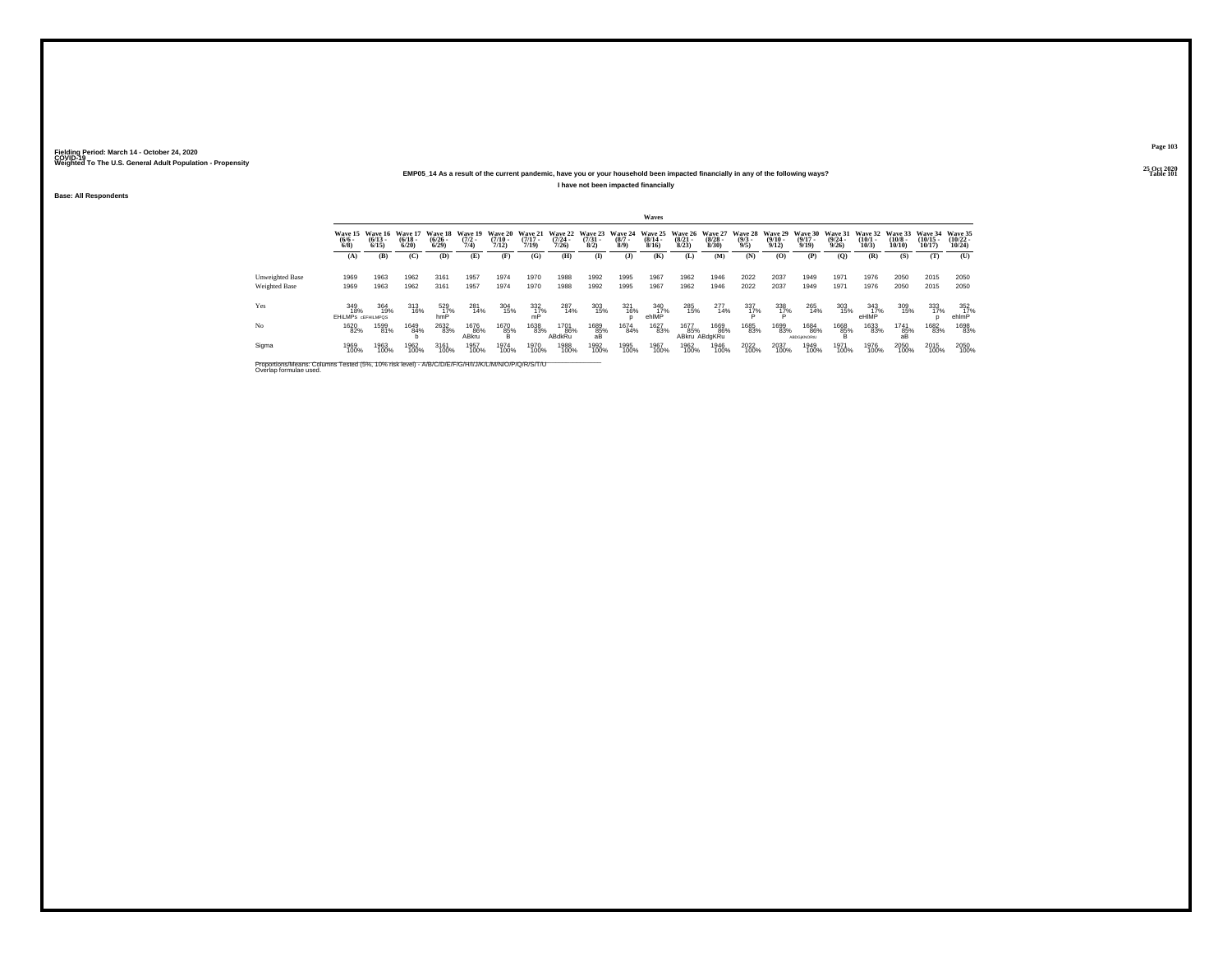### **25 Oct 2020EMP05\_14 As a result of the current pandemic, have you or your household been impacted financially in any of the following ways?**

**I have not been impacted financially**

**Base: All Respondents**

|                 |                                         |                                              |                                  |                                               |                                |                           |                                          |                       |                     |                                               | Waves                 |                       |                                                  |                                                |                       |                            |                                  |                             |                                               |                                   |                                   |
|-----------------|-----------------------------------------|----------------------------------------------|----------------------------------|-----------------------------------------------|--------------------------------|---------------------------|------------------------------------------|-----------------------|---------------------|-----------------------------------------------|-----------------------|-----------------------|--------------------------------------------------|------------------------------------------------|-----------------------|----------------------------|----------------------------------|-----------------------------|-----------------------------------------------|-----------------------------------|-----------------------------------|
|                 | $\frac{(6/6)}{6/8}$                     | Wave 15 Wave 16<br>$\frac{(6/13 - 6)}{6/15}$ | Wave 17<br>$\frac{(6/18)}{6/20}$ | <b>Wave 18</b><br>$\frac{(6/26 - 6)}{(6/29)}$ | Wave 19<br>$\frac{(7/2)}{7/4}$ | $\frac{(7/10 - 7)}{7/12}$ | Wave 20 Wave 21<br>$\frac{(7/17)}{7/19}$ | $\frac{(7/24)}{7/26}$ | $\binom{7/31}{8/2}$ | Wave 22 Wave 23 Wave 24<br>$\binom{8/7}{8/9}$ | $\frac{(8/14)}{8/16}$ | $\frac{(8/21)}{8/23}$ | Wave 25 Wave 26 Wave 27<br>$\frac{(8/28)}{8/30}$ | Wave 28 Wave 29 Wave 30<br>$\frac{(9/3)}{9/5}$ | $\frac{(9/10)}{9/12}$ | $\frac{(9/17)}{9/19}$      | Wave 31<br>$\frac{(9/24)}{9/26}$ | $\binom{10/1}{10/3}$        | Wave 32 Wave 33<br>$\binom{10/8 - 10}{10/10}$ | Wave 34<br>$\binom{10/15}{10/17}$ | Wave 35<br>$\binom{10/22}{10/24}$ |
|                 | (A)                                     | (B)                                          | (C)                              | (D)                                           | (E)                            | (F)                       | (G)                                      | (H)                   | $\mathbf{I}$        | (3)                                           | (K)                   | (L)                   | (M)                                              | (N)                                            | (0)                   | (P)                        | (0)                              | (R)                         | (S)                                           | (T)                               | (U)                               |
| Unweighted Base | 1969                                    | 1963                                         | 1962                             | 3161                                          | 1957                           | 1974                      | 1970                                     | 1988                  | 1992                | 1995                                          | 1967                  | 1962                  | 1946                                             | 2022                                           | 2037                  | 1949                       | 1971                             | 1976                        | 2050                                          | 2015                              | 2050                              |
| Weighted Base   | 1969                                    | 1963                                         | 1962                             | 3161                                          | 1957                           | 1974                      | 1970                                     | 1988                  | 1992                | 1995                                          | 1967                  | 1962                  | 1946                                             | 2022                                           | 2037                  | 1949                       | 1971                             | 1976                        | 2050                                          | 2015                              | 2050                              |
| Yes             | 349<br>18%<br><b>EHILMPS GEFHILMPOS</b> | 364<br>19%                                   | 313<br>16%                       | $^{529}_{\phantom{1}17\%}$ hmP                | 281<br>14%                     | 304<br>15%                | $\frac{332}{nP}$ %                       | 287<br>14%            | 303<br>15%          | 321<br>16%                                    | 340<br>17%<br>ehlMP   | 285<br>15%            | 277<br>14%                                       | $\frac{337}{17\%}$                             | 338<br>1 <u>7</u> %   | 265<br>14%                 | 303<br>15%                       | $\frac{343}{17\%}$<br>eHIMP | 309<br>15%                                    | 333<br>17%                        | $\frac{352}{17\%}$<br>ehlmP       |
| No              | 1620<br>82%                             | 1599<br>81%                                  | 1649<br>84%                      | 2632<br>83%                                   | 1676<br>86%<br>ABkru           | 1670<br>85%<br>в          | 1638<br>83%                              | 1701<br>86%<br>ABdkRu | 1689<br>85%<br>aB   | 1674<br>84%                                   | 1627<br>83%           | 1677<br>85%           | 1669<br>86%<br>ABkru ABdaKRu                     | 1685<br>83%                                    | 1699<br>83%           | 1684<br>86%<br>ABDG/KNORtU | 1668<br>85%                      | 1633<br>83%                 | 1741<br>85%<br>aB                             | 1682<br>83%                       | 1698<br>83%                       |
| Sigma           | 1969<br>100%                            | 1963<br>100%                                 | 1962<br>100%                     | 3161<br>100%                                  | 1957<br>100%                   | 1974<br>100%              | 1970<br>100%                             | 1988<br>100%          | 1992<br>100%        | 1995<br>100%                                  | 1967<br>100%          | 1962<br>100%          | 1946<br>100%                                     | 2022<br>100%                                   | 2037<br>100%          | 1949<br>100%               | 1971<br>100%                     | 1976<br>100%                | 2050<br>100%                                  | 2015<br>100%                      | 2050<br>100%                      |
|                 |                                         |                                              |                                  |                                               |                                |                           |                                          |                       |                     |                                               |                       |                       |                                                  |                                                |                       |                            |                                  |                             |                                               |                                   |                                   |

Proportions/Means: Columns Tested (5%, 10% risk level) - A/B/C/D/E/F/G/H/I/J/K/L/M/N/O/P/Q/R/S/T/U \_\_\_\_\_\_\_\_\_\_\_<br>Overlap formulae used.

**Page 103**25 Oct 2020<br>Table 101

**Table 101 Table 101**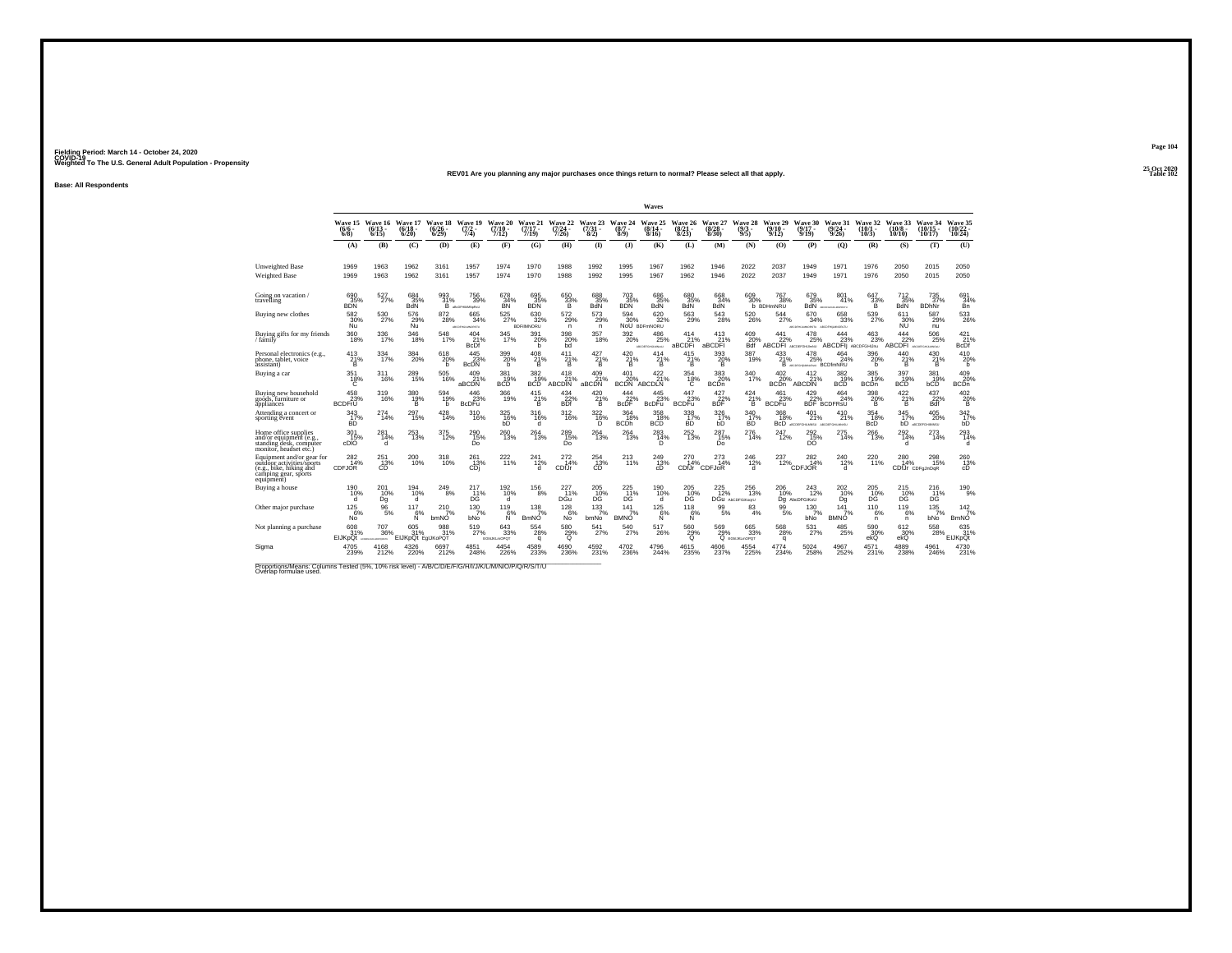#### **25 Oct 2020REV01 Are you planning any major purchases once things return to normal? Please select all that apply.Table 102**

**Base: All Respondents**

|                                                                                                                         |                                  |                                  |                                       |                                  |                                      |                                  |                                       |                                |                              |                                       | Waves                                                     |                            |                               |                                |                                          |                                                                 |                                      |                           |                                   |                                      |                                    |
|-------------------------------------------------------------------------------------------------------------------------|----------------------------------|----------------------------------|---------------------------------------|----------------------------------|--------------------------------------|----------------------------------|---------------------------------------|--------------------------------|------------------------------|---------------------------------------|-----------------------------------------------------------|----------------------------|-------------------------------|--------------------------------|------------------------------------------|-----------------------------------------------------------------|--------------------------------------|---------------------------|-----------------------------------|--------------------------------------|------------------------------------|
|                                                                                                                         | Wave 15<br>$(6/6 -$<br>$6/8$ )   | Wave 16<br>$(6/13 -$<br>$6/15$ ) | Wave 17<br>$(6/18 -$<br>6/20          | Wave 18<br>$(6/26 -$<br>$6/29$ ) | Wave 19<br>$(7/2 -$<br>7/4)          | Wave 20<br>$(7/10 -$<br>7/12)    | Wave 21<br>$(7/17 -$<br>7/19          | Wave 22<br>$(7/24 -$<br>7/26   | Wave 23<br>$(7/31 -$<br>8/2) | Wave 24<br>$(8/7 -$<br>8/9            | Wave 25<br>$(8/14 -$<br>8/16                              | Wave 26<br>(8/21)<br>8/23  | Wave 27<br>$(8/28 -$<br>8/30) | Wave 28<br>$(9/3 -$<br>9/5)    | Wave 29<br>$(9/10 -$<br>9/12             | Wave 30<br>$(9/17 -$<br>9/19                                    | Wave 31<br>(9/24)<br>9/26            | Wave 32<br>(10/1<br>10/3) | Wave 33<br>$(10/8 -$<br>10/10     | Wave 34<br>$(10/15 -$<br>10/17       | Wave 35<br>(10/22 -<br>$10/24$ )   |
|                                                                                                                         | (A)                              | (B)                              | (C)                                   | (D)                              | (E)                                  | (F)                              | (G)                                   | (H)                            | $\mathbf{I}$                 | $\mathbf{J}$                          | (K)                                                       | (L)                        | (M)                           | (N)                            | (0)                                      | (P)                                                             | (O)                                  | (R)                       | (S)                               | (T)                                  | (U)                                |
| Unweighted Base<br><b>Weighted Base</b>                                                                                 | 1969<br>1969                     | 1963<br>1963                     | 1962<br>1962                          | 3161<br>3161                     | 1957<br>1957                         | 1974<br>1974                     | 1970<br>1970                          | 1988<br>1988                   | 1992<br>1992                 | 1995<br>1995                          | 1967<br>1967                                              | 1962<br>1962               | 1946<br>1946                  | 2022<br>2022                   | 2037<br>2037                             | 1949<br>1949                                                    | 1971<br>1971                         | 1976<br>1976              | 2050<br>2050                      | 2015<br>2015                         | 2050<br>2050                       |
| Going on vacation /<br>travelling                                                                                       | 690<br>35%<br><b>BDN</b>         | 527<br>27%                       | 684<br>35%<br><b>BdN</b>              | 993<br>31%<br>B                  | <sup>756</sup> 39%<br>aBcDFHRAINsRxU | 678<br>$\frac{34}{8}$            | 695<br>35%<br><b>BDN</b>              | $\substack{650 \ 33\% \\ B}$   | 688<br>35%<br>BdN            | 703<br>35%<br><b>BDN</b>              | 686<br>35%<br>BdN                                         | 680<br>35%<br>BdN          | 668<br>34%<br><b>BdN</b>      | 609<br>30%                     | 767<br>38%<br><b>b</b> BDHmNRU           | 679<br>35%                                                      | 801<br>41%<br><b>BdN</b> ACCPORATION | $^{647}_{33\%}$<br>B      | $^{712}_{35\%}$<br><b>BdN</b>     | $^{735}_{37\%}$<br><b>BDhNr</b>      | 691<br>34%<br>Bn                   |
| Buying new clothes                                                                                                      | 582<br>30%<br>Ñŭ                 | 530<br>27%                       | 576<br>29%<br>Ñŭ                      | 872<br>28%                       | 665<br>34%<br>ABCOFFICIANORSTU       | 525<br>27%                       | 630<br>32%<br><b>BDFIMNORU</b>        | 572<br>29%<br>n                | 573<br>29%<br>n.             | 594<br>30%                            | 620<br>32%<br>NoU BDFmNORU                                | 563<br>29%                 | 543<br>28%                    | 520<br>26%                     | 544<br>27%                               | 670<br>34%<br>ABCORVILLMIORETU ABCOFHILMIORITU                  | 658<br>33%                           | 539<br>27%                | 611<br>30%<br>ΝŨ                  | 587<br>29%<br>nu                     | 533<br>26%                         |
| Buying gifts for my friends<br>family                                                                                   | $\frac{360}{18\%}$               | 336<br>17%                       | 346<br>18%                            | 548<br>17%                       | $^{404}_{21\%}$<br><b>BcDf</b>       | 345<br>17%                       | 391<br>20%<br>h                       | 398<br>20%<br>bd               | 357<br>18%                   | 392<br>20%                            | $^{486}_{\phantom{1}\phantom{1}25\%}$<br>ARCOGFONIA MINOR | 414<br>21%<br>aBCDFi       | $^{413}_{21\%}$<br>aBCDFI     | 409<br>20%<br>Bdf              | $^{441}_{22\%}$<br>ABCDFI ABCODEFGHLIMNU | $^{478}_{\phantom{1}\phantom{1}25\%}$                           | 444<br>23%<br>ABCDFII ABCDFGHIJNU    | $^{463}_{23\%}$           | $444 \over 22\%$<br><b>ABCDFI</b> | 506<br>25%<br>ARCORFORDLANDUJ        | $^{421}_{21\%}$<br><b>BcDf</b>     |
| Personal electronics (e.g.,<br>phone, tablet, voice<br>àssistant)                                                       | $^{413}_{\substack{21\% \\ B}}$  | 334<br>17%                       | $^{384}_{\phantom{1}\phantom{1}20\%}$ | $^{618}_{20\%}$<br>h             | $445$ <sub>23%</sub><br><b>B</b> cDN | 399<br>20%<br>h.                 | $^{408}_{\  \  \, 21\%}_{\  \  \, B}$ | 411<br>$\frac{21}{8}$          | 427 %<br>Ŕ.                  | $^{420}_{\  \  \, 21\%}_{\  \  \, B}$ | $^{414}_{\,\,21\%}$                                       | 415<br>21%<br>Ŕ.           | $\frac{393}{20\%}$            | 387<br>19%                     | 433<br>21%                               | $^{478}_{\phantom{1}\phantom{1}25\%}$<br>B ARCEGARARAN BCDIMNRU | 464<br>24%                           | 396<br>20%<br>h.          | $^{440}_{\substack{21\% \\ B}}$   | $^{430}_{\substack{21\% \\ B}}$      | 410<br>20%<br>h                    |
| Buying a car                                                                                                            | 351<br>$^{18\%}_{C}$             | 311<br>16%                       | 289<br>15%                            | 505<br>16%                       | 409<br>21%<br>aBCDN                  | 381<br>19%<br>BCD <sup>1</sup>   | 382<br>$\frac{10}{19}$ %              | 418<br>21%<br>ABCDIN           | 409<br>21%<br>aBCDN          | 401                                   | 422<br>21%<br>20% 21°<br>BCDN ABCDLN                      | 354<br>$\frac{18}{6}$      | 383<br>20%<br><b>BCDn</b>     | 340<br>17%                     | 402<br>20%<br><b>BCDn</b>                | 412<br>21%<br><b>ABCDIN</b>                                     | 382<br>$\frac{10}{19}$ %             | 385<br>19%<br><b>BCDn</b> | 397<br>$\frac{37}{19\%}$          | 381<br>19%<br>bCD                    | 409<br>20%<br>BCDn                 |
| Buving new household<br>goods. furniture or<br>appliances                                                               | 458<br>23%<br><b>BCDFrU</b>      | 319<br>16%                       | 380<br>19%<br>в                       | 594<br>19%<br>b                  | 446<br>23%<br><b>BcDFu</b>           | 366<br>19%                       | 415<br>21%<br>B                       | $434 \over 22\%$<br><b>BDf</b> | 420<br>21%<br>B              | $\frac{444}{22\%}$<br><b>BcDF</b>     | 445<br>23%<br><b>BcDFu</b>                                | 447<br>23%<br><b>BCDFu</b> | $427_{22\%}$<br><b>BDF</b>    | $^{424}_{21\%}$<br>B           | 461<br>23%<br><b>BCDFu</b>               | 429/22%                                                         | 464<br>24%<br><b>BDF</b> BCDFRsU     | 398<br>20%<br>B           | 422<br>21%<br>B                   | 437<br>22%<br>Bdf                    | 4020%<br>в                         |
| Attending a concert or<br>sporting event                                                                                | 343<br>$\frac{17}{10}$           | 274<br>14%                       | 297<br>15%                            | 428<br>14%                       | 310<br>16%                           | 325<br>h <sub>b</sub>            | 316<br>16%<br>d                       | 312<br>16%                     | 322<br>$^{16\%}_{D}$         | 364<br>18%<br><b>BCDh</b>             | 358<br>$\frac{18}{18}$                                    | 338<br>$\frac{17}{10}$     | 326<br>$h17$ %                | 340<br>$\frac{17}{10}$         | 368<br>18%<br>BcD                        | 401<br>21%<br>ABCOGFGHILMAGU ARCOGFGHILMAGU                     | 410<br>21%                           | 354<br>18%<br>BcD         | 345<br>17%<br>bĎ.                 | 405<br>20%<br><b>ASCOSFGHIMMSU</b>   | 342<br>17%                         |
| Home office supplies<br>and/or equipment (e.g.<br>standing desk, computer<br>monitor. headset etc.)                     | 301<br>15%<br>cDIO               | 281<br>14%<br>d                  | 253<br>13%                            | 375<br>12%                       | 290<br>15%<br>Do                     | 260<br>13%                       | 264<br>13%                            | 289<br>15%<br>Do               | 264<br>13%                   | 264<br>13%                            | 283<br>D                                                  | $^{252}_{13\%}$            | 287<br>15%<br>Do              | 276<br>14%                     | 247<br>12%                               | $^{292}_{15\%}$<br>DO                                           | 275<br>14%                           | 266<br>13%                | $^{292}_{14\%}$<br>d              | 273<br>14%                           | 293<br>14%<br>d                    |
| Equipment and/or gear for<br>outdoor activities/sports<br>(e.g., bike, hiking and<br>camping gear, sports<br>equipment) | $^{282}_{14\%}$<br><b>CDFJOR</b> | $^{251}_{13\%}$<br>CD.           | 200<br>10%                            | $318 \atop 10\%$                 | 261<br>13%<br>CDi                    | 222 <sub>11%</sub>               | 241<br>12%<br>d                       | $^{272}_{14\%}$<br>CDfJr       | 254<br>13%<br>CD             | 213<br>11%                            | 249<br>13%<br>cD                                          | $^{270}_{14\%}$            | 273<br>14%<br>CDfJr CDFJoR    | $^{246}_{12\%}$<br>d           | 237<br>12%                               | 282<br>14%<br><b>CDFJOR</b>                                     | 240<br>12%<br>d                      | 220<br>11%                | 280<br>14%<br>CDfJr CDFaJnOaR     | 298<br>15%                           | 260<br>13%<br>cD                   |
| Buving a house                                                                                                          | 190<br>10%<br>d                  | 201<br>10%<br>Dq                 | 194<br>10%<br>d                       | 249<br>8%                        | 217<br>D <sup>11%</sup>              | 192<br>10%<br>d                  | 156<br>8%                             | 227<br>11%<br>DGu <sup>'</sup> | 205<br>$^{10}_{\text{DG}}$   | 225<br>$\frac{11}{DG}$                | 190<br>10%<br>ď                                           | 205<br>10%<br>DĞ.          | 225<br>12%                    | 256<br>13%<br>DGU AbCDFGiKoorU | 206<br>10%                               | 243<br>12%<br>Dg AbcDFGiKoU                                     | 202<br>10%<br>Dq                     | 205<br>10%<br>DĞ.         | 215<br>$^{10}_{\text{DG}}$        | 216<br>D <sub>G</sub> <sup>11%</sup> | 190<br>9%                          |
| Other major purchase                                                                                                    | $125$ 6%<br>No                   | $^{96}_{5\%}$                    | 117<br>6%<br>N                        | $^{210}_{7\%}$<br>bmNO           | $^{130}_{7\%}$<br>bNo                | 119<br>6%<br>N                   | $\frac{138}{7}\%$<br><b>BmNO</b>      | 128/6%<br>No                   | $^{133}_{7\%}$<br>bmNo       | 141<br>7%<br><b>BMNO</b>              | $^{125}_{6\%}$<br>Ń                                       | 118<br>6%<br>N             | $\frac{99}{5\%}$              | 83<br>4%                       | 99<br>5%                                 | $^{130}_{7\%}$<br>bNo                                           | 141<br>7%<br><b>BMNO</b>             | 110<br>6%<br>n.           | $^{119}_{6\%}$<br>$\mathsf{n}$    | 135/7%<br>bNo                        | $142$ <sub>7%</sub><br><b>BmNO</b> |
| Not planning a purchase                                                                                                 | 608<br>31%<br><b>EIJKpQt</b>     | 707<br>36%<br>CONTACTO MORTERS   | 605<br>31%<br>EIJKpQt EgIJKoPQT       | 988<br>31%                       | 519<br>27%                           | 643<br>33%<br><b>EGNUKLmOPOT</b> | 554<br>28%<br>a                       | 580<br>$^{29%}_{0}$            | 541<br>27%                   | 540<br>27%                            | 517<br>26%                                                | 560<br>29%<br>$\Omega$     | 569<br>29%                    | 665<br>33%<br>Q EGNUKLMOPOT    | 568<br>28%<br>a                          | 531<br>27%                                                      | 485<br>25%                           | 590<br>$30\%$ ekQ         | 612<br>$30\%$ ekQ                 | 558<br>28%                           | 635<br>31%<br>EIJKpQt              |
| Sigma                                                                                                                   | 4705<br>239%                     | 4168<br>212%                     | 4326<br>220%                          | 6697<br>212%                     | 4851<br>248%                         | 4454<br>226%                     | 4589<br>233%                          | $^{4690}_{\  \, 236\%}$        | 4592<br>231%                 | 4702<br>236%                          | 4796<br>244%                                              | 4615<br>235%               | 4606<br>237%                  | 4554<br>225%                   | 4774<br>234%                             | 5024<br>258%                                                    | 4967<br>252%                         | 4571%                     | 4889<br>238%                      | 4961<br>246%                         | 4730<br>231%                       |

Proportions/Means: Columns Tested (5%, 10% risk level) - A/B/C/D/E/F/G/H/I/J/K/L/M/N/O/P/Q/R/S/T/U<br>Overlap formulae used.

**Page 104**25 Oct 2020<br>Table 102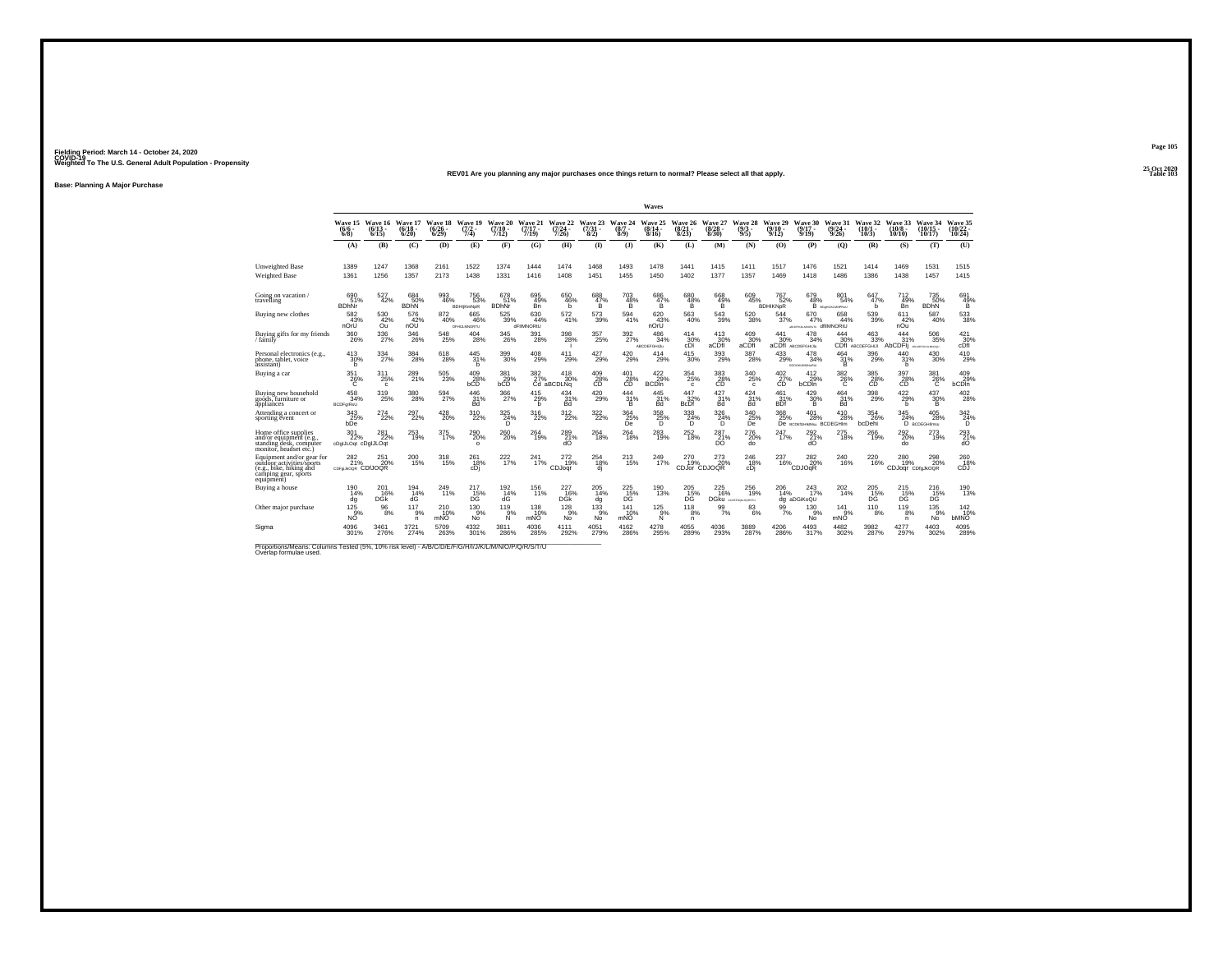**25 Oct 2020REV01 Are you planning any major purchases once things return to normal? Please select all that apply.Table 103**

**Base: Planning A Major Purchase**

|                                                                                                                              |                                          |                          |                           |                            |                                       |                               |                              |                                     |                                       |                             | Waves                                |                           |                            |                                    |                                  |                                              |                                    |                                     |                                  |                                      |                                  |
|------------------------------------------------------------------------------------------------------------------------------|------------------------------------------|--------------------------|---------------------------|----------------------------|---------------------------------------|-------------------------------|------------------------------|-------------------------------------|---------------------------------------|-----------------------------|--------------------------------------|---------------------------|----------------------------|------------------------------------|----------------------------------|----------------------------------------------|------------------------------------|-------------------------------------|----------------------------------|--------------------------------------|----------------------------------|
|                                                                                                                              | Wave 15<br>$(6/6 -$<br>$6/8$ )           | Wave 16<br>(6/1)<br>6/15 | Wave 17<br>(6/18)<br>6/20 | Wave 18<br>(6/26 -<br>6/29 | Wave 19<br>(7/2)<br>7/4)              | Wave 20<br>$(7/10 -$<br>7/12  | Wave 21<br>$(7/17 -$<br>7/19 | Wave 22<br>$\frac{(7/24)}{7/26}$    | Wave 23<br>$\binom{7/31}{8/2}$        | Wave 24<br>$(8/7 -$<br>8/9) | Wave 25<br>(8/14 -<br>8/16           | Wave 26<br>(8/2<br>8/23   | Wave 27<br>(8/28)<br>8/30  | Wave 28<br>(9/3)<br>9/5            | Wave 29<br>(9/10.<br>9/12        | Wave 30<br>$(9/17 -$<br>9/19                 | Wave 31<br>(9/24<br>9/26           | Wave 32<br>$(10/1 -$<br>10/3        | Wave 33<br>(10/8<br>10/10        | Wave 34<br>$(10/15 -$<br>10/17       | Wave 35<br>(10/22 -<br>10/24     |
|                                                                                                                              | (A)                                      | (B)                      | (C)                       | (D)                        | (E)                                   | (F)                           | (G)                          | (H)                                 | $($ I)                                | (3)                         | (K)                                  | (L)                       | (M)                        | (N)                                | (0)                              | (P)                                          | (0)                                | (R)                                 | (S)                              | (T)                                  | (U)                              |
| <b>Unweighted Base</b><br><b>Weighted Base</b>                                                                               | 1389<br>1361                             | 1247<br>1256             | 1368<br>1357              | 2161<br>2173               | 1522<br>1438                          | 1374<br>1331                  | 1444<br>1416                 | 1474<br>1408                        | 1468<br>1451                          | 1493<br>1455                | 1478<br>1450                         | 1441<br>1402              | 1415<br>1377               | 1411<br>1357                       | 1517<br>1469                     | 1476<br>1418                                 | 1521<br>1486                       | 1414<br>1386                        | 1469<br>1438                     | 1531<br>1457                         | 1515<br>1415                     |
| Going on vacation.<br>ravelling                                                                                              | 690<br>51%<br><b>BDhNr</b>               | 527<br>42%               | 684<br>50%<br><b>BDhN</b> | 993<br>46%                 | 756<br>53%<br><b>BDHijKmNpR</b>       | 678<br>51%<br><b>BDhNr</b>    | 695<br>49%<br>Bn             | 650<br>46%<br>b                     | 688<br>$\frac{47}{8}$                 | $\frac{703}{48\%}$          | 686<br>47%<br>Ŕ.                     | 680<br>$\frac{48}{8}$     | $^{668}_{49\%}$            | 609<br>45%                         | 767<br>52%<br><b>BDHIKNDR</b>    | 679<br>48%<br>в                              | 801<br>54%<br><b>BOSHUKLMNPRsU</b> | 647<br>47%<br>b                     | 712<br>49%<br>Bn                 | 735<br>50%<br><b>BDhN</b>            | 691<br>$^{49}_{-8}$              |
| Buying new clothes                                                                                                           | 582<br>43%<br>nOrU                       | 530<br>42%<br>Őũ         | 576<br>42%<br>nOU         | 872<br>40%                 | 665<br>46%<br><b>DFHULMNORTU</b>      | 525<br>39%                    | 630<br>44%<br>dFIIMNORtU     | 572<br>41%                          | 573<br>39%                            | 594<br>41%                  | 620<br>43%<br>nOrŪ                   | 563<br>40%                | 543<br>39%                 | 520<br>38%                         | 544<br>37%                       | 670<br>47%<br>ARCORAGEMENT MARCHERS          | 658<br>44%<br>dfilMNORtU           | 539<br>39%                          | 611<br>42%<br>nOu                | 587<br>40%                           | 533<br>38%                       |
| Buying gifts for my friends<br>family                                                                                        | $^{360}_{26\%}$                          | 336<br>27%               | 346<br>26%                | $\substack{548 \\ 25\%}$   | 404<br>28%                            | 345<br>26%                    | $^{391}_{28\%}$              | 398<br>28%                          | $^{357}_{25\%}$                       | 392<br>27%                  | $^{486}_{34\%}$<br><b>ABCDEFGHUM</b> | $^{414}_{30\%}$<br>cDI    | $^{413}_{30\%}$<br>aCDf    | 409<br>30%<br>aCDfI                | $\frac{441}{30\%}$<br>aCDfI      | 478<br>34%<br>ABCDEFGHIJIu                   | 444<br>30%                         | $^{463}_{33\%}$<br>CDfI ABCDEFGHIJI | 444<br>31%<br>AhC<br><b>DFII</b> | $^{506}_{35\%}$<br>ARCOGEDARD MACCO  | 421<br>30%<br>cDfl               |
| Personal electronics (e.g.,<br>phone, tablet, voice<br>àssistant)                                                            | $^{413}_{30\%}$<br>h.                    | $334 \over 27\%$         | 384<br>28%                | $^{618}_{28\%}$            | 445<br>31%<br>h                       | $^{399}_{\ 30\%}$             | 408<br>29%                   | $^{411}_{29\%}$                     | $^{427}_{29\%}$                       | $^{420}_{29\%}$             | 414<br>29%                           | $^{415}_{30\%}$           | $^{393}_{29\%}$            | 387<br>28%                         | $^{433}_{29\%}$                  | 478<br>34%<br>BCDGHJKWANSRU                  | 464<br>$\frac{31}{8}$              | $^{396}_{\ 29\%}$                   | 440<br>31%<br>b                  | $^{430}_{\ 30\%}$                    | 410<br>29%                       |
| Buying a car                                                                                                                 | 351<br>26%                               | 311<br>25%<br>c          | 289<br>21%                | 505<br>23%                 | 409<br>28%                            | 381<br>29%                    | 382                          | 418<br>27% 30%<br>Cd aBCDLNg<br>30% | 409<br>28%                            | 401<br>28%                  | 422<br>29%<br><b>BCDIn</b>           | 354<br>25%<br>c           | 383<br>$28\%$              | 340<br>25%<br>c                    | 402<br>27%                       | 412<br>29%<br><b>bCDIn</b>                   | 382<br>26%                         | 385<br>28%                          | 397<br>28%                       | 381<br><sup>26%</sup>                | 409<br>29%<br><b>bCDin</b>       |
| Buying new household<br>goóds, furniture or<br>appliances                                                                    | 458<br>34%<br>BCDFgIRsU                  | 319<br>25%               | 380<br>28%                | 594 27%                    | 446<br>31%<br><b>Bd</b>               | 366<br>27%                    | 415<br>29%<br>h              | $434 \over 31\%$<br>Bd              | $^{420}_{\phantom{1}\phantom{1}29\%}$ | 444<br>31%<br>в             | 445<br>31%<br>Bd                     | 447<br>32%<br><b>BcDf</b> | $\frac{427}{31\%}$<br>Bd   | 424<br>31%<br>Bd                   | $\frac{461}{31\%}$<br><b>BDf</b> | 429<br>30%<br>B.                             | $^{464}_{31\%}$<br>Bd              | 398<br>29%                          | $^{422}_{29\%}$<br>b             | 437<br>30%<br>B.                     | $^{402}_{28\%}$                  |
| Attending a concert or<br>sporting event                                                                                     | 343<br>25%                               | 274<br>22%               | 297<br>22%                | 428<br>20%                 | 310<br>22%                            | $^{325}_{\substack{24\%\\D}}$ | 316<br>22%                   | 312<br>22%                          | $\frac{322}{22\%}$                    | 364<br>25%<br>De            | 358<br>25%                           | 338<br>$^{24%}$           | 326<br>$^{24\%}_{D}$       | 340<br>25%                         | 368                              | 401<br>25% 28% 28<br>De BODEGHIMMAN BCDEGHIM | 410<br>28%                         | 354<br>26%<br>bcDehi                | 345<br>24%                       | 405<br>28%<br>D BCDEGHIImsu          | $\overset{342}{\substack{24\%}}$ |
| Home office supplies<br>and/or equipment (e.g.<br>standing desk, computer<br>monitor. headset etc.)                          | 301<br>22%<br>cDgIJLOqt cDgIJLOqt        | $^{281}_{22\%}$          | 253<br>19%                | 375<br>17%                 | $^{290}_{\color{red}20\%}$<br>$\circ$ | $^{260}_{\,20\%}$             | $^{264}_{19\%}$              | 289 21%<br>dO                       | 264<br>18%                            | $^{264}_{\ 18\%}$           | 283<br>19%                           | $^{252}_{18\%}$           | $^{287}_{21\%}$<br>DO      | $^{276}_{20\%}$<br>do              | 247<br>17%                       | 292 <sub>21%</sub><br>dO                     | $^{275}_{18\%}$                    | 266<br>19%                          | 292<br>20%<br>do                 | 273<br>19%                           | 293<br>21%<br>ďÖ                 |
| Equipment and/or gear for<br>outdôor activities/sports<br>e.g., bike, hiking and<br>camping gear, sports<br>equipment)       | 282 <sub>21%</sub><br>CDFgLikOQR CDIJOQR | 251<br>20%               | 200<br>15%                | 318<br>15%                 | 261<br>18%<br>cDi                     | $^{222}_{17\%}$               | 241<br>17%                   | 272<br>19%<br>CDJogr                | $^{254}_{18\%}$<br>dj                 | $^{213}_{15\%}$             | $^{249}_{17\%}$                      | 270<br>19%                | 273<br>20%<br>CDJor CDJOOR | 246<br>18%<br>cDi                  | 237<br>16%                       | 282%<br>CDJOGR                               | 240<br>16%                         | 220<br>16%                          | 280<br>19%<br>CDJoqr CDIgJkOQR   | $^{298}_{20\%}$                      | 260<br>18%<br>CDJ                |
| Buying a house                                                                                                               | 190<br>14%<br>dg                         | 201<br>16%<br><b>DGK</b> | 194<br>14%<br>ďĠ          | 249<br>11%                 | 217<br>$^{15\%}_{DG}$                 | 192<br>14%<br>dG              | 156<br>11%                   | 227<br>16%<br>DĠŘ                   | 205<br>14%<br>dg                      | 225<br>$\frac{15}{10}$      | 190<br>13%                           | 205<br>15%<br>DG.         | 225<br>16%                 | 256<br>19%<br>DGKU ACOGFGIALOGRSTV | 206<br>14%                       | 243<br>17%<br>dg aDGiKoQU                    | 202<br>14%                         | 205<br>15%<br>DĞ                    | 215<br>$^{15\%}_{DC}$            | 216<br>D <sub>G</sub> <sup>15%</sup> | 190<br>13%                       |
| Other major purchase                                                                                                         | $^{125}_{9%}$<br>NO.                     | $\substack{96 \\ 8\%}$   | 117<br>9%<br>n            | <sup>210</sup> %<br>mNO    | 130<br>9%<br>No                       | 119/9%<br>Ń                   | 138<br>10%<br>mNO            | $^{128}_{9%}$<br>No                 | $^{133}_{9\%}$<br>No                  | 141<br>10%<br>mNO           | $^{125}_{9\%}$<br>N                  | 118<br>8%<br>n.           | $\frac{99}{7\%}$           | $8^{3}_{6\%}$                      | $\frac{99}{7\%}$                 | 130<br>9%<br>No                              | $^{14}$ <sub>9%</sub><br>mNO       | $^{110}_{8\%}$                      | 119<br>8%<br>n.                  | $135\over 9%$<br>No                  | $^{142}_{10\%}$<br><b>bMNO</b>   |
| Sigma                                                                                                                        | 4096<br>301%                             | 3461<br>276%             | 3721<br>274%              | 5709<br>263%               | 4332<br>301%                          | 3811<br>286%                  | 4036<br>285%                 | 4111<br>292%                        | 4051<br>279%                          | 4162<br>286%                | 4278<br>295%                         | 4055<br>289%              | 4036<br>293%               | 3889<br>287%                       | 4206<br>286%                     | 4493<br>317%                                 | 4482<br>302%                       | 3982<br>287%                        | 4277<br>297%                     | 4403<br>302%                         | 4095<br>289%                     |
| Proportions/Means: Columns Tested (5%, 10% risk level) - A/B/C/D/E/F/G/H/I/J/K/L/M/N/O/P/Q/R/S/T/U<br>Overlap formulae used. |                                          |                          |                           |                            |                                       |                               |                              |                                     |                                       |                             |                                      |                           |                            |                                    |                                  |                                              |                                    |                                     |                                  |                                      |                                  |

**Page 105**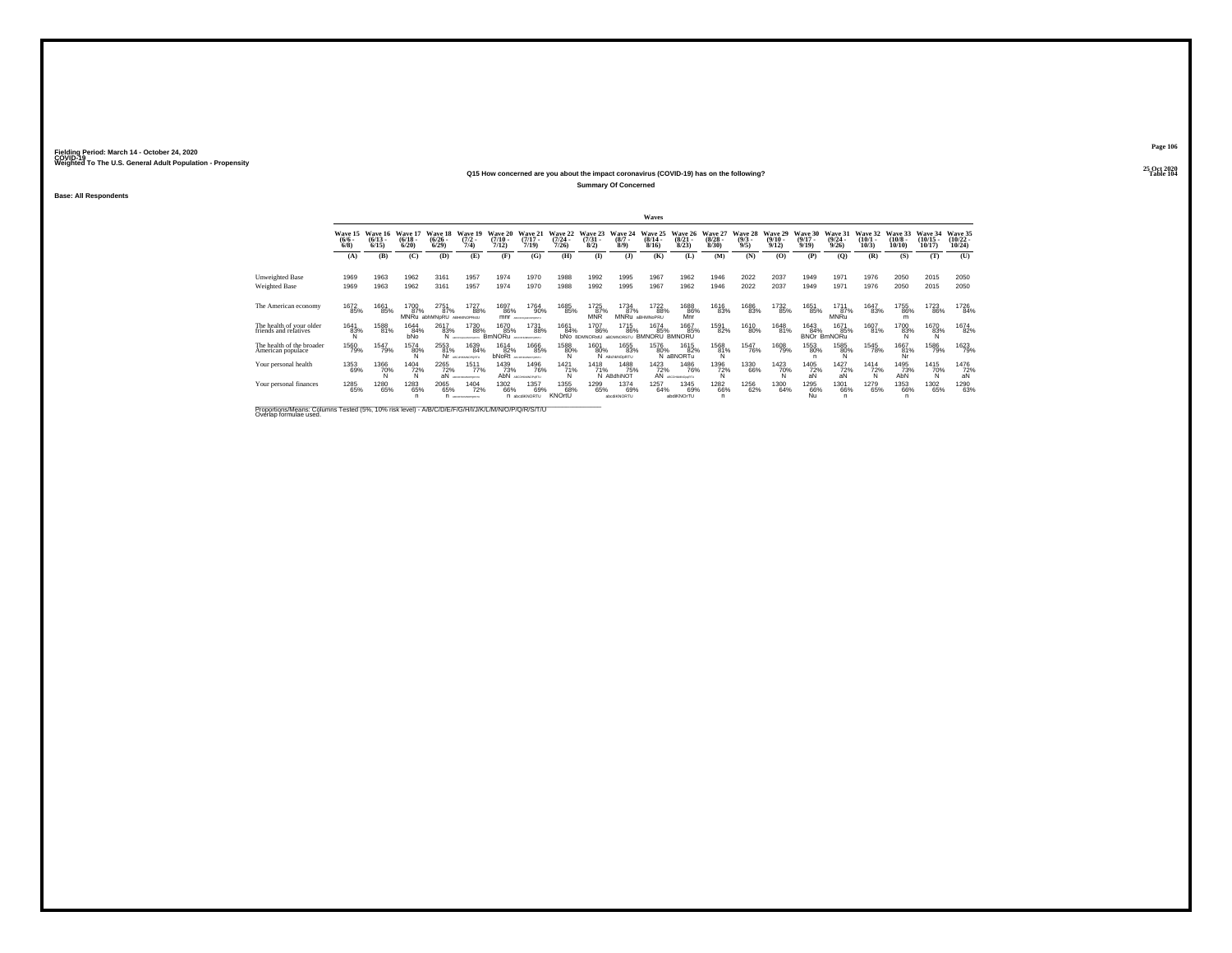#### **25 Oct 2020Q15 How concerned are you about the impact coronavirus (COVID-19) has on the following?Table 104 Table 104**

**Summary Of Concerned**

**Base: All Respondents**

|                                                   | Waves                                 |                   |                                 |                                     |                                           |                                      |                                     |                              |                                     |                                   |                                     |                                             |                                  |                                |                                  |                                  |                                  |                              |                               |                                |                                |
|---------------------------------------------------|---------------------------------------|-------------------|---------------------------------|-------------------------------------|-------------------------------------------|--------------------------------------|-------------------------------------|------------------------------|-------------------------------------|-----------------------------------|-------------------------------------|---------------------------------------------|----------------------------------|--------------------------------|----------------------------------|----------------------------------|----------------------------------|------------------------------|-------------------------------|--------------------------------|--------------------------------|
|                                                   | Wave 15 Wave 16<br>$\binom{6/6}{6/8}$ | $(6/13 -$<br>6/15 | Wave 17<br>$\binom{6/18}{6/20}$ | Wave 18<br>$\binom{6/26}{6/29}$     | Wave 19<br>$\frac{(7/2)}{7/4}$            | Wave 20<br>$\frac{(7/10)}{7/12}$     | Wave 21<br>$\frac{(7/17)}{7/19}$    | Wave 22<br>$(7/24 -$<br>7/26 | Wave 23<br>$\binom{7/31}{8/2}$      | Wave 24<br>$(8/7 -$<br>8/9        | Wave 25<br>$\frac{(8/14)}{8/16}$    | Wave 26<br>$\binom{8/21}{8/23}$             | Wave 27<br>$\frac{(8/28)}{8/30}$ | Wave 28<br>$\frac{(9/3)}{9/5}$ | Wave 29<br>$\frac{(9/10)}{9/12}$ | Wave 30<br>$\frac{(9/17)}{9/19}$ | Wave 31<br>$\frac{(9/24)}{9/26}$ | Wave 32<br>$(10/1 -$<br>10/3 | Wave 33<br>$(10/8 -$<br>10/10 | Wave 34<br>$(10/15 -$<br>10/17 | Wave 35<br>$(10/22 -$<br>10/24 |
|                                                   | (A)                                   | (B)               | (C)                             | (D)                                 | (E)                                       | (F)                                  | (G)                                 | (H)                          | $\mathbf{D}$                        | (J)                               | (K)                                 | (L)                                         | (M)                              | (N)                            | (0)                              | (P)                              | (0)                              | (R)                          | (S)                           | (T)                            | (U)                            |
| <b>Unweighted Base</b><br>Weighted Base           | 1969<br>1969                          | 1963<br>1963      | 1962<br>1962                    | 3161<br>3161                        | 1957<br>1957                              | 1974<br>1974                         | 1970<br>1970                        | 1988<br>1988                 | 1992<br>1992                        | 1995<br>1995                      | 1967<br>1967                        | 1962<br>1962                                | 1946<br>1946                     | 2022<br>2022                   | 2037<br>2037                     | 1949<br>1949                     | 1971<br>1971                     | 1976<br>1976                 | 2050<br>2050                  | 2015<br>2015                   | 2050<br>2050                   |
| The American economy                              | 1672<br>85%                           | 1661<br>85%       | 1700<br>87%<br><b>MNRu</b>      | 2751<br>87%<br>abhMNpRU ABHMNOPRstU | 1727<br>88%                               | 1697<br>86%<br>mnr                   | 1764<br>90%<br>ABCOMMANDPORTLY      | 1685<br>85%                  | 1725<br>87%<br>MNR                  | 1734<br>87%                       | 1722<br>88%<br>MNRu aBHMNoPRU       | 1688<br>86%<br>Mnr                          | 1616<br>83%                      | 1686<br>83%                    | 1732<br>85%                      | 1651<br>85%                      | 1711<br>87%<br>MNRu              | 1647<br>83%                  | 1755<br>86%<br>m              | 1723<br>86%                    | 1726<br>84%                    |
| The health of your older<br>friends and relatives | 1641<br>83%<br>N                      | 1588<br>81%       | 1644<br>84%<br>bNo              | 2617<br>83%                         | 1730<br>88%<br>N ACCOMMODATION            | 1670<br>85%<br>BMNORU ARCOVAMOVORETU | 1731<br>88%                         | 1661<br>84%                  | 1707<br>86%<br><b>bNO BDMNORstU</b> | <sup>1715</sup> 86%<br>ABDMNORSTU | 1674<br>85%<br><b>BMNORU BMNORU</b> | 1667<br>85%                                 | 1591<br>82%                      | 1610<br>80%                    | 1648<br>81%                      | 1643<br>84%<br><b>BNOr</b>       | 1671<br>85%<br><b>BmNORu</b>     | 1607<br>81%                  | 1700<br>83%                   | 1670<br>83%<br>N               | 1674<br>82%                    |
| The health of the broader<br>American populace    | 1560<br>79%                           | 1547<br>79%       | 1574<br>80%                     | 2553<br>81%                         | 1639<br>84%<br>Nr ARCHHAMOPORTL           | 1614<br>82%<br>bNoRt                 | 1666<br>85%<br>ABCONOGRAPHY CRISTIA | 1588<br>80%                  | 1601<br>80%                         | 1655<br>83%<br>N ABCNANOPRTU      | 1576<br>80%                         | 1615<br>82%<br>N aBNORTu                    | 1568<br>81%<br>N                 | <sup>1547</sup> 76%            | <sup>1608</sup> 79%              | 1553<br>80%                      | 1585<br>80%                      | <sup>1545</sup> 78%          | 1667<br>81%                   | 1586<br>79%                    | 1623<br>79%                    |
| Your personal health                              | 1353<br>69%                           | 1366<br>70%       | 1404<br>72%                     | 2265<br>72%<br>aN                   | 1511<br>77%<br><b>ARCTENTING CONTRACT</b> | 1439<br>73%<br>AhN                   | 1496<br>76%<br>ADONAHAOGGTU         | 1421<br>$^{71%}_{N}$         | 1418<br>71%                         | 1488<br>75%<br>N ABdhiNOT         | 1423                                | 1486<br>72% 76°<br>AN ARCOHAMNONGRIU<br>76% | 1396<br>72%                      | 1330<br>66%                    | 1423<br>70%                      | 1405<br>72%<br>aN                | 1427<br>72%<br>aN                | 1414<br>72%                  | 1495<br>73%<br>AhÑ            | 1415<br>70%                    | 1476<br>72%<br>aN              |
| Your personal finances                            | 1285<br>65%                           | 1280<br>65%       | 1283<br>65%                     | 2065<br>65%                         | 1404<br>72%<br>П исоменачають             | 1302<br>66%                          | 1357<br>69%<br>n abcdKNORTU         | 1355<br>68%<br>KNOrtU        | 1299<br>65%                         | 1374<br>69%<br>abodiKNORTU        | 1257<br>64%                         | 1345<br>69%<br>abdiKNOrTU                   | <sup>1282</sup> 66%<br>n         | 1256<br>62%                    | 1300<br>64%                      | <sup>1295</sup> 66%<br>Nu        | 1301<br>66%                      | 1279<br>65%                  | 1353<br>66%                   | 1302<br>65%                    | 1290<br>63%                    |

Proportions/Means: Columns Tested (5%, 10% risk level) - A/B/C/D/E/F/G/H/I/J/K/L/M/N/O/P/Q/R/S/T/U Overlap formulae used.<br>Overlap formulae used.

**Page 106**25 Oct 2020<br>Table 104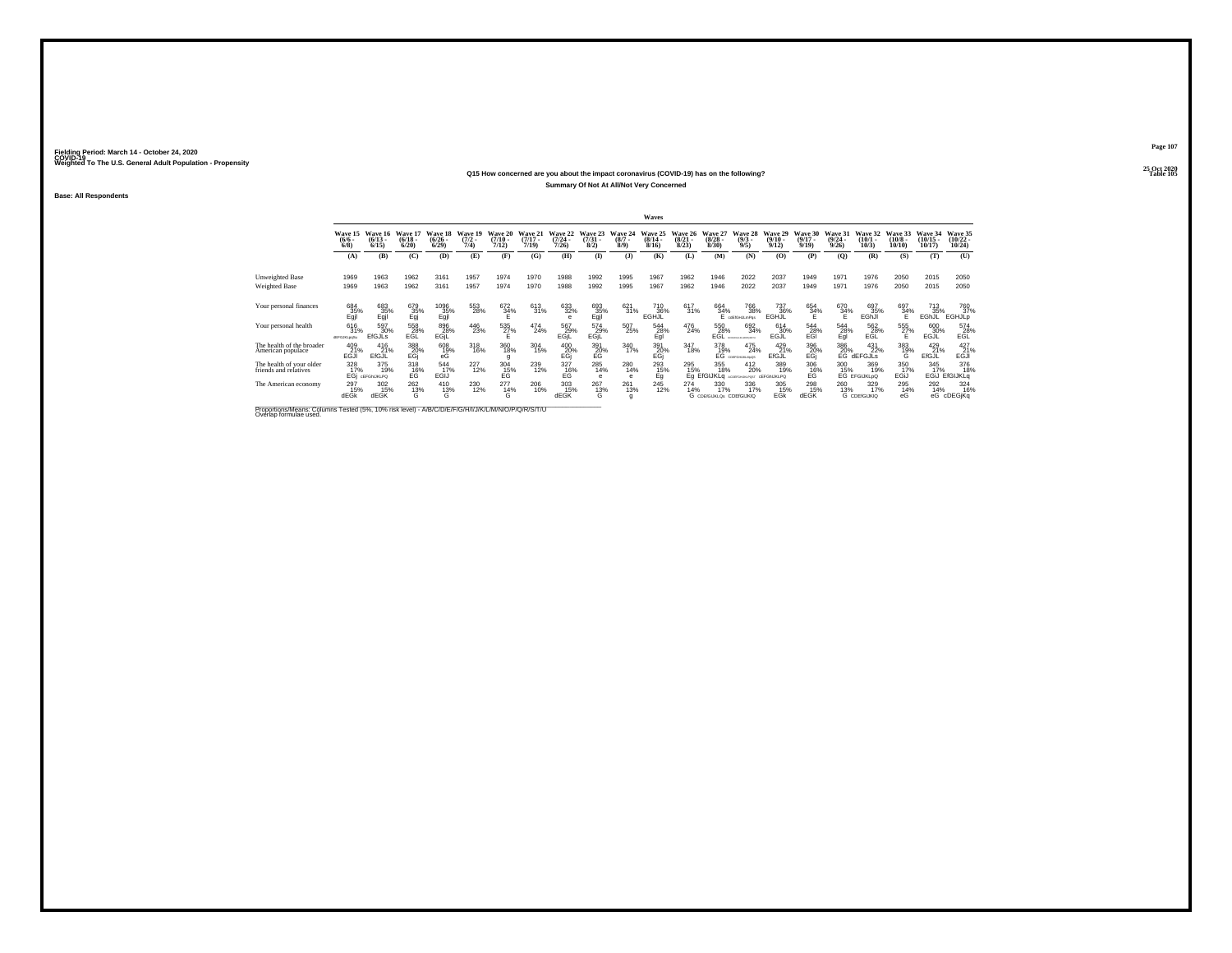### **25 Oct 2020Q15 How concerned are you about the impact coronavirus (COVID-19) has on the following?Table 105 Table 105 Summary Of Not At All/Not Very Concerned**

**Base: All Respondents**

|                                                   |                                |                                  |                                      |                              |                                |                                  |                                  |                                      |                                |                            | Waves                            |                                  |                                        |                                            |                                  |                                       |                                  |                                       |                               |                                   |                                    |
|---------------------------------------------------|--------------------------------|----------------------------------|--------------------------------------|------------------------------|--------------------------------|----------------------------------|----------------------------------|--------------------------------------|--------------------------------|----------------------------|----------------------------------|----------------------------------|----------------------------------------|--------------------------------------------|----------------------------------|---------------------------------------|----------------------------------|---------------------------------------|-------------------------------|-----------------------------------|------------------------------------|
|                                                   | Wave 15<br>$\frac{(6/6)}{6/8}$ | Wave 16<br>$\binom{6/13}{6/15}$  | Wave 17<br>$\binom{6/18}{6/20}$      | Wave 18<br>$(6/26 -$<br>6/29 | Wave 19<br>$\frac{(7/2)}{7/4}$ | Wave 20<br>$\frac{(7/10)}{7/12}$ | Wave 21<br>$\frac{(7/17)}{7/19}$ | Wave 22<br>$(7/24 -$<br>7/26         | Wave 23<br>$\binom{7/31}{8/2}$ | Wave 24<br>$(8/7 -$<br>8/9 | Wave 25<br>$\frac{(8/14)}{8/16}$ | Wave 26<br>$\frac{(8/21)}{8/23}$ | Wave 27<br>$\binom{8/28}{8/30}$        | Wave 28<br>$\binom{9/3}{9/5}$              | Wave 29<br>$\binom{9/10}{9/12}$  | Wave 30<br>$\frac{(9/17)}{9/19}$      | Wave 31<br>$\frac{(9/24)}{9/26}$ | Wave 32<br>$\binom{10/1}{10/3}$       | Wave 33<br>$(10/8 -$<br>10/10 | Wave 34<br>$\binom{10/15}{10/17}$ | Wave 35<br>$\frac{(10/22)}{10/24}$ |
|                                                   | (A)                            | (B)                              | (C)                                  | (D)                          | (E)                            | (F)                              | (G)                              | (H)                                  | $\bf{I}$                       | (3)                        | (K)                              | (L)                              | (M)                                    | (N)                                        | (0)                              | (P)                                   | (O)                              | (R)                                   | (S)                           | (T)                               | (U)                                |
| Unweighted Base                                   | 1969                           | 1963                             | 1962                                 | 3161                         | 1957                           | 1974                             | 1970                             | 1988                                 | 1992                           | 1995                       | 1967                             | 1962                             | 1946                                   | 2022                                       | 2037                             | 1949                                  | 1971                             | 1976                                  | 2050                          | 2015                              | 2050                               |
| Weighted Base                                     | 1969                           | 1963                             | 1962                                 | 3161                         | 1957                           | 1974                             | 1970                             | 1988                                 | 1992                           | 1995                       | 1967                             | 1962                             | 1946                                   | 2022                                       | 2037                             | 1949                                  | 1971                             | 1976                                  | 2050                          | 2015                              | 2050                               |
| Your personal finances                            | 684<br>$\frac{35}{2}$          | 683<br>$E_{gjl}^{35%}$           | 679<br>$\frac{35}{9}$                | 1096<br>$E_{gjl}^{35%}$      | 553<br>28%                     | 672<br>$\frac{34}{5}$ %          | 613<br>31%                       | 633<br>32%                           | 693<br>$E_{gjl}^{35}$          | $\frac{621}{31\%}$         | 710<br>36%<br>EGHJL              | 617<br>31%                       | 664<br>34%                             | 766<br>38%<br>cdEfGHJLmPos                 | 737<br>36%<br>EGHJL              | 654<br>34%                            | 670<br>34%                       | 697<br>35%<br>EGhJI                   | 697<br>34%                    | 713<br>35%<br>EGhJL               | 760<br>37%<br>EGHJLp               |
| Your personal health                              | 616<br>31%<br>dEFGJKLooSu      | 597<br>30%<br><b>EfGJLs</b>      | 558<br>28%<br>EGL                    | 896<br>28%<br>EGIL           | 446<br>23%                     | 535<br>27%<br>Ë.                 | 474<br>24%                       | 567<br>29%<br>EGjL                   | 574<br>29%<br>EGjL             | 507<br>25%                 | 544<br>28%<br>Egl                | 476<br>24%                       | 550<br>28%<br>EGL                      | 692<br>34%<br><b>ACCEPTABLE DE BEREGEN</b> | 614<br>30%<br>EGJL               | 544<br>28%<br>EGI                     | $^{544}_{28\%}$ Egl              | 562<br>28%<br>EGL                     | 555<br>27%                    | 600<br>30%<br><b>EGJL</b>         | 574<br>28%<br>EGL                  |
| The health of the broader<br>American populace    | 409<br>EGJI<br>EGJI            | 416<br>21%<br>EfGJL              | 388<br>20%<br>EGj                    | $^{608}_{~19\%}$ eG          | $^{318}_{16\%}$                | 360<br>18%<br>a                  | 304<br>15%                       | 400<br>20%<br>EGj                    | $^{391}_{20\%}$                | 340<br>17%                 | 391<br>20%<br>EGj                | 347<br>18%                       | 378<br>19%                             | 475<br>24%<br>EG COEFGHLIKLMpGS            | 429<br>21%<br>EfGJL              | 396<br>-20%<br>EGj                    | 386<br>20%                       | $^{431}_{22\%}$<br>EG dEFGJLS         | 383<br>19%<br>G               | $^{429}_{21\%}$<br>EfGJL          | $^{427}_{\rm EGM}$                 |
| The health of your older<br>friends and relatives | 328<br>17%<br>EĜi              | 375<br>19%<br><b>CEFGINIKLPO</b> | 318<br>E <sub>G</sub> <sup>16%</sup> | 544<br>17%<br>EGIJ           | 227<br>12%                     | $^{304}_{\rm -15\%}$             | 239<br>12%                       | 327<br>E <sub>G</sub> <sup>16%</sup> | 285<br>14%                     | 280<br>14%                 | 293<br>15%<br>Éğ                 | 295<br>15%                       | 355<br>18%<br>Eq EfGIJKLa              | 412<br>20%<br>ACOEFGHLINLPOST              | 389<br>19%<br><b>CEFGINJKLPQ</b> | 306<br>E <sub>G</sub> <sup>16%</sup>  | 300                              | 369<br>15% 19%<br>EG EFGIJKLpQ<br>19% | 350<br>17%<br>EGIJ            | 345<br>17%<br>EGIJ                | 376<br>18%<br>EfGIJKLq             |
| The American economy                              | 297<br>15%<br>dEGk             | 302<br>15%<br>dEGK               | $^{262}_{13\%}$                      | $^{410}_{13\%}$<br>Ġ         | <sup>230</sup> <sub>12%</sub>  | $^{277}_{14\%}$<br>G             | 206<br>10%                       | 303<br>15%<br>dEGK                   | 267<br>13%<br>Ġ                | 261<br>13%                 | 245<br>12%                       | $^{274}_{14\%}$                  | 330<br>17%<br>G CDEIGIJKLOS CDEIGIJKIO | 336<br>17%                                 | 305<br>15%<br>EGK                | <sup>298</sup> <sub>15%</sub><br>dEGK | 260<br>13%                       | 329<br>17%<br><b>G</b> CDEIGIJKIQ     | 295<br>14%<br>eG              | 292<br>14%                        | 324<br>16%<br>eG cDEGiKg           |

Proportions/Means: Columns Tested (5%, 10% risk level) - A/B/C/D/E/F/G/H/I/J/K/L/M/N/O/P/Q/R/S/T/U Overlap formulae used.<br>Overlap formulae used.

**Page 107**25 Oct 2020<br>Table 105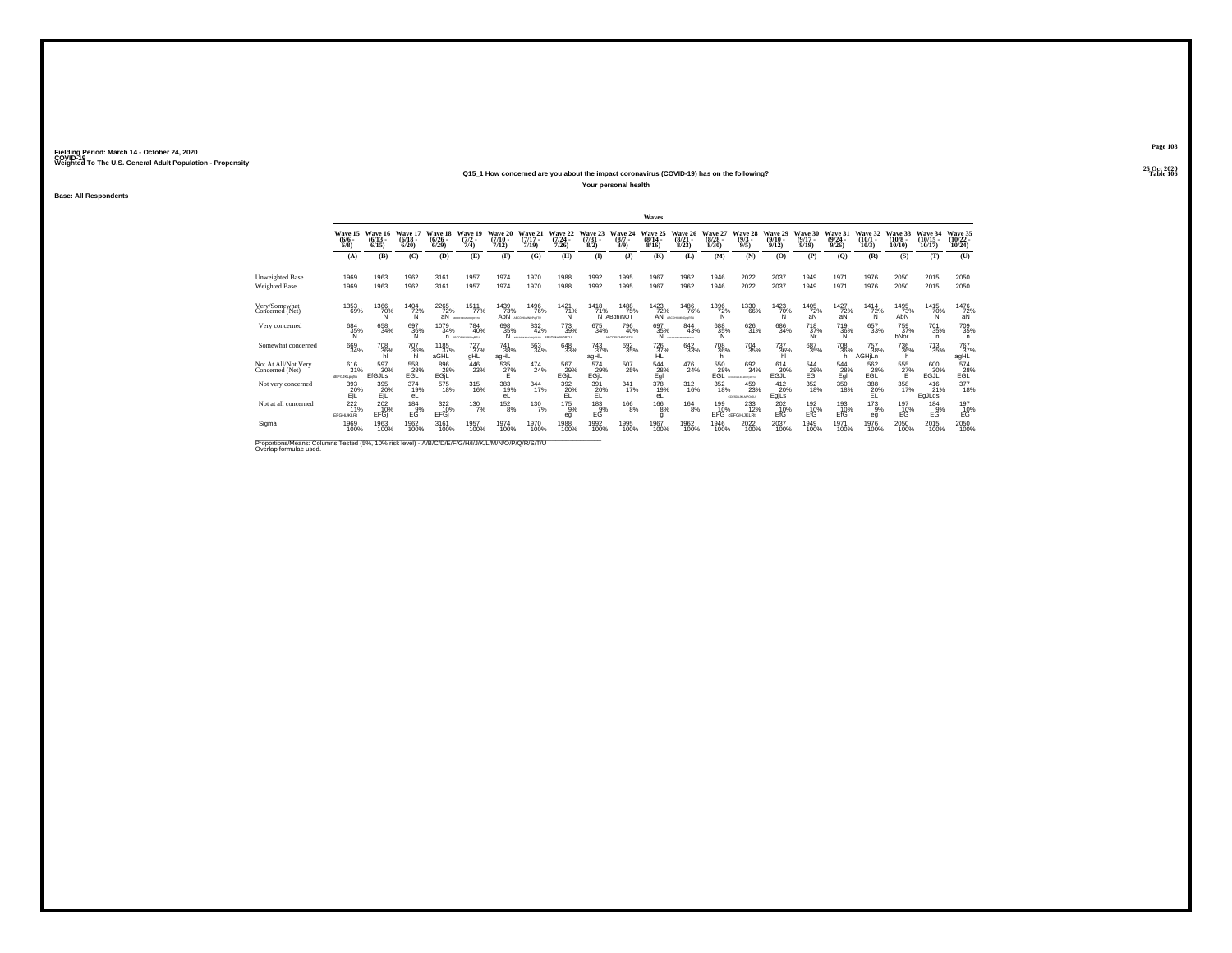### **25 Oct 2020Q15\_1 How concerned are you about the impact coronavirus (COVID-19) has on the following?Table 106 Table 106 Your personal health**

**Base: All Respondents**

|                                                                                                                              |                                     |                                 |                            |                                 |                                       |                                  |                                               |                                  |                                |                                     | Waves                            |                                 |                                 |                                      |                           |                                     |                                  |                                         |                                    |                                |                                   |
|------------------------------------------------------------------------------------------------------------------------------|-------------------------------------|---------------------------------|----------------------------|---------------------------------|---------------------------------------|----------------------------------|-----------------------------------------------|----------------------------------|--------------------------------|-------------------------------------|----------------------------------|---------------------------------|---------------------------------|--------------------------------------|---------------------------|-------------------------------------|----------------------------------|-----------------------------------------|------------------------------------|--------------------------------|-----------------------------------|
|                                                                                                                              | Wave 15<br>$\frac{(6/6)}{6/8}$      | Wave 16<br>$\binom{6/13}{6/15}$ | Wave 17<br>(6/18.<br>6/20  | Wave 18<br>$\binom{6/26}{6/29}$ | Wave 19<br>(7/2)<br>7/4               | Wave 20<br>$\frac{(7/10)}{7/12}$ | Wave 21<br>(7/17)<br>7/19                     | Wave 22<br>$\frac{(7/24)}{7/26}$ | Wave 23<br>$\binom{7/31}{8/2}$ | Wave 24<br>$(8/7 -$<br>8/9          | Wave 25<br>$\frac{(8/14)}{8/16}$ | Wave 26<br>$\binom{8/21}{8/23}$ | Wave 27<br>$\binom{8/28}{8/30}$ | Wave 28<br>$\binom{9/3}{9/5}$        | Wave 29<br>(9/10)<br>9/12 | Wave 30<br>$\binom{9/17}{9/19}$     | Wave 31<br>$\frac{(9/24)}{9/26}$ | Wave 32<br>$\binom{10/1}{10/3}$         | Wave 33<br>$\frac{(10/8)}{10/10}$  | Wave 34<br>$(10/15 -$<br>10/17 | Wave 35<br>$\binom{10/22}{10/24}$ |
|                                                                                                                              | (A)                                 | (B)                             | (C)                        | (D)                             | (E)                                   | (F)                              | (G)                                           | (H)                              | $($ $\Gamma$                   | $($ J $)$                           | (K)                              | (L)                             | (M)                             | (N)                                  | (0)                       | (P)                                 | (O)                              | (R)                                     | (S)                                | (T)                            | (U)                               |
| <b>Unweighted Base</b><br>Weighted Base                                                                                      | 1969<br>1969                        | 1963<br>1963                    | 1962<br>1962               | 3161<br>3161                    | 1957<br>1957                          | 1974<br>1974                     | 1970<br>1970                                  | 1988<br>1988                     | 1992<br>1992                   | 1995<br>1995                        | 1967<br>1967                     | 1962<br>1962                    | 1946<br>1946                    | 2022<br>2022                         | 2037<br>2037              | 1949<br>1949                        | 1971<br>1971                     | 1976<br>1976                            | 2050<br>2050                       | 2015<br>2015                   | 2050<br>2050                      |
| Very/Somewhat<br>Concerned (Net)                                                                                             | 1353<br>69%                         | 1366<br>70%<br>Ń                | 1404<br>72%<br>'N          | 2265<br>72%<br>áÑ               | 1511<br>77%<br>ABCDY-ROBOTORITY       | 1439<br>73%<br>AbN               | 1496<br>76%<br>ARCOHNMOPARTU                  | 1421<br>71%<br>N                 | 1418<br>71%                    | 1488<br>75%<br>N ABdhiNOT           | 1423                             | 1486<br>72% 76%<br>76%          | 1396<br>72%<br>Ñ                | 1330<br>66%                          | 1423<br>70%<br>N          | 1405<br>72%<br>äÑ                   | 1427<br>72%<br>aN                | 1414<br>$\frac{72}{N}$                  | 1495<br>73%<br>AbN                 | 1415<br>70%<br>Ñ               | 1476<br>$72%$<br>aN               |
| Very concerned                                                                                                               | 684<br>35%<br>N                     | 658<br>34%                      | 697<br>36%<br>N            | 1079<br>34%                     | 784<br>40%<br><b>N</b> ARCOFINANCIATU | 698<br>35%<br>N.                 | 832<br>42%<br>ARCEFHRAUPOKSITU ABcDIllemNORTU | $^{773}_{39\%}$                  | 675<br>34%                     | 796<br>40%<br><b>ABCOFIKMINORTU</b> | 697<br>35%<br>N                  | 844<br>43%<br>ABCDTHRANDPORTER  | 688<br>35%<br>N                 | 626<br>31%                           | 686<br>34%                | <sup>718</sup> <sub>37%</sub><br>Nr | 719<br>36%<br>N                  | 657<br>33%                              | 759<br>37%<br>bNor                 | <sup>701</sup> 35%<br>n        | 709<br>35%<br>n.                  |
| Somewhat concerned                                                                                                           | 669<br>34%                          | 708<br>36%                      | $\frac{707}{36\%}$ hl      | 1185<br>37%<br>aGHL             | 727%<br>gHL                           | 741<br>38%<br>agHL               | 663<br>34%                                    | $^{648}_{33\%}$                  | 743<br>37%<br>agHL             | 692<br>35%                          | $^{726}_{37\%}$                  | 642<br>33%                      | 708<br>36%<br>hl                | <sup>704</sup> 35%                   | 737<br>36%                | 687<br>35%                          | 708<br>36%<br>h                  | <sup>757</sup> <sub>38%</sub><br>AGHjLn | <sup>736</sup> <sub>36%</sub><br>h | $^{713}_{35\%}$                | 767%<br>agHL                      |
| Not At All/Not Verv<br>Concerned (Net)                                                                                       | 616<br>31%<br>dEFGJKLpqSu           | 597<br>30%<br>EfGJLs            | 558<br>$E_{\rm GL}^{28\%}$ | 896<br>28%<br>EGIL              | 446<br>23%                            | $^{535}_{27\%}$                  | 474<br>24%                                    | 567<br>29%<br>EGIL               | 574<br>29%<br>EGIL             | $\frac{507}{25\%}$                  | 544<br>28%<br>Egl                | 476<br>24%                      | $^{550}_{28\%}$ EGL             | 692<br>34%<br><b>KOEFDIAAKOFORES</b> | 614<br>30%<br>EGJĽ        | 544<br>$^{28}_{EGI}$                | 544<br>$E_{gl}^{28\%}$           | 562<br>28%<br>EĞĽ                       | 555<br>27%                         | 600<br>30%<br>EGJL             | $^{574}_{-28\%}$                  |
| Not very concerned                                                                                                           | 393<br>20%<br>EiL                   | 395<br>20%<br>EiL               | 374<br>19%<br>eL           | 575<br>18%                      | 315<br>16%                            | 383<br>19%<br>eL                 | $\frac{344}{17\%}$                            | $\frac{392}{20\%}$<br>EL         | 391<br>20%<br>EL               | $341$ <sub>17%</sub>                | 378<br>19%<br>eL                 | $^{312}_{16\%}$                 | 352<br>18%                      | 459<br>23%<br>COENSIGN APOSS         | $^{412}_{20\%}$<br>EgjLs  | $^{352}_{18\%}$                     | 350<br>18%                       | $\frac{388}{20\%}$<br>EL                | 358<br>17%                         | $^{416}_{21\%}$<br>EgJLqs      | 377<br>18%                        |
| Not at all concerned                                                                                                         | $^{222}_{11\%}$<br><b>EFGHUKLRt</b> | 2020%<br>EFGi                   | $^{184}_{9%}$<br>EĞ        | 322<br>10%<br>EFGI              | 1307%                                 | $^{152}_{8\%}$                   | 130 7%                                        | $^{175}_{9\%}$<br>eg             | $^{183}_{9%}$<br>EĞ            | $^{166}_{8\%}$                      | $^{166}_{8\%}$<br>g              | $^{164}_{8\%}$                  | 199<br>10%                      | $^{233}_{12\%}$<br>EFG GEFGHUKLRt    | 202 10%<br>EfG            | 1926<br>EfG                         | 193<br>10%<br>EfG                | $^{173}_{9\%}$<br>eg                    | 197<br>10%<br>ЕĞ                   | 184<br>9%<br>EĞ                | $^{197}_{10\%}$                   |
| Sigma                                                                                                                        | 1969<br>100%                        | 1963<br>100%                    | 1962<br>100%               | 3161<br>100%                    | 1957<br>100%                          | 1974<br>100%                     | 1970<br>100%                                  | 1988<br>100%                     | 1992<br>100%                   | 1995<br>100%                        | 1967<br>100%                     | 1962<br>100%                    | 1946<br>100%                    | 2022<br>100%                         | 2037<br>100%              | 1949<br>100%                        | 1971<br>100%                     | 1976<br>100%                            | 2050<br>100%                       | 2015<br>100%                   | 2050<br>100%                      |
| Proportions/Means: Columns Tested (5%, 10% risk level) - A/B/C/D/E/F/G/H/I/J/K/L/M/N/O/P/Q/R/S/T/U<br>Overlap formulae used. |                                     |                                 |                            |                                 |                                       |                                  |                                               |                                  |                                |                                     |                                  |                                 |                                 |                                      |                           |                                     |                                  |                                         |                                    |                                |                                   |

**Page 108**25 Oct 2020<br>Table 106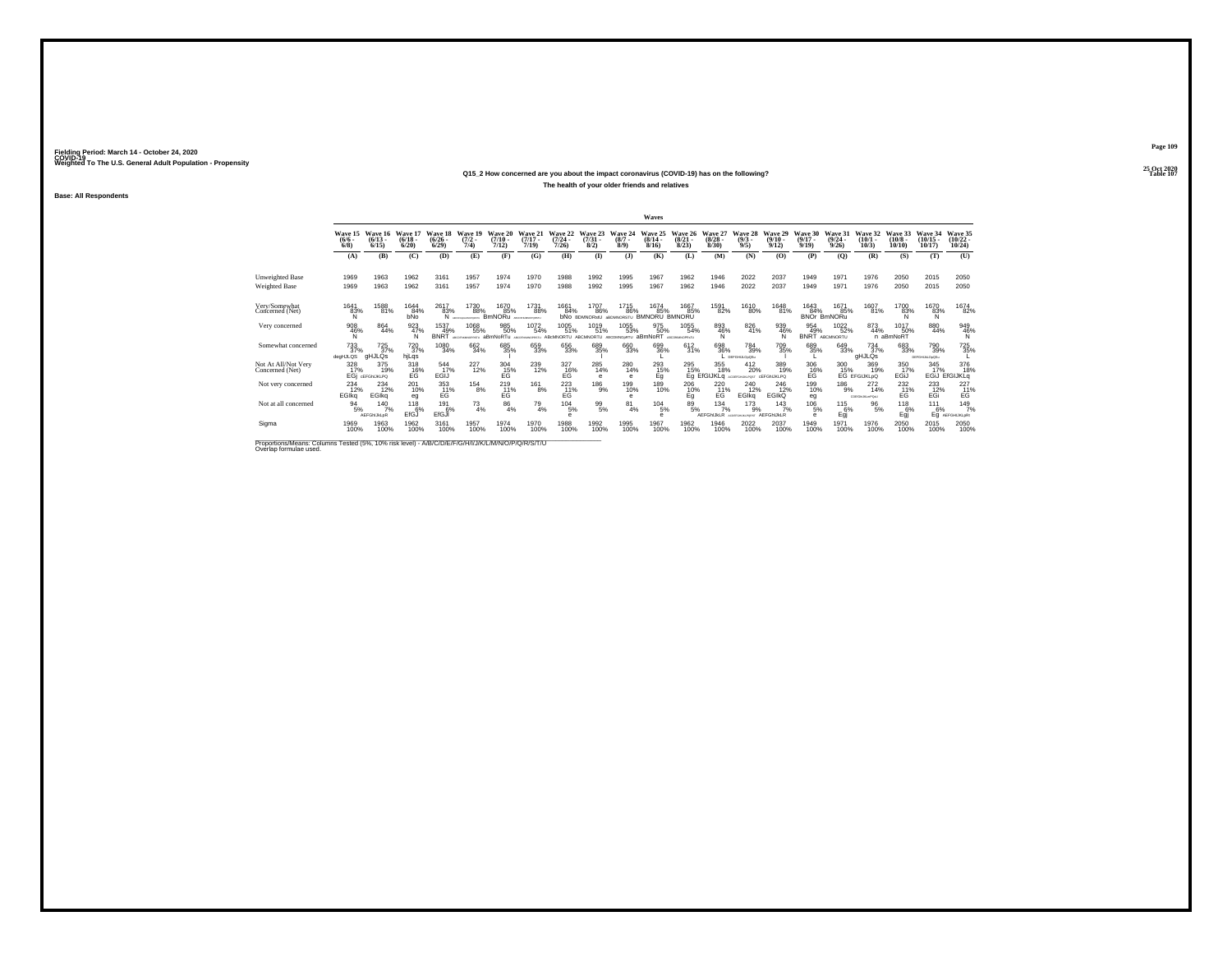### **25 Oct 2020Q15\_2 How concerned are you about the impact coronavirus (COVID-19) has on the following?Particular Table 107 Table 107 Table 107 The health of your older friends and relatives**

**Base: All Respondents**

|                                                                                                                              |                         |                                        |                                        |                            |                                 |                                      |                                  |                                      |                                     |                             | Waves                                          |                                  |                                  |                                                   |                                               |                                      |                                         |                                       |                               |                                                |                                |
|------------------------------------------------------------------------------------------------------------------------------|-------------------------|----------------------------------------|----------------------------------------|----------------------------|---------------------------------|--------------------------------------|----------------------------------|--------------------------------------|-------------------------------------|-----------------------------|------------------------------------------------|----------------------------------|----------------------------------|---------------------------------------------------|-----------------------------------------------|--------------------------------------|-----------------------------------------|---------------------------------------|-------------------------------|------------------------------------------------|--------------------------------|
|                                                                                                                              | $\frac{(6/6 - 6)}{6/8}$ | Wave 15 Wave 16<br>$(6/13 -$<br>6/15   | Wave 17<br>$(6/18 -$<br>6/20           | Wave 18<br>(6/26)<br>6/29  | Wave 19<br>$(7/2 -$<br>7/4)     | Wave 20<br>(7/10)<br>7/12            | Wave 21<br>$(7/17 -$<br>7/19     | Wave 22<br>(7/24 -<br>7/26           | Wave 23<br>$\binom{7/31}{8/2}$      | Wave 24<br>$(8/7 -$<br>8/9  | Wave 25<br>$(8/14 -$<br>8/16                   | Wave 26<br>$\frac{(8/21)}{8/23}$ | Wave 27<br>$\frac{(8/28)}{8/30}$ | Wave 28<br>$\frac{(9/3)}{9/5}$                    | Wave 29<br>$\frac{(9/10)}{9/12}$              | Wave 30<br>$\frac{(9/17)}{9/19}$     | Wave 31<br>$\frac{(9/24 - 9/26)}{9/26}$ | Wave 32<br>$(10/1 -$<br>10/3          | Wave 33<br>$(10/8 -$<br>10/10 | Wave 34<br>$(10/15 -$<br>10/17                 | Wave 35<br>$(10/22 -$<br>10/24 |
|                                                                                                                              | (A)                     | (B)                                    | (C)                                    | (D)                        | (E)                             | (F)                                  | (G)                              | (H)                                  | $\bf{I}$                            | (3)                         | (K)                                            | (L)                              | (M)                              | (N)                                               | (0)                                           | (P)                                  | (O)                                     | (R)                                   | (S)                           | (T)                                            | (U)                            |
| <b>Unweighted Base</b><br><b>Weighted Base</b>                                                                               | 1969<br>1969            | 1963<br>1963                           | 1962<br>1962                           | 3161<br>3161               | 1957<br>1957                    | 1974<br>1974                         | 1970<br>1970                     | 1988<br>1988                         | 1992<br>1992                        | 1995<br>1995                | 1967<br>1967                                   | 1962<br>1962                     | 1946<br>1946                     | 2022<br>2022                                      | 2037<br>2037                                  | 1949<br>1949                         | 1971<br>1971                            | 1976<br>1976                          | 2050<br>2050                  | 2015<br>2015                                   | 2050<br>2050                   |
| Very/Somewhat<br>Concerned (Net)                                                                                             | 1641<br>83%<br>N        | 1588<br>81%                            | 1644<br>84%<br>bNo                     | 2617<br>83%<br>N           | 1730<br>88%<br>ARCOFHICAMOPORTE | 1670<br>85%<br><b>BmNORu</b>         | 1731<br>88%<br><b>HAMIDPORTE</b> | 1661<br>84%                          | 1707<br>86%<br><b>bNO BDMNORstU</b> | 1715<br>86%                 | 1674<br>85%<br><b>ABDMNORSTU BMNORU BMNORU</b> | 1667<br>85%                      | 1591<br>82%                      | 1610<br>80%                                       | 1648<br>81%                                   | 1643<br>84%                          | 1671<br>85%<br>BNOr BmNORu              | 1607<br>81%                           | 1700<br>83%                   | 1670<br>83%<br>N                               | 1674<br>82%                    |
| Very concerned                                                                                                               | 908<br>46%<br>N         | 864<br>44%                             | 923<br>47%<br>N                        | 1537<br>49%<br><b>BNRT</b> | 1068<br>55%<br>ARCOGANIZACIONES | 985<br>50%<br>aBmNoRTu               | 1072<br>54%<br>ARCOGANISTORY III | 1005<br>51%<br>ABcMNORTU ABCMNORTU   | 1019<br>51%                         | 1055<br>53%<br>ARCOMNO-RTLL | 975<br>50%<br>aBmNoRT                          | 1055<br>54%<br>ADCOMMANDOVER     | 893<br>46%<br>N                  | 826<br>41%                                        | 939<br>46%<br>N                               | 954<br>49%<br><b>BNRT</b>            | 1022%<br>ABCMNORTU                      | 873<br>44%                            | 1017<br>50%<br>n aBmNoRT      | 880<br>44%                                     | 949<br>46%<br>N                |
| Somewhat concerned                                                                                                           | 733<br>37%<br>degHJLQS  | $^{725}_{37\%}$<br>gHJLQs              | <sup>720</sup> <sub>37%</sub><br>hjLqs | 1080<br>34%                | 662<br>34%                      | 685<br>35%                           | 659<br>33%                       | 656<br>33%                           | 689<br>35%                          | 660<br>33%                  | 699<br>36%                                     | 612/31%                          | 698<br>36%                       | 784<br>39%<br>DEFGHLLOxOSu                        | 709<br>35%                                    | 689<br>35%                           | 649<br>33%                              | $\frac{734}{37\%}$<br>gHJLQs          | 683<br>33%                    | <sup>790</sup> <sub>39%</sub><br>DEFOHUM OxOSu | 725%                           |
| Not At All/Not Very<br>Concerned (Net)                                                                                       | 328<br>17%              | 375<br>19%<br>EGI GEFGNUKLPO           | 318<br>E <sub>G</sub> <sup>16%</sup>   | 544<br>17%<br>EGIJ         | 227<br>12%                      | 304<br>E <sub>G</sub> <sup>15%</sup> | 239<br>12%                       | 327<br>E <sub>G</sub> <sup>16%</sup> | 285<br>14%<br>$\theta$              | 280<br>14%<br>$\theta$      | 293<br>$^{15\%}_{Eq}$                          | 295<br>15%<br>Εã΄                | 355<br>18%                       | 412<br>20%<br>EfGIJKLO ADDERGHUNLPOST CEFGINJKLPO | 389<br>19%                                    | 306<br>E <sub>G</sub> <sup>16%</sup> | 300                                     | 369<br>15% 19%<br>EG EFGIJKLpQ<br>19% | 350<br>17%<br>EGIJ            | 345<br>17%<br>EGIJ                             | 376<br>18%<br><b>EfGIJKLQ</b>  |
| Not very concerned                                                                                                           | 234<br>12%<br>EGIka     | <sup>234</sup> <sub>12%</sub><br>EGIka | 201<br>10%<br>eg                       | 353<br>11%<br>EG           | $^{154}_{8\%}$                  | $^{219}_{11\%}$<br>EG                | $^{161}_{8\%}$                   | $^{223}_{11\%}$<br>EG                | $^{186}_{9%}$                       | 199<br>10%<br>$\theta$      | 189<br>10%                                     | $^{206}_{10\%}$<br>Eq            | 220<br>71%<br>EG                 | <sup>240</sup> <sub>12%</sub><br><b>EGIka</b>     | <sup>246</sup> <sub>12%</sub><br><b>EGIKQ</b> | 199<br>10%<br>eg                     | 186<br>9%                               | $^{272}_{14\%}$<br>COEXIMUM HPOAU     | $^{232}_{11\%}$<br>EG         | $^{233}_{12\%}$<br>EGi                         | 227<br>11%<br>EG               |
| Not at all concerned                                                                                                         | $\frac{94}{5\%}$        | $^{140}_{7\%}$<br>AEFGhIJkLpR          | $^{118}_{6\%}$<br>EfGJ                 | 191<br>6%<br>EfGJI         | $^{73}_{4\%}$                   | $\frac{86}{4\%}$                     | $^{79}_{4\%}$                    | 104/5%<br>е                          | $^{99}_{5\%}$                       | $^{81}_{4\%}$               | $^{104}_{-5\%}$<br>е                           | 89/5%                            | $134 \atop 7\%$<br>AEFGhIJkLR    | $^{173}_{9\%}$<br>To Great out and                | 143/7%<br>AEFGhIJkLR                          | $^{106}_{-5\%}$<br>$\theta$          | $^{115}_{6\%}$<br>Egj                   | $\frac{96}{5\%}$                      | $^{118}_{6\%}$<br>Eqi         | 111<br>6%<br>Eq                                | 149/7%<br><b>AEFGHIJKLoRt</b>  |
| Sigma                                                                                                                        | 1969<br>100%            | 1963<br>100%                           | 1962<br>100%                           | 3161<br>100%               | 1957<br>100%                    | 1974<br>100%                         | 1970<br>100%                     | 1988<br>100%                         | 1992<br>100%                        | 1995<br>100%                | 1967<br>100%                                   | 1962<br>100%                     | 1946<br>100%                     | 2022<br>100%                                      | 2037<br>100%                                  | 1949<br>100%                         | 1971<br>100%                            | 1976<br>100%                          | 2050                          | 2015<br>100%                                   | 2050<br>100%                   |
| Proportions/Means: Columns Tested (5%, 10% risk level) - A/B/C/D/E/F/G/H/I/J/K/L/M/N/O/P/Q/R/S/T/U<br>Overlap formulae used. |                         |                                        |                                        |                            |                                 |                                      |                                  |                                      |                                     |                             |                                                |                                  |                                  |                                                   |                                               |                                      |                                         |                                       |                               |                                                |                                |

**Page 109**25 Oct 2020<br>Table 107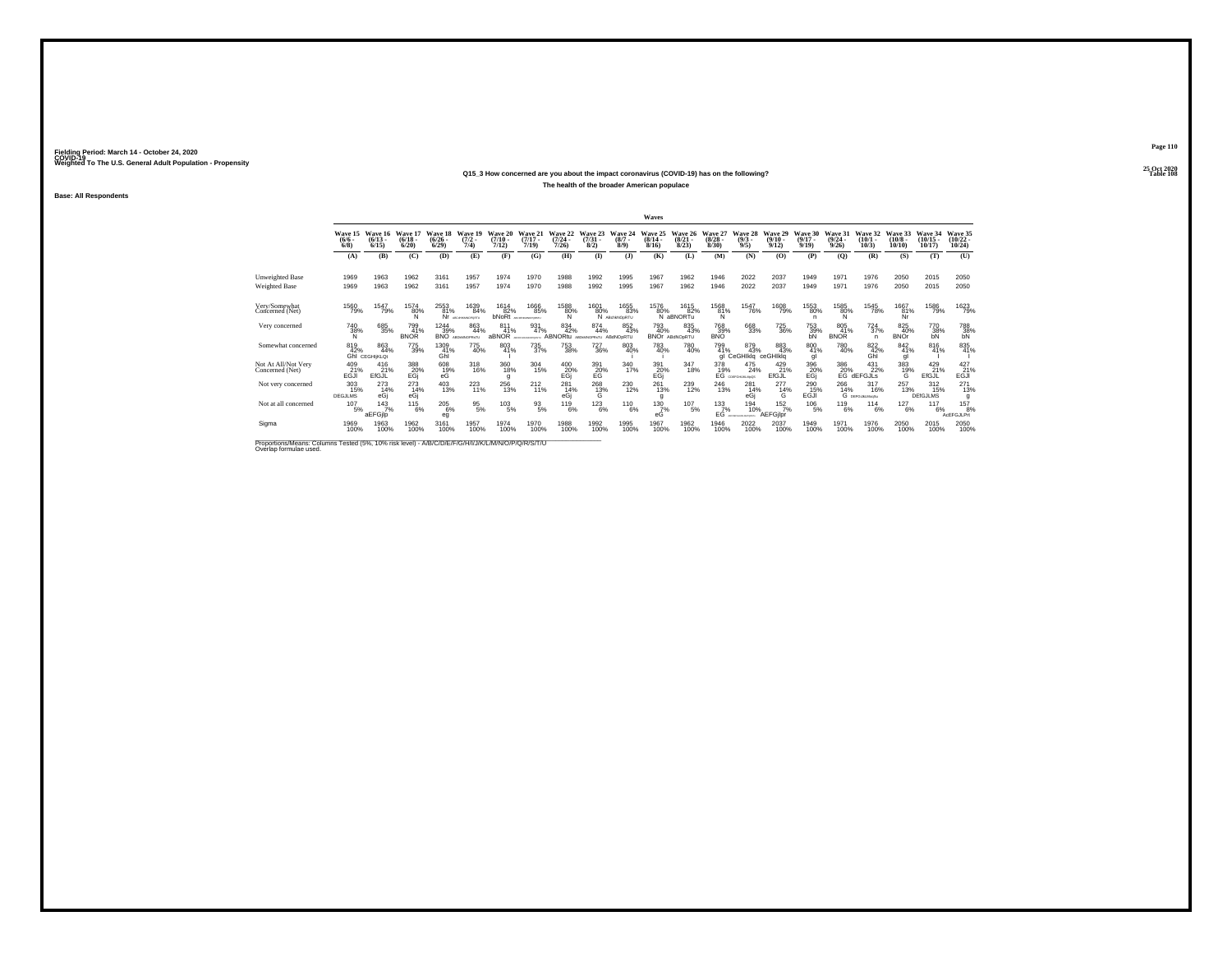**Base: All Respondents**

## **25 Oct 2020Q15\_3 How concerned are you about the impact coronavirus (COVID-19) has on the following?The health of the broader American populace**

|                                                                                                    |                                |                                                 |                              |                                             |                                |                              |                                         |                                      |                                |                            | Waves                     |                                     |                                  |                                               |                                         |                              |                                                                            |                                   |                               |                                    |                                  |
|----------------------------------------------------------------------------------------------------|--------------------------------|-------------------------------------------------|------------------------------|---------------------------------------------|--------------------------------|------------------------------|-----------------------------------------|--------------------------------------|--------------------------------|----------------------------|---------------------------|-------------------------------------|----------------------------------|-----------------------------------------------|-----------------------------------------|------------------------------|----------------------------------------------------------------------------|-----------------------------------|-------------------------------|------------------------------------|----------------------------------|
|                                                                                                    | Wave 15<br>$(6/6 -$<br>$6/8$ ) | Wave 16<br>$(6/13 -$<br>6/15                    | Wave 17<br>$(6/18 -$<br>6/20 | Wave 18<br>$(6/26 -$<br>6/29                | Wave 19<br>$\frac{(7/2)}{7/4}$ | Wave 20<br>$(7/10 -$<br>7/12 | Wave 21<br>$(7/17 -$<br>7/19            | Wave 22<br>$\frac{(7/24 - 7)}{7/26}$ | Wave 23<br>$\binom{7/31}{8/2}$ | Wave 24<br>$(8/7 -$<br>8/9 | Wave 25<br>(8/14.<br>8/16 | Wave 26<br>$\binom{8/21}{8/23}$     | Wave 27<br>$\frac{(8/28)}{8/30}$ | Wave 28<br>$\binom{9/3}{9/5}$                 | Wave 29<br>$\frac{(9/10 - 9/12)}{9/12}$ | Wave 30<br>$(9/17 -$<br>9/19 | Wave 31<br>$\binom{9/24}{9/26}$                                            | Wave 32<br>$(10/1 -$<br>10/3      | Wave 33<br>$(10/8 -$<br>10/10 | Wave 34<br>$(10/15 -$<br>10/17     | Wave 35<br>$(10/22 -$<br>10/24   |
|                                                                                                    | (A)                            | (B)                                             | (C)                          | (D)                                         | (E)                            | (F)                          | (G)                                     | (H)                                  | (1)                            | (1)                        | (K)                       | (L)                                 | (M)                              | (N)                                           | (0)                                     | (P)                          | (O)                                                                        | (R)                               | (S)                           | (T)                                | (U)                              |
| <b>Unweighted Base</b><br>Weighted Base                                                            | 1969<br>1969                   | 1963<br>1963                                    | 1962<br>1962                 | 3161<br>3161                                | 1957<br>1957                   | 1974<br>1974                 | 1970<br>1970                            | 1988<br>1988                         | 1992<br>1992                   | 1995<br>1995               | 1967<br>1967              | 1962<br>1962                        | 1946<br>1946                     | 2022<br>2022                                  | 2037<br>2037                            | 1949<br>1949                 | 1971<br>1971                                                               | 1976<br>1976                      | 2050<br>2050                  | 2015<br>2015                       | 2050<br>2050                     |
| Very/Somewhat<br>Concerned (Net)                                                                   | 1560<br>79%                    | 1547<br>79%                                     | 1574<br>$^{80\%}_{N}$        | 2553<br>81%                                 | 1639<br>84%<br>ARCHAMMODODE    | 1614                         | 1666<br>82% 85<br>85%                   | 1588<br>80%                          | 1601                           | 1655<br>80% 83%<br>83%     | 1576<br>80%               | 1615<br>82%<br>N aBNORTu            | 1568<br>$^{81\%}_{N}$            | 1547<br>76%                                   | 1608<br>79%                             | 1553<br>80%<br>n             | 1585<br>80%                                                                | 1545<br>78%                       | 1667<br>81%<br>Nr             | 1586<br>79%                        | 1623<br>79%                      |
| Very concerned                                                                                     | <sup>740</sup> 38%<br>N        | 685<br>35%                                      | 799<br>41%<br><b>BNOR</b>    | <sup>1244</sup> 39%<br><b>BNO</b>           | 863<br>44%<br>LIT-RONAMORE ST  | 811<br>41%<br>aBNOR          | 931<br>47%<br><b>ACTIVITY MATERIALS</b> | 834<br>42%<br><b>ABNORtu</b>         | 874<br>44%<br>AROHMORR-TU      | 852<br>43%<br>ABdNOpRTU    | 793<br>40%                | 835<br>43%<br><b>BNOr ABdNOORTU</b> | <sup>768</sup> 39%<br><b>BNO</b> | 668<br>33%                                    | <sup>725</sup> 36%                      | 753<br>39%<br>bN             | 805<br>41%<br><b>BNOR</b>                                                  | $^{724}_{37\%}$<br>n              | 825<br>40%<br><b>BNOr</b>     | 770<br>38%<br>bN                   | $^{788}_{38\%}$ bN               |
| Somewhat concerned                                                                                 | 819<br>42%                     | 863<br>44%<br><b>GhI</b> CEGHI <sub>jKLOt</sub> | 775<br>39%                   | 1309<br>41%<br>Ghi                          | 775<br>40%                     | 803<br>41%                   | 735<br>37%                              | 753<br>38%                           | <sup>727</sup> 36%             | 803<br>40%                 | 783<br>40%                | <sup>780</sup> <sub>40%</sub>       | 799<br>41%                       | 879<br>43%<br>gl CeGHIkig ceGHIkig            | 883<br>43%                              | 800 41%<br>gl                | <sup>780</sup> 40%                                                         | 822 42%<br>Ghi                    | 842 41%                       | 816<br>41%                         | 835<br>41%                       |
| Not At All/Not Verv<br>Concerned (Net)                                                             | 409<br>$E^{21\%}_{GJI}$        | 416<br>21%<br>EfGJL                             | 388<br>20%<br>EGj            | $^{608}_{\phantom{6}19\%}_{\phantom{6}6\%}$ | 318<br>16%                     | 360<br>18%<br>g              | $\frac{304}{15\%}$                      | 400<br>20%<br>EGj                    | 391<br>20%<br>EG               | 340<br>17%                 | 391<br>20%<br>EGj         | 347<br>18%                          |                                  | 378 475<br>19% 24%<br>EG COEFGHJALMyCS<br>24% | 429<br>21%<br>EfGJL                     | 396<br>20%<br>EGi            | $\overset{386}{\underset{\text{EG} }}\overset{20\%}{\underset{\text{G} }}$ | 431<br>22%<br>dEFGJLS             | 383<br>19%<br>G               | $^{429}_{21\%}$<br>EfGJL           | $^{427}_{-21\%}_{-6\mathrm{JI}}$ |
| Not very concerned                                                                                 | 303<br>15%<br><b>DEGJLMS</b>   | 273<br>14%<br>eGi                               | $^{273}_{14\%}$<br>eGj       | $^{403}_{13\%}$                             | $^{223}_{11\%}$                | 256                          | $^{212}_{11\%}$                         | 281<br>14%<br>eGj                    | 268<br>13%<br>G                | 230<br>12%                 | 261<br>13%<br>g           | 239<br>12%                          | 246<br>13%                       | 281<br>14%<br>eGi                             | $^{277}_{14\%}$<br>G                    | 290<br>15%<br>EGJ            | 266<br>14%                                                                 | $^{317}_{16\%}$<br>G DEFGUNLMogSu | 257<br>13%                    | $^{312}_{15\%}$<br><b>DEfGJLMS</b> | $^{271}_{13\%}$                  |
| Not at all concerned                                                                               | 107<br>5%                      | 143/7%<br>aEFGjlp                               | $^{115}_{6\%}$               | $^{205}_{\phantom{1}6\%}$<br>eq             | $^{95}_{5\%}$                  | $^{103}_{-5\%}$              | $^{93}_{5\%}$                           | 119<br>6%                            | $^{123}_{6\%}$                 | 110<br>6%                  | $^{130}_{7\%}$<br>еĠ      | $^{107}_{-5\%}$                     | $\frac{133}{7}\%$<br>EĠ          | 194<br>10%<br>ARCORY DISJONARY ORIGINAL       | 152/7%<br><b>AEFGilpr</b>               | $^{106}_{-5\%}$              | 119<br>6%                                                                  | $^{114}_{6\%}$                    | $^{127}_{6\%}$                | $117_{6\%}$                        | <sup>157</sup> 8%<br>AcEFGJLPrt  |
| Sigma                                                                                              | 1969<br>100%                   | 1963<br>100%                                    | 1962<br>100%                 | 3161<br>100%                                | 1957<br>100%                   | 1974<br>100%                 | 1970<br>100%                            | 1988<br>100%                         | 1992<br>100%                   | 1995<br>100%               | 1967<br>100%              | 1962<br>100%                        | 1946<br>100%                     | 2022<br>100%                                  | 2037<br>100%                            | 1949<br>100%                 | 1971<br>100%                                                               | 1976<br>100%                      | 2050<br>100%                  | 2015<br>100%                       | 2050                             |
| Proportions/Means: Columns Tested (5%, 10% risk level) - A/B/C/D/E/F/G/H/I/J/K/L/M/N/O/P/Q/R/S/T/U |                                |                                                 |                              |                                             |                                |                              |                                         |                                      |                                |                            |                           |                                     |                                  |                                               |                                         |                              |                                                                            |                                   |                               |                                    |                                  |

Proportions/Means: Columns Tested (5%, 10% risk level) - A/B/C/D/E/F/G/H/I/J/K/L/M/N/O/P/Q/R/S/T/U<br>Overlap formulae used.

**Page 110**25 Oct 2020<br>Table 108

**Table 108 Table 108**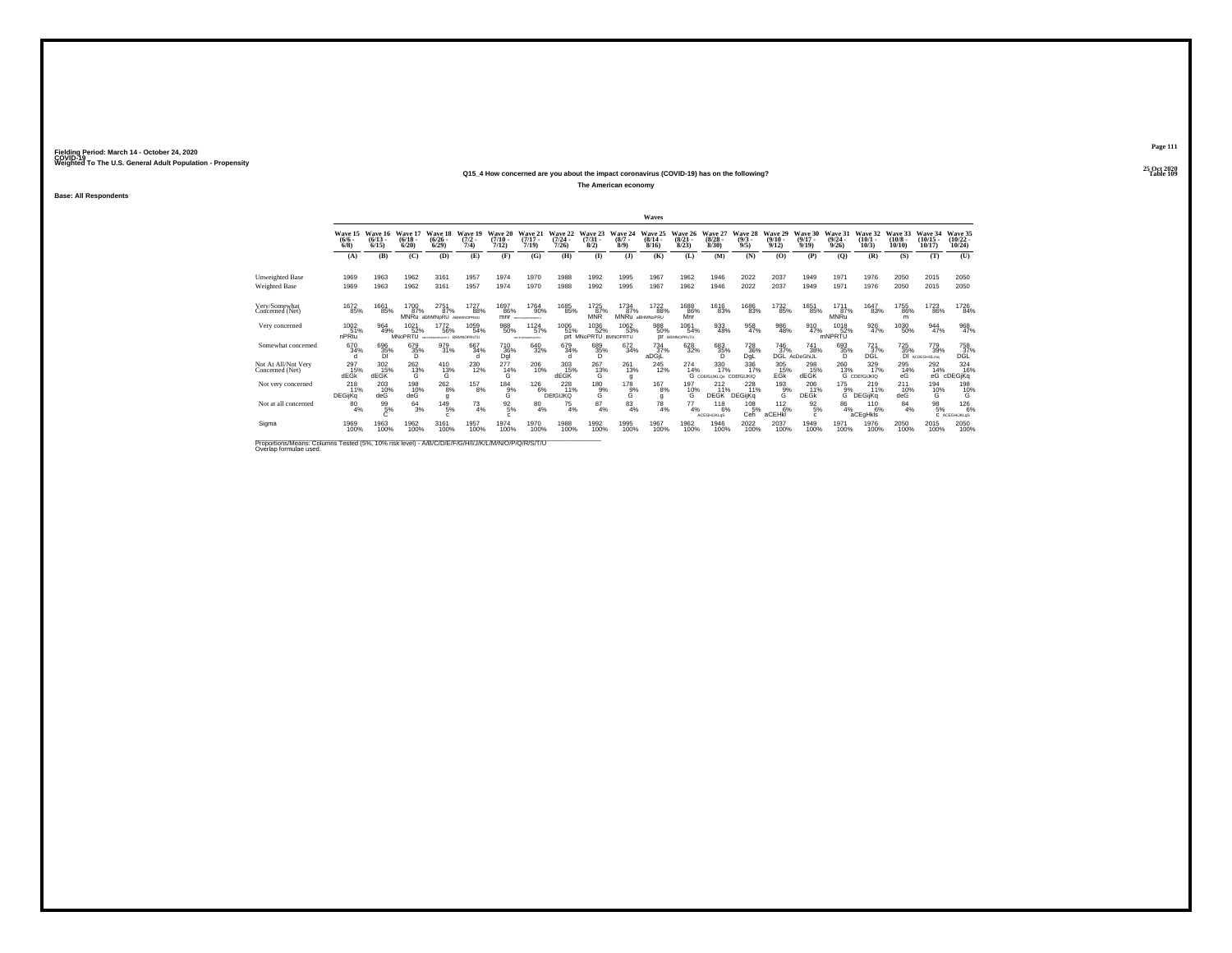#### **25 Oct 2020Q15\_4 How concerned are you about the impact coronavirus (COVID-19) has on the following?Table 109 Table 109**

**The American economy**

**Base: All Respondents**

|                                                                                                                              |                                |                              |                                       |                                                     |                             |                            |                                 |                               |                            |                                        | Waves                         |                                 |                                        |                                      |                           |                                     |                                         |                                           |                               |                             |                                      |
|------------------------------------------------------------------------------------------------------------------------------|--------------------------------|------------------------------|---------------------------------------|-----------------------------------------------------|-----------------------------|----------------------------|---------------------------------|-------------------------------|----------------------------|----------------------------------------|-------------------------------|---------------------------------|----------------------------------------|--------------------------------------|---------------------------|-------------------------------------|-----------------------------------------|-------------------------------------------|-------------------------------|-----------------------------|--------------------------------------|
|                                                                                                                              | Wave 15<br>(6/6.<br>$6/8$ )    | Wave 16<br>$(6/13 -$<br>6/15 | Wave 17<br>(6/18)<br>6/20             | Wave 18<br>(6/26.<br>6/29                           | Wave 19<br>$(7/2 -$<br>7/4) | Wave 20<br>(7/10)<br>7/12) | Wave 21<br>$(7/17 -$<br>7/19    | Wave 22<br>$(7/24 -$<br>7/26  | Wave 23<br>(7/31)<br>8/2   | Wave 24<br>$(8/7 -$<br>8/9             | Wave 25<br>$(8/14 -$<br>8/16  | Wave 26<br>$\binom{8/21}{8/23}$ | Wave 27<br>(8/28)<br>8/30              | Wave 28<br>$\binom{9/3}{9/5}$        | Wave 29<br>(9/10.<br>9/12 | Wave 30<br>$(9/17 -$<br>9/19        | Wave 31<br>$\frac{(9/24 - 9/26)}{9/26}$ | Wave 32<br>$(10/1 -$<br>10/3              | Wave 33<br>$(10/8 -$<br>10/10 | Wave 34<br>(10/15.<br>10/17 | Wave 35<br>$\frac{(10/22)}{10/24}$   |
|                                                                                                                              | (A)                            | (B)                          | (C)                                   | (D)                                                 | (E)                         | (F)                        | (G)                             | (H)                           | (1)                        | $($ $\bf{J}$                           | (K)                           | (L)                             | (M)                                    | (N)                                  | (0)                       | (P)                                 | (0)                                     | (R)                                       | (S)                           | (T)                         | (U)                                  |
| Unweighted Base<br>Weighted Base                                                                                             | 1969<br>1969                   | 1963<br>1963                 | 1962<br>1962                          | 3161<br>3161                                        | 1957<br>1957                | 1974<br>1974               | 1970<br>1970                    | 1988<br>1988                  | 1992<br>1992               | 1995<br>1995                           | 1967<br>1967                  | 1962<br>1962                    | 1946<br>1946                           | 2022<br>2022                         | 2037<br>2037              | 1949<br>1949                        | 1971<br>1971                            | 1976<br>1976                              | 2050<br>2050                  | 2015<br>2015                | 2050<br>2050                         |
| Very/Somewhat<br>Concerned (Net)                                                                                             | 1672<br>85%                    | 1661<br>85%                  | 1700<br>87%                           | 2751<br>87%<br>MNRu abhMNpRU ABHMNOPRSIU            | 1727<br>88%                 | 1697<br>86%<br>mnr         | 1764<br>90%<br>ARCOVISIONOFORTY | 1685<br>85%                   | 1725<br>87%<br><b>MNR</b>  | 1734<br>87%                            | 1722<br>88%<br>MNRu aBHMNoPRU | 1688<br>86%<br>Mnr              | 1616<br>83%                            | 1686<br>83%                          | 1732<br>85%               | 1651<br>85%                         | 1711<br>87%<br>MNRu                     | 1647<br>83%                               | 1755<br>86%<br>m              | 1723<br>86%                 | 1726<br>84%                          |
| Very concerned                                                                                                               | 1002<br>51%<br>nPRtu           | 964<br>49%                   | <sup>1021</sup> 52%<br><b>MNoPRTU</b> | <sup>1772</sup> 56%<br>MICHARDINGHORSTU BRAINDPRSTU | 1059<br>54%                 | 988<br>50%                 | 1124<br>57%<br>ABCFHIMMOPORST2  | 1006<br>51%                   | 1036<br>52%<br>prt MNoPRTU | <sup>1062</sup> 53%<br><b>BMNOPRTU</b> | 988<br>50%                    | 1061<br>54%<br>DF BIMNOPRSTU    | 933<br>48%                             | 958<br>47%                           | 986<br>48%                | 910<br>47%                          | 1018<br>52%<br>mNPRTU                   | 926<br>47%                                | 1030<br>50%                   | 944<br>47%                  | 968<br>47%                           |
| Somewhat concerned                                                                                                           | 670<br>34%                     | 696<br>35%<br>DI             | 679<br>35%<br>D                       | 979<br>31%                                          | 667<br>34%<br>d             | 710 36%<br>Dgl             | 640<br>32%                      | 679<br>34%<br>d.              | 689<br>35%<br>D            | $\substack{672 \\ 34\%}$               | $^{734}_{37\%}$<br>aDGjL      | $^{628}_{32\%}$                 | 683<br>35%<br>D                        | <sup>728</sup> <sub>36%</sub><br>DgL | $\frac{746}{37}\%$        | <sup>741</sup> 38%<br>DGL AcDeGhiJL | 693<br>35%<br>D                         | $^{721}_{37\%}$<br>DĞĹ                    | 725%<br><b>DI</b>             | 779<br>39%<br>ACDEGHIJLmg   | <sup>758</sup> <sub>37%</sub><br>DĞĹ |
| Not At All/Not Verv<br>Concerned (Net)                                                                                       | 297<br>15%<br>dEG <sub>K</sub> | 302<br>15%<br>dEGK           | 262<br>13%<br>G                       | 410<br>13%<br>G                                     | 230<br>12%                  | 277<br>14%<br>G            | 206<br>10%                      | 303<br>15%<br>dEGK            | 267<br>13%<br>G            | 261<br>13%<br>a                        | $^{245}_{12\%}$               | 274<br>14%                      | 330<br>17%<br>G CDE/GIJKLOS CDE/GIJKIQ | 336<br>17%                           | 305<br>$E$ <sup>15%</sup> | 298<br>15%<br>dEGK                  | 260<br>13%                              | $\frac{329}{17\%}$<br><b>G</b> CDEIGIJKIQ | 295<br>14%<br>eG              | 292<br>14%<br>eG            | 324<br>16%<br>cDEGjKq                |
| Not very concerned                                                                                                           | 218<br>11%<br><b>DEGijKg</b>   | $^{203}_{10\%}$<br>deG       | 198<br>10%<br>deG                     | $^{262}_{\phantom{1}8\%}$<br>q                      | $^{157}_{8\%}$              | $184_{9\%}$<br>G           | 126 6%                          | 228<br>11%<br><b>DEfGIJKQ</b> | 180 9%<br>G                | $^{178}_{9%}$<br>Ġ                     | 167<br>8%<br>q                | 197<br>10%<br>G                 | $^{212}_{11\%}$<br><b>DEGK</b>         | 228<br><b>DEGijKq</b>                | 193%<br>G                 | $^{206}_{11\%}$<br><b>DEGK</b>      | $^{175}_{9\%}$<br>G                     | $^{219}_{11\%}$<br>DEGijKq                | 211<br>10%<br>deG             | 194<br>10%<br>G             | 198<br>10%<br>Ġ                      |
| Not at all concerned                                                                                                         | $^{80}_{4\%}$                  | 996                          | $^{64}_{3\%}$                         | 149/5%<br>$\epsilon$                                | $^{73}_{4\%}$               | $\frac{92}{5\%}$<br>c.     | $^{80}_{4\%}$                   | $^{75}_{4%}$                  | 87<br>4%                   | $\frac{83}{4%}$                        | $^{78}_{4\%}$                 | 77<br>4%                        | 118<br>$-6%$<br><b>ACEGHUKLOS</b>      | 108<br>5%<br>Ceĥ                     | $^{112}_{6\%}$<br>aCEHKI  | $\frac{92}{5\%}$<br>$\mathbf{c}$    | $^{86}_{4\%}$                           | $^{110}_{6\%}$<br>aCEgHkls                | 84<br>4%                      | $\frac{98}{5\%}$            | 126%<br>C ACEGHUKLQS                 |
| Sigma                                                                                                                        | 1969<br>100%                   | 1963<br>100%                 | 1962<br>100%                          | 3161<br>100%                                        | 1957<br>100%                | 1974<br>100%               | 1970<br>100%                    | 1988<br>100%                  | 1992<br>100%               | 1995<br>100%                           | 1967<br>100%                  | 1962<br>100%                    | 1946<br>100%                           | 2022<br>100%                         | 2037<br>100%              | 1949<br>100%                        | 1971<br>100%                            | 1976<br>100%                              | 2050<br>100%                  | 2015<br>100%                | 2050<br>100%                         |
| Proportions/Means: Columns Tested (5%, 10% risk level) - A/B/C/D/E/F/G/H/I/J/K/L/M/N/O/P/Q/R/S/T/U<br>Overlap formulae used. |                                |                              |                                       |                                                     |                             |                            |                                 |                               |                            |                                        |                               |                                 |                                        |                                      |                           |                                     |                                         |                                           |                               |                             |                                      |

**Page 111**25 Oct 2020<br>Table 109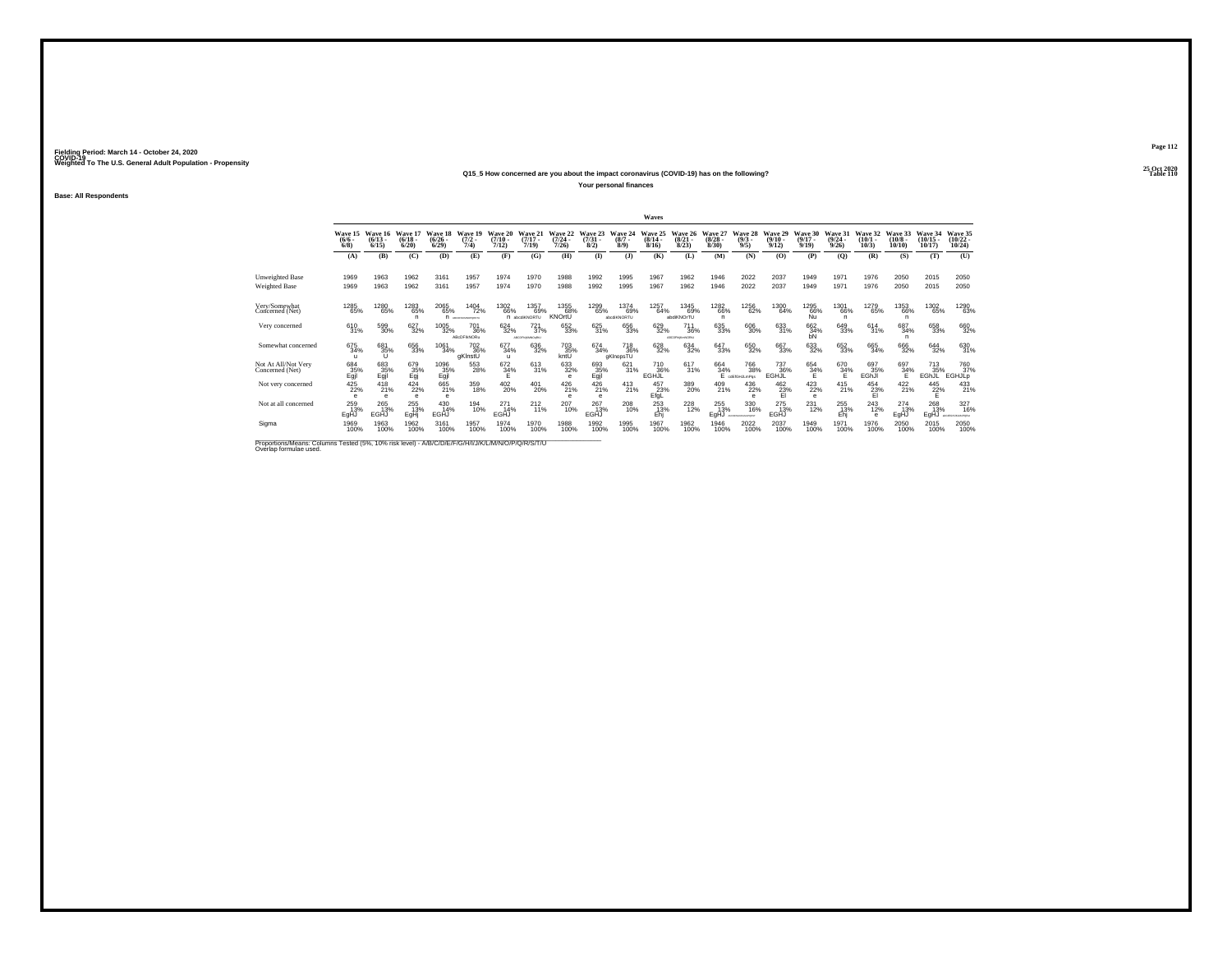#### **25 Oct 2020Q15\_5 How concerned are you about the impact coronavirus (COVID-19) has on the following?Particular Table 110 Table 110 Table 110**

**Your personal finances**

**Base: All Respondents**

|                                                                                                                              |                             |                              |                             |                              |                                          |                            |                                     |                                      |                             |                                            | Waves                        |                               |                           |                                    |                              |                              |                                  |                               |                               |                                |                                             |
|------------------------------------------------------------------------------------------------------------------------------|-----------------------------|------------------------------|-----------------------------|------------------------------|------------------------------------------|----------------------------|-------------------------------------|--------------------------------------|-----------------------------|--------------------------------------------|------------------------------|-------------------------------|---------------------------|------------------------------------|------------------------------|------------------------------|----------------------------------|-------------------------------|-------------------------------|--------------------------------|---------------------------------------------|
|                                                                                                                              | Wave 15<br>$(6/6 -$<br>6/8  | Wave 16<br>$(6/13 -$<br>6/15 | Wave 17<br>(6/18.<br>6/20   | Wave 18<br>$(6/26 -$<br>6/29 | Wave 19<br>$\frac{(7/2)}{7/4}$           | Wave 20<br>(7/10)<br>7/12) | Wave 21<br>$(7/17 -$<br>7/19        | Wave 22<br>$(7/24 -$<br>7/26         | Wave 23<br>$(7/31 -$<br>8/2 | Wave 24<br>$(8/7 -$<br>8/9                 | Wave 25<br>$(8/14 -$<br>8/16 | Wave 26<br>(8/21)<br>8/23     | Wave 27<br>(8/28.<br>8/30 | Wave 28<br>$\binom{9/3}{9/5}$      | Wave 29<br>$(9/10 -$<br>9/12 | Wave 30<br>$(9/17 -$<br>9/19 | Wave 31<br>$\frac{(9/24)}{9/26}$ | Wave 32<br>(10/1)<br>10/3     | Wave 33<br>$(10/8 -$<br>10/10 | Wave 34<br>$(10/15 -$<br>10/17 | Wave 35<br>$\frac{(10/22)}{10/24}$          |
|                                                                                                                              | (A)                         | (B)                          | (C)                         | (D)                          | (E)                                      | (F)                        | (G)                                 | (H)                                  | $($ $\Gamma$                | $($ $\bf{J}$                               | (K)                          | (L)                           | (M)                       | (N)                                | (0)                          | (P)                          | (O)                              | (R)                           | (S)                           | (T)                            | (U)                                         |
| <b>Unweighted Base</b><br><b>Weighted Base</b>                                                                               | 1969<br>1969                | 1963<br>1963                 | 1962<br>1962                | 3161<br>3161                 | 1957<br>1957                             | 1974<br>1974               | 1970<br>1970                        | 1988<br>1988                         | 1992<br>1992                | 1995<br>1995                               | 1967<br>1967                 | 1962<br>1962                  | 1946<br>1946              | 2022<br>2022                       | 2037<br>2037                 | 1949<br>1949                 | 1971<br>1971                     | 1976<br>1976                  | 2050<br>2050                  | 2015<br>2015                   | 2050<br>2050                                |
| Very/Somewhat<br>Concerned (Net)                                                                                             | 1285<br>65%                 | 1280<br>65%                  | 1283<br>65%<br>n            | 2065<br>65%                  | 1404<br>72%<br>П испланочного            | 1302<br>66%                | 1357<br>69%<br>n abcdKNORTU         | 1355<br>68%<br>KNOrtU                | 1299<br>65%                 | 1374<br>69%<br>abcdiKNORTU                 | 1257<br>64%                  | 1345<br>69%<br>abdiKNOrTU     | 1282<br>66%<br>n.         | 1256<br>62%                        | 1300<br>64%                  | 1295<br>66%<br>Ñŭ            | 1301<br>66%<br>n                 | 1279<br>65%                   | 1353<br>66%<br>n              | 1302<br>65%                    | 1290<br>63%                                 |
| Very concerned                                                                                                               | 610<br>31%                  | 599<br>30%                   | 627<br>32%                  | 1005<br>32%                  | 701<br>36%<br>ABcDFIkNORu                | 624<br>32%                 | $^{721}_{37\%}$<br>ABCORNMAND (REL) | 652<br>33%                           | 625<br>31%                  | 656<br>33%                                 | 629<br>32%                   | 711<br>36%<br>ADCODINATION    | 635<br>33%                | 606<br>30%                         | 633<br>31%                   | 662<br>34%<br>bN             | 649<br>33%                       | $614 \over 31\%$              | 687<br>34%<br>n               | 658<br>33%                     | 660<br>32%                                  |
| Somewhat concerned                                                                                                           | 675<br>34%<br>$\mathbf{u}$  | 681<br>35%                   | 656<br>33%                  | 1061<br>34%                  | <sup>702</sup> <sub>36%</sub><br>gKlnstU | 677<br>34%<br>$\mathbf{u}$ | 636<br>32%                          | 703<br>35%<br>kntU                   | 674<br>34%                  | <sup>718</sup> <sub>36%</sub><br>aKInopsTU | 628<br>32%                   | $^{634}_{32\%}$               | 647<br>33%                | 650<br>32%                         | 667<br>33%                   | $\substack{633 \\ 32\%}$     | 652<br>33%                       | 665<br>34%                    | 666<br>32%                    | $644 \over 32\%$               | 630<br>31%                                  |
| Not At All/Not Very<br>Concerned (Net)                                                                                       | 684<br>35%<br>Egjl          | 683<br>35%<br>Eqil           | 679<br>35%                  | 1096<br>$E_{gjl}^{35\%}$     | 553<br>28%                               | 672<br>34%                 | 613<br>31%                          | $\substack{633 \\ 32\%}$<br>$\theta$ | 693<br>35%<br>Egjl          | 621<br>31%                                 | 710<br>36%<br>EGHJL          | 617<br>31%                    | 664<br>34%                | 766<br>38%<br>cdEfGHJLmPos         | 737<br>36%<br>EGHJL          | 654<br>34%<br>E              | 670<br>34%                       | 697<br>35%<br>EGhJI           | 697<br>34%                    | 713<br>35%<br>EGhJL            | <sup>760</sup> <sub>37%</sub><br>EGHJLp     |
| Not very concerned                                                                                                           | $^{425}_{22\%}$<br>$\theta$ | 418<br>21%<br>$\sim$         | $^{424}_{22\%}$<br>$\theta$ | 665<br>21%<br>e              | 359<br>18%                               | $^{402}_{20\%}$            | 401<br>20%                          | 426<br>21%<br>$\theta$               | 426<br>21%<br>$\theta$      | $^{413}_{21\%}$                            | 457<br>23%<br>EfgL           | $\frac{389}{20\%}$            | 409<br>21%                | 436<br>22%<br>$\sim$               | 462 23%<br>FI                | 423/22%<br>$\theta$          | $^{415}_{21\%}$                  | $^{454}_{23\%}$<br>EI         | $^{422}_{21\%}$               | $^{445}_{22\%}$                | 433                                         |
| Not at all concerned                                                                                                         | 259<br>13%<br>EgHJ          | 265<br>13%<br>EGHJ           | 255<br>13%<br>EgH           | 430<br>14%<br>EGHJ           | 194<br>10%                               | 271<br>14%<br>EGHJ         | $^{212}_{11\%}$                     | 207<br>10%                           | 267<br>13%<br>EGHJ          | 208<br>10%                                 | 253<br>13%<br>Ehj            | <sup>228</sup> <sub>12%</sub> | 255<br>13%<br>EgHJ        | 330<br>16%<br>ALCOHOLIGATION PORTS | 275<br>13%<br>EGHJ           | 231<br>12%                   | 255<br>13%<br>Ehi                | $^{243}_{12\%}$<br>$\epsilon$ | $^{274}_{13\%}$<br>EgHJ       | 268<br>13%<br>EgHJ             | 327<br>16%<br><b>ANTIBIDIAL MT MILAPING</b> |
| Sigma                                                                                                                        | 1969<br>100%                | 1963<br>100%                 | 1962<br>100%                | 3161<br>100%                 | 1957<br>100%                             | 1974<br>100%               | 1970<br>100%                        | 1988<br>100%                         | 1992<br>100%                | 1995<br>100%                               | 1967<br>100%                 | 1962<br>100%                  | 1946<br>100%              | 2022<br>100%                       | 2037<br>100%                 | 1949<br>100%                 | 1971<br>100%                     | 1976<br>100%                  | 2050<br>100%                  | 2015<br>100%                   | 2050<br>100%                                |
| Proportions/Means: Columns Tested (5%, 10% risk level) - A/B/C/D/E/F/G/H/I/J/K/L/M/N/O/P/Q/R/S/T/U<br>Overlap formulae used. |                             |                              |                             |                              |                                          |                            |                                     |                                      |                             |                                            |                              |                               |                           |                                    |                              |                              |                                  |                               |                               |                                |                                             |

**Page 112**25 Oct 2020<br>Table 110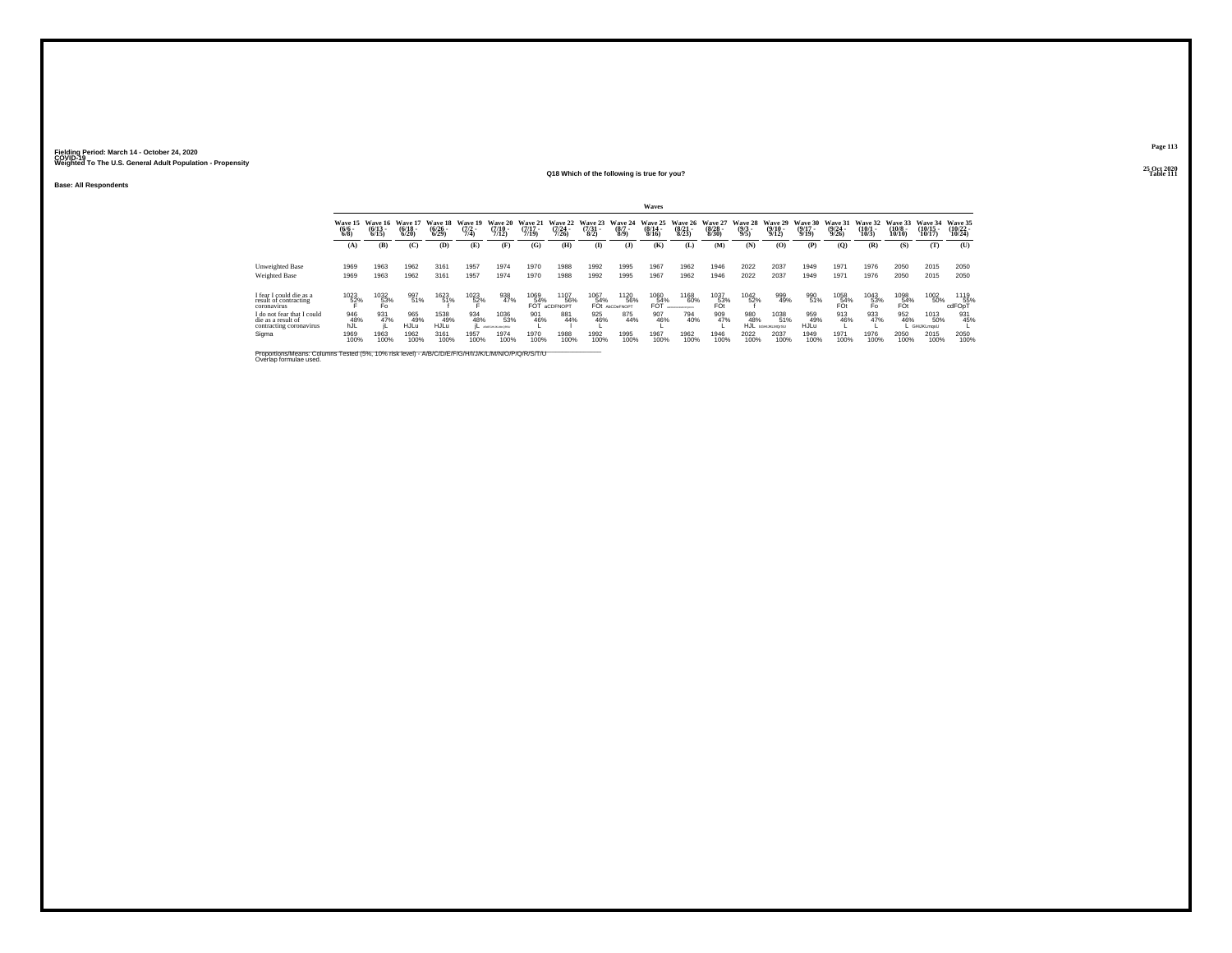**Base: All Respondents**

## **25 Oct 2020Q18 Which of the following is true for you?**

**Page 113**

25 Oct 2020<br>Table 111 **Table 111**

|                                                                             |                               |                                 |                                  |                                 |                                |                                  |                                  |                                  |                                |                                          | Waves                                |                                 |                                  |                                |                                          |                                  |                                  |                                 |                                        |                                |                                    |
|-----------------------------------------------------------------------------|-------------------------------|---------------------------------|----------------------------------|---------------------------------|--------------------------------|----------------------------------|----------------------------------|----------------------------------|--------------------------------|------------------------------------------|--------------------------------------|---------------------------------|----------------------------------|--------------------------------|------------------------------------------|----------------------------------|----------------------------------|---------------------------------|----------------------------------------|--------------------------------|------------------------------------|
|                                                                             | Wave 15<br>$\binom{6/6}{6/8}$ | Wave 16<br>$\binom{6/13}{6/15}$ | Wave 17<br>$\frac{(6/18)}{6/20}$ | Wave 18<br>$\binom{6/26}{6/29}$ | Wave 19<br>$\frac{(7/2)}{7/4}$ | Wave 20<br>$\frac{(7/10)}{7/12}$ | Wave 21<br>$\frac{(7/17)}{7/19}$ | Wave 22<br>$\frac{(7/24)}{7/26}$ | Wave 23<br>$\binom{7/31}{8/2}$ | Wave 24<br>$\binom{8/7}{8/9}$            | Wave 25<br>$\frac{(8/14 - 8)}{8/16}$ | Wave 26<br>$\binom{8/21}{8/23}$ | Wave 27<br>$\frac{(8/28)}{8/30}$ | Wave 28<br>$\frac{(9/3)}{9/5}$ | Wave 29<br>$\frac{(9/10)}{9/12}$         | Wave 30<br>$\frac{(9/17)}{9/19}$ | Wave 31<br>$\frac{(9/24)}{9/26}$ | Wave 32<br>$\binom{10/1}{10/3}$ | Wave 33<br>$\frac{(10/8 - 10)}{10/10}$ | Wave 34<br>$(10/15 -$<br>10/17 | Wave 35<br>$\frac{(10/22)}{10/24}$ |
|                                                                             | (A)                           | (B)                             | (C)                              | (D)                             | (E)                            | (F)                              | (G)                              | (H)                              | $\bf{I}$                       | $($ J $)$                                | (K)                                  | Œ                               | (M)                              | (N)                            | (0)                                      | (P)                              | (0)                              | (R)                             | (S)                                    | (T)                            | (U)                                |
| Unweighted Base                                                             | 1969                          | 1963                            | 1962                             | 3161                            | 1957                           | 1974                             | 1970                             | 1988                             | 1992                           | 1995                                     | 1967                                 | 1962                            | 1946                             | 2022                           | 2037                                     | 1949                             | 1971                             | 1976                            | 2050                                   | 2015                           | 2050                               |
| Weighted Base                                                               | 1969                          | 1963                            | 1962                             | 3161                            | 1957                           | 1974                             | 1970                             | 1988                             | 1992                           | 1995                                     | 1967                                 | 1962                            | 1946                             | 2022                           | 2037                                     | 1949                             | 1971                             | 1976                            | 2050                                   | 2015                           | 2050                               |
| I fear I could die as a<br>result of contracting<br>coronavirus             | 1023<br>52%                   | 1032<br>53%<br>Fo               | 997<br>51%                       | 1623<br>51%                     | 1023<br>52%                    | 938<br>47%                       | 1069<br>54%<br>FÕŤ               | 1107<br>56%<br><b>aCDFNOPT</b>   | 1067<br>54%<br>FO <sub>t</sub> | <sup>1120</sup> 56%<br><b>AbCDeFNOPT</b> | 1060<br>54%<br>FÕŤ                   | <sup>1168</sup> 60%             | $^{1037}_{53\%}$ FOt             | 1042<br>52%                    | 999<br>49%                               | 990<br>51%                       | 1058<br>54%<br>FOt               | 1043<br>53%<br>Fo               | 1098<br>54%<br>FÖt                     | 1002<br>50%                    | 1119<br>55%<br>cdFOpT              |
| I do not fear that I could<br>die as a result of<br>contracting coronavirus | 946<br>48%<br>hJĹ             | 931<br>47%                      | 965<br>49%<br>HJLŭ               | 1538<br>49%<br>HJLŭ             | 934<br>48%                     | 1036<br>53%<br>ABSON RUNORS      | 901<br>46%                       | 881<br>44%                       | 925<br>46%                     | 875<br>44%                               | 907<br>46%                           | 794<br>40%                      | 909<br>47%                       | 980<br>48%<br>HJL              | 1038<br>51%<br><b><i>bGHUKLMOrSU</i></b> | 959<br>49%<br><b>HJLu</b>        | 913<br>46%                       | 933<br>47%                      | 952<br>46%                             | 1013<br>50%<br>GHiJKLmasU      | 931<br>45%                         |
| Sigma                                                                       | 1969<br>100%                  | 1963<br>100%                    | 1962<br>100%                     | 3161<br>100%                    | 1957<br>100%                   | 1974<br>100%                     | 1970<br>100%                     | 1988<br>100%                     | 1992<br>100%                   | 1995<br>100%                             | 1967<br>100%                         | 1962<br>100%                    | 1946<br>100%                     | 2022<br>100%                   | 2037<br>100%                             | 1949<br>100%                     | 1971<br>100%                     | 1976<br>100%                    | 2050<br>100%                           | 2015<br>100%                   | 2050<br>100%                       |

Proportions/Means: Columns Tested (5%, 10% risk level) - A/B/C/D/E/F/G/H/I/J/K/L/M/N/O/P/Q/R/S/T/U<br>Overlap formulae used.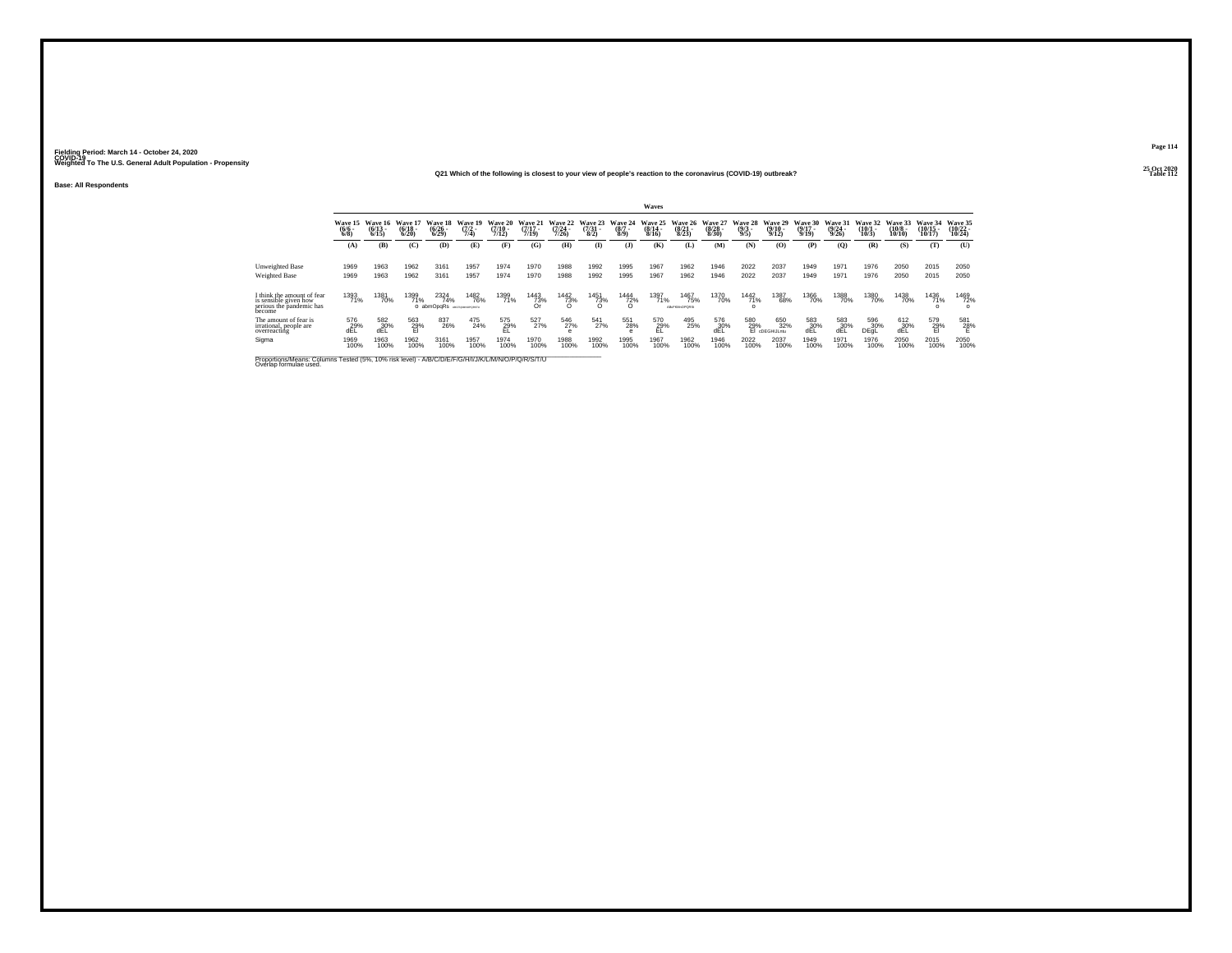**25 Oct 2020Q21 Which of the following is closest to your view of people's reaction to the coronavirus (COVID-19) outbreak?**

**Base: All Respondents**

|                                                                                                                              |                             |                           |                                  |                                          |                                |                                  |                                  |                                  |                                |                                | Waves                        |                                  |                                  |                                |                                                                                    |                                  |                                  |                                 |                                  |                                |                                |
|------------------------------------------------------------------------------------------------------------------------------|-----------------------------|---------------------------|----------------------------------|------------------------------------------|--------------------------------|----------------------------------|----------------------------------|----------------------------------|--------------------------------|--------------------------------|------------------------------|----------------------------------|----------------------------------|--------------------------------|------------------------------------------------------------------------------------|----------------------------------|----------------------------------|---------------------------------|----------------------------------|--------------------------------|--------------------------------|
|                                                                                                                              | Wave 15<br>$\binom{6}{6/8}$ | Wave 16<br>(6/13)<br>6/15 | Wave 17<br>$\frac{(6/18)}{6/20}$ | Wave 18<br>$\frac{(6/26)}{(6/29)}$       | Wave 19<br>$\frac{(7/2)}{7/4}$ | Wave 20<br>$\frac{(7/10)}{7/12}$ | Wave 21<br>$\frac{(7/17)}{7/19}$ | Wave 22<br>$\frac{(7/24)}{7/26}$ | Wave 23<br>$\frac{(7/3)}{8/2}$ | Wave 24<br>$\frac{(8/7)}{8/9}$ | Wave 25<br>$(8/14 -$<br>8/16 | Wave 26<br>$\frac{(8/21)}{8/23}$ | Wave 27<br>$\frac{(8/28)}{8/30}$ | Wave 28<br>$\frac{(9/3)}{9/5}$ | Wave 29<br>$\frac{(9/10 - 9/12)}{9/12}$                                            | Wave 30<br>$\frac{(9/17)}{9/19}$ | Wave 31<br>$\frac{(9/24)}{9/26}$ | Wave 32<br>$\binom{10/1}{10/3}$ | Wave 33<br>$\binom{10/8}{10/10}$ | Wave 34<br>$(10/15 -$<br>10/17 | Wave 35<br>$(10/22 -$<br>10/24 |
|                                                                                                                              | (A)                         | (B)                       | (C)                              | (D)                                      | (E)                            | (F)                              | (G)                              | (H)                              | $\bf{I}$                       | (3)                            | (K)                          | (L)                              | (M)                              | (N)                            | (O)                                                                                | (P)                              | (Q)                              | (R)                             | (S)                              | (T)                            | (U)                            |
| Unweighted Base<br>Weighted Base                                                                                             | 1969<br>1969                | 1963<br>1963              | 1962<br>1962                     | 3161<br>3161                             | 1957<br>1957                   | 1974<br>1974                     | 1970<br>1970                     | 1988<br>1988                     | 1992<br>1992                   | 1995<br>1995                   | 1967<br>1967                 | 1962<br>1962                     | 1946<br>1946                     | 2022<br>2022                   | 2037<br>2037                                                                       | 1949<br>1949                     | 1971<br>1971                     | 1976<br>1976                    | 2050<br>2050                     | 2015<br>2015                   | 2050<br>2050                   |
| think the amount of fear<br>is sensible given how<br>serious the pandemic has<br>become                                      | 1393<br>71%                 | 1381<br>70%               | 1399<br>71%                      | 2324<br>74%<br>O abmOpgRs Acchiencegastu | <sup>1482</sup> 76%            | 1399<br>71%                      | $\frac{1443}{73\%}$              | $\frac{1442}{73\%}$              | 1451<br>73%                    | 1444<br>72%                    | 1397<br>71%                  | 1467<br>75%<br>ABcFKMnOPORS:     | <sup>1370</sup> 70%              | 1442<br>71%<br>$\Omega$        | 1387<br>68%                                                                        | 1366<br>70%                      | 1388<br>70%                      | 1380<br>70%                     | 1438<br>70%                      | 1436<br>71%                    | 1469<br>72%<br>$\Omega$        |
| The amount of fear is<br>irrational, people are<br>overreacting                                                              | 576<br>29%<br>dĒĽ           | 582<br>30%<br>dEL         | 563<br>29%<br>El                 | 837<br>26%                               | 475<br>24%                     | $^{575}_{29\%}$                  | 527<br>27%                       | 546<br>27%<br>e                  | 541<br>27%                     | 551<br>28%                     | 570<br>29%<br>EL             | 495<br>25%                       | 576<br>30%<br>dEL                |                                | 650<br>32%<br>$\underset{\text{E1 co-CHIL-} }{580} \underset{\text{O-CHIL-} }{65}$ | 583<br>30%<br>dĒĹ                | 583<br>30%<br>dĔĽ                | 596<br>30%<br>DEGL              | 612<br>30%<br>dĒĹ                | 579<br>29%<br>El               | 581<br>28%<br>E                |
| Sigma                                                                                                                        | 1969<br>100%                | 1963<br>100%              | 1962<br>100%                     | 3161<br>100%                             | 1957<br>100%                   | 1974<br>100%                     | 1970<br>100%                     | 1988<br>100%                     | 1992<br>100%                   | 1995<br>100%                   | 1967<br>100%                 | 1962<br>100%                     | 1946<br>100%                     | 2022<br>100%                   | 2037<br>100%                                                                       | 1949<br>100%                     | 1971<br>100%                     | 1976<br>100%                    | 2050<br>100%                     | 2015<br>100%                   | 2050<br>100%                   |
| Proportions/Means: Columns Tested (5%, 10% risk level) - A/B/C/D/E/F/G/H/I/J/K/L/M/N/O/P/Q/R/S/T/U<br>Overlap formulae used. |                             |                           |                                  |                                          |                                |                                  |                                  |                                  |                                |                                |                              |                                  |                                  |                                |                                                                                    |                                  |                                  |                                 |                                  |                                |                                |

**Page 114**25 Oct 2020<br>Table 112

**P Table 112**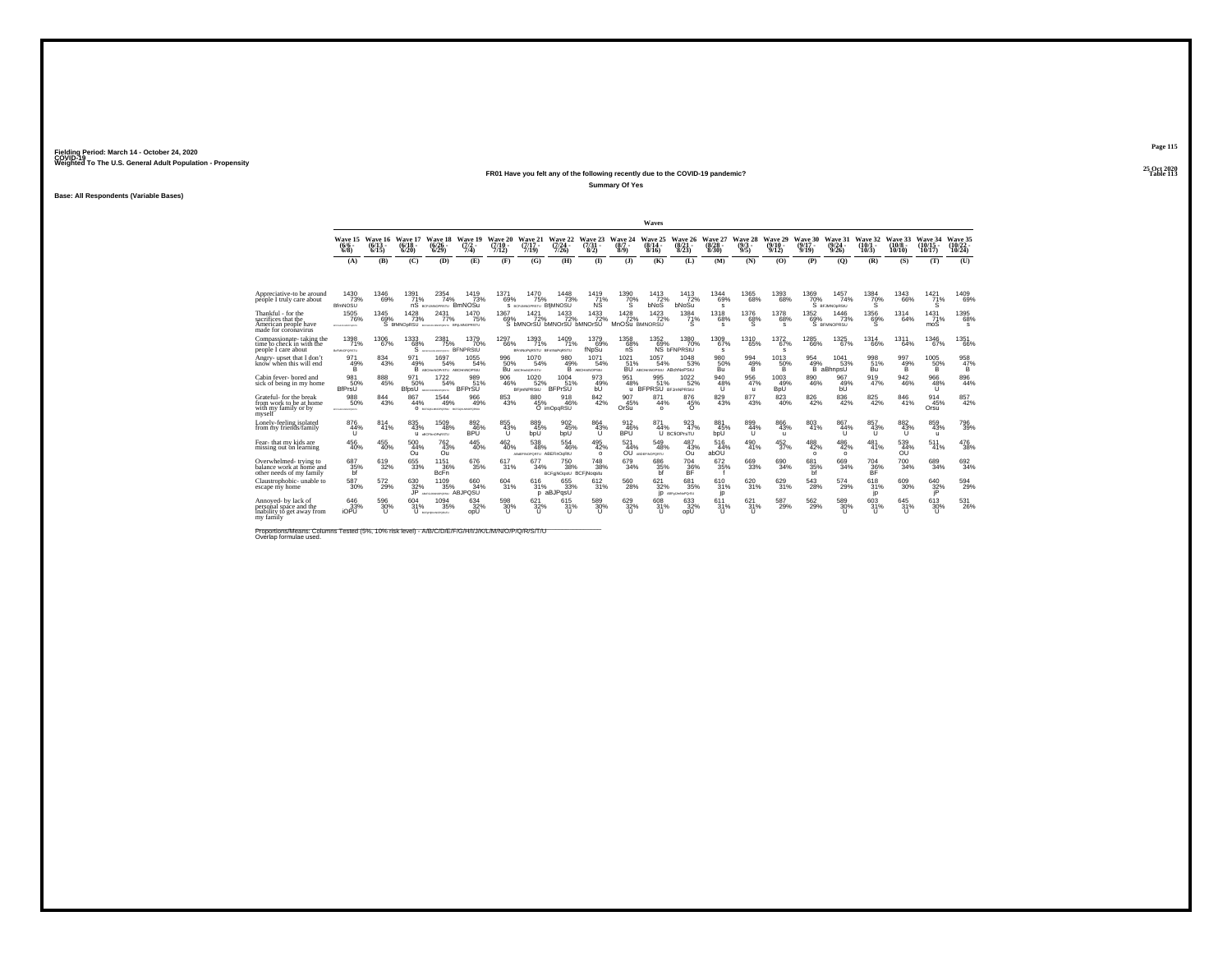### **25 Oct 2020FR01 Have you felt any of the following recently due to the COVID-19 pandemic?Table 113**

**Summary Of Yes**

**Base: All Respondents (Variable Bases)**

|                                                                                                                              |                                     |                              |                                          |                                             |                                |                                      |                                         |                                               |                                      |                                   | Waves                                    |                                         |                                  |                                           |                            |                                       |                              |                              |                               |                                |                                |
|------------------------------------------------------------------------------------------------------------------------------|-------------------------------------|------------------------------|------------------------------------------|---------------------------------------------|--------------------------------|--------------------------------------|-----------------------------------------|-----------------------------------------------|--------------------------------------|-----------------------------------|------------------------------------------|-----------------------------------------|----------------------------------|-------------------------------------------|----------------------------|---------------------------------------|------------------------------|------------------------------|-------------------------------|--------------------------------|--------------------------------|
|                                                                                                                              | Wave 15<br>$(6/6 -$<br>$6/8$ )      | Wave 16<br>$(6/13 -$<br>6/15 | Wave 17<br>(6/18 -<br>6/20               | Wave 18<br>$(6/26 -$<br>6/29                | Wave 19<br>$\frac{(7/2)}{7/4}$ | Wave 20 Wave 21<br>$(7/10 -$<br>7/12 | (7/17 -<br>7/19                         | Wave 22<br>$\frac{(7/24 - 7)}{7/26}$          | Wave 23 Wave 24<br>$(7/31 -$<br>8/2) | $(8/7 -$<br>8/9                   | Wave 25<br>$(8/14 -$<br>8/16             | Wave 26 Wave 27<br>$(8/21 -$<br>8/23    | $(8/28 -$<br>8/30                | <b>Wave 28</b><br>$(9/3 -$<br>9/5         | Wave 29<br>(9/10 -<br>9/12 | Wave 30<br>$(9/17 -$<br>9/19          | Wave 31<br>(9/24 -<br>9/26   | Wave 32<br>$(10/1 -$<br>10/3 | Wave 33<br>$(10/8 -$<br>10/10 | Wave 34<br>$(10/15 -$<br>10/17 | Wave 35<br>$(10/22 -$<br>10/24 |
|                                                                                                                              | (A)                                 | (B)                          | (C)                                      | (D)                                         | (E)                            | (F)                                  | (G)                                     | (H)                                           | <b>D</b>                             | (3)                               | (K)                                      | (L)                                     | (M)                              | (N)                                       | (0)                        | (P)                                   | (0)                          | (R)                          | (S)                           | (T)                            | (U)                            |
| Appreciative-to be around<br>péople I truly care about                                                                       | 1430<br>73%<br><b>BfmNOSU</b>       | $^{1346}_{69\%}$             | 1391<br>71%                              | 2354<br>74%<br>nS BCFUMNOPRSTU BMNOSU       | $^{1419}_{73\%}$               | 1371<br>69%                          | 1470<br>75%<br>S BCFUMNOPRSTU BfiMNOSU  | 1448<br>73%                                   | 1419<br>71%<br><b>NS</b>             | 1390 70%<br>s                     | 1413<br>72%<br>bNoS                      | 1413<br>72%<br>bNoSu                    | $^{1344}_{69\%}$<br>s            | $^{1365}_{\  \  \, 68\%}$                 | 1393<br>68%                | 1369<br>70%                           | 1457<br>74%<br>S BFJMNOORSIU | 1384<br>70%<br>s             | 1343<br>66%                   | $1421$ <sub>71%</sub><br>s     | 1409<br>69%                    |
| Thankful - for the<br>sacrifices that the<br>American people have<br>made for coronavirus                                    | 1505<br>76%<br>BOYD-BASINGPUREEV    | 1345<br>69%                  | 1428<br>73%<br>S BIMNOPRSU ROSHARMORESTU | 2431<br>77%                                 | 1470<br>75%                    | 1367<br>69%                          | 1421                                    | $^{1433}_{72\%}$<br>S bMNOrSU bMNOrSU bMNOrSU | $^{1433}_{72\%}$                     | $^{1428}_{72\%}$<br>MnOSu BMNORSU | $\frac{1423}{72\%}$                      | $^{1384}_{71\%}$<br>s                   | $^{1318}_{68\%}$<br>$\mathbf{s}$ | $^{1376}_{68\%}$                          | 1378<br>68%<br>s           | $^{1352}_{69\%}$                      | 1446<br>73%<br>S BFMNOPRSU   | $^{1356}_{68\%}$             | 1314<br>64%                   | $\frac{1431}{71\%}$<br>moS     | 1395<br>68%<br>s               |
| Compassionate-taking the<br>time to check in with the<br>people I care about                                                 | 1398<br>71%<br>BUFMACPORSTU         | 1306<br>67%                  | 1333<br>68%<br>`S                        | 2381<br>75%<br>ARCIPTOMARCHARDS BFNPRStU    | 1379<br>70%                    | 1297<br>66%                          | 1393<br>71%<br>BFmNoPaRSTU BFmNoPaRSTU  | 1409<br>71%                                   | 1379<br>69%<br>fNpSu                 | 1358<br>68%<br>ñŜ                 | 1352<br>69%                              | 1380<br>70%<br><b>NS bFNPRStU</b>       | 1309<br>67%<br>s                 | 1310<br>65%                               | 1372<br>67%<br>s           | 1285<br>66%                           | 1325<br>67%                  | 1314<br>66%                  | 1311<br>64%                   | 1346<br>67%                    | 1351<br>66%                    |
| Angry- upset that I don't<br>know when this will end                                                                         | 971<br>49%<br>B                     | 834<br>43%                   | 971<br>49%                               | 1697<br>54%<br>B ABCHWOP-STU ABCHINOPSIU    | 1055<br>54%                    | 996<br>50%                           | 1070<br>54%<br>BU ABCHINOPISTU          | 980<br>49%                                    | 1071<br>54%<br>B ABCHINOPSIU         | 1021<br>51%                       | 1057<br>54%<br>BU ABCHINOPSIJ ABChNoPSIU | 1048<br>53%                             | 980<br>50%<br>Bu                 | 994<br>49%<br>в                           | 1013<br>50%<br>в           | 954<br>49%<br>в                       | 1041<br>53%<br>aBhnpsU       | 998<br>51%<br>Bu             | 997<br>49%<br>в               | 1005<br>50%<br>в               | $\frac{958}{47\%}$<br>B.       |
| Cabin fever- bored and<br>sick of being in my home                                                                           | 981<br>50%<br><b>BfPrsU</b>         | 888<br>45%                   | 971<br>50%<br>BfpsU                      | 1722<br>54%<br>ARCEPHANMICPORTS             | 989<br>51%<br><b>BFPrSU</b>    | 906<br>46%                           | 1020<br>52%<br>BFimNPRStU               | 1004<br>BFPrSU                                | 973<br>49%<br>hU.                    | 951<br>48%<br>$\mathbf{u}$        | 995<br>6 - 51% - 52<br>BFPRSU BFJmNPRSIU | 1022<br>52%                             | 940<br>$^{48\%}$                 | $\underset{47\%}{^{956}}$<br>$\mathbf{u}$ | 1003<br>49%<br><b>BpU</b>  | 890<br>46%                            | 967<br>49%<br>bŰ             | 919<br>47%                   | 942<br>46%                    | 966<br>48%<br>u                | $\substack{896 \\ 44\%}$       |
| Grateful- for the break<br>from work to be at home<br>with my family or by<br>myself                                         | 988<br>50%<br><b>BOTOHLANDPORTU</b> | 844<br>43%                   | 867<br>44%                               | 1544<br>49%<br>О вочнимилении вспекамоговии | 966<br>49%                     | 853<br>43%                           | 880<br>45%                              | 918<br>46%<br>O imOpqRSU                      | 842<br>42%                           | 907<br>45%<br>OrSu <sup>®</sup>   | 871<br>44%<br>$\Omega$                   | 876<br>$^{45%}_{0}$                     | 829<br>43%                       | 877<br>43%                                | 823<br>40%                 | 826<br>42%                            | 836<br>42%                   | 825<br>42%                   | 846<br>41%                    | 914<br>45%<br>Orsu             | 857<br>42%                     |
| Lonely-feeling isolated<br>from my friends/family                                                                            | 876<br>44%<br>u                     | 814<br>41%                   | 835<br>43%                               | 1509<br>48%<br>U accreoration               | 892<br>46%<br>BPÜ              | 855<br>43%<br>ū                      | 889<br>45%<br>boÙ                       | 902<br>45%<br>bpÜ                             | 864<br>43%<br>u                      | 912<br>46%<br>BPÜ                 | 871<br>44%                               | 923<br>47%<br>U BCfiOPrsTU              | 881<br>45%<br>bpU                | 899<br>44%                                | 866<br>43%<br>u            | 803<br>41%                            | 867<br>44%<br>u              | 857<br>43%<br>ū              | 882<br>43%<br>ū               | 859<br>43%<br>$\mathbf{u}$     | 796<br>39%                     |
| Fear- that my kids are<br>missing out on learning                                                                            | $^{456}_{\ 40\%}$                   | $^{455}_{\  \  \, 40\%}$     | $\frac{500}{44\%}$<br>Ou                 | 762<br>43%<br>Ou                            | $^{445}_{\  \  \, 40\%}$       | $^{462}_{\  \  \, 40\%}$             | 538<br>48%<br>ABSERINGPORTU ABEFINOGRIU | 554<br>46%                                    | $^{495}_{\ 42\%}$<br>$\Omega$        | $\frac{521}{44\%}$                | 549<br>48%<br>OU ABDEFINOPORTU           | 487<br>43%<br>Ou                        | 516<br>44%<br>abOU               | $^{490}_{41\%}$                           | $\frac{452}{37\%}$         | $^{488}_{42\%}$<br>$\Omega$           | $^{486}_{\ 42\%}$<br>$\circ$ | 481 <sub>%</sub>             | 539<br>44%<br>OU              | 511<br>41%                     | $^{476}_{38\%}$                |
| Overwhelmed-trying to<br>balance work at home and<br>other needs of my family                                                | 687<br>35%<br>bf                    | 619<br>32%                   | 655<br>33%                               | 1151<br>36%<br>BcFn                         | 676<br>35%                     | 617<br>31%                           | 677<br>34%                              | 750<br>38%<br>BCFg NOqstU BCFjNoqstu          | 748<br>38%                           | 679<br>34%                        | 686<br>35%                               | 704<br>36%                              | 672<br>35%                       | 669<br>33%                                | 690<br>34%                 | 681<br>35%                            | 669<br>34%                   | 704<br>36%                   | 700<br>34%                    | 689<br>34%                     | 692<br>34%                     |
| Claustrophobic-unable to<br>escape niv home                                                                                  | $\frac{587}{30\%}$                  | $^{572}_{29\%}$              | 630<br>32%<br>JP                         | 1109<br>35%<br>ABJPQSU                      | 660<br>34%                     | 604<br>31%                           | 616<br>31%                              | 655<br>33%<br>p aBJPqsU                       | 612<br>31%                           | 560<br>28%                        | 621<br>32%                               | 681<br>35%<br><b>ID</b> AttraumtoPortsu | 610<br>31%<br>jp                 | 620<br>31%                                | 629<br>31%                 | $^{543}_{\phantom{1}\phantom{1}28\%}$ | 574<br>29%                   | 618<br>31%<br>jp             | 609<br>30%                    | $640_{32\%}$<br>jP             | 594<br>29%                     |
| Annoved- by lack of<br>persoñal spáce and the<br>inability to get away from<br>mv family                                     | $^{646}_{33\%}$ iOPU                | 596<br>30%<br>n              | 604<br>31%                               | 1094<br>35%<br>U scressworown               | 634<br>32%<br>opU              | $\frac{598}{30\%}$<br>n              | $621$ <sub>32%</sub><br>T               | 615<br>31%<br>ш                               | 589<br>30%                           | 629<br>32%<br>ïΤ                  | 608<br>31%                               | 633<br>32%<br>opU                       | 611<br>31%<br>ш                  | 621/31%                                   | 587<br>29%                 | $^{562}_{29\%}$                       | 589<br>30%                   | 603<br>31%<br>               | $645$ <sub>31%</sub>          | $613 \atop 30\%$<br>ш          | $^{531}_{\ 26\%}$              |
| Proportions/Means: Columns Tested (5%, 10% risk level) - A/B/C/D/E/F/G/H/I/J/K/L/M/N/O/P/Q/R/S/T/U<br>Overlap formulae used. |                                     |                              |                                          |                                             |                                |                                      |                                         |                                               |                                      |                                   |                                          |                                         |                                  |                                           |                            |                                       |                              |                              |                               |                                |                                |

**Page 115**25 Oct 2020<br>Table 113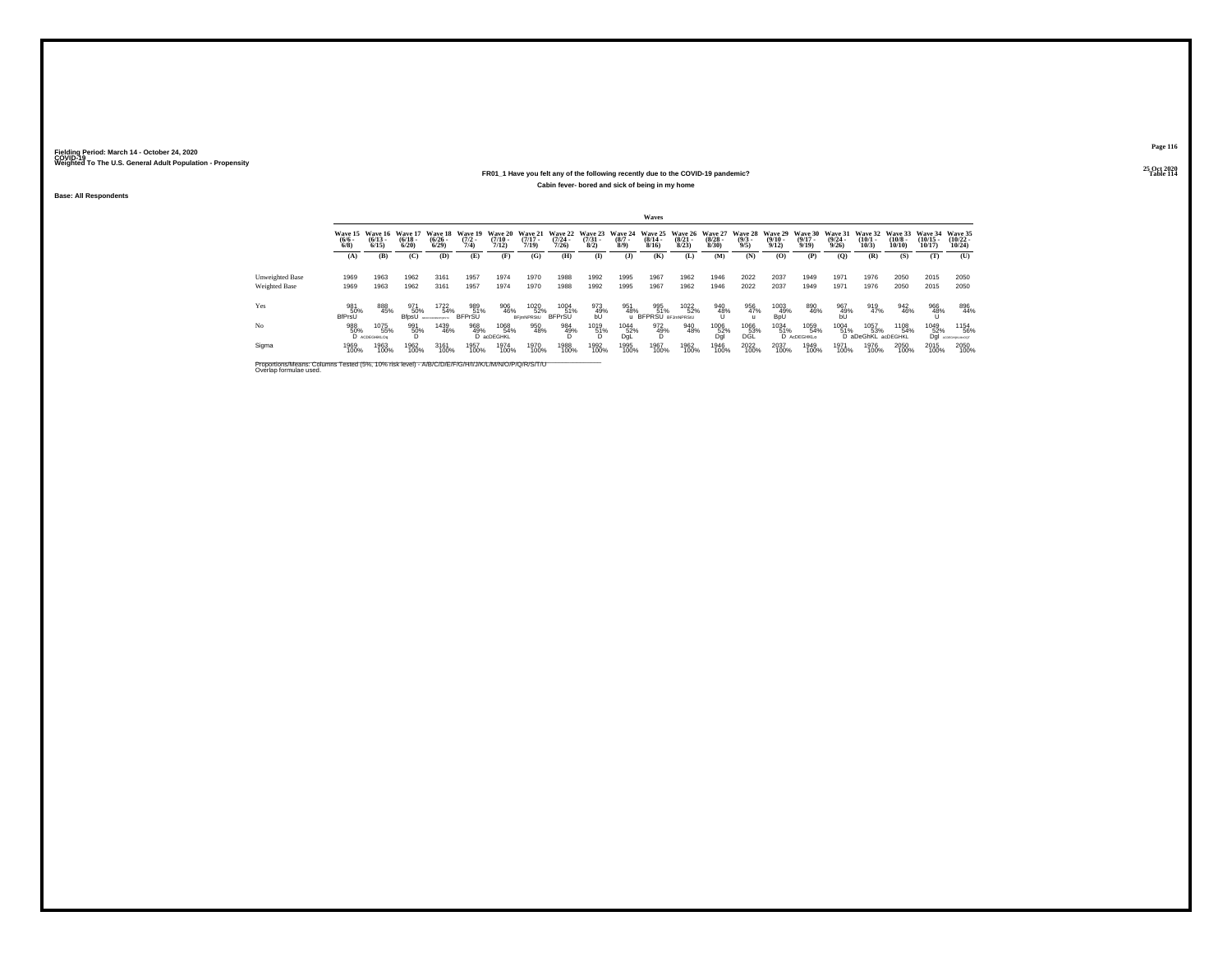### **25 Oct 2020FR01\_1 Have you felt any of the following recently due to the COVID-19 pandemic?Table 114 Table 114 Cabin fever- bored and sick of being in my home**

**Base: All Respondents**

|                                                                                                                              |                             |                              |                              |                                      |                                |                              |                              |                                  |                                 |                            | Waves                                  |                              |                                        |                               |                              |                                  |                                  |                              |                               |                                |                                |
|------------------------------------------------------------------------------------------------------------------------------|-----------------------------|------------------------------|------------------------------|--------------------------------------|--------------------------------|------------------------------|------------------------------|----------------------------------|---------------------------------|----------------------------|----------------------------------------|------------------------------|----------------------------------------|-------------------------------|------------------------------|----------------------------------|----------------------------------|------------------------------|-------------------------------|--------------------------------|--------------------------------|
|                                                                                                                              | Wave 15<br>$\binom{6}{6}$   | Wave 16<br>$(6/13 -$<br>6/15 | Wave 17<br>$(6/18 -$<br>6/20 | Wave 18<br>$\frac{(6/26 - 6)}{6/29}$ | Wave 19<br>$\frac{(7/2)}{7/4}$ | Wave 20<br>$(7/10 -$<br>7/12 | Wave 21<br>$(7/17 -$<br>7/19 | Wave 22<br>$\frac{(7/24)}{7/26}$ | Wave 23<br>$\frac{(7/31)}{8/2}$ | Wave 24<br>$(8/7 -$<br>8/9 | Wave 25<br>$\frac{(8/14)}{8/16}$       | Wave 26<br>$(8/21 -$<br>8/23 | Wave 27<br>$\frac{(8/28 - 8)}{(8/30)}$ | Wave 28<br>$\binom{9/3}{9/5}$ | Wave 29<br>$(9/10 -$<br>9/12 | Wave 30<br>$\frac{(9/17)}{9/19}$ | Wave 31<br>$\frac{(9/24)}{9/26}$ | Wave 32<br>$(10/1 -$<br>10/3 | Wave 33<br>$(10/8 -$<br>10/10 | Wave 34<br>$(10/15 -$<br>10/17 | Wave 35<br>$(10/22 -$<br>10/24 |
|                                                                                                                              | (A)                         | (B)                          | (C)                          | (D)                                  | (E)                            | (F)                          | (G)                          | (H)                              | $\bf{I}$                        | (3)                        | (K)                                    | (L)                          | (M)                                    | (N)                           | (0)                          | (P)                              | (O)                              | (R)                          | (S)                           | (T)                            | (U)                            |
| <b>Unweighted Base</b><br>Weighted Base                                                                                      | 1969<br>1969                | 1963<br>1963                 | 1962<br>1962                 | 3161<br>3161                         | 1957<br>1957                   | 1974<br>1974                 | 1970<br>1970                 | 1988<br>1988                     | 1992<br>1992                    | 1995<br>1995               | 1967<br>1967                           | 1962<br>1962                 | 1946<br>1946                           | 2022<br>2022                  | 2037<br>2037                 | 1949<br>1949                     | 1971<br>1971                     | 1976<br>1976                 | 2050<br>2050                  | 2015<br>2015                   | 2050<br>2050                   |
| Yes                                                                                                                          | 981<br>50%<br><b>BfPrsU</b> | 888<br>45%                   | 971<br>50%<br>BfpsÜ          | 1722<br>54%                          | 989<br>51%<br><b>BFPrSU</b>    | 906<br>46%                   | 1020<br>52%<br>BFimNPRStU    | 1004<br>51%<br><b>BFPrSU</b>     | 973<br>49%<br>bŰ                | 951<br>48%                 | 995<br>51%<br><b>BFPRSU</b> BFJmNPRStU | 1022<br>52%                  | 940<br>48%                             | 956<br>47%                    | 1003<br>49%<br>BpÜ           | 890<br>46%                       | 967<br>49%<br>bŰ                 | 919<br>47%                   | 942<br>46%                    | 966<br>48%                     | 896<br>44%                     |
| No                                                                                                                           | 988<br>50%                  | 1075<br>55%<br>D ACDEGHKLOG  | 991<br>50%                   | 1439<br>46%                          | 968<br>49%                     | 1068<br>54%<br>D acDEGHKL    | 950<br>48%                   | 984<br>49%                       | 1019<br>51%                     | 1044<br>52%<br>DgL         | 972<br>49%<br>D                        | 940<br>48%                   | 1006<br>52%<br>Dgl                     | 1066<br>53%<br>DGL            | 1034<br>51%                  | 1059<br>54%<br>D AcDEGHKLo       | <sup>1004</sup> 51%              | 1057<br>53%<br>D aDeGhKL     | 1108<br>54%<br>acDEGHKL       | 1049<br>52%<br>Dql             | 1154<br>56%<br>ACDEGHNUMHOOT   |
| Sigma                                                                                                                        | 1969<br>100%                | 1963<br>100%                 | 1962<br>100%                 | 3161<br>100%                         | 1957<br>100%                   | 1974<br>100%                 | 1970<br>100%                 | 1988<br>100%                     | 1992<br>100%                    | 1995<br>100%               | 1967<br>100%                           | 1962<br>100%                 | 1946<br>100%                           | 2022<br>100%                  | 2037<br>100%                 | 1949<br>100%                     | 1971<br>100%                     | 1976<br>100%                 | 2050<br>100%                  | 2015<br>100%                   | 2050<br>100%                   |
| Proportions/Means: Columns Tested (5%, 10% risk level) - A/B/C/D/E/F/G/H/I/J/K/L/M/N/O/P/Q/R/S/T/U<br>Overlap formulae used. |                             |                              |                              |                                      |                                |                              |                              |                                  |                                 |                            |                                        |                              |                                        |                               |                              |                                  |                                  |                              |                               |                                |                                |

**Page 116**25 Oct 2020<br>Table 114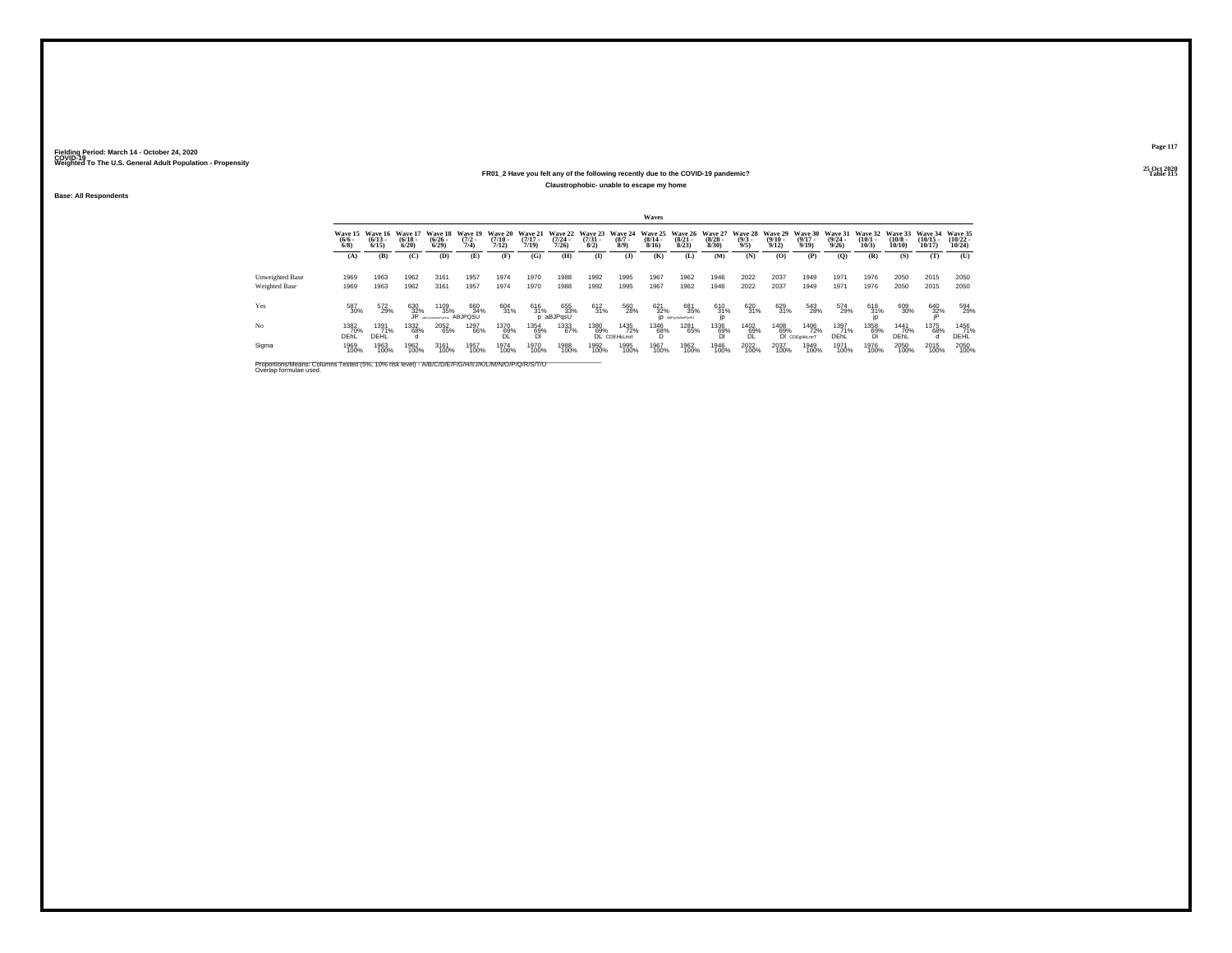### **25 Oct 2020FR01\_2 Have you felt any of the following recently due to the COVID-19 pandemic?Particular Table 115 Table 115 Table 115 Claustrophobic- unable to escape my home**

**Base: All Respondents**

|                                                                                                                              |                           |                              |                                 |                                      |                                |                                  |                               |                                  |                                |                               | Waves                            |                                        |                                 |                                |                                 |                                  |                                  |                              |                               |                                |                                |
|------------------------------------------------------------------------------------------------------------------------------|---------------------------|------------------------------|---------------------------------|--------------------------------------|--------------------------------|----------------------------------|-------------------------------|----------------------------------|--------------------------------|-------------------------------|----------------------------------|----------------------------------------|---------------------------------|--------------------------------|---------------------------------|----------------------------------|----------------------------------|------------------------------|-------------------------------|--------------------------------|--------------------------------|
|                                                                                                                              | Wave 15<br>$\binom{6}{6}$ | Wave 16<br>$(6/13 -$<br>6/15 | Wave 1<br>$\frac{(6/18)}{6/20}$ | Wave 18<br>$\frac{(6/26 - 6)}{6/29}$ | Wave 19<br>$\frac{(7/2)}{7/4}$ | Wave 20<br>$\frac{(7/10)}{7/12}$ | Wave 21<br>$(7/17 -$<br>7719) | Wave 22<br>$\frac{(7/24)}{7/26}$ | Wave 23<br>$\binom{7/31}{8/2}$ | Wave 24<br>$\binom{8/7}{8/9}$ | Wave 25<br>$\frac{(8/14)}{8/16}$ | Wave 26<br>$\frac{(8/21)}{8/23}$       | Wave 27<br>$\binom{8/28}{8/30}$ | Wave 28<br>$\frac{(9/3)}{9/5}$ | Wave 29<br>$\binom{9/10}{9/12}$ | Wave 30<br>$\frac{(9/17)}{9/19}$ | Wave 31<br>$\frac{(9/24)}{9/26}$ | Wave 32<br>$(10/1 -$<br>10/3 | Wave 33<br>$(10/8 -$<br>10/10 | Wave 34<br>$(10/15 -$<br>10/17 | Wave 35<br>$(10/22 -$<br>10/24 |
|                                                                                                                              | (A)                       | (B)                          | (C)                             | (D)                                  | (E)                            | (F)                              | (G)                           | (H)                              | $\mathbf{I}$                   | $\mathbf{J}$                  | (K)                              | (L)                                    | (M)                             | (N)                            | (0)                             | (P)                              | (0)                              | (R)                          | (S)                           | (T)                            | (U)                            |
| <b>Unweighted Base</b><br>Weighted Base                                                                                      | 1969<br>1969              | 1963<br>1963                 | 1962<br>1962                    | 3161<br>3161                         | 1957<br>1957                   | 1974<br>1974                     | 1970<br>1970                  | 1988<br>1988                     | 1992<br>1992                   | 1995<br>1995                  | 1967<br>1967                     | 1962<br>1962                           | 1946<br>1946                    | 2022<br>2022                   | 2037<br>2037                    | 1949<br>1949                     | 1971<br>1971                     | 1976<br>1976                 | 2050<br>2050                  | 2015<br>2015                   | 2050<br>2050                   |
| Yes                                                                                                                          | 587<br>30%                | 572<br>29%                   | 630<br>32%<br>JP                | 1109<br>35%                          | 660<br>34%<br><b>ABJPOSU</b>   | 604<br>31%                       | 616<br>31%                    | 655<br>33%<br>aBJPqsU            | 612<br>31%                     | 560<br>28%                    | 621<br>32%                       | 681<br>35%<br><b>ID</b> ABRIGUINGPOISU | 610<br>31%                      | 620<br>31%                     | 629<br>31%                      | 543<br>28%                       | 574<br>29%                       | 618<br>31%                   | 609<br>30%                    | 640<br>32%                     | 594<br>29%                     |
| No                                                                                                                           | 1382<br>70%<br>DEhL       | 1391<br>71%<br>DEHL          | 1332<br>68%                     | 2052<br>65%                          | 1297<br>66%                    | 1370<br>69%<br><b>DL</b>         | 1354<br>69%                   | 1333<br>67%                      | 1380<br>69%<br><b>DI</b>       | 1435<br>72%<br>CDEHkLmrt      | 1346<br>68%<br>D.                | 1281<br>65%                            | 1336<br>69%<br>ĎI               | 1402<br>69%<br>DL              | 1408<br>69%                     | 1406<br>72%<br>DI CDEGHKLmrT     | 1397<br>71%<br>DEhL              | 1358<br>69%<br>DI            | 1441<br>70%<br>DEhL           | <sup>1375</sup> 68%            | 1456<br>71%<br>DEHL            |
| Sigma                                                                                                                        | 1969<br>100%              | 1963<br>100%                 | 1962<br>100%                    | 3161<br>100%                         | 1957<br>100%                   | 1974<br>100%                     | 1970<br>100%                  | 1988<br>100%                     | 1992<br>100%                   | 1995<br>100%                  | 1967<br>100%                     | 1962<br>100%                           | 1946<br>100%                    | 2022<br>100%                   | 2037<br>100%                    | 1949<br>100%                     | 1971<br>100%                     | 1976<br>100%                 | 2050<br>100%                  | 2015<br>100%                   | 2050<br>100%                   |
| Proportions/Means: Columns Tested (5%, 10% risk level) - A/B/C/D/E/F/G/H/I/J/K/L/M/N/O/P/Q/R/S/T/U<br>Overlap formulae used. |                           |                              |                                 |                                      |                                |                                  |                               |                                  |                                |                               |                                  |                                        |                                 |                                |                                 |                                  |                                  |                              |                               |                                |                                |

**Page 117**25 Oct 2020<br>Table 115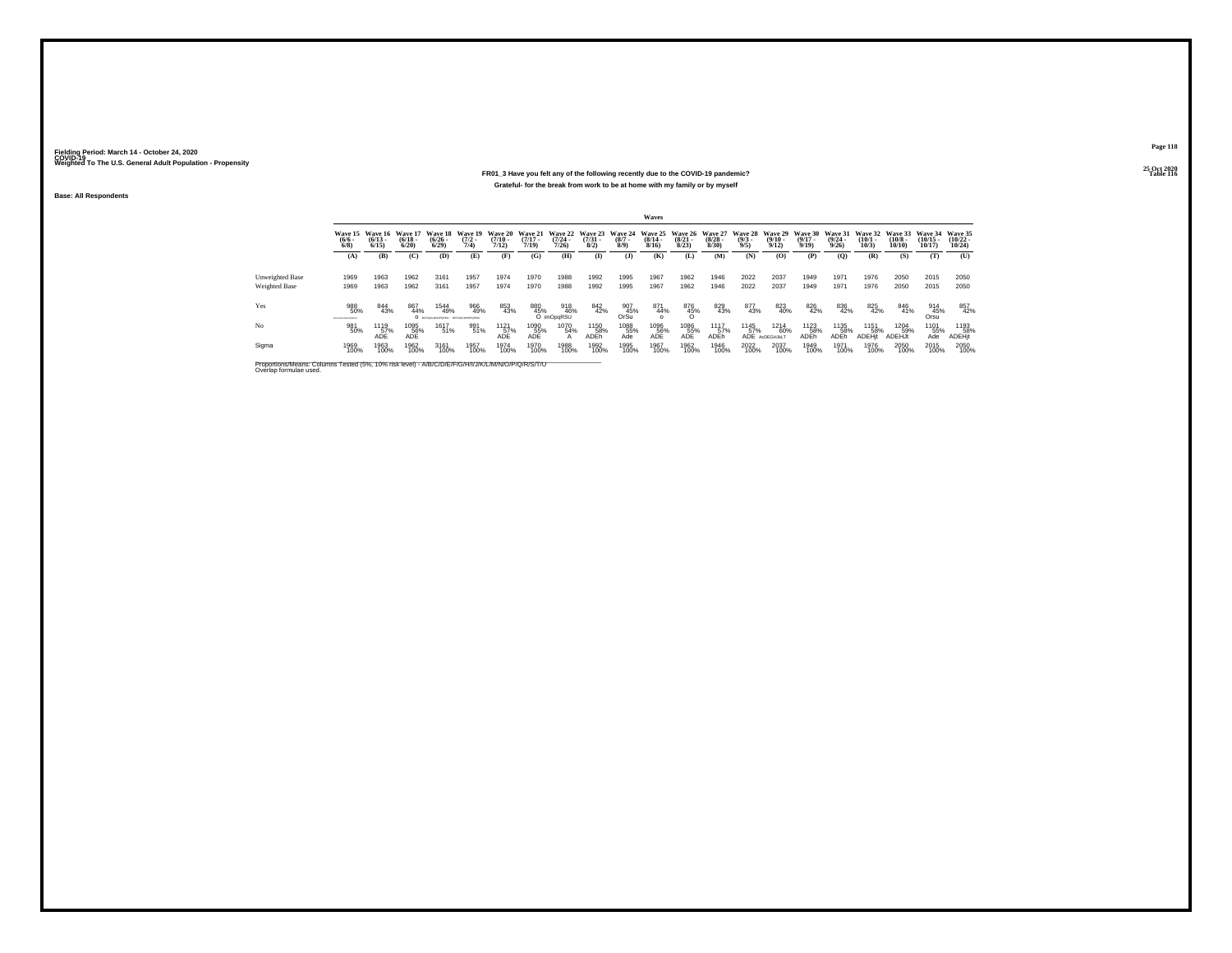### **25 Oct 2020FR01\_3 Have you felt any of the following recently due to the COVID-19 pandemic?Particular Table 116 Table 116 Table 116 Table 116 Table 116 Grateful- for the break from work to be at home with my family or by myself**

**Base: All Respondents**

|                                         |                                 |                                              |                       |                                                |                     |                                  |                                  |                                  |                                |                                      | Waves                                   |                                         |                       |                                       |                                       |                                    |                                         |                                 |                                        |                                |                                   |
|-----------------------------------------|---------------------------------|----------------------------------------------|-----------------------|------------------------------------------------|---------------------|----------------------------------|----------------------------------|----------------------------------|--------------------------------|--------------------------------------|-----------------------------------------|-----------------------------------------|-----------------------|---------------------------------------|---------------------------------------|------------------------------------|-----------------------------------------|---------------------------------|----------------------------------------|--------------------------------|-----------------------------------|
|                                         | $\frac{(6/6)}{6/8}$             | Wave 15 Wave 16 Wave 17<br>$(6/13 -$<br>6/15 | $\frac{(6/18)}{6/20}$ | Wave 18 Wave 19<br>$\frac{(6/26 - 6)}{(6/29)}$ | $\frac{(7/2)}{7/4}$ | Wave 20<br>$\frac{(7/10)}{7/12}$ | Wave 21<br>$\frac{(7/17)}{7/19}$ | Wave 22<br>$\frac{(7/24)}{7/26}$ | Wave 23<br>$\binom{7/31}{8/2}$ | <b>Wave 24</b><br>$\binom{8/7}{8/9}$ | <b>Wave 25</b><br>$\frac{(8/14)}{8/16}$ | Wave 26 Wave 27<br>$\binom{8/21}{8/23}$ | $\frac{(8/28)}{8/30}$ | Wave 28 Wave 29<br>$\binom{9/3}{9/5}$ | $\frac{(9/10)}{9/12}$                 | Wave 30<br>$\frac{(9/17)}{9/19}$   | Wave 31<br>$\frac{(9/24 - 9/26)}{9/26}$ | Wave 32<br>$\binom{10/1}{10/3}$ | Wave 33<br>$\frac{(10/8 - 10)}{10/10}$ | Wave 34<br>$(10/15 -$<br>10/17 | Wave 35<br>$\binom{10/22}{10/24}$ |
|                                         | (A)                             | (B)                                          | (C)                   | (D)                                            | (E)                 | (F)                              | (G)                              | (H)                              | $\bf{I}$                       | (1)                                  | (K)                                     | (L)                                     | (M)                   | (N)                                   | (O)                                   | (P)                                | (Q)                                     | (R)                             | (S)                                    | (T)                            | (U)                               |
| <b>Unweighted Base</b><br>Weighted Base | 1969<br>1969                    | 1963<br>1963                                 | 1962<br>1962          | 3161<br>3161                                   | 1957<br>1957        | 1974<br>1974                     | 1970<br>1970                     | 1988<br>1988                     | 1992<br>1992                   | 1995<br>1995                         | 1967<br>1967                            | 1962<br>1962                            | 1946<br>1946          | 2022<br>2022                          | 2037<br>2037                          | 1949<br>1949                       | 1971<br>1971                            | 1976<br>1976                    | 2050<br>2050                           | 2015<br>2015                   | 2050<br>2050                      |
| Yes                                     | 988<br>50%<br>BOYDHUNLMAGPORE'S | 844<br>43%                                   | 867<br>44%            | 1544<br>49%<br>О всюденномика всюденномика     | 966<br>49%          | 853<br>43%                       | 880<br>45%                       | 918<br>46%<br>O imOpaRSU         | 842<br>42%                     | 907<br>45%<br>OrSu                   | 871<br>44%<br>$\Omega$                  | 876<br>45%                              | 829<br>43%            | 877<br>43%                            | 823<br>40%                            | 826<br>42%                         | 836<br>42%                              | 825<br>42%                      | 846<br>41%                             | 914<br>45%<br>Orsu             | 857<br>42%                        |
| No                                      | 981<br>50%                      | 1119<br>57%<br>ADF                           | 1095<br>56%<br>ADE    | 1617<br>51%                                    | 991<br>51%          | 1121<br>57%<br>ADF               | 1090<br>55%<br>ADE               | 1070<br>54%<br>А                 | 1150<br>58%<br>ADEh            | 1088<br>55%<br>Ade                   | 1096<br>56%<br>ADE                      | 1086<br>55%<br>ADE                      | 1117<br>57%<br>ADEh   | 1145<br>57%                           | <sup>1214</sup> 60%<br>ADE ACDEGHJKLT | <sup>1123</sup> 58%<br><b>ADEh</b> | <sup>1135</sup><br>58%<br>ADEh          | 1151<br>58%<br><b>ADEHit</b>    | 1204<br>59%<br><b>ADEHJt</b>           | 1101<br>55%<br>Ade             | 1193<br>58%<br>ADEHit             |
| Sigma                                   | 1969<br>100%                    | 1963<br>100%                                 | 1962<br>100%          | 3161<br>100%                                   | 1957<br>100%        | 1974<br>100%                     | 1970<br>100%                     | 1988<br>100%                     | 1992<br>100%                   | 1995<br>100%                         | 1967<br>100%                            | 1962<br>100%                            | 1946<br>100%          | 2022<br>100%                          | 2037<br>100%                          | 1949<br>100%                       | 1971<br>100%                            | 1976<br>100%                    | 2050<br>100%                           | 2015<br>100%                   | 2050<br>100%                      |

Proportions/Means: Columns Tested (5%, 10% risk level) - A/B/C/D/E/F/G/H/I/J/K/L/M/N/O/P/Q/R/S/T/U Overlap formulae used.<br>Overlap formulae used.

**Page 118**25 Oct 2020<br>Table 116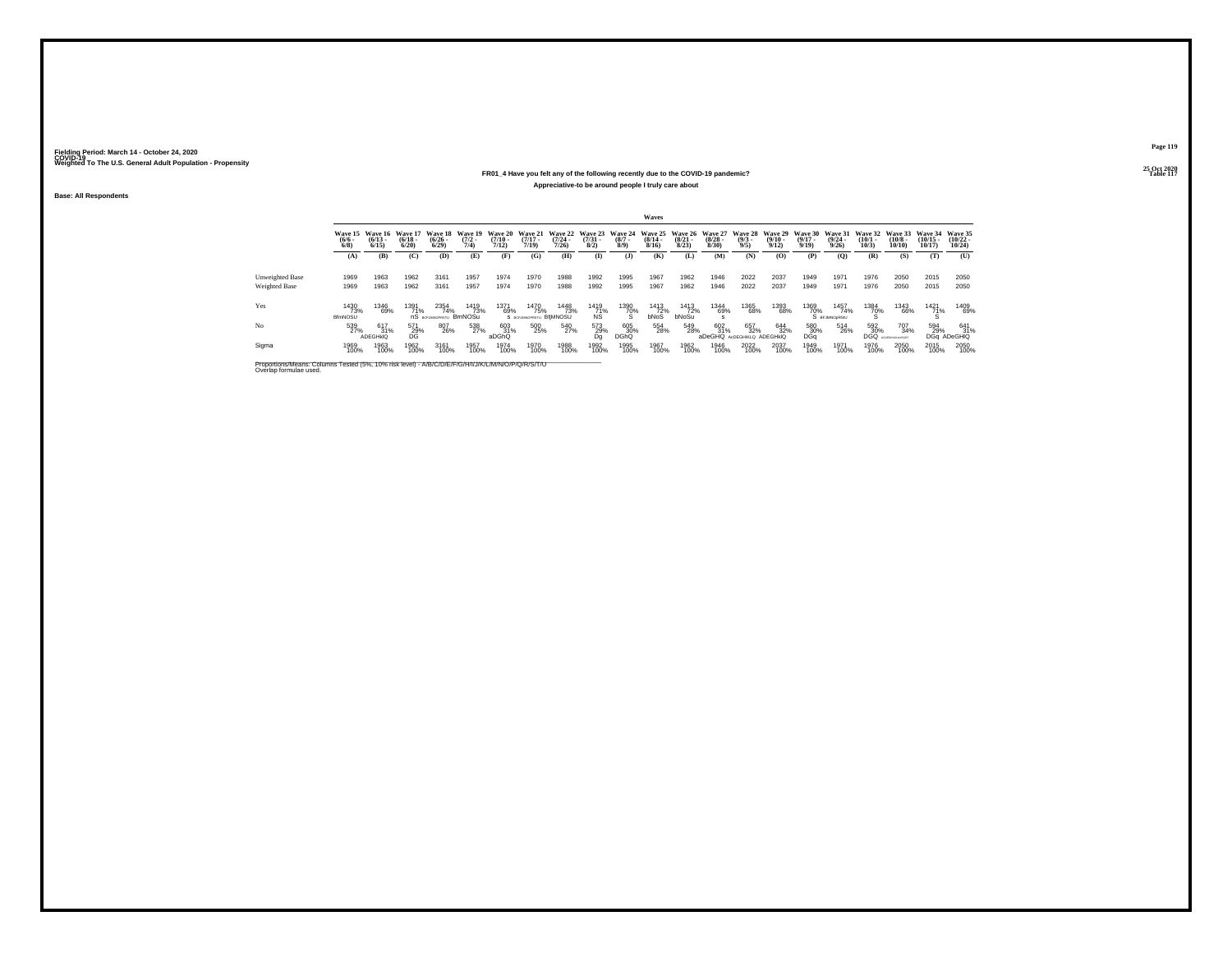### **25 Oct 2020FR01\_4 Have you felt any of the following recently due to the COVID-19 pandemic?P** Table 117 **Appreciative-to be around people I truly care about**

**Base: All Respondents**

|                                                                                                                              |                         |                                     |                             |                                 |                                |                              |                                        |                                  |                                |                               | Waves                            |                                 |                                 |                                   |                              |                                  |                                  |                              |                               |                                |                                |
|------------------------------------------------------------------------------------------------------------------------------|-------------------------|-------------------------------------|-----------------------------|---------------------------------|--------------------------------|------------------------------|----------------------------------------|----------------------------------|--------------------------------|-------------------------------|----------------------------------|---------------------------------|---------------------------------|-----------------------------------|------------------------------|----------------------------------|----------------------------------|------------------------------|-------------------------------|--------------------------------|--------------------------------|
|                                                                                                                              | Wave 15<br>(6/6)<br>6/8 | <b>Wave 16</b><br>$(6/13 -$<br>6/15 | Wave 1<br>$(6/18 -$<br>6/20 | Wave 18<br>$\binom{6/26}{6/29}$ | Wave 19<br>$\frac{(7/2)}{7/4}$ | Wave 20<br>$(7/10 -$<br>7/12 | Wave 21<br>$(7/17 -$<br>7/19           | Wave 22<br>$\frac{(7/24)}{7/26}$ | Wave 23<br>$\binom{7/31}{8/2}$ | Wave 24<br>$\binom{8/7}{8/9}$ | Wave 25<br>$\frac{(8/14)}{8/16}$ | Wave 26<br>$\binom{8/21}{8/23}$ | Wave 27<br>$\binom{8/28}{8/30}$ | Wave 28<br>$\frac{(9/3)}{9/5}$    | Wave 29<br>$(9/10 -$<br>9/12 | Wave 30<br>$\frac{(9/17)}{9/19}$ | Wave 31<br>$\frac{(9/24)}{9/26}$ | Wave 32<br>$(10/1 -$<br>10/3 | Wave 33<br>$(10/8 -$<br>10/10 | Wave 34<br>$(10/15 -$<br>10/17 | Wave 35<br>$(10/22 -$<br>10/24 |
|                                                                                                                              | (A)                     | (B)                                 | (C)                         | (D)                             | (E)                            | (F)                          | (G)                                    | (H)                              | $($ $\Gamma$                   | $\mathbf{J}$                  | (K)                              | (L)                             | (M)                             | (N)                               | (0)                          | (P)                              | (0)                              | (R)                          | (S)                           | (T)                            | (U)                            |
| <b>Unweighted Base</b><br><b>Weighted Base</b>                                                                               | 1969<br>1969            | 1963<br>1963                        | 1962<br>1962                | 3161<br>3161                    | 1957<br>1957                   | 1974<br>1974                 | 1970<br>1970                           | 1988<br>1988                     | 1992<br>1992                   | 1995<br>1995                  | 1967<br>1967                     | 1962<br>1962                    | 1946<br>1946                    | 2022<br>2022                      | 2037<br>2037                 | 1949<br>1949                     | 1971<br>1971                     | 1976<br>1976                 | 2050<br>2050                  | 2015<br>2015                   | 2050<br>2050                   |
| Yes                                                                                                                          | 1430<br>73%<br>BfmNOSU  | 1346<br>69%                         | 1391<br>71%                 | 2354<br>74%<br>nS acruanopestu  | 1419<br>73%<br><b>BmNOSu</b>   | 1371<br>69%                  | 1470<br>75%<br>S BCFUMNOPRSTU BfiMNOSU | 1448<br>73%                      | 1419<br>71%<br>NS              | 1390<br>70%<br>×.             | 1413<br>72%<br>bNoS              | 1413<br>72%<br>bNoSu            | 1344<br>69%                     | 1365<br>68%                       | 1393<br>68%                  | 1369<br>70%                      | 1457<br>74%<br>S BEJMNOORS/U     | 1384<br>70%                  | 1343<br>66%                   | 1421<br>71%                    | 1409<br>69%                    |
| No                                                                                                                           | 539<br>27%              | 617<br>31%<br>ADEGHKIQ              | 571<br>29%<br>DG.           | 807<br>26%                      | 538<br>27%                     | 603<br>31%<br>aDGhQ          | 500<br>25%                             | 540<br>27%                       | 573<br>29%<br>Da               | 605<br>30%<br><b>DGhQ</b>     | 554<br>28%                       | 549<br>28%                      | 602<br>31%<br>aDeGHQ            | 657<br>32%<br>AdDEGHIKLO ADEGHKIQ | 644<br>32%                   | 580<br>30%<br>DGa                | 514<br>26%                       | 592<br>30%<br><b>DGQ</b>     | 707<br>34%<br>CORGHAGAPORT    | 594<br>29%<br><b>DGa</b>       | 641<br>31%<br>ADeGHIQ          |
| Sigma                                                                                                                        | 1969<br>100%            | 1963<br>100%                        | 1962<br>100%                | 3161<br>100%                    | 1957<br>100%                   | 1974<br>100%                 | 1970<br>100%                           | 1988<br>100%                     | 1992<br>100%                   | 1995<br>100%                  | 1967<br>100%                     | 1962<br>100%                    | 1946<br>100%                    | 2022<br>100%                      | 2037<br>100%                 | 1949<br>100%                     | 1971<br>100%                     | 1976<br>100%                 | 2050<br>100%                  | 2015<br>100%                   | 2050<br>100%                   |
| Proportions/Means: Columns Tested (5%, 10% risk level) - A/B/C/D/E/F/G/H/I/J/K/L/M/N/O/P/Q/R/S/T/U<br>Overlap formulae used. |                         |                                     |                             |                                 |                                |                              |                                        |                                  |                                |                               |                                  |                                 |                                 |                                   |                              |                                  |                                  |                              |                               |                                |                                |

**Page 119**25 Oct 2020<br>Table 117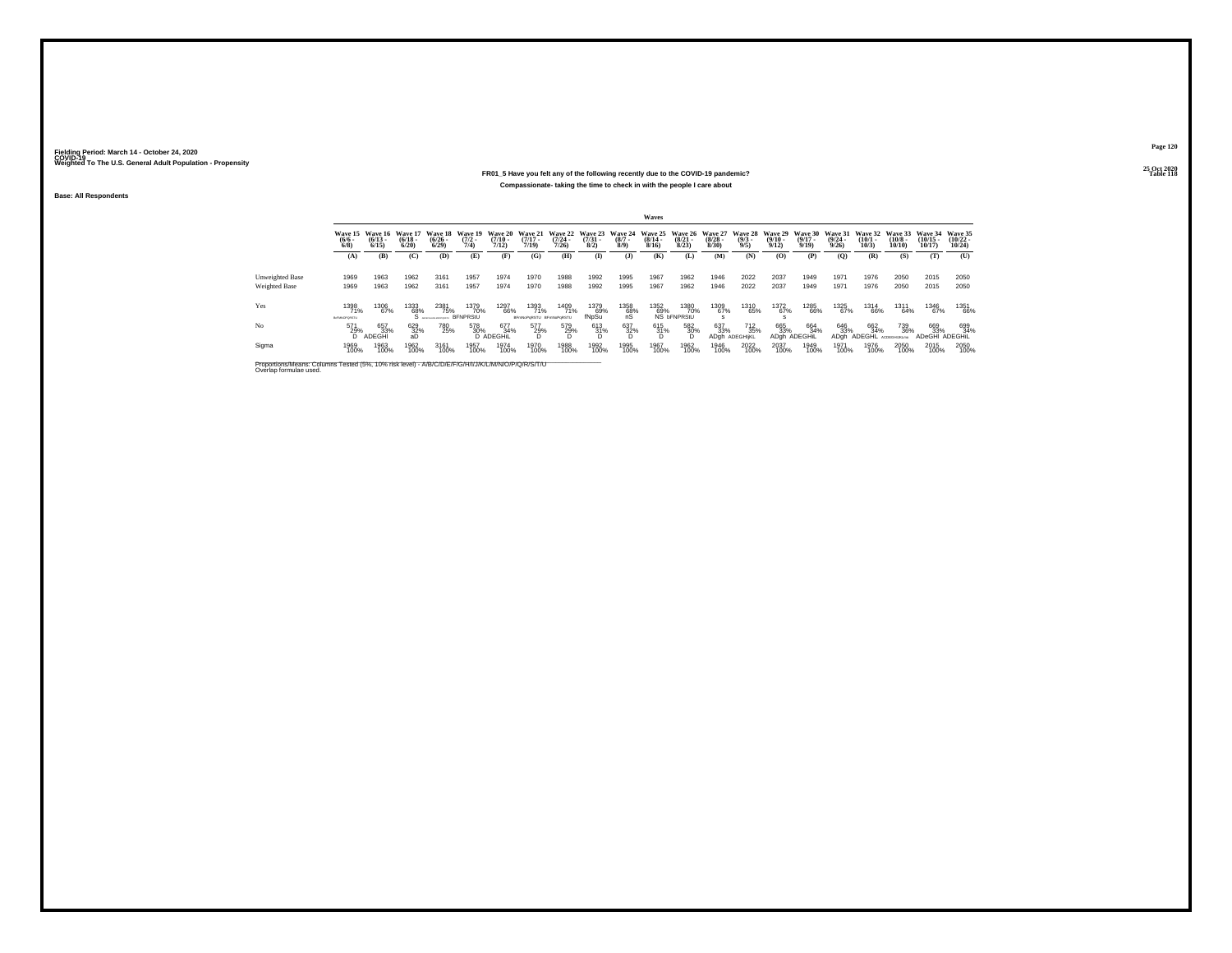### **25 Oct 2020FR01\_5 Have you felt any of the following recently due to the COVID-19 pandemic? Table 118 Compassionate- taking the time to check in with the people I care about**

**Base: All Respondents**

|                 |                             |                                          |                                 |                      |                                        |                                |                                          |                           |                      |                           | Waves                        |                                   |                       |                                                                                                                        |                       |                            |                       |                      |                             |                                        |                     |
|-----------------|-----------------------------|------------------------------------------|---------------------------------|----------------------|----------------------------------------|--------------------------------|------------------------------------------|---------------------------|----------------------|---------------------------|------------------------------|-----------------------------------|-----------------------|------------------------------------------------------------------------------------------------------------------------|-----------------------|----------------------------|-----------------------|----------------------|-----------------------------|----------------------------------------|---------------------|
|                 | $\frac{(6/6)}{6/8}$         | Wave 15 Wave 16<br>$(6/13 -$<br>$6/15$ ) | Wave 17<br>$\binom{6/18}{6/20}$ | $\binom{6/26}{6/29}$ | Wave 18 Wave 19<br>$\frac{(7/2)}{7/4}$ | $\frac{(7/10 - 7)}{7/12}$      | Wave 20 Wave 21<br>$\frac{(7/17)}{7/19}$ | $\frac{(7/24 - 7)}{7/26}$ | $\binom{7/31}{8/2}$  | $\frac{(8/7 - 8)}{(8/9)}$ | $\frac{(8/14 - 8/16)}{8/16}$ | $\frac{(8/21)}{8/23}$             | $\frac{(8/28)}{8/30}$ | Wave 22 Wave 23 Wave 24 Wave 25 Wave 26 Wave 27 Wave 28 Wave 29 Wave 30 Wave 31 Wave 32 Wave 33<br>$\frac{(9/3)}{9/5}$ | $\frac{(9/10)}{9/12}$ | $\frac{(9/17 - 9)}{9/19}$  | $\frac{(9/24)}{9/26}$ | $\binom{10/1}{10/3}$ | $\frac{(10/8 - 10)}{10/10}$ | Wave 34 Wave 35<br>$(10/15 -$<br>10/17 | $(10/22 -$<br>10/24 |
|                 | (A)                         | (B)                                      | (C)                             | (D)                  | (E)                                    | (F)                            | (G)                                      | (H)                       | $\mathbf{I}$         | (3)                       | (K)                          | (L)                               | (M)                   | (N)                                                                                                                    | (0)                   | (P)                        | $\left($ O            | (R)                  | (S)                         | (T)                                    | (U)                 |
| Unweighted Base | 1969                        | 1963                                     | 1962                            | 3161                 | 1957                                   | 1974                           | 1970                                     | 1988                      | 1992                 | 1995                      | 1967                         | 1962                              | 1946                  | 2022                                                                                                                   | 2037                  | 1949                       | 1971                  | 1976                 | 2050                        | 2015                                   | 2050                |
| Weighted Base   | 1969                        | 1963                                     | 1962                            | 3161                 | 1957                                   | 1974                           | 1970                                     | 1988                      | 1992                 | 1995                      | 1967                         | 1962                              | 1946                  | 2022                                                                                                                   | 2037                  | 1949                       | 1971                  | 1976                 | 2050                        | 2015                                   | 2050                |
| Yes             | 1398<br>71%<br>BIFMNOPORSTU | 1306<br>67%                              | 1333<br>68%                     | 2381<br>75%          | 1379<br>70%<br><b>BFNPRStU</b>         | 1297<br>66%                    | 1393<br>71%<br>BFmNoPoRSTU BFmNoPoRSTL   | 1409<br>71%               | 1379<br>69%<br>fNpSu | 1358<br>68%<br>ńS         | 1352<br>69%                  | 1380<br>70%<br>NS <b>bFNPRStU</b> | 1309<br>67%           | 1310<br>65%                                                                                                            | 1372<br>67%           | 1285<br>66%                | 1325<br>67%           | 1314<br>66%          | 1311<br>64%                 | 1346<br>67%                            | 1351<br>66%         |
| No              | 571<br>29%                  | 657<br>33%<br>D ADEGHI                   | 629<br>32%<br>aD                | 780<br>25%           | 578<br>30%                             | 677<br>34%<br><b>D</b> ADEGHIL | 577<br>29%                               | 579<br>29%                | 613<br>31%           | 637<br>32%                | 615<br>31%                   | 582<br>30%<br>D                   | 637<br>33%<br>ADah    | <sup>712</sup> <sub>35%</sub><br>ADEGHIKL                                                                              | 665<br>33%            | 664<br>34%<br>ADah ADEGHIL | 646<br>33%<br>ADah    | 662<br>34%<br>ADEGHL | 739<br>36%<br>ACDEGHUKLmo   | 669<br>33%<br>ADeGHI ADEGHIL           | 699<br>34%          |
| Sigma           | 1969<br>100%                | 1963<br>100%                             | 1962<br>100%                    | 3161<br>100%         | 1957<br>100%                           | 1974<br>100%                   | 1970<br>100%                             | 1988<br>100%              | 1992<br>100%         | 1995<br>100%              | 1967<br>100%                 | 1962<br>100%                      | 1946<br>100%          | 2022<br>100%                                                                                                           | 2037<br>100%          | 1949<br>100%               | 1971<br>100%          | 1976<br>100%         | 2050<br>100%                | 2015<br>100%                           | 2050<br>100%        |

Proportions/Means: Columns Tested (5%, 10% risk level) - A/B/C/D/E/F/G/H/I/J/K/L/M/N/O/P/Q/R/S/T/U Overlap formulae used.<br>Overlap formulae used.

**Page 120**25 Oct 2020<br>Table 118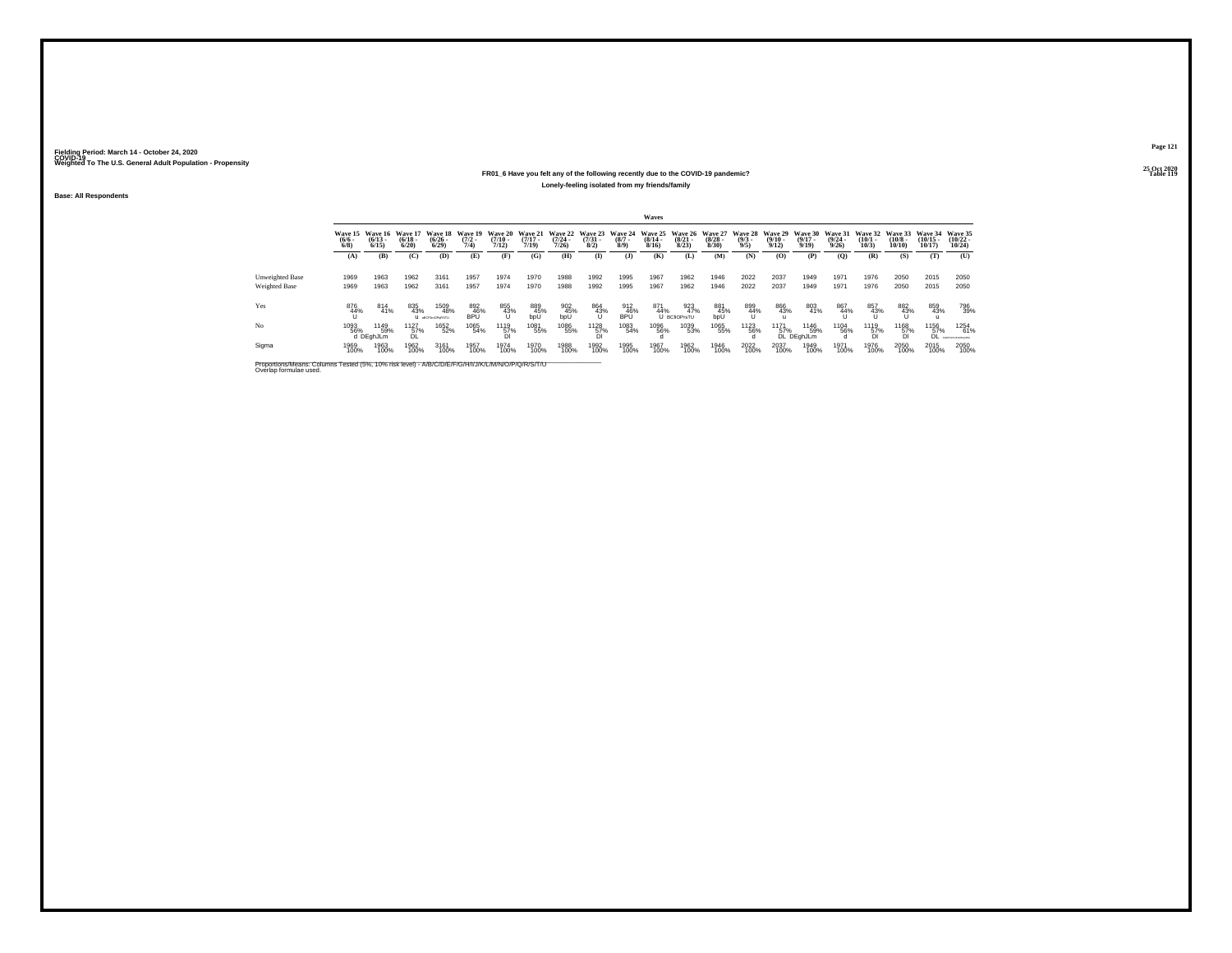### **25 Oct 2020FR01\_6 Have you felt any of the following recently due to the COVID-19 pandemic?Particular Table 119 Table 119 Table 119 Table 119 Table 119 Lonely-feeling isolated from my friends/family**

**Base: All Respondents**

|                                         | Waves                |                                      |                              |                                |                                     |                               |                                  |                                          |                     |                               |                                  |                                        |                                 |                                       |                       |                                  |                              |                                 |                               |                                |                                        |
|-----------------------------------------|----------------------|--------------------------------------|------------------------------|--------------------------------|-------------------------------------|-------------------------------|----------------------------------|------------------------------------------|---------------------|-------------------------------|----------------------------------|----------------------------------------|---------------------------------|---------------------------------------|-----------------------|----------------------------------|------------------------------|---------------------------------|-------------------------------|--------------------------------|----------------------------------------|
|                                         | $\frac{(6/6)}{6/8}$  | Wave 15 Wave 16<br>$(6/13 -$<br>6/15 | Wave 17<br>$(6/18 -$<br>6/20 | $(6/26 -$<br>6/29              | Wave 18 Wave 19<br>$(7/2 -$<br>7/4) | Wave 20<br>$(7/10 -$<br>7/12) | Wave 21<br>$\frac{(7/17)}{7/19}$ | Wave 22 Wave 23<br>$\frac{(7/24)}{7/26}$ | $\binom{7/31}{8/2}$ | Wave 24<br>$\binom{8/7}{8/9}$ | Wave 25<br>$\frac{(8/14)}{8/16}$ | <b>Wave 26</b><br>$\binom{8/21}{8/23}$ | Wave 27<br>$\binom{8/28}{8/30}$ | Wave 28 Wave 29<br>$\binom{9/3}{9/5}$ | $\frac{(9/10)}{9/12}$ | Wave 30<br>$\frac{(9/17)}{9/19}$ | Wave 31<br>$(9/24 -$<br>9/26 | Wave 32<br>$\binom{10/1}{10/3}$ | Wave 33<br>$(10/8 -$<br>10/10 | Wave 34<br>$(10/15 -$<br>10/17 | Wave 35<br>$(10/22 -$<br>10/24         |
|                                         | (A)                  | (B)                                  | (C)                          | (D)                            | (E)                                 | (F)                           | (G)                              | (H)                                      | $($ $\Gamma$        | (J)                           | (K)                              | (L)                                    | (M)                             | (N)                                   | (0)                   | (P)                              | $\mathbf{Q}$                 | (R)                             | (S)                           | (T)                            | (U)                                    |
| Unweighted Base<br><b>Weighted Base</b> | 1969<br>1969         | 1963<br>1963                         | 1962<br>1962                 | 3161<br>3161                   | 1957<br>1957                        | 1974<br>1974                  | 1970<br>1970                     | 1988<br>1988                             | 1992<br>1992        | 1995<br>1995                  | 1967<br>1967                     | 1962<br>1962                           | 1946<br>1946                    | 2022<br>2022                          | 2037<br>2037          | 1949<br>1949                     | 1971<br>1971                 | 1976<br>1976                    | 2050<br>2050                  | 2015<br>2015                   | 2050<br>2050                           |
| Yes                                     | 876<br>$^{44%}_{11}$ | 814<br>41%                           | 835<br>43%                   | 1509<br>48%<br>U ascrivoranstu | 892<br>46%<br>BPÜ                   | 855<br>43%                    | 889<br>45%<br>bpU                | $\frac{902}{45\%}$ bpU                   | 864<br>43%          | 912<br>46%<br>BPÜ             | 871<br>44%                       | 923<br>47%<br>U BCfiOPrsTU             | 881<br>45%<br>bpU               | 899<br>44%<br>U                       | 866<br>43%            | 803<br>41%                       | 867<br>44%                   | 857<br>43%                      | 882<br>43%                    | 859<br>43%                     | 796<br>39%                             |
| No                                      | 1093<br>56%          | 1149<br>59%<br>d DEghJLm             | 1127<br>57%<br>DL.           | 1652<br>52%                    | 1065<br>54%                         | 1119<br>57%<br>Di             | 1081<br>55%                      | 1086<br>55%                              | 1128<br>57%         | 1083<br>54%                   | 1096<br>56%                      | 1039<br>53%                            | 1065<br>55%                     | <sup>1123</sup> 56%                   | 1171<br>57%           | 1146<br>59%<br>DL DEghJLm        | 1104<br>56%                  | 1119<br>57%<br>DI               | 1168<br>57%                   | 1156<br>57%<br>DL              | 1254<br>61%<br><b>CARD AND MACHINE</b> |
| Sigma                                   | 1969<br>100%         | 1963<br>100%                         | 1962<br>100%                 | 3161<br>100%                   | 1957<br>100%                        | 1974<br>100%                  | 1970<br>100%                     | 1988<br>100%                             | 1992<br>100%        | 1995<br>100%                  | 1967<br>100%                     | 1962<br>100%                           | 1946<br>100%                    | 2022<br>100%                          | 2037<br>100%          | 1949<br>100%                     | 1971<br>100%                 | 1976<br>100%                    | 2050<br>100%                  | 2015<br>100%                   | 2050<br>100%                           |

Proportions/Means: Columns Tested (5%, 10% risk level) - A/B/C/D/E/F/G/H/I/J/K/L/M/N/O/P/Q/R/S/T/U Overlap formulae used.<br>Overlap formulae used.

**Page 121**25 Oct 2020<br>Table 119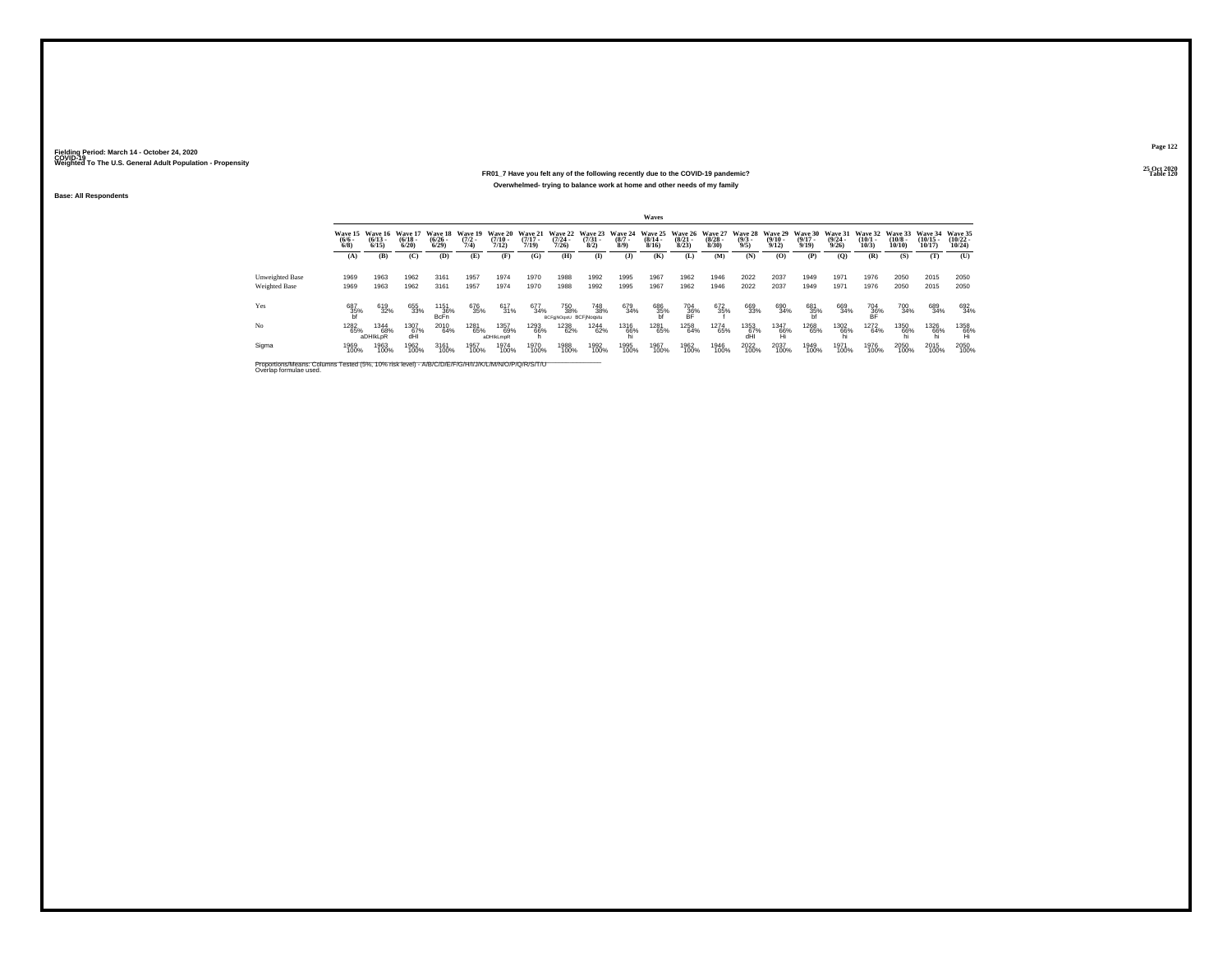## **25 Oct 2020FR01\_7 Have you felt any of the following recently due to the COVID-19 pandemic?Overwhelmed- trying to balance work at home and other needs of my family**

**Base: All Respondents**

|                                         |                     |                                               |                                  |                                        |                                |                                              |                       |                                                  |                     |                    | Waves                         |                      |                                                  |                                                |                       |                       |                                  |                                         |                            |                                |                                   |
|-----------------------------------------|---------------------|-----------------------------------------------|----------------------------------|----------------------------------------|--------------------------------|----------------------------------------------|-----------------------|--------------------------------------------------|---------------------|--------------------|-------------------------------|----------------------|--------------------------------------------------|------------------------------------------------|-----------------------|-----------------------|----------------------------------|-----------------------------------------|----------------------------|--------------------------------|-----------------------------------|
|                                         | $\frac{(6/6)}{6/8}$ | Wave 15 Wave 16<br>$\frac{(6/13-6/15)}{6/15}$ | Wave 17<br>$\frac{(6/18)}{6/20}$ | <b>Wave 18</b><br>$\binom{6/26}{6/29}$ | Wave 19<br>$\frac{(7/2)}{7/4}$ | Wave 20 Wave 21<br>$\frac{(7/10 - 7)}{7/12}$ | $\frac{(7/17)}{7/19}$ | Wave 22 Wave 23 Wave 24<br>$\frac{(7/24)}{7/26}$ | $\binom{7/31}{8/2}$ | $\binom{8/7}{8/9}$ | $\frac{(8/14 \cdot 8)}{8/16}$ | $\binom{8/21}{8/23}$ | Wave 25 Wave 26 Wave 27<br>$\frac{(8/28)}{8/30}$ | Wave 28 Wave 29 Wave 30<br>$\frac{(9/3)}{9/5}$ | $\frac{(9/10)}{9/12}$ | $\frac{(9/17)}{9/19}$ | Wave 31<br>$\frac{(9/24)}{9/26}$ | Wave 32 Wave 33<br>$\binom{10/1}{10/3}$ | $\binom{10/8 - 10}{10/10}$ | Wave 34<br>$(10/15 -$<br>10/17 | Wave 35<br>$\binom{10/22}{10/24}$ |
|                                         | (A)                 | (B)                                           | (C)                              | (D)                                    | (E)                            | (F)                                          | (G)                   | (H)                                              | $($ $\Gamma$        | (3)                | (K)                           | (L)                  | (M)                                              | (N)                                            | (O)                   | (P)                   | (0)                              | (R)                                     | (S)                        | (T)                            | (U)                               |
| Unweighted Base<br><b>Weighted Base</b> | 1969<br>1969        | 1963<br>1963                                  | 1962<br>1962                     | 3161<br>3161                           | 1957<br>1957                   | 1974<br>1974                                 | 1970<br>1970          | 1988<br>1988                                     | 1992<br>1992        | 1995<br>1995       | 1967<br>1967                  | 1962<br>1962         | 1946<br>1946                                     | 2022<br>2022                                   | 2037<br>2037          | 1949<br>1949          | 1971<br>1971                     | 1976<br>1976                            | 2050<br>2050               | 2015<br>2015                   | 2050<br>2050                      |
| Yes                                     | $687 \atop 35\%$    | 619<br>32%                                    | 655<br>33%                       | 1151<br>36%<br>BcFn                    | 676<br>35%                     | 617<br>31%                                   | 677<br>34%            | 750<br>38%<br>BCFg NOqstU BCFjNoqstu             | 748<br>38%          | 679<br>34%         | 686<br>35%<br>bf              | 704<br>36%<br>BF     | 672<br>35%                                       | 669<br>33%                                     | 690<br>34%            | 681<br>35%            | 669<br>34%                       | 704<br>36%<br>BF                        | 700<br>34%                 | 689<br>34%                     | 692<br>34%                        |
| No                                      | 1282<br>65%         | <sup>1344</sup> 68%<br>aDHIkLoR               | 1307<br>67%<br>dHI               | 2010<br>64%                            | 1281<br>65%                    | 1357<br>69%<br>aDHIkLmoR                     | 1293<br>66%           | 1238<br>62%                                      | <sup>1244</sup> 62% | 1316<br>66%        | 1281<br>65%                   | 1258<br>64%          | 1274<br>65%                                      | 1353<br>67%<br>dHI                             | 1347<br>66%           | 1268<br>65%           | 1302<br>66%                      | 1272<br>64%                             | 1350<br>66%                | <sup>1326</sup> 66%            | 1358<br>66%                       |
| Sigma                                   | 1969<br>100%        | 1963<br>100%                                  | 1962<br>100%                     | 3161<br>100%                           | 1957<br>100%                   | 1974<br>100%                                 | 1970<br>100%          | 1988<br>100%                                     | 1992<br>100%        | 1995<br>100%       | 1967<br>100%                  | 1962<br>100%         | 1946<br>100%                                     | 2022<br>100%                                   | 2037<br>100%          | 1949<br>100%          | 1971<br>100%                     | 1976<br>100%                            | 2050<br>100%               | 2015<br>100%                   | 2050<br>100%                      |

Proportions/Means: Columns Tested (5%, 10% risk level) - A/B/C/D/E/F/G/H/I/J/K/L/M/N/O/P/Q/R/S/T/U Overlap formulae used.<br>Overlap formulae used.

**Page 122**

**25 Oct 2020<br>Table 120 Table 120**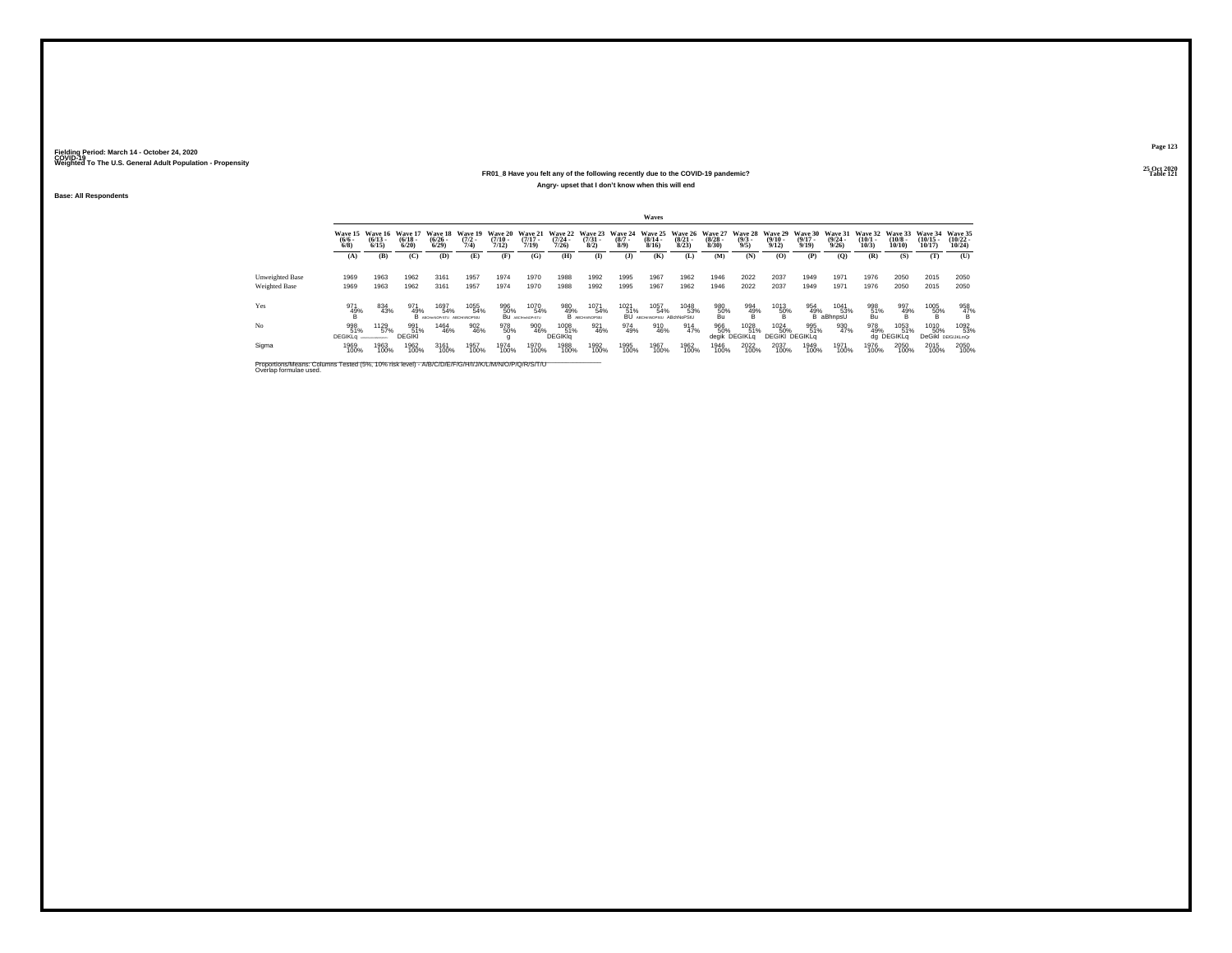## **25 Oct 2020FR01\_8 Have you felt any of the following recently due to the COVID-19 pandemic?Angry- upset that I don't know when this will end**

**Base: All Respondents**

|                                                                                                                              |                            |                                         |                                  |                                         |                                |                                         |                                |                                  |                                |                               | Waves                                    |                                 |                                        |                               |                                  |                                     |                                         |                                 |                               |                                |                                   |
|------------------------------------------------------------------------------------------------------------------------------|----------------------------|-----------------------------------------|----------------------------------|-----------------------------------------|--------------------------------|-----------------------------------------|--------------------------------|----------------------------------|--------------------------------|-------------------------------|------------------------------------------|---------------------------------|----------------------------------------|-------------------------------|----------------------------------|-------------------------------------|-----------------------------------------|---------------------------------|-------------------------------|--------------------------------|-----------------------------------|
|                                                                                                                              | Wave 15<br>$\binom{6}{6}$  | Wave 16<br>$(6/13 -$<br>6/15            | Wave 17<br>$\frac{(6/18)}{6/20}$ | Wave 18<br>$\binom{6/26}{6/29}$         | Wave 19<br>$\frac{(7/2)}{7/4}$ | <b>Wave 20</b><br>$\frac{(7/10)}{7/12}$ | Wave 21<br>$(7/17 -$<br>7/19   | Wave 22<br>$\frac{(7/24)}{7/26}$ | Wave 23<br>$\binom{7/31}{8/2}$ | Wave 24<br>$\binom{8/7}{8/9}$ | Wave 25<br>$\frac{(8/14)}{8/16}$         | Wave 26<br>$\binom{8/21}{8/23}$ | Wave 27<br>$\frac{(8/28 - 8)}{(8/30)}$ | Wave 28<br>$\binom{9/3}{9/5}$ | Wave 29<br>$\frac{(9/10)}{9/12}$ | Wave 30<br>$\frac{(9/17)}{9/19}$    | Wave 31<br>$\frac{(9/24 - 9/26)}{9/26}$ | Wave 32<br>$\binom{10/1}{10/3}$ | Wave 33<br>$(10/8 -$<br>10/10 | Wave 34<br>$(10/15 -$<br>10/17 | Wave 35<br>$(10/22 -$<br>10/24    |
|                                                                                                                              | (A)                        | (B)                                     | (C)                              | (D)                                     | (E)                            | (F)                                     | (G)                            | (H)                              | $\bf{I}$                       | (3)                           | (K)                                      | (L)                             | (M)                                    | (N)                           | (0)                              | (P)                                 | (Q)                                     | (R)                             | (S)                           | (T)                            | (U)                               |
| <b>Unweighted Base</b><br><b>Weighted Base</b>                                                                               | 1969<br>1969               | 1963<br>1963                            | 1962<br>1962                     | 3161<br>3161                            | 1957<br>1957                   | 1974<br>1974                            | 1970<br>1970                   | 1988<br>1988                     | 1992<br>1992                   | 1995<br>1995                  | 1967<br>1967                             | 1962<br>1962                    | 1946<br>1946                           | 2022<br>2022                  | 2037<br>2037                     | 1949<br>1949                        | 1971<br>1971                            | 1976<br>1976                    | 2050<br>2050                  | 2015<br>2015                   | 2050<br>2050                      |
| Yes                                                                                                                          | 971<br>$^{49%}_{\text{B}}$ | 834<br>43%                              | 971<br>49%                       | 1697<br>54%<br>В иконческого двенносеми | 1055<br>54%                    | 996<br>50%                              | 1070<br>54%<br>Bu ABCHINOPISTU | 980<br>49%                       | 1071<br>54%<br>B ABCHINOPSIU   | 1021<br>51%                   | 1057<br>54%<br>BU ABCHINOPSIU ABChNoPSIU | 1048<br>53%                     | 980<br>50%<br>Bu                       | $\frac{994}{49\%}$            | 1013<br>$\frac{50}{8}$ %         | 954<br>49%                          | 1041<br>53%<br>aBhnpsU                  | 998<br>51%<br>Bu                | 997<br>49%                    | $^{1005}_{-50\%}$              | $\frac{958}{47\%}$                |
| No                                                                                                                           | 998<br>51%<br>DEGIKLa      | 1129<br>57%<br>APPERDIX IN MADE RESERVE | 991<br>51%<br><b>DEGIKI</b>      | 1464<br>46%                             | 902<br>46%                     | 978<br>50%                              | 900<br>46%                     | 1008<br>51%<br><b>DEGIKIO</b>    | 921<br>46%                     | 974<br>49%                    | 910<br>46%                               | 914<br>47%                      | 966<br>50%<br>degik                    | 1028<br>51%<br><b>DEGIKLG</b> | 1024<br>50%                      | 995<br>51%<br><b>DEGIKI DEGIKLG</b> | 930<br>47%                              | 978<br>49%                      | 1053<br>51%<br>da DEGIKLa     | 1010<br>50%<br>DeGikl          | 1092<br>53%<br><b>DEfGIJKLmQr</b> |
| Sigma                                                                                                                        | 1969<br>100%               | 1963<br>100%                            | 1962<br>100%                     | 3161<br>100%                            | 1957<br>100%                   | 1974<br>100%                            | 1970<br>100%                   | 1988<br>100%                     | 1992<br>100%                   | 1995<br>100%                  | 1967<br>100%                             | 1962<br>100%                    | 1946<br>100%                           | 2022<br>100%                  | 2037<br>100%                     | 1949<br>100%                        | 1971<br>100%                            | 1976<br>100%                    | 2050<br>100%                  | 2015<br>100%                   | 2050<br>100%                      |
| Proportions/Means: Columns Tested (5%, 10% risk level) - A/B/C/D/E/F/G/H/I/J/K/L/M/N/O/P/Q/R/S/T/U<br>Overlap formulae used. |                            |                                         |                                  |                                         |                                |                                         |                                |                                  |                                |                               |                                          |                                 |                                        |                               |                                  |                                     |                                         |                                 |                               |                                |                                   |

**Page 123**

25 Oct 2020<br>Table 121 **Table 121 Table 121**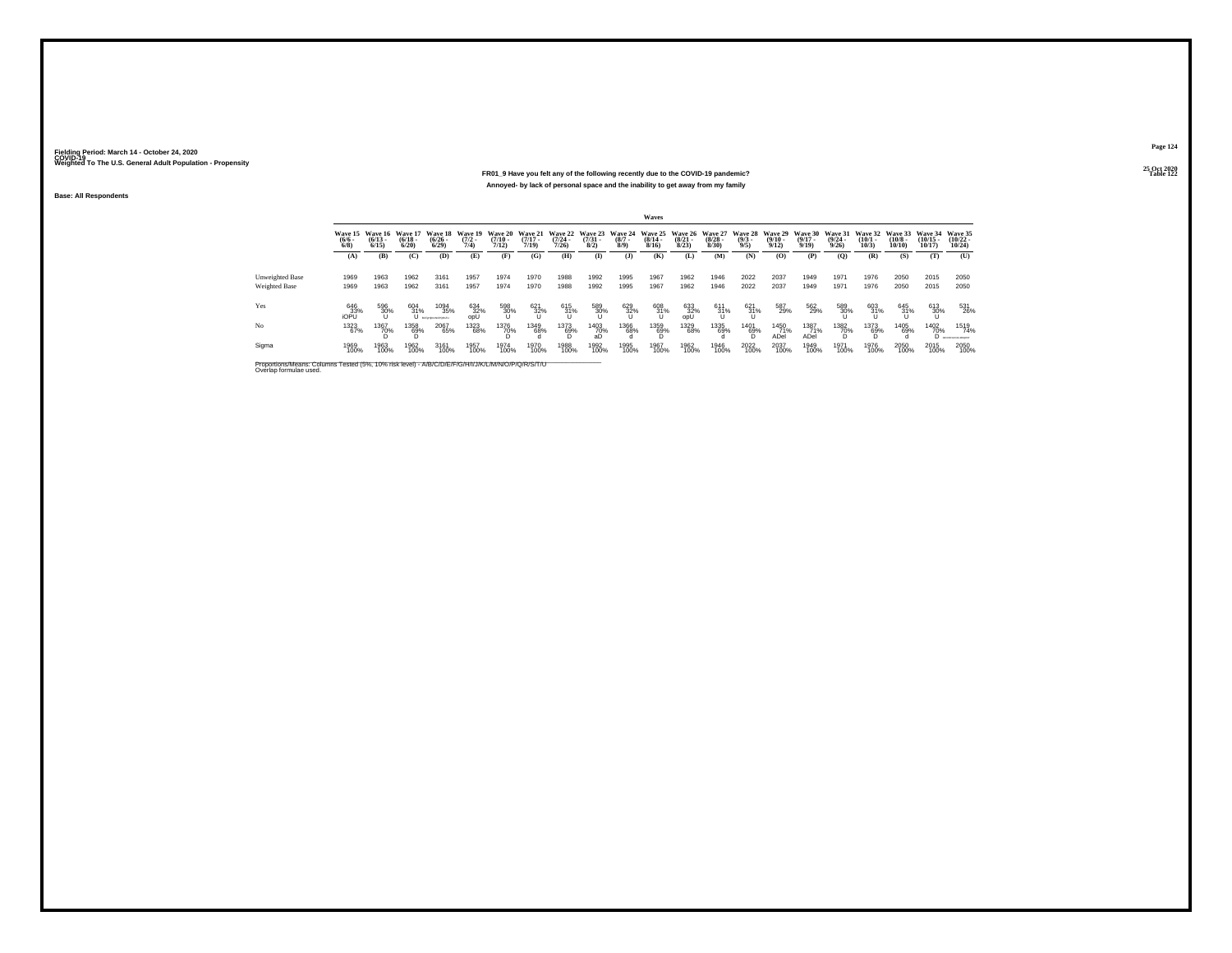### **25 Oct 2020FR01\_9 Have you felt any of the following recently due to the COVID-19 pandemic? Table 122 Annoyed- by lack of personal space and the inability to get away from my family**

**Base: All Respondents**

|                                                                                                                              | <b>Waves</b>                   |                                  |                                 |                                       |                                |                                  |                                  |                                  |                                |                                            |                                  |                                 |                                 |                                |                                         |                                         |                                 |                                 |                               |                                |                                   |
|------------------------------------------------------------------------------------------------------------------------------|--------------------------------|----------------------------------|---------------------------------|---------------------------------------|--------------------------------|----------------------------------|----------------------------------|----------------------------------|--------------------------------|--------------------------------------------|----------------------------------|---------------------------------|---------------------------------|--------------------------------|-----------------------------------------|-----------------------------------------|---------------------------------|---------------------------------|-------------------------------|--------------------------------|-----------------------------------|
|                                                                                                                              | Wave 15<br>$\frac{(6/6)}{6/8}$ | Wave 16<br>$\frac{(6/13)}{6/15}$ | Wave 17<br>$\binom{6/18}{6/20}$ | Wave 18<br>$(6/26 -$<br>6/29          | Wave 19<br>$\frac{(7/2)}{7/4}$ | Wave 20<br>$\frac{(7/10)}{7/12}$ | Wave 21<br>$\frac{(7/17)}{7/19}$ | Wave 22<br>$\frac{(7/24)}{7/26}$ | Wave 23<br>$\binom{7/31}{8/2}$ | Wave 24<br>$\binom{8/7}{8/9}$              | Wave 25<br>$\frac{(8/14)}{8/16}$ | Wave 26<br>$\binom{8/21}{8/23}$ | Wave 27<br>$\binom{8/28}{8/30}$ | Wave 28<br>$\frac{(9/3)}{9/5}$ | Wave 29<br>$\frac{(9/10 - 9/12)}{9/12}$ | Wave 30<br>$\frac{(9/17 - 9/19)}{9/19}$ | Wave 31<br>$\binom{9/24}{9/26}$ | Wave 32<br>$\binom{10/1}{10/3}$ | Wave 33<br>$(10/8 -$<br>10/10 | Wave 34<br>$(10/15 -$<br>10/17 | Wave 35<br>$\binom{10/22}{10/24}$ |
|                                                                                                                              | (A)                            | (B)                              | (C)                             | (D)                                   | (E)                            | Œ                                | (G)                              | (H)                              | $($ I)                         | (1)                                        | (K)                              | (L)                             | (M)                             | (N)                            | (0)                                     | (P)                                     | $\mathbf{Q}$                    | (R)                             | (S)                           | m                              | (U)                               |
| Unweighted Base<br><b>Weighted Base</b>                                                                                      | 1969<br>1969                   | 1963<br>1963                     | 1962<br>1962                    | 3161<br>3161                          | 1957<br>1957                   | 1974<br>1974                     | 1970<br>1970                     | 1988<br>1988                     | 1992<br>1992                   | 1995<br>1995                               | 1967<br>1967                     | 1962<br>1962                    | 1946<br>1946                    | 2022<br>2022                   | 2037<br>2037                            | 1949<br>1949                            | 1971<br>1971                    | 1976<br>1976                    | 2050<br>2050                  | 2015<br>2015                   | 2050<br>2050                      |
| Yes                                                                                                                          | 646<br>iOPU                    | 596<br>30%                       | 604<br>$\frac{31\%}{11}$        | 1094<br>35%<br><b>BOFINIANOPORITI</b> | 634<br>32%<br>opU              | 598<br>30%                       | 621<br>32%                       | 615<br>$31\%$                    | 589<br>30%                     | $\overset{629}{\underset{\text{U}}{32\%}}$ | 608<br>31%                       | 633<br>32%<br>opU               | 611<br>31%                      | 621<br>31%                     | 587<br>29%                              | 562<br>29%                              | 589<br>30%                      | 603<br>31%                      | 645<br>31%                    | 613<br>30%                     | 531<br>26%                        |
| No                                                                                                                           | 1323<br>67%                    | 1367<br>70%                      | 1358<br>69%                     | 2067<br>65%                           | 1323<br>68%                    | <sup>1376</sup> 70%              | 1349<br>68%                      | 1373<br>69%                      | <sup>1403</sup> 70%<br>аŊ      | 1366<br>68%                                | 1359<br>69%                      | 1329<br>68%                     | 1335<br>69%                     | 1401<br>69%                    | 1450<br>71%<br>ADel                     | 1387<br>71%<br>ADel                     | 1382<br>70%                     | 1373<br>69%                     | 1405<br>69%                   | 1402<br>70%                    | 1519<br>74%<br>ABCORPORALMORE     |
| Sigma                                                                                                                        | 1969<br>100%                   | 1963<br>100%                     | 1962<br>100%                    | 3161<br>100%                          | 1957<br>100%                   | 1974<br>100%                     | 1970<br>100%                     | 1988<br>100%                     | 1992<br>100%                   | 1995<br>100%                               | 1967<br>100%                     | 1962<br>100%                    | 1946<br>100%                    | 2022<br>100%                   | 2037<br>100%                            | 1949<br>100%                            | 1971<br>100%                    | 1976<br>100%                    | 2050<br>100%                  | 2015<br>100%                   | 2050<br>100%                      |
| Proportions/Means: Columns Tested (5%, 10% risk level) - A/B/C/D/E/F/G/H/I/J/K/L/M/N/O/P/Q/R/S/T/U<br>Overlap formulae used. |                                |                                  |                                 |                                       |                                |                                  |                                  |                                  |                                |                                            |                                  |                                 |                                 |                                |                                         |                                         |                                 |                                 |                               |                                |                                   |

**Page 124**25 Oct 2020<br>Table 122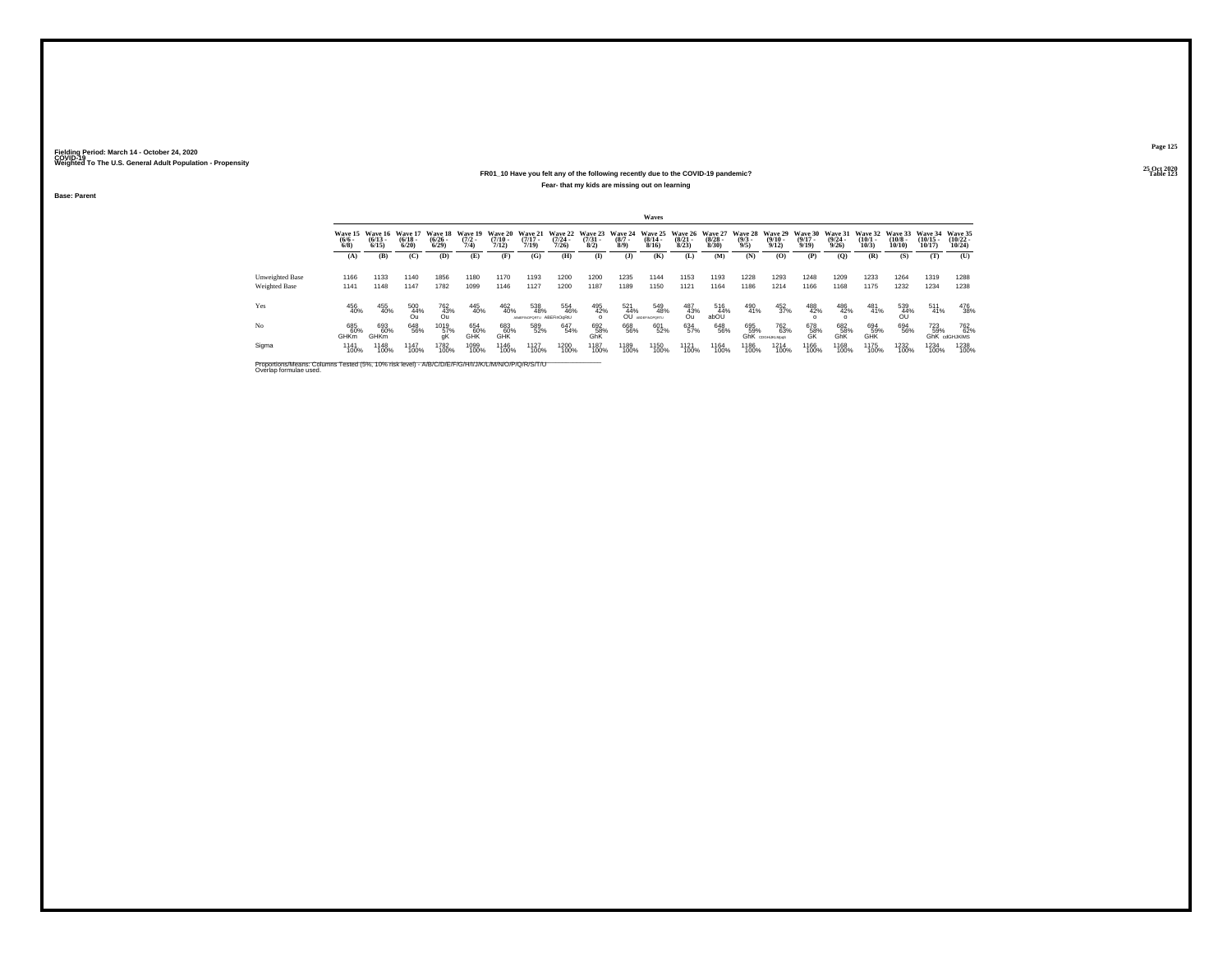### **25 Oct 2020FR01\_10 Have you felt any of the following recently due to the COVID-19 pandemic? Table 123 Fear- that my kids are missing out on learning**

**Base: Parent**

|                                  | Waves                     |                                              |                   |                                         |                     |                                      |                                    |                           |                        |                           |                                                          |                                         |                       |                                       |                                        |                                  |                                                |                                 |                               |                                |                                          |
|----------------------------------|---------------------------|----------------------------------------------|-------------------|-----------------------------------------|---------------------|--------------------------------------|------------------------------------|---------------------------|------------------------|---------------------------|----------------------------------------------------------|-----------------------------------------|-----------------------|---------------------------------------|----------------------------------------|----------------------------------|------------------------------------------------|---------------------------------|-------------------------------|--------------------------------|------------------------------------------|
|                                  | $\frac{(6/6)}{6/8}$       | Wave 15 Wave 16 Wave 17<br>$(6/13 -$<br>6/15 | $(6/18 -$<br>6/20 | Wave 18 Wave 19<br>$\binom{6/26}{6/29}$ | $\frac{(7/2)}{7/4}$ | Wave 20<br>$\frac{(7/10 - 7)}{7/12}$ | Wave 21<br>$\frac{(7/17)}{7/19}$   | $\frac{(7/24)}{7/26}$     | $\binom{7/31}{8/2}$    | $\frac{(8/7 - 8)}{(8/9)}$ | Wave 22 Wave 23 Wave 24 Wave 25<br>$\frac{(8/14)}{8/16}$ | Wave 26 Wave 27<br>$\binom{8/21}{8/23}$ | $\frac{(8/28)}{8/30}$ | <b>Wave 28</b><br>$\frac{(9/3)}{9/5}$ | <b>Wave 29</b><br>$\binom{9/10}{9/12}$ | Wave 30<br>$\frac{(9/17)}{9/19}$ | <b>Wave 31</b><br>$\frac{(9/24 - 9/26)}{9/26}$ | Wave 32<br>$\binom{10/1}{10/3}$ | Wave 33<br>$(10/8 -$<br>10/10 | Wave 34<br>$(10/15 -$<br>10/17 | Wave 35<br>$(10/22 -$<br>10/24           |
|                                  | (A)                       | (B)                                          | (C)               | (D)                                     | (E)                 | (F)                                  | (G)                                | (H)                       | $\bf{I}$               | (1)                       | (K)                                                      | (L)                                     | (M)                   | (N)                                   | (0)                                    | (P)                              | $\mathbf{Q}$                                   | (R)                             | (S)                           | (T)                            | (U)                                      |
| Unweighted Base<br>Weighted Base | 1166<br>1141              | 1133<br>1148                                 | 1140<br>1147      | 1856<br>1782                            | 1180<br>1099        | 1170<br>1146                         | 1193<br>1127                       | 1200<br>1200              | 1200<br>1187           | 1235<br>1189              | 1144<br>1150                                             | 1153<br>1121                            | 1193<br>1164          | 1228<br>1186                          | 1293<br>1214                           | 1248<br>1166                     | 1209<br>1168                                   | 1233<br>1175                    | 1264<br>1232                  | 1319<br>1234                   | 1288<br>1238                             |
| Yes                              | 456<br>40%                | 455<br>40%                                   | 500<br>44%<br>Ωu  | 762<br>43%<br>Ou                        | 445<br>40%          | 462<br>40%                           | 538<br>48%<br><b>ABSEFINOPDRTU</b> | 554<br>46%<br>ABEFinOgRtU | 495<br>42%<br>$\Omega$ | 521<br>44%<br>0Û          | 549<br>48%<br><b>ABDEFINOPORTU</b>                       | 487<br>43%<br>Ou                        | 516<br>44%<br>abOU    | 490<br>41%                            | 452<br>37%                             | 488<br>42%                       | 486<br>42%                                     | 481<br>41%                      | 539<br>$\frac{44\%}{00}$      | 511<br>41%                     | 476<br>38%                               |
| No                               | 685<br>60%<br><b>GHKm</b> | 693<br>60%<br>GHKm                           | 648<br>56%        | 1019<br>57%                             | 654<br>60%<br>GHK   | 683<br>60%<br>GHK                    | 589<br>52%                         | 647<br>54%                | 692<br>58%<br>GhK      | 668<br>56%                | 601<br>52%                                               | 634<br>57%                              | 648<br>56%            | 695<br>59%                            | 762<br>63%<br><b>GhK</b> CDGHUKLMooS   | 678<br>58%<br>GK                 | 682<br>58%<br>GhK                              | 694<br>59%<br>GHK               | 694<br>56%                    | <sup>723</sup> 59%             | <sup>762</sup> %<br><b>GhK</b> cdGHJKIMS |
| Sigma                            | 1141<br>100%              | 1148<br>100%                                 | 1147<br>100%      | 1782<br>100%                            | 1099<br>100%        | <sup>1146</sup><br>100%              | <sup>1127</sup><br>100%            | 1200<br>100%              | 1187<br>100%           | 1189<br>100%              | 1150<br>100%                                             | 1121<br>100%                            | 1164<br>100%          | 1186<br>100%                          | 1214<br>100%                           | 1166<br>100%                     | 1168<br>100%                                   | 1175<br>100%                    | 1232<br>100%                  | 1234<br>100%                   | 1238<br>100%                             |

Proportions/Means: Columns Tested (5%, 10% risk level) - A/B/C/D/E/F/G/H/I/J/K/L/M/N/O/P/Q/R/S/T/U \_\_\_\_\_\_\_\_\_\_\_<br>Overlap formulae used.

**Page 125**25 Oct 2020<br>Table 123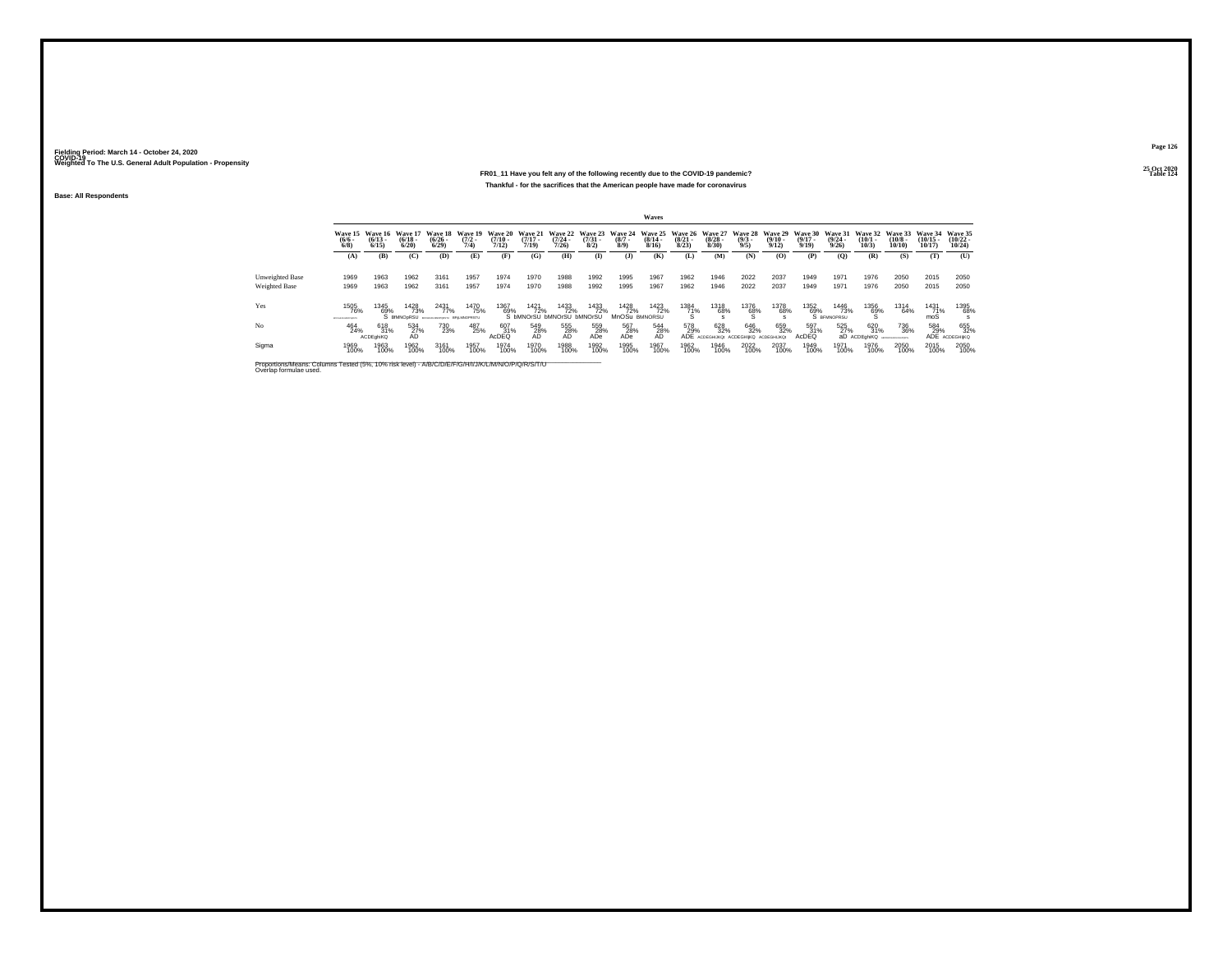### **25 Oct 2020FR01\_11 Have you felt any of the following recently due to the COVID-19 pandemic? Table 124 Thankful - for the sacrifices that the American people have made for coronavirus**

**Base: All Respondents**

|                                         | Waves                                 |                                         |                                         |                                                       |                                       |                           |                                         |                           |                     |                             |                              |                       |                       |                                                                                                                |                       |                           |                           |                              |                                                        |                                |                                   |
|-----------------------------------------|---------------------------------------|-----------------------------------------|-----------------------------------------|-------------------------------------------------------|---------------------------------------|---------------------------|-----------------------------------------|---------------------------|---------------------|-----------------------------|------------------------------|-----------------------|-----------------------|----------------------------------------------------------------------------------------------------------------|-----------------------|---------------------------|---------------------------|------------------------------|--------------------------------------------------------|--------------------------------|-----------------------------------|
|                                         | $\binom{6/6}{6/8}$                    | Wave 15 Wave 16<br>$\binom{6/13}{6/15}$ | <b>Wave 17</b><br>$\frac{(6/18)}{6/20}$ | <b>Wave 18</b><br>$\frac{(6/26 - 6)}{(6/29)}$         | <b>Wave 19</b><br>$\frac{(7/2)}{7/4}$ | $\frac{(7/10 - 7)}{7/12}$ | $\frac{(7/17)}{7/19}$                   | $\frac{(7/24 - 7)}{7/26}$ | $\binom{7/31}{8/2}$ | $\binom{8/7}{8/9}$          | $\frac{(8/14 - 8/16)}{8/16}$ | $\frac{(8/21)}{8/23}$ | $\frac{(8/28)}{8/30}$ | Wave 20 Wave 21 Wave 22 Wave 23 Wave 24 Wave 25 Wave 26 Wave 27 Wave 28 Wave 29 Wave 30<br>$\frac{(9/3)}{9/5}$ | $\frac{(9/10)}{9/12}$ | $\frac{(9/17 - 9)}{9/19}$ | $\frac{(9/24)}{9/26}$     | $\binom{10/1}{10/3}$         | Wave 31 Wave 32 Wave 33<br>$\frac{(10/8 - 10)}{10/10}$ | Wave 34<br>$(10/15 -$<br>10/17 | Wave 35<br>$\binom{10/22}{10/24}$ |
|                                         | (A)                                   | (B)                                     | (C)                                     | (D)                                                   | (E)                                   | (F)                       | (G)                                     | (H)                       | $($ $\Gamma$        | (3)                         | (K)                          | (L)                   | (M)                   | (N)                                                                                                            | (O)                   | (P)                       | (0)                       | (R)                          | (S)                                                    | (T)                            | (U)                               |
| Unweighted Base<br><b>Weighted Base</b> | 1969<br>1969                          | 1963<br>1963                            | 1962<br>1962                            | 3161<br>3161                                          | 1957<br>1957                          | 1974<br>1974              | 1970<br>1970                            | 1988<br>1988              | 1992<br>1992        | 1995<br>1995                | 1967<br>1967                 | 1962<br>1962          | 1946<br>1946          | 2022<br>2022                                                                                                   | 2037<br>2037          | 1949<br>1949              | 1971<br>1971              | 1976<br>1976                 | 2050<br>2050                                           | 2015<br>2015                   | 2050<br>2050                      |
| Yes                                     | 1505<br>76%                           | 1345<br>69%                             | 1428<br>73%                             | 2431<br>77%                                           | 1470<br>75%                           | 1367<br>69%               | 1421<br>72%                             | 1433<br>72%               | 1433<br>72%         | 1428<br>72%                 | 1423<br>72%                  | 1384<br>7 <u>1</u> %  | 1318<br>68%           | $^{1376}_{68\%}$                                                                                               | 1378<br>68%           | 1352<br>69%               | 1446<br>73%               | $^{1356}_{68\%}$             | 1314<br>64%                                            | 1431<br>7 <u>1</u> %           | 1395<br>68%                       |
| N <sub>o</sub>                          | <b>BOYD-KASANOMARTS</b><br>464<br>24% | 618<br>31%                              | 534<br>27%                              | S BRINDPRSU ROSUGARDERING BFILMINOPRSTU<br>730<br>23% | 487<br>25%                            | 607<br>31%                | S bMNOrSU bMNOrSU bMNOrSU<br>549<br>28% | 555<br>28%                | 559<br>28%          | MnOSu BMNORSU<br>567<br>28% | 544<br>28%                   | 578<br>29%            | 628<br>32%            | 646<br>32%                                                                                                     | 659<br>32%            | 597<br>31%                | S BEMNOPRSU<br>525<br>27% | 620<br>31%                   | 736<br>36%                                             | moS<br>584<br>29%              | 655<br>32%                        |
| Sigma                                   | 1969<br>100%                          | <b>ACDE ahiKQ</b><br>1963<br>100%       | AD.<br>1962<br>100%                     | 3161<br>100%                                          | 1957<br>100%                          | AcDEQ<br>1974<br>100%     | AD<br>1970<br>100%                      | <b>AD</b><br>1988<br>100% | ADe<br>1992<br>100% | ADe<br>1995<br>100%         | AD<br>1967<br>100%           | 1962<br>100%          | 1946<br>100%          | АДЕ АСРЕGНИКО: АСДЕGНИКО АСРЕGНИКО:<br>2022<br>100%                                                            | 2037<br>100%          | AcDEQ<br>1949<br>100%     | 1971<br>100%              | aD ACDEghiKQ<br>1976<br>100% | CORPORALMANOTT<br>2050<br>100%                         | 2015<br>100%                   | ADE ACDEGHIKQ<br>2050<br>100%     |
|                                         |                                       |                                         |                                         |                                                       |                                       |                           |                                         |                           |                     |                             |                              |                       |                       |                                                                                                                |                       |                           |                           |                              |                                                        |                                |                                   |

Proportions/Means: Columns Tested (5%, 10% risk level) - A/B/C/D/E/F/G/H/I/J/K/L/M/N/O/P/Q/R/S/T/U Overlap formulae used.<br>Overlap formulae used.

**Page 126**25 Oct 2020<br>Table 124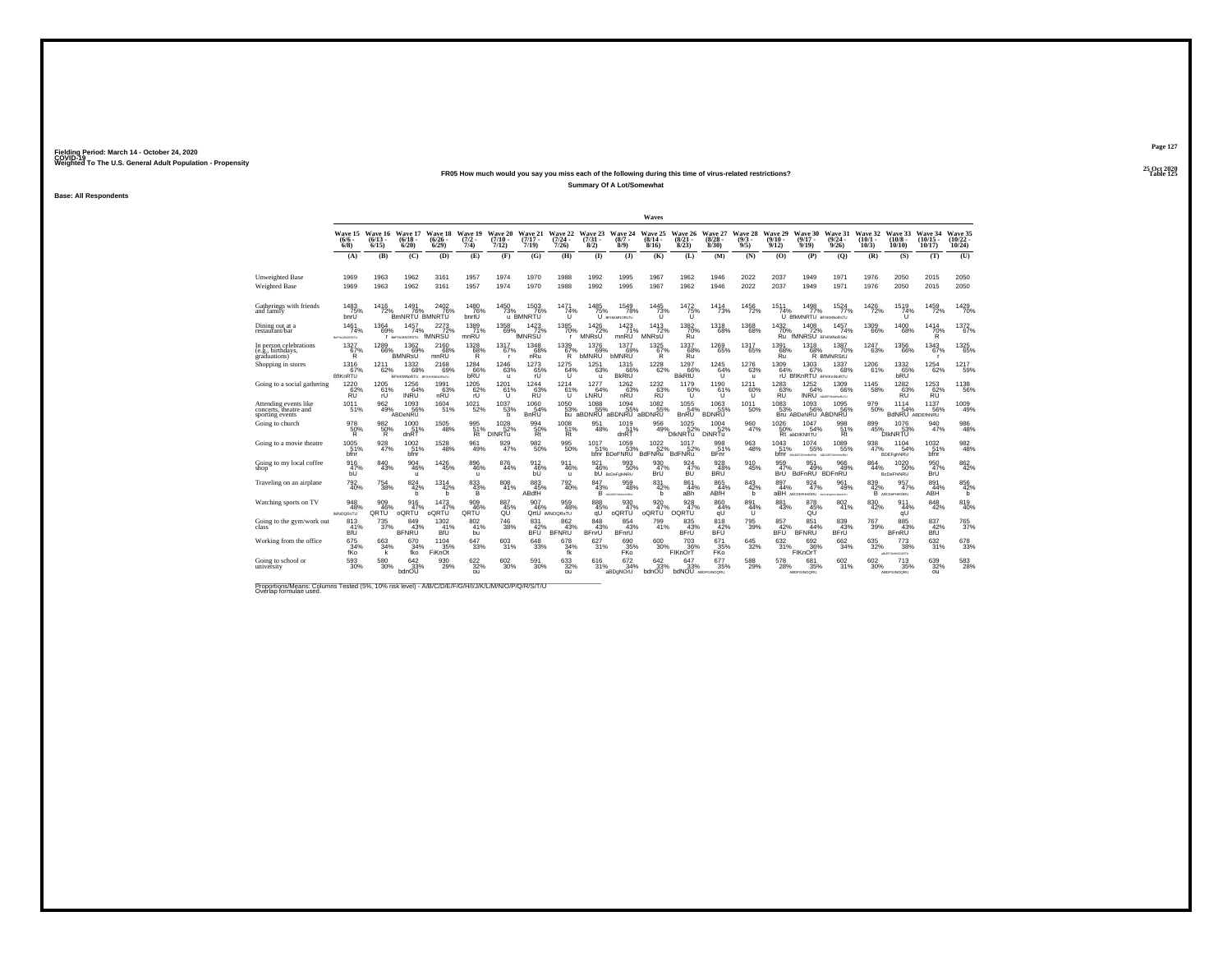## **25 Oct 2020FR05 How much would you say you miss each of the following during this time of virus-related restrictions?**

**Summary Of A Lot/Somewhat**

**Base: All Respondents**

|                                                                   |                                |                              |                                           |                                         |                            |                                      |                              |                                                             |                             |                                                            | Waves                                  |                                         |                                                 |                                            |                                     |                                                     |                                          |                               |                                  |                                |                                   |
|-------------------------------------------------------------------|--------------------------------|------------------------------|-------------------------------------------|-----------------------------------------|----------------------------|--------------------------------------|------------------------------|-------------------------------------------------------------|-----------------------------|------------------------------------------------------------|----------------------------------------|-----------------------------------------|-------------------------------------------------|--------------------------------------------|-------------------------------------|-----------------------------------------------------|------------------------------------------|-------------------------------|----------------------------------|--------------------------------|-----------------------------------|
|                                                                   | Wave 15<br>(6/6 -<br>$6/8$ )   | Wave 16<br>$(6/13 -$<br>6/15 | Wave 17<br>$(6/18 -$<br>6/20              | Wave 18 Wave 19<br>$\binom{6/26}{6/29}$ | $\frac{(7/2)}{7/4}$        | <b>Wave 20</b><br>$(7/10 -$<br>7/12) | Wave 21<br>$(7/17 -$<br>7/19 | $\frac{(7/24 - 7)}{7/26}$                                   | $\binom{7/31}{8/2}$         | Wave 22 Wave 23 Wave 24<br>$(8/7 -$<br>8/9)                | Wave 25<br>$(8/14 -$<br>8/16           | $\binom{8/21}{8/23}$                    | Wave 26 Wave 27<br>$\binom{8/28}{8/30}$         | Wave 28<br>(9/3 -<br>9/5                   | <b>Wave 29</b><br>$(9/10 -$<br>9/12 | Wave 30<br>$(9/17 -$<br>9/19                        | Wave 31<br>$\frac{(9/24 - 9/26)}{9/26}$  | Wave 32<br>$(10/1 -$<br>10/3) | Wave 33<br>$(10/8 -$<br>10/10    | Wave 34<br>$(10/15 -$<br>10/17 | Wave 35<br>$\binom{10/22}{10/24}$ |
|                                                                   | (A)                            | (B)                          | (C)                                       | (D)                                     | (E)                        | (F)                                  | (G)                          | (H)                                                         | $($ I)                      | (3)                                                        | (K)                                    | (L)                                     | (M)                                             | (N)                                        | (0)                                 | (P)                                                 | (0)                                      | (R)                           | (S)                              | (T)                            | (U)                               |
| <b>Unweighted Base</b><br>Weighted Base                           | 1969<br>1969                   | 1963<br>1963                 | 1962<br>1962                              | 3161<br>3161                            | 1957<br>1957               | 1974<br>1974                         | 1970<br>1970                 | 1988<br>1988                                                | 1992<br>1992                | 1995<br>1995                                               | 1967<br>1967                           | 1962<br>1962                            | 1946<br>1946                                    | 2022<br>2022                               | 2037<br>2037                        | 1949<br>1949                                        | 1971<br>1971                             | 1976<br>1976                  | 2050<br>2050                     | 2015<br>2015                   | 2050<br>2050                      |
| Gatherings with friends<br>and family                             | 1483<br>75%<br>bnrU            | 1416                         | 1491<br>72% BmNRTU BMNRTU                 | 2402<br>76%                             | 1480<br>76%<br>bnrtU       | 1450<br>73%                          | 1503<br>76%<br>u BMNRTU      | 1471<br>74%<br>Ù.                                           | 1485<br>75%                 | 1549<br>78%<br>U BFHKMNORSTU                               | 1445<br>$^{73\%}$                      | 1472<br>75%<br>ū                        | 1414<br>73%                                     | 1456<br>72%                                | 1511<br>74%<br>$\cup$               | 1498<br>77%<br><b>BfkMNRTU BFMMNORSTU</b>           | 1524<br>77%                              | 1426<br>72%                   | 1519<br>74%<br>ΊÌ                | 1459<br>72%                    | 1429<br>70%                       |
| Dining out at a<br>restaurant/bar                                 | 1461<br>74%<br>BeFHLMNORSTU    | 1364<br>69%                  | 1457<br>74%<br><b>F</b> BeFHLMNORSTU      | $\frac{2273}{72\%}$<br>fMNRSU           | 1389<br>mnRU               | $^{1358}_{\  \  \, 69\%}$            | $^{1423}_{72\%}$<br>fMNRSU   | 1385<br>70%<br>$\mathbf{r}$                                 | 1426<br>72%<br>MNRsU        | $1423$<br>$71\%$<br>mnRU                                   | 1413<br>72%<br><b>MNR<sub>sU</sub></b> | 1382<br>70%<br>Ru                       | 1318<br>68%                                     | $^{1368}_{\  \  \, 68\%}$                  | $\frac{1432}{70\%}$<br>Ru           | 1408<br>72%<br>fMNRSU BFHIMNORSIU                   | 1457<br>74%                              | $^{1309}_{66\%}$              | 1400<br>68%                      | $\frac{1414}{70\%}$<br>R       | 1372<br>67%                       |
| In person celebrations<br>e.g., birthdays,<br>graduations)        | $^{1327}_{67\%}$<br>R          | 1289                         | 1362<br>69%<br>$\frac{66}{3}$ BMNRSU      | 2160<br>68%<br>mnRU                     | 1328<br>68%<br>R           | 1317<br>67%<br>г.                    | 1348<br>68%<br>nRu           | $\overset{1339}{\underset{\text{B7}\%}{\phantom{0}67\%}}$ b | 1376<br>69%<br><b>bMNRU</b> | 1377<br>69%<br><b>bMNRU</b>                                | $^{1325}_{67\%}$<br>R                  | $\overset{1337}{\substack{68\%}}$       | 1269<br>65%                                     | 1317<br>65%                                | 1391<br>68%<br>Řŭ                   | 1318<br>68%<br>Ŕ.                                   | 1387<br>70%<br><b>BfMNRStU</b>           | 1247<br>63%                   | 1356<br>66%                      | 1343<br>67%                    | 1325<br>65%                       |
| Shopping in stores                                                | 1316<br>67%<br><b>BfIKnRTU</b> | 1211<br>62%                  | 1332<br>68%<br>BFNKMNoRTU provintenturatu | 2168<br>69%                             | 1284<br>66%<br>bRU         | 1246<br>63%<br>$\mathbf{u}$          | 1273<br>65%<br>rÜ            | 1275<br>64%<br>u                                            | 1251<br>63%<br>$\mathbf{u}$ | 1315<br>66%<br><b>BkRtU</b>                                | 1228<br>62%                            | 1297<br>66%<br><b>BikRtU</b>            | 1245<br>64%<br>u                                | 1276<br>63%<br>$\mathbf{u}$                | 1309<br>64%<br>ŕU                   | 1303<br>67%<br><b>BIIKnRTU BENKMNORTU</b>           | 1337<br>68%                              | 1206<br>61%                   | 1332<br>$65%$ <sub>bRU</sub>     | 1254<br>62%                    | 1217<br>59%                       |
| Going to a social gathering                                       | 1220<br>62%<br><b>RU</b>       | 1205<br>61%<br>rU            | 1256<br>64%<br><b>INRU</b>                | 1991<br>63%<br>nRU                      | 1205<br>62%<br>rU          | 1201<br>61%<br>$\cup$                | 1244<br>63%<br><b>RU</b>     | 1214<br>61%<br>U                                            | 1277<br>64%<br>LNRU         | 1262<br>63%<br>nRU                                         | $^{1232}_{63\%}$<br><b>RU</b>          | 1179<br>60%<br>$\mathbf{U}$             | 1190<br>61%<br>$\cup$                           | 1211<br>60%<br>u                           | 1283<br>63%<br><b>RU</b>            | $1252$<br>64%                                       | 1309<br>66%<br><b>INRU</b> AMERICAN BLVD | $\substack{1145 \\ 58\%}$     | $\frac{1282}{63\%}$<br><b>RU</b> | $1253$<br>$62\%$<br>ŔŪ         | 1138<br>56%                       |
| Attending events like<br>concerts, theatre and<br>sporting events | 1011<br>51%                    | $^{962}_{49\%}$              | 1093<br>56%<br>ABDeNRU                    | 1604<br>51%                             | 1021<br>52%                | 1037<br>53%<br>h                     | 1060<br>54%<br>BnRU          | 1050<br>53%                                                 | 1088<br>55%                 | $^{1094}_{\substack{55\%\\51}}$<br>bu aBDNRU aBDNRU aBDNRU | 1082<br>55%                            | $1055$<br>$54\%$<br><b>B</b> nRU        | $^{1063}_{\substack{55\%\\21}}$<br><b>BDNRU</b> | 1011<br>50%                                | 1083<br>53%                         | $^{1093}_{\,56\%}$<br>Bru ABDeNRU ABDNRU            | 1095<br>56%                              | 979<br>50%                    | 1114<br>54%<br>BdNRU ABDEINNRU   | 1137<br>56%                    | 1009<br>49%                       |
| Going to church                                                   | 978<br>50%<br>R.               | 982<br>50%<br>R.             | $^{1000}_{51\%}$<br>dnRT                  | $^{1505}_{\ 48\%}$                      | 995<br>51%<br>Rt           | $1028$<br>$52%$<br><b>DINRTu</b>     | 994<br>50%<br>Rt             | 1008<br>51%<br>Rt                                           | 951<br>48%                  | $^{1019}_{51\%}$<br>dnRT                                   | 956<br>49%                             | $1025$ <sub>52%</sub><br><b>DIKNRTu</b> | $^{1004}_{-52\%}$<br><b>DiNRTu</b>              | 960<br>47%                                 | $^{1026}_{50\%}$                    | $1047$<br>$54%$<br>Rt abDIKNRTU                     | 998<br>51%<br>Rt                         | 899<br>45%                    | 1076<br>53%<br><b>DIKNRTU</b>    | 940<br>47%                     | 986<br>48%                        |
| Going to a movie theatre                                          | $1005$<br>51%<br>bfnr          | 928<br>47%                   | $^{1002}_{\,51\%}$<br>bfnr                | 1528<br>48%                             | 961<br>49%                 | 929<br>47%                           | $^{982}_{50\%}$              | $\substack{995 \\ 50\%}$                                    | 1017<br>51%                 | $^{1059}_{53\%}$<br>bfnr BDeFNRU BdFNRu BdFNRu             | $^{1022}_{52\%}$                       | 1017                                    | 998<br>51%<br><b>BFnr</b>                       | 963<br>48%                                 | $1043$<br>51%                       | 1074<br>55%<br><b>bfnr</b> Авсогранием Авсогранием  | 1089<br>55%                              | 938<br>47%                    | 1104<br>54%<br>BDEFghNRU         | 1032<br>51%<br>bfnr            | 982<br>48%                        |
| Going to my local coffee<br>shop                                  | 916<br>47%<br>bÛ.              | 840<br>43%                   | 904<br>46%<br>u                           | 1426<br>45%                             | 896<br>46%<br>$\mathbf{u}$ | $\substack{876 \\ 44\%}$             | 912<br>46%                   | 911<br>46%<br>$\mathbf{u}$                                  | 921<br>46%                  | 993<br>50%<br><b>bU</b> BcDeFohlNRU                        | 930<br>47%<br>BrÜ                      | $\frac{924}{47\%}$<br>BÜ                | 928<br>48%<br><b>BRU</b>                        | 910<br>45%                                 | 959<br>47%                          | 951<br>BrÜ BdFnRÜ BDFnRÜ                            | 966<br>49%                               | 864<br>44%                    | 1020<br>50%<br>BcDeFhiNRU        | 950<br>47%<br>BrÜ              | 862<br>42%                        |
| Traveling on an airplane                                          | $^{792}_{40\%}$                | $^{754}_{\ 38\%}$            | $\frac{824}{42\%}$<br>h                   | $1314 \atop 42\%$<br>h                  | 833 43%<br>в               | 808<br>41%                           | 883<br>45%<br>ABdfH          | 792<br>40%                                                  | 847<br>43%                  | 959<br>48%<br>B ACCORPHICHIONI                             | $\frac{831}{42\%}$<br>h                | 861<br>44%<br>aBh                       | 865<br>44%<br>ABfH                              | $\frac{843}{42\%}$<br>h                    | 897<br>44%                          | 924<br>47%<br><b>ABH</b> ABCDEFHIKNRU ACCEPARAMENTU | 961<br>49%                               | 839<br>42%                    | 957<br>47%<br>B ABCDeFHIKNRU     | 891<br>44%<br>ABH              | 856<br>42%<br>b                   |
| Watching sports on TV                                             | 948<br>48%<br><b>MNOGRSTU</b>  | 909<br>46%<br>QRTŰ           | 916<br>7%<br>oQRTU                        | 1473<br>47%<br>oQRTU                    | 909<br>46%<br>QRTŨ         | $^{887}_{45\%}$                      | 907<br>46%                   | 959<br>48%<br>OrtU IMNOORSTU                                | 888<br>45%<br>αŨ            | 930<br>47%<br>oQRTÜ                                        | 920<br>47%<br>oQRTU                    | $\frac{928}{47\%}$<br>OQRTU             | $^{860}_{\,\,\,44\%}$                           | $\overset{891}{\underset{\text{U}}{44\%}}$ | 881<br>43%                          | 878<br>45%<br>QU                                    | 802                                      | $\underset{42\%}{^{830}}$     | 911<br>44%                       | $\underset{42\%}{^{848}}$      | 819<br>40%                        |
| Going to the gym/work out                                         | 813<br>41%<br><b>BfU</b>       | $^{735}_{37\%}$              | 849<br>43%<br><b>BFNRU</b>                | 1302<br>41%<br>BfÜ                      | 802<br>41%<br>bu           | $\substack{746 \\ 38\%}$             | 831<br>42%<br>BFU            | 862<br>43%<br><b>BFNRU</b>                                  | 848<br>43%<br><b>BFnrU</b>  | 854<br>43%<br>BFnrU                                        | 799<br>41%                             | 835<br>43%<br>BFrU                      | 818<br>42%<br><b>BFU</b>                        | $\substack{795 \\ 39\%}$                   | 857<br>42%<br>BFÜ                   | 851<br>44%<br><b>BFNRU</b>                          | 839<br>43%<br><b>BFrU</b>                | $^{767}_{39\%}$               | 885<br>43%<br><b>BFnRU</b>       | 837<br>42%<br>BfÜ              | 765<br>37%                        |
| Working from the office                                           | $675$ <sub>34%</sub><br>fKo    | 663<br>34%                   | 670<br>34%<br>fko                         | 1104<br>55%<br>FiKnOt                   | 647<br>33%                 | 603<br>31%                           | $^{648}_{33\%}$              | $\frac{678}{34\%}$ fk                                       | $\frac{627}{31\%}$          | 690<br>35%<br>FKo                                          | 600<br>30%                             | 703<br>36%<br>FIKnOrT                   | 671<br>35%<br>FKo                               | $\substack{645 \\ 32\%}$                   | 632<br>31%                          | 692<br>36%<br>FIKnOrT                               | $\substack{662\\34\%}$                   | 635<br>32%                    | 773<br>38%<br>AGEFGANNOGRTU      | 632 %                          | 678<br>33%                        |
| Going to school or<br>university                                  | 593<br>30%                     | 580<br>30%                   | 642<br>33%<br>bdnOU                       | 930<br>29%                              | 622<br>32%<br>ou           | 602<br>30%                           | 591<br>30%                   | 633<br>32%<br>ou                                            | 616<br>31%                  | 672<br>34%<br>aBDqNOrU                                     | 642<br>bdnOU                           | 647<br>33% 35                           | 677<br>35%                                      | 588<br>29%                                 | 578<br>28%                          | 681<br>35%<br>ABDFGINOORU                           | 602<br>31%                               | 602<br>30%                    | 713<br>35%<br>ABDFGINOQRU        | 639<br>32%<br>ou               | 583<br>28%                        |

Proportions/Means: Columns Tested (5%, 10% risk level) - A/B/C/D/E/F/G/H/I/J/K/L/M/N/O/P/Q/R/S/T/U Overlap formulae used.<br>Overlap formulae used.

**Page 127**25 Oct 2020<br>Table 125

**Table 125 Table 125**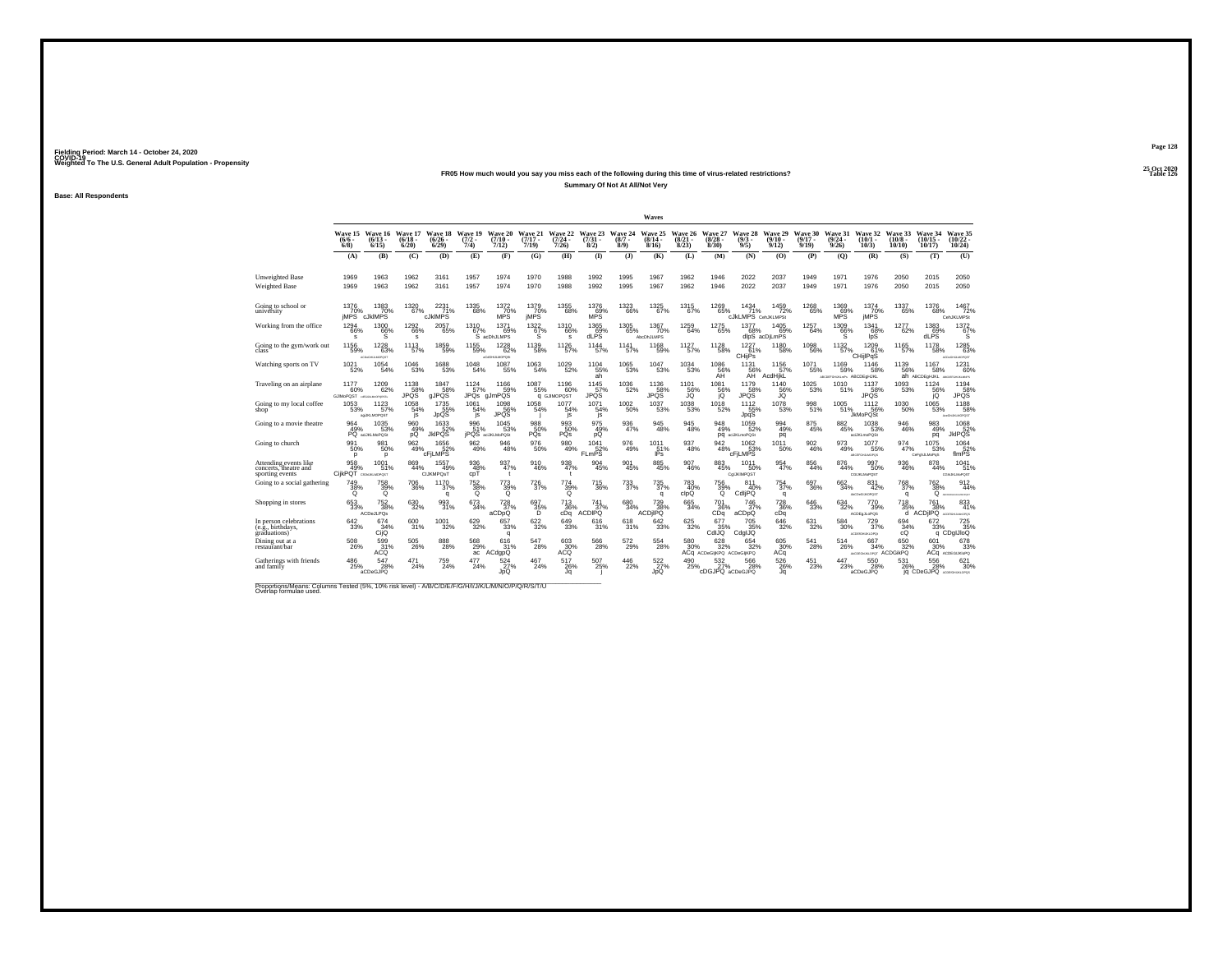## **25 Oct 2020FR05 How much would you say you miss each of the following during this time of virus-related restrictions?Summary Of Not At All/Not Very**

**Base: All Respondents**

|                                                                   |                                           |                                            |                                  |                                         |                                             |                                        |                               |                                                      |                                                        |                          | Waves                            |                                         |                                               |                                          |                               |                              |                                          |                                      |                                |                                           |                                                                |
|-------------------------------------------------------------------|-------------------------------------------|--------------------------------------------|----------------------------------|-----------------------------------------|---------------------------------------------|----------------------------------------|-------------------------------|------------------------------------------------------|--------------------------------------------------------|--------------------------|----------------------------------|-----------------------------------------|-----------------------------------------------|------------------------------------------|-------------------------------|------------------------------|------------------------------------------|--------------------------------------|--------------------------------|-------------------------------------------|----------------------------------------------------------------|
|                                                                   | Wave 15<br>$(6/6 -$<br>6/8                | Wave 16<br>$(6/13 -$<br>$6/15$ )           | Wave 17<br>$(6/18 -$<br>$6/20$ ) | Wave 18 Wave 19<br>$\binom{6/26}{6/29}$ | $\frac{(7/2)}{7/4}$                         | Wave 20<br>$(7/10 -$<br>7/12)          | Wave 21<br>$(7/17 -$<br>7/19  | Wave 22 Wave 23 Wave 24<br>$\frac{(7/24 - 7)}{7/26}$ | $\binom{7/31}{8/2}$                                    | $(8/7 -$<br>8/9)         | Wave 25<br>$(8/14 -$<br>8/16     | Wave 26 Wave 27<br>$\binom{8/21}{8/23}$ | (8/28)<br>8/30                                | Wave 28<br>$(9/3 -$<br>9/5)              | Wave 29<br>$(9/10 -$<br>9/12) | Wave 30<br>$(9/17 -$<br>9/19 | Wave 31<br>$\binom{9/24}{9/26}$          | Wave 32 Wave 33<br>(10/1<br>10/3)    | $(10/8 -$<br>10/10             | Wave 34<br>$(10/15 -$<br>10/17            | Wave 35<br>$\binom{10/22}{10/24}$                              |
|                                                                   | (A)                                       | (B)                                        | (C)                              | (D)                                     | (E)                                         | (F)                                    | (G)                           | (H)                                                  | $\mathbf{I}$                                           | (3)                      | (K)                              | (L)                                     | (M)                                           | (N)                                      | (0)                           | (P)                          | (Q)                                      | (R)                                  | (S)                            | (T)                                       | (U)                                                            |
| <b>Unweighted Base</b>                                            | 1969                                      | 1963                                       | 1962<br>1962                     | 3161<br>3161                            | 1957<br>1957                                | 1974<br>1974                           | 1970<br>1970                  | 1988<br>1988                                         | 1992<br>1992                                           | 1995<br>1995             | 1967<br>1967                     | 1962<br>1962                            | 1946                                          | 2022<br>2022                             | 2037<br>2037                  | 1949                         | 1971<br>1971                             | 1976<br>1976                         | 2050<br>2050                   | 2015<br>2015                              | 2050<br>2050                                                   |
| <b>Weighted Base</b>                                              | 1969                                      | 1963                                       |                                  |                                         |                                             |                                        |                               |                                                      |                                                        |                          |                                  |                                         | 1946                                          |                                          |                               | 1949                         |                                          |                                      |                                |                                           |                                                                |
| Going to school or<br>university                                  | 1376<br>70%<br>jMPS <sup>"</sup>          | 1383<br>6 70%<br>cJklMPS                   | 1320<br>67%                      | 2231<br>71%<br><b>cJkIMPS</b>           | 1335<br>68%                                 | 1372<br>MPS <sup>70%</sup>             | 1379<br>70%<br>jMPS           | 1355<br>68%                                          | 1376<br>$^{69}_{MPS}$                                  | 1323<br>66%              | 1325<br>67%                      | 1315<br>67%                             | 1269<br>65%                                   | 1434<br>71%<br><b>CJKLMPS</b> CehJKLMPSt | 1459<br>72%                   | 1268<br>65%                  | 1369<br>69%<br>MPS                       | 1374<br>jMPS <sup>70%</sup>          | 1337<br>65%                    | 1376<br>68%                               | 1467<br>72%<br>CehJKLMPSt                                      |
| Working from the office                                           | 1294<br>66%<br>s                          | 1300<br>66%<br>s                           | 1292<br>66%<br>s                 | 2057<br>65%                             | 1310<br>67%                                 | 1371<br>69%<br>S acDhJLMPS             | 1322/67%<br>s                 | 1310<br>66%<br>s                                     | 1365<br>69%<br>dLPS                                    | 1305<br>65%              | 1367<br>70%<br><b>AbcDhJLMPS</b> | 1259<br>64%                             | 1275<br>65%                                   | 1377<br>68%                              | 1405<br>69%<br>dlpS acDjLmPS  | 1257<br>64%                  | 1309<br>66%<br>s                         | 1341<br>68%<br>IpS                   | 1277<br>62%                    | $^{1383}_{69\%}$<br>dLPS                  | 1372<br>67%<br>s                                               |
| Going to the gym/work out                                         | 1156<br>59%                               | 1228<br>63%<br>АСОНДАМОРОДТ                | 1113<br>57%                      | 1859<br>59%                             | 1155<br>59%                                 | 1228<br>62%<br>aCdGHULMOPOS:           | 1139<br>58%                   | 1126<br>57%                                          | 1144<br>57%                                            | 1141<br>57%              | 1168<br>59%                      | 1127 <sub>9%</sub>                      | $^{1128}_{-58\%}$                             | $\frac{1227}{61\%}$<br>CHijPs            | 1180<br>58%                   | 1098<br>56%                  | 1132<br>57%                              | $^{1209}_{61\%}$<br>CHillPgS         | 1165<br>57%                    | 1178<br>58%                               | 1285<br>63%<br>ACD/GHULMOPOST                                  |
| Watching sports on TV                                             | 1021<br>52%                               | 1054<br>54%                                | 1046<br>53%                      | 1688<br>53%                             | 1048<br>54%                                 | 1087<br>55%                            | 1063<br>54%                   | 1029<br>52%                                          | 1104<br>55%<br>ah.                                     | 1065<br>53%              | 1047<br>53%                      | 1034<br>53%                             | 1086<br>56%<br>ÄĤ                             | 1131<br>56%<br>AH                        | 1156<br>57%<br>AcdHjkL        | 1071<br>55%                  | 1169<br>59%<br>ABCOEFGHUKLmPs ABCDEaHJKL | 1146<br>58%                          | 1139<br>56%                    | 1167<br>58%<br>ah ABCDEGHJKL              | 1231<br>60%<br>ARCOGROSS MISSING                               |
| Traveling on an airplane                                          | 1177<br>60%<br>GJIMoPQST usquausorgestu   | 1209<br>62%                                | 1138<br>58%<br><b>JPQS</b>       | 1847<br>58%<br>gJPQS                    | 1124<br>57%                                 | 1166<br>59%<br>JPQs gJmPQS             | 1087<br>55%                   | 1196<br>60%<br><b>Q GJIMOPOST</b>                    | 1145<br>57%<br><b>JPQS</b>                             | $^{1036}_{-52\%}$        | 1136<br>58%<br>JPQS              | 1101<br>56%<br>JQ                       | 1081<br>56%<br>jQ                             | 1179<br>58%<br>JPQS                      | 1140<br>56%<br>JQ.            | 1025<br>53%                  | 1010<br>51%                              | 1137<br>58%<br><b>JPQS</b>           | 1093<br>53%                    | 1124<br>56%<br>jQ                         | 1194<br>58%<br><b>JPOS</b>                                     |
| Going to my local coffee<br>shop                                  | 1053<br>53%                               | $1123 \over 57\%$<br>agukLMOPOST           | 1058<br>54%<br>js                | 1735<br>55%<br>JpQS                     | $1061$<br>54%<br>js                         | 1098<br>JPQS <sup>%</sup>              | 1058<br>54%                   | 1077<br>54%<br>js                                    | 1071<br>54%<br>js                                      | $^{1002}_{-50\%}$        | 1037<br>53%                      | $\substack{1038 \\ 53\%}$               | 1018<br>52%                                   | 1112<br>55%<br>JpqS                      | 1078<br>53%                   | 998<br>51%                   | 1005<br>51%                              | 1112<br>56%<br><b>JkMoPQSt</b>       | $^{1030}_{50\%}$               | 1065<br>53%                               | 1188<br>58%<br>AusGNUKLMOPOST                                  |
| Going to a movie theatre                                          | 964<br>49%                                | 1035<br>53%<br>PQ acUKLMoPQSt              | 960<br>49%<br>pQ                 | 1633<br>52%<br><b>JkIPQS</b>            | 996<br>51%                                  | 1045<br>53%<br><b>JPQS</b> acUKLMoPQSt | 988<br>50%<br>PQs             | 993<br>50%<br>PQs                                    | 975<br>49%<br>pQ                                       | $\substack{936 \\ 47\%}$ | 945<br>48%                       | $\substack{945 \\ 48\%}$                | 948<br>49%                                    | 1059<br>52%<br>DQ aciJKLmoPQSt           | 994<br>49%<br>pq              | 875<br>45%                   | 882<br>45%                               | 1038<br>53%<br>aciJKLmoPQSt          | 946<br>46%                     | 983<br>49%<br>pq                          | 1068<br>JkIPQS                                                 |
| Going to church                                                   | 991<br>50%<br>D                           | 981<br>50%<br>p                            | 962<br>49%                       | 1656<br>52% cFjLMPS                     | $\frac{962}{49\%}$                          | 946<br>48%                             | $^{976}_{50\%}$               | $\substack{980 \\ 49\%}$                             | $\begin{array}{r}\n1041 \\ 52\% \\ FLmPS\n\end{array}$ | 976<br>49%               | 1011<br>51%<br>IPs               | 937<br>48%                              | 942<br>48%                                    | $^{1062}_{.53\%}$<br>cFiLMPS             | 1011<br>50%                   | 902<br>46%                   | 973<br>49%                               | 1077<br>55%<br>ABOSFOHLIMOPOS        | 974<br>47%                     | 1075<br>53%<br>CeFghJLMoPqS               | $\begin{array}{c}\n1064 \\ 52\% \\ \text{filmPS}\n\end{array}$ |
| Attending events like<br>concerts, theatre and<br>sporting events | 958<br>49%<br>CijkPQT aGNUMOPOST          | 1001<br>51%                                | 869<br>44%                       | 1557<br>49%<br>CIJKMPOsT                | 936<br>48%<br>cpT                           | 937<br>47%<br>$\mathbf{t}$             | 910<br>46%                    | 938<br>47%<br>$\mathbf{f}$                           | 904<br>45%                                             | 901<br>45%               | 885<br>45%                       | 907<br>46%                              | 883<br>45%                                    | 1011<br>50%<br>CgLKIMPQST                | 954<br>47%                    | 856<br>44%                   | 876<br>44%                               | 997<br>50%<br><b>CGUKLMoPOST</b>     | 936<br>46%                     | 878<br>44%                                | 1041<br>51%<br>CONJIGMOPOST                                    |
| Going to a social gathering                                       | <sup>749</sup> <sub>38%</sub><br>$\Omega$ | 758<br>39%<br>$^{\circ}$                   | 706<br>36%                       | 1170<br>37%<br>q                        | <sup>752</sup> <sub>38%</sub><br>$^{\circ}$ | $^{773}_{39\%}$<br>$\circ$             | 726<br>37%                    | $^{774}_{39\%}$<br>Q                                 | 715<br>36%                                             | 733<br>37%               | 735<br>37%<br>q                  | 783<br>40%<br>clpQ                      | 756<br>39%<br>$\circ$                         | 811<br>40%<br>CdljPQ                     | 754<br>37%<br>q               | 697<br>36%                   | 662<br>34%                               | 831<br>42%<br>AbCDeGLIKDPOST         | 768<br>37%<br>q                | $\frac{762}{38\%}$                        | 912<br>44%<br>Q ACONTONIALMONDET                               |
| Shopping in stores                                                | $\substack{653 \\ 33\%}$                  | $\substack{752\\38\%}$<br><b>ACDeJLPOs</b> | 630<br>32%                       | 993<br>31%                              | 673<br>34%                                  | $^{728}_{37\%}$<br>aCDpQ               | $^{697}_{\substack{35\%\\D}}$ | $^{713}_{36\%}$ cDq                                  | $^{741}_{37\%}$<br><b>ACDIPO</b>                       | 680<br>34%               | 739<br>8% ACDjIPQ                | $\substack{665 \\ 34\%}$                | 701<br>36%<br>CD <sub>a</sub>                 | 746<br>37%<br>aCDpQ                      | 728<br>36%<br>cDq             | 646<br>33%                   | $^{634}_{32\%}$                          | 770<br>39%<br>ACDE a JL oPOS         | <sup>718</sup> <sub>35</sub> % | $^{761}_{38\%}$<br>d ACDIIPO ACROHAMMOPOS | 833                                                            |
| In person celebrations<br>(e.g., birthdays,<br>eraduations)       | 642<br>33%                                | 674 <sub>34%</sub><br>CijQ                 | 600<br>31%                       | $^{1001}_{\phantom{1}32\%}$             | $^{629}_{32\%}$                             | 657<br>33%<br>q                        | $\substack{622 \\ 32\%}$      | 649<br>33%                                           | 616<br>31%                                             | 618<br>31%               | $\substack{642 \\ 33\%}$         | 625<br>32%                              | 677<br>35%<br>CdIJQ                           | 705<br>35%<br>CdgIJQ                     | 646<br>32%                    | 631<br>32%                   | 584<br>30%                               | 729 <sub>37%</sub><br>ACDESSHURLOPD: | 694 %<br>cQ                    | 672<br>33%                                | 725 <sub>35%</sub><br>q CDqIJIoQ                               |
| Dining out at a<br>restaurant/bar                                 | 508<br>26%                                | $\frac{599}{31\%}$                         | 505<br>26%                       | 888<br>28%                              | 568<br>29%<br>ac                            | 616<br>31%<br>ACdgpQ                   | 547<br>28%                    | $^{603}_{30\%}$ ACQ                                  | $^{566}_{28\%}$                                        | 572<br>29%               | 554<br>28%                       | 580<br>30%                              | $628 \atop 32\%$<br>ACq ACDeGIjKPQ ACDeGIjKPQ | 654<br>32%                               | 605<br>30%<br>ACq             | 541<br>28%                   | 514<br>26%                               | 667<br>34%<br>ANDEGALALOPOT ACDGIKPQ | 650<br>32%                     | $601$ <sub>30%</sub>                      | 678<br>33%<br>АСФ АСDEGIJKIOPO                                 |
| Gatherings with friends<br>and family                             | 486<br>25%                                | 547<br>28%<br>aCDeGJPQ                     | 471<br>24%                       | 759<br>24%                              | 477<br>24%                                  | $\frac{524}{27\%}$<br>JoÓ              | 467<br>24%                    | 517<br>26%<br>Jα                                     | 507<br>25%                                             | 446<br>22%               | $\frac{522}{27\%}$<br>JoQ        | 490<br>25%                              | 532<br>cDGJPQ aCDeGJPQ                        | 566<br>28%                               | 526<br>26%<br>Ja              | 451<br>23%                   | 447<br>23%                               | 550<br>28%<br>aCDeGJPQ               | 531<br>26%                     | 556<br>28%<br>jq CDeGJPQ ACDESSIBLICATOR  | 621<br>30%                                                     |
|                                                                   |                                           |                                            |                                  |                                         |                                             |                                        |                               |                                                      |                                                        |                          |                                  |                                         |                                               |                                          |                               |                              |                                          |                                      |                                |                                           |                                                                |

Proportions/Means: Columns Tested (5%, 10% risk level) - A/B/C/D/E/F/G/H/I/J/K/L/M/N/O/P/Q/R/S/T/U Overlap formulae used.<br>Overlap formulae used.

**Page 128**25 Oct 2020<br>Table 126

**Table 126 Table 126**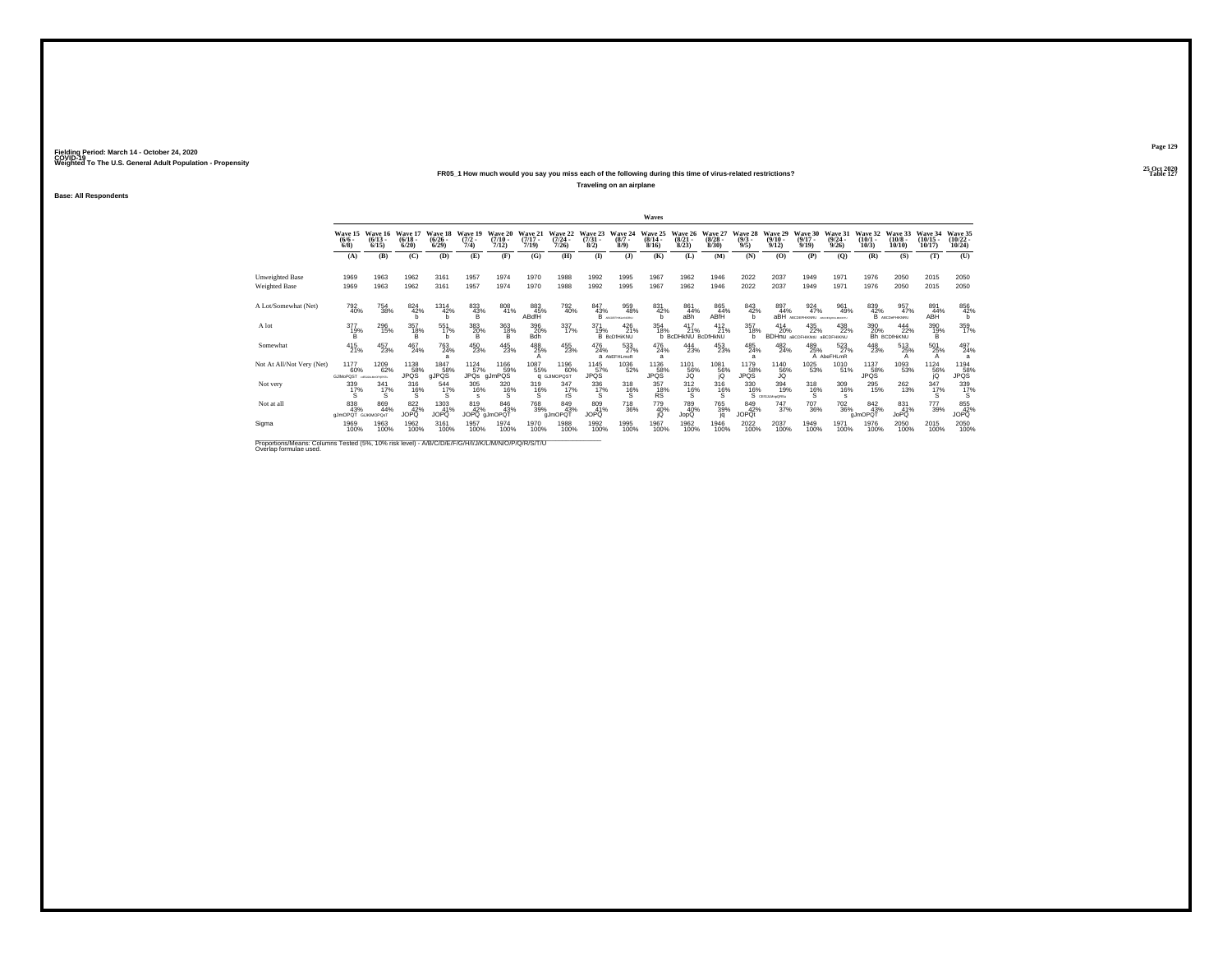## **25 Oct 2020FR05\_1 How much would you say you miss each of the following during this time of virus-related restrictions?**

**Traveling on an airplane**

**Base: All Respondents**

|                                                                                                                              |                                  |                                      |                              |                                 |                                |                              |                              |                                   |                                |                                  | Waves                        |                                         |                                  |                                |                               |                                             |                                  |                              |                               |                                  |                                            |
|------------------------------------------------------------------------------------------------------------------------------|----------------------------------|--------------------------------------|------------------------------|---------------------------------|--------------------------------|------------------------------|------------------------------|-----------------------------------|--------------------------------|----------------------------------|------------------------------|-----------------------------------------|----------------------------------|--------------------------------|-------------------------------|---------------------------------------------|----------------------------------|------------------------------|-------------------------------|----------------------------------|--------------------------------------------|
|                                                                                                                              | Wave 15<br>$(6/6 -$<br>6/8       | Wave 16<br>$(6/13 -$<br>6/15         | Wave 17<br>$(6/18 -$<br>6/20 | Wave 18<br>$(6/26 -$<br>6/29    | Wave 19<br>$\frac{(7/2)}{7/4}$ | Wave 20<br>$(7/10 -$<br>7/12 | Wave 21<br>$(7/17 -$<br>7/19 | Wave 22<br>$(7/24 -$<br>7/26      | Wave 23<br>$\binom{7/31}{8/2}$ | Wave 24<br>$(8/7 -$<br>$8/9$ )   | Wave 25<br>$(8/14 -$<br>8/16 | Wave 26<br>$\binom{8/21}{8/23}$         | Wave 27<br>$\frac{(8/28)}{8/30}$ | Wave 28<br>$\frac{(9/3)}{9/5}$ | Wave 29<br>$(9/10 -$<br>9/12  | Wave 30<br>$(9/17 -$<br>9/19                | Wave 31<br>$\frac{(9/24)}{9/26}$ | Wave 32<br>$(10/1 -$<br>10/3 | Wave 33<br>$(10/8 -$<br>10/10 | Wave 34<br>$(10/15 -$<br>10/17   | Wave 35<br>$\frac{(10/22 - 10/24)}{10/24}$ |
|                                                                                                                              | (A)                              | (B)                                  | (C)                          | (D)                             | (E)                            | (F)                          | (G)                          | (H)                               | $\bf{I}$                       | (3)                              | (K)                          | (L)                                     | (M)                              | (N)                            | (0)                           | (P)                                         | (O)                              | (R)                          | (S)                           | (T)                              | (U)                                        |
| <b>Unweighted Base</b><br><b>Weighted Base</b>                                                                               | 1969<br>1969                     | 1963<br>1963                         | 1962<br>1962                 | 3161<br>3161                    | 1957<br>1957                   | 1974<br>1974                 | 1970<br>1970                 | 1988<br>1988                      | 1992<br>1992                   | 1995<br>1995                     | 1967<br>1967                 | 1962<br>1962                            | 1946<br>1946                     | 2022<br>2022                   | 2037<br>2037                  | 1949<br>1949                                | 1971<br>1971                     | 1976<br>1976                 | 2050<br>2050                  | 2015<br>2015                     | 2050<br>2050                               |
| A Lot/Somewhat (Net)                                                                                                         | 792<br>40%                       | 754<br>38%                           | 824<br>42%<br>h              | 1314<br>42%<br>h                | 833<br>43%<br>в                | 808<br>41%                   | 883<br>45%<br>ABdfH          | 792<br>40%                        | 847<br>43%<br>B.               | 959<br>48%<br>ABCDEFHRLHNORU     | 831<br>42%<br>b              | 861<br>44%<br>aBh                       | 865<br>44%<br>ABfH               | 843<br>42%<br>h                | 897<br>44%<br>aBH             | 924<br>47%<br>ABCDEFHIKNRU ACOSTANDAROKTU   | 961<br>49%                       | 839<br>42%                   | 957<br>47%<br>B ABCDeFHIKNRU  | 891<br>44%<br>ABH                | 856<br>42%<br>b                            |
| A lot                                                                                                                        | 377<br>19%<br>в                  | 296<br>15%                           | 357<br>18%<br>в              | 551<br>17%<br>h                 | 383<br>20%<br>B                | 363<br>18%<br>B              | 396<br>20%<br>Bdh            | 337/17%                           | 371<br>19%                     | 426<br>21%<br><b>B</b> BcDfHiKNU | 354<br>18%                   | 417<br>21%<br><b>b BcDHkNU BcDfHkNU</b> | $^{412}_{21\%}$                  | 357<br>18%                     | 414<br>20%<br><b>BDHnu</b>    | 435<br>22%<br><b>ABCDFHIKNIU ABCDFHIKNU</b> | 438<br>22%                       | 390<br>20%                   | 444<br>22%<br>Bh BCDIHiKNU    | 390<br>19%<br>B.                 | 359<br>17%                                 |
| Somewhat                                                                                                                     | $^{415}_{21\%}$                  | 457<br>23%                           | 467<br>24%                   | $^{763}_{24\%}$<br>я            | 450<br>23%                     | 445<br>23%                   | 488<br>25%                   | 455<br>23%                        | 476<br>24%                     | 533<br>a AbEFHLmoR               | 476<br>24%<br>a              | 444<br>23%                              | 453<br>23%                       | 485<br>24%<br>а                | $^{482}_{24\%}$               | 489<br>25%                                  | 523<br>27%<br>A AbeFHLmR         | 448<br>23%                   | 513<br>25%                    | 501<br>25%                       | 497<br>24%<br>a                            |
| Not At All/Not Very (Net)                                                                                                    | 1177<br>60%<br>GJIMoPOST         | 1209<br>62%<br><b>GEOLALMOPORSTY</b> | 1138<br>58%<br>JPQS          | 1847<br>58%<br>gJPQS            | 1124<br>57%                    | 1166<br>59%<br>JPQs gJmPQS   | 1087<br>55%                  | 1196<br>60%<br><b>Q GJIMOPOST</b> | 1145<br>57%<br>JPQS            | 1036<br>52%                      | 1136<br>58%<br>JPQS          | 1101<br>56%<br>JQ                       | 1081<br>$^{56}_{10}$             | 1179<br>58%<br>JPQS            | 1140<br>56%                   | 1025<br>53%                                 | 1010<br>51%                      | 1137<br>58%<br>JPQS          | 1093<br>53%                   | $^{1124}_{\substack{56\%\\ jQ}}$ | $^{1194}_{158\%}$                          |
| Not very                                                                                                                     | 339<br>17%<br>S.                 | $\frac{341}{17\%}$<br>s              | 316%<br>s                    | 544<br>17%<br>S                 | 305<br>16%<br><b>s</b>         | 320<br>16%<br>s              | 319<br>16%<br>s              | 347/17%<br>rS                     | 336<br>17%                     | $^{318}_{16\%}$<br>s             | 357<br>18%<br><b>RS</b>      | $^{312}_{16\%}$                         | 316%<br>s                        | 330<br>16%                     | 394<br>19%<br>S CEIGLANGORS   | $^{318}_{16\%}$<br>Ś                        | 309<br>16%<br>s                  | 295<br>15%                   | $^{262}_{13\%}$               | $\frac{347}{17\%}$               | 339<br>17%<br>s                            |
| Not at all                                                                                                                   | 838<br>43%<br>aJmOPQT GUKIMOPOsT | 869<br>44%                           | 822 42%<br>JOPQ              | $^{1303}_{41\%}$<br><b>JOPO</b> | 819<br>42%                     | 846<br>43%<br>JOPQ gJmOPQT   | <sup>768</sup> 39%           | 849<br>43%<br>gJmOPQT             | 809<br>41%<br>JOPO             | <sup>718</sup> 36%               | 779<br>40%<br>iQ             | 789<br>40%<br>JopQ                      | 765<br>39%<br>jq                 | 849<br>42%<br><b>JOPQt</b>     | <sup>747</sup> <sub>37%</sub> | <sup>707</sup> 36%                          | <sup>702</sup> 36%               | 842<br>43%<br>gJmOPQT        | 831 41%<br>JoPQ               | 777<br>39%                       | 855<br>42%<br><b>JOPQ</b>                  |
| Sigma                                                                                                                        | 1969<br>100%                     | 1963<br>100%                         | 1962<br>100%                 | 3161<br>100%                    | 1957<br>100%                   | 1974<br>100%                 | 1970<br>100%                 | 1988<br>100%                      | 1992<br>100%                   | 1995<br>100%                     | 1967<br>100%                 | 1962<br>100%                            | 1946<br>100%                     | 2022<br>100%                   | 2037<br>100%                  | 1949<br>100%                                | 1971<br>100%                     | 1976<br>100%                 | 2050<br>100%                  | 2015<br>100%                     | 2050<br>100%                               |
| Proportions/Means: Columns Tested (5%, 10% risk level) - A/B/C/D/E/F/G/H/I/J/K/L/M/N/O/P/Q/R/S/T/U<br>Overlap formulae used. |                                  |                                      |                              |                                 |                                |                              |                              |                                   |                                |                                  |                              |                                         |                                  |                                |                               |                                             |                                  |                              |                               |                                  |                                            |

**Page 129**25 Oct 2020<br>Table 127

**Properties and the contract of the contract of the contract of the contract of the contract of the contract of the contract of the contract of the contract of the contract of the contract of the contract of the contract o**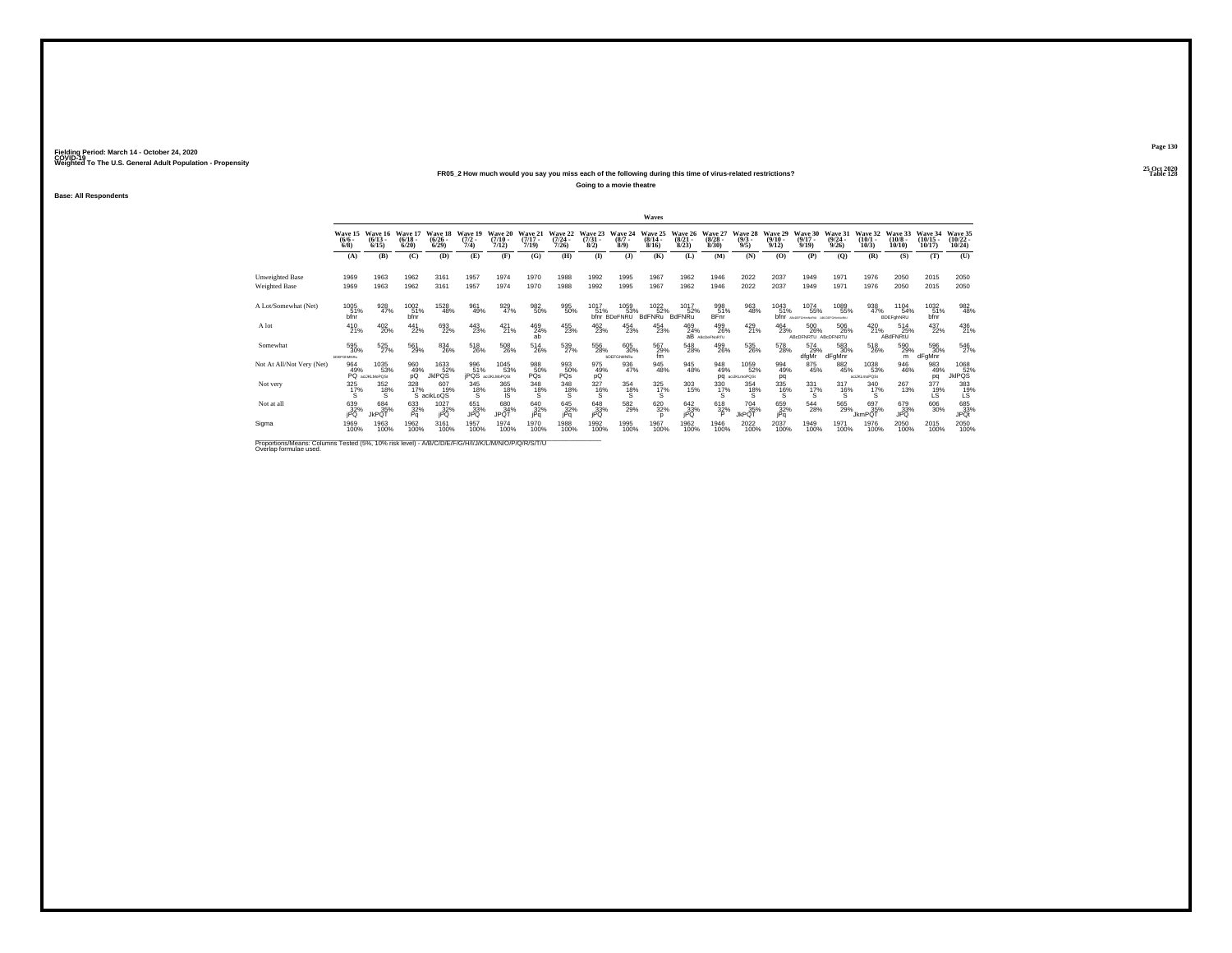## **25 Oct 2020FR05\_2 How much would you say you miss each of the following during this time of virus-related restrictions?**

**Going to a movie theatre**

**Base: All Respondents**

|                                                                                                                              |                                        |                                             |                              |                              |                             |                                                           |                              |                              |                                |                                    | Waves                            |                                 |                                 |                                |                                  |                                                  |                                  |                              |                               |                                |                                                              |
|------------------------------------------------------------------------------------------------------------------------------|----------------------------------------|---------------------------------------------|------------------------------|------------------------------|-----------------------------|-----------------------------------------------------------|------------------------------|------------------------------|--------------------------------|------------------------------------|----------------------------------|---------------------------------|---------------------------------|--------------------------------|----------------------------------|--------------------------------------------------|----------------------------------|------------------------------|-------------------------------|--------------------------------|--------------------------------------------------------------|
|                                                                                                                              | Wave 15<br>$\binom{6/6}{6/8}$          | Wave 16<br>$(6/13 -$<br>6/15                | Wave 17<br>$(6/18 -$<br>6/20 | Wave 18<br>$(6/26 -$<br>6/29 | Wave 19<br>$(7/2 -$<br>7/4) | Wave 20<br>$(7/10 -$<br>7/12)                             | Wave 21<br>$(7/17 -$<br>7/19 | Wave 22<br>$(7/24 -$<br>7/26 | Wave 23<br>$\binom{7/31}{8/2}$ | Wave 24<br>$\binom{8/7}{8/9}$      | Wave 25<br>$\frac{(8/14)}{8/16}$ | Wave 26<br>$\binom{8/21}{8/23}$ | Wave 27<br>$\binom{8/28}{8/30}$ | Wave 28<br>$\binom{9/3}{9/5}$  | Wave 29<br>$\frac{(9/10)}{9/12}$ | Wave 30<br>$\frac{(9/17)}{9/19}$                 | Wave 31<br>$\frac{(9/24)}{9/26}$ | Wave 32<br>$(10/1 -$<br>10/3 | Wave 33<br>$(10/8 -$<br>10/10 | Wave 34<br>$(10/15 -$<br>10/17 | Wave 35<br>$\binom{10/22}{10/24}$                            |
|                                                                                                                              | (A)                                    | (B)                                         | (C)                          | (D)                          | (E)                         | (F)                                                       | (G)                          | (H)                          | $\bf{I}$                       | (3)                                | (K)                              | (L)                             | (M)                             | (N)                            | (0)                              | (P)                                              | (O)                              | (R)                          | (S)                           | (T)                            | (U)                                                          |
| <b>Unweighted Base</b><br>Weighted Base                                                                                      | 1969<br>1969                           | 1963<br>1963                                | 1962<br>1962                 | 3161<br>3161                 | 1957<br>1957                | 1974<br>1974                                              | 1970<br>1970                 | 1988<br>1988                 | 1992<br>1992                   | 1995<br>1995                       | 1967<br>1967                     | 1962<br>1962                    | 1946<br>1946                    | 2022<br>2022                   | 2037<br>2037                     | 1949<br>1949                                     | 1971<br>1971                     | 1976<br>1976                 | 2050<br>2050                  | 2015<br>2015                   | 2050<br>2050                                                 |
| A Lot/Somewhat (Net)                                                                                                         | 1005<br>51%<br>bfnr                    | 928<br>47%                                  | 1002<br>51%<br>bfnr          | 1528<br>48%                  | 961<br>49%                  | 929<br>47%                                                | 982<br>50%                   | 995<br>50%                   | 1017<br>51%                    | 1059<br>53%<br>bfnr BDeFNRU BdFNRu | 1022<br>52%                      | 1017<br>52%<br><b>BdFNRu</b>    | 998<br>51%<br><b>BFnr</b>       | 963<br>48%                     | 1043<br>51%<br>bfnr              | 1074<br>55%<br>ABCDEFGHAMMERU ABCDEFGHAMMERU     | 1089<br>55%                      | 938<br>47%                   | 1104<br>54%<br>BDEFahNRU      | 1032<br>51%<br>bfnr            | 982<br>48%                                                   |
| A lot                                                                                                                        | 410<br>21%                             | 402<br>20%                                  | 441<br>22%                   | 693<br>22%                   | 443<br>23%                  | $^{421}_{21\%}$                                           | 469<br>24%<br>ab             | $^{455}_{23\%}$              | 462<br>23%                     | 454<br>23%                         | 454<br>23%                       | 469<br>24%                      | 499<br>26%<br>aB ABCDeFNoRTU    | 429<br>21%                     | 464<br>23%                       | $^{500}_{26\%}$<br>ABcDFNRTU ABcDFNRTU           | 506<br>26%                       | $^{420}_{21\%}$              | 514<br>25%<br>ABdFNRtU        | 437<br>22%                     | 436<br>21%                                                   |
| Somewhat                                                                                                                     | 595<br>30%<br><b><i>LOEFGHMNRu</i></b> | 525<br>27%                                  | 561<br>29%                   | 834<br>26%                   | 518<br>26%                  | 508<br>26%                                                | 514<br>26%                   | 539<br>27%                   | 556<br>28%                     | 605<br>30%<br><b>bDEFGhMNRu</b>    | 567<br>29%<br>fm                 | 548<br>28%                      | 499<br>26%                      | $^{535}_{26\%}$                | 578<br>28%                       | 574<br>29%<br>dfgMr                              | 583<br>30%<br>dFgMnr             | 518<br>26%                   | 590<br>29%<br>m               | 596<br>30%<br>dFgMnr           | 546<br>27%                                                   |
| Not At All/Not Verv (Net)                                                                                                    | 964<br>49%                             | $\substack{1035 \\ 53\%}$<br>PQ acUKLMoPOSt | 960<br>49%<br>DQ             | 1633<br>52%<br><b>JkIPOS</b> | 996<br>51%                  | $^\mathrm{1045}_\mathrm{53\%}$<br><b>IPQS</b> acUKLMoPOSt | 988<br>50%<br>PQs            | 993<br>50%<br>POS            | 975<br>49%<br>pQ               | $\frac{936}{47\%}$                 | 945<br>48%                       | 945<br>48%                      | 948<br>49%                      | 1059<br>52%<br>DQ aciJKLmoPQS: | 994<br>49%<br>pq                 | 875<br>45%                                       | 882<br>45%                       | 1038<br>53%<br>aciJKLmoPQS:  | 946<br>46%                    | 983<br>49%<br>pq               | $\begin{array}{r} 1068 \\ 52\% \\ \text{JklPQS} \end{array}$ |
| Not very                                                                                                                     | 325<br>17%<br>S                        | 352<br>18%<br>s                             | $\frac{328}{17\%}$           | 607<br>19%<br>S acikLoQS     | 345<br>18%                  | 365<br>18%<br>IS                                          | 348<br>18%                   | 348<br>18%<br>s              | 327<br>16%                     | 354<br>18%<br>s                    | $\frac{325}{17}\%$<br>S          | 303<br>15%                      | 330<br>17%<br>s                 | 354<br>18%                     | 335<br>16%<br>s                  | 331/17%<br>s                                     | $^{317}_{16\%}$<br>s             | 340<br>17%<br>s              | 267<br>13%                    | 377<br>19%<br>LS               | 383<br>19%<br>LS                                             |
| Not at all                                                                                                                   | 639<br>32%<br>iPQ                      | 684<br>35%<br>JkPÕŤ                         | $\frac{633}{32\%}$           | 1027<br>32%<br>iPQ           | 651<br>33%<br>JPQ           | 680<br>34%<br>JPŐŤ                                        | 640<br>32%<br>jPq            | 645<br>32%<br>jPq            | 648<br>33%<br>jPQ              | 582<br>29%                         | 620<br>32%<br>D                  | 642<br>33%<br>iPÖ               | $^{618}_{32\%}$                 | 704<br>35%<br><b>JKPOT</b>     | 659<br>32%<br>jPq                | $^{544}_{\phantom{1}\phantom{1}\phantom{1}28\%}$ | 565<br>29%                       | 697<br>35%<br>JkmPQT         | 679<br>33%<br>JPQ             | 606<br>30%                     | $\frac{685}{33\%}$                                           |
| Sigma                                                                                                                        | 969<br>100%                            | 1963<br>100%                                | 1962<br>100%                 | 3161<br>100%                 | 1957<br>100%                | 1974<br>100%                                              | 1970<br>100%                 | 1988<br>100%                 | 1992<br>100%                   | 1995<br>100%                       | 1967<br>100%                     | 1962<br>100%                    | 1946<br>100%                    | 2022<br>100%                   | 2037<br>100%                     | 1949<br>100%                                     | 1971<br>100%                     | 1976<br>100%                 | 2050<br>100%                  | 2015<br>100%                   | 2050<br>100%                                                 |
| Proportions/Means: Columns Tested (5%, 10% risk level) - A/B/C/D/E/F/G/H/I/J/K/L/M/N/O/P/Q/R/S/T/U<br>Overlap formulae used. |                                        |                                             |                              |                              |                             |                                                           |                              |                              |                                |                                    |                                  |                                 |                                 |                                |                                  |                                                  |                                  |                              |                               |                                |                                                              |

**Page 130**25 Oct 2020<br>Table 128

**Table 128**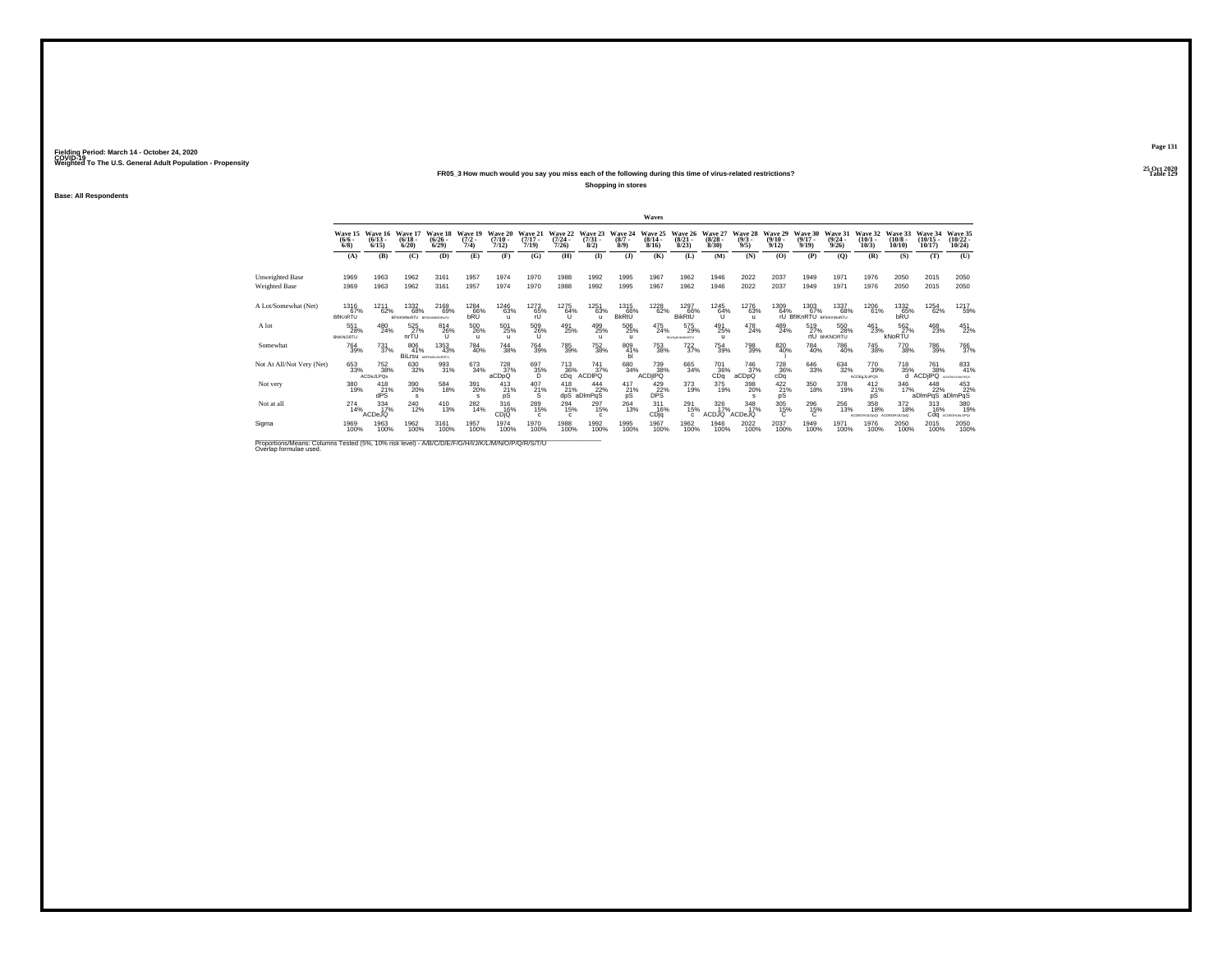## **25 Oct 2020FR05\_3 How much would you say you miss each of the following during this time of virus-related restrictions?Shopping in stores**

**Base: All Respondents**

|                                                                                                                              |                                |                                 |                                       |                                   |                            |                              |                                  |                                  |                                |                             | Waves                            |                                 |                                  |                                |                                 |                                       |                                         |                              |                                 |                                |                                   |
|------------------------------------------------------------------------------------------------------------------------------|--------------------------------|---------------------------------|---------------------------------------|-----------------------------------|----------------------------|------------------------------|----------------------------------|----------------------------------|--------------------------------|-----------------------------|----------------------------------|---------------------------------|----------------------------------|--------------------------------|---------------------------------|---------------------------------------|-----------------------------------------|------------------------------|---------------------------------|--------------------------------|-----------------------------------|
|                                                                                                                              | Wave 15<br>$\binom{6/6}{6/8}$  | Wave 16<br>$\binom{6/13}{6/15}$ | Wave 17<br>$\frac{(6/18)}{6/20}$      | Wave 18<br>$\binom{6/26}{6/29}$   | Wave 19<br>$(7/2 -$<br>7/4 | Wave 20<br>$(7/10 -$<br>7/12 | Wave 21<br>$\frac{(7/17)}{7/19}$ | Wave 22<br>$\frac{(7/24)}{7/26}$ | Wave 23<br>$\binom{7/31}{8/2}$ | Wave 24<br>$(8/7 -$<br>8/9  | Wave 25<br>$\frac{(8/14)}{8/16}$ | Wave 26<br>$\binom{8/21}{8/23}$ | Wave 27<br>$\frac{(8/28)}{8/30}$ | Wave 28<br>$\frac{(9/3)}{9/5}$ | Wave 29<br>$\binom{9/10}{9/12}$ | Wave 30<br>$\frac{(9/17)}{9/19}$      | Wave 31<br>$\frac{(9/24 - 9/26)}{9/26}$ | Wave 32<br>$(10/1 -$<br>10/3 | Wave 33<br>$(10/8 -$<br>10/10   | Wave 34<br>$(10/15 -$<br>10/17 | Wave 35<br>$\binom{10/22}{10/24}$ |
|                                                                                                                              | (A)                            | (B)                             | (C)                                   | (D)                               | (E)                        | (F)                          | (G)                              | (H)                              | $($ $\Gamma$                   | $($ $)$                     | (K)                              | (L)                             | (M)                              | (N)                            | (O)                             | (P)                                   | $\mathbf{Q}$                            | (R)                          | (S)                             | (T)                            | (U)                               |
| Unweighted Base<br>Weighted Base                                                                                             | 1969<br>1969                   | 1963<br>1963                    | 1962<br>1962                          | 3161<br>3161                      | 1957<br>1957               | 1974<br>1974                 | 1970<br>1970                     | 1988<br>1988                     | 1992<br>1992                   | 1995<br>1995                | 1967<br>1967                     | 1962<br>1962                    | 1946<br>1946                     | 2022<br>2022                   | 2037<br>2037                    | 1949<br>1949                          | 1971<br>1971                            | 1976<br>1976                 | 2050<br>2050                    | 2015<br>2015                   | 2050<br>2050                      |
| A Lot/Somewhat (Net)                                                                                                         | 1316<br>67%<br><b>BfIKnRTU</b> | 1211<br>62%                     | 1332<br>68%<br>BFNKMNoRTU provintentu | 2168<br>69%                       | 1284<br>66%<br>bRÜ         | 1246<br>63%<br>$\mathbf{u}$  | 1273<br>65%<br>rU.               | 1275<br>64%<br>īί                | 1251<br>63%                    | 1315<br>66%<br><b>BkRtU</b> | 1228<br>62%                      | 1297<br>66%<br>BikRtL           | 1245<br>64%<br>u                 | 1276<br>63%<br>$\mathbf{u}$    | 1309<br>64%                     | 1303<br>67%<br>rU BfIKnRTU BFNKmNoRTU | 1337<br>68%                             | 1206<br>61%                  | 1332<br>65%<br>bRU              | 1254<br>62%                    | 1217<br>59%                       |
| A lot                                                                                                                        | 551<br>28%<br>BNKNORTU         | 480<br>24%                      | 525<br>27%<br>nrTU                    | 814<br>26%<br>u                   | 500<br>26%<br>$\mathbf{u}$ | 501<br>25%<br>$\mathbf{u}$   | 509<br>26%                       | 491<br>25%                       | 499<br>25%                     | 506<br>25%<br>$\mathbf{u}$  | 475<br>24%                       | 575<br>29%<br>RDHF@HJA0/INORTU  | 491<br>25%<br>$\mathbf{u}$       | 478<br>24%                     | 489<br>24%                      | 519<br>27%                            | 550<br>28%<br>rtU bhKNORTU              | 461<br>23%                   | 562%<br>kNoRTU                  | 468<br>23%                     | 451<br>22%                        |
| Somewhat                                                                                                                     | <sup>764</sup> 39%             | $^{731}_{37\%}$                 | 806<br>41%                            | 1353<br>43%<br>BiLrsu ARGHALMASTU | 784<br>40%                 | $\substack{744 \\ 38\%}$     | <sup>764</sup> 39%               | 785<br>39%                       | 752<br>38%                     | 809<br>41%                  | 753<br>38%                       | $^{722}_{37\%}$                 | 754<br>39%                       | 798<br>39%                     | 820<br>40%                      | 784<br>40%                            | 786<br>40%                              | <sup>745</sup> 38%           | 770<br>38%                      | 786<br>39%                     | <sup>766</sup> 37%                |
| Not At All/Not Very (Net)                                                                                                    | 653<br>33%                     | 752<br>38%<br><b>ACDeJLPOs</b>  | 630<br>32%                            | 993<br>31%                        | 673<br>34%                 | $^{728}_{37\%}$<br>aCDpQ     | 697<br>35%<br>D                  | $^{713}_{36\%}$ cDq              | 741<br>37%<br><b>CDIPQ</b>     | 680<br>34%                  | 739<br>38%<br>ACDIIPO            | 665<br>34%                      | 701<br>36%<br>CDa                | 746<br>37%<br>aCDpQ            | $^{728}_{36\%}$ cDq             | 646<br>33%                            | 634<br>32%                              | 770<br>39%<br>ACDE a JL oPOS | 718<br>35%<br>d                 | 761<br>38%<br>ACDIPO           | 833<br>41%<br>ACCREAGE & MACRICA  |
| Not very                                                                                                                     | 380<br>19%                     | 418<br>21%<br>dPS               | 390<br>20%<br>s                       | 584<br>18%                        | 391<br>20%<br>s            | 413<br>21%<br>pS             | 407<br>21%<br>s                  | 418<br>21%<br>dpS                | 444<br>22%<br>aDImPqS          | $^{417}_{21\%}$<br>pS       | 429 22%<br><b>DPS</b>            | 373<br>19%                      | 375<br>19%                       | 398<br>20%<br><b>s</b>         | $^{422}_{21\%}$<br>pS           | 350<br>18%                            | 378<br>19%                              | $^{412}_{21\%}$<br>pS        | 346<br>17%                      | 448<br>22%<br>aDImPqS aDImPqS  | 453<br>22%                        |
| Not at all                                                                                                                   | $^{274}_{14\%}$                | $\frac{334}{17}\%$<br>ACDeJQ    | <sup>240</sup> <sub>12%</sub>         | $^{410}_{13\%}$                   | 282<br>14%                 | $^{316}_{16\%}$<br>CDIO      | 289<br>15%                       | 294<br>15%<br>c                  | 297<br>15%                     | $^{264}_{13\%}$             | 311<br>16%<br>CDjq               | 291<br>15%                      | 326<br>17%<br>ACDJQ              | $\frac{348}{17}\%$<br>ACDeJQ   | 305<br>15%<br>C                 | 296<br>15%                            | 256<br>13%                              | 358<br>18%<br>SCOEDHULODO!   | $^{372}_{18\%}$<br>ACDEGHLILOpQ | $313 \atop 16\%$               | 380<br>19%<br>Cdq ACDEGALALOPO    |
| Sigma                                                                                                                        | 1969<br>100%                   | 1963<br>100%                    | 1962<br>100%                          | 3161<br>100%                      | 1957<br>100%               | 1974<br>100%                 | 1970<br>100%                     | 1988<br>100%                     | 1992<br>100%                   | 1995<br>100%                | 1967<br>100%                     | 1962<br>100%                    | 1946<br>100%                     | 2022<br>100%                   | 2037<br>100%                    | 1949<br>100%                          | 1971<br>100%                            | 1976<br>100%                 | 2050<br>100%                    | 2015<br>100%                   | 2050<br>100%                      |
| Proportions/Means: Columns Tested (5%, 10% risk level) - A/B/C/D/E/F/G/H/I/J/K/L/M/N/O/P/Q/R/S/T/U<br>Overlap formulae used. |                                |                                 |                                       |                                   |                            |                              |                                  |                                  |                                |                             |                                  |                                 |                                  |                                |                                 |                                       |                                         |                              |                                 |                                |                                   |

**Page 131**25 Oct 2020<br>Table 129

**Particular Table 129 Table 129**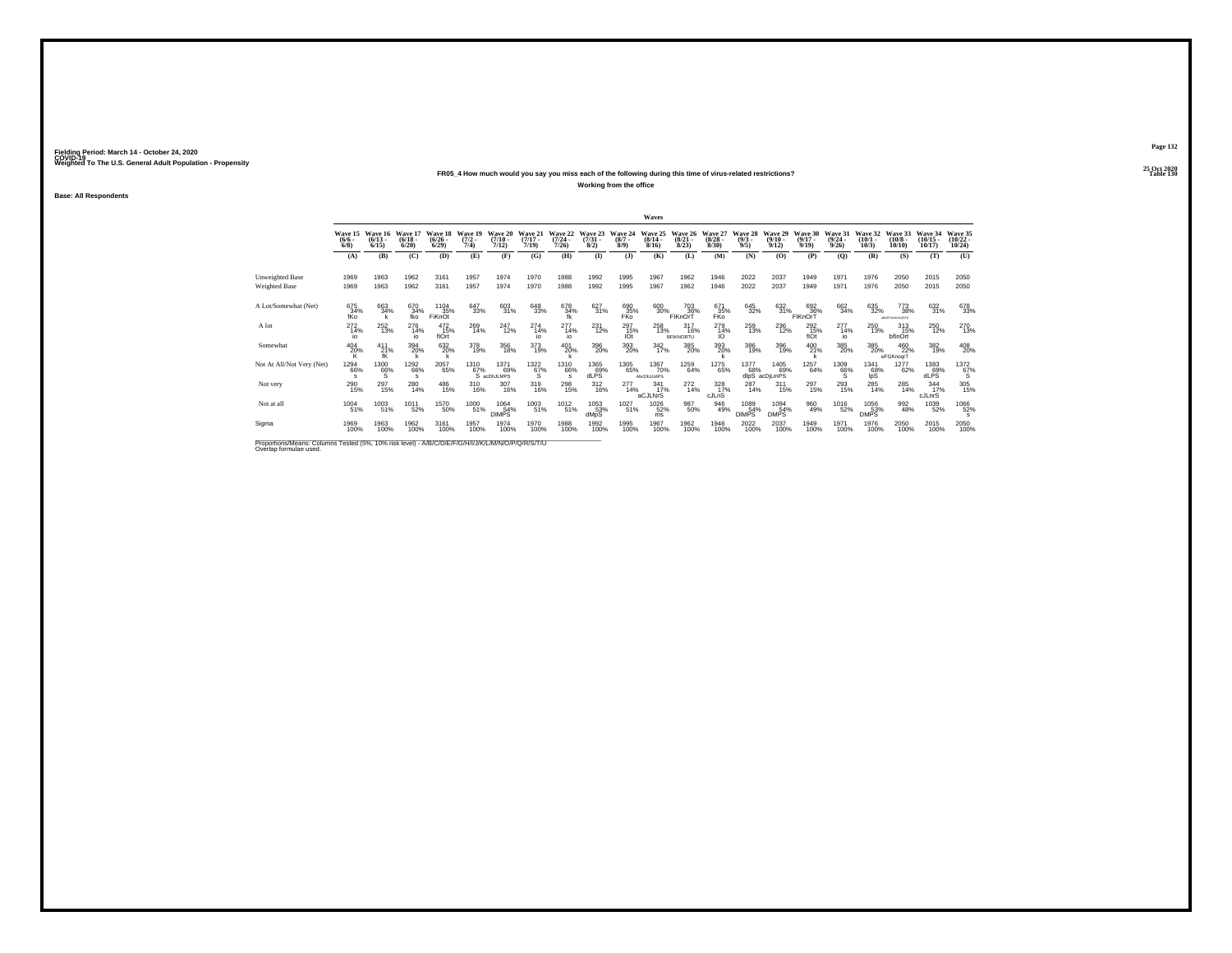## **25 Oct 2020FR05\_4 How much would you say you miss each of the following during this time of virus-related restrictions?**

**Working from the office**

**Base: All Respondents**

|                                                                                                                              |                               |                                                      |                              |                                 |                             |                               |                              |                                         |                                |                               | Waves                            |                                     |                                 |                               |                                  |                                  |                                  |                              |                                     |                                   |                                   |
|------------------------------------------------------------------------------------------------------------------------------|-------------------------------|------------------------------------------------------|------------------------------|---------------------------------|-----------------------------|-------------------------------|------------------------------|-----------------------------------------|--------------------------------|-------------------------------|----------------------------------|-------------------------------------|---------------------------------|-------------------------------|----------------------------------|----------------------------------|----------------------------------|------------------------------|-------------------------------------|-----------------------------------|-----------------------------------|
|                                                                                                                              | Wave 15<br>$\binom{6/6}{6/8}$ | Wave 16<br>$(6/13 -$<br>6/15                         | Wave 17<br>$(6/18 -$<br>6/20 | Wave 18<br>$\binom{6/26}{6/29}$ | Wave 19<br>$(7/2 -$<br>7/4) | Wave 20<br>$(7/10 -$<br>7/12) | Wave 21<br>$(7/17 -$<br>7/19 | Wave 22<br>$\frac{(7/24 - 7/26)}{7/26}$ | Wave 23<br>$\binom{7/31}{8/2}$ | Wave 24<br>$\binom{8/7}{8/9}$ | Wave 25<br>$\frac{(8/14)}{8/16}$ | Wave 26<br>$\binom{8/21}{8/23}$     | Wave 27<br>$\binom{8/28}{8/30}$ | Wave 28<br>$\binom{9/3}{9/5}$ | Wave 29<br>$\frac{(9/10)}{9/12}$ | Wave 30<br>$\frac{(9/17)}{9/19}$ | Wave 31<br>$\frac{(9/24)}{9/26}$ | Wave 32<br>$(10/1 -$<br>10/3 | Wave 33<br>$(10/8 -$<br>10/10       | Wave 34<br>$(10/15 -$<br>10/17    | Wave 35<br>$\binom{10/22}{10/24}$ |
|                                                                                                                              | (A)                           | (B)                                                  | (C)                          | (D)                             | (E)                         | (F)                           | (G)                          | (H)                                     | $($ $\Gamma$                   | $($ $)$                       | (K)                              | (L)                                 | (M)                             | (N)                           | (O)                              | (P)                              | (O)                              | (R)                          | (S)                                 | (T)                               | (U)                               |
| <b>Unweighted Base</b>                                                                                                       | 1969                          | 1963                                                 | 1962                         | 3161                            | 1957                        | 1974                          | 1970                         | 1988                                    | 1992                           | 1995                          | 1967                             | 1962                                | 1946                            | 2022                          | 2037                             | 1949                             | 1971                             | 1976                         | 2050                                | 2015                              | 2050                              |
| Weighted Base                                                                                                                | 1969                          | 1963                                                 | 1962                         | 3161                            | 1957                        | 1974                          | 1970                         | 1988                                    | 1992                           | 1995                          | 1967                             | 1962                                | 1946                            | 2022                          | 2037                             | 1949                             | 1971                             | 1976                         | 2050                                | 2015                              | 2050                              |
| A Lot/Somewhat (Net)                                                                                                         | 675<br>34%<br>fKo             | 663<br>34%                                           | 670<br>34%<br>fko            | 1104<br>35%<br><b>FiKnOt</b>    | 647<br>33%                  | 603<br>31%                    | 648<br>33%                   | 678<br>34%<br>fk                        | 627<br>31%                     | 690<br>35%<br><b>FKO</b>      | 600<br>30%                       | 703<br>36%<br>FIKnOrT               | 671<br>35%<br>FKo               | 645<br>32%                    | 632<br>31%                       | 692<br>36%<br>FIKnOrT            | 662<br>34%                       | 635<br>32%                   | 773<br>38%<br><b>ARGEFONANCORTU</b> | 632<br>31%                        | 678<br>33%                        |
| A lot                                                                                                                        | $^{272}_{14\%}$<br>io         | 252<br>13%                                           | $^{276}_{14\%}$<br>io        | $^{472}_{15\%}$<br>flOrt        | 269<br>14%                  | 247<br>12%                    | 274<br>14%                   | $^{277}_{14\%}$<br>io                   | $^{231}_{12\%}$                | $^{297}_{15\%}$<br>IOt        | 258<br>13%                       | $^{317}_{16\%}$<br><b>BFIKNORTU</b> | 279<br>14%<br>IO                | 259<br>13%                    | 236<br>12%                       | $^{292}_{15\%}$<br>flOt          | $^{277}_{14\%}$<br>io            | 250<br>13%                   | 313<br>15%<br>bflnOrt               | <sup>250</sup> <sub>12%</sub>     | 270<br>13%                        |
| Somewhat                                                                                                                     | $^{404}_{20\%}$               | $^{411}_{\hphantom{1}21\%}_{\hphantom{1} \hbox{fK}}$ | 394<br>20%                   | 6320%                           | 378<br>19%                  | 356<br>18%                    | 373<br>19%                   | 401<br>20%                              | 396<br>20%                     | 393<br>20%                    | $\frac{342}{17\%}$               | 385<br>20%                          | 393<br>20%                      | 386<br>19%                    | 396<br>19%                       | 400<br>21%                       | 385<br>20%                       | $\substack{385 \\ 20\%}$     | 460<br>22%<br>eFGKnogrT             | 382<br>19%                        | 408<br>20%                        |
| Not At All/Not Verv (Net)                                                                                                    | 1294<br>66%                   | $^{1300}_{66\%}$                                     | 1292<br>66%<br>s             | 2057<br>65%                     | 1310<br>67%                 | 1371<br>69%<br>S acDhJLMPS    | $\frac{1322}{67\%}$          | 1310<br>66%<br>s                        | 1365<br>dLPS <sup>%</sup>      | 1305<br>65%                   | 1367<br>70%<br>AbcDhJLMPS        | 1259<br>64%                         | 1275<br>65%                     | 1377<br>68%                   | 1405<br>69%<br>dlpS acDjLmPS     | 1257<br>64%                      | $^{1309}_{66\%}$                 | 1341<br>68%<br>lpS           | 1277<br>62%                         | $\underset{\text{dlPS}}{^{1383}}$ | $^{1372}_{67\%}$                  |
| Not very                                                                                                                     | 290<br>15%                    | 297<br>15%                                           | $^{280}_{14\%}$              | 486<br>15%                      | 310<br>16%                  | 307<br>16%                    | 319<br>16%                   | 298<br>15%                              | $^{312}_{16\%}$                | 277<br>14%                    | 341<br>17%<br>aCJLNrS            | 272<br>14%                          | 328<br>cJLnS                    | 287<br>14%                    | $^{311}_{15\%}$                  | 297<br>15%                       | 293<br>15%                       | $^{285}_{14\%}$              | 285<br>14%                          | 344<br>17%<br>cJLnrS              | 305 15%                           |
| Not at all                                                                                                                   | 1004<br>51%                   | 1003<br>51%                                          | 1011<br>52%                  | <sup>1570</sup> 50%             | 1000<br>51%                 | 1064<br>54%<br><b>DIMPS</b>   | 1003<br>51%                  | 1012<br>51%                             | 1053<br>53%<br>dMpS            | 1027<br>51%                   | <sup>1026</sup> 52%<br>ms        | 987<br>50%                          | 946<br>49%                      | 1089<br>54%<br><b>DIMPS</b>   | 1094<br>54%<br><b>DMPS</b>       | 960<br>49%                       | <sup>1016</sup> 52%              | 1056<br>53%<br><b>DMPS</b>   | 992<br>48%                          | 1039<br>52%                       | 1066<br>52%                       |
| Sigma                                                                                                                        | 1969<br>100%                  | 1963<br>100%                                         | 1962<br>100%                 | 3161<br>100%                    | 1957<br>100%                | 1974<br>100%                  | 1970<br>100%                 | 1988<br>100%                            | 1992<br>100%                   | 1995<br>100%                  | 1967<br>100%                     | 1962<br>100%                        | 1946<br>100%                    | 2022<br>100%                  | 2037<br>100%                     | 1949<br>100%                     | 1971<br>100%                     | 1976<br>100%                 | 2050<br>100%                        | 2015<br>100%                      | 2050<br>100%                      |
| Proportions/Means: Columns Tested (5%, 10% risk level) - A/B/C/D/E/F/G/H/I/J/K/L/M/N/O/P/Q/R/S/T/U<br>Overlap formulae used. |                               |                                                      |                              |                                 |                             |                               |                              |                                         |                                |                               |                                  |                                     |                                 |                               |                                  |                                  |                                  |                              |                                     |                                   |                                   |

**Page 132**25 Oct 2020<br>Table 130

**Table 130**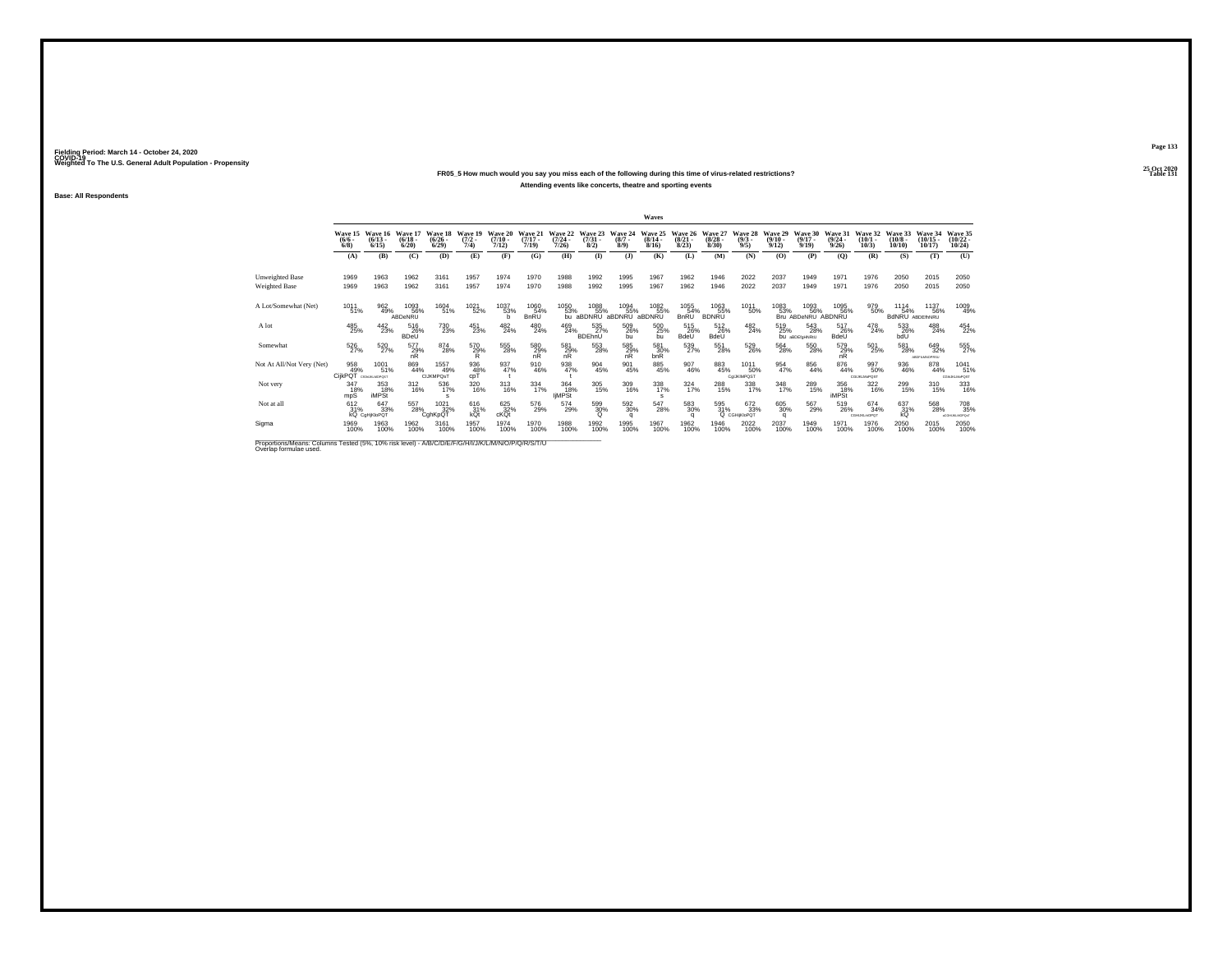## **25 Oct 2020FR05\_5 How much would you say you miss each of the following during this time of virus-related restrictions?Attending events like concerts, theatre and sporting events**

**Base: All Respondents**

|                                                                                                                              |                                |                                    |                              |                                 |                            |                              |                              |                                  |                                |                            | Waves                     |                                 |                                 |                               |                                  |                                     |                                  |                                  |                                |                                           |                                    |
|------------------------------------------------------------------------------------------------------------------------------|--------------------------------|------------------------------------|------------------------------|---------------------------------|----------------------------|------------------------------|------------------------------|----------------------------------|--------------------------------|----------------------------|---------------------------|---------------------------------|---------------------------------|-------------------------------|----------------------------------|-------------------------------------|----------------------------------|----------------------------------|--------------------------------|-------------------------------------------|------------------------------------|
|                                                                                                                              | Wave 15<br>$\frac{(6/6)}{6/8}$ | Wave 16<br>$(6/13 -$<br>6/15       | Wave 17<br>$(6/18 -$<br>6/20 | Wave 18<br>$\binom{6/26}{6/29}$ | Wave 19<br>$(7/2 -$<br>7/4 | Wave 20<br>$(7/10 -$<br>7/12 | Wave 21<br>$(7/17 -$<br>7/19 | Wave 22<br>$\frac{(7/24)}{7/26}$ | Wave 23<br>$\binom{7/31}{8/2}$ | Wave 24<br>$(8/7 -$<br>8/9 | Wave 25<br>(8/14)<br>8/16 | Wave 26<br>$\binom{8/21}{8/23}$ | Wave 27<br>$\binom{8/28}{8/30}$ | Wave 28<br>$\binom{9/3}{9/5}$ | Wave 29<br>$\frac{(9/10)}{9/12}$ | Wave 30<br>$\frac{(9/17)}{9/19}$    | Wave 31<br>$\frac{(9/24)}{9/26}$ | Wave 32<br>$\binom{10/1}{10/3}$  | Wave 33<br>$(10/8 -$<br>10/10  | Wave 34<br>$(10/15 -$<br>10/17            | Wave 35<br>$\binom{10/22}{10/24}$  |
|                                                                                                                              | (A)                            | (B)                                | (C)                          | (D)                             | (E)                        | (F)                          | (G)                          | (H)                              | $\bf{I}$                       | $\mathbf{J}$               | (K)                       | (L)                             | (M)                             | (N)                           | (O)                              | (P)                                 | (0)                              | (R)                              | (S)                            | (T)                                       | (U)                                |
| Unweighted Base<br><b>Weighted Base</b>                                                                                      | 1969<br>1969                   | 1963<br>1963                       | 1962<br>1962                 | 3161<br>3161                    | 1957<br>1957               | 1974<br>1974                 | 1970<br>1970                 | 1988<br>1988                     | 1992<br>1992                   | 1995<br>1995               | 1967<br>1967              | 1962<br>1962                    | 1946<br>1946                    | 2022<br>2022                  | 2037<br>2037                     | 1949<br>1949                        | 1971<br>1971                     | 1976<br>1976                     | 2050<br>2050                   | 2015<br>2015                              | 2050<br>2050                       |
| A Lot/Somewhat (Net)                                                                                                         | 1011<br>51%                    | 962<br>49%                         | 1093<br>56%<br>ABDeNRU       | 1604<br>51%                     | 1021<br>52%                | 1037<br>53%<br>h             | 1060<br>54%<br><b>BnRU</b>   | 1050<br>53%                      | 1088<br>55%<br>bu aBDNRU       | 1094<br>% 55%<br>aBDNRU a  | 1082<br>% 55%<br>aBDNRU   | 1055<br>54%<br><b>BnRU</b>      | 1063<br>55%<br><b>BDNRU</b>     | 1011<br>50%                   | 1083<br>53%                      | 1093<br>56%<br>Bru ABDeNRU ABDNRU   | 1095<br>56%                      | 979<br>50%                       | 1114<br>54%<br>BdNRU ABDEINNRU | 1137<br>56%                               | 1009<br>49%                        |
| A lot                                                                                                                        | 485<br>25%                     | $^{442}_{23\%}$                    | 516<br>26%<br><b>BDeU</b>    | <sup>730</sup> <sub>23%</sub>   | 451<br>23%                 | $^{482}_{24\%}$              | $^{480}_{24\%}$              | 469<br>24%                       | 535<br>27%<br>BDEhnU           | 509<br>26%<br>bu           | 500<br>25%<br>bu          | 515<br>26%<br>BdeU              | $^{512}_{26\%}$<br>BdeU         | $^{482}_{24\%}$               | 519<br>25%                       | 543<br>28%<br><b>bu</b> aBDEfgHNRtU | 517<br>26%<br>BdeU               | 478<br>24%                       | 533<br>26%<br>bdU              | 488<br>24%                                | 454<br>22%                         |
| Somewhat                                                                                                                     | 526<br>27%                     | 520<br>27%                         | $^{577}_{29\%}$ nR           | 874<br>28%                      | 570<br>29%<br>R            | 555<br>28%                   | $\frac{580}{29\%}$<br>nR     | $^{581}_{29\%}$ nR               | 553<br>28%                     | 585<br>29%<br>nR           | 581<br>30%<br>bnR         | 539<br>27%                      | 551<br>28%                      | 529<br>26%                    | 564<br>28%                       | 550<br>28%                          | 579<br>29%<br>nR                 | 501<br>25%                       | 581<br>28%                     | 649<br>32%<br><b><i>LEDES MARGEST</i></b> | 555                                |
| Not At All/Not Very (Net)                                                                                                    | 958<br>CijkPQT                 | 1001<br>51%<br>CIGNUMUMOPOST       | 869<br>44%                   | 1557<br>49%<br>CIJKMPOsT        | 936<br>48%<br>coT          | 937<br>47%                   | 910<br>46%                   | 938<br>47%                       | 904<br>45%                     | 901<br>45%                 | 885<br>45%                | $\frac{907}{46\%}$              | 883<br>45%                      | 1011<br>50%<br>ColJKIMPOST    | 954<br>47%                       | $\frac{856}{44\%}$                  | $\substack{876 \\ 44\%}$         | 997<br>50%<br><b>CGUKLMoPOST</b> | 936<br>46%                     | 878<br>44%                                | 1041<br>51%<br><b>CGNJKLMoPOST</b> |
| Not very                                                                                                                     | 347<br>18%<br>mpS              | 353<br>18%<br><b>iMPSt</b>         | $^{312}_{16\%}$              | 536<br>17%<br>s                 | 320<br>16%                 | $\frac{313}{16\%}$           | $334 \over 17\%$             | 364<br>18%<br><b>liMPSt</b>      | 305<br>15%                     | 309<br>16%                 | 338<br>17%<br>s           | $\frac{324}{17\%}$              | 288<br>15%                      | 338<br>17%                    | $\frac{348}{17\%}$               | 289<br>15%                          | 356<br>18%<br><b>iMPSt</b>       | 322<br>16%                       | 299<br>15%                     | 310<br>15%                                | 333<br>16%                         |
| Not at all                                                                                                                   | 612/31%                        | 647<br>33%<br><b>KQ</b> CgHjKloPQT | 557<br>28%                   | $\frac{1021}{32\%}$<br>CqhKpQT  | $^{616}_{31\%}$ kQt        | $^{625}_{32\%}$ cKQt         | 576<br>29%                   | 574<br>29%                       | 599<br>30%                     | 592<br>30%<br>a            | 547<br>28%                | $^{583}_{\ 30\%}$               | 595<br>31%                      | 672<br>33%<br>Q CGHiKloPOT    | 605<br>30%<br>a                  | 567<br>29%                          | 519<br>26%                       | 674<br>34%<br>CGHLIKLmOPQT       | 637<br>31%<br>kQ               | 568<br>28%                                | 708<br>35%<br>ACGHLIKLMOPOLT       |
| Sigma                                                                                                                        | 1969<br>100%                   | 1963<br>100%                       | 1962<br>100%                 | 3161<br>100%                    | 1957<br>100%               | 1974<br>100%                 | 1970<br>100%                 | 1988<br>100%                     | 1992<br>100%                   | 1995<br>100%               | 1967<br>100%              | 1962<br>100%                    | 1946<br>100%                    | 2022<br>100%                  | 2037<br>100%                     | 1949<br>100%                        | 1971<br>100%                     | 1976<br>100%                     | 2050<br>100%                   | 2015<br>100%                              | 2050<br>100%                       |
| Proportions/Means: Columns Tested (5%, 10% risk level) - A/B/C/D/E/F/G/H/I/J/K/L/M/N/O/P/Q/R/S/T/U<br>Overlap formulae used. |                                |                                    |                              |                                 |                            |                              |                              |                                  |                                |                            |                           |                                 |                                 |                               |                                  |                                     |                                  |                                  |                                |                                           |                                    |

**Page 133**25 Oct 2020<br>Table 131

**Particular Table 131**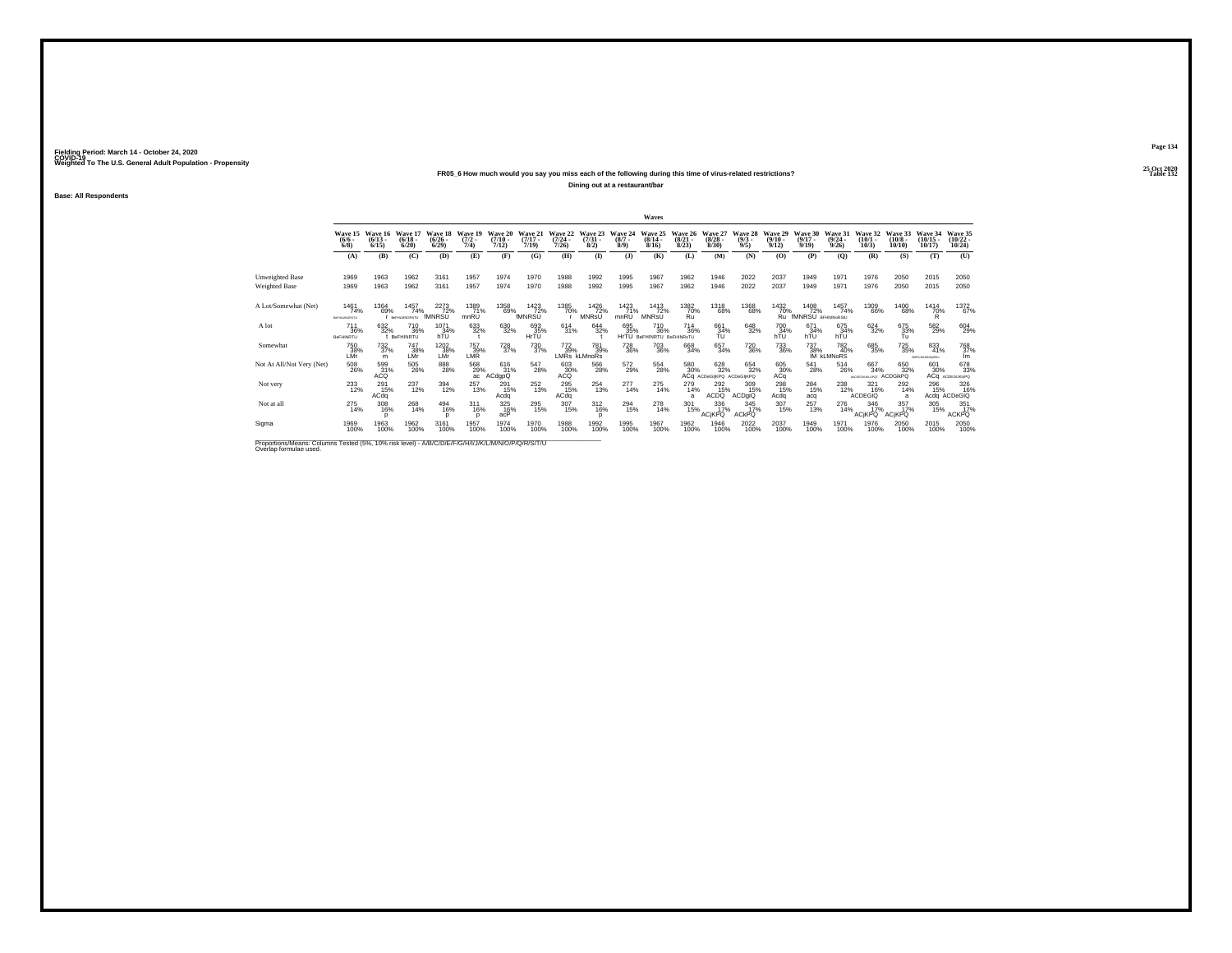### **25 Oct 2020FR05\_6 How much would you say you miss each of the following during this time of virus-related restrictions?**

**Dining out at a restaurant/bar**

**Base: All Respondents**

|                                                                                                                              |                                       |                                    |                                              |                              |                            |                               |                              |                              |                              |                               | Waves                                                      |                                 |                                         |                                    |                               |                                       |                                                |                                       |                                     |                                      |                                |
|------------------------------------------------------------------------------------------------------------------------------|---------------------------------------|------------------------------------|----------------------------------------------|------------------------------|----------------------------|-------------------------------|------------------------------|------------------------------|------------------------------|-------------------------------|------------------------------------------------------------|---------------------------------|-----------------------------------------|------------------------------------|-------------------------------|---------------------------------------|------------------------------------------------|---------------------------------------|-------------------------------------|--------------------------------------|--------------------------------|
|                                                                                                                              | Wave 15<br>$(6/6 -$<br>6/8            | Wave 16<br>$(6/13 -$<br>6/15       | Wave 17<br>$(6/18 -$<br>6/20                 | Wave 18<br>$(6/26 -$<br>6/29 | Wave 19<br>$(7/2 -$<br>7/4 | Wave 20<br>$(7/10 -$<br>7/12) | Wave 21<br>$(7/17 -$<br>7/19 | Wave 22<br>$(7/24 -$<br>7/26 | Wave 23<br>$(7/31 -$<br>8/2) | Wave 24<br>$(8/7 -$<br>8/9    | Wave 25<br>$(8/14 -$<br>8/16                               | Wave 26<br>$\binom{8/21}{8/23}$ | Wave 27<br>$\binom{8/28}{8/30}$         | Wave 28<br>$\binom{9/3}{9/5}$      | Wave 29<br>$(9/10 -$<br>9/12  | Wave 30<br>$\frac{(9/17)}{9/19}$      | Wave 31<br>$\binom{9/24}{9/26}$                | Wave 32<br>$(10/1 -$<br>10/3          | Wave 33<br>$(10/8 -$<br>10/10       | Wave 34<br>$(10/15 -$<br>10/17       | Wave 35<br>$(10/22 -$<br>10/24 |
|                                                                                                                              | (A)                                   | (B)                                | (C)                                          | (D)                          | (E)                        | (F)                           | (G)                          | (H)                          | $($ $\Gamma$                 | $($ $)$                       | (K)                                                        | (L)                             | (M)                                     | (N)                                | (0)                           | (P)                                   | (O)                                            | (R)                                   | (S)                                 | (T)                                  | (U)                            |
| <b>Unweighted Base</b><br>Weighted Base                                                                                      | 1969<br>1969                          | 1963<br>1963                       | 1962<br>1962                                 | 3161<br>3161                 | 1957<br>1957               | 1974<br>1974                  | 1970<br>1970                 | 1988<br>1988                 | 1992<br>1992                 | 1995<br>1995                  | 1967<br>1967                                               | 1962<br>1962                    | 1946<br>1946                            | 2022<br>2022                       | 2037<br>2037                  | 1949<br>1949                          | 1971<br>1971                                   | 1976<br>1976                          | 2050<br>2050                        | 2015<br>2015                         | 2050<br>2050                   |
| A Lot/Somewhat (Net)                                                                                                         | 1461<br>74%<br>BeFHLMNORSTU           | 1364<br>69%                        | 1457<br>74%<br><b>F</b> BeFHLMNORSTU         | 2273<br>72%<br>fMNRSU        | 1389<br>71%<br>mnRU        | 1358<br>69%                   | 1423<br>72%<br>fMNRSU        | 1385<br>70%                  | 1426<br>72%<br>MNRsU         | 1423<br>71%<br>mnRU           | 1413<br>72%<br><b>MNRSU</b>                                | 1382<br>70%<br>Ŕū.              | 1318<br>68%                             | 1368<br>68%                        | 1432<br>70%<br>Ru             | 1408<br>72%<br>fMNRSU BRHMNoRStU      | 1457<br>74%                                    | 1309<br>66%                           | 1400<br>68%                         | 1414<br>70%<br>R                     | 1372<br>67%                    |
| A lot                                                                                                                        | <sup>711</sup> 36%<br>BeFHINRTU       | 632%                               | <sup>710</sup> <sub>36%</sub><br>t BeFHINRTU | 1071<br>34%<br>hTU           | $\substack{633 \\ 32\%}$   | 630<br>32%                    | 693<br>35%<br>HrTU           | $614 \over 31\%$             | 644<br>32%                   | 695<br>35%                    | <sup>710</sup> <sub>36%</sub><br>HrTU BeFHINRTU BeFHINRsTU | $^{714}_{36\%}$                 | 661<br>34%<br>TU                        | 648<br>32%                         | 70034%<br>hTU                 | 671<br>34%<br>hTU                     | 675<br>34%<br>hTU                              | 624<br>32%                            | 675<br>33%<br>Tu                    | 582<br>29%                           | 604<br>29%                     |
| Somewhat                                                                                                                     | <sup>750</sup> 38%<br>LMr             | <sup>732</sup> <sub>37%</sub><br>m | 747<br>38%<br>LMr                            | 1202<br>38%<br>LMr           | 757<br>39%<br>LMR          | <sup>728</sup> <sub>37%</sub> | 730<br>37%                   | 772<br>39%                   | 781<br>39%<br>LMRs kLMnoRs   | <sup>728</sup> <sub>36%</sub> | 703<br>36%                                                 | 668<br>34%                      | 657<br>34%                              | <sup>720</sup> <sub>36%</sub>      | <sup>733</sup> <sub>36%</sub> |                                       | 737 782<br>38% 40°<br>IM kLMNoRS<br>782<br>40% | 685<br>35%                            | <sup>725</sup> 35%                  | $\frac{833}{41\%}$<br>BdFGJKLMNOxRSu | 768<br>lm.                     |
| Not At All/Not Very (Net)                                                                                                    | $^{508}_{\phantom{1}\phantom{1}26\%}$ | 599<br>31%<br><b>ACQ</b>           | $^{505}_{\phantom{2}26\%}$                   | $\underset{28\%}{^{888}}$    | 568<br>29%<br>ac           | $^{616}_{31\%}$<br>ACdgpQ     | 547<br>28%                   | 603<br>30%<br>ACO            | 566<br>28%                   | 572<br>29%                    | 554<br>28%                                                 | 580<br>30%                      | 628<br>32%<br>ACQ ACDeGliKPQ ACDeGliKPQ | 654<br>32%                         | 605<br>30%<br>ACq             | $^{541}_{\phantom{1}\phantom{1}28\%}$ | 514<br>26%                                     | 667<br>34%<br>ABCOGGNUKLOPOT ACDGIKPO | 650<br>32%                          | 601<br>30%                           | 678<br>33%<br>АСФ АСОЕСШКІОРО  |
| Not very                                                                                                                     | 233<br>12%                            | 291<br>15%<br>ACdq                 | 237<br>12%                                   | 394<br>12%                   | 257<br>13%                 | 291<br>15%<br>Acda            | 252<br>13%                   | 295<br>15%<br>ACdq           | 254<br>13%                   | 277<br>14%                    | 275<br>14%                                                 | $^{279}_{14\%}$<br>a            | $^{292}_{15\%}$<br>ACDQ                 | 309<br>15%<br><b>ACDgiQ</b>        | 298<br>15%<br>Acda            | $^{284}_{15\%}$<br>acq                | 238<br>12%                                     | 321<br>16%<br><b>ACDEGIQ</b>          | 292<br>14%<br>a                     | 296<br>15%                           | 326<br>16%<br>Acdq ACDeGIQ     |
| Not at all                                                                                                                   | $^{275}_{14\%}$                       | 308<br>16%                         | 268<br>14%                                   | $^{494}_{16\%}$              | $^{311}_{16\%}$            | 325<br>16%<br>acP             | 295<br>15%                   | $\frac{307}{15\%}$           | $^{312}_{16\%}$              | 294<br>15%                    | 278<br>14%                                                 | 301<br>15%                      | $\frac{336}{17\%}$<br><b>ACIKPQ</b>     | $\frac{345}{17\%}$<br><b>ACKPO</b> | 307<br>15%                    | 257<br>13%                            | 276<br>14%                                     | $\frac{346}{17\%}$<br><b>ACIKPQ</b>   | $\frac{357}{17\%}$<br><b>ACIKPO</b> | 305<br>15%                           | 351<br><b>ACKPQ</b>            |
| Sigma                                                                                                                        | 1969<br>100%                          | 1963<br>100%                       | 1962<br>100%                                 | 3161<br>100%                 | 1957<br>100%               | 1974<br>100%                  | 1970<br>100%                 | 1988<br>100%                 | 1992<br>100%                 | 1995<br>100%                  | 1967<br>100%                                               | 1962<br>100%                    | 1946<br>100%                            | 2022<br>100%                       | 2037<br>100%                  | 1949<br>100%                          | 1971<br>100%                                   | 1976<br>100%                          | 2050<br>100%                        | 2015<br>100%                         | 2050<br>100%                   |
| Proportions/Means: Columns Tested (5%, 10% risk level) - A/B/C/D/E/F/G/H/I/J/K/L/M/N/O/P/Q/R/S/T/U<br>Overlap formulae used. |                                       |                                    |                                              |                              |                            |                               |                              |                              |                              |                               |                                                            |                                 |                                         |                                    |                               |                                       |                                                |                                       |                                     |                                      |                                |

**Page 134**25 Oct 2020<br>Table 132

**Particular Table 132**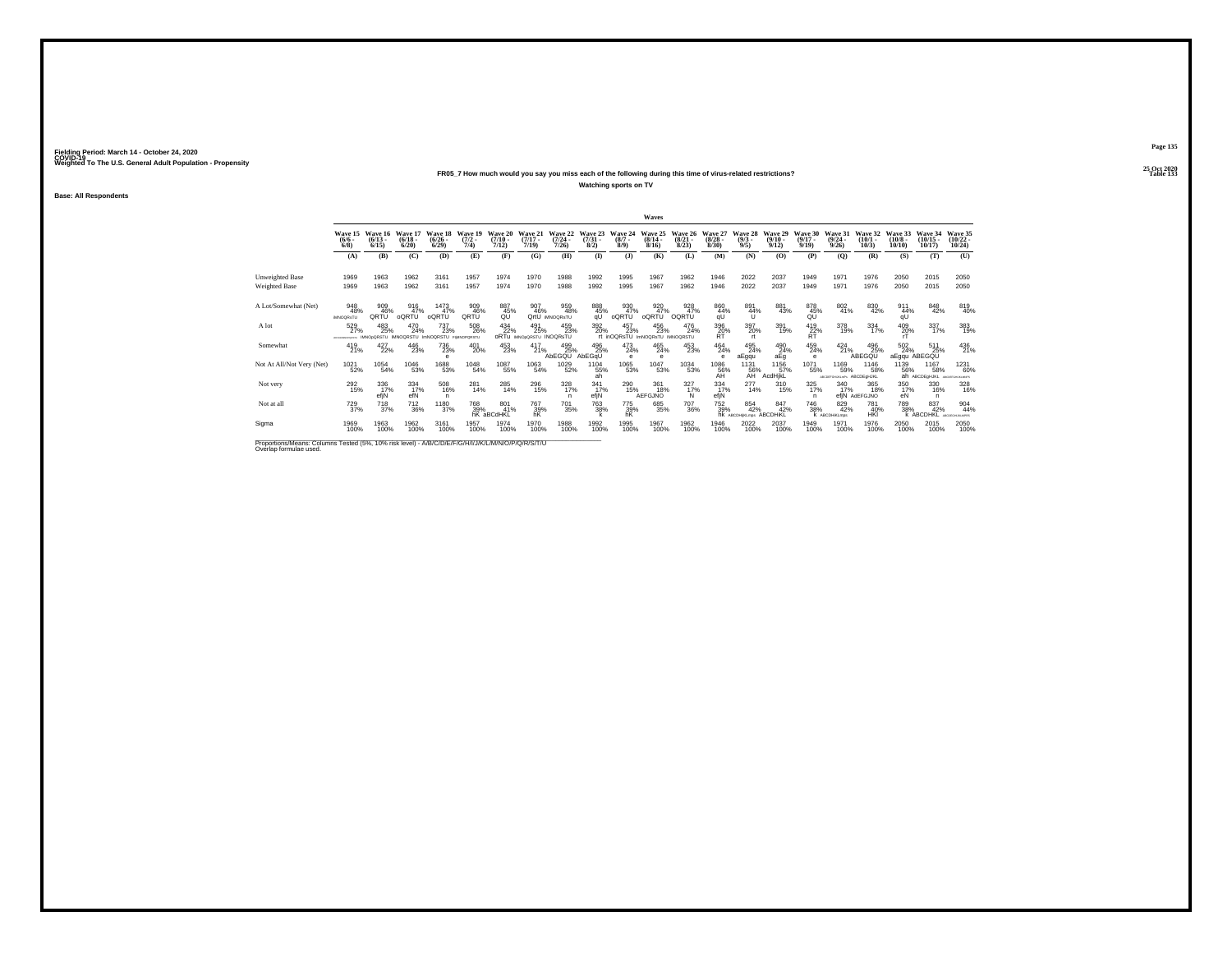## **25 Oct 2020FR05\_7 How much would you say you miss each of the following during this time of virus-related restrictions?**

**Watching sports on TV**

**Base: All Respondents**

|                                                                                                                              |                                         |                               |                                   |                                    |                                  |                           |                                        |                              |                                |                            | Waves                                         |                                 |                                        |                               |                           |                                  |                                          |                              |                               |                                |                                     |
|------------------------------------------------------------------------------------------------------------------------------|-----------------------------------------|-------------------------------|-----------------------------------|------------------------------------|----------------------------------|---------------------------|----------------------------------------|------------------------------|--------------------------------|----------------------------|-----------------------------------------------|---------------------------------|----------------------------------------|-------------------------------|---------------------------|----------------------------------|------------------------------------------|------------------------------|-------------------------------|--------------------------------|-------------------------------------|
|                                                                                                                              | Wave 15<br>$(6/6 -$<br>6/8              | Wave 16<br>$(6/13 -$<br>6/15  | Wave 17<br>$\frac{(6/18)}{6/20}$  | Wave 18<br>$(6/26 -$<br>6/29       | Wave 19<br>$\frac{(7/2)}{7/4}$   | Wave 20<br>(7/10)<br>7/12 | Wave 21<br>$(7/17 -$<br>7/19           | Wave 22<br>(7/24)<br>7/26    | Wave 23<br>$\binom{7/31}{8/2}$ | Wave 24<br>$(8/7 -$<br>8/9 | Wave 25<br>$\frac{(8/14 - 8)}{8/16}$          | Wave 26<br>$\binom{8/21}{8/23}$ | Wave 27<br>$\binom{8/28}{8/30}$        | Wave 28<br>$\binom{9/3}{9/5}$ | Wave 29<br>(9/10.<br>9/12 | Wave 30<br>$\frac{(9/17)}{9/19}$ | Wave 31<br>$\frac{(9/24)}{9/26}$         | Wave 32<br>$(10/1 -$<br>10/3 | Wave 33<br>$(10/8 -$<br>10/10 | Wave 34<br>$(10/15 -$<br>10/17 | Wave 35<br>$(10/22 -$<br>10/24      |
|                                                                                                                              | (A)                                     | (B)                           | (C)                               | (D)                                | (E)                              | (F)                       | (G)                                    | (H)                          | $\bf{I}$                       | (J)                        | (K)                                           | (L)                             | (M)                                    | (N)                           | (O)                       | (P)                              | (0)                                      | (R)                          | (S)                           | (T)                            | (U)                                 |
| <b>Unweighted Base</b><br><b>Weighted Base</b>                                                                               | 1969<br>1969                            | 1963<br>1963                  | 1962<br>1962                      | 3161<br>3161                       | 1957<br>1957                     | 1974<br>1974              | 1970<br>1970                           | 1988<br>1988                 | 1992<br>1992                   | 1995<br>1995               | 1967<br>1967                                  | 1962<br>1962                    | 1946<br>1946                           | 2022<br>2022                  | 2037<br>2037              | 1949<br>1949                     | 1971<br>1971                             | 1976<br>1976                 | 2050<br>2050                  | 2015<br>2015                   | 2050<br>2050                        |
| A Lot/Somewhat (Net)                                                                                                         | 948<br>48%<br><b>MNOGRSTU</b>           | 909<br>QRTU                   | 916<br>47%<br>oQRTU               | 1473<br>47%<br>oQRTU               | 909<br>46%<br>QRTŨ               | 887<br>45%                | 907<br>46%                             | 959<br>48%<br>OrtU IMNOORSTU | 888<br>45% <sub>qU</sub>       | 930<br>47%<br>oQRTU        | 920<br>oQRTU                                  | 928<br>47%<br>OQRTU             | 860<br>$44%$<br>qU                     | 891<br>44%<br>u               | 881<br>43%                | 878<br>45%<br>QŨ                 | 802<br>41%                               | 830<br>42%                   | 911<br>44%<br>qU              | 848<br>42%                     | 819<br>40%                          |
| A lot                                                                                                                        | 529<br>27%<br><b>CONTINUOUS SERVICE</b> | 483<br>25%<br>IMNOoDRSTLL     | 470<br>24%<br>IMNOQRSTU ImNOQRSTU | $^{737}_{23\%}$                    | 508<br>26%<br><b>FIMNOPORSTU</b> | $434 \over 22\%$          | 491<br>25%<br>ORTU IMNODORSTU INOQRSTU | 459<br>23%                   | 392<br>20%                     | $^{457}_{23\%}$            | 456<br>23%<br>rt inOQRsTU ImNOQRsTU IMNOQRSTU | 476<br>24%                      | 396 20%<br><b>RT</b>                   | 397<br>20%<br><b>rt</b>       | 391<br>19%                | 419<br>22%<br><b>RT</b>          | 378<br>19%                               | $334 \over 17\%$             | 409<br>20%                    | 337<br>17%                     | 383<br>19%                          |
| Somewhat                                                                                                                     | 419<br>21%                              | $427_{22\%}$                  | 446<br>23%                        | <sup>736</sup> <sub>23%</sub><br>e | 401<br>20%                       | 453<br>23%                | 417<br>21%                             | 499<br>25%<br>AbEGQU AbEGqU  | 496<br>25%                     | 473<br>24%<br>е            | 465<br>24%<br>$\theta$                        | 453<br>23%                      | 464<br>24%<br>е                        | 495<br>24%<br>aEgqu           | 490<br>24%<br>aEq         | $^{459}_{24\%}$<br>e             | 424<br>21%                               | 496<br>25%<br>ABEGQU         | 502<br>24%<br>aEgqu ABEGQU    | 511<br>25%                     | 436<br>21%                          |
| Not At All/Not Very (Net)                                                                                                    | 1021<br>52%                             | 1054<br>54%                   | 1046<br>53%                       | $^\mathrm{1688}_\mathrm{53\%}$     | 1048<br>54%                      | 1087<br>55%               | 1063<br>54%                            | 1029<br>52%                  | 1104<br>55%<br>ah              | 1065<br>53%                | 1047<br>53%                                   | 1034<br>53%                     | $^{1086}_{\substack{56\%\\\text{AH}}}$ | 1131<br>56%<br>AH             | 1156<br>57%<br>AcdHikL    | 1071<br>55%                      | 1169<br>59%<br>ABCOGFGHUKLmPs ABCDEGHJKL | 1146<br>58%                  | 1139<br>56%                   | 1167<br>58%<br>ah ABCDEGHJKL   | 1231<br>60%<br>ARCORFORLIGANIES     |
| Not very                                                                                                                     | 292<br>15%                              | 336<br>17%<br>efiN            | 334<br>17%<br>efN                 | $^{508}_{16\%}$<br>n               | 281<br>14%                       | 285<br>14%                | 296<br>15%                             | 328<br>17%<br>n              | 341/17%<br>efjN                | 290<br>15%                 | 361<br>18%<br>AEFGJNO                         | $\frac{327}{17\%}$<br>N         | 334<br>17%<br>efjN                     | 277<br>14%                    | 310<br>15%                | 325<br>17%<br>n                  | 340<br>17%                               | 365<br>18%<br>efiN AdEFGJNO  | 350<br>17%<br>eN              | 330<br>16%<br>n                | 328<br>16%                          |
| Not at all                                                                                                                   | <sup>729</sup> <sub>37%</sub>           | <sup>718</sup> <sub>37%</sub> | <sup>712</sup> <sub>36%</sub>     | 1180<br>37%                        | 768<br>39%                       | 801 41%<br>hK aBCdHKL     | 767<br>39%<br>hK                       | 701<br>35%                   | <sup>763</sup> 38%             | $\frac{775}{39\%}$ hK      | 685<br>35%                                    | <sup>707</sup> 36%              | 752<br>39%                             | 854<br>42%<br>hk ABCDHIKLmps  | 847<br>42%<br>ABCDHIKL    | 746<br>38%                       | 829<br>42%<br>K ABCDHIKLmps              | 781<br>40%<br>HK             | 789<br>38%                    | 837<br>42%<br><b>K ABCDHKL</b> | 904<br>44%<br><b>COCCAR NO MODE</b> |
| Sigma                                                                                                                        | 1969<br>100%                            | 1963<br>100%                  | 1962<br>100%                      | 3161<br>100%                       | 1957<br>100%                     | 1974<br>100%              | 1970<br>100%                           | 1988<br>100%                 | 1992<br>100%                   | 1995<br>100%               | 1967<br>100%                                  | 1962<br>100%                    | 1946<br>100%                           | 2022<br>100%                  | 2037<br>100%              | 1949<br>100%                     | 1971<br>100%                             | 1976<br>100%                 | 2050<br>100%                  | 2015<br>100%                   | 2050<br>100%                        |
| Proportions/Means: Columns Tested (5%, 10% risk level) - A/B/C/D/E/F/G/H/I/J/K/L/M/N/O/P/Q/R/S/T/U<br>Overlap formulae used. |                                         |                               |                                   |                                    |                                  |                           |                                        |                              |                                |                            |                                               |                                 |                                        |                               |                           |                                  |                                          |                              |                               |                                |                                     |

**Page 135**25 Oct 2020<br>Table 133

**Table 133**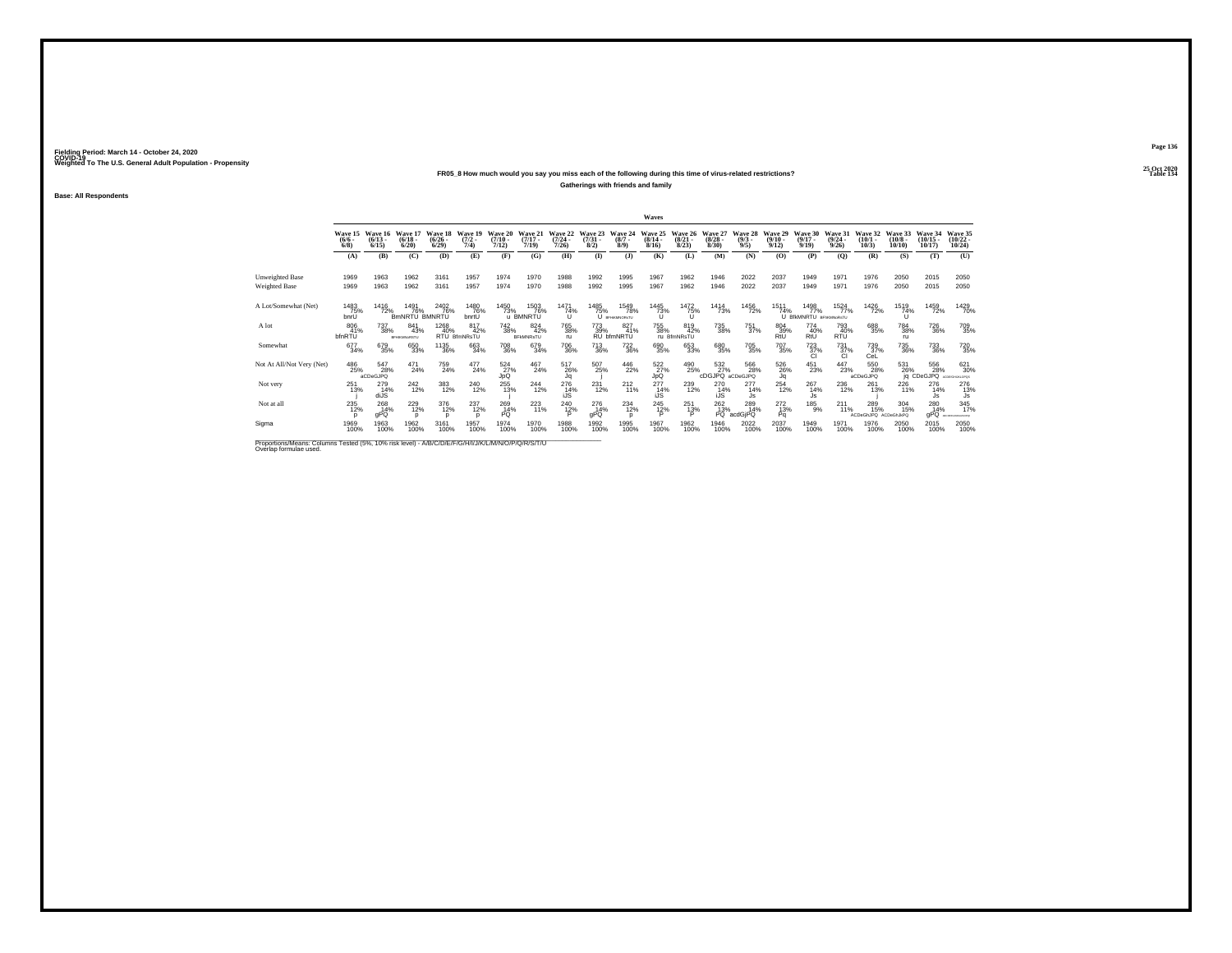## **25 Oct 2020FR05\_8 How much would you say you miss each of the following during this time of virus-related restrictions?**

**Gatherings with friends and family**

**Base: All Respondents**

|                                                                                                                              |                      |                                      |                                   |                                 |                             |                            |                                        |                              |                                |                                   | Waves                     |                                 |                                 |                               |                                 |                                      |                                 |                                                   |                               |                                |                                   |
|------------------------------------------------------------------------------------------------------------------------------|----------------------|--------------------------------------|-----------------------------------|---------------------------------|-----------------------------|----------------------------|----------------------------------------|------------------------------|--------------------------------|-----------------------------------|---------------------------|---------------------------------|---------------------------------|-------------------------------|---------------------------------|--------------------------------------|---------------------------------|---------------------------------------------------|-------------------------------|--------------------------------|-----------------------------------|
|                                                                                                                              | $\frac{(6/6)}{6/8}$  | Wave 15 Wave 16<br>$(6/13 -$<br>6/15 | Wave 17<br>(6/18.<br>6/20         | Wave 18<br>$\binom{6/26}{6/29}$ | Wave 19<br>$(7/2 -$<br>7/4) | Wave 20<br>(7/10.<br>7/12) | Wave 21<br>$(7/17 -$<br>7/19           | Wave 22<br>$(7/24 -$<br>7/26 | Wave 23<br>$\binom{7/31}{8/2}$ | Wave 24<br>$(8/7 -$<br>8/9        | Wave 25<br>(8/14)<br>8/16 | Wave 26<br>$\binom{8/21}{8/23}$ | Wave 27<br>$\binom{8/28}{8/30}$ | Wave 28<br>$\binom{9/3}{9/5}$ | Wave 29<br>$\binom{9/10}{9/12}$ | Wave 30<br>$\frac{(9/17)}{9/19}$     | Wave 31<br>$\binom{9/24}{9/26}$ | Wave 32<br>$(10/1 -$<br>10/3                      | Wave 33<br>$(10/8 -$<br>10/10 | Wave 34<br>$(10/15 -$<br>10/17 | Wave 35<br>$\binom{10/22}{10/24}$ |
|                                                                                                                              | (A)                  | (B)                                  | (C)                               | (D)                             | (E)                         | (F)                        | (G)                                    | (H)                          | $($ I)                         | (3)                               | (K)                       | (L)                             | (M)                             | (N)                           | (O)                             | (P)                                  | (O)                             | (R)                                               | (S)                           | (T)                            | (U)                               |
| <b>Unweighted Base</b><br><b>Weighted Base</b>                                                                               | 1969<br>1969         | 1963<br>1963                         | 1962<br>1962                      | 3161<br>3161                    | 1957<br>1957                | 1974<br>1974               | 1970<br>1970                           | 1988<br>1988                 | 1992<br>1992                   | 1995<br>1995                      | 1967<br>1967              | 1962<br>1962                    | 1946<br>1946                    | 2022<br>2022                  | 2037<br>2037                    | 1949<br>1949                         | 1971<br>1971                    | 1976<br>1976                                      | 2050<br>2050                  | 2015<br>2015                   | 2050<br>2050                      |
| A Lot/Somewhat (Net)                                                                                                         | 1483<br>75%<br>bnrU  | 1416<br>72%                          | 1491<br>76%<br>BmNRTU BMNRTU      | 2402<br>76%                     | 1480<br>76%<br>bnrtŪ        | 1450<br>73%                | 1503<br>76%<br>u BMNRTU                | 1471<br>74%                  | 1485<br>75%                    | 1549<br>78%<br><b>BFHKMNORsTU</b> | 1445<br>73%               | 1472<br>75%                     | 1414<br>73%                     | 1456<br>72%                   | 1511<br>74%                     | 1498<br>77%<br>U BIKMNRTU BEMMNORSTU | 1524<br>77%                     | 1426<br>72%                                       | 1519<br>74%<br>π              | 1459<br>72%                    | 1429<br>70%                       |
| A lot                                                                                                                        | 806<br>41%<br>bfnRTU | 737<br>38%                           | 841<br>43%<br><b>BFHIKMNoRSTU</b> | 1268<br>40%                     | 817<br>42%<br>RTU BfmNRsTU  | $^{742}_{38\%}$            | $\frac{824}{42\%}$<br><b>BFkMNRsTU</b> | <sup>765</sup> 38%<br>ru     | 773<br>39%                     | 827<br>41%<br>RU bfmNRTU          | 755<br>38%                | 819<br>42%<br>ru BfmNRsTU       | <sup>735</sup> 38%              | 751<br>37%                    | 804<br>39%<br>RtU               | 774<br>40%<br>RtU                    | 793<br>40%<br><b>RTU</b>        | 688<br>35%                                        | <sup>784</sup> 38%<br>ru.     | <sup>726</sup> 36%             | 709<br>35%                        |
| Somewhat                                                                                                                     | 677<br>34%           | 679<br>35%                           | 650<br>33%                        | <sup>1135</sup> 36%             | 663<br>34%                  | <sup>708</sup> 36%         | 679<br>34%                             | <sup>706</sup> 36%           | <sup>713</sup> 36%             | $^{722}_{36\%}$                   | 690<br>35%                | 653<br>33%                      | 680<br>35%                      | 705<br>35%                    | <sup>707</sup> 35%              | $\frac{723}{37\%}$                   | $^{731}_{37\%}$<br>ĩО.          | 739<br>37%<br>CeL                                 | <sup>735</sup> <sub>36%</sub> | $\substack{733 \\ 36\%}$       | 720 35%                           |
| Not At All/Not Very (Net)                                                                                                    | 486<br>25%           | 547<br>28%<br>aCDeGJPQ               | 471<br>24%                        | 759<br>24%                      | 477<br>24%                  | 524<br>27%<br>JpQ          | 467<br>24%                             | 517<br>26%<br>Jq             | 507<br>25%                     | $\frac{446}{22\%}$                | $\frac{522}{27}\%$<br>JpQ | 490<br>25%                      | 532<br>27%<br>cDGJPQ aCDeGJPQ   | 566<br>28%                    | 526<br>26%<br>Jα                | $^{451}_{23\%}$                      | 447<br>23%                      | $^{550}_{\phantom{1}\phantom{1}28\%}$<br>aCDeGJPQ | 531<br>26%                    | 556<br>28%<br>ig CDeGJPQ       | 621<br>30%<br>ACDENSHUKLOPOS      |
| Not very                                                                                                                     | 251<br>13%           | 279<br>14%<br>diJS                   | $^{242}_{12\%}$                   | 383<br>12%                      | 240<br>12%                  | $^{255}_{13\%}$            | $^{244}_{12\%}$                        | 276<br>14%<br>iJS            | $^{231}_{12\%}$                | $^{212}_{11\%}$                   | $^{277}_{14\%}$<br>iJS    | 239<br>12%                      | 270<br>14%<br>iJS               | $^{277}_{14\%}$<br>Js         | 254<br>12%                      | $^{267}_{14\%}$<br>Js                | 236<br>12%                      | 261<br>13%                                        | 226                           | 276<br>14%<br>Js               | 276<br>13%<br>Js                  |
| Not at all                                                                                                                   | $^{235}_{12\%}$      | 268<br>14%<br>aPQ                    | $^{229}_{12\%}$                   | 376<br>12%<br>D                 | 237<br>12%<br><sup>n</sup>  | 269<br>14%<br>PÖ.          | 223                                    | 240<br>12%                   | 276<br>14%<br>gPQ              | $^{234}_{12\%}$                   | $^{245}_{12\%}$           | 251<br>13%                      | $^{262}_{13\%}$                 | 289<br>14%<br>PQ acdGjPQ      | $^{272}_{13\%}$<br>Pq           | $^{185}_{9\%}$                       | 211<br>11%                      | 289<br>15%<br>ACDeGhJPQ ACDeGhJkPQ                | 304<br>15%                    | 280<br>14%<br>gPQ              | 345<br>ARCORPORAULANCIPO          |
| Sigma                                                                                                                        | 1969<br>100%         | 1963<br>100%                         | 1962<br>100%                      | 3161<br>100%                    | 1957<br>100%                | 1974<br>100%               | 1970<br>100%                           | 1988<br>100%                 | 1992<br>100%                   | 1995<br>100%                      | 1967<br>100%              | 1962<br>100%                    | 1946<br>100%                    | 2022<br>100%                  | 2037<br>100%                    | 1949<br>100%                         | 197<br>100%                     | 1976<br>100%                                      | 2050<br>100%                  | 2015<br>100%                   | 2050<br>100%                      |
| Proportions/Means: Columns Tested (5%, 10% risk level) - A/B/C/D/E/F/G/H/I/J/K/L/M/N/O/P/Q/R/S/T/U<br>Overlap formulae used. |                      |                                      |                                   |                                 |                             |                            |                                        |                              |                                |                                   |                           |                                 |                                 |                               |                                 |                                      |                                 |                                                   |                               |                                |                                   |

**Page 136**25 Oct 2020<br>Table 134

**Particular Table 134**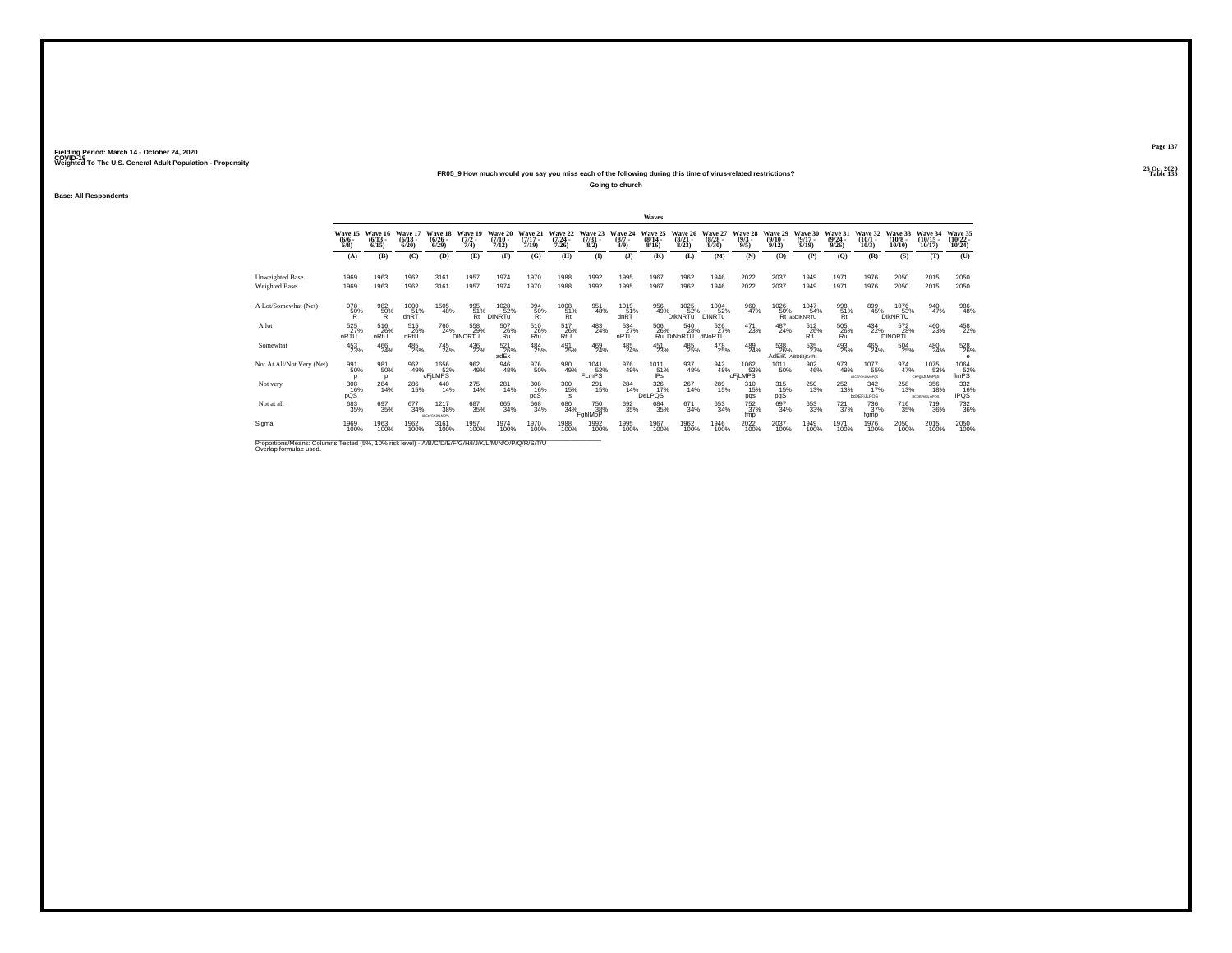### **25 Oct 2020FR05\_9 How much would you say you miss each of the following during this time of virus-related restrictions?**

**Going to church**

**Base: All Respondents**

|                                                                                                                             |                                |                              |                                  |                                        |                              |                              |                              |                                                 |                                |                               | Waves                            |                                 |                                  |                                |                                  |                                  |                                 |                                         |                                        |                                   |                                   |
|-----------------------------------------------------------------------------------------------------------------------------|--------------------------------|------------------------------|----------------------------------|----------------------------------------|------------------------------|------------------------------|------------------------------|-------------------------------------------------|--------------------------------|-------------------------------|----------------------------------|---------------------------------|----------------------------------|--------------------------------|----------------------------------|----------------------------------|---------------------------------|-----------------------------------------|----------------------------------------|-----------------------------------|-----------------------------------|
|                                                                                                                             | Wave 15<br>$\frac{(6/6)}{6/8}$ | Wave 16<br>$(6/13 -$<br>6/15 | Wave 17<br>$\frac{(6/18)}{6/20}$ | Wave 18<br>$\frac{(6/26 - 6)}{(6/29)}$ | Wave 19<br>$(7/2 -$<br>7/4   | Wave 20<br>$(7/10 -$<br>7/12 | Wave 21<br>$(7/17 -$<br>7/19 | Wave 22<br>$\frac{(7/24)}{7/26}$                | Wave 23<br>$\binom{7/31}{8/2}$ | Wave 24<br>$\binom{8/7}{8/9}$ | Wave 25<br>$\frac{(8/14)}{8/16}$ | Wave 26<br>$\binom{8/21}{8/23}$ | Wave 27<br>$\frac{(8/28)}{8/30}$ | Wave 28<br>$\frac{(9/3)}{9/5}$ | Wave 29<br>$\frac{(9/10)}{9/12}$ | Wave 30<br>$\frac{(9/17)}{9/19}$ | Wave 31<br>$\binom{9/24}{9/26}$ | Wave 32<br>$\binom{10/1}{10/3}$         | Wave 33<br>$\frac{(10/8 - 10)}{10/10}$ | Wave 34<br>$(10/15 -$<br>10/17    | Wave 35<br>$\binom{10/22}{10/24}$ |
|                                                                                                                             | (A)                            | (B)                          | (C)                              | (D)                                    | (E)                          | (F)                          | (G)                          | (H)                                             | $($ $\Gamma$                   | (3)                           | (K)                              | (L)                             | (M)                              | (N)                            | (O)                              | (P)                              | $\overline{Q}$                  | (R)                                     | (S)                                    | (T)                               | (U)                               |
| <b>Unweighted Base</b>                                                                                                      | 1969                           | 1963                         | 1962                             | 3161                                   | 1957                         | 1974                         | 1970                         | 1988                                            | 1992                           | 1995                          | 1967                             | 1962                            | 1946                             | 2022                           | 2037                             | 1949                             | 197                             | 1976                                    | 2050                                   | 2015                              | 2050                              |
| <b>Weighted Base</b>                                                                                                        | 1969                           | 1963                         | 1962                             | 3161                                   | 1957                         | 1974                         | 1970                         | 1988                                            | 1992                           | 1995                          | 1967                             | 1962                            | 1946                             | 2022                           | 2037                             | 1949                             | 1971                            | 1976                                    | 2050                                   | 2015                              | 2050                              |
| A Lot/Somewhat (Net)                                                                                                        | 978<br>$\frac{50\%}{R}$        | 982<br>$\frac{50}{R}$        | 1000<br>dnRT                     | 1505<br>48%                            | 995<br>51%<br>Rt             | 1028<br>52%<br><b>DINRTu</b> | 994<br>50%<br>Rt             | $\underset{\substack{51\%\\ \text{Rt}}}^{1008}$ | 951<br>48%                     | 1019<br>$\frac{61}{10}$ %     | 956<br>49%                       | 1025<br>52%<br><b>DIKNRTu</b>   | 1004<br>52%<br>DINRTu            | 960<br>47%                     | 1026<br>50%                      | 1047<br>54%<br>Rt abDIKNRTU      | $^{998}_{\substack{51\%\\Rt}}$  | 899<br>45%                              | 1076<br>53%<br>DIKNRTU                 | 940<br>47%                        | 986<br>48%                        |
| A lot                                                                                                                       | 525<br>nRTU                    | 516<br>26%<br>nRtU           | 515<br>26%<br>nRtU               | 760<br>24%                             | 558<br>29%<br><b>DINORTU</b> | 507<br>26%<br>Ru             | 510<br>26%<br>Rtu            | 517<br>26%<br>RtU                               | 483<br>24%                     | 534<br>27%<br>nRTU            | 506<br>26%                       | 540<br>28%<br>Ru DiNoRTU        | 526<br>27%<br>dNoRTU             | $^{471}_{23\%}$                | 487<br>24%                       | 512<br>26%<br>RtU                | 505<br>26%<br>Ru                | $^{434}_{22\%}$                         | 572<br>28%<br><b>DINORTU</b>           | 460<br>23%                        | 458                               |
| Somewhat                                                                                                                    | $^{453}_{23\%}$                | $^{466}_{24\%}$              | $^{485}_{\ 25\%}$                | $^{745}_{24\%}$                        | 436<br>22%                   | $^{521}_{26\%}$ adEk         | $^{484}_{25\%}$              | 491<br>25%                                      | 469<br>24%                     | $^{485}_{24\%}$               | $^{451}_{23\%}$                  | $^{485}_{\ 25\%}$               | 478<br>25%                       | 489<br>24%                     | 538<br>26%                       | 535<br>27%<br>AdEIK ABDEIIKnRt   | 493<br>25%                      | $^{465}_{24\%}$                         | $^{504}_{\ 25\%}$                      | $^{480}_{24\%}$                   | 528<br>26%<br>e                   |
| Not At All/Not Very (Net)                                                                                                   | 991<br>50%<br>p                | 981<br>50%<br>D              | 962<br>49%                       | 1656<br>52%<br>cFiLMPS                 | 962<br>49%                   | 946<br>48%                   | 976<br>50%                   | 980<br>49%                                      | 1041<br>FLmPS <sup>52%</sup>   | 976<br>49%                    | 1011<br>$51\%$                   | 937<br>48%                      | 942<br>48%                       | 1062<br>6 53%<br>cFjLMPS       | 1011<br>50%                      | 902<br>46%                       | 973<br>49%                      | 1077<br>55%<br>ABCEFGHJLMOPOS           | 974<br>47%                             | 1075<br>53%<br>CeFehJLMoPeS       | 1064<br>$\frac{52}{10}$           |
| Not very                                                                                                                    | 308<br>16%<br>pQS              | $^{284}_{14\%}$              | 286<br>15%                       | $^{440}_{14\%}$                        | 275<br>14%                   | $^{281}_{14\%}$              | 308<br>16%<br>pqS            | 300<br>15%<br>s                                 | 291<br>15%                     | 284<br>14%                    | 326<br>17%<br>DeLPQS             | $^{267}_{14\%}$                 | 289<br>15%                       | 310<br>15%<br>pqs              | 315<br>15%<br>pqS                | $^{250}_{13\%}$                  | 252<br>13%                      | $\frac{342}{17\%}$<br><b>bcDEFULPOS</b> | 258<br>13%                             | 356<br>18%<br><b>BCDEFNJLmPQS</b> | 332<br>16%<br><b>IPQS</b>         |
| Not at all                                                                                                                  | 683<br>35%                     | 697<br>35%                   | 677<br>34%                       | 1217<br>38%<br>ALC: FGH UKLMOPS        | 687<br>35%                   | $\substack{665\\34\%}$       | 668<br>34%                   | 680 34%                                         | <sup>750</sup> 38%<br>FahlMoP  | 692<br>35%                    | 684<br>35%                       | 671<br>34%                      | 653<br>34%                       | $^{752}_{37\%}$<br>fmp         | 697<br>34%                       | $\substack{653 \\ 33\%}$         | $^{721}_{37\%}$                 | <sup>736</sup> <sub>37%</sub><br>fgmp   | <sup>716</sup> <sub>35%</sub>          | <sup>719</sup> <sub>36%</sub>     | 732<br>36%                        |
| Sigma                                                                                                                       | 1969<br>100%                   | 1963<br>100%                 | 1962<br>100%                     | 3161<br>100%                           | 1957<br>100%                 | 1974<br>100%                 | 1970<br>100%                 | 1988<br>100%                                    | 1992<br>100%                   | 1995<br>100%                  | 1967<br>100%                     | 1962<br>100%                    | 1946<br>100%                     | 2022<br>100%                   | 2037<br>100%                     | 1949<br>100%                     | 1971<br>100%                    | 1976<br>100%                            | 2050<br>100%                           | 2015<br>100%                      | 2050<br>100%                      |
| Proportions/Means: Columns Tested (5%, 10% risk level) - A/B/C/D/E/F/G/H/I/J/K/L/M/N/O/P/Q/R/S/T/U<br>Overlap formulae used |                                |                              |                                  |                                        |                              |                              |                              |                                                 |                                |                               |                                  |                                 |                                  |                                |                                  |                                  |                                 |                                         |                                        |                                   |                                   |

**Page 137**25 Oct 2020<br>Table 135

**Particular Table 135 Table 135**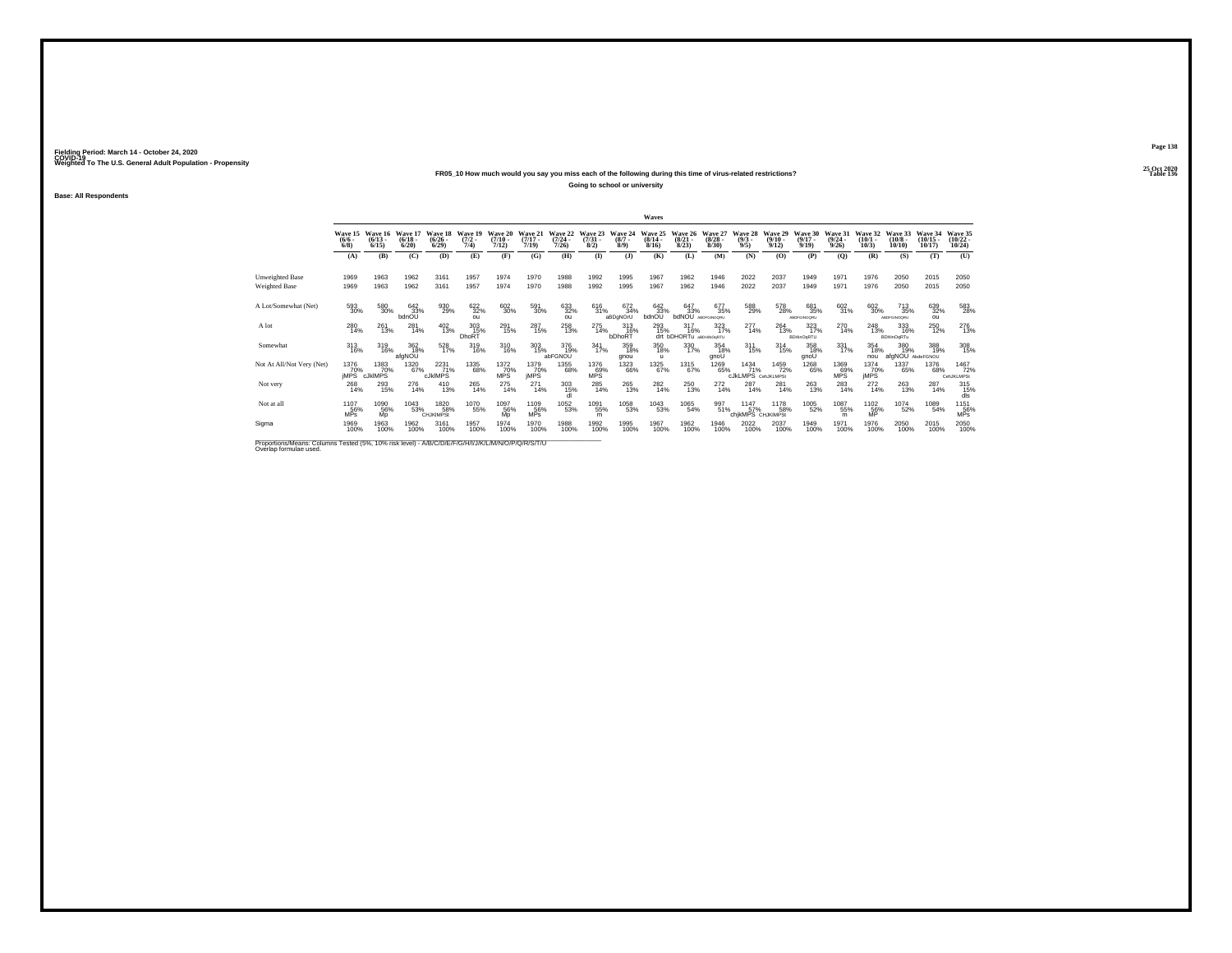## **25 Oct 2020FR05\_10 How much would you say you miss each of the following during this time of virus-related restrictions?**

**Going to school or university**

**Base: All Respondents**

|                                                                                                                              |                           |                                      |                              |                                         |                             |                              |                              |                                  |                                 |                               | Waves                            |                                           |                                 |                                          |                                 |                                  |                                  |                                 |                                 |                                |                                            |
|------------------------------------------------------------------------------------------------------------------------------|---------------------------|--------------------------------------|------------------------------|-----------------------------------------|-----------------------------|------------------------------|------------------------------|----------------------------------|---------------------------------|-------------------------------|----------------------------------|-------------------------------------------|---------------------------------|------------------------------------------|---------------------------------|----------------------------------|----------------------------------|---------------------------------|---------------------------------|--------------------------------|--------------------------------------------|
|                                                                                                                              | $\frac{(6/6)}{6/8}$       | Wave 15 Wave 16<br>$(6/13 -$<br>6/15 | Wave 17<br>$(6/18 -$<br>6/20 | Wave 18<br>$\binom{6/26}{6/29}$         | Wave 19<br>$(7/2 -$<br>7/4  | Wave 20<br>$(7/10 -$<br>7/12 | Wave 21<br>$(7/17 -$<br>7/19 | Wave 22<br>$\frac{(7/24)}{7/26}$ | Wave 23<br>$\frac{(7/31)}{8/2}$ | Wave 24<br>$\binom{8/7}{8/9}$ | Wave 25<br>$\frac{(8/14)}{8/16}$ | Wave 26<br>$\binom{8/21}{8/23}$           | Wave 27<br>$\binom{8/28}{8/30}$ | Wave 28<br>$\binom{9/3}{9/5}$            | Wave 29<br>$\binom{9/10}{9/12}$ | Wave 30<br>$\frac{(9/17)}{9/19}$ | Wave 31<br>$\frac{(9/24)}{9/26}$ | Wave 32<br>$\binom{10/1}{10/3}$ | Wave 33<br>$(10/8 -$<br>10/10   | Wave 34<br>$(10/15 -$<br>10/17 | Wave 35<br>$\frac{(10/22 - 10/24)}{10/24}$ |
|                                                                                                                              | (A)                       | (B)                                  | (C)                          | (D)                                     | (E)                         | (F)                          | (G)                          | (H)                              | $($ $\Gamma$                    | $($ $)$                       | (K)                              | (L)                                       | (M)                             | (N)                                      | (0)                             | (P)                              | (O)                              | (R)                             | (S)                             | (T)                            | (U)                                        |
| Unweighted Base<br><b>Weighted Base</b>                                                                                      | 1969<br>1969              | 1963<br>1963                         | 1962<br>1962                 | 3161<br>3161                            | 1957<br>1957                | 1974<br>1974                 | 1970<br>1970                 | 1988<br>1988                     | 1992<br>1992                    | 1995<br>1995                  | 1967<br>1967                     | 1962<br>1962                              | 1946<br>1946                    | 2022<br>2022                             | 2037<br>2037                    | 1949<br>1949                     | 1971<br>1971                     | 1976<br>1976                    | 2050<br>2050                    | 2015<br>2015                   | 2050<br>2050                               |
| A Lot/Somewhat (Net)                                                                                                         | 593<br>30%                | 580<br>30%                           | 642<br>33%<br>bdnOU          | 930<br>29%                              | 622<br>32%<br>011           | $^{602}_{30\%}$              | 591<br>30%                   | 633<br>32%<br>ou                 | 616<br>31%                      | 672<br>34%<br>aBDaNOrU        | 642<br>33%<br>bdnOU              | 647<br>33%<br><b>bdNOU</b> ABDFGINOORU    | 677<br>35%                      | 588<br>29%                               | 578<br>28%                      | 681<br>35%<br>ABDFGINOORU        | 602<br>31%                       | 602<br>30%                      | 713<br>35%<br>ABDFGINOQRU       | 639<br>32%<br><b>OH</b>        | 583<br>28%                                 |
| A lot                                                                                                                        | 280<br>14%                | 261<br>13%                           | $^{281}_{14\%}$              | $^{402}_{13\%}$                         | $\frac{303}{15\%}$<br>DhoRT | 291<br>15%                   | 287<br>15%                   | 258<br>13%                       | 275<br>14%                      | $\frac{313}{16\%}$<br>bDhoRT  | 293<br>15%                       | $^{317}_{16\%}$<br>drt bDHORTu aBDHNOSRTU | $\frac{323}{17\%}$              | 277<br>14%                               | 264<br>13%                      | 323<br>17%<br><b>BDHinOqRTU</b>  | 270<br>14%                       | $^{248}_{13\%}$                 | 333<br>16%<br><b>BDHinOqRTu</b> | <sup>250</sup> <sub>12%</sub>  | 276<br>13%                                 |
| Somewhat                                                                                                                     | $\frac{313}{16\%}$        | 319<br>16%                           | 362<br>18%<br>afgNOU         | 528<br>17%                              | 319<br>16%                  | 310<br>16%                   | 303<br>15%                   | 376<br>19%<br>abFGNOU            | $341$<br>17%                    | 359<br>18%<br>gnou            | 350<br>18%<br>u                  | 330<br>17%                                | 354<br>18%<br>gnoU              | $^{311}_{15\%}$                          | $^{314}_{15\%}$                 | 358<br>18%<br>gnoU               | 331/17%                          | 354<br>18%<br>nou               | 380<br>19%<br>afgNOU AbdeFGNOU  | 388<br>19%                     | 308<br>15%                                 |
| Not At All/Not Very (Net)                                                                                                    | 1376<br>70%<br>jMPS       | 1383<br>6 70%<br>cJklMPS             | 1320<br>67%                  | 2231<br>71%<br>cJkIMPS                  | 1335<br>68%                 | 1372<br>$MPS$ <sup>70%</sup> | 1379<br>70%<br>jMPS          | 1355<br>68%                      | 1376<br>MPS                     | 1323<br>66%                   | 1325<br>67%                      | 1315<br>67%                               | 1269<br>65%                     | 1434<br>71%<br><b>CJKLMPS</b> CenJKLMPSt | 1459<br>72%                     | 1268<br>65%                      | 1369<br>MPS                      | 1374<br>70%<br>jMPS             | 1337<br>65%                     | 1376<br>68%                    | 1467<br>72%<br>CehJKLMPSt                  |
| Not very                                                                                                                     | $^{268}_{14\%}$           | 293<br>15%                           | $^{276}_{14\%}$              | $^{410}_{13\%}$                         | 265<br>14%                  | $^{275}_{14\%}$              | $^{271}_{14\%}$              | 303<br>15%<br>dl                 | 285<br>14%                      | $^{265}_{13\%}$               | 282<br>14%                       | 250<br>13%                                | $^{272}_{14\%}$                 | $^{287}_{14\%}$                          | $^{281}_{14\%}$                 | $^{263}_{13\%}$                  | 283<br>14%                       | $^{272}_{14\%}$                 | 263<br>13%                      | 287<br>14%                     | 315%<br>dls                                |
| Not at all                                                                                                                   | 1107<br>56%<br><b>MPs</b> | 1090<br>56%<br>Mp                    | 1043<br>53%                  | <sup>1820</sup> 58%<br><b>CHJKIMPSt</b> | 1070<br>55%                 | 1097<br>56%<br>Mp            | 1109<br>56%<br><b>MPs</b>    | 1052<br>53%                      | 1091<br>55%<br>m                | 1058<br>53%                   | 1043<br>53%                      | 1065<br>54%                               | 997<br>51%                      | 1147<br>57%<br>chikMPS CHJKIMPSt         | <sup>1178</sup> 58%             | 1005<br>52%                      | 1087<br>55%<br>m                 | $^{1102}_{-56\%}$               | <sup>1074</sup> 52%             | 1089<br>54%                    | 1151<br>56%<br>MPS                         |
| Sigma                                                                                                                        | 1969<br>100%              | 1963<br>100%                         | 1962<br>100%                 | 3161<br>100%                            | 1957<br>100%                | 1974<br>100%                 | 1970<br>100%                 | 1988<br>100%                     | 1992<br>100%                    | 1995<br>100%                  | 1967<br>100%                     | 1962<br>100%                              | 1946<br>100%                    | 2022<br>100%                             | 2037<br>100%                    | 1949<br>100%                     | 1971<br>100%                     | 1976<br>100%                    | 2050<br>100%                    | 2015<br>100%                   | 2050<br>100%                               |
| Proportions/Means: Columns Tested (5%, 10% risk level) - A/B/C/D/E/F/G/H/I/J/K/L/M/N/O/P/Q/R/S/T/U<br>Overlap formulae used. |                           |                                      |                              |                                         |                             |                              |                              |                                  |                                 |                               |                                  |                                           |                                 |                                          |                                 |                                  |                                  |                                 |                                 |                                |                                            |

**Page 138**25 Oct 2020<br>Table 136

**Table 136 Table 136**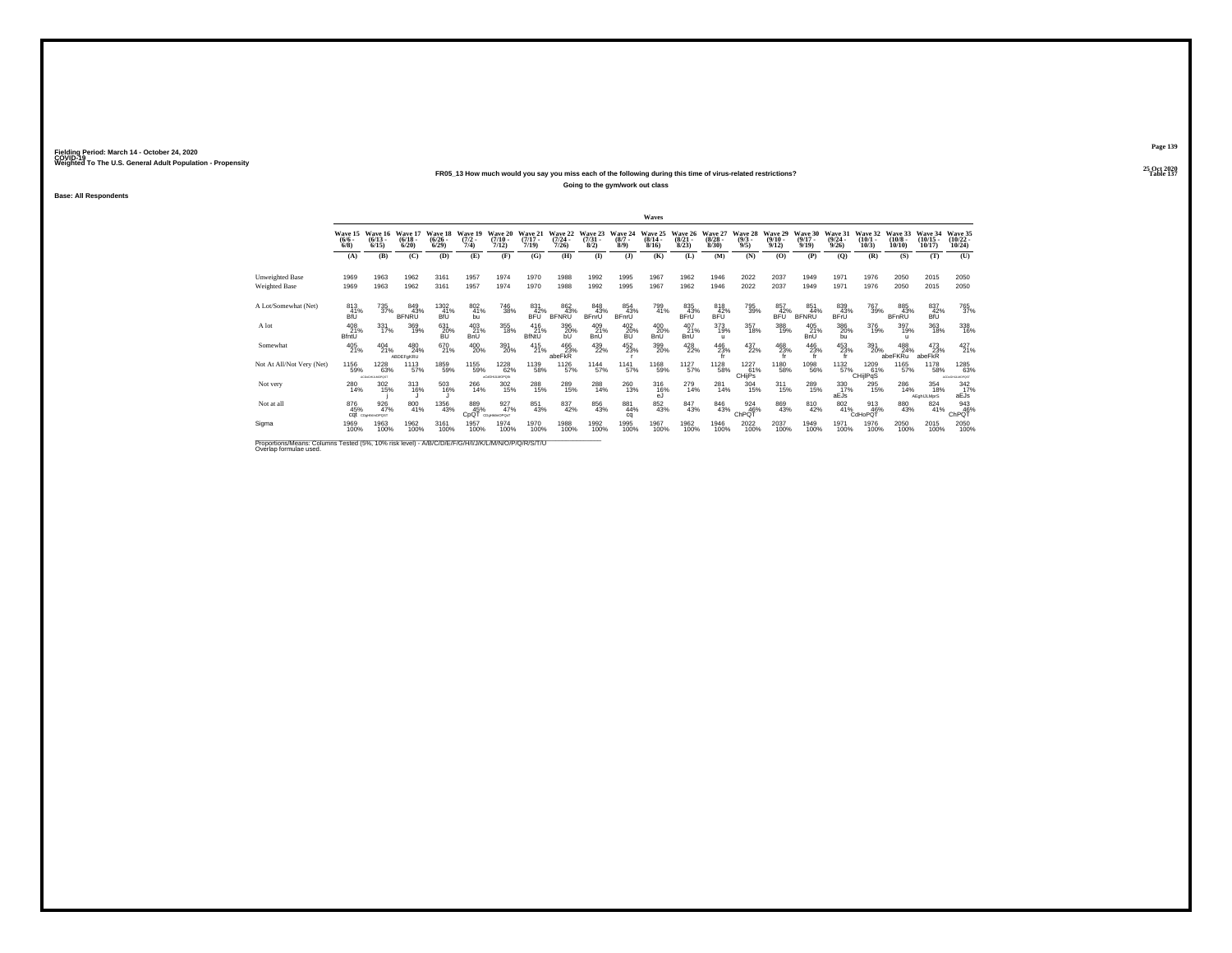## **25 Oct 2020FR05\_13 How much would you say you miss each of the following during this time of virus-related restrictions?**

**Going to the gym/work out class**

**Base: All Respondents**

|                                                                                                    |                                        |                                       |                                 |                                 |                                             |                              |                              |                                  |                                |                                | Waves                                    |                                 |                                  |                                |                                  |                                                                                            |                                  |                              |                               |                                |                                   |
|----------------------------------------------------------------------------------------------------|----------------------------------------|---------------------------------------|---------------------------------|---------------------------------|---------------------------------------------|------------------------------|------------------------------|----------------------------------|--------------------------------|--------------------------------|------------------------------------------|---------------------------------|----------------------------------|--------------------------------|----------------------------------|--------------------------------------------------------------------------------------------|----------------------------------|------------------------------|-------------------------------|--------------------------------|-----------------------------------|
|                                                                                                    | Wave 15 Wave 16<br>$\frac{(6/6)}{6/8}$ | $(6/13 -$<br>6/15                     | Wave 17<br>$\binom{6/18}{6/20}$ | Wave 18<br>$\binom{6/26}{6/29}$ | Wave 19<br>$\frac{(7/2)}{7/4}$              | Wave 20<br>$(7/10 -$<br>7/12 | Wave 21<br>$(7/17 -$<br>7/19 | Wave 22<br>$\frac{(7/24)}{7/26}$ | Wave 23<br>$\binom{7/31}{8/2}$ | Wave 24<br>$\binom{8/7}{8/9}$  | Wave 25<br>$\frac{(8/14 \cdot 8)}{8/16}$ | Wave 26<br>$\binom{8/21}{8/23}$ | Wave 27<br>$\frac{(8/28)}{8/30}$ | Wave 28<br>$\frac{(9/3)}{9/5}$ | Wave 29<br>$\frac{(9/10)}{9/12}$ | Wave 30<br>$\frac{(9/17)}{9/19}$                                                           | Wave 31<br>$\frac{(9/24)}{9/26}$ | Wave 32<br>$(10/1 -$<br>10/3 | Wave 33<br>$(10/8 -$<br>10/10 | Wave 34<br>$(10/15 -$<br>10/17 | Wave 35<br>$\binom{10/22}{10/24}$ |
|                                                                                                    | (A)                                    | (B)                                   | (C)                             | (D)                             | (E)                                         | (F)                          | (G)                          | (H)                              | $\bf{I}$                       | $\mathbf{J}$                   | (K)                                      | (L)                             | (M)                              | (N)                            | (O)                              | (P)                                                                                        | (0)                              | (R)                          | (S)                           | (T)                            | (U)                               |
| Unweighted Base<br>Weighted Base                                                                   | 1969<br>1969                           | 1963<br>1963                          | 1962<br>1962                    | 3161<br>3161                    | 1957<br>1957                                | 1974<br>1974                 | 1970<br>1970                 | 1988<br>1988                     | 1992<br>1992                   | 1995<br>1995                   | 1967<br>1967                             | 1962<br>1962                    | 1946<br>1946                     | 2022<br>2022                   | 2037<br>2037                     | 1949<br>1949                                                                               | 1971<br>1971                     | 1976<br>1976                 | 2050<br>2050                  | 2015<br>2015                   | 2050<br>2050                      |
| A Lot/Somewhat (Net)                                                                               | 813<br>41%<br>BfÜ                      | 735<br>37%                            | 849<br>43%<br><b>BFNRU</b>      | 1302<br>$41%$<br>BfU            | 802<br>41%<br>bu                            | <sup>746</sup> 38%           | 831<br>42%<br><b>BFÜ</b>     | 862<br>43%<br><b>BFNRU</b>       | 848<br>43%<br>BFnrU            | 854<br>43%<br><b>BFnrU</b>     | 799<br>41%                               | 835<br>43%<br>BFrU              | 818<br>42%<br>BFU                | 795<br>39%                     | 857<br>42%<br>BFÜ <sup></sup>    | 851<br>44%<br><b>BFNRU</b>                                                                 | 839<br>43%<br><b>BFrU</b>        | 767<br>39%                   | 885<br>43%<br><b>BFnRU</b>    | 837<br>42%<br>BÍŪ              | 765<br>37%                        |
| A lot                                                                                              | 408<br>21%<br>BfntU                    | 331<br>17%                            | 369<br>19%                      | 631<br>20%<br>BU                | 403<br>21%<br><b>BnU</b>                    | 355<br>18%                   | 416<br>21%<br><b>BfNtU</b>   | 396<br>20%<br><sub>bl</sub>      | 409<br>21%<br><b>BnU</b>       | 402<br>20%<br>BU               | 400<br>20%<br><b>BnU</b>                 | 407<br>21%<br>BnU               | 373<br>19%<br>$\mathbf{u}$       | 357<br>18%                     | 388<br>19%                       | 405<br>21%<br><b>BnU</b>                                                                   | 386<br>20%<br>bu                 | 376<br>19%                   | 397<br>19%<br>$\mathbf{u}$    | 363<br>18%                     | 338<br>16%                        |
| Somewhat                                                                                           | 405<br>21%                             | $^{404}_{21\%}$                       | 480<br>24%<br>ABDEFgKRU         | 670<br>21%                      | 400<br>20%                                  | 391<br>20%                   | $^{415}_{21\%}$              | 466<br>23%<br>abeFkR             | 439<br>22%                     | $^{452}_{23\%}$                | 399<br>20%                               | 428<br>22%                      | $^{446}_{23\%}$ fr               | 437<br>22%                     | 468<br>23%                       | $^{446}_{\hphantom{1}\hphantom{1}23\%}_{\hphantom{1}\hphantom{1}\hphantom{1}\hphantom{1}}$ | 453<br>23%                       | 391<br>20%                   | 488<br>24%<br>abeFKRu         | 473<br>23%<br>abeFKR           | 427 <sub>21%</sub>                |
| Not At All/Not Very (Net)                                                                          | 1156<br>59%                            | 1228<br>63%<br><b>АСОКОН JLMOPOST</b> | 1113<br>57%                     | 1859<br>59%                     | 1155<br>59%                                 | 1228<br>62%<br>aCdGHULMOPOS: | 1139<br>58%                  | 1126<br>57%                      | 1144<br>57%                    | 1141<br>57%                    | 1168<br>59%                              | 1127<br>57%                     | 1128<br>58%                      | 1227<br>61%<br><b>CHijPs</b>   | 1180<br>58%                      | 1098<br>56%                                                                                | 1132<br>57%_                     | 1209<br>61%<br>CHijlPqS      | 1165<br>57%                   | 1178<br>58%                    | 1285<br>63%<br>ACDeGHLILMOPOST    |
| Not very                                                                                           | 280<br>14%                             | 302<br>15%                            | 313<br>16%                      | $\frac{503}{16\%}$              | 266<br>14%                                  | $\frac{302}{15\%}$           | 288<br>15%                   | 289<br>15%                       | 288<br>14%                     | 260<br>13%                     | 316<br>16%<br>eJ                         | 279<br>14%                      | $^{281}_{14\%}$                  | $\frac{304}{15\%}$             | $^{311}_{15\%}$                  | 289<br>15%                                                                                 | 330<br>17%<br>aEJs               | 295<br>15%                   | 286<br>14%                    | 354<br>18%<br>AEghIJLMprS      | $342$<br>$17%$<br>aEJs            |
| Not at all                                                                                         | 876<br>45%                             | 926<br>47%<br>CQI cogramorast         | 800<br>41%                      | 1356<br>43%                     | 889<br>45%<br>C <sub>D</sub> Q <sub>1</sub> | 927%<br>CDaHikimOPOsT        | 851<br>43%                   | 837<br>42%                       | 856<br>43%                     | $\substack{881 \\ 44\%}$<br>ca | 852<br>43%                               | 847<br>43%                      | 846<br>43%                       | 924<br>46%<br>ChPQT            | 869<br>43%                       | 810<br>42%                                                                                 | $\frac{802}{41\%}$               | 913<br>46%<br>CdHoPOT        | 880<br>43%                    | $\frac{824}{41\%}$             | $^{943}_{46\%}$ ChPQT             |
| Sigma                                                                                              | 1969<br>100%                           | 1963<br>100%                          | 1962<br>100%                    | 3161<br>100%                    | 1957<br>100%                                | 1974<br>100%                 | 1970<br>100%                 | 1988<br>100%                     | 1992<br>100%                   | 1995<br>100%                   | 1967<br>100%                             | 1962<br>100%                    | 1946<br>100%                     | 2022<br>100%                   | 2037<br>100%                     | 1949<br>100%                                                                               | 1971<br>100%                     | 1976<br>100%                 | 2050<br>100%                  | 2015<br>100%                   | 2050<br>100%                      |
| Proportions/Means: Columns Tested (5%, 10% risk level) - A/B/C/D/E/F/G/H/I/J/K/L/M/N/O/P/Q/R/S/T/U |                                        |                                       |                                 |                                 |                                             |                              |                              |                                  |                                |                                |                                          |                                 |                                  |                                |                                  |                                                                                            |                                  |                              |                               |                                |                                   |

Proportions/Means: Columns Tested (5%, 10% risk level) - A/B/C/D/E/F/G/H/I/J/K/L/M/N/O/P/Q/R/S/T/U<br>Overlap formulae used.

**Page 139**25 Oct 2020<br>Table 137

**Table 137 Table 137**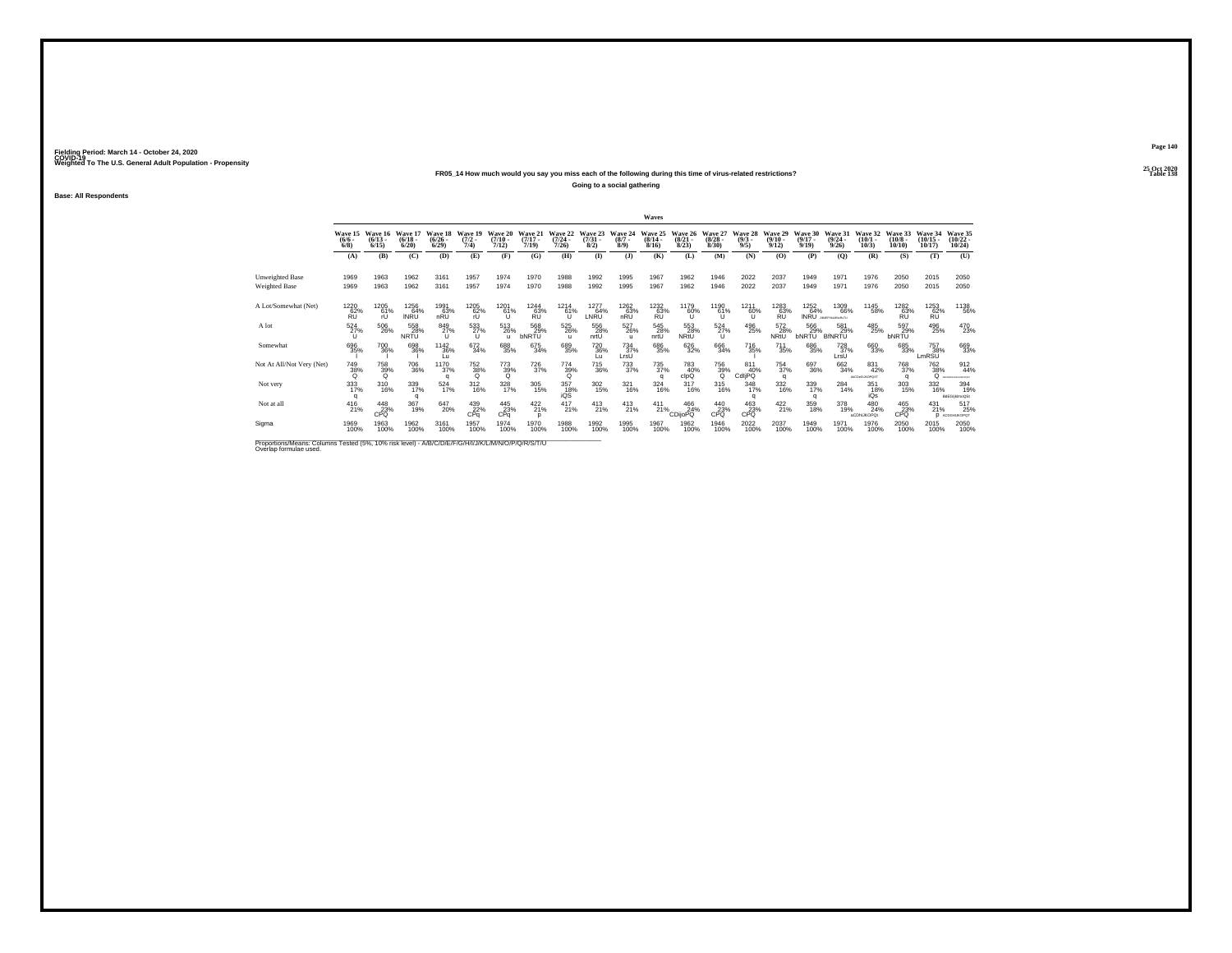## **25 Oct 2020FR05\_14 How much would you say you miss each of the following during this time of virus-related restrictions?**

**Going to a social gathering**

**Base: All Respondents**

|                                                                                                                              |                              |                                      |                            |                                 |                             |                                          |                              |                              |                                     |                                 | Waves                     |                                 |                                  |                               |                                  |                                  |                                 |                              |                               |                                        |                                       |
|------------------------------------------------------------------------------------------------------------------------------|------------------------------|--------------------------------------|----------------------------|---------------------------------|-----------------------------|------------------------------------------|------------------------------|------------------------------|-------------------------------------|---------------------------------|---------------------------|---------------------------------|----------------------------------|-------------------------------|----------------------------------|----------------------------------|---------------------------------|------------------------------|-------------------------------|----------------------------------------|---------------------------------------|
|                                                                                                                              | $\frac{(6/6)}{6/8}$          | Wave 15 Wave 16<br>$(6/13 -$<br>6/15 | Wave 17<br>(6/18.<br>6/20  | Wave 18<br>$\binom{6/26}{6/29}$ | Wave 19<br>$(7/2 -$<br>7/4) | Wave 20<br>(7/10)<br>7/12)               | Wave 21<br>$(7/17 -$<br>7/19 | Wave 22<br>$(7/24 -$<br>7/26 | Wave 23<br>$\binom{7/31}{8/2}$      | Wave 24<br>$(8/7 -$<br>8/9      | Wave 25<br>(8/14.<br>8/16 | Wave 26<br>$\binom{8/21}{8/23}$ | Wave 27<br>$\frac{(8/28)}{8/30}$ | Wave 28<br>$\binom{9/3}{9/5}$ | Wave 29<br>$\frac{(9/10)}{9/12}$ | Wave 30<br>$\frac{(9/17)}{9/19}$ | Wave 31<br>$\binom{9/24}{9/26}$ | Wave 32<br>$(10/1 -$<br>10/3 | Wave 33<br>$(10/8 -$<br>10/10 | Wave 34<br>$(10/15 -$<br>10/17         | Wave 35<br>$\binom{10/22}{10/24}$     |
|                                                                                                                              | (A)                          | (B)                                  | (C)                        | (D)                             | (E)                         | (F)                                      | (G)                          | (H)                          | $($ I)                              | $($ $)$                         | (K)                       | (L)                             | (M)                              | (N)                           | (O)                              | (P)                              | (O)                             | (R)                          | (S)                           | (T)                                    | (U)                                   |
| <b>Unweighted Base</b><br><b>Weighted Base</b>                                                                               | 1969<br>1969                 | 1963<br>1963                         | 1962<br>1962               | 3161<br>3161                    | 1957<br>1957                | 1974<br>1974                             | 1970<br>1970                 | 1988<br>1988                 | 1992<br>1992                        | 1995<br>1995                    | 1967<br>1967              | 1962<br>1962                    | 1946<br>1946                     | 2022<br>2022                  | 2037<br>2037                     | 1949<br>1949                     | 1971<br>1971                    | 1976<br>1976                 | 2050<br>2050                  | 2015<br>2015                           | 2050<br>2050                          |
| A Lot/Somewhat (Net)                                                                                                         | 1220<br>62%<br><b>RU</b>     | 1205<br>61%                          | 1256<br>64%<br><b>INRU</b> | 1991<br>63%<br>nRU              | 1205<br>62%<br>ŕU           | 1201<br>61%<br>٦ì                        | 1244<br>63%                  | 1214<br>$^{61%}_{11}$        | 1277<br>64%<br>LNRU                 | 1262<br>$n\overline{RU}^{63\%}$ | 1232<br>RU                | 1179<br>60%                     | 1190<br>61%<br>υ                 | 1211<br>60%                   | 1283<br>63%<br>RU                | 1252                             | 1309<br>64% 66%<br>66%          | 1145<br>58%                  | 1282<br>63%                   | 1253<br>RU                             | 1138<br>56%                           |
| A lot                                                                                                                        | $\frac{524}{27\%}$<br>$\cup$ | 506<br>26%                           | 558<br>28%<br><b>NRTU</b>  | 849<br>27%<br>$\mathbf{U}$      | 533<br>$\cup$               | $\substack{513 \\ 26\%}$<br>$\mathbf{u}$ | 568<br>29%<br><b>bNRTU</b>   | 525<br>26%<br>$\mathbf{u}$   | 556<br>28%<br>nrtU                  | $^{527}_{26\%}$<br>ш            | 545<br>28%<br>nrtU        | 553<br>28%<br>NRtU              | $^{524}_{27\%}$<br>$\cup$        | 496<br>25%                    | 572<br>28%<br>NRtU               | 566<br>29%<br><b>bNRTU</b>       | 581<br>29%<br><b>BfNRTU</b>     | 485<br>25%                   | 597<br>29%<br><b>bNRTU</b>    | 496<br>25%                             | 470<br>23%                            |
| Somewhat                                                                                                                     | 696<br>35%                   | 700 36%                              | 698<br>36%                 | 1142<br>36%<br>Εū               | 672<br>34%                  | 688<br>35%                               | 675<br>34%                   | 689<br>35%                   | <sup>720</sup> <sub>36%</sub><br>Lц | 734<br>37%<br>LrsU              | 686<br>35%                | 626<br>32%                      | 666<br>34%                       | <sup>716</sup> 35%            | <sup>711</sup><br>35%            | 686<br>35%                       | 728<br>37%<br>LrsU              | 660<br>33%                   | 685<br>33%                    | <sup>757</sup> <sub>38%</sub><br>LmRSU | 669<br>33%                            |
| Not At All/Not Very (Net)                                                                                                    | $\frac{749}{38\%}$           | 758<br>39%<br>$\Omega$               | 706<br>36%                 | 1170<br>37%<br>a                | 752<br>38%<br>$\Omega$      | 773<br>39%<br>Q                          | 726<br>37%                   | 774<br>39%                   | 715<br>36%                          | $\frac{733}{37\%}$              | 735<br>37%<br>a           | 783<br>40%<br>clpQ              | 756<br>39%<br>Q                  | 811<br>40%<br>CdliPQ          | 754<br>37%<br>$\Omega$           | 697<br>36%                       | 662<br>34%                      | 831<br>42%<br>AbCDeGLIKDPOST | 768<br>37%<br>a               | 762<br>38%<br>$\Omega$                 | 912<br>44%<br><b>MCDEFOHJALMOPOST</b> |
| Not very                                                                                                                     | 333<br>17%                   | 310<br>16%                           | 339<br>17%                 | 524<br>17%                      | $^{312}_{16\%}$             | 328<br>17%                               | 305<br>15%                   | 357<br>18%<br>iQS            | $\frac{302}{15\%}$                  | 321<br>16%                      | 324<br>16%                | 317<br>16%                      | $^{315}_{16\%}$                  | 348<br>17%                    | 332<br>16%                       | 339<br>17%<br>q                  | 284<br>14%                      | $\frac{351}{18\%}$<br>iQs    | 303<br>15%                    | 332<br>16%                             | 394<br>19%<br>BdEGIMmoQSt             |
| Not at all                                                                                                                   | 416<br>21%                   | $^{448}_{23\%}$ CPQ                  | 367<br>19%                 | 647<br>20%                      | 439<br>22%<br>CPa           | $^{445}_{23\%}$ CPq                      | $^{422}_{21\%}$<br>D         | $^{417}_{21\%}$              | $^{413}_{21\%}$                     | $^{413}_{21\%}$                 | $^{411}_{21\%}$           | 466<br>24%<br><b>CDijoPQ</b>    | 440<br>23%<br>CPO                | $^{463}_{23\%}$ cPQ           | $^{422}_{21\%}$                  | 359<br>18%                       | 378<br>19%                      | 480<br>24%<br>aCDhIJKOPOt    | 465<br>23%<br>CPO             | $^{431}_{21\%}$<br>n                   | 517<br>25%<br>ACDGHUKOPOT             |
| Sigma                                                                                                                        | 1969<br>100%                 | 1963<br>100%                         | 1962<br>100%               | 3161<br>100%                    | 1957<br>100%                | 1974<br>100%                             | 1970<br>100%                 | 1988<br>100%                 | 1992<br>100%                        | 1995<br>100%                    | 1967<br>100%              | 1962<br>100%                    | 1946<br>100%                     | 2022<br>100%                  | 2037<br>100%                     | 1949<br>100%                     | 197<br>100%                     | 1976<br>100%                 | 2050<br>100%                  | 2015<br>100%                           | 2050<br>100%                          |
| Proportions/Means: Columns Tested (5%, 10% risk level) - A/B/C/D/E/F/G/H/I/J/K/L/M/N/O/P/Q/R/S/T/U<br>Overlap formulae used. |                              |                                      |                            |                                 |                             |                                          |                              |                              |                                     |                                 |                           |                                 |                                  |                               |                                  |                                  |                                 |                              |                               |                                        |                                       |

**Page 140**25 Oct 2020<br>Table 138

**Table 138 Table 138**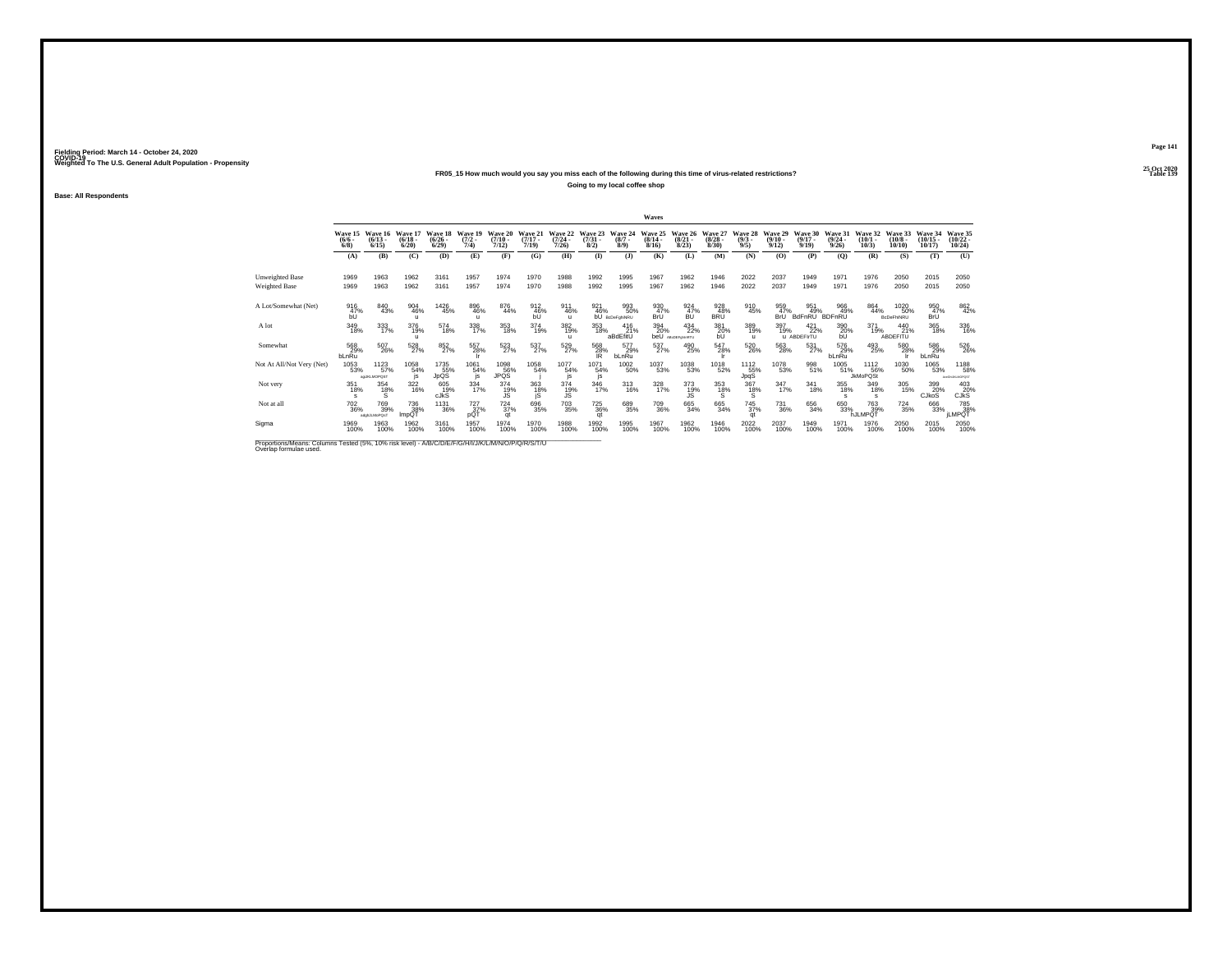## **25 Oct 2020FR05\_15 How much would you say you miss each of the following during this time of virus-related restrictions?**

**Going to my local coffee shop**

**Base: All Respondents**

|                                                                                                                              |                            |                                               |                             |                                 |                                      |                            |                              |                              |                                |                               | Waves                            |                                            |                                 |                               |                                  |                                       |                                 |                                |                               |                                |                                   |
|------------------------------------------------------------------------------------------------------------------------------|----------------------------|-----------------------------------------------|-----------------------------|---------------------------------|--------------------------------------|----------------------------|------------------------------|------------------------------|--------------------------------|-------------------------------|----------------------------------|--------------------------------------------|---------------------------------|-------------------------------|----------------------------------|---------------------------------------|---------------------------------|--------------------------------|-------------------------------|--------------------------------|-----------------------------------|
|                                                                                                                              | $\frac{(6/6)}{6/8}$        | Wave 15 Wave 16<br>$(6/13 -$<br>6/15          | Wave 17<br>(6/18.<br>6/20   | Wave 18<br>$\binom{6/26}{6/29}$ | Wave 19<br>$(7/2 -$<br>7/4)          | Wave 20<br>(7/10)<br>7/12) | Wave 21<br>$(7/17 -$<br>7/19 | Wave 22<br>$(7/24 -$<br>7/26 | Wave 23<br>$\binom{7/31}{8/2}$ | Wave 24<br>$\binom{8/7}{8/9}$ | Wave 25<br>$\frac{(8/14)}{8/16}$ | Wave 26<br>$\binom{8/21}{8/23}$            | Wave 27<br>$\binom{8/28}{8/30}$ | Wave 28<br>$\binom{9/3}{9/5}$ | Wave 29<br>$\frac{(9/10)}{9/12}$ | Wave 30<br>$\frac{(9/17)}{9/19}$      | Wave 31<br>$\binom{9/24}{9/26}$ | Wave 32<br>$(10/1 -$<br>10/3   | Wave 33<br>$(10/8 -$<br>10/10 | Wave 34<br>$(10/15 -$<br>10/17 | Wave 35<br>$\binom{10/22}{10/24}$ |
|                                                                                                                              | (A)                        | (B)                                           | (C)                         | (D)                             | (E)                                  | (F)                        | (G)                          | (H)                          | $($ I)                         | $($ $)$                       | (K)                              | (L)                                        | (M)                             | (N)                           | (O)                              | (P)                                   | (O)                             | (R)                            | (S)                           | (T)                            | (U)                               |
| <b>Unweighted Base</b><br><b>Weighted Base</b>                                                                               | 1969<br>1969               | 1963<br>1963                                  | 1962<br>1962                | 3161<br>3161                    | 1957<br>1957                         | 1974<br>1974               | 1970<br>1970                 | 1988<br>1988                 | 1992<br>1992                   | 1995<br>1995                  | 1967<br>1967                     | 1962<br>1962                               | 1946<br>1946                    | 2022<br>2022                  | 2037<br>2037                     | 1949<br>1949                          | 1971<br>1971                    | 1976<br>1976                   | 2050<br>2050                  | 2015<br>2015                   | 2050<br>2050                      |
| A Lot/Somewhat (Net)                                                                                                         | 916<br>47%<br>bÛ           | 840<br>43%                                    | 904<br>46%<br>п             | 1426<br>45%                     | 896<br>46%<br>$\mathbf{u}$           | 876<br>44%                 | 912<br>46%                   | 911<br>46%<br>$\mathbf{u}$   | 921<br>46%<br>bŪ               | 993<br>50%<br>BcDeFghiNRU     | 930<br>47%<br>BrÜ                | 924<br>47%                                 | 928<br>48%<br>BRÜ               | 910<br>45%                    | 959<br>47%<br>BrÜ                | 951<br><b>BdFnRU</b>                  | 966<br>49%<br>BDFnRU            | 864<br>44%                     | 1020<br>50%<br>BcDeFhiNRU     | 950<br>47%<br>BrÜ              | 862<br>42%                        |
| A lot                                                                                                                        | 349<br>18%                 | 333<br>17%                                    | 376<br>19%                  | 574<br>18%                      | 338<br>17%                           | $\underset{18\%}{353}$     | 374<br>19%                   | 382<br>19%<br>$\mathbf{u}$   | 353<br>18%                     | 416<br>21%<br>aBdEfitU        | 394<br>20%                       | $^{434}_{22\%}$<br><b>beU</b> ABCDEFOMARTU | 381<br>20%<br>bU                | 389<br>19%<br>$\mathbf{u}$    | 397<br>19%                       | $^{421}_{22\%}$<br><b>u</b> ABDEFIrTU | 390<br>20%<br>bU                | 371<br>19%                     | 440<br>21%<br>ABDEFITU        | 365<br>18%                     | 336<br>16%                        |
| Somewhat                                                                                                                     | 568<br>29%<br>bLnRu        | 507<br>26%                                    | 528<br>27%                  | 852<br>27%                      | 557<br>28%                           | 523<br>27%                 | 537%                         | 529<br>27%                   | 568<br>28%<br>IR               | 577<br>29%<br>bLnRu           | 537<br>27%                       | 490<br>25%                                 | 547<br>28%                      | 520<br>26%                    | 563<br>28%                       | 531<br>27%                            | 576<br>29%<br>bLnRu             | 493<br>25%                     | 580<br>28%                    | 586<br>29%<br>bLnRu            | 526<br>26%                        |
| Not At All/Not Very (Net)                                                                                                    | 1053<br>53%                | 1123<br>57%<br>agukLMOPQST                    | 1058<br>54%<br>is           | 1735<br>JpQS                    | 1061<br>54%<br>is                    | 1098<br>JPQS               | 1058<br>54%                  | 1077<br>54%<br>is.           | 1071<br>54%<br>js              | 1002<br>50%                   | 1037<br>53%                      | 1038<br>53%                                | 1018<br>52%                     | 1112<br>55%<br>JpqS           | 1078<br>53%                      | 998<br>51%                            | 1005<br>51%                     | 1112<br>56%<br><b>JkMoPQSt</b> | 1030<br>50%                   | 1065<br>53%                    | 1188<br>58%<br>AGIGN JILMOPOST    |
| Not very                                                                                                                     | 351<br>18%<br>$\mathbf{s}$ | 354<br>18%<br>Ś                               | $\frac{322}{16\%}$          | 605<br>19%<br><b>CJKS</b>       | 334<br>17%                           | 374<br>19%<br>ĴŜ           | 363<br>18%<br>jS             | 374<br>19%<br>JS.            | 346<br>17%                     | $\frac{313}{16\%}$            | 328<br>17%                       | 373<br>19%<br>JS.                          | 353<br>18%<br>S                 | $\frac{367}{18\%}$<br>'š.     | $\frac{347}{17\%}$               | 341<br>18%                            | 355<br>18%                      | 349<br>18%<br>s                | 305<br>15%                    | 399<br>20%<br>CJkoS            | 403<br>20%<br><b>CJKS</b>         |
| Not at all                                                                                                                   | <sup>702</sup> 36%         | <sup>769</sup> <sub>39%</sub><br>adohJLMoPQsT | <sup>736</sup> 38%<br>ImpQ1 | <sup>1131</sup> 36%             | <sup>727</sup> <sub>37%</sub><br>pQT | $^{724}_{37\%}$<br>qt      | 696<br>35%                   | $703\atop 35\%$              | <sup>725</sup> 36%<br>at       | 689<br>35%                    | 709<br>36%                       | 665<br>34%                                 | 665<br>34%                      | <sup>745</sup> 37%<br>at      | <sup>731</sup> 36%               | $\substack{656 \\ 34\%}$              | 650<br>33%                      | 763<br>39%<br>hJLMPQT          | <sup>724</sup> <sub>35%</sub> | 666<br>33%                     | 785<br>38%<br>JLMPQT              |
| Sigma                                                                                                                        | 1969<br>100%               | 1963<br>100%                                  | 1962<br>100%                | 3161<br>100%                    | 1957<br>100%                         | 1974<br>100%               | 1970<br>100%                 | 1988<br>100%                 | 1992<br>100%                   | 1995<br>100%                  | 1967<br>100%                     | 1962<br>100%                               | 1946<br>100%                    | 2022<br>100%                  | 2037<br>100%                     | 1949<br>100%                          | 1971<br>100%                    | 1976<br>100%                   | 2050<br>100%                  | 2015<br>100%                   | 2050<br>100%                      |
| Proportions/Means: Columns Tested (5%, 10% risk level) - A/B/C/D/E/F/G/H/I/J/K/L/M/N/O/P/Q/R/S/T/U<br>Overlap formulae used. |                            |                                               |                             |                                 |                                      |                            |                              |                              |                                |                               |                                  |                                            |                                 |                               |                                  |                                       |                                 |                                |                               |                                |                                   |

**Page 141**25 Oct 2020<br>Table 139

**Table 139**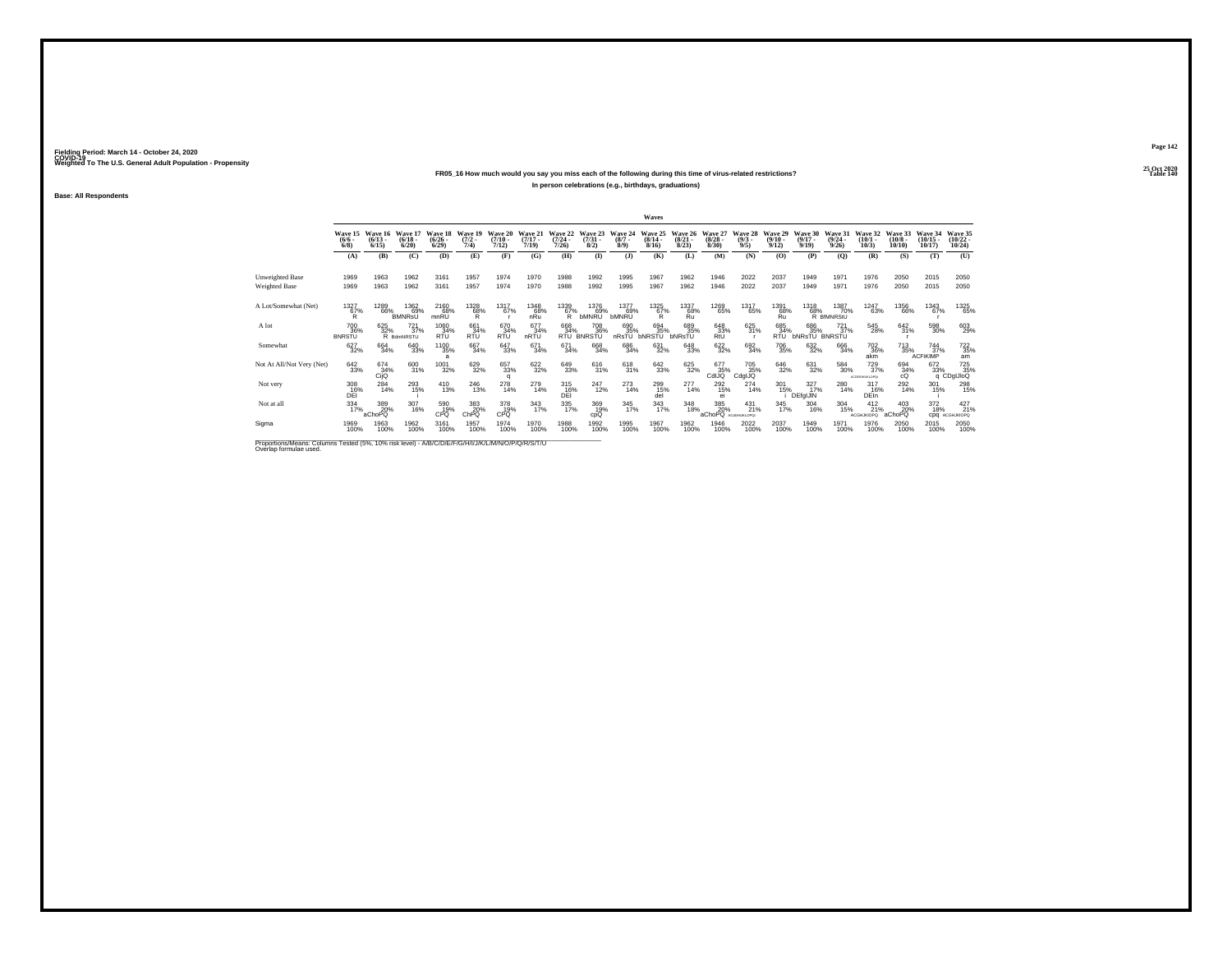## **25 Oct 2020FR05\_16 How much would you say you miss each of the following during this time of virus-related restrictions?In person celebrations (e.g., birthdays, graduations)**

**Base: All Respondents**

|                                                                                                     |                                        |                      |                                  |                                       |                                |                              |                              |                                  |                                     |                               | Waves                            |                                 |                                    |                                |                                  |                                    |                                      |                                      |                                  |                                       |                                   |
|-----------------------------------------------------------------------------------------------------|----------------------------------------|----------------------|----------------------------------|---------------------------------------|--------------------------------|------------------------------|------------------------------|----------------------------------|-------------------------------------|-------------------------------|----------------------------------|---------------------------------|------------------------------------|--------------------------------|----------------------------------|------------------------------------|--------------------------------------|--------------------------------------|----------------------------------|---------------------------------------|-----------------------------------|
|                                                                                                     | Wave 15 Wave 16<br>$\frac{(6/6)}{6/8}$ | $(6/13 -$<br>6/15    | Wave 17<br>$\frac{(6/18)}{6/20}$ | Wave 18<br>$\binom{6/26}{6/29}$       | Wave 19<br>$\frac{(7/2)}{7/4}$ | Wave 20<br>$(7/10 -$<br>7/12 | Wave 21<br>$(7/17 -$<br>7/19 | Wave 22<br>$\frac{(7/24)}{7/26}$ | Wave 23<br>$\binom{7/31}{8/2}$      | Wave 24<br>$\binom{8/7}{8/9}$ | Wave 25<br>$\frac{(8/14)}{8/16}$ | Wave 26<br>$\binom{8/21}{8/23}$ | Wave 27<br>$\frac{(8/28)}{8/30}$   | Wave 28<br>$\frac{(9/3)}{9/5}$ | Wave 29<br>$\frac{(9/10)}{9/12}$ | Wave 30<br>$\frac{(9/17)}{9/19}$   | Wave 31<br>$\frac{(9/24)}{9/26}$     | Wave 32<br>$(10/1 -$<br>10/3         | Wave 33<br>$\binom{10/8}{10/10}$ | Wave 34<br>$(10/15 -$<br>10/17        | Wave 35<br>$\binom{10/22}{10/24}$ |
|                                                                                                     | (A)                                    | (B)                  | (C)                              | (D)                                   | (E)                            | (F)                          | (G)                          | (H)                              | $($ $\Gamma$                        | (3)                           | (K)                              | (L)                             | (M)                                | (N)                            | (O)                              | (P)                                | (0)                                  | (R)                                  | (S)                              | (T)                                   | (U)                               |
| <b>Unweighted Base</b><br>Weighted Base                                                             | 1969<br>1969                           | 1963<br>1963         | 1962<br>1962                     | 3161<br>3161                          | 1957<br>1957                   | 1974<br>1974                 | 1970<br>1970                 | 1988<br>1988                     | 1992<br>1992                        | 1995<br>1995                  | 1967<br>1967                     | 1962<br>1962                    | 1946<br>1946                       | 2022<br>2022                   | 2037<br>2037                     | 1949<br>1949                       | 1971<br>1971                         | 1976<br>1976                         | 2050<br>2050                     | 2015<br>2015                          | 2050<br>2050                      |
| A Lot/Somewhat (Net)                                                                                | 1327<br>$^{67%}_{R}$                   | 1289<br>66%          | 1362<br>69%<br><b>BMNRsU</b>     | 2160<br>68%<br>mnRŪ                   | 1328<br>68%                    | 1317<br>67%                  | 1348<br>68%<br>nRu           | 1339<br>$^{67\%}_{R}$            | 1376<br>69%<br><b>bMNRU</b>         | 1377<br>69%<br><b>bMNRU</b>   | $^{1325}_{67\%}$                 | 1337<br>68%<br>Ru               | 1269<br>65%                        | 1317<br>65%                    | 1391<br>$R_{II}^{68\%}$          | 1318                               | 1387<br>68% 70%<br>R BHMNRStU<br>70% | 1247<br>63%                          | 1356<br>66%                      | 1343<br>67%                           | 1325<br>65%                       |
| A lot                                                                                               | 700<br>36%<br><b>BNRSTU</b>            | 625<br>32%           | $^{721}_{37\%}$<br>R BdmNRSTU    | 1060<br>34%<br><b>RTU</b>             | 661<br>34%<br><b>RTU</b>       | 670<br>34%<br><b>RTU</b>     | 677<br>34%<br>nRTU           | 668<br>34%<br>RTU <sup>1</sup>   | <sup>708</sup> 36%<br><b>BNRSTU</b> | 690<br>35%<br>nRsTU           | 694<br>35%<br><b>bNRSTU</b>      | 689<br>35%<br>bNRsTU            | 648<br>33%<br>RtU                  | 625<br>31%                     | 685<br>34%<br><b>RTU</b>         | 686<br>35%<br><b>bNRsTU BNRSTU</b> | $^{721}_{37\%}$                      | 545<br>28%                           | 642/31%                          | 598<br>30%                            | 603<br>29%                        |
| Somewhat                                                                                            | 627<br>32%                             | 664<br>34%           | 640<br>33%                       | <sup>1100</sup> 35%<br>$\overline{a}$ | 667<br>34%                     | 647<br>33%                   | 671<br>34%                   | 671<br>34%                       | 668<br>34%                          | 686<br>34%                    | 631<br>32%                       | 648<br>33%                      | 622%                               | 692<br>34%                     | 706<br>35%                       | 632<br>32%                         | 666<br>34%                           | <sup>702</sup> <sub>36%</sub><br>akm | <sup>713</sup> 35%               | $\frac{744}{37\%}$<br><b>ACFIKIMP</b> | 722<br>35%<br>am                  |
| Not At All/Not Very (Net)                                                                           | 642<br>33%                             | 674<br>34%<br>Cijo   | 600<br>31%                       | 1001<br>32%                           | 629<br>32%                     | 657<br>33%<br>a              | 622<br>32%                   | 649<br>33%                       | 616<br>31%                          | 618<br>31%                    | 642<br>33%                       | 625<br>32%                      | 677<br>35%<br>CdIJQ                | 705<br>35%<br>CdglJQ           | 646<br>32%                       | 631<br>32%                         | 584<br>30%                           | 729<br>37%<br>ACDEIGHLIKLOPO!        | 694 34%<br>cQ                    | 672<br>33%                            | 72 725<br>33% 35%<br>q CDgIJIoQ   |
| Not very                                                                                            | 308<br>16%<br>DEI                      | 284<br>14%           | 293<br>15%                       | $^{410}_{13\%}$                       | 246<br>13%                     | 278<br>14%                   | 279<br>14%                   | 315<br>16%<br>DEI                | 247<br>12%                          | 273<br>14%                    | 299<br>15%<br>del                | 277<br>14%                      | <sup>292</sup> <sub>15%</sub><br>e | $^{274}_{14\%}$                | 301<br>15%                       | 327%<br>DEfgIJIN                   | 280<br>14%                           | $\frac{317}{16\%}$<br><b>DEIn</b>    | 292<br>14%                       | $\frac{301}{15\%}$                    | 298                               |
| Not at all                                                                                          | $334 \over 17\%$                       | 389<br>20%<br>aChoPQ | 307<br>16%                       | 590<br>19%<br>CPQ                     | 383<br>20%<br>ChPQ             | 378<br>19%<br>CPQ            | 343<br>17%                   | 335<br>17%                       | 369<br>19%<br>cpQ                   | 345<br>17%                    | 343<br>17%                       | 348<br>18%                      | 385<br>20%<br>aChoPQ ACaGHUKLOPOL  | $^{431}_{21\%}$                | 345<br>17%                       | 304<br>16%                         | 304<br>15%                           | $^{412}_{21\%}$<br><b>ACGHJKIOPO</b> | 403<br>20%<br>aChoPQ             | 372<br>18%<br>cpq                     | 427 <sub>21%</sub><br>ACGHJKIOPQ  |
| Sigma                                                                                               | 1969<br>100%                           | 1963<br>100%         | 1962<br>100%                     | 3161<br>100%                          | 1957<br>100%                   | 1974<br>100%                 | 1970<br>100%                 | 1988<br>100%                     | 1992<br>100%                        | 1995<br>100%                  | 1967<br>100%                     | 1962<br>100%                    | 1946<br>100%                       | 2022<br>100%                   | 2037<br>100%                     | 1949<br>100%                       | 1971<br>100%                         | 1976<br>100%                         | 2050<br>100%                     | 2015<br>100%                          | 2050<br>100%                      |
| Proportions/Means: Columns Tested (5%, 10% risk level) - A/R/C/D/F/F/G/H/J/J/K/L/M/N/Q/P/Q/R/S/T/LL |                                        |                      |                                  |                                       |                                |                              |                              |                                  |                                     |                               |                                  |                                 |                                    |                                |                                  |                                    |                                      |                                      |                                  |                                       |                                   |

Proportions/Means: Columns Tested (5%, 10% risk level) - A/B/C/D/E/F/G/H/I/J/K/L/M/N/O/P/Q/R/S/T/U<br>Overlap formulae used.

**Page 142**25 Oct 2020<br>Table 140

**Table 140 Table 140**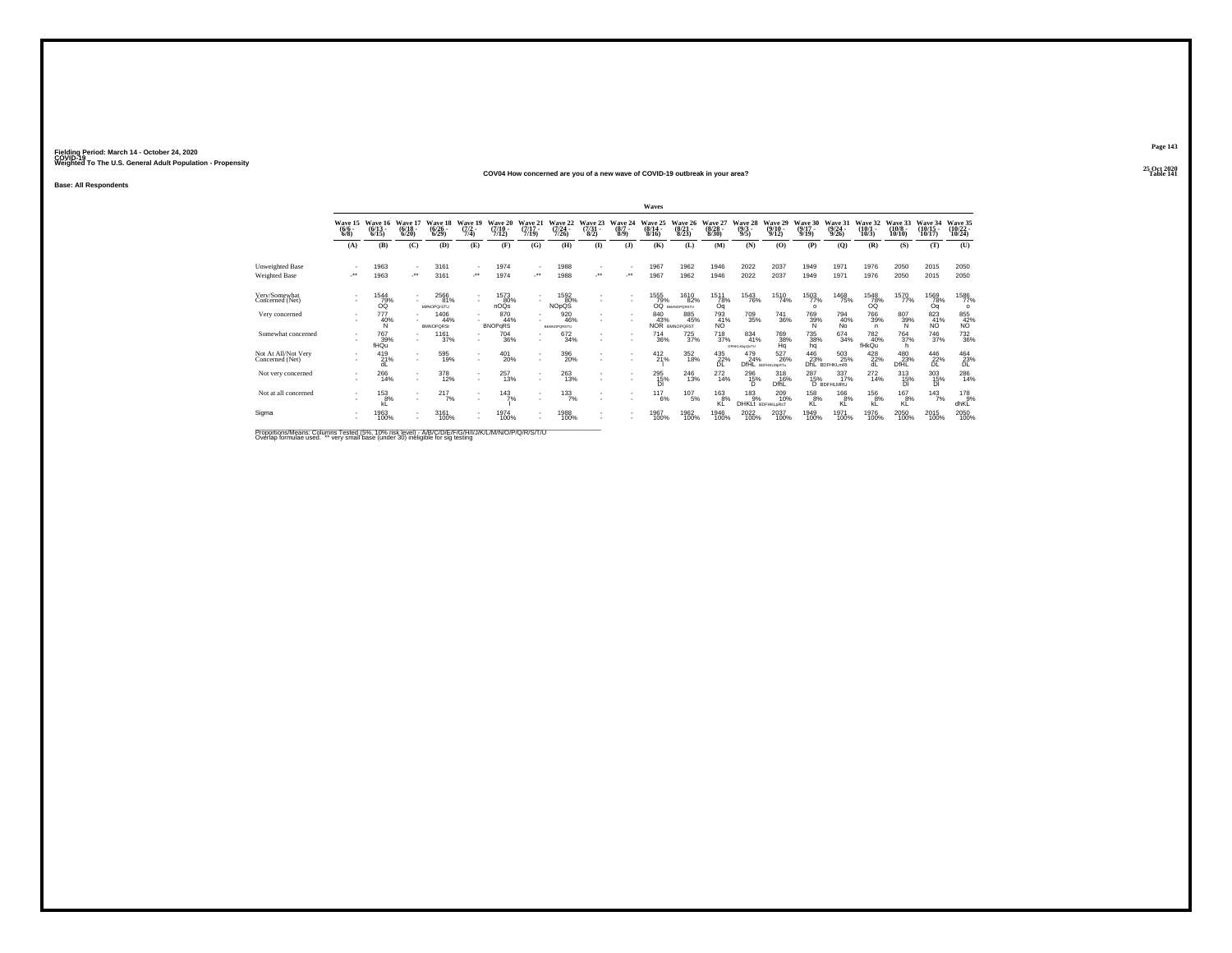#### **25 Oct 2020COV04 How concerned are you of a new wave of COVID-19 outbreak in your area?Particular Table 141 Table 141 Table 141 Table 141**

**Base: All Respondents**

|                                        |                               |                                 |                                  |                                  |                                                      |                                  |                                  |                                        |                                 |                               | Waves                            |                                  |                                  |                                           |                                  |                                  |                                  |                                        |                                  |                                   |                                    |
|----------------------------------------|-------------------------------|---------------------------------|----------------------------------|----------------------------------|------------------------------------------------------|----------------------------------|----------------------------------|----------------------------------------|---------------------------------|-------------------------------|----------------------------------|----------------------------------|----------------------------------|-------------------------------------------|----------------------------------|----------------------------------|----------------------------------|----------------------------------------|----------------------------------|-----------------------------------|------------------------------------|
|                                        | Wave 15<br>$\binom{6/6}{6/8}$ | Wave 16<br>$\binom{6/13}{6/15}$ | Wave 17<br>$\frac{(6/18)}{6/20}$ | Wave 18<br>$\binom{6/26}{6/29}$  | Wave 19<br>$\frac{(7/2)}{7/4}$                       | Wave 20<br>$\frac{(7/10)}{7/12}$ | Wave 21<br>$\frac{(7/17)}{7/19}$ | Wave 22<br>$\frac{(7/24)}{7/26}$       | Wave 23<br>$\frac{(7/31)}{8/2}$ | Wave 24<br>$\binom{8/7}{8/9}$ | Wave 25<br>$\frac{(8/14)}{8/16}$ | Wave 26<br>$\frac{(8/21)}{8/23}$ | Wave 27<br>$\frac{(8/28)}{8/30}$ | Wave 28<br>$\frac{(9/3)}{9/5}$            | Wave 29<br>$\frac{(9/10)}{9/12}$ | Wave 30<br>$\frac{(9/17)}{9/19}$ | Wave 31<br>$\frac{(9/24)}{9/26}$ | Wave 32<br>$\binom{10/1}{10/3}$        | Wave 33<br>$\binom{10/8}{10/10}$ | Wave 34<br>$\binom{10/15}{10/17}$ | Wave 35<br>$\frac{(10/22)}{10/24}$ |
|                                        | (A)                           | (B)                             | (C)                              | (D)                              | (E)                                                  | (F)                              | (G)                              | (H)                                    | $\bf(I)$                        | (1)                           | (K)                              | (L)                              | (M)                              | (N)                                       | (O)                              | (P)                              | $\mathbf{Q}$                     | (R)                                    | (S)                              | (T)                               | (U)                                |
| Unweighted Base                        | $\sim$                        | 1963                            | ٠.                               | 3161                             | $\overline{\phantom{a}}$                             | 1974                             |                                  | 1988                                   |                                 |                               | 1967                             | 1962                             | 1946                             | 2022                                      | 2037                             | 1949                             | 1971                             | 1976                                   | 2050                             | 2015                              | 2050                               |
| Weighted Base                          | $\cdot$                       | 1963                            | $\cdot$                          | 3161                             | $\cdot$                                              | 1974                             |                                  | 1988                                   | $\bullet\,\bullet$              | -**                           | 1967                             | 1962                             | 1946                             | 2022                                      | 2037                             | 1949                             | 1971                             | 1976                                   | 2050                             | 2015                              | 2050                               |
| Very/Somewhat<br>Concerned (Net)       |                               | 1544<br>79%<br>ÓŐ               | ٠<br>٠                           | 2566<br>81%<br><b>bMNOPQrSTU</b> | $\overline{\phantom{a}}$                             | 1573<br>80%<br>nOQs              | ٠                                | 1592<br>80%<br><b>NO<sub>p</sub>QS</b> | $\overline{\phantom{a}}$        | ٠                             | 1555<br>79%<br>CO                | 1610<br>82%<br>BMNOPORSTU        | 1511<br>78%<br>Oq                | <sup>1543</sup> 76%                       | 1510<br>74%                      | 1503<br>$\Omega$                 | <sup>1468</sup> 75%              | $\frac{78}{78}\%$                      | 1570<br>77%                      | 1569<br>78%<br>Oq                 | 1586<br>77%<br>$\circ$             |
| Very concerned                         |                               | 777<br>40%<br>N                 | ٠<br>٠                           | 1406<br>44%<br><b>BMNOPORSt</b>  |                                                      | 870<br>44%<br><b>BNOPGRS</b>     | ٠                                | 920<br>46%<br><b>BMNOPORSTU</b>        | ٠                               | ٠                             | 840<br>43%                       | 885<br>45%<br>NOR BMNOPORST      | 793<br>$\frac{41}{N}$            | $\substack{709\\35\%}$                    | 741<br>36%                       | 769<br>39%<br>'Ñ.                | 794<br>40%<br>No                 | <sup>766</sup> 39%<br>n                | 807<br>39%<br>N                  | 823<br>41%<br>NÖ.                 | 855<br>42%<br>NO                   |
| Somewhat concerned                     |                               | <sup>767</sup> 39%<br>fHQu      | $\sim$<br>$\sim$                 | 1161<br>37%                      |                                                      | $^{704}_{36\%}$                  | ٠                                | 672<br>34%                             |                                 |                               | <sup>714</sup> <sub>36%</sub>    | $^{725}_{37\%}$                  | $^{718}_{37\%}$                  | 834<br>41%<br>DFHKLMopQsTU                | <sup>769</sup> 38%<br>Ha         | <sup>735</sup> 38%<br>hq         | 674 34%                          | <sup>782</sup> <sub>40%</sub><br>fHkQu | <sup>764</sup> <sub>37%</sub>    | $^{746}_{37\%}$                   | <sup>732</sup> <sub>36%</sub>      |
| Not At All/Not Very<br>Concerned (Net) |                               | 419<br>21%<br>dL                | ٠<br>٠                           | 595<br>19%                       | $\overline{\phantom{a}}$<br>$\overline{\phantom{a}}$ | 401<br>20%                       | $\overline{\phantom{a}}$<br>٠    | 396<br>20%                             |                                 |                               | $^{412}_{21\%}$                  | 352<br>18%                       | $^{435}_{22\%}$                  | 479<br>24%                                | 527<br>26%<br>DfHL BDFHKLMpRTu   | $^{446}_{23\%}$ DhL B            | 503<br>25%<br><b>BDFHKLmRt</b>   | $^{428}_{22\%}$<br>dL                  | 480<br>23%<br>DfHL               | $^{446}_{\,\,\,22\%}$             | $^{464}_{23\%}$                    |
| Not very concerned                     | $\sim$                        | 266<br>14%                      | $\sim$                           | 378<br>12%                       | $\overline{\phantom{a}}$                             | 257<br>13%                       | ٠<br>$\overline{\phantom{a}}$    | 263<br>13%                             | $\overline{\phantom{a}}$        |                               | 295<br>$^{15\%}_{\text{DI}}$     | 246<br>13%                       | 272<br>14%                       | 296<br>15%                                | 318<br>16%<br>DfhL               | 287<br>15%                       | 337<br>17%<br>D BDFHLMRU         | 272<br>14%                             | 313<br>15%<br><b>DI</b>          | 303<br>15%                        | 286<br>14%                         |
| Not at all concerned                   |                               | $^{153}_{8\%}$<br>kL            | ٠<br>$\sim$                      | 217<br>7%                        | $\overline{\phantom{a}}$                             | 143<br>7%                        | $\overline{\phantom{a}}$<br>٠    | 133/7%                                 |                                 |                               | 117<br>6%                        | $^{107}_{-5\%}$                  | $^{163}_{8\%}$<br>KL             | $^{183}_{9\%}$<br><b>DHKLt</b> BDFHKLORST | 209<br>10%                       | $^{158}_{8\%}$<br>KL             | 166 8%<br>KL                     | $^{156}_{8\%}$<br>kĹ                   | $^{167}_{8\%}$<br>KL             | 143/7%                            | 178%<br>dhKL                       |
| Sigma                                  |                               | 1963<br>100%                    | $\sim$<br>$\sim$                 | 3161<br>100%                     |                                                      | 1974<br>100%                     | ٠<br>٠                           | 1988<br>100%                           |                                 |                               | 1967<br>100%                     | 1962<br>100%                     | 1946<br>100%                     | 2022<br>100%                              | 2037<br>100%                     | 1949<br>100%                     | 1971<br>100%                     | 1976<br>100%                           | 2050<br>100%                     | 2015<br>100%                      | 2050<br>100%                       |

Proportions/Means: Columns Tested (5%, 10% risk level) - A/B/C/D/E/F/G/H/I/J/K/L/M/N/O/P/Q/R/S/T/U<br>Overlap formulae used. \*\* very small base (under 30) ineligible for sig testing

**Page 143**25 Oct 2020<br>Table 141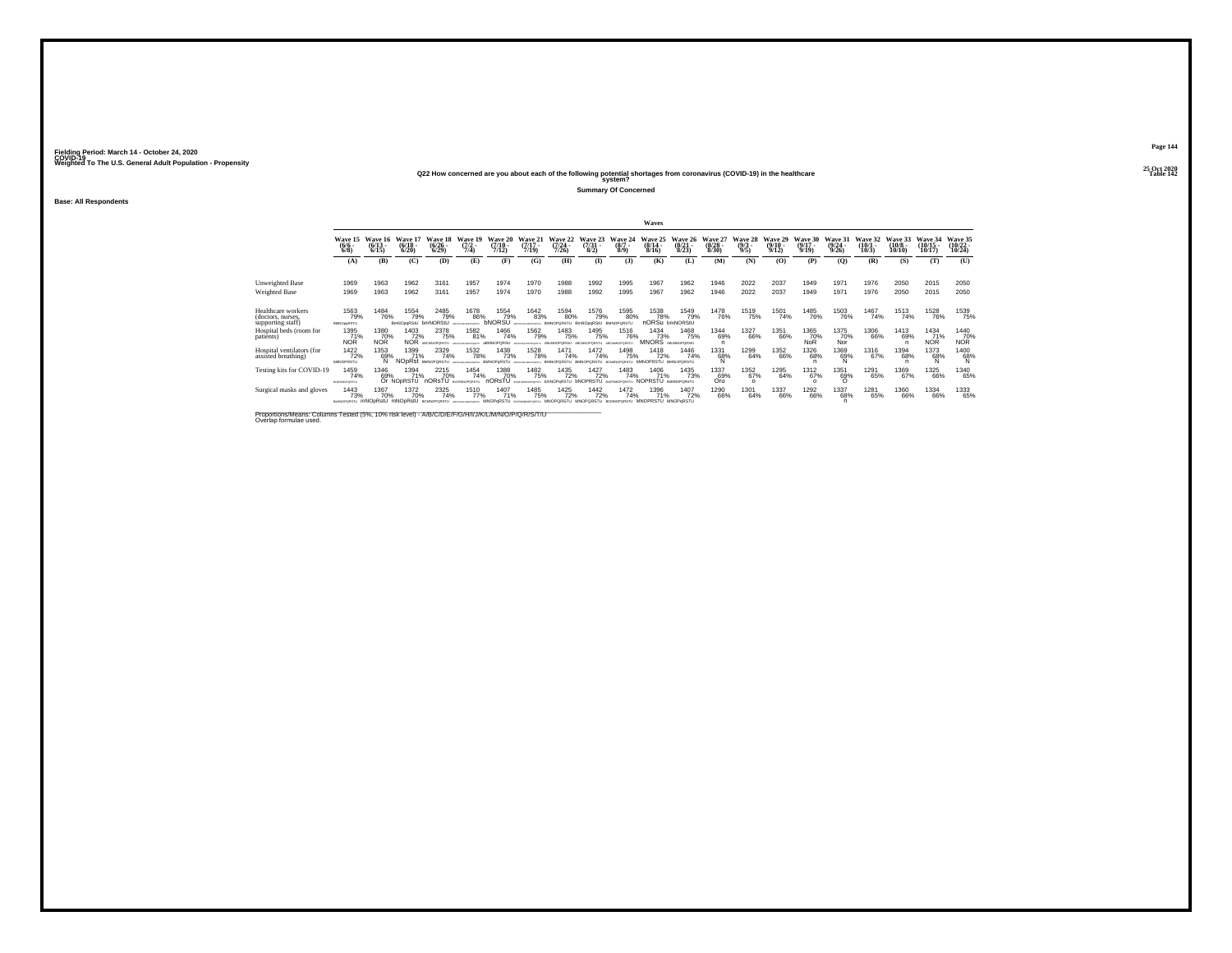## **25 Oct 2020Q22 How concerned are you about each of the following potential shortages from coronavirus (COVID-19) in the healthcare Table 142 system?**

**Summary Of Concerned**

**Base: All Respondents**

|                                                              | Waves                                  |                                  |                                       |                                        |                                              |                                                                                                                |                                   |                                      |                                 |                                  |                                   |                                    |                                  |                                |                                  |                                      |                                         |                              |                                  |                                       |                                |
|--------------------------------------------------------------|----------------------------------------|----------------------------------|---------------------------------------|----------------------------------------|----------------------------------------------|----------------------------------------------------------------------------------------------------------------|-----------------------------------|--------------------------------------|---------------------------------|----------------------------------|-----------------------------------|------------------------------------|----------------------------------|--------------------------------|----------------------------------|--------------------------------------|-----------------------------------------|------------------------------|----------------------------------|---------------------------------------|--------------------------------|
|                                                              | Wave 15<br>$\binom{6}{6/8}$            | Wave 16<br>$\frac{(6/13)}{6/15}$ | Wave 17<br>$\binom{6/18}{6/20}$       | Wave 18<br>$\frac{(6/26 - 6)}{(6/29)}$ | Wave 19<br>$\frac{(7/2)}{7/4}$               | Wave 20<br>$(7/10 -$<br>7/12                                                                                   | Wave 21<br>$\frac{(7/17)}{7/19}$  | Wave 22<br>$(7/24 -$<br>7/26         | Wave 23<br>$\frac{(7/31)}{8/2}$ | Wave 24<br>$\binom{8/7}{8/9}$    | Wave 25<br>$(8/14 -$<br>8/16      | Wave 26<br>$\frac{(8/21)}{8/23}$   | Wave 27<br>$\frac{(8/28)}{8/30}$ | Wave 28<br>$\frac{(9/3)}{9/5}$ | Wave 29<br>$\frac{(9/10)}{9/12}$ | Wave 30<br>$\frac{(9/17 - 9)}{9/19}$ | Wave 31<br>$\frac{(9/24 - 9/26)}{9/26}$ | Wave 32<br>$(10/1 -$<br>10/3 | Wave 33<br>$\binom{10/8}{10/10}$ | <b>Wave 34</b><br>$(10/15 -$<br>10/17 | Wave 35<br>$(10/22 -$<br>10/24 |
|                                                              | (A)                                    | (B)                              | (C)                                   | (D)                                    | (E)                                          | (F)                                                                                                            | (G)                               | (H)                                  | <b>(I)</b>                      | (1)                              | (K)                               | (L)                                | (M)                              | (N)                            | (0)                              | (P)                                  | (O)                                     | (R)                          | (S)                              | (T)                                   | (U)                            |
| <b>Unweighted Base</b>                                       | 1969                                   | 1963                             | 1962                                  | 3161                                   | 1957                                         | 1974                                                                                                           | 1970                              | 1988                                 | 1992                            | 1995                             | 1967                              | 1962                               | 1946                             | 2022                           | 2037                             | 1949                                 | 1971                                    | 1976                         | 2050                             | 2015                                  | 2050                           |
| Weighted Base                                                | 1969                                   | 1963                             | 1962                                  | 3161                                   | 1957                                         | 1974                                                                                                           | 1970                              | 1988                                 | 1992                            | 1995                             | 1967                              | 1962                               | 1946                             | 2022                           | 2037                             | 1949                                 | 1971                                    | 1976                         | 2050                             | 2015                                  | 2050                           |
| Healthcare workers<br>(doctors, nurses,<br>supporting staff) | 1563<br>79%<br><b>BMNOpgRSTU</b>       | <sup>1484</sup> 76%              | 1554<br>79%<br>BmNOpgRStU             | 2485<br>79%<br>bmNORStU                | 1678<br>86%                                  | 1554<br>79%<br>bNORSU                                                                                          | 1642<br>83%                       | 1594<br>80%<br>BMNOPORSTU BmNOpgRStU | 1576<br>79%                     | 1595<br>80%<br><b>BMNOPORSTL</b> | 1538<br>78%<br>nORSu bmNORStU     | 1549<br>79%                        | <sup>1478</sup> 76%              | 1519<br>75%                    | 1501<br>74%                      | <sup>1485</sup> 76%                  | <sup>1503</sup> 76%                     | 1467<br>74%                  | 1513<br>74%                      | <sup>1528</sup> 76%                   | 1539<br>75%                    |
| Hospital beds (room for<br>patients)                         | 1395<br>71%<br><b>NOR</b>              | 1380<br>70%<br>NÓR               | 1403<br>72%<br><b>NOR</b>             | 2378<br>75%<br>ABCMNODORSTLE           | 1582<br>81%                                  | 1466<br>74%<br>ABMNOPORSUL                                                                                     | 1562<br>79%                       | 1483<br>75%                          | 1495<br>75%                     | 1516<br>76%                      | 1434<br>73%<br>MNORS ABANOPORSU   | 1468<br>75%                        | 1344<br>69%<br>n                 | 1327<br>66%                    | 1351<br>66%                      | 1365<br>70%<br><b>NoR</b>            | 1375<br>70%<br>Nor                      | 1306<br>66%                  | 1413<br>69%<br>n                 | 1434<br>71%<br><b>NOR</b>             | 1440<br>70%<br>NOR             |
| Hospital ventilators (for<br>assisted breathing)             | 1422<br>72%<br><b><i>bMNOPRSTU</i></b> | 1353<br>69%                      | 1399<br>71%<br>NODRSt BMNOPORSTU      | 2329<br>74%                            | <sup>1532</sup> 78%<br>PHAMOPORTY BMNOPORSTU | 1438<br>73%                                                                                                    | 1528<br>78%<br>ARCTENDE MACHINERY | 1471<br>74%                          | 1472<br>74%                     | 1498<br>75%                      | 1418<br>72%                       | 1446<br>74%<br><b>BMNOPORSTLI</b>  | 1331<br>68%<br>N                 | 1299<br>64%                    | 1352<br>66%                      | <sup>1326</sup> 68%                  | 1369<br>69%                             | <sup>1316</sup> 67%          | <sup>1394</sup> 68%              | 1373<br>68%<br>Ñ                      | 1400<br>68%<br>N               |
| Testing kits for COVID-19                                    | 1459<br>74%<br><b>BLOFTINGFORSTU</b>   | 1346<br>69%                      | 1394<br>71%<br>Or NO <sub>PRSTU</sub> | 2215<br>70%<br>nORsTU                  | 1454<br>74%<br>B-DEMANDRED L                 | 1388<br>70%<br>nORsTU                                                                                          | 1482<br>75%<br>arrespondings to   | 1435<br>72%<br>bmNOPaRSTU bNOPRSTU   | <sup>1427</sup> 72%             | 1483<br>74%<br>B-DEMANDORSTLE    | 1406<br>71%<br>NOPRSTU            | 1435<br>73%<br><b>B-MACRORSTLE</b> | 1337<br>69%<br>Oru               | 1352<br>67%<br>$\Omega$        | 1295<br>64%                      | 1312<br>67%                          | 1351<br>69%                             | 1291<br>65%                  | 1369<br>67%                      | 1325<br>66%                           | 1340<br>65%                    |
| Surgical masks and gloves                                    | 1443<br>73%<br>BOMNOPORSTU             | 1367<br>70%                      | 1372<br>70%                           | 2325<br>74%                            | 1510<br>77%                                  | 1407<br>71%<br>mNOpRstU mNOpRstU BOMOPORSTU ARCHIVALARENTU REVENDED ESTABALISTU MNOPORSTU MNOPORSTU BOMOPORSTU | 1485<br>75%                       | 1425<br>72%                          | 1442<br>72%                     | 1472<br>74%                      | 1396<br>71%<br>MNOPRSTU MNOPoRSTU | 1407<br>72%                        | 1290<br>66%                      | 1301<br>64%                    | 1337<br>66%                      | 1292<br>66%                          | 1337<br>68%                             | 1281<br>65%                  | 1360<br>66%                      | 1334<br>66%                           | 1333<br>65%                    |

Proportions/Means: Columns Tested (5%, 10% risk level) - A/B/C/D/E/F/G/H/I/J/K/L/M/N/O/P/Q/R/S/T/U \_\_\_\_\_\_\_\_\_\_\_<br>Overlap formulae used.

**Page 144**25 Oct 2020<br>Table 142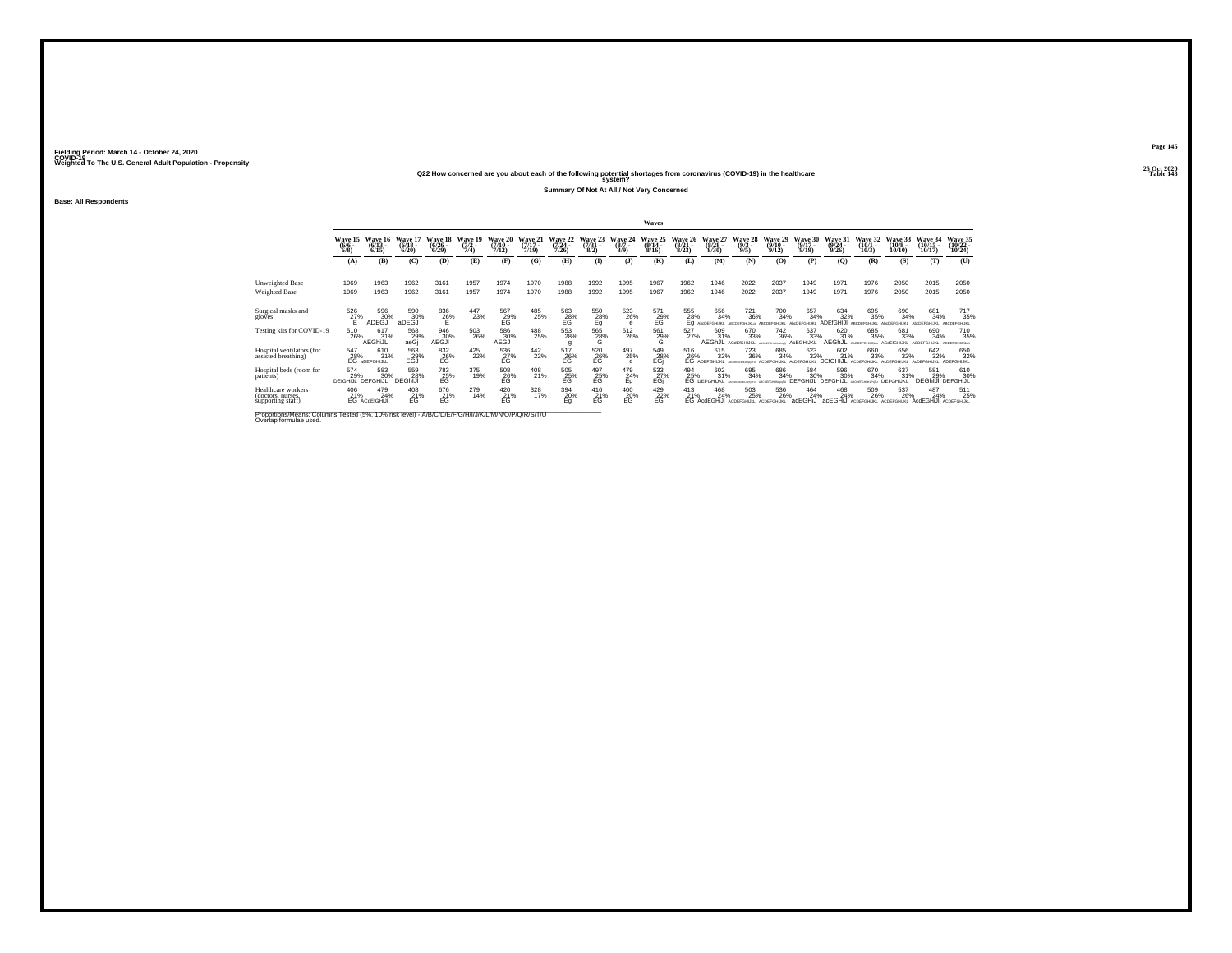## **25 Oct 2020Q22 How concerned are you about each of the following potential shortages from coronavirus (COVID-19) in the healthcare Table 143 system?**

**Summary Of Not At All / Not Very Concerned**

**Base: All Respondents**

|                                                              |                                 |                                  |                                  |                                        |                             |                                  |                              |                              |                                |                                      | <b>Waves</b>                             |                                 |                                   |                                                       |                                  |                                      |                                  |                                 |                                        |                                |                                 |
|--------------------------------------------------------------|---------------------------------|----------------------------------|----------------------------------|----------------------------------------|-----------------------------|----------------------------------|------------------------------|------------------------------|--------------------------------|--------------------------------------|------------------------------------------|---------------------------------|-----------------------------------|-------------------------------------------------------|----------------------------------|--------------------------------------|----------------------------------|---------------------------------|----------------------------------------|--------------------------------|---------------------------------|
|                                                              | Wave 15<br>$\binom{6/6}{6/8}$   | Wave 16<br>$\frac{(6/13)}{6/15}$ | Wave 17<br>$\frac{(6/18)}{6/20}$ | Wave 18<br>$\frac{(6/26 - 6)}{(6/29)}$ | Wave 19<br>$(7/2 -$<br>7/4) | Wave 20<br>$\frac{(7/10)}{7/12}$ | Wave 21<br>$(7/17 -$<br>7/19 | Wave 22<br>$(7/24 -$<br>7/26 | Wave 23<br>$\binom{7/31}{8/2}$ | Wave 24<br>$(8/7 -$<br>$8/9$ )       | Wave 25<br>$\frac{(8/14 \cdot 8)}{8/16}$ | Wave 26<br>$\binom{8/21}{8/23}$ | Wave 27<br>$\frac{(8/28)}{8/30}$  | Wave 28<br>$\frac{(9/3)}{9/5}$                        | Wave 29<br>$\frac{(9/10)}{9/12}$ | Wave 30<br>$\frac{(9/17 - 9)}{9/19}$ | Wave 31<br>$\frac{(9/24)}{9/26}$ | Wave 32<br>$\binom{10/1}{10/3}$ | Wave 33<br>$\frac{(10/8 - 10)}{10/10}$ | Wave 34<br>$(10/15 -$<br>10/17 | Wave 35<br>$(10/22 -$<br>10/24  |
|                                                              | (A)                             | (B)                              | (C)                              | (D)                                    | (E)                         | (F)                              | (G)                          | (H)                          | <b>D</b>                       | $\mathbf{J}$                         | (K)                                      | (L)                             | (M)                               | (N)                                                   | (0)                              | (P)                                  | (0)                              | (R)                             | (S)                                    | (T)                            | (U)                             |
| Unweighted Base<br>Weighted Base                             | 1969<br>1969                    | 1963<br>1963                     | 1962<br>1962                     | 3161<br>3161                           | 1957<br>1957                | 1974<br>1974                     | 1970<br>1970                 | 1988<br>1988                 | 1992<br>1992                   | 1995<br>1995                         | 1967<br>1967                             | 1962<br>1962                    | 1946<br>1946                      | 2022<br>2022                                          | 2037<br>2037                     | 1949<br>1949                         | 1971<br>1971                     | 1976<br>1976                    | 2050<br>2050                           | 2015<br>2015                   | 2050<br>2050                    |
| Surgical masks and<br>gloves                                 | $^{526}_{27\%}$                 | 596<br>30%<br>ADEĞĴ              | 590<br>30%<br>aDEĞĴ              | 836<br>26%                             | 447<br>23%                  | 567<br>29%<br>EG                 | 485<br>25%                   | $^{563}_{28\%}$              | $^{550}_{28\%}$                | 523<br>26%                           | 571<br>$^{29}_{\text{EG}}$               | 555<br>28%<br>Eα                | 656<br>34%                        | <sup>721</sup> <sub>36%</sub><br><b>ARCOFFOHLICLA</b> | 700<br>34%                       | 657<br>34%                           | 634<br>32%<br><b>ADFf</b>        | 695<br>35%                      | 690<br>34%                             | 681<br>34%                     | 717<br>35%                      |
| Testing kits for COVID-19                                    | 510<br>26%                      | 617<br>31%<br>AEGhiJL            | 568<br>29%<br>aeGj               | 946<br>30%<br>AEGJI                    | 503<br>26%                  | 586<br>30%<br>AEĞĴ               | 488<br>25%                   | 553<br>28%                   | 565<br>$\frac{28}{6}$          | 512<br>26%                           | 561<br>29%<br>G                          | 527<br>27%                      | 609<br>31%<br>AEGhJL              | 670<br>33%<br><b>ACdEfGHIJKL</b>                      | 742<br>36%                       | 637<br>33%<br>AcEGHI,                | 620<br>31%<br>AEGh               | 685<br>35%                      | 681<br>33%<br><b>ACdEfGHIJKL</b>       | 690<br>34%                     | 710<br>35%                      |
| Hospital ventilators (for<br>assisted breathing)             | 547<br>28%                      | 610<br>31%<br>EG aDEFGHIJKL      | 563<br>29%<br><b>EGJ</b>         | 832<br>26%<br>EG                       | 425<br>22%                  | 536<br>27%<br>EG                 | $^{442}_{22\%}$              | 517<br>26%<br>EG             | 520<br>26%<br>EG               | 497<br>25%<br>$\circ$                | 549<br>28%<br>EGi                        | 516<br>26%                      | 615<br>32%<br><b>EG ADEFGHUKL</b> | $^{723}_{36\%}$                                       | 685<br>34%                       | 623<br>32%<br>AcDEFGH                | 602<br>31%<br><b>DEfGHIJL</b>    | 660<br>33%                      | 656<br>32%                             | 642<br>32%                     | 650<br>32%<br>ADEFGHIJKL        |
| Hospital beds (room for<br>patients)                         | 574<br>29%<br>DEfGHIJL DEFGHIJL | 583<br>30%                       | 559<br>28%<br><b>DEGhiJI</b>     | $^{783}_{25\%}$                        | 375<br>19%                  | $^{508}_{26\%}$                  | 408<br>21%                   | $^{505}_{\rm -E6}$           | $^{497}_{25\%}$                | 479<br>24%<br>Eq                     | 533<br>-27%<br>EGj                       | 494<br>25%                      | 602<br>31%<br>EG DEFGHIJKL        | 695<br>34%                                            | 686<br>34%                       | 584<br>30%<br><b>DEFGHIJL</b>        | 596<br>30%<br>DEFGHIJL           | 670<br>34%                      | 637<br>31%<br>DEFGHIJKL                | 581<br>29%<br><b>DEGhiJI</b>   | 610<br>30%<br><b>DEFGHIJL</b>   |
| Healthcare workers<br>(doctors, nurses,<br>supporting staff) | 406<br>21%                      | 479<br>24%<br>EG ACdEfGHIJI      | 408<br>E <sup>21%</sup>          | 676<br>E <sup>21%</sup>                | 279<br>14%                  | 420<br>$21%$<br>EG               | 328<br>17%                   | 394<br>$E_{g}^{20\%}$        | 416<br>E <sup>21%</sup>        | 400<br>E <sub>G</sub> <sup>20%</sup> | 429<br>E <sup>22%</sup>                  | 413<br>21%                      | 468<br>24%<br>EG AcdEGHiJI        | 503<br>25%                                            | 536<br>26%<br>ACDEFGHLIKI        | 464<br>24%<br>acEGHiJ                | 468<br>24%<br>acEGHIJ            | 509<br>26%                      | 537<br>26%                             | 487<br>24%<br>AcdEGHiJI        | 511<br>25%<br><b>ACDEFGHLIM</b> |

Proportions/Means: Columns Tested (5%, 10% risk level) - A/B/C/D/E/F/G/H/I/J/K/L/M/N/O/P/Q/R/S/T/U Overlap formulae used.<br>Overlap formulae used.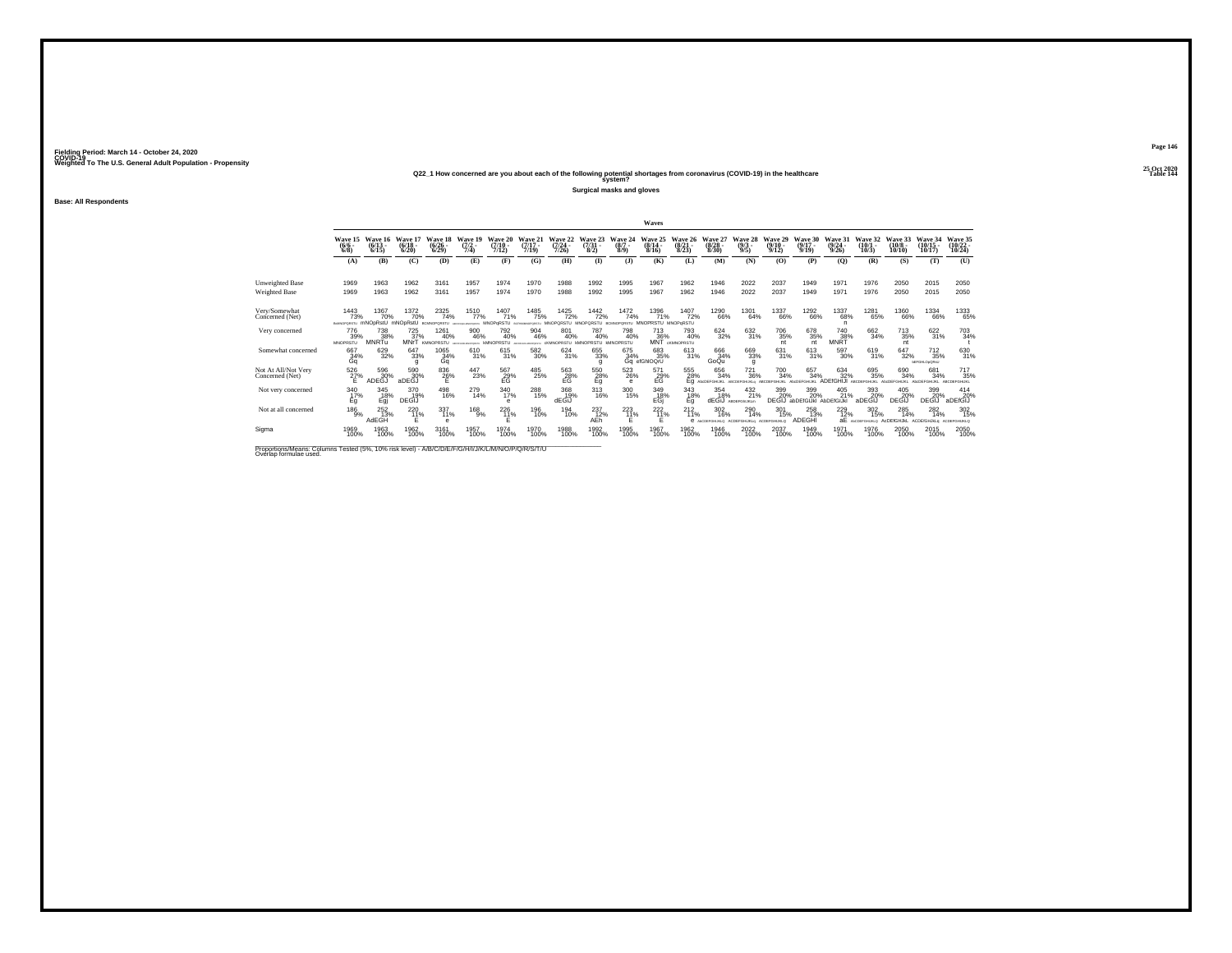## **25 Oct 2020Q22\_1 How concerned are you about each of the following potential shortages from coronavirus (COVID-19) in the healthcare Table 144 system?**

**Surgical masks and gloves**

**Base: All Respondents**

|                                                    |                                |                              |                                  |                                        |                                                     |                                      |                                                 |                                         |                                                           |                                   | Waves                                    |                                  |                                 |                                                 |                                         |                                                  |                                  |                                  |                                       |                                                      |                                   |
|----------------------------------------------------|--------------------------------|------------------------------|----------------------------------|----------------------------------------|-----------------------------------------------------|--------------------------------------|-------------------------------------------------|-----------------------------------------|-----------------------------------------------------------|-----------------------------------|------------------------------------------|----------------------------------|---------------------------------|-------------------------------------------------|-----------------------------------------|--------------------------------------------------|----------------------------------|----------------------------------|---------------------------------------|------------------------------------------------------|-----------------------------------|
|                                                    | Wave 15<br>$\frac{(6/6)}{6/8}$ | Wave 16<br>$(6/13 -$<br>6/15 | Wave 17<br>$\frac{(6/18)}{6/20}$ | Wave 18<br>$\frac{(6/26 - 6)}{(6/29)}$ | Wave 19<br>$\frac{(7/2)}{7/4}$                      | Wave 20<br>$\frac{(7/10 - 7)}{7/12}$ | Wave 21<br>$\frac{(7/17)}{7/19}$                | Wave 22<br>$(7/24 -$<br>7/26            | Wave 23<br>$\frac{(7/31)}{8/2}$                           | Wave<br>$\frac{(8/7 - 8)}{(8/9)}$ | Wave 25<br>$\frac{(8/14 \cdot 8)}{8/16}$ | Wave 26<br>$\frac{(8/21)}{8/23}$ | Wave 27<br>$\binom{8/28}{8/30}$ | Wave 28<br>$\frac{(9/3)}{9/5}$                  | Wave 29<br>$\frac{(9/10)}{9/12}$        | Wave 30<br>$\frac{(9/17)}{9/19}$                 | Wave 31<br>$\frac{(9/24)}{9/26}$ | Wave 32<br>$\binom{10/1}{10/3}$  | Wave 33<br>$\binom{10/8 - 10}{10/10}$ | Wave 34<br>$(10/15 -$<br>10/17                       | Wave 35<br>$\binom{10/22}{10/24}$ |
|                                                    | (A)                            | (B)                          | (C)                              | (D)                                    | (E)                                                 | (F)                                  | (G)                                             | (H)                                     | $($ I)                                                    | (1)                               | (K)                                      | (L)                              | (M)                             | (N)                                             | (0)                                     | (P)                                              | (Q)                              | (R)                              | (S)                                   | (T)                                                  | (U)                               |
| <b>Unweighted Base</b>                             | 1969                           | 1963                         | 1962                             | 3161                                   | 1957                                                | 1974                                 | 1970                                            | 1988                                    | 1992                                                      | 1995                              | 1967                                     | 1962                             | 1946                            | 2022                                            | 2037                                    | 1949                                             | 1971                             | 1976                             | 2050                                  | 2015                                                 | 2050                              |
| Weighted Base                                      | 1969                           | 1963                         | 1962                             | 3161                                   | 1957                                                | 1974                                 | 1970                                            | 1988                                    | 1992                                                      | 1995                              | 1967                                     | 1962                             | 1946                            | 2022                                            | 2037                                    | 1949                                             | 1971                             | 1976                             | 2050                                  | 2015                                                 | 2050                              |
| Very/Somewhat<br>Concerned (Net)                   | 1443<br>73%<br>BOMNOPORSTU     | 1367<br>70%<br>mNOpRstU      | 1372<br>70%<br>mNOpRstU          | 2325<br>74%<br>ROMADDORSTL             | 1510<br>77%<br><b>INTERNATIONAL SUBSIDIARY ARTS</b> | 1407<br>71%<br>MNOPGRSTU             | <sup>1485</sup> 75%<br><b>ACCUMULATIONSTILL</b> | <sup>1425</sup> 72%<br><b>MNOPORSTU</b> | 1442<br>72%<br><b>MNOPORSTLI</b>                          | 1472<br>74%                       | 1396<br>71%<br>MNOPRSTU MNOPoRSTU        | 1407<br>72%                      | <sup>1290</sup> 66%             | 1301<br>64%                                     | 1337<br>66%                             | <sup>1292</sup> 66%                              | 1337<br>68%<br>n                 | 1281<br>65%                      | 1360<br>66%                           | <sup>1334</sup> 66%                                  | 1333<br>65%                       |
| Very concerned                                     | 776<br>39%<br><b>MNOPRSTU</b>  | 738<br>38%<br>MNRTu          | 725<br>37%                       | 1261<br>40%<br><b>MNrT</b> KMNOPRSTU   | 900<br>46%                                          | 792<br>40%<br><b>KINOPRSTU</b>       | 904<br>46%<br>MACPORETY                         | 801<br>40%<br>cKMNOPRSTU kMNOPRSTU      | 787<br>40%                                                | 798<br>40%<br><b>KMNOPRSTU</b>    | 713<br>36%<br>MÑŤ                        | 793<br>40%<br><b>CKMNOPRSTU</b>  | 624<br>32%                      | 632<br>31%                                      | 706<br>35%<br>nt                        | 678<br>35%<br>nt                                 | 740<br>38%<br>MNRT               | 662<br>34%                       | 713<br>35%<br>nt                      | 622<br>31%                                           | 703<br>34%                        |
| Somewhat concerned                                 | 667<br>34%<br>Gq               | 629<br>32%                   | 647<br>33%<br>q                  | 1065<br>34%<br>Gq                      | 610<br>31%                                          | 615<br>31%                           | 582<br>30%                                      | 624 31%                                 | 655<br>33%                                                | 675<br>34%                        | 683<br>35%<br>Gq efGhlOQrU               | $^{613}_{31\%}$                  | 666<br>34%<br>GoQu              | 669<br>33%<br>q                                 | 631<br>31%                              | $613 \over 31\%$                                 | 597<br>30%                       | 619<br>31%                       | 647<br>32%                            | $^{712}_{35\%}$<br><b><i><u>BEFGHLOBORNU</u></i></b> | 630<br>31%                        |
| Not At All/Not Very<br>Concerned (Net)             | 526<br>$\frac{27}{5}$          | 596<br>ADEGJ                 | 590<br>30%<br>aDEĞĴ              | $^{836}_{\  \, 26\%}$                  | 447<br>23%                                          | 567<br>29%<br>EG                     | 485<br>25%                                      | $^{563}_{\rm -28\%}$                    | $^{550}_{\  \  \, \substack{28 \\ \  \  \, \mathrm{Eq}}}$ | $^{523}_{26\%}$<br>е              | 571<br>E <sub>G</sub> <sup>29%</sup>     | 555<br>28%                       | 656<br>34%<br>Eq AbcDEFGHUKL    | <sup>721</sup> <sub>36%</sub><br><b>GHLBO</b> m | 700<br>34%<br><b><i>LRCDEEGHLIG</i></b> | 657<br>34%<br>AMDER                              | 634<br>32%<br>ADFfGHI.II         | 695 35%<br><b>DELBRI</b>         | 690<br>34%<br><b>ANDEEGHLIKI</b>      | 681<br>34%<br>CDEFGHUKL                              | 717<br>35%<br><b>ABCDEFGHUKL</b>  |
| Not very concerned                                 | 340<br>17%<br>Eg               | 345<br>18%<br>Egj            | 370<br>19%<br>DEGIJ              | 498<br>16%                             | 279<br>14%                                          | 340<br>17%<br>е                      | 288<br>15%                                      | 368<br>19%<br>dEGiJ                     | 313<br>16%                                                | 300<br>15%                        | 349<br>E <sub>Gj</sub>                   | 343<br>18%<br>Eg                 | 354<br>18%<br>dEGiJ             | 432<br>21%<br>ARDEFON IKL W                     | 399<br>20%                              | 399<br>20%<br><b>DEGIJ</b> abDEfGIJkI AbDEfGIJkI | 405<br>21%                       | 393<br>20%<br>aDEGIJ             | 405<br>20%<br>DEGIJ                   | 399<br>20%<br><b>DEGIJ</b>                           | 414<br>20%<br>aDEfGIJ             |
| Not at all concerned                               | $^{186}_{-9\%}$                | $^{252}_{13\%}$<br>AdEGH     | 220<br>11%<br>Ε                  | 337<br>11%<br>e                        | $^{168}_{9%}$                                       | $^{226}_{11\%}$                      | 196<br>10%                                      | 194<br>10%                              | 237<br>12%<br>AEh                                         | 223                               | $^{222}_{11\%}$<br>Ε                     | $^{212}_{11\%}$<br>e             | 302<br>16%<br>ANCORPORIUGO      | 290<br>14%<br>ACDEFGHUKLO                       | 301<br>15%<br><b>ACDEFOHLIKLO</b>       | 258<br>13%<br>ADEGHI                             | $^{229}_{12\%}$<br>aЕ            | $\frac{302}{15\%}$<br>COEFGHUKLO | 285<br>14%<br>AdDEfGHJkL              | $^{282}_{14\%}$<br><b>ACDEIGHJkLg</b>                | 302<br>15%<br>ACDEFOHUKLO         |
| Sigma                                              | 1969<br>100%                   | 1963<br>100%                 | 1962<br>100%                     | 3161<br>100%                           | 1957<br>100%                                        | 1974<br>100%                         | 1970<br>100%                                    | 1988<br>100%                            | 1992<br>100%                                              | 1995<br>100%                      | 1967<br>100%                             | 1962<br>100%                     | 1946<br>100%                    | 2022<br>100%                                    | 2037<br>100%                            | 1949<br>100%                                     | 1971<br>100%                     | 1976<br>100%                     | 2050<br>100%                          | 2015<br>100%                                         | 2050<br>100%                      |
| Department from Column Tested UNI 1001 deliberally |                                |                              |                                  | $\overline{N}$                         |                                                     |                                      |                                                 |                                         |                                                           |                                   |                                          |                                  |                                 |                                                 |                                         |                                                  |                                  |                                  |                                       |                                                      |                                   |

Proportions/Means: Columns Tested (5%, 10% risk level) - A/B/C/D/E/F/G/H/I/J/K/L/M/N/O/P/Q/R/S/T/U Overlap formulae used.<br>Overlap formulae used.

**Page 146**25 Oct 2020<br>Table 144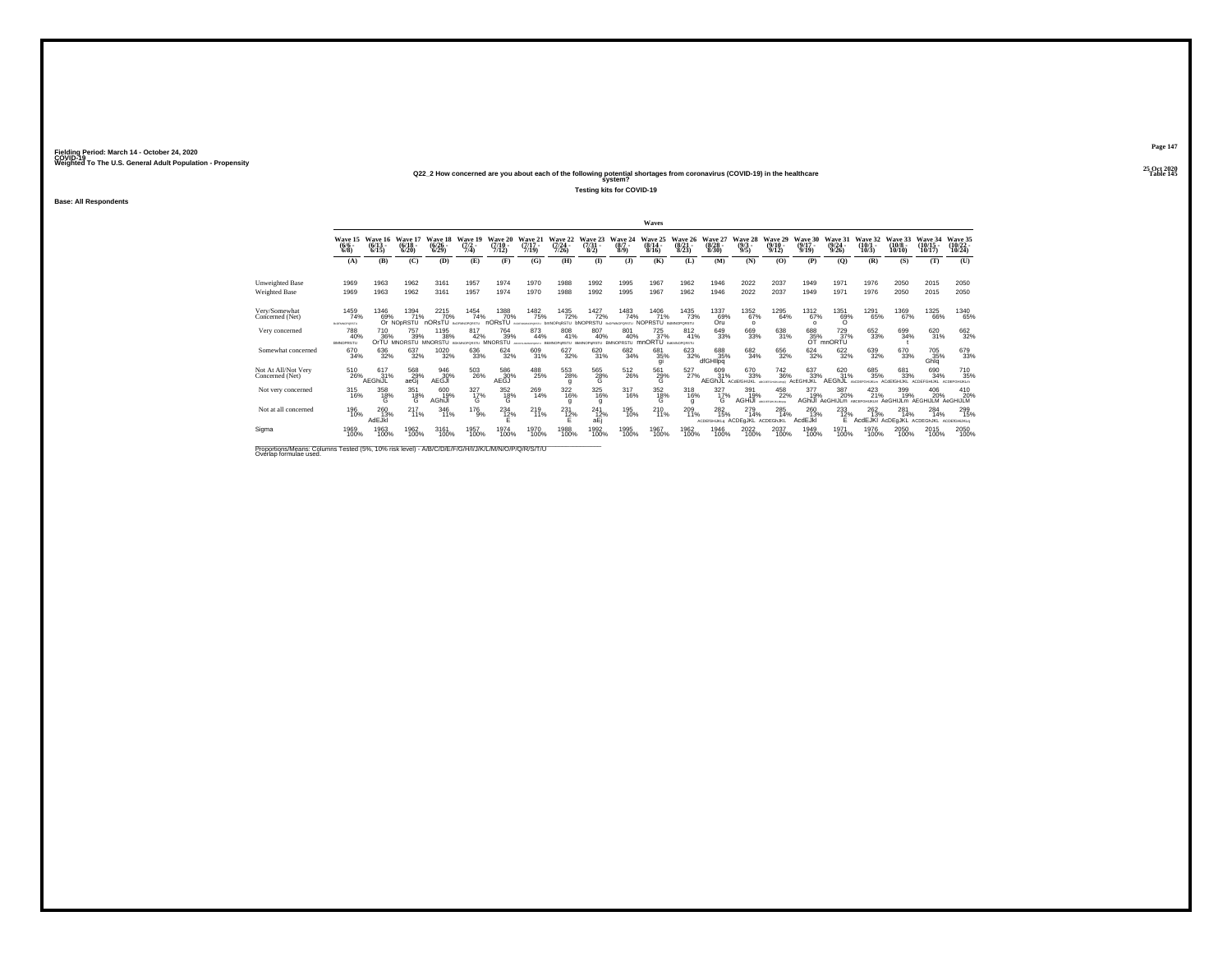## **25 Oct 2020Q22\_2 How concerned are you about each of the following potential shortages from coronavirus (COVID-19) in the healthcare Table 145 system?**

**Testing kits for COVID-19**

**Base: All Respondents**

|                                         |                                |                              |                                        |                               |                                   |                               |                                             |                                                                 |                                  |                                 | Waves                                    |                                  |                                  |                                  |                                        |                              |                                           |                               |                                 |                                |                                |
|-----------------------------------------|--------------------------------|------------------------------|----------------------------------------|-------------------------------|-----------------------------------|-------------------------------|---------------------------------------------|-----------------------------------------------------------------|----------------------------------|---------------------------------|------------------------------------------|----------------------------------|----------------------------------|----------------------------------|----------------------------------------|------------------------------|-------------------------------------------|-------------------------------|---------------------------------|--------------------------------|--------------------------------|
|                                         | Wave 15<br>$\frac{(6/6)}{6/8}$ | Wave 16<br>$(6/13 -$<br>6/15 | Wave 17<br>$(6/18 -$<br>6/20           | Wave 18<br>$(6/26 -$<br>6/29  | Wave 19<br>$\frac{(7/2)}{7/4}$    | Wave 20<br>$(7/10 -$<br>7/12) | Wave 21<br>$(7/17 -$<br>7/19                | Wave 22<br>$(7/24 -$<br>7/26                                    | Wave 23<br>$(7/31 -$<br>8/2)     | Wave 24<br>$(8/7 -$<br>8/9      | Wave 25<br>$\frac{(8/14 \cdot 8)}{8/16}$ | Wave 26<br>$\frac{(8/21)}{8/23}$ | Wave 27<br>$\binom{8/28}{8/30}$  | Wave 28<br>$\frac{(9/3)}{9/5}$   | Wave 29<br>$(9/10 -$<br>9/12           | Wave 30<br>$(9/17 -$<br>9/19 | Wave 31<br>$(9/24 -$<br>9/26              | Wave 32<br>$(10/1 -$<br>10/3) | Wave 33<br>$(10/8 -$<br>10/10   | Wave 34<br>$(10/15 -$<br>10/17 | Wave 35<br>$(10/22 -$<br>10/24 |
|                                         | (A)                            | (B)                          | (C)                                    | (D)                           | (E)                               | (F)                           | (G)                                         | (H)                                                             | $\mathbf{I}$                     | (3)                             | (K)                                      | (L)                              | (M)                              | (N)                              | (O)                                    | (P)                          | (0)                                       | (R)                           | (S)                             | (T)                            | (U)                            |
| <b>Unweighted Base</b><br>Weighted Base | 1969<br>1969                   | 1963<br>1963                 | 1962<br>1962                           | 3161<br>3161                  | 1957<br>1957                      | 1974<br>1974                  | 1970<br>1970                                | 1988<br>1988                                                    | 1992<br>1992                     | 1995<br>1995                    | 1967<br>1967                             | 1962<br>1962                     | 1946<br>1946                     | 2022<br>2022                     | 2037<br>2037                           | 1949<br>1949                 | 1971<br>1971                              | 1976<br>1976                  | 2050<br>2050                    | 2015<br>2015                   | 2050<br>2050                   |
| Verv/Somewhat<br>Concerned (Net)        | 1459<br>74%<br>ELDFMNOPORSTU   | 1346<br>69%                  | 1394<br>71%<br>Or NO <sub>P</sub> RSTU | $^{22}^{15}_{70\%}$<br>nORsTU | 1454<br>74%<br>BIOFMNOPORSTU      | 1388<br>70%                   | <sup>1482</sup> 75%                         | <sup>1435</sup> 72%<br>nORSTU aconomorpismu bmNOPqRSTU bNOPRSTU | 1427<br>72%                      | 1483<br>74%<br>BcDFMNOPORSTU    | 1406<br>71%<br>NOPRSTU BANNOPORSTU       | <sup>1435</sup> 73%              | 1337<br>_69%<br>Oru              | 1352<br>67%<br>$\Omega$          | 1295<br>64%                            | $^{1312}_{67\%}$<br>$\Omega$ | 1351<br>69%<br>$\Omega$                   | 1291<br>65%                   | 1369<br>67%                     | 1325<br>66%                    | 1340<br>65%                    |
| Very concerned                          | 788<br>40%<br><b>BMNOPRSTU</b> | 710<br>36%                   | 757<br>39%<br>OrTU MNORSTU MNORSTU     | 1195<br>38%                   | 817<br>42%<br><b>BOOMGOODSTIL</b> | 764<br>39%<br><b>MNORSTU</b>  | 873<br>44%<br>TRUNNING THE REMAINING RETTLE | 808<br>41%                                                      | 807<br>40%<br><b>BMMOPvRSTLL</b> | 801<br>40%<br><b>BMNOPRSTLL</b> | 725<br>37%<br>mnORTU BakANOPORSTU        | 812<br>41%                       | 649<br>33%                       | 669<br>33%                       | 638<br>31%                             | 688<br>$\frac{35}{9}$        | 729<br>37%<br>mnORTU                      | 652<br>33%                    | 699<br>34%                      | 620<br>31%                     | 662<br>32%                     |
| Somewhat concerned                      | 670<br>34%                     | 636<br>32%                   | 637<br>32%                             | 1020<br>32%                   | 636<br>33%                        | $624 \over 32\%$              | 609<br>31%                                  | 627<br>32%                                                      | 620<br>31%                       | 682<br>34%                      | 681<br>35%<br>qı                         | 623<br>32%                       | 688<br>35%<br>dfGHIIpq           | 682<br>34%                       | 656<br>32%                             | $\substack{624 \\ 32\%}$     | 622%                                      | 639<br>32%                    | 670<br>33%                      | 705<br>35%<br>Ghlq             | 679<br>33%                     |
| Not At All/Not Very<br>Concerned (Net)  | 510<br>26%                     | 617<br>31%<br>AEGhiJL        | 568<br>29%<br>aeGj                     | 946<br>30%<br>AEGJI           | 503<br>26%                        | 586<br>30%<br>AEĞĴ            | 488<br>25%                                  | 553<br>28%                                                      | 565<br>28%<br>G                  | $^{512}_{26\%}$                 | $^{561}_{29\%}$                          | 527%                             | 609<br>31%<br><b>AEGhJL</b>      | 670<br>33%<br><b>ACdEfGHIJKL</b> | $\substack{742\\36\%}$<br>Chant Fall & | 637<br>33%<br>ACEGHIJKL      | 620<br>31%<br>AFGh.II                     | 685<br>35%<br><b>DE BOLM</b>  | 681<br>33%<br><b>ACHEKSHUKI</b> | 690<br>34%<br>ACREEGHUKI       | 710<br>35%                     |
| Not very concerned                      | 315<br>16%                     | 358<br>18%<br>G              | 351<br>$^{18\%}_{\text{G}}$            | 600<br>19%<br>AGhiJI          | 327<br>17%<br>G                   | 352<br>$^{18\%}_{\text{G}}$   | 269<br>14%                                  | 322<br>16%                                                      | 325<br>16%<br>g                  | 317<br>16%                      | 352<br>$^{18\%}_{G}$                     | 318<br>16%                       | 327<br>17%<br>G                  | 391<br>19%<br>AGHiJI             | 458<br>22%<br>ARCOSFORD/GAMING         | 377<br>19%                   | 387<br>20%<br>AGhiJI AeGHIJLm ABCEFGHUKLM | 423<br>21%                    | 399<br>19%<br>AeGHIJLm          | 406<br>20%<br>AEGHIJLM         | 410<br>20%<br>AeGHIJLM         |
| Not at all concerned                    | 196<br>10%                     | 260 13%<br>AdEJkI            | $^{217}_{11\%}$                        | 346<br>11%                    | $^{176}_{9\%}$                    | $^{234}_{12\%}$               | $^{219}_{11\%}$                             | $^{231}_{12\%}$                                                 | $^{241}_{12\%}$<br>aEj           | 195<br>10%                      | $^{210}_{11\%}$                          | 209<br>11%                       | 282<br>15%<br><b>ACDEIGHJKLO</b> | 279<br>14%<br>ACDEGJKL           | 285<br>14%<br><b>ACDEGINKL</b>         | 260<br>13%<br>AcdEJkl        | $^{233}_{12\%}$<br>F                      | 262 13%<br>AcdEJKI AcDEgJKL   | 281<br>14%                      | 284<br>14%<br>ACDEGIUKL        | 299<br>15%<br>ACDEIGHLIKLQ     |
| Sigma                                   | 1969<br>100%                   | 1963<br>100%                 | 1962<br>100%                           | 3161<br>100%                  | 1957<br>100%                      | 1974<br>100%                  | 1970<br>100%                                | 1988<br>100%                                                    | 1992<br>100%                     | 1995<br>100%                    | 1967<br>100%                             | 1962<br>100%                     | 1946<br>100%                     | 2022<br>100%                     | 2037<br>100%                           | 1949<br>100%                 | 1971<br>100%                              | 1976<br>100%                  | 2050<br>100%                    | 2015<br>100%                   | 2050<br>100%                   |
| Desarting Africa: Orlinese Trated IPAI  |                                |                              | $ADM = LLL$                            | $A \cup B$                    |                                   |                               |                                             |                                                                 |                                  |                                 |                                          |                                  |                                  |                                  |                                        |                              |                                           |                               |                                 |                                |                                |

Proportions/Means: Columns Tested (5%, 10% risk level) - A/B/C/D/E/F/G/H/I/J/K/L/M/N/O/P/Q/R/S/T/U Overlap formulae used.<br>Overlap formulae used.

**Page 147**25 Oct 2020<br>Table 145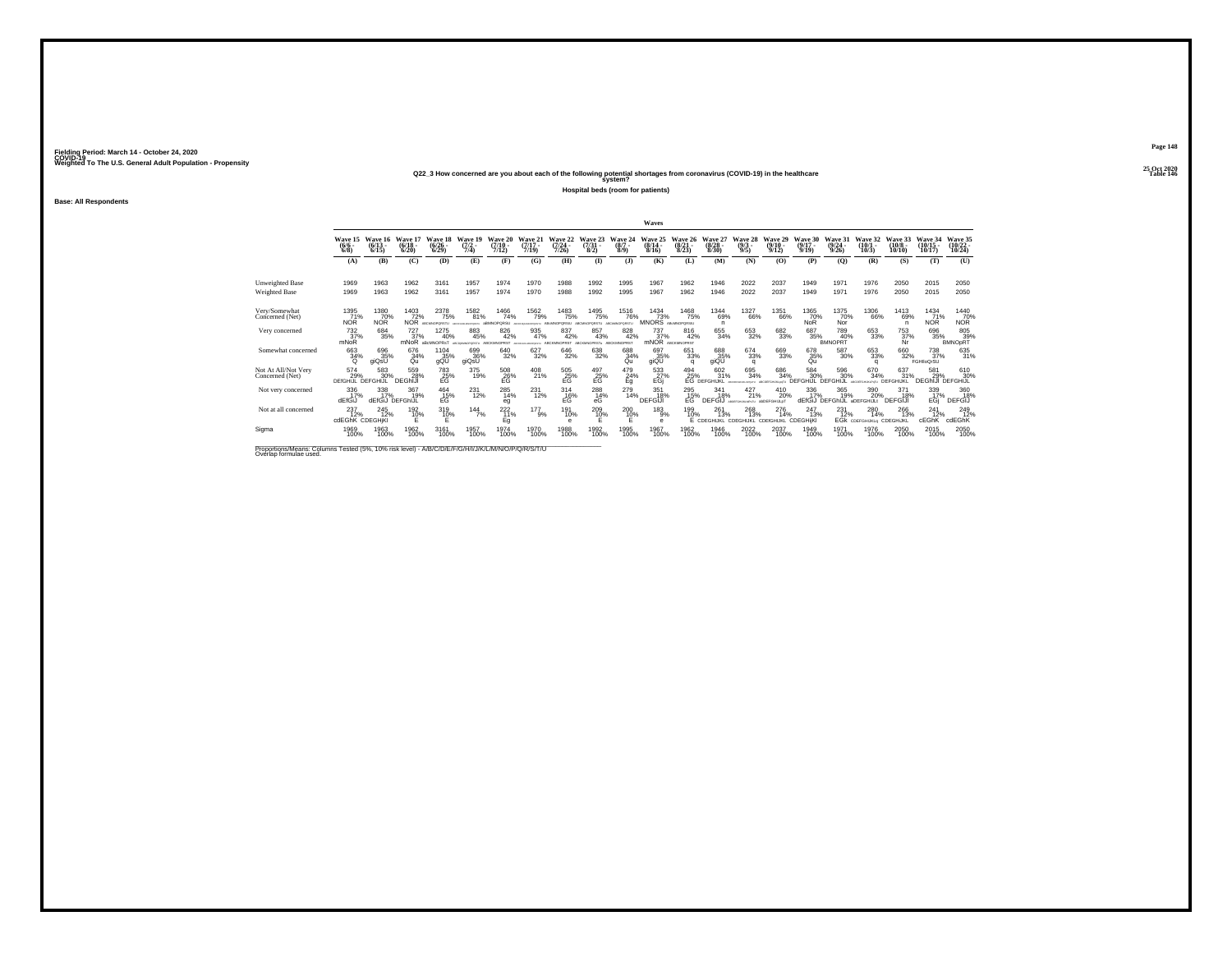## **25 Oct 2020Q22\_3 How concerned are you about each of the following potential shortages from coronavirus (COVID-19) in the healthcare Table 146 system?**

**Hospital beds (room for patients)**

**Base: All Respondents**

|                                        |                               |                               |                                   |                                      |                                 |                                     |                                                  |                                      |                                      |                                     | Waves                                   |                                      |                                                 |                                |                                  |                               |                                 |                                              |                                |                                             |                                    |
|----------------------------------------|-------------------------------|-------------------------------|-----------------------------------|--------------------------------------|---------------------------------|-------------------------------------|--------------------------------------------------|--------------------------------------|--------------------------------------|-------------------------------------|-----------------------------------------|--------------------------------------|-------------------------------------------------|--------------------------------|----------------------------------|-------------------------------|---------------------------------|----------------------------------------------|--------------------------------|---------------------------------------------|------------------------------------|
|                                        | Wave 15<br>$(6/6 -$<br>6/8    | Wave 16<br>$(6/13 -$<br>6/15  | Wave 17<br>$(6/18 -$<br>6/20      | Wave 18<br>$(6/26 -$<br>6/29         | Wave 19<br>$\frac{(7/2)}{7/4}$  | <b>Wave 20</b><br>$(7/10 -$<br>7/12 | Wave 21<br>$(7/17 -$<br>7/19                     | <b>Wave 22</b><br>$(7/24 -$<br>7/26  | Wave 23<br>$\binom{7/31}{8/2}$       | Wave<br>$(8/7 -$<br>8/9             | $(8/14 -$<br>8/16                       | Wave 26<br>$\frac{(8/21)}{8/23}$     | Wave 27<br>$\binom{8/28}{8/30}$                 | Wave 28<br>$\frac{(9/3)}{9/5}$ | Wave 29<br>$\frac{(9/10)}{9/12}$ | Wave:<br>$(9/17 -$<br>9/19    | Wave 3<br>$\frac{(9/24)}{9/26}$ | Wave 32<br>$(10/1 -$<br>10/3                 | Wave 33<br>$(10/8 -$<br>10/10  | Wave 34<br>$(10/15 -$<br>10/17              | Wave 35<br>$\frac{(10/22)}{10/24}$ |
|                                        | (A)                           | (B)                           | (C)                               | (D)                                  | (E)                             | (F)                                 | (G)                                              | (H)                                  | <b>(I)</b>                           | $\mathbf{J}$                        | (K)                                     | (L)                                  | (M)                                             | (N)                            | (0)                              | (P)                           | (O)                             | (R)                                          | (S)                            | (T)                                         | (U)                                |
| Unweighted Base<br>Weighted Base       | 1969<br>1969                  | 1963<br>1963                  | 1962<br>1962                      | 3161<br>3161                         | 1957<br>1957                    | 1974<br>1974                        | 1970<br>1970                                     | 1988<br>1988                         | 1992<br>1992                         | 1995<br>1995                        | 1967<br>1967                            | 1962<br>1962                         | 1946<br>1946                                    | 2022<br>2022                   | 2037<br>2037                     | 1949<br>1949                  | 1971<br>1971                    | 1976<br>1976                                 | 2050<br>2050                   | 2015<br>2015                                | 2050<br>2050                       |
| Very/Somewhat<br>Concerned (Net)       | 1395<br>71%<br><b>NOR</b>     | 1380<br>70%<br><b>NOR</b>     | $\frac{1403}{72\%}$<br><b>NOR</b> | 2378<br>75%<br>ARCMANDODED           | 1582<br>81%<br><b>UNIOFORES</b> | 1466<br>74%<br><b>INOPORSU</b>      | 1562<br>79%<br><b>MONTHS</b>                     | <sup>1483</sup> 75%<br>PORSU         | 1495<br>75%<br>PORSTU                | 1516<br>76%<br><b>ADCMMODOGSTLL</b> | $\frac{1434}{73\%}$<br>MNORS ABANOPORSU | <sup>1468</sup> 75%                  | 1344<br>69%<br>n                                | 1327<br>66%                    | <sup>1351</sup> 66%              | 1365<br>70%<br><b>NoR</b>     | 1375<br>70%<br>Nor              | 1306<br>66%                                  | 1413<br>69%<br>-n              | 1434<br>71%<br><b>NOR</b>                   | 1440<br>70%<br>NOR                 |
| Very concerned                         | 732<br>37%<br>mNoR            | 684<br>35%                    | $\frac{727}{37\%}$<br>mNoR        | 1275<br>40%<br>aBcMNOPRsT            | 883<br>45%                      | 826<br>42%<br>ARCKMAOPRRT           | 935<br>47%<br><b><i>ANTIQUE MEMBERSHIPS:</i></b> | 837<br>42%<br>ARCKMNOPRST            | 857<br>43%<br>ARCKMACORES            | 828<br>42%<br>ARCKMADRRST           | 737<br>37%<br>mNOR ABCKMOPRST           | 816<br>42%                           | 655<br>34%                                      | 653<br>32%                     | 682<br>33%                       | 687<br>35%                    | 789<br>40%<br><b>BMNOPRT</b>    | 653<br>33%                                   | 753<br>37%<br>Nr               | 696<br>35%                                  | 805<br>39%<br><b>BMNOpRT</b>       |
| Somewhat concerned                     | 663<br>34%<br>$\Omega$        | 696<br>35%<br>aiQsU           | 676<br>34%<br>Qu                  | 1104<br>35%<br>gQL                   | 699<br>36%<br>giQsU             | 640<br>32%                          | 627<br>32%                                       | $\substack{646\\32\%}$               | 638<br>32%                           | 688<br>34%<br>Qu                    | 697<br>35%<br>giQU                      | 651<br>33%<br>$\Omega$               | 688<br>35%<br>giQU                              | 674<br>33%<br>$\Omega$         | 669<br>33%                       | 678<br>35%<br>Qu              | 587<br>30%                      | $\substack{653 \\ 33\%}$<br>$\alpha$         | 660<br>32%                     | <sup>738</sup> <sub>37%</sub><br>FGHIloQrSU | 635<br>31%                         |
| Not At All/Not Very<br>Concerned (Net) | 574<br>29%<br><b>DEfGHIJL</b> | 583<br>30%<br>DEFGHIJL        | 559<br>28%<br><b>DEGhiJI</b>      | $^{783}_{25\%}$                      | 375<br>19%                      | $^{508}_{26\%}$                     | 408<br>21%                                       | $^{505}_{\rm -25\%}$                 | 497<br>E <sub>G</sub> <sup>25%</sup> | 479<br>$^{24}_{Eg}$                 | 533<br>27%<br>EGj                       |                                      | 602<br>494 602<br>25% 31<br>EG DEFGHIJKL<br>31% | 695<br>34%                     | 686<br>34%                       | 584 30%<br><b>DEFGHLIL</b>    | 596<br>30%<br>DEEGHLI           | 670<br>34%                                   | 637<br>31%<br><b>DEEGHLIKI</b> | 581<br>29%<br>DEGhiJI DEFGHIJL              | 610<br>30%                         |
| Not very concerned                     | 336<br>17%<br>dEfGiJ          | 338<br>17%<br>dEfGiJ DEFGhIJL | 367<br>19%                        | 464<br>E <sub>G</sub> <sup>15%</sup> | 231<br>12%                      | 285<br>14%<br>eg                    | 231<br>12%                                       | 314<br>E <sub>G</sub> <sup>16%</sup> | 288<br>14%<br>еG                     | 279<br>14%                          | 351<br>18%<br><b>DEFGIJI</b>            | 295<br>E <sub>G</sub> <sup>15%</sup> | 341<br>18%<br>DEFGIJ                            | 427<br>21%<br>ARPEDOM NUMBER   | 410<br>20%<br>ANDEEGHLI NT       | 336<br>17%<br>dEfGiJ DEFGhIJL | 365<br>19%                      | 390<br>20%<br>aDEFGHIJLI                     | 371<br>18%<br><b>DEFGIJI</b>   | 339<br>17%<br>EĠi                           | 360<br>18%<br>DEFGIJ               |
| Not at all concerned                   | 237<br>12%<br>cdEGhK CDEGHiKI | $^{245}_{12\%}$               | 192<br>10%<br>F                   | 319<br>10%                           | $144$ <sub>7%</sub>             | $\frac{222}{11}\%$<br>Eg            | $^{177}_{9\%}$                                   | 191<br>10%<br>e                      | $^{209}_{10\%}$                      | $^{200}_{10\%}$                     | 183<br>9%<br>e                          | 199<br>10%                           | 261<br>13%<br>CDEGHIJKL CDEGHIJKL               | 268<br>13%                     | 276<br>14%<br><b>CDEfGHIJKL</b>  | 247<br>13%<br>CDEGHijK        | 231<br>12%                      | 280<br>14%<br><b>EGK CDEFGHUKLO CDEGHUKL</b> | 266<br>13%                     | 241<br>12%<br>cEGhK                         | 249<br>12%<br>cdEGhK               |
| Sigma                                  | 1969<br>100%                  | 1963<br>100%                  | 1962<br>100%                      | 3161<br>100%                         | 1957<br>100%                    | 1974<br>100%                        | 1970<br>100%                                     | 1988<br>100%                         | 1992<br>100%                         | 1995<br>100%                        | 1967<br>100%                            | 1962<br>100%                         | 1946<br>100%                                    | 2022<br>100%                   | 2037<br>100%                     | 1949<br>100%                  | 1971<br>100%                    | 1976<br>100%                                 | 2050<br>100%                   | 2015<br>100%                                | 2050<br>100%                       |

Proportions/Means: Columns Tested (5%, 10% risk level) - A/B/C/D/E/F/G/H/I/J/K/L/M/N/O/P/Q/R/S/T/U Overlap formulae used.<br>Overlap formulae used.

**Page 148**25 Oct 2020<br>Table 146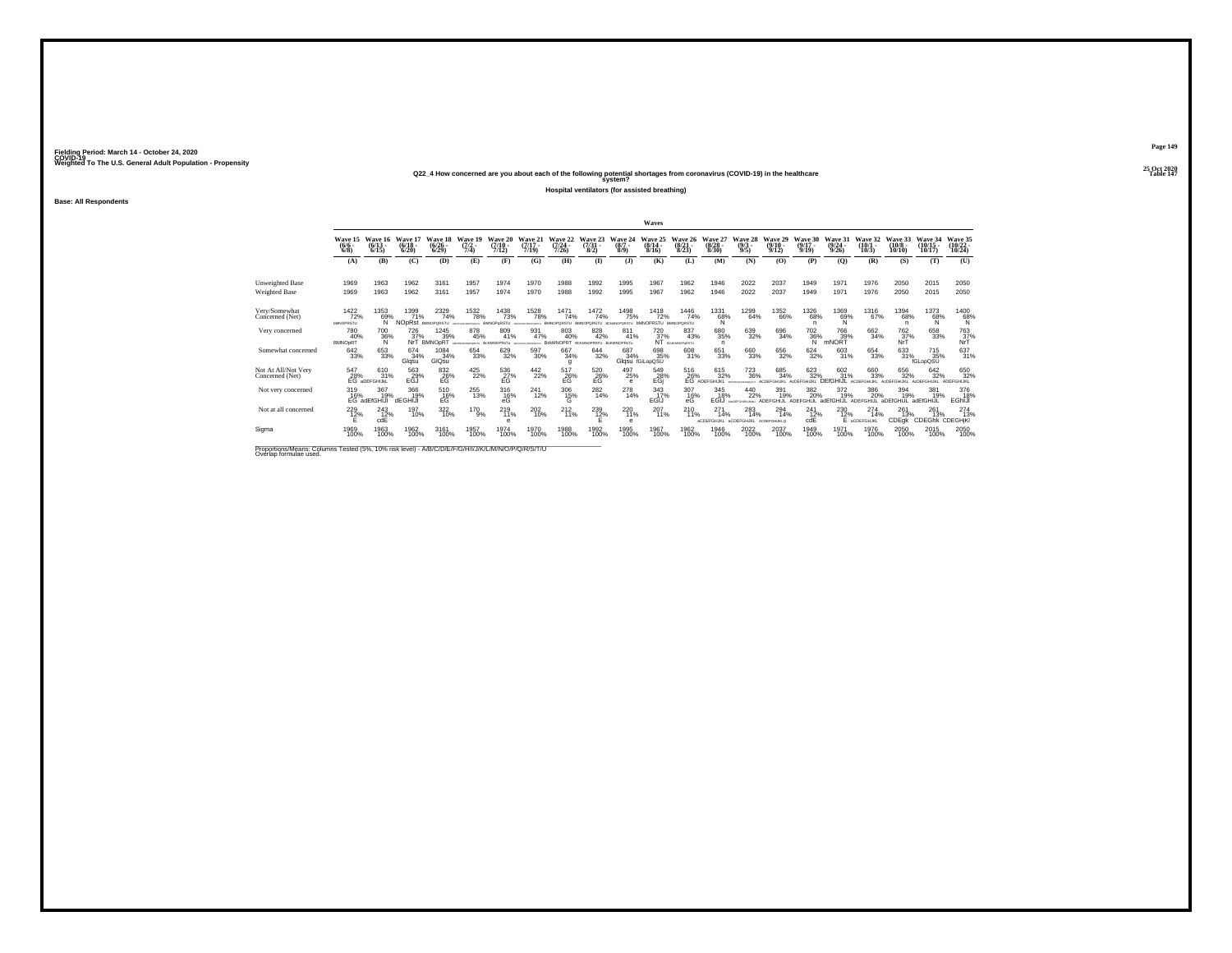## **25 Oct 2020Q22\_4 How concerned are you about each of the following potential shortages from coronavirus (COVID-19) in the healthcare Table 147 system?**

**Hospital ventilators (for assisted breathing)**

**Base: All Respondents**

|                                        |                                        |                                                   |                                         |                                     |                                                   |                             |                                          |                               |                                                              |                                | Waves                                         |                                  |                                                   |                                                 |                                  |                                |                                  |                                      |                               |                                           |                                    |
|----------------------------------------|----------------------------------------|---------------------------------------------------|-----------------------------------------|-------------------------------------|---------------------------------------------------|-----------------------------|------------------------------------------|-------------------------------|--------------------------------------------------------------|--------------------------------|-----------------------------------------------|----------------------------------|---------------------------------------------------|-------------------------------------------------|----------------------------------|--------------------------------|----------------------------------|--------------------------------------|-------------------------------|-------------------------------------------|------------------------------------|
|                                        | Wave 15<br>$\frac{(6/6)}{6/8}$         | Wave 16<br>$(6/13 -$<br>6/15                      | Wave 17<br>$(6/18 -$<br>6/20            | Wave 18<br>$\binom{6/26}{6/29}$     | Wave 19<br>$\frac{(7/2)}{7/4}$                    | Wave 20<br>(7/10)<br>7/12)  | Wave 21<br>$(7/17 -$<br>7/19             | Wave 22<br>(7/24.<br>7/26     | Wave 23<br>$\binom{7/31}{8/2}$                               | Wave 24<br>$(8/7 -$<br>$8/9$ ) | Wave 25<br>$(8/14 -$<br>8/16                  | Wave 26<br>$\frac{(8/21)}{8/23}$ | Wave 27<br>$\binom{8/28}{8/30}$                   | Wave 28<br>$\frac{(9/3)}{9/5}$                  | Wave 29<br>$(9/10 -$<br>9/12     | Wave 30<br>$(9/17 -$<br>9/19   | Wave 31<br>$\frac{(9/24)}{9/26}$ | Wave 32<br>$\binom{10/1}{10/3}$      | Wave 33<br>$(10/8 -$<br>10/10 | Wave 34<br>$\binom{10/15}{10/17}$         | Wave 35<br>$\frac{(10/22)}{10/24}$ |
|                                        | (A)                                    | (B)                                               | (C)                                     | (D)                                 | (E)                                               | (F)                         | (G)                                      | (H)                           | $\bf{I}$                                                     | (3)                            | (K)                                           | (L)                              | (M)                                               | (N)                                             | (0)                              | (P)                            | $\mathbf{Q}$                     | (R)                                  | (S)                           | (T)                                       | (U)                                |
| Unweighted Base                        | 1969                                   | 1963                                              | 1962                                    | 3161                                | 1957                                              | 1974                        | 1970                                     | 1988                          | 1992                                                         | 1995                           | 1967                                          | 1962                             | 1946                                              | 2022                                            | 2037                             | 1949                           | 1971                             | 1976                                 | 2050                          | 2015                                      | 2050                               |
| Weighted Base                          | 1969                                   | 1963                                              | 1962                                    | 3161                                | 1957                                              | 1974                        | 1970                                     | 1988                          | 1992                                                         | 1995                           | 1967                                          | 1962                             | 1946                                              | 2022                                            | 2037                             | 1949                           | 1971                             | 1976                                 | 2050                          | 2015                                      | 2050                               |
| Very/Somewhat<br>Concerned (Net)       | 1422<br>72%<br><b><i>bMNOPRSTU</i></b> | 1353<br>69%<br>N                                  | 1399<br>71%<br><b>NO<sub>DRst</sub></b> | 2329<br>74%<br><b>BMNOPORSTLI</b>   | <sup>1532</sup> 78%<br>ARCONOMIC PORTU BMNOPORSTU | <sup>1438</sup> 73%         | <sup>1528</sup> 78%<br>ABCDFHAGANOFORETU | 1471<br>74%<br>BMNOPORSTU     | 1472<br>74%<br><b>BMNOPORSTLL</b>                            | 1498<br>75%                    | <sup>1418</sup> 72%<br>MINOPRSTLL BMNORORSTLL | 1446<br>74%                      | 1331<br>68%<br>N                                  | 1299<br>64%                                     | <sup>1352</sup> 66%              | <sup>1326</sup> 68%<br>n       | 1369<br>69%                      | <sup>1316</sup> 67%                  | 1394<br>68%<br>n              | 1373<br>68%<br>N                          | $^{1400}_{68\%}$                   |
| Very concerned                         | 780<br>40%<br><b>BMNOpRT</b>           | 700<br>36%<br>N                                   | 726<br>37%                              | 1245<br>39%<br>NrT BMNOpRT          | 878<br>45%<br>MICONAMICPORTY BORMNOPRSTU          | 809<br>41%                  | 931<br>47%                               | 803<br>40%                    | 828<br>42%<br>ARCOYNAMIANOVORTU BCKMNOPR STUDION BOKMNOPRSTU | 811<br>41%                     | 720<br>37%                                    | 837<br>43%<br>NT BCORNOPURSTU    | 680<br>35%<br>n.                                  | 639<br>32%                                      | 696<br>34%                       | $\frac{702}{36\%}$             | 766<br>39%<br>mNORT              | 662<br>34%                           | 762<br>$\frac{37}{N}$         | 658<br>33%                                | 763<br>37%<br>NrT                  |
| Somewhat concerned                     | 642<br>33%                             | 653<br>33%                                        | $^{674}_{34\%}$<br>Glqsu                | 1084<br>34%<br>GIQsu                | 654<br>33%                                        | 629<br>32%                  | 597<br>30%                               | 667<br>34%<br>$\mathbf{q}$    | 644<br>32%                                                   | 687<br>34%                     | 698<br>35%<br>Glqsu fGiLopQSU                 | 608<br>31%                       | 651<br>33%                                        | 660<br>33%                                      | 656<br>32%                       | $\frac{624}{32\%}$             | 603<br>31%                       | 654<br>33%                           | 633<br>31%                    | <sup>715</sup> <sub>35%</sub><br>fGLopQSU | 637<br>31%                         |
| Not At All/Not Very<br>Concerned (Net) |                                        | 547 610<br>28% 31°<br>EG aDEFGHIJKL<br>610<br>31% | 563<br>EGJ%                             | 832<br>26%<br>EG                    | 425<br>22%                                        | $^{536}_{27\%}$             | 442<br>22%                               | $^{517}_{26\%}$               | $^{520}_{26\%}$                                              | 497<br>25%<br>$\theta$         | 549<br>28%<br>EGj                             |                                  | 615<br>32%<br>516 615<br>26% 329<br>EG ADEFGHIJKL | <sup>723</sup> <sub>36%</sub><br><b>MINIMUM</b> | 685<br>34%<br><b>ACDEFGHLIKI</b> | 623<br>32%<br>AcDEEGHLIKI      | 602<br>31%<br>HUL                | 660<br>33%<br><b>ACDEFGHUKI</b>      | 656<br>32%<br>ACREEGHLIKI     | 642/32%<br>ACREEGHLIKI                    | 650<br>32%<br><b>ADEEGHLIKI</b>    |
| Not very concerned                     | 319                                    | 367<br>16% 19%<br>EG adEfGHIJI<br>19%             | 366<br>19%<br>dEGHIJ!                   | 510<br>E <sub>G</sub> <sup>9%</sup> | 255<br>13%                                        | 316<br>$_{\rm eG}^{16\%}$   | 241<br>12%                               | 306<br>${}^{15\%}_{\text{G}}$ | 282<br>14%                                                   | 278<br>14%                     | 343<br>17%<br>EGIJ                            | 307<br>16%<br>еG                 | 345<br>18%<br>FGIJ                                | 440<br>22%                                      | 391<br>19%<br><b>ADFFGHLI</b>    | 382<br>20%<br><b>ADFFGHLIL</b> | 372<br>19%<br>adEfGHIJL          | 386<br>20%<br>ADEFGHIJL              | 394<br>19%<br>aDEfGHIJL       | 381<br>19%<br>adEfGHIJI                   | 376<br>18%<br>EGhiJi               |
| Not at all concerned                   | $^{229}_{12\%}$                        | $^{243}_{12\%}$<br>cdE                            | 197<br>10%                              | 322/10%                             | 170<br>9%                                         | $^{219}_{11\%}$<br>$\theta$ | 202<br>10%                               | $^{212}_{11\%}$               | $^{239}_{12\%}$                                              | $^{220}_{11\%}$<br>e           | 207<br>11%                                    | $^{210}_{11\%}$                  | $^{271}_{14\%}$<br><b>ACDEFGHJKL ACDEFGHJKL</b>   | 283<br>14%                                      | 294<br>14%<br>ACDEFGHIJKLO       | $^{241}_{12\%}$<br>cdE         | 230<br>12%<br>F                  | $^{274}_{14\%}$<br><b>ACDEFGHJKL</b> | 261<br>13%<br>CDEqk           | 261<br>13%<br><b>CDEGhk</b>               | $^{274}_{13\%}$<br>CDEGHjKI        |
| Sigma                                  | 1969<br>100%                           | 1963<br>100%                                      | 1962<br>100%                            | 3161<br>100%                        | 1957<br>100%                                      | 1974<br>100%                | 1970<br>100%                             | 1988<br>100%                  | 1992<br>100%                                                 | 1995<br>100%                   | 1967<br>100%                                  | 1962<br>100%                     | 1946<br>100%                                      | 2022<br>100%                                    | 2037<br>100%                     | 1949<br>100%                   | 1971<br>100%                     | 1976<br>100%                         | 2050<br>100%                  | 2015<br>100%                              | 2050<br>100%                       |
| .                                      |                                        |                                                   |                                         |                                     |                                                   |                             |                                          |                               |                                                              |                                |                                               |                                  |                                                   |                                                 |                                  |                                |                                  |                                      |                               |                                           |                                    |

Proportions/Means: Columns Tested (5%, 10% risk level) - A/B/C/D/E/F/G/H/I/J/K/L/M/N/O/P/Q/R/S/T/U Overlap formulae used.<br>Overlap formulae used.

**Page 149**25 Oct 2020<br>Table 147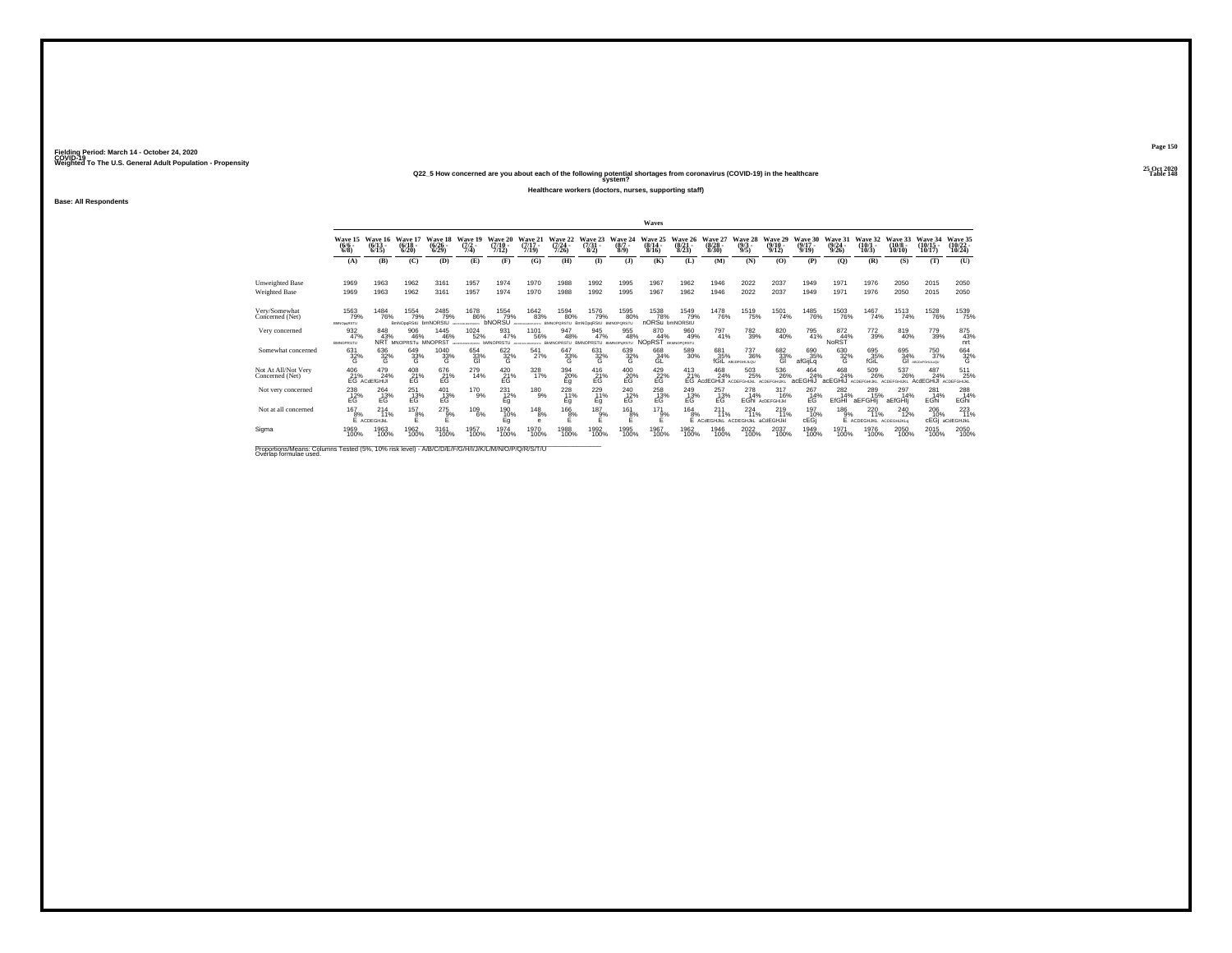**25 Oct 2020Q22\_5 How concerned are you about each of the following potential shortages from coronavirus (COVID-19) in the healthcare Table 148 system?**

**Healthcare workers (doctors, nurses, supporting staff)**

**Base: All Respondents**

|                                         |                                      |                                      |                                      |                                      |                                                |                               |                              |                                              |                                 |                                      | Waves                                |                                      |                                           |                                     |                                |                              |                                  |                               |                               |                                |                                    |
|-----------------------------------------|--------------------------------------|--------------------------------------|--------------------------------------|--------------------------------------|------------------------------------------------|-------------------------------|------------------------------|----------------------------------------------|---------------------------------|--------------------------------------|--------------------------------------|--------------------------------------|-------------------------------------------|-------------------------------------|--------------------------------|------------------------------|----------------------------------|-------------------------------|-------------------------------|--------------------------------|------------------------------------|
|                                         | Wave 15<br>$(6/6 -$<br>6/8           | Wave 16<br>$(6/13 -$<br>6/15         | Wave 17<br>$(6/18 -$<br>6/20         | Wave 18<br>$(6/26 -$<br>6/29         | Wave 19<br>$\frac{(7/2)}{7/4}$                 | Wave 20<br>$(7/10 -$<br>7/12) | Wave 21<br>$(7/17 -$<br>7/19 | Wave 22<br>$(7/24 -$<br>7/26                 | Wave 23<br>$\frac{(7/31)}{8/2}$ | Wave 24<br>$(8/7 -$<br>8/9           | Wave 25<br>$(8/14 -$<br>8/16         | Wave 26<br>$(8/21 -$<br>8/23         | Wave 27<br>$\binom{8/28}{8/30}$           | Wave 28<br>$\frac{(9/3)}{9/5}$      | Wave 29<br>$(9/10 -$<br>9/12   | Wave 30<br>$(9/17 -$<br>9/19 | Wave 31<br>$\frac{(9/24)}{9/26}$ | Wave 32<br>$(10/1 -$<br>10/3  | Wave 33<br>$(10/8 -$<br>10/10 | Wave 34<br>$(10/15 -$<br>10/17 | Wave 35<br>$\frac{(10/22)}{10/24}$ |
|                                         | (A)                                  | (B)                                  | (C)                                  | (D)                                  | (E)                                            | (F)                           | (G)                          | (H)                                          | $\bf(I)$                        | (1)                                  | (K)                                  | (L)                                  | (M)                                       | (N)                                 | (0)                            | (P)                          | $\mathbf{Q}$                     | (R)                           | (S)                           | (T)                            | (U)                                |
| <b>Unweighted Base</b><br>Weighted Base | 1969<br>1969                         | 1963<br>1963                         | 1962<br>1962                         | 3161<br>3161                         | 1957<br>1957                                   | 1974<br>1974                  | 1970<br>1970                 | 1988<br>1988                                 | 1992<br>1992                    | 1995<br>1995                         | 1967<br>1967                         | 1962<br>1962                         | 1946<br>1946                              | 2022<br>2022                        | 2037<br>2037                   | 1949<br>1949                 | 1971<br>1971                     | 1976<br>1976                  | 2050<br>2050                  | 2015<br>2015                   | 2050<br>2050                       |
| Very/Somewhat<br>Concerned (Net)        | 1563<br>79%<br><b>BMNOpgRSTU</b>     | 1484<br>76%                          | 1554<br>79%<br>BmNOpgRStU            | <sup>2485</sup> 79%<br>bmNORStU      | 1678<br>86%                                    | 1554<br>79%<br><b>bNORSU</b>  | 1642<br>83%                  | <sup>1594</sup> 80%<br>BMNOPQRSTU BmNOpgRStU | 1576<br>79%                     | 1595<br>80%                          | 1538<br>78%<br>nORSu bmNORStU        | <sup>1549</sup> 79%                  | <sup>1478</sup> 76%                       | 1519<br>75%                         | 1501<br>74%                    | <sup>1485</sup> 76%          | 1503<br>76%                      | 1467<br>74%                   | <sup>1513</sup> 74%           | <sup>1528</sup> 76%            | 1539<br>75%                        |
| Very concerned                          | 932<br>47%<br><b>BMNOPRSTU</b>       | 848<br>43%                           | 906<br>46%<br>NRT MNOPRSTu MNOPRST   | 1445<br>46%                          | 1024<br>52%<br>aconsenservery <b>bMNOPRSTU</b> | 931<br>47%                    | 1101<br>56%                  | 947<br>48%<br>ARCIPHANIMOPORTU BMNOPRSTU     | 945<br>47%                      | 955<br>48%<br><b>BM/NOP=RSTU</b>     | 870<br>44%<br>NOpRST                 | 960<br>49%<br><b>BKMNOPORSTU</b>     | 797<br>41%                                | 782<br>39%                          | 820<br>40%                     | 795<br>41%                   | 872<br>44%<br>NoRST              | 772<br>39%                    | 819<br>40%                    | 779<br>39%                     | 875<br>43%<br>nrt                  |
| Somewhat concerned                      | 631<br>32%<br>G                      | 636<br>32%<br>G                      | 649<br>33%<br>G                      | 1040<br>33%<br>G                     | 654<br>33%<br>GI                               | 622/32%<br>G                  | 541<br>27%                   | 647<br>33%<br>G                              | 631<br>32%<br>G                 | 639<br>32%<br>G                      | 668<br>34%<br>GL                     | 589<br>30%                           | 681<br>35%<br>fGiL                        | <sup>737</sup> 36%<br>ABcDFGHULQU   | 6823%<br>GI                    | 690 35%<br>afGijLq           | 630<br>32%<br>G                  | 695 35%<br>fGiL               | 695<br>34%<br>GI              | 750<br>37%<br>ABCDeFGHULoQU    | 664<br>32%<br>G                    |
| Not At All/Not Very<br>Concerned (Net)  | 406                                  | 479<br>24%<br>21% 249                | $^{408}_{21\%}$                      | $^{676}_{21\%}$                      | 279<br>14%                                     | $^{420}_{21\%}$               | 328<br>17%                   | $\frac{394}{20\%}$                           | $^{416}_{21\%}$                 | 400<br>20%<br>EG                     | $^{429}_{-22\%}$                     |                                      | 413 468<br>21% 24%<br>EG AcdEGHiJI<br>24% | $503\atop 25\%$<br><b>ACDEFGHUM</b> | 536<br>26%<br>ACDEFOHLIKI      | 464<br>24%<br>acEGHiJ        | 468<br>24%<br>acEGHIJ            | $^{509}_{26\%}$<br>ACDEFGHUKL | 537<br>26%<br>ACDEFGHLIKI     | 487<br>24%<br>AcdEGHiJI        | $^{511}_{25\%}$<br>ACDEFGHUM.      |
| Not very concerned                      | 238<br>E <sub>G</sub> <sup>12%</sup> | 264<br>E <sub>G</sub> <sup>13%</sup> | 251<br>E <sub>G</sub> <sup>13%</sup> | 401<br>E <sub>G</sub> <sup>13%</sup> | 170<br>9%                                      | 231<br>12%<br>Eg              | 180<br>9%                    | 228<br>11%<br>Eq                             | 229<br>11%<br>Eq                | 240<br>E <sub>G</sub> <sup>12%</sup> | 258<br>E <sub>G</sub> <sup>13%</sup> | 249<br>E <sub>G</sub> <sup>13%</sup> | 257<br>E <sub>G</sub> <sup>13%</sup>      | 278<br>14%                          | 317<br>16%<br>EGhi AcDEFGHIJKI | 267<br>14%<br>EĠ             | 282<br>14%<br>EfGHI              | 289<br>15%<br>aEFGHIi         | 297<br>14%<br>aEfGHIj         | 281<br>14%<br>EGhi             | 288<br>14%<br>EGhi                 |
| Not at all concerned                    | $^{167}_{8\%}$                       | $^{214}_{11\%}$<br>E ACDEGHJKL       | $^{157}_{8\%}$                       | $^{275}_{9\%}$                       | $^{109}_{6\%}$                                 | 190<br>10%<br>Eg              | $^{148}_{8\%}$<br>е          | $^{166}_{8\%}$<br>F                          | 187<br>9%                       | 161<br>8%                            | 171<br>9%<br>F                       | 164<br>8%                            | 211<br>11%<br>E ACdEGHJKL                 | 224<br>11%<br>ACDEGHJkL             | 219<br>11%<br>aCdEGHJkl        | 197<br>10%<br>cEGi           | 186<br>9%                        | 220<br>11%<br>E ACDEGHJKL     | 240<br>12%<br>ACDEGHUKLO      | 206 10%<br>cEGi                | 223<br>aCdEGHJkL                   |
| Sigma                                   | 1969<br>100%                         | 1963<br>100%                         | 1962<br>100%                         | 3161<br>100%                         | 1957<br>100%                                   | 1974<br>100%                  | 1970<br>100%                 | 1988<br>100%                                 | 1992<br>100%                    | 1995<br>100%                         | 1967<br>100%                         | 1962<br>100%                         | 1946<br>100%                              | 2022<br>100%                        | 2037<br>100%                   | 1949<br>100%                 | 1971<br>100%                     | 1976<br>100%                  | 2050<br>100%                  | 2015<br>100%                   | 2050<br>100%                       |

Proportions/Means: Columns Tested (5%, 10% risk level) - A/B/C/D/E/F/G/H/I/J/K/L/M/N/O/P/Q/R/S/T/U Overlap formulae used.<br>Overlap formulae used.

**Page 150**25 Oct 2020<br>Table 148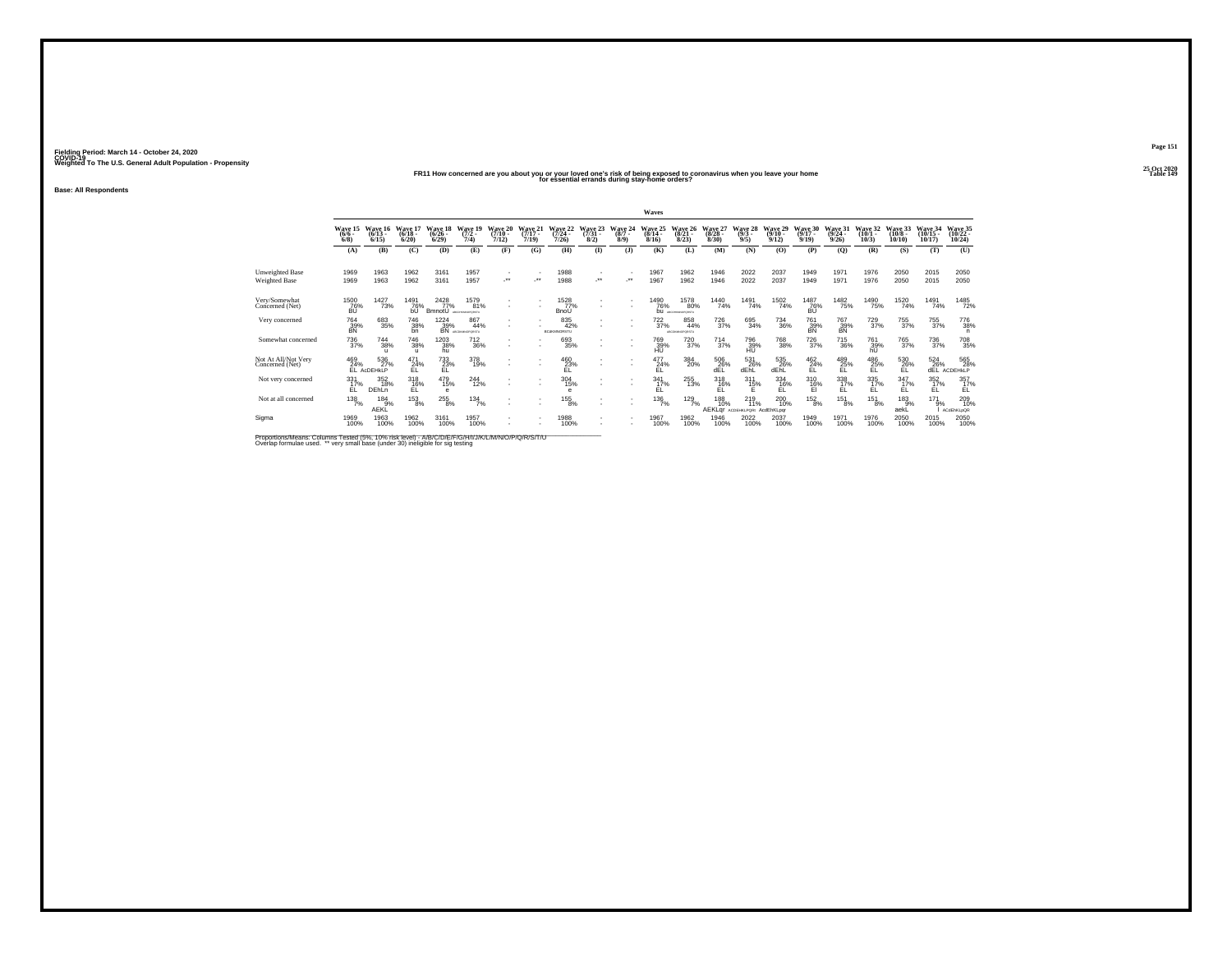## **25 Oct 2020FR11 How concerned are you about you or your loved one's risk of being exposed to coronavirus when you leave your home Table 149 for essential errands during stay-home orders?**

**Base: All Respondents**

|                                         |                               |                              |                              |                              |                               |                                    |                               |                                  |                                     |                                | Waves                        |                                |                              |                                  |                               |                              |                              |                               |                               |                                     |                                   |
|-----------------------------------------|-------------------------------|------------------------------|------------------------------|------------------------------|-------------------------------|------------------------------------|-------------------------------|----------------------------------|-------------------------------------|--------------------------------|------------------------------|--------------------------------|------------------------------|----------------------------------|-------------------------------|------------------------------|------------------------------|-------------------------------|-------------------------------|-------------------------------------|-----------------------------------|
|                                         | Wave 15<br>$(6/6 -$<br>6/8    | Wave 16<br>$(6/13 -$<br>6/15 | Wave 17<br>$(6/18 -$<br>6/20 | Wave 18<br>$(6/26 -$<br>6/29 | Wave 19<br>$(7/2 -$<br>7/4    | Wave 20<br>$(7/10 -$<br>7/12       | Wave 21<br>$(7/17 -$<br>7/19  | Wave 22<br>$(7/24 -$<br>7/26     | Wave 23<br>$\frac{(7/31 - 8)}{8/2}$ | Wave 24<br>$(8/7 -$<br>$8/9$ ) | Wave 25<br>$(8/14 -$<br>8/16 | Wave 26<br>$(8/21 -$<br>8/23   | Wave 27<br>$(8/28 -$<br>8/30 | Wave 28<br>$(9/3 -$<br>9/5       | Wave 29<br>$(9/10 -$<br>9/12  | Wave 30<br>$(9/17 -$<br>9/19 | Wave 31<br>$(9/24 -$<br>9/26 | Wave 32<br>$(10/1 -$<br>10/3  | Wave 33<br>$(10/8 -$<br>10/10 | Wave 34<br>$(10/15 -$<br>10/17      | Wave 35<br>$(10/22 -$<br>10/24    |
|                                         | (A)                           | (B)                          | (C)                          | (D)                          | (E)                           | (F)                                | (G)                           | (H)                              | $($ $\Gamma$                        | (3)                            | (K)                          | (L)                            | (M)                          | (N)                              | (0)                           | (P)                          | (O)                          | (R)                           | (S)                           | (T)                                 | (U)                               |
| <b>Unweighted Base</b><br>Weighted Base | 1969<br>1969                  | 1963<br>1963                 | 1962<br>1962                 | 3161<br>3161                 | 1957<br>1957                  | ÷                                  | $\cdot$                       | 1988<br>1988                     |                                     | $\cdot$                        | 1967<br>1967                 | 1962<br>1962                   | 1946<br>1946                 | 2022<br>2022                     | 2037<br>2037                  | 1949<br>1949                 | 1971<br>1971                 | 1976<br>1976                  | 2050<br>2050                  | 2015<br>2015                        | 2050<br>2050                      |
| Very/Somewhat<br>Concerned (Net)        | <sup>1500</sup> 76%<br>BÚ     | 1427<br>73%                  | 1491<br>76%<br>bU            | 2428<br>BmnotU               | 1579<br>81%<br>ARCOMMODORESIS | $\sim$                             | ٠<br>$\overline{\phantom{a}}$ | 1528<br>BnoU                     | ٠                                   |                                | <sup>1490</sup> 76%<br>bu    | 1578<br>80%<br>ABCOHKMADPORTEL | <sup>1440</sup> 74%          | 1491<br>74%                      | <sup>1502</sup> 74%           | <sup>1487</sup> 76%<br>BÚ    | <sup>1482</sup> 75%          | 1490<br>75%                   | <sup>1520</sup> 74%           | 1491<br>74%                         | 1485<br>72%                       |
| Very concerned                          | 764<br>39%<br>BN              | 683<br>35%                   | <sup>746</sup> 38%<br>bn     | 1224<br>39%<br>BÑ            | 867<br>44%<br>ADONNHOODSTL    |                                    |                               | 835<br>42%<br><b>BCdKMNORSTU</b> |                                     |                                | $^{722}_{37\%}$              | 858<br>44%<br>ABCOKMOPORSTU    | 726<br>37%                   | 695<br>34%                       | <sup>734</sup> <sub>36%</sub> | 761<br>39%<br>BN             | 767<br>39%<br>BN             | <sup>729</sup> <sub>37%</sub> | 755<br>37%                    | 755<br>37%                          | <sup>776</sup> 38%                |
| Somewhat concerned                      | <sup>736</sup> <sub>37%</sub> | 744<br>38%<br>$\mathbf{u}$   | 746<br>38%<br>$\mathbf{u}$   | 1203<br>38%<br>hū            | <sup>712</sup> <sub>36%</sub> | $\sim$<br>$\overline{\phantom{a}}$ |                               | 693<br>35%                       | ٠                                   |                                | 769<br>39%                   | <sup>720</sup> <sub>37%</sub>  | 714<br>37%                   | 796<br>39%<br>HU                 | 768<br>38%                    | 726<br>37%                   | 715<br>36%                   | 761<br>39%<br>hU              | 765<br>37%                    | 736<br>37%                          | 708<br>35%                        |
| Not At All/Not Very<br>Concerned (Net)  | 469<br>24%                    | 536<br>27%<br>EL ACDEHKLP    | 471<br>24%<br>FI.            | $^{733}_{23\%}$<br>EL        | 378<br>19%                    |                                    |                               | 460<br>23%<br>EL.                | ٠                                   | $\sim$                         | 477<br>24%<br>ΕL             | 384<br>20%                     | 506<br>26%<br>dEL            | 531<br>26%<br>dEhL               | 535<br>26%<br>dEhL            | $^{462}_{24\%}$<br>EL.       | 489<br>25%<br>EL             | 486<br>25%<br>EL              | 530<br>26%<br>EL              | $^{524}_{26\%}$<br>dEL              | 565<br>28%<br>ACDEHKLP            |
| Not very concerned                      | $\frac{331}{17\%}$<br>ÉĹ      | 352<br>18%<br>DEhLn          | $^{318}_{16\%}$              | 479<br>15%<br>$\theta$       | 244<br>12%                    | ٠<br>$\overline{\phantom{a}}$      |                               | 304<br>15%<br>$\theta$           | ٠                                   |                                | $\frac{341}{17\%}$<br>ΕL     | 255<br>13%                     | $^{318}_{16\%}$              | $^{311}_{15\%}$                  | $^{334}_{16\%}$               | $^{310}_{16\%}$              | $\frac{338}{17\%}$<br>ÉĹ     | $^{335}_{17\%}$               | $\frac{347}{17\%}$<br>EĹ      | $^{352}_{\hbox{--}\atop \hbox{EL}}$ | $^{357}_{\hbox{\phantom{1}47\%}}$ |
| Not at all concerned                    | 138<br>7%                     | 184<br>9%<br>AEKL            | 153<br>8%                    | 255<br>8%                    | 134<br>7%                     | $\sim$                             |                               | 155<br>8%                        | ٠                                   |                                | 136<br>7%                    | 129<br>7%                      | 188<br>10%<br><b>AEKLar</b>  | 219<br>11%<br><b>ACDEHKLPORt</b> | 200<br>10%<br>AcdEhKLpgr      | $^{152}_{8\%}$               | 151<br>8%                    | 151<br>8%                     | 183<br>9%<br>aekĽ             | 171<br>9%                           | 209<br>10%<br>ACdEhKLpQR          |
| Sigma                                   | 1969<br>100%                  | 1963<br>100%                 | 1962<br>100%                 | 3161<br>100%                 | 1957<br>100%                  | ٠<br>$\sim$                        |                               | 1988<br>100%                     | ٠                                   |                                | 1967<br>100%                 | 1962<br>100%                   | 1946<br>100%                 | 2022<br>100%                     | 2037<br>100%                  | 1949<br>100%                 | 1971<br>100%                 | 1976<br>100%                  | 2050<br>100%                  | 2015<br>100%                        | 2050<br>100%                      |

Proportions/Means: Columns Tested (5%, 10% risk level) - A/B/C/D/E/F/G/H/I/J/K/L/M/N/O/P/Q/R/S/T/U<br>Overlap formulae used. \*\* very small base (under 30) ineligible for sig testing

**Page 151**25 Oct 2020<br>Table 149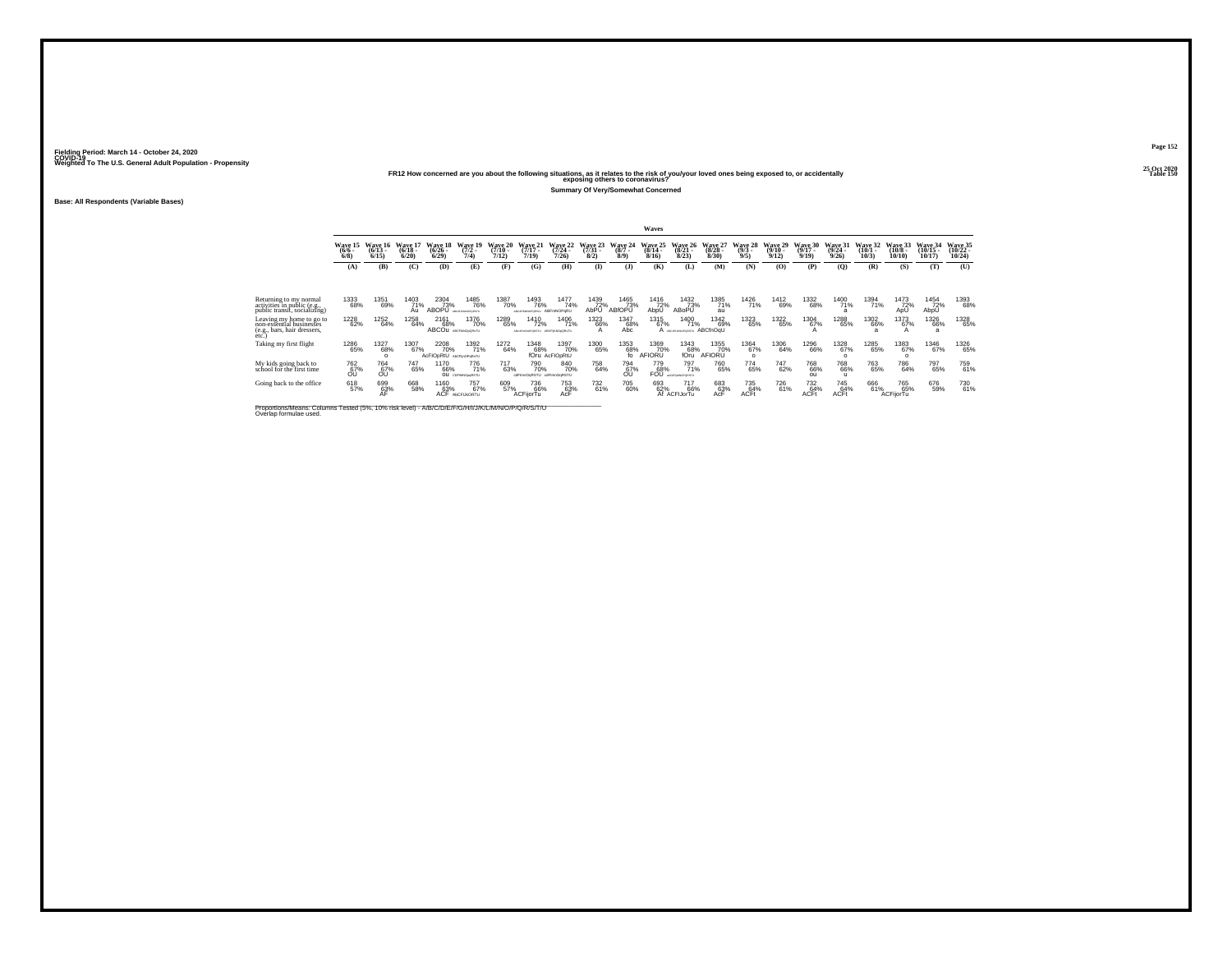## **25 Oct 2020FR12 How concerned are you about the following situations, as it relates to the risk of you/your loved ones being exposed to, or accidentally Table 150 exposing others to coronavirus?**

**Summary Of Very/Somewhat Concerned**

**Base: All Respondents (Variable Bases)**

|                                                                                              | Waves                      |                              |                              |                                    |                                        |                              |                                              |                               |                              |                                  |                              |                                    |                              |                            |                              |                                |                              |                              |                               |                                |                                |
|----------------------------------------------------------------------------------------------|----------------------------|------------------------------|------------------------------|------------------------------------|----------------------------------------|------------------------------|----------------------------------------------|-------------------------------|------------------------------|----------------------------------|------------------------------|------------------------------------|------------------------------|----------------------------|------------------------------|--------------------------------|------------------------------|------------------------------|-------------------------------|--------------------------------|--------------------------------|
|                                                                                              | Wave 15<br>$(6/6 -$<br>6/8 | Wave 16<br>$(6/13 -$<br>6/15 | Wave 17<br>$(6/18 -$<br>6/20 | Wave 18<br>$(6/26 -$<br>6/29       | Wave 19<br>$(7/2 -$<br>7/4)            | Wave 20<br>$(7/10 -$<br>7/12 | Wave 21<br>$(7/17 -$<br>7/19                 | Wave 22<br>(7/24)<br>7/26     | Wave 23<br>$(7/31 -$<br>8/2) | Wave 24<br>$(8/7 -$<br>$8/9$ )   | Wave 25<br>$(8/14 -$<br>8/16 | Wave 26<br>$(8/21 -$<br>8/23       | Wave 27<br>$(8/28 -$<br>8/30 | Wave 28<br>$(9/3 -$<br>9/5 | Wave 29<br>$(9/10 -$<br>9/12 | Wave 30<br>$(9/17 -$<br>9/19   | Wave 31<br>$(9/24 -$<br>9/26 | Wave 32<br>$(10/1 -$<br>10/3 | Wave 33<br>$(10/8 -$<br>10/10 | Wave 34<br>$(10/15 -$<br>10/17 | Wave 35<br>$(10/22 -$<br>10/24 |
|                                                                                              | (A)                        | (B)                          | (C)                          | (D)                                | (E)                                    | (F)                          | (G)                                          | (H)                           | <b>D</b>                     | (3)                              | (K)                          | (L)                                | (M)                          | (N)                        | (0)                          | (P)                            | (O)                          | (R)                          | (S)                           | (T)                            | (U)                            |
|                                                                                              |                            |                              |                              |                                    |                                        |                              |                                              |                               |                              |                                  |                              |                                    |                              |                            |                              |                                |                              |                              |                               |                                |                                |
| Returning to my normal<br>activities in public (e.g.,<br>public transit, socializing)        | 1333<br>68%                | 1351<br>69%                  | 1403<br>71%<br>Au            | 2304<br>73%<br>ABOPŪ               | 1485<br>76%<br><b>ABOSFRAINDRORSTU</b> | 1387<br>70%                  | 1493<br>76%<br>ABOUTHOMOPOROUS               | 1477<br>74%<br>ABFmNOPgRU     | 1439<br>72%<br>AbPU          | 1465<br>73%<br>ABfOPU            | 1416<br>72%<br>AbpU          | 1432<br>73%<br>ABoPU               | 1385<br>71%<br>au            | <sup>1426</sup> 71%        | 1412<br>69%                  | 1332<br>68%                    | 1400<br>71%                  | 1394<br>71%                  | 1473<br>72%<br>ApU            | 1454<br>72%<br>AbpU            | 1393<br>68%                    |
| Leaving my home to go to<br>non-essentíal businesses<br>(e.g., bars, hair dressers,<br>etc.) | 1228<br>62%                | 1252<br>64%                  | 1258<br>64%                  | 2161<br>68%<br>ABCOU ABCFIANDORATU | 1376<br>70%                            | 1289<br>65%                  | 1410<br>72%<br>AECORUMORORSTU AECFINNOLORUTU | 1406<br>71%                   | <sup>1323</sup> 66%<br>А     | 1347<br>68%<br>Abc               | 1315<br>67%                  | 1400<br>71%<br>A ARCIFURNOPORSTU   | 1342<br>69%<br>ABCfnOqU      | <sup>1323</sup> 65%        | <sup>1322</sup> 65%          | 1304<br>67%                    | <sup>1288</sup> 65%          | 1302<br>66%<br>a             | 1373<br>67%                   | <sup>1326</sup> 66%<br>a       | 1328<br>65%                    |
| Taking my first flight                                                                       | <sup>1286</sup><br>65%     | 1327<br>68%                  | 1307<br>67%                  | <sup>2208</sup> 70%<br>AcFIOpRtU   | 1392<br>71%<br>AbCFlinOPoRsTU          | 1272<br>64%                  | 1348<br>68%                                  | 1397<br>70%<br>fOru AcFIODRtU | 1300<br>65%                  | $^{1353}_{68\%}_{\, \, \rm{fo}}$ | 1369<br>70%<br>AFIORU        | 1343<br>68%<br>fOru                | 1355<br>70%<br>AFIORU        | 1364<br>67%<br>$\circ$     | 1306<br>64%                  | 1296<br>66%                    | 1328<br>67%                  | 1285<br>65%                  | 1383<br>67%                   | 1346<br>67%                    | 1326<br>65%                    |
| My kids going back to<br>school for the first time                                           | 762<br>67%<br>ΟU           | 764<br>67%<br>ΟU             | 747<br>65%                   | 1170<br>66%                        | 776<br>71%<br>OU CDFIMNOSSRSTU         | 717<br>63%                   | 790<br>70%<br>odFimnOgRSTU odFimnOgRSTU      | 840<br>70%                    | 758<br>64%                   | 794<br>67%<br>ŐÜ                 | 779<br>68%<br><b>FOU</b>     | 797<br>71%<br>ALCOFIANOPORSTU      | 760<br>65%                   | 774<br>65%                 | 747<br>62%                   | 768<br>66%<br>ou               | 768<br>66%                   | 763<br>65%                   | 786<br>64%                    | 797<br>65%                     | 759<br>61%                     |
| Going back to the office                                                                     | 618<br>57%                 | 699<br>63%                   | 668<br>58%                   | 1160<br>63%                        | 757<br>67%<br>ACF AbCFLRORTU           | 609<br>57%                   | 736<br>66%<br>ACFijorTu                      | <sup>753</sup> 63%<br>AcF     | 732<br>61%                   | 705<br>60%                       | 693<br>62%                   | <sup>717</sup> 66%<br>Af ACFIJorTu | 683<br>63%<br>AcF            | 735<br>64%<br><b>ACFt</b>  | <sup>726</sup> 61%           | 732<br>64%<br>ACF <sup>+</sup> | 745<br>64%<br>ACFt           | 666<br>61%                   | 765<br>65%<br>ACFijorTu       | 676<br>59%                     | 730<br>61%                     |

Proportions/Means: Columns Tested (5%, 10% risk level) - A/B/C/D/E/F/G/H/I/J/K/L/M/N/O/P/Q/R/S/T/U Overlap formulae used.<br>Overlap formulae used.

**Page 15225 Oct 2020<br>Table 150**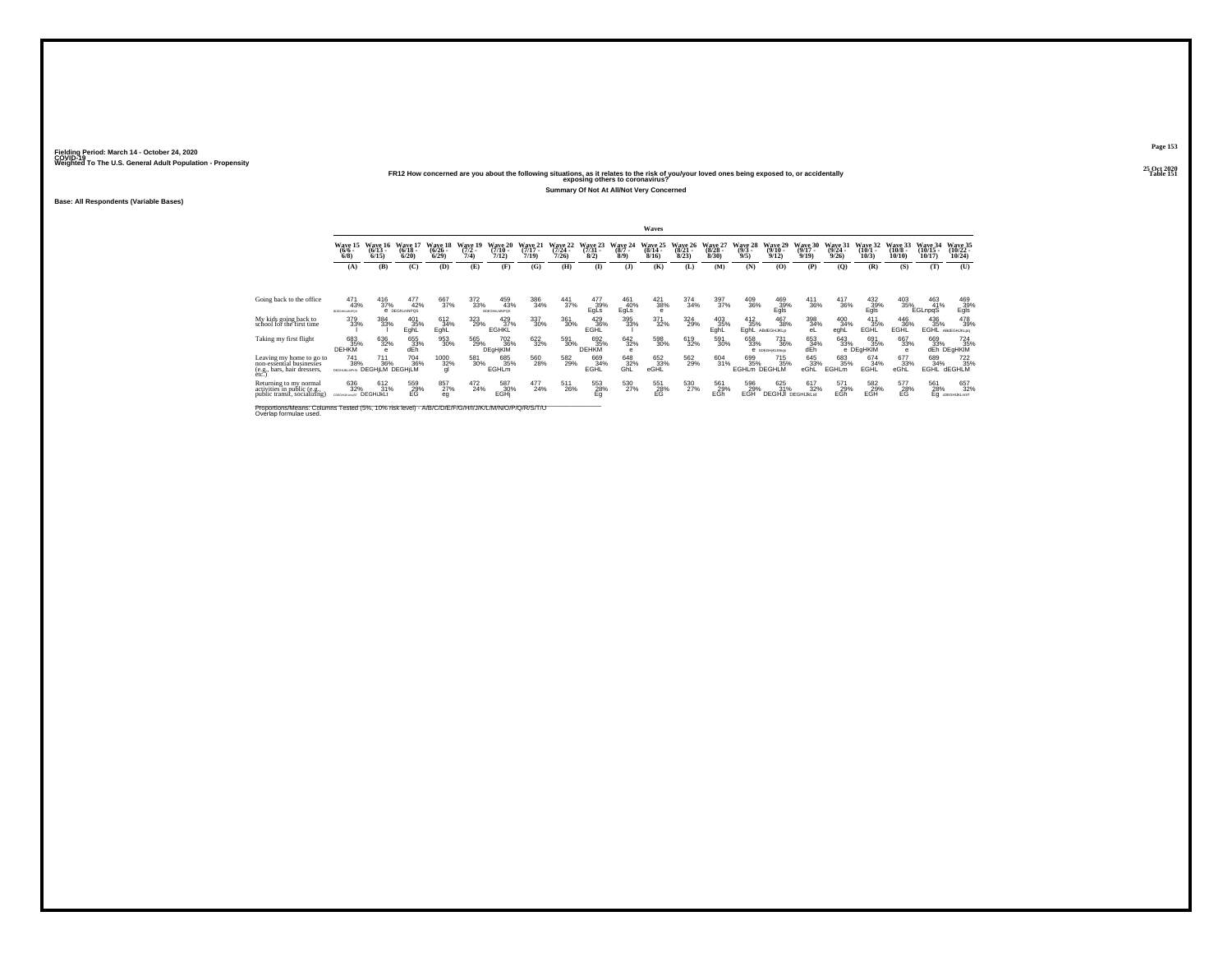# **25 Oct 2020FR12 How concerned are you about the following situations, as it relates to the risk of you/your loved ones being exposed to, or accidentally Table 151 exposing others to coronavirus?**

**Summary Of Not At All/Not Very Concerned**

**Base: All Respondents (Variable Bases)**

|                                                                                                                              | <b>Waves</b>                               |                              |                              |                              |                             |                                 |                              |                              |                              |                            |                              |                                     |                              |                                   |                                        |                              |                              |                              |                               |                                |                                         |
|------------------------------------------------------------------------------------------------------------------------------|--------------------------------------------|------------------------------|------------------------------|------------------------------|-----------------------------|---------------------------------|------------------------------|------------------------------|------------------------------|----------------------------|------------------------------|-------------------------------------|------------------------------|-----------------------------------|----------------------------------------|------------------------------|------------------------------|------------------------------|-------------------------------|--------------------------------|-----------------------------------------|
|                                                                                                                              | <b>Wave 15</b><br>$(6/6 -$<br>6/8          | Wave 16<br>$(6/13 -$<br>6/15 | Wave 17<br>$(6/18 -$<br>6/20 | Wave 18<br>$(6/26 -$<br>6/29 | Wave 19<br>$(7/2 -$<br>7/4) | Wave 20<br>$(7/10 -$<br>7/12)   | Wave 21<br>$(7/17 -$<br>7/19 | Wave 22<br>$(7/24 -$<br>7/26 | Wave 23<br>$(7/31 -$<br>8/2) | Wave 24<br>$(8/7 -$<br>8/9 | Wave 25<br>$(8/14 -$<br>8/16 | <b>Wave 26</b><br>$(8/21 -$<br>8/23 | Wave 27<br>$(8/28 -$<br>8/30 | Wave 28<br>$(9/3 -$<br>9/5        | Wave 29<br>$(9/10 -$<br>9/12           | Wave 30<br>$(9/17 -$<br>9/19 | Wave 31<br>$(9/24 -$<br>9/26 | Wave 32<br>$(10/1 -$<br>10/3 | Wave 33<br>$(10/8 -$<br>10/10 | Wave 34<br>$(10/15 -$<br>10/17 | Wave 35<br>$(10/22 -$<br>10/24          |
|                                                                                                                              | (A)                                        | (B)                          | (C)                          | (D)                          | (E)                         | (F)                             | (G)                          | (H)                          | $\bf{I}$                     | (1)                        | (K)                          | (L)                                 | (M)                          | (N)                               | (O)                                    | (P)                          | (O)                          | (R)                          | (S)                           | (T)                            | (U)                                     |
|                                                                                                                              |                                            |                              |                              |                              |                             |                                 |                              |                              |                              |                            |                              |                                     |                              |                                   |                                        |                              |                              |                              |                               |                                |                                         |
| Going back to the office                                                                                                     | 471<br>43%<br>EDEGHALMNPOS                 | 416<br>37%                   | 477<br>42%<br>e pegnumNPQS   | 667<br>37%                   | 372<br>33%                  | 459<br>43%<br><b>SCEGHAMPOS</b> | 386<br>34%                   | 441<br>37%                   | 477<br>39%<br>EgLs           | 461<br>40%<br>EgLs         | 421<br>38%<br>$\epsilon$     | 374<br>34%                          | 397<br>37%                   | 409<br>36%                        | 469<br>39%<br>Egls                     | 411<br>36%                   | 417<br>36%                   | 432<br>39%<br>Egls           | 403<br>35%                    | 463<br>41%<br>EGLnpqS          | 469<br>39%<br>Egls                      |
| My kids going back to<br>school for the first time                                                                           | 379<br>33%                                 | 384<br>33%                   | 401<br>35%<br>EghL           | 612<br>34%<br>EghL           | 323<br>29%                  | 429 37%<br><b>EGHKL</b>         | 337<br>30%                   | $^{361}_{30\%}$              | 429<br>36%<br>EGHL           | $\substack{395 \\ 33\%}$   | $^{371}_{32\%}$              | 324<br>29%                          | 403<br>35%<br>EghL           | $^{412}_{35\%}$<br>EghL           | 467<br>38%<br>ABdEGHJKLp               | 398<br>34%<br>eL             | 400<br>34%<br>eghL           | 411<br>35%<br>EGHL           | 446<br>36%<br>EGHL            | $^{436}_{35\%}$<br>EGHL        | 478<br>39%<br>ABdEGHJKLog               |
| Taking my first flight                                                                                                       | 683<br>35%<br><b>DEHKM</b>                 | 636<br>32%                   | 655<br>dEh                   | 953<br>30%                   | 565<br>29%                  | 702<br>36%<br>DEgHjKIM          | 622<br>32%                   | 591<br>30%                   | 692<br>35%<br><b>DEHKM</b>   | 642<br>32%<br>е            | 598<br>30%                   | 619<br>32%                          | 591<br>30%                   | 658<br>33%                        | 731<br>36%<br>e bDEGHKLMras            | 653<br>34%<br>dĒh            | 643<br>33%                   | 691<br>35%<br>e DEgHKIM      | 667<br>33%<br>А               | 669                            | 724<br>33% 35%<br>dEh DEgHKIM           |
| Leaving my home to go to<br>non-essential businesses<br>(e.g., bars, hair dressers,<br>etc.)                                 | 741<br>38%<br>DEGHUKLMPIS: DEGH LM DEGH LM | 711<br>36%                   | <sup>704</sup> 36%           | 1000<br>32%<br>ql            | 581<br>30%                  | 685<br>35%<br><b>EGHLm</b>      | 560<br>28%                   | 582<br>29%                   | 669<br>34%<br>EGHL           | 648<br>32%<br>GhL          | 652<br>33%<br>eGHL           | 562<br>29%                          | 604<br>31%                   | 699<br>35%<br><b>EGHLM DEGHLM</b> | <sup>715</sup> <sub>35%</sub>          | 645<br>33%<br>eGhL           | 683<br>35%<br><b>EGHLm</b>   | 674<br>34%<br>EGHL           | 677<br>33%<br>eGhL            | 689<br>34%<br><b>EGHL</b>      | <sup>722</sup> <sub>35%</sub><br>dEGHLM |
| Returning to my normal<br>activities in public (e.g.,<br>public transit, socializing)                                        | 636<br>32%<br>CORGHURLINGT DEGHIJKLt       | $^{612}_{31\%}$              | 559<br>29%<br>EG             | 857<br>27%<br>eg             | 472<br>24%                  | 587<br>30%<br>EGHi              | 477<br>24%                   | 511<br>26%                   | 553<br>28%<br>Eq             | 530<br>27%                 | 551<br>28%<br>EG             | 530<br>27%                          | 561<br>29%<br>EGh            | 596<br>29%<br>EGH                 | 625<br>31%<br><b>DEGHJI DEGHIJKLSt</b> | 617<br>32%                   | 571<br>29%<br>EGh            | 582<br>29%<br>EGH            | 577<br>28%<br>EG              | 561<br>28%                     | 657<br>32%<br>Eq @EGHUKLmST             |
| Proportions/Means: Columns Tested (5%, 10% risk level) - A/B/C/D/E/F/G/H/I/J/K/L/M/N/O/P/Q/R/S/T/U<br>Overlap formulae used. |                                            |                              |                              |                              |                             |                                 |                              |                              |                              |                            |                              |                                     |                              |                                   |                                        |                              |                              |                              |                               |                                |                                         |

**Page 153**25 Oct 2020<br>Table 151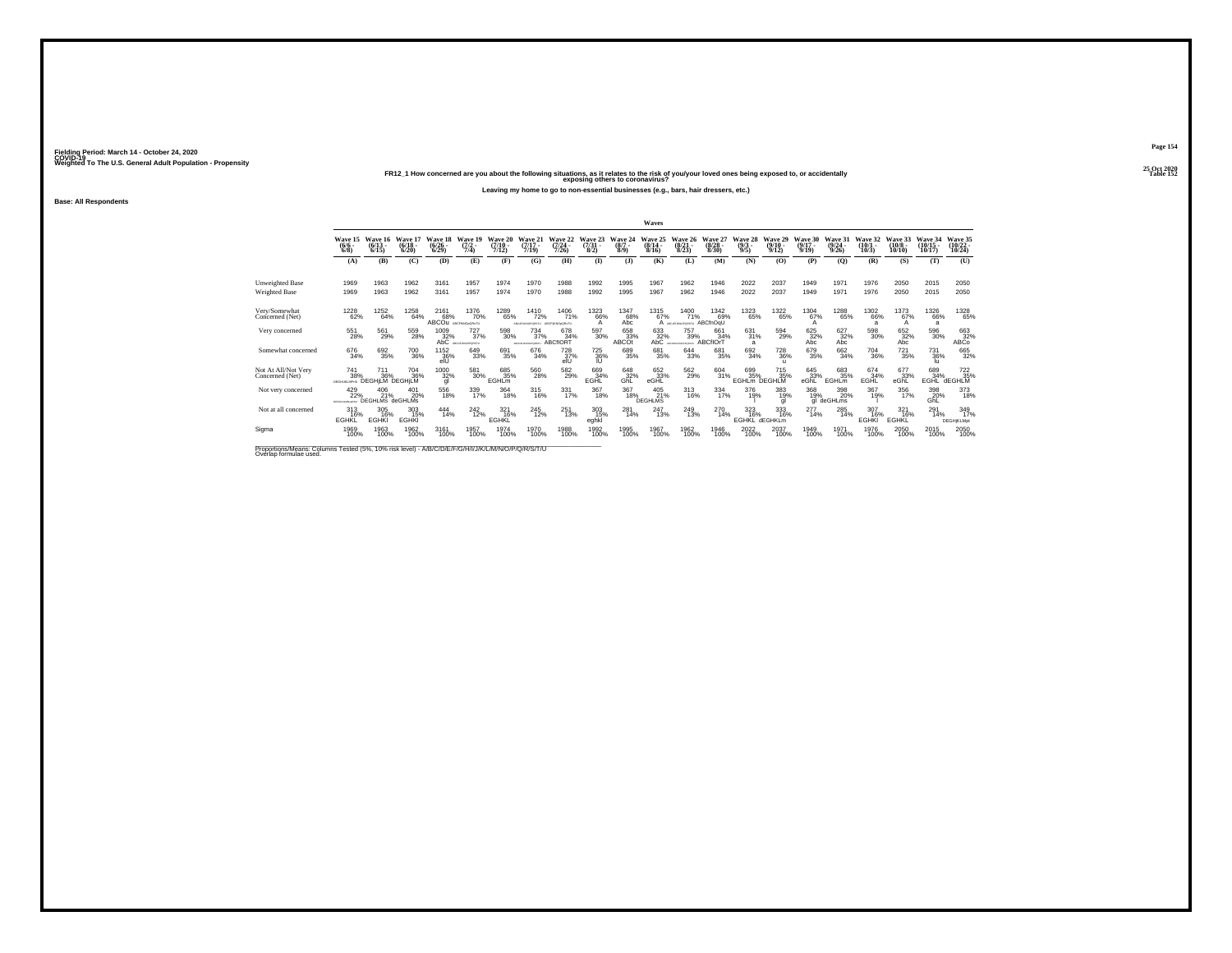## **25 Oct 2020FR12\_1 How concerned are you about the following situations, as it relates to the risk of you/your loved ones being exposed to, or accidentally Table 152 exposing others to coronavirus?**

**Leaving my home to go to non-essential businesses (e.g., bars, hair dressers, etc.)**

**Base: All Respondents**

|                                                                                                                              |                                  |                               |                              |                                      |                                 |                                  |                                                      |                                      |                                     |                               | Waves                        |                                 |                                 |                                   |                                 |                                      |                                  |                              |                               |                                |                                    |
|------------------------------------------------------------------------------------------------------------------------------|----------------------------------|-------------------------------|------------------------------|--------------------------------------|---------------------------------|----------------------------------|------------------------------------------------------|--------------------------------------|-------------------------------------|-------------------------------|------------------------------|---------------------------------|---------------------------------|-----------------------------------|---------------------------------|--------------------------------------|----------------------------------|------------------------------|-------------------------------|--------------------------------|------------------------------------|
|                                                                                                                              | Wave 15<br>$(6/6 -$<br>$6/8$ )   | Wave 16<br>$(6/13 -$<br>6/15  | Wave 17<br>$(6/18 -$<br>6/20 | Wave 18<br>$(6/26 -$<br>6/29         | Wave 19<br>$\frac{(7/2)}{7/4}$  | Wave 20<br>$\frac{(7/10)}{7/12}$ | Wave 21<br>$\frac{(7/17)}{7/19}$                     | Wave 22<br>$\frac{(7/24)}{7/26}$     | Wave 23<br>$\binom{7/31}{8/2}$      | Wave 24<br>$\binom{8/7}{8/9}$ | Wave 25<br>$(8/14 -$<br>8/16 | Wave 26<br>$\binom{8/21}{8/23}$ | Wave 27<br>$\binom{8/28}{8/30}$ | Wave 28<br>$\frac{(9/3)}{9/5}$    | Wave 29<br>$\binom{9/10}{9/12}$ | Wave 30<br>$\frac{(9/17 - 9)}{9/19}$ | Wave 31<br>$\frac{(9/24)}{9/26}$ | Wave 32<br>$(10/1 -$<br>10/3 | Wave 33<br>$(10/8 -$<br>10/10 | Wave 34<br>$(10/15 -$<br>10/17 | Wave 35<br>$\frac{(10/22)}{10/24}$ |
|                                                                                                                              | (A)                              | (B)                           | (C)                          | (D)                                  | (E)                             | (F)                              | (G)                                                  | (H)                                  | $\bf(I)$                            | (3)                           | (K)                          | (L)                             | (M)                             | (N)                               | (0)                             | (P)                                  | (O)                              | (R)                          | (S)                           | (T)                            | (U)                                |
| <b>Unweighted Base</b><br><b>Weighted Base</b>                                                                               | 1969<br>1969                     | 1963<br>1963                  | 1962<br>1962                 | 3161<br>3161                         | 1957<br>1957                    | 1974<br>1974                     | 1970<br>1970                                         | 1988<br>1988                         | 1992<br>1992                        | 1995<br>1995                  | 1967<br>1967                 | 1962<br>1962                    | 1946<br>1946                    | 2022<br>2022                      | 2037<br>2037                    | 1949<br>1949                         | 1971<br>1971                     | 1976<br>1976                 | 2050<br>2050                  | 2015<br>2015                   | 2050<br>2050                       |
| Verv/Somewhat<br>Concerned (Net)                                                                                             | <sup>1228</sup> 62%              | 1252<br>64%                   | 1258<br>64%                  | 2161<br>68%<br>ABCOU ABCFIANO SORATU | <sup>1376</sup> 70%             | 1289<br>65%                      | <sup>1410</sup> 72%<br>AICIFUMOFORITY AECFINNOICR:TU | 1406<br>71%                          | 1323<br>66%<br>A                    | 1347<br>68%<br>Abc            | $^{1315}_{67\%}$             | 1400<br>71%<br>A Accountings    | 1342<br>69%<br>ABCfnOqU         | 1323<br>65%                       | 1322<br>65%                     | 1304<br>67%<br>A                     | <sup>1288</sup> 65%              | 1302<br>66%<br>$\mathbf{a}$  | 1373<br>67%<br>A              | <sup>1326</sup> 66%<br>a       | 1328<br>65%                        |
| Very concerned                                                                                                               | 551<br>28%                       | 561<br>29%                    | 559<br>28%                   | 1009<br>32%                          | 727<br>37%<br>AbC ACOFUMOPORSTU | 598<br>30%                       | 734<br>37%<br>ABCfIORT                               | 678<br>34%                           | 597<br>30%                          | 658<br>33%<br><b>ABCOt</b>    | 633<br>32%<br>AbC            | 757<br>39%<br>LESSONOMICAL      | 661<br>34%<br>ABCfIOrT          | 631<br>31%<br>a                   | 594<br>29%                      | 625<br>32%<br>Abc                    | 627<br>32%<br>Abc                | $^{598}_{\ 30\%}$            | 652<br>32%<br>Abc             | 596<br>30%                     | 663<br>32%<br>ABC <sub>o</sub>     |
| Somewhat concerned                                                                                                           | 676<br>34%                       | 692<br>35%                    | <sup>700</sup> 36%           | 1152<br>36%<br>elU                   | 649<br>33%                      | 691<br>35%                       | 676<br>34%                                           | <sup>728</sup> <sub>37%</sub><br>elU | <sup>725</sup> <sub>36%</sub><br>IU | 689<br>35%                    | 681<br>35%                   | $644 \over 33\%$                | 681<br>35%                      | 692<br>34%                        | <sup>728</sup> 36%              | 679<br>35%                           | 662<br>34%                       | <sup>704</sup> 36%           | $^{721}_{35\%}$               | <sup>731</sup> <sub>36%</sub>  | 665<br>32%                         |
| Not At All/Not Very<br>Concerned (Net)                                                                                       | 741<br>38%<br>DEGHLKLMPrSt       | 711<br>36%<br>DEGHILM DEGHILM | <sup>704</sup> 36%           | 1000<br>32%<br>gl                    | 581<br>30%                      | 685<br>35%<br>EGHLm              | 560<br>28%                                           | $^{582}_{29\%}$                      | 669<br>34%<br>EGHL                  | 648<br>32%<br>GhL             | 652 33%<br>eGHL              | 562<br>29%                      | 604<br>31%                      | 699<br>35%<br><b>EGHLM DEGHLM</b> | 715<br>35%                      | 645<br>33%<br>eGĥĽ                   | 683<br>35%<br><b>EGHLm</b>       | 674 34%<br>EGHL              | 677<br>33%<br>eGhL            | 689<br>34%<br>EGHL             | 722 35%<br>dEGHLM                  |
| Not very concerned                                                                                                           | 429<br>22%<br>PERMIT A MALLIPTOS | 406<br>21%<br>DEGHLMS deGHLMs | 401<br>20%                   | 556<br>18%                           | 339<br>17%                      | 364<br>18%                       | 315<br>16%                                           | 331<br>17%                           | 367<br>18%                          | 367<br>18%                    | 405<br>21%<br><b>DEGHLMS</b> | 313<br>16%                      | 334<br>17%                      | 376<br>19%                        | 383<br>19%<br>gl                | 368<br>19%<br>al                     | 398<br>20%<br>deGHLms            | 367<br>19%                   | 356<br>17%                    | 398<br>20%<br>GhL              | 373<br>18%                         |
| Not at all concerned                                                                                                         | $^{313}_{16\%}$<br><b>EGHKL</b>  | 305<br>16%<br><b>EGHKI</b>    | 303<br>15%<br><b>EGHKI</b>   | 444<br>14%                           | $^{242}_{12\%}$                 | 321<br>16%<br><b>EGHKL</b>       | 245<br>12%                                           | 251<br>13%                           | 303<br>15%<br>eghkl                 | 281<br>14%                    | 247<br>13%                   | <sup>249</sup> <sub>13%</sub>   | 270<br>14%                      | 323<br>16%<br><b>EGHKL</b>        | 333<br>16%<br>dEGHKLm           | 277<br>14%                           | 285<br>14%                       | 307<br>16%<br><b>EGHKI</b>   | 321<br>16%<br><b>EGHKL</b>    | 291<br>14%                     | 349<br><b>DEGHjKLMpt</b>           |
| Sigma                                                                                                                        | 1969<br>100%                     | 1963<br>100%                  | 1962<br>100%                 | 3161<br>100%                         | 1957<br>100%                    | 1974<br>100%                     | 1970<br>100%                                         | 1988<br>100%                         | 1992<br>100%                        | 1995<br>100%                  | 1967<br>100%                 | 1962<br>100%                    | 1946<br>100%                    | 2022<br>100%                      | 2037<br>100%                    | 1949<br>100%                         | 1971<br>100%                     | 1976<br>100%                 | 2050<br>100%                  | 2015<br>100%                   | 2050<br>100%                       |
| Proportions/Means: Columns Tested (5%, 10% risk level) - A/B/C/D/E/F/G/H/I/J/K/L/M/N/O/P/Q/R/S/T/U<br>Overlap formulae used. |                                  |                               |                              |                                      |                                 |                                  |                                                      |                                      |                                     |                               |                              |                                 |                                 |                                   |                                 |                                      |                                  |                              |                               |                                |                                    |

**Page 154**25 Oct 2020<br>Table 152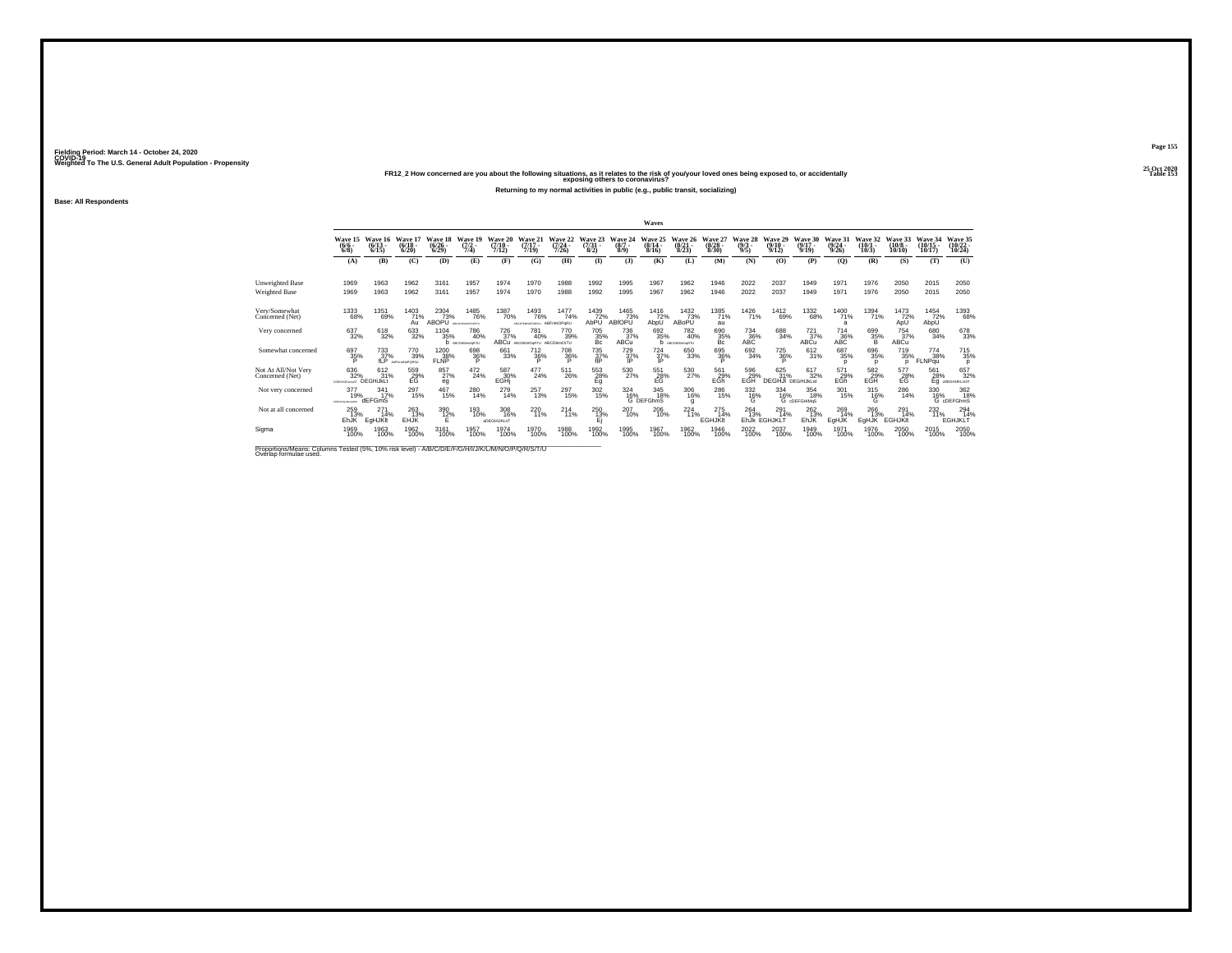**25 Oct 2020FR12\_2 How concerned are you about the following situations, as it relates to the risk of you/your loved ones being exposed to, or accidentally Table 153 exposing others to coronavirus?**

**Returning to my normal activities in public (e.g., public transit, socializing)**

**Base: All Respondents**

|                                                              |                                  |                                     |                              |                                 |                                          |                                                                 |                                             |                              |                                 |                                     | Waves                        |                                 |                                     |                                |                                        |                                      |                                         |                              |                                   |                                   |                                    |
|--------------------------------------------------------------|----------------------------------|-------------------------------------|------------------------------|---------------------------------|------------------------------------------|-----------------------------------------------------------------|---------------------------------------------|------------------------------|---------------------------------|-------------------------------------|------------------------------|---------------------------------|-------------------------------------|--------------------------------|----------------------------------------|--------------------------------------|-----------------------------------------|------------------------------|-----------------------------------|-----------------------------------|------------------------------------|
|                                                              | Wave 15<br>$\binom{6/6}{6/8}$    | Wave 16<br>$\binom{6/13}{6/15}$     | Wave 17<br>$(6/18 -$<br>6/20 | Wave 18<br>$\binom{6/26}{6/29}$ | 10<br>$\frac{(7/2)}{7/4}$                | Wave 2<br>$\frac{(7/10)}{7/12}$                                 | Wave 21<br>$\frac{(7/17)}{7/19}$            | Wave 22<br>$(7/24 -$<br>7/26 | Wave 23<br>$\frac{(7/31)}{8/2}$ | Wave 24<br>$(8/7 -$<br>8/9          | Wave 25<br>$(8/14 -$<br>8/16 | Wave 26<br>$\binom{8/21}{8/23}$ | <b>Wave</b><br>$\binom{8/28}{8/30}$ | Wave 28<br>$\frac{(9/3)}{9/5}$ | Wave 29<br>$\frac{(9/10)}{9/12}$       | Wave 30<br>$\frac{(9/17 - 9)}{9/19}$ | Wave 31<br>$\frac{(9/24 - 9/26)}{9/26}$ | Wave<br>$\binom{10/1}{10/3}$ | Wave<br>$(10/8 -$<br>10/10        | Wave 34<br>$\binom{10/15}{10/17}$ | Wave 35<br>$\frac{(10/22)}{10/24}$ |
|                                                              | (A)                              | (B)                                 | (C)                          | (D)                             | (E)                                      | (F)                                                             | (G)                                         | (H)                          | $($ $\Gamma$                    | (3)                                 | (K)                          | (L)                             | (M)                                 | (N)                            | (O)                                    | (P)                                  | (Q)                                     | (R)                          | (S)                               | (T)                               | (U)                                |
| <b>Unweighted Base</b>                                       | 1969                             | 1963                                | 1962                         | 3161                            | 1957                                     | 1974                                                            | 1970                                        | 1988                         | 1992                            | 1995                                | 1967                         | 1962                            | 1946                                | 2022                           | 2037                                   | 1949                                 | 1971                                    | 1976                         | 2050                              | 2015                              | 2050                               |
| Weighted Base                                                | 1969                             | 1963                                | 1962                         | 3161                            | 1957                                     | 1974                                                            | 1970                                        | 1988                         | 1992                            | 1995                                | 1967                         | 1962                            | 1946                                | 2022                           | 2037                                   | 1949                                 | 1971                                    | 1976                         | 2050                              | 2015                              | 2050                               |
| Very/Somewhat<br>Concerned (Net)                             | 1333<br>68%                      | 1351<br>69%                         | $^{1403}_{71\%}$<br>Au       | 2304<br>73%<br>ABOPU            | <sup>1485</sup> 76%<br>earliesworkhastic | <sup>1387</sup> 70%                                             | 1493<br>76%<br>ARCHRANOPORSKI ABFINNOPORU   | 1477<br>74%                  | 1439<br>72%<br>AbPU             | 1465<br>73%<br>ABfOPU               | 1416<br>72%<br>AbpU          | $\frac{1432}{73\%}$<br>ABoPU    | 1385<br>71%<br>au                   | <sup>1426</sup> 71%            | <sup>1412</sup> 69%                    | 1332<br>68%                          | <sup>1400</sup> 71%<br>$\overline{a}$   | 1394<br>71%                  | 1473<br>72%<br>ApU                | 1454<br>72%<br>AbpU               | 1393<br>68%                        |
| Very concerned                                               | 637<br>32%                       | 618<br>32%                          | 633<br>32%                   | 1104<br>35%                     | 786<br>40%<br>ABCDIKM-OgRTU              | 726<br>37%                                                      | 781<br>40%<br>ABCU ABCDIKMOARTU ABCDIkmOrTU | 770<br>39%                   | 705<br>35%<br>Bc                | 736<br>37%<br>ABCu                  | 692<br>35%                   | 782<br>40%<br>ABCDIKMsOcRTU     | 690<br>35%<br>Bc                    | 734<br>36%<br>ABC              | 688<br>34%                             | 721<br>37%<br>ABCu                   | 714<br>36%<br>ABC                       | 699<br>35%                   | 754<br>37%<br>ABCu                | 680<br>34%                        | 678<br>33%                         |
| Somewhat concerned                                           | 697<br>35%                       | 733<br>37%<br>fl P                  | 770<br>39%<br>AsPALMNoPORSU  | 1200<br>38%<br><b>FLNP</b>      | 698<br>36%<br>D                          | 661<br>33%                                                      | $^{712}_{36\%}$                             | <sup>708</sup> 36%           | $^{735}_{37\%}$<br>fIP          | <sup>729</sup> <sub>37%</sub><br>IP | $^{724}_{37\%}$<br>IP        | 650<br>33%                      | 695<br>36%<br>P                     | 692<br>34%                     | <sup>725</sup> 36%<br>D                | 612/31%                              | 687<br>35%<br>D                         | $^{696}_{35\%}$<br>n         | 719<br>35%<br>n                   | 774<br>38%<br>FLNPqu              | <sup>715</sup> <sub>35%</sub><br>D |
| Not At All/Not Very<br>Concerned (Net)                       | 636<br>32%<br><b>TRONDRUMORE</b> | $^{612}_{31\%}$<br><b>DEGHiJkLt</b> | 559<br>29%<br>EG             | 857%<br>eg                      | $^{472}_{24\%}$                          | 587<br>30%<br>EGHi                                              | $^{477}_{24\%}$                             | $^{511}_{26\%}$              | $^{553}_{28\%}$                 | 530<br>27%                          | $^{551}_{-28\%}$             | 530<br>27%                      | 561<br>29%<br>EGh                   | 596<br>29%<br>EGH              | 625<br>31%<br><b>DEGHJI</b> DEGHIJKLst | 617<br>32%                           | 571<br>29%<br>EĞĥ                       | $^{582}_{29\%}$ EGH          | $^{577}_{28\%}$                   | 561<br>28%<br>Eq                  | 657<br>32%<br>dDEGHUKLmST          |
| Not very concerned                                           | 377<br>19%<br>CDEPOHILM-LORD     | 341<br>17%<br>dEFGmS                | 297<br>15%                   | 467<br>15%                      | 280<br>14%                               | 279<br>14%                                                      | 257<br>13%                                  | 297<br>15%                   | 302<br>15%                      | 324<br>16%                          | 345<br>18%<br>G DEFGhmS      | 306<br>16%<br>g                 | 286<br>15%                          | 332<br>$^{16\%}_{\circ}$       | 334<br>16%<br>G                        | 354<br>18%<br>cDEFGHiMaS             | 301<br>15%                              | 315<br>${}^{16\%}_{G}$       | 286<br>14%                        | 330<br>16%                        | 362<br>18%<br>G cDEFGhmS           |
| Not at all concerned                                         | 259<br>13%<br>EhJK               | 27 <sup>1</sup><br>14%<br>EgHJKIt   | 263<br>13%<br>EHJK           | 390<br>12%                      | 193<br>10%                               | 308<br>16%<br>aDEGHIJKLnT                                       | 220<br>11%                                  | $^{214}_{11\%}$              | 250<br>13%<br>Е                 | 207<br>10%                          | 206<br>10%                   | $^{224}_{11\%}$                 | 275<br>14%<br><b>EGHJKIt</b>        | 264<br>13%                     | 291<br>14%<br>EhJk EGHJKLT             | 262<br>13%<br><b>EhJK</b>            | 269<br>14%<br>EgHJK                     | 266<br>13%<br>EgHJK          | $^{291}_{14\%}$<br><b>EGHJKIt</b> | 232<br>11%                        | 294 14%<br><b>EGHJKLT</b>          |
| Sigma<br>Departises Massey Calvese Tested UNI 400 dal lavell | 1969<br>100%                     | 1963<br>100%                        | 1962<br>100%                 | 3161<br>100%<br>$\sqrt{2}$      | 1957<br>100%                             | 1974<br>100%<br>AN ALAMA A LA CIAZA DI A ALAMA ANCHE A ANCHE AL | 1970<br>100%                                | 1988<br>100%                 | 1992<br>100%                    | 1995<br>100%                        | 1967<br>100%                 | 1962<br>100%                    | 1946<br>100%                        | 2022<br>100%                   | 2037<br>100%                           | 1949<br>100%                         | 1971<br>100%                            | 1976<br>100%                 | 2050<br>100%                      | 2015<br>100%                      | 2050<br>100%                       |

Proportions/Means: Columns Tested (5%, 10% risk level) - A/B/C/D/E/F/G/H/I/J/K/L/M/N/O/P/Q/R/S/T/U Overlap formulae used.<br>Overlap formulae used.

**Page 155**25 Oct 2020<br>Table 153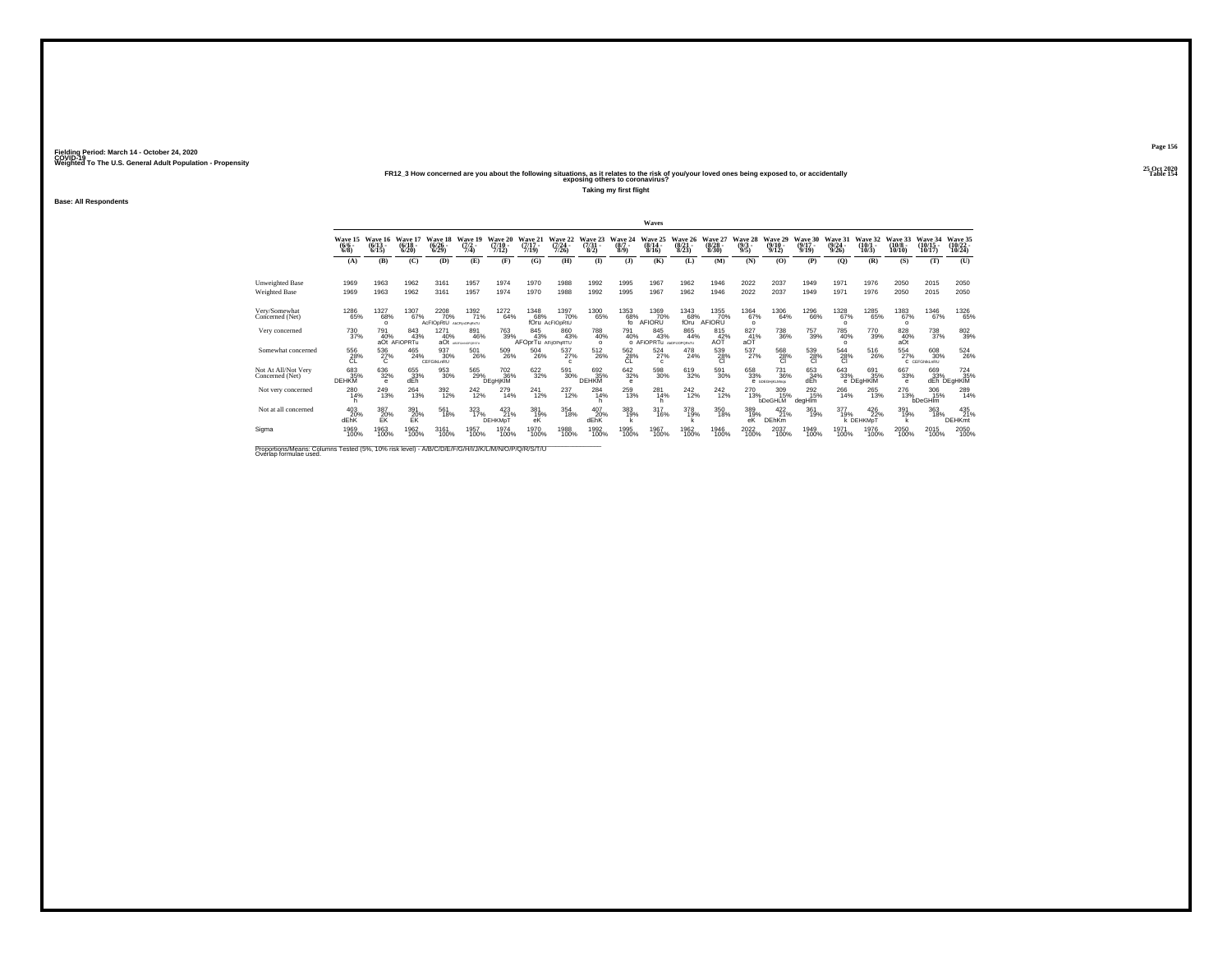**Base: All Respondents**

**25 Oct 2020FR12\_3 How concerned are you about the following situations, as it relates to the risk of you/your loved ones being exposed to, or accidentally Table 154 exposing others to coronavirus?**

**Taking my first flight**

**Fielding Period: March 14 - October 24, 2020 COVID-19 Weighted To The U.S. General Adult Population - Propensity**

|                                                                                                                              |                            |                              |                              |                                        |                                |                              |                                  |                               |                                 |                         | Waves                                 |                              |                              |                             |                                     |                              |                              |                                       |                               |                                      |                                      |
|------------------------------------------------------------------------------------------------------------------------------|----------------------------|------------------------------|------------------------------|----------------------------------------|--------------------------------|------------------------------|----------------------------------|-------------------------------|---------------------------------|-------------------------|---------------------------------------|------------------------------|------------------------------|-----------------------------|-------------------------------------|------------------------------|------------------------------|---------------------------------------|-------------------------------|--------------------------------------|--------------------------------------|
|                                                                                                                              | Wave 15<br>$(6/6 -$<br>6/8 | Wave 16<br>$(6/13 -$<br>6/15 | Wave 17<br>$(6/18 -$<br>6/20 | Wave 18<br>$(6/26 -$<br>6/29           | Wave 19<br>$(7/2 -$<br>7/4)    | Wave 20<br>$(7/10 -$<br>7/12 | Wave 21<br>$(7/17 -$<br>7/19     | Wave 22<br>(7/24)<br>7/26     | Wave 23<br>$\frac{(7/31)}{8/2}$ | Wave 24<br>(8/7)<br>8/9 | Wave 25<br>$(8/14 -$<br>8/16          | Wave 26<br>$(8/21 -$<br>8/23 | Wave 27<br>$(8/28 -$<br>8/30 | Wave 28<br>$(9/3 -$<br>9/5  | Wave 29<br>$(9/10 -$<br>9/12        | Wave 30<br>$(9/17 -$<br>9/19 | Wave 31<br>$(9/24 -$<br>9/26 | Wave 32<br>$(10/1 -$<br>10/3          | Wave 33<br>$(10/8 -$<br>10/10 | Wave 34<br>$(10/15 -$<br>10/17       | Wave 35<br>$(10/22 -$<br>10/24       |
|                                                                                                                              | (A)                        | (B)                          | (C)                          | (D)                                    | (E)                            | (F)                          | (G)                              | (H)                           | $\bf{D}$                        | (3)                     | (K)                                   | (L)                          | (M)                          | (N)                         | (O)                                 | (P)                          | (0)                          | (R)                                   | (S)                           | (T)                                  | (U)                                  |
| <b>Unweighted Base</b><br>Weighted Base                                                                                      | 1969<br>1969               | 1963<br>1963                 | 1962<br>1962                 | 3161<br>3161                           | 1957<br>1957                   | 1974<br>1974                 | 1970<br>1970                     | 1988<br>1988                  | 1992<br>1992                    | 1995<br>1995            | 1967<br>1967                          | 1962<br>1962                 | 1946<br>1946                 | 2022<br>2022                | 2037<br>2037                        | 1949<br>1949                 | 1971<br>1971                 | 1976<br>1976                          | 2050<br>2050                  | 2015<br>2015                         | 2050<br>2050                         |
| Very/Somewhat<br>Concerned (Net)                                                                                             | 1286<br>65%                | 1327<br>68%<br>$\circ$       | 1307<br>67%                  | 2208<br>70%<br>AcFIODRtU ASCPINOPURATU | 1392<br>71%                    | 1272<br>64%                  | 1348<br>68%                      | 1397<br>70%<br>fOru AcFIOoRtU | 1300<br>65%                     | 1353<br>68%<br>fo       | 1369<br>70%<br>AFIORU                 | 1343<br>68%<br>fOru          | 1355<br>70%<br>AFIORU        | $^{1364}_{67\%}$<br>$\circ$ | 1306<br>64%                         | <sup>1296</sup> 66%          | 1328<br>67%<br>$\circ$       | <sup>1285</sup> 65%                   | 1383<br>67%<br>$\circ$        | $^{1346}_{67\%}$                     | <sup>1326</sup> 65%                  |
| Very concerned                                                                                                               | 730<br>37%                 | 791<br>40%                   | 843<br>43%<br>aOt AFIOPRTu   | 1271<br>40%                            | 891<br>46%<br>aOt AGGUNGSORITU | 763<br>39%                   | 845<br>43%<br>AFOprTu AFijOPqRTU | 860<br>43%                    | 788<br>40%<br>$\Omega$          | 791<br>40%              | 845<br>43%<br>O AFIOPRTu ANDRUOPORNTU | 865<br>44%                   | 815<br>$A0$ $\frac{42}{7}$ % | 827<br>41%<br>aOT           | 738<br>36%                          | 757<br>39%                   | 785<br>40%<br>$\circ$        | 770<br>39%                            | 828<br>40%<br>aOt             | $^{738}_{\phantom{1}37\%}$           | 802<br>39%                           |
| Somewhat concerned                                                                                                           | 556<br>28%<br>CL           | 536<br>27%<br>C              | 465<br>24%                   | 937<br>30%<br>CEFGIKLnRU               | 501<br>26%                     | 509<br>26%                   | $^{504}_{\ 26\%}$                | $^{537}_{27\%}$<br>c          | 512<br>26%                      | 562 28%<br><b>CL</b>    | $^{524}_{27\%}$<br>$\mathfrak{c}$     | $^{478}_{24\%}$              | 539<br>28%<br><b>CI</b>      | $^{537}_{27\%}$             | 568<br>28%<br><b>CI</b>             | 539<br>28%<br>CI             | 544<br>28%<br><b>CI</b>      | $^{516}_{\phantom{1}\phantom{1}26\%}$ | $^{554}_{27\%}$               | $^{608}_{30\%}$<br>C CEFGNKLnRU      | 524<br>26%                           |
| Not At All/Not Very<br>Concerned (Net)                                                                                       | 683<br>35%<br>DEHKM        | 636<br>32%<br>$\theta$       | 655<br>33%<br>dEh            | 953<br>30%                             | 565<br>29%                     | 702 36%<br><b>DEgHjKIM</b>   | 622/32%                          | 591<br>30%                    | 692<br>35%<br><b>DEHKM</b>      | 642<br>32%<br>e         | 598<br>30%                            | 619<br>32%                   | 591<br>30%                   | $\substack{658 \\ 33\%}$    | <sup>731</sup> 36%<br>e bDEGHKLMngs | 653<br>34%<br>dEh            | 643<br>33%                   | 691<br>35%<br>e DEgHKIM               | 667<br>33%<br>$\theta$        | 669                                  | 724<br>35%<br>33% 35°<br>dEh DEgHKIM |
| Not very concerned                                                                                                           | 280<br>14%<br>h            | 249<br>13%                   | $\frac{264}{13\%}$           | $\frac{392}{12\%}$                     | 242<br>12%                     | 279<br>14%                   | 241<br>12%                       | $\substack{237 \\ 12\%}$      | 284<br>14%                      | $^{259}_{13\%}$         | 281<br>14%<br>h                       | 242<br>12%                   | $^{242}_{12\%}$              | 270<br>13%                  | 309<br>15%<br><b>bDeGHLM</b>        | 292<br>15%<br>degHlm         | 266<br>14%                   | 265<br>13%                            | 276<br>13%                    | $\frac{306}{15\%}$<br><b>bDeGHIm</b> | 289<br>14%                           |
| Not at all concerned                                                                                                         | $^{403}_{20\%}$<br>dEhK    | 387<br>20%<br>FK             | 391<br>20%<br>EK             | 561<br>18%                             | 323/17%                        | 423/21%<br>DEHKMpT           | 381<br>19%<br>еK                 | $\underset{18\%}{354}$        | 407<br>20%<br>dEhK              | 383<br>19%              | 317<br>16%                            | 378<br>19%                   | 350<br>18%                   | 389<br>19%<br>eK            | 422<br>21%<br><b>DEhKm</b>          | 361<br>19%                   | 377<br>19%                   | $^{426}_{22\%}$<br>k DEHKMpT          | 391<br>19%                    | 363<br>18%                           | 435<br>21%<br><b>DEHKmt</b>          |
| Siama                                                                                                                        | 1969<br>100%               | 1963<br>100%                 | 1962<br>100%                 | 3161<br>100%                           | 1957<br>100%                   | 1974<br>100%                 | 1970<br>100%                     | 1988<br>100%                  | 1992<br>100%                    | 1995<br>100%            | 1967<br>100%                          | 1962<br>100%                 | 1946<br>100%                 | 2022<br>100%                | 2037<br>100%                        | 1949<br>100%                 | 1971<br>100%                 | 1976<br>100%                          | 2050<br>100%                  | 2015<br>100%                         | 2050<br>100%                         |
| Proportions/Means: Columns Tested (5%, 10% risk level) - A/B/C/D/E/F/G/H/I/J/K/L/M/N/O/P/Q/R/S/T/U<br>Overlap formulae used. |                            |                              |                              |                                        |                                |                              |                                  |                               |                                 |                         |                                       |                              |                              |                             |                                     |                              |                              |                                       |                               |                                      |                                      |

**Page 156**25 Oct 2020<br>Table 154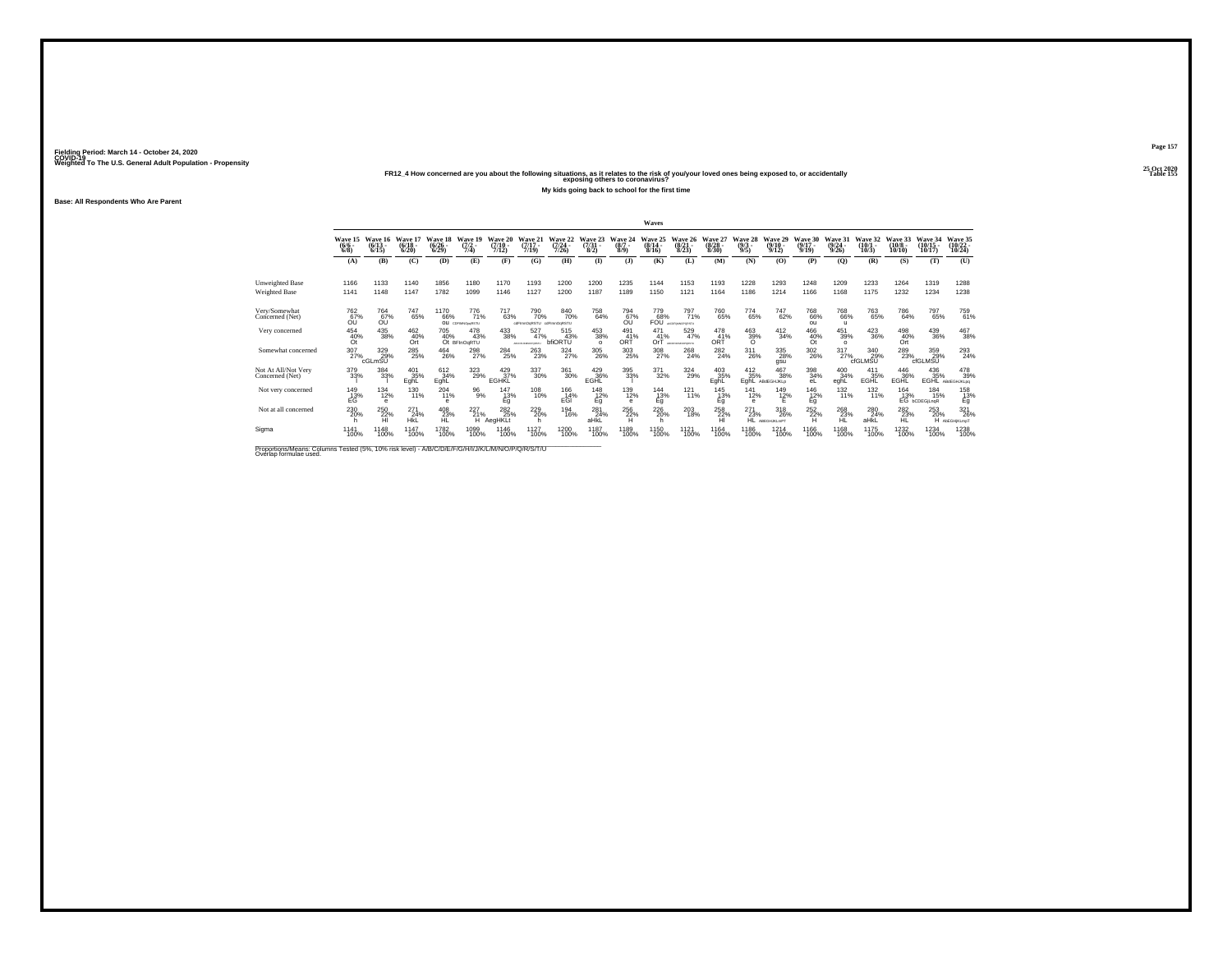**25 Oct 2020FR12\_4 How concerned are you about the following situations, as it relates to the risk of you/your loved ones being exposed to, or accidentally Table 155 exposing others to coronavirus?**

**My kids going back to school for the first time**

**Base: All Respondents Who Are Parent**

|                                                                  |                                      |                              |                              |                                                             |                                      |                                    |                                         |                                       |                                |                            | Waves                           |                                 |                                 |                                  |                                                         |                                      |                                  |                              |                               |                                        |                                     |
|------------------------------------------------------------------|--------------------------------------|------------------------------|------------------------------|-------------------------------------------------------------|--------------------------------------|------------------------------------|-----------------------------------------|---------------------------------------|--------------------------------|----------------------------|---------------------------------|---------------------------------|---------------------------------|----------------------------------|---------------------------------------------------------|--------------------------------------|----------------------------------|------------------------------|-------------------------------|----------------------------------------|-------------------------------------|
|                                                                  | Wave 15<br>$(6/6 -$<br>6/8           | Wave 16<br>$(6/13 -$<br>6/15 | Wave 17<br>$(6/18 -$<br>6/20 | Wave 18<br>$\binom{6/26}{6/29}$                             | Wave 19<br>$\frac{(7/2)}{7/4}$       | Wave 20<br>(7/10)<br>7/12)         | Wave 21<br>$(7/17 -$<br>7/19            | Wave 22<br>$(7/24 -$<br>7/26          | Wave 23<br>$\binom{7/31}{8/2}$ | Wave 24<br>$(8/7 -$<br>8/9 | 25<br>Wave<br>$(8/14 -$<br>8/16 | Wave 26<br>$(8/21 -$<br>8/23    | Wave 27<br>$\binom{8/28}{8/30}$ | Wave 28<br>$\binom{9/3}{9/5}$    | Wave 29<br>$\frac{(9/10)}{9/12}$                        | Wave 30<br>$\frac{(9/17 - 9)}{9/19}$ | Wave 31<br>$\frac{(9/24)}{9/26}$ | Wave 32<br>$(10/1 -$<br>10/3 | Wave 33<br>$(10/8 -$<br>10/10 | Wave 34<br>$(10/15 -$<br>10/17         | Wave 35<br>$\binom{10/22}{10/24}$   |
|                                                                  | (A)                                  | (B)                          | (C)                          | (D)                                                         | (E)                                  | (F)                                | (G)                                     | (H)                                   | $\bf(I)$                       | (1)                        | (K)                             | (L)                             | (M)                             | (N)                              | (0)                                                     | (P)                                  | (0)                              | (R)                          | (S)                           | (T)                                    | (U)                                 |
| <b>Unweighted Base</b>                                           | 1166                                 | 1133                         | 1140                         | 1856                                                        | 1180                                 | 1170                               | 1193                                    | 1200                                  | 1200                           | 1235                       | 1144                            | 1153                            | 1193                            | 1228                             | 1293                                                    | 1248                                 | 1209                             | 1233                         | 1264                          | 1319                                   | 1288                                |
| <b>Weighted Base</b>                                             | 1141                                 | 1148                         | 1147                         | 1782                                                        | 1099                                 | 1146                               | 1127                                    | 1200                                  | 1187                           | 1189                       | 1150                            | 1121                            | 1164                            | 1186                             | 1214                                                    | 1166                                 | 1168                             | 1175                         | 1232                          | 1234                                   | 1238                                |
| Very/Somewhat<br>Concerned (Net)                                 | <sup>762</sup> %<br>Őΰ               | <sup>764</sup> 67%<br>Őΰ     | 747<br>65%                   | <sup>1170</sup> 66%                                         | <sup>776</sup> 71%<br>OU COMMODORSTU | <sup>717</sup> 63%                 | 790<br>70%<br>ofFinnOgRSTU ofFinnOgRSTU | 840<br>70%                            | 758<br>64%                     | 794<br>67%<br>Őΰ           | 779<br>68%                      | 797<br>71%<br>FOU accessorosatu | 760<br>65%                      | 774<br>65%                       | 747<br>62%                                              | <sup>768</sup> 66%<br>ou             | 768<br>66%<br>ш.                 | 763<br>65%                   | 786<br>64%                    | 797<br>65%                             | 759<br>61%                          |
| Very concerned                                                   | 454<br>40%<br>Őt                     | $^{435}_{\phantom{1}38\%}$   | 462<br>40%<br>Ort            | 705<br>40%                                                  | 478<br>43%<br>Ot BFInOgRTU           | 433<br>38%                         | 527<br>47%<br>ABCOFLIKING/PORTFU        | 515<br>43%<br>bfiORTU                 | 453<br>38%<br>$\Omega$         | 491<br>41%<br>ORT          | 471<br>41%<br>OrT               | 529<br>47%<br>ARCEFUGINOPORTIU  | 478<br>41%<br>ORT               | $\underset{\mathcal{O}}{^{463}}$ | $\frac{412}{34\%}$                                      | 466<br>40%<br>Öt                     | 451<br>39%<br>$\Omega$           | $\frac{423}{36\%}$           | 498<br>40%<br>Ort             | 439<br>36%                             | 467<br>38%                          |
| Somewhat concerned                                               | $\frac{307}{27\%}$                   | 329%<br>cGLmSU               | 285<br>25%                   | $^{464}_{26\%}$                                             | 298<br>27%                           | <sup>284</sup> <sub>25%</sub>      | 263<br>23%                              | $\frac{324}{27\%}$                    | 305<br>26%                     | 303<br>25%                 | 308<br>27%                      | $^{268}_{24\%}$                 | $^{282}_{24\%}$                 | 311<br>26%                       | $^{335}_{\phantom{1}\phantom{1}\phantom{1}28\%}$<br>gsu | $\frac{302}{26\%}$                   | 317<br>27%                       | 340<br>29%<br>cfGLMSU        | 289<br>23%                    | 359<br>29%<br>cfGLMSU                  | 293<br>24%                          |
| Not At All/Not Very<br>Concerned (Net)                           | 379<br>33%                           | 384<br>33%                   | 401<br>35%<br>EghL           | 612<br>34%<br>EghL                                          | $\frac{323}{29\%}$                   | $\frac{429}{37\%}$<br><b>EGHKL</b> | 337<br>30%                              | $^{361}_{30\%}$                       | 429<br>36%<br>EGHL             | 395<br>33%                 | 371<br>32%                      | $\frac{324}{29\%}$              | 403<br>35%<br>EghL              | $^{412}_{35\%}$<br>EghL          | 467<br>38%<br>ABdEGHJKLp                                | 398<br>34%<br>eL                     | 400<br>34%<br>eghL               | 411<br>35%<br>EGHL           | 446<br>36%<br>EGHL            | 436<br>35%<br>EGHL                     | 478<br>39%<br>ABdEGHJKLog           |
| Not very concerned                                               | 149<br>E <sub>G</sub> <sup>13%</sup> | 134<br>12%<br>$\circ$        | 130<br>11%                   | 204<br>11%<br>А                                             | 96<br>9%                             | 147<br>13%<br>Éğ                   | 108<br>10%                              | 166<br>E <sub>GI</sub> <sup>14%</sup> | 148<br>12%<br>Eq               | 139<br>12%<br>e            | 144<br>${}^{13\%}_{Eg}$         | 121<br>11%                      | 145<br>13%<br>Eq                | 141<br>12%<br>e                  | 149<br>12%                                              | 146<br>$^{12}_{Eg}$                  | 132<br>11%                       | 132<br>11%                   | 164                           | 184<br>13% 15%<br>EG bCDEGjLngR<br>15% | 158<br>$^{13\%}_{Eg}$               |
| Not at all concerned                                             | 230 20%                              | 250<br>22%<br>HI             | 271<br>24%<br><b>HkL</b>     | 408<br>23%<br>HĹ                                            | 227<br>21%                           | 282<br>25%<br>H AegHKLt            | 229<br>20%                              | 194<br>16%                            | 281<br>24%<br>aHkL             | 256<br>22%<br>н            | 226                             | $^{203}_{18\%}$                 | 258<br>н                        | $^{271}_{23\%}$<br>HL            | 318<br>26%<br>ABEGHJKLmPT                               | 252/22%<br>н                         | 268<br>HL                        | 280<br>24%<br>aHkL           | 282<br>23%<br>HL              | $^{253}_{20\%}$                        | 321 <sub>26%</sub><br>Н АЬЕGНИА.трТ |
| Sigma                                                            | 1141<br>100%                         | 1148<br>100%                 | 1147<br>100%                 | 1782<br>100%                                                | 1099<br>100%                         | 1146<br>100%                       | 1127<br>100%                            | 1200<br>100%                          | 1187<br>100%                   | 1189<br>100%               | 1150<br>100%                    | 1121<br>100%                    | 1164<br>100%                    | 1186<br>100%                     | 1214<br>100%                                            | 1166<br>100%                         | 1168<br>100%                     | 1175<br>100%                 | 1232<br>100%                  | 1234<br>100%                           | 1238<br>100%                        |
| Departisor Margaret Calveson, Trade 4, 1991 - 4,001 - deli Jacob |                                      |                              |                              | $A \cup A \cup A \cup A \cup B \cup C \cup C \cup A \cup C$ |                                      | <b>IN A A LA MOUDLAND</b>          | T T T T T                               |                                       |                                |                            |                                 |                                 |                                 |                                  |                                                         |                                      |                                  |                              |                               |                                        |                                     |

Proportions/Means: Columns Tested (5%, 10% risk level) - A/B/C/D/E/F/G/H/I/J/K/L/M/N/O/P/Q/R/S/T/U Overlap formulae used.<br>Overlap formulae used.

**Page 157**25 Oct 2020<br>Table 155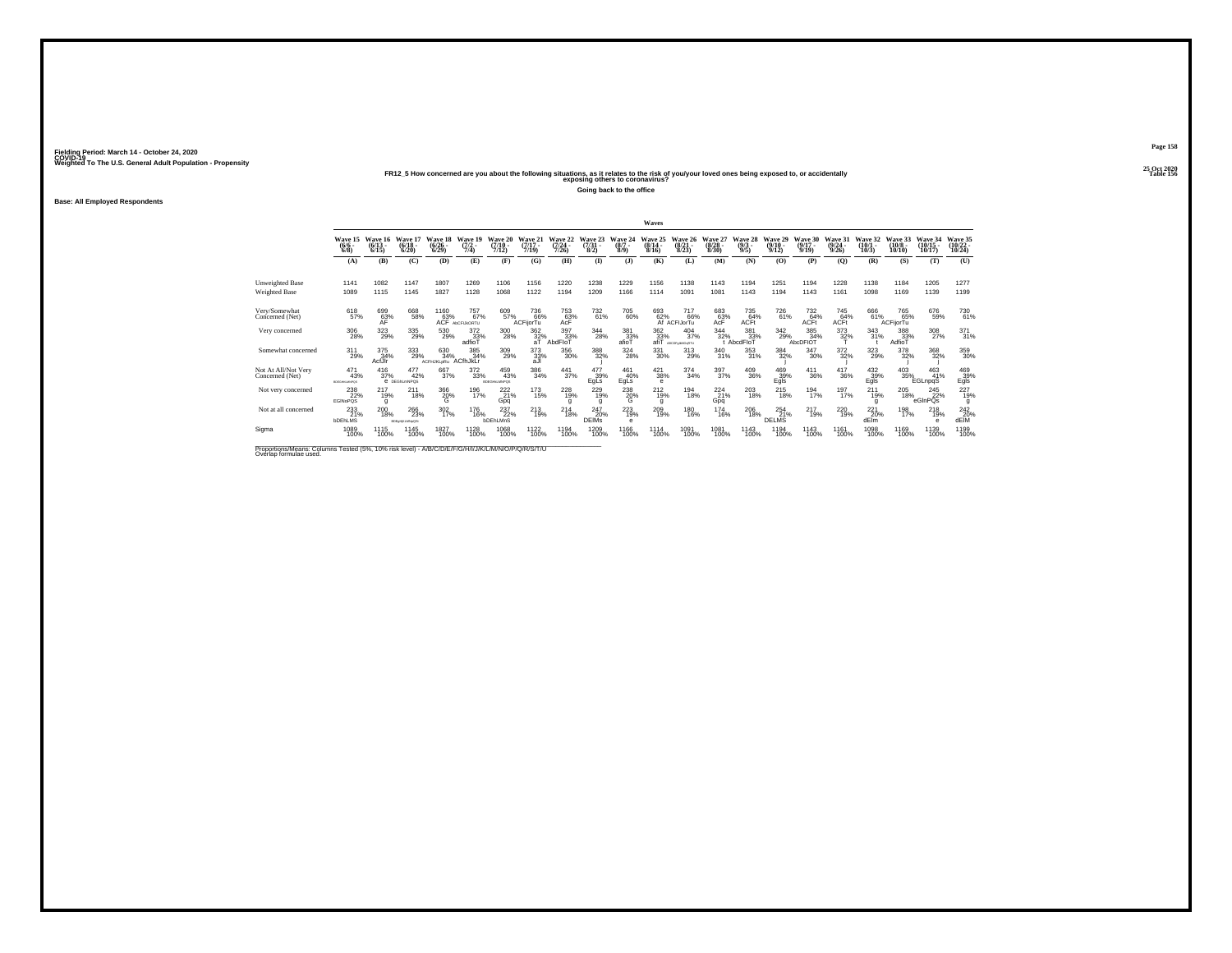**25 Oct 2020FR12\_5 How concerned are you about the following situations, as it relates to the risk of you/your loved ones being exposed to, or accidentally Table 156 exposing others to coronavirus?**

**Going back to the office**

**Base: All Employed Respondents**

|                                         |                                |                              |                               |                              |                                                         |                               |                                 |                              |                              |                               | Waves                         |                                                          |                              |                               |                                 |                              |                              |                                  |                               |                                |                                |
|-----------------------------------------|--------------------------------|------------------------------|-------------------------------|------------------------------|---------------------------------------------------------|-------------------------------|---------------------------------|------------------------------|------------------------------|-------------------------------|-------------------------------|----------------------------------------------------------|------------------------------|-------------------------------|---------------------------------|------------------------------|------------------------------|----------------------------------|-------------------------------|--------------------------------|--------------------------------|
|                                         | Wave 15<br>$(6/6 -$<br>$6/8$ ) | Wave 16<br>$(6/13 -$<br>6/15 | Wave 17<br>$(6/18 -$<br>6/20  | Wave 18<br>$(6/26 -$<br>6/29 | Wave 19<br>$(7/2 -$<br>7/4)                             | Wave 20<br>$(7/10 -$<br>7/12  | Wave 21<br>$(7/17 -$<br>7/19    | Wave 22<br>$(7/24 -$<br>7/26 | Wave 23<br>$(7/31 -$<br>8/2) | Wave 24<br>$(8/7 -$<br>8/9    | Wave<br>$(8/14 -$<br>8/16     | 26<br>Wave<br>$(8/21 -$<br>8/23                          | Wave 27<br>$(8/28 -$<br>8/30 | Wave<br>28<br>$(9/3 -$<br>9/5 | Wave 29<br>$(9/10 -$<br>9/12    | Wave 30<br>$(9/17 -$<br>9/19 | Wave 31<br>$(9/24 -$<br>9/26 | <b>Wave</b><br>$(10/1 -$<br>10/3 | Wave 33<br>$(10/8 -$<br>10/10 | Wave 34<br>$(10/15 -$<br>10/17 | Wave 35<br>$(10/22 -$<br>10/24 |
|                                         | (A)                            | (B)                          | (C)                           | (D)                          | (E)                                                     | (F)                           | (G)                             | (H)                          | $\bf{I}$                     | (3)                           | (K)                           | (L)                                                      | (M)                          | (N)                           | (0)                             | (P)                          | (Q)                          | (R)                              | (S)                           | (T)                            | (U)                            |
| Unweighted Base<br><b>Weighted Base</b> | 1141<br>1089                   | 1082<br>1115                 | 1147<br>1145                  | 1807<br>1827                 | 1269<br>1128                                            | 1106<br>1068                  | 1156<br>1122                    | 1220<br>1194                 | 1238<br>1209                 | 1229<br>1166                  | 1156<br>1114                  | 1138<br>1091                                             | 1143<br>1081                 | 1194<br>1143                  | 1251<br>1194                    | 1194<br>1143                 | 1228<br>1161                 | 1138<br>1098                     | 1184<br>1169                  | 1205<br>1139                   | 1277<br>1199                   |
| Very/Somewhat<br>Concerned (Net)        | 618<br>57%                     | 699<br>63%<br>AF             | 668<br>58%                    |                              | 1160 757<br>63% 67% ACF ADCFLIAORTU<br>757 <sub>%</sub> | 609<br>57%                    | 736<br>66%<br>ACFilorTu         | 753<br>63%<br>AcF            | 732<br>61%                   | 705<br>60%                    |                               | 693 717<br>62% 66\<br>Af ACFIJorTu<br><sup>717</sup> 66% | 683<br>63%<br>AcF            | 735<br>64%<br>ACFt            | <sup>726</sup> 61%              | 73264%<br><b>ACFt</b>        | 745<br>64%<br>ACFt           | 666<br>61%                       | 765<br>65%<br>ACFijorTu       | 676<br>59%                     | 730<br>61%                     |
| Very concerned                          | 306<br>28%                     | 323<br>29%                   | 335<br>29%                    | 530<br>29%                   | 372<br>33%<br>adfioT                                    | 300<br>28%                    | 362<br>$rac{32}{aT}$            | 397<br>33%<br>AbdFloT        | 344<br>28%                   | 381<br>33%<br>afioT           | 362<br>33%<br>afiT            | 404<br>37%<br><b>ABCDFoRMOSRTU</b>                       | 344<br>32%                   | 381<br>33%<br>t AbcdFloT      | 342<br>29%                      | 385<br>34%<br>AbcDFIOT       | 373<br>32%                   | 343<br>31%                       | 388<br>33%<br>AdfioT          | 308<br>27%                     | $^{371}_{31\%}$                |
| Somewhat concerned                      | 311<br>29%                     | $\frac{375}{34\%}$<br>AcfJIr | 333<br>29%                    | 630<br>34%<br>ACFHJKLoRu     | 385<br>34%<br>ACfhJkLr                                  | 309<br>29%                    | $\substack{373 \\ 33\%}$<br>aJI | $^{356}_{\ 30\%}$            | 388<br>32%                   | 324<br>28%                    | 331<br>30%                    | 313<br>29%                                               | $^{340}_{31\%}$              | $\substack{353 \\ 31\%}$      | 384<br>32%                      | $\substack{347\\30\%}$       | 372%                         | 323<br>29%                       | 378<br>32%                    | $\substack{368\\32\%}$         | 359<br>30%                     |
| Not At All/Not Very<br>Concerned (Net)  | 471<br>43%<br>EDEGHOLMNPOS     | $^{416}_{37\%}$              | 477<br>42%<br>e pegnumNPQS    | 667<br>37%                   | $^{372}_{\ 33\%}$                                       | 459<br>43%<br>EDEGHALMNPOS    | 386<br>34%                      | $\frac{441}{37\%}$           | 477<br>39%<br>EgLs           | 461<br>40%<br>EgLs            | $^{421}_{38\%}$<br>$\epsilon$ | $\frac{374}{34\%}$                                       | $\frac{397}{37\%}$           | $\substack{409\\36\%}$        | 469<br>39%<br>Egls              | $^{411}_{36\%}$              | $\frac{417}{36\%}$           | $^{432}_{39\%}$<br>Egls          | 403<br>35%                    | $^{463}_{41\%}$<br>EGLnpqS     | 469<br>39%<br>Egls             |
| Not very concerned                      | 238<br>22%<br><b>EGINoPOS</b>  | 217<br>19%<br>$\mathbf{q}$   | 211<br>18%                    | 366<br>$^{20\%}$             | 196<br>17%                                              | 222<br>21%<br>Gpq             | 173<br>15%                      | 228<br>19%<br>g              | 229<br>19%<br>g              | 238<br>${}^{20\%}_{\text{G}}$ | 212<br>19%<br>g               | 194<br>18%                                               | 224<br>21%<br>Gpq            | 203<br>18%                    | 215<br>18%                      | 194<br>17%                   | 197<br>17%                   | 211<br>19%<br>g                  | 205<br>18%                    | 245<br>22%<br>eGInPOs          | 227<br>19%<br>g                |
| Not at all concerned                    | 233<br><b>bDEhLMS</b>          | 200<br>18%                   | 266<br>23%<br>BDEgriptLMNpQSt | $^{302}_{17\%}$              | 176<br>16%                                              | 237<br>22%<br><b>bDEhLMnS</b> | $^{213}_{19\%}$                 | $^{214}_{18\%}$              | 247<br>20%<br><b>DEIMs</b>   | 223<br>e                      | 209 <sub>0%</sub>             | 180<br>16%                                               | <sup>174</sup><br>16%        | 206<br>18%                    | $^{254}_{21\%}$<br><b>DELMS</b> | $^{217}_{19\%}$              | 220<br>19%                   | 221<br>20%<br>dElm               | 198<br>17%                    | $^{218}_{19\%}$<br>е           | 242<br>20%<br>dEIM             |
| Sigma                                   | 1089<br>100%                   | 1115<br>100%                 | 1145<br>100%                  | 1827<br>100%                 | 1128<br>100%                                            | 1068<br>100%                  | 1122<br>100%                    | 1194<br>100%                 | 1209<br>100%                 | 1166<br>100%                  | 1114<br>100%                  | 1091<br>100%                                             | 1081<br>100%                 | 1143<br>100%                  | 1194<br>100%                    | 1143<br>100%                 | 1161<br>100%                 | 1098<br>100%                     | 1169<br>100%                  | 1139<br>100%                   | 1199<br>100%                   |

Proportions/Means: Columns Tested (5%, 10% risk level) - A/B/C/D/E/F/G/H/I/J/K/L/M/N/O/P/Q/R/S/T/U Overlap formulae used.<br>Overlap formulae used.

**Page 158**25 Oct 2020<br>Table 156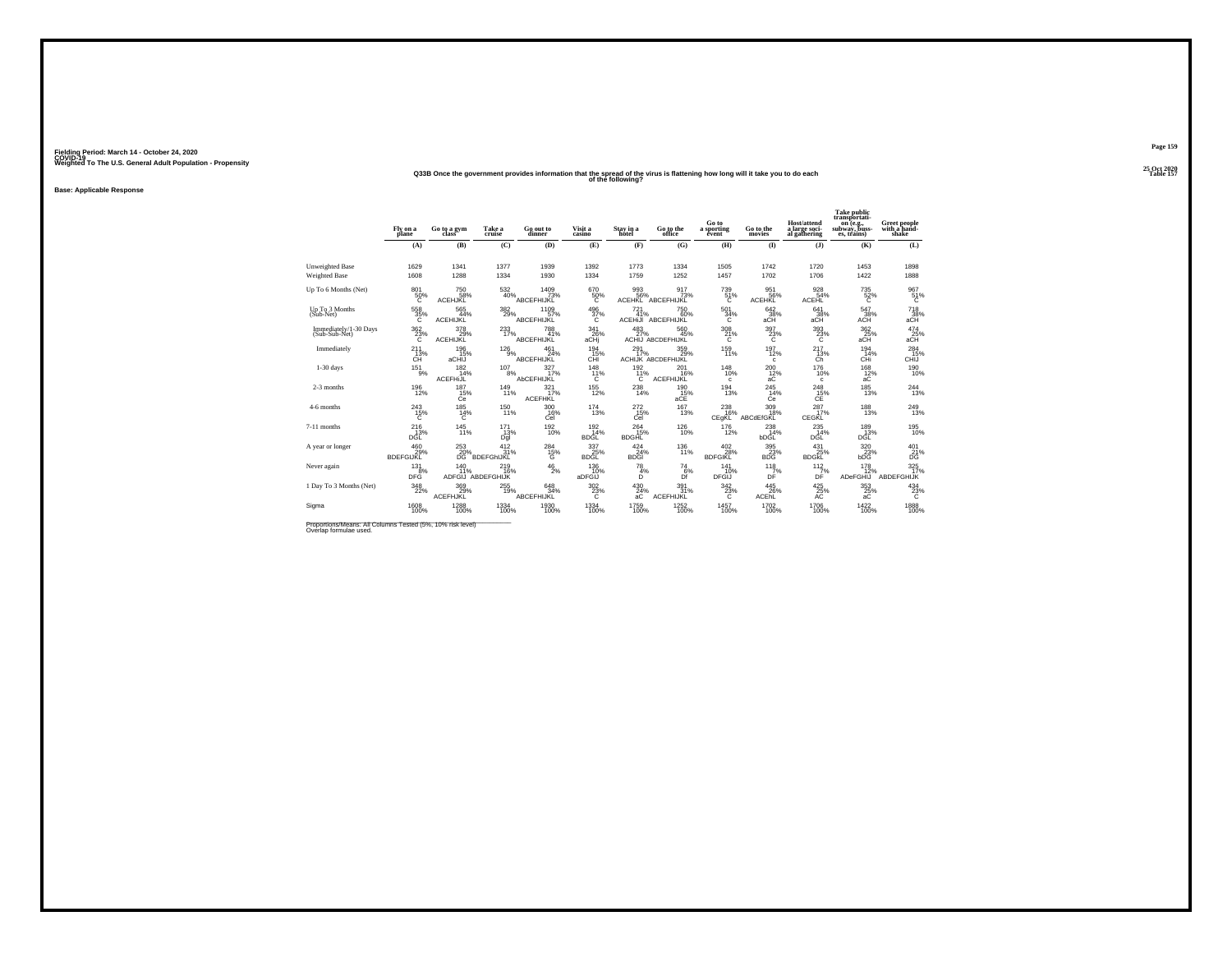## **25 Oct 2020Q33B Once the government provides information that the spread of the virus is flattening how long will it take you to do each Table 157 of the following?**

**Base: Applicable Response**

|                                        | Fly on a<br>plane              | Go to a gym<br>class                 | Take a<br>cruise               | Go out to<br>dinner            | Visit a<br>casino         | Stay in a<br>hotel          | Go to the<br>office              | Go to<br>a sporting<br>évent | Go to the<br>movies         | <b>Host/attend</b><br>a large soci-<br>al gathering | <b>Take public</b><br>transportati-<br>on (e.g.,<br>subway, buss-<br>es, trains) | Greet people<br>with a hand-<br>shake |
|----------------------------------------|--------------------------------|--------------------------------------|--------------------------------|--------------------------------|---------------------------|-----------------------------|----------------------------------|------------------------------|-----------------------------|-----------------------------------------------------|----------------------------------------------------------------------------------|---------------------------------------|
|                                        | (A)                            | (B)                                  | (C)                            | (D)                            | (E)                       | (F)                         | (G)                              | (H)                          | (1)                         | (J)                                                 | (K)                                                                              | (L)                                   |
| Unweighted Base<br>Weighted Base       | 1629<br>1608                   | 1341<br>1288                         | 1377<br>1334                   | 1939<br>1930                   | 1392<br>1334              | 1773<br>1759                | 1334<br>1252                     | 1505<br>1457                 | 1742<br>1702                | 1720<br>1706                                        | 1453<br>1422                                                                     | 1898<br>1888                          |
| Up To 6 Months (Net)                   | 801<br>50%<br>Ō.               | 750<br>58%<br>ACEHJKL                | 532<br>40%                     | 1409<br>73%<br>ABCEFHIJKL      | 670<br>50%<br>Ō.          | 993<br>56%<br><b>ACEHKL</b> | 917<br>73%<br>ABCEFHIJKL         | 739<br>51%<br>c              | 951<br>56%<br><b>ACEHKL</b> | 928<br>54%<br><b>ACEHL</b>                          | 735<br>$\frac{52}{6}$ %                                                          | 967<br>51%<br>Ć                       |
| Up To 3 Months<br>(Sub-Net)            | 558 35%<br>C                   | $565$<br>$44\%$<br><b>ACEHIJKL</b>   | $^{382}_{29\%}$                | 1109<br>57%<br>ABCEFHIJKL      | $496 \over 37\%$<br>c     | $^{721}_{41\%}$             | 750<br>60%<br>ACEHIJI ABCEFHIJKL | $^{501}_{34\%}$<br>C         | 642<br>38%<br>aCH           | 641<br>38%<br>aCH                                   | 547<br>38%<br>ACH                                                                | 718<br>38%<br>aCH                     |
| Immediately/1-30 Days<br>(Sub-Sub-Net) | $^{362}_{\phantom{1}23\%}$     | 378<br>29%<br>ACEHIJKĽ               | $^{233}_{17\%}$                | 788<br>41%<br>ABCEFHIJKL       | 341<br>26%<br>aCHi        | $^{483}_{27\%}$             | 560<br>45%<br>ACHIJ ABCDEFHIJKL  | $^{308}_{21\%}$              | $^{397}_{\,23\%}$           | $\frac{393}{23\%}$                                  | $\substack{362\\25\%\\ \mathrm{aCH} }$                                           | $^{474}_{25\%}$ aCH                   |
| Immediately                            | 211<br>$CH^{\text{13%}}$       | 196<br>15%<br>aCHIJ                  | 126<br>9%                      | 461<br>24%<br>ABCEFHIJKL       | 194<br>15%<br>CHĪ         | 291<br>17%                  | 359<br>29%<br>ACHIJK ABCDEFHIJKL | 159<br>11%                   | 197<br>12%<br>c             | 217<br>$13%$                                        | 194<br>14%<br>CHi                                                                | $^{284}_{\phantom{1}15\%}$ CHIJ       |
| $1-30$ days                            | $^{151}_{9\%}$                 | $^{182}_{14\%}$<br><b>ACEFHIJL</b>   | $^{107}_{\phantom{1}8\%}$      | 327<br>17%<br>AbCEFHIJKL       | 148<br>11%<br>C           | $^{192}_{11\%}$<br>C        | 201<br>16%<br><b>ACEFHIJKL</b>   | $^{148}_{10\%}$<br>c         | $^{200}_{12\%}$<br>aC       | 176<br>10%<br>c                                     | $\frac{168}{12%}$<br>aC                                                          | $^{190}_{10\%}$                       |
| 2-3 months                             | 196<br>12%                     | 187<br>15%<br>Ce                     | 149/11%                        | 321/7%<br><b>ACEFHKL</b>       | $^{155}_{12\%}$           | $^{238}_{14\%}$             | 190<br>15%<br>aCE                | $\frac{194}{13\%}$           | $^{245}_{14\%}$<br>Ċe       | $^{248}_{\substack{15}{\text{CE}}}$                 | $^{185}_{13\%}$                                                                  | 244<br>13%                            |
| 4-6 months                             | $^{243}_{15\%}$<br>C           | 185<br>14%<br>C                      | $^{150}_{11\%}$                | 300<br>16%<br>Cel              | $^{174}_{13\%}$           | $^{272}_{15\%}$<br>Cel      | 167<br>13%                       | $^{238}_{16\%}$<br>CEgKL     | 309 18%<br>ABCdEfGKL        | 287<br>17%<br>CEGKL                                 | $^{188}_{13\%}$                                                                  | 249<br>13%                            |
| 7-11 months                            | $^{216}_{13\%}$<br>DĠĽ         | $\frac{145}{11\%}$                   | 171<br>13%<br>Dgl              | $^{192}_{10\%}$                | 192<br>14%<br><b>BDGL</b> | 264<br>15%<br><b>BDGHL</b>  | $^{126}_{10\%}$                  | $^{176}_{12\%}$              | 238<br>14%<br>bDGL          | $^{235}_{14\%}$<br>DGL                              | 189<br>13%<br>DGL                                                                | $^{195}_{10\%}$                       |
| A year or longer                       | 460<br>29%<br><b>BDEFGIJKL</b> | 253<br>20%<br>DĞ                     | 412<br>31%<br><b>BDEFGHJKL</b> | 284<br>${}^{15\%}_{\text{G}}$  | 337<br>25%<br>BDĞĽ        | 424<br>24%<br><b>BDGI</b>   | 136<br>11%                       | 402<br>28%<br><b>BDFGIKL</b> | 395<br>23%<br><b>BDG</b>    | 431<br>25%<br><b>BDGKL</b>                          | 320<br>23%<br>bDG                                                                | 401<br>21%<br>DG                      |
| Never again                            | $^{131}_{8\%}$<br><b>DFG</b>   | $^{140}_{11\%}$<br>ADFGIJ ABDEFGHIJK | $^{219}_{16\%}$                | $^{46}_{2\%}$                  | 136<br>10%<br>aDFGIJ      | $^{78}_{4\%}$<br>D          | $^{74}_{6\%}$<br>Df              | 141<br>10%<br><b>DFGIJ</b>   | $\frac{118}{7}\%$<br>DÊ     | $\frac{112}{7}\%$<br>DF                             | $^{178}_{12\%}$<br>ADeFGHIJ                                                      | $325$ <sub>17%</sub><br>ABDEFGHIJK    |
| 1 Day To 3 Months (Net)                | $^{348}_{22\%}$                | 369%<br>ACEFHJKL                     | $^{255}_{19\%}$                | $648 \atop 34\%$<br>ABCEFHIJKL | $\frac{302}{23}\%$        | 430<br>āĆ                   | 391/31%<br>ACEFHIJKL             | 342<br>$^{23\%}_{C}$         | $^{445}_{26\%}$<br>ACERL    | $^{425}_{25\%}$                                     | $\underset{\mathrm{aC}}{^{353}}$                                                 | $^{434}_{23\%}$                       |
| Sigma                                  | 1608<br>100%                   | 1288<br>100%                         | 1334<br>100%                   | 1930<br>100%                   | 1334<br>100%              | 1759<br>100%                | 1252<br>100%                     | 1457<br>100%                 | 1702<br>100%                | 1706<br>100%                                        | 1422<br>100%                                                                     | 1888<br>100%                          |

Proportions/Means: All Columns Tested (5%, 10% risk level)<br>Overlap formulae used.

**Page 159**25 Oct 2020<br>Table 157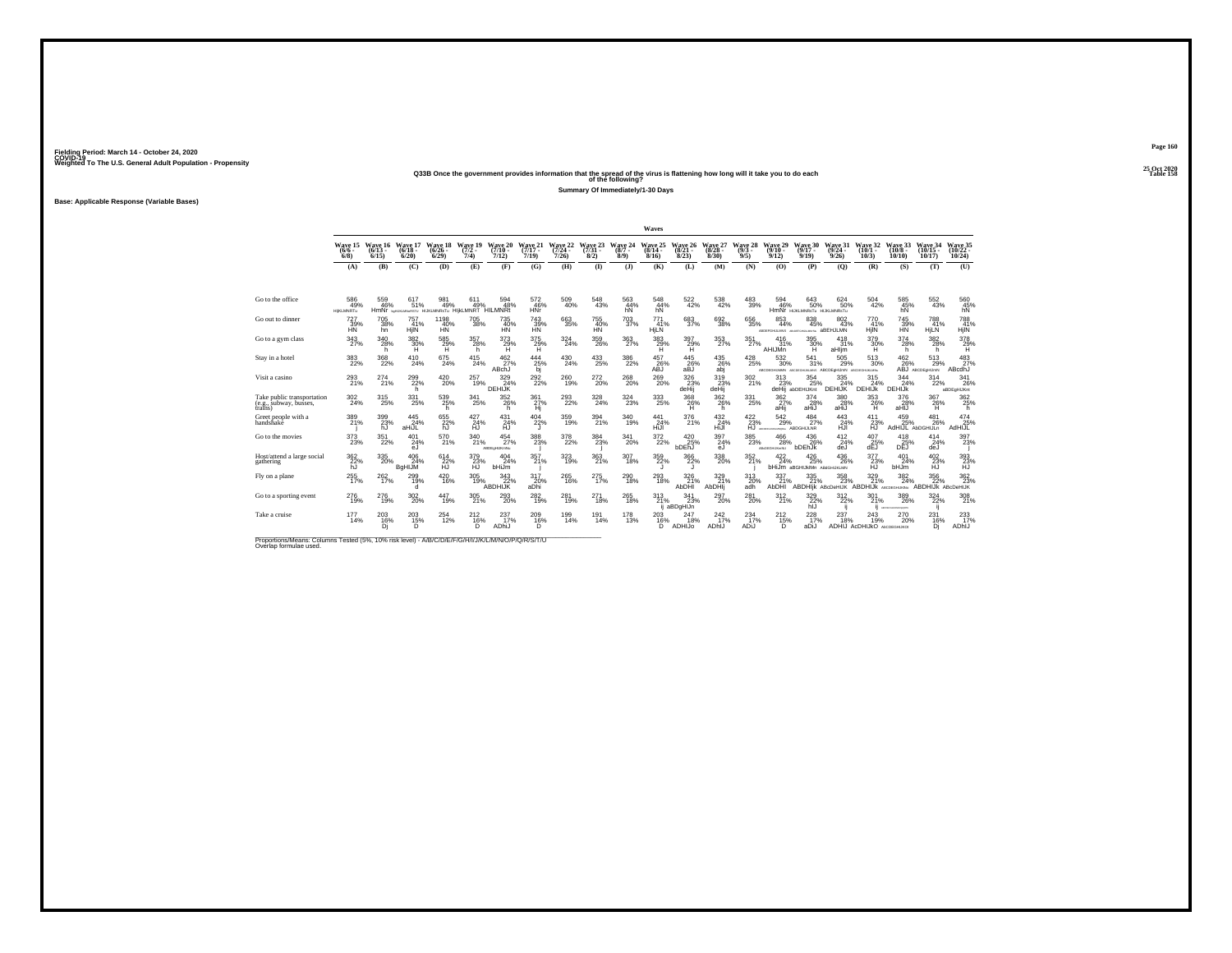**25 Oct 2020Q33B Once the government provides information that the spread of the virus is flattening how long will it take you to do each Table 158 of the following?**

**Summary Of Immediately/1-30 Days**

**Base: Applicable Response (Variable Bases)**

|                                                                                                                              |                                |                              |                                                              |                               |                            |                                 |                              |                              |                              |                            | Waves                        |                              |                              |                             |                                                       |                                            |                                                                      |                                                     |                                         |                                         |                                             |
|------------------------------------------------------------------------------------------------------------------------------|--------------------------------|------------------------------|--------------------------------------------------------------|-------------------------------|----------------------------|---------------------------------|------------------------------|------------------------------|------------------------------|----------------------------|------------------------------|------------------------------|------------------------------|-----------------------------|-------------------------------------------------------|--------------------------------------------|----------------------------------------------------------------------|-----------------------------------------------------|-----------------------------------------|-----------------------------------------|---------------------------------------------|
|                                                                                                                              | Wave 15<br>$(6/6 -$<br>6/8     | Wave 16<br>$(6/13 -$<br>6/15 | Wave 17<br>$(6/18 -$<br>6/20                                 | Wave 18<br>$(6/26 -$<br>6/29  | Wave 19<br>$(7/2 -$<br>7/4 | Wave 20<br>$(7/10 -$<br>7/12)   | Wave 21<br>$(7/17 -$<br>7/19 | Wave 22<br>$(7/24 -$<br>7/26 | Wave 23<br>$(7/31 -$<br>8/2) | Wave 24<br>$(8/7 -$<br>8/9 | Wave 25<br>$(8/14 -$<br>8/16 | Wave 26<br>$(8/21 -$<br>8/23 | Wave 27<br>$(8/28 -$<br>8/30 | Wave 28<br>$(9/3 -$<br>9/5) | Wave 29<br>$(9/10 -$<br>9/12                          | Wave 30<br>$(9/17 -$<br>9/19               | Wave 31<br>$(9/24 -$<br>9/26                                         | Wave 32<br>$(10/1 -$<br>10/3                        | Wave 33<br>$(10/8 -$<br>10/10           | Wave 34<br>$(10/15 -$<br>10/17          | Wave 35<br>$(10/22 -$<br>10/24              |
|                                                                                                                              | (A)                            | (B)                          | (C)                                                          | (D)                           | (E)                        | (F)                             | (G)                          | (H)                          | $\bf{I}$                     | (3)                        | (K)                          | (L)                          | (M)                          | (N)                         | (0)                                                   | (P)                                        | (0)                                                                  | (R)                                                 | (S)                                     | (T)                                     | (U)                                         |
|                                                                                                                              |                                |                              |                                                              |                               |                            |                                 |                              |                              |                              |                            |                              |                              |                              |                             |                                                       |                                            |                                                                      |                                                     |                                         |                                         |                                             |
| Go to the office                                                                                                             | 586<br>49%<br><b>HIKLMNRTu</b> | 559<br>46%                   | 617<br>51%<br>HMNI berukungastu HUKLMNRSTu HIJKLMNRT HILMNRT | 981<br>49%                    | 611<br>49%                 | 594<br>48%                      | 572<br>46%<br><b>HNr</b>     | 509<br>40%                   | 548<br>43%                   | 563<br>44%<br>hN           | 548<br>44%<br>hN             | 522<br>42%                   | 538<br>42%                   | 483<br>39%                  | 594<br>46%                                            | 643<br>50%<br>HMNI HUKLMNRSTU HUKLMNRSTU   | 624<br>50%                                                           | 504<br>42%                                          | 585<br>45%                              | 552<br>43%                              | $^{560}_{\substack{45\%\\ \text{hN}}}$      |
| Go out to dinner                                                                                                             | 727<br>39%<br><b>HN</b>        | 705<br>38%<br>hn             | 757<br>41%<br>HjIN                                           | 1198<br>40%<br>HN             | $\substack{705 \\ 38\%}$   | 735 40%<br>HN                   | 743<br>39%<br><b>HN</b>      | $\substack{663 \\ 35\%}$     | 755<br>40%<br><b>HN</b>      | $^{703}_{\ 37\%}$          | 771<br>41%<br>HjLN           | $\substack{683 \\ 37\%}$     | $^{692}_{38\%}$              | $\substack{656 \\ 35\%}$    | $\substack{853 \\ 44\%}$<br>ABDEFGHLLANS ARE          | $\underset{45\%}{^{838}}$<br>GHLALMAGIN    | 802<br>43%<br>aBEHJLMN                                               | 770<br>41%<br>HjIN                                  | <sup>745</sup> 39%<br><b>HN</b>         | 788<br>41%<br>HjLN                      | 788<br>41%<br>HjIN                          |
| Go to a gym class                                                                                                            | 343<br>27%                     | 340<br>28%<br>h.             | 382<br>30%<br>н                                              | 585<br>29%                    | 357<br>28%<br>h            | 373<br>29%                      | 375<br>$^{29%}_{H}$          | 324<br>24%                   | 359<br>26%                   | 363<br>27%                 | 383<br>29%                   | 397<br>$^{29\%}_{H}$         | $^{353}_{\ 27\%}$            | 351<br>27%                  | 416<br>31%<br>AHIJMn                                  | 395<br>30%                                 | 418<br>31%<br>aHlim                                                  | 379<br>30%                                          | 374<br>28%<br>h.                        | 382<br>28%<br>h                         | $\frac{378}{29}\%$                          |
| Stay in a hotel                                                                                                              | $^{383}_{22\%}$                | $^{368}_{22\%}$              | $^{410}_{24\%}$                                              | $^{675}_{24\%}$               | $^{415}_{24\%}$            | $^{462}_{27\%}$<br>ABchJ        | $^{444}_{25\%}$<br>bj        | $^{430}_{24\%}$              | $^{433}_{\phantom{1}25\%}$   | $\underset{22\%}{^{386}}$  | 457<br>26%<br><b>ABJ</b>     | $^{445}_{26\%}$<br>aBJ       | 435<br>26%<br>abj            | $^{428}_{25\%}$             | $^{532}_{\ 30\%}$                                     | $^{541}_{31\%}$                            | 505<br>29%<br>ABCDEGHLIAMN ABCDEGHLIALMAS ABCDEgHLJmN ABCDEGHLIKLMNs | $^{513}_{\ 30\%}$                                   | 462<br>26%                              | $^{513}_{29\%}$<br>ABJ ABCDEGHLIMN      | 483<br>ABcdhJ                               |
| Visit a casino                                                                                                               | 293<br>21%                     | 274 <sub>21%</sub>           | 299<br>22%<br>h                                              | $^{420}_{20\%}$               | $^{257}_{19\%}$            | 329/24%<br><b>DEHIJK</b>        | $^{292}_{22\%}$              | $^{260}_{19\%}$              | 272<br>20%                   | $^{268}_{\,20\%}$          | $^{269}_{20\%}$              | $\frac{326}{23}\%$<br>deHii  | 319<br>23%<br>deHij          | $\frac{302}{21\%}$          | 313<br>23%                                            | 354<br>25%<br>deHij abDEHIJKnt             | $335$<br>$24\%$<br>DEHIJK                                            | 315<br>24%<br>DEHIJK                                | 344<br>24%<br><b>DEHIJK</b>             | 314<br>22%                              | 341<br>26%<br>aBDEaHIJKnt                   |
| Take public transportation<br>(e.g., subway, busses,<br>trains)                                                              | 302<br>24%                     | 315<br>25%                   | 331<br>25%                                                   | 539<br>25%<br>h               | 341<br>25%                 | 352<br>26%<br>h                 | 361<br>27%<br>Hi             | 293<br>22%                   | 328<br>24%                   | 324<br>23%                 | 333<br>25%                   | 368<br>26%<br>H              | 362<br>26%<br>h              | 331<br>25%                  | 362<br>27%<br>aHii                                    | 374<br>28%<br>aHiJ                         | 380<br>28%<br>aHiJ                                                   | 353<br>26%<br>H                                     | 376<br>28%<br>aHIJ                      | 367<br>26%<br>н                         | 362<br>25%<br>h                             |
| Greet people with a<br>handshake                                                                                             | 389<br>21%                     | 399<br>23%<br>hJ             | $^{445}_{24\%}$<br>aHiJL                                     | 655<br>22%<br>hJ              | $^{427}_{24\%}$<br>HJ      | $^{431}_{24\%}$<br><b>HJ</b>    | $^{404}_{22\%}$              | $^{359}_{19\%}$              | 394<br>21%                   | $\frac{340}{19\%}$         | 441<br>24%<br>HiJI           | 376<br>21%                   | $^{432}_{24\%}$<br>HiJI      | $\frac{422}{23\%}$<br>ĤĴ.   | $^{542}_{29\%}$<br>ARCEFO-LIGANGEN ABDGHIJLNR         | $^{484}_{27\%}$                            | 443<br>24%<br>HJI                                                    | $^{411}_{23\%}$<br>ĤĴ.                              | $^{459}_{25\%}$<br>AdHIJL AbDGHIJLn     | 481<br>26%                              | 474<br>25%<br>AdHIJL                        |
| Go to the movies                                                                                                             | $^{373}_{23\%}$                | $351_{22\%}$                 | $^{401}_{24\%}$<br>eJ                                        | 570<br>21%                    | $^{340}_{\,\,21\%}$        | $^{454}_{27\%}$<br>ABDEgHLJKmNu | $\frac{388}{23\%}$           | 378<br>22%                   | 384<br>23%                   | $^{341}_{\ 20\%}$          | $^{372}_{22\%}$              | $^{420}_{25\%}$<br>bDEhJ     | 397<br>24%<br>eJ             | $\substack{385 \\ 23\%}$    | $^{466}_{\phantom{1}\phantom{1}28\%}$<br>ABORGH JKWNU | 436%<br>bDEhJk                             | $^{412}_{24\%}$<br>deJ                                               | $^{407}_{\rm 25\%}$ dEJ                             | $^{418}_{25\%}$                         | $^{414}_{24\%}$<br>deJ                  | 397<br>23%                                  |
| Host/attend a large social<br>gathering                                                                                      | $\frac{362}{22}\%$<br>hJ       | $^{335}_{\color{red}20\%}$   | 406<br>24%<br>BgHIJM                                         | $614 \over 22\%$<br><b>HJ</b> | 379<br>23%<br>HJ.          | 404<br>24%<br>bHiJm             | $\frac{357}{21\%}$           | $^{323}_{19\%}$              | 363<br>21%                   | 307<br>18%                 | 359<br>22%                   | $\frac{366}{22\%}$           | $^{338}_{\color{red}20\%}$   | 352/21%                     | 422<br>24%                                            | 426<br>25%<br>bHiJm aBGHIJkIMn ABdGHIJKLMN | 436<br>26%                                                           | 377<br>23%<br>HJ                                    | 401<br>24%<br>bHJm                      | $^{402}_{23\%}$<br>HJ                   | $\overset{393}{\underset{\text{HJ}}{23\%}}$ |
| Fly on a plane                                                                                                               | 255<br>17%                     | 262%                         | 299%<br>d                                                    | $^{420}_{16\%}$               | $^{305}_{19\%}$            | 343<br>22%<br>ABDHIJK           | 317<br>20%<br>aDhi           | $^{265}_{16\%}$              | 275<br>17%                   | $^{290}_{18\%}$            | $^{293}_{18\%}$              | $\frac{326}{21\%}$<br>AbDHI  | 329 21%<br>AbDHIi            | $313 \atop 20\%$<br>adh     | $^{337}_{21\%}$<br>AbDHI                              | 335                                        | 358<br>23%<br>ABDHIIK ABCDeHIJK ABDHIJK ABCDEGHUKING                 | $\frac{329}{21\%}$                                  | $\frac{382}{24\%}$                      | $\frac{356}{22\%}$<br>ABDHIJK ABcDeHIJK | 362<br>23%                                  |
| Go to a sporting event                                                                                                       | 276<br>19%                     | 276<br>19%                   | 302<br>20%                                                   | 447<br>19%                    | 305<br>21%                 | 293<br>20%                      | 282<br>19%                   | 281<br>19%                   | 271<br>18%                   | 265<br>18%                 | 313<br>21%                   | 341<br>23%<br>aBDgHIJn       | 297<br>20%                   | 281<br>20%                  | 312<br>21%                                            | 329<br>$22%$ <sub>hl</sub>                 | 312<br>22%                                                           | 301<br>21%                                          | 389<br>26%<br>ARCOR FOR ANNOUNCE CATTLE | 324<br>22%                              | 308<br>21%                                  |
| Take a cruise                                                                                                                | 177<br>14%                     | 203<br>16%<br>Di             | $^{203}_{15\%}$<br>D                                         | $^{254}_{\ 12\%}$             | 212<br>16%<br>D.           | 237<br>17%<br>ADhiJ             | $^{209}_{16\%}$<br>Ď         | $^{199}_{14\%}$              | 191<br>14%                   | <sup>178</sup><br>13%      | 203<br>16%<br>D              | 247<br>18%<br><b>ADHIJO</b>  | $^{242}_{17\%}$<br>ADhIJ     | $^{234}_{17\%}$<br>ADiJ     | 212<br>15%<br>D.                                      | 228<br>17%<br>aDiJ                         | 237<br>18%                                                           | $^{243}_{19\%}$<br><b>ADHIJ ACDHIJKO ACDEGHUKOL</b> | 270<br>20%                              | 231<br>16%<br>Di                        | 233<br>ADhIJ                                |
| Proportions/Means: Columns Tested (5%, 10% risk level) - A/B/C/D/E/F/G/H/I/J/K/L/M/N/O/P/Q/R/S/T/U<br>Overlap formulae used. |                                |                              |                                                              |                               |                            |                                 |                              |                              |                              |                            |                              |                              |                              |                             |                                                       |                                            |                                                                      |                                                     |                                         |                                         |                                             |

**Page 160 Fielding Period: March 14 - October 24, 2020 COVID-19 Weighted To The U.S. General Adult Population - Propensity**25 Oct 2020<br>Table 158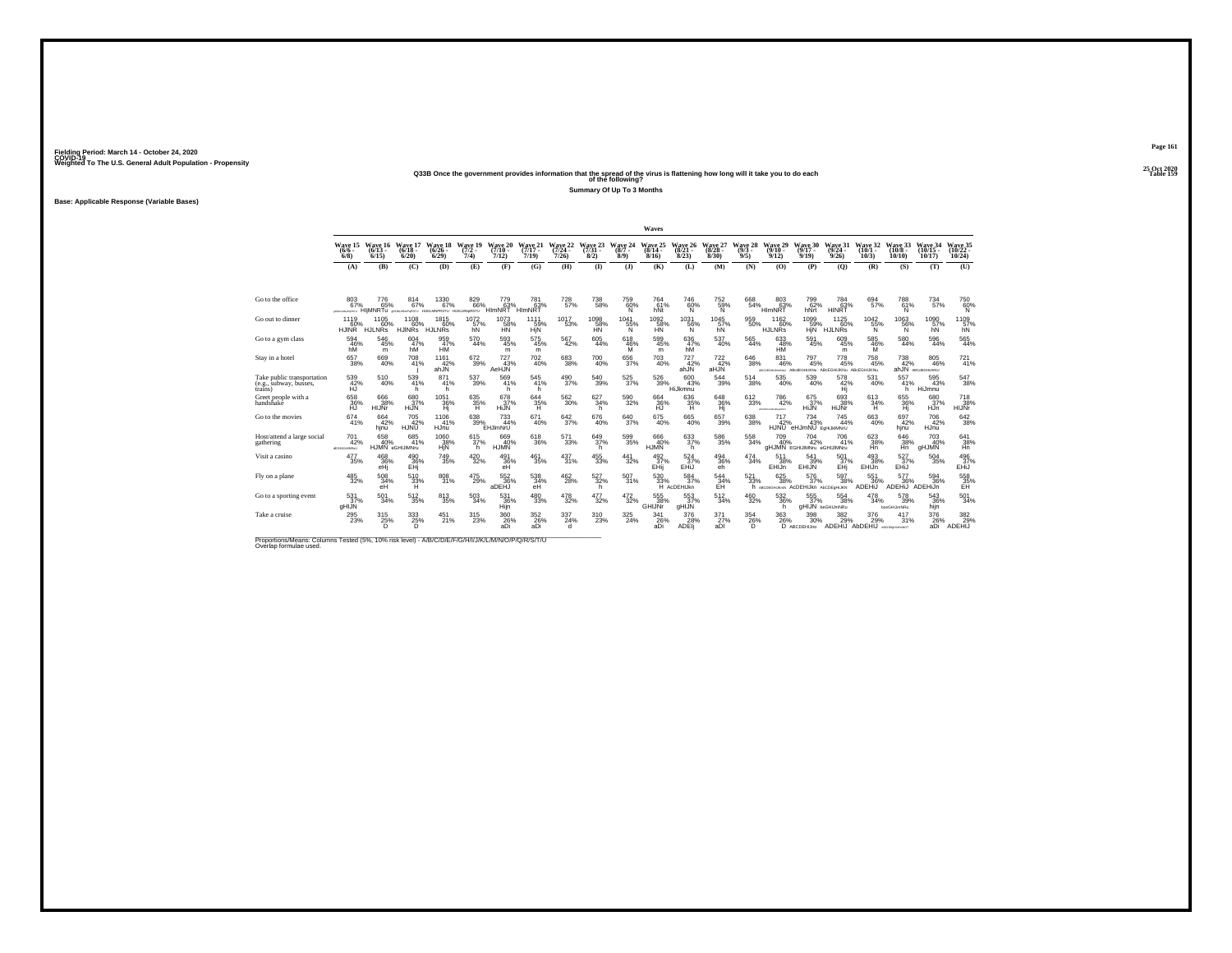## **25 Oct 2020Q33B Once the government provides information that the spread of the virus is flattening how long will it take you to do each Table 159 of the following?**

**Summary Of Up To 3 Months**

**Base: Applicable Response (Variable Bases)**

|                                                                                                                              |                                       |                              |                               |                                                       |                            |                                           |                              |                                       |                              |                            | Waves                        |                               |                              |                            |                                   |                                                                |                                       |                                          |                               |                                     |                                |
|------------------------------------------------------------------------------------------------------------------------------|---------------------------------------|------------------------------|-------------------------------|-------------------------------------------------------|----------------------------|-------------------------------------------|------------------------------|---------------------------------------|------------------------------|----------------------------|------------------------------|-------------------------------|------------------------------|----------------------------|-----------------------------------|----------------------------------------------------------------|---------------------------------------|------------------------------------------|-------------------------------|-------------------------------------|--------------------------------|
|                                                                                                                              | Wave 15<br>$(6/6 -$<br>$6/8$ )        | Wave 16<br>$(6/13 -$<br>6/15 | Wave 17<br>$(6/18 -$<br>6/20  | Wave 18<br>$(6/26 -$<br>6/29                          | Wave 19<br>$(7/2 -$<br>7/4 | Wave 20<br>$(7/10 -$<br>7/12              | Wave 21<br>$(7/17 -$<br>7/19 | Wave 22<br>$(7/24 -$<br>7/26          | Wave 23<br>$(7/31 -$<br>8/2) | Wave 24<br>$(8/7 -$<br>8/9 | Wave 25<br>$(8/14 -$<br>8/16 | Wave 26<br>$(8/21 -$<br>8/23  | Wave 27<br>$(8/28 -$<br>8/30 | Wave 28<br>$(9/3 -$<br>9/5 | Wave 29<br>$(9/10 -$<br>9/12      | Wave 30<br>$(9/17 -$<br>9/19                                   | Wave 31<br>$(9/24 -$<br>9/26          | Wave 32<br>$(10/1 -$<br>10/3             | Wave 33<br>$(10/8 -$<br>10/10 | Wave 34<br>$(10/15 -$<br>10/17      | Wave 35<br>$(10/22 -$<br>10/24 |
|                                                                                                                              | (A)                                   | (B)                          | (C)                           | (D)                                                   | (E)                        | (F)                                       | (G)                          | (H)                                   | $\bf{I}$                     | (1)                        | (K)                          | (L)                           | (M)                          | (N)                        | (0)                               | (P)                                                            | (Q)                                   | (R)                                      | (S)                           | (T)                                 | (U)                            |
|                                                                                                                              |                                       |                              |                               |                                                       |                            |                                           |                              |                                       |                              |                            |                              |                               |                              |                            |                                   |                                                                |                                       |                                          |                               |                                     |                                |
| Go to the office                                                                                                             | 803<br>67%<br><b>UNION ARMOUNDS</b>   | 776<br>65%<br>HIMNRTu        | 814<br>67%                    | 1330<br>67%<br>4HJKJAN6PoRSTU HUKLMNPRSTU HUKLMN6RSTU | 829<br>66%                 | 779<br>$H$ <sub>m</sub> $\overline{63}$ % | 781<br>63%<br>HIMNRT         | 728<br>57%                            | 738<br>58%                   | 759<br>60%<br>'N           | 764<br>61%<br>hNt            | 746<br>60%<br>N               | 752<br>$\frac{59}{N}$        | 668<br>54%                 | 803<br>63%<br>HI <sub>mNR</sub> 1 | 799<br>62%<br>hNrt                                             | 784<br>63%<br>HINRT                   | 694<br>57%                               | 788<br>61%<br>N               | 734<br>57%                          | 750<br>60%                     |
| Go out to dinner                                                                                                             | 1119<br>60%<br>HJINR HJLNRs           | 1105<br>60%                  | 1108<br>60%<br><b>HJINRs</b>  | 1815<br>60%<br><b>HJLNRs</b>                          | 1072<br>57%<br>hN          | 1073<br>58%<br><b>HN</b>                  | 1111<br>59%<br>HjN           | 1017<br>53%                           | 1098<br>HÑ                   | 1041<br>55%<br>N           | 1092<br>58%<br><b>HN</b>     | 1031<br>56%<br>N              | 1045<br>57%<br>hN            | 959<br>50%                 | 1162<br>60%<br><b>HJLNRs</b>      | 1099%<br><b>HiN</b>                                            | 1125<br>$-60%$<br><b>HJLNRs</b>       | $1042 \atop 55\%$<br>N                   | $^{1063}_{-56\%}$<br>N        | 1090<br>57%<br>hN                   | 1109<br>57%<br>hN              |
| Go to a gym class                                                                                                            | 594<br>46%<br>hM                      | 546<br>45%<br>m              | 604<br>47%<br>hM              | 959<br>47%<br>HŴ                                      | 570<br>44%                 | 593<br>45%<br>m                           | 575<br>45%<br>m              | 567<br>42%                            | 605<br>44%                   | 618<br>$^{46\%}_{M}$       | 599<br>45%<br>m              | 636<br>47%<br>hM <sup>1</sup> | 537<br>40%                   | 565<br>44%                 | 633<br>48%<br>НM                  | 591<br>45%                                                     | 609<br>45%<br>m                       | 585<br>$\frac{46}{M}$                    | 580<br>44%                    | 596<br>44%                          | 565<br>44%                     |
| Stay in a hotel                                                                                                              | 657<br>38%                            | 669<br>40%                   | 708<br>41%                    | 1161<br>42%<br>ahJN                                   | $^{672}_{39\%}$            | 727<br>43%<br>AeHJN                       | 702<br>40%                   | $\substack{683 \\ 38\%}$              | $^{700}_{40\%}$              | $^{656}_{37\%}$            | $^{703}_{\ 40\%}$            | $727 \atop 42\%$<br>ahJN      | $^{722}_{42\%}$<br>aHJN      | 646<br>38%                 | 831<br>46%                        | 797<br>45%<br>ARCOEGHUKINNU ABOJEGHUKNU ABCEGHIJKNU ABCEGHUKNU | 778<br>45%                            | $^{758}_{45\%}$                          | 738<br>42%                    | 805<br>46%<br>ahJN ABCdEGHUKNU      | $^{721}_{41\%}$                |
| Take public transportation<br>(e.g., subway, busses,<br>trains)                                                              | 539<br>42%<br>нū                      | 510<br>40%                   | 539<br>41%<br>h.              | 871<br>41%<br>h                                       | 537<br>39%                 | 569<br>41%<br>h                           | 545<br>41%<br>h              | $^{490}_{37\%}$                       | 540<br>39%                   | $^{525}_{37\%}$            | $\frac{526}{39\%}$           | 600<br>43%<br>HiJkmnu         | 544<br>39%                   | 514<br>38%                 | 535<br>40%                        | 539<br>40%                                                     | 578<br>42%<br>Hj                      | 531<br>40%                               | 557<br>41%<br>h.              | $\frac{595}{43\%}$<br><b>HiJmnu</b> | 547<br>38%                     |
| Greet people with a<br>handshake                                                                                             | 658<br>36%                            | 666<br>38%<br>HIJNr          | 680<br>37%<br>HiJN            | 1051<br>36%<br>Hj                                     | 635<br>35%<br>н            | 678<br>37%<br>HiJN                        | 644<br>35%                   | 562<br>30%                            | 627<br>34%<br>'n             | 590<br>32%                 | 664<br>36%                   | 636<br>35%<br>н               | 648<br>36%<br>Hj             | 612<br>33%                 | 786<br>42%<br>ACREDIANAMENT.      | 675<br>37%<br>HiJN <sup>1</sup>                                | 693<br>38%<br>HiJNr                   | 613<br>34%                               | 655<br>36%<br>Ήĵ              | 680<br>37%<br>HJn                   | 718<br>38%<br><b>HIJNr</b>     |
| Go to the movies                                                                                                             | 674<br>41%                            | $^{664}_{42\%}$<br>hinu      | 705<br>42%<br><b>HJNU</b>     | 1106<br>41%<br>HJnu                                   | $^{638}_{39\%}$            | $^{733}_{44\%}$<br>EHJImNrU               | 671<br>40%                   | $^{642}_{37\%}$                       | 676<br>40%                   | 640<br>37%                 | 675<br>40%                   | $^{665}_{40\%}$               | 657<br>39%                   | $\substack{638 \\ 38\%}$   | 717<br>42%<br><b>HJNU</b>         | $^{734}_{43\%}$<br>eHJmNU EGHIJKIMNrU                          | $^{745}_{44\%}$                       | 663<br>40%                               | 697<br>42%<br>hinu            | 706<br>42%<br>HJnu                  | 642<br>38%                     |
| Host/attend a large social<br>gathering                                                                                      | 701<br>42%<br><b>USRAULINE</b>        | 658<br>40%                   | 685<br>41%<br>HJMN eGHIJIMNru | 1060<br>38%<br>HjN                                    | 615<br>37%<br>h.           | 669<br>40%<br><b>HJMN</b>                 | 618<br>36%                   | 571<br>33%                            | 649/37%<br>h                 | $^{599}_{35\%}$            | 666<br>40%<br><b>HJMN</b>    | $633 \atop 37\%$<br>h         | $^{586}_{\ 35\%}$            | $\substack{558 \\ 34\%}$   | 709<br>40%                        | 704<br>42%<br><b>GHJMN</b> EGHIJIMNru eGHIJIMNru               | 706<br>41%                            | $623 \over 38\%$<br>Hň                   | 646<br>38%<br>Hñ.             | 703<br>40%<br>gHJMN                 | 641<br>38%<br>Hn               |
| Visit a casino                                                                                                               | 477<br>35%                            | 468<br>36%<br>eHi            | 490 36%<br>EHj                | 749<br>35%                                            | $^{420}_{\phantom{1}32\%}$ | 491<br>36%<br>eH                          | $^{461}_{35\%}$              | $^{437}_{31\%}$                       | $^{455}_{\ 33\%}$            | $\frac{441}{32\%}$         | 492 <sub>%</sub><br>EHii     | $\frac{524}{37\%}$<br>EHiJ    | $^{494}_{36\%}$<br>eh        | $\frac{474}{34\%}$         | 511<br>38%<br>EHIJn               | 541<br>39%<br>EHIJN                                            | 501<br>37%<br>EHi                     | 493<br>38%<br>EHIJn                      | $\frac{527}{37\%}$<br>EHiJ    | $^{504}_{\ 35\%}$                   | 496<br>37%<br>EHiJ             |
| Fly on a plane                                                                                                               | $^{485}_{\ 32\%}$                     | 508<br>34%<br>eH             | $^{510}_{\ 33\%}$             | 808<br>31%                                            | 475<br>29%                 | 552 36%<br>aDEHJ                          | 538<br>34%<br>eH             | $^{462}_{\phantom{1}\phantom{1}28\%}$ | $\frac{527}{32\%}$<br>h      | 507 <sub>31%</sub>         | 530<br>33%                   | 584<br>37%<br>H AcDEHIJkn     | $^{544}_{^{34\%}}$           | $\frac{521}{33\%}$         | 625/38%                           | $\frac{576}{37\%}$<br>h ABCDEGHUKHN ACDEHIJKN ADCDEGHIJKN      | 597<br>38%                            | 551<br>36%<br>ADEHIJ                     | 577<br>36%<br>ADEHIJ ADEHIJn  | $^{594}_{36\%}$                     | 558<br>35%<br>EH               |
| Go to a sporting event                                                                                                       | 531<br>37%<br>aHIJN                   | 501<br>34%                   | 512<br>35%                    | 813<br>35%                                            | 503<br>34%                 | 531<br>36%<br>Hijn                        | 480<br>33%                   | 478<br>32%                            | 477<br>32%                   | 472<br>32%                 | 555<br>38%<br>GHIJNr         | 553<br>37%<br>gHIJN           | 512<br>34%                   | 460<br>32%                 | 532<br>36%<br>h                   | 555<br>37%                                                     | 554<br>38%<br><b>aHIJN</b> beGHIJmNRu | 478<br>34%                               | 578<br>39%<br>boeGHIJmNRu     | 543<br>36%<br>hijn                  | 501<br>34%                     |
| Take a cruise                                                                                                                | $^{295}_{\phantom{1}\phantom{1}23\%}$ | $^{315}_{25\%}$<br>Ď         | $\frac{333}{25\%}$<br>D       | 451%                                                  | $^{315}_{\phantom{1}23\%}$ | $^{360}_{26\%}$<br>aDi                    | $\frac{352}{26}\%$<br>aDi    | 337<br>24%<br>d                       | 310<br>23%                   | $^{325}_{\phantom{2}24\%}$ | 341<br>26%<br>aDi            | 376<br>28%<br>ADEI            | 371 <sub>%</sub><br>aDI      | $\frac{354}{26\%}$<br>D    | 363<br>26%                        | $^{398}_{\ 30\%}$<br>D ABCDEHIJno                              | 382%                                  | 376<br>29%<br>ADEHIJ AbDEHIJ ABCOENHAMOT | 417<br>31%                    | 376<br>26%<br>aDi                   | 382<br>29%<br><b>ADEHIJ</b>    |
| Proportions/Means: Columns Tested (5%, 10% risk level) - A/B/C/D/E/F/G/H/I/J/K/L/M/N/O/P/Q/R/S/T/U<br>Overlap formulae used. |                                       |                              |                               |                                                       |                            |                                           |                              |                                       |                              |                            |                              |                               |                              |                            |                                   |                                                                |                                       |                                          |                               |                                     |                                |

**Page 161**25 Oct 2020<br>Table 159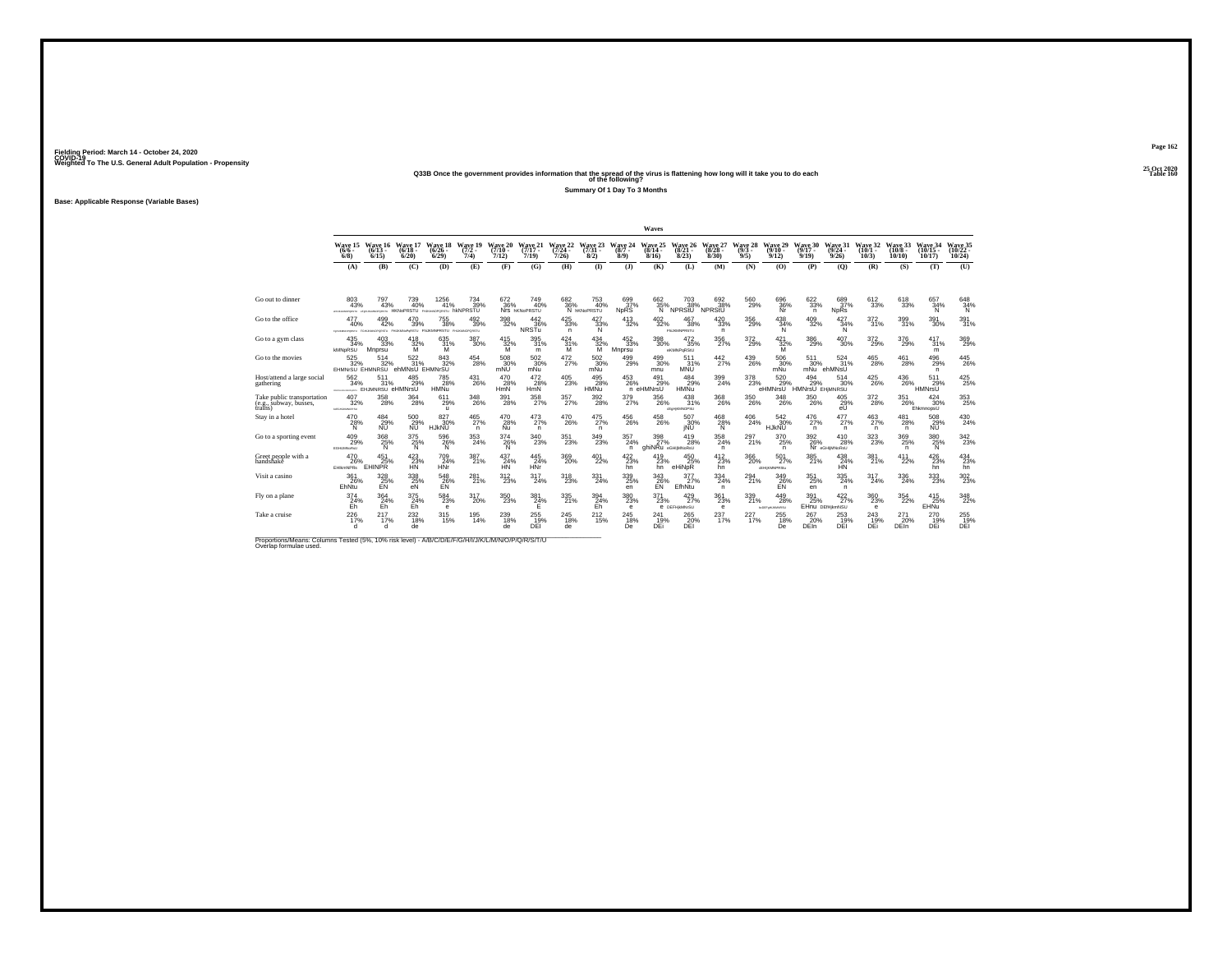# **25 Oct 2020Q33B Once the government provides information that the spread of the virus is flattening how long will it take you to do each Table 160 of the following?**

**Summary Of 1 Day To 3 Months**

**Base: Applicable Response (Variable Bases)**

|                                                                 |                                                                            |                                 |                                      |                                             |                                        |                              |                              |                                       |                                       |                                                                        | Waves                                   |                                                                                                                                                                                                                                                                         |                                             |                            |                                   |                                   |                                                                  |                              |                                       |                                       |                                |
|-----------------------------------------------------------------|----------------------------------------------------------------------------|---------------------------------|--------------------------------------|---------------------------------------------|----------------------------------------|------------------------------|------------------------------|---------------------------------------|---------------------------------------|------------------------------------------------------------------------|-----------------------------------------|-------------------------------------------------------------------------------------------------------------------------------------------------------------------------------------------------------------------------------------------------------------------------|---------------------------------------------|----------------------------|-----------------------------------|-----------------------------------|------------------------------------------------------------------|------------------------------|---------------------------------------|---------------------------------------|--------------------------------|
|                                                                 | Wave 15<br>$(6/6 -$<br>$6/8$ )                                             | Wave 16<br>$(6/13 -$<br>6/15    | Wave 17<br>$(6/18 -$<br>6/20         | Wave 18<br>$(6/26 -$<br>6/29                | Wave 19<br>$(7/2 -$<br>7/4)            | Wave 20<br>$(7/10 -$<br>7/12 | Wave 21<br>$(7/17 -$<br>7/19 | Wave 22<br>$(7/24 -$<br>7/26          | Wave 23<br>$(7/31 -$<br>8/2)          | Wave 24<br>$(8/7 -$<br>8/9                                             | Wave 25<br>$(8/14 -$<br>8/16            | Wave 26<br>$(8/21 -$<br>8/23                                                                                                                                                                                                                                            | Wave 27<br>$(8/28 -$<br>8/30                | Wave 28<br>$(9/3 -$<br>9/5 | Wave 29<br>$(9/10 -$<br>9/12      | Wave 30<br>$(9/17 -$<br>9/19      | Wave 31<br>$(9/24 -$<br>9/26                                     | Wave 32<br>$(10/1 -$<br>10/3 | Wave 33<br>$(10/8 -$<br>10/10         | Wave 34<br>$(10/15 -$<br>10/17        | Wave 35<br>$(10/22 -$<br>10/24 |
|                                                                 | (A)                                                                        | (B)                             | (C)                                  | (D)                                         | (E)                                    | (F)                          | (G)                          | (H)                                   | $($ I                                 | $($ $)$                                                                | (K)                                     | (L)                                                                                                                                                                                                                                                                     | (M)                                         | (N)                        | (O)                               | (P)                               | (Q)                                                              | (R)                          | (S)                                   | (T)                                   | (U)                            |
|                                                                 |                                                                            |                                 |                                      |                                             |                                        |                              |                              |                                       |                                       |                                                                        |                                         |                                                                                                                                                                                                                                                                         |                                             |                            |                                   |                                   |                                                                  |                              |                                       |                                       |                                |
| Go out to dinner                                                | 803<br>43%<br>www.worderstry www.worderstry HKNoPRSTU PUGNOPORSTU hKNPRSTU | 797<br>43%                      | 739<br>40%                           | 1256<br>41%                                 | 734<br>39%                             | 672<br>36%                   | 749<br>40%<br>Nrs hKNoPRSTU  | 682<br>36%                            | 753<br>40%<br>N <b>hKNoPRSTU</b>      | 699<br>37%<br><b>NDRS</b>                                              | 662<br>35%<br>'Nʻ                       | 703<br>38%<br>NPRStU                                                                                                                                                                                                                                                    | 692<br>38%<br>NPRStU                        | 560<br>29%                 | 696<br>36%                        | 622<br>33%<br>n                   | 689<br>37%<br><b>NpRs</b>                                        | 612<br>33%                   | 618<br>33%                            | 657<br>34%<br>N                       | 648<br>34%                     |
| Go to the office                                                | 477<br>40%<br>NUMBER                                                       | 499<br>42%<br>FGHJAMOFORSTU FHE | 470<br>39%                           | $755\atop 38\%$<br><b>HARRY FHIMMPRSTIL</b> | $^{492}_{39\%}$<br><b>FHJANOPORSTU</b> | $^{398}_{\ 32\%}$            | 442<br>36%<br>NRSTu          | $^{425}_{\ 33\%}$<br>n                | $\frac{427}{33\%}$<br>N               | $\substack{413 \\ 32\%}$                                               | $^{402}_{\phantom{1}32\%}$              | 467<br>38%<br><b>FILIKMNPRSTU</b>                                                                                                                                                                                                                                       | $^{420}_{\ 33\%}$<br>n.                     | $^{356}_{\ 29\%}$          | $^{438}_{34\%}$<br>N              | $^{409}_{\phantom{1}32\%}$        | 427<br>34%<br>N                                                  | $\frac{372}{31\%}$           | 399<br>31%                            | 391<br>30%                            | $391/31\%$                     |
| Go to a gym class                                               | 435<br>34%<br><b>KMNpRSU</b>                                               | 403<br>33%<br>Mnprsu            | 418<br>$\frac{32}{M}$ %              | 635<br>$\frac{31\%}{M}$                     | 387<br>30%                             | $\frac{415}{32\%}$           | 395<br>31%<br>m              | 424<br>31%<br>ΪŃ.                     | 434<br>$\frac{32\%}{M}$               | 452<br>33%<br>Mnprsu                                                   | 398<br>30%                              | 472<br>35%<br>eKMNPgRStU                                                                                                                                                                                                                                                | 356<br>27%                                  | 372<br>29%                 | $\frac{421}{32\%}$                | 386<br>29%                        | 407<br>30%                                                       | 372<br>29%                   | 376<br>29%                            | 417<br>31%<br>m                       | 369<br>29%                     |
| Go to the movies                                                | $^{525}_{32\%}$<br>EHMNrSU EHMNRSU                                         | 514<br>32%                      | 522<br>31%<br>ehMNsU EHMNrSU         | 843<br>32%                                  | $^{454}_{28\%}$                        | $\frac{508}{30\%}$<br>mNU    | $\frac{502}{30\%}$<br>mNu    | $^{472}_{27\%}$                       | $^{502}_{\ 30\%}$<br>mNu              | $^{499}_{29\%}$                                                        | 499<br>30%<br>mnu                       | 511<br>31%<br><b>MNU</b>                                                                                                                                                                                                                                                | $^{442}_{27\%}$                             | $^{439}_{26\%}$            | 506<br>30%<br>mNu                 | 511<br>30%<br>mNu                 | 524<br>31%<br>ehMNsU                                             | 465<br>28%                   | $^{461}_{28\%}$                       | $^{496}_{29\%}$<br>n                  | $^{445}_{26\%}$                |
| Host/attend a large social<br>gathering                         | 562<br>34%<br><b>CONTINUES AND ARRESTS</b>                                 | 511<br>31%<br>EHJMNRSU eHMNrsU  | 485<br>29%                           | 785<br>28%<br><b>HMNu</b>                   | 431<br>26%                             | 470<br>28%<br>HmN            | 472<br>28%<br>HmN            | $^{405}_{\phantom{1}\phantom{1}23\%}$ | 495<br>28%<br><b>HMNu</b>             | $^{453}_{26\%}$                                                        | 491<br>29%<br>n eHMNrsU                 | 484<br>29%<br><b>HMNu</b>                                                                                                                                                                                                                                               | 399<br>24%                                  | $\frac{378}{23\%}$         | 520 %<br>eHMNrsU                  | $^{494}_{29\%}$<br>HMNrsŪ EHMNRSU | 514<br>30%                                                       | $^{425}_{\,26\%}$            | 436<br>26%                            | 511<br>29%<br>HMNrsU                  | $^{425}_{25\%}$                |
| Take public transportation<br>(e.g., subway, busses,<br>trains) | 407<br>32%<br>MEDICATIONS                                                  | 358<br>28%                      | 364<br>28%                           | 611<br>29%<br>$\mathbf{u}$                  | 348<br>26%                             | 391<br>28%                   | 358<br>27%                   | 357<br>27%                            | 392<br>28%                            | 379<br>27%                                                             | 356<br>26%                              | 438<br>31%<br><eehkmnopsu< td=""><td>368<br/>26%</td><td>350<br/>26%</td><td>348<br/>26%</td><td>350<br/>26%</td><td>405<br/><math>^{29\%}_{eU}</math></td><td>372<br/>28%</td><td>351<br/>26%</td><td>424<br/>30%<br/>EhkmnopsU</td><td>353<br/>25%</td></eehkmnopsu<> | 368<br>26%                                  | 350<br>26%                 | 348<br>26%                        | 350<br>26%                        | 405<br>$^{29\%}_{eU}$                                            | 372<br>28%                   | 351<br>26%                            | 424<br>30%<br>EhkmnopsU               | 353<br>25%                     |
| Stav in a hotel                                                 | 470<br>28%<br>N                                                            | 484<br>29%<br><b>NU</b>         | 500<br>29%<br><b>NU</b>              | $827 \over 30\%$<br><b>HJKNU</b>            | $^{465}_{27\%}$<br>n.                  | $^{470}_{28\%}$<br>Nu        | $^{473}_{27\%}$<br>n.        | 470<br>26%                            | $^{475}_{27\%}$<br>n.                 | $^{456}_{\phantom{1}\phantom{1}\phantom{1}\phantom{1}\phantom{1}26\%}$ | 458<br>26%                              | 507<br>30%<br>iNU                                                                                                                                                                                                                                                       | $^{468}_{28\%}$<br>Ń                        | $^{406}_{\  \, 24\%}$      | 542 30%<br><b>HJKNU</b>           | $^{476}_{27\%}$<br>n.             | 477<br>27%<br>n                                                  | $^{463}_{27\%}$<br>n.        | $^{481}_{28\%}$<br>n                  | 508<br>29%<br><b>NU</b>               | $^{430}_{24\%}$                |
| Go to a sporting event                                          | 409<br>29%<br><b>EGHLMNoRsU</b>                                            | $\frac{368}{25\%}$              | $\frac{375}{25\%}$                   | $^{596}_{\  \  \, 26\%}_{\  \  \, N}$       | $^{353}_{\  \, 24\%}$                  | $\frac{374}{26\%}$           | $^{340}_{\phantom{1}23\%}$   | $^{351}_{\ 23\%}$                     | $^{349}_{\phantom{1}\phantom{1}23\%}$ | 357<br>24%<br>n.                                                       | $\frac{398}{27\%}$<br>ahiNRu eGHIMNoRsU | 419<br>28%                                                                                                                                                                                                                                                              | $^{358}_{\phantom{1}\phantom{1}24\%}$<br>n. | $^{297}_{21\%}$            | 370<br>25%<br>n.                  |                                   | $\frac{392}{26\%}\n \frac{410}{Nr}\n$ and $\frac{28}{Nr}$<br>28% | $^{323}_{\color{red}23\%}$   | $^{369}_{25\%}$<br>n                  | $\underset{\mathsf{N}}{^{380}}$       | $342_{23\%}$                   |
| Greet people with a<br>handshake                                | 470<br>26%<br><b>EHIkmNPRs</b>                                             | 451<br>25%<br>EHINPR            | $423/23$ %<br>HŃ                     | 709<br>24%<br><b>HNr</b>                    | 387<br>21%                             | $^{437}_{24\%}$<br><b>HN</b> | $^{445}_{24\%}$<br>HNr       | $^{369}_{20\%}$                       | $^{401}_{22\%}$                       | 422/23%<br>hn                                                          | $^{419}_{23\%}$<br>hn                   | $^{450}_{25\%}$<br>eHiNpR                                                                                                                                                                                                                                               | $^{412}_{23\%}$<br>hn                       | $^{366}_{\ 20\%}$          | $^{501}_{27\%}$<br>dEHIKMNPRStu   | 385<br>21%                        | $^{438}_{24\%}$<br>HN                                            | 381 <sub>%</sub>             | $^{411}_{22\%}$                       | $^{426}_{23\%}$<br>hn                 | $^{434}_{23\%}$<br>hn          |
| Visit a casino                                                  | 361<br>26%<br>EhNtu                                                        | $^{328}_{25\%}$                 | 338<br>25%<br>eÑ                     | $^{548}_{26\%}$                             | 281 <sub>%</sub>                       | $^{312}_{23\%}$              | 317<br>24%                   | $^{318}_{23\%}$                       | $^{331}_{24\%}$                       | $^{339}_{\phantom{1}\phantom{1}25\%}$<br>en                            | 343<br>26%<br>EÑ                        | 377<br>27%<br>EfhNtu                                                                                                                                                                                                                                                    | 334<br>24%<br>n.                            | $^{294}_{21\%}$            | 349<br>26%<br>EN                  | $\underset{25\%}{351}$<br>en      | $^{335}_{24\%}$<br>n                                             | 317<br>24%                   | $^{336}_{\phantom{1}\phantom{1}24\%}$ | $^{333}_{\phantom{1}\phantom{1}23\%}$ | $^{302}_{\phantom{1}23\%}$     |
| Fly on a plane                                                  | 374<br>$24%$<br>Eh                                                         | 364<br>24%                      | 375<br>E <sub>h</sub> <sup>24%</sup> | 584<br>23%<br>$\mathbf e$                   | 317<br>20%                             | 350<br>23%                   | 381<br>$^{24%}$              | 335<br>21%                            | 394<br>$\frac{24}{5}$ h               | 380<br>23%<br>e                                                        | 371<br>23%                              | 429<br>27%<br><b>6 DEFHIMMYSU</b>                                                                                                                                                                                                                                       | 361<br>23%<br>$\theta$                      | 339<br>21%                 | 449<br>28%<br><b>NOEFWAJOMRSU</b> | 391<br>25%                        | 422<br>27%<br>EHN DEfHikmNSU                                     | 360<br>23%<br>$\theta$       | 354<br>22%                            | 415<br>25%<br>EHNu                    | 348<br>22%                     |
| Take a cruise                                                   | $^{226}_{17\%}$                                                            | $^{217}_{17\%}$<br>d            | 232<br>18%<br>de                     | 315 <sub>%</sub>                            | $^{195}_{14\%}$                        | 239<br>18%<br>de             | 255<br>DEI                   | 245<br>18%<br>de                      | $^{212}_{15\%}$                       | $^{245}_{18\%}$<br>De                                                  | 241<br>19%<br>DEi                       | 265<br>20%<br>DEI                                                                                                                                                                                                                                                       | 237 <sub>17%</sub>                          | 227 <sub>17%</sub>         | 255<br>18%<br>De                  | 267<br>20%<br><b>DEIn</b>         | 253<br>19%<br>DEI                                                | 243<br>19%<br>DEi            | $^{271}_{20\%}$<br><b>DEIn</b>        | 270<br>19%<br>DEi                     | 255<br>DEI                     |

Proportions/Means: Columns Tested (5%, 10% risk level) - A/B/C/D/E/F/G/H/I/J/K/L/M/N/O/P/Q/R/S/T/U Overlap formulae used.<br>Overlap formulae used.

**Page 16225 Oct 2020<br>Table 160**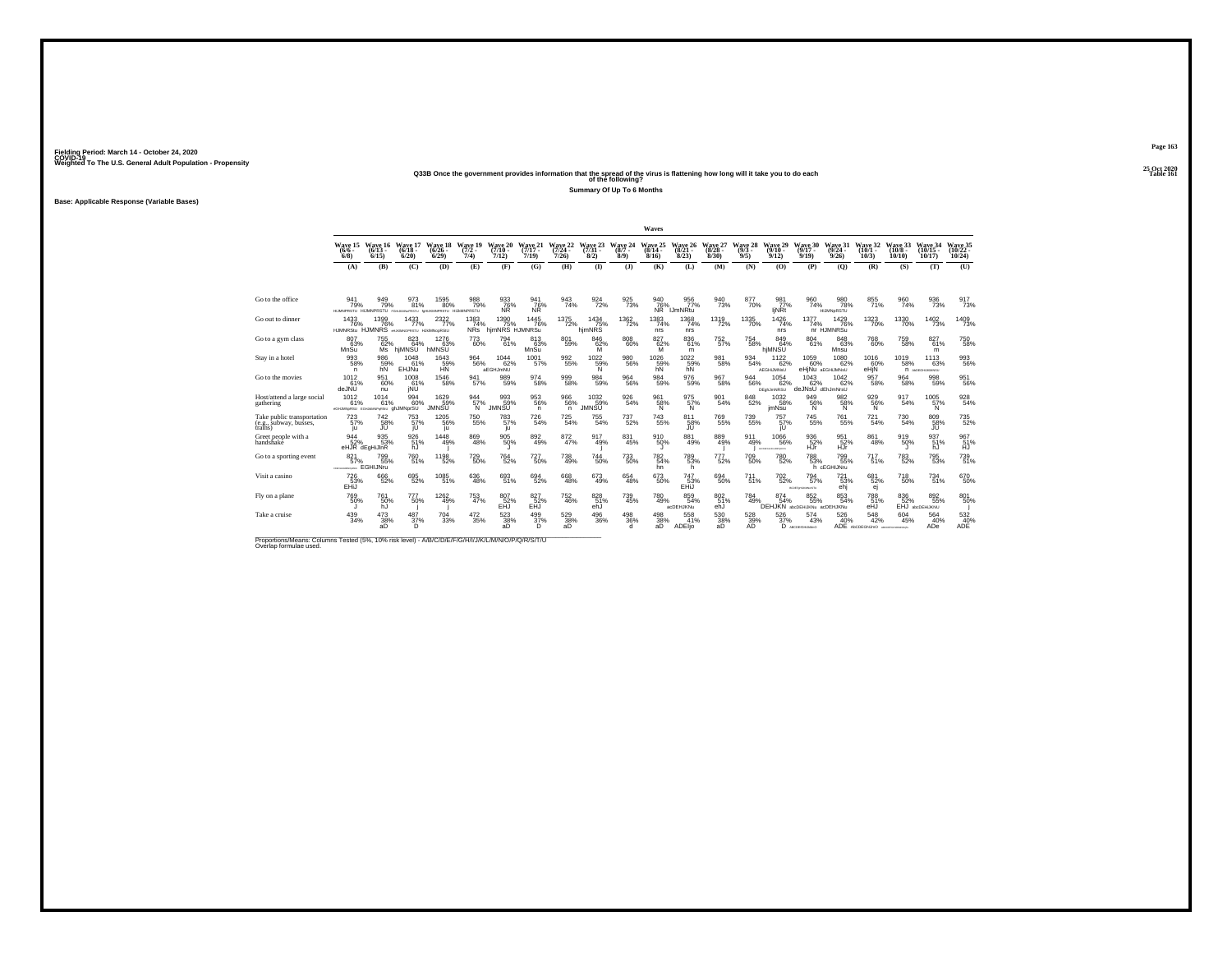**25 Oct 2020Q33B Once the government provides information that the spread of the virus is flattening how long will it take you to do each Table 161 of the following?**

**Summary Of Up To 6 Months**

**Base: Applicable Response (Variable Bases)**

|                                                                                                                              |                                                         |                                     |                              |                                    |                             |                                   |                              |                              |                               |                            | Waves                        |                                    |                              |                            |                                       |                                            |                                 |                                            |                               |                                |                  |
|------------------------------------------------------------------------------------------------------------------------------|---------------------------------------------------------|-------------------------------------|------------------------------|------------------------------------|-----------------------------|-----------------------------------|------------------------------|------------------------------|-------------------------------|----------------------------|------------------------------|------------------------------------|------------------------------|----------------------------|---------------------------------------|--------------------------------------------|---------------------------------|--------------------------------------------|-------------------------------|--------------------------------|------------------|
|                                                                                                                              | Wave 15<br>$(6/6 -$<br>$6/8$ )                          | Wave 16<br>$(6/13 -$<br>6/15        | Wave 17<br>$(6/18 -$<br>6/20 | Wave 18<br>$(6/26 -$<br>6/29       | Wave 19<br>$(7/2 -$<br>7/4) | Wave 20<br>$(7/10 -$<br>7/12)     | Wave 21<br>$(7/17 -$<br>7/19 | Wave 22<br>$(7/24 -$<br>7/26 | Wave 23<br>$(7/31 -$<br>8/2)  | Wave 24<br>$(8/7 -$<br>8/9 | Wave 25<br>$(8/14 -$<br>8/16 | Wave 26<br>$(8/21 -$<br>8/23       | Wave 27<br>$(8/28 -$<br>8/30 | Wave 28<br>$(9/3 -$<br>9/5 | Wave 29<br>(9/10 -<br>9/12            | Wave 30<br>$(9/17 -$<br>9/19               | Wave 31<br>$(9/24 -$<br>9/26    | Wave 32<br>$(10/1 -$<br>10/3               | Wave 33<br>$(10/8 -$<br>10/10 | Wave 34<br>$(10/15 -$<br>10/17 | Wave 35<br>10/24 |
|                                                                                                                              | (A)                                                     | (B)                                 | (C)                          | (D)                                | (E)                         | (F)                               | (G)                          | (H)                          | $\Phi$                        | (3)                        | (K)                          | (L)                                | (M)                          | (N)                        | (0)                                   | (P)                                        | (Q)                             | (R)                                        | (S)                           | (T)                            | (U)              |
|                                                                                                                              |                                                         |                                     |                              |                                    |                             |                                   |                              |                              |                               |                            |                              |                                    |                              |                            |                                       |                                            |                                 |                                            |                               |                                |                  |
| Go to the office                                                                                                             | 941<br>79%<br>HUMNPRSTU HUMNPRSTU FGHUKM6PRSTU for      | 949<br>79%                          | 973<br>81%                   | 1595<br>80%<br>UKMPRSTU HIJMNPRSTU | 988<br>79%                  | 933<br>76%<br>NR                  | 941<br>76%<br>ŃŘ             | 943<br>74%                   | 924<br>72%                    | 925<br>73%                 | 940<br>76%<br>NR             | 956<br>77%<br><b>IJmNRtu</b>       | 940<br>73%                   | 877<br>70%                 | 981<br>77%<br>ljNRt                   | 960<br>74%                                 | 980<br>78%<br><b>HIJMNpRSTU</b> | 855<br>71%                                 | 960<br>74%                    | 936<br>73%                     | 917<br>73%       |
| Go out to dinner                                                                                                             | 1433<br>76%<br>HJMNRStu HJMNRS enjidencerstu HJMNopRStu | 1399<br>76%                         | 1433<br>77%                  | 2322<br>77%                        | $\frac{1383}{74\%}$         | 1390<br>75%<br>NRs hjmNRS HJMNRSu | 1445<br>76%                  | 1375<br>72%                  | $\frac{1434}{75\%}$<br>hjmNRS | <sup>1362</sup> 72%        | 1383<br>74%<br>nrs           | $^{1368}_{\phantom{1}74\%}$<br>nrs | 1319<br>72%                  | $^{1335}_{-70\%}$          | $\frac{1426}{74\%}$<br>nrs            | $^{1377}_{74\%}$                           | 1429<br>76%<br>nr HJMNRSu       | $\frac{1323}{70\%}$                        | 1330<br>70%                   | $\frac{1402}{73\%}$            | 1409<br>73%      |
| Go to a gym class                                                                                                            | 807<br>63%<br>MnSu                                      | 755<br>62%<br>Ms <sup>1</sup>       | 823<br>64%<br>hiMNSU         | 1276<br>63%<br>hMNSU               | 773<br>60%                  | 794<br>61%                        | 813<br>63%<br>MnSu           | 801<br>59%                   | 846<br>62%<br>M               | 808<br>60%                 | 827<br>$\frac{62}{M}$        | 836<br>61%<br>m                    | $^{752}_{57\%}$              | 754<br>58%                 | 849<br>64%<br>hiMNSU                  | 804<br>61%                                 | 848<br>63%<br>Mnsu              | 768<br>60%                                 | 759<br>58%                    | 827<br>61%<br>m                | 750<br>58%       |
| Stav in a hotel                                                                                                              | 993<br>58%<br>n.                                        | 986<br>59%<br>hN                    | 1048<br>61%<br>EHJNu         | 1643<br>59%<br><b>HN</b>           | 964<br>56%                  | 1044<br>62%<br>aEGHJmNU           | 1001<br>57%                  | $\substack{992\\55\%}$       | $^{1022}_{-59\%}$<br>N        | $\substack{980\\56\%}$     | 1026<br>59%<br>hN            | $1022$<br>59%<br>hN                | 981<br>58%                   | 934<br>54%                 | 1122<br>62%<br>AEGHiJMNsU             | 1059<br>60%                                | 1080<br>62%<br>eHjNu aEGHJMNsU  | 1016<br>60%<br>eHjN                        | 1019<br>58%                   | 1113<br>63%<br>П АССОНЦАВИЗИ   | 993<br>56%       |
| Go to the movies                                                                                                             | 1012<br>61%<br>deJNU                                    | 951<br>60%<br>nu                    | $^{1008}_{61\%}$<br>jŇÚ      | $^{1546}_{-58\%}$                  | 941<br>57%                  | 989<br>59%                        | 974<br>58%                   | $^{999}_{58\%}$              | 984<br>59%                    | 964<br>56%                 | 984<br>59%                   | $^{976}_{59\%}$                    | 967<br>58%                   | 944<br>56%                 | $1054$<br>$62\%$<br><b>DEghJmNRSU</b> | 1043<br>62%<br>deJNsU dEhJmNrsU            | $1042 \atop 62\%$               | $\frac{957}{58\%}$                         | 964<br>58%                    | 998<br>59%                     | 951<br>56%       |
| Host/attend a large social<br>gathering                                                                                      | 1012<br>61%<br><b>GHJMNeRSU EGHAMMPSRSU GhJMNDFSU</b>   | 1014<br>61%                         | 994<br>60%                   | 1629<br>59%<br>JMNSŨ               | 944<br>57%<br>'N.           | 993<br>59%<br>JMNSU               | 953<br>56%<br>n.             | 966<br>56%<br>n.             | 1032<br>59%<br>JMNSŨ          | 926<br>54%                 | 961<br>$\frac{58}{N}$        | 975<br>57%<br>'N                   | 901<br>54%                   | 848<br>52%                 | 1032<br>58%<br><i>imNsu</i>           | 949<br>$\frac{56}{N}$                      | 982<br>58%                      | 929<br>56%<br>N                            | 917<br>54%                    | 1005<br>57%<br><b>N</b>        | 928<br>54%       |
| Take public transportation<br>(e.g., subway, busses,<br>trains)                                                              | 723<br>57%<br>iu.                                       | <sup>742</sup> <sub>58%</sub><br>JU | 753<br>57%<br>jU             | 1205<br>56%<br>ju                  | <sup>750</sup> 55%          | $^{783}_{57\%}$<br>ju             | 726<br>54%                   | $\substack{725 \\ 54\%}$     | 755<br>54%                    | $737 \atop 52\%$           | $\substack{743 \\ 55\%}$     | 811<br>58%<br>JU                   | <sup>769</sup> 55%           | 739<br>55%                 | 757 <sub>%</sub><br>jU                | $\substack{745 \\ 55\%}$                   | 761<br>55%                      | $\substack{721 \\ 54\%}$                   | 730<br>54%                    | 809<br>58%<br>JU               | 735<br>52%       |
| Greet people with a<br>handshake                                                                                             | 944<br>52%                                              | 935<br>53%<br>eHJR dEgHiJInR        | 926<br>51%<br>hJ             | 1448<br>49%                        | $\substack{869 \\ 48\%}$    | 905<br>50%                        | $\substack{892 \\ 49\%}$     | $^{872}_{47\%}$              | 917<br>49%                    | 831<br>45%                 | 910 50%                      | 881<br>49%                         | 889<br>49%                   | 911<br>49%                 | 1066<br>56%<br>ACREDIANAMENTU         | 936<br>52%<br>HÜr                          | 951<br>52%<br>НJг               | 861<br>48%                                 | 919<br>50%                    | 937<br>51%<br>hJ               | 967<br>51%<br>HJ |
| Go to a sporting event                                                                                                       | 821<br>57%<br>CONTRACTOR COMPANY                        | 799<br>55%<br><b>EGHIJNru</b>       | 760<br>51%                   | 1198<br>52%                        | <sup>729</sup> 50%          | $764_{52\%}$                      | <sup>727</sup> 50%           | $^{738}_{49\%}$              | 744<br>50%                    | $^{733}_{50\%}$            | 782<br>54%<br>hn             | 789<br>53%<br>h                    | 777<br>52%                   | $709 \atop 50\%$           | <sup>780</sup> 52%                    | $788\phantom{1}53\%$                       | 799<br>55%<br>h cEGHIJNru       | 717<br>51%                                 | 783<br>52%                    | 795<br>53%                     | 739<br>51%       |
| Visit a casino                                                                                                               | 726<br>53%<br>EHiJ                                      | 666<br>52%                          | 695<br>52%                   | $^{1085}_{51\%}$                   | 636<br>48%                  | $693/51\%$                        | 694<br>52%                   | 668<br>48%                   | 673<br>49%                    | $\substack{654 \\ 48\%}$   | $^{673}_{50\%}$              | 747<br>53%<br>EHIJ                 | 694<br>50%                   | $\substack{711 \\ 51\%}$   | $^{702}_{\ 52\%}$                     | 794<br>57%<br>BCDEForLR0ModiTU             | 721%<br>ehj                     | 681<br>52%<br>ej                           | $^{718}_{50\%}$               | $^{734}_{51\%}$                | 670<br>50%       |
| Fly on a plane                                                                                                               | 769<br>50%                                              | 761<br>50%<br>hJ                    | 777<br>50%                   | 1262<br>49%                        | 753<br>47%                  | 807<br>52%<br>EĤJ                 | 827<br>52%<br>EĤĴ            | 752<br>46%                   | 828<br>51%<br>ehJ             | 739<br>45%                 | 780<br>49%                   | 859<br>54%<br>acDEHJKNu            | 802<br>51%<br>ehJ            | 784<br>49%                 | 874<br>54%                            | 852<br>55%<br>DEHJKN abdDEHIJKNu adDEHJKNu | 853<br>54%                      | 788<br>51%<br>eĤĴ                          | 836<br>52%                    | 892<br>55%<br>EHJ abcDEHUKNU   | 801<br>50%       |
| Take a cruise                                                                                                                | 439<br>34%                                              | $^{473}_{38\%}$<br>aD.              | 487<br>37%<br>D              | 704<br>33%                         | $\substack{472 \\ 35\%}$    | $\frac{523}{38\%}$<br>aD          | $^{499}_{37\%}$<br>D         | $^{529}_{38\%}$<br>аD        | 496<br>36%                    | $^{498}_{36\%}$<br>d       | 498<br>38%<br>aD             | 558<br>41%<br>ADEIjo               | 530<br>38%<br>aD             | 528<br>39%<br>AD           | $\frac{526}{37\%}$                    | 574<br>43%<br>D ABCDESGHLAMHO              | 526<br>40%                      | 548<br>42%<br>ADE ADCDEGNUMO ARCORDINATION | 604<br>45%                    | 564<br>40%<br>ADe              | 532 40%<br>ADE   |
| Proportions/Means: Columns Tested (5%, 10% risk level) - A/B/C/D/E/F/G/H/I/J/K/L/M/N/O/P/Q/R/S/T/U<br>Overlap formulae used. |                                                         |                                     |                              |                                    |                             |                                   |                              |                              |                               |                            |                              |                                    |                              |                            |                                       |                                            |                                 |                                            |                               |                                |                  |

**Page 163 Fielding Period: March 14 - October 24, 2020 COVID-19 Weighted To The U.S. General Adult Population - Propensity**25 Oct 2020<br>Table 161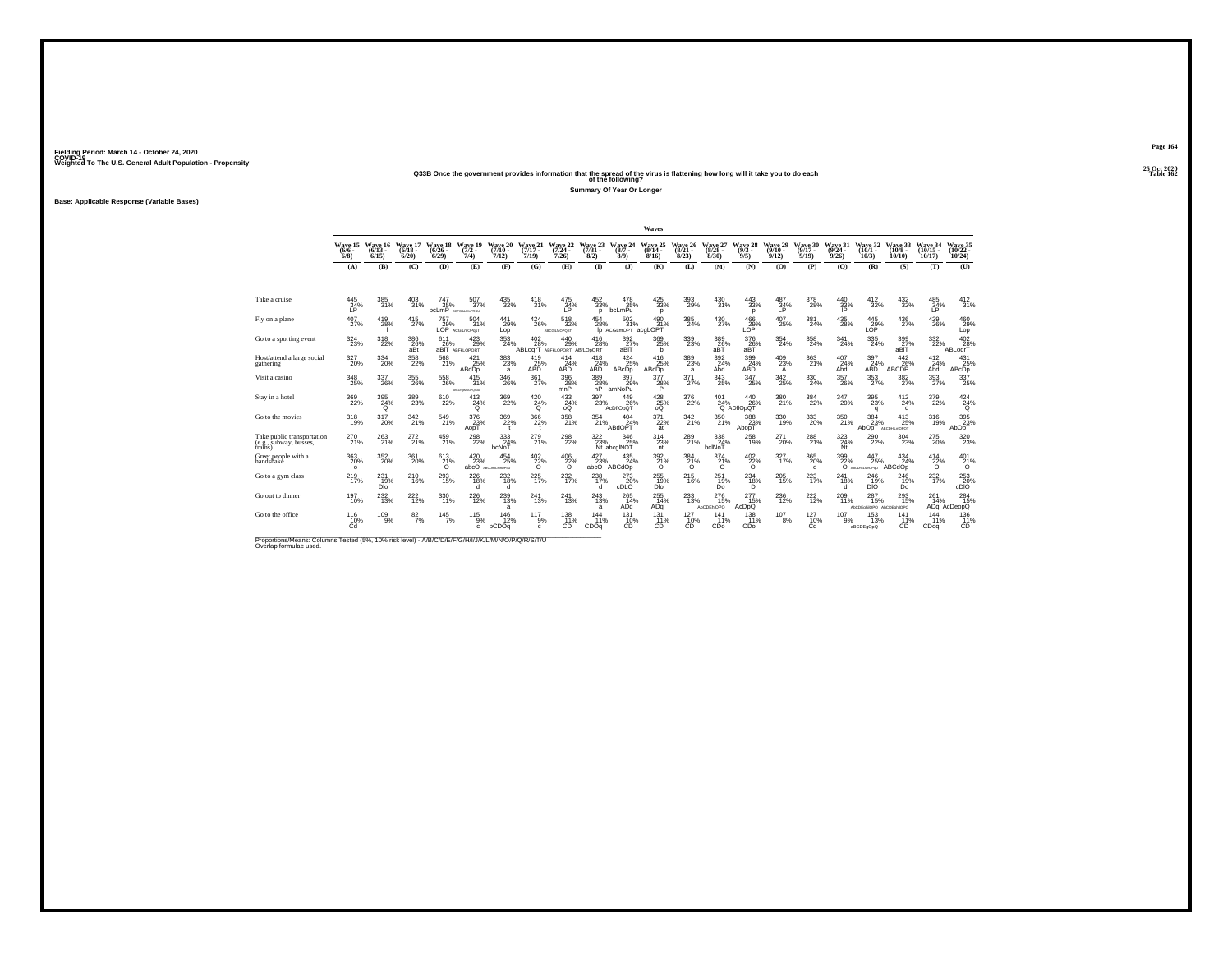# **25 Oct 2020Q33B Once the government provides information that the spread of the virus is flattening how long will it take you to do each Table 162 of the following?**

**Summary Of Year Or Longer**

**Base: Applicable Response (Variable Bases)**

|                                                                                                                              |                                       |                               |                               |                                         |                                     |                                                            |                                    |                                        |                                                         |                                                      | Waves                        |                              |                              |                                    |                              |                                       |                              |                                                                    |                               |                                |                                |
|------------------------------------------------------------------------------------------------------------------------------|---------------------------------------|-------------------------------|-------------------------------|-----------------------------------------|-------------------------------------|------------------------------------------------------------|------------------------------------|----------------------------------------|---------------------------------------------------------|------------------------------------------------------|------------------------------|------------------------------|------------------------------|------------------------------------|------------------------------|---------------------------------------|------------------------------|--------------------------------------------------------------------|-------------------------------|--------------------------------|--------------------------------|
|                                                                                                                              | Wave 15<br>$(6/6 -$<br>$6/8$ )        | Wave 16<br>$(6/13 -$<br>6/15  | Wave 17<br>$(6/18 -$<br>6/20  | Wave 18<br>$(6/26 -$<br>6/29            | Wave 19<br>$(7/2 -$<br>7/4)         | Wave 20<br>$(7/10 -$<br>7/12                               | Wave 21<br>$(7/17 -$<br>7/19       | Wave 22<br>$(7/24 -$<br>7/26           | Wave 23<br>$(7/31 -$<br>8/2)                            | Wave 24<br>$(8/7 -$<br>8/9                           | Wave 25<br>$(8/14 -$<br>8/16 | Wave 26<br>$(8/21 -$<br>8/23 | Wave 27<br>$(8/28 -$<br>8/30 | Wave 28<br>$(9/3 -$<br>9/5         | Wave 29<br>$(9/10 -$<br>9/12 | Wave 30<br>$(9/17 -$<br>9/19          | Wave 31<br>$(9/24 -$<br>9/26 | Wave 32<br>$(10/1 -$<br>10/3                                       | Wave 33<br>$(10/8 -$<br>10/10 | Wave 34<br>$(10/15 -$<br>10/17 | Wave 35<br>$(10/22 -$<br>10/24 |
|                                                                                                                              | (A)                                   | (B)                           | (C)                           | (D)                                     | (E)                                 | (F)                                                        | (G)                                | (H)                                    | (1)                                                     | $($ $\bf{J}$                                         | (K)                          | (L)                          | (M)                          | (N)                                | (O)                          | (P)                                   | (O)                          | (R)                                                                | (S)                           | (T)                            | (U)                            |
| Take a cruise                                                                                                                | 445<br>34%                            | 385<br>31%                    | 403<br>31%                    | 747<br>35%<br><b>bcLmP BCFGALM</b> PRSU | 507<br>37%                          | 435<br>32%                                                 | 418<br>31%                         | 475<br>34%                             | 452<br>33%<br>D                                         | 478<br>35%<br>bcLmPu                                 | 425<br>33%<br>D              | 393<br>29%                   | 430<br>31%                   | 443<br>33%<br>$\mathbf{D}$         | 487<br>34%                   | 378<br>28%                            | 440<br>33%                   | 412<br>32%                                                         | 432<br>32%                    | 485<br>34%                     | $\frac{412}{31\%}$             |
| Fly on a plane                                                                                                               | $^{407}_{\,\,27\%}$                   | $^{419}_{28\%}$               | $^{415}_{27\%}$               | $^{757}_{29\%}$                         | 504<br>31%<br>LOP ACGILMOPOST       | $^{441}_{29\%}$<br>Lop                                     | $^{424}_{26\%}$                    | $^{518}_{32\%}$<br><b>ABCGILMOPOST</b> | $^{454}_{\  \, 28\%}$                                   | $^{502}_{31\%}$<br>Ip ACGLMOPT acgLOPT               | 490<br>31%                   | 385<br>24%                   | $^{430}_{27\%}$              | $^{466}_{29\%}$ LOP                | $^{407}_{\phantom{1}25\%}$   | $\frac{381}{24\%}$                    | $^{435}_{28\%}$              | $^{445}_{29\%}$<br>LOP                                             | $^{436}_{\,\,27\%}$           | $^{429}_{26\%}$                | 460<br>29%<br>Lop              |
| Go to a sporting event                                                                                                       | 324<br>23%                            | 318<br>22%                    | 386<br>26%<br>aBt             | 611<br>26%                              | 423<br>29%<br>aBIT ABFKLOPORT       | 353<br>24%                                                 | 402<br>28%<br>ABLoarT              | 440<br>29%<br>ABFKLOPORT ABILODORT     | 416<br>28%                                              | 392<br>27%<br>aBIT                                   | 369<br>25%<br>b              | 339<br>23%                   | 389<br>$26\%$ aBT            | 376<br>$26\%$ aBT                  | 354<br>24%                   | 358<br>24%                            | 341<br>24%                   | 335<br>24%                                                         | 399<br>27%<br>aBIT            | 332<br>22%                     | 402<br>28%<br>ABLogrT          |
| Host/attend a large social<br>gathering                                                                                      | $\frac{327}{20\%}$                    | $^{334}_{20\%}$               | $^{358}_{22\%}$               | 568<br>21%                              | $^{421}_{25\%}$<br>ABcDp            | $\substack{383 \\ 23\%}$<br>a                              | 419<br>25%<br>ABD                  | 414<br>24%<br>ABD                      | 418<br>24%<br>ABD                                       | $\frac{424}{25\%}$<br>ABcDp                          | 416<br>25%<br>ABcDp          | $\frac{389}{23\%}$<br>a      | $\frac{392}{24\%}$<br>Abd    | 399<br>24%<br>ABD                  | $^{409}_{23\%}$<br>A         | 363<br>21%                            | 407<br>24%<br>Abd            | 397<br>24%<br>ABD                                                  | 442<br>26%<br>ABCDP           | $^{412}_{24\%}$<br>Abd         | 431<br>25%<br>ABcDp            |
| Visit a casino                                                                                                               | $^{348}_{\phantom{1}\phantom{1}25\%}$ | 337<br>26%                    | 355<br>26%                    | 558<br>26%                              | 415<br>31%<br>LIBRORGAN CORPORATION | $\underset{26\%}{^{346}}$                                  | $\frac{361}{27\%}$                 | 396<br>28%<br>mnP                      | $\begin{array}{c} 389 \\ 28\% \\ \text{nP} \end{array}$ | 397<br>29%<br>amNoPu                                 | $\frac{377}{28\%}$           | 371 <sub>27%</sub>           | $^{343}_{25\%}$              | 347<br>25%                         | $^{342}_{25\%}$              | 330<br>24%                            | 357<br>26%                   | 353<br>27%                                                         | 382 <sub>%</sub>              | 393<br>27%                     | 337<br>25%                     |
| Stay in a hotel                                                                                                              | 369<br>22%                            | 395<br>$^{24%}$               | 389<br>23%                    | 610<br>22%                              | 413<br>$^{24%}_{0}$                 | 369<br>22%                                                 | 420<br>$^{24%}$                    | 433<br>24%<br>oo                       | 397<br>23%                                              | 449<br>26%<br>AcDflOpQT                              | $^{428}_{25\%}$              | 376<br>22%                   | 401                          | 440<br>26%<br>24% 26<br>Q ADflOpQT | 380<br>21%                   | $\frac{384}{22\%}$                    | 347<br>20%                   | 395<br>23%<br>q                                                    | 412<br>24%<br>a               | 379<br>22%                     | 424<br>$^{24%}_{0}$            |
| Go to the movies                                                                                                             | $^{318}_{19\%}$                       | 317<br>20%                    | 342 <sub>21%</sub>            | 549<br>21%                              | $\frac{376}{23}\%$<br>AopT          | $\frac{369}{22\%}$<br>$^{\dagger}$                         | $\frac{366}{22\%}$<br>$\mathbf{r}$ | $^{358}_{\ 21\%}$                      | $\frac{354}{21\%}$                                      | $^{404}_{24\%}$<br>ABdOPT                            | $^{371}_{22\%}$<br>at        | 342 <sub>21%</sub>           | $^{350}_{21\%}$              | 388<br>23%<br>AbopT                | $^{330}_{\phantom{1}19\%}$   | $^{333}_{\phantom{1}\phantom{1}20\%}$ | 350<br>21%                   | 384<br>23%<br>AbOpT                                                | 413<br>25%<br>ABCDHLmOPOT     | 316<br>19%                     | 395<br>23%<br>AbOpT            |
| Take public transportation<br>(e.g., subway, busses,<br>trains)                                                              | 270<br>21%                            | $^{263}_{21\%}$               | 272 <sub>21%</sub>            | $^{459}_{21\%}$                         | $^{298}_{22\%}$                     | $\frac{333}{24\%}$<br>bcNoT                                | $^{279}_{21\%}$                    | $^{298}_{\,\,22\%}$                    | 322/23%                                                 | 346<br>25%<br>Nt abcgINOT                            | 314<br>23%<br>nt             | 289<br>21%                   | $^{338}_{24\%}$<br>bclNoT    | $^{258}_{19\%}$                    | 271<br>20%                   | 288<br>21%                            | $\frac{323}{24\%}$<br>Nt     | $^{290}_{\color{red}22\%}$                                         | 304<br>23%                    | $^{275}_{20\%}$                | $320 \over 23\%$               |
| Greet people with a<br>handshakê                                                                                             | $^{363}_{\,20\%}$<br>$\circ$          | 352<br>20%                    | $^{361}_{20\%}$               | $^{613}_{21\%}$<br>$\circ$              | $^{420}_{23\%}$                     | $^{454}_{\phantom{1}\phantom{1}25\%}$<br>abcO ABCDHALMOPHU | $^{402}_{22\%}$<br>$\circ$         | $^{406}_{22\%}$<br>$\circ$             | $^{427}_{23\%}$<br>abcO                                 | $^{435}_{24\%}$<br>ABCdOp                            | 392<br>21%<br>$\circ$        | 384<br>21%<br>$\Omega$       | $^{374}_{21\%}$<br>$\circ$   | $^{402}_{22\%}$<br>$\circ$         | 327 <sub>9%</sub>            | $^{365}_{\,20\%}$<br>$\circ$          | 399<br>22%                   | $^{447}_{\phantom{1}\phantom{1}\phantom{1}25\%}$<br>О АВСОНАЛИОРИЈ | 434<br>24%<br>ABCdOp          | $^{414}_{22\%}$<br>$\Omega$    | $^{401}_{21\%}$<br>$\circ$     |
| Go to a gym class                                                                                                            | $^{219}_{17\%}$                       | 231<br>19%<br>DI <sub>O</sub> | <sup>210</sup> <sub>16%</sub> | $^{293}_{15\%}$                         | 226<br>18%<br>d                     | $^{232}_{18\%}$<br>d                                       | 225<br>17%                         | 232 <sub>9%</sub>                      | $^{238}_{17\%}$<br>d                                    | $\overset{273}{\underset{\text{cDLO}}{\text{20\%}}}$ | 255<br>DI <sub>o</sub>       | 215<br>16%                   | 251<br>19%<br>Do             | $^{234}_{\substack{18\% \\ D}}$    | 205<br>15%                   | $^{223}_{17\%}$                       | 241<br>18%<br>d              | 246<br>19%<br>DIŐ                                                  | 246<br>19%<br>Do              | 232 <sub>9%</sub>              | $^{253}_{20\%}$ cDIO           |
| Go out to dinner                                                                                                             | 197<br>10%                            | 232<br>13%                    | 222<br>12%                    | 330<br>11%                              | 226<br>12%                          | 239<br>13%<br>a                                            | 241<br>13%                         | 241<br>13%                             | 243<br>13%<br>a                                         | 265<br>14%<br>ADq                                    | 255<br>14%<br>ADq            | 233<br>13%                   | 276<br>15%<br>AbCDENOPO      | 277<br>15%<br>AcDpQ                | 236<br>12%                   | $^{222}_{12\%}$                       | 209<br>11%                   | 287<br>15%<br>AbCDEchilOPQ AbCDEchilOPQ                            | 293<br>15%                    | 261<br>14%                     | 284<br>15%<br>ADq AcDeopQ      |
| Go to the office                                                                                                             | $^{116}_{10\%}$<br>Cd                 | $^{109}_{9\%}$                | $\frac{82}{7\%}$              | $145$ <sub>7%</sub>                     | $^{115}_{9\%}$<br>$\mathbf{c}$      | 146<br>12%<br>bCDOq                                        | $^{117}_{9\%}$<br>c                | $\frac{138}{11%}$<br>CD                | 144<br>11%<br>CDOq                                      | $\frac{131}{10\%}$<br><b>CD</b>                      | $^{131}_{11\%}$<br><b>CD</b> | $^{127}_{10\%}$<br>CD        | 141<br>11%<br>CDo            | $^{138}_{11\%}$<br>CDo             | $^{107}_{8\%}$               | $^{127}_{10\%}$<br>Cd                 | 107<br>9%                    | $^{153}_{13\%}$<br>aBCDEgOpQ                                       | 141<br>11%<br>CD              | 144<br>11%<br>CDoa             | 136<br>11%<br>CD               |
| Proportions/Means: Columns Tested (5%, 10% risk level) - A/B/C/D/E/F/G/H/I/J/K/L/M/N/O/P/Q/R/S/T/U<br>Overlap formulae used. |                                       |                               |                               |                                         |                                     |                                                            |                                    |                                        |                                                         |                                                      |                              |                              |                              |                                    |                              |                                       |                              |                                                                    |                               |                                |                                |

**Page 164**25 Oct 2020<br>Table 162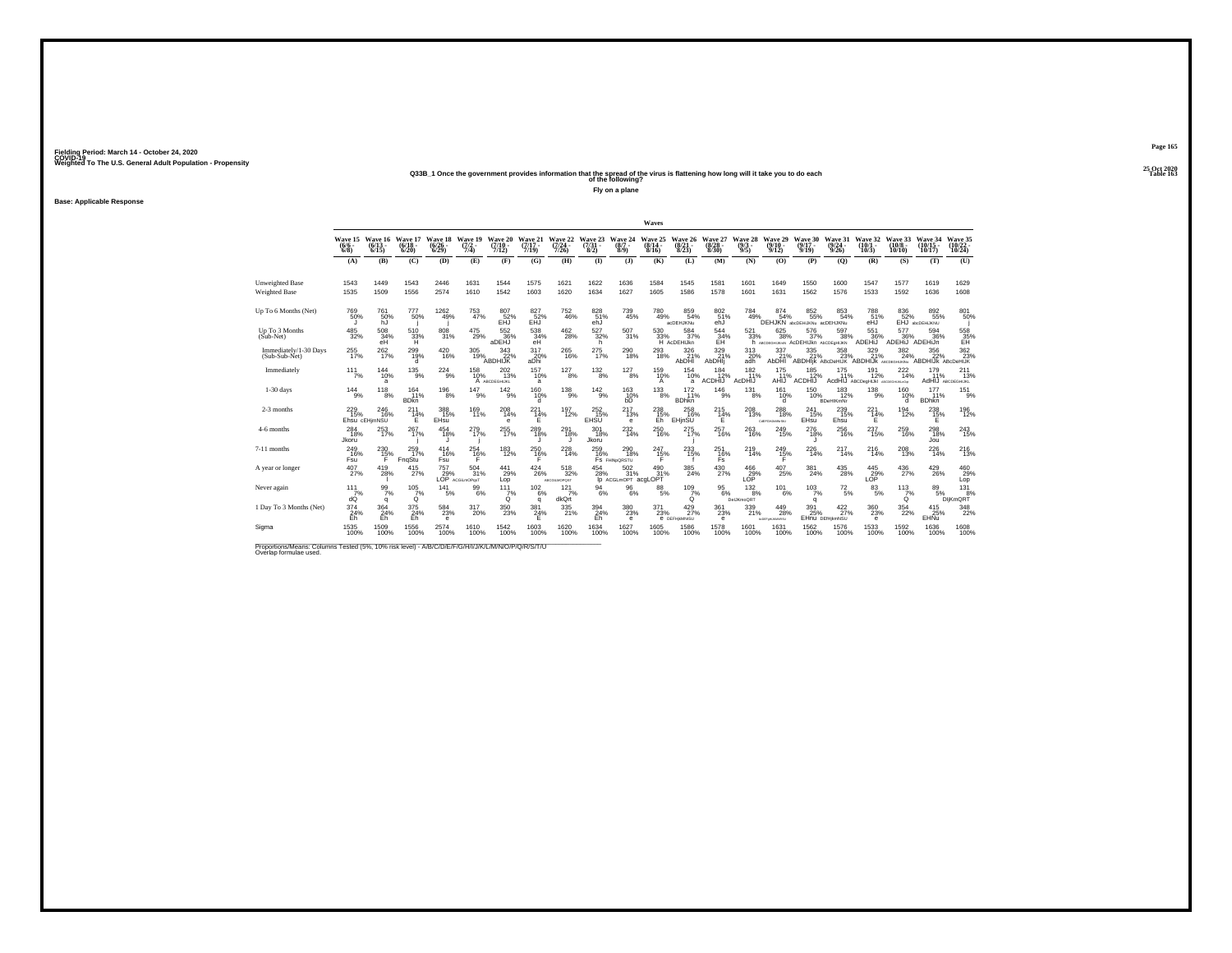**Base: Applicable Response**

## **25 Oct 2020Q33B\_1 Once the government provides information that the spread of the virus is flattening how long will it take you to do each Table 163 of the following?**

**Fly on a plane**

|                                                                                                                              |                                        |                                  |                                 |                                 |                                                |                                       |                              |                                      |                                |                                           | Waves                     |                                        |                                 |                                |                                    |                                                   |                                       |                                                 |                              |                                         |                                |
|------------------------------------------------------------------------------------------------------------------------------|----------------------------------------|----------------------------------|---------------------------------|---------------------------------|------------------------------------------------|---------------------------------------|------------------------------|--------------------------------------|--------------------------------|-------------------------------------------|---------------------------|----------------------------------------|---------------------------------|--------------------------------|------------------------------------|---------------------------------------------------|---------------------------------------|-------------------------------------------------|------------------------------|-----------------------------------------|--------------------------------|
|                                                                                                                              | Wave 15 Wave 16<br>$(6/6 -$<br>$6/8$ ) | $(6/13 -$<br>6/15                | Wave 17<br>$\binom{6/18}{6/20}$ | Wave 18<br>$\binom{6/26}{6/29}$ | Wave 19<br>$\frac{(7/2)}{7/4}$                 | <b>Wave 20</b><br>$(7/10 -$<br>7/12   | Wave 21<br>$(7/17 -$<br>7/19 | Wave 22<br>$\frac{(7/24 - 7)}{7/26}$ | Wave 23<br>$\binom{7/31}{8/2}$ | Wave 24<br>$(8/7 -$<br>$8/9$ )            | Wave 25<br>(8/14)<br>8/16 | Wave 26<br>$\binom{8/21}{8/23}$        | Wave 27<br>$\binom{8/28}{8/30}$ | Wave 28<br>$\frac{(9/3)}{9/5}$ | Wave 29<br>$9/10 -$<br>9/12        | Wave 30<br>$(9/17 -$<br>9/19                      | Wave 31<br>$\frac{(9/24)}{9/26}$      | Wave 32<br>$(10/1 -$<br>10/3                    | Wave 33<br>(10/8 -<br>10/10  | Wave 34<br>(10/15 -<br>10/17            | Wave 35<br>(10/22 -<br>10/24)  |
|                                                                                                                              | (A)                                    | (B)                              | (C)                             | (D)                             | (E)                                            | (F)                                   | (G)                          | (H)                                  | $\bf{I}$                       | (3)                                       | (K)                       | (L)                                    | (M)                             | (N)                            | (0)                                | (P)                                               | (0)                                   | (R)                                             | (S)                          | (T)                                     | (U)                            |
| <b>Unweighted Base</b><br><b>Weighted Base</b>                                                                               | 1543<br>1535                           | 1449<br>1509                     | 1543<br>1556                    | 2446<br>2574                    | 1631<br>1610                                   | 1544<br>1542                          | 1575<br>1603                 | 1621<br>1620                         | 1622<br>1634                   | 1636<br>1627                              | 1584<br>1605              | 1545<br>1586                           | 1581<br>1578                    | 1601<br>1601                   | 1649<br>1631                       | 1550<br>1562                                      | 1600<br>1576                          | 1547<br>1533                                    | 1577<br>1592                 | 1619<br>1636                            | 1629<br>1608                   |
| Up To 6 Months (Net)                                                                                                         | 769<br>50%                             | 761<br>50%<br>hJ                 | 777<br>50%                      | $^{1262}_{49\%}$                | 753<br>47%                                     | $^{807}_{-52\%}$ EHJ                  | 827<br>52%<br>EĤĴ            | $^{752}_{\  \, 46\%}$                | 828<br>51%<br>eĥĴ              | 739<br>45%                                | 780<br>49%                | 859<br>54%<br>acDEHJKNu                | 80251%<br>eĥJ                   | 784<br>49%                     | 874 <sub>54%</sub>                 | 852 65%<br>DEHJKN abdDEHJKNu acDEHJKNu            | 853<br>54%                            | 788<br>51%<br>eĤĴ                               | 836<br>52%                   | $892\phantom{1}55\%$<br>EHJ abcDEHIJKNU | 801<br>50%                     |
| Up To 3 Months<br>(Sub-Net)                                                                                                  | 485<br>32%                             | 508<br>34%<br>eH                 | 510<br>33%<br>н                 | 808<br>31%                      | 475<br>29%                                     | 552<br>36%<br>aDEHJ                   | 538<br>34%<br>eH             | 462<br>28%                           | 527<br>32%<br>h.               | 507<br>31%                                | 530                       | 584<br>33% 37%<br>H AcDEHIJkn<br>37%   | 544<br>34%                      | 521<br>33%                     | 625<br>38%                         | 576<br>37%<br>h ABCDEGHUKHN ACDEHIJKN ABCDEGHIJKN | 597<br>38%                            | 551<br>36%<br>ADEHIJ                            | 577<br>36%<br>ADEHIJ ADEHIJn | 594<br>36%                              | 558<br>35%<br>EH               |
| Immediately/1-30 Days<br>(Sub-Sub-Net)                                                                                       | $^{255}_{17\%}$                        | 262 <sub>17%</sub>               | 299<br>19%<br>d                 | $^{420}_{16\%}$                 | 305<br>19%                                     | $\frac{343}{22\%}$<br>ABDHIJK         | 317<br>20%<br>aDhi           | 265<br>16%                           | 275<br>17%                     | 290<br>18%                                | 293<br>18%                | 326<br>21%<br>AbDHI                    | 329/21%<br>AbDHli               | 313/20%<br>adh                 | 337%<br><b>AbDHI</b>               | $335$<br>$21\%$                                   | $^{358}_{\phantom{1}\phantom{1}23\%}$ | 329 %<br>ABDHIIK ABCDeHIJK ABDHIJK ABCDEGHUKING | $\frac{382}{24\%}$           | $\frac{356}{22\%}$<br>ABDHIJK ABcDeHIJK | 362<br>23%                     |
| Immediately                                                                                                                  | $111$ <sub>7%</sub>                    | 144<br>10%<br>a                  | $^{135}_{9\%}$                  | $^{224}_{\scriptstyle 9\%}$     | 158<br>10%                                     | 202<br>13%<br>A ABCDEGHIJKL           | 157<br>10%<br>a              | $^{127}_{8\%}$                       | $132_{8\%}$                    | 127<br>8%                                 | 159 10%<br>A              | 154<br>10%<br>a                        | 184<br>12%<br><b>ACDHIJ</b>     | 182<br>11%<br>AcDHIJ           | 175<br>11%<br>AHIJ                 | 185<br>12%<br>ACDHIJ                              | $^{175}_{11\%}$                       | 191<br>12%<br>AcdHIJ ABCDegHIJkI ABCDEGHURJOS   | 222 4%                       | $^{179}_{11\%}$                         | 211<br>13%<br>AdHIJ ABCDEGHUKL |
| $1-30$ days                                                                                                                  | 144<br>9%                              | 118<br>8%                        | 164<br>11%<br><b>BD</b> kn      | 196<br>8%                       | 147<br>9%                                      | 142<br>9%                             | 160<br>10%<br>d              | 138<br>9%                            | $^{142}_{9\%}$                 | 163<br>h <sub>D</sub> <sup>10%</sup>      | 133<br>8%                 | 172<br>11%<br><b>BDhkn</b>             | 146<br>9%                       | 131<br>8%                      | 161<br>10%<br>d                    | 150<br>10%                                        | 183<br>12%<br><b>BDeHIKmNr</b>        | 138<br>9%                                       | 160<br>10%<br>d              | 177<br>11%<br><b>BDhkn</b>              | 151<br>9%                      |
| 2-3 months                                                                                                                   | $^{229}_{15\%}$                        | $^{246}_{16\%}$<br>Ehsu cEHimNSU | $^{211}_{14\%}$<br>F            | 388<br>15%<br><b>EHsu</b>       | 169<br>11%                                     | $^{208}_{14\%}$<br>e                  | $^{221}_{14\%}$<br>Ε         | $^{197}_{12\%}$                      | 252<br>15%<br>EHSU             | $^{217}_{13\%}$<br>$\mathbf e$            | 238<br>15%<br>Eh          | $^{258}_{16\%}$<br>EHinSU              | $^{215}_{14\%}$<br>Ε            | $^{208}_{\,13\%}$              | $^{288}_{18\%}$<br>COTTGHAMMERU    | 241<br>15%<br>EHsu                                | $^{239}_{15\%}$<br>Ehsu               | 221<br>14%<br>Ε                                 | $^{194}_{12\%}$              | $^{238}_{15\%}$<br>Е                    | 196<br>12%                     |
| 4-6 months                                                                                                                   | 284<br>18%<br>Jkoru                    | 253<br>17%                       | 267<br>17%                      | 454<br>18%                      | 279<br>17%                                     | $\substack{255 \\ 17\%}$              | 289<br>18%                   | 291<br>18%                           | 301<br>18%<br>Jkoru            | $^{232}_{14\%}$                           | 250<br>16%                | 275<br>17%                             | 257<br>16%                      | 263<br>16%                     | 249<br>15%                         | 276<br>18%                                        | 256<br>16%                            | 237<br>15%                                      | 259<br>16%                   | 298<br>18%<br>Jou                       | $^{243}_{15\%}$                |
| 7-11 months                                                                                                                  | $^{249}_{16\%}$<br>Fsu                 | $^{230}_{15\%}$<br>F             | 259<br>17%<br>FnqStu            | 414<br>16%<br>Fsu               | $^{254}_{16\%}$                                | 183<br>12%                            | 250<br>16%<br>F              | 228<br>14%                           | 259<br>16%                     | $^{290}_{18\%}$<br>FS FHINDORSTU          | $^{247}_{15\%}$<br>F      | 233<br>15%                             | 251<br>16%<br>Fs                | $^{219}_{14\%}$                | 249<br>15%                         | 226<br>14%                                        | $^{217}_{14\%}$                       | 216<br>14%                                      | 208<br>13%                   | $^{226}_{14\%}$                         | 216                            |
| A year or longer                                                                                                             | $^{407}_{27\%}$                        | $^{419}_{28\%}$                  | $^{415}_{27\%}$                 | 757                             | $^{504}_{31\%}$<br>$29%$ $31%$<br>LOP $AGLMDP$ | 441<br>29%<br>Lop                     | $^{424}_{26\%}$              | $^{518}_{32\%}$<br>ABCGILMOPOST      | $^{454}_{28\%}$                | $\frac{502}{31\%}$<br>Ip ACGLMOPT acgLOPT | 490 31%                   | 385<br>24%                             | 430<br>27%                      | $^{466}_{29\%}$                | $^{407}_{\phantom{1}25\%}$         | $\frac{381}{24\%}$                                | $^{435}_{\  \, 28\%}$                 | $^{445}_{29\%}$                                 | $^{436}_{27\%}$              | $^{429}_{26\%}$                         | 460<br>Lop                     |
| Never again                                                                                                                  | 111<br>7%<br>dÓ                        | 99<br>7%<br>q                    | 105<br>7%<br>Ò                  | 141<br>5%                       | 99<br>6%                                       | 111<br>$\frac{7}{9}$                  | 102<br>6%<br>a               | 121<br>7%<br>dkQrt                   | 94<br>6%                       | 96<br>6%                                  | 88<br>5%                  | 109<br>7%<br>Ó.                        | 95<br>6%                        | 132<br>8%<br>DelJKmoQRT        | 101<br>6%                          | 103<br>7%<br>q                                    | 72<br>5%                              | 83<br>5%                                        | 113<br>$\check{q}^{\%}$      | 89<br>5%                                | 131<br>8%<br>DljKmQRT          |
| 1 Day To 3 Months (Net)                                                                                                      | $\frac{374}{24\%}$<br>Eh               | 364 %<br>Eh                      | $\frac{375}{24\%}$<br>Eh        | $^{584}_{23\%}$<br>$\mathbf e$  | $^{317}_{20\%}$                                | $^{350}_{\phantom{1}\phantom{1}23\%}$ | $\frac{381}{24\%}$           | 335<br>21%                           | 394<br>24%<br>Eh               | $^{380}_{\phantom{1}23\%}$<br>$\mathbf e$ | $^{371}_{23\%}$           | $^{429}_{27\%}$<br><b>6 DEFHIMMYSU</b> | $^{361}_{23\%}$<br>$\mathbf e$  | 339<br>21%                     | 449<br>28%<br><b>NOEFWILKMARSU</b> | $\frac{391}{25\%}$                                | 422/27%<br>EHnu DEfHikmNSU            | $^{360}_{23\%}$<br>$\mathbf e$                  | $^{354}_{22\%}$              | $^{415}_{25\%}$<br>EHNu                 | 348                            |
| Sigma                                                                                                                        | 1535<br>100%                           | 1509<br>100%                     | 1556<br>100%                    | 2574<br>100%                    | 1610<br>100%                                   | 1542<br>100%                          | 1603<br>100%                 | 1620<br>100%                         | 1634<br>100%                   | 1627<br>100%                              | 1605<br>100%              | 1586<br>100%                           | 1578<br>100%                    | 1601<br>100%                   | 1631<br>100%                       | 1562<br>100%                                      | 1576<br>100%                          | 1533<br>100%                                    | 1592<br>100%                 | 1636<br>100%                            | 1608<br>100%                   |
| Proportions/Means: Columns Tested (5%, 10% risk level) - A/B/C/D/E/F/G/H/I/J/K/L/M/N/O/P/Q/R/S/T/U<br>Overlap formulae used. |                                        |                                  |                                 |                                 |                                                |                                       |                              |                                      |                                |                                           |                           |                                        |                                 |                                |                                    |                                                   |                                       |                                                 |                              |                                         |                                |

**Page 165**25 Oct 2020<br>Table 163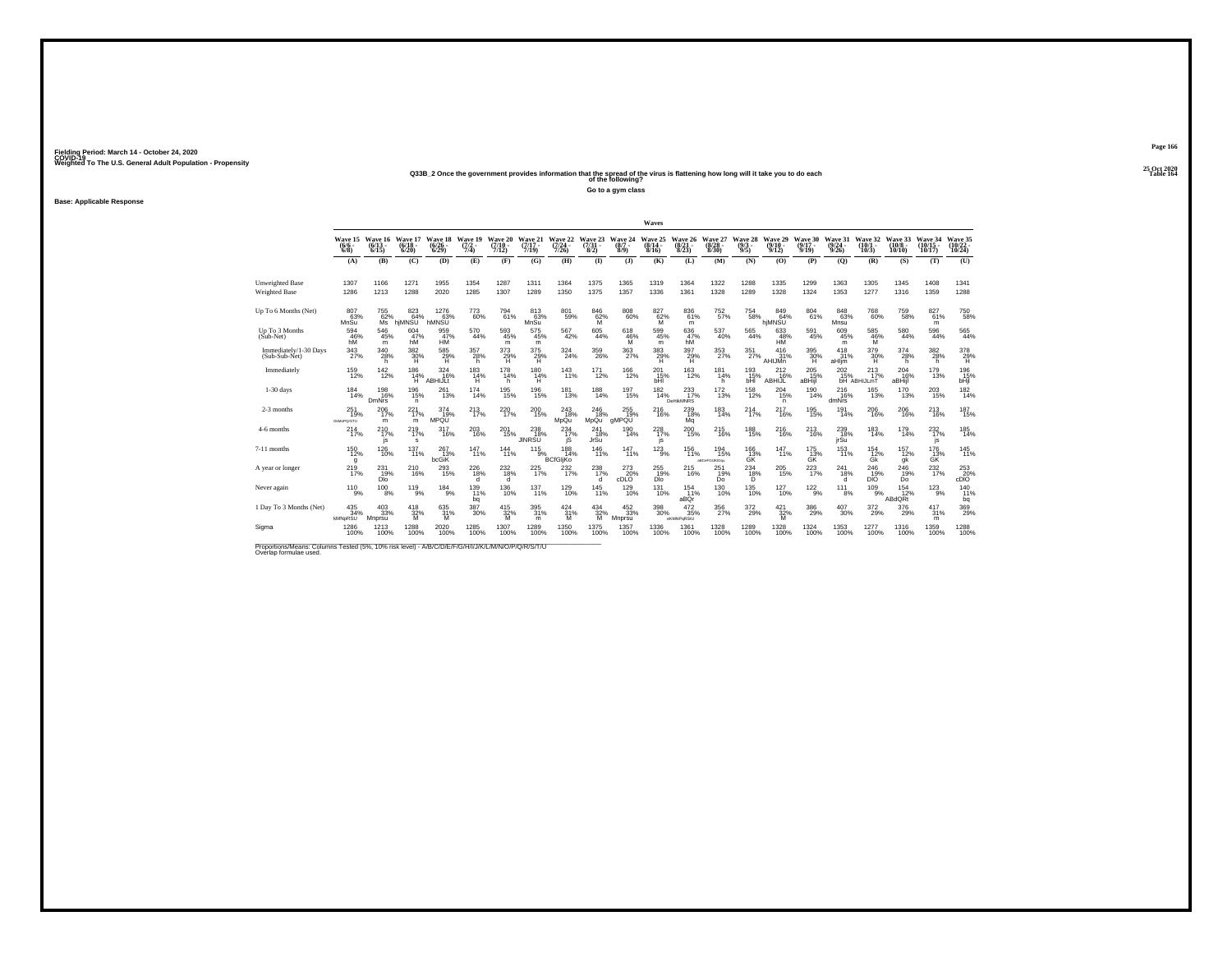**25 Oct 2020Q33B\_2 Once the government provides information that the spread of the virus is flattening how long will it take you to do each Table 164 of the following?**

**Go to a gym class**

**Base: Applicable Response**

|                                                                                                                              |                                     |                                    |                              |                                 |                                |                              |                              |                                         |                                |                                      | Waves                                  |                                         |                                  |                                 |                              |                            |                                  |                                       |                               |                                |                              |
|------------------------------------------------------------------------------------------------------------------------------|-------------------------------------|------------------------------------|------------------------------|---------------------------------|--------------------------------|------------------------------|------------------------------|-----------------------------------------|--------------------------------|--------------------------------------|----------------------------------------|-----------------------------------------|----------------------------------|---------------------------------|------------------------------|----------------------------|----------------------------------|---------------------------------------|-------------------------------|--------------------------------|------------------------------|
|                                                                                                                              | Wave 15<br>$\frac{(6/6)}{6/8}$      | Wave 16<br>$(6/13 -$<br>6/15       | Wave 17<br>$(6/18 -$<br>6/20 | Wave 18<br>$\binom{6/26}{6/29}$ | Wave 19<br>$\frac{(7/2)}{7/4}$ | Wave 20<br>$(7/10 -$<br>7/12 | Wave 21<br>$(7/17 -$<br>7/19 | Wave 22<br>$\frac{(7/24 - 7/26)}{7/26}$ | Wave 23<br>$\binom{7/31}{8/2}$ | Wave 24<br>(8/7 -<br>8/9)            | Wave 25<br>$(8/14 -$<br>8/16           | <b>Wave 26</b><br>$\frac{(8/21)}{8/23}$ | Wave 27<br>$\frac{(8/28)}{8/30}$ | Wave 28<br>$\frac{(9/3)}{9/5}$  | Wave 29<br>$(9/10 -$<br>9/12 | Wave 30<br>(9/17 -<br>9/19 | Wave 31<br>$\frac{(9/24)}{9/26}$ | Wave 32<br>$(10/1 -$<br>10/3          | Wave 33<br>$(10/8 -$<br>10/10 | Wave 34<br>$(10/15 -$<br>10/17 | Wave 35<br>(10/22 -<br>10/24 |
|                                                                                                                              | (A)                                 | (B)                                | (C)                          | (D)                             | (E)                            | (F)                          | (G)                          | (H)                                     | $($ $\Gamma$                   | (3)                                  | (K)                                    | (L)                                     | (M)                              | (N)                             | (0)                          | (P)                        | (O)                              | (R)                                   | (S)                           | (T)                            | (U)                          |
| <b>Unweighted Base</b><br><b>Weighted Base</b>                                                                               | 1307<br>1286                        | 1166<br>1213                       | 1271<br>1288                 | 1955<br>2020                    | 1354<br>1285                   | 1287<br>1307                 | 1311<br>1289                 | 1364<br>1350                            | 1375<br>1375                   | 1365<br>1357                         | 1319<br>1336                           | 1364<br>1361                            | 1322<br>1328                     | 1288<br>1289                    | 1335<br>1328                 | 1299<br>1324               | 1363<br>1353                     | 1305<br>1277                          | 1345<br>1316                  | 1408<br>1359                   | 1341<br>1288                 |
| Up To 6 Months (Net)                                                                                                         | 80763%<br>MnSu                      | $^{755}_{62\%}$<br>Μs              | 823<br>64%<br>hjMNSU         | 1276<br>63%<br>hMNSU            | 773<br>60%                     | 794<br>61%                   | 813<br>63%<br>MnSu           | 801<br>59%                              | $^{846}_{62\%}$                | $808\atop60\%$                       | $^{827}_{62\%}$                        | $836\atop 61\%$<br>m                    | 752 <sub>%</sub>                 | $754_{58\%}$                    | 849<br>64%<br>hjMNSU         | 804<br>61%                 | 848<br>63%<br>Mnsu               | 768<br>60%                            | 759<br>58%                    | 82761%<br>m                    | 750<br>58%                   |
| Up To 3 Months<br>(Sub-Net)                                                                                                  | 594<br>46%<br>hM                    | 546<br>45%<br>m                    | 604<br>47%<br>hM             | 959<br>47%<br>HM <sup>1</sup>   | 570<br>44%                     | 593<br>45%<br>m              | 575<br>45%<br>m              | 567<br>42%                              | 605<br>44%                     | 618<br>46%<br>M                      | 599<br>45%<br>m                        | 636<br>47%<br>hŴ                        | 537<br>40%                       | 565<br>44%                      | 633<br>48%<br>HÑ             | 591<br>45%                 | 609<br>45%<br>m                  | $\frac{585}{46\%}$                    | 580<br>44%                    | 596<br>44%                     | 565<br>44%                   |
| Immediately/1-30 Days<br>(Sub-Sub-Net)                                                                                       | $\frac{343}{27\%}$                  | 340<br>28%<br>h                    | $\frac{382}{30\%}$<br>н      | $^{585}_{29\%}$<br>Ĥ.           | 357<br>28%<br>h                | $^{373}_{29\%}$<br>н         | 375<br>29%<br>Ĥ              | 324%                                    | 359<br>26%                     | 363<br>27%                           | $^{383}_{\hphantom{1}29\%}$            | $^{397}_{29\%}$<br>н                    | 353<br>27%                       | 351%                            | 416<br>31%<br>AHIJMn         | $^{395}_{\ 30\%}$<br>Ή     | 418<br>31%<br>aHljm              | 379 30%<br>н                          | 374<br>28%<br>h               | $\frac{382}{28\%}$<br>h        | 378<br>29%<br>H.             |
| Immediately                                                                                                                  | 159<br>12%                          | $^{142}_{12\%}$                    | 186<br>14%<br>Ήï             | $324$<br>$16\%$<br>ABHIJLI      | $^{183}_{14\%}$<br>н           | 178<br>14%<br>h              | 180<br>14%<br>н              | 143<br>11%                              | $^{171}_{12\%}$                | $^{166}_{12\%}$                      | $^{201}_{\substack{15\%\\ \text{bH}}}$ | <sup>163</sup> <sub>12%</sub>           | 181<br>14%<br>h                  | $^{193}_{15\%}$<br>bHI          | 212<br>16%<br>ABHIJL         | 205<br>-15%<br>aBHijl      | 202<br>15%                       | $^{213}_{17\%}$<br><b>bH</b> ABHIJLmT | 204<br>16%<br>aBHijl          | 179<br>13%                     | 196<br>15%<br>bHjl           |
| $1-30$ days                                                                                                                  | 184<br>14%                          | 198<br>16%<br>DmNrs                | 196<br>15%<br>n              | 261<br>13%                      | 174<br>14%                     | 195<br>15%                   | 196<br>15%                   | 181<br>13%                              | 188<br>14%                     | 197<br>15%                           | 182<br>14%                             | 233<br>17%<br><b>DeHikMNRS</b>          | $^{172}_{13\%}$                  | $^{158}_{12\%}$                 | 204<br>15%<br>n.             | 190<br>14%                 | 216<br>16%<br>dmNrs              | 165<br>13%                            | 170<br>13%                    | 203<br>15%                     | 182<br>14%                   |
| 2-3 months                                                                                                                   | 251<br>19%<br><b>GMMoPOrSTU</b>     | $^{206}_{17\%}$<br>m               | 221 <sub>7%</sub><br>m       | 374<br>19%<br>MPQU              | $^{213}_{17\%}$                | $^{220}_{17\%}$              | $^{200}_{15\%}$              | 243<br>18%<br>MpQu                      | 246<br>18%<br>MpQu             | 255<br>19%<br>aMPQU                  | <sup>216</sup> %                       | 2396<br>Mq                              | 183<br>14%                       | $^{214}_{17\%}$                 | 217<br>16%                   | 195<br>15%                 | $^{191}_{14\%}$                  | 206<br>16%                            | 206<br>16%                    | <sup>213</sup> <sub>16%</sub>  | 187<br>15%                   |
| 4-6 months                                                                                                                   | 214<br>17%                          | 210<br>17%<br>js                   | 219<br>17%<br>s              | 317<br>16%                      | 203<br>16%                     | 201<br>15%                   | 238<br>18%<br><b>JINRSU</b>  | 234<br>17%<br>iŝ                        | 241<br>18%<br>JrSu             | 190<br>14%                           | 228<br>17%<br>js                       | 200<br>15%                              | 215<br>16%                       | 188<br>15%                      | 216<br>16%                   | 213<br>16%                 | 239<br>18%<br>jrŚū               | $\frac{183}{14\%}$                    | 179<br>14%                    | $^{232}_{17\%}$<br>js          | $\frac{185}{14\%}$           |
| 7-11 months                                                                                                                  | $^{150}_{12\%}$<br>q                | $^{126}_{10\%}$                    | 137<br>11%                   | $^{267}_{13\%}$<br>bcGiK        | 147<br>11%                     | $144 \atop 11\%$             | $^{115}_{9\%}$               | $188$ <sub>14%</sub><br><b>BCfGliKo</b> | $^{146}_{11\%}$                | 147 %                                | $123_{9\%}$                            | $^{156}_{11\%}$                         | 194<br>15%<br>aBCeFGUKIOqu       | 166<br>13%<br>GK                | $^{147}_{11\%}$              | $\frac{175}{13\%}$<br>GK   | $^{153}_{11\%}$                  | 154<br>12%<br>Gk                      | 157<br>12%<br>gk              | 176<br>13%<br>GK               | $^{145}_{11\%}$              |
| A vear or longer                                                                                                             | $^{219}_{17\%}$                     | 231<br>19%<br><b>Dlo</b>           | 210<br>16%                   | $^{293}_{15\%}$                 | 226<br>18%<br>d                | $^{232}_{18\%}$<br>d         | 225<br>17%                   | 232/17%                                 | 238<br>17%<br>d                | 273<br>20%<br>cDLO                   | 255<br>19%<br>DIO                      | 215<br>16%                              | 251<br>19%<br>Do                 | $^{234}_{\substack{18\% \\ D}}$ | 205<br>15%                   | 223<br>17%                 | 241<br>18%                       | 246<br>19%<br>DİŎ                     | 246<br>19%<br>Do              | 232%                           | $^{253}_{20\%}$ cDiO         |
| Never again                                                                                                                  | 110<br>9%                           | 100<br>8%                          | 119<br>9%                    | 184<br>9%                       | 139<br>11%<br>bq               | 136<br>10%                   | 137<br>11%                   | 129<br>10%                              | 145<br>11%                     | 129<br>10%                           | 131<br>10%                             | 154<br>11%<br>aBQr                      | 130<br>10%                       | 135<br>10%                      | 127<br>10%                   | $\frac{122}{9\%}$          | 111<br>8%                        | 109<br>9%                             | 154<br>12%<br>ABdQRt          | 123<br>9%                      | 140<br>11%<br>bq             |
| 1 Day To 3 Months (Net)                                                                                                      | $^{435}_{\ 34\%}$<br><b>kMNpRSU</b> | $\substack{403 \\ 33\%}$<br>Mnprsu | $^{418}_{32\%}$<br>M         | 635<br>31%<br>M                 | 387<br>30%                     | $415$<br>$32\%$<br>M         | 395<br>31%<br>m              | 424/31%<br>M                            | $434 \over 32\%$<br>M          | $^{452}_{\phantom{1}33\%}$<br>Mnprsu | 398<br>30%                             | $^{472}_{\ 35\%}$<br>eKMNPgRStU         | 356<br>27%                       | $^{372}_{29\%}$                 | $421 \over 32\%$<br>M        | $^{386}_{29\%}$            | $^{407}_{30\%}$                  | $^{372}_{\ 29\%}$                     | $^{376}_{29\%}$               | $^{417}_{31\%}$<br>m           | 369%                         |
| Sigma                                                                                                                        | 1286<br>100%                        | 1213<br>100%                       | 1288<br>100%                 | 2020<br>100%                    | 1285<br>100%                   | 1307<br>100%                 | 1289<br>100%                 | 1350<br>100%                            | 1375<br>100%                   | 1357<br>100%                         | 1336<br>100%                           | 1361<br>100%                            | 1328<br>100%                     | 1289<br>100%                    | 1328<br>100%                 | 1324<br>100%               | 1353<br>100%                     | 1277<br>100%                          | 1316<br>100%                  | 1359<br>100%                   | 1288<br>100%                 |
| Proportions/Means: Columns Tested (5%, 10% risk level) - A/B/C/D/E/F/G/H/I/J/K/L/M/N/O/P/Q/R/S/T/U<br>Overlap formulae used. |                                     |                                    |                              |                                 |                                |                              |                              |                                         |                                |                                      |                                        |                                         |                                  |                                 |                              |                            |                                  |                                       |                               |                                |                              |

**Page 166**25 Oct 2020<br>Table 164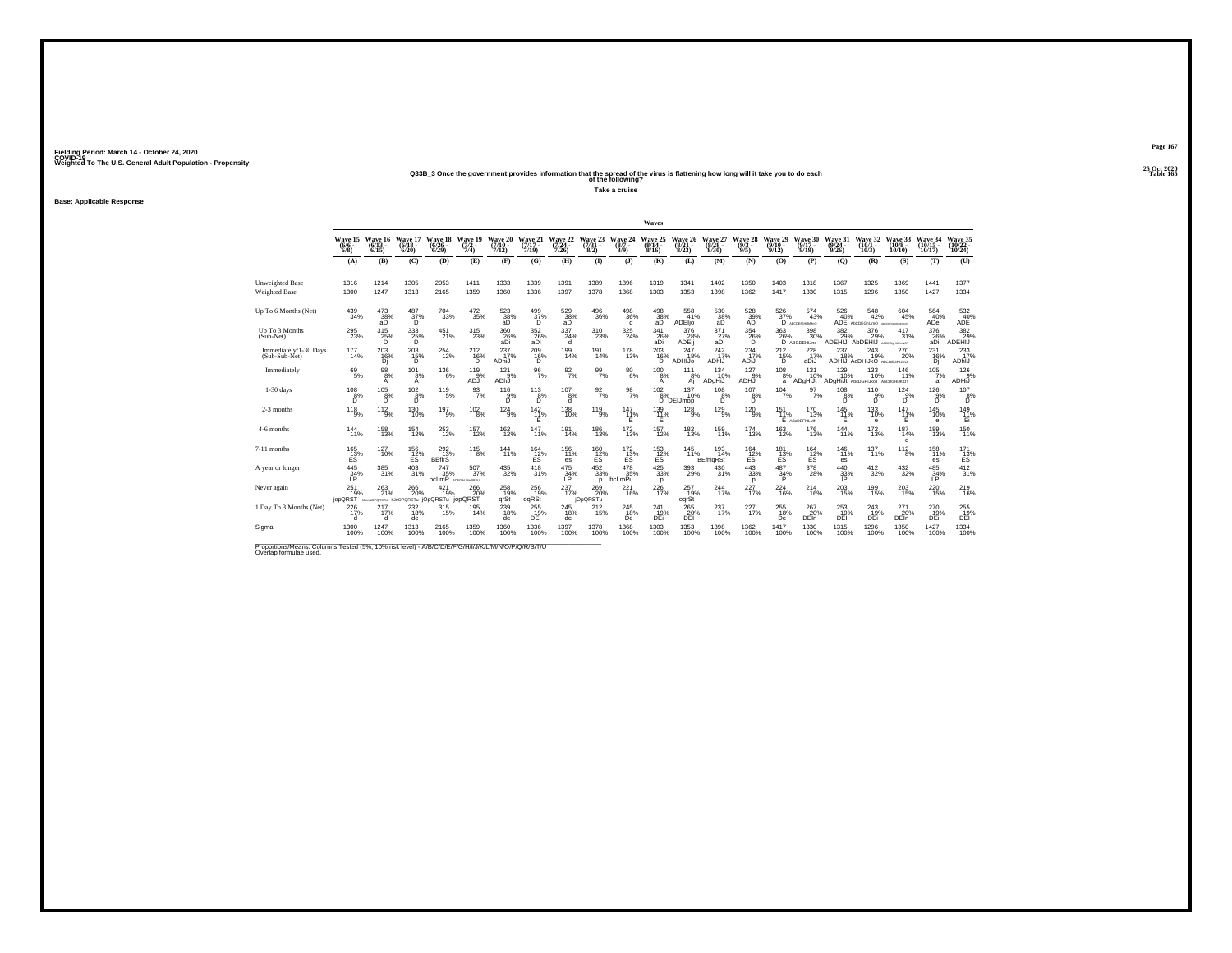## **25 Oct 2020Q33B\_3 Once the government provides information that the spread of the virus is flattening how long will it take you to do each Table 165 of the following?**

**Take a cruise**

**Base: Applicable Response**

|                                                                                                                              |                                                               |                       |                                  |                                              |                                |                                      |                                 |                                      |                              |                            | Waves                     |                                   |                                |                                       |                              |                                        |                           |                                                        |                                |                                |                          |
|------------------------------------------------------------------------------------------------------------------------------|---------------------------------------------------------------|-----------------------|----------------------------------|----------------------------------------------|--------------------------------|--------------------------------------|---------------------------------|--------------------------------------|------------------------------|----------------------------|---------------------------|-----------------------------------|--------------------------------|---------------------------------------|------------------------------|----------------------------------------|---------------------------|--------------------------------------------------------|--------------------------------|--------------------------------|--------------------------|
|                                                                                                                              | Wave 15 Wave 16<br>$(6/6 -$<br>6/8                            | $(6/13 -$<br>6/15     | Wave 17<br>$(6/18 -$<br>6/20     | Wave 18<br>$\binom{6/26}{6/29}$              | Wave 19<br>$\frac{(7/2)}{7/4}$ | Wave 20<br>$(7/10 -$<br>7/12)        | Wave 21<br>$(7/17 -$<br>7/19    | Wave 22<br>$(7/24 -$<br>7/26         | Wave 23<br>$(7/31 -$<br>8/2) | Wave 24<br>$(8/7 -$<br>8/9 | Wave 25<br>(8/14)<br>8/16 | Wave 26<br>$\frac{(8/21)}{8/23}$  | Wave 27<br>(8/28 -<br>8/30     | Wave 28<br>$\binom{9/3}{9/5}$         | Wave 29<br>$(9/10 -$<br>9/12 | Wave 30<br>$(9/17 -$<br>9/19           | Wave 31<br>(9/24)<br>9/26 | Wave 32<br>(10/1 -<br>10/3                             | Wave 33<br>$(10/8 -$<br>10/10  | Wave 34<br>$(10/15 -$<br>10/17 | Wave 35<br>10/24         |
|                                                                                                                              | (A)                                                           | (B)                   | (C)                              | (D)                                          | (E)                            | (F)                                  | (G)                             | (H)                                  | $\mathbf{D}$                 | $\mathbf{J}$               | (K)                       | (L)                               | (M)                            | (N)                                   | (0)                          | (P)                                    | (O)                       | (R)                                                    | (S)                            | (T)                            | (U)                      |
| <b>Unweighted Base</b><br><b>Weighted Base</b>                                                                               | 1316<br>1300                                                  | 1214<br>1247          | 1305<br>1313                     | 2053<br>2165                                 | 1411<br>1359                   | 1333<br>1360                         | 1339<br>1336                    | 1391<br>1397                         | 1389<br>1378                 | 1396<br>1368               | 1319<br>1303              | 1341<br>1353                      | 1402<br>1398                   | 1350<br>1362                          | 1403<br>1417                 | 1318<br>1330                           | 1367<br>1315              | 1325<br>1296                                           | 1369<br>1350                   | 1441<br>1427                   | 1377<br>1334             |
| Up To 6 Months (Net)                                                                                                         | $^{439}_{34\%}$                                               | $^{473}_{38\%}$<br>ãĎ | $^{487}_{\substack{37\%\\D}}$    | 704<br>33%                                   | $\substack{472 \\ 35\%}$       | $^{523}_{\substack{38\% \text{aD}}}$ | $^{499}_{\substack{37\%\\D}}$   | $^{529}_{\substack{38\% \text{aD}}}$ | $^{496}_{36\%}$              | $^{498}_{36\%}$            | $\frac{498}{38\%}$ aD     | 558<br>41%<br>ADEIjo              | 530<br>38%<br>aD               | $^{528}_{\substack{39\%\\\text{AD}}}$ | 526<br>37%                   | 574<br>43%<br>D ABCODIGHLAMVO          | $\frac{526}{40\%}$        | $\frac{548}{42\%}$<br>ADE AbCDEGNUMO MCDEFORMANOLO     | 604<br>45%                     | 564<br>40%<br>ADe              | $^{532}_{\rm 40\%}$ ADE  |
| Up To 3 Months<br>$(Sub-Net)$                                                                                                | 295<br>23%                                                    | 315<br>$^{25%}_{D}$   | $\overset{333}{\substack{25\%}}$ | 451<br>21%                                   | 315<br>23%                     | 360<br>26%<br>aDi                    | $\underset{\text{aDi}}{^{352}}$ | 337<br>24%<br>d                      | 310<br>23%                   | 325<br>24%                 | 341<br>26%<br>aDi         | 376<br>ADEij                      | 371<br>27%<br>aDI              | 354<br>26%                            | 363<br>26%                   | 398<br>30%<br>D ABCDEHIJno             | 382                       | 376<br>29% 29% 31%<br>ADEHIJ AbDEHIJ ACCESS HANDE      | 417<br>31%                     | 376<br>26%<br>aDi              | 382<br>29%<br>ADEHIJ     |
| Immediately/1-30 Days<br>(Sub-Sub-Net)                                                                                       | 177<br>14%                                                    | $^{203}_{16\%}$<br>Di | $^{203}_{15\%}$<br>D.            | 254<br>12%                                   | $^{212}_{16\%}$<br>D.          | $^{237}_{17\%}$<br>ADhiJ             | $^{209}_{16\%}$<br>D.           | $^{199}_{14\%}$                      | 191<br>14%                   | 178<br>13%                 | $^{203}_{16\%}$<br>D      | 247<br>18%<br>ADHIJo              | $^{242}_{17\%}$<br>ADhIJ       | 234<br>17%<br>ADiJ                    | $^{212}_{15\%}$<br>D         | $^{228}_{17\%}$<br>aDiJ                | 237<br>18%                | $^{243}_{19\%}$<br><b>ADHIJ ACDHIJKO ANCIDEGHIJKOK</b> | 270 20%                        | 231<br>16%<br>Di               | 233<br>17%<br>ADhIJ      |
| Immediately                                                                                                                  | $^{69}_{5\%}$                                                 | $\frac{98}{8\%}$<br>A | $^{101}_{8\%}$<br>A              | $^{136}_{6\%}$                               | 119<br>9%<br>ADJ               | $^{121}_{9\%}$<br>ADhJ               | $\frac{96}{7\%}$                | $\frac{92}{7\%}$                     | $\frac{99}{7\%}$             | $^{80}_{\ 6\%}$            | $^{100}_{8\%}$<br>A       | 111<br>8%<br>Αį                   | 134<br>10%<br>ADgHiJ           | $^{127}_{9\%}$<br>ADHJ                | 108<br>8%<br>a               | 131<br>10%<br>ADgHiJt                  | 129<br>10%                | 133<br>10%<br>ADGHIJI AbcDGHIJKoT ALCDGHIJKIOT         | 146<br>11%                     | $105 \frac{7}{3}$ %<br>a       | 126%<br>ADHIJ            |
| $1-30$ days                                                                                                                  | 108<br>$^{8%}_{D}$                                            | 105<br>$^{8%}_{D}$    | 102<br>$^{8%}_{D}$               | 119<br>5%                                    | 93<br>7%                       | 116<br>$5\%$                         | 113<br>$5\%$                    | 107<br>8%<br>d                       | $\frac{92}{7\%}$             | 98<br>7%                   | 102                       | 137<br>10%<br>8% 10%<br>D DEIJmop | 108<br>$b^{8%}$                | 107<br>$^{8%}_{D}$                    | 104<br>7%                    | 97<br>7%                               | 108<br>$^{8%}_{D}$        | 110<br>$5\%$                                           | 124<br>$\frac{9}{9}$           | 126<br>9%<br>ň                 | 107<br>$b^{\frac{8}{2}}$ |
| 2-3 months                                                                                                                   | $^{118}_{-9\%}$                                               | $11^{2}_{9\%}$        | $^{130}_{10\%}$                  | $^{197}_{9\%}$                               | $^{102}_{8\%}$                 | $124_{9\%}$                          | $^{142}_{11\%}$<br>Ε            | $^{138}_{10\%}$                      | $^{119}_{9\%}$               | $^{147}_{11\%}$<br>F       | $^{139}_{11\%}$<br>Ε      | $^{128}_{9\%}$                    | $^{129}_{9\%}$                 | $^{120}_{-9\%}$                       | $^{151}_{11\%}$              | <sup>170</sup><br>13%<br>E ABODEFINLMN | $^{145}_{11\%}$<br>F      | $^{133}_{10\%}$<br>e                                   | $^{147}_{11\%}$<br>Ε           | $^{145}_{10\%}$<br>e           | $^{149}_{11\%}$<br>Ei    |
| 4-6 months                                                                                                                   | 144<br>11%                                                    | 158<br>13%            | 154<br>12%                       | $\substack{253 \\ 12\%}$                     | 157<br>12%                     | 162<br>12%                           | 147<br>11%                      | 191<br>14%                           | 186<br>13%                   | 172<br>13%                 | 157<br>12%                | 182<br>13%                        | 159<br>11%                     | 174<br>13%                            | 163<br>12%                   | 176<br>13%                             | 144<br>11%                | 172<br>13%                                             | 187<br>14%<br>q                | 189<br>13%                     | 150<br>11%               |
| 7-11 months                                                                                                                  | $^{165}_{13\%}$<br>ES                                         | 127<br>10%            | $^{156}_{12\%}$<br>ES            | 292 <sub>13%</sub><br><b>BEfirS</b>          | 115<br>8%                      | $144 \atop 11\%$                     | $^{164}_{12\%}$<br>ΕŜ           | 156<br>11%<br>es                     | $^{160}_{12\%}$ ES           | $^{172}_{13\%}$<br>ΕŠ      | $^{153}_{12\%}$<br>ΕŜ     | 145<br>11%                        | 193<br>14%<br><b>BEfhigRSt</b> | $^{164}_{12\%}$<br>ES                 | 181<br>13%<br>ΕŠ             | $\frac{164}{12}\%$<br>ΕŜ               | $^{146}_{11\%}$<br>es     | 137<br>11%                                             | 112<br>$\overline{8}$ %        | 158<br>11%<br>es.              | $^{171}_{13\%}$<br>EŠ.   |
| A year or longer                                                                                                             | $^{445}_{34\%}$                                               | 385<br>31%            | $^{403}_{\phantom{1}31\%}$       | $^{747}_{35\%}$<br><b>bcLmP</b> BCPGALMAPRSU | $^{507}_{37\%}$                | $^{435}_{\phantom{1}32\%}$           | 418<br>31%                      | $^{475}_{34\%}$                      | $\frac{452}{33\%}$<br>D      | 478<br>35%<br>bcLmPu       | 425/33%<br>p              | 393<br>29%                        | 430<br>31%                     | $\substack{443 \\ 33\%}$<br>p         | $^{487}_{34\%}$              | 378<br>28%                             | $^{440}_{33\%}$           | $^{412}_{32\%}$                                        | $^{432}_{\ 32\%}$              | $^{485}_{34\%}$                | 412 %                    |
| Never again                                                                                                                  | 251<br>19%<br>jopQRST HumNoPQRSTU hJnOPQRSTu jOpQRSTu jopQRST | 263<br>21%            | 266<br>20%                       | 421<br>19%                                   | 266<br>20%                     | 258<br>19%<br>grSt                   | 256<br>19%<br>oqRSt             | 237<br>17%                           | 269<br>20%<br>jOpQRSTu       | 221<br>16%                 | 226<br>17%                | 257<br>19%<br>ogrSt               | 244<br>17%                     | 227<br>17%                            | 224<br>16%                   | 214<br>16%                             | 203<br>15%                | 199<br>15%                                             | 203<br>15%                     | 220<br>15%                     | 219<br>16%               |
| 1 Day To 3 Months (Net)                                                                                                      | $^{226}_{17\%}$                                               | 217<br>17%<br>d       | $^{232}_{18\%}$<br>de            | 315/15%                                      | 195<br>14%                     | $^{239}_{18\%}$<br>de                | 255<br>DEI                      | $^{245}_{18\%}$<br>de                | 212%                         | $^{245}_{18\%}$<br>De      | 241<br>19%<br>DEi         | 265<br>20%<br>DEI                 | 237%                           | 227<br>17%                            | $^{255}_{18\%}$<br>De        | 267<br>20%<br><b>DEIn</b>              | 253<br>19%<br>DEI         | $^{243}_{19\%}$<br>DEi                                 | $^{271}_{20\%}$<br><b>DEIn</b> | 270<br>19%<br>DEi              | 255<br>DEI               |
| Sigma                                                                                                                        | 1300<br>100%                                                  | 1247<br>100%          | 1313<br>100%                     | 2165<br>100%                                 | 1359<br>100%                   | 1360<br>100%                         | 1336<br>100%                    | 1397<br>100%                         | 1378<br>100%                 | 1368<br>100%               | 1303<br>100%              | 1353<br>100%                      | 1398<br>100%                   | 1362<br>100%                          | 1417<br>100%                 | 1330<br>100%                           | 1315<br>100%              | 1296<br>100%                                           | 1350<br>100%                   | 1427<br>100%                   | 1334<br>100%             |
| Proportions/Means: Columns Tested (5%, 10% risk level) - A/B/C/D/E/F/G/H/I/J/K/L/M/N/O/P/Q/R/S/T/U<br>Overlap formulae used. |                                                               |                       |                                  |                                              |                                |                                      |                                 |                                      |                              |                            |                           |                                   |                                |                                       |                              |                                        |                           |                                                        |                                |                                |                          |

**Page 167**25 Oct 2020<br>Table 165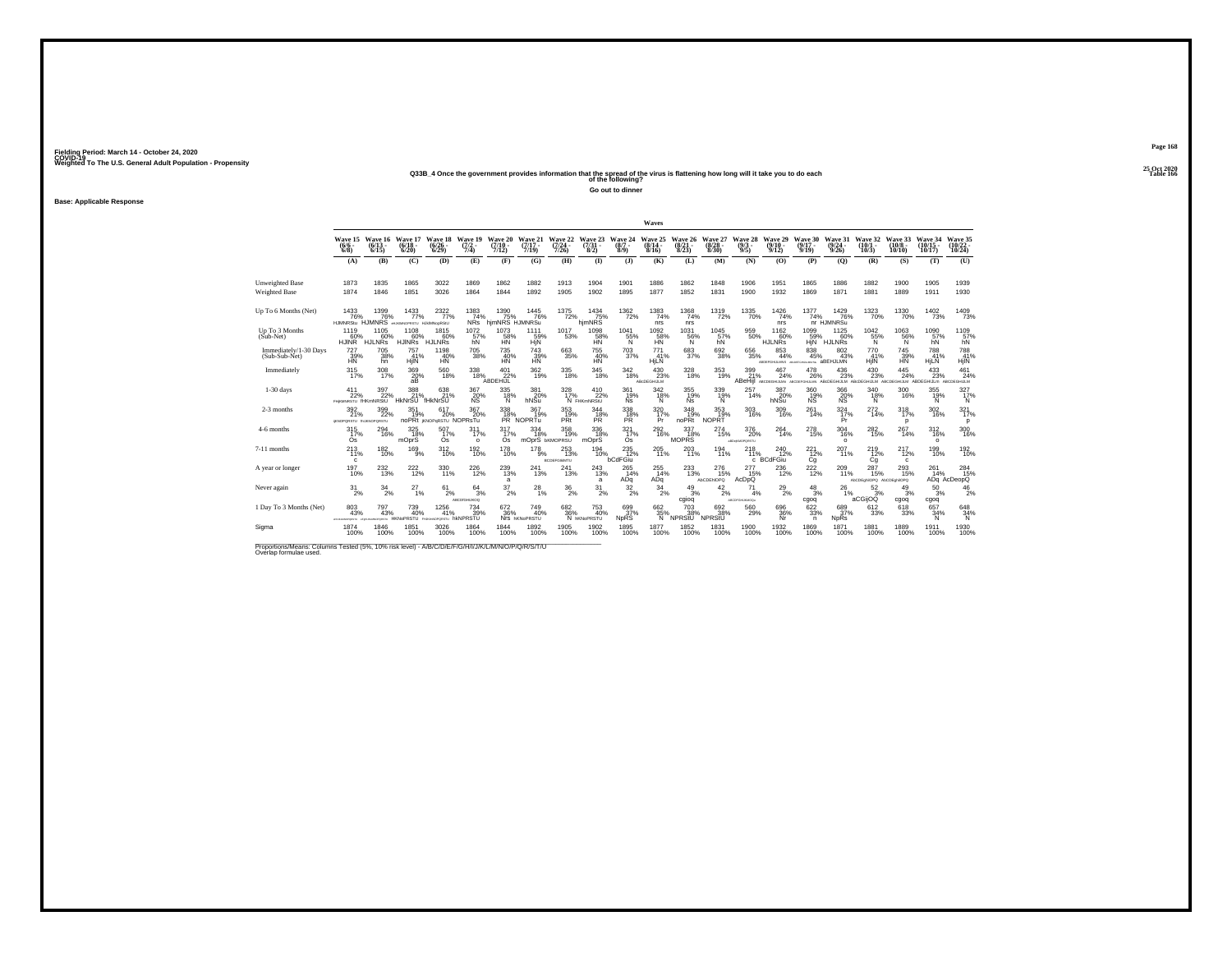## **25 Oct 2020Q33B\_4 Once the government provides information that the spread of the virus is flattening how long will it take you to do each Table 166 of the following?**

**Go out to dinner**

**Base: Applicable Response**

|                                                                                                                              |                                               |                                          |                                                     |                                                     |                                     |                                            |                                         |                                       |                                  |                               | Waves                          |                                  |                                 |                             |                                   |                                               |                                                              |                                         |                               |                                |                                  |
|------------------------------------------------------------------------------------------------------------------------------|-----------------------------------------------|------------------------------------------|-----------------------------------------------------|-----------------------------------------------------|-------------------------------------|--------------------------------------------|-----------------------------------------|---------------------------------------|----------------------------------|-------------------------------|--------------------------------|----------------------------------|---------------------------------|-----------------------------|-----------------------------------|-----------------------------------------------|--------------------------------------------------------------|-----------------------------------------|-------------------------------|--------------------------------|----------------------------------|
|                                                                                                                              | Wave 15<br>$(6/6 -$<br>$6/8$ )                | Wave 16<br>$(6/13 -$<br>6/15             | Wave 17<br>$\frac{(6/18)}{6/20}$                    | Wave 18<br>$\binom{6/26}{6/29}$                     | Wave 19<br>$\frac{(7/2)}{7/4}$      | Wave 20<br>(7/10 -<br>7/12)                | Wave 21<br>$(7/17 -$<br>7/19            | Wave 22<br>$\frac{(7/24)}{7/26}$      | Wave 23<br>$(7/31 -$<br>8/2)     | Wave 24<br>$(8/7 -$<br>8/9    | Wave 25<br>$(8/14 -$<br>8/16   | Wave 26<br>$\frac{(8/21)}{8/23}$ | Wave 27<br>$\binom{8/28}{8/30}$ | Wave 28<br>$(9/3 -$<br>9/5  | Wave 29<br>$(9/10 -$<br>9/12      | Wave 30<br>$(9/17 -$<br>9/19                  | Wave 31<br>$(9/24 -$<br>9/26                                 | Wave 32<br>$(10/1 -$<br>10/3            | Wave 33<br>$(10/8 -$<br>10/10 | Wave 34<br>$(10/15 -$<br>10/17 | Wave 35<br>(10/22 -<br>10/24     |
|                                                                                                                              | (A)                                           | (B)                                      | (C)                                                 | (D)                                                 | (E)                                 | (F)                                        | (G)                                     | (H)                                   | $\Phi$                           | (3)                           | (K)                            | (L)                              | (M)                             | (N)                         | (0)                               | (P)                                           | (0)                                                          | (R)                                     | (S)                           | (T)                            | (U)                              |
| <b>Unweighted Base</b><br><b>Weighted Base</b>                                                                               | 1873<br>1874                                  | 1835<br>1846                             | 1865<br>1851                                        | 3022<br>3026                                        | 1869<br>1864                        | 1862<br>1844                               | 1882<br>1892                            | 1913<br>1905                          | 1904<br>1902                     | 1901<br>1895                  | 1886<br>1877                   | 1862<br>1852                     | 1848<br>1831                    | 1906<br>1900                | 1951<br>1932                      | 1865<br>1869                                  | 1886<br>1871                                                 | 1882<br>1881                            | 1900<br>1889                  | 1905<br>1911                   | 1939<br>1930                     |
|                                                                                                                              |                                               |                                          |                                                     |                                                     |                                     |                                            |                                         |                                       |                                  |                               |                                |                                  |                                 |                             |                                   |                                               |                                                              |                                         |                               |                                |                                  |
| Up To 6 Months (Net)                                                                                                         | 1433<br>76%<br><b>HJMNRStu</b>                | 1399<br>76%                              | $\frac{1433}{77\%}$<br>HJMNRS eluxtering HJMNoorSIU | $^{2322}_{77\%}$                                    | $^{1383}_{74\%}$<br>NR <sub>S</sub> | 1390 1445<br>75% 76% 76%<br>hjmNRS HJMNRSu | 1445<br>76%                             | 1375<br>72%                           | 1434<br>75% hjmNRS               | $^{1362}_{\  \, 72\%}$        | $\frac{1383}{74\%}$<br>nrs     | $^{1368}_{74\%}$<br>nrs          | 1319<br>72%                     | $1335 \atop 70\%$           | $1426$<br>$74%$<br>nrs            | 1377<br>74%                                   | 1429<br>76%<br>nr HJMNRSu                                    | 1323<br>70%                             | 1330<br>70%                   | $\frac{1402}{73\%}$            | 1409<br>73%                      |
| Up To 3 Months<br>(Sub-Net)                                                                                                  | 1119<br>60%<br><b>HJINR</b>                   | 1105<br>60%<br>HJLNRs                    | 1108<br>60%<br>HJINRS <sup>"</sup>                  | 1815<br>60%<br>HJLNŘS                               | 1072<br>57%<br>hN                   | 1073<br>58%                                | 1111<br>59%<br>HjN                      | 1017<br>53%                           | 1098<br>58%                      | 1041<br>55%                   | 1092<br>$\frac{58}{10}$ %      | 1031<br>56%                      | 1045<br>57%                     | 959<br>50%                  | 1162<br>60%<br><b>HJLNRs</b>      | 1099<br>59%<br>HIN <sup>®</sup>               | 1125<br>60%<br>HJLNRS                                        | 1042<br>55%                             | 1063<br>56%                   | 1090<br>57%<br>hN              | 1109<br>57%                      |
| Immediately/1-30 Days<br>(Sub-Sub-Net)                                                                                       | 727<br>39%<br><b>HN</b>                       | <sup>705</sup> 38%<br>hn                 | 757<br>41%<br>HjIN                                  | 1198<br>40%<br>HN                                   | $^{705}_{\ 38\%}$                   | 735<br>40%<br><b>HN</b>                    | 743<br>39%<br><b>HN</b>                 | $^{663}_{35\%}$                       | 755<br>40%<br><b>HN</b>          | 703<br>37%                    | $^{771}_{41\%}$<br>HjLN        | $\substack{683 \\ 37\%}$         | 692 %                           | $^{656}_{35\%}$             | 853<br>44%<br>ABDEFGHLLANS ABOUT  | $\substack{838 \\ 45\%}$<br><b>GENERALISM</b> | $\substack{802 \\ 43\%}$<br>aBEHJLMN                         | 770<br>41%<br>HilN                      | 745<br>39%<br><b>HN</b>       | 788<br>41%<br>HjLN             | 788<br>41%<br>HjIN               |
| Immediately                                                                                                                  | 315/17%                                       | 308<br>17%                               | 369<br>20%<br>аB                                    | 560<br>18%                                          | $^{338}_{\phantom{1}18\%}$          | $^{401}_{22\%}$<br>ABDEHIJL                | $\frac{362}{19\%}$                      | 335<br>18%                            | $\underset{18\%}{^{345}}$        | $^{342}_{18\%}$               | $^{430}_{23\%}$<br>ABcDEGHIJLM | 328<br>18%                       | 353<br>19%                      | $\frac{399}{21\%}$          | 467<br>24%                        | 478<br>26%                                    | 436<br>23%<br>ABeHill ABCDEGHULM ABCDEFGHULM ABCDEGHULM ABCD | 430<br>23%<br>HIJLM                     | 445<br>24%<br>GHIJLM          | $^{433}_{\ 23\%}$              | 461<br>24%<br>GHIJLm ABCDEGHIJLM |
| $1-30$ days                                                                                                                  | 411<br>22%<br>FHIKMNRSTU fHKmNRStU            | 397<br>22%                               | 388<br>21%<br><b>HkNrSU</b>                         | 638<br>21%<br>FHkNrŠU                               | 367<br>20%                          | 335<br>$^{18\%}_{N}$                       | 381<br>20%<br>hNSu                      | 328<br>17%                            | 410<br>22%<br>N FHKmNRStU        | 361<br>19%<br><b>Ns</b>       | 342<br>$^{18\%}$               | 355<br>19%<br>Ńš                 | 339<br>$^{19%}_{N}$             | 257<br>14%                  | 387<br>hNSu                       | 360<br>19%<br>NŠ                              | 366<br>20%                                                   | 340<br>$^{18%}_{N}$                     | 300<br>16%                    | 355<br>19%                     | 327<br>$^{17%}_{N}$              |
| 2-3 months                                                                                                                   | $\frac{392}{21\%}$<br>IKNOPORSTU INJKNOPORSTU | $\frac{399}{22\%}$                       | $351$<br>$19%$                                      | $^{617}_{20\%}$<br>noPRt iknoperstu NOPRsTu         | 367<br>20%                          | 338<br>18%                                 | 367<br>19%<br>PR NOPRTu                 | 353/19%<br>PRt                        | 344<br>18%<br><b>PR</b>          | 338<br><b>PR</b>              | 320<br>17%<br>Pr               | $348$ <sub>19%</sub><br>noPRt    | 353<br>19%<br><b>NOPRT</b>      | 303<br>16%                  | $^{309}_{16\%}$                   | 261<br>14%                                    | $\frac{324}{17\%}$<br>Pr                                     | 272 <sub>14%</sub>                      | 318<br>p                      | $\frac{302}{16\%}$             | 3217%<br>p                       |
| 4-6 months                                                                                                                   | 315<br>17%<br>Os                              | 294<br>16%                               | 325<br>18%<br>mOprS                                 | 507<br>17%<br>Ós <sup>'</sup>                       | 311<br>17%<br>$\Omega$              | 317<br>17%<br>Os <sup>1</sup>              | 334<br>18%<br>mOprS <b>bKMOPRSU</b>     | 358<br>19%                            | 336<br>18%<br>mOprS              | 321<br>17%<br>Os <sup>1</sup> | 292<br>16%                     | 337<br>18%<br><b>MOPRS</b>       | 274<br>15%                      | 376<br>20%<br>aBDeRMOPORSTU | 264<br>14%                        | 278<br>15%                                    | 304<br>16%<br>$\Omega$                                       | 282<br>15%                              | 267<br>14%                    | 312<br>16%<br>$\circ$          | 300<br>16%                       |
| 7-11 months                                                                                                                  | 213<br>11%<br>c.                              | $^{182}_{10\%}$                          | 169<br>9%                                           | 312/10%                                             | 192%                                | 178<br>10%                                 | $^{178}_{9\%}$                          | $^{253}_{13\%}$<br><b>BCDEFGIMMTU</b> | 194<br>10%                       | $^{235}_{12\%}$<br>bCdFGiu    | 205<br>11%                     | 203<br>11%                       | $^{194}_{11\%}$                 | 218<br>11%<br>c             | $^{240}_{12\%}$<br><b>BCdFGiu</b> | $^{221}_{12\%}$<br>Cg                         | 207<br>11%                                                   | 219 12%<br>Cq                           | 217<br>12%<br>c               | 199<br>10%                     | 192 <sub>0%</sub>                |
| A year or longer                                                                                                             | $^{197}_{10\%}$                               | 232<br>13%                               | <sup>222</sup> <sub>12%</sub>                       | 330<br>11%                                          | 226<br>12%                          | $^{239}_{13\%}$<br>a                       | 241<br>13%                              | 241<br>13%                            | $^{243}_{13\%}$<br>a             | 265<br>14%<br>ADq             | 255<br>14%<br>ADq              | 233<br>13%                       | 276<br>15%<br><b>AbCDENOPQ</b>  | 277<br>15%<br>AcDpQ         | 236<br>12%                        | $^{222}_{12\%}$                               | 209<br>11%                                                   | 287<br>15%<br>AbCDEghilOPQ AbCDEghilOPQ | $^{293}_{15\%}$               | 261<br>14%                     | 284<br>15%<br>ADq AcDeopO        |
| Never again                                                                                                                  | $\frac{31}{2\%}$                              | 34<br>2%                                 | 27<br>1%                                            | 61<br>2%                                            | 64<br>3%<br>ABCDIGHIJKOQ            | 37<br>2%                                   | 28<br>1%                                | $^{36}_{\ 2\%}$                       | 31<br>2%                         | $\frac{32}{2\%}$              | 34<br>2%                       | 49<br>3%<br>cgiog                | 42<br>$\overline{2}\%$          | 71<br>4%<br>AECOFGHUNNOQu   | $^{29}_{2\%}$                     | 48<br>3%<br>cgoq                              | 26<br>1%                                                     | $\frac{52}{3}\%$<br>aCGijOQ             | 49<br>3%<br>cgoq              | 50<br>3%<br>cgoq               | $^{46}_{2\%}$                    |
| 1 Day To 3 Months (Net)                                                                                                      | 803<br>43%<br><b>UTERCHORANTH</b>             | 797<br>43%<br>adjourner and complete the | <sup>739</sup> <sub>40%</sub>                       | $^{1256}_{41\%}$<br>HKNoPRSTU PHARMOPORSTU hKNPRSTU | <sup>734</sup> <sub>39%</sub>       | $672 \atop 36\%$                           | $^{749}_{40\%}$<br>Nrs <b>hKNoPRSTU</b> | $682\atop 36\%$                       | 753<br>40%<br>N <b>hKNoPRSTU</b> | 699<br>37%<br><b>NpRS</b>     | 662 %<br>N                     | 703<br>38%<br>NPRStU             | 692 38%<br>NPRStU               | 560<br>29%                  | 696<br>36%<br>Nr                  | 622/33%<br>n                                  | 689<br>37%<br><b>NpRs</b>                                    | 612<br>33%                              | 618<br>33%                    | 657<br>34%<br>N                | 648<br>34%<br>N                  |
| Sigma                                                                                                                        | 1874<br>100%                                  | 1846<br>100%                             | 1851<br>100%                                        | 3026<br>100%                                        | 1864<br>100%                        | 1844<br>100%                               | 1892<br>100%                            | 1905<br>100%                          | 1902<br>100%                     | 1895<br>100%                  | 1877<br>100%                   | 1852<br>100%                     | 1831<br>100%                    | 1900<br>100%                | 1932<br>100%                      | 1869<br>100%                                  | 1871<br>100%                                                 | 1881<br>100%                            | 1889<br>100%                  | 1911<br>100%                   | 1930<br>100%                     |
| Proportions/Means: Columns Tested (5%, 10% risk level) - A/B/C/D/E/F/G/H/I/J/K/L/M/N/O/P/Q/R/S/T/U<br>Overlap formulae used. |                                               |                                          |                                                     |                                                     |                                     |                                            |                                         |                                       |                                  |                               |                                |                                  |                                 |                             |                                   |                                               |                                                              |                                         |                               |                                |                                  |

**Page 168**25 Oct 2020<br>Table 166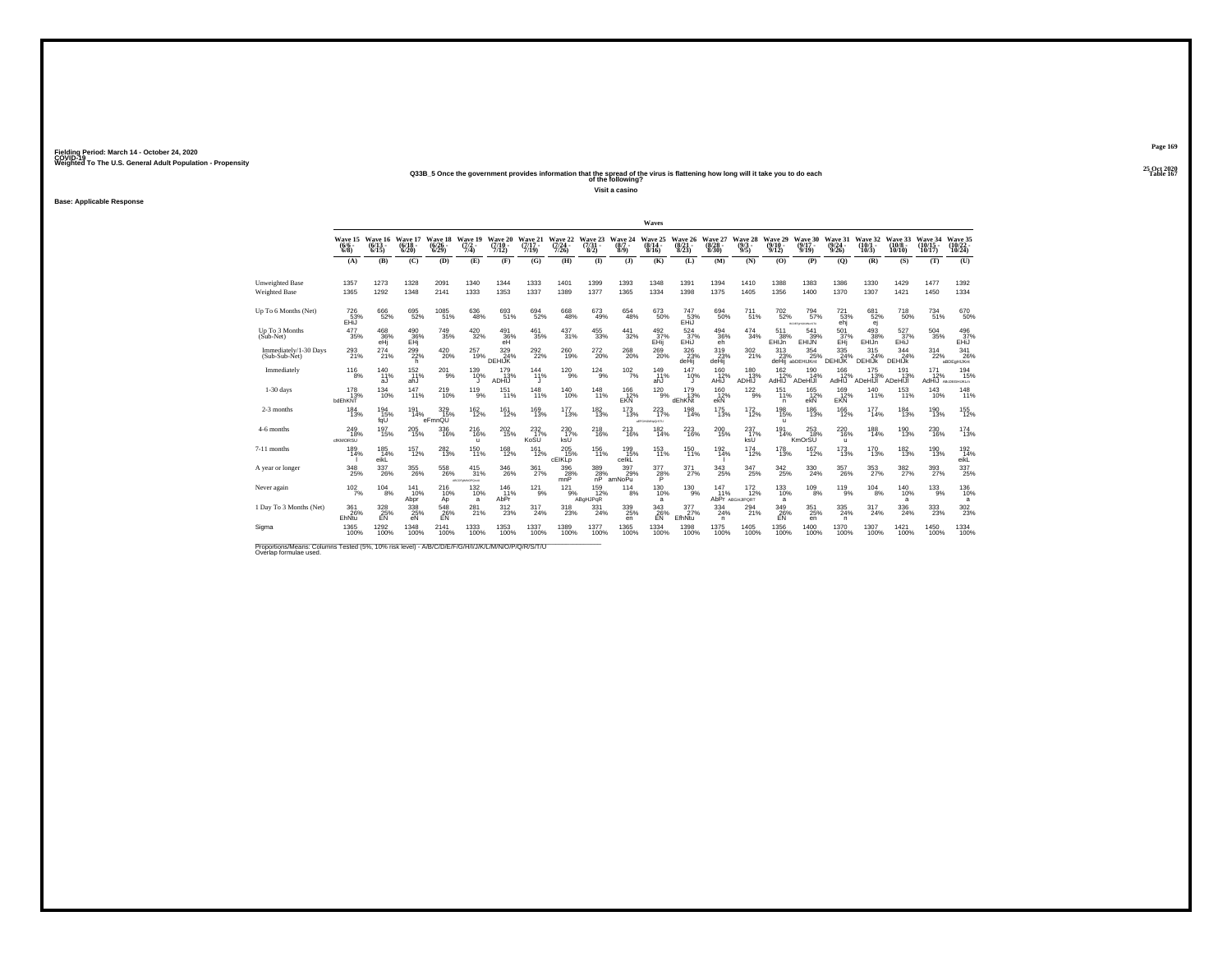## **25 Oct 2020Q33B\_5 Once the government provides information that the spread of the virus is flattening how long will it take you to do each Table 167 of the following?**

**Visit a casino**

**Base: Applicable Response**

|                                                                                                                              |                                       |                              |                              |                                 |                                    |                                        |                              |                                  |                                                         |                                             | Waves                            |                                 |                                 |                                    |                                    |                                                           |                                            |                                 |                               |                                |                                  |
|------------------------------------------------------------------------------------------------------------------------------|---------------------------------------|------------------------------|------------------------------|---------------------------------|------------------------------------|----------------------------------------|------------------------------|----------------------------------|---------------------------------------------------------|---------------------------------------------|----------------------------------|---------------------------------|---------------------------------|------------------------------------|------------------------------------|-----------------------------------------------------------|--------------------------------------------|---------------------------------|-------------------------------|--------------------------------|----------------------------------|
|                                                                                                                              | Wave 15<br>$(6/6 -$<br>$6/8$ )        | Wave 16<br>$(6/13 -$<br>6/15 | Wave 17<br>$(6/18 -$<br>6/20 | Wave 18<br>$\binom{6/26}{6/29}$ | Wave 19<br>$\frac{(7/2)}{7/4}$     | <b>Wave 20</b><br>$(7/10 -$<br>7/12    | Wave 21<br>$(7/17 -$<br>7/19 | Wave 22<br>$\frac{(7/24)}{7/26}$ | Wave 23<br>$\binom{7/31}{8/2}$                          | Wave 24<br>$\frac{(8/7)}{8/9}$              | Wave 25<br>$\frac{(8/14)}{8/16}$ | Wave 26<br>$\binom{8/21}{8/23}$ | Wave 27<br>$\binom{8/28}{8/30}$ | Wave 28<br>$\binom{9/3}{9/5}$      | Wave 29<br>$(9/10 -$<br>9/12       | Wave 30<br>$(9/17 -$<br>9/19                              | Wave 31<br>(9/24)<br>9/26                  | Wave 32<br>$(10/1 -$<br>10/3    | Wave 33<br>$(10/8 -$<br>10/10 | Wave 34<br>$(10/15 -$<br>10/17 | Wave 35<br>10/24                 |
|                                                                                                                              | (A)                                   | (B)                          | (C)                          | (D)                             | (E)                                | (F)                                    | (G)                          | (H)                              | (1)                                                     | $($ $\bf{J}$                                | (K)                              | (L)                             | (M)                             | (N)                                | (O)                                | (P)                                                       | $\mathbf{Q}$                               | (R)                             | (S)                           | (T)                            | (U)                              |
| <b>Unweighted Base</b><br><b>Weighted Base</b>                                                                               | 1357<br>1365                          | 1273<br>1292                 | 1328<br>1348                 | 2091<br>2141                    | 1340<br>1333                       | 1344<br>1353                           | 1333<br>1337                 | 1401<br>1389                     | 1399<br>1377                                            | 1393<br>1365                                | 1348<br>1334                     | 1391<br>1398                    | 1394<br>1375                    | 1410<br>1405                       | 1388<br>1356                       | 1383<br>1400                                              | 1386<br>1370                               | 1330<br>1307                    | 1429<br>1421                  | 1477<br>1450                   | 1392<br>1334                     |
|                                                                                                                              |                                       |                              |                              |                                 |                                    |                                        |                              |                                  |                                                         |                                             |                                  |                                 |                                 |                                    |                                    |                                                           |                                            |                                 |                               |                                |                                  |
| Up To 6 Months (Net)                                                                                                         | 726<br>53%<br>EHiJ                    | 666<br>52%                   | 695<br>52%                   | $\frac{1085}{51\%}$             | $^{636}_{48\%}$                    | 693<br>51%                             | 694<br>52%                   | $^{668}_{48\%}$                  | $^{673}_{49\%}$                                         | $\substack{654 \\ 48\%}$                    | 673<br>50%                       | 747<br>53%<br>EHiJ              | 694<br>50%                      | 711 <sub>%</sub>                   | 702 <sub>%</sub>                   | $^{794}_{57\%}$<br>BCDEForLR0ModiTU                       | 721<br>53%<br>ehj                          | 681<br>52%<br>ej                | <sup>718</sup> 50%            | 734<br>51%                     | 670<br>50%                       |
| Up To 3 Months<br>(Sub-Net)                                                                                                  | 477<br>35%                            | 468<br>36%<br>eHi            | $^{490}_{36\%}$ EHj          | $\substack{749 \\ 35\%}$        | $\frac{420}{32\%}$                 | $^{491}_{\substack{36\%\\ \text{eH}}}$ | 461<br>35%                   | 437<br>31%                       | $\substack{455 \\ 33\%}$                                | 441<br>32%                                  | 492<br>37%<br>EHij               | $\frac{524}{37\%}$<br>EHIJ      | 494<br>36%<br>eh                | 474<br>34%                         | 511<br>38%<br>EHIJn                | 541<br>39%<br><b>EHIJN</b>                                | 501<br>37%<br>EHi                          | $\frac{493}{38\%}$<br>EHIJn     | 527<br>37%<br>EHIJ            | 504<br>35%                     | 496<br>37%<br>EHIJ               |
| Immediately/1-30 Days<br>(Sub-Sub-Net)                                                                                       | $^{293}_{21\%}$                       | 274<br>21%                   | $\frac{299}{22\%}$<br>h.     | 420<br>20%                      | 257<br>19%                         | 329 %<br>DEHIJK                        | $^{292}_{22\%}$              | 260<br>19%                       | 272<br>20%                                              | 268<br>20%                                  | 269<br>20%                       | $\frac{326}{23\%}$<br>deHii     | 319<br>23%<br>deHii             | 302 21%                            | 313<br>23%                         | $^{354}_{\phantom{1}\phantom{1}25\%}$<br>deHii abDEHIJKnt | 335<br>24%<br><b>DEHIJK</b>                | $315$<br>$24%$<br><b>DEHIJK</b> | 344<br>24%<br>DEHIJK          | 314<br>22%                     | 341<br>26%<br>aBDEaHIJKnt        |
| Immediately                                                                                                                  | $^{116}_{8\%}$                        | 140 %<br>aJ                  | $^{152}_{11\%}$<br>ahJ       | $^{201}_{\ 9\%}$                | 139<br>10%                         | $^{179}_{13\%}$<br>ADHİŬ               | $^{144}_{11\%}$              | $^{120}_{9\%}$                   | $124_{9\%}$                                             | $102 \atop 7\%$                             | 149<br>11%<br>ahJ                | $^{147}_{10\%}$                 | $^{160}_{12\%}$<br>AHIJ         | $^{180}_{13\%}$<br>ADHIJ           | 162<br>12%<br>LIHbA                | $^{190}_{14\%}$<br>ADeHIJI                                | $^{166}_{12\%}$<br>AdHIJ                   | $^{175}_{13\%}$<br>ADeHIJI      | 191<br>13%<br>ADeHIJI         | 171<br>12%<br>LiHbA            | 194<br>15%<br><b>ABcDEGHUKLm</b> |
| $1-30$ days                                                                                                                  | 178<br>13%<br>bdEhKNT                 | 134<br>10%                   | 147<br>11%                   | 219<br>10%                      | 119<br>9%                          | 151<br>11%                             | 148<br>11%                   | 140<br>10%                       | 148<br>11%                                              | 166<br>12%<br>EKÑ                           | 120<br>9%                        | 179<br>13%<br>dEhKNt            | 160<br>12%<br>ekÑ               | $\frac{122}{9\%}$                  | 151<br>11%<br>n.                   | 165<br>12%<br>ekN                                         | 169<br>12%<br>EKN                          | 140<br>11%                      | 153<br>11%                    | 143<br>10%                     | 148<br>11%                       |
| 2-3 months                                                                                                                   | $^{184}_{13\%}$                       | 194<br>15%<br>fqU            | 191<br>14%                   | 329/15%<br>eFmnQU               | $^{162}_{12\%}$                    | 161<br>12%                             | $^{169}_{13\%}$              | $^{177}_{13\%}$                  | $^{182}_{13\%}$                                         | $^{173}_{13\%}$                             | 223<br>17%<br>AFFGHLMNpDISTU     | $^{198}_{14\%}$                 | $^{175}_{13\%}$                 | $^{172}_{12\%}$                    | <sup>198</sup> 15%<br>$\mathbf{u}$ | $^{186}_{13\%}$                                           | $^{166}_{12\%}$                            | $^{177}_{14\%}$                 | $^{184}_{13\%}$               | $^{190}_{13\%}$                | <sup>155</sup><br>12%            |
| 4-6 months                                                                                                                   | 249<br>18%<br>cfKMORSU                | 197<br>15%                   | 205<br>15%                   | 336<br>16%                      | 216<br>16%<br>u                    | 202<br>15%                             | $^{232}_{17\%}$<br>KoSU      | 230<br>17%<br>ksU                | 218<br>16%                                              | 213<br>16%                                  | 182<br>14%                       | 223<br>16%                      | 200<br>15%                      | 237<br>17%<br>ksÜ <sup>'</sup>     | 191<br>14%                         | 253<br>18%<br>KmOrSU                                      | 220<br>16%<br>$\mathbf{u}$                 | 188<br>14%                      | 190<br>13%                    | 230<br>16%                     | 174<br>13%                       |
| 7-11 months                                                                                                                  | 189<br>14%                            | 185<br>14%<br>eikL           | $^{157}_{12\%}$              | 282<br>13%                      | 150<br>11%                         | $^{168}_{12\%}$                        | 161<br>12%                   | $^{205}_{15\%}$<br>cEIKLp        | $^{156}_{11\%}$                                         | 199<br>15%<br>celkL                         | $^{153}_{11\%}$                  | 150<br>11%                      | 192 14%                         | $^{174}_{12\%}$                    | $^{178}_{13\%}$                    | $^{167}_{12\%}$                                           | $^{173}_{13\%}$                            | 170<br>13%                      | $^{182}_{13\%}$               | <sup>190</sup> <sub>13%</sub>  | 192 <sub>14%</sub><br>eikL       |
| A year or longer                                                                                                             | $^{348}_{\phantom{1}\phantom{1}25\%}$ | $^{337}_{\ 26\%}$            | $^{355}_{26\%}$              | 558<br>26%                      | $^{415}_{31\%}$<br>ABCDFoMNOPOretJ | 346<br>26%                             | $\frac{361}{27\%}$           | $\frac{396}{28\%}$ mnP           | $\begin{array}{c} 389 \\ 28\% \\ \text{nP} \end{array}$ | 397<br>29%<br>amNoPu                        | $\frac{377}{28\%}$               | 371%                            | 343<br>25%                      | $\frac{347}{25\%}$                 | 342<br>25%                         | 330<br>24%                                                | 357<br>26%                                 | 353                             | $\frac{382}{27\%}$            | 393<br>27%                     | 337<br>25%                       |
| Never again                                                                                                                  | $^{102}_{7\%}$                        | 104<br>8%                    | 141<br>10%<br>Abpr           | 216<br>10%<br>Ap                | 132<br>10%<br>a                    | 146<br>11%<br>AbPr                     | 121<br>9%                    | 121<br>9%                        | 159<br>12%<br>ABgHJPqR                                  | 114<br>8%                                   | 130<br>10%<br>a                  | 130<br>$-9%$                    | 147<br>11%                      | $^{172}_{12\%}$<br>AbPr ABGHJIPORT | 133<br>10%<br>a                    | 109<br>8%                                                 | 119<br>9%                                  | 104<br>8%                       | 140<br>10%<br>a               | 133<br>9%                      | 136<br>10%<br>a                  |
| 1 Day To 3 Months (Net)                                                                                                      | 361<br>26%<br>EhNtu                   | 328<br>25%<br>EN             | 338<br>25%<br>eN             | $\frac{548}{26\%}$<br>EN        | 281%                               | $^{312}_{\phantom{1}23\%}$             | 317<br>24%                   | 318<br>23%                       | $^{331}_{24\%}$                                         | $^{339}_{\phantom{1}\phantom{1}25\%}$<br>en | $\frac{343}{26\%}$<br>EN         | 377 <sub>27%</sub><br>EfhNtu    | $^{334}_{24\%}$<br>n.           | $^{294}_{21\%}$                    | 349<br>26%<br>EN                   | $^{351}_{25\%}$<br>en                                     | $^{335}_{\phantom{1}\phantom{1}24\%}$<br>n | $^{317}_{24\%}$                 | $^{336}_{\color{red}24\%}$    | 333<br>23%                     | 302<br>23%                       |
| Sigma                                                                                                                        | 1365<br>100%                          | 1292<br>100%                 | 1348<br>100%                 | 2141<br>100%                    | 1333<br>100%                       | 1353<br>100%                           | 1337<br>100%                 | 1389<br>100%                     | 1377<br>100%                                            | 1365<br>100%                                | 1334<br>100%                     | 1398<br>100%                    | 1375<br>100%                    | 1405<br>100%                       | 1356<br>100%                       | 1400<br>100%                                              | 1370<br>100%                               | 1307<br>100%                    | 1421<br>100%                  | 1450<br>100%                   | 1334<br>100%                     |
| Proportions/Means: Columns Tested (5%, 10% risk level) - A/B/C/D/E/F/G/H/I/J/K/L/M/N/O/P/Q/R/S/T/U<br>Overlap formulae used. |                                       |                              |                              |                                 |                                    |                                        |                              |                                  |                                                         |                                             |                                  |                                 |                                 |                                    |                                    |                                                           |                                            |                                 |                               |                                |                                  |

**Page 169**25 Oct 2020<br>Table 167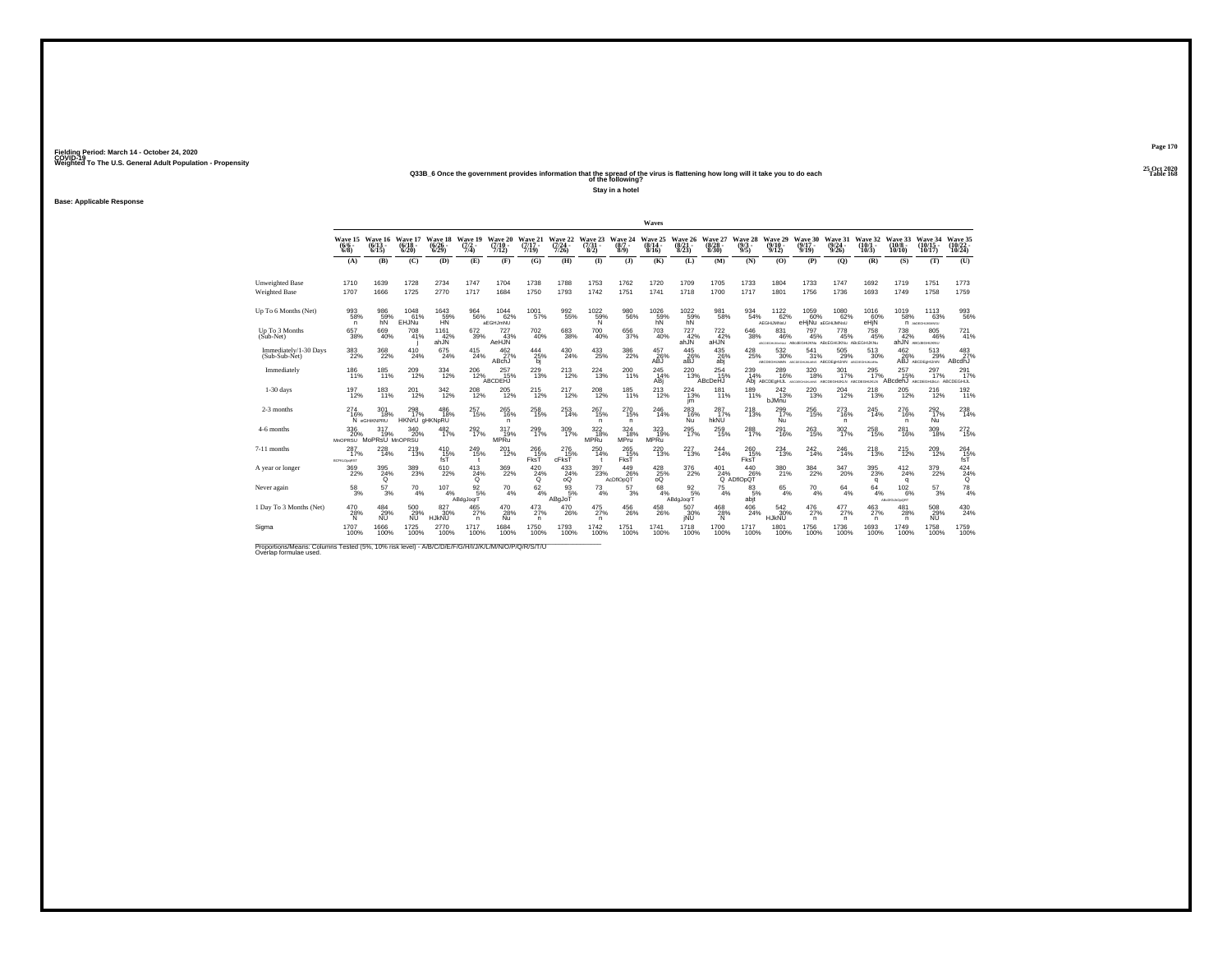## **25 Oct 2020Q33B\_6 Once the government provides information that the spread of the virus is flattening how long will it take you to do each Table 168 of the following?**

**Stay in a hotel**

**Base: Applicable Response**

|                                                |                                  |                                 |                                                |                                 |                                |                                     |                              |                                      |                                |                                                  | Waves                                   |                                 |                                 |                                                |                                                                      |                                       |                                                 |                              |                                   |                                |                                    |
|------------------------------------------------|----------------------------------|---------------------------------|------------------------------------------------|---------------------------------|--------------------------------|-------------------------------------|------------------------------|--------------------------------------|--------------------------------|--------------------------------------------------|-----------------------------------------|---------------------------------|---------------------------------|------------------------------------------------|----------------------------------------------------------------------|---------------------------------------|-------------------------------------------------|------------------------------|-----------------------------------|--------------------------------|------------------------------------|
|                                                | Wave 15<br>$\frac{(6/6)}{6/8}$   | Wave 16<br>$\binom{6/13}{6/15}$ | Wave 17<br>$\frac{(6/18)}{6/20}$               | Wave 18<br>$\binom{6/26}{6/29}$ | Wave 19<br>$\frac{(7/2)}{7/4}$ | <b>Wave 20</b><br>$(7/10 -$<br>7/12 | Wave 21<br>$(7/17 -$<br>7/19 | Wave 22<br>$\frac{(7/24 - 7)}{7/26}$ | Wave 23<br>$\binom{7/31}{8/2}$ | Wave 24<br>$\binom{8/7}{8/9}$                    | Wave 25<br>$\frac{(8/14 - 8/16)}{8/16}$ | Wave 26<br>$\binom{8/21}{8/23}$ | Wave 27<br>$\binom{8/28}{8/30}$ | Wave 28<br>$\binom{9/3}{9/5}$                  | Wave 29<br>$\binom{9/10}{9/12}$                                      | Wave 30<br>$(9/17 -$<br>9/19          | Wave 31<br>(9/24)<br>9/26                       | Wave 32<br>$(10/1 -$<br>10/3 | Wave 33<br>$(10/8 -$<br>10/10     | Wave 34<br>$(10/15 -$<br>10/17 | Wave 35<br>$\frac{(10/22)}{10/24}$ |
|                                                | (A)                              | (B)                             | (C)                                            | (D)                             | (E)                            | (F)                                 | (G)                          | (H)                                  | $\mathbf{D}$                   | $\mathbf{I}$                                     | (K)                                     | (L)                             | (M)                             | (N)                                            | (0)                                                                  | (P)                                   | (O)                                             | (R)                          | (S)                               | (T)                            | (U)                                |
| <b>Unweighted Base</b><br><b>Weighted Base</b> | 1710<br>1707                     | 1639<br>1666                    | 1728<br>1725                                   | 2734<br>2770                    | 1747<br>1717                   | 1704<br>1684                        | 1738<br>1750                 | 1788<br>1793                         | 1753<br>1742                   | 1762<br>1751                                     | 1720<br>1741                            | 1709<br>1718                    | 1705<br>1700                    | 1733<br>1717                                   | 1804<br>1801                                                         | 1733<br>1756                          | 1747<br>1736                                    | 1692<br>1693                 | 1719<br>1749                      | 1751<br>1758                   | 1773<br>1759                       |
| Up To 6 Months (Net)                           | $^{993}_{58\%}$<br>n             | 986<br>59%<br>hN                | 1048<br>61%<br>EHJÑu                           | 1643<br>59%<br>HN               | 964<br>56%                     | $1044 \over 62\%$<br>aEGHJmNU       | 1001<br>57%                  | 992<br>55%                           | $^{1022}_{59\%}$<br>N          | $\substack{980 \\ 56\%}$                         | 1026<br>59%<br>hÑ                       | 1022<br>59%<br>hN               | 981<br>58%                      | $\underset{54\%}{^{934}}$                      | 1122 <sub>%</sub><br>AEGHiJMNsU                                      | 1059<br>60%                           | 1080<br>62%<br>eHjNu aEGHJMNsU                  | $^{1016}_{60\%}$<br>eHjN     | $^{1019}_{-58\%}$                 | 1113<br>63%<br>n Accordiomato  | 993<br>56%                         |
| Up To 3 Months<br>(Sub-Net)                    | 657<br>38%                       | 669<br>40%                      | 708<br>41%                                     | 1161<br>42%<br>ahJÑ             | 672<br>39%                     | 727<br>43%<br>AeHJN                 | 702<br>40%                   | 683<br>38%                           | 700<br>40%                     | 656<br>37%                                       | 703<br>40%                              | 727<br>42%<br>ahJÑ              | 722<br>42%<br>aHJÑ              | 646<br>38%                                     | 831<br>46%<br>AROSGHJAHNU ABodEGHIJKNU ABCEGHIJKNU ABCEGHIJKNU       | 797<br>45%                            | 778<br>45%                                      | 758<br>45%                   | 738<br>42%                        | 805<br>46%<br>ahJN ABCdEGHUKNU | $^{721}_{41\%}$                    |
| Immediately/1-30 Days<br>(Sub-Sub-Net)         | $^{383}_{\color{red}22\%}$       | 368<br>22%                      | $^{410}_{24\%}$                                | $^{675}_{24\%}$                 | 415<br>24%                     | 462/27%<br>ABchJ                    | $\frac{444}{25\%}$<br>bj     | 430<br>24%                           | $^{433}_{25\%}$                | 386<br>22%                                       | 457<br>26%<br>ABJ                       | 445<br>26%<br>aBJ               | $^{435}_{26\%}$<br>abi          | $^{428}_{\phantom{2}25\%}$                     | $^{532}_{\ 30\%}$<br>ABCDEGHUMM ABCDEGHUKUNG ABCDEGHUMN ABCDEGHUKUMN | $^{541}_{31\%}$                       | 505<br>29%                                      | $^{513}_{\ 30\%}$            | 462<br>26%                        | 513<br>29%<br>ABJ ABCDEGHLIMN  | 483<br>ABcdhJ                      |
| Immediately                                    | $^{186}_{11\%}$                  | 185<br>11%                      | $^{209}_{12\%}$                                | 334<br>12%                      | $^{206}_{12\%}$                | 257<br>15%<br>ABCDEHJ               | $^{229}_{13\%}$              | $^{213}_{12\%}$                      | 224<br>13%                     | 200<br>11%                                       | $^{245}_{14\%}$<br>ABj                  | $^{220}_{13\%}$                 | $^{254}_{15\%}$<br>ABcDeHJ      | 239<br>14%                                     | 289<br>16%<br>Abj ABCDEgHUL ARC                                      | 320<br>18%                            | 301<br>17%<br>DEGHUKUMG ABCDEGHUKUN ABCDEGHUKUN | $^{295}_{17\%}$              | 257<br>15%<br>ABcdehJ ABCDEGHUMLn | 297<br>17%                     | 291<br>ABCDEGHIJL                  |
| $1-30$ days                                    | 197<br>12%                       | 183<br>11%                      | 201<br>12%                                     | 342<br>12%                      | 208<br>12%                     | 205<br>12%                          | 215<br>12%                   | 217<br>12%                           | 208<br>12%                     | 185<br>11%                                       | 213<br>12%                              | 224<br>13%<br>im                | 181<br>11%                      | 189<br>11%                                     | 242<br>13%<br>bJMnu                                                  | 220<br>13%                            | 204<br>12%                                      | 218<br>13%                   | 205<br>12%                        | 216<br>12%                     | 192<br>11%                         |
| 2-3 months                                     | $^{274}_{16\%}$                  | 301<br>18%<br>N eGHIKNPRU       | <sup>298</sup> <sub>17%</sub><br>HKNrU gHKNpRU | $^{486}_{\ 18\%}$               | 257<br>15%                     | $^{265}_{16\%}$<br>n                | 258<br>15%                   | 253<br>14%                           | 267<br>15%<br>n.               | 270<br>15%<br>n                                  | 246<br>14%                              | 283<br>16%<br>Nu                | 287 <sub>17%</sub><br>hkNU      | 218<br>13%                                     | 299<br>17%<br>Nu                                                     | 256<br>15%                            | 273<br>16%<br>$\mathsf{n}$                      | 245<br>14%                   | 276<br>16%<br>$\mathsf{n}$        | 292 <sub>%</sub><br>Nu         | 238<br>14%                         |
| 4-6 months                                     | 336<br>20%<br><b>MnOPRSU</b>     | 317<br>19%<br>MoPRsU MnOPRSU    | 340<br>20%                                     | 482<br>17%                      | 292<br>17%                     | 317<br>19%<br><b>MPRu</b>           | 299<br>17%                   | 309<br>17%                           | 322<br>18%<br><b>MPRu</b>      | 324<br>18%<br><b>MPru</b>                        | 323<br>19%<br><b>MPRu</b>               | 295<br>17%                      | 259<br>15%                      | 288<br>17%                                     | 291<br>16%                                                           | 263<br>15%                            | 302<br>17%                                      | 258<br>15%                   | 281<br>16%                        | 309<br>18%                     | 272<br>15%                         |
| 7-11 months                                    | 287<br>17%<br><b>BCFKLOpeRST</b> | 228<br>14%                      | <sup>219</sup> <sub>13%</sub>                  | 410<br>15%<br>fsT               | 249<br>15%<br>$\mathbf{t}$     | 201<br>12%                          | 266<br>15%<br>FksT           | $^{276}_{15\%}$<br>cFksT             | $^{250}_{14\%}$                | 265<br>15%<br>FksT                               | 220<br>13%                              | 227<br>13%                      | 244 <sub>14%</sub>              | $^{260}_{15\%}$<br>FksT                        | 234<br>13%                                                           | $^{242}_{14\%}$                       | 246<br>14%                                      | 218                          | <sup>215</sup> <sub>12%</sub>     | 209<br>12%                     | 264<br>15%<br>fsT                  |
| A year or longer                               | $\frac{369}{22\%}$               | $\frac{395}{24\%}$              | 389<br>23%                                     | 610<br>22%                      | $^{413}_{24\%}$<br>ō           | $\frac{369}{22\%}$                  | 420<br>$^{24\%}$             | $^{433}_{24\%}$<br>oo                | 397<br>23%                     | 449<br>26%<br>AcDflOpQT                          | $^{428}_{25\%}$                         | $^{376}_{22\%}$                 |                                 | 401 440<br>24% 265<br>Q ADflOpQT<br>440<br>26% | 380<br>21%                                                           | $^{384}_{\phantom{1}\phantom{1}22\%}$ | $^{347}_{20\%}$                                 | $395$<br>$23\%$<br>q         | 412<br>24%<br>q                   | $\frac{379}{22\%}$             | $^{424}_{24\%}$                    |
| Never again                                    | $^{58}_{\ 3\%}$                  | 57<br>3%                        | 70<br>4%                                       | 107<br>4%                       | $\frac{92}{5%}$<br>ABdgJoqrT   | 70<br>4%                            | 62<br>4%                     | 93<br>5%<br>ABgJoT                   | $^{73}_{4\%}$                  | 57<br>3%                                         | 68<br>4%                                | $\frac{92}{5}\%$<br>ABdgJogrT   | 75<br>4%                        | 83<br>5%<br>abjt                               | 65<br>4%                                                             | 70<br>4%                              | 64<br>4%                                        | 64<br>4%                     | 102<br>6%<br>ABcDIGLAOpORT        | 57<br>3%                       | $^{78}_{4\%}$                      |
| 1 Day To 3 Months (Net)                        | $^{470}_{28\%}$<br>N             | 484<br>29%<br><b>NU</b>         | 500<br>29%<br><b>NU</b>                        | 827/30%<br><b>HJKNU</b>         | $^{465}_{\ 27\%}$<br>n.        | $^{470}_{28\%}$<br>Nu               | $^{473}_{27\%}$<br>n.        | $^{470}_{26\%}$                      | $^{475}_{27\%}$<br>n.          | $^{456}_{\phantom{1}\phantom{1}\phantom{1}26\%}$ | $^{458}_{26\%}$                         | 507<br>30%<br>iNU               | $^{468}_{28\%}$<br>N            | 406<br>24%                                     | 542<br>30%<br><b>HJKNU</b>                                           | $^{476}_{27\%}$<br>$\mathsf{n}$       | 477<br>27%<br>n                                 | $^{463}_{27\%}$<br>n.        | 481<br>28%<br>$\mathsf{n}$        | 508<br>29%<br><b>NU</b>        | 430<br>24%                         |
| Sigma                                          | 1707<br>100%                     | 1666<br>100%                    | 1725<br>100%                                   | 2770<br>100%                    | 1717<br>100%                   | 1684<br>100%                        | 1750<br>100%                 | 1793<br>100%                         | 1742<br>100%                   | 1751<br>100%                                     | 1741<br>100%                            | 1718<br>100%                    | 1700<br>100%                    | 1717<br>100%                                   | 1801<br>100%                                                         | 1756<br>100%                          | 1736<br>100%                                    | 1693<br>100%                 | 1749<br>100%                      | 1758<br>100%                   | 1759<br>100%                       |

Proportions/Means: Columns Tested (5%, 10% risk level) - A/B/C/D/E/F/G/H/I/J/K/L/M/N/O/P/Q/R/S/T/U Overlap formulae used.<br>Overlap formulae used.

**Page 170**25 Oct 2020<br>Table 168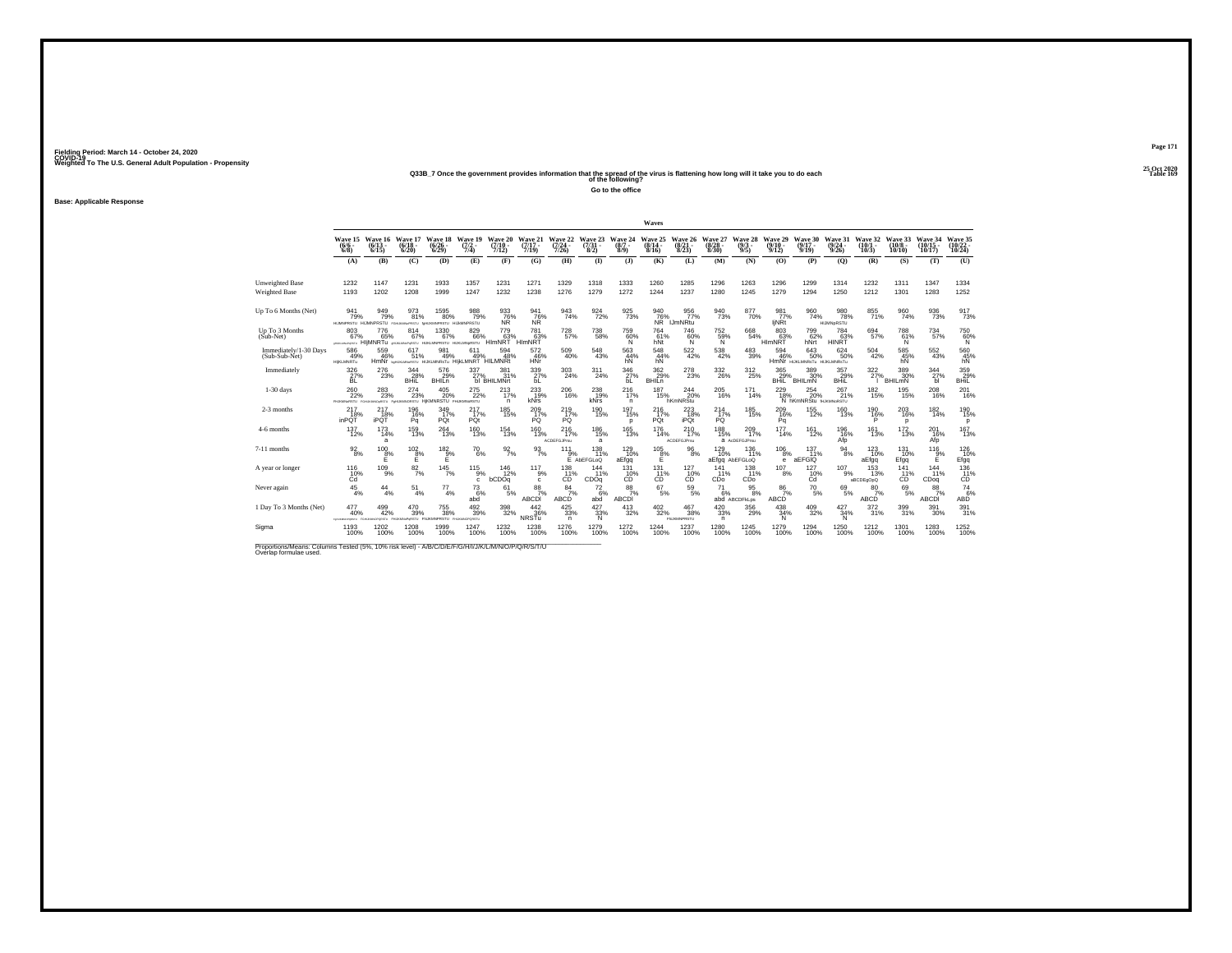## **25 Oct 2020Q33B\_7 Once the government provides information that the spread of the virus is flattening how long will it take you to do each Table 169 of the following?**

**Go to the office**

**Base: Applicable Response**

|                                                                                                                              |                                  |                                                                           |                                 |                                            |                                                              |                                      |                              |                                    |                                |                             | Waves                         |                                                   |                              |                              |                                 |                                          |                                 |                                 |                               |                            |                              |
|------------------------------------------------------------------------------------------------------------------------------|----------------------------------|---------------------------------------------------------------------------|---------------------------------|--------------------------------------------|--------------------------------------------------------------|--------------------------------------|------------------------------|------------------------------------|--------------------------------|-----------------------------|-------------------------------|---------------------------------------------------|------------------------------|------------------------------|---------------------------------|------------------------------------------|---------------------------------|---------------------------------|-------------------------------|----------------------------|------------------------------|
|                                                                                                                              | $(6/6 -$<br>$6/8$ )              | Wave 15 Wave 16<br>$(6/13 -$<br>6/15                                      | Wave 17<br>$(6/18 -$<br>6/20    | Wave 18<br>$\frac{(6/26)}{6/29}$           | Wave 19<br>$\frac{(7/2)}{7/4}$                               | Wave 20<br>$(7/10 -$<br>7/12)        | Wave 21<br>$(7/17 -$<br>7/19 | Wave 22<br>$\frac{(7/24)}{7/26}$   | Wave 23<br>$\frac{(7/3)}{8/2}$ | Wave 24<br>$(8/7 -$<br>8/9) | Wave 25<br>(8/14)<br>8/16     | Wave 26<br>$\frac{(8/21)}{8/23}$                  | Wave 27<br>$(8/28 -$<br>8/30 | Wave 28<br>$(9/3 -$<br>9/5)  | Wave 29<br>$(9/10 -$<br>9/12    | Wave 30<br>$(9/17 -$<br>9/19             | Wave 31<br>$(9/24 -$<br>9/26    | Wave 32<br>$(10/1 -$<br>10/3    | Wave 33<br>$(10/8 -$<br>10/10 | Wave 34<br>10/17           | Wave 35<br>10/24             |
|                                                                                                                              | (A)                              | (B)                                                                       | (C)                             | (D)                                        | (E)                                                          | (F)                                  | (G)                          | (H)                                | $\bf{D}$                       | $\mathbf{J}$                | (K)                           | (L)                                               | (M)                          | (N)                          | (0)                             | (P)                                      | (O)                             | (R)                             | (S)                           | (T)                        | (U)                          |
| <b>Unweighted Base</b><br><b>Weighted Base</b>                                                                               | 1232<br>1193                     | 1147<br>1202                                                              | 1231<br>1208                    | 1933<br>1999                               | 1357<br>1247                                                 | 1231<br>1232                         | 1271<br>1238                 | 1329<br>1276                       | 1318<br>1279                   | 1333<br>1272                | 1260<br>1244                  | 1285<br>1237                                      | 1296<br>1280                 | 1263<br>1245                 | 1296<br>1279                    | 1299<br>1294                             | 1314<br>1250                    | 1232<br>1212                    | 1311<br>1301                  | 1347<br>1283               | 1334<br>1252                 |
| Up To 6 Months (Net)                                                                                                         | 941<br>79%                       | 949<br>79%<br>HUMNPRSTU HIJMNPRSTU FGHUKMNGPRSTU foHUKMNPRSTU HIJMMNPRSTU | 973<br>81%                      | $^{1595}_{\  \  \, 80\%}$                  | 988<br>79%                                                   | 933<br><b>NR</b>                     | 941<br>76%<br><b>NR</b>      | $\frac{943}{74\%}$                 | 924<br>72%                     | 925<br>73%                  | 940<br>76%<br>NŘ <sup>*</sup> | 956<br>77%<br><b>IJmNRtu</b>                      | $\frac{940}{73\%}$           | 8770%                        | 981 <sub>77%</sub><br>ljNRt     | $\frac{960}{74\%}$                       | 980<br>78%<br><b>HIJMNoRSTU</b> | $855 \atop 71\%$                | 960<br>74%                    | $\frac{936}{73\%}$         | $\frac{917}{73\%}$           |
| Up To 3 Months<br>$(Sub-Net)$                                                                                                | 803<br>67%<br>ANDREWS ARRESTS    | 776<br>65%<br>HIIMNRTU OHJAJANOPORSTU HUKLMNPRSTU HUKLMNORSTU             | 814<br>67%                      | 1330<br>67%                                | 829<br>66%                                                   | 779<br>63%<br><b>HIMNRT</b>          | 781<br>63%<br><b>HIMNRT</b>  | 728<br>57%                         | 738<br>58%                     | 759<br>60%<br>'N.           | 764<br>61%<br>hNt             | 746<br>60%<br>N.                                  | $^{752}_{~59\%}$             | 668<br>54%                   | 803<br>63%<br>HIMNRT            | 799<br>62%<br>hNrt                       | 784<br>63%<br>HINRT             | 694<br>57%                      | 788<br>61%<br>N               | 734<br>57%                 | 750<br>60%<br>N              |
| Immediately/1-30 Days<br>(Sub-Sub-Net)                                                                                       | 586<br>49%<br><b>HIKLMNRTu</b>   | 559<br>46%                                                                | 617<br>51%                      | 981<br>49%                                 | 611<br>49%<br>HMNr beHUKLMARSTU HUKLMNRSTU HIJKLMNRT HILMNRt | 594<br>48%                           | 572<br>46%<br><b>HNr</b>     | $^{509}_{\ 40\%}$                  | 548<br>43%                     | $\frac{563}{44\%}$<br>hN    | $\frac{548}{44\%}$<br>hN      | $^{522}_{\ 42\%}$                                 | $^{538}_{\ 42\%}$            | $^{483}_{39\%}$              | 594<br>46%                      | 643<br>50%<br>HMNT HUKLMNRSTU HUKLMNRSTU | 624<br>50%                      | 504<br>42%                      | 585%<br>hN                    | $^{552}_{\ 43\%}$          | $^{560}_{45\%}$ hN           |
| Immediately                                                                                                                  | $\frac{326}{27}\%$               | 276<br>23%                                                                | $\frac{344}{28\%}$<br>BHil      | 576<br>29%<br><b>BHILn</b>                 | 337<br>27%                                                   | $381$ <sub>12</sub> %<br>bl BHILMNrt | 339<br>27%<br>БĹ             | 303<br>24%                         | 311<br>24%                     | $\frac{346}{27\%}$<br>bL    | 362 %<br>BHILD                | 278<br>23%                                        | 332<br>26%                   | 312<br>25%                   | 365<br>29%<br>BHIL <sup>'</sup> | 389 30%<br>BHILMN                        | 357<br>29%<br>BHIL              | 322<br>27%                      | 389<br>30%<br>BHILMN          | $\frac{344}{27\%}$<br>ы    | 359<br>BHiL                  |
| $1-30$ days                                                                                                                  | 260<br>22%<br><b>PHJKMNoRSTU</b> | 283<br>23%<br>MONSTU Fo                                                   | 274<br>23%                      | 405<br>20%<br>NORSTU HIKMNRSTU FHJKMN6RSTU | 275<br>22%                                                   | 213<br>17%<br>n                      | 233<br>19%<br><b>kNrs</b>    | 206<br>16%                         | 238<br>19%<br>kNrs             | 216<br>17%<br>n             | 187<br>15%                    | 244<br>20%<br>hKmNRStu                            | $^{205}_{16\%}$              | 171<br>14%                   | 229<br>18%                      | 254<br>20%<br>N hKmNRStu HJKMNoRSTU      | 267<br>21%                      | 182<br>15%                      | 195<br>15%                    | 208<br>16%                 | $^{201}_{16\%}$              |
| 2-3 months                                                                                                                   | 217<br>18%<br>inPQT              | 217<br>18%<br><b>iPQT</b>                                                 | 196%<br>Pq                      | 349<br>17%<br>PQt                          | $^{217}_{17\%}$<br>PQt                                       | $185$<br>$15%$                       | $^{209}_{17\%}$<br>PQ        | $^{219}_{17\%}$<br>PQ              | 190<br>15%                     | 197<br>15%<br>D             | 216%<br>PQt                   | $^{223}_{18\%}$<br>iPQt                           | $^{214}_{17\%}$<br>PQ        | <sup>185</sup> 15%           | 209 16%<br>Pq                   | 155<br>12%                               | $^{160}_{13\%}$                 | 190%<br>P                       | 203<br>16%<br>n.              | $^{182}_{14\%}$            | <sup>190</sup><br>15%<br>p   |
| 4-6 months                                                                                                                   | 137<br>12%                       | 173<br>14%<br>a                                                           | 159<br>13%                      | 264<br>13%                                 | 160<br>13%                                                   | 154<br>13%                           | 160<br>13%                   | 216<br>17%<br><b>ACDEFGJPrsu</b>   | 186<br>15%<br>a                | 165<br>13%                  | 176<br>14%                    | 210<br>17%<br><b>ACDEFGJPrsu</b>                  | 188<br>15%                   | 209<br>17%<br>a AcDEFGJPrsu  | 177<br>14%                      | 161<br>12%                               | 196<br>16%<br>Afp               | 161<br>13%                      | <sup>172</sup><br>13%         | 201<br>16%<br>Afp          | 167<br>13%                   |
| 7-11 months                                                                                                                  | $\frac{92}{8%}$                  | 100<br>8%<br>Е                                                            | $^{102}_{\underline{8}\%}$<br>Е | $182\over 9\%$<br>E                        | $^{70}_{6\%}$                                                | $\frac{92}{7\%}$                     | $\frac{93}{7\%}$             | 111<br>9%                          | 138<br>11%<br>E AbEFGLoQ       | $^{129}_{10\%}$<br>aEfgq    | $^{105}_{\  \  \, 8\%}$<br>E  | 96<br>8%                                          | $^{129}_{10\%}$              | 136<br>11%<br>aEfgq AbEFGLoQ | 106<br>8%<br>е                  | 137<br>11%<br>aEFGIQ                     | $^{94}_{\ 8\%}$                 | 123<br>10%<br>aEfgq             | 131<br>10%<br>Efgg            | 116<br>9%<br>E             | $^{126}_{10\%}$<br>Efgq      |
| A year or longer                                                                                                             | $^{116}_{10\%}$<br>Ćď            | $^{109}_{9\%}$                                                            | $\frac{82}{7}\%$                | $145$ <sub>7%</sub>                        | $^{115}_{9\%}$<br>c                                          | $\frac{146}{12\%}$<br>bCDOq          | 117<br>9%<br>c               | 138<br>11%<br>ĊĎ                   | 144<br>11%<br>CDOq             | 131<br>CO <sup>10%</sup>    | 131<br>11%<br>CĎ              | $^{127}_{-10\%}$                                  | 141<br>11%<br>CDo            | 138<br>11%<br>CDo            | 107<br>8%                       | $^{127}_{^{10\%}~$                       | 107<br>9%                       | $\frac{153}{13\%}$<br>aBCDEgOpQ | 141<br>11%<br>CD              | 144<br>11%<br>CDoq         | $^{136}_{-11\%}$             |
| Never again                                                                                                                  | $\frac{45}{4%}$                  | 44<br>4%                                                                  | 51<br>4%                        | 77<br>4%                                   | 73<br>6%<br>abd                                              | 61<br>5%                             | 88<br>7%<br>ABCDI            | 84<br>7%<br>ABCD                   | 72<br>6%<br>abd                | 88<br>7%<br>ABCDI           | 67<br>5%                      | 59<br>5%                                          | 71<br>6%                     | 95<br>8%<br>abd ABCDFkLps    | 86<br>7%<br>ABCD                | 70<br>$-5%$                              | 69<br>5%                        | 80<br>7%<br>ABCD                | 69<br>5%                      | 88<br>7%<br>ABCDI          | $\mathcal{I}_{6\%}^{74}$ ABD |
| 1 Day To 3 Months (Net)                                                                                                      | 477<br>40%<br>FyridateDraws      | $^{499}_{42\%}$<br>FGHJAMKOFQRSTU FHJAMNoPoRSTU                           | $^{470}_{39\%}$                 | $^{755}_{38\%}$<br><b>FILIKMNPRSTU</b>     | $\frac{492}{39\%}$<br><b>FHJANOPORSTU</b>                    | $^{398}_{\phantom{1}32\%}$           | $\frac{442}{36\%}$<br>NRSTu  | $\frac{425}{33\%}$<br>$\mathsf{n}$ | $427 \over 33\%$<br><b>N</b>   | $^{413}_{32\%}$             | $^{402}_{\phantom{1}32\%}$    | $^{467}_{\phantom{1}38\%}$<br><b>FILIKMNPRSTU</b> | $^{420}_{33\%}$<br>n         | $^{356}_{29\%}$              | $^{438}_{34\%}$<br>N            | $^{409}_{\phantom{1}32\%}$               | $\frac{427}{34\%}$<br>N         | $^{372}_{31\%}$                 | 399<br>31%                    | $^{391}_{\phantom{1}30\%}$ | 391%                         |
| Sigma                                                                                                                        | 1193<br>100%                     | 1202<br>100%                                                              | 1208<br>100%                    | 1999<br>100%                               | 1247<br>100%                                                 | 1232<br>100%                         | 1238<br>100%                 | 1276<br>100%                       | 1279<br>100%                   | 1272<br>100%                | 1244<br>100%                  | 1237<br>100%                                      | 1280<br>100%                 | 1245<br>100%                 | 1279<br>100%                    | 1294<br>100%                             | 1250<br>100%                    | 1212<br>100%                    | 1301<br>100%                  | 1283<br>100%               | 1252<br>100%                 |
| Proportions/Means: Columns Tested (5%, 10% risk level) - A/B/C/D/E/F/G/H/I/J/K/L/M/N/O/P/Q/R/S/T/U<br>Overlap formulae used. |                                  |                                                                           |                                 |                                            |                                                              |                                      |                              |                                    |                                |                             |                               |                                                   |                              |                              |                                 |                                          |                                 |                                 |                               |                            |                              |

**Page 171**25 Oct 2020<br>Table 169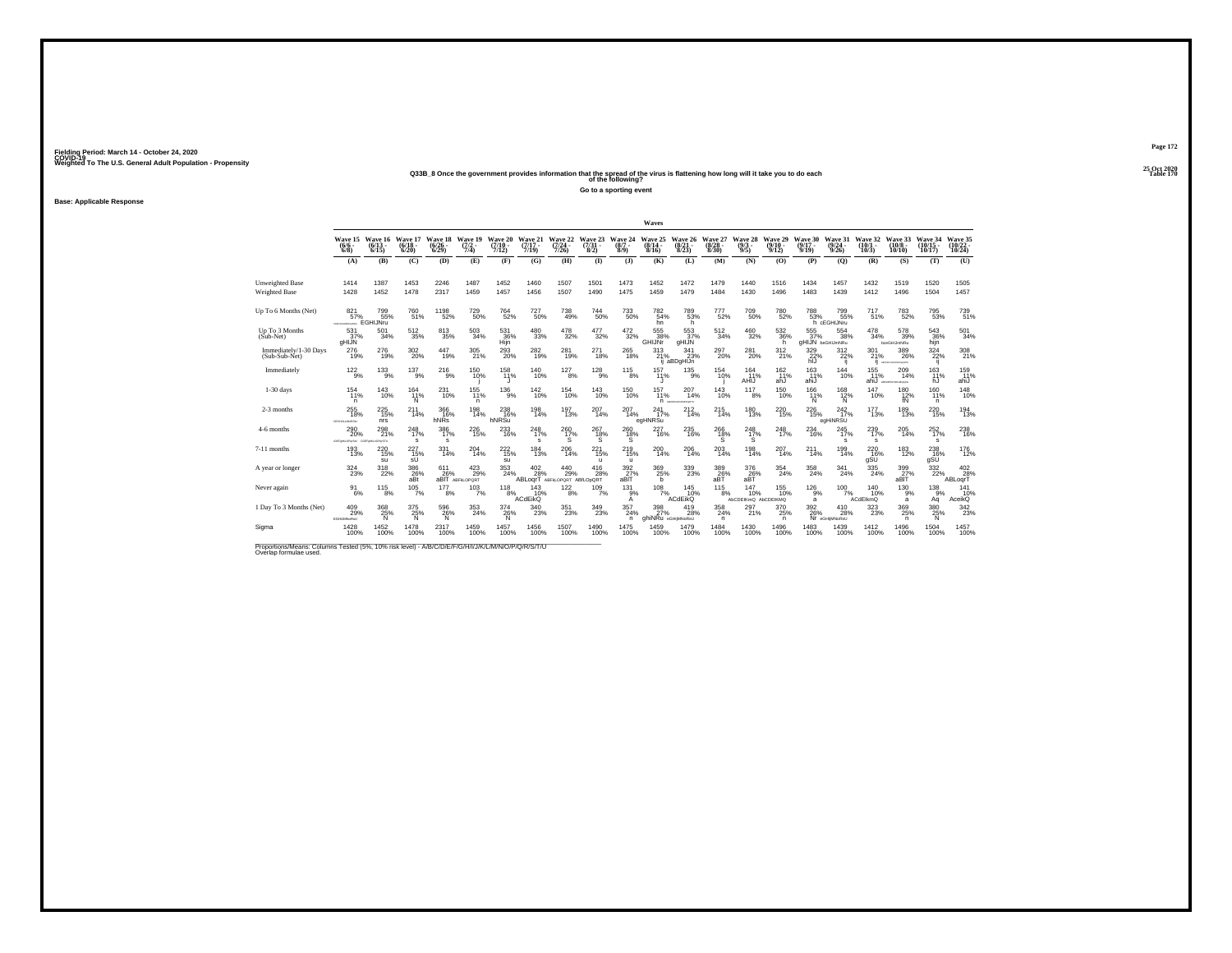**Base: Applicable Response**

**25 Oct 2020Q33B\_8 Once the government provides information that the spread of the virus is flattening how long will it take you to do each Table 170 of the following? Go to a sporting event**

| Waves<br>Wave 15<br>Wave 17<br>Wave 19<br>Wave 20<br>Wave 21<br><b>Wave 26</b><br>Wave 27<br>Wave 28<br><b>Wave 29</b><br>Wave 30<br>Wave 18<br>Wave 22<br>Wave 23<br>Wave 24<br>Wave 25<br>Wave 31<br>Wave 32<br>Wave 16<br>$(6/18 -$<br>$\frac{(7/2)}{7/4}$<br>$(7/10 -$<br>$(7/17 -$<br>$(7/24 -$<br>$\frac{(8/7 - 8)}{(8/9)}$<br>$(8/14 -$<br>$\frac{(8/21)}{8/23}$<br>$(8/28 -$<br>$\frac{(9/3)}{9/5}$<br>$(9/10 -$<br>$(9/17 -$<br>$\frac{(9/24 - 9/26)}{9/26}$<br>$(6/6 -$<br>$(6/13 -$<br>$\binom{6/26}{6/29}$<br>$(7/31 -$<br>$(10/1 -$<br>7/26<br>8/2)<br>8/30<br>9/12<br>10/3<br>$6/8$ )<br>6/15<br>6/20<br>7/12)<br>7/19<br>8/16<br>9/19<br>(B)<br>(C)<br>(D)<br>(E)<br>(F)<br>(G)<br><b>(H)</b><br>(1)<br>(K)<br>(N)<br>(O)<br>(P)<br>(O)<br>(R)<br>(3)<br>(L)<br>(M)<br>(A)<br>1473<br>1452<br>1479<br>1432<br>1387<br>1453<br>2246<br>1487<br>1452<br>1460<br>1507<br>1501<br>1472<br>1440<br>1516<br>1434<br>1457<br>1414<br>1478<br>1456<br>1507<br>1475<br>1459<br>1479<br>1412<br>1428<br>1452<br>2317<br>1459<br>1457<br>1484<br>1430<br>1496<br>1483<br>1439<br>1496<br>1490<br>1198<br>52%<br><sup>727</sup> 50%<br>709<br>50%<br>$^{717}_{51\%}$<br>799<br>55%<br>760<br>51%<br><sup>729</sup> 50%<br><sup>764</sup> 52%<br><sup>738</sup> 49%<br>$^{744}_{50\%}$<br><sup>733</sup> 50%<br>782<br>54%<br>789<br>53%<br>780<br>52%<br>788<br>799<br>55%<br>821<br>777<br>52%<br>57%<br>53%<br>EGHIJNru<br>h cEGHIJNru<br>hn<br>h<br>477<br>503<br>480<br>478<br>472<br>555<br>478<br>512<br>813<br>531<br>555<br>553<br>512<br>460<br>532<br>554<br>531<br>501<br>38%<br>37%<br>37%<br>34%<br>35%<br>34%<br>33%<br>32%<br>32%<br>32%<br>32%<br>36%<br>37%<br>38%<br>36%<br>34%<br>34%<br>35%<br>GHIJNr<br>gHIJN<br>gHIJN beGHIJmNRu<br>Hijn<br>gHIJN<br>h<br>booGHIJmNRu<br>$^{276}_{19\%}$<br>$^{302}_{\,20\%}$<br>447<br>$^{305}_{21\%}$<br>293<br>20%<br>$^{282}_{19\%}$<br>276<br>281<br>271<br>$^{265}_{18\%}$<br>313<br>$\frac{341}{23\%}$<br>$^{281}_{20\%}$<br>329 22%<br>301<br>297<br>$^{312}_{21\%}$<br>312<br>22%<br>19%<br>19%<br>19%<br>18%<br>21%<br>20%<br>21%<br>hIJ<br>aBDaHIJn<br>ANCORPORATION OF TV<br>137<br>$^{127}_{8\%}$<br>155<br>$^{122}_{9\%}$<br>$^{133}_{9\%}$<br>$^{216}_{9\%}$<br><sup>140</sup> <sub>10%</sub><br>128<br>9%<br>157<br>164<br>163<br>150%<br>158<br>$^{115}_{8\%}$<br>$^{135}_{9\%}$<br>154<br>162 11%<br>144<br>9%<br>11%<br>11%<br>10%<br>11%<br>10%<br>11%<br>11%<br>AHIJ<br>ahJ<br>ahiJ<br>ahiJ<br>ARCORDHUGHAGON<br>157<br>147<br>154<br>231<br>155<br>$^{136}_{9\%}$<br>142<br>154<br>143<br>207<br>143<br>117<br>150<br>166<br>143<br>164<br>150<br>168<br>10%<br>11%<br>10%<br>11%<br>10%<br>10%<br>10%<br>14%<br>10%<br>10%<br>12%<br>10%<br>11%<br>10%<br>11%<br>8%<br>11%<br>N<br>N<br>N<br>n<br>n.<br>П макемальны<br>$^{226}_{15\%}$<br>255<br>18%<br>366<br>198<br>14%<br>238<br>16%<br>198<br>14%<br>197<br>13%<br>207<br>$^{212}_{14\%}$<br>180<br>$^{220}_{15\%}$<br>$^{242}_{17\%}$<br>177<br>$^{225}_{15\%}$<br>211<br>207<br>241<br>215<br>14%<br>14%<br>14%<br>13%<br>13%<br>16%<br>17%<br>14%<br>hNRs<br>hNRSu<br>egHNRSu<br>egHiNRSU<br>nrs<br>USRAINASSU<br>298<br>233<br>227<br>245<br>290<br>248<br>386<br>226<br>248<br>260<br>267<br>235<br>266<br>248<br>248<br>234<br>239<br>260<br>20%<br>17%<br>18%<br>17%<br>17%<br>21%<br>17%<br>17%<br>16%<br>17%<br>18%<br>16%<br>16%<br>18%<br>17%<br>16%<br>17%<br>15% |  |   |   |  |   | Go to a sporting event |  |  |  |   |   |                               |                                |                                |
|--------------------------------------------------------------------------------------------------------------------------------------------------------------------------------------------------------------------------------------------------------------------------------------------------------------------------------------------------------------------------------------------------------------------------------------------------------------------------------------------------------------------------------------------------------------------------------------------------------------------------------------------------------------------------------------------------------------------------------------------------------------------------------------------------------------------------------------------------------------------------------------------------------------------------------------------------------------------------------------------------------------------------------------------------------------------------------------------------------------------------------------------------------------------------------------------------------------------------------------------------------------------------------------------------------------------------------------------------------------------------------------------------------------------------------------------------------------------------------------------------------------------------------------------------------------------------------------------------------------------------------------------------------------------------------------------------------------------------------------------------------------------------------------------------------------------------------------------------------------------------------------------------------------------------------------------------------------------------------------------------------------------------------------------------------------------------------------------------------------------------------------------------------------------------------------------------------------------------------------------------------------------------------------------------------------------------------------------------------------------------------------------------------------------------------------------------------------------------------------------------------------------------------------------------------------------------------------------------------------------------------------------------------------------------------------------------------------------------------------------------------------------------------------------------------------------------------------------------------------------------------------------------------------------------------------------------------------------------------------------------------------------------------------------------------------------------------------------------------------------------------------------------------------------------------------------------------------------------------------------------------------------------------------------------------------------------------------------------------------------------------------------------------------------|--|---|---|--|---|------------------------|--|--|--|---|---|-------------------------------|--------------------------------|--------------------------------|
|                                                                                                                                                                                                                                                                                                                                                                                                                                                                                                                                                                                                                                                                                                                                                                                                                                                                                                                                                                                                                                                                                                                                                                                                                                                                                                                                                                                                                                                                                                                                                                                                                                                                                                                                                                                                                                                                                                                                                                                                                                                                                                                                                                                                                                                                                                                                                                                                                                                                                                                                                                                                                                                                                                                                                                                                                                                                                                                                                                                                                                                                                                                                                                                                                                                                                                                                                                                                                    |  |   |   |  |   |                        |  |  |  |   |   |                               |                                |                                |
|                                                                                                                                                                                                                                                                                                                                                                                                                                                                                                                                                                                                                                                                                                                                                                                                                                                                                                                                                                                                                                                                                                                                                                                                                                                                                                                                                                                                                                                                                                                                                                                                                                                                                                                                                                                                                                                                                                                                                                                                                                                                                                                                                                                                                                                                                                                                                                                                                                                                                                                                                                                                                                                                                                                                                                                                                                                                                                                                                                                                                                                                                                                                                                                                                                                                                                                                                                                                                    |  |   |   |  |   |                        |  |  |  |   |   |                               |                                |                                |
|                                                                                                                                                                                                                                                                                                                                                                                                                                                                                                                                                                                                                                                                                                                                                                                                                                                                                                                                                                                                                                                                                                                                                                                                                                                                                                                                                                                                                                                                                                                                                                                                                                                                                                                                                                                                                                                                                                                                                                                                                                                                                                                                                                                                                                                                                                                                                                                                                                                                                                                                                                                                                                                                                                                                                                                                                                                                                                                                                                                                                                                                                                                                                                                                                                                                                                                                                                                                                    |  |   |   |  |   |                        |  |  |  |   |   | Wave 33<br>$(10/8 -$<br>10/10 | Wave 34<br>$(10/15 -$<br>10/17 | Wave 35<br>$(10/22 -$<br>10/24 |
|                                                                                                                                                                                                                                                                                                                                                                                                                                                                                                                                                                                                                                                                                                                                                                                                                                                                                                                                                                                                                                                                                                                                                                                                                                                                                                                                                                                                                                                                                                                                                                                                                                                                                                                                                                                                                                                                                                                                                                                                                                                                                                                                                                                                                                                                                                                                                                                                                                                                                                                                                                                                                                                                                                                                                                                                                                                                                                                                                                                                                                                                                                                                                                                                                                                                                                                                                                                                                    |  |   |   |  |   |                        |  |  |  |   |   | (S)                           | (T)                            | (U)                            |
|                                                                                                                                                                                                                                                                                                                                                                                                                                                                                                                                                                                                                                                                                                                                                                                                                                                                                                                                                                                                                                                                                                                                                                                                                                                                                                                                                                                                                                                                                                                                                                                                                                                                                                                                                                                                                                                                                                                                                                                                                                                                                                                                                                                                                                                                                                                                                                                                                                                                                                                                                                                                                                                                                                                                                                                                                                                                                                                                                                                                                                                                                                                                                                                                                                                                                                                                                                                                                    |  |   |   |  |   |                        |  |  |  |   |   | 1519                          | 1520<br>1504                   | 1505<br>1457                   |
|                                                                                                                                                                                                                                                                                                                                                                                                                                                                                                                                                                                                                                                                                                                                                                                                                                                                                                                                                                                                                                                                                                                                                                                                                                                                                                                                                                                                                                                                                                                                                                                                                                                                                                                                                                                                                                                                                                                                                                                                                                                                                                                                                                                                                                                                                                                                                                                                                                                                                                                                                                                                                                                                                                                                                                                                                                                                                                                                                                                                                                                                                                                                                                                                                                                                                                                                                                                                                    |  |   |   |  |   |                        |  |  |  |   |   |                               |                                |                                |
|                                                                                                                                                                                                                                                                                                                                                                                                                                                                                                                                                                                                                                                                                                                                                                                                                                                                                                                                                                                                                                                                                                                                                                                                                                                                                                                                                                                                                                                                                                                                                                                                                                                                                                                                                                                                                                                                                                                                                                                                                                                                                                                                                                                                                                                                                                                                                                                                                                                                                                                                                                                                                                                                                                                                                                                                                                                                                                                                                                                                                                                                                                                                                                                                                                                                                                                                                                                                                    |  |   |   |  |   |                        |  |  |  |   |   | 783<br>52%                    | 795<br>53%                     | 739<br>51%                     |
|                                                                                                                                                                                                                                                                                                                                                                                                                                                                                                                                                                                                                                                                                                                                                                                                                                                                                                                                                                                                                                                                                                                                                                                                                                                                                                                                                                                                                                                                                                                                                                                                                                                                                                                                                                                                                                                                                                                                                                                                                                                                                                                                                                                                                                                                                                                                                                                                                                                                                                                                                                                                                                                                                                                                                                                                                                                                                                                                                                                                                                                                                                                                                                                                                                                                                                                                                                                                                    |  |   |   |  |   |                        |  |  |  |   |   | 578<br>39%                    | 543<br>36%<br>hijn             | 501<br>34%                     |
|                                                                                                                                                                                                                                                                                                                                                                                                                                                                                                                                                                                                                                                                                                                                                                                                                                                                                                                                                                                                                                                                                                                                                                                                                                                                                                                                                                                                                                                                                                                                                                                                                                                                                                                                                                                                                                                                                                                                                                                                                                                                                                                                                                                                                                                                                                                                                                                                                                                                                                                                                                                                                                                                                                                                                                                                                                                                                                                                                                                                                                                                                                                                                                                                                                                                                                                                                                                                                    |  |   |   |  |   |                        |  |  |  |   |   | 389<br>26%                    | 324<br>22%<br>Ϊij              | 308<br>21%                     |
|                                                                                                                                                                                                                                                                                                                                                                                                                                                                                                                                                                                                                                                                                                                                                                                                                                                                                                                                                                                                                                                                                                                                                                                                                                                                                                                                                                                                                                                                                                                                                                                                                                                                                                                                                                                                                                                                                                                                                                                                                                                                                                                                                                                                                                                                                                                                                                                                                                                                                                                                                                                                                                                                                                                                                                                                                                                                                                                                                                                                                                                                                                                                                                                                                                                                                                                                                                                                                    |  |   |   |  |   |                        |  |  |  |   |   | 209<br>14%                    | 163<br>11%<br>hJ               | 159<br>11%<br>ahiJ             |
|                                                                                                                                                                                                                                                                                                                                                                                                                                                                                                                                                                                                                                                                                                                                                                                                                                                                                                                                                                                                                                                                                                                                                                                                                                                                                                                                                                                                                                                                                                                                                                                                                                                                                                                                                                                                                                                                                                                                                                                                                                                                                                                                                                                                                                                                                                                                                                                                                                                                                                                                                                                                                                                                                                                                                                                                                                                                                                                                                                                                                                                                                                                                                                                                                                                                                                                                                                                                                    |  |   |   |  |   |                        |  |  |  |   |   | 180<br>12%<br>fN              | 160<br>11%<br>n                | 148<br>10%                     |
|                                                                                                                                                                                                                                                                                                                                                                                                                                                                                                                                                                                                                                                                                                                                                                                                                                                                                                                                                                                                                                                                                                                                                                                                                                                                                                                                                                                                                                                                                                                                                                                                                                                                                                                                                                                                                                                                                                                                                                                                                                                                                                                                                                                                                                                                                                                                                                                                                                                                                                                                                                                                                                                                                                                                                                                                                                                                                                                                                                                                                                                                                                                                                                                                                                                                                                                                                                                                                    |  |   |   |  |   |                        |  |  |  |   |   | 189<br>13%                    | $^{220}_{15\%}$                | 194<br>13%                     |
| DEFINILOPUSIU COEFINILIOPUSTU                                                                                                                                                                                                                                                                                                                                                                                                                                                                                                                                                                                                                                                                                                                                                                                                                                                                                                                                                                                                                                                                                                                                                                                                                                                                                                                                                                                                                                                                                                                                                                                                                                                                                                                                                                                                                                                                                                                                                                                                                                                                                                                                                                                                                                                                                                                                                                                                                                                                                                                                                                                                                                                                                                                                                                                                                                                                                                                                                                                                                                                                                                                                                                                                                                                                                                                                                                                      |  | s | s |  | s |                        |  |  |  | s | s | 205<br>14%                    | 252<br>17%<br>$\mathbf{s}$     | 238<br>16%                     |

|                                                | (A)                                         | (B)                           | (C)                | (D)                | (E)                           | (F)                                       | (G)                           | (H)                        | $\bf(I)$                        | $\mathbf{J}$               | (K)                             | (L)                                   | (M)               | (N)                               | (0)                     | (P)                                   | $\mathbf{Q}$                | (R)                        | (S)                             | (T)                                 | (U)                  |
|------------------------------------------------|---------------------------------------------|-------------------------------|--------------------|--------------------|-------------------------------|-------------------------------------------|-------------------------------|----------------------------|---------------------------------|----------------------------|---------------------------------|---------------------------------------|-------------------|-----------------------------------|-------------------------|---------------------------------------|-----------------------------|----------------------------|---------------------------------|-------------------------------------|----------------------|
| <b>Unweighted Base</b><br><b>Weighted Base</b> | 1414<br>1428                                | 1387<br>1452                  | 1453<br>1478       | 2246<br>2317       | 1487<br>1459                  | 1452<br>1457                              | 1460<br>1456                  | 1507<br>1507               | 1501<br>1490                    | 1473<br>1475               | 1452<br>1459                    | 1472<br>1479                          | 1479<br>1484      | 1440<br>1430                      | 1516<br>1496            | 1434<br>1483                          | 1457<br>1439                | 1432<br>1412               | 1519<br>1496                    | 1520<br>1504                        | 1505<br>1457         |
| Up To 6 Months (Net)                           | 821%<br>CORPOHAMIOAREA                      | 799<br>55%<br><b>EGHIJNru</b> | <sup>760</sup> 51% | 1198<br>52%        | 729<br>50%                    | <sup>764</sup> 52%                        | <sup>727</sup> 50%            | $^{738}_{\ 49\%}$          | 744<br>50%                      | $^{733}_{\ 50\%}$          | 782 %<br>hn                     | 789<br>53%                            | 777<br>52%        | 709<br>50%                        | 780<br>52%              | 788<br>53%                            | 799<br>55%<br>h cEGHIJNru   | 717 <sub>51%</sub>         | 783<br>52%                      | 795<br>53%                          | 739<br>51%           |
| Up To 3 Months<br>(Sub-Net)                    | 531<br>37%<br>gHIJN                         | 501<br>34%                    | $^{512}_{\ 35\%}$  | 813<br>35%         | 503<br>34%                    | 531<br>36%<br>Hijn                        | 480<br>33%                    | $^{478}_{\phantom{1}32\%}$ | 477<br>32%                      | 472<br>32%                 | 555<br>38%<br>GHIJNr            | 553<br>37%<br><b>GHIJN</b>            | 512<br>34%        | 460<br>32%                        | 532<br>36%              | 555<br>37%<br><b>aHIJN</b> beGHIJmNRu | 554<br>38%                  | 478<br>34%                 | 578<br>39%<br>booGHIJmNRu       | 543<br>36%<br>hijn                  | 501<br>34%           |
| Immediately/1-30 Days<br>(Sub-Sub-Net)         | 276<br>19%                                  | $^{276}_{19\%}$               | $^{302}_{\,20\%}$  | 447<br>19%         | $^{305}_{21\%}$               | $^{293}_{20\%}$                           | $^{282}_{19\%}$               | $^{281}_{19\%}$            | $^{271}_{18\%}$                 | $^{265}_{18\%}$            | $^{313}_{21\%}$                 | $\frac{341}{23\%}$<br>aBDgHIJn        | 297<br>20%        | $^{281}_{\,20\%}$                 | $^{312}_{21\%}$         | 329 22%<br>hIJ                        | 312/22%                     | $^{301}_{21\%}$            | 389<br>26%<br>ACCEPTABLEMO GETU | $324 \over 22\%$                    | 308<br>21%           |
| Immediately                                    | $12^{2}_{9\%}$                              | $^{133}_{9\%}$                | $^{137}_{9\%}$     | $^{216}_{9\%}$     | 150%                          | 158<br>11%                                | <sup>140</sup> <sub>10%</sub> | $^{127}_{8\%}$             | $^{128}_{9%}$                   | $^{115}_{8\%}$             | 157<br>11%                      | $^{135}_{9\%}$                        | 154<br>10%        | 164<br>11%<br>AHIJ                | 162 <sub>%</sub><br>ahJ | 163<br>11%<br>ahiJ                    | $^{144}_{10\%}$             | $\frac{155}{11\%}$<br>ahiJ | 209<br>14%<br>ARCDEOHUMLMAGN    | 163<br>11%<br>hJ                    | 159<br>11%<br>ahiJ   |
| $1-30$ days                                    | 154<br>11%<br>n                             | 143<br>10%                    | 164<br>11%<br>Ñ    | 231<br>10%         | 155<br>11%<br>n               | 136<br>9%                                 | 142<br>10%                    | 154<br>10%                 | 143<br>10%                      | 150<br>10%                 | 157<br>11%                      | 207<br>14%<br>П могокальны            | 143<br>10%        | 117<br>8%                         | 150<br>10%              | 166<br>11%<br>N                       | 168<br>12%<br>N             | 147<br>10%                 | 180<br>$\frac{12\%}{fN}$        | 160<br>11%<br>n                     | 148<br>10%           |
| 2-3 months                                     | 255<br>18%<br>CEGHLILMINIRSKI               | $^{225}_{15\%}$<br>nrs        | $^{211}_{14\%}$    | 366<br>16%<br>hNRs | 198<br>14%                    | $^{238}_{16\%}$<br>hNRSu                  | 198<br>14%                    | 197<br>13%                 | 207<br>14%                      | 207<br>14%                 | 241<br>17%<br>egHNRSu           | $^{212}_{14\%}$                       | $^{215}_{14\%}$   | 180<br>13%                        | $^{220}_{15\%}$         | $^{226}_{\phantom{1}15\%}$            | $^{242}_{17\%}$<br>egHiNRSU | 177<br>13%                 | 189<br>13%                      | $^{220}_{\color{red}\textbf{15\%}}$ | 194<br>13%           |
| 4-6 months                                     | 290<br>20%<br>OEFINALOPUSAJ COEFINALIOPUSTU | 298<br>21%                    | 248<br>17%<br>s    | 386<br>17%<br>s    | 226<br>15%                    | 233<br>16%                                | 248<br>17%<br>$\mathbf{s}$    | 260<br>17%                 | 267<br>$^{18\%}_{S}$            | 260<br>18%<br>s            | 227<br>16%                      | 235<br>16%                            | 266<br>18%        | 248<br>17%<br>s                   | 248<br>17%              | 234<br>16%                            | 245<br>17%<br>s             | 239<br>17%<br>s            | 205<br>14%                      | 252<br>17%<br>s                     | 238<br>16%           |
| 7-11 months                                    | 193<br>13%                                  | $^{220}_{15\%}$<br>su         | 227<br>15%<br>sU   | 331<br>14%         | $^{204}_{14\%}$               | $^{222}_{\color{red}\textbf{15}\%}$<br>su | 184<br>13%                    | $^{206}_{\,14\%}$          | $^{221}_{15\%}$<br>$\mathbf{u}$ | 219<br>15%<br>$\mathbf{u}$ | $^{200}_{14\%}$                 | 206<br>14%                            | $^{203}_{14\%}$   | 198<br>14%                        | 207<br>14%              | $^{211}_{14\%}$                       | 199<br>14%                  | 220<br>16%<br>gSU          | 183<br>12%                      | $^{238}_{16\%}$<br>gSU              | 176<br>12%           |
| A year or longer                               | $324_{23\%}$                                | $^{318}_{22\%}$               | 386<br>26%<br>aBt  | 611<br>26%<br>aBĪŤ | $^{423}_{29\%}$<br>ABFKLOPORT | 353/24%                                   | $^{402}_{28\%}$<br>ABLogrT    | 440<br>29%<br>ABFKLOPORT   | $^{416}_{28\%}$<br>ABILOpORT    | 392 %<br>aBĪT              | 369<br>25%<br>b                 | $^{339}_{\phantom{1}\phantom{1}23\%}$ | 389<br>26%<br>aĒŤ | 376<br>26%<br>aBT                 | 354 <sub>24%</sub>      | $\frac{358}{24\%}$                    | $\frac{341}{24\%}$          | 335<br>24%                 | 399<br>27%<br>aBĪT              | 332/22%                             | 4028%<br>ABLoqrT     |
| Never again                                    | 91<br>6%                                    | 115<br>8%                     | 105<br>7%          | 177<br>8%          | 103<br>7%                     | 118<br>8%                                 | 143<br>10%<br>ACdEikQ         | 122<br>8%                  | 109<br>7%                       | 131<br>9%<br>А             | $^{108}_{7\%}$                  | 145<br>10%<br><b>ACdEikQ</b>          | 115<br>8%         | 147<br>10%<br>AbCDEIKmQ AbCDEIKMQ | 155<br>10%              | 126<br>9%<br>a                        | 100<br>7%                   | 140<br>10%<br>ACdElkmQ     | 130<br>9%<br>$\overline{a}$     | 138<br>9%<br>Aα                     | 141<br>10%<br>AceikQ |
| 1 Day To 3 Months (Net)                        | 409 29%<br><b>EGHLMNoRsU</b>                | 368<br>25%<br>N               | 375 25%<br>N       | 596<br>26%<br>N    | $\frac{353}{24\%}$            | 374<br>26%<br>N                           | 340<br>23%                    | 351<br>23%                 | 349<br>23%                      | 357<br>24%<br>n            | 398<br>27%<br>ahiNRu eGHIMNoRsU | 419<br>28%                            | 358<br>24%<br>n.  | 297<br>21%                        | 370<br>25%<br>n         | 392<br>26%                            | 410<br>28%<br>Nr eGHIMNORSU | $^{323}_{\phantom{1}23\%}$ | 369<br>25%<br>n                 | 380<br>25%<br>N                     | $342_{23\%}$         |
|                                                |                                             |                               |                    |                    |                               |                                           |                               |                            |                                 |                            |                                 |                                       |                   |                                   |                         |                                       |                             |                            |                                 |                                     |                      |

Proportions/Means: Columns Tested (5%, 10% risk level) - A/B/C/D/E/F/G/H/I/J/K/L/M/N/O/P/Q/R/S/T/U Overlap formulae used.<br>Overlap formulae used.

1428 1452 1478 2317 1459 1457 1456 1507 1490 1475 1459 1479 1484 1430 1496 1483 1439 1412 1496 1504 1457 100% 100% 100% 100% 100% 100% 100% 100% 100% 100% 100% 100% 100% 100% 100% 100% 100% 100% 100% 100% 100% Sigma

**Page 172**25 Oct 2020<br>Table 170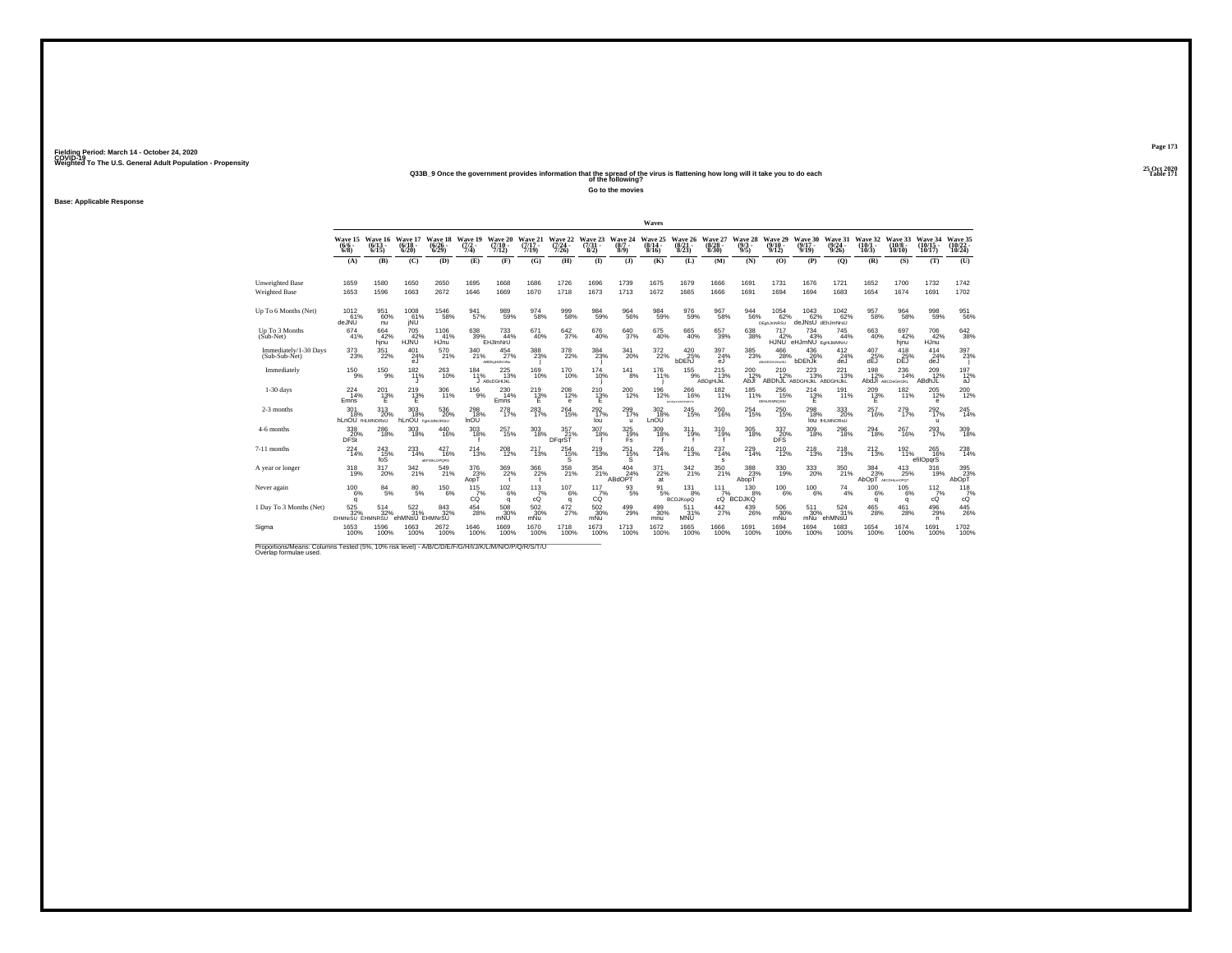**25 Oct 2020Q33B\_9 Once the government provides information that the spread of the virus is flattening how long will it take you to do each Table 171 of the following?**

**Go to the movies**

**Base: Applicable Response**

|                                                                                                                              |                                       |                              |                                      |                                          |                                          |                                    |                              |                                  |                                 |                              | Waves                        |                                     |                                 |                                        |                                                        |                                          |                                         |                              |                                      |                                |                                                            |
|------------------------------------------------------------------------------------------------------------------------------|---------------------------------------|------------------------------|--------------------------------------|------------------------------------------|------------------------------------------|------------------------------------|------------------------------|----------------------------------|---------------------------------|------------------------------|------------------------------|-------------------------------------|---------------------------------|----------------------------------------|--------------------------------------------------------|------------------------------------------|-----------------------------------------|------------------------------|--------------------------------------|--------------------------------|------------------------------------------------------------|
|                                                                                                                              | <b>Wave 15</b><br>$(6/6 -$<br>$6/8$ ) | Wave 16<br>$(6/13 -$<br>6/15 | Wave 17<br>$(6/18 -$<br>6/20         | Wave 18<br>$\binom{6/26}{6/29}$          | Wave 19<br>$(7/2 -$<br>7/4)              | Wave 20<br>$(7/10 -$<br>7/12)      | Wave 21<br>$(7/17 -$<br>7/19 | Wave 22<br>$\frac{(7/24)}{7/26}$ | Wave 23<br>$\frac{(7/31)}{8/2}$ | Wave 24<br>$(8/7 -$<br>8/9   | Wave 25<br>$(8/14 -$<br>8/16 | Wave 26<br>$(8/21 -$<br>8/23        | Wave 27<br>$\binom{8/28}{8/30}$ | Wave 28<br>$\frac{(9/3)}{9/5}$         | Wave 29<br>$(9/10 -$<br>9/12                           | Wave 30<br>$(9/17 -$<br>9/19             | Wave 31<br>$\frac{(9/24 - 9/26)}{9/26}$ | Wave 32<br>$(10/1 -$<br>10/3 | Wave 33<br>(10/8 -<br>10/10          | Wave 34<br>$(10/15 -$<br>10/17 | Wave 35<br>$(10/22 -$<br>10/24                             |
|                                                                                                                              | (A)                                   | (B)                          | (C)                                  | (D)                                      | (E)                                      | (F)                                | (G)                          | (H)                              | (1)                             | $\mathbf{I}$                 | (K)                          | (L)                                 | (M)                             | (N)                                    | (0)                                                    | (P)                                      | (O)                                     | (R)                          | (S)                                  | (T)                            | (U)                                                        |
| <b>Unweighted Base</b><br>Weighted Base                                                                                      | 1659<br>1653                          | 1580<br>1596                 | 1650<br>1663                         | 2650<br>2672                             | 1695<br>1646                             | 1668<br>1669                       | 1686<br>1670                 | 1726<br>1718                     | 1696<br>1673                    | 1739<br>1713                 | 1675<br>1672                 | 1679<br>1665                        | 1666<br>1666                    | 1691<br>1691                           | 1731<br>1694                                           | 1676<br>1694                             | 1721<br>1683                            | 1652<br>1654                 | 1700<br>1674                         | 1732<br>1691                   | 1742<br>1702                                               |
| Up To 6 Months (Net)                                                                                                         | 1012<br>61%<br>deJNU                  | 951<br>60%<br>nu             | $^{1008}_{61\%}$<br>jÑÚ              | $^{1546}_{-58\%}$                        | 941 <sub>57%</sub>                       | 989<br>59%                         | 974<br>58%                   | 999<br>58%                       | 984<br>59%                      | $\substack{964 \\ 56\%}$     | 984<br>59%                   | $^{976}_{59\%}$                     | 967<br>58%                      | 944<br>56%                             | $1054$<br>$62\%$<br><b>DEghJmNRSU</b>                  | $^{1043}_{62\%}$<br>deJNsU dEhJmNrsU     | 1042<br>62%                             | 957<br>58%                   | 964<br>58%                           | 998<br>59%                     | 951<br>56%                                                 |
| Up To 3 Months<br>(Sub-Net)                                                                                                  | 674<br>41%                            | 664<br>42%<br>hinu           | 705<br>42%<br>HJNU                   | 1106<br>41%<br>HJnu <sup>1</sup>         | 638<br>39%                               | 733<br>44%<br>EHJImNrU             | 671<br>40%                   | 642<br>37%                       | 676<br>40%                      | 640<br>37%                   | 675<br>40%                   | 665<br>40%                          | 657<br>39%                      | 638<br>38%                             | 717<br>42%                                             | 734<br>43%<br>HJNU eHJmNU EqHiJkIMNrU    | 745<br>44%                              | $^{663}_{\ 40\%}$            | 697<br>42%<br>hinu                   | 706<br>42%<br>HJnu             | 642<br>38%                                                 |
| Immediately/1-30 Days<br>(Sub-Sub-Net)                                                                                       | $^{373}_{23\%}$                       | 351<br>22%                   | $^{401}_{24\%}$<br>eJ                | 570<br>21%                               | 340<br>21%                               | $^{454}_{27\%}$<br>ABDEgHLJKmNu    | 388<br>23%                   | $^{378}_{22\%}$                  | $\frac{384}{23\%}$              | 341<br>20%                   | 372%                         | 420 25%<br>bDEhJ                    | 397<br>24%<br>eJ                | $^{385}_{\phantom{1}\phantom{1}23\%}$  | $^{466}_{\phantom{1}\phantom{1}28\%}$<br>ABcDEGHLIKHNU | 436%<br>bDEhJk                           | $^{412}_{24\%}$<br>deJ                  | $^{407}_{25\%}$<br>dEJ       | $^{418}_{25\%}$<br>DEJ               | 414<br>24%<br>deJ              | 397<br>23%                                                 |
| Immediately                                                                                                                  | $^{150}_{9\%}$                        | $^{150}_{-9\%}$              | 182%                                 | 263<br>10%                               | 184<br>11%                               | $^{225}_{13\%}$<br>ABcDGHIJkL      | 169<br>10%                   | <sup>170</sup> 10%               | 174<br>10%                      | 141<br>8%                    | 176<br>11%                   | $^{155}_{-9\%}$                     | 215<br>13%<br>ABDgHiJkL         | $^{200}_{12\%}$<br>AbJI                | $^{210}_{12\%}$                                        | 223<br>13%<br>ABDhJL ABDGHIJKL ABDGHIJKL | $^{221}_{13\%}$                         | $^{198}_{12\%}$              | $^{236}_{14\%}$<br>AbdJI ABCDeGHIJKL | 209<br>12%<br>ABdhJL           | $\frac{197}{12\%}$<br>aJ                                   |
| $1-30$ days                                                                                                                  | 224<br>14%<br>Emns                    | 201<br>$^{13\%}$             | 219<br>$12\%$                        | 306<br>11%                               | 156<br>9%                                | 230<br>14%<br>Emns                 | 219<br>$^{13\%}$             | 208<br>12%<br>е                  | 210<br>$^{13\%}$                | 200<br>12%                   | 196<br>12%                   | 266<br>16%<br><b>BIDE-KAMPOKETU</b> | 182<br>11%                      | 185<br>11%                             | 256<br>15%<br><b>DEHUKMNOSIU</b>                       | 214<br>$^{13\%}_{E}$                     | 191<br>11%                              | 209<br>$^{13\%}$             | 182<br>11%                           | 205<br>12%<br>е                | 200<br>12%                                                 |
| 2-3 months                                                                                                                   | 301<br>18%<br><b>hLnOU</b> fHLMNORsU  | $^{313}_{\phantom{1}20\%}$   | $303$<br>$18\%$<br>hLnOU FOHLMNORSIU | $^{536}_{\ 20\%}$                        | 298<br>18%<br>InOU                       | 278<br>17%                         | 283<br>17%                   | $^{264}_{\,15\%}$                | $^{292}_{17\%}$<br>lou          | 299<br>17%<br>$\mathbf{u}$   | 302<br>18%<br>LnOU           | 245<br>15%                          | 260<br>16%                      | 254<br>15%                             | $^{250}_{\phantom{1}15\%}$                             | $^{298}_{18\%}$                          | 333<br>20%<br><b>lou fHLMNORSU</b>      | 257<br>16%                   | 279 <sub>0</sub>                     | 292%<br>$\mathbf{u}$           | 245<br>14%                                                 |
| 4-6 months                                                                                                                   | 338<br>20%<br><b>DFSt</b>             | 286<br>18%                   | 303<br>18%                           | 440<br>16%                               | 303<br>18%                               | 257<br>15%                         | 303<br>18%                   | 357<br>21%<br>DFqrST             | 307<br>18%                      | 325<br>19%<br>Fs             | 309<br>18%                   | 311<br>19%                          | 310<br>19%                      | 305<br>18%                             | 337<br>DFS                                             | 309<br>18%                               | 296<br>18%                              | 294<br>18%                   | 267<br>16%                           | 293<br>17%                     | 309<br>18%                                                 |
| 7-11 months                                                                                                                  | $^{224}_{14\%}$                       | 243<br>15%<br>foS            | 233                                  | 427<br>16%<br><b><i>AEFGIALOPORS</i></b> | 214<br>13%                               | 208<br>12%                         | 217<br>13%                   | $^{254}_{15\%}$<br>s             | 219<br>13%                      | 251<br>15%<br>s              | 226<br>14%                   | $^{216}_{13\%}$                     | 237<br>14%<br>s                 | 229<br>14%                             | 210%                                                   | 218<br>13%                               | $^{218}_{13\%}$                         | $^{212}_{13\%}$              | 192 <sub>0</sub>                     | 265<br>16%<br>efilOpqrS        | 238<br>14%                                                 |
| A year or longer                                                                                                             | $^{318}_{19\%}$                       | 317<br>20%                   | 342 21%                              | 549<br>21%                               | $\substack{376 \\ 23\% \\ \mathsf{ApT}}$ | 369<br>22%<br>$\ddot{\phantom{1}}$ | 366<br>22%<br>$\mathbf{t}$   | 358<br>21%                       | 354<br>21%                      | $\frac{404}{24\%}$<br>ABdOPT | $\frac{371}{22\%}$<br>at     | 342 %                               | 350<br>21%                      | 388<br>23%<br>AbopT                    | 330<br>19%                                             | 333<br>20%                               | 350<br>21%                              | $\frac{384}{23}\%$<br>AbOpT  | $^{413}_{25\%}$<br>ABCDHLmOPOT       | 316<br>19%                     | $\begin{array}{c} 395 \\ 23\% \\ \text{AbOpT} \end{array}$ |
| Never again                                                                                                                  | 100<br>6%<br>q                        | $\frac{84}{5\%}$             | 80<br>5%                             | 150<br>6%                                | 115<br>7%<br>có                          | $\frac{102}{6\%}$<br>q             | $\frac{113}{7%}$<br>cÓ       | 107<br>6%<br>q                   | $\frac{117}{7\%}$<br>СÓ         | $\substack{93 \\ 5\%}$       | 91<br>5%                     | 131<br>8%<br><b>BCDJKopQ</b>        | 111<br>cQ                       | 130<br><sup>7%</sup><br>Q BCDJKQ<br>8% | 100<br>6%                                              | 100<br>6%                                | $^{74}_{4\%}$                           | 100<br>6%<br>q               | 105<br>6%<br>q                       | 112<br>7%<br>cQ                | $^{118}_{7\%}$<br>cÓ                                       |
| 1 Day To 3 Months (Net)                                                                                                      | $\frac{525}{32\%}$<br>EHMNrSU EHMNRSU | $^{514}_{32\%}$              | $\frac{522}{31\%}$<br>ehMNsU EHMNrSU | $\frac{843}{32\%}$                       | $^{454}_{\  \, 28\%}$                    | 508<br>30%<br>mNU                  | $\frac{502}{30\%}$<br>mNu    | 472/27%                          | 502 30%<br>mNu                  | 499<br>29%                   | $^{499}_{30\%}$<br>mnu       | 511<br>31%<br><b>MNU</b>            | $\frac{442}{27\%}$              | $^{439}_{26\%}$                        | 506<br>30%<br>mNu                                      | 511<br>30%<br>mNu                        | 524<br>31%<br>ehMNsU                    | $^{465}_{28\%}$              | $^{461}_{28\%}$                      | 496<br>29%<br>n                | $^{445}_{26\%}$                                            |
| Sigma                                                                                                                        | 1653<br>100%                          | 1596<br>100%                 | 1663<br>100%                         | 2672<br>100%                             | 1646<br>100%                             | 1669<br>100%                       | 1670<br>100%                 | 1718<br>100%                     | 1673<br>100%                    | 1713<br>100%                 | 1672<br>100%                 | 1665<br>100%                        | 1666<br>100%                    | 1691<br>100%                           | 1694<br>100%                                           | 1694<br>100%                             | 1683<br>100%                            | 1654<br>100%                 | 1674<br>100%                         | 1691<br>100%                   | 1702<br>100%                                               |
| Proportions/Means: Columns Tested (5%, 10% risk level) - A/B/C/D/E/F/G/H/I/J/K/L/M/N/O/P/Q/R/S/T/U<br>Overlap formulae used. |                                       |                              |                                      |                                          |                                          |                                    |                              |                                  |                                 |                              |                              |                                     |                                 |                                        |                                                        |                                          |                                         |                              |                                      |                                |                                                            |

**Page 173**25 Oct 2020<br>Table 171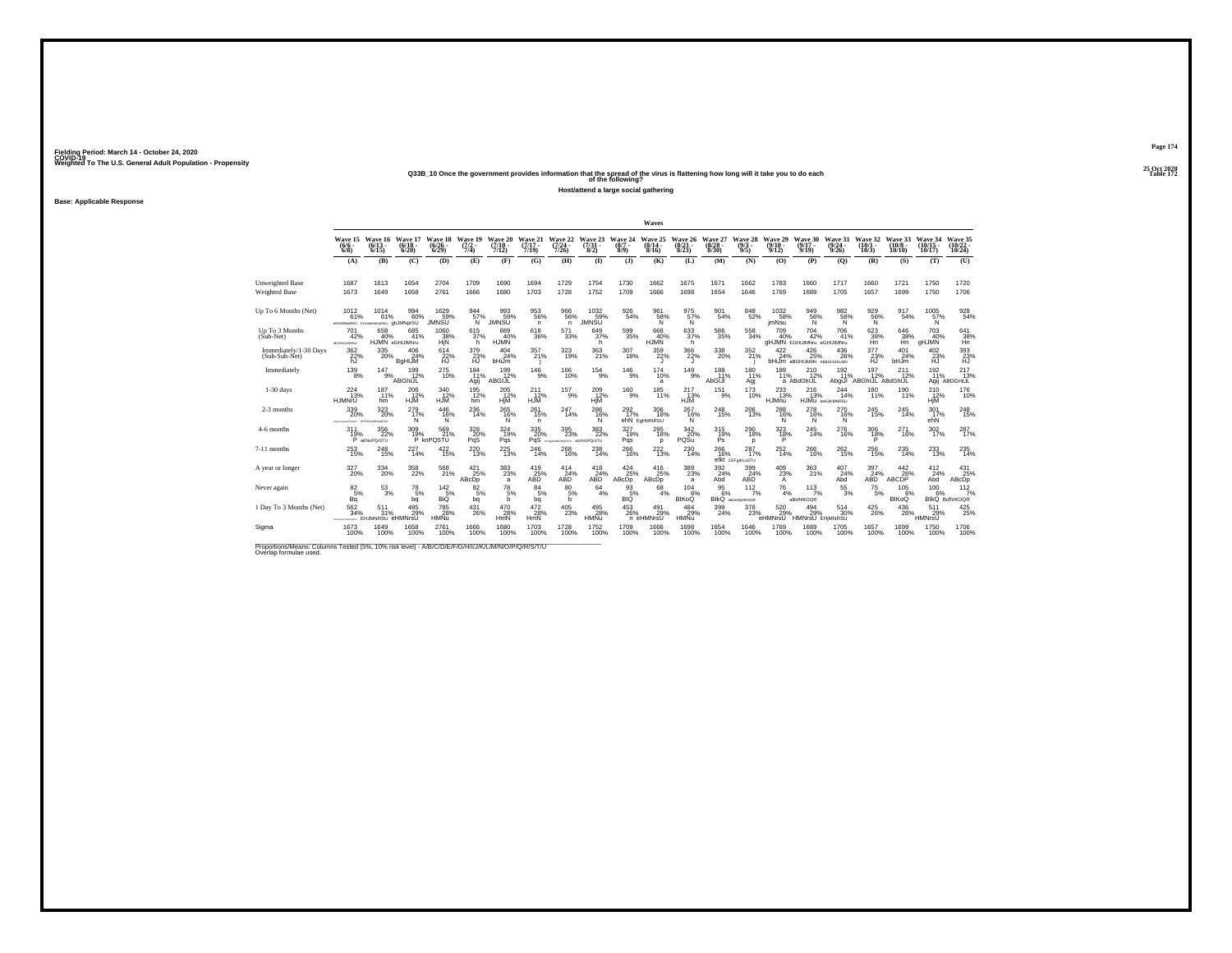**25 Oct 2020Q33B\_10 Once the government provides information that the spread of the virus is flattening how long will it take you to do each Table 172 of the following?**

**Host/attend a large social gathering**

**Base: Applicable Response**

|                                                                                                                              |                                                   |                                       |                                  |                                    |                                |                                  |                              |                                             |                                   |                            | Waves                           |                                          |                                 |                                        |                              |                                                            |                                      |                                       |                               |                                  |                                 |
|------------------------------------------------------------------------------------------------------------------------------|---------------------------------------------------|---------------------------------------|----------------------------------|------------------------------------|--------------------------------|----------------------------------|------------------------------|---------------------------------------------|-----------------------------------|----------------------------|---------------------------------|------------------------------------------|---------------------------------|----------------------------------------|------------------------------|------------------------------------------------------------|--------------------------------------|---------------------------------------|-------------------------------|----------------------------------|---------------------------------|
|                                                                                                                              | Wave 15<br>$(6/6 -$<br>$6/8$ )                    | Wave 16<br>$(6/13 -$<br>6/15          | Wave 17<br>$(6/18 -$<br>6/20     | Wave 18<br>$(6/26 -$<br>6/29       | Wave 19<br>$\frac{(7/2)}{7/4}$ | Wave 20<br>$\frac{(7/10)}{7/12}$ | Wave 21<br>$(7/17 -$<br>7/19 | Wave 22<br>$\frac{(7/24)}{7/26}$            | Wave 23<br>$\frac{(7/3)}{8/2}$    | Wave 24<br>$(8/7 -$<br>8/9 | Wave 25<br>$(8/14 -$<br>8/16    | Wave 26<br>(8/21)<br>8/23                | Wave 27<br>$\binom{8/28}{8/30}$ | Wave 28<br>$(9/3 -$<br>9/5             | Wave 29<br>$(9/10 -$<br>9/12 | Wave 30<br>$(9/17 -$<br>9/19                               | Wave 31<br>$(9/24 -$<br>9/26         | Wave 32<br>$(10/1 -$<br>10/3          | Wave 33<br>$(10/8 -$<br>10/10 | Wave 34<br>$(10/15 -$<br>10/17   | Wave 35<br>(10/22 -<br>10/24    |
|                                                                                                                              | (A)                                               | (B)                                   | (C)                              | (D)                                | (E)                            | (F)                              | (G)                          | (H)                                         | $($ I)                            | $($ $)$                    | (K)                             | (L)                                      | (M)                             | (N)                                    | (0)                          | (P)                                                        | (0)                                  | (R)                                   | (S)                           | (T)                              | (U)                             |
| Unweighted Base<br>Weighted Base                                                                                             | 1687<br>1673                                      | 1613<br>1649                          | 1654<br>1658                     | 2704<br>2761                       | 1709<br>1666                   | 1690<br>1680                     | 1694<br>1703                 | 1729<br>1728                                | 1754<br>1752                      | 1730<br>1709               | 1662<br>1666                    | 1675<br>1698                             | 1671<br>1654                    | 1662<br>1646                           | 1783<br>1769                 | 1660<br>1689                                               | 1717<br>1705                         | 1660<br>1657                          | 1721<br>1699                  | 1750<br>1750                     | 1720<br>1706                    |
| Up To 6 Months (Net)                                                                                                         | 1012<br>61%<br>«GHJMN»RSU EGHJAMMP-(RSU GhJMNprSU | 1014<br>61%                           | 994<br>60%                       | 1629<br>59%<br>JMNSŪ               | 944<br>57%<br>'N.              | 993<br>59%<br><b>JMNSU</b>       | 953<br>56%<br>n.             | 966<br>56%<br>n                             | $^{1032}_{-59\%}$<br><b>JMNSU</b> | 926<br>54%                 | 961<br>58%<br>Ñ                 | 975<br>57%<br>'N                         | 901<br>54%                      | 848/52%                                | 1032<br>58%<br>jmNsu         | 949<br>56%<br>'N                                           | 982%<br>Ñ                            | 9296%<br>'Ñ                           | 917<br>54%                    | $^{1005}_{57\%}$<br><sup>N</sup> | $\frac{928}{54\%}$              |
| Up To 3 Months<br>$(Sub-Net)$                                                                                                | 701<br>42%<br><b>dDGHULMNRsU</b>                  | 658<br>40%<br>HJMN eGHIJIMNru         | 685<br>41%                       | 1060<br>38%<br>HjN                 | 615<br>37%<br>h                | 669<br>40%<br>HJMN               | 618<br>36%                   | 571<br>33%                                  | 649<br>37%<br>h                   | 599<br>35%                 | 666<br>40%<br><b>HJMN</b>       | 633<br>37%<br>h                          | 586<br>35%                      | 558<br>34%                             | 709<br>40%                   | 704<br>42%<br>aHJMN EGHIJIMNru eGHIJIMNru                  | 706<br>41%                           | 623<br>38%<br>Hn                      | 646<br>38%                    | 703<br>40%<br>gHJMN              | 641<br>38%                      |
| Immediately/1-30 Days<br>(Sub-Sub-Net)                                                                                       | 362<br>22%<br>hJ                                  | $^{335}_{\phantom{1}\phantom{1}20\%}$ | $^{406}_{24\%}$<br><b>BgHIJM</b> | $614 \over 22\%$<br>ĤŪ             | 379<br>23%<br>Ηũ               | $^{404}_{24\%}$<br>bHiJm         | 357<br>21%                   | 323<br>19%                                  | $^{363}_{\ 21\%}$                 | 307<br>18%                 | 359<br>22%                      | $^{366}_{\,\,22\%}$                      | $^{338}_{20\%}$                 | $\frac{352}{21\%}$                     | 422/24%                      | $^{426}_{\phantom{2}25\%}$<br>bHiJm aBGHIJkIMn ABdGHIJKLMN | $^{436}_{\,\,26\%}$                  | $\frac{377}{23\%}$<br>Ηũ              | $^{401}_{24\%}$<br>bHJm       | $^{402}_{23\%}$<br>Ηũ            | $\underset{\text{HJ}}{^{393}}$  |
| Immediately                                                                                                                  | $^{139}_{8\%}$                                    | $147_{9\%}$                           | 199<br>12%<br>ABGhIJL            | 275<br>10%                         | 184<br>11%<br>Agij             | 199<br>12%<br>ABGIJL             | $146_{9\%}$                  | 166<br>10%                                  | $^{154}_{9\%}$                    | $^{146}_{9\%}$             | $^{174}_{10\%}$<br>a            | $^{149}_{9\%}$                           | 188<br>11%<br>AbGIJI            | $^{180}_{,11\%}$<br>Agi                | $^{189}_{11\%}$              | $^{210}_{12\%}$<br>a ABdGhIJL                              | 192<br>11%                           | 197<br>12%<br>AbgiJI ABGhIJL ABdGhIJL | 211<br>12%                    | 192<br>11%<br>Agij               | $^{217}_{13\%}$<br>ABDGHIJL     |
| $1-30$ days                                                                                                                  | 224<br>13%<br>HJMNrU                              | 187<br>11%<br>hm                      | 206<br>12%<br>HJM <sup>®</sup>   | 340<br>$\frac{12}{12}$ %           | 195<br>12%<br>hm               | 205<br>12%<br><b>HjM</b>         | 211<br>$\frac{12}{12}$ %     | 157<br>9%                                   | 209<br>12%<br>HjM                 | 160<br>9%                  | 185<br>11%                      | 217<br>13%<br>HJM                        | 151<br>9%                       | 173<br>10%                             | 233<br>13%<br>HJMnu          | 216<br>13%                                                 | 244<br>14%<br><b>HJMU beHJKWNRSU</b> | 180<br>11%                            | 190<br>11%                    | 210<br>12%<br>HjM                | 176<br>10%                      |
| 2-3 months                                                                                                                   | $^{339}_{\color{red}20\%}$<br>CONFIDENTIACPORTAL  | 323<br>20%<br>DEFGHLMVOLGRSU          | 279<br>17%<br>N                  | $^{446}_{16\%}$<br>N               | $^{236}_{14\%}$                | $^{265}_{16\%}$<br>N             | 261<br>15%<br>n.             | 247<br>14%                                  | 286%<br>N                         | 292%                       | $^{306}_{18\%}$<br>ehN EgHMNRSU | 267<br>16%<br>N                          | 248<br>15%                      | $^{206}_{\ 13\%}$                      | 288<br>N                     | $^{278}_{16\%}$<br>N                                       | 270<br>16%<br>N                      | $^{245}_{15\%}$                       | 245<br>14%                    | 301 47%<br>ehN                   | $^{248}_{15\%}$                 |
| 4-6 months                                                                                                                   | 311<br>$^{19%}_{P}$                               | 356<br>22%<br>aKNoPQrSTU              | 309                              | 569<br>21%<br>19% 21%<br>P knPQSTU | 328<br>$\frac{20}{9}$ %        | 324<br>19%<br>Pqs                | 335<br>20%                   | 395<br>23%<br>PqS ACASAMOPORSTU ACKNOPO/STU | 383<br>22%                        | 327<br>19%<br>Pqs          | 295<br>18%<br>D                 | 342<br>20%<br>PQSu                       | 315<br>19%<br>Ps.               | 290<br>18%<br>D                        | 323<br>18%                   | 245<br>14%                                                 | 276<br>16%                           | 306<br>18%                            | 271<br>16%                    | 302<br>17%                       | 287<br>17%                      |
| 7-11 months                                                                                                                  | 253<br>15%                                        | $^{248}_{15\%}$                       | 227<br>14%                       | 422/15%                            | $^{220}_{13\%}$                | $^{225}_{\phantom{1}13\%}$       | 246<br>14%                   | $^{268}_{16\%}$                             | 238<br>14%                        | 266<br>16%                 | <sup>222</sup> <sub>13%</sub>   | 230<br>14%                               | 266<br>16%                      | 287 <sub>17%</sub><br>efkt CEFgIKLoSTU | 252<br>14%                   | 266<br>16%                                                 | 262<br>15%                           | 256<br>15%                            | 235<br>14%                    | 233<br>13%                       | 235<br>14%                      |
| A year or longer                                                                                                             | 327<br>20%                                        | 334<br>20%                            | 358<br>22%                       | 568<br>21%                         | $421$<br>$25%$<br>ABcDp        | 383%<br>a                        | $^{419}_{25\%}$<br>ABD       | 414<br>24%<br>ABD                           | $^{418}_{24\%}$<br>ABD            | 424<br>25%<br>ABcDp        | 416<br>25%<br>ABcDp             | $\substack{389 \\ 23\%}$<br>$\mathbf{a}$ | 392<br>24%<br>Abd               | 399<br>24%<br><b>ABD</b>               | 409<br>23%<br>A              | 363<br>21%                                                 | $^{407}_{24\%}$<br>Abd               | 397<br>24%<br>ABD                     | $^{442}_{26\%}$<br>ABCDP      | $^{412}_{24\%}$<br>Abd           | $^{431}_{25\%}$<br>ABcDp        |
| Never again                                                                                                                  | $\frac{82}{5%}$<br>Βã                             | $^{53}_{\ 3\%}$                       | $^{78}_{\ 5\%}$<br>bq            | $\frac{142}{5\%}$<br>BiQ           | 82<br>5%<br>bq                 | 78<br>5%<br>b                    | 84<br>5%<br>bq               | 80<br>5%<br>b                               | 64<br>4%                          | 93<br>5%<br>вığ            | 68<br>4%                        | 104<br>6%<br>BIKoQ                       | 95<br>6%<br>BIKO                | 112<br>7%<br>aBodefoHIKOOR             | 76<br>4%                     | 113<br>7%<br>aBcfhlKOQR                                    | 55<br>3%                             | 75<br>5%                              | 105<br>6%<br>BIKoQ            | 100<br>6%                        | $112$<br>$7%$<br>BlkQ BcfhlKOQR |
| 1 Day To 3 Months (Net)                                                                                                      | 562<br>34%                                        | 511<br>31%<br>EHJMNRSU eHMNrsU        | 485<br>29%                       | 785<br>28%<br><b>HMNu</b>          | $^{431}_{26\%}$                | 470<br>28%<br>HmN                | $\frac{472}{28\%}$<br>HmN    | $^{405}_{\phantom{1}\phantom{1}23\%}$       | 495<br>28%<br><b>HMNu</b>         | $^{453}_{26\%}$            | 491<br>29%<br>n eHMNrsU         | $^{484}_{29\%}$<br><b>HMNu</b>           | 399<br>24%                      | 378<br>23%                             | 520<br>29%<br>eHMNrsU        | $^{494}_{29\%}$<br><b>HMNrsU EHIMNRSU</b>                  | 514<br>30%                           | $^{425}_{\,26\%}$                     | $^{436}_{26\%}$               | 511<br>29%<br>HMNrsU             | $^{425}_{25\%}$                 |
| Sigma                                                                                                                        | 1673<br>100%                                      | 1649<br>100%                          | 1658<br>100%                     | 2761<br>100%                       | 1666<br>100%                   | 1680<br>100%                     | 1703<br>100%                 | 1728<br>100%                                | 1752<br>100%                      | 1709<br>100%               | 1666<br>100%                    | 1698<br>100%                             | 1654<br>100%                    | 1646<br>100%                           | 1769<br>100%                 | 1689<br>100%                                               | 1705<br>100%                         | 1657<br>100%                          | 1699<br>100%                  | 1750<br>100%                     | 1706<br>100%                    |
| Proportions/Means: Columns Tested (5%, 10% risk level) - A/B/C/D/E/F/G/H/I/J/K/L/M/N/O/P/Q/R/S/T/U<br>Overlap formulae used. |                                                   |                                       |                                  |                                    |                                |                                  |                              |                                             |                                   |                            |                                 |                                          |                                 |                                        |                              |                                                            |                                      |                                       |                               |                                  |                                 |

**Page 174**25 Oct 2020<br>Table 172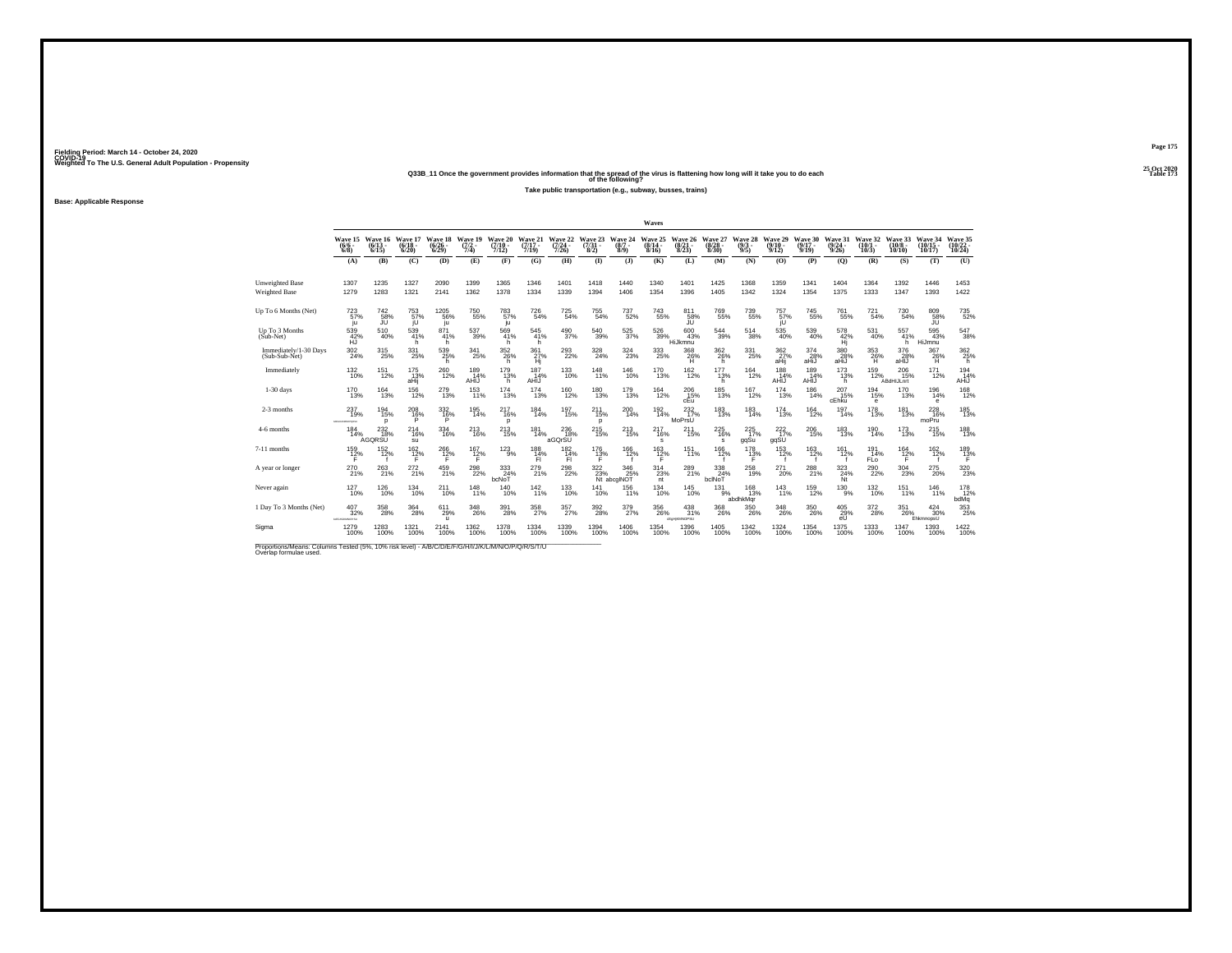**25 Oct 2020Q33B\_11 Once the government provides information that the spread of the virus is flattening how long will it take you to do each Table 173 of the following?**

**Take public transportation (e.g., subway, busses, trains)**

**Base: Applicable Response**

|                                                                                                                              |                                       |                                       |                                  |                              |                                |                                    |                              |                                      |                                |                                                | Waves                            |                                 |                                  |                                |                                                                                   |                                       |                                  |                                  |                                       |                                 |                               |
|------------------------------------------------------------------------------------------------------------------------------|---------------------------------------|---------------------------------------|----------------------------------|------------------------------|--------------------------------|------------------------------------|------------------------------|--------------------------------------|--------------------------------|------------------------------------------------|----------------------------------|---------------------------------|----------------------------------|--------------------------------|-----------------------------------------------------------------------------------|---------------------------------------|----------------------------------|----------------------------------|---------------------------------------|---------------------------------|-------------------------------|
|                                                                                                                              | Wave 15<br>$(6/6 -$<br>$6/8$ )        | Wave 16<br>$(6/13 -$<br>6/15          | Wave 17<br>$\frac{(6/18)}{6/20}$ | Wave 18<br>$(6/26 -$<br>6/29 | Wave 19<br>$\frac{(7/2)}{7/4}$ | Wave 20<br>$(7/10 -$<br>7/12)      | Wave 21<br>$(7/17 -$<br>7/19 | Wave 22<br>$\frac{(7/24 - 7)}{7/26}$ | Wave 23<br>$\binom{7/31}{8/2}$ | Wave 24<br>$(8/7 -$<br>$8/9$ )                 | Wave 25<br>$\frac{(8/14)}{8/16}$ | Wave 26<br>$\binom{8/21}{8/23}$ | Wave 27<br>$\frac{(8/28)}{8/30}$ | Wave 28<br>$\frac{(9/3)}{9/5}$ | Wave 29<br>$(9/10 -$<br>9/12                                                      | Wave 30<br>$(9/17 -$<br>9/19          | Wave 31<br>$\frac{(9/24)}{9/26}$ | Wave 32<br>$(10/1 -$<br>$10/3$ ) | Wave 33<br>$(10/8 -$<br>10/10         | Wave 34<br>$(10/15 -$<br>10/17  | Wave 35<br>(10/22 -<br>10/24) |
|                                                                                                                              | (A)                                   | (B)                                   | (C)                              | (D)                          | (E)                            | (F)                                | (G)                          | (H)                                  | $\bf{I}$                       | (1)                                            | (K)                              | (L)                             | (M)                              | (N)                            | (0)                                                                               | (P)                                   | (0)                              | (R)                              | (S)                                   | (T)                             | (U)                           |
| <b>Unweighted Base</b><br><b>Weighted Base</b>                                                                               | 1307<br>1279                          | 1235<br>1283                          | 1327<br>1321                     | 2090<br>2141                 | 1399<br>1362                   | 1365<br>1378                       | 1346<br>1334                 | 1401<br>1339                         | 1418<br>1394                   | 1440<br>1406                                   | 1340<br>1354                     | 1401<br>1396                    | 1425<br>1405                     | 1368<br>1342                   | 1359<br>1324                                                                      | 1341<br>1354                          | 1404<br>1375                     | 1364<br>1333                     | 1392<br>1347                          | 1446<br>1393                    | 1453<br>1422                  |
| Up To 6 Months (Net)                                                                                                         | $^{723}_{57\%}$<br>ю                  | $^{742}_{58\%}$                       | 753<br>57%                       | 1205<br>56%<br>ju            | <sup>750</sup> 55%             | 783%<br>ju                         | $^{726}_{\ 54\%}$            | $725 \atop 54\%$                     | $^{755}_{54\%}$                | 737<br>52%                                     | $\substack{743 \\ 55\%}$         | $^{811}_{-58\%}$                | 769<br>55%                       | $739 \atop 55\%$               | 757%<br>iU                                                                        | <sup>745</sup> 55%                    | $\substack{761 \\ 55\%}$         | 721<br>54%                       | 730<br>54%                            | $^{809}_{-58\%}$                | 735<br>52%                    |
| Up To 3 Months<br>(Sub-Net)                                                                                                  | 539<br>42%                            | 510<br>40%                            | $\frac{539}{41\%}$<br>h          | 871<br>41%<br>h              | 537<br>39%                     | 569<br>41%<br>h                    | 545<br>41%<br>h              | 490<br>37%                           | $^{540}_{\ 39\%}$              | $^{525}_{\ 37\%}$                              | 526<br>39%                       | 600<br>43%<br>HiJkmnu           | 544<br>39%                       | 514<br>38%                     | 535<br>40%                                                                        | $\frac{539}{40\%}$                    | 578<br>42%<br>Hi                 | 531<br>40%                       | 557<br>41%<br>h                       | 595<br>43%<br>HiJmnu            | 547<br>38%                    |
| Immediately/1-30 Days<br>(Sub-Sub-Net)                                                                                       | $^{302}_{\phantom{1}24\%}$            | 315<br>25%                            | 331<br>25%                       | $^{539}_{25\%}$<br>h         | 341<br>25%                     | $352\atop 26\%$<br>h               | 361%<br>Hi                   | 293<br>22%                           | $\frac{328}{24\%}$             | 324<br>23%                                     | 333<br>25%                       | $\frac{368}{26\%}$<br>н         | $\frac{362}{26\%}$<br>h          | $^{331}_{\phantom{1}25\%}$     | 362 <sub>%</sub><br>aHij                                                          | $\frac{374}{28\%}$<br>aHiJ            | 380<br>28%<br>aHiJ               | $\substack{353 \\ 26\%}$<br>H    | 376<br>28%<br>aHIJ                    | 367<br>26%<br>н                 | 362<br>25%<br>h               |
| Immediately                                                                                                                  | $^{132}_{10\%}$                       | $^{151}_{12\%}$                       | $^{175}_{13\%}$<br>aHij          | 260<br>12%                   | 189<br>14%<br>AHIJ             | 179<br>13%<br>h                    | 187<br>14%<br>AHIJ           | $^{133}_{10\%}$                      | $^{148}_{11\%}$                | $^{146}_{10\%}$                                | $^{170}_{13\%}$                  | $^{162}_{12\%}$                 | $^{177}_{13\%}$<br>h             | $^{164}_{12\%}$                | 188<br>14%<br>AHIJ                                                                | 189<br>14%<br>AHIJ                    | $^{173}_{13\%}$<br>h.            | 159<br>12%                       | $^{206}_{15\%}$<br>ABdHIJLnrt         | 171<br>12%                      | 194%<br>AHiJ                  |
| $1-30$ days                                                                                                                  | 170<br>13%                            | $\frac{164}{13\%}$                    | 156<br>12%                       | 279<br>13%                   | 153<br>11%                     | 174<br>13%                         | 174<br>13%                   | 160<br>12%                           | 180<br>13%                     | 179<br>13%                                     | 164<br>12%                       | 206<br>$c_{\text{Eu}}^{15\%}$   | 185<br>13%                       | 167<br>12%                     | 174<br>13%                                                                        | 186<br>14%                            | 207<br>15%<br>cEhku              | 194<br>15%<br>e                  | 170<br>13%                            | 196<br>14%<br>$\epsilon$        | 168<br>12%                    |
| 2-3 months                                                                                                                   | $^{237}_{19\%}$<br><b>ADAMSONIA</b>   | $^{194}_{15\%}$<br>$\mathbf{D}$       | 208 16%<br>P                     | 3326%<br>P                   | $^{195}_{14\%}$                | <sup>217</sup> <sub>16%</sub><br>p | 184<br>14%                   | $^{197}_{15\%}$                      | $^{211}_{15\%}$<br>p           | 200<br>14%                                     | 192<br>14%                       | 232 <sub>%</sub><br>MoPrsU      | 183<br>13%                       | $183 \over 14\%$               | 174<br>13%                                                                        | $^{164}_{12\%}$                       | $^{197}_{14\%}$                  | $^{178}_{13\%}$                  | $^{181}_{13\%}$                       | 228<br>16%<br>moPru             | 185<br>13%                    |
| 4-6 months                                                                                                                   | 184<br>14%                            | 232<br>18%<br>AGQRSU                  | 214<br>16%<br>su                 | 334<br>16%                   | 213<br>16%                     | 213<br>15%                         | 181<br>14%                   | 236<br>18%<br>aGOrSU                 | 215<br>15%                     | 213<br>15%                                     | 217<br>16%<br>s                  | 211<br>15%                      | 225<br>16%<br>s                  | 225<br>17%<br>gqSu             | 222<br>17%<br>qqSU                                                                | 206<br>15%                            | 183<br>13%                       | 190<br>14%                       | 173<br>13%                            | 215<br>15%                      | 188<br>13%                    |
| 7-11 months                                                                                                                  | $^{159}_{12\%}$                       | $\frac{152}{12\%}$                    | $\frac{162}{12}\%$               | $^{266}_{12\%}$              | $^{167}_{12\%}$                | $^{123}_{9\%}$                     | $^{188}_{14\%}$<br>FL.       | 182<br>14%<br>FI.                    | $\frac{176}{13\%}$<br>F        | 166<br>12%                                     | $^{163}_{12\%}$                  | $^{151}_{11\%}$                 | 166<br>12%                       | 178<br>13%                     | $^{153}_{12\%}$                                                                   | $^{163}_{12\%}$                       | 161<br>12%                       | 191<br>14%<br><b>FLo</b>         | $^{164}_{12\%}$<br>F.                 | $\frac{162}{12\%}$              | 189<br>13%                    |
| A year or longer                                                                                                             | $^{270}_{21\%}$                       | 263<br>21%                            | 272 <sub>21%</sub>               | $^{459}_{21\%}$              | 298<br>22%                     | $\frac{333}{24\%}$<br>bcNoT        | 279<br>21%                   | $^{298}_{22\%}$                      |                                | 322 346<br>23% 25<br>Nt abcglNOT<br>346<br>25% | $^{314}_{23\%}$<br>nt            | 289<br>21%                      | 338<br>24%<br>bclNoT             | $^{258}_{19\%}$                | 271<br>20%                                                                        | 288<br>21%                            | $\frac{323}{24\%}$ Nt            | 290<br>22%                       | $^{304}_{\phantom{1}\phantom{1}23\%}$ | $^{275}_{20\%}$                 | 320                           |
| Never again                                                                                                                  | 127<br>10%                            | 126<br>10%                            | 134<br>10%                       | 211<br>10%                   | 148<br>11%                     | 140<br>10%                         | $\frac{142}{11\%}$           | 133<br>10%                           | 141<br>10%                     | 156<br>11%                                     | 134<br>10%                       | 145<br>10%                      | 131<br>9%                        | 168<br>13%<br>abdhkMqr         | 143<br>11%                                                                        | 159<br>12%                            | 130<br>9%                        | 132<br>10%                       | 151<br>11%                            | 146<br>11%                      | 178<br>12%<br>bdMq            |
| 1 Day To 3 Months (Net)                                                                                                      | $\substack{407\\32\%}$<br>MIGHAMMONIU | $^{358}_{\phantom{1}\phantom{1}28\%}$ | $^{364}_{28\%}$                  | $611_{29\%}$<br>$\mathbf{u}$ | 348<br>26%                     | 391<br>28%                         | $\frac{358}{27\%}$           | 357%                                 | $^{392}_{\phantom{1}28\%}$     | $\frac{379}{27\%}$                             | 356<br>26%                       | $^{438}_{31\%}$<br>cEpHKMNOPSU  | 368<br>26%                       | $\frac{350}{26\%}$             | $^{348}_{\phantom{1}\phantom{1}\phantom{1}\phantom{1}\phantom{1}\phantom{1}26\%}$ | $^{350}_{\phantom{1}\phantom{1}26\%}$ | 405<br>29%<br>eU                 | $^{372}_{28\%}$                  | 351<br>26%                            | $\frac{424}{30\%}$<br>EhkmnopsU | 353                           |
| Sigma                                                                                                                        | 1279<br>100%                          | 1283<br>100%                          | 1321<br>100%                     | 2141<br>100%                 | 1362<br>100%                   | 1378<br>100%                       | 1334<br>100%                 | 1339<br>100%                         | 1394<br>100%                   | 1406<br>100%                                   | 1354<br>100%                     | 1396<br>100%                    | 1405<br>100%                     | 1342<br>100%                   | 1324<br>100%                                                                      | 1354<br>100%                          | 1375<br>100%                     | 1333<br>100%                     | 1347<br>100%                          | 1393<br>100%                    | 1422<br>100%                  |
| Proportions/Means: Columns Tested (5%, 10% risk level) - A/B/C/D/E/F/G/H/I/J/K/L/M/N/O/P/Q/R/S/T/U<br>Overlap formulae used. |                                       |                                       |                                  |                              |                                |                                    |                              |                                      |                                |                                                |                                  |                                 |                                  |                                |                                                                                   |                                       |                                  |                                  |                                       |                                 |                               |

**Page 175**25 Oct 2020<br>Table 173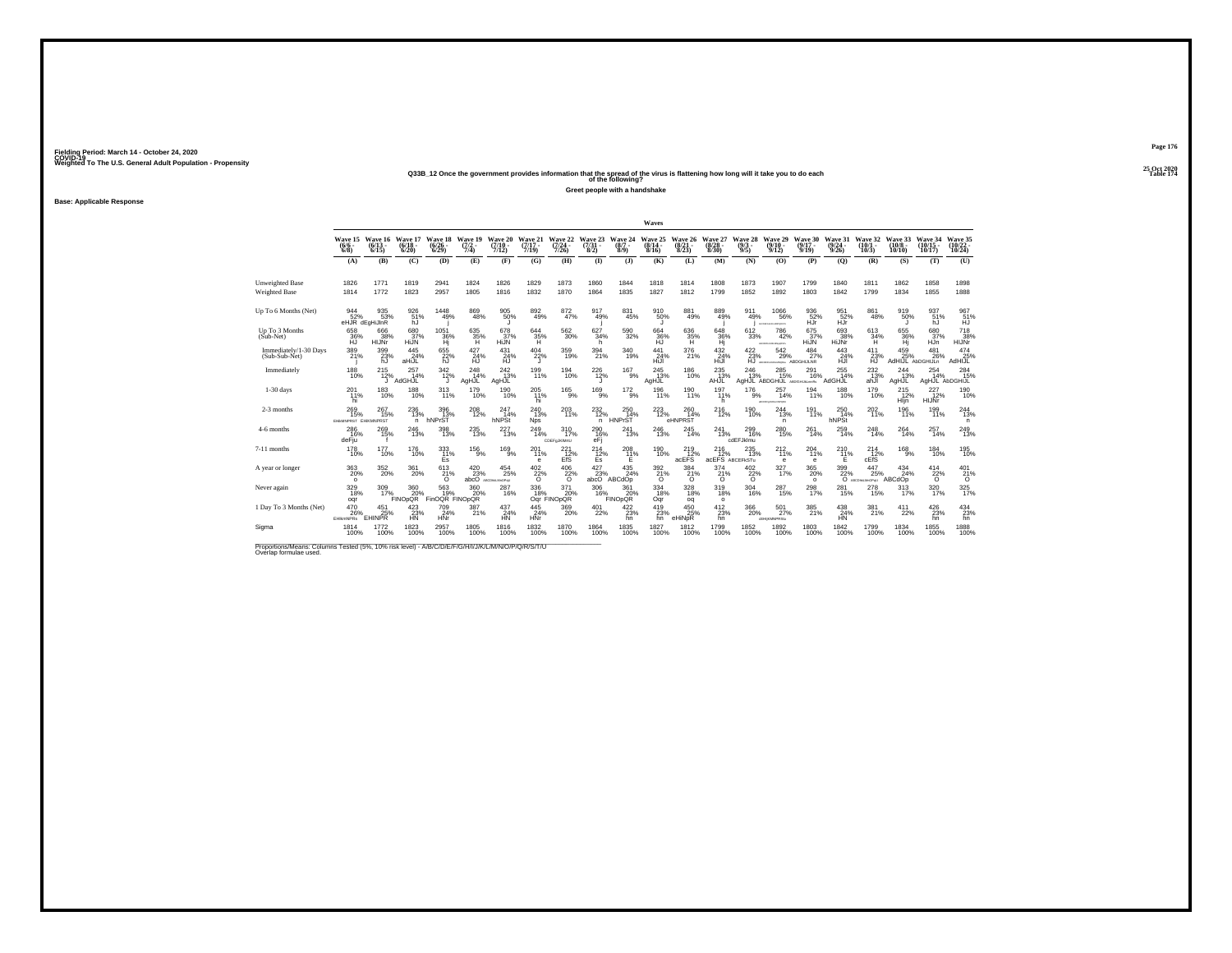## **25 Oct 2020Q33B\_12 Once the government provides information that the spread of the virus is flattening how long will it take you to do each Table 174 of the following?**

**Greet people with a handshake**

**Base: Applicable Response**

|                                                                                                                              |                                        |                                     |                              |                           |                                |                                                           |                               |                              |                                   |                              | Waves                     |                                        |                                           |                                |                                                |                              |                              |                              |                               |                              |                        |
|------------------------------------------------------------------------------------------------------------------------------|----------------------------------------|-------------------------------------|------------------------------|---------------------------|--------------------------------|-----------------------------------------------------------|-------------------------------|------------------------------|-----------------------------------|------------------------------|---------------------------|----------------------------------------|-------------------------------------------|--------------------------------|------------------------------------------------|------------------------------|------------------------------|------------------------------|-------------------------------|------------------------------|------------------------|
|                                                                                                                              | Wave 15<br>$(6/6 -$<br>$6/8$ )         | Wave 16<br>$(6/13 -$<br>6/15        | Wave 17<br>$(6/18 -$<br>6/20 | Wave 18<br>(6/26)<br>6/29 | Wave 19<br>$\frac{(7/2)}{7/4}$ | Wave 20<br>$(7/10 -$<br>7/12                              | Wave 21<br>$(7/17 -$<br>7/19  | Wave 22<br>$(7/24 -$<br>7/26 | Wave 23<br>$(7/31 -$<br>8/2)      | Wave 24<br>$(8/7 -$<br>8/9   | Wave 25<br>(8/14)<br>8/16 | Wave 26<br>$\binom{8/21}{8/23}$        | Wave 27<br>$(8/28 -$<br>8/30              | Wave 28<br>$\frac{(9/3)}{9/5}$ | Wave 29<br>$(9/10 -$<br>9/12                   | Wave 30<br>$(9/17 -$<br>9/19 | Wave 31<br>$(9/24 -$<br>9/26 | Wave 32<br>$(10/1 -$<br>10/3 | Wave 33<br>$(10/8 -$<br>10/10 | Wave 34<br>10/17             | Wave 35<br>10/24       |
|                                                                                                                              | (A)                                    | (B)                                 | (C)                          | (D)                       | (E)                            | (F)                                                       | (G)                           | (H)                          | $\mathbf{D}$                      | (3)                          | (K)                       | (L)                                    | (M)                                       | (N)                            | (0)                                            | (P)                          | (0)                          | (R)                          | (S)                           | (T)                          | (U)                    |
| <b>Unweighted Base</b><br><b>Weighted Base</b>                                                                               | 1826<br>1814                           | 1771<br>1772                        | 1819<br>1823                 | 2941<br>2957              | 1824<br>1805                   | 1826<br>1816                                              | 1829<br>1832                  | 1873<br>1870                 | 1860<br>1864                      | 1844<br>1835                 | 1818<br>1827              | 1814<br>1812                           | 1808<br>1799                              | 1873<br>1852                   | 1907<br>1892                                   | 1799<br>1803                 | 1840<br>1842                 | 1811<br>1799                 | 1862<br>1834                  | 1858<br>1855                 | 1898<br>1888           |
| Up To 6 Months (Net)                                                                                                         | $\frac{944}{52\%}$                     | 935<br>53%<br>eHJR dEgHiJInR        | 926<br>51%<br>hJ             | $\frac{1448}{49\%}$       | 869<br>48%                     | 905<br>50%                                                | $892\phantom{1}49\%$          | 872 <sub>47%</sub>           | 917<br>49%                        | 831<br>45%                   | 910 50%                   | $\substack{881 \\ 49\%}$               | 889<br>49%                                | 911<br>49%                     | <sup>1066</sup> %<br>AGEFONALISPORTU           | 936<br>52%<br>HJr            | 951<br>52%<br>HŰr            | 861<br>48%                   | 919<br>50%                    | 937<br>51%<br>hJ             | 967<br>51%<br>HJ       |
| Up To 3 Months<br>(Sub-Net)                                                                                                  | 658<br>36%                             | 666<br>38%<br>HIJNr                 | 680<br>37%<br>HiJN           | 1051<br>36%<br>Hj         | 635<br>35%<br>н                | 678<br>$\frac{37}{11}$ %                                  | 644<br>35%                    | $^{562}_{\ 30\%}$            | 627<br>34%<br>h                   | 590<br>32%                   | 664<br>36%                | 636<br>35%<br>Ή.                       | 648<br>36%                                | 612<br>33%                     | 786<br>42%<br>ACROSSMAND.                      | 675<br>37%<br>HiJN           | 693<br>38%<br>HiJNr          | 613<br>34%<br>H              | 655<br>36%<br>Hi              | 680<br>37%<br>HJn            | 718<br>38%<br>HIJNr    |
| Immediately/1-30 Days<br>(Sub-Sub-Net)                                                                                       | 389<br>21%                             | 399<br>23%<br>hJ                    | $^{445}_{24\%}$<br>aHiJL     | 655<br>22%<br>hJ          | $^{427}_{24\%}$<br>ĤĴ.         | $^{431}_{24\%}$                                           | $^{404}_{22\%}$               | 359/19%                      | $^{394}_{21\%}$                   | $\frac{340}{19\%}$           | $^{441}_{24\%}$<br>HĪJI   | 376<br>21%                             | $\frac{432}{24\%}$<br>HĪJI                | 422/23%<br>HJ                  | 542<br>29%<br>ARCEFO-LIGANGEN ABDGHIJLNR       | $^{484}_{27\%}$              | $^{443}_{24\%}$<br>HJI       | 411<br>23%<br>ĤĴ.            | 459 25%<br>AdHIJL AbDGHIJLn   | $^{481}_{26\%}$              | 474<br>25%<br>AdHIJL   |
| Immediately                                                                                                                  | $^{188}_{10\%}$                        | 215<br>12%                          | $^{257}_{14\%}$<br>AdGHJL    | 342/12%                   | $^{248}_{14\%}$<br>AgHJL       | $^{242}_{13\%}$<br>AgHJL                                  | 199<br>11%                    | 194<br>10%                   | $^{226}_{12\%}$                   | $^{167}_{9\%}$               | $^{245}_{13\%}$<br>AgHJL  | 186<br>10%                             | $^{235}_{13\%}$<br>AHJL                   | $^{246}_{13\%}$                | $^{285}_{15\%}$<br>AgHJL ABDGHIJL ABDGHJALmnRs | $^{291}_{16\%}$              | $^{255}_{14\%}$<br>AdGHJL    | $^{232}_{13\%}$<br>ahJI      | 244<br>13%<br>AgHJL           | 254<br>14%<br>AgHJL AbDGHIJL | 284<br>15%             |
| $1-30$ days                                                                                                                  | 201<br>11%<br>hi                       | 183<br>10%                          | 188<br>10%                   | 313<br>11%                | 179<br>10%                     | 190<br>10%                                                | $^{205}_{11\%}$<br>hi         | 165<br>9%                    | $^{169}_{9\%}$                    | $^{172}_{9\%}$               | 196<br>11%                | 190<br>11%                             | 197<br>11%<br>h                           | 176<br>9%                      | 257<br>14%<br>ACCOUNT REASONS                  | 194<br>11%                   | 188<br>10%                   | 179<br>10%                   | 215<br>12%<br>Hijn            | 227<br>12%<br>HIJNr          | 190<br>10%             |
| 2-3 months                                                                                                                   | $^{269}_{15\%}$<br>EHMMPRST EHIKMNPRST | 267<br>15%                          | 236<br>13%<br>n.             | 396<br>13%<br>hNPrST      | $^{208}_{12\%}$                | 247<br>14%<br>hNPSt                                       | $^{240}_{13\%}$<br><b>Nps</b> | 203<br>11%                   | 232<br>12%<br>n.                  | $^{250}_{14\%}$<br>HNPrST    | 223<br>12%                | 260<br>14%<br>eHNPRST                  | $^{216}_{12\%}$                           | 190<br>10%                     | 244<br>13%<br>n.                               | $^{191}_{11\%}$              | 250<br>14%<br>hNPSt          | 202<br>11%                   | <sup>196</sup> 1%             | 199<br>11%                   | $^{244}_{13\%}$<br>n   |
| 4-6 months                                                                                                                   | 286<br>16%<br>deFju                    | 269<br>15%                          | 246<br>13%                   | 398<br>13%                | 235<br>13%                     | 227<br>13%                                                | 249<br>14%                    | 310<br>17%<br>CDEFaJKIMtU    | 290<br>16%<br>eFi                 | 241<br>13%                   | 246<br>13%                | 245<br>14%                             | 241<br>13%                                | 299<br>16%<br>odEFJklmu        | 280<br>15%                                     | 261<br>14%                   | 259<br>14%                   | 248<br>14%                   | 264<br>14%                    | 257<br>14%                   | $^{249}_{13\%}$        |
| 7-11 months                                                                                                                  | <sup>178</sup><br>10%                  | 177<br>10%                          | <sup>176</sup><br>10%        | $\frac{333}{11\%}$<br>Es  | $^{156}_{9\%}$                 | $^{169}_{9\%}$                                            | 201<br>11%<br>e               | 221<br>12%<br>EfS            | 214 <sub>2%</sub><br>Es           | 208<br>11%<br>Е              | 190<br>10%                | <sup>219</sup> <sub>12%</sub><br>acEFS | $^{216}_{12\%}$<br><b>acEFS</b> ABCEFKSTu | 235<br>13%                     | $^{212}_{11\%}$<br>е                           | 204<br>11%<br>e              | $^{210}_{11\%}$<br>Ε         | $^{214}_{12\%}$<br>cEfS      | $^{168}_{9\%}$                | $184 \over 10\%$             | <sup>195</sup> 10%     |
| A year or longer                                                                                                             | $^{363}_{\ 20\%}$<br>$\circ$           | 352<br>20%                          | 361<br>20%                   | 613<br>$^{21\%}_{0}$      | $^{420}_{23\%}$                | $^{454}_{\phantom{1}\phantom{1}25\%}$<br>abcO ABCDHAMOPHU | $\frac{402}{22}\%$            | $^{406}_{-22\%}$             | $\substack{427\\23\%\\math>abc0}$ | $^{435}_{24\%}$<br>ABCdOp    | $\frac{392}{21}\%$        | $\frac{384}{21\%}$                     | $^{374}_{21\%}$                           | $^{402}_{\,~22\%}$             | 327%                                           | $^{365}_{20\%}$<br>$\circ$   | $\frac{399}{22\%}$           | 447<br>25%<br>ABCDNLMyOPoU   | 434<br>24%<br>ABCdOp          | 414<br>$\frac{22}{0}$ %      | $^{401}_{21\%}$        |
| Never again                                                                                                                  | 329<br>18%<br>ogr                      | 309<br>17%                          | 360<br>20%<br><b>FINOpQR</b> | 563<br>FinOQR FINOpQR     | 360<br>20%                     | 287<br>16%                                                | 336<br>18%                    | 371<br>20%<br>Oqr FINOpOR    | 306<br>16%                        | 361<br>20%<br><b>FINOpOR</b> | 334<br>18%<br>Oqr         | 328<br>18%<br>oq                       | 319<br>18%<br>$\circ$                     | 304<br>16%                     | 287<br>15%                                     | 298<br>17%                   | 281<br>15%                   | 278<br>15%                   | 313<br>17%                    | 320<br>17%                   | $\frac{325}{17\%}$     |
| 1 Day To 3 Months (Net)                                                                                                      | 470<br>26%<br>EHIkmNPRs                | $\frac{451}{25\%}$<br><b>EHINPR</b> | 423/23%<br><b>HN</b>         | 709<br>24%<br>HNr         | 387%                           | $^{437}_{24\%}$<br><b>HN</b>                              | 445<br>24%<br>HNr             | $^{369}_{20\%}$              | $^{401}_{22\%}$                   | 422/23%<br>hn                | $^{419}_{23\%}$<br>hn     | $450_{25\%}$<br>eHiNpR                 | $^{412}_{23\%}$<br>hn                     | 366<br>20%                     | 501%<br>dEHIKMNPRStu                           | $\substack{385 \\ 21\%}$     | 438<br>24%<br>HN             | 381%                         | 411<br>22%                    | $^{426}_{23\%}$<br>hn        | $434 \over 23\%$<br>hn |
| Sigma                                                                                                                        | 1814<br>100%                           | 1772<br>100%                        | 1823<br>100%                 | 2957<br>100%              | 1805<br>100%                   | 1816<br>100%                                              | 1832<br>100%                  | 1870<br>100%                 | 1864<br>100%                      | 1835<br>100%                 | 1827<br>100%              | 1812<br>100%                           | 1799<br>100%                              | 1852<br>100%                   | 1892<br>100%                                   | 1803<br>100%                 | 1842<br>100%                 | 1799<br>100%                 | 1834<br>100%                  | 1855<br>100%                 | 1888<br>100%           |
| Proportions/Means: Columns Tested (5%, 10% risk level) - A/B/C/D/E/F/G/H/I/J/K/L/M/N/O/P/Q/R/S/T/U<br>Overlap formulae used. |                                        |                                     |                              |                           |                                |                                                           |                               |                              |                                   |                              |                           |                                        |                                           |                                |                                                |                              |                              |                              |                               |                              |                        |

**Page 176**25 Oct 2020<br>Table 174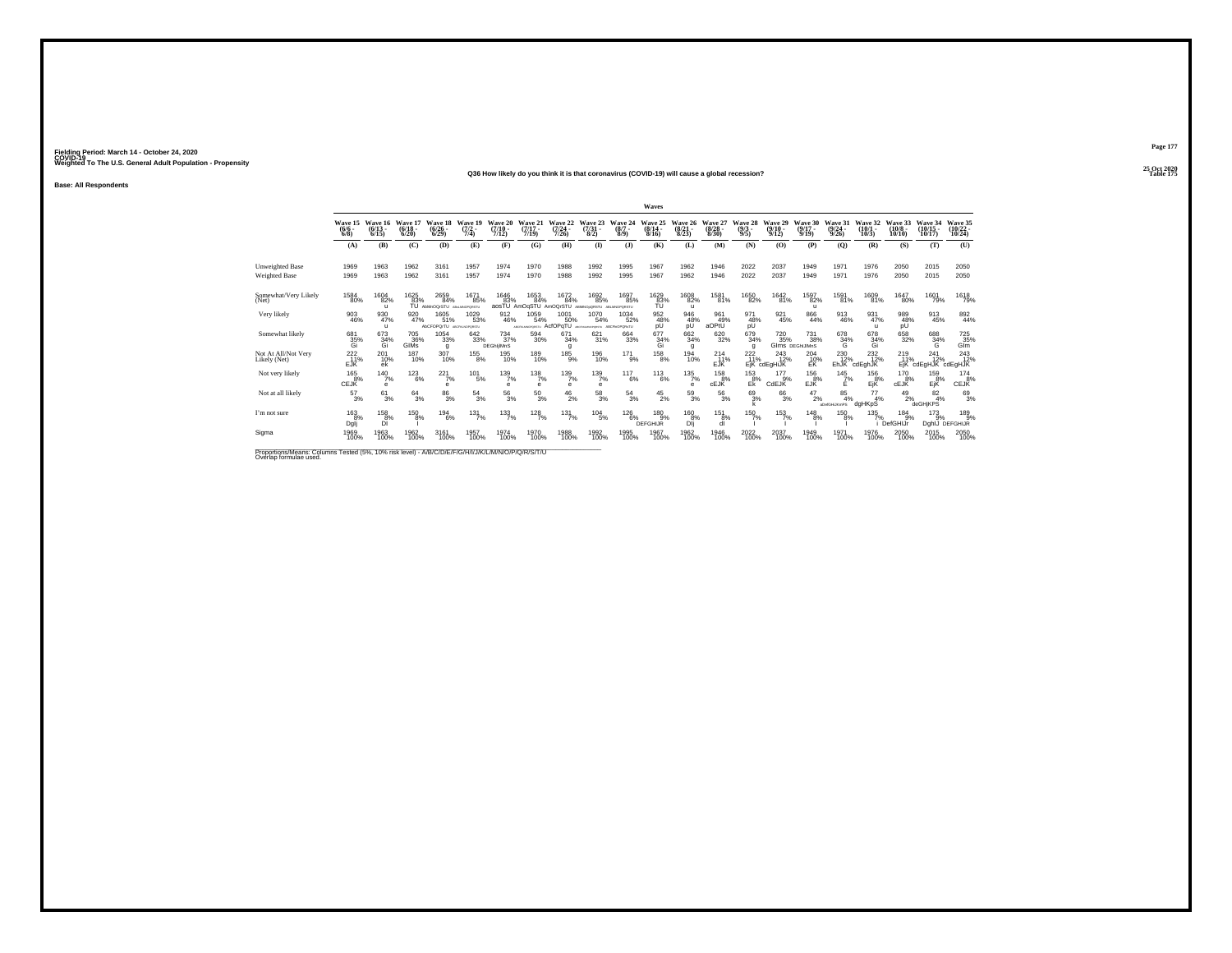#### **25 Oct 2020Q36 How likely do you think it is that coronavirus (COVID-19) will cause a global recession?Table 175 Table 175**

**Base: All Respondents**

|                                                                                                                              |                                      |                                      |                              |                                        |                                |                                      |                                       |                                  |                                              |                                     | Waves                           |                                  |                                 |                                |                                  |                                                        |                                  |                            |                               |                                        |                                    |
|------------------------------------------------------------------------------------------------------------------------------|--------------------------------------|--------------------------------------|------------------------------|----------------------------------------|--------------------------------|--------------------------------------|---------------------------------------|----------------------------------|----------------------------------------------|-------------------------------------|---------------------------------|----------------------------------|---------------------------------|--------------------------------|----------------------------------|--------------------------------------------------------|----------------------------------|----------------------------|-------------------------------|----------------------------------------|------------------------------------|
|                                                                                                                              | Wave 15<br>$\frac{(6/6 - 6)}{(6/8)}$ | Wave 16<br>$\binom{6/13}{6/15}$      | Wave 17<br>$(6/18 -$<br>6/20 | Wave 18<br>$\frac{(6/26 - 6)}{(6/29)}$ | Wave 19<br>$\frac{(7/2)}{7/4}$ | Wave 20<br>$(7/10 -$<br>7/12         | Wave 21<br>$(7/17 -$<br>7/19          | Wave 22<br>$\frac{(7/24)}{7/26}$ | Wave 23<br>$\frac{(7/31)}{8/2}$              | Wave 24<br>$(8/7 -$<br>8/9          | Wave 25<br>$(8/14 -$<br>8/16    | Wave 26<br>$\binom{8/21}{8/23}$  | Wave 27<br>$\binom{8/28}{8/30}$ | Wave 28<br>$\frac{(9/3)}{9/5}$ | Wave 29<br>$\frac{(9/10)}{9/12}$ | Wave 30<br>$\frac{(9/17)}{9/19}$                       | Wave 31<br>$\frac{(9/24)}{9/26}$ | Wave 32<br>(10/1)<br>10/3  | Wave 33<br>$(10/8 -$<br>10/10 | Wave 34<br>$(10/15 -$<br>10/17         | Wave 35<br>$\frac{(10/22)}{10/24}$ |
|                                                                                                                              | (A)                                  | (B)                                  | (C)                          | (D)                                    | (E)                            | (F)                                  | (G)                                   | (H)                              | $\bf(I)$                                     | $($ $)$                             | (K)                             | (L)                              | (M)                             | (N)                            | (O)                              | (P)                                                    | (Q)                              | (R)                        | (S)                           | (T)                                    | (U)                                |
| <b>Unweighted Base</b><br>Weighted Base                                                                                      | 1969<br>1969                         | 1963<br>1963                         | 1962<br>1962                 | 3161<br>3161                           | 1957<br>1957                   | 1974<br>1974                         | 1970<br>1970                          | 1988<br>1988                     | 1992<br>1992                                 | 1995<br>1995                        | 1967<br>1967                    | 1962<br>1962                     | 1946<br>1946                    | 2022<br>2022                   | 2037<br>2037                     | 1949<br>1949                                           | 1971<br>1971                     | 1976<br>1976               | 2050<br>2050                  | 2015<br>2015                           | 2050<br>2050                       |
| Somewhat/Very Likely<br>(Net)                                                                                                | $^{1584}_{\  \  \, 80\%}$            | $^{1604}_{\,\,82\%}$<br>$\mathbf{u}$ | 1625<br>83%<br>TÜ            | 2659<br>84%<br>AbMnOQrSTU              | 1671<br>85%<br>ABILMNOPORSTL   | 1646<br>83%<br>aosTU                 | 1653<br>84%<br>AmOgSTU                | 1672<br>84%<br>AmOQrSTU          | 1692<br>85%<br>ABIMNOpORSTU                  | 1697<br>85%<br><b>ABLI/NOPORSTU</b> | $^{1629}_{\substack{83\%\\70}}$ | $^{1608}_{82\%}$<br>$\mathbf{u}$ | 1581 <sub>%</sub>               | <sup>1650</sup> 82%            | <sup>1642</sup> 81%              | <sup>1597</sup> 82%<br>$\mathbf{u}$                    | <sup>1591</sup> 81%              | 1609<br>81%                | <sup>1647</sup> 80%           | <sup>1601</sup> 79%                    | 1618<br>79%                        |
| Very likely                                                                                                                  | 903<br>46%                           | 930<br>47%<br>$\mathbf{u}$           | 920<br>47%                   | 1605<br>51%<br><b>AbCFOPOrTU</b>       | 1029<br>53%<br>ABCFKLNOPORSTU  | 912<br>46%                           | 1059<br>54%<br>ACPIANOPOISTU ACFOPOTU | 1001<br>50%                      | 1070<br>54%<br>ARCHIMANOPORITY ABC/THOPORATU | 1034<br>52%                         | 952<br>48%<br>рÜ                | 946<br>48%<br>pÜ                 | 961<br>49%<br>aOPtU             | 971<br>48%<br>pÜ               | 921<br>45%                       | 866<br>44%                                             | 913<br>46%                       | 931<br>47%<br>$\mathbf{u}$ | 989<br>48%<br>pÜ              | 913<br>45%                             | 892<br>44%                         |
| Somewhat likely                                                                                                              | 681<br>35%<br>Gi                     | 673<br>34%<br>Gi                     | <sup>705</sup> 36%<br>GIMS   | 1054<br>33%<br>g                       | 642<br>33%                     | $^{734}_{37\%}$<br><b>DEGhlilMnS</b> | 594<br>30%                            | 671<br>34%<br>g                  | 621/31%                                      | $\substack{664 \\ 33\%}$            | 677<br>34%<br>Gi                | 662<br>34%<br>g                  | 620<br>32%                      | $679 \atop 34\%$<br>g          | <sup>720</sup> <sub>35%</sub>    | <sup>731</sup> <sub>38%</sub><br><b>GIMS DEGHJIMNS</b> | 678<br>34%<br>G                  | 678<br>34%<br>Gi           | 658<br>32%                    | 688<br>34%<br>G                        | 725%<br>Glm                        |
| Not At All/Not Very<br>Likely (Net)                                                                                          | $^{222}_{11\%}$<br>EJK               | 201<br>10%<br>ek                     | 187<br>10%                   | 307<br>10%                             | $^{155}_{8\%}$                 | 195<br>10%                           | 189<br>10%                            | $185_{9%}$                       | 196<br>10%                                   | $^{17}$ 1%                          | $^{158}_{8\%}$                  | 194<br>10%                       | $^{214}_{11\%}$<br>EJK          | $^{222}_{11\%}$                | $^{243}_{12\%}$<br>EjK cdEgHiJK  | 204<br>$E$ <sub>K</sub> <sup>%</sup>                   | 230<br>12%<br>EhJK <sup>"</sup>  | $^{232}_{12\%}$<br>cdEghJK | $^{219}_{11\%}$               | $^{241}_{12\%}$<br>EjK cdEgHJR cdEgHJR | $^{243}_{12\%}$                    |
| Not very likely                                                                                                              | 165<br>8%<br><b>CEJK</b>             | $\frac{140}{7%}$<br>$\bullet$        | $^{123}_{6\%}$               | 221<br>7%<br>e                         | $^{101}_{-5\%}$                | 139<br>7%<br>e                       | 138<br>7%<br>$\alpha$                 | $^{139}_{7\%}$<br>e              | $^{139}_{7\%}$<br>e                          | 117<br>6%                           | $^{113}_{6\%}$                  | 135<br>7%<br>e                   | 158<br>8%<br>cEJK               | 153<br>$E_{\rm K}^{8\%}$       | 177<br>9%<br>CdEJK               | 156<br>EJK                                             | 145<br>7%<br>F                   | 156<br>8%<br>EjŘ           | 170<br>8%<br>cEJK             | 159<br>EjK                             | 174<br>CEJK                        |
| Not at all likely                                                                                                            | $^{57}_{3\%}$                        | $^{61}_{3\%}$                        | $^{64}_{3\%}$                | $^{86}_{3%}$                           | $^{54}_{3\%}$                  | $^{56}_{3\%}$                        | $^{50}_{3\%}$                         | $^{46}_{2\%}$                    | $^{58}_{3\%}$                                | $^{54}_{3\%}$                       | $^{45}_{2\%}$                   | $^{59}_{3\%}$                    | $^{56}_{3\%}$                   | $^{69}_{3%}$                   | $^{66}_{3\%}$                    | $^{47}_{2\%}$                                          | $\frac{85}{4\%}$<br>aDefGHLKmPS  | $^{77}_{4\%}$<br>dgHKpS    | $^{49}_{2\%}$                 | $\frac{82}{4\%}$<br>deGHjKPS           | 693%                               |
| I'm not sure                                                                                                                 | 163<br>8%<br>Dglj                    | 158<br>8%<br>DÏ                      | 150<br>8%                    | 194<br>6%                              | 131<br>7%                      | $\frac{133}{7\%}$                    | 128<br>7%                             | 131<br>7%                        | 104<br>5%                                    | 126<br>6%                           | 180<br>9%<br><b>DEFGHIJR</b>    | 160<br>8%<br>Dli                 | 151<br>8%<br>dl                 | 150<br>7%                      | 153<br>7%                        | 148<br>8%                                              | 150<br>8%                        | 135                        | 184<br>9%<br>7%<br>i DefGHIJr | 173<br>9%<br>DghlJ                     | 189<br>9%<br>DEFGHIJR              |
| Sigma                                                                                                                        | 1969<br>100%                         | 1963<br>100%                         | 1962<br>100%                 | 3161<br>100%                           | 1957<br>100%                   | 1974<br>100%                         | 1970<br>100%                          | 1988<br>100%                     | 1992<br>100%                                 | 1995<br>100%                        | 1967<br>100%                    | 1962<br>100%                     | 1946<br>100%                    | 2022<br>100%                   | 2037<br>100%                     | 1949<br>100%                                           | 1971<br>100%                     | 1976<br>100%               | 2050<br>100%                  | 2015<br>100%                           | 2050<br>100%                       |
| Proportions/Means: Columns Tested (5%, 10% risk level) - A/B/C/D/E/F/G/H/I/J/K/L/M/N/O/P/Q/R/S/T/U<br>Overlap formulae used. |                                      |                                      |                              |                                        |                                |                                      |                                       |                                  |                                              |                                     |                                 |                                  |                                 |                                |                                  |                                                        |                                  |                            |                               |                                        |                                    |

**Page 177**25 Oct 2020<br>Table 175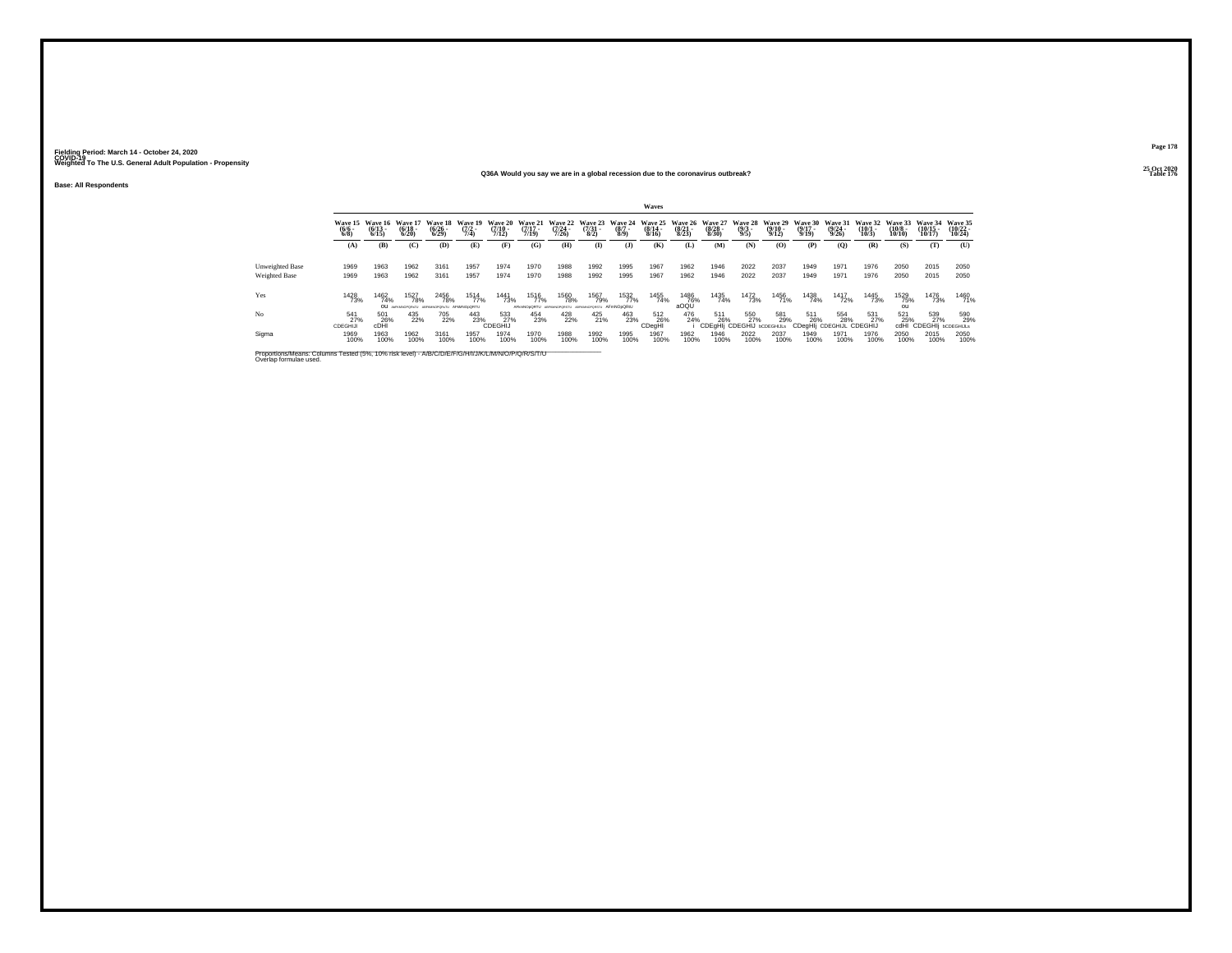**Base: All Respondents**

#### **25 Oct 2020Q36A Would you say we are in a global recession due to the coronavirus outbreak?Table 176 Table 176**

|                      | Waves                  |                                      |                                                          |                                        |                                |                                             |                                  |                                                                  |                          |                     |                                      |                       |                                          |                                                           |                              |                                        |                                                |                                 |                                        |                                  |                                |
|----------------------|------------------------|--------------------------------------|----------------------------------------------------------|----------------------------------------|--------------------------------|---------------------------------------------|----------------------------------|------------------------------------------------------------------|--------------------------|---------------------|--------------------------------------|-----------------------|------------------------------------------|-----------------------------------------------------------|------------------------------|----------------------------------------|------------------------------------------------|---------------------------------|----------------------------------------|----------------------------------|--------------------------------|
|                      | $\frac{(6/6)}{6/8}$    | Wave 15 Wave 16<br>$(6/13 -$<br>6/15 | Wave 17<br>$\frac{(6/18)}{6/20}$                         | <b>Wave 18</b><br>$\binom{6/26}{6/29}$ | Wave 19<br>$\frac{(7/2)}{7/4}$ | <b>Wave 20</b><br>$\frac{(7/10 - 7)}{7/12}$ | Wave 21<br>$\frac{(7/17)}{7/19}$ | Wave 22 Wave 23 Wave 24<br>$\frac{(7/24)}{7/26}$                 | $\frac{(7/31 - 8)}{8/2}$ | $\frac{(8/7)}{8/9}$ | Wave 25<br>$\frac{(8/14 - 8)}{8/16}$ | $\frac{(8/21)}{8/23}$ | Wave 26 Wave 27<br>$\frac{(8/28)}{8/30}$ | Wave 28 Wave 29<br>$\frac{(9/3)}{9/5}$                    | $\frac{(9/10 - 9/12)}{9/12}$ | Wave 30<br>$(9/17 -$<br>9/19           | <b>Wave 31</b><br>$\frac{(9/24 - 9/26)}{9/26}$ | Wave 32<br>$\binom{10/1}{10/3}$ | Wave 33<br>$\frac{(10/8 - 10)}{10/10}$ | Wave 34<br>$(10/15 -$<br>10/17   | Wave 35<br>$(10/22 -$<br>10/24 |
|                      | (A)                    | (B)                                  | (C)                                                      | (D)                                    | (E)                            | (F)                                         | (G)                              | (H)                                                              | $\bf{I}$                 | $\mathbf{J}$        | (K)                                  | Œ                     | (M)                                      | (N)                                                       | (0)                          | (P)                                    | (O)                                            | (R)                             | (S)                                    | (T)                              | $\sigma$                       |
| Unweighted Base      | 1969                   | 1963                                 | 1962                                                     | 3161                                   | 1957                           | 1974                                        | 1970                             | 1988                                                             | 1992                     | 1995                | 1967                                 | 1962                  | 1946                                     | 2022                                                      | 2037                         | 1949                                   | 1971                                           | 1976                            | 2050                                   | 2015                             | 2050                           |
| <b>Weighted Base</b> | 1969                   | 1963                                 | 1962                                                     | 3161                                   | 1957                           | 1974                                        | 1970                             | 1988                                                             | 1992                     | 1995                | 1967                                 | 1962                  | 1946                                     | 2022                                                      | 2037                         | 1949                                   | 1971                                           | 1976                            | 2050                                   | 2015                             | 2050                           |
| Yes                  | 1428<br>73%            | 1462<br>74%                          | 1527<br>78%<br>OU APRONOPORATU ABROINOPORATU AFMINOLORTU | <sup>2456</sup> 78%                    | 1514<br>77%                    | 1441<br>73%                                 | 1516<br>77%                      | <sup>1560</sup> 78%<br>AFkmNOsQRTU ABFIGINOPORSTU ABFIGINOPORSTU | 1567<br>79%              | 1532<br>AFmNOpQRtU  | 1455<br>74%                          | 1486<br>76%<br>aOQU   | 1435<br>74%                              | 1472<br>73%                                               | 1456<br>71%                  | 1438<br>74%                            | 1417<br>72%                                    | 1445<br>73%                     | 1529<br>75%                            | <sup>1476</sup> 73%              | 1460<br>71%                    |
| N <sub>o</sub>       | 541<br>27%<br>CDEGHIJI | 501<br>26%<br>cDH                    | 435<br>22%                                               | 705<br>22%                             | 443<br>23%                     | 533<br>27%<br>CDEGHIJ                       | 454<br>23%                       | 428<br>22%                                                       | 425<br>21%               | 463<br>23%          | 512<br>26%<br>CDeaHI                 | 476<br>24%            |                                          | 511 550 581<br>6 26% 27% 29%<br>CDEgHIj CDEGHIJ ьсоєсниць | 581<br>29%                   | 511<br>26%<br>CDegHIj CDEGHIJL CDEGHIJ | 554<br>28%                                     | 531<br>27%                      | 521<br>25%<br>cdHI                     | 539<br>27%<br>CDEGHIi bCDEGHIJLS | 590<br>29%                     |
| Sigma                | 1969<br>100%           | 1963<br>100%                         | 1962<br>100%                                             | 3161<br>100%                           | 1957<br>100%                   | 1974<br>100%                                | 1970<br>100%                     | 1988<br>100%                                                     | 1992<br>100%             | 1995<br>100%        | 1967<br>100%                         | 1962<br>100%          | 1946<br>100%                             | 2022<br>100%                                              | 2037<br>100%                 | 1949<br>100%                           | 1971<br>100%                                   | 1976<br>100%                    | 2050<br>100%                           | 2015<br>100%                     | 2050<br>100%                   |

Proportions/Means: Columns Tested (5%, 10% risk level) - A/B/C/D/E/F/G/H/I/J/K/L/M/N/O/P/Q/R/S/T/U<br>Overlap formulae used.

**Page 178**25 Oct 2020<br>Table 176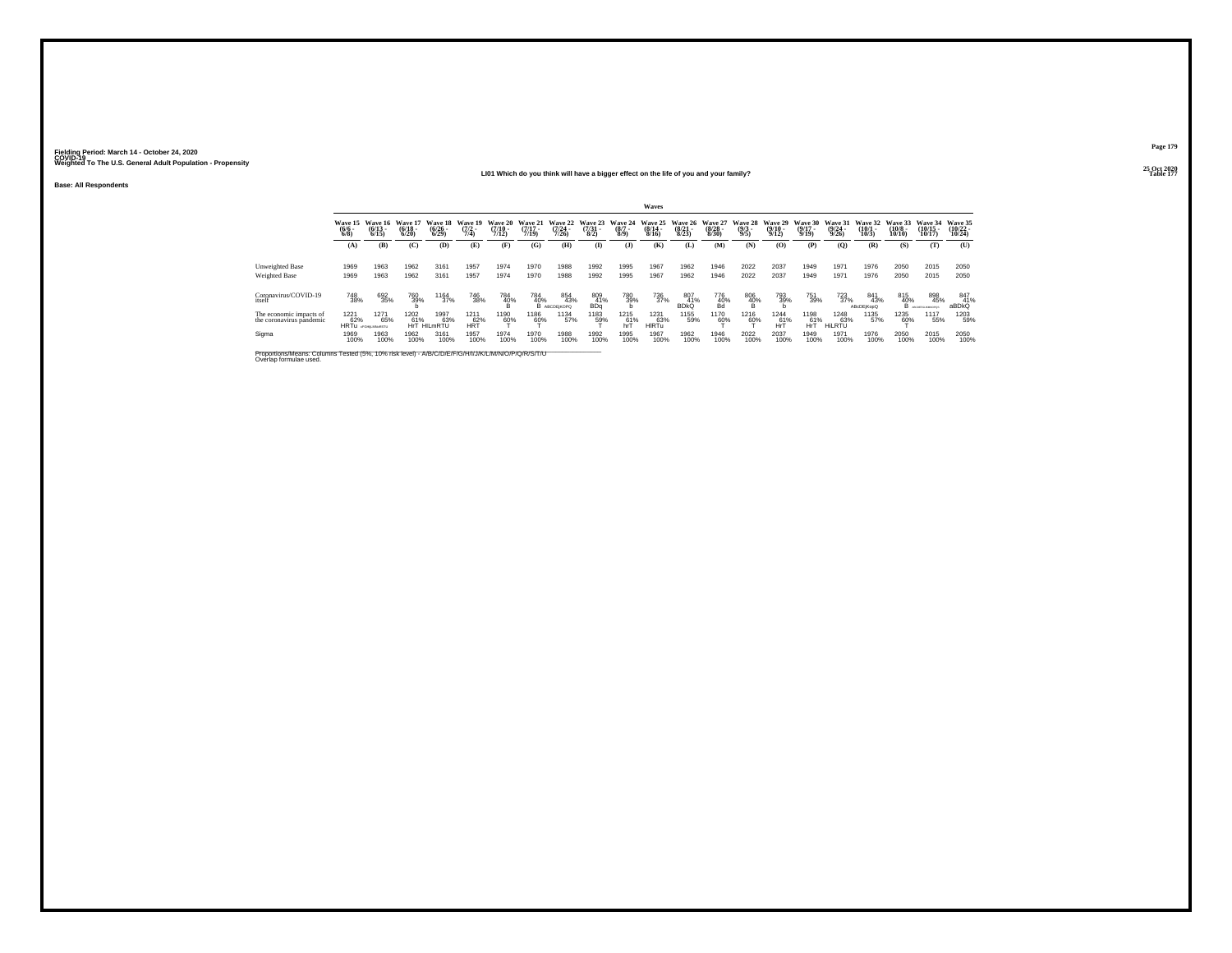#### **25 Oct 2020LI01 Which do you think will have a bigger effect on the life of you and your family?**

**Base: All Respondents**

|                                                                                                                              | Waves                         |                                      |                              |                                        |                                |                                      |                                  |                                  |                                      |                               |                                  |                                  |                                      |                                |                                         |                              |                                  |                                  |                                   |                                |                                |
|------------------------------------------------------------------------------------------------------------------------------|-------------------------------|--------------------------------------|------------------------------|----------------------------------------|--------------------------------|--------------------------------------|----------------------------------|----------------------------------|--------------------------------------|-------------------------------|----------------------------------|----------------------------------|--------------------------------------|--------------------------------|-----------------------------------------|------------------------------|----------------------------------|----------------------------------|-----------------------------------|--------------------------------|--------------------------------|
|                                                                                                                              | Wave 15<br>$\binom{6/6}{6/8}$ | Wave 16<br>$\frac{(6/13)}{6/15}$     | Wave 17<br>$(6/18 -$<br>6/20 | Wave 18<br>$\frac{(6/26 - 6)}{(6/29)}$ | Wave 19<br>$\frac{(7/2)}{7/4}$ | Wave 20<br>$\frac{(7/10 - 7)}{7/12}$ | Wave 21<br>$\frac{(7/17)}{7/19}$ | Wave 22<br>$\frac{(7/24)}{7/26}$ | Wave 23<br>$\frac{(7/31)}{8/2}$      | Wave 24<br>$\binom{8/7}{8/9}$ | Wave 25<br>$\frac{(8/14)}{8/16}$ | Wave 26<br>$\frac{(8/21)}{8/23}$ | Wave 27<br>$\frac{(8/28 - 8)}{8/30}$ | Wave 28<br>$\frac{(9/3)}{9/5}$ | Wave 29<br>$\frac{(9/10 - 9/12)}{9/12}$ | Wave 30<br>$(9/17 -$<br>9/19 | Wave 31<br>$\frac{(9/24)}{9/26}$ | Wave 32<br>$\frac{(10/1)}{10/3}$ | Wave 33<br>$\frac{(10/8)}{10/10}$ | Wave 34<br>$(10/15 -$<br>10/17 | Wave 35<br>$(10/22 -$<br>10/24 |
|                                                                                                                              | (A)                           | (B)                                  | (C)                          | (D)                                    | (E)                            | (F)                                  | (G)                              | (H)                              | $\bf(I)$                             | (1)                           | (K)                              | (L)                              | (M)                                  | (N)                            | (O)                                     | (P)                          | (Q)                              | (R)                              | (S)                               | (T)                            | (U)                            |
| Unweighted Base<br><b>Weighted Base</b>                                                                                      | 1969<br>1969                  | 1963<br>1963                         | 1962<br>1962                 | 3161<br>3161                           | 1957<br>1957                   | 1974<br>1974                         | 1970<br>1970                     | 1988<br>1988                     | 1992<br>1992                         | 1995<br>1995                  | 1967<br>1967                     | 1962<br>1962                     | 1946<br>1946                         | 2022<br>2022                   | 2037<br>2037                            | 1949<br>1949                 | 1971<br>1971                     | 1976<br>1976                     | 2050<br>2050                      | 2015<br>2015                   | 2050<br>2050                   |
| Coronavirus/COVID-19<br>itself                                                                                               | <sup>748</sup> 38%            | 692<br>35%                           | 760<br>39%                   | 1164<br>37%                            | <sup>746</sup> 38%             | $^{784}_{~40\%}$                     | 784<br>40%                       | 854<br>43%<br>В АВСОЕ КОРО       | 809<br>41%<br><b>BD</b> <sub>a</sub> | 780<br>39%                    | 736<br>37%                       | 807<br>41%<br><b>BDKQ</b>        | 776<br>40%<br>Bd                     | $^{806}_{40\%}$                | 793<br>39%                              | 751<br>39%                   | $^{723}_{37\%}$                  | 841<br>43%<br>ABcDEiKooQ         | 815<br>40%<br>в                   | 898<br>45%<br>OLIMANICO DI     | 847<br>41%<br>aBDkQ            |
| The economic impacts of<br>the coronavirus pandemic                                                                          | 1221                          | 1271<br>65<br>HRTu drawingstu<br>65% | 1202<br>61%                  | 1997<br>63%<br>HrT HILmRTU             | 1211<br>HRT                    | 1190<br>60%                          | 1186<br>60%                      | 1134<br>57%                      | 1183<br>59%                          | 1215<br>hrT                   | 1231<br>HIRTu                    | 1155<br>59%                      | 1170<br>60%                          | 1216<br>60%                    | 1244<br>$hr^{\frac{61}{6}}$             | 1198<br>hrT                  | 1248<br>63%<br>HiLRTŰ            | 1135<br>57%                      | 1235<br>60%                       | 1117<br>55%                    | 1203<br>59%                    |
| Sigma                                                                                                                        | 1969<br>100%                  | 1963<br>100%                         | 1962<br>100%                 | 3161<br>100%                           | 1957<br>100%                   | 1974<br>100%                         | 1970<br>100%                     | 1988<br>100%                     | 1992<br>100%                         | 1995<br>100%                  | 1967<br>100%                     | 1962<br>100%                     | 1946<br>100%                         | 2022<br>100%                   | 2037<br>100%                            | 1949<br>100%                 | 1971<br>100%                     | 1976<br>100%                     | 2050<br>100%                      | 2015<br>100%                   | 2050<br>100%                   |
| Proportions/Means: Columns Tested (5%, 10% risk level) - A/B/C/D/E/F/G/H/I/J/K/L/M/N/O/P/Q/R/S/T/U<br>Overlap formulae used. |                               |                                      |                              |                                        |                                |                                      |                                  |                                  |                                      |                               |                                  |                                  |                                      |                                |                                         |                              |                                  |                                  |                                   |                                |                                |

**Page 179**25 Oct 2020<br>Table 177

**Table 177 Table 177**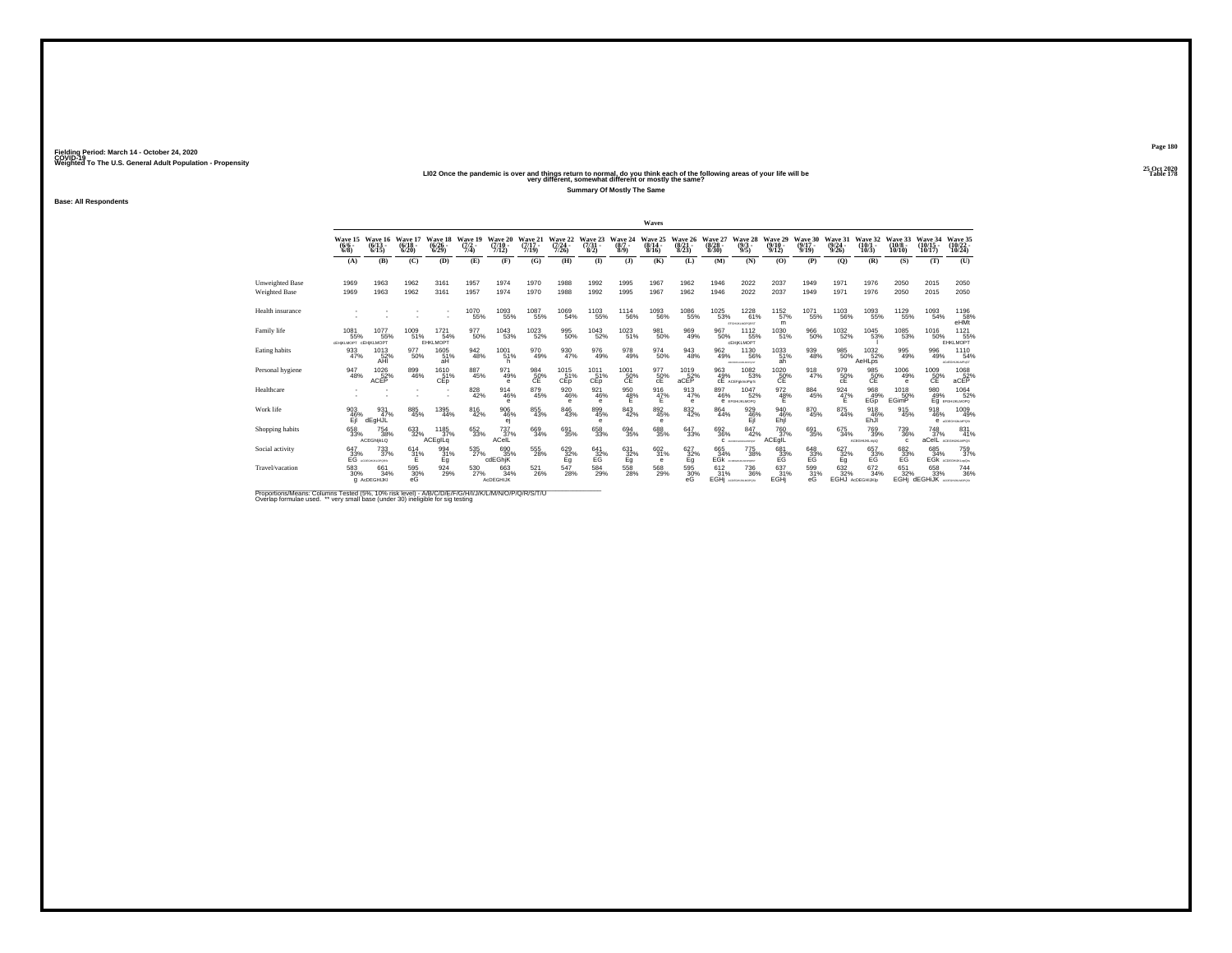25 Oct 2020<br>LIO2 Once the pandemic is over and things return to normal, do you think each of the following areas of your life will be<br>very different, somewhat different or mostly the same?

**Summary Of Mostly The Same**

**Fielding Period: March 14 - October 24, 2020 COVID-19 Weighted To The U.S. General Adult Population - Propensity**

**Base: All Respondents**

|                                         |                                             |                                    |                              |                                      |                             |                               |                                   |                              |                              |                                       | Waves                               |                              |                              |                                                 |                              |                              |                              |                                       |                               |                                                            |                                                      |
|-----------------------------------------|---------------------------------------------|------------------------------------|------------------------------|--------------------------------------|-----------------------------|-------------------------------|-----------------------------------|------------------------------|------------------------------|---------------------------------------|-------------------------------------|------------------------------|------------------------------|-------------------------------------------------|------------------------------|------------------------------|------------------------------|---------------------------------------|-------------------------------|------------------------------------------------------------|------------------------------------------------------|
|                                         | Wave 15<br>$(6/6 -$<br>6/8                  | Wave 16<br>$(6/13 -$<br>6/15       | Wave 17<br>$(6/18 -$<br>6/20 | Wave 18<br>$(6/26 -$<br>6/29         | Wave 19<br>$(7/2 -$<br>7/4) | Wave 20<br>$(7/10 -$<br>7/12) | Wave 21<br>$(7/17 -$<br>7/19      | Wave 22<br>$(7/24 -$<br>7/26 | Wave 23<br>$(7/31 -$<br>8/2) | Wave 24<br>$(8/7 -$<br>$8/9$ )        | Wave 25<br>$(8/14 -$<br>8/16        | Wave 26<br>$(8/21 -$<br>8/23 | Wave 27<br>$(8/28 -$<br>8/30 | Wave 28<br>$(9/3 -$<br>9/5                      | Wave 29<br>$(9/10 -$<br>9/12 | Wave 30<br>$(9/17 -$<br>9/19 | Wave 31<br>$(9/24 -$<br>9/26 | Wave 32<br>$(10/1 -$<br>10/3          | Wave 33<br>$(10/8 -$<br>10/10 | Wave 34<br>$(10/15 -$<br>10/17                             | Wave 35<br>$\frac{(10/22)}{10/24}$                   |
|                                         | (A)                                         | (B)                                | (C)                          | (D)                                  | (E)                         | (F)                           | (G)                               | (H)                          | $($ $\Gamma$                 | $($ $)$                               | (K)                                 | (L)                          | (M)                          | (N)                                             | (0)                          | (P)                          | $\mathbf{Q}$                 | (R)                                   | (S)                           | (T)                                                        | (U)                                                  |
| <b>Unweighted Base</b><br>Weighted Base | 1969<br>1969                                | 1963<br>1963                       | 1962<br>1962                 | 3161<br>3161                         | 1957<br>1957                | 1974<br>1974                  | 1970<br>1970                      | 1988<br>1988                 | 1992<br>1992                 | 1995<br>1995                          | 1967<br>1967                        | 1962<br>1962                 | 1946<br>1946                 | 2022<br>2022                                    | 2037<br>2037                 | 1949<br>1949                 | 1971<br>1971                 | 1976<br>1976                          | 2050<br>2050                  | 2015<br>2015                                               | 2050<br>2050                                         |
| Health insurance                        |                                             |                                    |                              | ٠                                    | 1070<br>55%                 | 1093<br>55%                   | 1087<br>55%                       | 1069<br>54%                  | 1103<br>55%                  | <sup>1114</sup> 56%                   | 1093<br>56%                         | $^{1086}_{-55\%}$            | <sup>1025</sup> 53%          | $^{1228}_{61\%}$<br>EFGHLHLMOPORST              | 1152<br>57%<br>m             | 1071<br>55%                  | <sup>1103</sup> 56%          | 1093<br>55%                           | 1129<br>55%                   | 1093<br>54%                                                | 1196<br>58%<br>eHMt                                  |
| Family life                             | 1081<br>55%<br><b>GEHIKLMOPT GEHIKLMOPT</b> | 1077<br>55%                        | 1009<br>51%                  | 1721<br>54%<br>EHKLMOPT              | 977<br>50%                  | 1043<br>53%                   | 1023<br>52%                       | 995<br>50%                   | 1043<br>52%                  | 1023<br>51%                           | 981<br>50%                          | 969<br>49%                   | 967<br>50%                   | 1112<br>55%<br>CEHIKLMOPT                       | 1030<br>51%                  | 966<br>50%                   | 1032<br>52%                  | 1045<br>53%                           | 1085<br>53%                   | 1016<br>50%                                                | 1121<br>55%<br>EHKLMOPT                              |
| Eating habits                           | $\frac{933}{47\%}$                          | $^{1013}_{-52\%}$<br>AHI           | 977<br>50%                   | 1605<br>51%<br>aH                    | $\underset{48\%}{^{942}}$   | $^{1001}_{51\%}$<br>h         | 970<br>49%                        | 930<br>47%                   | 976<br>49%                   | $\substack{978 \\ 49\%}$              | 974<br>50%                          | $\frac{943}{48\%}$           | 962<br>49%                   | 1130<br>56%<br>ARCOFFONDATIONSET                | $^{1033}_{51\%}$<br>ah       | $^{939}_{48\%}$              | 985<br>50%                   | $^{1032}_{52\%}$<br>AeHLps            | 995<br>49%                    | $\underset{49\%}{^{996}}$                                  | 1110<br>54%<br>ACIDEGHLIKLMPUST                      |
| Personal hygiene                        | 947<br>48%                                  | $^{1026}_{52\%}$<br>ACEP           | 899<br>46%                   | $^{1610}_{51\%}$<br>CEp <sup>1</sup> | 887<br>45%                  | 971<br>49%<br>e               | $^{984}_{\substack{50\%\\C\in} }$ | $^{1015}_{51\%}$<br>CEp      | 1011<br>51%<br>CEp           | 1001<br>C <sub>E</sub> <sup>50%</sup> | $^{977}_{\substack{50\%\\ \rm cE}}$ | 1019<br>52%<br>aCEP          | 963<br>49%<br>cE             | 1082<br>53%<br>ACEFgkmoPqrS                     | $^{1020}_{-50\%}$            | 918<br>47%                   | $^{979}_{50\%}$              | $^{985}_{-50\%}$                      | 1006<br>49%<br>e              | $^{1009}_{\hphantom{1000}50\%}_{\hphantom{100} \hbox{CE}}$ | $\begin{array}{c}\n1068 \\ 52% \\ acEP\n\end{array}$ |
| Healthcare                              |                                             |                                    |                              |                                      | 828<br>42%                  | 914<br>46%<br>е               | 879<br>45%                        | 920<br>46%<br>е              | 921<br>46%<br>$\mathbf e$    | 950<br>48%                            | 916<br>47%<br>Е                     | 913<br>47%<br>e              | 897<br>46%                   | 1047<br>52%<br>В ЕГОНЦКLМОРО                    | $\frac{972}{48\%}$           | 884<br>45%                   | $\frac{924}{47\%}$           | 968<br>49%<br>EGp                     | 1018<br>50%<br>EGimP          | 980<br>49%<br>Eq                                           | 1064<br>52%<br>EFGHLKLMOPO                           |
| Work life                               | 903<br>46%<br>Ejl                           | 931<br>47%<br>dEgHJL               | 885<br>45%                   | 1395<br>44%                          | $\substack{816 \\ 42\%}$    | 906<br>46%<br>ej              | 855<br>43%                        | $\substack{846 \\ 43\%}$     | 899<br>45%<br>е              | 843<br>42%                            | 892<br>45%<br>е                     | $\substack{832 \\ 42\%}$     | 864<br>44%                   | 929<br>46%<br>Eil                               | 940<br>46%<br>Ehjl           | 870<br>45%                   | 875<br>44%                   | 918<br>46%<br>EhJI                    | 915<br>45%                    | 918<br>46%                                                 | 1009<br>49%<br><b>е</b> «совсиммино»                 |
| Shopping habits                         | 658<br>33%                                  | 754<br>38%<br><b>ACEGhlikLQ</b>    | 633<br>32%                   | 1185<br>37%<br>ACEgILq               | 652<br>33%                  | 737<br>37%<br>ACelL           | 669<br>34%                        | 691<br>35%                   | 658<br>33%                   | 694<br>35%                            | 688<br>35%                          | 647<br>33%                   | 692<br>36%<br>$\mathbf{C}$   | 847<br>42%<br>ANTERONA NO MONTEE                | 760<br>37%<br>ACEgIL         | 691<br>35%                   | 675<br>34%                   | 769<br>39%<br>ACEGHIJKLmpQ            | 739<br>36%<br>$\mathbf{C}$    | 748<br>37%<br>aCelL                                        | 831<br>41%<br>ACDGHUKLMPGS                           |
| Social activity                         | 647<br>33%<br>EG                            | $^{733}_{37\%}$<br>ACDEGHLALOPORS: | 614<br>31%                   | 994 31%<br>Eg                        | $^{535}_{\ 27\%}$           | 690<br>35%<br>cdEGhjK         | 555<br>28%                        | 629 32%<br>Eq                | 641<br>32%<br>EG             | 631<br>32%<br>Eg                      | $\frac{602}{31\%}$<br>е             | 627<br>32%<br>Eg             | 665<br>34%<br>EGK            | $^{775}_{38\%}$<br>ACREDIANAMOROMET             | 681<br>33%<br>EG             | 648<br>33%<br>EG             | 627<br>32%<br>Eg             | 657<br>33%<br>EG                      | 6823%<br>EG                   | $685 \over 34\%$                                           | 759<br>37%<br>EGK ACDEGALACAODS                      |
| Travel/vacation                         | 583<br>30%                                  | 661<br>34%<br><b>Q</b> AcDEGHIJKI  | 595<br>30%<br>AG             | 924<br>29%                           | 530<br>27%                  | 663<br>34%<br>AcDEGHIJK       | $^{521}_{26\%}$                   | 547<br>28%                   | 584<br>29%                   | 558                                   | 568<br>29%                          | 595 30%<br>eG                | 612<br>31%                   | $\substack{736 \\ 36\%}$<br>EGHi ADDGALALANDRON | 637<br>31%<br>EGHi           | 599<br>31%<br>eG             | 632 %                        | 672<br>34%<br><b>EGHJ</b> AdDEGHIJKID | 651<br>32%                    | 658<br>33%<br>EGHI dEGHIJK ADEGRANANCEGE                   | 744<br>36%                                           |

Proportions/Means: Columns Tested (5%, 10% risk level) - A/B/C/D/E/F/G/H/I/J/K/L/M/N/O/P/Q/R/S/T/U<br>Overlap formulae used. \*\* very small base (under 30) ineligible for sig testing

**Page 180**25 Oct 2020<br>Table 178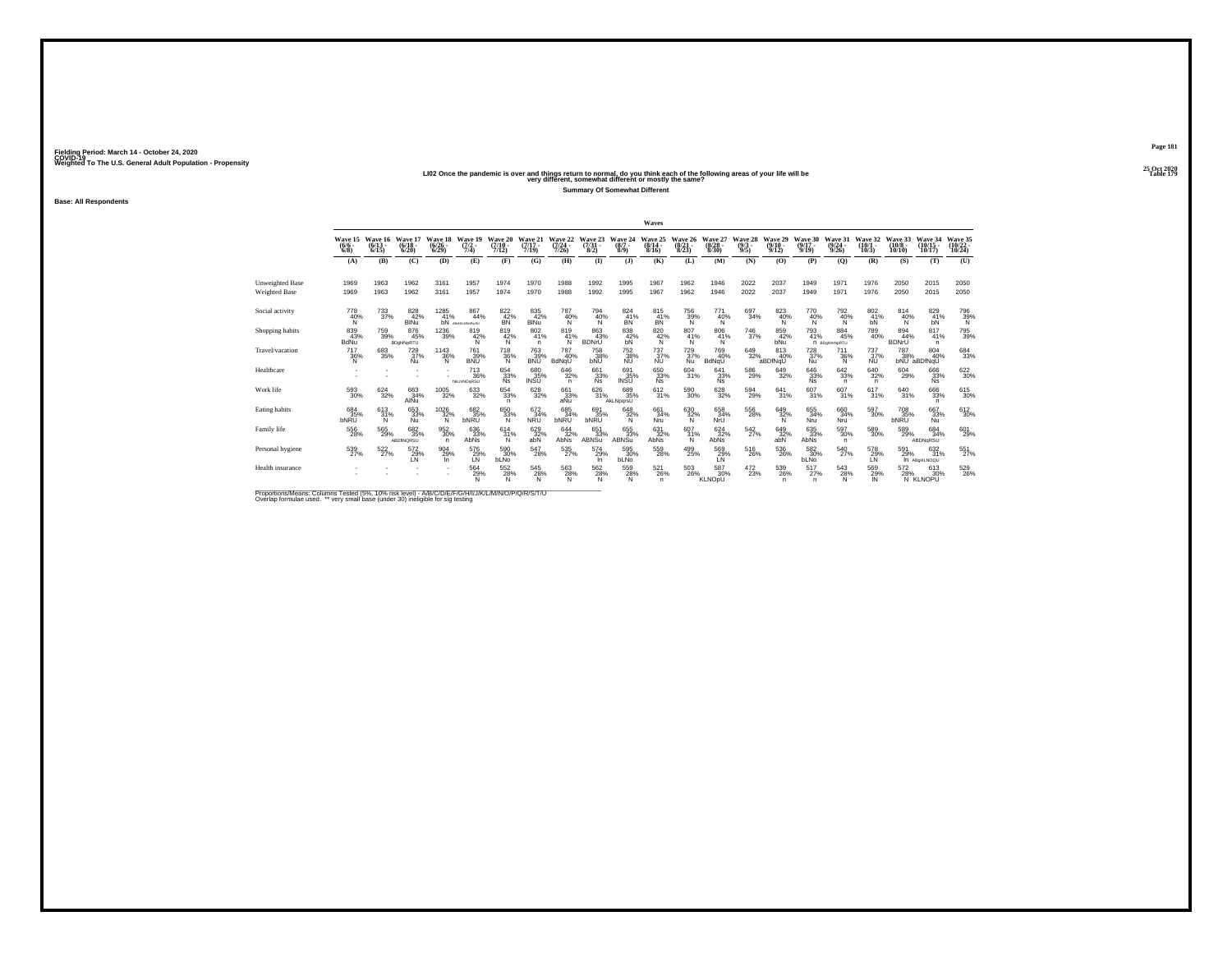**Base: All Respondents**

### 25 Oct 2020<br>LIO2 Once the pandemic is over and things return to normal, do you think each of the following areas of your life will be<br>very different, somewhat different or mostly the same?

**Summary Of Somewhat Different**

**Page 181**25 Oct 2020<br>Table 179

|                      |                            |                              |                              |                                 |                               |                              |                                             |                              |                                 |                                               | Waves                           |                                       |                                        |                                |                              |                              |                             |                              |                               |                                          |                    |
|----------------------|----------------------------|------------------------------|------------------------------|---------------------------------|-------------------------------|------------------------------|---------------------------------------------|------------------------------|---------------------------------|-----------------------------------------------|---------------------------------|---------------------------------------|----------------------------------------|--------------------------------|------------------------------|------------------------------|-----------------------------|------------------------------|-------------------------------|------------------------------------------|--------------------|
|                      | Wave 15<br>$(6/6 -$<br>6/8 | Wave 16<br>$(6/13 -$<br>6/15 | Wave 17<br>$(6/18 -$<br>6/20 | Wave 18<br>$\binom{6/26}{6/29}$ | Wave 19<br>$(7/2 -$<br>7/4    | Wave 20<br>$(7/10 -$<br>7/12 | Wave 21<br>$(7/17 -$<br>7/19                | Wave 22<br>$(7/24 -$<br>7/26 | Wave 23<br>$\frac{(7/31)}{8/2}$ | Wave 24<br>$(8/7 -$<br>8/9                    | Wave 25<br>$(8/14 -$<br>8/16    | Wave 26<br>$(8/21 -$<br>8/23          | Wave 27<br>$\binom{8/28}{8/30}$        | Wave 28<br>$\frac{(9/3)}{9/5}$ | Wave 29<br>$(9/10 -$<br>9/12 | Wave 30<br>$(9/17 -$<br>9/19 | Wave 31<br>(9/24)<br>9/26   | Wave 32<br>$(10/1 -$<br>10/3 | Wave 33<br>$(10/8 -$<br>10/10 | Wave 34<br>$(10/15 -$<br>10/17           | Wave 35<br>10/24   |
|                      | (A)                        | (B)                          | (C)                          | (D)                             | (E)                           | (F)                          | (G)                                         | (H)                          | $\mathbf{I}$                    | $\mathbf{I}$                                  | (K)                             | (L)                                   | (M)                                    | (N)                            | (O)                          | (P)                          | (O)                         | (R)                          | (S)                           | (T)                                      | (U)                |
| Unweighted Base      | 1969                       | 1963                         | 1962                         | 3161                            | 1957                          | 1974                         | 1970                                        | 1988                         | 1992                            | 1995                                          | 1967                            | 1962                                  | 1946                                   | 2022                           | 2037                         | 1949                         | 1971                        | 1976                         | 2050                          | 2015                                     | 2050               |
| <b>Weighted Base</b> | 1969                       | 1963                         | 1962                         | 3161                            | 1957                          | 1974                         | 1970                                        | 1988                         | 1992                            | 1995                                          | 1967                            | 1962                                  | 1946                                   | 2022                           | 2037                         | 1949                         | 1971                        | 1976                         | 2050                          | 2015                                     | 2050               |
| Social activity      | 778<br>40%<br>N            | $^{733}_{37\%}$              | 828<br>42%<br><b>BINu</b>    | 1285<br>41%<br>bN               | 867<br>44%<br>ABdHLMNoParSU   | 822 42%<br><b>BN</b>         | 835<br>42%<br><b>BINu</b>                   | 787<br>40%<br>Ñ              | 794<br>40%<br>N                 | $\frac{824}{41\%}$<br>BN                      | $\frac{815}{41\%}$<br><b>BN</b> | 756<br>39%<br>Ñ                       | 771<br>40%<br>N                        | 697<br>34%                     | 823<br>40%<br>N              | 770<br>40%<br>N              | 792%<br>N                   | $\frac{802}{41\%}$<br>bN     | 814<br>40%<br>N               | $\frac{829}{41\%}$<br>bN                 | $\frac{796}{39\%}$ |
| Shopping habits      | 839<br>43%<br>BdNu         | 759<br>39%                   | 876<br>45%<br>BDghlNpRTU     | $^{1236}_{\phantom{1}39\%}$     | 819<br>42%                    | 819<br>42%<br>N              | 802<br>41%<br>n                             | 819<br>41%<br>Ñ              | 863<br>43%<br><b>BDNrU</b>      | 838<br>42%<br>bN                              | 820<br>42%<br>N                 | $\frac{807}{41\%}$<br>N               | 806<br>41%<br>N                        | $^{746}_{37\%}$                | 859<br>42%<br><b>bNu</b>     | 793<br>41%                   | 884<br>45%<br>n BDghimNpRTU | 789<br>40%                   | 894<br>44%<br><b>BDNrU</b>    | 817<br>41%<br>n                          | 795<br>39%         |
| Travel/vacation      | 717<br>36%<br>N            | 683<br>35%                   | 729<br>37%<br><b>Nu</b>      | 1143<br>36%<br>Ñ                | 761<br>39%<br><b>BNU</b>      | <sup>718</sup> 36%<br>N      | <sup>763</sup> <sub>39%</sub><br><b>BNU</b> | 787<br>40%<br>BdNqU          | 758<br>38%<br><b>bNU</b>        | 752<br>38%<br><b>NU</b>                       | $^{737}_{37\%}$<br><b>NU</b>    | $^{729}_{37\%}$<br><b>Nu</b>          | <sup>769</sup> <sub>40%</sub><br>BdNqU | $649 \over 32\%$               | 813<br>40%<br>aBDfNqU        | $^{728}_{37\%}$<br>Nu        | 711<br>36%<br>N             | $^{737}_{37\%}$<br><b>NU</b> | 787<br>38%                    | $\frac{804}{40\%}$<br>bNU aBDfNqU        | 684<br>33%         |
| Healthcare           |                            |                              |                              |                                 | $^{713}_{36\%}$<br>hkLmNOgRSU | 654<br>33%<br><b>Ns</b>      | 680<br>35%<br>INSU                          | 646<br>32%<br>n              | 661<br>33%<br><b>Ns</b>         | $\overset{691}{\underset{\text{INSU}}{35\%}}$ | 650<br>33%<br>Ns                | $^{604}_{31\%}$                       | 641<br>33%<br><b>Ns</b>                | $^{586}_{29\%}$                | 649<br>32%                   | 646<br>33%<br>Ñs.            | $642_{33\%}$<br>n           | $\substack{640\\32\%}$<br>n  | 604<br>29%                    | 666<br>33%<br><b>Ns</b>                  | 622<br>30%         |
| Work life            | $^{593}_{\ 30\%}$          | 624<br>32%                   | 663<br>34%<br>AIÑu           | $\underset{32\%}{^{1005}}$      | 633<br>32%                    | 654<br>33%<br>n              | 628<br>32%                                  | 661<br>$\frac{33\%}{aNu}$    | 626<br>31%                      | 689<br>35%<br>AkLNpgrsU                       | $\frac{612}{31\%}$              | 590<br>30%                            | 628<br>32%                             | 594<br>29%                     | 641<br>31%                   | 607<br>31%                   | 607<br>31%                  | 617<br>31%                   | 640<br>31%                    | 666<br>33%<br>$\mathsf{n}$               | 615<br>30%         |
| Eating habits        | 684<br>35%<br><b>bNRU</b>  | 613/31%<br>N                 | 653 33%<br>Nu                | $^{1026}_{32\%}$<br>N           | 682<br>35%<br>bNRU            | 650<br>33%<br>N              | 672 34%<br><b>NRU</b>                       | 685<br>34%<br>bNRU           | 691<br>35%<br><b>bNRU</b>       | 648<br>32%<br>N                               | 661<br>34%<br>Nru               | 630<br>32%<br>N                       | 658<br>34%<br>NrU                      | $^{556}_{28\%}$                | 649<br>32%<br>N              | 655<br>34%<br>Nru            | 66034%<br>Nru               | $^{597}_{30\%}$              | <sup>708</sup> 35%<br>bNRU    | 667<br>33%<br>Nu                         | 612<br>30%         |
| Family life          | 556<br>28%                 | 565<br>29%                   | 682<br>35%<br>ABDINQRSU      | 952<br>30%<br>n                 | 636<br>33%<br>AbNs            | 614<br>31%<br>N.             | 629<br>32%<br>abN                           | 644<br>32%<br>AbNs           | 651<br>33%<br><b>ABNSu</b>      | 655<br>33%<br>ABNSu                           | 631<br>32%<br>AbNs              | 607<br>31%<br>N                       | 624<br>32%<br>AbNs                     | 542<br>27%                     | 649<br>32%<br>abN            | 635<br>33%<br>AbNs           | 597<br>30%<br>n.            | 589<br>30%                   | 589<br>29%                    | 684<br>34%<br>ABDNqRSU                   | 601<br>29%         |
| Personal hygiene     | 539<br>27%                 | 522%                         | 572<br>29%<br>I N            | 904<br>29%<br>In.               | 576<br>29%<br>LN              | 590 30%<br>bLNo              | 547<br>28%                                  | 535<br>27%                   | 574<br>29%<br>In.               | 595<br>30%<br><b>bLNo</b>                     | 559<br>28%                      | 499<br>25%                            | 569%<br>LŃ                             | 516<br>26%                     | $^{536}_{\ 26\%}$            | 582 30%<br>bLNo              | 540<br>27%                  | 578<br>29%<br>LŃ             | 591<br>29%                    | $\substack{632 \\ 31\%}$<br>In ABGHLNOQU | 551%               |
| Health insurance     |                            |                              |                              |                                 | 564<br>29%<br>N               | 552<br>28%<br>N.             | $^{545}_{28\%}$                             | 563<br>28%<br>Ñ              | 562<br>28%<br>N                 | 559<br>28%<br>Ñ                               | $^{521}_{26\%}$<br>n            | $^{503}_{\phantom{1}\phantom{1}26\%}$ | 587<br>30%<br>KLNOpU                   | $^{472}_{23\%}$                | 539<br>26%<br>n              | 517<br>27%<br>n              | 543<br>28%<br>N             | 569<br>29%<br>IN             | 572<br>28%                    | 613<br>30%<br>N KLNOPU                   | 529<br>26%         |

Proportions/Means: Columns Tested (5%, 10% risk level) - A/B/C/D/E/F/G/H/I/J/K/L/M/N/O/P/Q/R/S/T/U<br>Overlap formulae used. \*\* very small base (under 30) ineligible for sig testing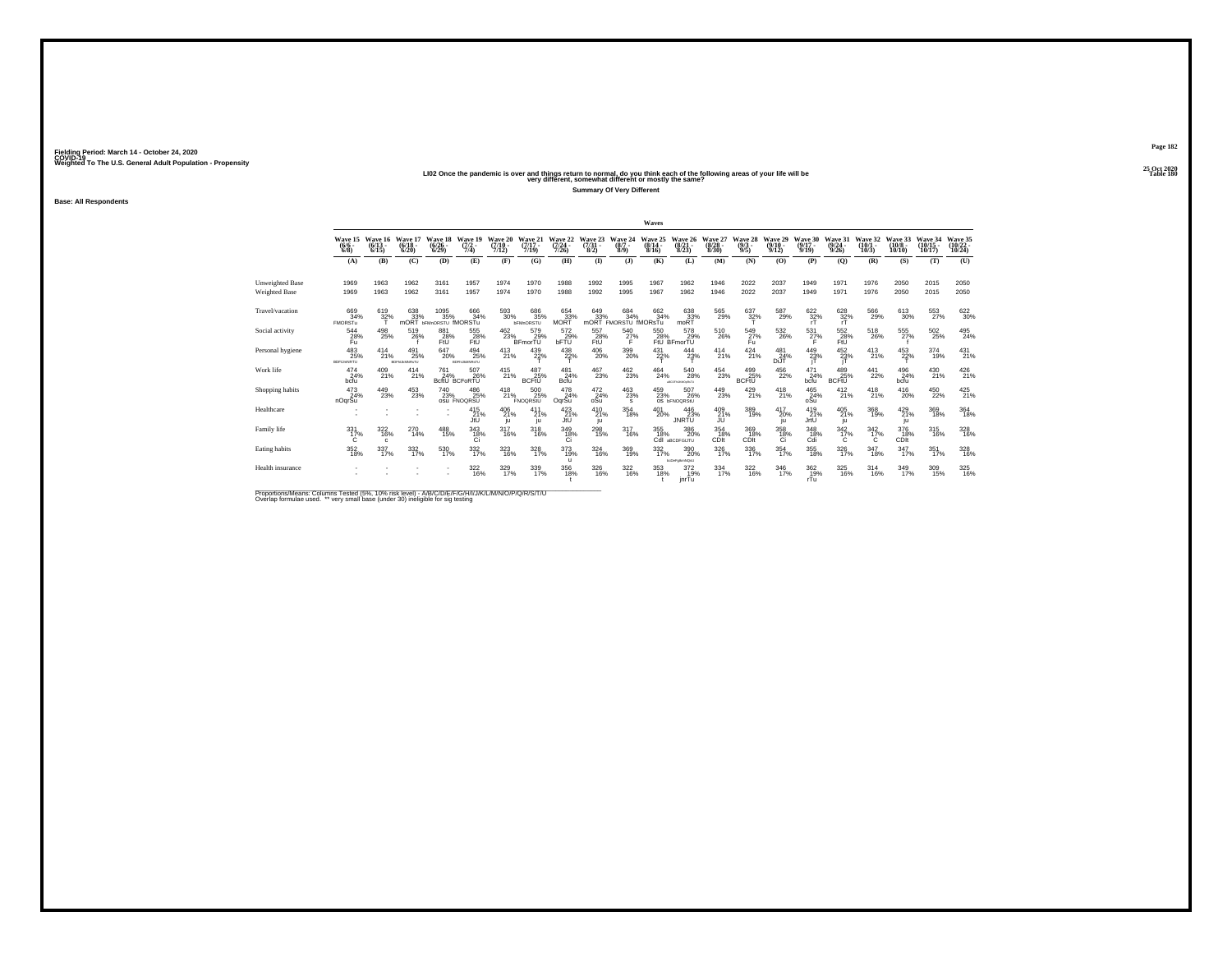## 25 Oct 2020<br>LI02 Once the pandemic is over and things return to normal, do you think each of the following areas of your life will be<br>very different, somewhat different or mostly the same?

**Summary Of Very Different**

**Base: All Respondents**

|                        |                                      |                              |                                   |                                 |                                        |                              |                                |                                  |                              |                                    | Waves                        |                                                           |                                       |                            |                              |                              |                              |                              |                                |                                |                                |
|------------------------|--------------------------------------|------------------------------|-----------------------------------|---------------------------------|----------------------------------------|------------------------------|--------------------------------|----------------------------------|------------------------------|------------------------------------|------------------------------|-----------------------------------------------------------|---------------------------------------|----------------------------|------------------------------|------------------------------|------------------------------|------------------------------|--------------------------------|--------------------------------|--------------------------------|
|                        | Wave 15<br>$(6/6 -$<br>6/8           | Wave 16<br>$(6/13 -$<br>6/15 | Wave 17<br>$(6/18 -$<br>6/20      | Wave 18<br>$(6/26 -$<br>6/29    | Wave 19<br>$(7/2 -$<br>7/4             | Wave 20<br>$(7/10 -$<br>7/12 | Wave 21<br>$(7/17 -$<br>7/19   | Wave 22<br>$(7/24 -$<br>7/26     | Wave 23<br>$(7/31 -$<br>8/2) | Wave 24<br>$(8/7 -$<br>8/9         | Wave 25<br>$(8/14 -$<br>8/16 | Wave 26<br>$(8/21 -$<br>8/23                              | Wave 27<br>$(8/28 -$<br>8/30          | Wave 28<br>$(9/3 -$<br>9/5 | Wave 29<br>$(9/10 -$<br>9/12 | Wave 30<br>$(9/17 -$<br>9/19 | Wave 31<br>$(9/24 -$<br>9/26 | Wave 32<br>$(10/1 -$<br>10/3 | Wave 33<br>$(10/8 -$<br>10/10  | Wave 34<br>$(10/15 -$<br>10/17 | Wave 35<br>$(10/22 -$<br>10/24 |
|                        | (A)                                  | (B)                          | (C)                               | (D)                             | (E)                                    | (F)                          | (G)                            | (H)                              | $\mathbf{I}$                 | $\mathbf{I}$                       | (K)                          | (L)                                                       | (M)                                   | (N)                        | (O)                          | (P)                          | (Q)                          | (R)                          | (S)                            | (T)                            | (U)                            |
| <b>Unweighted Base</b> | 1969                                 | 1963                         | 1962                              | 3161                            | 1957                                   | 1974                         | 1970                           | 1988                             | 1992                         | 1995                               | 1967                         | 1962                                                      | 1946                                  | 2022                       | 2037                         | 1949                         | 1971                         | 1976                         | 2050                           | 2015                           | 2050                           |
| <b>Weighted Base</b>   | 1969                                 | 1963                         | 1962                              | 3161                            | 1957                                   | 1974                         | 1970                           | 1988                             | 1992                         | 1995                               | 1967                         | 1962                                                      | 1946                                  | 2022                       | 2037                         | 1949                         | 1971                         | 1976                         | 2050                           | 2015                           | 2050                           |
| Travel/vacation        | 669<br>34%<br><b>FMORSTu</b>         | 619<br>32%                   | 638<br>33%                        | 1095%<br>mORT bFMnORSTU fMORSTu | 666<br>34%                             | $^{593}_{\ 30\%}$            | 686<br>35%<br><b>bFMnORSTU</b> | 654<br>33%<br>MORT               | 649<br>33%<br>mORT           | 684 34%<br>FMORSTU IMORSTu         | 662<br>34%                   | 638<br>33%<br>moRT                                        | 565<br>29%                            | $\frac{637}{32\%}$         | 587<br>29%                   | 622/32%                      | 628<br>32%<br>rT             | 566<br>29%                   | 613<br>30%                     | 553<br>27%                     | 622<br>30%                     |
| Social activity        | 544<br>28%<br>Fu.                    | 498<br>25%                   | 519<br>26%                        | 881<br>FtU                      | 555<br>$28%$<br>FtU                    |                              | $^{462}_{23\%}$ BFmorTU        | 572<br>bFTU                      | 557<br>28%<br>FtU            | 540<br>$^{27\%}$                   | 550                          | 578<br>28% 29%<br>FtU BFmorTU<br>29%                      | $^{510}_{\phantom{1}\phantom{1}26\%}$ | 549<br>27%<br>Fu           | $^{532}_{\phantom{5}26\%}$   | 531<br>27%                   | 552<br>$28%$<br>FtU          | 518<br>26%                   | 555<br>27%                     | $^{502}_{\phantom{1}25\%}$     | $^{495}_{24\%}$                |
| Personal hygiene       | $^{483}_{25\%}$<br><b>BDFIJmNRTU</b> | $^{414}_{21\%}$              | 491<br>25%<br><b>BDFHJAMNRsTU</b> | 647<br>20%                      | $^{494}_{25\%}$<br><b>BDFHJAMNRsTU</b> | $^{413}_{21\%}$              | 439<br>22%                     | $^{438}_{22\%}$                  | $^{406}_{20\%}$              | 399<br>20%                         | $^{431}_{22\%}$              | $\frac{444}{23\%}$                                        | $^{414}_{21\%}$                       | $^{424}_{21\%}$            | 481<br>24%<br>DiJT           | $^{449}_{23\%}$              | 452 %<br>jT                  | $^{413}_{21\%}$              | 453<br>22%                     | $^{374}_{19\%}$                | $^{431}_{21\%}$                |
| Work life              | $^{474}_{24\%}$<br>bcfu              | 409<br>21%                   | $^{414}_{21\%}$                   | 761<br>24%                      | 507<br>26%<br>BcftU BCFoRTU            | $^{415}_{21\%}$              | 487<br>25%<br><b>BCFtU</b>     | 481<br>24%<br><b>Bcfu</b>        | 467<br>23%                   | $^{462}_{23\%}$                    | $^{464}_{24\%}$              | $^{540}_{\phantom{1}\phantom{1}28\%}$<br>ARCOFILIAROURSTU | $^{454}_{23\%}$                       | 499<br>25%<br><b>BCFtU</b> | 456<br>22%                   | $^{471}_{24\%}$<br>bcfu      | 489<br>25%<br><b>BCFtU</b>   | $^{441}_{22\%}$              | 496<br>24%<br>bcfu             | $^{430}_{21\%}$                | 426<br>21%                     |
| Shopping habits        | $\frac{473}{24\%}$<br>nOqrSu         | 449<br>23%                   | 453<br>23%                        | 740<br>23%                      | 486<br>25%<br><b>OSU FNOQRSU</b>       | $^{418}_{21\%}$              | 500<br>25%<br>FNOQRStU         | $^{478}_{24\%}$<br>OgrSu         | 472<br>$^{24}_{\text{oSu}}$  | $\frac{463}{23\%}$<br>$\mathbf{s}$ | 459<br>23%                   | 507<br>26%<br>OS <b>bFNOQRStU</b>                         | 449<br>23%                            | $^{429}_{21\%}$            | $^{418}_{21\%}$              | $^{465}_{24\%}$ oSu          | 412<br>21%                   | $^{418}_{21\%}$              | 416<br>20%                     | 450<br>22%                     | $^{425}_{21\%}$                |
| Healthcare             |                                      |                              |                                   | $\sim$                          | $^{415}_{21\%}$<br>JtU                 | 406<br>21%<br>ju             | 411<br>21%<br>iu.              | 423<br>JtU                       | $^{410}_{21\%}$<br>ju        | $\frac{354}{18\%}$                 | 401<br>20%                   | $^{446}_{23\%}$<br><b>JNRTU</b>                           | 409<br>21%<br>JU                      | 389<br>19%                 | 417<br>20%<br>ju             | $^{419}_{21\%}$<br>JrtU      | 405<br>21%<br>ju             | $\frac{368}{19\%}$           | 429<br>21%<br>1u               | $\frac{369}{18\%}$             | $364 \over 18\%$               |
| Family life            | 331<br>17%                           | 322<br>16%                   | 270<br>14%                        | 488<br>15%                      | 343<br>$\frac{18}{6}$                  | 317<br>16%                   | 318<br>16%                     | 349<br>18%<br>Ci                 | 298<br>15%                   | 317<br>16%                         | 355<br>18%                   | 386<br>20%<br>Cdl aBCDFGUTU                               | 354<br>18%<br>CDIt                    | 369<br>18%<br>CDIt         | 358<br>$\frac{18}{6}$        | 348<br>$^{18}_{\text{Cdi}}$  | 342<br>17%                   | 342<br>17%                   | 376<br>18%<br>CD <sub>It</sub> | 315<br>16%                     | 328<br>16%                     |
| Eating habits          | $^{352}_{18\%}$                      | 337/17%                      | $\frac{332}{17\%}$                | 530<br>17%                      | 332/17%                                | 323/16%                      | $\frac{328}{17\%}$             | $373 \atop 19\%$<br>$\mathbf{u}$ | 324<br>16%                   | 369<br>19%                         | 332/17%                      | 390 20%<br>bcDeFalkmNQsU                                  | $\frac{326}{17\%}$                    | 336<br>17%                 | $354 \over 17\%$             | $\underset{18\%}{355}$       | $\frac{326}{17\%}$           | $\frac{347}{18\%}$           | 347/17%                        | 351<br>17%                     | 328<br>16%                     |
| Health insurance       |                                      |                              |                                   | ٠                               | $\frac{322}{16\%}$                     | 329/17%                      | 339<br>17%                     | 356<br>18%                       | 326<br>16%                   | $\frac{322}{16\%}$                 | 353<br>18%                   | $^{372}_{19\%}$<br>inrTu                                  | 334<br>17%                            | $\frac{322}{16\%}$         | $\frac{346}{17\%}$           | $\frac{362}{19\%}$<br>rTu    | 325<br>16%                   | 314<br>16%                   | 349<br>17%                     | $\frac{309}{15\%}$             | 325<br>16%                     |

Proportions/Means: Columns Tested (5%, 10% risk level) - A/B/C/D/E/F/G/H/I/J/K/L/M/N/O/P/Q/R/S/T/U<br>Overlap formulae used. \*\* very small base (under 30) ineligible for sig testing

**Page 18225 Oct 2020<br>Table 180**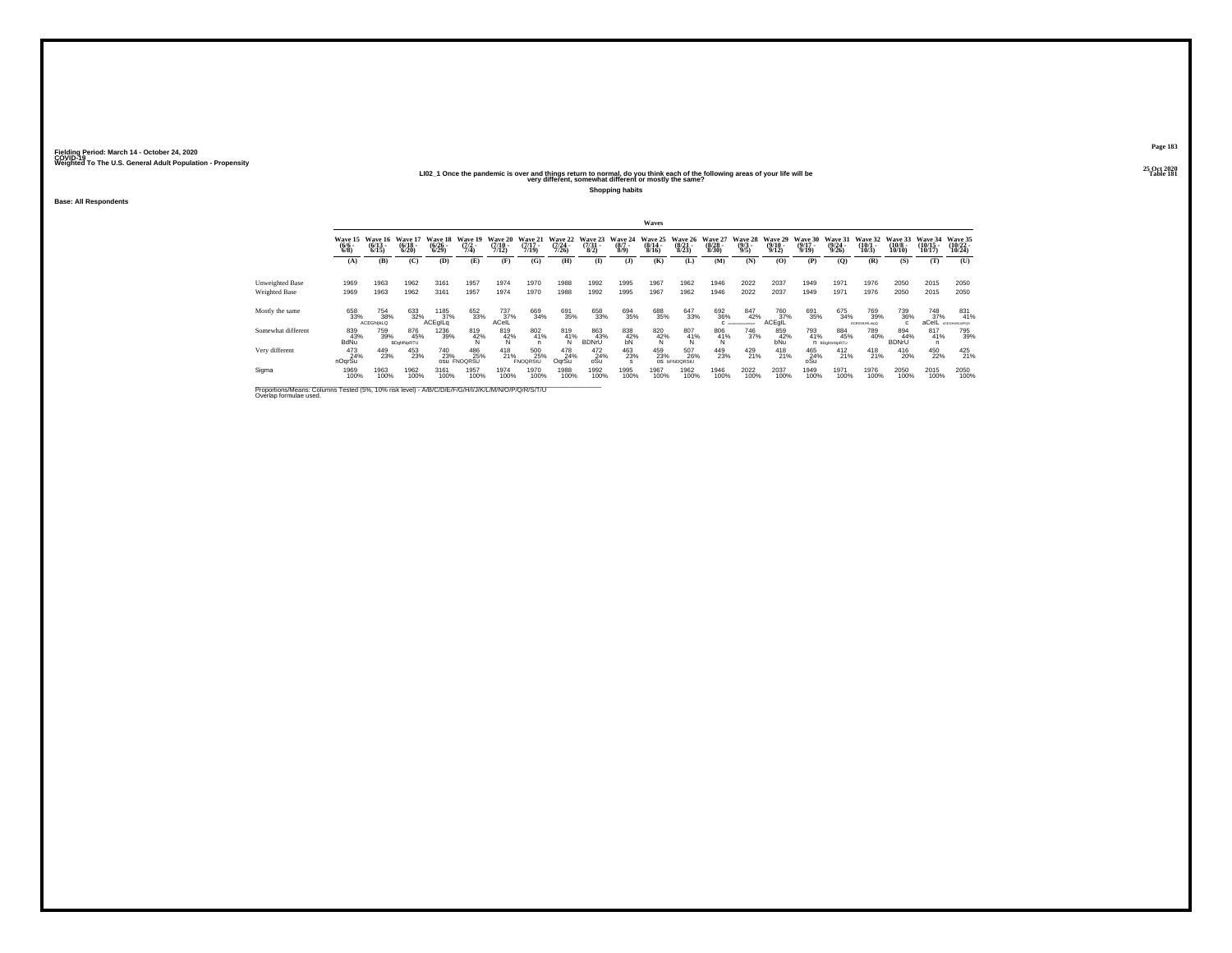#### 25 Oct 2020<br>LIO2\_1 Once the pandemic is over and things return to normal, do you think each of the following areas of your life will be<br>very different, somewhat different or mostly the same?

**Shopping habits**

**Base: All Respondents**

|                    |                                |                                  |                                  |                                 |                                  |                                  |                                  |                                      |                                     |                                | Waves                            |                                   |                                 |                                |                                  |                                  |                                  |                                 |                                   |                                    |                                    |
|--------------------|--------------------------------|----------------------------------|----------------------------------|---------------------------------|----------------------------------|----------------------------------|----------------------------------|--------------------------------------|-------------------------------------|--------------------------------|----------------------------------|-----------------------------------|---------------------------------|--------------------------------|----------------------------------|----------------------------------|----------------------------------|---------------------------------|-----------------------------------|------------------------------------|------------------------------------|
|                    | Wave 15<br>$\frac{(6/6)}{6/8}$ | Wave 16<br>$\frac{(6/13)}{6/15}$ | Wave 17<br>$\frac{(6/18)}{6/20}$ | Wave 18<br>$\binom{6/26}{6/29}$ | Wave 19<br>$\frac{(7/2)}{7/4}$   | Wave 20<br>$\frac{(7/10)}{7/12}$ | Wave 21<br>$\frac{(7/17)}{7/19}$ | Wave 22<br>$\frac{(7/24 - 7)}{7/26}$ | Wave 23<br>$\frac{(7/31 - 1)}{8/2}$ | Wave 24<br>$\frac{(8/7)}{8/9}$ | Wave 25<br>$\frac{(8/14)}{8/16}$ | Wave 26<br>$\frac{(8/21)}{8/23}$  | Wave 27<br>$\binom{8/28}{8/30}$ | Wave 28<br>$\frac{(9/3)}{9/5}$ | Wave 29<br>$\frac{(9/10)}{9/12}$ | Wave 30<br>$\frac{(9/17)}{9/19}$ | Wave 31<br>$\frac{(9/24)}{9/26}$ | Wave 32<br>$\binom{10/1}{10/3}$ | Wave 33<br>$\frac{(10/8)}{10/10}$ | Wave 34<br>$\frac{(10/15)}{10/17}$ | Wave 35<br>$\frac{(10/22)}{10/24}$ |
|                    | (A)                            | (B)                              | (C)                              | (D)                             | (E)                              | (F)                              | (G)                              | (H)                                  | $\bf{I}$                            | $($ $)$                        | (K)                              | (L)                               | (M)                             | (N)                            | (O)                              | (P)                              | (O)                              | (R)                             | (S)                               | (T)                                | (U)                                |
| Unweighted Base    | 1969                           | 1963                             | 1962                             | 3161                            | 1957                             | 1974                             | 1970                             | 1988                                 | 1992                                | 1995                           | 1967                             | 1962                              | 1946                            | 2022                           | 2037                             | 1949                             | 1971                             | 1976                            | 2050                              | 2015                               | 2050                               |
| Weighted Base      | 1969                           | 1963                             | 1962                             | 3161                            | 1957                             | 1974                             | 1970                             | 1988                                 | 1992                                | 1995                           | 1967                             | 1962                              | 1946                            | 2022                           | 2037                             | 1949                             | 1971                             | 1976                            | 2050                              | 2015                               | 2050                               |
| Mostly the same    | 658<br>33%                     | 754<br>38%<br><b>ACEGhlikLQ</b>  | 633<br>32%                       | 1185<br>37%<br>ACEglLq          | 652<br>33%                       | $^{737}_{37\%}$<br>ACelL         | 669<br>34%                       | 691<br>35%                           | 658<br>33%                          | 694<br>35%                     | 688<br>35%                       | 647<br>33%                        | 692<br>36%                      | 847<br>42%<br>C ACEFORMATOR    | 760<br>37%<br>ACEgIL             | 691<br>35%                       | 675<br>34%                       | 769<br>39%<br>ACEGHIJKLmpQ      | 739<br>36%                        | 748<br>37%<br>aCelL                | 831<br>41%<br>ACDGHLKLMPGS         |
| Somewhat different | 839<br>43%<br>BdNu             | 759<br>39%                       | 876<br>45%<br>BDghlNpRTU         | 1236<br>39%                     | $\frac{819}{42\%}$               | $\frac{819}{42\%}$               | 802<br>41%                       | $^{819}_{41\%}$                      | 863<br>43%<br><b>BDNrU</b>          | $\underset{\text{bN}}{^{838}}$ | 820<br>$\frac{42}{N}$            | 807<br>41%                        | $^{806}_{41\%}$                 | 746<br>37%                     | 859<br>42%<br>bNu                | 793<br>41%                       | 884<br>45%<br>n BDohimNoRTU      | 789<br>40%                      | 894<br>44%<br><b>BDNrU</b>        | $\frac{817}{41\%}$                 | 795<br>39%                         |
| Very different     | 473<br>24%<br>nOqrSu           | 449<br>23%                       | 453<br>23%                       | 740<br>23%                      | 486<br>25%<br><b>OSU FNOQRSU</b> | $^{418}_{21\%}$                  | 500<br>25%<br>FNOQRStU           | 478<br>24%<br>OgrSu                  | 472<br>24%<br>oSu                   | 463<br>23%                     | 459<br>23%                       | 507<br>26%<br>OS <b>bFNOQRStU</b> | 449<br>23%                      | $^{429}_{21\%}$                | $^{418}_{21\%}$                  | 465<br>24%<br>oSu                | $^{412}_{21\%}$                  | $^{418}_{21\%}$                 | $^{416}_{20\%}$                   | 450<br>22%                         | $^{425}_{21\%}$                    |
| Sigma              | 1969<br>100%                   | 1963<br>100%                     | 1962<br>100%                     | 3161<br>100%                    | 1957<br>100%                     | 1974<br>100%                     | 1970<br>100%                     | 1988<br>100%                         | 1992<br>100%                        | 1995<br>100%                   | 1967<br>100%                     | 1962<br>100%                      | 1946<br>100%                    | 2022<br>100%                   | 2037<br>100%                     | 1949<br>100%                     | 1971<br>100%                     | 1976<br>100%                    | 2050<br>100%                      | 2015<br>100%                       | 2050<br>100%                       |

Proportions/Means: Columns Tested (5%, 10% risk level) - A/B/C/D/E/F/G/H/I/J/K/L/M/N/O/P/Q/R/S/T/U \_\_\_\_\_\_\_\_\_\_\_<br>Overlap formulae used.

**Page 183**25 Oct 2020<br>Table 181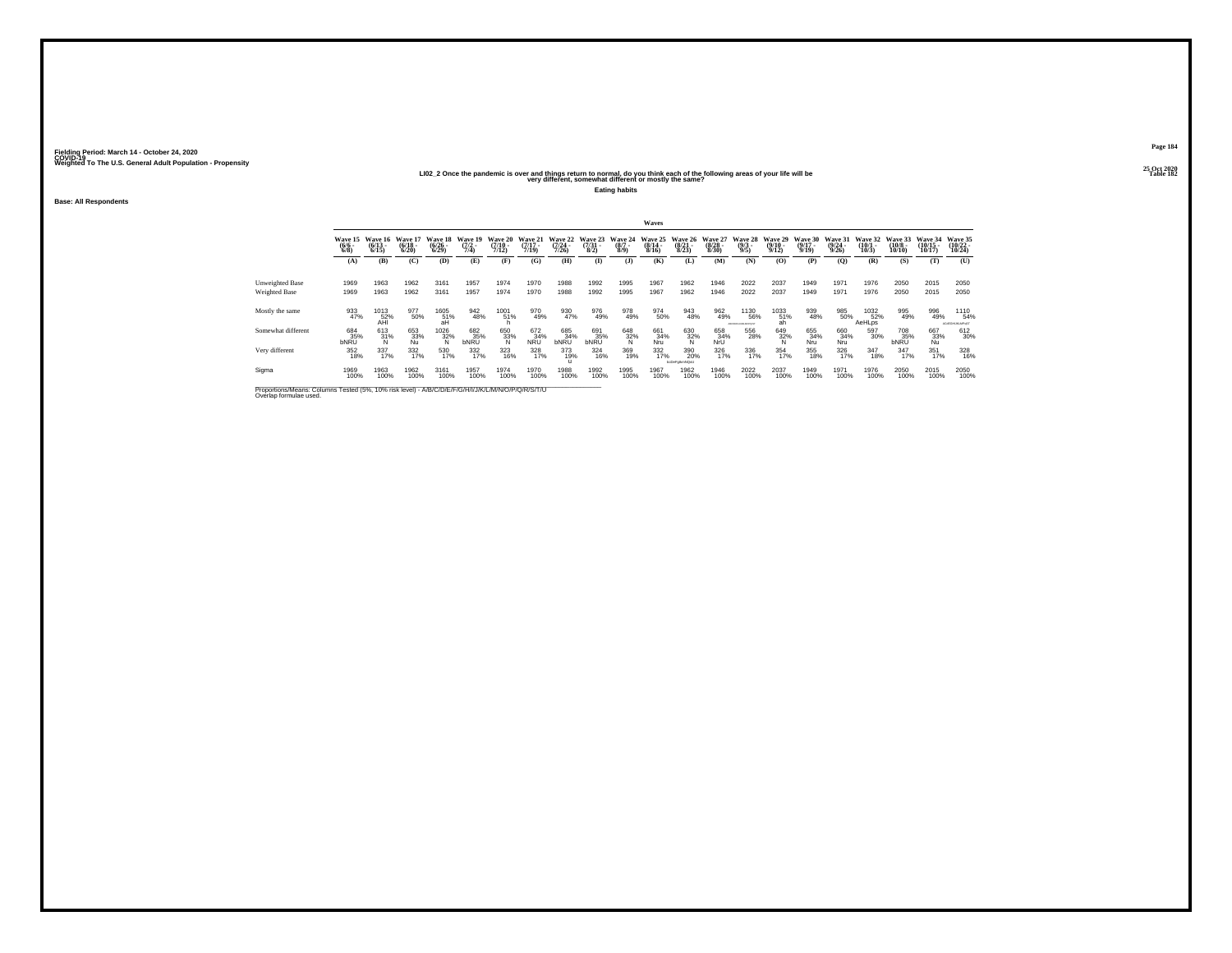#### 25 Oct 2020<br>LIO2\_2 Once the pandemic is over and things return to normal, do you think each of the following areas of your life will be<br>very different, somewhat different or mostly the same?

**Eating habits**

**Base: All Respondents**

|                                  |                            |                                       |                                  |                                       |                                |                                      |                                  |                                      |                                 |                                | Waves                                    |                                  |                                  |                                      |                                         |                                  |                                  |                              |                                   |                                |                                 |
|----------------------------------|----------------------------|---------------------------------------|----------------------------------|---------------------------------------|--------------------------------|--------------------------------------|----------------------------------|--------------------------------------|---------------------------------|--------------------------------|------------------------------------------|----------------------------------|----------------------------------|--------------------------------------|-----------------------------------------|----------------------------------|----------------------------------|------------------------------|-----------------------------------|--------------------------------|---------------------------------|
|                                  | Wave 15<br>$(6/6 -$<br>6/8 | Wave 16<br>$\frac{(6/13)}{6/15}$      | Wave 17<br>$\frac{(6/18)}{6/20}$ | Wave 18<br>$\frac{(6/26)}{(6/29)}$    | Wave 19<br>$\frac{(7/2)}{7/4}$ | Wave 20<br>$\frac{(7/10 - 7)}{7/12}$ | Wave 21<br>$\frac{(7/17)}{7/19}$ | Wave 22<br>$\frac{(7/24 - 7)}{7/26}$ | Wave 23<br>$\frac{(7/31)}{8/2}$ | Wave 24<br>$\frac{(8/7)}{8/9}$ | Wave 25<br>$\frac{(8/14 \cdot 8)}{8/16}$ | Wave 26<br>$\frac{(8/21)}{8/23}$ | Wave 27<br>$\frac{(8/28)}{8/30}$ | <b>Wave 28</b><br>$\binom{9/3}{9/5}$ | Wave 29<br>$\frac{(9/10 - 9/12)}{9/12}$ | Wave 30<br>$\frac{(9/17)}{9/19}$ | Wave 31<br>$\frac{(9/24)}{9/26}$ | Wave 32<br>$(10/1 -$<br>10/3 | Wave 33<br>$\frac{(10/8)}{10/10}$ | Wave 34<br>$(10/15 -$<br>10/17 | Wave 35<br>$(10/22 -$<br>10/24  |
|                                  | (A)                        | (B)                                   | (C)                              | (D)                                   | (E)                            | (F)                                  | (G)                              | (H)                                  | $\mathbf{I}$                    | (3)                            | (K)                                      | (L)                              | (M)                              | (N)                                  | (O)                                     | (P)                              | $\mathbf{Q}$                     | (R)                          | (S)                               | (T)                            | (U)                             |
| Unweighted Base<br>Weighted Base | 1969<br>1969               | 1963<br>1963                          | 1962<br>1962                     | 3161<br>3161                          | 1957<br>1957                   | 1974<br>1974                         | 1970<br>1970                     | 1988<br>1988                         | 1992<br>1992                    | 1995<br>1995                   | 1967<br>1967                             | 1962<br>1962                     | 1946<br>1946                     | 2022<br>2022                         | 2037<br>2037                            | 1949<br>1949                     | 1971<br>1971                     | 1976<br>1976                 | 2050<br>2050                      | 2015<br>2015                   | 2050<br>2050                    |
| Mostly the same                  | 933<br>47%                 | $^{1013}_{\substack{52\% \text{AH}}}$ | 977<br>50%                       | $^{1605}_{\substack{51\% \text{ah}}}$ | 942<br>48%                     | 1001<br>51%                          | 970<br>49%                       | 930<br>47%                           | 976<br>49%                      | 978<br>49%                     | 974<br>50%                               | 943<br>48%                       | 962<br>49%                       | 1130<br>56%<br>ABCOEFOILIALMOPOLET   | 1033<br>51%<br>ah                       | 939<br>48%                       | 985<br>50%                       | 1032<br>52%<br><b>AeHLps</b> | 995<br>49%                        | 996<br>49%                     | 1110<br>54%<br>ACIDEGHLIKLMPuST |
| Somewhat different               | 684<br>35%                 | 613<br>31%<br>N                       | 653<br>33%<br>Nu                 | $\frac{1026}{32\%}$                   | 682<br>35%<br>bNRU             | $\frac{650}{33\%}$                   | $\overset{672}{_{34\%}}$ NRU     | 685<br>34%<br>bNRU                   | 691<br>35%<br><b>bNRU</b>       | $\frac{648}{32\%}$             | 661<br>34%<br>Nru                        | $\frac{630}{32\%}$               | 658<br>34%<br>NrU                | 556<br>28%                           | $\frac{649}{32\%}$                      | 655<br>34%<br>Nru                | 660<br>34%<br>Nru                | 597<br>30%                   | 708<br>35%<br>bNRU                | 667<br>33%<br>Nu               | 612<br>30%                      |
| Very different                   | 352<br>18%                 | 337<br>17%                            | 332%                             | 530<br>17%                            | 332<br>17%                     | 323<br>16%                           | 328                              | 373<br>19%                           | 324<br>16%                      | 369<br>19%                     | $\frac{332}{17\%}$                       | 390<br>20%<br>bcDeFalkmNQsL      | 326<br>17%                       | 336<br>17%                           | 354<br>17%                              | 355<br>18%                       | 326<br>17%                       | 347<br>18%                   | 347<br>17%                        | $\frac{351}{17\%}$             | 328<br>16%                      |
| Sigma                            | 1969<br>100%               | 1963<br>100%                          | 1962<br>100%                     | 3161<br>100%                          | 1957<br>100%                   | 1974<br>100%                         | 1970<br>100%                     | 1988<br>100%                         | 1992<br>100%                    | 1995<br>100%                   | 1967<br>100%                             | 1962<br>100%                     | 1946<br>100%                     | 2022<br>100%                         | 2037<br>100%                            | 1949<br>100%                     | 1971<br>100%                     | 1976<br>100%                 | 2050<br>100%                      | 2015<br>100%                   | 2050<br>100%                    |

Proportions/Means: Columns Tested (5%, 10% risk level) - A/B/C/D/E/F/G/H/I/J/K/L/M/N/O/P/Q/R/S/T/U \_\_\_\_\_\_\_\_\_\_\_<br>Overlap formulae used.

**Page 184**25 Oct 2020<br>Table 182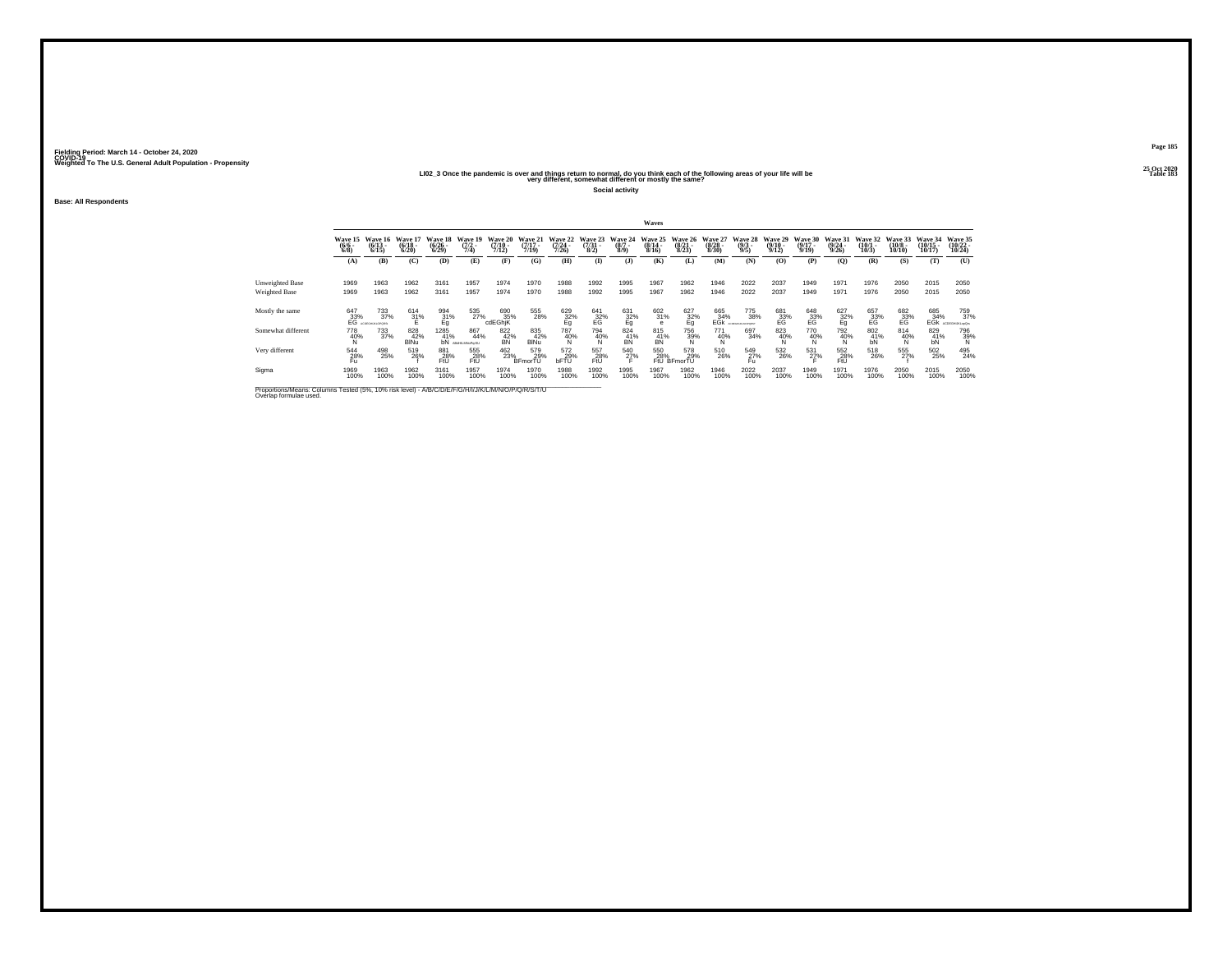#### 25 Oct 2020<br>LIO2\_3 Once the pandemic is over and things return to normal, do you think each of the following areas of your life will be<br>very different, somewhat different or mostly the same?

**Social activity**

**Base: All Respondents**

|                                                                                                                              |                               |                                 |                              |                              |                             |                              |                              |                                  |                                 |                            | Waves                        |                                  |                                      |                                |                                  |                              |                                  |                              |                               |                                |                                |
|------------------------------------------------------------------------------------------------------------------------------|-------------------------------|---------------------------------|------------------------------|------------------------------|-----------------------------|------------------------------|------------------------------|----------------------------------|---------------------------------|----------------------------|------------------------------|----------------------------------|--------------------------------------|--------------------------------|----------------------------------|------------------------------|----------------------------------|------------------------------|-------------------------------|--------------------------------|--------------------------------|
|                                                                                                                              | Wave 15<br>$\binom{6/6}{6/8}$ | Wave 16<br>$\binom{6/13}{6/15}$ | Wave 17<br>$(6/18 -$<br>6/20 | Wave 18<br>$(6/26 -$<br>6/29 | Wave 19<br>$(7/2 -$<br>7/4  | Wave 20<br>$(7/10 -$<br>7/12 | Wave 21<br>$(7/17 -$<br>7/19 | Wave 22<br>$\frac{(7/24)}{7/26}$ | Wave 23<br>$\frac{(7/31)}{8/2}$ | Wave 24<br>$(8/7 -$<br>8/9 | Wave 25<br>$(8/14 -$<br>8/16 | Wave 26<br>$\frac{(8/21)}{8/23}$ | Wave 27<br>$\frac{(8/28 - 8)}{8/30}$ | Wave 28<br>$\frac{(9/3)}{9/5}$ | Wave 29<br>$\frac{(9/10)}{9/12}$ | Wave 30<br>$(9/17 -$<br>9/19 | Wave 31<br>$\frac{(9/24)}{9/26}$ | Wave 32<br>$(10/1 -$<br>10/3 | Wave 33<br>$(10/8 -$<br>10/10 | Wave 34<br>$(10/15 -$<br>10/17 | Wave 35<br>$(10/22 -$<br>10/24 |
|                                                                                                                              | (A)                           | (B)                             | (C)                          | (D)                          | (E)                         | (F)                          | (G)                          | <b>(H)</b>                       | $\mathbf{I}$                    | (3)                        | (K)                          | (L)                              | (M)                                  | (N)                            | (0)                              | (P)                          | (O)                              | (R)                          | (S)                           | (T)                            | (U)                            |
| Unweighted Base<br>Weighted Base                                                                                             | 1969<br>1969                  | 1963<br>1963                    | 1962<br>1962                 | 3161<br>3161                 | 1957<br>1957                | 1974<br>1974                 | 1970<br>1970                 | 1988<br>1988                     | 1992<br>1992                    | 1995<br>1995               | 1967<br>1967                 | 1962<br>1962                     | 1946<br>1946                         | 2022<br>2022                   | 2037<br>2037                     | 1949<br>1949                 | 1971<br>1971                     | 1976<br>1976                 | 2050<br>2050                  | 2015<br>2015                   | 2050<br>2050                   |
| Mostly the same                                                                                                              | $^{647}_{33\%}$ EG            | 733<br>37%<br>AFRICOM MI COORD  | $^{614}_{31\%}$              | 994<br>31%<br>Eg             | 535<br>27%                  | 690<br>35%<br>cdEGhiK        | 555<br>28%                   | $\frac{629}{22\%}$               | $^{641}_{32\%}$                 | $^{631}_{32\%}$            | 602<br>31%                   | $\frac{627}{22\%}$               | 665<br>34%<br>EĞk                    | 775<br>38%<br>TAX NO SERVICES? | 681<br>33%<br>EG                 | $^{648}_{33\%}$              | $\frac{627}{32\%}$               | 657<br>33%<br>EG             | 682<br>33%<br>EG              | 685<br>34%<br>EĞK              | 759<br>37%<br>ACDEGHLKLooQn    |
| Somewhat different                                                                                                           | 778<br>$^{40\%}_{N}$          | 733<br>37%                      | 828<br>42%<br><b>BINu</b>    | 1285<br>41%<br>bN            | 867<br>44%<br>ABSILIANSPOSU | 822<br>$\frac{42}{B}$        | 835<br>42%<br><b>BINu</b>    | $\frac{787}{40\%}$               | 794<br>$^{40\%}_{N}$            | 824<br>$\overline{AB}$     | 815<br>41%<br>BN             | 756<br>39%                       | 771<br>$^{40\%}_{N}$                 | 697<br>34%                     | $\frac{823}{40\%}$               | 770<br>40%                   | 792<br>$\frac{40}{8}$            | 802<br>$^{41}_{bN}$          | 814<br>40%                    | 829<br>41%<br>bN               | 796<br>39%<br>N                |
| Very different                                                                                                               | 544<br>28%<br>Fu              | 498<br>25%                      | 519<br>26%                   | 881<br>28%<br>FtU            | 555<br>28%<br>FtÜ           | $^{462}_{23\%}$              | 579<br>29%<br>BFmorTU        | 572<br>29%<br>bFTU               | 557<br>28%<br>FtÜ               | 540<br>27%                 | 550<br>28%                   | 578<br>29%<br>FtU BFmorTU        | 510<br>26%                           | 549<br>27%<br>Fu               | 532<br>26%                       | 531<br>27%                   | 552<br>28%<br>FtÜ                | 518<br>26%                   | 555<br>27%                    | $\frac{502}{25\%}$             | 495<br>24%                     |
| Sigma                                                                                                                        | 1969<br>100%                  | 1963<br>100%                    | 1962<br>100%                 | 3161<br>100%                 | 1957<br>100%                | 1974<br>100%                 | 1970<br>100%                 | 1988<br>100%                     | 1992<br>100%                    | 1995<br>100%               | 1967<br>100%                 | 1962<br>100%                     | 1946<br>100%                         | 2022<br>100%                   | 2037<br>100%                     | 1949<br>100%                 | 1971<br>100%                     | 1976<br>100%                 | 2050<br>100%                  | 2015<br>100%                   | 2050<br>100%                   |
| Proportions/Means: Columns Tested (5%, 10% risk level) - A/B/C/D/E/F/G/H/I/J/K/L/M/N/O/P/Q/R/S/T/U<br>Overlap formulae used. |                               |                                 |                              |                              |                             |                              |                              |                                  |                                 |                            |                              |                                  |                                      |                                |                                  |                              |                                  |                              |                               |                                |                                |

**Page 185**25 Oct 2020<br>Table 183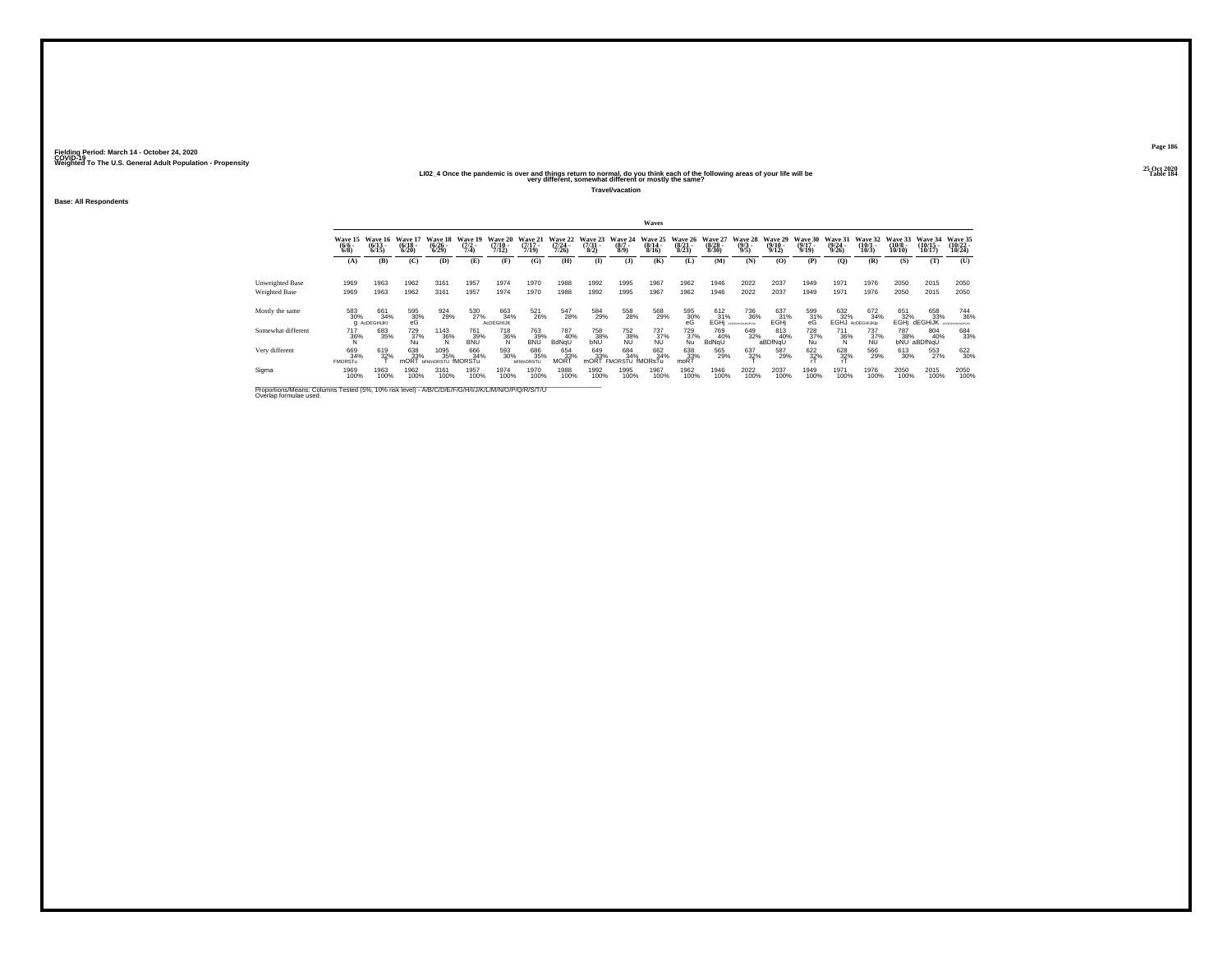#### 25 Oct 2020<br>More the pandemic is over and things return to normal, do you think each of the following areas of your life will be<br>very different, somewhat different or mostly the same?

**Travel/vacation**

**Base: All Respondents**

|                                  |                               |                                   |                                 |                                         |                                |                                         |                                  |                                      |                                |                                    | Waves                                   |                                                                                      |                                          |                                                  |                                  |                                  |                                  |                                       |                                        |                                             |                                |
|----------------------------------|-------------------------------|-----------------------------------|---------------------------------|-----------------------------------------|--------------------------------|-----------------------------------------|----------------------------------|--------------------------------------|--------------------------------|------------------------------------|-----------------------------------------|--------------------------------------------------------------------------------------|------------------------------------------|--------------------------------------------------|----------------------------------|----------------------------------|----------------------------------|---------------------------------------|----------------------------------------|---------------------------------------------|--------------------------------|
|                                  | Wave 15<br>$\binom{6/6}{6/8}$ | Wave 16<br>$\binom{6/13}{6/15}$   | Wave 17<br>$\binom{6/18}{6/20}$ | Wave 18<br>$\frac{(6/26 - 6)}{(6/29)}$  | Wave 19<br>$\frac{(7/2)}{7/4}$ | <b>Wave 20</b><br>$\frac{(7/10)}{7/12}$ | Wave 21<br>$\frac{(7/17)}{7/19}$ | Wave 22<br>$\frac{(7/24 - 7)}{7/26}$ | Wave 23<br>$\frac{(7/3)}{8/2}$ | Wave 24<br>$\binom{8/7}{8/9}$      | Wave 25<br>$\frac{(8/14 - 8/16)}{8/16}$ | $\frac{(8/21)}{8/23}$                                                                | Wave 26 Wave 27<br>$\frac{(8/28)}{8/30}$ | <b>Wave 28</b><br>$\frac{(9/3)}{9/5}$            | Wave 29<br>$\frac{(9/10)}{9/12}$ | Wave 30<br>$\frac{(9/17)}{9/19}$ | Wave 31<br>$\frac{(9/24)}{9/26}$ | Wave 32<br>$\binom{10/1}{10/3}$       | Wave 33<br>$\frac{(10/8 - 10)}{10/10}$ | Wave 34<br>$\frac{(10/15)}{10/17}$          | Wave 35<br>$(10/22 -$<br>10/24 |
|                                  | (A)                           | (B)                               | (C)                             | (D)                                     | (E)                            | (F)                                     | (G)                              | <b>(H)</b>                           | $($ $\Gamma$                   | $($ $)$                            | (K)                                     | (L)                                                                                  | (M)                                      | (N)                                              | (O)                              | (P)                              | (O)                              | (R)                                   | (S)                                    | (T)                                         | (U)                            |
| Unweighted Base<br>Weighted Base | 1969<br>1969                  | 1963<br>1963                      | 1962<br>1962                    | 3161<br>3161                            | 1957<br>1957                   | 1974<br>1974                            | 1970<br>1970                     | 1988<br>1988                         | 1992<br>1992                   | 1995<br>1995                       | 1967<br>1967                            | 1962<br>1962                                                                         | 1946<br>1946                             | 2022<br>2022                                     | 2037<br>2037                     | 1949<br>1949                     | 1971<br>1971                     | 1976<br>1976                          | 2050<br>2050                           | 2015<br>2015                                | 2050<br>2050                   |
| Mostly the same                  | 583<br>30%                    | 661<br>34%<br><b>Q</b> AcDEGHIJKI | $^{595}_{30\%}$ eG              | 924<br>29%                              | 530<br>27%                     | 663<br>34%<br>AcDEGHIJK                 | 521<br>26%                       | 547<br>28%                           | 584<br>29%                     | 558<br>28%                         | 568<br>29%                              | $^{595}_{\phantom{1}\phantom{1}30\%}_{\phantom{1}\phantom{1}\phantom{1}\mathrm{eG}}$ | 612 %<br>EGH                             | <sup>736</sup> <sub>36%</sub><br>ACDEGALALMOPOS: | 637<br>31%<br>EGHi               | $^{599}_{31\%}$                  | 632<br>32%                       | 672<br>34%<br><b>EGHJ</b> AdDEGHIJKIP | 651<br>32%<br>EGHi                     | 658<br>33%<br><b>dEGHIJK</b> ACDEGALMANOPOR | 744<br>36%                     |
| Somewhat different               | $\frac{717}{36\%}$            | 683<br>35%                        | 729<br>37%<br>Nu                | $\frac{1143}{36\%}$                     | 761<br>$\frac{39}{8}$          | 718<br>36%                              | 763<br>39%<br><b>BNU</b>         | 787<br>40%<br>BdNqU                  | 758<br>38%<br>bNU              | 752<br>38%<br>NU                   | 737<br>37%<br>NU                        | 729<br>37%<br>Nu                                                                     | 769<br>40%<br>BdNqU                      | 649<br>32%                                       | 813<br>40%<br>aBDfNqU            | 728<br>37%<br>Nu                 | $\frac{711}{36\%}$               | 737<br>37%<br>NU                      | 787<br>38%                             | 804<br>40%<br>bNU aBDfNqU                   | 684<br>33%                     |
| Very different                   | 669<br>34%<br><b>FMORSTu</b>  | 619<br>32%                        | 638<br>33%<br><b>mORT</b>       | 1095<br>35%<br><b>bFMnORSTU fMORSTu</b> | 666<br>34%                     | 593<br>30%                              | 686<br>35%<br><b>bFMnORSTL</b>   | 654<br>33%<br><b>MORT</b>            | 649<br>33%                     | 684<br>34%<br>mORT FMORSTU fMORsTu | 662<br>34%                              | 638<br>33%<br>moRT                                                                   | 565<br>29%                               | 637<br>32%                                       | 587<br>29%                       | 622 %                            | 628                              | 566<br>29%                            | 613<br>30%                             | 553<br>27%                                  | 622 30%                        |
| Sigma                            | 1969<br>100%                  | 1963<br>100%                      | 1962<br>100%                    | 3161<br>100%                            | 1957<br>100%                   | 1974<br>100%                            | 1970<br>100%                     | 1988<br>100%                         | 1992<br>100%                   | 1995<br>100%                       | 1967<br>100%                            | 1962<br>100%                                                                         | 1946<br>100%                             | 2022<br>100%                                     | 2037<br>100%                     | 1949<br>100%                     | 1971<br>100%                     | 1976<br>100%                          | 2050<br>100%                           | 2015<br>100%                                | 2050<br>100%                   |

Proportions/Means: Columns Tested (5%, 10% risk level) - A/B/C/D/E/F/G/H/I/J/K/L/M/N/O/P/Q/R/S/T/U \_\_\_\_\_\_\_\_\_\_\_<br>Overlap formulae used.

**Page 186**25 Oct 2020<br>Table 184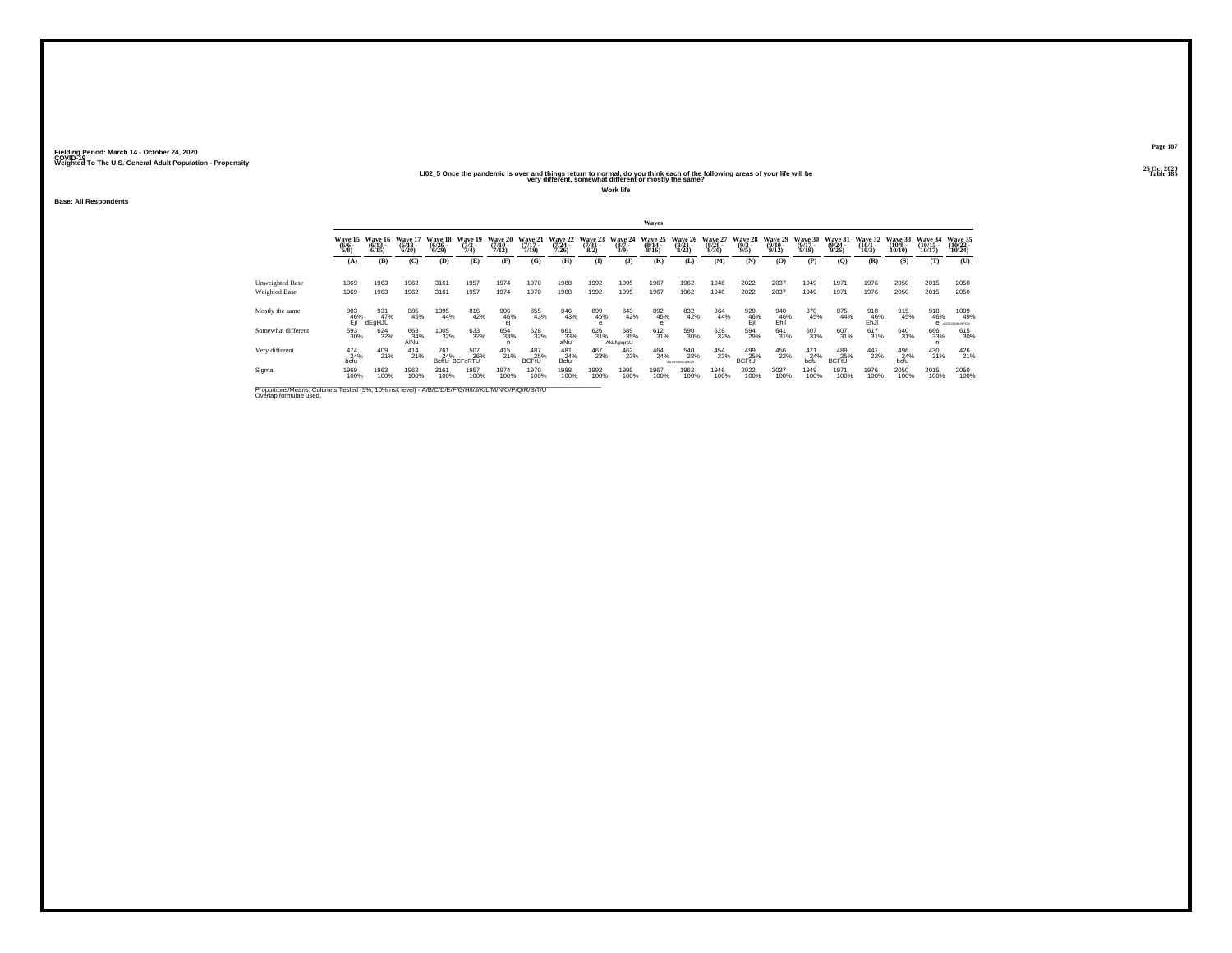#### 25 Oct the pandemic is over and things return to normal, do you think each of the following areas of your life will be "Simple was the same of the following areas of your life will be "Table 185" Table 185" Table 185<br>"Yer

**Work life**

**Base: All Respondents**

|                                                                                                                              |                               |                              |                                  |                                    |                                |                                             |                                  |                              |                                |                               | Waves                            |                                  |                                 |                            |                                  |                                  |                             |                                 |                                        |                                |                               |
|------------------------------------------------------------------------------------------------------------------------------|-------------------------------|------------------------------|----------------------------------|------------------------------------|--------------------------------|---------------------------------------------|----------------------------------|------------------------------|--------------------------------|-------------------------------|----------------------------------|----------------------------------|---------------------------------|----------------------------|----------------------------------|----------------------------------|-----------------------------|---------------------------------|----------------------------------------|--------------------------------|-------------------------------|
|                                                                                                                              | Wave 15<br>$\binom{6/6}{6/8}$ | Wave 16<br>$(6/13 -$<br>6/15 | Wave 17<br>$\frac{(6/18)}{6/20}$ | Wave 18<br>$\frac{(6/26)}{(6/29)}$ | Wave 19<br>$\frac{(7/2)}{7/4}$ | <b>Wave 20</b><br>$\frac{(7/10 - 7)}{7/12}$ | Wave 21<br>$\frac{(7/17)}{7/19}$ | Wave 22<br>$(7/24 -$<br>7/26 | Wave 23<br>$\binom{7/31}{8/2}$ | Wave 24<br>$\binom{8/7}{8/9}$ | Wave 25<br>$\frac{(8/14)}{8/16}$ | Wave 26<br>$\frac{(8/21)}{8/23}$ | Wave 27<br>$\binom{8/28}{8/30}$ | Wave 28<br>(9/3 -<br>9/5)  | Wave 29<br>$\frac{(9/10)}{9/12}$ | Wave 30<br>$\frac{(9/17)}{9/19}$ | Wave 31<br>(9/24 -<br>9/26) | Wave 32<br>$\binom{10/1}{10/3}$ | Wave 33<br>$\frac{(10/8 - 10)}{10/10}$ | Wave 34<br>$(10/15 -$<br>10/17 | Wave 35<br>(10/22<br>10/24    |
|                                                                                                                              | (A)                           | (B)                          | (C)                              | (D)                                | (E)                            | (F)                                         | (G)                              | (H)                          | $\bf{I}$                       | $($ J $)$                     | (K)                              | (L)                              | (M)                             | (N)                        | (0)                              | (P)                              | (Q)                         | (R)                             | (S)                                    | (T)                            | (U)                           |
| Unweighted Base<br>Weighted Base                                                                                             | 1969<br>1969                  | 1963<br>1963                 | 1962<br>1962                     | 3161<br>3161                       | 1957<br>1957                   | 1974<br>1974                                | 1970<br>1970                     | 1988<br>1988                 | 1992<br>1992                   | 1995<br>1995                  | 1967<br>1967                     | 1962<br>1962                     | 1946<br>1946                    | 2022<br>2022               | 2037<br>2037                     | 1949<br>1949                     | 1971<br>1971                | 1976<br>1976                    | 2050<br>2050                           | 2015<br>2015                   | 2050<br>2050                  |
| Mostly the same                                                                                                              | $^{903}_{46\%}$               | 931<br>47%<br>dEgHJL         | 885<br>45%                       | 1395<br>44%                        | 816<br>42%                     | 906<br>46%                                  | 855<br>43%                       | 846<br>43%                   | 899<br>45%                     | 843<br>42%                    | $\substack{892 \\ 45\%}$         | 832<br>42%                       | 864<br>44%                      | 929<br>46%<br>Ejl          | 940<br>46%<br>Ehjl               | 870<br>45%                       | 875<br>44%                  | 918<br>46%<br>EhJi              | 915<br>45%                             | 918<br>46%<br>е                | 1009<br>49%<br>ACCORD MANPOST |
| Somewhat different                                                                                                           | 593<br>30%                    | 624<br>32%                   | 663<br>34%<br>AlNu               | 1005<br>32%                        | 633<br>32%                     | 654<br>33%                                  | 628<br>32%                       | 661<br>33%<br>aÑū            | 626<br>31%                     | 689<br>35%<br>AkLNpgrsU       | $\frac{612}{31\%}$               | $^{590}_{\ 30\%}$                | 628<br>32%                      | 594<br>29%                 | 641<br>31%                       | 607<br>31%                       | 607<br>31%                  | 617<br>31%                      | 640<br>31%                             | 666<br>33%                     | 615<br>30%                    |
| Very different                                                                                                               | 474<br>24%<br>bcfu            | $^{409}_{21\%}$              | $^{414}_{21\%}$                  | 761<br>24%                         | 507<br>26%<br>BcftU BCFoRTU    | 415<br>21%                                  | 487<br>25%<br><b>BCFtU</b>       | 481<br>24%<br>Bcfu           | 467<br>23%                     | 462<br>23%                    | 464%                             | 540<br>28%<br>ARCOFILIANO/RUTU   | 454<br>23%                      | 499<br>25%<br><b>BCFtU</b> | 456<br>22%                       | 471<br>24%<br>bcfu               | 489<br>25%<br><b>BCFtU</b>  | 441<br>22%                      | 496<br>24%<br>bcfu                     | 430<br>21%                     | $^{426}_{21\%}$               |
| Sigma                                                                                                                        | 1969<br>100%                  | 1963<br>100%                 | 1962<br>100%                     | 3161<br>100%                       | 1957<br>100%                   | 1974<br>100%                                | 1970<br>100%                     | 1988<br>100%                 | 1992<br>100%                   | 1995<br>100%                  | 1967<br>100%                     | 1962<br>100%                     | 1946<br>100%                    | 2022<br>100%               | 2037<br>100%                     | 1949<br>100%                     | 1971<br>100%                | 1976<br>100%                    | 2050<br>100%                           | 2015<br>100%                   | 2050<br>100%                  |
| Proportions/Means: Columns Tested (5%, 10% risk level) - A/B/C/D/E/F/G/H/I/J/K/L/M/N/O/P/Q/R/S/T/U<br>Overlap formulae used. |                               |                              |                                  |                                    |                                |                                             |                                  |                              |                                |                               |                                  |                                  |                                 |                            |                                  |                                  |                             |                                 |                                        |                                |                               |

**Page 187**25 Oct 2020<br>Table 185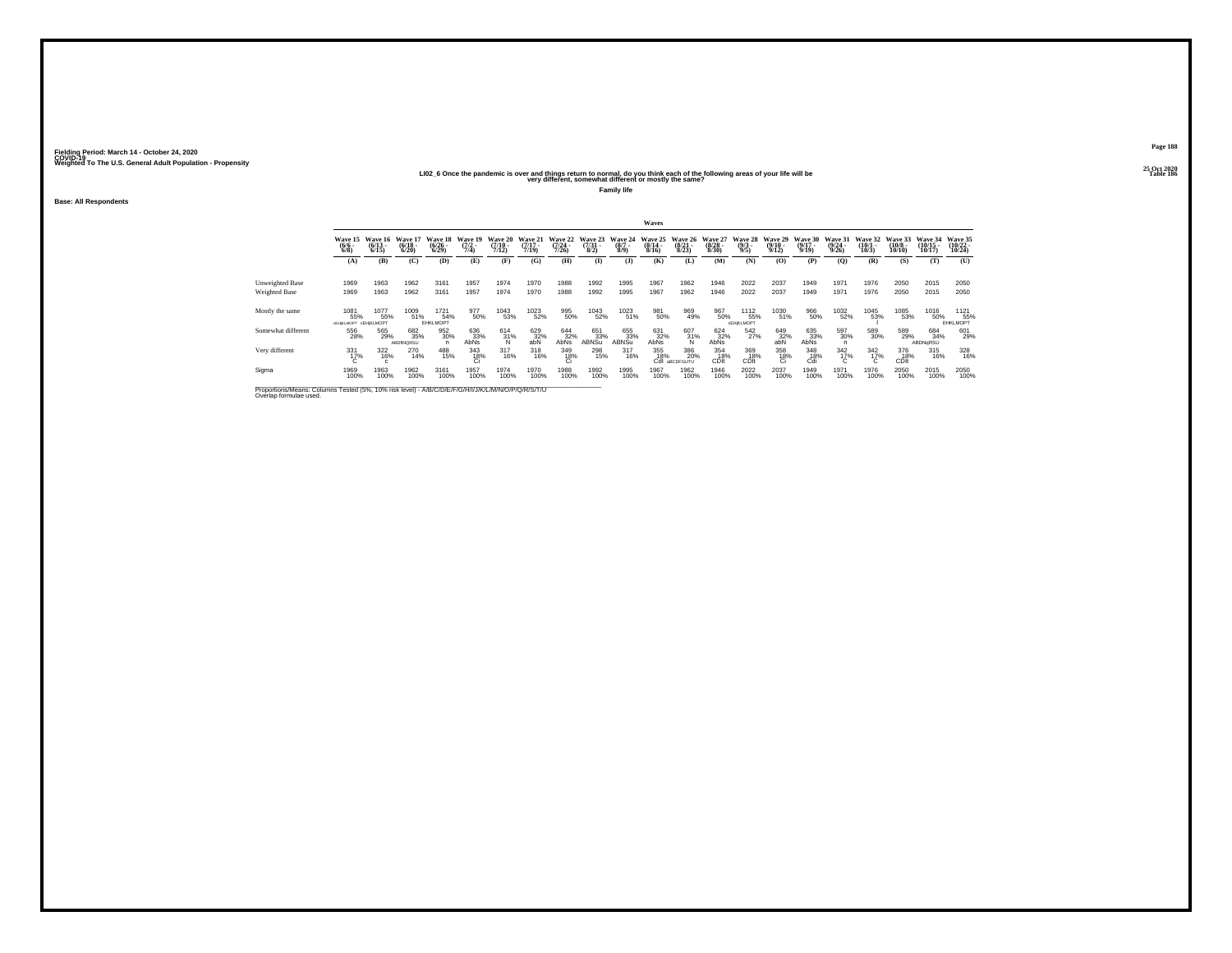#### 25 Oct 2020<br>LIO2\_6 Once the pandemic is over and things return to normal, do you think each of the following areas of your life will be<br>very different, somewhat different or mostly the same?

**Family life**

**Base: All Respondents**

|                    |                                             |                                 |                                  |                                    |                                  |                                  |                                  |                                  |                                 |                               | Waves                       |                                  |                                  |                                       |                                  |                                      |                                  |                               |                                   |                                       |                                |
|--------------------|---------------------------------------------|---------------------------------|----------------------------------|------------------------------------|----------------------------------|----------------------------------|----------------------------------|----------------------------------|---------------------------------|-------------------------------|-----------------------------|----------------------------------|----------------------------------|---------------------------------------|----------------------------------|--------------------------------------|----------------------------------|-------------------------------|-----------------------------------|---------------------------------------|--------------------------------|
|                    | Wave 15<br>$\binom{6/6}{6/8}$               | Wave 16<br>$\binom{6/13}{6/15}$ | Wave 17<br>$\frac{(6/18)}{6/20}$ | Wave 18<br>$\frac{(6/26)}{(6/29)}$ | Wave 19<br>$\frac{(7/2)}{(7/4)}$ | Wave 20<br>$\frac{(7/10)}{7/12}$ | Wave 21<br>$\frac{(7/17)}{7/19}$ | Wave 22<br>$\frac{(7/24)}{7/26}$ | Wave 23<br>$\frac{(7/31)}{8/2}$ | Wave 24<br>$\binom{8/7}{8/9}$ | Wave 25<br>(8/14 -<br>8/16) | Wave 26<br>$\frac{(8/21)}{8/23}$ | Wave 27<br>$\frac{(8/28)}{8/30}$ | <b>Wave 28</b><br>$\frac{(9/3)}{9/5}$ | Wave 29<br>$\frac{(9/10)}{9/12}$ | Wave 30<br>$\frac{(9/17 - 9)}{9/19}$ | Wave 31<br>$\frac{(9/24)}{9/26}$ | Wave 32<br>$\binom{10}{10/3}$ | Wave 33<br>$\frac{(10/8)}{10/10}$ | <b>Wave 34</b><br>$(10/15 -$<br>10/17 | Wave 35<br>(10/22 -<br>10/24)  |
|                    | (A)                                         | (B)                             | (C)                              | (D)                                | (E)                              | (F)                              | (G)                              | (H)                              | <b>(I)</b>                      | (1)                           | (K)                         | (L)                              | (M)                              | (N)                                   | (0)                              | (P)                                  | (0)                              | (R)                           | (S)                               | (T)                                   | (U)                            |
| Unweighted Base    | 1969                                        | 1963                            | 1962                             | 3161                               | 1957                             | 1974                             | 1970                             | 1988                             | 1992                            | 1995                          | 1967                        | 1962                             | 1946                             | 2022                                  | 2037                             | 1949                                 | 1971                             | 1976                          | 2050                              | 2015                                  | 2050                           |
| Weighted Base      | 1969                                        | 1963                            | 1962                             | 3161                               | 1957                             | 1974                             | 1970                             | 1988                             | 1992                            | 1995                          | 1967                        | 1962                             | 1946                             | 2022                                  | 2037                             | 1949                                 | 1971                             | 1976                          | 2050                              | 2015                                  | 2050                           |
| Mostly the same    | 1081<br>55%<br><b>CEHIKLMOPT CEHIKLMOPT</b> | 1077<br>55%                     | 1009<br>51%                      | 1721<br>54%<br>EHKLMOPT            | 977<br>50%                       | 1043<br>53%                      | 1023<br>52%                      | 995<br>50%                       | 1043<br>52%                     | 1023<br>51%                   | 981<br>50%                  | 969<br>49%                       | 967<br>50%                       | 1112<br>55%<br><b>CEHIKLMOPT</b>      | 1030<br>51%                      | 966<br>50%                           | 1032<br>52%                      | 1045<br>53%                   | 1085<br>53%                       | 1016<br>50%                           | 1121<br>55%<br><b>EHKLMOPT</b> |
| Somewhat different | 556<br>28%                                  | 565<br>29%                      | 682<br>35%<br>ABDINQRSU          | 952<br>30%                         | 636<br>33%<br>AbNs               | $^{614}_{31\%}$                  | 629<br>32%<br>abN                | $644 \overline{32\%}$ AbNs       | 651<br>33%<br>ABNSu             | 655<br>33%<br>ABNSu           | 631<br>32%<br>AbNs          | $\frac{607}{31\%}$               | $624 \overline{32\%}$ AbNs       | 542<br>27%                            | $^{649}_{32\%}$ abN              | 635<br>33%<br>AbNs                   | 597<br>30%                       | 589<br>30%                    | 589<br>29%                        | 684<br>34%<br>ABDNoRSU                | 601<br>29%                     |
| Very different     | 331<br>17%                                  | 322<br>16%                      | 270<br>14%                       | 488<br>15%                         | 343<br>18%                       | $317_{16\%}$                     | 318<br>16%                       | $\frac{349}{18\%}$               | 298<br>15%                      | $\frac{317}{16\%}$            | 355<br>18%                  | 386<br>20%<br>Cdl aBCDFGUTU      | 354<br>18%<br>CDIt               | 369<br>18%<br>CDIt                    | $\underset{\text{Ci}}{^{358}}$   | 348<br>18%<br>Cdi                    | $\frac{342}{17\%}$               | $\frac{342}{17\%}$<br>C.      | 376<br>18%<br>CDIt                | $\frac{315}{16\%}$                    | 328<br>16%                     |
| Sigma              | 1969<br>100%                                | 1963<br>100%                    | 1962<br>100%                     | 3161<br>100%                       | 1957<br>100%                     | 1974<br>100%                     | 1970<br>100%                     | 1988<br>100%                     | 1992<br>100%                    | 1995<br>100%                  | 1967<br>100%                | 1962<br>100%                     | 1946<br>100%                     | 2022<br>100%                          | 2037<br>100%                     | 1949<br>100%                         | 1971<br>100%                     | 1976<br>100%                  | 2050<br>100%                      | 2015<br>100%                          | 2050<br>100%                   |

Proportions/Means: Columns Tested (5%, 10% risk level) - A/B/C/D/E/F/G/H/I/J/K/L/M/N/O/P/Q/R/S/T/U \_\_\_\_\_\_\_\_\_\_\_<br>Overlap formulae used.

**Page 188**25 Oct 2020<br>Table 186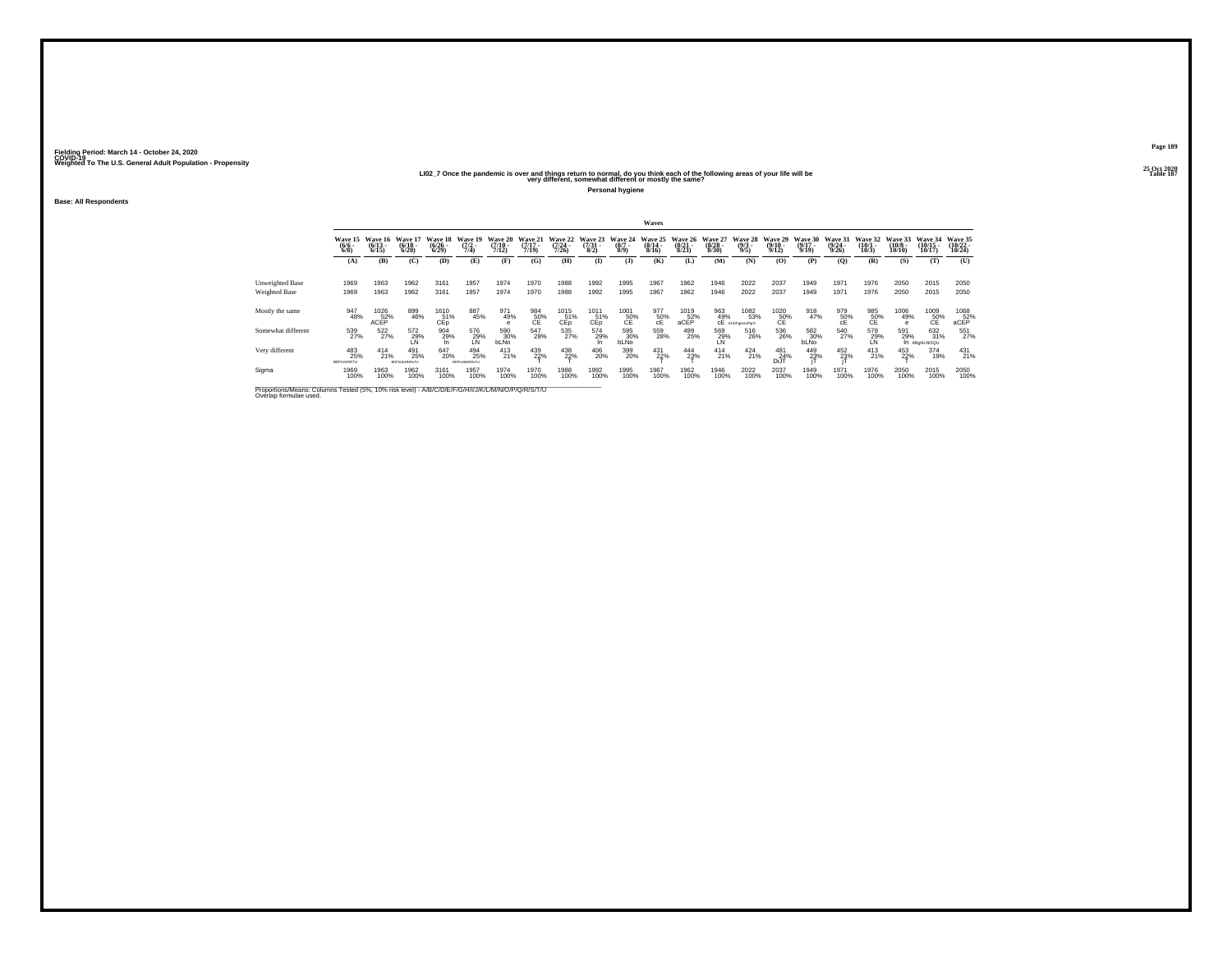#### 25 Oct 2020<br>Table 187 – History different, somewhat different or mostly the same?<br>Very different, somewhat different or mostly the same?

**Personal hygiene**

**Base: All Respondents**

|                                  |                                 |                                 |                                   |                                        |                                   |                                         |                                  |                                             |                                 |                                              | Waves                                    |                                  |                                  |                                                                                                                                    |                                                                       |                                                           |                                         |                                        |                                        |                                   |                                    |
|----------------------------------|---------------------------------|---------------------------------|-----------------------------------|----------------------------------------|-----------------------------------|-----------------------------------------|----------------------------------|---------------------------------------------|---------------------------------|----------------------------------------------|------------------------------------------|----------------------------------|----------------------------------|------------------------------------------------------------------------------------------------------------------------------------|-----------------------------------------------------------------------|-----------------------------------------------------------|-----------------------------------------|----------------------------------------|----------------------------------------|-----------------------------------|------------------------------------|
|                                  | Wave 15<br>$\frac{(6/6)}{6/8}$  | Wave 16<br>$\binom{6/13}{6/15}$ | Wave 17<br>$\frac{(6/18)}{6/20}$  | Wave 18<br>$\frac{(6/26 - 6)}{(6/29)}$ | Wave 19<br>$\frac{(7/2)}{7/4}$    | <b>Wave 20</b><br>$\frac{(7/10)}{7/12}$ | Wave 21<br>$\frac{(7/17)}{7/19}$ | <b>Wave 22</b><br>$\frac{(7/24 - 7)}{7/26}$ | Wave 23<br>$\frac{(7/31)}{8/2}$ | Wave 24<br>$\frac{(8/7)}{8/9}$               | Wave 25<br>$\frac{(8/14 \cdot 8)}{8/16}$ | Wave 26<br>$\frac{(8/21)}{8/23}$ | Wave 27<br>$\frac{(8/28)}{8/30}$ | Wave 28<br>$\binom{9/3}{9/5}$                                                                                                      | Wave 29<br>$\frac{(9/10)}{9/12}$                                      | Wave 30<br>$\frac{(9/17)}{9/19}$                          | <b>Wave 31</b><br>$\frac{(9/24)}{9/26}$ | Wave 32<br>$\binom{10/1}{10/3}$        | Wave 33<br>$\frac{(10/8 - 10)}{10/10}$ | Wave 34<br>$\binom{10/15}{10/17}$ | Wave 35<br>$\frac{(10/22)}{10/24}$ |
|                                  | (A)                             | (B)                             | (C)                               | (D)                                    | (E)                               | (F)                                     | (G)                              | (H)                                         | $\mathbf{I}$                    | (3)                                          | (K)                                      | (L)                              | (M)                              | (N)                                                                                                                                | (O)                                                                   | (P)                                                       | (Q)                                     | (R)                                    | (S)                                    | (T)                               | (U)                                |
| Unweighted Base<br>Weighted Base | 1969<br>1969                    | 1963<br>1963                    | 1962<br>1962                      | 3161<br>3161                           | 1957<br>1957                      | 1974<br>1974                            | 1970<br>1970                     | 1988<br>1988                                | 1992<br>1992                    | 1995<br>1995                                 | 1967<br>1967                             | 1962<br>1962                     | 1946<br>1946                     | 2022<br>2022                                                                                                                       | 2037<br>2037                                                          | 1949<br>1949                                              | 1971<br>1971                            | 1976<br>1976                           | 2050<br>2050                           | 2015<br>2015                      | 2050<br>2050                       |
| Mostly the same                  | 947<br>48%                      | 1026<br>52%<br>ACEP             | 899<br>46%                        | 1610<br>51%<br>CEp                     | 887<br>45%                        | 971<br>49%                              | $^{984}_{50\%}$                  | 1015<br>51%<br>CEp <sup>1</sup>             | 1011<br>51%<br>CEp              | $\underset{\text{CE}}{\overset{1001}{50\%}}$ | $^{977}_{50\%}$                          | $^{1019}_{\,~~52\%}$ aCEP        |                                  | $\underset{\text{CE} \ \text{ACEF-gimology}}{\text{963}} \underset{\text{CE} \ \text{ACEF-gimologyS}}{\text{1082}}$<br>1082<br>53% | $^{1020}_{\hphantom{10}50\%}_{\hphantom{10} \hphantom{10} \text{CE}}$ | 918<br>47%                                                | $^{979}_{50\%}$                         | $^{985}_{\substack{50\%\\ \text{CE}}}$ | 1006<br>49%<br>e                       | 1009<br>50%<br>CE                 | $^{1068}_{\phantom{1}52\%}$ aCEP   |
| Somewhat different               | 539<br>27%                      | 522<br>27%                      | 572<br>29%<br>LN                  | 904<br>29%                             | 576<br>29%<br>LN                  | 590<br>30%<br>bLNo                      | 547<br>28%                       | $\frac{535}{27\%}$                          | 574<br>29%                      | 595<br>30%<br>bLNo                           | 559<br>28%                               | 499<br>25%                       | 569<br>29%<br>LN                 | 516<br>26%                                                                                                                         | 536<br>26%                                                            | $\begin{array}{c} 582 \\ 30\% \\ \text{blNo} \end{array}$ | 540<br>27%                              | $^{578}_{-29\%}$                       | 591<br>29%                             | 632<br>31%<br>In ABGHLNOQU        | 551<br>27%                         |
| Very different                   | 483<br>25%<br><b>BDFIJmNRTU</b> | $^{414}_{21\%}$                 | 491<br>25%<br><b>ROPH MANRYTH</b> | 647<br>20%                             | 494<br>25%<br><b>ROFH MANRYTI</b> | 413<br>21%                              | 439<br>22%                       | $^{438}_{22\%}$                             | 406<br>20%                      | 399<br>20%                                   | 431<br>22%                               | 444<br>23%                       | $^{414}_{21\%}$                  | $^{424}_{21\%}$                                                                                                                    | 481<br>24%<br>DiJT                                                    | 449<br>23%                                                | 452<br>23%                              | $^{413}_{21\%}$                        | 453<br>22%                             | 374<br>19%                        | $^{431}_{21\%}$                    |
| Sigma                            | 1969<br>100%                    | 1963<br>100%                    | 1962<br>100%                      | 3161<br>100%                           | 1957<br>100%                      | 1974<br>100%                            | 1970<br>100%                     | 1988<br>100%                                | 1992<br>100%                    | 1995<br>100%                                 | 1967<br>100%                             | 1962<br>100%                     | 1946<br>100%                     | 2022<br>100%                                                                                                                       | 2037<br>100%                                                          | 1949<br>100%                                              | 1971<br>100%                            | 1976<br>100%                           | 2050<br>100%                           | 2015<br>100%                      | 2050<br>100%                       |

Proportions/Means: Columns Tested (5%, 10% risk level) - A/B/C/D/E/F/G/H/I/J/K/L/M/N/O/P/Q/R/S/T/U Overlap formulae used.<br>Overlap formulae used.

**Page 189**25 Oct 2020<br>Table 187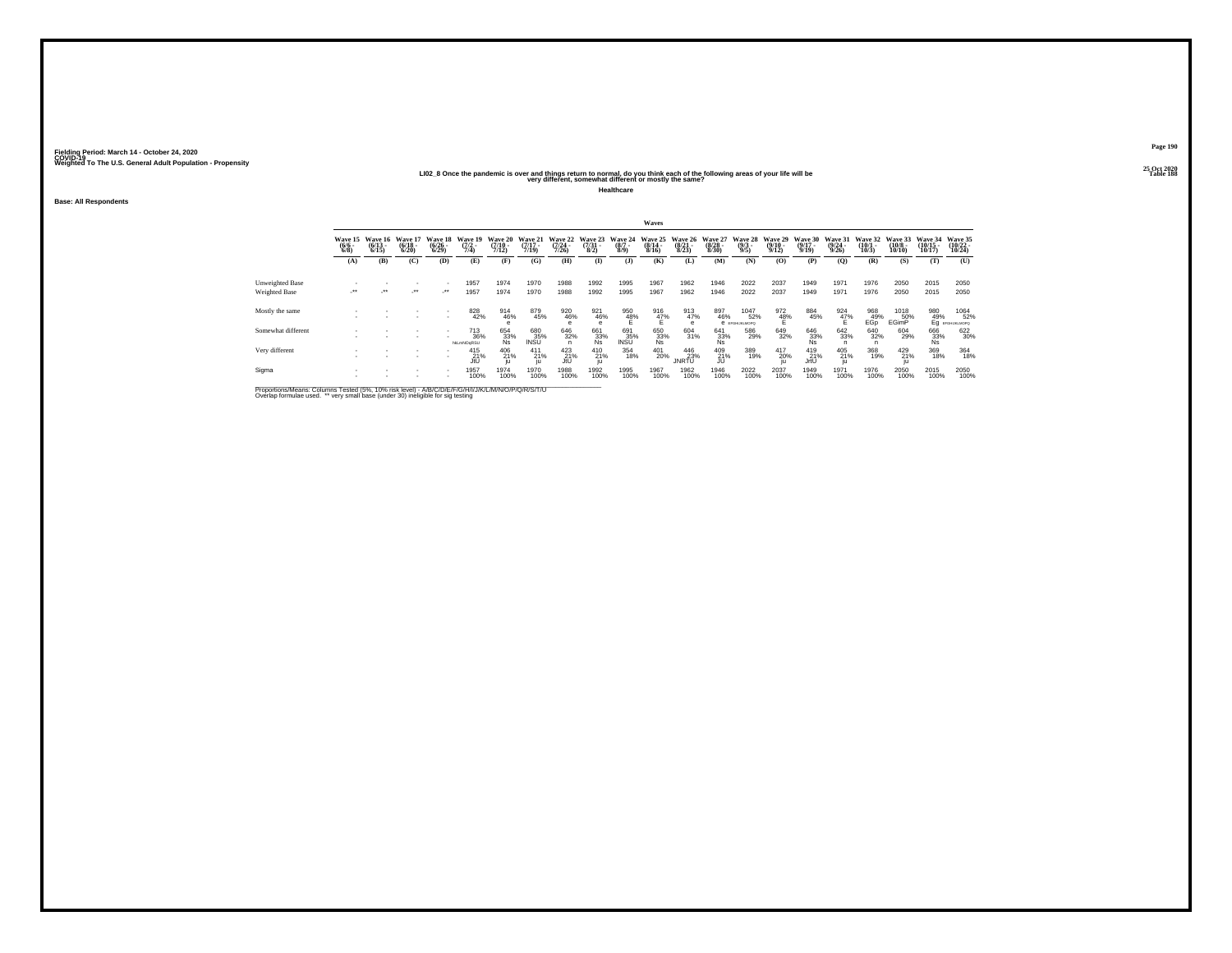#### 25 Oct 2020<br>LIO2\_8 Once the pandemic is over and things return to normal, do you think each of the following areas of your life will be<br>very different, somewhat different or mostly the same?

**Healthcare**

**Base: All Respondents**

|                                         |                                      |                                 |                                  |                                        |                                  |                                  |                                  |                              |                                 |                               | Waves                                |                                  |                                  |                                |                                                |                                  |                                  |                                 |                                  |                                |                                                       |
|-----------------------------------------|--------------------------------------|---------------------------------|----------------------------------|----------------------------------------|----------------------------------|----------------------------------|----------------------------------|------------------------------|---------------------------------|-------------------------------|--------------------------------------|----------------------------------|----------------------------------|--------------------------------|------------------------------------------------|----------------------------------|----------------------------------|---------------------------------|----------------------------------|--------------------------------|-------------------------------------------------------|
|                                         | Wave 15<br>$\frac{(6/6 - 6)}{(6/8)}$ | Wave 16<br>$\binom{6/13}{6/15}$ | Wave 17<br>$\frac{(6/18)}{6/20}$ | Wave 18<br>$\frac{(6/26 - 6)}{(6/29)}$ | Wave 19<br>$\frac{(7/2)}{(7/4)}$ | Wave 20<br>$\frac{(7/10)}{7/12}$ | Wave 21<br>$\frac{(7/17)}{7/19}$ | Wave 22<br>$(7/24 -$<br>7/26 | Wave 23<br>$\frac{(7/31)}{8/2}$ | Wave 24<br>$\binom{8/7}{8/9}$ | Wave 25<br>$\frac{(8/14 - 8)}{8/16}$ | Wave 26<br>$\frac{(8/21)}{8/23}$ | Wave 27<br>$\frac{(8/28)}{8/30}$ | Wave 28<br>$\frac{(9/3)}{9/5}$ | <b>Wave 29</b><br>$\frac{(9/10 - 9/12)}{9/12}$ | Wave 30<br>$\frac{(9/17)}{9/19}$ | Wave 31<br>$\frac{(9/24)}{9/26}$ | Wave 32<br>$\binom{10/1}{10/3}$ | Wave 33<br>$\binom{10/8}{10/10}$ | Wave 34<br>$(10/15 -$<br>10/17 | Wave 35<br>$(10/22 -$<br>10/24                        |
|                                         | (A)                                  | (B)                             | (C)                              | (D)                                    | (E)                              | (F)                              | (G)                              | (H)                          | $\bf{I}$                        | $($ $\bf{J}$                  | (K)                                  | (L)                              | (M)                              | (N)                            | (0)                                            | (P)                              | (0)                              | (R)                             | (S)                              | (T)                            | (U)                                                   |
| Unweighted Base<br><b>Weighted Base</b> |                                      | $\cdot$                         |                                  | $\mathcal{L}^{\bullet\bullet}$         | 1957<br>1957                     | 1974<br>1974                     | 1970<br>1970                     | 1988<br>1988                 | 1992<br>1992                    | 1995<br>1995                  | 1967<br>1967                         | 1962<br>1962                     | 1946<br>1946                     | 2022<br>2022                   | 2037<br>2037                                   | 1949<br>1949                     | 1971<br>1971                     | 1976<br>1976                    | 2050<br>2050                     | 2015<br>2015                   | 2050<br>2050                                          |
| Mostly the same                         |                                      |                                 |                                  |                                        | 828                              | 914<br>46%                       | 879<br>45%                       | 920<br>46%                   | 921<br>46%                      | 950<br>48%                    | $^{916}_{47\%}$                      | 913<br>47%                       | 897<br>46%                       | 1047<br>52%<br>В ЕГСНЫКШОРО    | 972<br>48%                                     | 884<br>45%                       | $\frac{924}{47\%}$               | 968<br>49%<br>EGo               | 1018<br>50%<br>EGimP             |                                | 980 1064<br>49% 52'<br>Eg erghustandro<br>1064<br>52% |
| Somewhat different                      |                                      |                                 |                                  |                                        | 713<br>36%<br>hkLmNOgRSU         | 654<br>33%<br>Ns                 | 680<br>35%<br>INSU               | 646<br>32%                   | 661<br>33%<br>Ns                | 691<br>35%<br>INSU            | 650<br>33%<br>Ns                     | 604<br>31%                       | $\frac{641}{33\%}$               | 586<br>29%                     | 649<br>32%                                     | 646<br>33%<br>Ns                 | 642<br>33%                       | 640<br>32%<br>n                 | 604<br>29%                       | 666<br>33%<br>Ns               | 622<br>30%                                            |
| Very different                          |                                      |                                 |                                  | $\overline{\phantom{a}}$               | 415<br>21%<br>JtU                | 406<br>21%<br>iu.                | $^{411}_{21\%}$                  | $^{423}_{21\%}$<br>JtU       | 410<br>21%                      | 354<br>18%                    | 401<br>20%                           | 446<br>23%<br><b>JNRTU</b>       | $^{409}_{21\%}$                  | 389<br>19%                     | 417<br>20%                                     | 419<br>21%<br>JrtU               | 405<br>21%                       | 368<br>19%                      | 429<br>21%                       | 369<br>18%                     | 364<br>18%                                            |
| Sigma                                   |                                      |                                 |                                  |                                        | 1957<br>100%                     | 1974<br>100%                     | 1970<br>100%                     | 1988<br>100%                 | 1992<br>100%                    | 1995<br>100%                  | 1967<br>100%                         | 1962<br>100%                     | 1946<br>100%                     | 2022<br>100%                   | 2037<br>100%                                   | 1949<br>100%                     | 1971<br>100%                     | 1976<br>100%                    | 2050<br>100%                     | 2015<br>100%                   | 2050<br>100%                                          |

Proportions/Means: Columns Tested (5%, 10% risk level) - A/B/C/D/E/F/G/H/I/J/K/L/M/N/O/P/Q/R/S/T/U<br>Overlap formulae used. \*\* very small base (under 30) ineligible for sig testing

**Page 190**25 Oct 2020<br>Table 188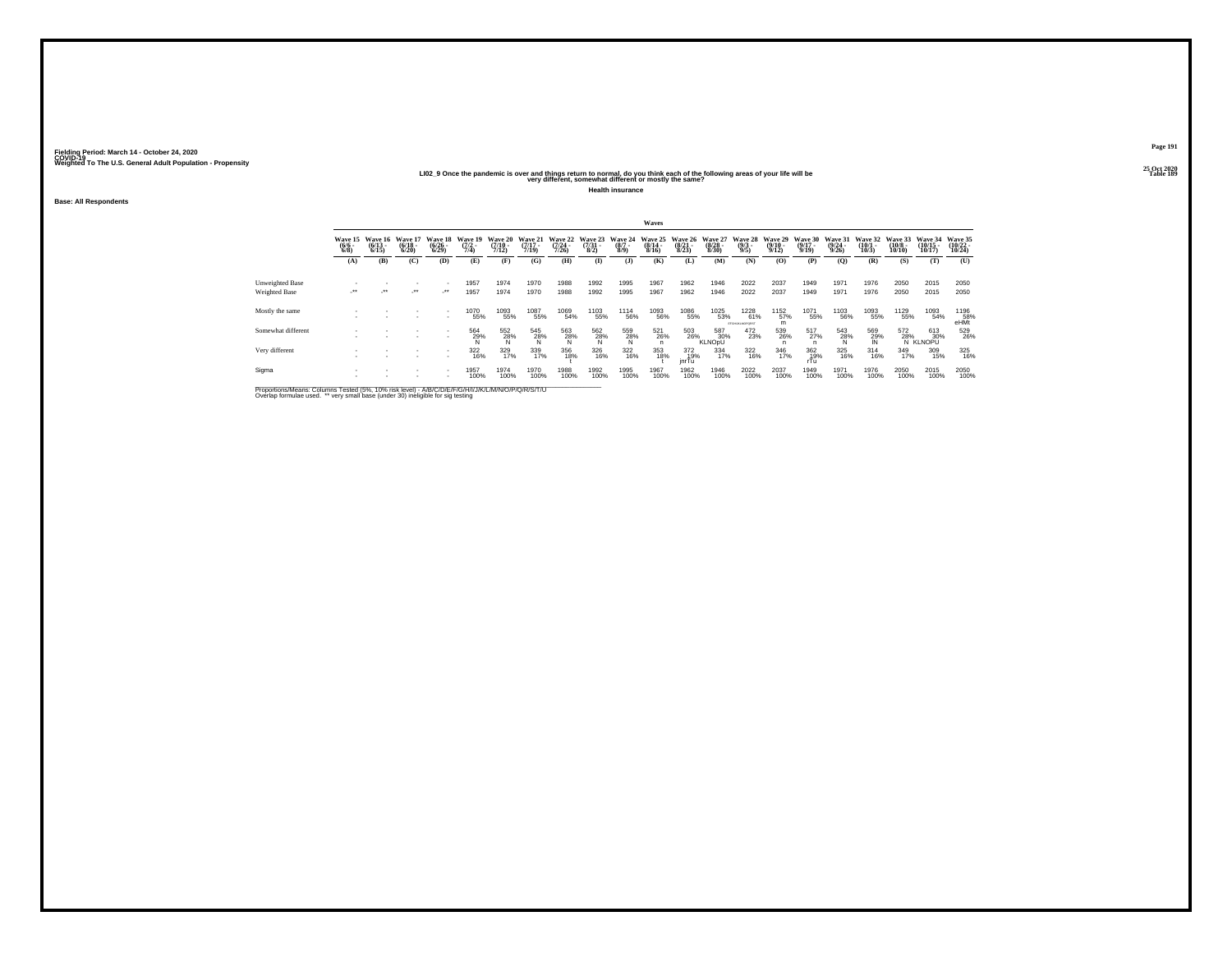#### 25 Oct 2020<br>LIO2\_9 Once the pandemic is over and things return to normal, do you think each of the following areas of your life will be<br>very different, somewhat different or mostly the same?

**Health insurance**

**Base: All Respondents**

|                                                |                                |                                  |                                  |                                 |                                |                                      |                                  |                                  |                                     |                               | Waves                                                                          |                                        |                                  |                                |                                         |                                  |                                         |                                       |                                        |                                    |                                |
|------------------------------------------------|--------------------------------|----------------------------------|----------------------------------|---------------------------------|--------------------------------|--------------------------------------|----------------------------------|----------------------------------|-------------------------------------|-------------------------------|--------------------------------------------------------------------------------|----------------------------------------|----------------------------------|--------------------------------|-----------------------------------------|----------------------------------|-----------------------------------------|---------------------------------------|----------------------------------------|------------------------------------|--------------------------------|
|                                                | Wave 15<br>$\frac{(6/6)}{6/8}$ | Wave 16<br>$\frac{(6/13)}{6/15}$ | Wave 17<br>$\frac{(6/18)}{6/20}$ | Wave 18<br>$\binom{6/26}{6/29}$ | Wave 19<br>$\frac{(7/2)}{7/4}$ | Wave 20<br>$\frac{(7/10 - 7)}{7/12}$ | Wave 21<br>$\frac{(7/17)}{7/19}$ | Wave 22<br>$\frac{(7/24)}{7/26}$ | Wave 23<br>$\frac{(7/31 - 8)}{8/2}$ | Wave 24<br>$\binom{8/7}{8/9}$ | Wave 25<br>$\frac{(8/14 \cdot 8)}{8/16}$                                       | <b>Wave 26</b><br>$\binom{8/21}{8/23}$ | Wave 27<br>$\frac{(8/28)}{8/30}$ | Wave 28<br>$\binom{9/3}{9/5}$  | Wave 29<br>$\frac{(9/10 - 9/12)}{9/12}$ | Wave 30<br>$\frac{(9/17)}{9/19}$ | Wave 31<br>$\frac{(9/24 - 9/26)}{9/26}$ | Wave 32<br>$\binom{10/1}{10/3}$       | Wave 33<br>$\frac{(10/8 - 10)}{10/10}$ | Wave 34<br>$(10/15 -$<br>$10/17$ ) | Wave 35<br>$(10/22 -$<br>10/24 |
|                                                | (A)                            | (B)                              | (C)                              | (D)                             | (E)                            | (F)                                  | (G)                              | (H)                              | $\bf{I}$                            | (3)                           | (K)                                                                            | (L)                                    | (M)                              | (N)                            | (0)                                     | (P)                              | (O)                                     | (R)                                   | (S)                                    | (T)                                | (U)                            |
| <b>Unweighted Base</b><br><b>Weighted Base</b> | $\cdot$                        | ur.                              | $\cdot$                          | ٠<br>$\cdot$                    | 1957<br>1957                   | 1974<br>1974                         | 1970<br>1970                     | 1988<br>1988                     | 1992<br>1992                        | 1995<br>1995                  | 1967<br>1967                                                                   | 1962<br>1962                           | 1946<br>1946                     | 2022<br>2022                   | 2037<br>2037                            | 1949<br>1949                     | 1971<br>1971                            | 1976<br>1976                          | 2050<br>2050                           | 2015<br>2015                       | 2050<br>2050                   |
| Mostly the same                                |                                |                                  |                                  | ٠                               | 1070<br>55%                    | 1093<br>55%                          | 1087<br>55%                      | 1069<br>54%                      | 1103<br>55%                         | <sup>1114</sup> 56%           | 1093<br>56%                                                                    | 1086<br>55%                            | 1025<br>53%                      | 1228<br>61%<br>COSM MI MODOGOT | 1152<br>57%<br>m.                       | 1071<br>55%                      | <sup>1103</sup> 56%                     | 1093<br>55%                           | 1129<br>55%                            | 1093<br>54%                        | 1196<br>58%<br>eHMt            |
| Somewhat different                             |                                |                                  |                                  |                                 | 564<br>29%                     | $\frac{552}{28\%}$                   | 545<br>28%                       | $^{563}_{28\%}$                  | $\frac{562}{28\%}$                  | 559<br>28%<br>N               | $^{521}_{\hphantom{1}\hphantom{1}26\%}_{\hphantom{1}\hphantom{1}\hphantom{1}}$ |                                        | $^{503}_{26\%}$ KLNOpU           | $\frac{472}{23\%}$             | 539<br>26%                              | 517<br>27%                       | $^{543}_{28\%}$                         | $^{569}_{\substack{29\%\\1\text{N}}}$ |                                        | 572 613<br>28% 30%<br>N KLNOPU     | 529<br>26%                     |
| Very different                                 |                                |                                  |                                  |                                 | 322<br>16%                     | 329<br>17%                           | 339<br>17%                       | 356<br>18%                       | 326<br>16%                          | 322<br>16%                    | 353<br>18%                                                                     | 372<br>19%<br>inrTu                    | 334<br>17%                       | 322<br>16%                     | 346<br>17%                              | 362<br>19%<br>rTu                | 325<br>16%                              | $^{314}_{16\%}$                       | 349<br>17%                             | 309<br>15%                         | 325<br>16%                     |
| Sigma                                          |                                |                                  |                                  | ٠                               | 1957<br>100%                   | 1974<br>100%                         | 1970<br>100%                     | 1988<br>100%                     | 1992<br>100%                        | 1995<br>100%                  | 1967<br>100%                                                                   | 1962<br>100%                           | 1946<br>100%                     | 2022<br>100%                   | 2037<br>100%                            | 1949<br>100%                     | 1971<br>100%                            | 1976<br>100%                          | 2050<br>100%                           | 2015<br>100%                       | 2050<br>100%                   |

Proportions/Means: Columns Tested (5%, 10% risk level) - A/B/C/D/E/F/G/H/I/J/K/L/M/N/O/P/Q/R/S/T/U<br>Overlap formulae used. \*\* very small base (under 30) ineligible for sig testing

**Page 191**25 Oct 2020<br>Table 189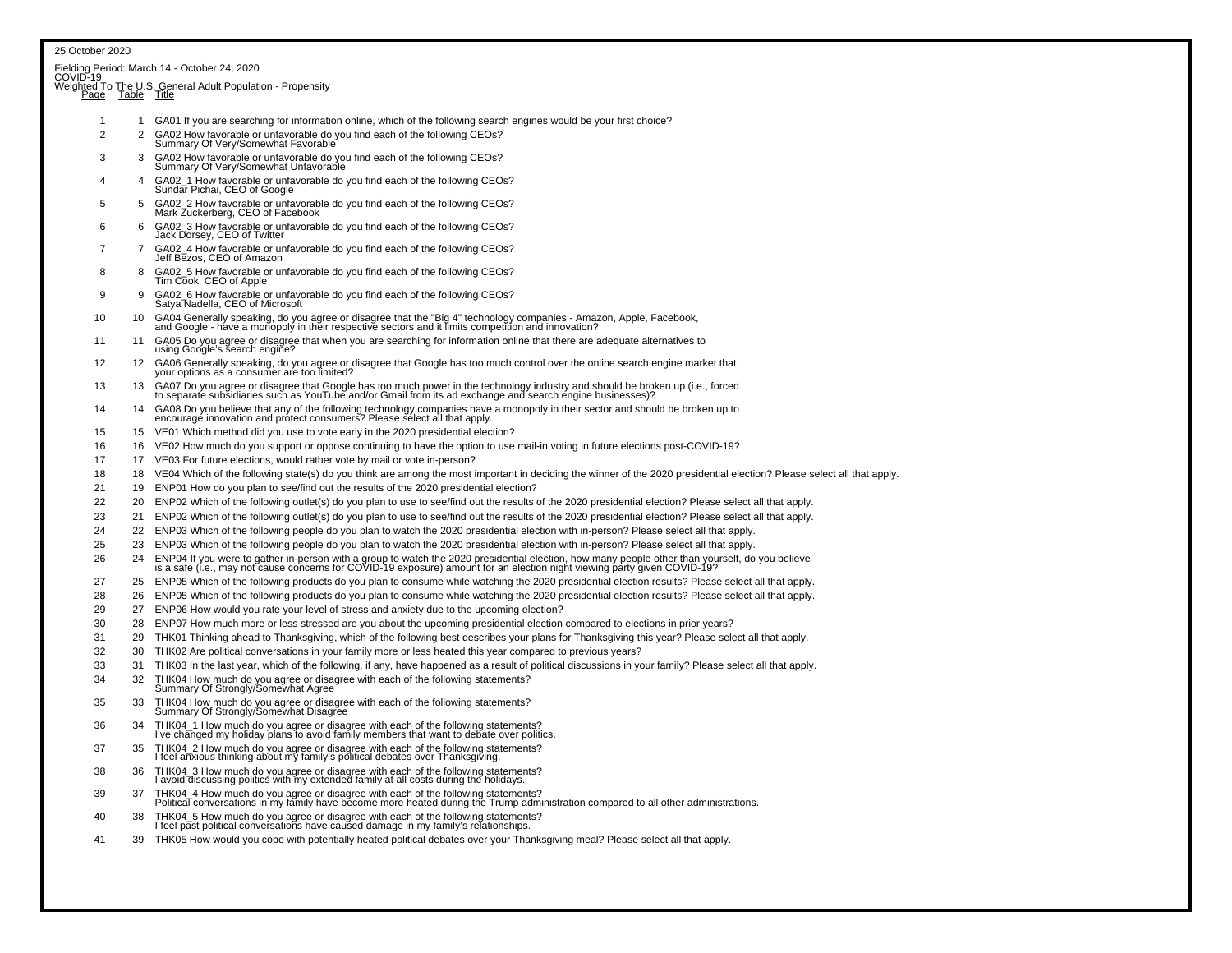|                  |              | Fielding Period: March 14 - October 24, 2020<br>COVID-19                                                                                                                                                                          |
|------------------|--------------|-----------------------------------------------------------------------------------------------------------------------------------------------------------------------------------------------------------------------------------|
|                  |              | Weighted To The U.S. General Adult Population - Propensity                                                                                                                                                                        |
| Page Table Title |              |                                                                                                                                                                                                                                   |
| -1               | $\mathbf{1}$ | GA01 If you are searching for information online, which of the following search engines would be your first choice?                                                                                                               |
| $\overline{c}$   | 2            | GA02 How favorable or unfavorable do you find each of the following CEOs?<br>Summary Of Very/Somewhat Favorable                                                                                                                   |
| 3                | 3            | GA02 How favorable or unfavorable do you find each of the following CEOs?<br>Summary Of Very/Somewhat Unfavorable                                                                                                                 |
| 4                | 4            | GA02_1 How favorable or unfavorable do you find each of the following CEOs?<br>Sundar Pichai, CEO of Google                                                                                                                       |
| 5                | 5            | GA02_2 How favorable or unfavorable do you find each of the following CEOs?<br>Mark Zuckerberg, CEO of Facebook                                                                                                                   |
| 6                | 6            | GA02_3 How favorable or unfavorable do you find each of the following CEOs?<br>Jack Dorsey, CEO of Twitter                                                                                                                        |
| 7                | 7            | GA02_4 How favorable or unfavorable do you find each of the following CEOs?<br>Jeff Bezos, CEO of Amazon                                                                                                                          |
| 8                | -8           | GA02 5 How favorable or unfavorable do you find each of the following CEOs?<br>Tim Cook, CEO of Apple                                                                                                                             |
| 9                | 9            | GA02_6 How favorable or unfavorable do you find each of the following CEOs?<br>Satya Nadella, CEO of Microsoft                                                                                                                    |
| 10               | 10           | GA04 Generally speaking, do you agree or disagree that the "Big 4" technology companies - Amazon, Apple, Facebook, and Google - have a monopoly in their respective sectors and it limits competition and innovation?             |
| 11               | 11           | GA05 Do you agree or disagree that when you are searching for information online that there are adequate alternatives to<br>using Google's search engine?                                                                         |
| 12               | 12           | GA06 Generally speaking, do you agree or disagree that Google has too much control over the online search engine market that<br>your options as a consumer are too limited?                                                       |
| 13               |              | 13 GA07 Do you agree or disagree that Google has too much power in the technology industry and should be broken up (i.e., forced<br>to separate subsidiaries such as YouTube and/or Gmail from its ad exchange and search engine  |
| 14               | 14           | GA08 Do you believe that any of the following technology companies have a monopoly in their sector and should be broken up to<br>encourage innovation and protect consumers? Please select all that apply.                        |
| 15               | 15           | VE01 Which method did you use to vote early in the 2020 presidential election?                                                                                                                                                    |
| 16               | 16           | VE02 How much do you support or oppose continuing to have the option to use mail-in voting in future elections post-COVID-19?                                                                                                     |
| 17               |              | 17 VE03 For future elections, would rather vote by mail or vote in-person?                                                                                                                                                        |
| 18               | 18           | VE04 Which of the following state(s) do you think are among the most important in deciding the winner of the 2020 presidential election? Please select all that apply.                                                            |
| 21               | 19           | ENP01 How do you plan to see/find out the results of the 2020 presidential election?                                                                                                                                              |
| 22               | 20           | ENP02 Which of the following outlet(s) do you plan to use to see/find out the results of the 2020 presidential election? Please select all that apply.                                                                            |
| 23               | 21           | ENP02 Which of the following outlet(s) do you plan to use to see/find out the results of the 2020 presidential election? Please select all that apply.                                                                            |
| 24               | 22           | ENP03 Which of the following people do you plan to watch the 2020 presidential election with in-person? Please select all that apply.                                                                                             |
| 25               | 23           | ENP03 Which of the following people do you plan to watch the 2020 presidential election with in-person? Please select all that apply.                                                                                             |
| 26               | 24           |                                                                                                                                                                                                                                   |
|                  |              | ENP04 If you were to gather in-person with a group to watch the 2020 presidential election, how many people other than yourself, do you believe<br>is a safe (i.e., may not cause concerns for COVID-19 exposure) amount for an e |
| 27               |              | 25 ENP05 Which of the following products do you plan to consume while watching the 2020 presidential election results? Please select all that apply.                                                                              |
| 28               | 26           | ENP05 Which of the following products do you plan to consume while watching the 2020 presidential election results? Please select all that apply.                                                                                 |
| 29               |              | 27 ENP06 How would you rate your level of stress and anxiety due to the upcoming election?                                                                                                                                        |
| 30               | 28           | ENP07 How much more or less stressed are you about the upcoming presidential election compared to elections in prior years?                                                                                                       |
| 31               | 29           | THK01 Thinking ahead to Thanksgiving, which of the following best describes your plans for Thanksgiving this year? Please select all that apply.                                                                                  |
| 32               | 30           | THK02 Are political conversations in your family more or less heated this year compared to previous years?                                                                                                                        |
| 33               | 31           | THK03 In the last year, which of the following, if any, have happened as a result of political discussions in your family? Please select all that apply.                                                                          |
| 34               | 32           | THK04 How much do you agree or disagree with each of the following statements?<br>Summary Of Strongly/Somewhat Agree                                                                                                              |
| 35               | 33           | THK04 How much do you agree or disagree with each of the following statements?<br>Summary Of Strongly/Somewhat Disagree                                                                                                           |
| 36               |              | THK04_1 How much do you agree or disagree with each of the following statements?<br>I've changed my holiday plans to avoid family members that want to debate over politics.                                                      |
| 37               | 35           | THK04_2 How much do you agree or disagree with each of the following statements?<br>I feel anxious thinking about my family's political debates over Thanksgiving.                                                                |
| 38               | 36           | THK04_3 How much do you agree or disagree with each of the following statements? I avoid discussing politics with my extended family at all costs during the holidays.                                                            |
| 39               | 37           | THK04_4 How much do you agree or disagree with each of the following statements?<br>Political conversations in my family have become more heated during the Trump administration compared to all other administrations.           |
| 40               | 38           | THK04_5 How much do you agree or disagree with each of the following statements?<br>I feel past political conversations have caused damage in my family's relationships.                                                          |
| 41               | 39           | THK05 How would you cope with potentially heated political debates over your Thanksgiving meal? Please select all that apply.                                                                                                     |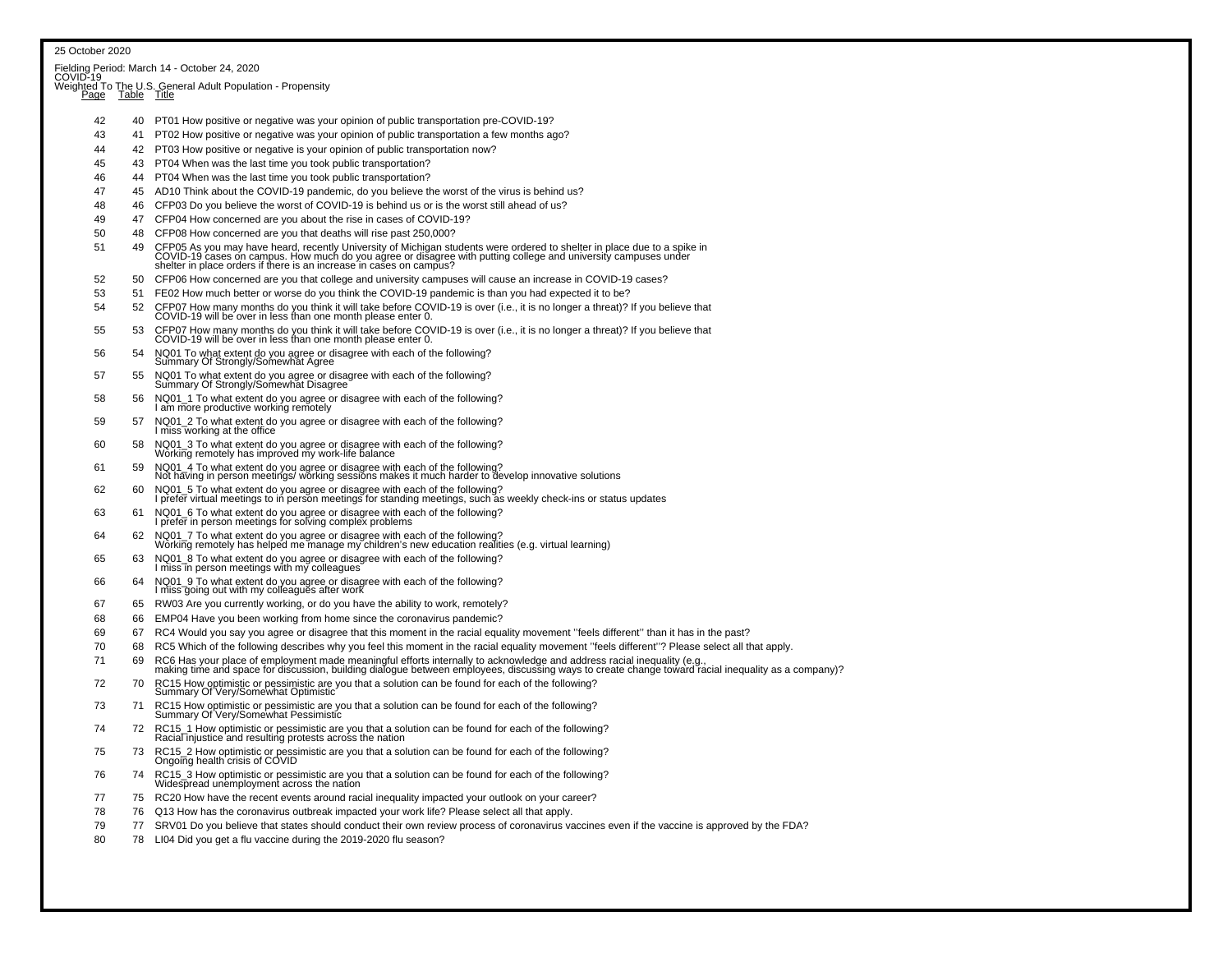| 25 October 2020 |    |                                                                                                                                                                                                                                   |
|-----------------|----|-----------------------------------------------------------------------------------------------------------------------------------------------------------------------------------------------------------------------------------|
|                 |    |                                                                                                                                                                                                                                   |
|                 |    |                                                                                                                                                                                                                                   |
|                 |    | Fielding Period: March 14 - October 24, 2020<br>COVID-19<br>Weighted To The U.S. General Adult Population - Propensity<br>Page Table Title                                                                                        |
|                 |    |                                                                                                                                                                                                                                   |
| 42              | 40 | PT01 How positive or negative was your opinion of public transportation pre-COVID-19?                                                                                                                                             |
| 43              | 41 | PT02 How positive or negative was your opinion of public transportation a few months ago?                                                                                                                                         |
| 44              | 42 | PT03 How positive or negative is your opinion of public transportation now?                                                                                                                                                       |
| 45              | 43 | PT04 When was the last time you took public transportation?                                                                                                                                                                       |
| 46              | 44 | PT04 When was the last time you took public transportation?                                                                                                                                                                       |
| 47              | 45 | AD10 Think about the COVID-19 pandemic, do you believe the worst of the virus is behind us?                                                                                                                                       |
| 48              | 46 | CFP03 Do you believe the worst of COVID-19 is behind us or is the worst still ahead of us?                                                                                                                                        |
| 49              | 47 | CFP04 How concerned are you about the rise in cases of COVID-19?                                                                                                                                                                  |
| 50              | 48 | CFP08 How concerned are you that deaths will rise past 250,000?                                                                                                                                                                   |
| 51              | 49 |                                                                                                                                                                                                                                   |
|                 |    | CFP05 As you may have heard, recently University of Michigan students were ordered to shelter in place due to a spike in<br>COVID-19 cases on campus. How much do you agree or disagree with putting college and university campu |
| 52              | 50 | CFP06 How concerned are you that college and university campuses will cause an increase in COVID-19 cases?                                                                                                                        |
| 53              | 51 | FE02 How much better or worse do you think the COVID-19 pandemic is than you had expected it to be?                                                                                                                               |
| 54              | 52 | CFP07 How many months do you think it will take before COVID-19 is over (i.e., it is no longer a threat)? If you believe that COVID-19 will be over in less than one month please enter 0.                                        |
|                 |    |                                                                                                                                                                                                                                   |
| 55              | 53 | CFP07 How many months do you think it will take before COVID-19 is over (i.e., it is no longer a threat)? If you believe that<br>COVID-19 will be over in less than one month please enter 0.                                     |
| 56              | 54 | NQ01 To what extent do you agree or disagree with each of the following?<br>Summary Of Strongly/Somewhat Agree                                                                                                                    |
| 57              | 55 | NQ01 To what extent do you agree or disagree with each of the following?<br>Summary Of Strongly/Somewhat Disagree                                                                                                                 |
| 58              | 56 | NQ01_1 To what extent do you agree or disagree with each of the following? I am more productive working remotely                                                                                                                  |
| 59              | 57 | NQ01_2 To what extent do you agree or disagree with each of the following? I miss working at the office                                                                                                                           |
| 60              | 58 | NQ01_3 To what extent do you agree or disagree with each of the following?<br>Working remotely has improved my work-life balance                                                                                                  |
| 61              | 59 | NQ01_4 To what extent do you agree or disagree with each of the following?<br>Not having in person meetings/ working sessions makes it much harder to develop innovative solutions                                                |
| 62              | 60 | NQ01_5 To what extent do you agree or disagree with each of the following?<br>I prefer virtual meetings to in person meetings for standing meetings, such as weekly check-ins or status updates                                   |
| 63              | 61 | NQ01_6 To what extent do you agree or disagree with each of the following? I prefer in person meetings for solving complex problems                                                                                               |
| 64              | 62 | NQ01_7 To what extent do you agree or disagree with each of the following?<br>Working remotely has helped me manage my children's new education realities (e.g. virtual learning)                                                 |
| 65              | 63 | NQ01_8 To what extent do you agree or disagree with each of the following?<br>I miss in person meetings with my colleagues                                                                                                        |
| 66              | 64 | NQ01_9 To what extent do you agree or disagree with each of the following? I miss going out with my colleagues after work                                                                                                         |
| 67              | 65 | RW03 Are you currently working, or do you have the ability to work, remotely?                                                                                                                                                     |
| 68              | 66 | EMP04 Have you been working from home since the coronavirus pandemic?                                                                                                                                                             |
| 69              | 67 | RC4 Would you say you agree or disagree that this moment in the racial equality movement "feels different" than it has in the past?                                                                                               |
| 70              | 68 | RC5 Which of the following describes why you feel this moment in the racial equality movement "feels different"? Please select all that apply.                                                                                    |
| 71              | 69 | RC6 Has your place of employment made meaningful efforts internally to acknowledge and address racial inequality (e.g.,<br>making time and space for discussion, building dialogue between employees, discussing ways to create c |
| 72              | 70 | RC15 How optimistic or pessimistic are you that a solution can be found for each of the following?<br>Summary Of Very/Somewhat Optimistic                                                                                         |
| 73              | 71 | RC15 How optimistic or pessimistic are you that a solution can be found for each of the following?<br>Summary Of Very/Somewhat Pessimistic                                                                                        |
| 74              | 72 | RC15_1 How optimistic or pessimistic are you that a solution can be found for each of the following?<br>Racial injustice and resulting protests across the nation                                                                 |
| 75              | 73 | RC15_2 How optimistic or pessimistic are you that a solution can be found for each of the following?<br>Ongoing health crisis of COVID                                                                                            |
| 76              | 74 | RC15_3 How optimistic or pessimistic are you that a solution can be found for each of the following?<br>Widespread unemployment across the nation                                                                                 |
| 77              | 75 | RC20 How have the recent events around racial inequality impacted your outlook on your career?                                                                                                                                    |
| 78              | 76 | Q13 How has the coronavirus outbreak impacted your work life? Please select all that apply.                                                                                                                                       |
| 79              | 77 | SRV01 Do you believe that states should conduct their own review process of coronavirus vaccines even if the vaccine is approved by the FDA?                                                                                      |
| 80              | 78 | LI04 Did you get a flu vaccine during the 2019-2020 flu season?                                                                                                                                                                   |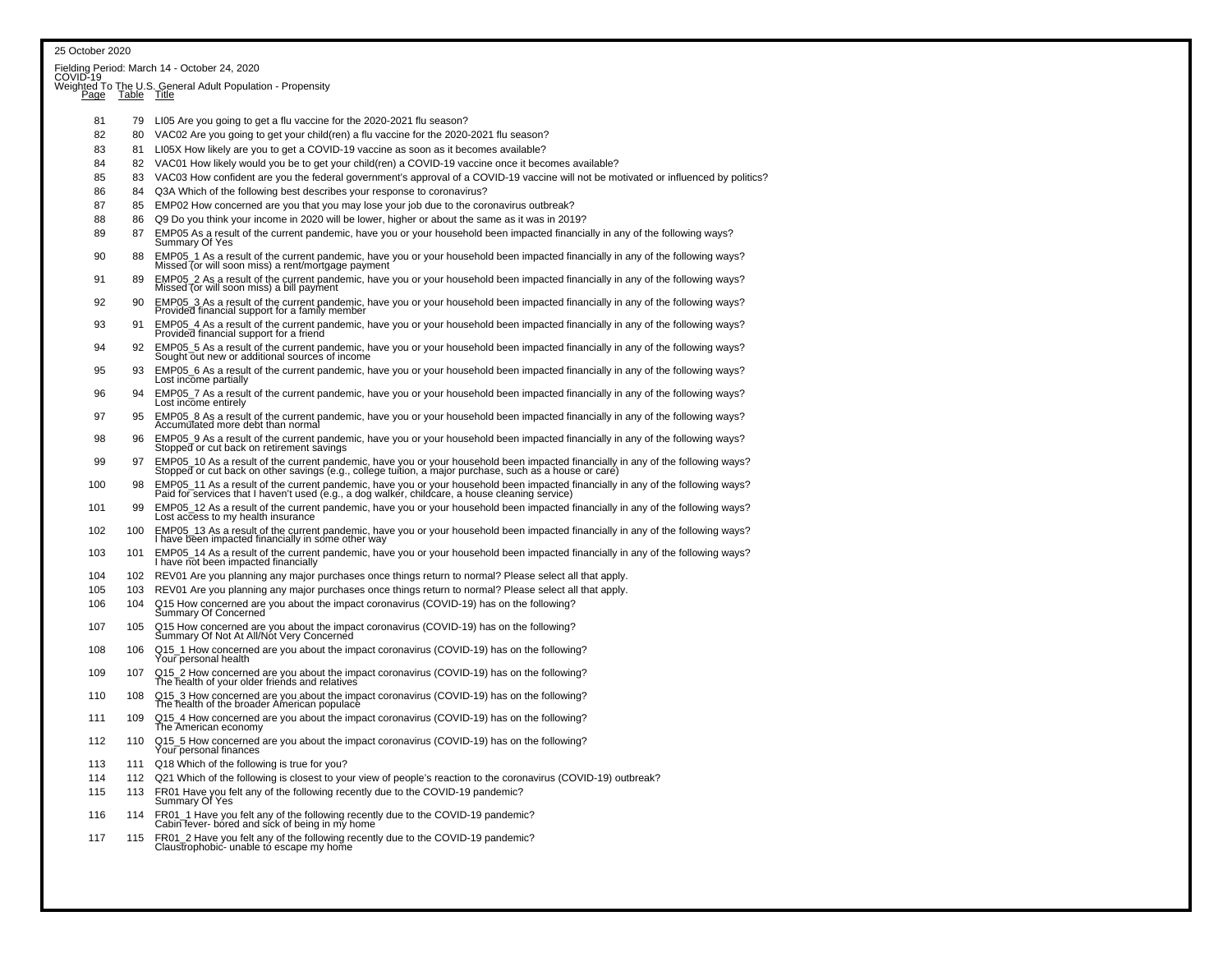| 25 October 2020 |             |                                                                                                                                                                                                                                   |  |  |  |  |
|-----------------|-------------|-----------------------------------------------------------------------------------------------------------------------------------------------------------------------------------------------------------------------------------|--|--|--|--|
|                 |             | Fielding Period: March 14 - October 24, 2020<br>COVID-19                                                                                                                                                                          |  |  |  |  |
|                 |             | Weighted To The U.S. General Adult Population - Propensity                                                                                                                                                                        |  |  |  |  |
| Page            | Table Title |                                                                                                                                                                                                                                   |  |  |  |  |
| 81              | 79          | LI05 Are you going to get a flu vaccine for the 2020-2021 flu season?                                                                                                                                                             |  |  |  |  |
| 82              | 80          | VAC02 Are you going to get your child(ren) a flu vaccine for the 2020-2021 flu season?                                                                                                                                            |  |  |  |  |
| 83              | 81          | LI05X How likely are you to get a COVID-19 vaccine as soon as it becomes available?                                                                                                                                               |  |  |  |  |
| 84              |             | 82 VAC01 How likely would you be to get your child(ren) a COVID-19 vaccine once it becomes available?                                                                                                                             |  |  |  |  |
| 85              | 83          | VAC03 How confident are you the federal government's approval of a COVID-19 vaccine will not be motivated or influenced by politics?                                                                                              |  |  |  |  |
| 86              | 84          | Q3A Which of the following best describes your response to coronavirus?                                                                                                                                                           |  |  |  |  |
| 87              | 85          | EMP02 How concerned are you that you may lose your job due to the coronavirus outbreak?                                                                                                                                           |  |  |  |  |
| 88              | 86          | Q9 Do you think your income in 2020 will be lower, higher or about the same as it was in 2019?                                                                                                                                    |  |  |  |  |
| 89              | 87          | EMP05 As a result of the current pandemic, have you or your household been impacted financially in any of the following ways?<br>Summary Of Yes                                                                                   |  |  |  |  |
| 90              | 88          | EMP05_1 As a result of the current pandemic, have you or your household been impacted financially in any of the following ways?<br>Missed (or will soon miss) a rent/mortgage payment                                             |  |  |  |  |
| 91              | 89          | EMP05_2 As a result of the current pandemic, have you or your household been impacted financially in any of the following ways?<br>Missed (or will soon miss) a bill payment                                                      |  |  |  |  |
| 92              | 90          | EMP05_3 As a result of the current pandemic, have you or your household been impacted financially in any of the following ways?<br>Provided financial support for a family member                                                 |  |  |  |  |
| 93              | 91          | EMP05_4 As a result of the current pandemic, have you or your household been impacted financially in any of the following ways?<br>Provided financial support for a friend                                                        |  |  |  |  |
| 94              | 92          | EMP05_5 As a result of the current pandemic, have you or your household been impacted financially in any of the following ways?<br>Sought out new or additional sources of income                                                 |  |  |  |  |
| 95              | 93          | EMP05 6 As a result of the current pandemic, have you or your household been impacted financially in any of the following ways?<br>Lost income partially                                                                          |  |  |  |  |
| 96              | 94          | EMP05 7 As a result of the current pandemic, have you or your household been impacted financially in any of the following ways?<br>Lost income entirely                                                                           |  |  |  |  |
| 97              | 95          | EMP05_8 As a result of the current pandemic, have you or your household been impacted financially in any of the following ways?<br>Accumulated more debt than normal                                                              |  |  |  |  |
| 98              | 96          | EMP05_9 As a result of the current pandemic, have you or your household been impacted financially in any of the following ways?<br>Stopped or cut back on retirement savings                                                      |  |  |  |  |
| 99              | 97          | EMP05_10 As a result of the current pandemic, have you or your household been impacted financially in any of the following ways?<br>Stopped or cut back on other savings (e.g., college tuition, a major purchase, such as a hous |  |  |  |  |
| 100             | 98          | EMP05_11 As a result of the current pandemic, have you or your household been impacted financially in any of the following ways?<br>Paid for services that I haven't used (e.g., a dog walker, childcare, a house cleaning servic |  |  |  |  |
| 101             | 99          | EMP05_12 As a result of the current pandemic, have you or your household been impacted financially in any of the following ways?<br>Lost access to my health insurance                                                            |  |  |  |  |
| 102             | 100         | EMP05_13 As a result of the current pandemic, have you or your household been impacted financially in any of the following ways?<br>I have been impacted financially in some other way                                            |  |  |  |  |
| 103             | 101         | EMP05_14 As a result of the current pandemic, have you or your household been impacted financially in any of the following ways?<br>I have not been impacted financially                                                          |  |  |  |  |
| 104             | 102         | REV01 Are you planning any major purchases once things return to normal? Please select all that apply.                                                                                                                            |  |  |  |  |
| 105             | 103         | REV01 Are you planning any major purchases once things return to normal? Please select all that apply.                                                                                                                            |  |  |  |  |
| 106             | 104         | Q15 How concerned are you about the impact coronavirus (COVID-19) has on the following?<br>Summary Of Concerned                                                                                                                   |  |  |  |  |
| 107             | 105         | Q15 How concerned are you about the impact coronavirus (COVID-19) has on the following?<br>Summary Of Not At All/Not Very Concerned                                                                                               |  |  |  |  |
| 108             | 106         | Q15_1 How concerned are you about the impact coronavirus (COVID-19) has on the following?<br>Your personal health                                                                                                                 |  |  |  |  |
| 109             | 107         | Q15_2 How concerned are you about the impact coronavirus (COVID-19) has on the following?<br>The health of your older friends and relatives                                                                                       |  |  |  |  |
| 110             | 108         | Q15_3 How concerned are you about the impact coronavirus (COVID-19) has on the following?<br>The health of the broader American populace                                                                                          |  |  |  |  |
| 111             | 109         | Q15_4 How concerned are you about the impact coronavirus (COVID-19) has on the following?<br>The American economy                                                                                                                 |  |  |  |  |
| 112             | 110         | Q15_5 How concerned are you about the impact coronavirus (COVID-19) has on the following?<br>Your personal finances                                                                                                               |  |  |  |  |
| 113             | 111         | Q18 Which of the following is true for you?                                                                                                                                                                                       |  |  |  |  |
| 114             |             | 112 Q21 Which of the following is closest to your view of people's reaction to the coronavirus (COVID-19) outbreak?                                                                                                               |  |  |  |  |
| 115             | 113         | FR01 Have you felt any of the following recently due to the COVID-19 pandemic?<br>Summary Of Yes                                                                                                                                  |  |  |  |  |
| 116             | 114         | FR01_1 Have you felt any of the following recently due to the COVID-19 pandemic?<br>Cabin fever- bored and sick of being in my home                                                                                               |  |  |  |  |
| 117             | 115         | FR01_2 Have you felt any of the following recently due to the COVID-19 pandemic?<br>Claustrophobic- unable to escape my home                                                                                                      |  |  |  |  |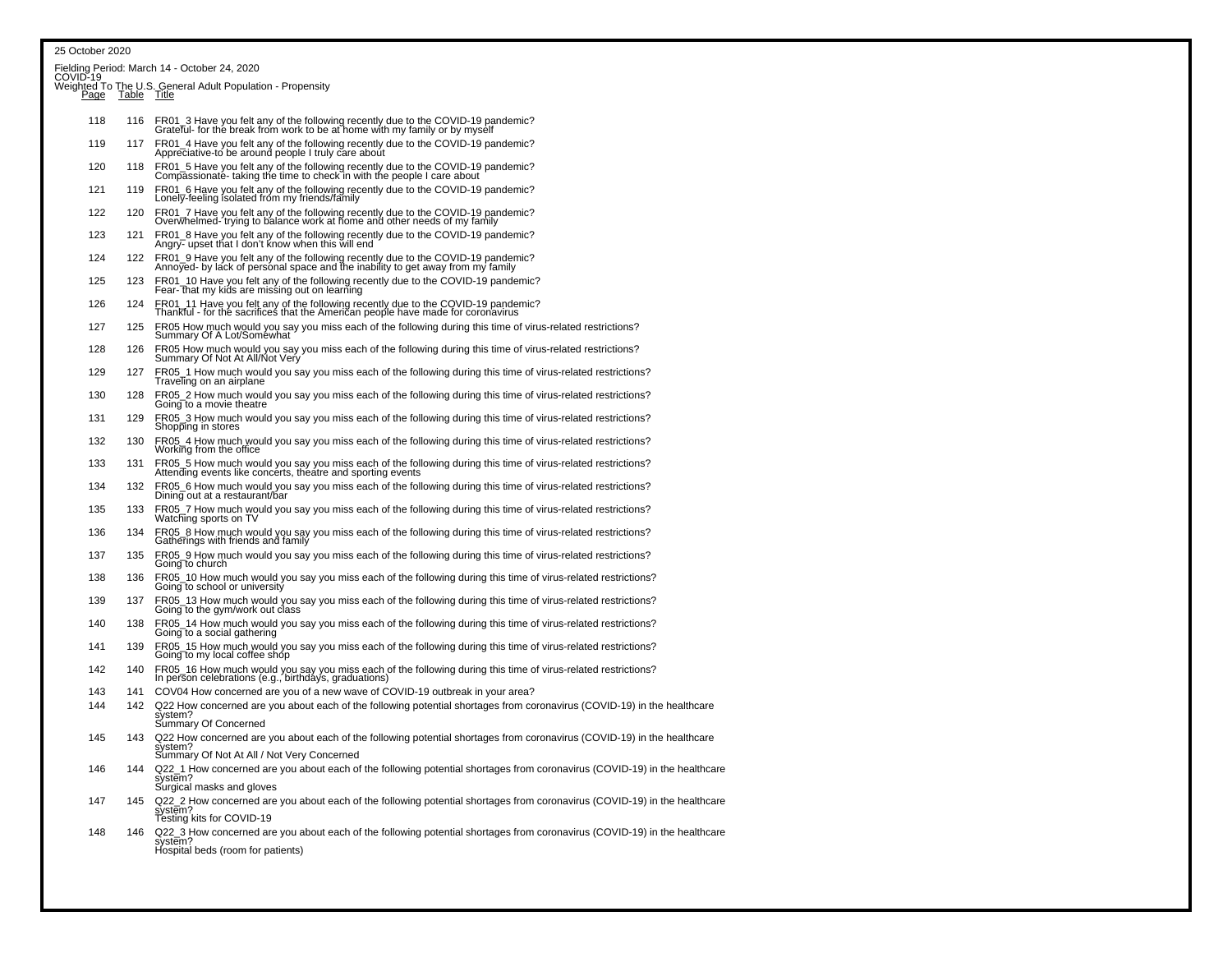#### 25 October 2020

|             |             | Fielding Period: March 14 - October 24, 2020<br>COVID-19                                                                                                                                               |
|-------------|-------------|--------------------------------------------------------------------------------------------------------------------------------------------------------------------------------------------------------|
| <u>Page</u> | Table Title | Weighted To The U.S. General Adult Population - Propensity                                                                                                                                             |
| 118         | 116         | FR01_3 Have you felt any of the following recently due to the COVID-19 pandemic?<br>Grateful- for the break from work to be at home with my family or by myself                                        |
| 119         | 117         | FR01_4 Have you felt any of the following recently due to the COVID-19 pandemic?<br>Appreciative-to be around people I truly care about                                                                |
| 120         | 118         | FR01_5 Have you felt any of the following recently due to the COVID-19 pandemic?<br>Compassionate- taking the time to check in with the people I care about                                            |
| 121         | 119         | FR01_6 Have you felt any of the following recently due to the COVID-19 pandemic?<br>Lonely-feeling isolated from my friends/family                                                                     |
| 122         | 120         | FR01_7 Have you felt any of the following recently due to the COVID-19 pandemic?<br>Overwhelmed-'trying to balance work at home and other needs of my family                                           |
| 123         | 121         | FR01_8 Have you felt any of the following recently due to the COVID-19 pandemic?<br>Angry- upset that I don't know when this will end                                                                  |
| 124         | 122         | FR01_9 Have you felt any of the following recently due to the COVID-19 pandemic?<br>Annoyed- by lack of personal space and the inability to get away from my family                                    |
| 125         | 123         | FR01_10 Have you felt any of the following recently due to the COVID-19 pandemic?<br>Fear- that my kids are missing out on learning                                                                    |
| 126         | 124         | FR01_11 Have you felt any of the following recently due to the COVID-19 pandemic?<br>Thankful - for the sacrifices that the American people have made for coronavirus                                  |
| 127         | 125         | FR05 How much would you say you miss each of the following during this time of virus-related restrictions?<br>Summary Of A Lot/Somewhat                                                                |
| 128         | 126         | FR05 How much would you say you miss each of the following during this time of virus-related restrictions?<br>Summary Of Not At All/Not Very                                                           |
| 129         | 127         | FR05_1 How much would you say you miss each of the following during this time of virus-related restrictions?<br>Traveling on an airplane                                                               |
| 130         | 128         | FR05_2 How much would you say you miss each of the following during this time of virus-related restrictions?<br>Going to a movie theatre                                                               |
| 131         | 129         | FR05_3 How much would you say you miss each of the following during this time of virus-related restrictions?<br>Shopping in stores                                                                     |
| 132         | 130         | FR05_4 How much would you say you miss each of the following during this time of virus-related restrictions?<br>Working from the office                                                                |
| 133         | 131         | FR05_5 How much would you say you miss each of the following during this time of virus-related restrictions?<br>Attending events like concerts, theatre and sporting events                            |
| 134         | 132         | FR05_6 How much would you say you miss each of the following during this time of virus-related restrictions?<br>Dining out at a restaurant/bar                                                         |
| 135         | 133         | FR05_7 How much would you say you miss each of the following during this time of virus-related restrictions?<br>Watching sports on TV                                                                  |
| 136         | 134         | FR05_8 How much would you say you miss each of the following during this time of virus-related restrictions?<br>Gatherings with friends and family                                                     |
| 137         | 135         | FR05_9 How much would you say you miss each of the following during this time of virus-related restrictions?<br>Going to church                                                                        |
| 138         | 136         | FR05_10 How much would you say you miss each of the following during this time of virus-related restrictions?<br>Going to school or university                                                         |
| 139         | 137         | FR05_13 How much would you say you miss each of the following during this time of virus-related restrictions?<br>Going to the gym/work out class                                                       |
| 140         | 138         | FR05_14 How much would you say you miss each of the following during this time of virus-related restrictions?<br>Going to a social gathering                                                           |
| 141         | 139         | FR05_15 How much would you say you miss each of the following during this time of virus-related restrictions?<br>Going to my local coffee shóp                                                         |
| 142         | 140         | FR05_16 How much would you say you miss each of the following during this time of virus-related restrictions?<br>In person celebrations (e.g., birthdays, graduations)                                 |
| 143         | 141         | COV04 How concerned are you of a new wave of COVID-19 outbreak in your area?                                                                                                                           |
| 144         | 142         | Q22 How concerned are you about each of the following potential shortages from coronavirus (COVID-19) in the healthcare<br>system?<br>Summary Of Concerned                                             |
| 145         | 143         | Q22 How concerned are you about each of the following potential shortages from coronavirus (COVID-19) in the healthcare<br>svstem?<br>Summary Of Not At All / Not Very Concerned                       |
| 146         | 144         | Q22_1 How concerned are you about each of the following potential shortages from coronavirus (COVID-19) in the healthcare<br>svstem?                                                                   |
| 147         | 145         | Surgical masks and gloves<br>Q22_2 How concerned are you about each of the following potential shortages from coronavirus (COVID-19) in the healthcare<br>system?                                      |
| 148         | 146         | Testing kits for COVID-19<br>Q22_3 How concerned are you about each of the following potential shortages from coronavirus (COVID-19) in the healthcare<br>system?<br>Hospital beds (room for patients) |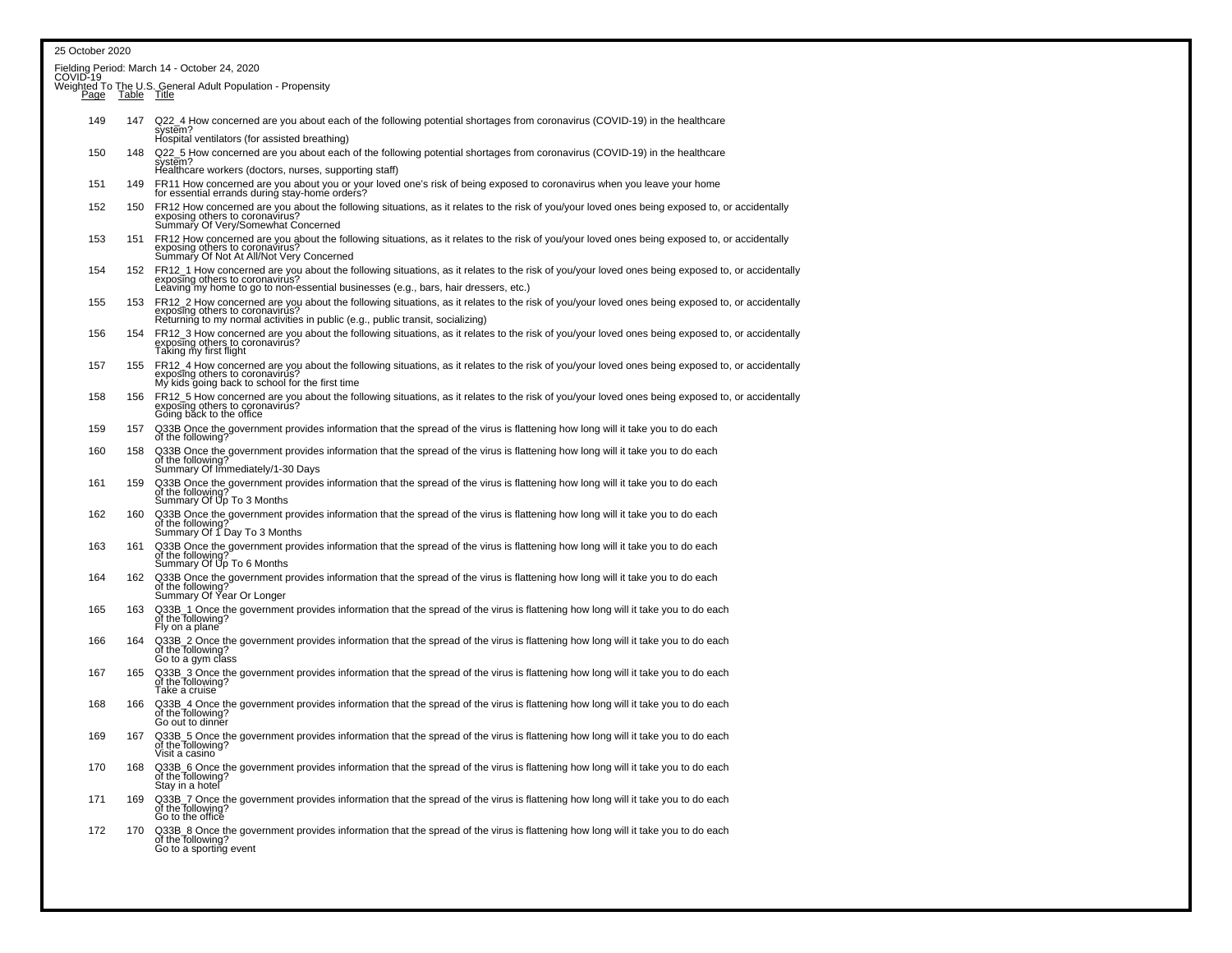| 25 October 2020                                                                |     |                                                                                                                                                                                                                                                                               |  |  |  |  |  |  |
|--------------------------------------------------------------------------------|-----|-------------------------------------------------------------------------------------------------------------------------------------------------------------------------------------------------------------------------------------------------------------------------------|--|--|--|--|--|--|
|                                                                                |     | Fielding Period: March 14 - October 24, 2020<br>COVID-19                                                                                                                                                                                                                      |  |  |  |  |  |  |
| Weighted To The U.S. General Adult Population - Propensity<br>Page Table Title |     |                                                                                                                                                                                                                                                                               |  |  |  |  |  |  |
| 149                                                                            | 147 | Q22 4 How concerned are you about each of the following potential shortages from coronavirus (COVID-19) in the healthcare<br>system?<br>Hospital ventilators (for assisted breathing)                                                                                         |  |  |  |  |  |  |
| 150                                                                            | 148 | Q22_5 How concerned are you about each of the following potential shortages from coronavirus (COVID-19) in the healthcare system?<br>Healthcare workers (doctors, nurses, supporting staff)                                                                                   |  |  |  |  |  |  |
| 151                                                                            | 149 | FR11 How concerned are you about you or your loved one's risk of being exposed to coronavirus when you leave your home<br>for essential errands during stay-home orders?                                                                                                      |  |  |  |  |  |  |
| 152                                                                            | 150 | FR12 How concerned are you about the following situations, as it relates to the risk of you/your loved ones being exposed to, or accidentally<br>exposing others to coronavirus?<br>Summary Of Very/Somewhat Concerned                                                        |  |  |  |  |  |  |
| 153                                                                            | 151 | FR12 How concerned are you about the following situations, as it relates to the risk of you/your loved ones being exposed to, or accidentally<br>exposing others to coronavirus?<br>Summary Of Not At All/Not Very Concerned                                                  |  |  |  |  |  |  |
| 154                                                                            |     | 152 FR12_1 How concerned are you about the following situations, as it relates to the risk of you/your loved ones being exposed to, or accidentally<br>exposing others to coronavirus?<br>Leaving my home to go to non-essential businesses (e.g., bars, hair dressers, etc.) |  |  |  |  |  |  |
| 155                                                                            | 153 | FR12_2 How concerned are you about the following situations, as it relates to the risk of you/your loved ones being exposed to, or accidentally<br>exposing others to coronavirus?<br>Returning to my normal activities in public (e.g., public transit, socializing)         |  |  |  |  |  |  |
| 156                                                                            | 154 | FR12_3 How concerned are you about the following situations, as it relates to the risk of you/your loved ones being exposed to, or accidentally<br>exposing others to coronavirus?<br>Taking my first flight                                                                  |  |  |  |  |  |  |
| 157                                                                            | 155 | FR12_4 How concerned are you about the following situations, as it relates to the risk of you/your loved ones being exposed to, or accidentally<br>exposing others to coronavirus?<br>My kids going back to school for the first time                                         |  |  |  |  |  |  |
| 158                                                                            | 156 | FR12 5 How concerned are you about the following situations, as it relates to the risk of you/your loved ones being exposed to, or accidentally<br>exposing others to coronavirus?<br>Going back to the office                                                                |  |  |  |  |  |  |
| 159                                                                            | 157 | Q33B Once the government provides information that the spread of the virus is flattening how long will it take you to do each<br>of the following?                                                                                                                            |  |  |  |  |  |  |
| 160                                                                            | 158 | Q33B Once the government provides information that the spread of the virus is flattening how long will it take you to do each of the following?<br>Summary Of Immediately/1-30 Days                                                                                           |  |  |  |  |  |  |
| 161                                                                            | 159 | Q33B Once the government provides information that the spread of the virus is flattening how long will it take you to do each<br>of the following?<br>Summary Of Up To 3 Months                                                                                               |  |  |  |  |  |  |
| 162                                                                            | 160 | Q33B Once the government provides information that the spread of the virus is flattening how long will it take you to do each<br>of the following? Summary Of 1 Day To 3 Months                                                                                               |  |  |  |  |  |  |
| 163                                                                            | 161 | Q33B Once the government provides information that the spread of the virus is flattening how long will it take you to do each<br>of the following?<br>Summary Of Up To 6 Months                                                                                               |  |  |  |  |  |  |
| 164                                                                            | 162 | Q33B Once the government provides information that the spread of the virus is flattening how long will it take you to do each<br>of the following?<br>Summary Of Year Or Longer                                                                                               |  |  |  |  |  |  |
| 165                                                                            | 163 | Q33B_1 Once the government provides information that the spread of the virus is flattening how long will it take you to do each<br>of the following?<br>Fly on a plane                                                                                                        |  |  |  |  |  |  |
| 166                                                                            | 164 | Q33B_2 Once the government provides information that the spread of the virus is flattening how long will it take you to do each<br>of the following?<br>Go to a gym class                                                                                                     |  |  |  |  |  |  |
| 167                                                                            | 165 | Q33B_3 Once the government provides information that the spread of the virus is flattening how long will it take you to do each<br>of the following?<br>Take a cruise                                                                                                         |  |  |  |  |  |  |
| 168                                                                            | 166 | Q33B_4 Once the government provides information that the spread of the virus is flattening how long will it take you to do each<br>of the following?<br>Go out to dinner                                                                                                      |  |  |  |  |  |  |
| 169                                                                            | 167 | Q33B_5 Once the government provides information that the spread of the virus is flattening how long will it take you to do each<br>of the following?<br>Visit a casino                                                                                                        |  |  |  |  |  |  |
| 170                                                                            | 168 | Q33B_6 Once the government provides information that the spread of the virus is flattening how long will it take you to do each<br>of the following?<br>Stay in a hotel                                                                                                       |  |  |  |  |  |  |
| 171                                                                            | 169 | Q33B_7 Once the government provides information that the spread of the virus is flattening how long will it take you to do each<br>of the Tollowing?<br>Go to the office                                                                                                      |  |  |  |  |  |  |
| 172                                                                            | 170 | Q33B_8 Once the government provides information that the spread of the virus is flattening how long will it take you to do each<br>of the following?<br>Go to a sporting event                                                                                                |  |  |  |  |  |  |